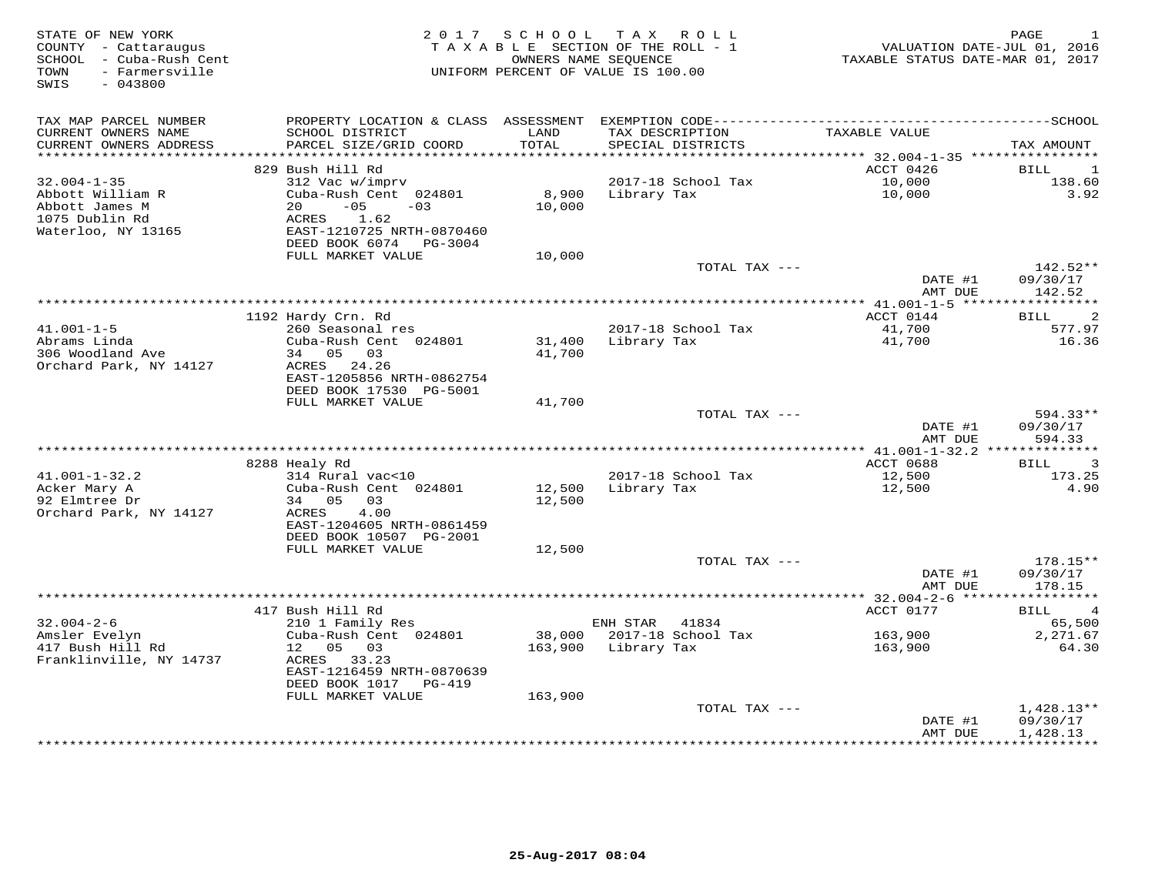| STATE OF NEW YORK<br>COUNTY - Cattaraugus<br>- Cuba-Rush Cent<br>SCHOOL<br>- Farmersville<br>TOWN<br>SWIS<br>$-043800$ | 2 0 1 7                                      | SCHOOL     | TAX ROLL<br>TAXABLE SECTION OF THE ROLL - 1<br>OWNERS NAME SEOUENCE<br>UNIFORM PERCENT OF VALUE IS 100.00 | VALUATION DATE-JUL 01, 2016<br>TAXABLE STATUS DATE-MAR 01, 2017             | PAGE                                    |
|------------------------------------------------------------------------------------------------------------------------|----------------------------------------------|------------|-----------------------------------------------------------------------------------------------------------|-----------------------------------------------------------------------------|-----------------------------------------|
| TAX MAP PARCEL NUMBER                                                                                                  |                                              |            |                                                                                                           |                                                                             |                                         |
| CURRENT OWNERS NAME                                                                                                    | SCHOOL DISTRICT                              | LAND       | TAX DESCRIPTION                                                                                           | TAXABLE VALUE                                                               |                                         |
| CURRENT OWNERS ADDRESS<br>******************                                                                           | PARCEL SIZE/GRID COORD                       | TOTAL      | SPECIAL DISTRICTS                                                                                         |                                                                             | TAX AMOUNT                              |
|                                                                                                                        | 829 Bush Hill Rd                             | ********** |                                                                                                           | ********************************* 32.004-1-35 ****************<br>ACCT 0426 | <b>BILL</b><br>-1                       |
| $32.004 - 1 - 35$                                                                                                      | 312 Vac w/imprv                              |            | 2017-18 School Tax                                                                                        | 10,000                                                                      | 138.60                                  |
| Abbott William R                                                                                                       | Cuba-Rush Cent 024801                        | 8,900      | Library Tax                                                                                               | 10,000                                                                      | 3.92                                    |
| Abbott James M                                                                                                         | 20<br>$-05$<br>$-03$                         | 10,000     |                                                                                                           |                                                                             |                                         |
| 1075 Dublin Rd                                                                                                         | 1.62<br>ACRES                                |            |                                                                                                           |                                                                             |                                         |
| Waterloo, NY 13165                                                                                                     | EAST-1210725 NRTH-0870460                    |            |                                                                                                           |                                                                             |                                         |
|                                                                                                                        | DEED BOOK 6074 PG-3004                       |            |                                                                                                           |                                                                             |                                         |
|                                                                                                                        | FULL MARKET VALUE                            | 10,000     | TOTAL TAX ---                                                                                             |                                                                             | $142.52**$                              |
|                                                                                                                        |                                              |            |                                                                                                           | DATE #1                                                                     | 09/30/17                                |
|                                                                                                                        |                                              |            |                                                                                                           | AMT DUE                                                                     | 142.52                                  |
|                                                                                                                        |                                              |            |                                                                                                           | ********** 41.001-1-5 ***                                                   | ***********                             |
| $41.001 - 1 - 5$                                                                                                       | 1192 Hardy Crn. Rd<br>260 Seasonal res       |            | 2017-18 School Tax                                                                                        | ACCT 0144<br>41,700                                                         | $\overline{2}$<br><b>BILL</b><br>577.97 |
| Abrams Linda                                                                                                           | Cuba-Rush Cent 024801                        | 31,400     | Library Tax                                                                                               | 41,700                                                                      | 16.36                                   |
| 306 Woodland Ave                                                                                                       | 34 05 03                                     | 41,700     |                                                                                                           |                                                                             |                                         |
| Orchard Park, NY 14127                                                                                                 | ACRES 24.26                                  |            |                                                                                                           |                                                                             |                                         |
|                                                                                                                        | EAST-1205856 NRTH-0862754                    |            |                                                                                                           |                                                                             |                                         |
|                                                                                                                        | DEED BOOK 17530 PG-5001<br>FULL MARKET VALUE | 41,700     |                                                                                                           |                                                                             |                                         |
|                                                                                                                        |                                              |            | TOTAL TAX ---                                                                                             |                                                                             | $594.33**$                              |
|                                                                                                                        |                                              |            |                                                                                                           | DATE #1                                                                     | 09/30/17                                |
|                                                                                                                        |                                              |            |                                                                                                           | AMT DUE                                                                     | 594.33                                  |
|                                                                                                                        |                                              |            |                                                                                                           |                                                                             |                                         |
| $41.001 - 1 - 32.2$                                                                                                    | 8288 Healy Rd                                |            |                                                                                                           | ACCT 0688                                                                   | 3<br>BILL<br>173.25                     |
| Acker Mary A                                                                                                           | 314 Rural vac<10<br>Cuba-Rush Cent 024801    | 12,500     | 2017-18 School Tax<br>Library Tax                                                                         | 12,500<br>12,500                                                            | 4.90                                    |
| 92 Elmtree Dr                                                                                                          | 34 05<br>03                                  | 12,500     |                                                                                                           |                                                                             |                                         |
| Orchard Park, NY 14127                                                                                                 | ACRES<br>4.00                                |            |                                                                                                           |                                                                             |                                         |
|                                                                                                                        | EAST-1204605 NRTH-0861459                    |            |                                                                                                           |                                                                             |                                         |
|                                                                                                                        | DEED BOOK 10507 PG-2001<br>FULL MARKET VALUE |            |                                                                                                           |                                                                             |                                         |
|                                                                                                                        |                                              | 12,500     | TOTAL TAX ---                                                                                             |                                                                             | 178.15**                                |
|                                                                                                                        |                                              |            |                                                                                                           | DATE #1                                                                     | 09/30/17                                |
|                                                                                                                        |                                              |            |                                                                                                           | AMT DUE                                                                     | 178.15                                  |
|                                                                                                                        |                                              |            |                                                                                                           | *********** 32.004-2-6 ******                                               | ***********                             |
|                                                                                                                        | 417 Bush Hill Rd                             |            |                                                                                                           | ACCT 0177                                                                   | BILL<br>4                               |
| $32.004 - 2 - 6$<br>Amsler Evelyn                                                                                      | 210 1 Family Res<br>Cuba-Rush Cent 024801    | 38,000     | ENH STAR<br>41834<br>2017-18 School Tax                                                                   | 163,900                                                                     | 65,500<br>2,271.67                      |
| 417 Bush Hill Rd                                                                                                       | 12<br>05<br>03                               | 163,900    | Library Tax                                                                                               | 163,900                                                                     | 64.30                                   |
| Franklinville, NY 14737                                                                                                | ACRES<br>33.23                               |            |                                                                                                           |                                                                             |                                         |
|                                                                                                                        | EAST-1216459 NRTH-0870639                    |            |                                                                                                           |                                                                             |                                         |
|                                                                                                                        | DEED BOOK 1017 PG-419                        |            |                                                                                                           |                                                                             |                                         |
|                                                                                                                        | FULL MARKET VALUE                            | 163,900    | TOTAL TAX ---                                                                                             |                                                                             |                                         |
|                                                                                                                        |                                              |            |                                                                                                           | DATE #1                                                                     | $1,428.13**$<br>09/30/17                |
|                                                                                                                        |                                              |            |                                                                                                           | AMT DUE                                                                     | 1,428.13                                |
|                                                                                                                        |                                              |            | **************************                                                                                | ***********                                                                 | ***********                             |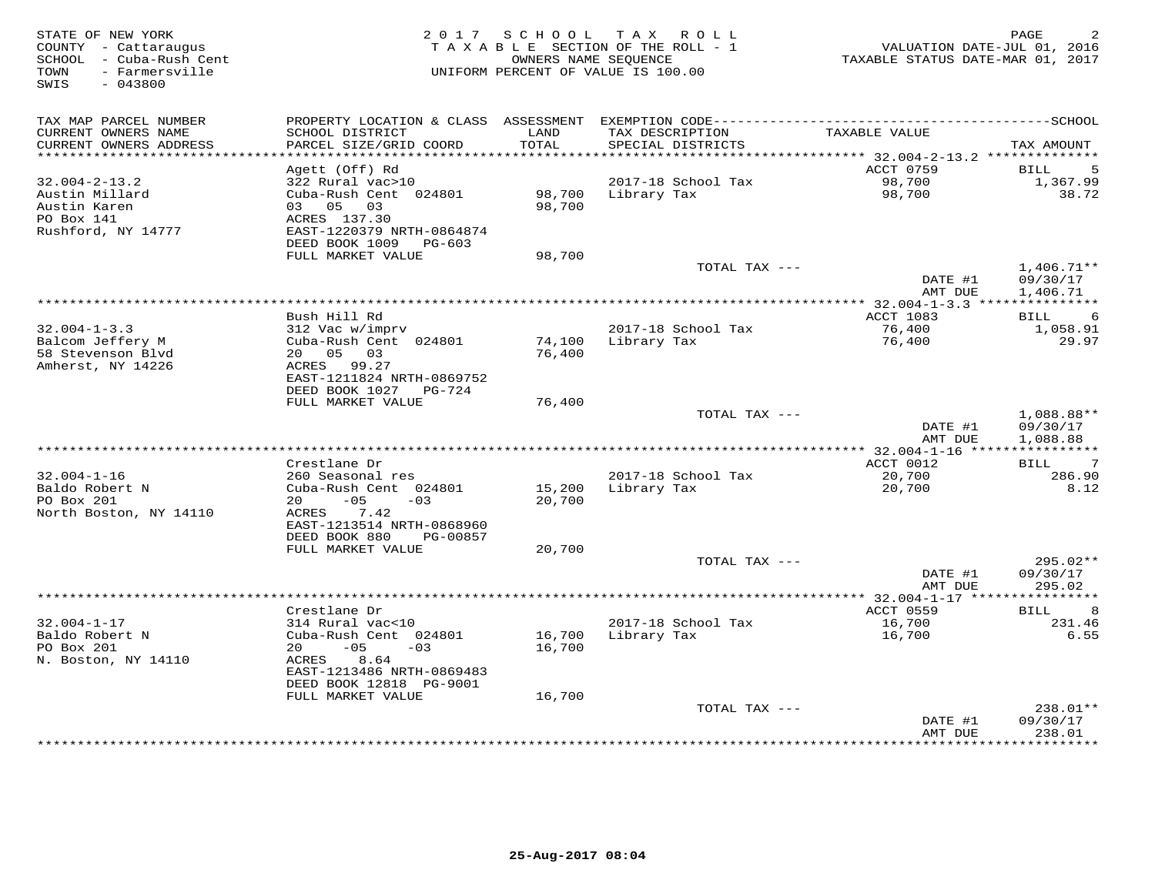| STATE OF NEW YORK<br>COUNTY - Cattaraugus<br>SCHOOL - Cuba-Rush Cent<br>- Farmersville<br>TOWN<br>$-043800$<br>SWIS | 2017 SCHOOL<br>TAXABLE SECTION OF THE ROLL - 1<br>UNIFORM PERCENT OF VALUE IS 100.00 | PAGE<br>VALUATION DATE-JUL 01, 2016<br>TAXABLE STATUS DATE-MAR 01, 2017 |                                      |                                          |                          |
|---------------------------------------------------------------------------------------------------------------------|--------------------------------------------------------------------------------------|-------------------------------------------------------------------------|--------------------------------------|------------------------------------------|--------------------------|
| TAX MAP PARCEL NUMBER                                                                                               | PROPERTY LOCATION & CLASS                                                            | ASSESSMENT                                                              |                                      |                                          |                          |
| CURRENT OWNERS NAME<br>CURRENT OWNERS ADDRESS<br>**********************                                             | SCHOOL DISTRICT<br>PARCEL SIZE/GRID COORD<br>*************************               | LAND<br>TOTAL                                                           | TAX DESCRIPTION<br>SPECIAL DISTRICTS | TAXABLE VALUE                            | TAX AMOUNT               |
|                                                                                                                     | Agett (Off) Rd                                                                       |                                                                         |                                      | ACCT 0759                                | 5<br>BILL                |
| $32.004 - 2 - 13.2$                                                                                                 | 322 Rural vac>10                                                                     |                                                                         | 2017-18 School Tax                   | 98,700                                   | 1,367.99                 |
| Austin Millard<br>Austin Karen                                                                                      | Cuba-Rush Cent 024801<br>05 03<br>03                                                 | 98,700<br>98,700                                                        | Library Tax                          | 98,700                                   | 38.72                    |
| PO Box 141                                                                                                          | ACRES 137.30                                                                         |                                                                         |                                      |                                          |                          |
| Rushford, NY 14777                                                                                                  | EAST-1220379 NRTH-0864874<br>DEED BOOK 1009<br>PG-603                                |                                                                         |                                      |                                          |                          |
|                                                                                                                     | FULL MARKET VALUE                                                                    | 98,700                                                                  |                                      |                                          |                          |
|                                                                                                                     |                                                                                      |                                                                         | TOTAL TAX ---                        |                                          | $1,406.71**$             |
|                                                                                                                     |                                                                                      |                                                                         |                                      | DATE #1<br>AMT DUE                       | 09/30/17<br>1,406.71     |
|                                                                                                                     |                                                                                      |                                                                         |                                      | $*32.004 - 1 - 3.3$ ***                  |                          |
| $32.004 - 1 - 3.3$                                                                                                  | Bush Hill Rd<br>312 Vac w/imprv                                                      |                                                                         | 2017-18 School Tax                   | ACCT 1083<br>76,400                      | 6<br>BILL<br>1,058.91    |
| Balcom Jeffery M                                                                                                    | Cuba-Rush Cent 024801                                                                | 74,100                                                                  | Library Tax                          | 76,400                                   | 29.97                    |
| 58 Stevenson Blvd                                                                                                   | 20 05<br>0.3                                                                         | 76,400                                                                  |                                      |                                          |                          |
| Amherst, NY 14226                                                                                                   | ACRES 99.27                                                                          |                                                                         |                                      |                                          |                          |
|                                                                                                                     | EAST-1211824 NRTH-0869752                                                            |                                                                         |                                      |                                          |                          |
|                                                                                                                     | DEED BOOK 1027<br>PG-724<br>FULL MARKET VALUE                                        | 76,400                                                                  |                                      |                                          |                          |
|                                                                                                                     |                                                                                      |                                                                         | TOTAL TAX ---                        |                                          | 1,088.88**               |
|                                                                                                                     |                                                                                      |                                                                         |                                      | DATE #1                                  | 09/30/17                 |
|                                                                                                                     |                                                                                      |                                                                         |                                      | AMT DUE                                  | 1,088.88                 |
|                                                                                                                     | Crestlane Dr                                                                         |                                                                         |                                      | ** $32.004 - 1 - 16$ *****<br>ACCT 0012  | ***********<br>7<br>BILL |
| $32.004 - 1 - 16$                                                                                                   | 260 Seasonal res                                                                     |                                                                         | 2017-18 School Tax                   | 20,700                                   | 286.90                   |
| Baldo Robert N                                                                                                      | Cuba-Rush Cent 024801                                                                | 15,200                                                                  | Library Tax                          | 20,700                                   | 8.12                     |
| PO Box 201                                                                                                          | 20<br>$-05$<br>$-0.3$                                                                | 20,700                                                                  |                                      |                                          |                          |
| North Boston, NY 14110                                                                                              | 7.42<br>ACRES                                                                        |                                                                         |                                      |                                          |                          |
|                                                                                                                     | EAST-1213514 NRTH-0868960<br>DEED BOOK 880<br>PG-00857                               |                                                                         |                                      |                                          |                          |
|                                                                                                                     | FULL MARKET VALUE                                                                    | 20,700                                                                  |                                      |                                          |                          |
|                                                                                                                     |                                                                                      |                                                                         | TOTAL TAX ---                        |                                          | $295.02**$               |
|                                                                                                                     |                                                                                      |                                                                         |                                      | DATE #1                                  | 09/30/17                 |
|                                                                                                                     | *****************************                                                        |                                                                         |                                      | AMT DUE                                  | 295.02<br>********       |
|                                                                                                                     | Crestlane Dr                                                                         |                                                                         |                                      | ********** 32.004-1-17 ****<br>ACCT 0559 | <b>BILL</b><br>8         |
| $32.004 - 1 - 17$                                                                                                   | 314 Rural vac<10                                                                     |                                                                         | 2017-18 School Tax                   | 16,700                                   | 231.46                   |
| Baldo Robert N                                                                                                      | Cuba-Rush Cent 024801                                                                | 16,700                                                                  | Library Tax                          | 16,700                                   | 6.55                     |
| PO Box 201                                                                                                          | $-05$<br>20<br>$-03$                                                                 | 16,700                                                                  |                                      |                                          |                          |
| N. Boston, NY 14110                                                                                                 | 8.64<br>ACRES<br>EAST-1213486 NRTH-0869483                                           |                                                                         |                                      |                                          |                          |
|                                                                                                                     | DEED BOOK 12818 PG-9001                                                              |                                                                         |                                      |                                          |                          |
|                                                                                                                     | FULL MARKET VALUE                                                                    | 16,700                                                                  |                                      |                                          |                          |
|                                                                                                                     |                                                                                      |                                                                         | TOTAL TAX ---                        |                                          | 238.01**                 |
|                                                                                                                     |                                                                                      |                                                                         |                                      | DATE #1<br>AMT DUE                       | 09/30/17<br>238.01       |
|                                                                                                                     |                                                                                      |                                                                         |                                      |                                          | * * * * * * * *          |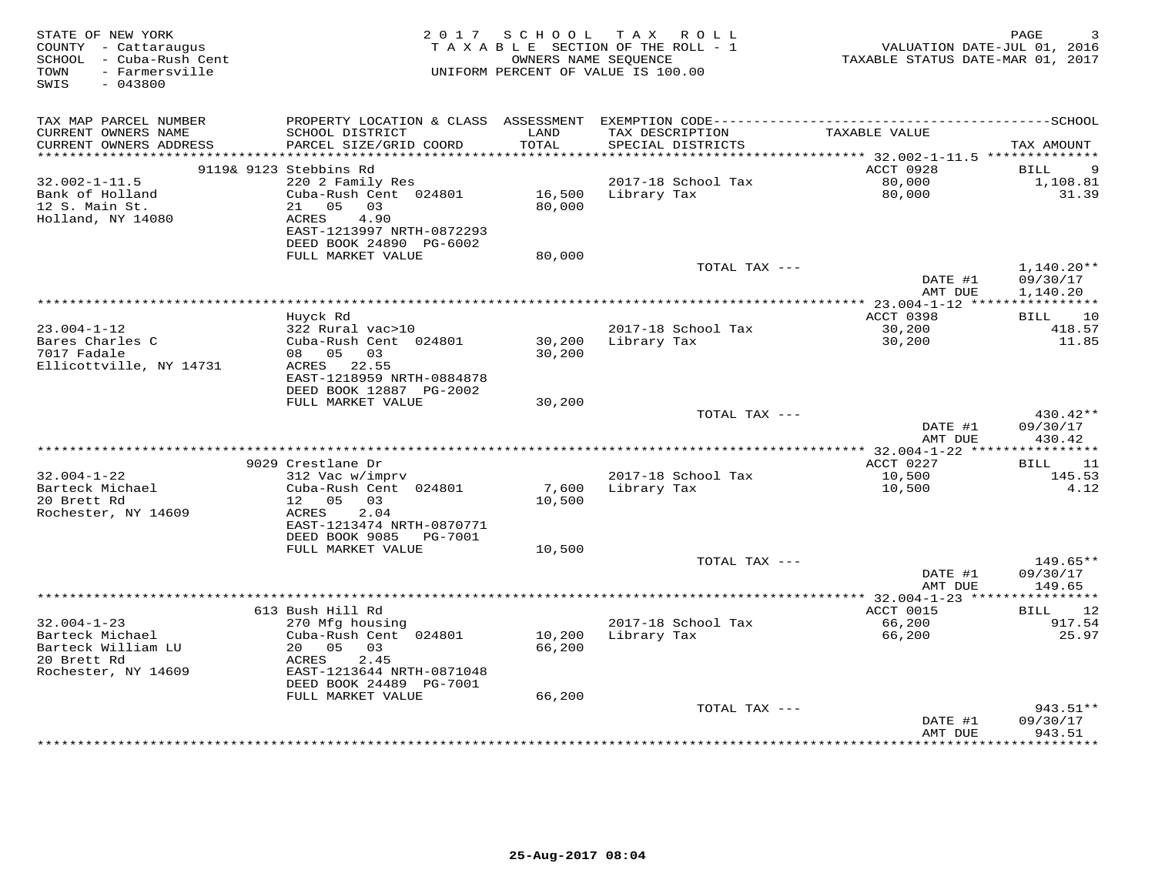| STATE OF NEW YORK<br>COUNTY - Cattaraugus<br>SCHOOL - Cuba-Rush Cent<br>- Farmersville<br>TOWN |                                              | 2017 SCHOOL         | TAX ROLL<br>TAXABLE SECTION OF THE ROLL - 1<br>OWNERS NAME SEQUENCE<br>UNIFORM PERCENT OF VALUE IS 100.00 | VALUATION DATE-JUL 01, 2016<br>TAXABLE STATUS DATE-MAR 01, 2017 | PAGE                 |
|------------------------------------------------------------------------------------------------|----------------------------------------------|---------------------|-----------------------------------------------------------------------------------------------------------|-----------------------------------------------------------------|----------------------|
| SWIS<br>$-043800$                                                                              |                                              |                     |                                                                                                           |                                                                 |                      |
| TAX MAP PARCEL NUMBER                                                                          | PROPERTY LOCATION & CLASS ASSESSMENT         |                     |                                                                                                           |                                                                 |                      |
| CURRENT OWNERS NAME<br>CURRENT OWNERS ADDRESS                                                  | SCHOOL DISTRICT<br>PARCEL SIZE/GRID COORD    | LAND<br>TOTAL       | TAX DESCRIPTION<br>SPECIAL DISTRICTS                                                                      | TAXABLE VALUE                                                   | TAX AMOUNT           |
| ***********************                                                                        |                                              | * * * * * * * * * * |                                                                                                           | *********** 32.002-1-11.5 **************                        |                      |
|                                                                                                | 9119& 9123 Stebbins Rd                       |                     |                                                                                                           | ACCT 0928                                                       | BILL<br>9            |
| $32.002 - 1 - 11.5$                                                                            | 220 2 Family Res                             |                     | 2017-18 School Tax                                                                                        | 80,000                                                          | 1,108.81             |
| Bank of Holland                                                                                | Cuba-Rush Cent 024801                        | 16,500              | Library Tax                                                                                               | 80,000                                                          | 31.39                |
| 12 S. Main St.                                                                                 | 05<br>21<br>03<br>ACRES<br>4.90              | 80,000              |                                                                                                           |                                                                 |                      |
| Holland, NY 14080                                                                              | EAST-1213997 NRTH-0872293                    |                     |                                                                                                           |                                                                 |                      |
|                                                                                                | DEED BOOK 24890 PG-6002                      |                     |                                                                                                           |                                                                 |                      |
|                                                                                                | FULL MARKET VALUE                            | 80,000              |                                                                                                           |                                                                 |                      |
|                                                                                                |                                              |                     | TOTAL TAX ---                                                                                             |                                                                 | $1,140.20**$         |
|                                                                                                |                                              |                     |                                                                                                           | DATE #1                                                         | 09/30/17             |
|                                                                                                |                                              |                     | *************                                                                                             | AMT DUE                                                         | 1,140.20             |
|                                                                                                | Huvck Rd                                     |                     |                                                                                                           | *** 23.004-1-12 ****<br>ACCT 0398                               | 10<br>BILL           |
| $23.004 - 1 - 12$                                                                              | 322 Rural vac>10                             |                     | 2017-18 School Tax                                                                                        | 30,200                                                          | 418.57               |
| Bares Charles C                                                                                | Cuba-Rush Cent 024801                        | 30,200              | Library Tax                                                                                               | 30,200                                                          | 11.85                |
| 7017 Fadale                                                                                    | 08 05 03                                     | 30,200              |                                                                                                           |                                                                 |                      |
| Ellicottville, NY 14731                                                                        | ACRES 22.55                                  |                     |                                                                                                           |                                                                 |                      |
|                                                                                                | EAST-1218959 NRTH-0884878                    |                     |                                                                                                           |                                                                 |                      |
|                                                                                                | DEED BOOK 12887 PG-2002<br>FULL MARKET VALUE | 30,200              |                                                                                                           |                                                                 |                      |
|                                                                                                |                                              |                     | TOTAL TAX ---                                                                                             |                                                                 | 430.42**             |
|                                                                                                |                                              |                     |                                                                                                           | DATE #1                                                         | 09/30/17             |
|                                                                                                |                                              |                     |                                                                                                           | AMT DUE                                                         | 430.42               |
|                                                                                                |                                              |                     |                                                                                                           |                                                                 |                      |
|                                                                                                | 9029 Crestlane Dr                            |                     |                                                                                                           | ACCT 0227                                                       | BILL<br>11           |
| $32.004 - 1 - 22$<br>Barteck Michael                                                           | 312 Vac w/imprv<br>Cuba-Rush Cent 024801     | 7,600               | 2017-18 School Tax<br>Library Tax                                                                         | 10,500<br>10,500                                                | 145.53<br>4.12       |
| 20 Brett Rd                                                                                    | 12 05<br>03                                  | 10,500              |                                                                                                           |                                                                 |                      |
| Rochester, NY 14609                                                                            | 2.04<br>ACRES                                |                     |                                                                                                           |                                                                 |                      |
|                                                                                                | EAST-1213474 NRTH-0870771                    |                     |                                                                                                           |                                                                 |                      |
|                                                                                                | DEED BOOK 9085<br><b>PG-7001</b>             |                     |                                                                                                           |                                                                 |                      |
|                                                                                                | FULL MARKET VALUE                            | 10,500              |                                                                                                           |                                                                 |                      |
|                                                                                                |                                              |                     | TOTAL TAX ---                                                                                             | DATE #1                                                         | 149.65**<br>09/30/17 |
|                                                                                                |                                              |                     |                                                                                                           | AMT DUE                                                         | 149.65               |
|                                                                                                |                                              |                     |                                                                                                           | ********** 32.004-1-23 *****                                    | ***********          |
|                                                                                                | 613 Bush Hill Rd                             |                     |                                                                                                           | ACCT 0015                                                       | 12<br>BILL           |
| $32.004 - 1 - 23$                                                                              | 270 Mfg housing                              |                     | 2017-18 School Tax                                                                                        | 66,200                                                          | 917.54               |
| Barteck Michael                                                                                | Cuba-Rush Cent 024801                        | 10,200              | Library Tax                                                                                               | 66,200                                                          | 25.97                |
| Barteck William LU<br>20 Brett Rd                                                              | 20<br>05<br>03<br>ACRES<br>2.45              | 66,200              |                                                                                                           |                                                                 |                      |
| Rochester, NY 14609                                                                            | EAST-1213644 NRTH-0871048                    |                     |                                                                                                           |                                                                 |                      |
|                                                                                                | DEED BOOK 24489 PG-7001                      |                     |                                                                                                           |                                                                 |                      |
|                                                                                                | FULL MARKET VALUE                            | 66,200              |                                                                                                           |                                                                 |                      |
|                                                                                                |                                              |                     | TOTAL TAX ---                                                                                             |                                                                 | 943.51**             |
|                                                                                                |                                              |                     |                                                                                                           | DATE #1                                                         | 09/30/17             |
|                                                                                                |                                              |                     |                                                                                                           | AMT DUE<br>* * * * * * * * *                                    | 943.51<br>********   |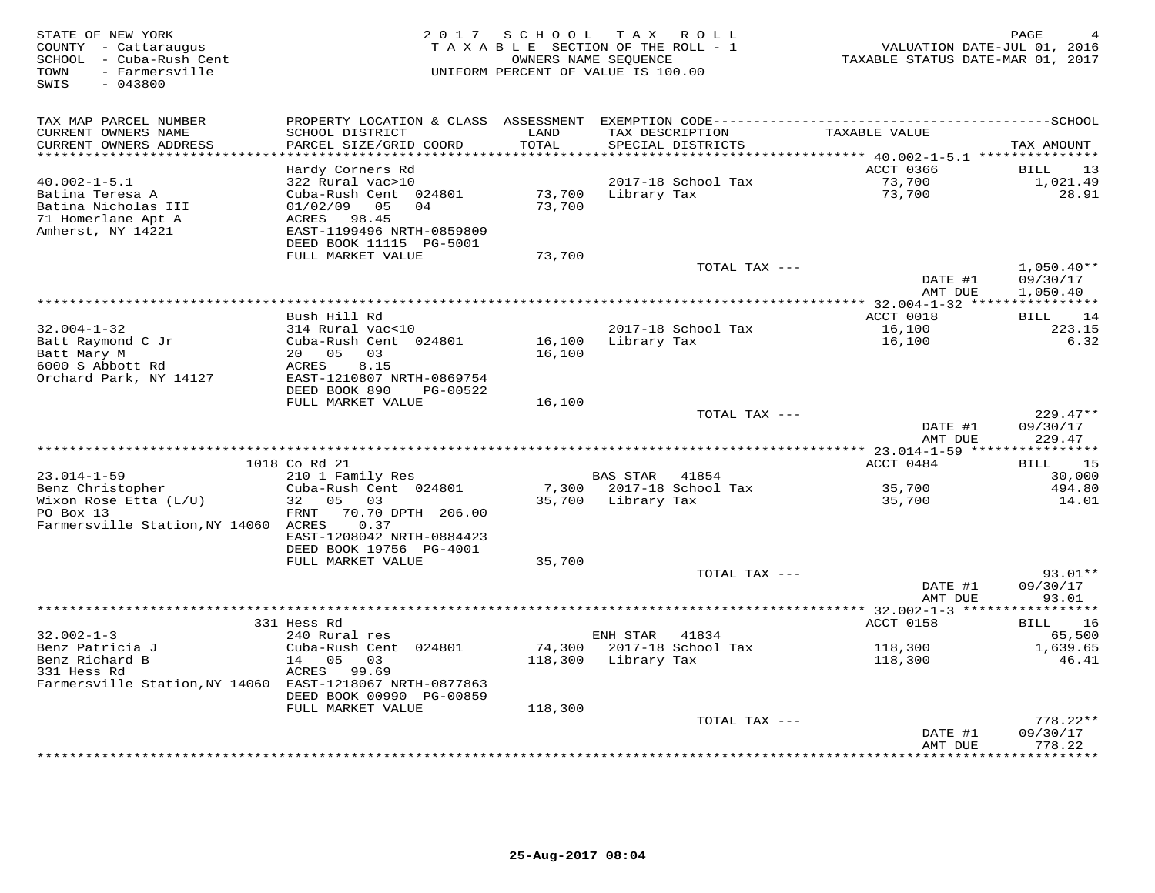| STATE OF NEW YORK<br>COUNTY - Cattaraugus<br>SCHOOL - Cuba-Rush Cent<br>- Farmersville<br>TOWN<br>SWIS<br>$-043800$ | 2 0 1 7                                                                                                          |                  | SCHOOL TAX ROLL<br>TAXABLE SECTION OF THE ROLL - 1<br>OWNERS NAME SEQUENCE<br>UNIFORM PERCENT OF VALUE IS 100.00 | VALUATION DATE-JUL 01, 2016<br>TAXABLE STATUS DATE-MAR 01, 2017 | PAGE                             |
|---------------------------------------------------------------------------------------------------------------------|------------------------------------------------------------------------------------------------------------------|------------------|------------------------------------------------------------------------------------------------------------------|-----------------------------------------------------------------|----------------------------------|
| TAX MAP PARCEL NUMBER<br>CURRENT OWNERS NAME                                                                        | SCHOOL DISTRICT                                                                                                  | LAND             | TAX DESCRIPTION                                                                                                  | TAXABLE VALUE                                                   |                                  |
| CURRENT OWNERS ADDRESS                                                                                              | PARCEL SIZE/GRID COORD                                                                                           | TOTAL<br>******  | SPECIAL DISTRICTS                                                                                                | ******** 40.002-1-5.1 ***************                           | TAX AMOUNT                       |
|                                                                                                                     | Hardy Corners Rd                                                                                                 |                  |                                                                                                                  | ACCT 0366                                                       | 13<br>BILL                       |
| $40.002 - 1 - 5.1$<br>Batina Teresa A<br>Batina Nicholas III<br>71 Homerlane Apt A<br>Amherst, NY 14221             | 322 Rural vac>10<br>Cuba-Rush Cent 024801<br>01/02/09<br>05<br>04<br>98.45<br>ACRES<br>EAST-1199496 NRTH-0859809 | 73,700<br>73,700 | 2017-18 School Tax<br>Library Tax                                                                                | 73,700<br>73,700                                                | 1,021.49<br>28.91                |
|                                                                                                                     | DEED BOOK 11115 PG-5001                                                                                          |                  |                                                                                                                  |                                                                 |                                  |
|                                                                                                                     | FULL MARKET VALUE                                                                                                | 73,700           |                                                                                                                  |                                                                 |                                  |
|                                                                                                                     |                                                                                                                  |                  | TOTAL TAX ---                                                                                                    | DATE #1                                                         | $1,050.40**$<br>09/30/17         |
|                                                                                                                     |                                                                                                                  |                  |                                                                                                                  | AMT DUE                                                         | 1,050.40                         |
|                                                                                                                     | Bush Hill Rd                                                                                                     |                  |                                                                                                                  | ACCT 0018                                                       | <b>BILL</b><br>14                |
| $32.004 - 1 - 32$                                                                                                   | 314 Rural vac<10                                                                                                 |                  | 2017-18 School Tax                                                                                               | 16,100                                                          | 223.15                           |
| Batt Raymond C Jr                                                                                                   | Cuba-Rush Cent 024801                                                                                            | 16,100           | Library Tax                                                                                                      | 16,100                                                          | 6.32                             |
| Batt Mary M                                                                                                         | 03<br>20 05                                                                                                      | 16,100           |                                                                                                                  |                                                                 |                                  |
| 6000 S Abbott Rd                                                                                                    | ACRES<br>8.15                                                                                                    |                  |                                                                                                                  |                                                                 |                                  |
| Orchard Park, NY 14127                                                                                              | EAST-1210807 NRTH-0869754<br>DEED BOOK 890<br>PG-00522                                                           |                  |                                                                                                                  |                                                                 |                                  |
|                                                                                                                     | FULL MARKET VALUE                                                                                                | 16,100           |                                                                                                                  |                                                                 |                                  |
|                                                                                                                     |                                                                                                                  |                  | TOTAL TAX ---                                                                                                    | DATE #1<br>AMT DUE                                              | $229.47**$<br>09/30/17<br>229.47 |
|                                                                                                                     |                                                                                                                  |                  |                                                                                                                  |                                                                 |                                  |
|                                                                                                                     | 1018 Co Rd 21                                                                                                    |                  |                                                                                                                  | ACCT 0484                                                       | 15<br>BILL                       |
| $23.014 - 1 - 59$                                                                                                   | 210 1 Family Res                                                                                                 |                  | <b>BAS STAR</b><br>41854                                                                                         |                                                                 | 30,000                           |
| Benz Christopher                                                                                                    | Cuba-Rush Cent 024801                                                                                            | 7,300            | 2017-18 School Tax                                                                                               | 35,700                                                          | 494.80                           |
| Wixon Rose Etta (L/U)<br>PO Box 13<br>Farmersville Station, NY 14060 ACRES                                          | 32<br>05 03<br>FRNT<br>70.70 DPTH 206.00<br>0.37<br>EAST-1208042 NRTH-0884423<br>DEED BOOK 19756 PG-4001         | 35,700           | Library Tax                                                                                                      | 35,700                                                          | 14.01                            |
|                                                                                                                     | FULL MARKET VALUE                                                                                                | 35,700           |                                                                                                                  |                                                                 |                                  |
|                                                                                                                     |                                                                                                                  |                  | TOTAL TAX ---                                                                                                    | DATE #1                                                         | 93.01**<br>09/30/17              |
|                                                                                                                     |                                                                                                                  |                  |                                                                                                                  | AMT DUE<br>************ 32.002-1-3 *****                        | 93.01<br>*********               |
|                                                                                                                     | 331 Hess Rd                                                                                                      |                  |                                                                                                                  | ACCT 0158                                                       | 16<br>BILL                       |
| $32.002 - 1 - 3$                                                                                                    | 240 Rural res                                                                                                    |                  | ENH STAR<br>41834                                                                                                |                                                                 | 65,500                           |
| Benz Patricia J                                                                                                     | Cuba-Rush Cent 024801                                                                                            | 74,300           | 2017-18 School Tax                                                                                               | 118,300                                                         | 1,639.65                         |
| Benz Richard B                                                                                                      | 14 05<br>03                                                                                                      | 118,300          | Library Tax                                                                                                      | 118,300                                                         | 46.41                            |
| 331 Hess Rd<br>Farmersville Station, NY 14060 EAST-1218067 NRTH-0877863                                             | ACRES 99.69                                                                                                      |                  |                                                                                                                  |                                                                 |                                  |
|                                                                                                                     | DEED BOOK 00990 PG-00859                                                                                         |                  |                                                                                                                  |                                                                 |                                  |
|                                                                                                                     | FULL MARKET VALUE                                                                                                | 118,300          |                                                                                                                  |                                                                 | $778.22**$                       |
|                                                                                                                     |                                                                                                                  |                  | TOTAL TAX ---                                                                                                    | DATE #1                                                         | 09/30/17                         |
|                                                                                                                     |                                                                                                                  |                  |                                                                                                                  | AMT DUE<br>*************                                        | 778.22<br>* * * * * * * * *      |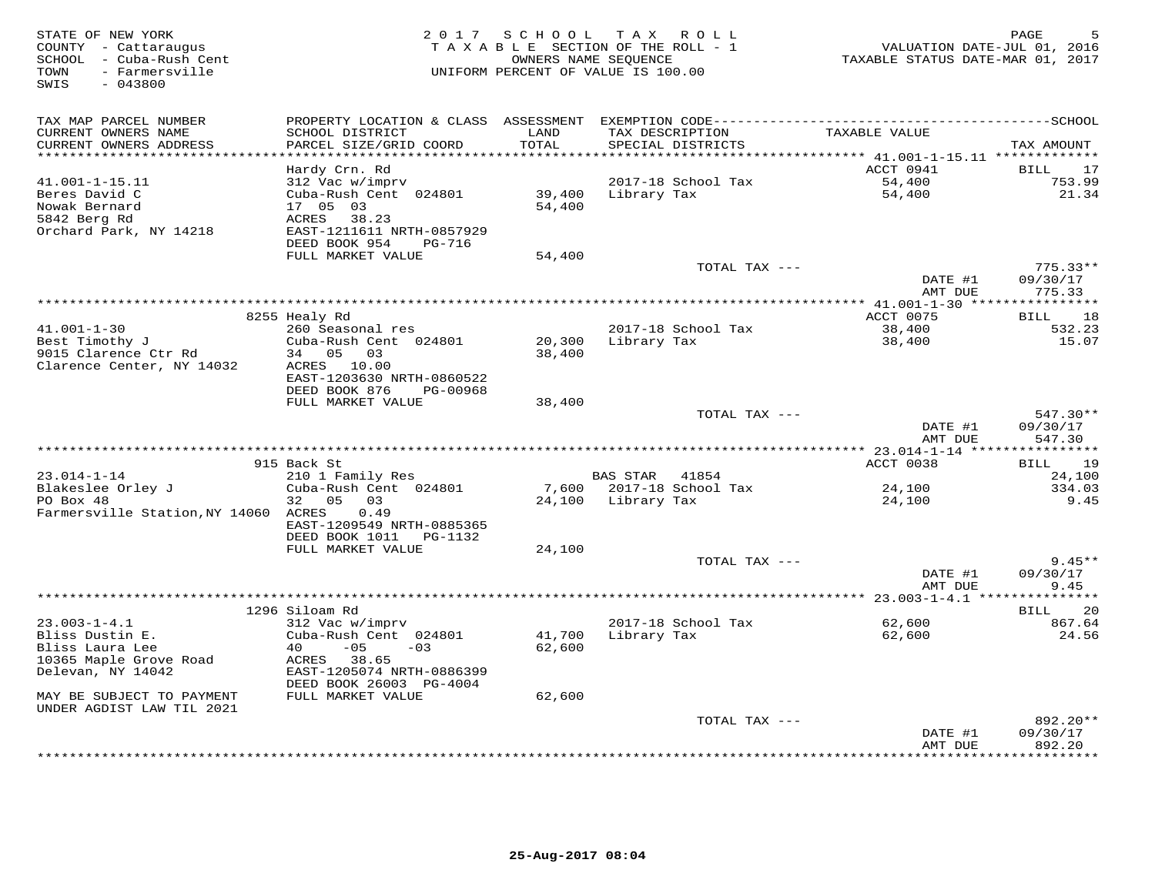| STATE OF NEW YORK<br>COUNTY - Cattaraugus<br>SCHOOL - Cuba-Rush Cent<br>TOWN<br>- Farmersville<br>$-043800$<br>SWIS |                                                                                                                                                 | OWNERS NAME SEQUENCE  | 2017 SCHOOL TAX ROLL<br>TAXABLE SECTION OF THE ROLL - 1<br>UNIFORM PERCENT OF VALUE IS 100.00 | TAXABLE STATUS DATE-MAR 01, 2017        | PAGE<br>5<br>VALUATION DATE-JUL 01, 2016 |
|---------------------------------------------------------------------------------------------------------------------|-------------------------------------------------------------------------------------------------------------------------------------------------|-----------------------|-----------------------------------------------------------------------------------------------|-----------------------------------------|------------------------------------------|
| TAX MAP PARCEL NUMBER<br>CURRENT OWNERS NAME<br>CURRENT OWNERS ADDRESS                                              | SCHOOL DISTRICT<br>PARCEL SIZE/GRID COORD                                                                                                       | LAND<br>TOTAL         | TAX DESCRIPTION<br>SPECIAL DISTRICTS                                                          | TAXABLE VALUE                           | TAX AMOUNT                               |
|                                                                                                                     |                                                                                                                                                 | * * * * * * * * * * * |                                                                                               | ********* 41.001-1-15.11 ************** |                                          |
| $41.001 - 1 - 15.11$<br>Beres David C<br>Nowak Bernard<br>5842 Berg Rd<br>Orchard Park, NY 14218                    | Hardy Crn. Rd<br>312 Vac w/imprv<br>Cuba-Rush Cent 024801<br>17 05 03<br>ACRES<br>38.23<br>EAST-1211611 NRTH-0857929<br>DEED BOOK 954<br>PG-716 | 39,400<br>54,400      | 2017-18 School Tax<br>Library Tax                                                             | ACCT 0941<br>54,400<br>54,400           | BILL<br>17<br>753.99<br>21.34            |
|                                                                                                                     | FULL MARKET VALUE                                                                                                                               | 54,400                | TOTAL TAX ---                                                                                 |                                         | $775.33**$                               |
|                                                                                                                     |                                                                                                                                                 |                       |                                                                                               | DATE #1<br>AMT DUE                      | 09/30/17<br>775.33                       |
|                                                                                                                     |                                                                                                                                                 |                       |                                                                                               |                                         |                                          |
| $41.001 - 1 - 30$                                                                                                   | 8255 Healy Rd<br>260 Seasonal res                                                                                                               |                       | 2017-18 School Tax                                                                            | ACCT 0075<br>38,400                     | 18<br><b>BILL</b><br>532.23              |
| Best Timothy J<br>9015 Clarence Ctr Rd                                                                              | Cuba-Rush Cent 024801<br>34 05 03                                                                                                               | 20,300<br>38,400      | Library Tax                                                                                   | 38,400                                  | 15.07                                    |
| Clarence Center, NY 14032                                                                                           | ACRES 10.00<br>EAST-1203630 NRTH-0860522<br>DEED BOOK 876<br>PG-00968                                                                           |                       |                                                                                               |                                         |                                          |
|                                                                                                                     | FULL MARKET VALUE                                                                                                                               | 38,400                | TOTAL TAX ---                                                                                 |                                         | 547.30**                                 |
|                                                                                                                     |                                                                                                                                                 |                       |                                                                                               | DATE #1<br>AMT DUE                      | 09/30/17<br>547.30                       |
|                                                                                                                     |                                                                                                                                                 |                       |                                                                                               |                                         |                                          |
| $23.014 - 1 - 14$                                                                                                   | 915 Back St<br>210 1 Family Res                                                                                                                 |                       | BAS STAR 41854                                                                                | ACCT 0038                               | 19<br>BILL<br>24,100                     |
| Blakeslee Orley J                                                                                                   | Cuba-Rush Cent 024801                                                                                                                           | 7,600                 | 2017-18 School Tax                                                                            | 24,100                                  | 334.03                                   |
| PO Box 48<br>Farmersville Station, NY 14060 ACRES                                                                   | 05 03<br>32<br>0.49                                                                                                                             | 24,100                | Library Tax                                                                                   | 24,100                                  | 9.45                                     |
|                                                                                                                     | EAST-1209549 NRTH-0885365<br>DEED BOOK 1011    PG-1132<br>FULL MARKET VALUE                                                                     | 24,100                |                                                                                               |                                         |                                          |
|                                                                                                                     |                                                                                                                                                 |                       | TOTAL TAX ---                                                                                 |                                         | $9.45**$                                 |
|                                                                                                                     |                                                                                                                                                 |                       |                                                                                               | DATE #1<br>AMT DUE                      | 09/30/17<br>9.45                         |
|                                                                                                                     | 1296 Siloam Rd                                                                                                                                  |                       |                                                                                               |                                         | 20<br>BILL                               |
| $23.003 - 1 - 4.1$<br>Bliss Dustin E.<br>Bliss Laura Lee<br>10365 Maple Grove Road                                  | 312 Vac w/imprv<br>Cuba-Rush Cent 024801<br>$-05$<br>$-03$<br>ACRES 38.65                                                                       | 41,700<br>62,600      | 2017-18 School Tax<br>Library Tax                                                             | 62,600<br>62,600                        | 867.64<br>24.56                          |
| Delevan, NY 14042<br>MAY BE SUBJECT TO PAYMENT<br>UNDER AGDIST LAW TIL 2021                                         | EAST-1205074 NRTH-0886399<br>DEED BOOK 26003 PG-4004<br>FULL MARKET VALUE                                                                       | 62,600                |                                                                                               |                                         |                                          |
|                                                                                                                     |                                                                                                                                                 |                       | TOTAL TAX ---                                                                                 |                                         | 892.20**                                 |
|                                                                                                                     |                                                                                                                                                 |                       |                                                                                               | DATE #1<br>AMT DUE                      | 09/30/17<br>892.20                       |
|                                                                                                                     |                                                                                                                                                 |                       |                                                                                               |                                         | *********                                |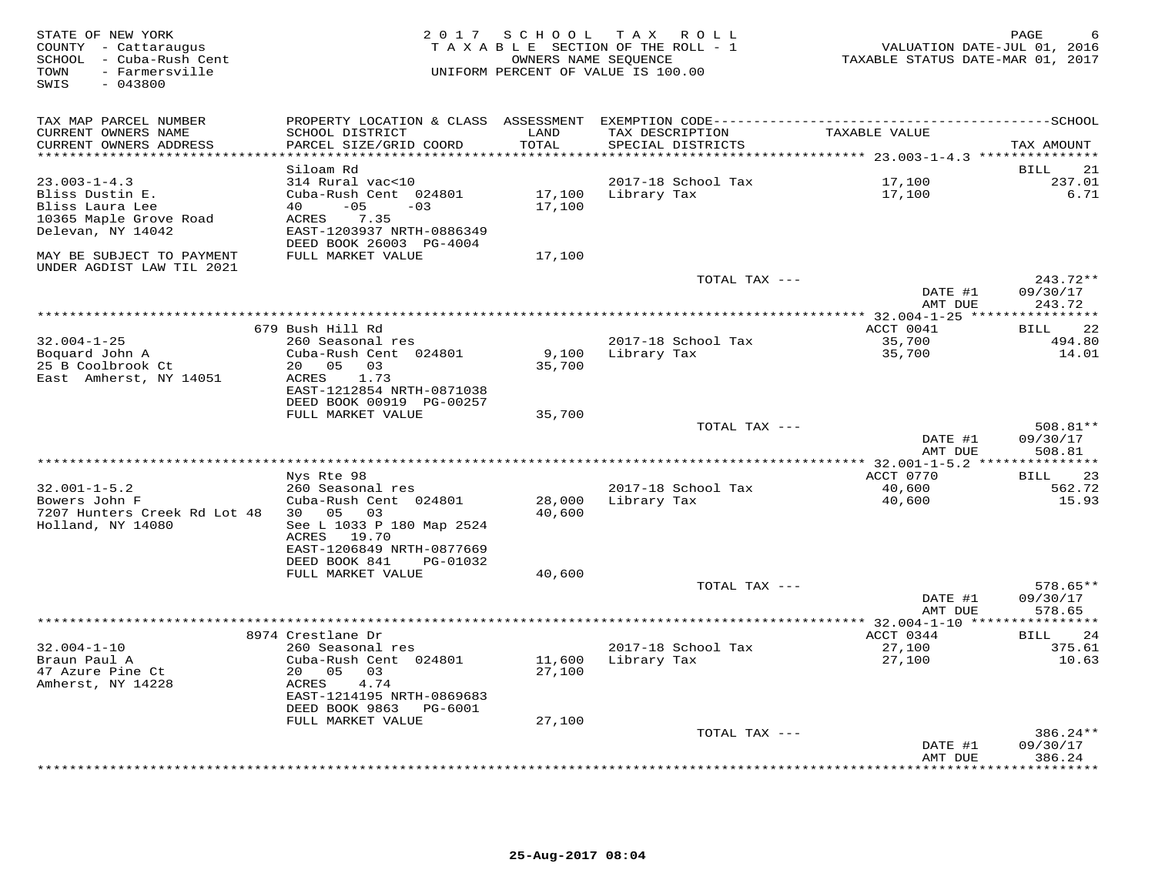| STATE OF NEW YORK<br>COUNTY - Cattaraugus<br>SCHOOL - Cuba-Rush Cent<br>- Farmersville<br>TOWN<br>SWIS<br>$-043800$ | 2 0 1 7                                                                                                         | SCHOOL<br>OWNERS NAME SEOUENCE | TAX ROLL<br>TAXABLE SECTION OF THE ROLL - 1<br>UNIFORM PERCENT OF VALUE IS 100.00 | VALUATION DATE-JUL 01, 2016<br>TAXABLE STATUS DATE-MAR 01, 2017 | PAGE                      |
|---------------------------------------------------------------------------------------------------------------------|-----------------------------------------------------------------------------------------------------------------|--------------------------------|-----------------------------------------------------------------------------------|-----------------------------------------------------------------|---------------------------|
| TAX MAP PARCEL NUMBER<br>CURRENT OWNERS NAME                                                                        | PROPERTY LOCATION & CLASS ASSESSMENT EXEMPTION CODE-----------------------------------SCHOOL<br>SCHOOL DISTRICT | LAND                           | TAX DESCRIPTION                                                                   | TAXABLE VALUE                                                   |                           |
| CURRENT OWNERS ADDRESS<br>***********************                                                                   | PARCEL SIZE/GRID COORD<br>***********************                                                               | TOTAL<br>************          | SPECIAL DISTRICTS                                                                 |                                                                 | TAX AMOUNT                |
|                                                                                                                     | Siloam Rd                                                                                                       |                                |                                                                                   |                                                                 | 21<br>BILL                |
| $23.003 - 1 - 4.3$                                                                                                  | 314 Rural vac<10                                                                                                |                                | 2017-18 School Tax                                                                | 17,100                                                          | 237.01                    |
| Bliss Dustin E.                                                                                                     | Cuba-Rush Cent 024801                                                                                           | 17,100                         | Library Tax                                                                       | 17,100                                                          | 6.71                      |
| Bliss Laura Lee                                                                                                     | 40<br>$-05$<br>$-0.3$                                                                                           | 17,100                         |                                                                                   |                                                                 |                           |
| 10365 Maple Grove Road<br>Delevan, NY 14042                                                                         | 7.35<br>ACRES<br>EAST-1203937 NRTH-0886349<br>DEED BOOK 26003 PG-4004                                           |                                |                                                                                   |                                                                 |                           |
| MAY BE SUBJECT TO PAYMENT<br>UNDER AGDIST LAW TIL 2021                                                              | FULL MARKET VALUE                                                                                               | 17,100                         |                                                                                   |                                                                 |                           |
|                                                                                                                     |                                                                                                                 |                                | TOTAL TAX ---                                                                     |                                                                 | 243.72**                  |
|                                                                                                                     |                                                                                                                 |                                |                                                                                   | DATE #1<br>AMT DUE                                              | 09/30/17<br>243.72        |
|                                                                                                                     |                                                                                                                 |                                |                                                                                   |                                                                 |                           |
|                                                                                                                     | 679 Bush Hill Rd                                                                                                |                                |                                                                                   | ACCT 0041                                                       | 22<br>BILL                |
| $32.004 - 1 - 25$                                                                                                   | 260 Seasonal res                                                                                                |                                | 2017-18 School Tax                                                                | 35,700                                                          | 494.80                    |
| Boquard John A<br>25 B Coolbrook Ct                                                                                 | Cuba-Rush Cent 024801<br>20 05<br>03                                                                            | 9,100<br>35,700                | Library Tax                                                                       | 35,700                                                          | 14.01                     |
| East Amherst, NY 14051                                                                                              | ACRES<br>1.73                                                                                                   |                                |                                                                                   |                                                                 |                           |
|                                                                                                                     | EAST-1212854 NRTH-0871038                                                                                       |                                |                                                                                   |                                                                 |                           |
|                                                                                                                     | DEED BOOK 00919 PG-00257<br>FULL MARKET VALUE                                                                   |                                |                                                                                   |                                                                 |                           |
|                                                                                                                     |                                                                                                                 | 35,700                         | TOTAL TAX ---                                                                     |                                                                 | 508.81**                  |
|                                                                                                                     |                                                                                                                 |                                |                                                                                   | DATE #1                                                         | 09/30/17                  |
|                                                                                                                     |                                                                                                                 |                                |                                                                                   | AMT DUE                                                         | 508.81                    |
|                                                                                                                     | Nys Rte 98                                                                                                      |                                |                                                                                   | ACCT 0770                                                       | 23<br>BILL                |
| $32.001 - 1 - 5.2$                                                                                                  | 260 Seasonal res                                                                                                |                                | 2017-18 School Tax                                                                | 40,600                                                          | 562.72                    |
| Bowers John F                                                                                                       | Cuba-Rush Cent 024801                                                                                           | 28,000                         | Library Tax                                                                       | 40,600                                                          | 15.93                     |
| 7207 Hunters Creek Rd Lot 48                                                                                        | 30  05  03                                                                                                      | 40,600                         |                                                                                   |                                                                 |                           |
| Holland, NY 14080                                                                                                   | See L 1033 P 180 Map 2524<br>ACRES 19.70                                                                        |                                |                                                                                   |                                                                 |                           |
|                                                                                                                     | EAST-1206849 NRTH-0877669                                                                                       |                                |                                                                                   |                                                                 |                           |
|                                                                                                                     | DEED BOOK 841<br>PG-01032                                                                                       |                                |                                                                                   |                                                                 |                           |
|                                                                                                                     | FULL MARKET VALUE                                                                                               | 40,600                         |                                                                                   |                                                                 |                           |
|                                                                                                                     |                                                                                                                 |                                | TOTAL TAX ---                                                                     | DATE #1                                                         | $578.65**$<br>09/30/17    |
|                                                                                                                     |                                                                                                                 |                                |                                                                                   | AMT DUE                                                         | 578.65                    |
|                                                                                                                     |                                                                                                                 |                                |                                                                                   | ** 32.004-1-10 *****                                            | **********                |
|                                                                                                                     | 8974 Crestlane Dr                                                                                               |                                |                                                                                   | ACCT 0344                                                       | 24<br>BILL                |
| $32.004 - 1 - 10$<br>Braun Paul A                                                                                   | 260 Seasonal res<br>Cuba-Rush Cent 024801                                                                       | 11,600                         | 2017-18 School Tax<br>Library Tax                                                 | 27,100<br>27,100                                                | 375.61<br>10.63           |
| 47 Azure Pine Ct                                                                                                    | 20 05<br>03                                                                                                     | 27,100                         |                                                                                   |                                                                 |                           |
| Amherst, NY 14228                                                                                                   | ACRES<br>4.74                                                                                                   |                                |                                                                                   |                                                                 |                           |
|                                                                                                                     | EAST-1214195 NRTH-0869683                                                                                       |                                |                                                                                   |                                                                 |                           |
|                                                                                                                     | DEED BOOK 9863<br>PG-6001<br>FULL MARKET VALUE                                                                  | 27,100                         |                                                                                   |                                                                 |                           |
|                                                                                                                     |                                                                                                                 |                                | TOTAL TAX ---                                                                     |                                                                 | $386.24**$                |
|                                                                                                                     |                                                                                                                 |                                |                                                                                   | DATE #1                                                         | 09/30/17                  |
|                                                                                                                     |                                                                                                                 |                                |                                                                                   | AMT DUE                                                         | 386.24<br>* * * * * * * * |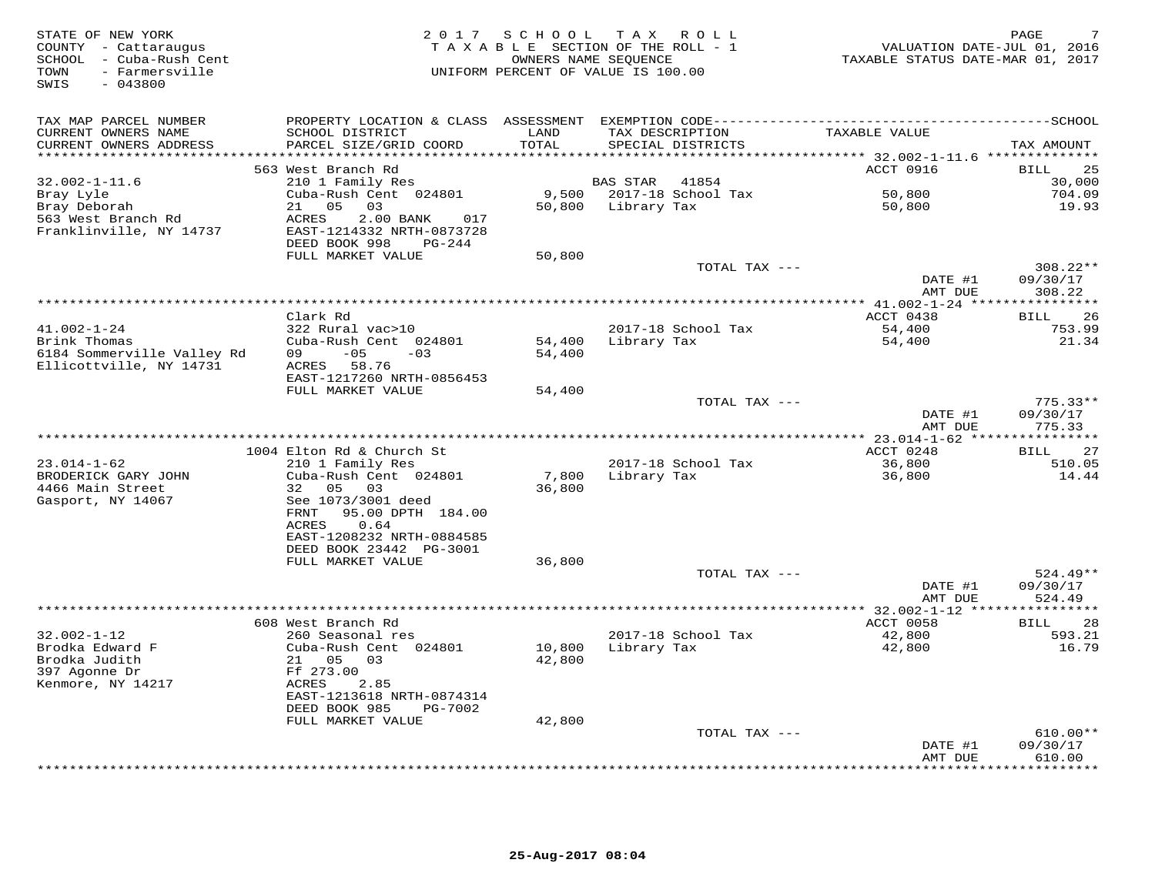| STATE OF NEW YORK<br>COUNTY - Cattaraugus<br>SCHOOL - Cuba-Rush Cent<br>- Farmersville<br>TOWN<br>$-043800$<br>SWIS | 2 0 1 7                                                      | SCHOOL<br>TAXABLE SECTION OF THE ROLL - 1<br>UNIFORM PERCENT OF VALUE IS 100.00 | OWNERS NAME SEQUENCE     | TAX ROLL           | VALUATION DATE-JUL 01, 2016<br>TAXABLE STATUS DATE-MAR 01, 2017 | PAGE                    |
|---------------------------------------------------------------------------------------------------------------------|--------------------------------------------------------------|---------------------------------------------------------------------------------|--------------------------|--------------------|-----------------------------------------------------------------|-------------------------|
| TAX MAP PARCEL NUMBER                                                                                               |                                                              |                                                                                 |                          |                    |                                                                 |                         |
| CURRENT OWNERS NAME                                                                                                 | SCHOOL DISTRICT                                              | LAND                                                                            | TAX DESCRIPTION          |                    | TAXABLE VALUE                                                   |                         |
| CURRENT OWNERS ADDRESS<br>***********************                                                                   | PARCEL SIZE/GRID COORD                                       | TOTAL                                                                           |                          | SPECIAL DISTRICTS  |                                                                 | TAX AMOUNT              |
|                                                                                                                     | 563 West Branch Rd                                           |                                                                                 |                          |                    | ACCT 0916                                                       | 25<br>BILL              |
| $32.002 - 1 - 11.6$                                                                                                 | 210 1 Family Res                                             |                                                                                 | BAS STAR                 | 41854              |                                                                 | 30,000                  |
| Bray Lyle                                                                                                           | Cuba-Rush Cent 024801                                        |                                                                                 | 9,500 2017-18 School Tax |                    | 50,800                                                          | 704.09                  |
| Bray Deborah                                                                                                        | 21 05<br>03                                                  | 50,800                                                                          | Library Tax              |                    | 50,800                                                          | 19.93                   |
| 563 West Branch Rd                                                                                                  | ACRES<br>2.00 BANK<br>017                                    |                                                                                 |                          |                    |                                                                 |                         |
| Franklinville, NY 14737                                                                                             | EAST-1214332 NRTH-0873728<br>DEED BOOK 998<br>PG-244         |                                                                                 |                          |                    |                                                                 |                         |
|                                                                                                                     | FULL MARKET VALUE                                            | 50,800                                                                          |                          |                    |                                                                 |                         |
|                                                                                                                     |                                                              |                                                                                 |                          | TOTAL TAX ---      |                                                                 | $308.22**$              |
|                                                                                                                     |                                                              |                                                                                 |                          |                    | DATE #1                                                         | 09/30/17                |
|                                                                                                                     |                                                              |                                                                                 |                          |                    | AMT DUE                                                         | 308.22                  |
|                                                                                                                     | Clark Rd                                                     |                                                                                 |                          |                    | ACCT 0438                                                       | 26                      |
| $41.002 - 1 - 24$                                                                                                   | 322 Rural vac>10                                             |                                                                                 |                          | 2017-18 School Tax | 54,400                                                          | <b>BILL</b><br>753.99   |
| Brink Thomas                                                                                                        | Cuba-Rush Cent 024801                                        | 54,400                                                                          | Library Tax              |                    | 54,400                                                          | 21.34                   |
| 6184 Sommerville Valley Rd                                                                                          | $-05$<br>$-03$<br>09                                         | 54,400                                                                          |                          |                    |                                                                 |                         |
| Ellicottville, NY 14731                                                                                             | 58.76<br>ACRES                                               |                                                                                 |                          |                    |                                                                 |                         |
|                                                                                                                     | EAST-1217260 NRTH-0856453                                    |                                                                                 |                          |                    |                                                                 |                         |
|                                                                                                                     | FULL MARKET VALUE                                            | 54,400                                                                          |                          | TOTAL TAX ---      |                                                                 | $775.33**$              |
|                                                                                                                     |                                                              |                                                                                 |                          |                    | DATE #1                                                         | 09/30/17                |
|                                                                                                                     |                                                              |                                                                                 |                          |                    | AMT DUE                                                         | 775.33                  |
|                                                                                                                     |                                                              |                                                                                 |                          |                    |                                                                 | *********               |
|                                                                                                                     | 1004 Elton Rd & Church St                                    |                                                                                 |                          |                    | ACCT 0248                                                       | 27<br><b>BILL</b>       |
| $23.014 - 1 - 62$<br>BRODERICK GARY JOHN                                                                            | 210 1 Family Res<br>Cuba-Rush Cent 024801                    | 7,800                                                                           | Library Tax              | 2017-18 School Tax | 36,800<br>36,800                                                | 510.05<br>14.44         |
| 4466 Main Street                                                                                                    | 32<br>05<br>03                                               | 36,800                                                                          |                          |                    |                                                                 |                         |
| Gasport, NY 14067                                                                                                   | See 1073/3001 deed                                           |                                                                                 |                          |                    |                                                                 |                         |
|                                                                                                                     | FRNT<br>95.00 DPTH 184.00                                    |                                                                                 |                          |                    |                                                                 |                         |
|                                                                                                                     | ACRES<br>0.64                                                |                                                                                 |                          |                    |                                                                 |                         |
|                                                                                                                     | EAST-1208232 NRTH-0884585<br>DEED BOOK 23442 PG-3001         |                                                                                 |                          |                    |                                                                 |                         |
|                                                                                                                     | FULL MARKET VALUE                                            | 36,800                                                                          |                          |                    |                                                                 |                         |
|                                                                                                                     |                                                              |                                                                                 |                          | TOTAL TAX ---      |                                                                 | $524.49**$              |
|                                                                                                                     |                                                              |                                                                                 |                          |                    | DATE #1                                                         | 09/30/17                |
|                                                                                                                     |                                                              |                                                                                 |                          |                    | AMT DUE                                                         | 524.49                  |
|                                                                                                                     |                                                              | **************************************                                          |                          |                    | ******** 32.002-1-12 ***<br>ACCT 0058                           | *********               |
| $32.002 - 1 - 12$                                                                                                   | 608 West Branch Rd<br>260 Seasonal res                       |                                                                                 |                          | 2017-18 School Tax | 42,800                                                          | BILL<br>28<br>593.21    |
| Brodka Edward F                                                                                                     | Cuba-Rush Cent 024801                                        | 10,800                                                                          | Library Tax              |                    | 42,800                                                          | 16.79                   |
| Brodka Judith                                                                                                       | 21 05<br>03                                                  | 42,800                                                                          |                          |                    |                                                                 |                         |
| 397 Agonne Dr                                                                                                       | Ff 273.00                                                    |                                                                                 |                          |                    |                                                                 |                         |
| Kenmore, NY 14217                                                                                                   | ACRES<br>2.85                                                |                                                                                 |                          |                    |                                                                 |                         |
|                                                                                                                     | EAST-1213618 NRTH-0874314<br>DEED BOOK 985<br><b>PG-7002</b> |                                                                                 |                          |                    |                                                                 |                         |
|                                                                                                                     | FULL MARKET VALUE                                            | 42,800                                                                          |                          |                    |                                                                 |                         |
|                                                                                                                     |                                                              |                                                                                 |                          | TOTAL TAX ---      |                                                                 | $610.00**$              |
|                                                                                                                     |                                                              |                                                                                 |                          |                    | DATE #1                                                         | 09/30/17                |
|                                                                                                                     |                                                              |                                                                                 |                          |                    | AMT DUE<br>********                                             | 610.00<br>* * * * * * * |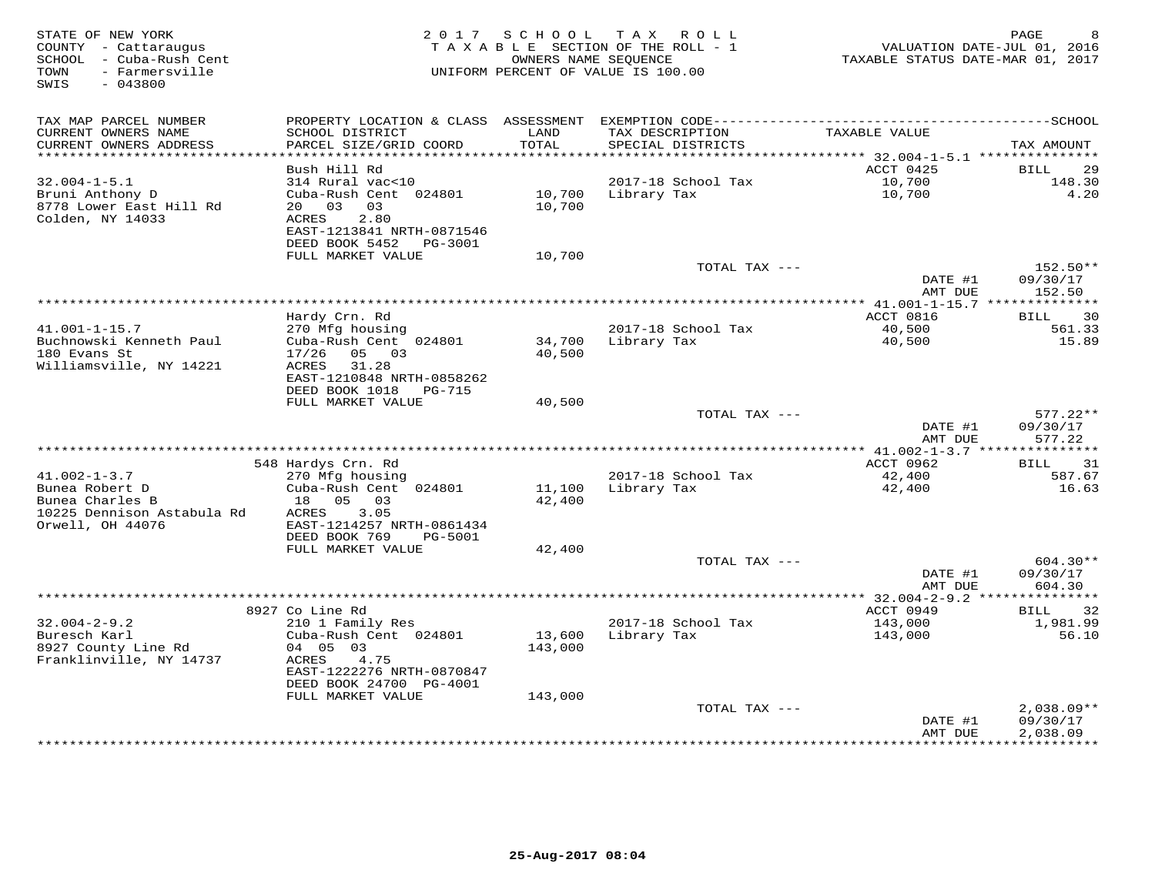| STATE OF NEW YORK<br>COUNTY - Cattaraugus<br>- Cuba-Rush Cent<br>SCHOOL<br>- Farmersville<br>TOWN<br>SWIS<br>$-043800$ | 2 0 1 7                                               | SCHOOL                     | T A X<br>R O L L<br>TAXABLE SECTION OF THE ROLL - 1<br>OWNERS NAME SEQUENCE<br>UNIFORM PERCENT OF VALUE IS 100.00 | VALUATION DATE-JUL 01, 2016<br>TAXABLE STATUS DATE-MAR 01, 2017 | PAGE<br>8            |
|------------------------------------------------------------------------------------------------------------------------|-------------------------------------------------------|----------------------------|-------------------------------------------------------------------------------------------------------------------|-----------------------------------------------------------------|----------------------|
| TAX MAP PARCEL NUMBER                                                                                                  |                                                       |                            |                                                                                                                   |                                                                 |                      |
| CURRENT OWNERS NAME                                                                                                    | SCHOOL DISTRICT                                       | LAND                       | TAX DESCRIPTION                                                                                                   | TAXABLE VALUE                                                   |                      |
| CURRENT OWNERS ADDRESS<br>*******************                                                                          | PARCEL SIZE/GRID COORD                                | TOTAL<br>* * * * * * * * * | SPECIAL DISTRICTS                                                                                                 | *********** 32.004-1-5.1 **********                             | TAX AMOUNT           |
|                                                                                                                        | Bush Hill Rd                                          |                            |                                                                                                                   | ACCT 0425                                                       | <b>BILL</b><br>29    |
| $32.004 - 1 - 5.1$                                                                                                     | 314 Rural vac<10                                      |                            | 2017-18 School Tax                                                                                                | 10,700                                                          | 148.30               |
| Bruni Anthony D                                                                                                        | Cuba-Rush Cent 024801                                 | 10,700                     | Library Tax                                                                                                       | 10,700                                                          | 4.20                 |
| 8778 Lower East Hill Rd                                                                                                | 20 03<br>03                                           | 10,700                     |                                                                                                                   |                                                                 |                      |
| Colden, NY 14033                                                                                                       | 2.80<br>ACRES<br>EAST-1213841 NRTH-0871546            |                            |                                                                                                                   |                                                                 |                      |
|                                                                                                                        | DEED BOOK 5452<br>PG-3001                             |                            |                                                                                                                   |                                                                 |                      |
|                                                                                                                        | FULL MARKET VALUE                                     | 10,700                     |                                                                                                                   |                                                                 |                      |
|                                                                                                                        |                                                       |                            | TOTAL TAX ---                                                                                                     |                                                                 | 152.50**             |
|                                                                                                                        |                                                       |                            |                                                                                                                   | DATE #1<br>AMT DUE                                              | 09/30/17<br>152.50   |
|                                                                                                                        |                                                       |                            | ************************************                                                                              | ****** 41.001-1-15.7 **************                             |                      |
|                                                                                                                        | Hardy Crn. Rd                                         |                            |                                                                                                                   | ACCT 0816                                                       | 30<br><b>BILL</b>    |
| $41.001 - 1 - 15.7$                                                                                                    | 270 Mfg housing                                       |                            | 2017-18 School Tax                                                                                                | 40,500                                                          | 561.33               |
| Buchnowski Kenneth Paul<br>180 Evans St                                                                                | Cuba-Rush Cent 024801<br>17/26<br>05 03               | 34,700<br>40,500           | Library Tax                                                                                                       | 40,500                                                          | 15.89                |
| Williamsville, NY 14221                                                                                                | ACRES<br>31.28                                        |                            |                                                                                                                   |                                                                 |                      |
|                                                                                                                        | EAST-1210848 NRTH-0858262                             |                            |                                                                                                                   |                                                                 |                      |
|                                                                                                                        | DEED BOOK 1018<br>PG-715                              |                            |                                                                                                                   |                                                                 |                      |
|                                                                                                                        | FULL MARKET VALUE                                     | 40,500                     | TOTAL TAX ---                                                                                                     |                                                                 | $577.22**$           |
|                                                                                                                        |                                                       |                            |                                                                                                                   | DATE #1                                                         | 09/30/17             |
|                                                                                                                        |                                                       |                            |                                                                                                                   | AMT DUE                                                         | 577.22               |
|                                                                                                                        |                                                       |                            |                                                                                                                   |                                                                 |                      |
| $41.002 - 1 - 3.7$                                                                                                     | 548 Hardys Crn. Rd<br>270 Mfg housing                 |                            | 2017-18 School Tax                                                                                                | ACCT 0962<br>42,400                                             | 31<br>BILL<br>587.67 |
| Bunea Robert D                                                                                                         | Cuba-Rush Cent 024801                                 | 11,100                     | Library Tax                                                                                                       | 42,400                                                          | 16.63                |
| Bunea Charles B                                                                                                        | 18<br>05<br>03                                        | 42,400                     |                                                                                                                   |                                                                 |                      |
| 10225 Dennison Astabula Rd                                                                                             | ACRES<br>3.05                                         |                            |                                                                                                                   |                                                                 |                      |
| Orwell, OH 44076                                                                                                       | EAST-1214257 NRTH-0861434<br>DEED BOOK 769<br>PG-5001 |                            |                                                                                                                   |                                                                 |                      |
|                                                                                                                        | FULL MARKET VALUE                                     | 42,400                     |                                                                                                                   |                                                                 |                      |
|                                                                                                                        |                                                       |                            | TOTAL TAX ---                                                                                                     |                                                                 | 604.30**             |
|                                                                                                                        |                                                       |                            |                                                                                                                   | DATE #1                                                         | 09/30/17             |
|                                                                                                                        |                                                       |                            |                                                                                                                   | AMT DUE                                                         | 604.30               |
|                                                                                                                        | 8927 Co Line Rd                                       |                            |                                                                                                                   | ************** 32.004-2-9.2 ****************<br>ACCT 0949       | 32<br>BILL           |
| $32.004 - 2 - 9.2$                                                                                                     | 210 1 Family Res                                      |                            | 2017-18 School Tax                                                                                                | 143,000                                                         | 1,981.99             |
| Buresch Karl                                                                                                           | Cuba-Rush Cent 024801                                 | 13,600                     | Library Tax                                                                                                       | 143,000                                                         | 56.10                |
| 8927 County Line Rd                                                                                                    | 04 05 03                                              | 143,000                    |                                                                                                                   |                                                                 |                      |
| Franklinville, NY 14737                                                                                                | ACRES<br>4.75<br>EAST-1222276 NRTH-0870847            |                            |                                                                                                                   |                                                                 |                      |
|                                                                                                                        | DEED BOOK 24700 PG-4001                               |                            |                                                                                                                   |                                                                 |                      |
|                                                                                                                        | FULL MARKET VALUE                                     | 143,000                    |                                                                                                                   |                                                                 |                      |
|                                                                                                                        |                                                       |                            | TOTAL TAX ---                                                                                                     |                                                                 | $2,038.09**$         |
|                                                                                                                        |                                                       |                            |                                                                                                                   | DATE #1<br>AMT DUE                                              | 09/30/17<br>2,038.09 |
|                                                                                                                        |                                                       |                            |                                                                                                                   | **********                                                      | **********           |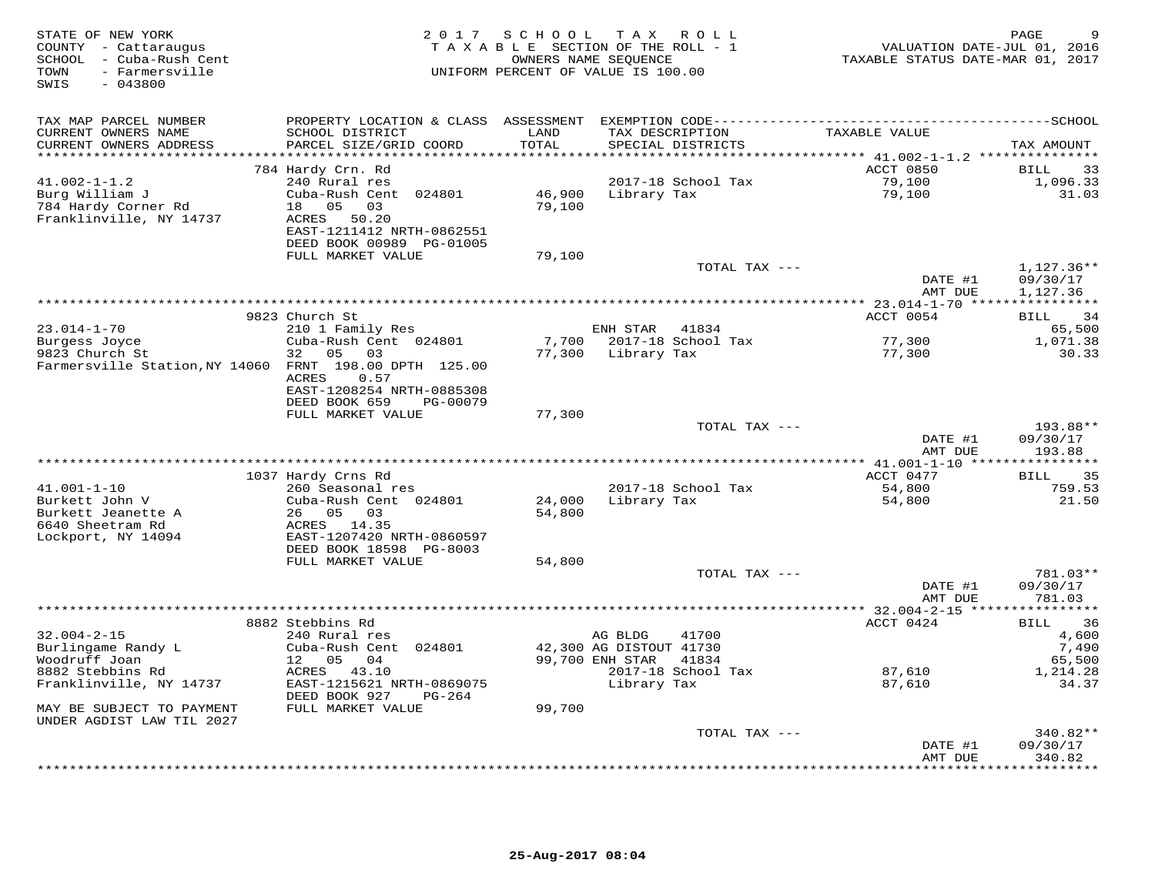| STATE OF NEW YORK<br>COUNTY - Cattaraugus<br>SCHOOL - Cuba-Rush Cent<br>- Farmersville<br>TOWN<br>SWIS<br>$-043800$ | 2 0 1 7                                   | SCHOOL<br>TAXABLE SECTION OF THE ROLL - 1<br>OWNERS NAME SEQUENCE<br>UNIFORM PERCENT OF VALUE IS 100.00 |                                    | TAX ROLL                    | TAXABLE STATUS DATE-MAR 01, 2017 | PAGE<br>VALUATION DATE-JUL 01, 2016 |
|---------------------------------------------------------------------------------------------------------------------|-------------------------------------------|---------------------------------------------------------------------------------------------------------|------------------------------------|-----------------------------|----------------------------------|-------------------------------------|
| TAX MAP PARCEL NUMBER                                                                                               |                                           |                                                                                                         |                                    |                             |                                  |                                     |
| CURRENT OWNERS NAME                                                                                                 | SCHOOL DISTRICT                           | LAND                                                                                                    |                                    | TAX DESCRIPTION             | TAXABLE VALUE                    |                                     |
| CURRENT OWNERS ADDRESS                                                                                              | PARCEL SIZE/GRID COORD                    | TOTAL                                                                                                   |                                    | SPECIAL DISTRICTS           |                                  | TAX AMOUNT                          |
|                                                                                                                     |                                           |                                                                                                         |                                    |                             | ACCT 0850                        | 33<br><b>BILL</b>                   |
| $41.002 - 1 - 1.2$                                                                                                  | 784 Hardy Crn. Rd<br>240 Rural res        |                                                                                                         |                                    | 2017-18 School Tax          | 79,100                           | 1,096.33                            |
| Burg William J                                                                                                      | Cuba-Rush Cent 024801                     | 46,900                                                                                                  | Library Tax                        |                             | 79,100                           | 31.03                               |
| 784 Hardy Corner Rd                                                                                                 | 18  05  03                                | 79,100                                                                                                  |                                    |                             |                                  |                                     |
| Franklinville, NY 14737                                                                                             | ACRES 50.20                               |                                                                                                         |                                    |                             |                                  |                                     |
|                                                                                                                     | EAST-1211412 NRTH-0862551                 |                                                                                                         |                                    |                             |                                  |                                     |
|                                                                                                                     | DEED BOOK 00989 PG-01005                  |                                                                                                         |                                    |                             |                                  |                                     |
|                                                                                                                     | FULL MARKET VALUE                         | 79,100                                                                                                  |                                    | TOTAL TAX ---               |                                  | $1,127.36**$                        |
|                                                                                                                     |                                           |                                                                                                         |                                    |                             | DATE #1                          | 09/30/17                            |
|                                                                                                                     |                                           |                                                                                                         |                                    |                             | AMT DUE                          | 1,127.36                            |
|                                                                                                                     |                                           |                                                                                                         |                                    |                             |                                  |                                     |
|                                                                                                                     | 9823 Church St                            |                                                                                                         |                                    |                             | ACCT 0054                        | 34<br><b>BILL</b>                   |
| $23.014 - 1 - 70$<br>Burgess Joyce                                                                                  | 210 1 Family Res<br>Cuba-Rush Cent 024801 | 7,700                                                                                                   | ENH STAR                           | 41834<br>2017-18 School Tax | 77,300                           | 65,500<br>1,071.38                  |
| 9823 Church St                                                                                                      | 32<br>05<br>03                            | 77,300                                                                                                  | Library Tax                        |                             | 77,300                           | 30.33                               |
| Farmersville Station, NY 14060 FRNT 198.00 DPTH 125.00                                                              |                                           |                                                                                                         |                                    |                             |                                  |                                     |
|                                                                                                                     | ACRES<br>0.57                             |                                                                                                         |                                    |                             |                                  |                                     |
|                                                                                                                     | EAST-1208254 NRTH-0885308                 |                                                                                                         |                                    |                             |                                  |                                     |
|                                                                                                                     | DEED BOOK 659<br>PG-00079                 |                                                                                                         |                                    |                             |                                  |                                     |
|                                                                                                                     | FULL MARKET VALUE                         | 77,300                                                                                                  |                                    | TOTAL TAX ---               |                                  | 193.88**                            |
|                                                                                                                     |                                           |                                                                                                         |                                    |                             | DATE #1                          | 09/30/17                            |
|                                                                                                                     |                                           |                                                                                                         |                                    |                             | AMT DUE                          | 193.88                              |
|                                                                                                                     |                                           |                                                                                                         |                                    |                             |                                  | *********                           |
|                                                                                                                     | 1037 Hardy Crns Rd                        |                                                                                                         |                                    | 2017-18 School Tax          | ACCT 0477                        | 35<br>BILL                          |
| $41.001 - 1 - 10$<br>Burkett John V                                                                                 | 260 Seasonal res<br>Cuba-Rush Cent 024801 | 24,000                                                                                                  | Library Tax                        |                             | 54,800<br>54,800                 | 759.53<br>21.50                     |
| Burkett Jeanette A                                                                                                  | 26 05 03                                  | 54,800                                                                                                  |                                    |                             |                                  |                                     |
| 6640 Sheetram Rd                                                                                                    | ACRES 14.35                               |                                                                                                         |                                    |                             |                                  |                                     |
| Lockport, NY 14094                                                                                                  | EAST-1207420 NRTH-0860597                 |                                                                                                         |                                    |                             |                                  |                                     |
|                                                                                                                     | DEED BOOK 18598 PG-8003                   |                                                                                                         |                                    |                             |                                  |                                     |
|                                                                                                                     | FULL MARKET VALUE                         | 54,800                                                                                                  |                                    | TOTAL TAX ---               |                                  | 781.03**                            |
|                                                                                                                     |                                           |                                                                                                         |                                    |                             | DATE #1                          | 09/30/17                            |
|                                                                                                                     |                                           |                                                                                                         |                                    |                             | AMT DUE                          | 781.03                              |
|                                                                                                                     | **********************                    |                                                                                                         |                                    |                             | ********* 32.004-2-15 ****       | *********                           |
|                                                                                                                     | 8882 Stebbins Rd                          |                                                                                                         |                                    |                             | ACCT 0424                        | 36<br>BILL                          |
| $32.004 - 2 - 15$<br>Burlingame Randy L                                                                             | 240 Rural res<br>Cuba-Rush Cent 024801    |                                                                                                         | AG BLDG<br>42,300 AG DISTOUT 41730 | 41700                       |                                  | 4,600<br>7,490                      |
| Woodruff Joan                                                                                                       | 12 05<br>04                               |                                                                                                         | 99,700 ENH STAR                    | 41834                       |                                  | 65,500                              |
| 8882 Stebbins Rd                                                                                                    | ACRES 43.10                               |                                                                                                         |                                    | 2017-18 School Tax          | 87,610                           | 1,214.28                            |
| Franklinville, NY 14737                                                                                             | EAST-1215621 NRTH-0869075                 |                                                                                                         | Library Tax                        |                             | 87,610                           | 34.37                               |
|                                                                                                                     | DEED BOOK 927<br>$PG-264$                 |                                                                                                         |                                    |                             |                                  |                                     |
| MAY BE SUBJECT TO PAYMENT                                                                                           | FULL MARKET VALUE                         | 99,700                                                                                                  |                                    |                             |                                  |                                     |
| UNDER AGDIST LAW TIL 2027                                                                                           |                                           |                                                                                                         |                                    | TOTAL TAX ---               |                                  | 340.82**                            |
|                                                                                                                     |                                           |                                                                                                         |                                    |                             | DATE #1                          | 09/30/17                            |
|                                                                                                                     |                                           |                                                                                                         |                                    |                             | AMT DUE                          | 340.82                              |
|                                                                                                                     |                                           |                                                                                                         |                                    |                             | *************                    | * * * * * * * *                     |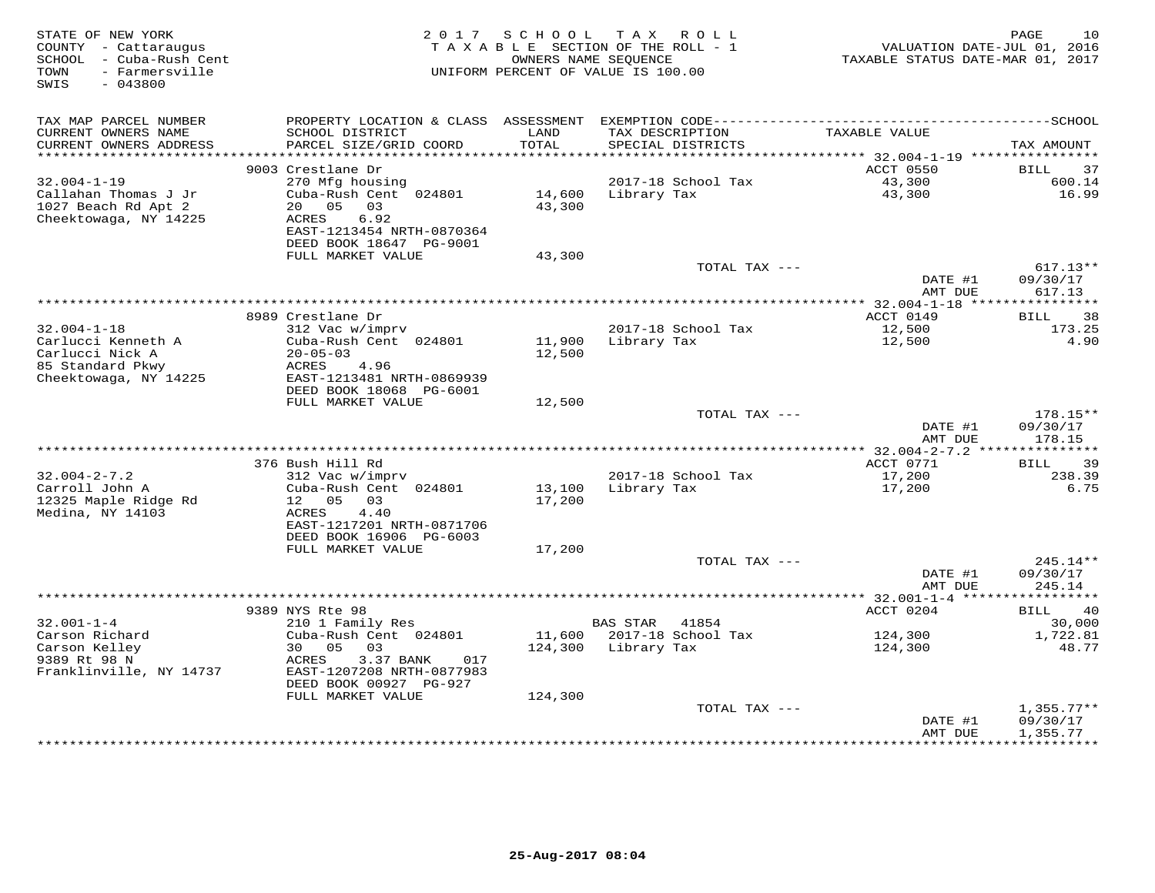| STATE OF NEW YORK<br>COUNTY - Cattaraugus<br>SCHOOL - Cuba-Rush Cent<br>- Farmersville<br>TOWN<br>SWIS<br>$-043800$ |                                                                                                                                                          |                              | 2017 SCHOOL TAX ROLL<br>TAXABLE SECTION OF THE ROLL - 1<br>OWNERS NAME SEOUENCE<br>UNIFORM PERCENT OF VALUE IS 100.00 | VALUATION DATE-JUL 01, 2016<br>TAXABLE STATUS DATE-MAR 01, 2017 | PAGE<br>10                           |
|---------------------------------------------------------------------------------------------------------------------|----------------------------------------------------------------------------------------------------------------------------------------------------------|------------------------------|-----------------------------------------------------------------------------------------------------------------------|-----------------------------------------------------------------|--------------------------------------|
| TAX MAP PARCEL NUMBER<br>CURRENT OWNERS NAME<br>CURRENT OWNERS ADDRESS<br>**********************                    | SCHOOL DISTRICT<br>PARCEL SIZE/GRID COORD                                                                                                                | LAND<br>TOTAL                | TAX DESCRIPTION<br>SPECIAL DISTRICTS                                                                                  | TAXABLE VALUE                                                   | TAX AMOUNT                           |
|                                                                                                                     | 9003 Crestlane Dr                                                                                                                                        |                              |                                                                                                                       | ACCT 0550                                                       | BILL<br>37                           |
| $32.004 - 1 - 19$<br>Callahan Thomas J Jr<br>1027 Beach Rd Apt 2<br>Cheektowaga, NY 14225                           | 270 Mfg housing<br>Cuba-Rush Cent 024801<br>20<br>05<br>03<br>ACRES<br>6.92<br>EAST-1213454 NRTH-0870364<br>DEED BOOK 18647 PG-9001                      | 14,600<br>43,300             | 2017-18 School Tax<br>Library Tax                                                                                     | 43,300<br>43,300                                                | 600.14<br>16.99                      |
|                                                                                                                     | FULL MARKET VALUE                                                                                                                                        | 43,300                       |                                                                                                                       |                                                                 |                                      |
|                                                                                                                     |                                                                                                                                                          |                              | TOTAL TAX ---                                                                                                         | DATE #1<br>AMT DUE                                              | $617.13**$<br>09/30/17<br>617.13     |
|                                                                                                                     |                                                                                                                                                          |                              | **********************                                                                                                | ** 32.004-1-18 **                                               | * * * * * * * * * *                  |
| $32.004 - 1 - 18$<br>Carlucci Kenneth A<br>Carlucci Nick A<br>85 Standard Pkwy<br>Cheektowaga, NY 14225             | 8989 Crestlane Dr<br>312 Vac w/imprv<br>Cuba-Rush Cent 024801<br>$20 - 05 - 03$<br>ACRES<br>4.96<br>EAST-1213481 NRTH-0869939<br>DEED BOOK 18068 PG-6001 | 11,900<br>12,500             | 2017-18 School Tax<br>Library Tax                                                                                     | ACCT 0149<br>12,500<br>12,500                                   | BILL<br>38<br>173.25<br>4.90         |
|                                                                                                                     | FULL MARKET VALUE                                                                                                                                        | 12,500                       |                                                                                                                       |                                                                 |                                      |
|                                                                                                                     |                                                                                                                                                          |                              | TOTAL TAX ---                                                                                                         | DATE #1<br>AMT DUE                                              | $178.15**$<br>09/30/17<br>178.15     |
|                                                                                                                     | 376 Bush Hill Rd                                                                                                                                         |                              |                                                                                                                       | ** 32.004-2-7.2 ***************<br>ACCT 0771                    | 39<br>BILL                           |
| $32.004 - 2 - 7.2$<br>Carroll John A<br>12325 Maple Ridge Rd<br>Medina, NY 14103                                    | 312 Vac w/imprv<br>Cuba-Rush Cent 024801<br>12  05  03<br>4.40<br>ACRES<br>EAST-1217201 NRTH-0871706<br>DEED BOOK 16906 PG-6003                          | 13,100<br>17,200             | 2017-18 School Tax<br>Library Tax                                                                                     | 17,200<br>17,200                                                | 238.39<br>6.75                       |
|                                                                                                                     | FULL MARKET VALUE                                                                                                                                        | 17,200                       |                                                                                                                       |                                                                 |                                      |
|                                                                                                                     |                                                                                                                                                          |                              | TOTAL TAX ---                                                                                                         | DATE #1<br>AMT DUE                                              | 245.14**<br>09/30/17<br>245.14       |
|                                                                                                                     |                                                                                                                                                          |                              |                                                                                                                       | ************* 32.001-1-4 *****                                  | **********                           |
| $32.001 - 1 - 4$                                                                                                    | 9389 NYS Rte 98<br>210 1 Family Res                                                                                                                      |                              | <b>BAS STAR</b><br>41854                                                                                              | ACCT 0204                                                       | 40<br>BILL<br>30,000                 |
| Carson Richard<br>Carson Kelley<br>9389 Rt 98 N<br>Franklinville, NY 14737                                          | Cuba-Rush Cent 024801<br>30 05<br>03<br>ACRES<br>3.37 BANK<br>017<br>EAST-1207208 NRTH-0877983<br>DEED BOOK 00927 PG-927<br>FULL MARKET VALUE            | 11,600<br>124,300<br>124,300 | 2017-18 School Tax<br>Library Tax                                                                                     | 124,300<br>124,300                                              | 1,722.81<br>48.77                    |
|                                                                                                                     |                                                                                                                                                          |                              | TOTAL TAX ---                                                                                                         | DATE #1<br>AMT DUE                                              | $1,355.77**$<br>09/30/17<br>1,355.77 |
|                                                                                                                     |                                                                                                                                                          |                              |                                                                                                                       | *****************************                                   |                                      |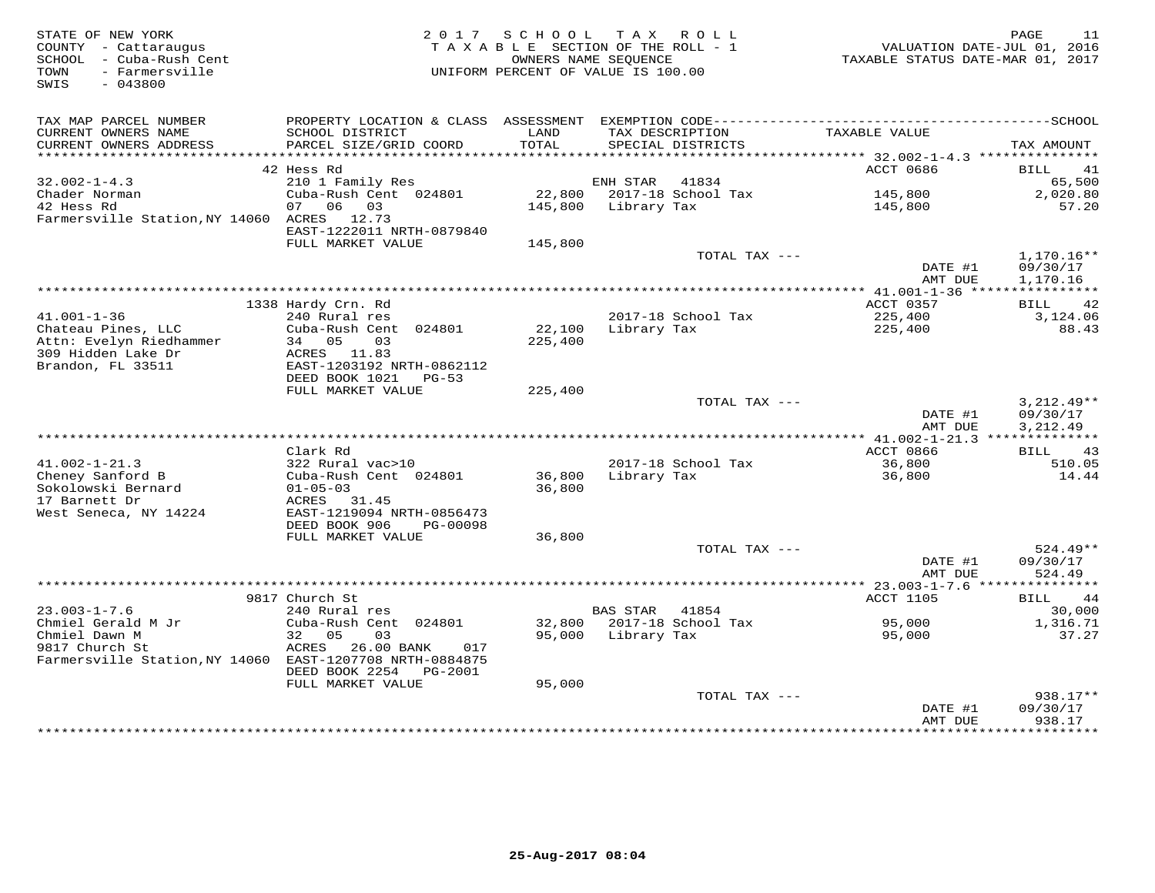| STATE OF NEW YORK<br>COUNTY - Cattaraugus<br>SCHOOL - Cuba-Rush Cent<br>- Farmersville<br>TOWN<br>SWIS<br>$-043800$ | 2017                                                                                       | SCHOOL<br>TAXABLE SECTION OF THE ROLL - 1<br>OWNERS NAME SEQUENCE<br>UNIFORM PERCENT OF VALUE IS 100.00 |                 | TAX ROLL                             | TAXABLE STATUS DATE-MAR 01, 2017 | PAGE<br>11<br>VALUATION DATE-JUL 01, 2016 |
|---------------------------------------------------------------------------------------------------------------------|--------------------------------------------------------------------------------------------|---------------------------------------------------------------------------------------------------------|-----------------|--------------------------------------|----------------------------------|-------------------------------------------|
| TAX MAP PARCEL NUMBER<br>CURRENT OWNERS NAME<br>CURRENT OWNERS ADDRESS<br>*************************                 | SCHOOL DISTRICT<br>PARCEL SIZE/GRID COORD<br>********************************              | LAND<br>TOTAL                                                                                           |                 | TAX DESCRIPTION<br>SPECIAL DISTRICTS | TAXABLE VALUE                    | TAX AMOUNT                                |
|                                                                                                                     | 42 Hess Rd                                                                                 |                                                                                                         |                 |                                      | ACCT 0686                        | 41<br>BILL                                |
| $32.002 - 1 - 4.3$                                                                                                  | 210 1 Family Res                                                                           |                                                                                                         | ENH STAR        | 41834                                |                                  | 65,500                                    |
| Chader Norman<br>42 Hess Rd<br>Farmersville Station, NY 14060 ACRES 12.73                                           | Cuba-Rush Cent 024801<br>06<br>03<br>07                                                    | 22,800<br>145,800                                                                                       | Library Tax     | 2017-18 School Tax                   | 145,800<br>145,800               | 2,020.80<br>57.20                         |
|                                                                                                                     | EAST-1222011 NRTH-0879840<br>FULL MARKET VALUE                                             | 145,800                                                                                                 |                 |                                      |                                  |                                           |
|                                                                                                                     |                                                                                            |                                                                                                         |                 | TOTAL TAX ---                        | DATE #1<br>AMT DUE               | 1,170.16**<br>09/30/17<br>1,170.16        |
|                                                                                                                     |                                                                                            |                                                                                                         |                 |                                      |                                  |                                           |
|                                                                                                                     | 1338 Hardy Crn. Rd                                                                         |                                                                                                         |                 |                                      | ACCT 0357                        | 42<br>BILL                                |
| $41.001 - 1 - 36$<br>Chateau Pines, LLC<br>Attn: Evelyn Riedhammer                                                  | 240 Rural res<br>Cuba-Rush Cent<br>024801<br>34<br>05<br>03                                | 22,100<br>225,400                                                                                       | Library Tax     | 2017-18 School Tax                   | 225,400<br>225,400               | 3,124.06<br>88.43                         |
| 309 Hidden Lake Dr<br>Brandon, FL 33511                                                                             | ACRES 11.83<br>EAST-1203192 NRTH-0862112<br>DEED BOOK 1021<br>$PG-53$<br>FULL MARKET VALUE | 225,400                                                                                                 |                 |                                      |                                  |                                           |
|                                                                                                                     |                                                                                            |                                                                                                         |                 | TOTAL TAX ---                        | DATE #1                          | $3,212.49**$<br>09/30/17                  |
|                                                                                                                     |                                                                                            |                                                                                                         |                 |                                      | AMT DUE                          | 3,212.49                                  |
|                                                                                                                     | Clark Rd                                                                                   |                                                                                                         |                 |                                      | ACCT 0866                        | 43<br>BILL                                |
| $41.002 - 1 - 21.3$                                                                                                 | 322 Rural vac>10                                                                           |                                                                                                         |                 | 2017-18 School Tax                   | 36,800                           | 510.05                                    |
| Cheney Sanford B<br>Sokolowski Bernard                                                                              | Cuba-Rush Cent 024801<br>$01 - 05 - 03$                                                    | 36,800<br>36,800                                                                                        | Library Tax     |                                      | 36,800                           | 14.44                                     |
| 17 Barnett Dr<br>West Seneca, NY 14224                                                                              | ACRES<br>31.45<br>EAST-1219094 NRTH-0856473<br>DEED BOOK 906<br>PG-00098                   |                                                                                                         |                 |                                      |                                  |                                           |
|                                                                                                                     | FULL MARKET VALUE                                                                          | 36,800                                                                                                  |                 |                                      |                                  |                                           |
|                                                                                                                     |                                                                                            |                                                                                                         |                 | TOTAL TAX ---                        | DATE #1<br>AMT DUE               | $524.49**$<br>09/30/17<br>524.49          |
|                                                                                                                     |                                                                                            |                                                                                                         |                 |                                      |                                  |                                           |
|                                                                                                                     | 9817 Church St                                                                             |                                                                                                         |                 |                                      | ACCT 1105                        | <b>BILL</b><br>44                         |
| $23.003 - 1 - 7.6$                                                                                                  | 240 Rural res                                                                              |                                                                                                         | <b>BAS STAR</b> | 41854                                |                                  | 30,000                                    |
| Chmiel Gerald M Jr<br>Chmiel Dawn M<br>9817 Church St                                                               | Cuba-Rush Cent 024801<br>32<br>05<br>03<br>ACRES<br>26.00 BANK<br>017                      | 32,800<br>95,000                                                                                        | Library Tax     | 2017-18 School Tax                   | 95,000<br>95,000                 | 1,316.71<br>37.27                         |
| Farmersville Station, NY 14060 EAST-1207708 NRTH-0884875                                                            | DEED BOOK 2254<br>PG-2001                                                                  |                                                                                                         |                 |                                      |                                  |                                           |
|                                                                                                                     | FULL MARKET VALUE                                                                          | 95,000                                                                                                  |                 |                                      |                                  |                                           |
|                                                                                                                     |                                                                                            |                                                                                                         |                 | TOTAL TAX ---                        | DATE #1<br>AMT DUE               | $938.17**$<br>09/30/17<br>938.17          |
|                                                                                                                     |                                                                                            |                                                                                                         |                 |                                      | * * * * * * * * * * * * * * * *  | **********                                |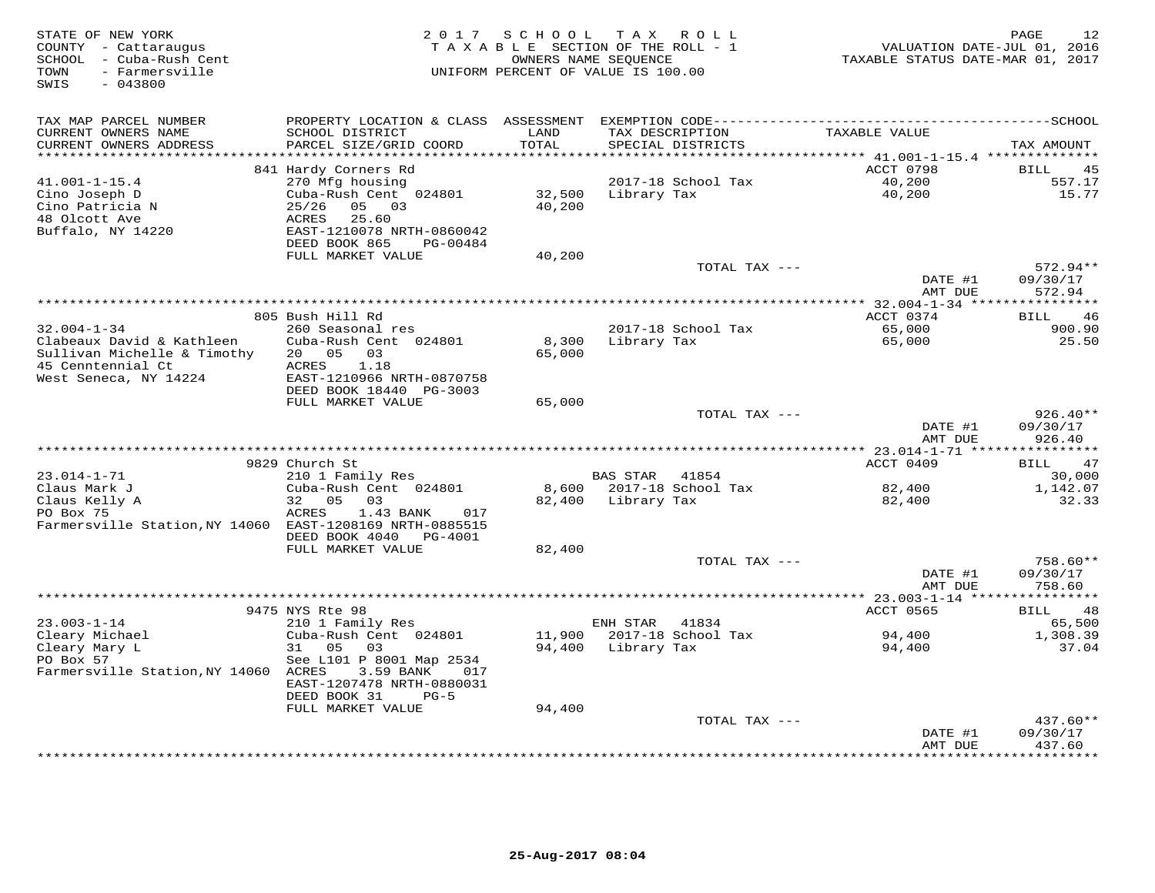| STATE OF NEW YORK<br>COUNTY - Cattaraugus<br>SCHOOL - Cuba-Rush Cent<br>TOWN<br>- Farmersville<br>SWIS<br>$-043800$ |                                                |                     | 2017 SCHOOL TAX ROLL<br>TAXABLE SECTION OF THE ROLL - 1<br>OWNERS NAME SEQUENCE<br>UNIFORM PERCENT OF VALUE IS 100.00 | VALUATION DATE-JUL 01, 2016<br>TAXABLE STATUS DATE-MAR 01, 2017 | 12<br>PAGE           |
|---------------------------------------------------------------------------------------------------------------------|------------------------------------------------|---------------------|-----------------------------------------------------------------------------------------------------------------------|-----------------------------------------------------------------|----------------------|
| TAX MAP PARCEL NUMBER                                                                                               |                                                |                     |                                                                                                                       |                                                                 |                      |
| CURRENT OWNERS NAME<br>CURRENT OWNERS ADDRESS                                                                       | SCHOOL DISTRICT<br>PARCEL SIZE/GRID COORD      | LAND<br>TOTAL       | TAX DESCRIPTION<br>SPECIAL DISTRICTS                                                                                  | TAXABLE VALUE                                                   | TAX AMOUNT           |
| *******************                                                                                                 |                                                | ******************* |                                                                                                                       | ********************************* 41.001-1-15.4 *************** |                      |
|                                                                                                                     | 841 Hardy Corners Rd                           |                     |                                                                                                                       | ACCT 0798                                                       | BILL<br>45           |
| $41.001 - 1 - 15.4$                                                                                                 | 270 Mfg housing                                |                     | 2017-18 School Tax                                                                                                    | 40,200                                                          | 557.17               |
| Cino Joseph D                                                                                                       | Cuba-Rush Cent 024801                          | 32,500              | Library Tax                                                                                                           | 40,200                                                          | 15.77                |
| Cino Patricia N                                                                                                     | 25/26<br>05 03                                 | 40,200              |                                                                                                                       |                                                                 |                      |
| 48 Olcott Ave                                                                                                       | 25.60<br>ACRES                                 |                     |                                                                                                                       |                                                                 |                      |
| Buffalo, NY 14220                                                                                                   | EAST-1210078 NRTH-0860042                      |                     |                                                                                                                       |                                                                 |                      |
|                                                                                                                     | DEED BOOK 865<br>PG-00484<br>FULL MARKET VALUE | 40,200              |                                                                                                                       |                                                                 |                      |
|                                                                                                                     |                                                |                     | TOTAL TAX ---                                                                                                         |                                                                 | $572.94**$           |
|                                                                                                                     |                                                |                     |                                                                                                                       | DATE #1                                                         | 09/30/17             |
|                                                                                                                     |                                                |                     |                                                                                                                       | AMT DUE                                                         | 572.94               |
|                                                                                                                     |                                                |                     |                                                                                                                       | *********** 32.004-1-34 *****************                       |                      |
|                                                                                                                     | 805 Bush Hill Rd                               |                     |                                                                                                                       | ACCT 0374                                                       | <b>BILL</b><br>46    |
| $32.004 - 1 - 34$                                                                                                   | 260 Seasonal res                               |                     | 2017-18 School Tax                                                                                                    | 65,000                                                          | 900.90               |
| Clabeaux David & Kathleen<br>Sullivan Michelle & Timothy                                                            | Cuba-Rush Cent 024801<br>20 05 03              | 8,300<br>65,000     | Library Tax                                                                                                           | 65,000                                                          | 25.50                |
| 45 Cenntennial Ct                                                                                                   | 1.18<br>ACRES                                  |                     |                                                                                                                       |                                                                 |                      |
| West Seneca, NY 14224                                                                                               | EAST-1210966 NRTH-0870758                      |                     |                                                                                                                       |                                                                 |                      |
|                                                                                                                     | DEED BOOK 18440 PG-3003                        |                     |                                                                                                                       |                                                                 |                      |
|                                                                                                                     | FULL MARKET VALUE                              | 65,000              |                                                                                                                       |                                                                 |                      |
|                                                                                                                     |                                                |                     | TOTAL TAX ---                                                                                                         |                                                                 | $926.40**$           |
|                                                                                                                     |                                                |                     |                                                                                                                       | DATE #1                                                         | 09/30/17             |
|                                                                                                                     |                                                |                     |                                                                                                                       | AMT DUE                                                         | 926.40               |
|                                                                                                                     | 9829 Church St                                 |                     |                                                                                                                       | ACCT 0409                                                       | 47<br>BILL           |
| $23.014 - 1 - 71$                                                                                                   | 210 1 Family Res                               |                     | BAS STAR 41854                                                                                                        |                                                                 | 30,000               |
| Claus Mark J                                                                                                        | Cuba-Rush Cent 024801                          |                     | 8,600 2017-18 School Tax                                                                                              | 82,400                                                          | 1,142.07             |
| Claus Kelly A                                                                                                       | 32<br>0.5<br>03                                |                     | 82,400 Library Tax                                                                                                    | 82,400                                                          | 32.33                |
| PO Box 75                                                                                                           | ACRES<br>1.43 BANK<br>017                      |                     |                                                                                                                       |                                                                 |                      |
| Farmersville Station, NY 14060 EAST-1208169 NRTH-0885515                                                            |                                                |                     |                                                                                                                       |                                                                 |                      |
|                                                                                                                     | DEED BOOK 4040 PG-4001                         |                     |                                                                                                                       |                                                                 |                      |
|                                                                                                                     | FULL MARKET VALUE                              | 82,400              | TOTAL TAX ---                                                                                                         |                                                                 |                      |
|                                                                                                                     |                                                |                     |                                                                                                                       | DATE #1                                                         | 758.60**<br>09/30/17 |
|                                                                                                                     |                                                |                     |                                                                                                                       | AMT DUE                                                         | 758.60               |
|                                                                                                                     |                                                |                     |                                                                                                                       |                                                                 |                      |
|                                                                                                                     | 9475 NYS Rte 98                                |                     |                                                                                                                       | ACCT 0565                                                       | 48<br>BILL           |
| $23.003 - 1 - 14$                                                                                                   | 210 1 Family Res                               |                     | ENH STAR 41834                                                                                                        |                                                                 | 65,500               |
|                                                                                                                     | Cuba-Rush Cent 024801                          |                     | 11,900 2017-18 School Tax                                                                                             | 94,400                                                          | 1,308.39             |
| 25.005 - --<br>Cleary Michael<br>Cleary Mary L                                                                      | 31 05<br>03                                    |                     | 94,400 Library Tax                                                                                                    | 94,400                                                          | 37.04                |
| PO Box 57                                                                                                           | See L101 P 8001 Map 2534                       |                     |                                                                                                                       |                                                                 |                      |
| Farmersville Station, NY 14060 ACRES                                                                                | 3.59 BANK<br>017<br>EAST-1207478 NRTH-0880031  |                     |                                                                                                                       |                                                                 |                      |
|                                                                                                                     | DEED BOOK 31<br>$PG-5$                         |                     |                                                                                                                       |                                                                 |                      |
|                                                                                                                     | FULL MARKET VALUE                              | 94,400              |                                                                                                                       |                                                                 |                      |
|                                                                                                                     |                                                |                     | TOTAL TAX ---                                                                                                         |                                                                 | 437.60**             |
|                                                                                                                     |                                                |                     |                                                                                                                       | DATE #1                                                         | 09/30/17             |
|                                                                                                                     |                                                |                     |                                                                                                                       | AMT DUE                                                         | 437.60               |
|                                                                                                                     |                                                |                     |                                                                                                                       | **************                                                  | * * * * * * * *      |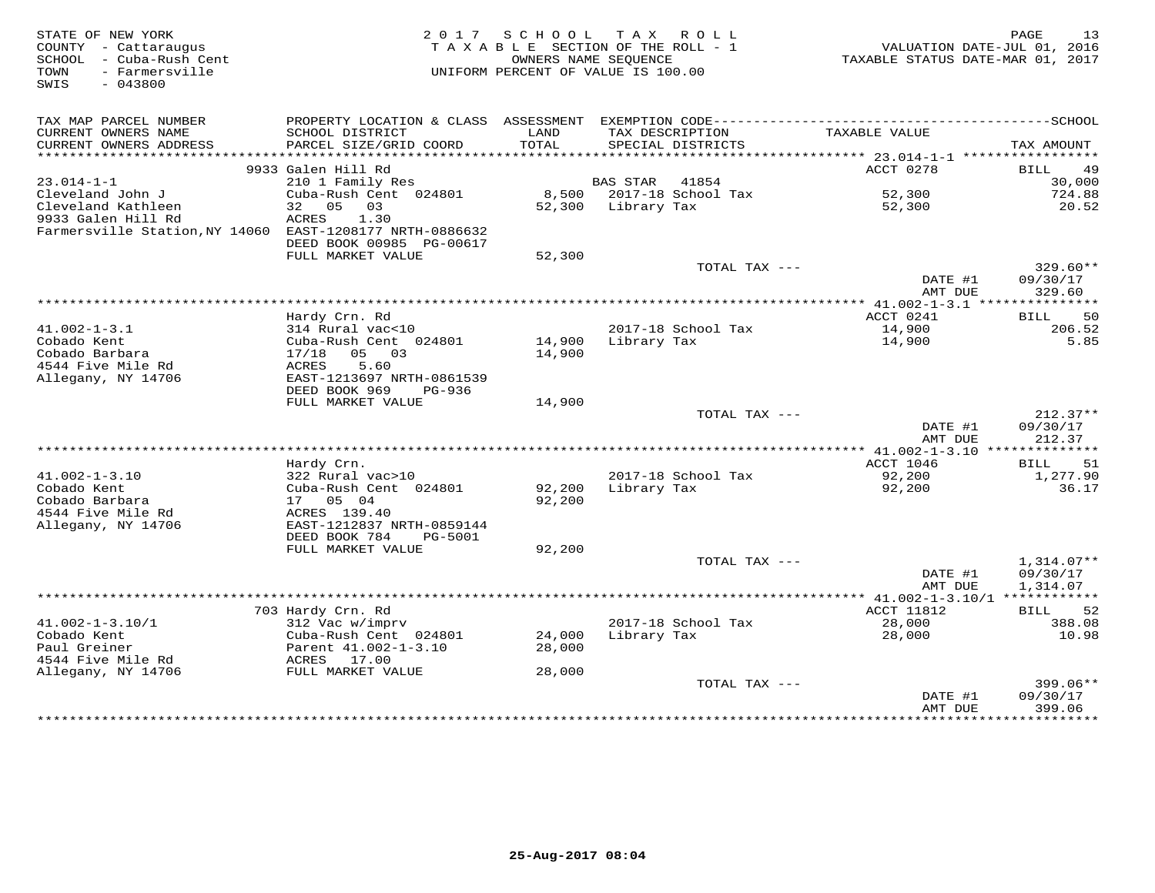| STATE OF NEW YORK<br>COUNTY - Cattaraugus<br>SCHOOL - Cuba-Rush Cent<br>- Farmersville<br>TOWN<br>SWIS<br>$-043800$ | 2017                                                                              | S C H O O L      | TAX ROLL<br>TAXABLE SECTION OF THE ROLL - 1<br>OWNERS NAME SEQUENCE<br>UNIFORM PERCENT OF VALUE IS 100.00 | VALUATION DATE-JUL 01, 2016<br>TAXABLE STATUS DATE-MAR 01, 2017 | PAGE<br>13                      |
|---------------------------------------------------------------------------------------------------------------------|-----------------------------------------------------------------------------------|------------------|-----------------------------------------------------------------------------------------------------------|-----------------------------------------------------------------|---------------------------------|
| TAX MAP PARCEL NUMBER<br>CURRENT OWNERS NAME                                                                        | SCHOOL DISTRICT                                                                   | LAND             | TAX DESCRIPTION                                                                                           | TAXABLE VALUE                                                   |                                 |
| CURRENT OWNERS ADDRESS<br>********************                                                                      | PARCEL SIZE/GRID COORD                                                            | TOTAL            | SPECIAL DISTRICTS                                                                                         |                                                                 | TAX AMOUNT                      |
|                                                                                                                     | 9933 Galen Hill Rd                                                                |                  |                                                                                                           | *********** 23.014-1-1 ******************<br>ACCT 0278          | 49<br>BILL                      |
| $23.014 - 1 - 1$                                                                                                    | 210 1 Family Res                                                                  |                  | 41854<br>BAS STAR                                                                                         |                                                                 | 30,000                          |
| Cleveland John J<br>Cleveland Kathleen                                                                              | Cuba-Rush Cent 024801<br>05<br>32<br>03                                           | 52,300           | 8,500 2017-18 School Tax<br>Library Tax                                                                   | 52,300<br>52,300                                                | 724.88<br>20.52                 |
| 9933 Galen Hill Rd<br>Farmersville Station, NY 14060                                                                | ACRES<br>1.30<br>EAST-1208177 NRTH-0886632<br>DEED BOOK 00985 PG-00617            |                  |                                                                                                           |                                                                 |                                 |
|                                                                                                                     | FULL MARKET VALUE                                                                 | 52,300           |                                                                                                           |                                                                 |                                 |
|                                                                                                                     |                                                                                   |                  | TOTAL TAX ---                                                                                             | DATE #1                                                         | 329.60**<br>09/30/17            |
|                                                                                                                     |                                                                                   |                  |                                                                                                           | AMT DUE<br>****************** 41.002-1-3.1 ***                  | 329.60                          |
|                                                                                                                     | Hardy Crn. Rd                                                                     |                  |                                                                                                           | ACCT 0241                                                       | 50<br>BILL                      |
| $41.002 - 1 - 3.1$<br>Cobado Kent                                                                                   | 314 Rural vac<10<br>Cuba-Rush Cent 024801                                         | 14,900           | 2017-18 School Tax<br>Library Tax                                                                         | 14,900<br>14,900                                                | 206.52<br>5.85                  |
| Cobado Barbara<br>4544 Five Mile Rd                                                                                 | 05 03<br>17/18<br>5.60<br>ACRES                                                   | 14,900           |                                                                                                           |                                                                 |                                 |
| Allegany, NY 14706                                                                                                  | EAST-1213697 NRTH-0861539<br>DEED BOOK 969<br>PG-936<br>FULL MARKET VALUE         | 14,900           |                                                                                                           |                                                                 |                                 |
|                                                                                                                     |                                                                                   |                  | TOTAL TAX ---                                                                                             |                                                                 | $212.37**$                      |
|                                                                                                                     |                                                                                   |                  |                                                                                                           | DATE #1<br>AMT DUE                                              | 09/30/17<br>212.37              |
|                                                                                                                     |                                                                                   |                  |                                                                                                           |                                                                 |                                 |
| $41.002 - 1 - 3.10$<br>Cobado Kent                                                                                  | Hardy Crn.<br>322 Rural vac>10<br>Cuba-Rush Cent 024801                           | 92,200           | 2017-18 School Tax<br>Library Tax                                                                         | ACCT 1046<br>92,200<br>92,200                                   | 51<br>BILL<br>1,277.90<br>36.17 |
| Cobado Barbara<br>4544 Five Mile Rd                                                                                 | 17 05 04<br>ACRES 139.40                                                          | 92,200           |                                                                                                           |                                                                 |                                 |
| Allegany, NY 14706                                                                                                  | EAST-1212837 NRTH-0859144<br>DEED BOOK 784<br><b>PG-5001</b><br>FULL MARKET VALUE | 92,200           |                                                                                                           |                                                                 |                                 |
|                                                                                                                     |                                                                                   |                  | TOTAL TAX ---                                                                                             |                                                                 | $1,314.07**$                    |
|                                                                                                                     |                                                                                   |                  |                                                                                                           | DATE #1<br>AMT DUE                                              | 09/30/17<br>1,314.07            |
|                                                                                                                     |                                                                                   |                  |                                                                                                           |                                                                 |                                 |
| $41.002 - 1 - 3.10/1$                                                                                               | 703 Hardy Crn. Rd<br>312 Vac w/imprv                                              |                  | 2017-18 School Tax                                                                                        | ACCT 11812<br>28,000                                            | 52<br>BILL<br>388.08            |
| Cobado Kent<br>Paul Greiner                                                                                         | Cuba-Rush Cent 024801<br>Parent 41.002-1-3.10                                     | 24,000<br>28,000 | Library Tax                                                                                               | 28,000                                                          | 10.98                           |
| 4544 Five Mile Rd                                                                                                   | ACRES 17.00                                                                       |                  |                                                                                                           |                                                                 |                                 |
| Allegany, NY 14706                                                                                                  | FULL MARKET VALUE                                                                 | 28,000           | TOTAL TAX ---                                                                                             |                                                                 | $399.06**$                      |
|                                                                                                                     |                                                                                   |                  |                                                                                                           | DATE #1<br>AMT DUE                                              | 09/30/17<br>399.06              |
|                                                                                                                     |                                                                                   |                  |                                                                                                           |                                                                 | <b>++++++++</b>                 |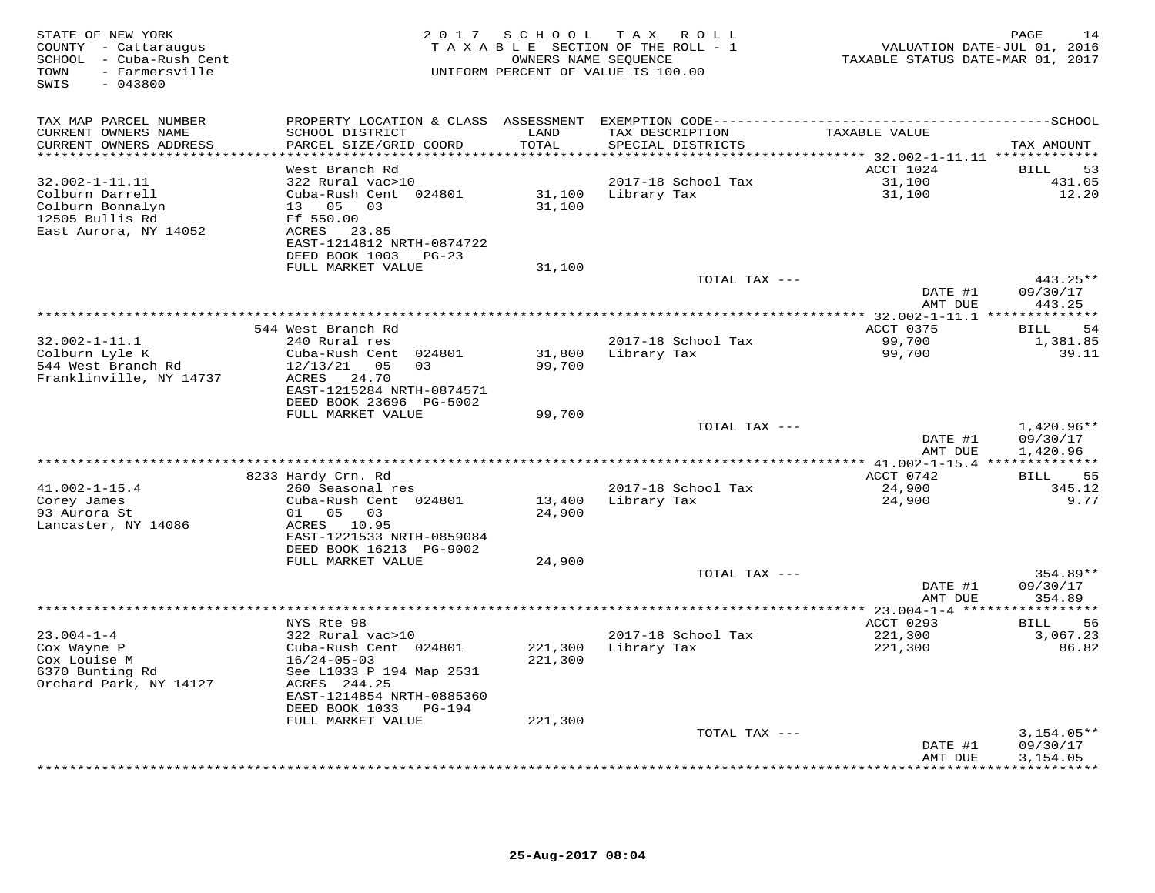| STATE OF NEW YORK<br>COUNTY - Cattaraugus<br>- Cuba-Rush Cent<br>SCHOOL<br>TOWN<br>- Farmersville<br>SWIS<br>$-043800$ | 2 0 1 7                                                                                                                                                                           | SCHOOL             | T A X<br>ROLL<br>TAXABLE SECTION OF THE ROLL - 1<br>OWNERS NAME SEQUENCE<br>UNIFORM PERCENT OF VALUE IS 100.00 | VALUATION DATE-JUL 01, 2016<br>TAXABLE STATUS DATE-MAR 01, 2017 | PAGE<br>14                         |
|------------------------------------------------------------------------------------------------------------------------|-----------------------------------------------------------------------------------------------------------------------------------------------------------------------------------|--------------------|----------------------------------------------------------------------------------------------------------------|-----------------------------------------------------------------|------------------------------------|
| TAX MAP PARCEL NUMBER                                                                                                  | PROPERTY LOCATION & CLASS ASSESSMENT                                                                                                                                              |                    |                                                                                                                |                                                                 |                                    |
| CURRENT OWNERS NAME<br>CURRENT OWNERS ADDRESS                                                                          | SCHOOL DISTRICT<br>PARCEL SIZE/GRID COORD                                                                                                                                         | LAND<br>TOTAL      | TAX DESCRIPTION<br>SPECIAL DISTRICTS                                                                           | TAXABLE VALUE                                                   | TAX AMOUNT                         |
|                                                                                                                        | West Branch Rd                                                                                                                                                                    |                    |                                                                                                                | ****** 32.002-1-11.11 ********<br>ACCT 1024                     | 53<br><b>BILL</b>                  |
| $32.002 - 1 - 11.11$<br>Colburn Darrell<br>Colburn Bonnalyn<br>12505 Bullis Rd<br>East Aurora, NY 14052                | 322 Rural vac>10<br>Cuba-Rush Cent 024801<br>13 05<br>03<br>Ff 550.00<br>ACRES<br>23.85<br>EAST-1214812 NRTH-0874722                                                              | 31,100<br>31,100   | 2017-18 School Tax<br>Library Tax                                                                              | 31,100<br>31,100                                                | 431.05<br>12.20                    |
|                                                                                                                        | DEED BOOK 1003<br>PG-23<br>FULL MARKET VALUE                                                                                                                                      | 31,100             |                                                                                                                |                                                                 |                                    |
|                                                                                                                        |                                                                                                                                                                                   |                    | TOTAL TAX ---                                                                                                  | DATE #1                                                         | 443.25**<br>09/30/17               |
|                                                                                                                        |                                                                                                                                                                                   |                    |                                                                                                                | AMT DUE                                                         | 443.25<br>* * * * * * * * *        |
|                                                                                                                        | 544 West Branch Rd                                                                                                                                                                |                    |                                                                                                                | ********** 32.002-1-11.1 ***<br>ACCT 0375                       | <b>BILL</b><br>54                  |
| $32.002 - 1 - 11.1$<br>Colburn Lyle K<br>544 West Branch Rd<br>Franklinville, NY 14737                                 | 240 Rural res<br>Cuba-Rush Cent 024801<br>12/13/21<br>05<br>03<br>ACRES<br>24.70<br>EAST-1215284 NRTH-0874571                                                                     | 31,800<br>99,700   | 2017-18 School Tax<br>Library Tax                                                                              | 99,700<br>99,700                                                | 1,381.85<br>39.11                  |
|                                                                                                                        | DEED BOOK 23696 PG-5002                                                                                                                                                           |                    |                                                                                                                |                                                                 |                                    |
|                                                                                                                        | FULL MARKET VALUE                                                                                                                                                                 | 99,700             | TOTAL TAX ---                                                                                                  | DATE #1<br>AMT DUE                                              | 1,420.96**<br>09/30/17<br>1,420.96 |
|                                                                                                                        |                                                                                                                                                                                   |                    |                                                                                                                |                                                                 |                                    |
|                                                                                                                        | 8233 Hardy Crn. Rd                                                                                                                                                                |                    |                                                                                                                | ACCT 0742                                                       | 55<br>BILL                         |
| $41.002 - 1 - 15.4$<br>Corey James<br>93 Aurora St<br>Lancaster, NY 14086                                              | 260 Seasonal res<br>Cuba-Rush Cent 024801<br>05 03<br>01<br>ACRES 10.95<br>EAST-1221533 NRTH-0859084                                                                              | 13,400<br>24,900   | 2017-18 School Tax<br>Library Tax                                                                              | 24,900<br>24,900                                                | 345.12<br>9.77                     |
|                                                                                                                        | DEED BOOK 16213 PG-9002                                                                                                                                                           |                    |                                                                                                                |                                                                 |                                    |
|                                                                                                                        | FULL MARKET VALUE                                                                                                                                                                 | 24,900             | TOTAL TAX ---                                                                                                  |                                                                 | $354.89**$                         |
|                                                                                                                        |                                                                                                                                                                                   |                    |                                                                                                                | DATE #1<br>AMT DUE                                              | 09/30/17<br>354.89                 |
|                                                                                                                        |                                                                                                                                                                                   |                    |                                                                                                                | ************ 23.004-1-4 *****                                   | * * * * * * * * *                  |
| $23.004 - 1 - 4$<br>Cox Wayne P<br>Cox Louise M<br>6370 Bunting Rd<br>Orchard Park, NY 14127                           | NYS Rte 98<br>322 Rural vac>10<br>Cuba-Rush Cent 024801<br>$16/24 - 05 - 03$<br>See L1033 P 194 Map 2531<br>ACRES 244.25<br>EAST-1214854 NRTH-0885360<br>DEED BOOK 1033<br>PG-194 | 221,300<br>221,300 | 2017-18 School Tax<br>Library Tax                                                                              | ACCT 0293<br>221,300<br>221,300                                 | 56<br>BILL<br>3,067.23<br>86.82    |
|                                                                                                                        | FULL MARKET VALUE                                                                                                                                                                 | 221,300            | TOTAL TAX ---                                                                                                  |                                                                 | $3,154.05**$                       |
|                                                                                                                        |                                                                                                                                                                                   |                    |                                                                                                                | DATE #1<br>AMT DUE<br>* * * * * * * * *                         | 09/30/17<br>3,154.05<br>*********  |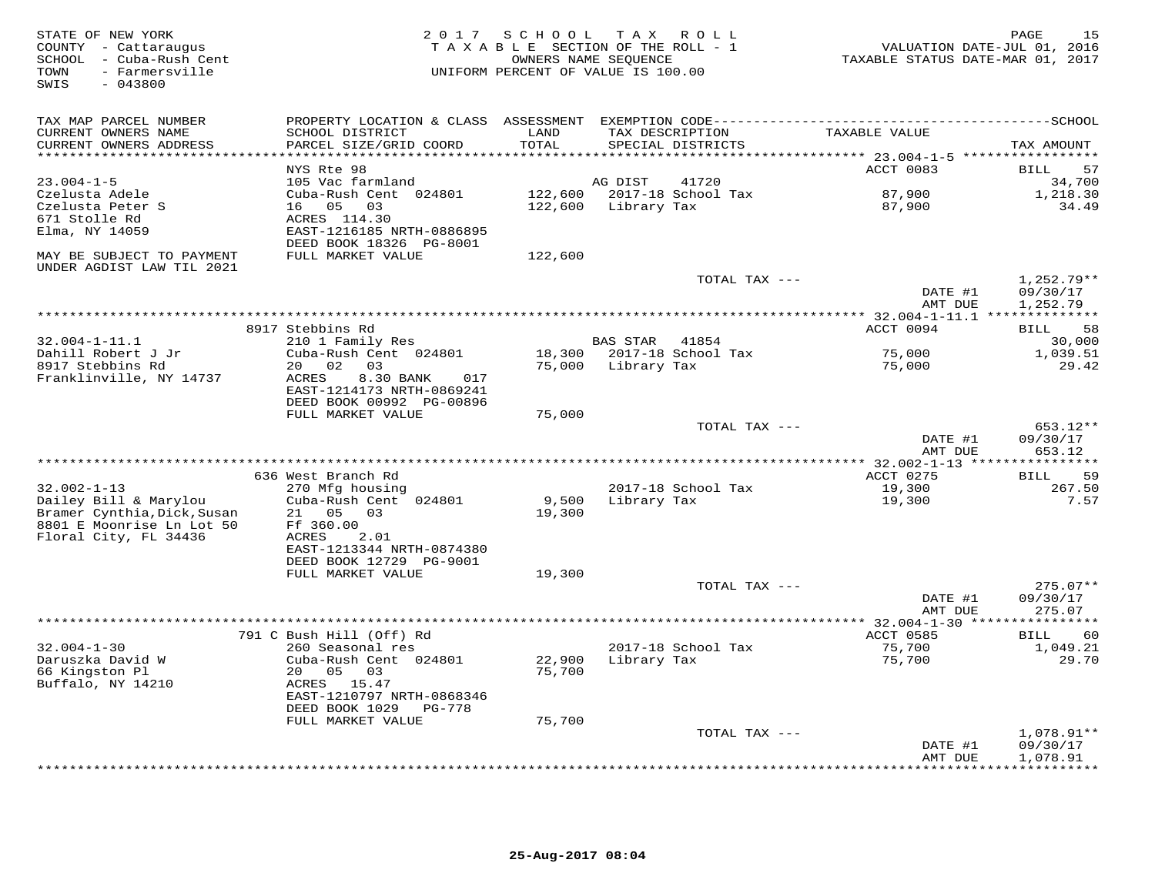| STATE OF NEW YORK<br>COUNTY - Cattaraugus<br>SCHOOL - Cuba-Rush Cent<br>TOWN<br>- Farmersville<br>SWIS<br>$-043800$ |                                                        | 2017 SCHOOL           | TAX ROLL<br>TAXABLE SECTION OF THE ROLL - 1<br>OWNERS NAME SEQUENCE<br>UNIFORM PERCENT OF VALUE IS 100.00 | VALUATION DATE-JUL 01, 2016<br>TAXABLE STATUS DATE-MAR 01, 2017 | 15<br>PAGE                    |
|---------------------------------------------------------------------------------------------------------------------|--------------------------------------------------------|-----------------------|-----------------------------------------------------------------------------------------------------------|-----------------------------------------------------------------|-------------------------------|
| TAX MAP PARCEL NUMBER<br>CURRENT OWNERS NAME                                                                        | SCHOOL DISTRICT                                        | LAND                  | TAX DESCRIPTION                                                                                           | TAXABLE VALUE                                                   |                               |
| CURRENT OWNERS ADDRESS<br>***********************                                                                   | PARCEL SIZE/GRID COORD<br>***********************      | TOTAL<br>************ | SPECIAL DISTRICTS                                                                                         |                                                                 | TAX AMOUNT                    |
|                                                                                                                     | NYS Rte 98                                             |                       |                                                                                                           | ACCT 0083                                                       | 57<br>BILL                    |
| $23.004 - 1 - 5$                                                                                                    | 105 Vac farmland                                       |                       | AG DIST<br>41720                                                                                          |                                                                 | 34,700                        |
| Czelusta Adele                                                                                                      | Cuba-Rush Cent 024801                                  | 122,600               | 2017-18 School Tax                                                                                        | 87,900                                                          | 1,218.30                      |
| Czelusta Peter S                                                                                                    | 16  05  03                                             | 122,600               | Library Tax                                                                                               | 87,900                                                          | 34.49                         |
| 671 Stolle Rd                                                                                                       | ACRES 114.30                                           |                       |                                                                                                           |                                                                 |                               |
| Elma, NY 14059                                                                                                      | EAST-1216185 NRTH-0886895<br>DEED BOOK 18326 PG-8001   |                       |                                                                                                           |                                                                 |                               |
| MAY BE SUBJECT TO PAYMENT<br>UNDER AGDIST LAW TIL 2021                                                              | FULL MARKET VALUE                                      | 122,600               |                                                                                                           |                                                                 |                               |
|                                                                                                                     |                                                        |                       | TOTAL TAX ---                                                                                             |                                                                 | $1,252.79**$                  |
|                                                                                                                     |                                                        |                       |                                                                                                           | DATE #1<br>AMT DUE                                              | 09/30/17<br>1,252.79          |
|                                                                                                                     |                                                        |                       |                                                                                                           |                                                                 |                               |
| $32.004 - 1 - 11.1$                                                                                                 | 8917 Stebbins Rd<br>210 1 Family Res                   |                       | <b>BAS STAR</b><br>41854                                                                                  | ACCT 0094                                                       | 58<br>BILL<br>30,000          |
| Dahill Robert J Jr                                                                                                  | Cuba-Rush Cent 024801                                  | 18,300                | 2017-18 School Tax                                                                                        | 75,000                                                          | 1,039.51                      |
| 8917 Stebbins Rd                                                                                                    | 20 02<br>03                                            | 75,000                | Library Tax                                                                                               | 75,000                                                          | 29.42                         |
| Franklinville, NY 14737                                                                                             | ACRES<br>8.30 BANK<br>017<br>EAST-1214173 NRTH-0869241 |                       |                                                                                                           |                                                                 |                               |
|                                                                                                                     | DEED BOOK 00992 PG-00896                               |                       |                                                                                                           |                                                                 |                               |
|                                                                                                                     | FULL MARKET VALUE                                      | 75,000                | TOTAL TAX ---                                                                                             |                                                                 | 653.12**                      |
|                                                                                                                     |                                                        |                       |                                                                                                           | DATE #1<br>AMT DUE                                              | 09/30/17<br>653.12            |
|                                                                                                                     |                                                        |                       |                                                                                                           | **** 32.002-1-13 ****************                               |                               |
|                                                                                                                     | 636 West Branch Rd                                     |                       |                                                                                                           | ACCT 0275                                                       | 59<br>BILL                    |
| $32.002 - 1 - 13$                                                                                                   | 270 Mfg housing                                        |                       | 2017-18 School Tax                                                                                        | 19,300                                                          | 267.50                        |
| Dailey Bill & Marylou<br>Bramer Cynthia, Dick, Susan<br>8801 E Moonrise Ln Lot 50                                   | Cuba-Rush Cent 024801<br>21 05<br>03<br>Ff 360.00      | 9,500<br>19,300       | Library Tax                                                                                               | 19,300                                                          | 7.57                          |
| Floral City, FL 34436                                                                                               | ACRES<br>2.01                                          |                       |                                                                                                           |                                                                 |                               |
|                                                                                                                     | EAST-1213344 NRTH-0874380                              |                       |                                                                                                           |                                                                 |                               |
|                                                                                                                     | DEED BOOK 12729 PG-9001                                |                       |                                                                                                           |                                                                 |                               |
|                                                                                                                     | FULL MARKET VALUE                                      | 19,300                |                                                                                                           |                                                                 |                               |
|                                                                                                                     |                                                        |                       | TOTAL TAX ---                                                                                             |                                                                 | $275.07**$                    |
|                                                                                                                     |                                                        |                       |                                                                                                           | DATE #1<br>AMT DUE                                              | 09/30/17<br>275.07            |
|                                                                                                                     |                                                        |                       |                                                                                                           | ** 32.004-1-30 *****************                                |                               |
|                                                                                                                     | 791 C Bush Hill (Off) Rd                               |                       |                                                                                                           | ACCT 0585                                                       | 60<br><b>BILL</b>             |
| $32.004 - 1 - 30$                                                                                                   | 260 Seasonal res                                       |                       | 2017-18 School Tax                                                                                        | 75,700                                                          | 1,049.21                      |
| Daruszka David W                                                                                                    | Cuba-Rush Cent 024801                                  | 22,900                | Library Tax                                                                                               | 75,700                                                          | 29.70                         |
| 66 Kingston Pl                                                                                                      | 20  05  03                                             | 75,700                |                                                                                                           |                                                                 |                               |
| Buffalo, NY 14210                                                                                                   | ACRES 15.47<br>EAST-1210797 NRTH-0868346               |                       |                                                                                                           |                                                                 |                               |
|                                                                                                                     | DEED BOOK 1029<br>PG-778                               |                       |                                                                                                           |                                                                 |                               |
|                                                                                                                     | FULL MARKET VALUE                                      | 75,700                |                                                                                                           |                                                                 |                               |
|                                                                                                                     |                                                        |                       | TOTAL TAX ---                                                                                             |                                                                 | $1,078.91**$                  |
|                                                                                                                     |                                                        |                       |                                                                                                           | DATE #1                                                         | 09/30/17                      |
|                                                                                                                     |                                                        |                       |                                                                                                           | AMT DUE                                                         | 1,078.91<br>* * * * * * * * * |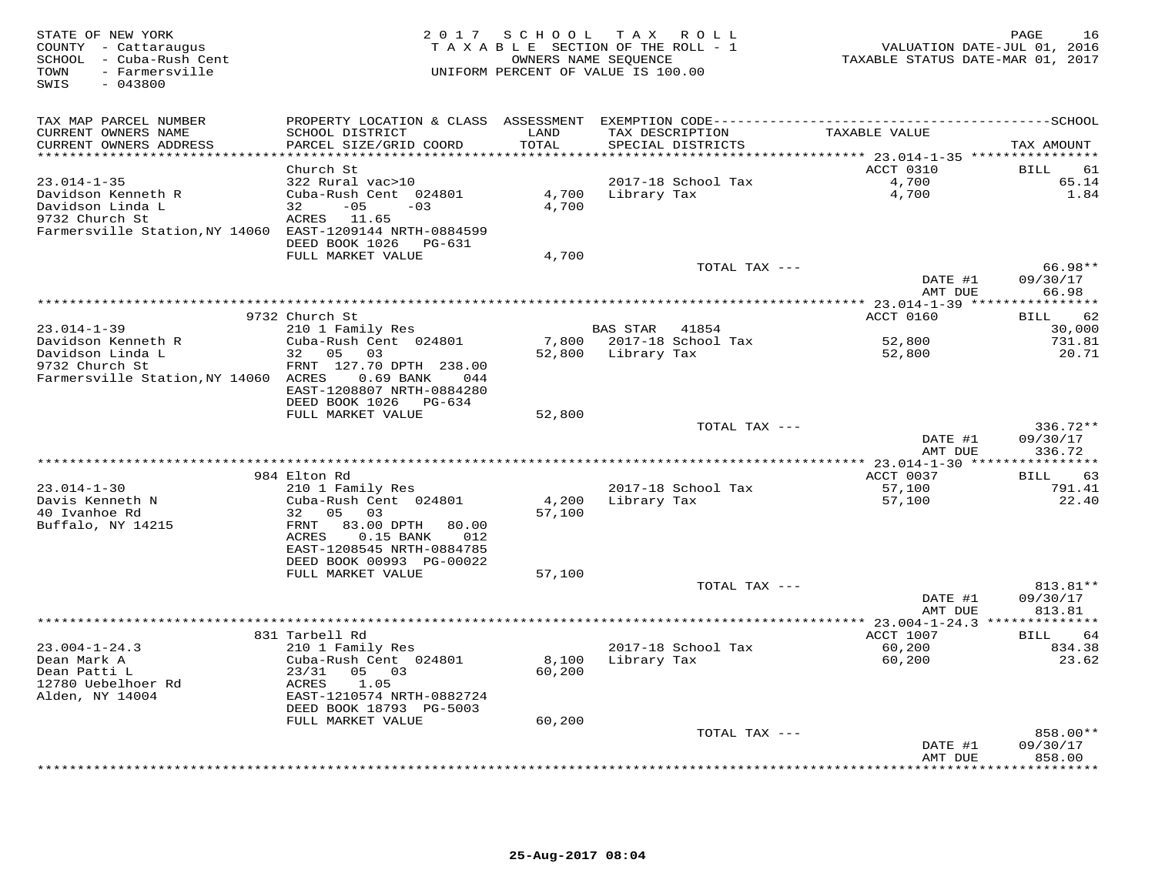| STATE OF NEW YORK<br>COUNTY - Cattaraugus<br>SCHOOL - Cuba-Rush Cent<br>- Farmersville<br>TOWN<br>$-043800$<br>SWIS | 2 0 1 7                                           | SCHOOL<br>TAXABLE SECTION OF THE ROLL - 1<br>UNIFORM PERCENT OF VALUE IS 100.00 | TAX ROLL<br>OWNERS NAME SEQUENCE |                                           | VALUATION DATE-JUL 01, 2016<br>TAXABLE STATUS DATE-MAR 01, 2017 | 16<br>PAGE           |
|---------------------------------------------------------------------------------------------------------------------|---------------------------------------------------|---------------------------------------------------------------------------------|----------------------------------|-------------------------------------------|-----------------------------------------------------------------|----------------------|
| TAX MAP PARCEL NUMBER                                                                                               | PROPERTY LOCATION & CLASS ASSESSMENT              |                                                                                 |                                  | EXEMPTION CODE--------------------------- |                                                                 | --------------SCHOOL |
| CURRENT OWNERS NAME                                                                                                 | SCHOOL DISTRICT                                   | LAND                                                                            | TAX DESCRIPTION                  |                                           | TAXABLE VALUE                                                   |                      |
| CURRENT OWNERS ADDRESS<br>**********************                                                                    | PARCEL SIZE/GRID COORD<br>*********************** | TOTAL<br>*******                                                                | SPECIAL DISTRICTS                |                                           |                                                                 | TAX AMOUNT           |
|                                                                                                                     | Church St                                         |                                                                                 |                                  |                                           | ************ 23.014-1-35 *****************<br>ACCT 0310         | 61<br><b>BILL</b>    |
| $23.014 - 1 - 35$                                                                                                   | 322 Rural vac>10                                  |                                                                                 |                                  | 2017-18 School Tax                        | 4,700                                                           | 65.14                |
| Davidson Kenneth R                                                                                                  | Cuba-Rush Cent 024801                             | 4,700                                                                           | Library Tax                      |                                           | $4\,$ , $700\,$                                                 | 1.84                 |
| Davidson Linda L                                                                                                    | $-05$<br>32<br>$-03$                              | 4,700                                                                           |                                  |                                           |                                                                 |                      |
| 9732 Church St                                                                                                      | ACRES 11.65                                       |                                                                                 |                                  |                                           |                                                                 |                      |
| Farmersville Station, NY 14060 EAST-1209144 NRTH-0884599                                                            |                                                   |                                                                                 |                                  |                                           |                                                                 |                      |
|                                                                                                                     | DEED BOOK 1026<br>PG-631                          |                                                                                 |                                  |                                           |                                                                 |                      |
|                                                                                                                     | FULL MARKET VALUE                                 | 4,700                                                                           |                                  |                                           |                                                                 |                      |
|                                                                                                                     |                                                   |                                                                                 |                                  | TOTAL TAX ---                             |                                                                 | 66.98**              |
|                                                                                                                     |                                                   |                                                                                 |                                  |                                           | DATE #1<br>AMT DUE                                              | 09/30/17<br>66.98    |
|                                                                                                                     |                                                   |                                                                                 |                                  |                                           |                                                                 | * * * * * * * *      |
|                                                                                                                     | 9732 Church St                                    |                                                                                 |                                  |                                           | ACCT 0160                                                       | 62<br>BILL           |
| $23.014 - 1 - 39$                                                                                                   | 210 1 Family Res                                  |                                                                                 | <b>BAS STAR</b>                  | 41854                                     |                                                                 | 30,000               |
| Davidson Kenneth R                                                                                                  | Cuba-Rush Cent 024801                             | 7,800                                                                           |                                  | 2017-18 School Tax                        | 52,800                                                          | 731.81               |
| Davidson Linda L                                                                                                    | 32 05<br>03                                       | 52,800                                                                          | Library Tax                      |                                           | 52,800                                                          | 20.71                |
| 9732 Church St                                                                                                      | FRNT 127.70 DPTH 238.00                           |                                                                                 |                                  |                                           |                                                                 |                      |
| Farmersville Station, NY 14060 ACRES                                                                                | 0.69 BANK<br>044<br>EAST-1208807 NRTH-0884280     |                                                                                 |                                  |                                           |                                                                 |                      |
|                                                                                                                     | DEED BOOK 1026<br>PG-634                          |                                                                                 |                                  |                                           |                                                                 |                      |
|                                                                                                                     | FULL MARKET VALUE                                 | 52,800                                                                          |                                  |                                           |                                                                 |                      |
|                                                                                                                     |                                                   |                                                                                 |                                  | TOTAL TAX ---                             |                                                                 | 336.72**             |
|                                                                                                                     |                                                   |                                                                                 |                                  |                                           | DATE #1                                                         | 09/30/17             |
|                                                                                                                     |                                                   |                                                                                 |                                  |                                           | AMT DUE                                                         | 336.72               |
|                                                                                                                     | 984 Elton Rd                                      |                                                                                 |                                  |                                           | ACCT 0037                                                       | 63<br>BILL           |
| $23.014 - 1 - 30$                                                                                                   | 210 1 Family Res                                  |                                                                                 |                                  | 2017-18 School Tax                        | 57,100                                                          | 791.41               |
| Davis Kenneth N                                                                                                     | Cuba-Rush Cent 024801                             | 4,200                                                                           | Library Tax                      |                                           | 57,100                                                          | 22.40                |
| 40 Ivanhoe Rd                                                                                                       | 32 05<br>03                                       | 57,100                                                                          |                                  |                                           |                                                                 |                      |
| Buffalo, NY 14215                                                                                                   | FRNT<br>83.00 DPTH<br>80.00                       |                                                                                 |                                  |                                           |                                                                 |                      |
|                                                                                                                     | ACRES<br>$0.15$ BANK<br>012                       |                                                                                 |                                  |                                           |                                                                 |                      |
|                                                                                                                     | EAST-1208545 NRTH-0884785                         |                                                                                 |                                  |                                           |                                                                 |                      |
|                                                                                                                     | DEED BOOK 00993 PG-00022<br>FULL MARKET VALUE     | 57,100                                                                          |                                  |                                           |                                                                 |                      |
|                                                                                                                     |                                                   |                                                                                 |                                  | TOTAL TAX ---                             |                                                                 | 813.81**             |
|                                                                                                                     |                                                   |                                                                                 |                                  |                                           | DATE #1                                                         | 09/30/17             |
|                                                                                                                     |                                                   |                                                                                 |                                  |                                           | AMT DUE                                                         | 813.81               |
|                                                                                                                     |                                                   |                                                                                 |                                  |                                           | ** 23.004-1-24.3 ***                                            |                      |
|                                                                                                                     | 831 Tarbell Rd                                    |                                                                                 |                                  |                                           | ACCT 1007                                                       | 64<br><b>BILL</b>    |
| $23.004 - 1 - 24.3$                                                                                                 | 210 1 Family Res                                  |                                                                                 |                                  | 2017-18 School Tax                        | 60,200                                                          | 834.38               |
| Dean Mark A<br>Dean Patti L                                                                                         | Cuba-Rush Cent 024801<br>23/31<br>05<br>03        | 8,100<br>60,200                                                                 | Library Tax                      |                                           | 60,200                                                          | 23.62                |
| 12780 Uebelhoer Rd                                                                                                  | ACRES<br>1.05                                     |                                                                                 |                                  |                                           |                                                                 |                      |
| Alden, NY 14004                                                                                                     | EAST-1210574 NRTH-0882724                         |                                                                                 |                                  |                                           |                                                                 |                      |
|                                                                                                                     | DEED BOOK 18793 PG-5003                           |                                                                                 |                                  |                                           |                                                                 |                      |
|                                                                                                                     | FULL MARKET VALUE                                 | 60,200                                                                          |                                  |                                           |                                                                 |                      |
|                                                                                                                     |                                                   |                                                                                 |                                  | TOTAL TAX ---                             |                                                                 | 858.00**             |
|                                                                                                                     |                                                   |                                                                                 |                                  |                                           | DATE #1                                                         | 09/30/17             |
|                                                                                                                     |                                                   |                                                                                 |                                  |                                           | AMT DUE                                                         | 858.00<br>********   |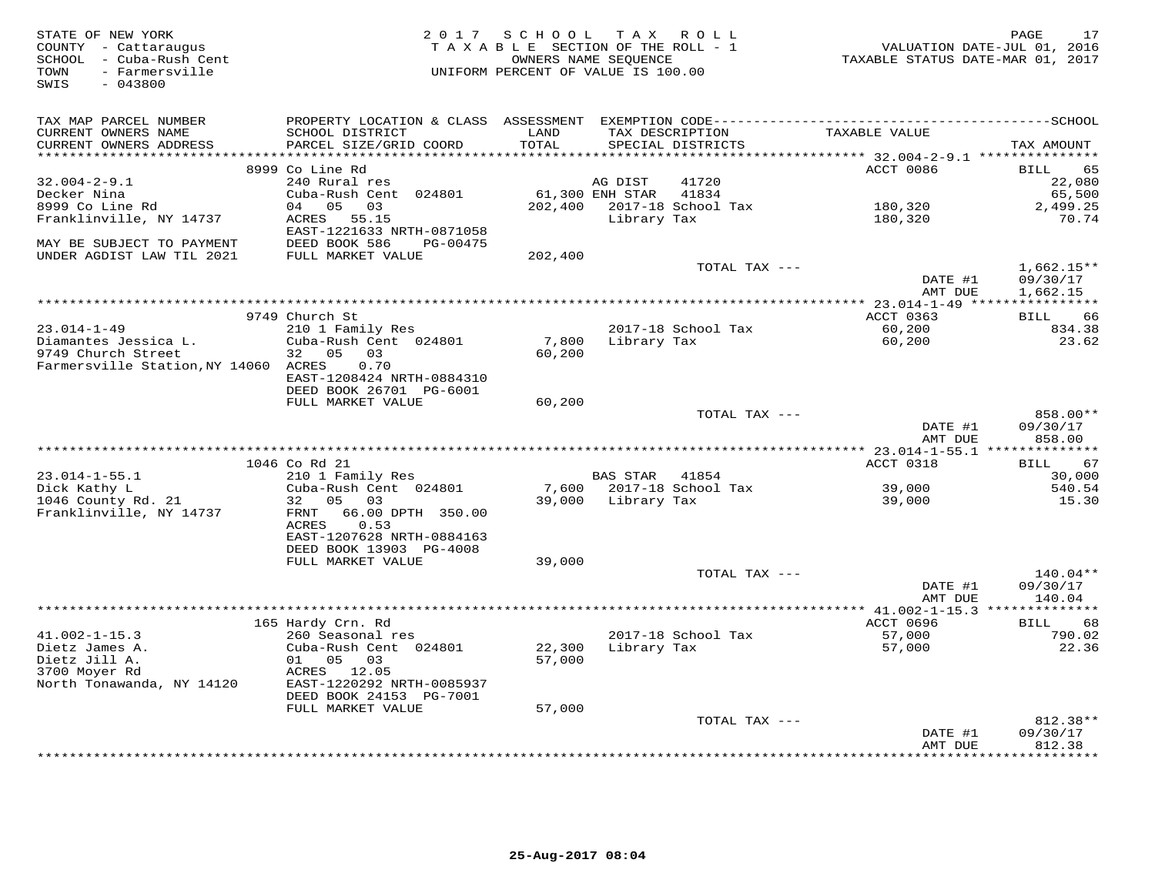| STATE OF NEW YORK<br>COUNTY - Cattaraugus<br>SCHOOL - Cuba-Rush Cent<br>- Farmersville<br>TOWN<br>SWIS<br>$-043800$ | 2 0 1 7                                                | SCHOOL<br>TAXABLE SECTION OF THE ROLL - 1<br>OWNERS NAME SEOUENCE<br>UNIFORM PERCENT OF VALUE IS 100.00 |                 | TAX ROLL                             | TAXABLE STATUS DATE-MAR 01, 2017 | 17<br>PAGE<br>VALUATION DATE-JUL 01, 2016 |
|---------------------------------------------------------------------------------------------------------------------|--------------------------------------------------------|---------------------------------------------------------------------------------------------------------|-----------------|--------------------------------------|----------------------------------|-------------------------------------------|
| TAX MAP PARCEL NUMBER                                                                                               |                                                        |                                                                                                         |                 |                                      |                                  |                                           |
| CURRENT OWNERS NAME<br>CURRENT OWNERS ADDRESS                                                                       | SCHOOL DISTRICT<br>PARCEL SIZE/GRID COORD              | LAND<br>TOTAL                                                                                           |                 | TAX DESCRIPTION<br>SPECIAL DISTRICTS | TAXABLE VALUE                    | TAX AMOUNT                                |
|                                                                                                                     |                                                        |                                                                                                         |                 |                                      |                                  |                                           |
| $32.004 - 2 - 9.1$                                                                                                  | 8999 Co Line Rd<br>240 Rural res                       |                                                                                                         | AG DIST         | 41720                                | ACCT 0086                        | <b>BILL</b><br>65                         |
| Decker Nina                                                                                                         | Cuba-Rush Cent 024801                                  |                                                                                                         | 61,300 ENH STAR | 41834                                |                                  | 22,080<br>65,500                          |
| 8999 Co Line Rd                                                                                                     | 04 05<br>03                                            | 202,400                                                                                                 |                 | 2017-18 School Tax                   | 180,320                          | 2,499.25                                  |
| Franklinville, NY 14737                                                                                             | ACRES 55.15                                            |                                                                                                         | Library Tax     |                                      | 180,320                          | 70.74                                     |
| MAY BE SUBJECT TO PAYMENT                                                                                           | EAST-1221633 NRTH-0871058<br>DEED BOOK 586<br>PG-00475 |                                                                                                         |                 |                                      |                                  |                                           |
| UNDER AGDIST LAW TIL 2021                                                                                           | FULL MARKET VALUE                                      | 202,400                                                                                                 |                 |                                      |                                  |                                           |
|                                                                                                                     |                                                        |                                                                                                         |                 | TOTAL TAX ---                        |                                  | $1,662.15**$                              |
|                                                                                                                     |                                                        |                                                                                                         |                 |                                      | DATE #1<br>AMT DUE               | 09/30/17<br>1,662.15                      |
|                                                                                                                     |                                                        |                                                                                                         |                 |                                      | ** 23.014-1-49 *****             | ***********                               |
|                                                                                                                     | 9749 Church St                                         |                                                                                                         |                 |                                      | ACCT 0363                        | <b>BILL</b><br>66                         |
| $23.014 - 1 - 49$                                                                                                   | 210 1 Family Res                                       |                                                                                                         |                 | 2017-18 School Tax                   | 60,200                           | 834.38                                    |
| Diamantes Jessica L.                                                                                                | Cuba-Rush Cent 024801<br>05                            | 7,800                                                                                                   |                 | Library Tax                          | 60,200                           | 23.62                                     |
| 9749 Church Street<br>Farmersville Station, NY 14060 ACRES                                                          | 03<br>32<br>0.70                                       | 60,200                                                                                                  |                 |                                      |                                  |                                           |
|                                                                                                                     | EAST-1208424 NRTH-0884310                              |                                                                                                         |                 |                                      |                                  |                                           |
|                                                                                                                     | DEED BOOK 26701 PG-6001                                |                                                                                                         |                 |                                      |                                  |                                           |
|                                                                                                                     | FULL MARKET VALUE                                      | 60,200                                                                                                  |                 |                                      |                                  |                                           |
|                                                                                                                     |                                                        |                                                                                                         |                 | TOTAL TAX ---                        |                                  | 858.00**                                  |
|                                                                                                                     |                                                        |                                                                                                         |                 |                                      | DATE #1                          | 09/30/17                                  |
|                                                                                                                     |                                                        |                                                                                                         |                 |                                      | AMT DUE                          | 858.00                                    |
|                                                                                                                     |                                                        |                                                                                                         |                 |                                      |                                  |                                           |
| $23.014 - 1 - 55.1$                                                                                                 | 1046 Co Rd 21<br>210 1 Family Res                      |                                                                                                         | <b>BAS STAR</b> | 41854                                | ACCT 0318                        | 67<br>BILL<br>30,000                      |
| Dick Kathy L                                                                                                        | Cuba-Rush Cent 024801                                  | 7,600                                                                                                   |                 | 2017-18 School Tax                   | 39,000                           | 540.54                                    |
| 1046 County Rd. 21                                                                                                  | 32<br>0.503                                            | 39,000                                                                                                  | Library Tax     |                                      | 39,000                           | 15.30                                     |
| Franklinville, NY 14737                                                                                             | 66.00 DPTH 350.00<br>FRNT<br>ACRES<br>0.53             |                                                                                                         |                 |                                      |                                  |                                           |
|                                                                                                                     | EAST-1207628 NRTH-0884163                              |                                                                                                         |                 |                                      |                                  |                                           |
|                                                                                                                     | DEED BOOK 13903 PG-4008                                |                                                                                                         |                 |                                      |                                  |                                           |
|                                                                                                                     | FULL MARKET VALUE                                      | 39,000                                                                                                  |                 |                                      |                                  |                                           |
|                                                                                                                     |                                                        |                                                                                                         |                 | TOTAL TAX ---                        |                                  | 140.04**                                  |
|                                                                                                                     |                                                        |                                                                                                         |                 |                                      | DATE #1                          | 09/30/17                                  |
|                                                                                                                     |                                                        |                                                                                                         |                 |                                      | AMT DUE                          | 140.04                                    |
|                                                                                                                     |                                                        |                                                                                                         |                 |                                      |                                  |                                           |
| $41.002 - 1 - 15.3$                                                                                                 | 165 Hardy Crn. Rd<br>260 Seasonal res                  |                                                                                                         |                 | 2017-18 School Tax                   | ACCT 0696<br>57,000              | BILL<br>68<br>790.02                      |
| Dietz James A.                                                                                                      | Cuba-Rush Cent 024801                                  | 22,300                                                                                                  | Library Tax     |                                      | 57,000                           | 22.36                                     |
| Dietz Jill A.                                                                                                       | 01 05 03                                               | 57,000                                                                                                  |                 |                                      |                                  |                                           |
| 3700 Moyer Rd                                                                                                       | ACRES 12.05                                            |                                                                                                         |                 |                                      |                                  |                                           |
| North Tonawanda, NY 14120                                                                                           | EAST-1220292 NRTH-0085937                              |                                                                                                         |                 |                                      |                                  |                                           |
|                                                                                                                     | DEED BOOK 24153 PG-7001                                |                                                                                                         |                 |                                      |                                  |                                           |
|                                                                                                                     | FULL MARKET VALUE                                      | 57,000                                                                                                  |                 |                                      |                                  |                                           |
|                                                                                                                     |                                                        |                                                                                                         |                 | TOTAL TAX ---                        |                                  | 812.38**                                  |
|                                                                                                                     |                                                        |                                                                                                         |                 |                                      | DATE #1                          | 09/30/17                                  |
|                                                                                                                     |                                                        |                                                                                                         |                 |                                      | AMT DUE                          | 812.38<br>********                        |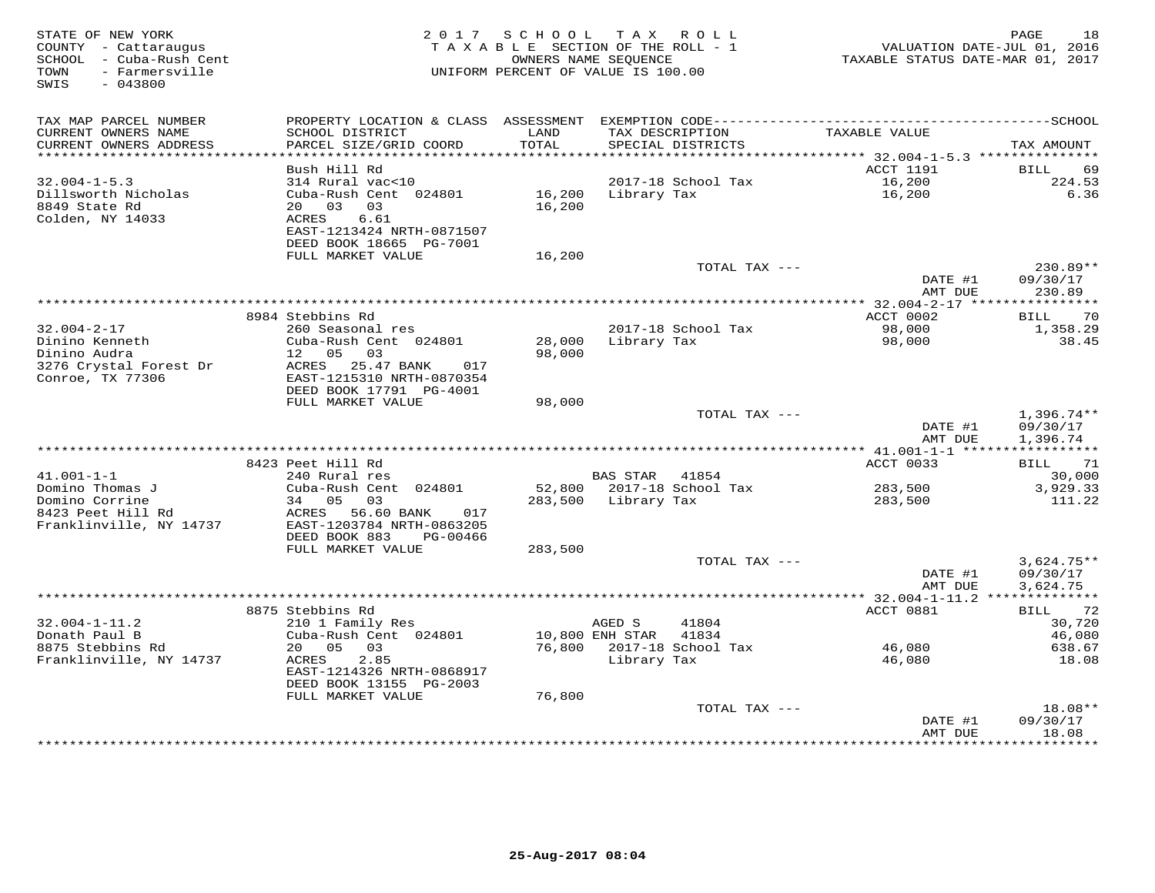| STATE OF NEW YORK<br>COUNTY - Cattaraugus<br>SCHOOL - Cuba-Rush Cent<br>- Farmersville<br>TOWN<br>SWIS<br>$-043800$ | 2017                                                 | S C H O O L          | TAX ROLL<br>TAXABLE SECTION OF THE ROLL - 1<br>OWNERS NAME SEOUENCE<br>UNIFORM PERCENT OF VALUE IS 100.00 | VALUATION DATE-JUL 01, 2016<br>TAXABLE STATUS DATE-MAR 01, 2017 | PAGE<br>18                       |
|---------------------------------------------------------------------------------------------------------------------|------------------------------------------------------|----------------------|-----------------------------------------------------------------------------------------------------------|-----------------------------------------------------------------|----------------------------------|
| TAX MAP PARCEL NUMBER                                                                                               |                                                      |                      |                                                                                                           |                                                                 |                                  |
| CURRENT OWNERS NAME                                                                                                 | SCHOOL DISTRICT                                      | LAND                 | TAX DESCRIPTION                                                                                           | TAXABLE VALUE                                                   |                                  |
| CURRENT OWNERS ADDRESS<br>********************                                                                      | PARCEL SIZE/GRID COORD                               | TOTAL<br>*********** | SPECIAL DISTRICTS                                                                                         |                                                                 | TAX AMOUNT                       |
|                                                                                                                     | Bush Hill Rd                                         |                      |                                                                                                           | <b>ACCT 1191</b>                                                | <b>BILL</b><br>69                |
| $32.004 - 1 - 5.3$                                                                                                  | 314 Rural vac<10                                     |                      | 2017-18 School Tax                                                                                        | 16,200                                                          | 224.53                           |
| Dillsworth Nicholas                                                                                                 | Cuba-Rush Cent 024801                                | 16,200               | Library Tax                                                                                               | 16,200                                                          | 6.36                             |
| 8849 State Rd                                                                                                       | 20 03<br>03                                          | 16,200               |                                                                                                           |                                                                 |                                  |
| Colden, NY 14033                                                                                                    | ACRES<br>6.61                                        |                      |                                                                                                           |                                                                 |                                  |
|                                                                                                                     | EAST-1213424 NRTH-0871507<br>DEED BOOK 18665 PG-7001 |                      |                                                                                                           |                                                                 |                                  |
|                                                                                                                     | FULL MARKET VALUE                                    | 16,200               |                                                                                                           |                                                                 |                                  |
|                                                                                                                     |                                                      |                      | TOTAL TAX ---                                                                                             |                                                                 | $230.89**$                       |
|                                                                                                                     |                                                      |                      |                                                                                                           | DATE #1                                                         | 09/30/17                         |
|                                                                                                                     |                                                      |                      |                                                                                                           | AMT DUE                                                         | 230.89                           |
|                                                                                                                     | 8984 Stebbins Rd                                     |                      |                                                                                                           | ** $32.004 - 2 - 17$ *****<br>ACCT 0002                         | ***********<br>70<br><b>BILL</b> |
| $32.004 - 2 - 17$                                                                                                   | 260 Seasonal res                                     |                      | 2017-18 School Tax                                                                                        | 98,000                                                          | 1,358.29                         |
| Dinino Kenneth                                                                                                      | Cuba-Rush Cent 024801                                | 28,000               | Library Tax                                                                                               | 98,000                                                          | 38.45                            |
| Dinino Audra                                                                                                        | 12 05<br>03                                          | 98,000               |                                                                                                           |                                                                 |                                  |
| 3276 Crystal Forest Dr                                                                                              | ACRES<br>25.47 BANK<br>017                           |                      |                                                                                                           |                                                                 |                                  |
| Conroe, TX 77306                                                                                                    | EAST-1215310 NRTH-0870354<br>DEED BOOK 17791 PG-4001 |                      |                                                                                                           |                                                                 |                                  |
|                                                                                                                     | FULL MARKET VALUE                                    | 98,000               |                                                                                                           |                                                                 |                                  |
|                                                                                                                     |                                                      |                      | TOTAL TAX ---                                                                                             |                                                                 | 1,396.74**                       |
|                                                                                                                     |                                                      |                      |                                                                                                           | DATE #1                                                         | 09/30/17                         |
|                                                                                                                     |                                                      |                      |                                                                                                           | AMT DUE                                                         | 1,396.74                         |
|                                                                                                                     | 8423 Peet Hill Rd                                    |                      |                                                                                                           |                                                                 | ***********                      |
| $41.001 - 1 - 1$                                                                                                    | 240 Rural res                                        |                      | BAS STAR 41854                                                                                            | ACCT 0033                                                       | BILL<br>71<br>30,000             |
| Domino Thomas J                                                                                                     | Cuba-Rush Cent 024801                                |                      | 52,800 2017-18 School Tax                                                                                 | 283,500                                                         | 3,929.33                         |
| Domino Corrine                                                                                                      | 34 05<br>0.3                                         |                      | 283,500 Library Tax                                                                                       | 283,500                                                         | 111.22                           |
| 8423 Peet Hill Rd                                                                                                   | ACRES<br>56.60 BANK<br>017                           |                      |                                                                                                           |                                                                 |                                  |
| Franklinville, NY 14737                                                                                             | EAST-1203784 NRTH-0863205                            |                      |                                                                                                           |                                                                 |                                  |
|                                                                                                                     | DEED BOOK 883<br>PG-00466<br>FULL MARKET VALUE       | 283,500              |                                                                                                           |                                                                 |                                  |
|                                                                                                                     |                                                      |                      | TOTAL TAX ---                                                                                             |                                                                 | $3,624.75**$                     |
|                                                                                                                     |                                                      |                      |                                                                                                           | DATE #1                                                         | 09/30/17                         |
|                                                                                                                     |                                                      |                      |                                                                                                           | AMT DUE                                                         | 3,624.75                         |
|                                                                                                                     |                                                      |                      |                                                                                                           |                                                                 |                                  |
|                                                                                                                     | 8875 Stebbins Rd                                     |                      |                                                                                                           | ACCT 0881                                                       | 72<br>BILL                       |
| $32.004 - 1 - 11.2$<br>Donath Paul B                                                                                | 210 1 Family Res<br>Cuba-Rush Cent 024801            |                      | AGED S<br>41804<br>10,800 ENH STAR<br>41834                                                               |                                                                 | 30,720<br>46,080                 |
| 8875 Stebbins Rd                                                                                                    | 20 05<br>03                                          | 76,800               | 2017-18 School Tax                                                                                        | 46,080                                                          | 638.67                           |
| Franklinville, NY 14737                                                                                             | ACRES<br>2.85                                        |                      | Library Tax                                                                                               | 46,080                                                          | 18.08                            |
|                                                                                                                     | EAST-1214326 NRTH-0868917                            |                      |                                                                                                           |                                                                 |                                  |
|                                                                                                                     | DEED BOOK 13155 PG-2003                              |                      |                                                                                                           |                                                                 |                                  |
|                                                                                                                     | FULL MARKET VALUE                                    | 76,800               | TOTAL TAX ---                                                                                             |                                                                 | 18.08**                          |
|                                                                                                                     |                                                      |                      |                                                                                                           | DATE #1                                                         | 09/30/17                         |
|                                                                                                                     |                                                      |                      |                                                                                                           | AMT DUE                                                         | 18.08                            |
|                                                                                                                     |                                                      |                      |                                                                                                           | . * * * * * * * * * * * *                                       | *********                        |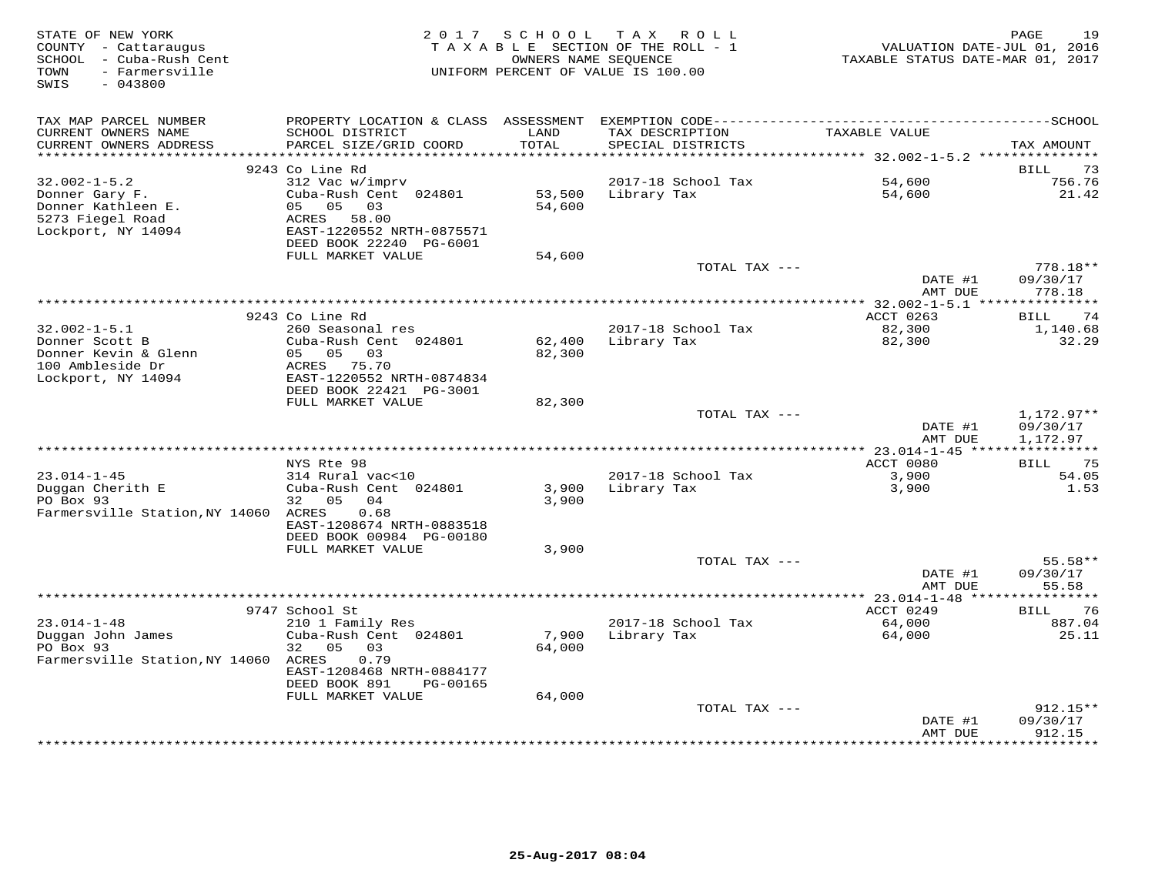| STATE OF NEW YORK<br>COUNTY - Cattaraugus<br>SCHOOL - Cuba-Rush Cent<br>- Farmersville<br>TOWN<br>$-043800$<br>SWIS |                                                                                        | 2017 SCHOOL<br>OWNERS NAME SEOUENCE | TAX ROLL<br>TAXABLE SECTION OF THE ROLL - 1<br>UNIFORM PERCENT OF VALUE IS 100.00 | VALUATION DATE-JUL 01, 2016<br>TAXABLE STATUS DATE-MAR 01, 2017 | 19<br>PAGE                     |
|---------------------------------------------------------------------------------------------------------------------|----------------------------------------------------------------------------------------|-------------------------------------|-----------------------------------------------------------------------------------|-----------------------------------------------------------------|--------------------------------|
| TAX MAP PARCEL NUMBER                                                                                               |                                                                                        |                                     |                                                                                   |                                                                 |                                |
| CURRENT OWNERS NAME<br>CURRENT OWNERS ADDRESS<br>**********************                                             | SCHOOL DISTRICT<br>PARCEL SIZE/GRID COORD                                              | LAND<br>TOTAL                       | TAX DESCRIPTION<br>SPECIAL DISTRICTS                                              | TAXABLE VALUE                                                   | TAX AMOUNT                     |
|                                                                                                                     | 9243 Co Line Rd                                                                        |                                     |                                                                                   |                                                                 | <b>BILL</b><br>73              |
| $32.002 - 1 - 5.2$                                                                                                  | 312 Vac w/imprv                                                                        |                                     | 2017-18 School Tax                                                                | 54,600                                                          | 756.76                         |
| Donner Gary F.<br>Donner Kathleen E.<br>5273 Fiegel Road<br>Lockport, NY 14094                                      | Cuba-Rush Cent 024801<br>05<br>05<br>03<br>ACRES<br>58.00<br>EAST-1220552 NRTH-0875571 | 53,500<br>54,600                    | Library Tax                                                                       | 54,600                                                          | 21.42                          |
|                                                                                                                     | DEED BOOK 22240 PG-6001                                                                |                                     |                                                                                   |                                                                 |                                |
|                                                                                                                     | FULL MARKET VALUE                                                                      | 54,600                              | TOTAL TAX ---                                                                     |                                                                 | $778.18**$                     |
|                                                                                                                     |                                                                                        |                                     |                                                                                   | DATE #1<br>AMT DUE                                              | 09/30/17<br>778.18             |
|                                                                                                                     |                                                                                        |                                     | ********************************                                                  | ** 32.002-1-5.1 ****                                            | ***********                    |
| $32.002 - 1 - 5.1$                                                                                                  | 9243 Co Line Rd<br>260 Seasonal res                                                    |                                     | 2017-18 School Tax                                                                | ACCT 0263<br>82,300                                             | 74<br>BILL<br>1,140.68         |
| Donner Scott B<br>Donner Kevin & Glenn<br>100 Ambleside Dr<br>Lockport, NY 14094                                    | Cuba-Rush Cent 024801<br>05 05 03<br>ACRES 75.70<br>EAST-1220552 NRTH-0874834          | 62,400<br>82,300                    | Library Tax                                                                       | 82,300                                                          | 32.29                          |
|                                                                                                                     | DEED BOOK 22421 PG-3001<br>FULL MARKET VALUE                                           | 82,300                              |                                                                                   |                                                                 |                                |
|                                                                                                                     |                                                                                        |                                     | TOTAL TAX ---                                                                     |                                                                 | 1,172.97**                     |
|                                                                                                                     |                                                                                        |                                     |                                                                                   | DATE #1<br>AMT DUE                                              | 09/30/17<br>1,172.97           |
|                                                                                                                     | NYS Rte 98                                                                             |                                     |                                                                                   | ACCT 0080                                                       | ***********<br>75              |
| $23.014 - 1 - 45$                                                                                                   | 314 Rural vac<10                                                                       |                                     | 2017-18 School Tax                                                                | 3,900                                                           | BILL<br>54.05                  |
| Duggan Cherith E<br>PO Box 93                                                                                       | Cuba-Rush Cent 024801<br>32 05<br>04                                                   | 3,900<br>3,900                      | Library Tax                                                                       | 3,900                                                           | 1.53                           |
| Farmersville Station, NY 14060 ACRES                                                                                | 0.68<br>EAST-1208674 NRTH-0883518<br>DEED BOOK 00984 PG-00180                          |                                     |                                                                                   |                                                                 |                                |
|                                                                                                                     | FULL MARKET VALUE                                                                      | 3,900                               |                                                                                   |                                                                 |                                |
|                                                                                                                     |                                                                                        |                                     | TOTAL TAX ---                                                                     | DATE #1<br>AMT DUE                                              | $55.58**$<br>09/30/17<br>55.58 |
|                                                                                                                     |                                                                                        |                                     |                                                                                   |                                                                 | * * * * * * * *                |
|                                                                                                                     | 9747 School St                                                                         |                                     |                                                                                   | ACCT 0249                                                       | 76<br>BILL                     |
| $23.014 - 1 - 48$                                                                                                   | 210 1 Family Res                                                                       |                                     | 2017-18 School Tax                                                                | 64,000                                                          | 887.04                         |
| Duggan John James<br>PO Box 93<br>Farmersville Station, NY 14060                                                    | Cuba-Rush Cent 024801<br>32<br>05<br>03<br>ACRES<br>0.79                               | 7,900<br>64,000                     | Library Tax                                                                       | 64,000                                                          | 25.11                          |
|                                                                                                                     | EAST-1208468 NRTH-0884177<br>DEED BOOK 891<br>PG-00165                                 |                                     |                                                                                   |                                                                 |                                |
|                                                                                                                     | FULL MARKET VALUE                                                                      | 64,000                              |                                                                                   |                                                                 |                                |
|                                                                                                                     |                                                                                        |                                     | TOTAL TAX ---                                                                     | DATE #1<br>AMT DUE                                              | 912.15**<br>09/30/17<br>912.15 |
|                                                                                                                     |                                                                                        |                                     |                                                                                   | * * * * * * * * *                                               | ********                       |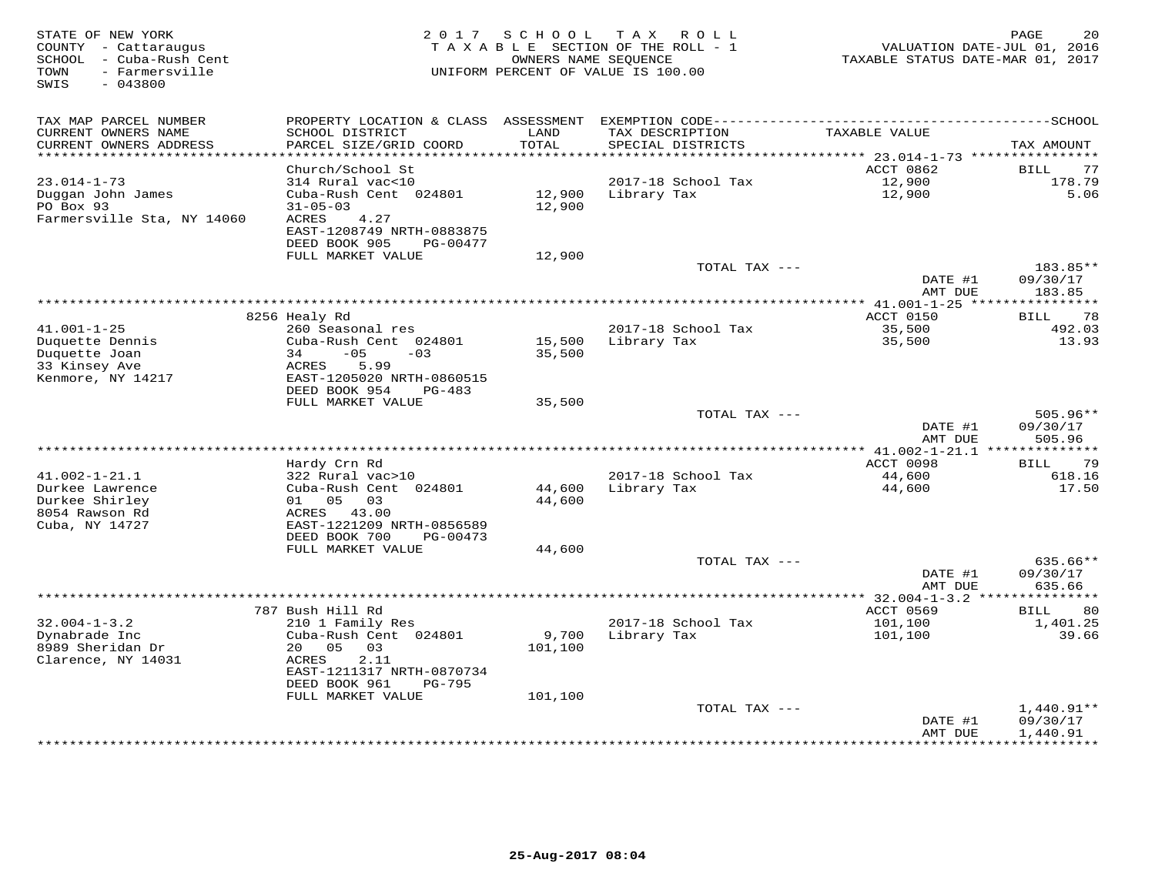| STATE OF NEW YORK<br>COUNTY - Cattaraugus<br>- Cuba-Rush Cent<br>SCHOOL<br>- Farmersville<br>TOWN<br>SWIS<br>$-043800$ | 2 0 1 7                                             | SCHOOL      | T A X<br>R O L L<br>TAXABLE SECTION OF THE ROLL - 1<br>OWNERS NAME SEQUENCE<br>UNIFORM PERCENT OF VALUE IS 100.00 | VALUATION DATE-JUL 01, 2016<br>TAXABLE STATUS DATE-MAR 01, 2017 | 20<br>PAGE                    |
|------------------------------------------------------------------------------------------------------------------------|-----------------------------------------------------|-------------|-------------------------------------------------------------------------------------------------------------------|-----------------------------------------------------------------|-------------------------------|
| TAX MAP PARCEL NUMBER<br>CURRENT OWNERS NAME                                                                           | SCHOOL DISTRICT                                     | LAND        | TAX DESCRIPTION                                                                                                   | TAXABLE VALUE                                                   |                               |
| CURRENT OWNERS ADDRESS                                                                                                 | PARCEL SIZE/GRID COORD                              | TOTAL       | SPECIAL DISTRICTS                                                                                                 |                                                                 | TAX AMOUNT                    |
|                                                                                                                        |                                                     | * * * * * * |                                                                                                                   | ******* 23.014-1-73 ***********                                 |                               |
| $23.014 - 1 - 73$                                                                                                      | Church/School St<br>314 Rural vac<10                |             | 2017-18 School Tax                                                                                                | ACCT 0862<br>12,900                                             | <b>BILL</b><br>77<br>178.79   |
| Duggan John James                                                                                                      | Cuba-Rush Cent 024801                               | 12,900      | Library Tax                                                                                                       | 12,900                                                          | 5.06                          |
| PO Box 93                                                                                                              | $31 - 05 - 03$                                      | 12,900      |                                                                                                                   |                                                                 |                               |
| Farmersville Sta, NY 14060                                                                                             | ACRES<br>4.27                                       |             |                                                                                                                   |                                                                 |                               |
|                                                                                                                        | EAST-1208749 NRTH-0883875                           |             |                                                                                                                   |                                                                 |                               |
|                                                                                                                        | DEED BOOK 905<br>PG-00477                           |             |                                                                                                                   |                                                                 |                               |
|                                                                                                                        | FULL MARKET VALUE                                   | 12,900      | TOTAL TAX ---                                                                                                     |                                                                 | 183.85**                      |
|                                                                                                                        |                                                     |             |                                                                                                                   | DATE #1                                                         | 09/30/17                      |
|                                                                                                                        |                                                     |             |                                                                                                                   | AMT DUE                                                         | 183.85                        |
|                                                                                                                        |                                                     |             |                                                                                                                   |                                                                 |                               |
| $41.001 - 1 - 25$                                                                                                      | 8256 Healy Rd<br>260 Seasonal res                   |             | 2017-18 School Tax                                                                                                | ACCT 0150<br>35,500                                             | 78<br>BILL<br>492.03          |
| Duquette Dennis                                                                                                        | Cuba-Rush Cent 024801                               | 15,500      | Library Tax                                                                                                       | 35,500                                                          | 13.93                         |
| Duquette Joan                                                                                                          | $-05$<br>34<br>$-03$                                | 35,500      |                                                                                                                   |                                                                 |                               |
| 33 Kinsey Ave                                                                                                          | ACRES<br>5.99                                       |             |                                                                                                                   |                                                                 |                               |
| Kenmore, NY 14217                                                                                                      | EAST-1205020 NRTH-0860515                           |             |                                                                                                                   |                                                                 |                               |
|                                                                                                                        | DEED BOOK 954<br>$PG-483$<br>FULL MARKET VALUE      | 35,500      |                                                                                                                   |                                                                 |                               |
|                                                                                                                        |                                                     |             | TOTAL TAX ---                                                                                                     |                                                                 | 505.96**                      |
|                                                                                                                        |                                                     |             |                                                                                                                   | DATE #1                                                         | 09/30/17                      |
|                                                                                                                        |                                                     |             |                                                                                                                   | AMT DUE                                                         | 505.96                        |
|                                                                                                                        |                                                     |             |                                                                                                                   | **** 41.002-1-21.1 ***************                              |                               |
| $41.002 - 1 - 21.1$                                                                                                    | Hardy Crn Rd                                        |             | 2017-18 School Tax                                                                                                | ACCT 0098                                                       | 79<br>BILL<br>618.16          |
| Durkee Lawrence                                                                                                        | 322 Rural vac>10<br>Cuba-Rush Cent 024801           | 44,600      | Library Tax                                                                                                       | 44,600<br>44,600                                                | 17.50                         |
| Durkee Shirley                                                                                                         | 05<br>01<br>03                                      | 44,600      |                                                                                                                   |                                                                 |                               |
| 8054 Rawson Rd                                                                                                         | ACRES 43.00                                         |             |                                                                                                                   |                                                                 |                               |
| Cuba, NY 14727                                                                                                         | EAST-1221209 NRTH-0856589                           |             |                                                                                                                   |                                                                 |                               |
|                                                                                                                        | DEED BOOK 700<br>PG-00473<br>FULL MARKET VALUE      | 44,600      |                                                                                                                   |                                                                 |                               |
|                                                                                                                        |                                                     |             | TOTAL TAX ---                                                                                                     |                                                                 | 635.66**                      |
|                                                                                                                        |                                                     |             |                                                                                                                   | DATE #1                                                         | 09/30/17                      |
|                                                                                                                        |                                                     |             |                                                                                                                   | AMT DUE                                                         | 635.66                        |
|                                                                                                                        |                                                     |             |                                                                                                                   | *********** 32.004-1-3.2 ******                                 | ********                      |
| $32.004 - 1 - 3.2$                                                                                                     | 787 Bush Hill Rd                                    |             | 2017-18 School Tax                                                                                                | ACCT 0569<br>101,100                                            | 80<br><b>BILL</b><br>1,401.25 |
| Dynabrade Inc                                                                                                          | 210 1 Family Res<br>Cuba-Rush Cent 024801           | 9,700       | Library Tax                                                                                                       | 101,100                                                         | 39.66                         |
| 8989 Sheridan Dr                                                                                                       | 20<br>05<br>03                                      | 101,100     |                                                                                                                   |                                                                 |                               |
| Clarence, NY 14031                                                                                                     | ACRES<br>2.11                                       |             |                                                                                                                   |                                                                 |                               |
|                                                                                                                        | EAST-1211317 NRTH-0870734                           |             |                                                                                                                   |                                                                 |                               |
|                                                                                                                        | DEED BOOK 961<br><b>PG-795</b><br>FULL MARKET VALUE | 101,100     |                                                                                                                   |                                                                 |                               |
|                                                                                                                        |                                                     |             | TOTAL TAX ---                                                                                                     |                                                                 | $1,440.91**$                  |
|                                                                                                                        |                                                     |             |                                                                                                                   | DATE #1                                                         | 09/30/17                      |
|                                                                                                                        |                                                     |             |                                                                                                                   | AMT DUE                                                         | 1,440.91                      |
|                                                                                                                        |                                                     |             |                                                                                                                   | **********                                                      | **********                    |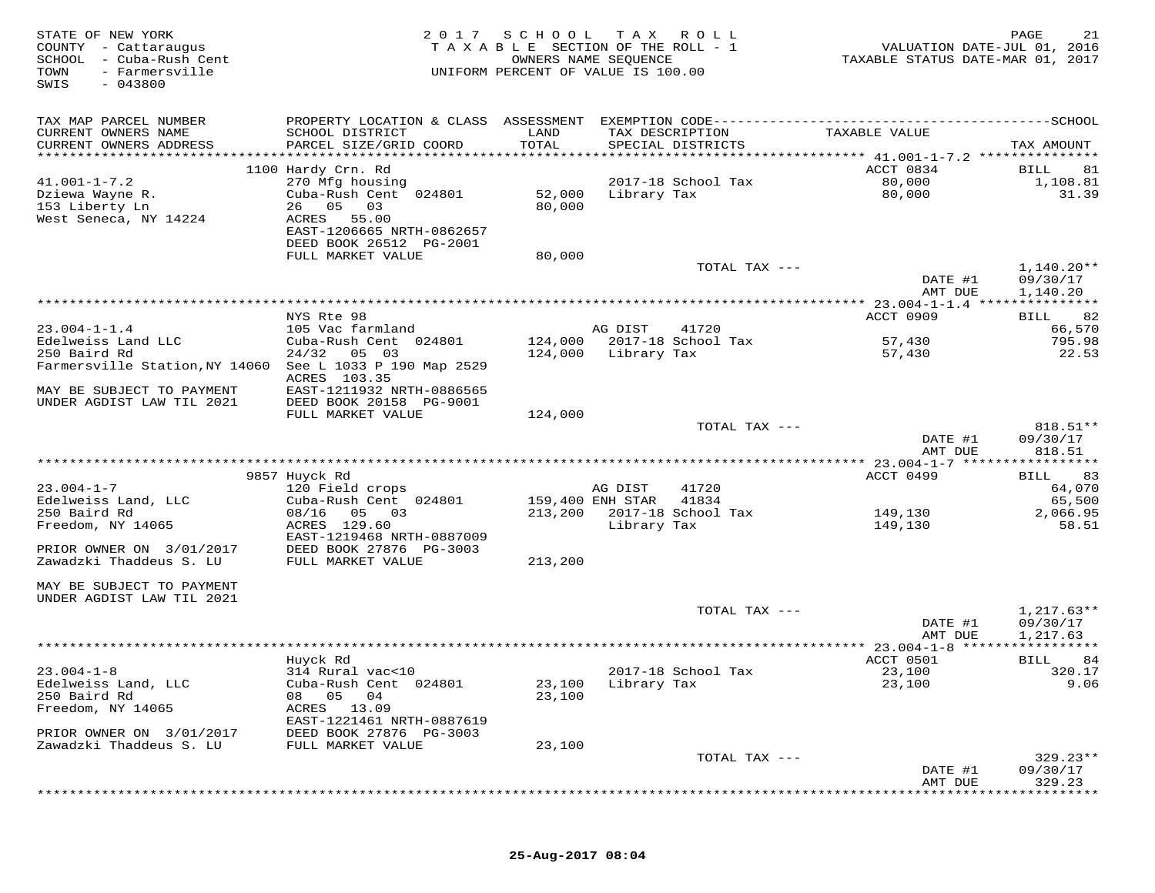| STATE OF NEW YORK<br>COUNTY - Cattaraugus<br>SCHOOL - Cuba-Rush Cent<br>TOWN<br>- Farmersville<br>SWIS<br>$-043800$ | 2 0 1 7                                                                                  | S C H O O L<br>TAXABLE SECTION OF THE ROLL - 1<br>OWNERS NAME SEQUENCE<br>UNIFORM PERCENT OF VALUE IS 100.00 | T A X            | R O L L                             | VALUATION DATE-JUL 01, 2016<br>TAXABLE STATUS DATE-MAR 01, 2017 | 21<br>PAGE                           |
|---------------------------------------------------------------------------------------------------------------------|------------------------------------------------------------------------------------------|--------------------------------------------------------------------------------------------------------------|------------------|-------------------------------------|-----------------------------------------------------------------|--------------------------------------|
| TAX MAP PARCEL NUMBER<br>CURRENT OWNERS NAME                                                                        | SCHOOL DISTRICT                                                                          | LAND                                                                                                         |                  | TAX DESCRIPTION                     | TAXABLE VALUE                                                   |                                      |
| CURRENT OWNERS ADDRESS                                                                                              | PARCEL SIZE/GRID COORD                                                                   | TOTAL                                                                                                        |                  | SPECIAL DISTRICTS                   |                                                                 | TAX AMOUNT                           |
|                                                                                                                     | 1100 Hardy Crn. Rd                                                                       |                                                                                                              |                  |                                     | ACCT 0834                                                       | 81<br>BILL                           |
| $41.001 - 1 - 7.2$<br>Dziewa Wayne R.                                                                               | 270 Mfg housing<br>Cuba-Rush Cent 024801                                                 | 52,000                                                                                                       | Library Tax      | 2017-18 School Tax                  | 80,000<br>80,000                                                | 1,108.81<br>31.39                    |
| 153 Liberty Ln<br>West Seneca, NY 14224                                                                             | 05<br>03<br>26<br>55.00<br>ACRES<br>EAST-1206665 NRTH-0862657<br>DEED BOOK 26512 PG-2001 | 80,000                                                                                                       |                  |                                     |                                                                 |                                      |
|                                                                                                                     | FULL MARKET VALUE                                                                        | 80,000                                                                                                       |                  |                                     |                                                                 |                                      |
|                                                                                                                     |                                                                                          |                                                                                                              |                  | TOTAL TAX ---                       | DATE #1<br>AMT DUE                                              | 1,140.20**<br>09/30/17<br>1,140.20   |
|                                                                                                                     |                                                                                          |                                                                                                              |                  |                                     |                                                                 |                                      |
|                                                                                                                     | NYS Rte 98                                                                               |                                                                                                              |                  |                                     | ACCT 0909                                                       | 82<br>BILL                           |
| $23.004 - 1 - 1.4$<br>Edelweiss Land LLC                                                                            | 105 Vac farmland<br>Cuba-Rush Cent 024801                                                |                                                                                                              | AG DIST          | 41720<br>124,000 2017-18 School Tax | 57,430                                                          | 66,570<br>795.98                     |
| 250 Baird Rd<br>Farmersville Station, NY 14060 See L 1033 P 190 Map 2529                                            | 24/32<br>05 03<br>ACRES 103.35                                                           | 124,000                                                                                                      | Library Tax      |                                     | 57,430                                                          | 22.53                                |
| MAY BE SUBJECT TO PAYMENT<br>UNDER AGDIST LAW TIL 2021                                                              | EAST-1211932 NRTH-0886565<br>DEED BOOK 20158 PG-9001                                     |                                                                                                              |                  |                                     |                                                                 |                                      |
|                                                                                                                     | FULL MARKET VALUE                                                                        | 124,000                                                                                                      |                  | TOTAL TAX ---                       |                                                                 | 818.51**                             |
|                                                                                                                     |                                                                                          |                                                                                                              |                  |                                     | DATE #1<br>AMT DUE                                              | 09/30/17<br>818.51                   |
|                                                                                                                     | 9857 Huyck Rd                                                                            |                                                                                                              |                  |                                     | ACCT 0499                                                       | 83<br>BILL                           |
| $23.004 - 1 - 7$                                                                                                    | 120 Field crops                                                                          |                                                                                                              | AG DIST          | 41720                               |                                                                 | 64,070                               |
| Edelweiss Land, LLC                                                                                                 | Cuba-Rush Cent 024801                                                                    |                                                                                                              | 159,400 ENH STAR | 41834                               |                                                                 | 65,500                               |
| 250 Baird Rd<br>Freedom, NY 14065                                                                                   | 08/16<br>05 03<br>ACRES 129.60<br>EAST-1219468 NRTH-0887009                              | 213,200                                                                                                      | Library Tax      | 2017-18 School Tax                  | 149,130<br>149,130                                              | 2,066.95<br>58.51                    |
| PRIOR OWNER ON 3/01/2017<br>Zawadzki Thaddeus S. LU                                                                 | DEED BOOK 27876 PG-3003<br>FULL MARKET VALUE                                             | 213,200                                                                                                      |                  |                                     |                                                                 |                                      |
| MAY BE SUBJECT TO PAYMENT<br>UNDER AGDIST LAW TIL 2021                                                              |                                                                                          |                                                                                                              |                  |                                     |                                                                 |                                      |
|                                                                                                                     |                                                                                          |                                                                                                              |                  | TOTAL TAX ---                       | DATE #1<br>AMT DUE                                              | $1,217.63**$<br>09/30/17<br>1,217.63 |
|                                                                                                                     |                                                                                          |                                                                                                              |                  |                                     |                                                                 |                                      |
| $23.004 - 1 - 8$                                                                                                    | Huyck Rd<br>314 Rural vac<10                                                             |                                                                                                              |                  | 2017-18 School Tax                  | ACCT 0501<br>23,100                                             | 84<br>BILL<br>320.17                 |
| Edelweiss Land, LLC<br>250 Baird Rd                                                                                 | Cuba-Rush Cent 024801<br>05 04<br>08                                                     | 23,100<br>23,100                                                                                             | Library Tax      |                                     | 23,100                                                          | 9.06                                 |
| Freedom, NY 14065<br>PRIOR OWNER ON 3/01/2017                                                                       | ACRES 13.09<br>EAST-1221461 NRTH-0887619<br>DEED BOOK 27876 PG-3003                      |                                                                                                              |                  |                                     |                                                                 |                                      |
| Zawadzki Thaddeus S. LU                                                                                             | FULL MARKET VALUE                                                                        | 23,100                                                                                                       |                  |                                     |                                                                 |                                      |
|                                                                                                                     |                                                                                          |                                                                                                              |                  | TOTAL TAX ---                       | DATE #1                                                         | $329.23**$<br>09/30/17               |
|                                                                                                                     |                                                                                          |                                                                                                              |                  |                                     | AMT DUE                                                         | 329.23                               |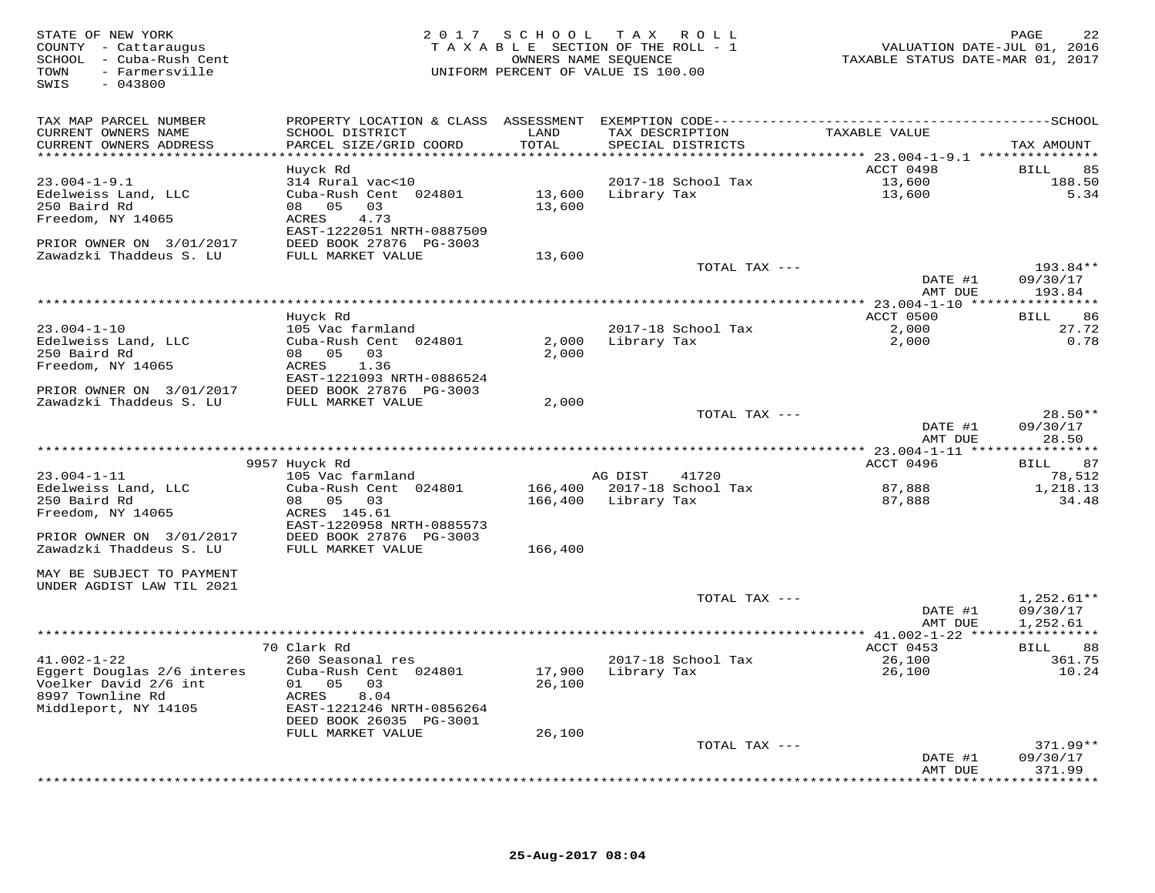STATE OF NEW YORK GROE RESULT A SCHOOL TAX ROLL<br>COUNTY - Cattaraugus states of the section of the ROLL - 1 when the VALUATION DATE-JUL 01, 2016<br>SCHOOL - Cuba-Rush Cent (2017 ) TAXABLE SECTION OF THE ROLL - 1 (2017 ) TAXABL SWIS - 043800TAX MAP PARCEL NUMBER PROPERTY LOCATION & CLASS ASSESSMENT EXEMPTION CODE------------------------------------------SCHOOL CURRENT OWNERS NAME SCHOOL DISTRICT LAND TAX DESCRIPTION TAXABLE VALUE CURRENT OWNERS ADDRESS PARCEL SIZE/GRID COORD TOTAL SPECIAL DISTRICTS TAX AMOUNT13.004-1-9.1 13.600<br>
314 Rural vac-10<br>
23.004-1-9.1 Huyck Rd<br>
314 Rural vac-10<br>
23.004-1-9.1 2017-18 School Tax<br>
23.004-1-9.1 Huyck Rd<br>
250 Baird Rd<br>
250 Baird Rd<br>
250 Baird Rd<br>
250 Baird Rd<br>
250 Baird Rd<br>
250 Baird Rd<br>
25 DATE #1 09/30/17<br>AMT DUE 193.84 AMT DUE 193.84 \*\*\*\*\*\*\*\*\*\*\*\*\*\*\*\*\*\*\*\*\*\*\*\*\*\*\*\*\*\*\*\*\*\*\*\*\*\*\*\*\*\*\*\*\*\*\*\*\*\*\*\*\*\*\*\*\*\*\*\*\*\*\*\*\*\*\*\*\*\*\*\*\*\*\*\*\*\*\*\*\*\*\*\*\*\*\*\*\*\*\*\*\*\*\*\*\*\*\*\*\*\*\* 23.004-1-10 \*\*\*\*\*\*\*\*\*\*\*\*\*\*\*\* Huyck Rd ACCT 0500 BILL 8623.004-1-10 105 Vac farmland 2017-18 School Tax 2,000 27.72 $0.78$ Edelweiss Land, LLC Cuba-Rush Cent 024801 2,000 Library Tax 2,000 0.78250 Baird Rd 08 05 03 2,000 Freedom, NY 14065 ACRES 1.36 EAST-1221093 NRTH-0886524 PRIOR OWNER ON 3/01/2017 DEED BOOK 27876 PG-3003 Zawadzki Thaddeus S. LU FULL MARKET VALUE 2,000 TOTAL TAX --- 28.50\*\*DATE #1 09/30/17<br>AMT DIE 109/30/17 AMT DUE 28.50 \*\*\*\*\*\*\*\*\*\*\*\*\*\*\*\*\*\*\*\*\*\*\*\*\*\*\*\*\*\*\*\*\*\*\*\*\*\*\*\*\*\*\*\*\*\*\*\*\*\*\*\*\*\*\*\*\*\*\*\*\*\*\*\*\*\*\*\*\*\*\*\*\*\*\*\*\*\*\*\*\*\*\*\*\*\*\*\*\*\*\*\*\*\*\*\*\*\*\*\*\*\*\* 23.004-1-11 \*\*\*\*\*\*\*\*\*\*\*\*\*\*\*\* 9957 Huyck Rd ACCT 0496 BILL 8723.004-1-11 105 Vac farmland AG DIST 41720 78,5121,218.13 Edelweiss Land, LLC Cuba-Rush Cent 024801 166,400 2017-18 School Tax 87,888 1,218.1334.48 250 Baird Rd 08 05 03 166,400 Library Tax 87,888 34.48Freedom, NY 14065 ACRES 145.61 EAST-1220958 NRTH-0885573 PRIOR OWNER ON 3/01/2017 DEED BOOK 27876 PG-3003 Zawadzki Thaddeus S. LU FULL MARKET VALUE 166,400 MAY BE SUBJECT TO PAYMENT UNDER AGDIST LAW TIL 2021TOTAL TAX  $---$  1,252.61\*\* DATE #1 09/30/17AMT DUE 1.252.61 AMT DUE 1,252.61 \*\*\*\*\*\*\*\*\*\*\*\*\*\*\*\*\*\*\*\*\*\*\*\*\*\*\*\*\*\*\*\*\*\*\*\*\*\*\*\*\*\*\*\*\*\*\*\*\*\*\*\*\*\*\*\*\*\*\*\*\*\*\*\*\*\*\*\*\*\*\*\*\*\*\*\*\*\*\*\*\*\*\*\*\*\*\*\*\*\*\*\*\*\*\*\*\*\*\*\*\*\*\* 41.002-1-22 \*\*\*\*\*\*\*\*\*\*\*\*\*\*\*\* 70 Clark Rd ACCT 0453 BILL 88 41.002-1-22 260 Seasonal res 2017-18 School Tax 26,100 361.75 Eggert Douglas 2/6 interes Cuba-Rush Cent 024801 17,900 Library Tax 26,100 10.24 Voelker David 2/6 int 01 05 03 26,100 8997 Townline Rd ACRES 8.04 Middleport, NY 14105 EAST-1221246 NRTH-0856264 DEED BOOK 26035 PG-3001 FULL MARKET VALUE 26,100 TOTAL TAX --- 371.99\*\* DATE #1 09/30/17 AMT DUE 371.99\*\*\*\*\*\*\*\*\*\*\*\*\*\*\*\*\*\*\*\*\*\*\*\*\*\*\*\*\*\*\*\*\*\*\*\*\*\*\*\*\*\*\*\*\*\*\*\*\*\*\*\*\*\*\*\*\*\*\*\*\*\*\*\*\*\*\*\*\*\*\*\*\*\*\*\*\*\*\*\*\*\*\*\*\*\*\*\*\*\*\*\*\*\*\*\*\*\*\*\*\*\*\*\*\*\*\*\*\*\*\*\*\*\*\*\*\*\*\*\*\*\*\*\*\*\*\*\*\*\*\*\*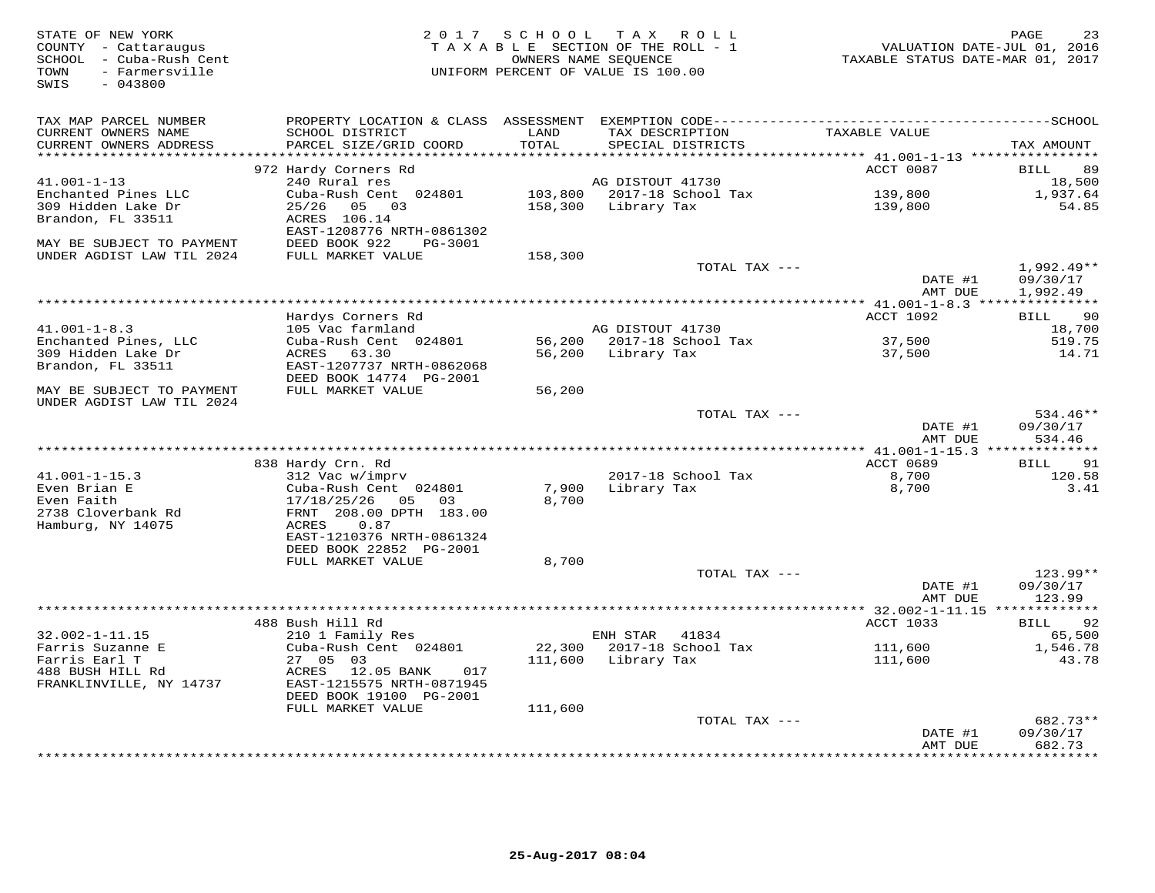STATE OF NEW YORK GROE RESORT AND RESORT AND RESORT A SUBSECTION OF THE ROLL PART OF NEW YORK AND PAGE 23<br>COUNTY - Cattaraugus cent the section of the Roll - 1 when the valuation date-jul 01, 2016<br>SCHOOL - Cuba-Rush Cent t SWIS - 043800TAX MAP PARCEL NUMBER PROPERTY LOCATION & CLASS ASSESSMENT EXEMPTION CODE------------------------------------------SCHOOL CURRENT OWNERS NAME SCHOOL DISTRICT LAND TAX DESCRIPTION TAXABLE VALUE CURRENT OWNERS ADDRESS PARCEL SIZE/GRID COORD TOTAL SPECIAL DISTRICTS TAX AMOUNT11.001-1-13 <br>
41.001-1-13 <br>
41.001-1-13 <br>
41.001-1-13 <br>
41.001-1-13 <br>
41.001-1-13 <br>
41.001-1-13 <br>
41.001-1-13 <br>
41.001-1-13 <br>
41.001-1-13 <br>
41.001-1-13 <br>
41.001-1-13 <br>
41.001-1-13 <br>
41.001-1-13 <br>
41.001-1-13 <br>
41.001-1-13 \*\*\*\*\*\*\*\*\*\*\*\*\*\*\*\*\*\*\*\*\*\*\*\*\*\*\*\*\*\*\*\*\*\*\*\*\*\*\*\*\*\*\*\*\*\*\*\*\*\*\*\*\*\*\*\*\*\*\*\*\*\*\*\*\*\*\*\*\*\*\*\*\*\*\*\*\*\*\*\*\*\*\*\*\*\*\*\*\*\*\*\*\*\*\*\*\*\*\*\*\*\*\* 41.001-1-8.3 \*\*\*\*\*\*\*\*\*\*\*\*\*\*\*ACCT 1092 BILL 90 Hardys Corners Rd ACCT 1092 BILL 90 $-18,700$ 41.001-1-8.3 105 Vac farmland AG DISTOUT 41730 18,700519.75 Enchanted Pines, LLC Cuba-Rush Cent 024801 56,200 2017-18 School Tax 37,500 519.7514.71 309 Hidden Lake Dr ACRES 63.30 56,200 Library Tax 37,500 14.71Brandon, FL 33511 EAST-1207737 NRTH-0862068 DEED BOOK 14774 PG-2001 MAY BE SUBJECT TO PAYMENT FULL MARKET VALUE 56,200 UNDER AGDIST LAW TIL 2024TOTAL TAX ---  $\overline{DATE}$  #1  $09/30/17$ DATE #1 09/30/17<br>NMT DIE 124.46 AMT DUE 534.46 \*\*\*\*\*\*\*\*\*\*\*\*\*\*\*\*\*\*\*\*\*\*\*\*\*\*\*\*\*\*\*\*\*\*\*\*\*\*\*\*\*\*\*\*\*\*\*\*\*\*\*\*\*\*\*\*\*\*\*\*\*\*\*\*\*\*\*\*\*\*\*\*\*\*\*\*\*\*\*\*\*\*\*\*\*\*\*\*\*\*\*\*\*\*\*\*\*\*\*\*\*\*\* 41.001-1-15.3 \*\*\*\*\*\*\*\*\*\*\*\*\*\*ACCT 0689 BILL 91 838 Hardy Crn. Rd ACCT 0689 BILL 91120.58 41.001-1-15.3 312 Vac w/imprv 2017-18 School Tax 8,700 120.58 $3.41$ Even Brian E Cuba-Rush Cent 024801 7,900 Library Tax 8,700 3.41Even Faith 17/18/25/26 05 03 8,700 2738 Cloverbank Rd FRNT 208.00 DPTH 183.00 Hamburg, NY 14075 ACRES 0.87 EAST-1210376 NRTH-0861324 DEED BOOK 22852 PG-2001FULL MARKET VALUE 8,700 TOTAL TAX --- 123.99\*\* DATE #1 09/30/17 AMT DUE 123.99 \*\*\*\*\*\*\*\*\*\*\*\*\*\*\*\*\*\*\*\*\*\*\*\*\*\*\*\*\*\*\*\*\*\*\*\*\*\*\*\*\*\*\*\*\*\*\*\*\*\*\*\*\*\*\*\*\*\*\*\*\*\*\*\*\*\*\*\*\*\*\*\*\*\*\*\*\*\*\*\*\*\*\*\*\*\*\*\*\*\*\*\*\*\*\*\*\*\*\*\*\*\*\* 32.002-1-11.15 \*\*\*\*\*\*\*\*\*\*\*\*\* 488 Bush Hill Rd ACCT 1033 BILL 92 32.002-1-11.15 210 1 Family Res ENH STAR 41834 65,500 Farris Suzanne E Cuba-Rush Cent 024801 22,300 2017-18 School Tax 111,600 1,546.78 Farris Earl T 27 05 03 111,600 Library Tax 111,600 43.78 488 BUSH HILL Rd ACRES 12.05 BANK 017 FRANKLINVILLE, NY 14737 EAST-1215575 NRTH-0871945 DEED BOOK 19100 PG-2001FULL MARKET VALUE 111,600 TOTAL TAX --- 682.73\*\*DATE #1 09/30/17 AMT DUE 682.73

\*\*\*\*\*\*\*\*\*\*\*\*\*\*\*\*\*\*\*\*\*\*\*\*\*\*\*\*\*\*\*\*\*\*\*\*\*\*\*\*\*\*\*\*\*\*\*\*\*\*\*\*\*\*\*\*\*\*\*\*\*\*\*\*\*\*\*\*\*\*\*\*\*\*\*\*\*\*\*\*\*\*\*\*\*\*\*\*\*\*\*\*\*\*\*\*\*\*\*\*\*\*\*\*\*\*\*\*\*\*\*\*\*\*\*\*\*\*\*\*\*\*\*\*\*\*\*\*\*\*\*\*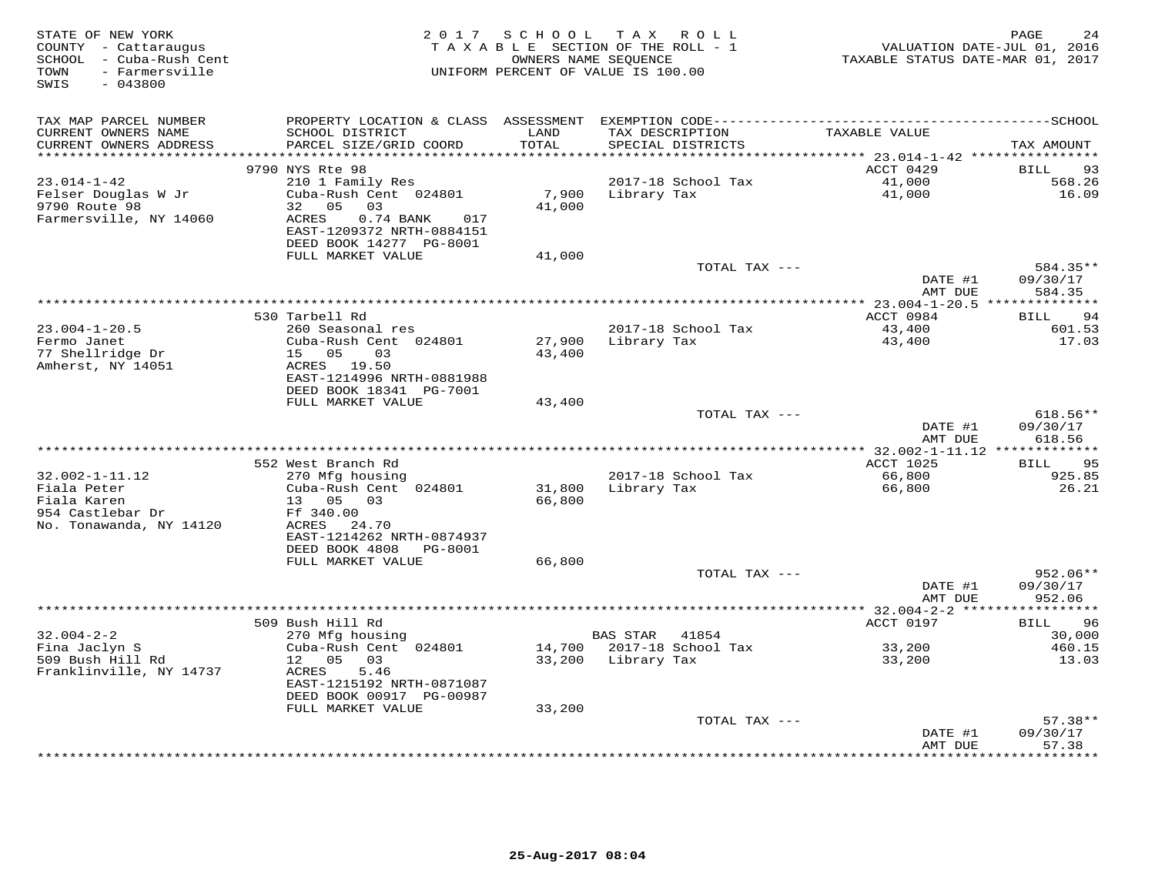| STATE OF NEW YORK<br>COUNTY - Cattaraugus<br>SCHOOL - Cuba-Rush Cent<br>- Farmersville<br>TOWN<br>SWIS<br>$-043800$ | 2 0 1 7                                                                                                                                          | SCHOOL           | TAX ROLL<br>TAXABLE SECTION OF THE ROLL - 1<br>OWNERS NAME SEQUENCE<br>UNIFORM PERCENT OF VALUE IS 100.00 | VALUATION DATE-JUL 01, 2016<br>TAXABLE STATUS DATE-MAR 01, 2017 | PAGE<br>24                     |
|---------------------------------------------------------------------------------------------------------------------|--------------------------------------------------------------------------------------------------------------------------------------------------|------------------|-----------------------------------------------------------------------------------------------------------|-----------------------------------------------------------------|--------------------------------|
| TAX MAP PARCEL NUMBER<br>CURRENT OWNERS NAME<br>CURRENT OWNERS ADDRESS                                              | SCHOOL DISTRICT<br>PARCEL SIZE/GRID COORD                                                                                                        | LAND<br>TOTAL    | TAX DESCRIPTION<br>SPECIAL DISTRICTS                                                                      | TAXABLE VALUE                                                   | TAX AMOUNT                     |
|                                                                                                                     |                                                                                                                                                  | ******           |                                                                                                           | ******* 23.014-1-42 ***********                                 |                                |
|                                                                                                                     | 9790 NYS Rte 98                                                                                                                                  |                  |                                                                                                           | ACCT 0429                                                       | <b>BILL</b><br>93              |
| $23.014 - 1 - 42$<br>Felser Douglas W Jr<br>9790 Route 98<br>Farmersville, NY 14060                                 | 210 1 Family Res<br>Cuba-Rush Cent 024801<br>05<br>03<br>32<br>ACRES<br>0.74 BANK<br>017<br>EAST-1209372 NRTH-0884151<br>DEED BOOK 14277 PG-8001 | 7,900<br>41,000  | 2017-18 School Tax<br>Library Tax                                                                         | 41,000<br>41,000                                                | 568.26<br>16.09                |
|                                                                                                                     | FULL MARKET VALUE                                                                                                                                | 41,000           |                                                                                                           |                                                                 |                                |
|                                                                                                                     |                                                                                                                                                  |                  | TOTAL TAX ---                                                                                             | DATE #1                                                         | 584.35**<br>09/30/17<br>584.35 |
|                                                                                                                     |                                                                                                                                                  |                  |                                                                                                           | AMT DUE                                                         |                                |
|                                                                                                                     | 530 Tarbell Rd                                                                                                                                   |                  |                                                                                                           | ACCT 0984                                                       | 94<br><b>BILL</b>              |
| $23.004 - 1 - 20.5$                                                                                                 | 260 Seasonal res                                                                                                                                 |                  | 2017-18 School Tax                                                                                        | 43,400                                                          | 601.53                         |
| Fermo Janet<br>77 Shellridge Dr<br>Amherst, NY 14051                                                                | Cuba-Rush Cent 024801<br>03<br>15 05<br>ACRES 19.50                                                                                              | 27,900<br>43,400 | Library Tax                                                                                               | 43,400                                                          | 17.03                          |
|                                                                                                                     | EAST-1214996 NRTH-0881988<br>DEED BOOK 18341 PG-7001                                                                                             |                  |                                                                                                           |                                                                 |                                |
|                                                                                                                     | FULL MARKET VALUE                                                                                                                                | 43,400           | TOTAL TAX ---                                                                                             |                                                                 | 618.56**                       |
|                                                                                                                     |                                                                                                                                                  |                  |                                                                                                           | DATE #1<br>AMT DUE                                              | 09/30/17<br>618.56             |
|                                                                                                                     |                                                                                                                                                  |                  |                                                                                                           |                                                                 |                                |
|                                                                                                                     | 552 West Branch Rd                                                                                                                               |                  |                                                                                                           | ACCT 1025                                                       | 95<br>BILL                     |
| $32.002 - 1 - 11.12$                                                                                                | 270 Mfg housing                                                                                                                                  |                  | 2017-18 School Tax                                                                                        | 66,800                                                          | 925.85                         |
| Fiala Peter<br>Fiala Karen<br>954 Castlebar Dr<br>No. Tonawanda, NY 14120                                           | Cuba-Rush Cent 024801<br>13  05  03<br>Ff 340.00<br>ACRES 24.70                                                                                  | 31,800<br>66,800 | Library Tax                                                                                               | 66,800                                                          | 26.21                          |
|                                                                                                                     | EAST-1214262 NRTH-0874937<br>DEED BOOK 4808<br>PG-8001                                                                                           |                  |                                                                                                           |                                                                 |                                |
|                                                                                                                     | FULL MARKET VALUE                                                                                                                                | 66,800           | TOTAL TAX ---                                                                                             |                                                                 | $952.06**$                     |
|                                                                                                                     |                                                                                                                                                  |                  |                                                                                                           | DATE #1<br>AMT DUE                                              | 09/30/17<br>952.06             |
|                                                                                                                     |                                                                                                                                                  |                  |                                                                                                           |                                                                 | ***********                    |
|                                                                                                                     | 509 Bush Hill Rd                                                                                                                                 |                  |                                                                                                           | ACCT 0197                                                       | 96<br>BILL                     |
| $32.004 - 2 - 2$                                                                                                    | 270 Mfg housing                                                                                                                                  |                  | <b>BAS STAR</b><br>41854                                                                                  |                                                                 | 30,000                         |
| Fina Jaclyn S<br>509 Bush Hill Rd                                                                                   | Cuba-Rush Cent 024801<br>12 05<br>03                                                                                                             | 14,700<br>33,200 | 2017-18 School Tax<br>Library Tax                                                                         | 33,200<br>33,200                                                | 460.15<br>13.03                |
| Franklinville, NY 14737                                                                                             | 5.46<br>ACRES<br>EAST-1215192 NRTH-0871087<br>DEED BOOK 00917 PG-00987                                                                           |                  |                                                                                                           |                                                                 |                                |
|                                                                                                                     | FULL MARKET VALUE                                                                                                                                | 33,200           |                                                                                                           |                                                                 |                                |
|                                                                                                                     |                                                                                                                                                  |                  | TOTAL TAX ---                                                                                             |                                                                 | $57.38**$                      |
|                                                                                                                     |                                                                                                                                                  |                  |                                                                                                           | DATE #1<br>AMT DUE                                              | 09/30/17<br>57.38              |
|                                                                                                                     |                                                                                                                                                  |                  |                                                                                                           |                                                                 | * * * * * * *                  |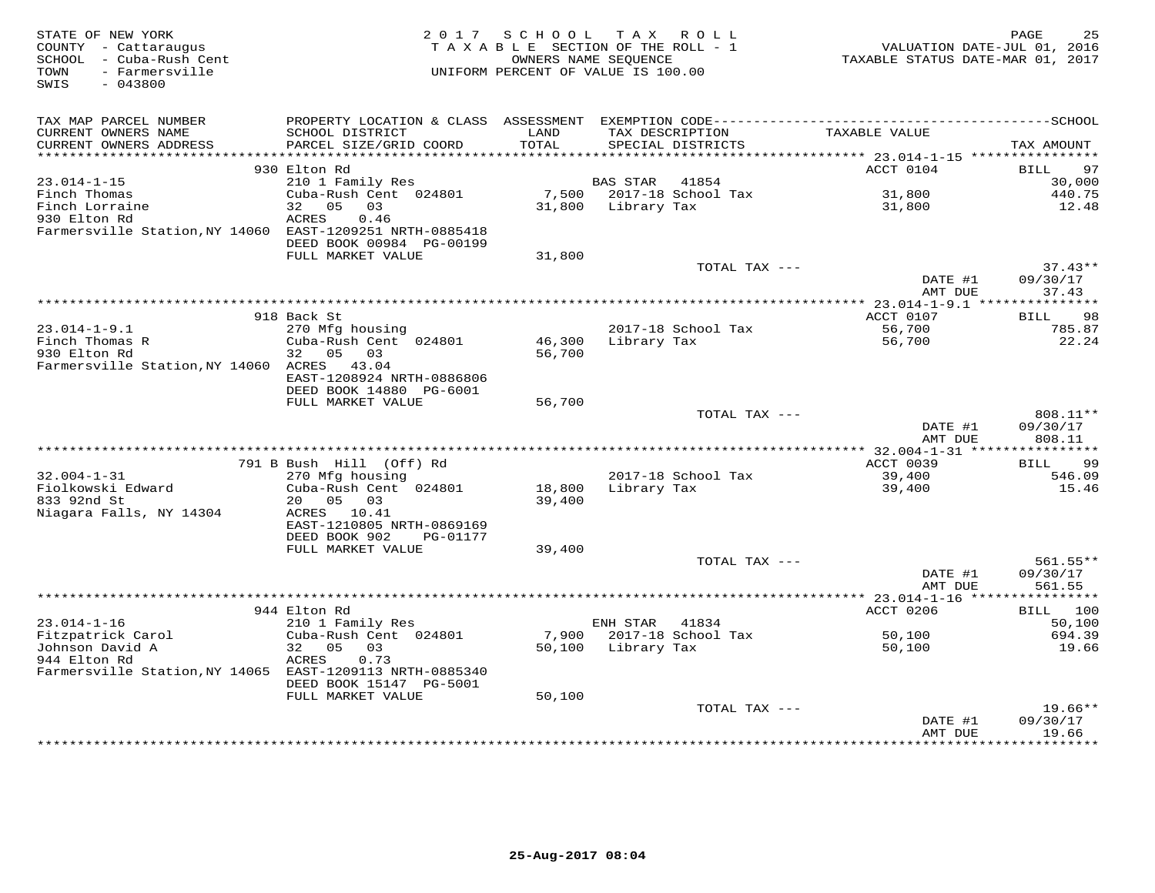| STATE OF NEW YORK<br>COUNTY - Cattaraugus<br>SCHOOL - Cuba-Rush Cent<br>- Farmersville<br>TOWN<br>SWIS<br>$-043800$ | 2 0 1 7                                       | SCHOOL                   | TAX ROLL<br>TAXABLE SECTION OF THE ROLL - 1<br>OWNERS NAME SEQUENCE<br>UNIFORM PERCENT OF VALUE IS 100.00 | VALUATION DATE-JUL 01, 2016<br>TAXABLE STATUS DATE-MAR 01, 2017 | 25<br>PAGE            |
|---------------------------------------------------------------------------------------------------------------------|-----------------------------------------------|--------------------------|-----------------------------------------------------------------------------------------------------------|-----------------------------------------------------------------|-----------------------|
| TAX MAP PARCEL NUMBER                                                                                               |                                               |                          |                                                                                                           |                                                                 |                       |
| CURRENT OWNERS NAME<br>CURRENT OWNERS ADDRESS                                                                       | SCHOOL DISTRICT<br>PARCEL SIZE/GRID COORD     | LAND<br>TOTAL<br>******* | TAX DESCRIPTION<br>SPECIAL DISTRICTS                                                                      | TAXABLE VALUE<br>********** 23.014-1-15 ************            | TAX AMOUNT            |
|                                                                                                                     | 930 Elton Rd                                  |                          |                                                                                                           | ACCT 0104                                                       | 97<br><b>BILL</b>     |
| $23.014 - 1 - 15$                                                                                                   | 210 1 Family Res                              |                          | 41854<br>BAS STAR                                                                                         |                                                                 | 30,000                |
| Finch Thomas                                                                                                        | Cuba-Rush Cent 024801                         | 7,500                    | 2017-18 School Tax                                                                                        | 31,800                                                          | 440.75                |
| Finch Lorraine                                                                                                      | 05<br>32<br>03                                | 31,800                   | Library Tax                                                                                               | 31,800                                                          | 12.48                 |
| 930 Elton Rd                                                                                                        | ACRES<br>0.46                                 |                          |                                                                                                           |                                                                 |                       |
| Farmersville Station, NY 14060 EAST-1209251 NRTH-0885418                                                            |                                               |                          |                                                                                                           |                                                                 |                       |
|                                                                                                                     | DEED BOOK 00984 PG-00199<br>FULL MARKET VALUE | 31,800                   |                                                                                                           |                                                                 |                       |
|                                                                                                                     |                                               |                          | TOTAL TAX ---                                                                                             |                                                                 | $37.43**$             |
|                                                                                                                     |                                               |                          |                                                                                                           | DATE #1                                                         | 09/30/17              |
|                                                                                                                     |                                               |                          |                                                                                                           | AMT DUE                                                         | 37.43                 |
|                                                                                                                     | ****************                              |                          | **************************************                                                                    | ********** 23.014-1-9.1 ****************                        |                       |
|                                                                                                                     | 918 Back St                                   |                          |                                                                                                           | ACCT 0107                                                       | 98<br><b>BILL</b>     |
| $23.014 - 1 - 9.1$<br>Finch Thomas R                                                                                | 270 Mfg housing<br>Cuba-Rush Cent 024801      | 46,300                   | 2017-18 School Tax<br>Library Tax                                                                         | 56,700<br>56,700                                                | 785.87<br>22.24       |
| 930 Elton Rd                                                                                                        | 32 05<br>03                                   | 56,700                   |                                                                                                           |                                                                 |                       |
| Farmersville Station, NY 14060 ACRES 43.04                                                                          |                                               |                          |                                                                                                           |                                                                 |                       |
|                                                                                                                     | EAST-1208924 NRTH-0886806                     |                          |                                                                                                           |                                                                 |                       |
|                                                                                                                     | DEED BOOK 14880 PG-6001                       |                          |                                                                                                           |                                                                 |                       |
|                                                                                                                     | FULL MARKET VALUE                             | 56,700                   |                                                                                                           |                                                                 |                       |
|                                                                                                                     |                                               |                          | TOTAL TAX ---                                                                                             | DATE #1                                                         | 808.11**<br>09/30/17  |
|                                                                                                                     |                                               |                          |                                                                                                           | AMT DUE                                                         | 808.11                |
|                                                                                                                     |                                               |                          |                                                                                                           |                                                                 |                       |
|                                                                                                                     | 791 B Bush Hill (Off) Rd                      |                          |                                                                                                           | ACCT 0039                                                       | 99<br><b>BILL</b>     |
| $32.004 - 1 - 31$                                                                                                   | 270 Mfg housing                               |                          | 2017-18 School Tax                                                                                        | 39,400                                                          | 546.09                |
| Fiolkowski Edward                                                                                                   | Cuba-Rush Cent 024801                         | 18,800                   | Library Tax                                                                                               | 39,400                                                          | 15.46                 |
| 833 92nd St                                                                                                         | 20  05  03                                    | 39,400                   |                                                                                                           |                                                                 |                       |
| Niagara Falls, NY 14304                                                                                             | ACRES 10.41<br>EAST-1210805 NRTH-0869169      |                          |                                                                                                           |                                                                 |                       |
|                                                                                                                     | DEED BOOK 902<br>PG-01177                     |                          |                                                                                                           |                                                                 |                       |
|                                                                                                                     | FULL MARKET VALUE                             | 39,400                   |                                                                                                           |                                                                 |                       |
|                                                                                                                     |                                               |                          | TOTAL TAX ---                                                                                             |                                                                 | $561.55**$            |
|                                                                                                                     |                                               |                          |                                                                                                           | DATE #1                                                         | 09/30/17              |
|                                                                                                                     |                                               |                          |                                                                                                           | AMT DUE                                                         | 561.55<br>*********** |
|                                                                                                                     | 944 Elton Rd                                  |                          |                                                                                                           | ACCT 0206                                                       | BILL<br>100           |
| $23.014 - 1 - 16$                                                                                                   | 210 1 Family Res                              |                          | ENH STAR<br>41834                                                                                         |                                                                 | 50,100                |
| Fitzpatrick Carol                                                                                                   | Cuba-Rush Cent 024801                         | 7,900                    | 2017-18 School Tax                                                                                        | 50,100                                                          | 694.39                |
| Johnson David A                                                                                                     | 32<br>05<br>03                                | 50,100                   | Library Tax                                                                                               | 50,100                                                          | 19.66                 |
| 944 Elton Rd                                                                                                        | ACRES<br>0.73                                 |                          |                                                                                                           |                                                                 |                       |
| Farmersville Station, NY 14065 EAST-1209113 NRTH-0885340                                                            |                                               |                          |                                                                                                           |                                                                 |                       |
|                                                                                                                     | DEED BOOK 15147 PG-5001<br>FULL MARKET VALUE  | 50,100                   |                                                                                                           |                                                                 |                       |
|                                                                                                                     |                                               |                          | TOTAL TAX ---                                                                                             |                                                                 | $19.66**$             |
|                                                                                                                     |                                               |                          |                                                                                                           | DATE #1                                                         | 09/30/17              |
|                                                                                                                     |                                               |                          |                                                                                                           | AMT DUE                                                         | 19.66                 |
|                                                                                                                     |                                               |                          |                                                                                                           |                                                                 | * * * * * * *         |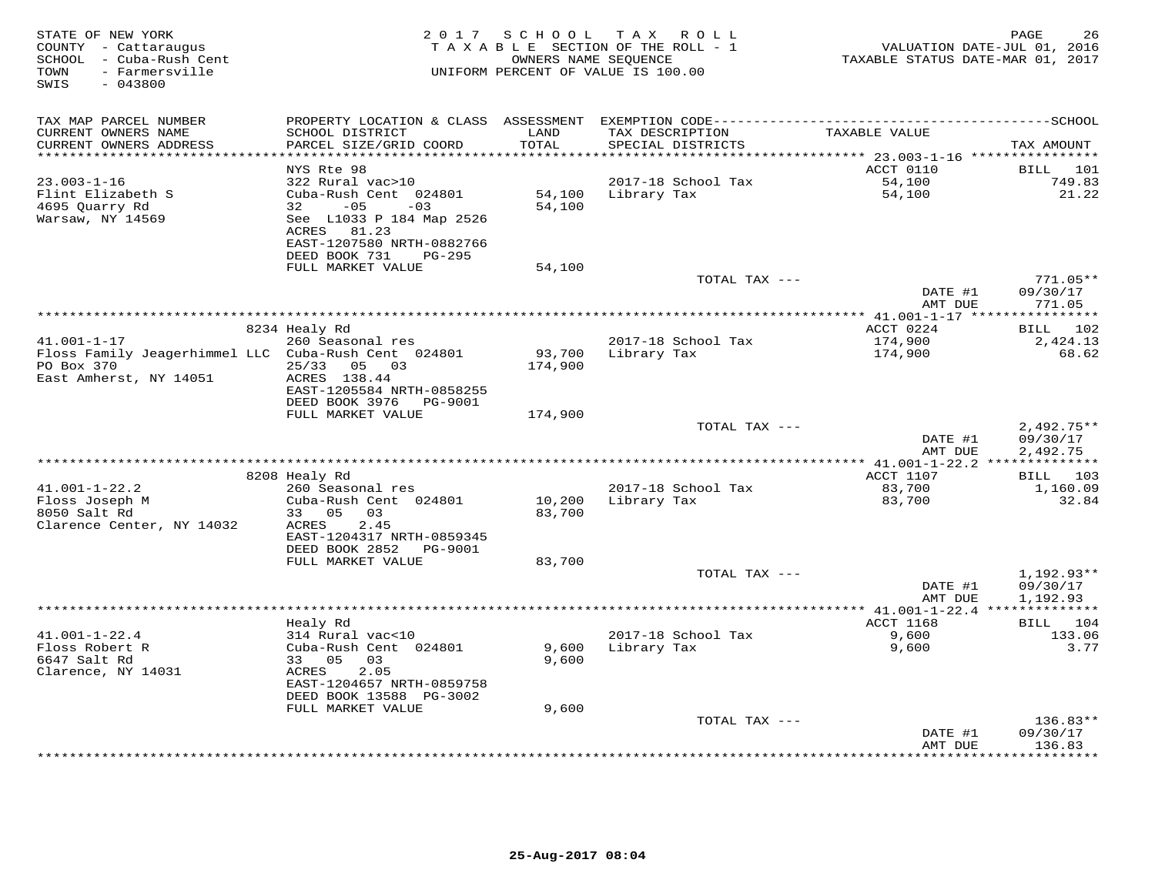| STATE OF NEW YORK<br>COUNTY - Cattaraugus<br>SCHOOL - Cuba-Rush Cent<br>- Farmersville<br>TOWN<br>$-043800$<br>SWIS | 2 0 1 7                                                | SCHOOL       | TAX ROLL<br>TAXABLE SECTION OF THE ROLL - 1<br>OWNERS NAME SEOUENCE<br>UNIFORM PERCENT OF VALUE IS 100.00 | VALUATION DATE-JUL 01, 2016<br>TAXABLE STATUS DATE-MAR 01, 2017 | 26<br>PAGE              |
|---------------------------------------------------------------------------------------------------------------------|--------------------------------------------------------|--------------|-----------------------------------------------------------------------------------------------------------|-----------------------------------------------------------------|-------------------------|
| TAX MAP PARCEL NUMBER<br>CURRENT OWNERS NAME                                                                        | SCHOOL DISTRICT                                        | LAND         | TAX DESCRIPTION                                                                                           | TAXABLE VALUE                                                   |                         |
| CURRENT OWNERS ADDRESS                                                                                              | PARCEL SIZE/GRID COORD                                 | TOTAL        | SPECIAL DISTRICTS                                                                                         |                                                                 | TAX AMOUNT              |
| **********************                                                                                              | ************************                               | ************ |                                                                                                           |                                                                 |                         |
| $23.003 - 1 - 16$                                                                                                   | NYS Rte 98                                             |              |                                                                                                           | ACCT 0110                                                       | BILL 101                |
| Flint Elizabeth S                                                                                                   | 322 Rural vac>10<br>Cuba-Rush Cent 024801              | 54,100       | 2017-18 School Tax<br>Library Tax                                                                         | 54,100<br>54,100                                                | 749.83<br>21.22         |
| 4695 Quarry Rd                                                                                                      | $-05$<br>32<br>$-03$                                   | 54,100       |                                                                                                           |                                                                 |                         |
| Warsaw, NY 14569                                                                                                    | See L1033 P 184 Map 2526                               |              |                                                                                                           |                                                                 |                         |
|                                                                                                                     | ACRES<br>81.23                                         |              |                                                                                                           |                                                                 |                         |
|                                                                                                                     | EAST-1207580 NRTH-0882766                              |              |                                                                                                           |                                                                 |                         |
|                                                                                                                     | DEED BOOK 731<br>PG-295<br>FULL MARKET VALUE           | 54,100       |                                                                                                           |                                                                 |                         |
|                                                                                                                     |                                                        |              | TOTAL TAX ---                                                                                             |                                                                 | $771.05**$              |
|                                                                                                                     |                                                        |              |                                                                                                           | DATE #1                                                         | 09/30/17                |
|                                                                                                                     |                                                        |              |                                                                                                           | AMT DUE                                                         | 771.05                  |
|                                                                                                                     |                                                        |              |                                                                                                           |                                                                 | ***********             |
| $41.001 - 1 - 17$                                                                                                   | 8234 Healy Rd<br>260 Seasonal res                      |              | 2017-18 School Tax                                                                                        | ACCT 0224<br>174,900                                            | 102<br>BILL<br>2,424.13 |
| Floss Family Jeagerhimmel LLC Cuba-Rush Cent 024801                                                                 |                                                        | 93,700       | Library Tax                                                                                               | 174,900                                                         | 68.62                   |
| PO Box 370                                                                                                          | 25/33<br>05 03                                         | 174,900      |                                                                                                           |                                                                 |                         |
| East Amherst, NY 14051                                                                                              | ACRES 138.44                                           |              |                                                                                                           |                                                                 |                         |
|                                                                                                                     | EAST-1205584 NRTH-0858255<br>DEED BOOK 3976            |              |                                                                                                           |                                                                 |                         |
|                                                                                                                     | PG-9001<br>FULL MARKET VALUE                           | 174,900      |                                                                                                           |                                                                 |                         |
|                                                                                                                     |                                                        |              | TOTAL TAX ---                                                                                             |                                                                 | $2,492.75**$            |
|                                                                                                                     |                                                        |              |                                                                                                           | DATE #1                                                         | 09/30/17                |
|                                                                                                                     |                                                        |              |                                                                                                           | AMT DUE                                                         | 2,492.75                |
|                                                                                                                     |                                                        |              |                                                                                                           | ACCT 1107                                                       | BILL 103                |
| $41.001 - 1 - 22.2$                                                                                                 | 8208 Healy Rd<br>260 Seasonal res                      |              | 2017-18 School Tax                                                                                        | 83,700                                                          | 1,160.09                |
| Floss Joseph M                                                                                                      | Cuba-Rush Cent 024801                                  | 10,200       | Library Tax                                                                                               | 83,700                                                          | 32.84                   |
| 8050 Salt Rd                                                                                                        | 33 05<br>03                                            | 83,700       |                                                                                                           |                                                                 |                         |
| Clarence Center, NY 14032                                                                                           | 2.45<br>ACRES                                          |              |                                                                                                           |                                                                 |                         |
|                                                                                                                     | EAST-1204317 NRTH-0859345<br>DEED BOOK 2852<br>PG-9001 |              |                                                                                                           |                                                                 |                         |
|                                                                                                                     | FULL MARKET VALUE                                      | 83,700       |                                                                                                           |                                                                 |                         |
|                                                                                                                     |                                                        |              | TOTAL TAX ---                                                                                             |                                                                 | $1,192.93**$            |
|                                                                                                                     |                                                        |              |                                                                                                           | DATE #1                                                         | 09/30/17                |
|                                                                                                                     |                                                        |              |                                                                                                           | AMT DUE                                                         | 1,192.93                |
|                                                                                                                     | Healy Rd                                               |              |                                                                                                           | ACCT 1168                                                       | BILL 104                |
| $41.001 - 1 - 22.4$                                                                                                 | 314 Rural vac<10                                       |              | 2017-18 School Tax                                                                                        | 9,600                                                           | 133.06                  |
| Floss Robert R                                                                                                      | Cuba-Rush Cent 024801                                  | 9,600        | Library Tax                                                                                               | 9,600                                                           | 3.77                    |
| 6647 Salt Rd                                                                                                        | 33 05<br>03                                            | 9,600        |                                                                                                           |                                                                 |                         |
| Clarence, NY 14031                                                                                                  | 2.05<br>ACRES                                          |              |                                                                                                           |                                                                 |                         |
|                                                                                                                     | EAST-1204657 NRTH-0859758<br>DEED BOOK 13588 PG-3002   |              |                                                                                                           |                                                                 |                         |
|                                                                                                                     | FULL MARKET VALUE                                      | 9,600        |                                                                                                           |                                                                 |                         |
|                                                                                                                     |                                                        |              | TOTAL TAX ---                                                                                             |                                                                 | $136.83**$              |
|                                                                                                                     |                                                        |              |                                                                                                           | DATE #1                                                         | 09/30/17                |
|                                                                                                                     |                                                        |              | ****************************                                                                              | AMT DUE<br>***********                                          | 136.83<br>*********     |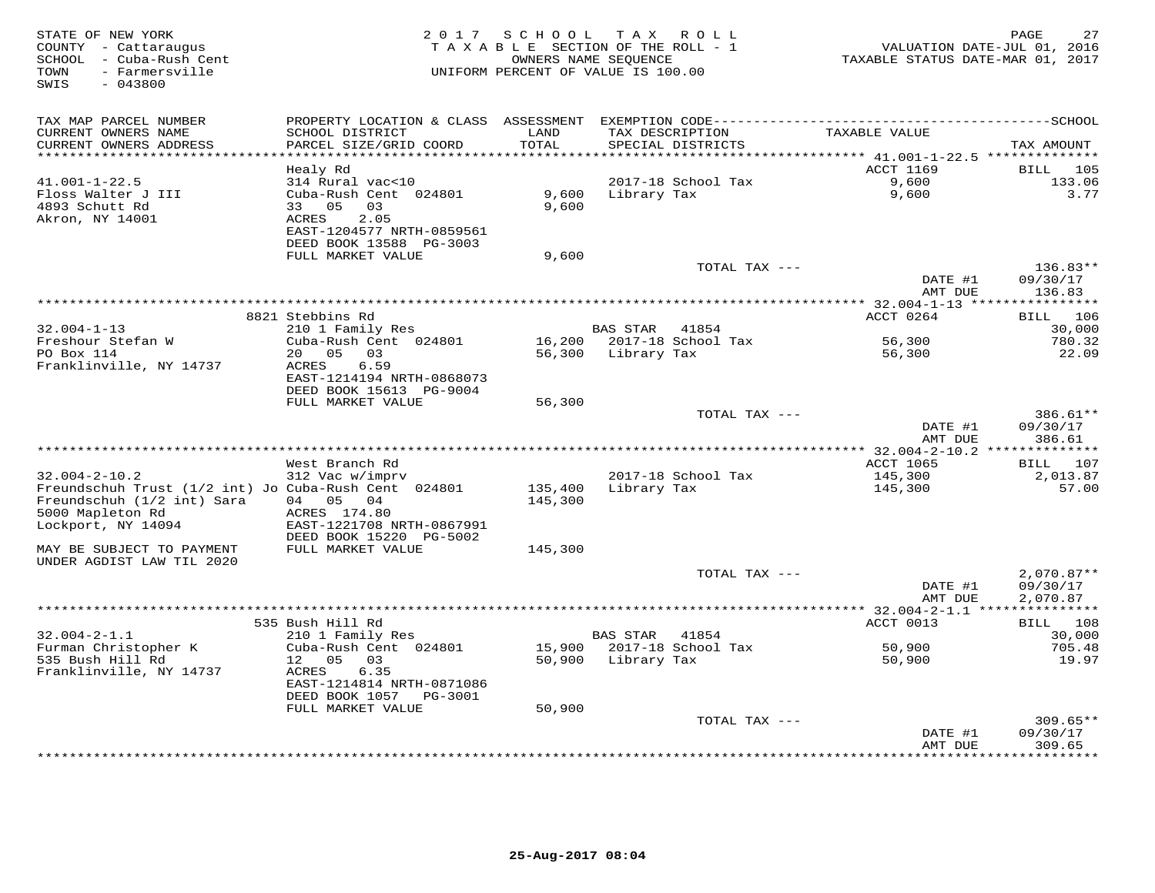| STATE OF NEW YORK<br>COUNTY - Cattaraugus<br>SCHOOL - Cuba-Rush Cent<br>TOWN<br>- Farmersville<br>SWIS<br>$-043800$ | 2 0 1 7                                        |                  | SCHOOL TAX ROLL<br>TAXABLE SECTION OF THE ROLL - 1<br>OWNERS NAME SEQUENCE<br>UNIFORM PERCENT OF VALUE IS 100.00 | VALUATION DATE-JUL 01, 2016<br>TAXABLE STATUS DATE-MAR 01, 2017 | 27<br>PAGE              |
|---------------------------------------------------------------------------------------------------------------------|------------------------------------------------|------------------|------------------------------------------------------------------------------------------------------------------|-----------------------------------------------------------------|-------------------------|
| TAX MAP PARCEL NUMBER                                                                                               |                                                |                  |                                                                                                                  |                                                                 |                         |
| CURRENT OWNERS NAME                                                                                                 | SCHOOL DISTRICT                                | LAND             | TAX DESCRIPTION                                                                                                  | TAXABLE VALUE                                                   |                         |
| CURRENT OWNERS ADDRESS<br>******************                                                                        | PARCEL SIZE/GRID COORD                         | TOTAL<br>******* | SPECIAL DISTRICTS                                                                                                |                                                                 | TAX AMOUNT              |
|                                                                                                                     | Healy Rd                                       |                  |                                                                                                                  | ******** 41.001-1-22.5 **************<br>ACCT 1169              | <b>BILL</b><br>105      |
| $41.001 - 1 - 22.5$                                                                                                 | 314 Rural vac<10                               |                  | 2017-18 School Tax                                                                                               | 9,600                                                           | 133.06                  |
| Floss Walter J III                                                                                                  | Cuba-Rush Cent 024801                          | 9,600            | Library Tax                                                                                                      | 9,600                                                           | 3.77                    |
| 4893 Schutt Rd                                                                                                      | 33 05<br>03                                    | 9,600            |                                                                                                                  |                                                                 |                         |
| Akron, NY 14001                                                                                                     | 2.05<br><b>ACRES</b>                           |                  |                                                                                                                  |                                                                 |                         |
|                                                                                                                     | EAST-1204577 NRTH-0859561                      |                  |                                                                                                                  |                                                                 |                         |
|                                                                                                                     | DEED BOOK 13588 PG-3003                        |                  |                                                                                                                  |                                                                 |                         |
|                                                                                                                     | FULL MARKET VALUE                              | 9,600            |                                                                                                                  |                                                                 |                         |
|                                                                                                                     |                                                |                  | TOTAL TAX ---                                                                                                    |                                                                 | 136.83**                |
|                                                                                                                     |                                                |                  |                                                                                                                  | DATE #1                                                         | 09/30/17                |
|                                                                                                                     |                                                |                  |                                                                                                                  | AMT DUE                                                         | 136.83<br>**********    |
|                                                                                                                     | 8821 Stebbins Rd                               |                  |                                                                                                                  | ********** 32.004-1-13 ****<br>ACCT 0264                        | 106<br>BILL             |
| $32.004 - 1 - 13$                                                                                                   | 210 1 Family Res                               |                  | BAS STAR 41854                                                                                                   |                                                                 | 30,000                  |
| Freshour Stefan W                                                                                                   | Cuba-Rush Cent 024801                          |                  | 16,200 2017-18 School Tax                                                                                        | 56,300                                                          | 780.32                  |
| PO Box 114                                                                                                          | 03<br>20<br>0.5                                | 56,300           | Library Tax                                                                                                      | 56,300                                                          | 22.09                   |
| Franklinville, NY 14737                                                                                             | ACRES<br>6.59                                  |                  |                                                                                                                  |                                                                 |                         |
|                                                                                                                     | EAST-1214194 NRTH-0868073                      |                  |                                                                                                                  |                                                                 |                         |
|                                                                                                                     | DEED BOOK 15613 PG-9004                        |                  |                                                                                                                  |                                                                 |                         |
|                                                                                                                     | FULL MARKET VALUE                              | 56,300           |                                                                                                                  |                                                                 |                         |
|                                                                                                                     |                                                |                  | TOTAL TAX ---                                                                                                    |                                                                 | 386.61**                |
|                                                                                                                     |                                                |                  |                                                                                                                  | DATE #1                                                         | 09/30/17                |
|                                                                                                                     |                                                |                  |                                                                                                                  | AMT DUE<br>**************** 32.004-2-10.2 **************        | 386.61                  |
|                                                                                                                     | West Branch Rd                                 |                  |                                                                                                                  | <b>ACCT 1065</b>                                                | 107<br>BILL             |
| $32.004 - 2 - 10.2$                                                                                                 | 312 Vac w/imprv                                |                  | 2017-18 School Tax                                                                                               | 145,300                                                         | 2,013.87                |
| Freundschuh Trust (1/2 int) Jo Cuba-Rush Cent 024801                                                                |                                                | 135,400          | Library Tax                                                                                                      | 145,300                                                         | 57.00                   |
| Freundschuh (1/2 int) Sara                                                                                          | 05 04<br>04                                    | 145,300          |                                                                                                                  |                                                                 |                         |
| 5000 Mapleton Rd                                                                                                    | ACRES 174.80                                   |                  |                                                                                                                  |                                                                 |                         |
| Lockport, NY 14094                                                                                                  | EAST-1221708 NRTH-0867991                      |                  |                                                                                                                  |                                                                 |                         |
|                                                                                                                     | DEED BOOK 15220 PG-5002                        |                  |                                                                                                                  |                                                                 |                         |
| MAY BE SUBJECT TO PAYMENT                                                                                           | FULL MARKET VALUE                              | 145,300          |                                                                                                                  |                                                                 |                         |
| UNDER AGDIST LAW TIL 2020                                                                                           |                                                |                  | TOTAL TAX ---                                                                                                    |                                                                 | $2,070.87**$            |
|                                                                                                                     |                                                |                  |                                                                                                                  | DATE #1                                                         | 09/30/17                |
|                                                                                                                     |                                                |                  |                                                                                                                  | AMT DUE                                                         | 2,070.87                |
|                                                                                                                     |                                                |                  |                                                                                                                  |                                                                 | * * * * * * * * * * * * |
|                                                                                                                     | 535 Bush Hill Rd                               |                  |                                                                                                                  | ACCT 0013                                                       | BILL 108                |
| $32.004 - 2 - 1.1$                                                                                                  | 210 1 Family Res                               |                  | BAS STAR<br>41854                                                                                                |                                                                 | 30,000                  |
| Furman Christopher K                                                                                                | Cuba-Rush Cent 024801                          | 15,900           | 2017-18 School Tax                                                                                               | 50,900                                                          | 705.48                  |
| 535 Bush Hill Rd                                                                                                    | 12 05<br>03                                    | 50,900           | Library Tax                                                                                                      | 50,900                                                          | 19.97                   |
| Franklinville, NY 14737                                                                                             | ACRES<br>6.35                                  |                  |                                                                                                                  |                                                                 |                         |
|                                                                                                                     | EAST-1214814 NRTH-0871086                      |                  |                                                                                                                  |                                                                 |                         |
|                                                                                                                     | DEED BOOK 1057<br>PG-3001<br>FULL MARKET VALUE | 50,900           |                                                                                                                  |                                                                 |                         |
|                                                                                                                     |                                                |                  | TOTAL TAX ---                                                                                                    |                                                                 | $309.65**$              |
|                                                                                                                     |                                                |                  |                                                                                                                  | DATE #1                                                         | 09/30/17                |
|                                                                                                                     |                                                |                  |                                                                                                                  | AMT DUE                                                         | 309.65                  |
|                                                                                                                     |                                                |                  | ****************************                                                                                     | ************                                                    | * * * * * * * * *       |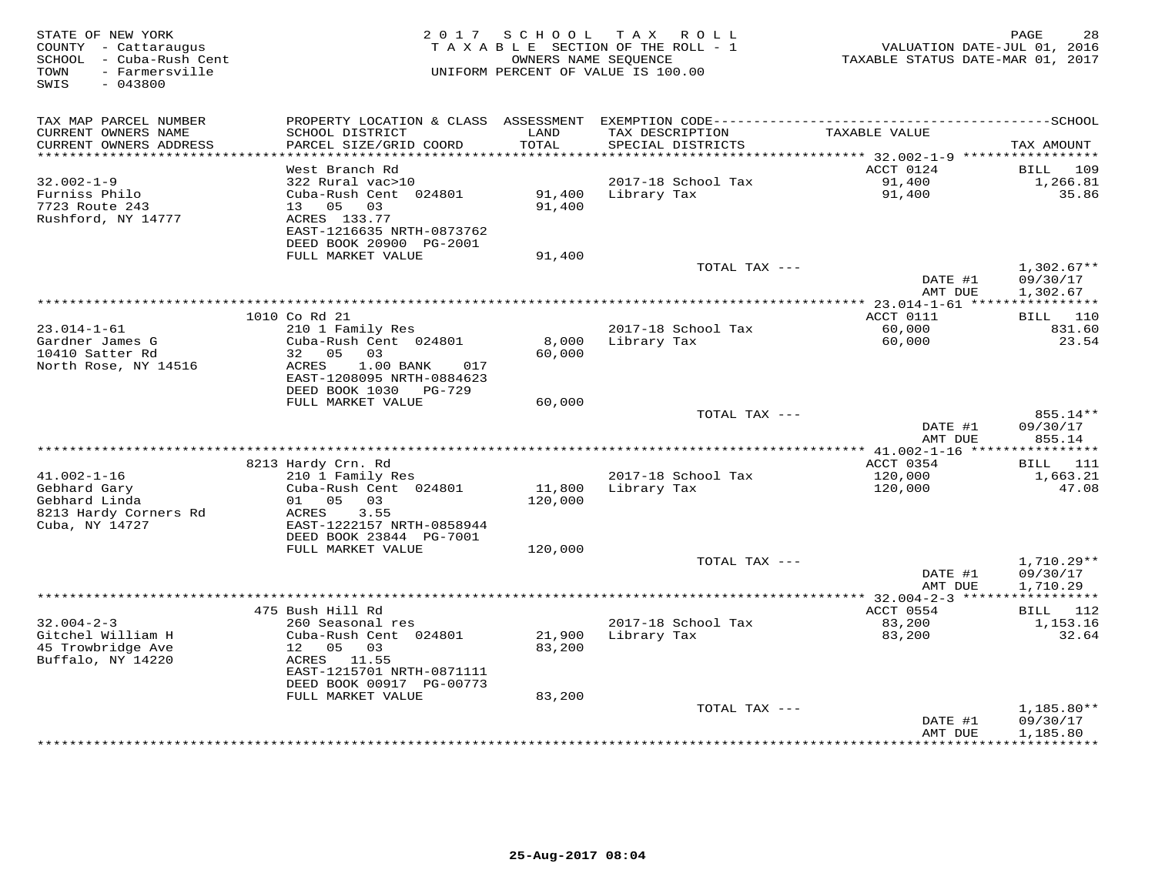| STATE OF NEW YORK<br>COUNTY - Cattaraugus<br>SCHOOL - Cuba-Rush Cent<br>- Farmersville<br>TOWN<br>$-043800$<br>SWIS | 2 0 1 7                                             | SCHOOL             | TAX ROLL<br>TAXABLE SECTION OF THE ROLL - 1<br>OWNERS NAME SEQUENCE<br>UNIFORM PERCENT OF VALUE IS 100.00 | VALUATION DATE-JUL 01, 2016<br>TAXABLE STATUS DATE-MAR 01, 2017 | 28<br>PAGE             |
|---------------------------------------------------------------------------------------------------------------------|-----------------------------------------------------|--------------------|-----------------------------------------------------------------------------------------------------------|-----------------------------------------------------------------|------------------------|
|                                                                                                                     |                                                     |                    |                                                                                                           |                                                                 |                        |
| TAX MAP PARCEL NUMBER<br>CURRENT OWNERS NAME                                                                        | PROPERTY LOCATION & CLASS<br>SCHOOL DISTRICT        | ASSESSMENT<br>LAND | TAX DESCRIPTION                                                                                           | TAXABLE VALUE                                                   |                        |
| CURRENT OWNERS ADDRESS<br>**********************                                                                    | PARCEL SIZE/GRID COORD<br>************************* | TOTAL              | SPECIAL DISTRICTS                                                                                         |                                                                 | TAX AMOUNT             |
|                                                                                                                     | West Branch Rd                                      |                    |                                                                                                           | ACCT 0124                                                       | BILL<br>109            |
| $32.002 - 1 - 9$                                                                                                    | 322 Rural vac>10                                    |                    | 2017-18 School Tax                                                                                        | 91,400                                                          | 1,266.81               |
| Furniss Philo                                                                                                       | Cuba-Rush Cent 024801                               | 91,400             | Library Tax                                                                                               | 91,400                                                          | 35.86                  |
| 7723 Route 243                                                                                                      | 05 03<br>13                                         | 91,400             |                                                                                                           |                                                                 |                        |
| Rushford, NY 14777                                                                                                  | ACRES 133.77                                        |                    |                                                                                                           |                                                                 |                        |
|                                                                                                                     | EAST-1216635 NRTH-0873762                           |                    |                                                                                                           |                                                                 |                        |
|                                                                                                                     | DEED BOOK 20900 PG-2001                             |                    |                                                                                                           |                                                                 |                        |
|                                                                                                                     | FULL MARKET VALUE                                   | 91,400             | TOTAL TAX ---                                                                                             |                                                                 | $1,302.67**$           |
|                                                                                                                     |                                                     |                    |                                                                                                           | DATE #1                                                         | 09/30/17               |
|                                                                                                                     |                                                     |                    |                                                                                                           | AMT DUE                                                         | 1,302.67               |
|                                                                                                                     |                                                     |                    | *********************                                                                                     | $*$ 23.014-1-61 ****                                            |                        |
|                                                                                                                     | 1010 Co Rd 21                                       |                    |                                                                                                           | ACCT 0111                                                       | 110<br>BILL            |
| $23.014 - 1 - 61$                                                                                                   | 210 1 Family Res                                    |                    | 2017-18 School Tax                                                                                        | 60,000                                                          | 831.60                 |
| Gardner James G                                                                                                     | Cuba-Rush Cent 024801                               | 8,000              | Library Tax                                                                                               | 60,000                                                          | 23.54                  |
| 10410 Satter Rd<br>North Rose, NY 14516                                                                             | 32 05<br>03<br>ACRES<br>$1.00$ BANK<br>017          | 60,000             |                                                                                                           |                                                                 |                        |
|                                                                                                                     | EAST-1208095 NRTH-0884623                           |                    |                                                                                                           |                                                                 |                        |
|                                                                                                                     | DEED BOOK 1030<br>PG-729                            |                    |                                                                                                           |                                                                 |                        |
|                                                                                                                     | FULL MARKET VALUE                                   | 60,000             |                                                                                                           |                                                                 |                        |
|                                                                                                                     |                                                     |                    | TOTAL TAX ---                                                                                             |                                                                 | 855.14**               |
|                                                                                                                     |                                                     |                    |                                                                                                           | DATE #1                                                         | 09/30/17               |
|                                                                                                                     |                                                     |                    |                                                                                                           | AMT DUE                                                         | 855.14                 |
|                                                                                                                     | 8213 Hardy Crn. Rd                                  |                    |                                                                                                           | ACCT 0354                                                       | 111<br>BILL            |
| $41.002 - 1 - 16$                                                                                                   | 210 1 Family Res                                    |                    | 2017-18 School Tax                                                                                        | 120,000                                                         | 1,663.21               |
| Gebhard Gary                                                                                                        | Cuba-Rush Cent 024801                               | 11,800             | Library Tax                                                                                               | 120,000                                                         | 47.08                  |
| Gebhard Linda                                                                                                       | 05<br>03<br>01                                      | 120,000            |                                                                                                           |                                                                 |                        |
| 8213 Hardy Corners Rd                                                                                               | 3.55<br>ACRES                                       |                    |                                                                                                           |                                                                 |                        |
| Cuba, NY 14727                                                                                                      | EAST-1222157 NRTH-0858944                           |                    |                                                                                                           |                                                                 |                        |
|                                                                                                                     | DEED BOOK 23844 PG-7001                             |                    |                                                                                                           |                                                                 |                        |
|                                                                                                                     | FULL MARKET VALUE                                   | 120,000            | TOTAL TAX ---                                                                                             |                                                                 | $1,710.29**$           |
|                                                                                                                     |                                                     |                    |                                                                                                           | DATE #1                                                         | 09/30/17               |
|                                                                                                                     |                                                     |                    |                                                                                                           | AMT DUE                                                         | 1,710.29               |
|                                                                                                                     |                                                     |                    |                                                                                                           | *********** 32.004-2-3 *****                                    | ***********            |
|                                                                                                                     | 475 Bush Hill Rd                                    |                    |                                                                                                           | ACCT 0554                                                       | 112<br>BILL            |
| $32.004 - 2 - 3$                                                                                                    | 260 Seasonal res                                    |                    | 2017-18 School Tax                                                                                        | 83,200                                                          | 1,153.16               |
| Gitchel William H                                                                                                   | Cuba-Rush Cent 024801                               | 21,900             | Library Tax                                                                                               | 83,200                                                          | 32.64                  |
| 45 Trowbridge Ave<br>Buffalo, NY 14220                                                                              | 05<br>12 <sup>°</sup><br>03<br>ACRES 11.55          | 83,200             |                                                                                                           |                                                                 |                        |
|                                                                                                                     | EAST-1215701 NRTH-0871111                           |                    |                                                                                                           |                                                                 |                        |
|                                                                                                                     | DEED BOOK 00917 PG-00773                            |                    |                                                                                                           |                                                                 |                        |
|                                                                                                                     | FULL MARKET VALUE                                   | 83,200             |                                                                                                           |                                                                 |                        |
|                                                                                                                     |                                                     |                    | TOTAL TAX ---                                                                                             |                                                                 | 1,185.80**             |
|                                                                                                                     |                                                     |                    |                                                                                                           | DATE #1                                                         | 09/30/17               |
|                                                                                                                     |                                                     |                    |                                                                                                           | AMT DUE<br>********                                             | 1,185.80<br>********** |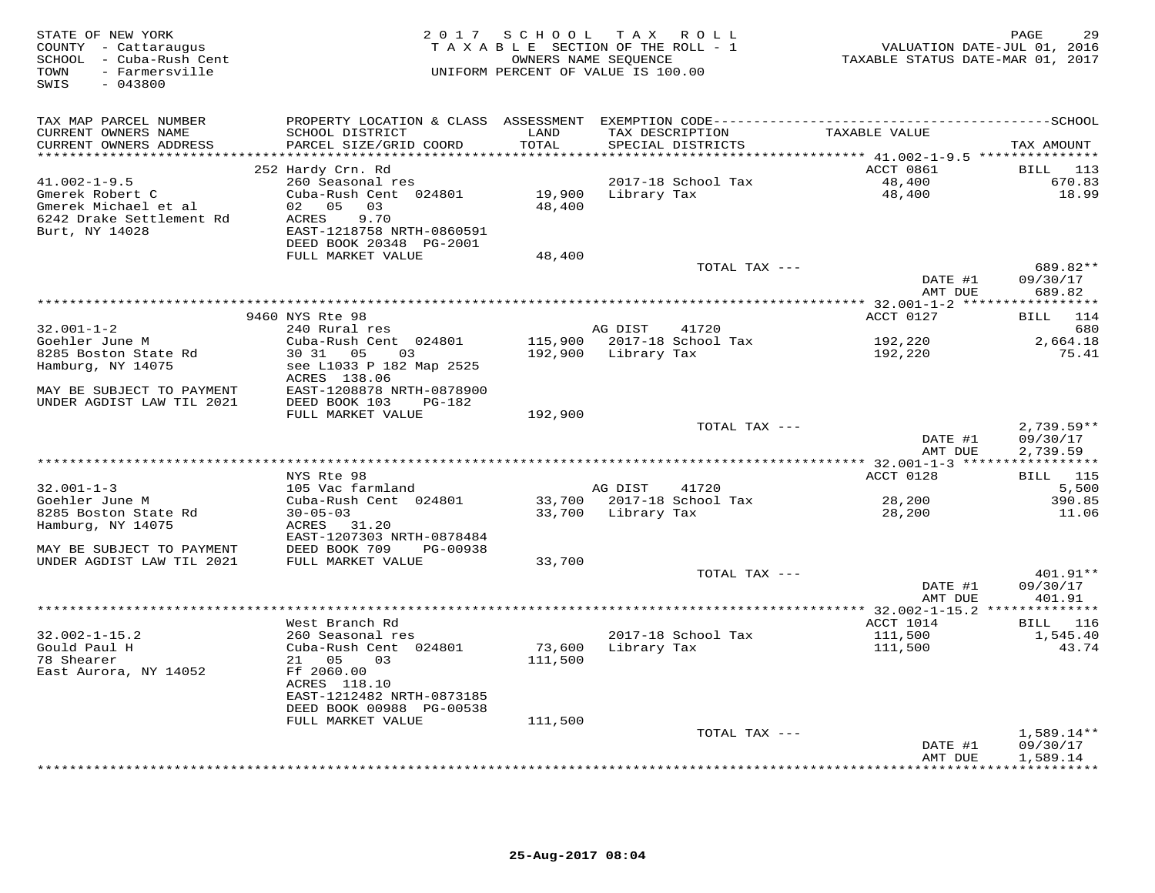| TAX MAP PARCEL NUMBER<br>TAXABLE VALUE<br>CURRENT OWNERS NAME<br>SCHOOL DISTRICT<br>LAND<br>TAX DESCRIPTION<br>PARCEL SIZE/GRID COORD<br>TOTAL<br>CURRENT OWNERS ADDRESS<br>SPECIAL DISTRICTS<br>TAX AMOUNT<br>ACCT 0861<br>252 Hardy Crn. Rd<br>BILL 113<br>$41.002 - 1 - 9.5$<br>260 Seasonal res<br>2017-18 School Tax<br>48,400<br>670.83<br>48,400<br>18.99<br>Gmerek Robert C<br>Cuba-Rush Cent 024801<br>19,900<br>Library Tax<br>02 05 03<br>48,400<br>Gmerek Michael et al<br>6242 Drake Settlement Rd<br>ACRES<br>9.70<br>Burt, NY 14028<br>EAST-1218758 NRTH-0860591<br>DEED BOOK 20348 PG-2001<br>FULL MARKET VALUE<br>48,400<br>689.82**<br>TOTAL TAX ---<br>DATE #1<br>09/30/17<br>AMT DUE<br>689.82<br>9460 NYS Rte 98<br>ACCT 0127<br>114<br><b>BILL</b><br>$32.001 - 1 - 2$<br>240 Rural res<br>41720<br>AG DIST<br>680<br>Goehler June M<br>Cuba-Rush Cent 024801<br>115,900 2017-18 School Tax<br>192,220<br>2,664.18<br>8285 Boston State Rd<br>30 31 05<br>75.41<br>03<br>192,900<br>Library Tax<br>192,220<br>Hamburg, NY 14075<br>see L1033 P 182 Map 2525<br>ACRES 138.06<br>MAY BE SUBJECT TO PAYMENT<br>EAST-1208878 NRTH-0878900<br>UNDER AGDIST LAW TIL 2021<br>DEED BOOK 103<br>PG-182<br>FULL MARKET VALUE<br>192,900<br>TOTAL TAX ---<br>$2,739.59**$<br>09/30/17<br>DATE #1<br>AMT DUE<br>2,739.59<br>NYS Rte 98<br>ACCT 0128<br>BILL 115<br>105 Vac farmland<br>5,500<br>$32.001 - 1 - 3$<br>AG DIST<br>41720<br>2017-18 School Tax<br>Goehler June M<br>Cuba-Rush Cent 024801<br>33,700<br>28,200<br>390.85<br>8285 Boston State Rd<br>$30 - 05 - 03$<br>Library Tax<br>11.06<br>33,700<br>28,200<br>Hamburg, NY 14075<br>ACRES 31.20<br>EAST-1207303 NRTH-0878484<br>DEED BOOK 709<br>MAY BE SUBJECT TO PAYMENT<br>PG-00938<br>UNDER AGDIST LAW TIL 2021<br>FULL MARKET VALUE<br>33,700<br>401.91**<br>TOTAL TAX ---<br>DATE #1<br>09/30/17<br>401.91<br>AMT DUE<br>********** 32.002-1-15.2 **************<br>West Branch Rd<br>ACCT 1014<br>BILL 116<br>$32.002 - 1 - 15.2$<br>260 Seasonal res<br>2017-18 School Tax<br>111,500<br>1,545.40<br>Gould Paul H<br>Cuba-Rush Cent 024801<br>Library Tax<br>43.74<br>73,600<br>111,500<br>78 Shearer<br>21 05<br>111,500<br>03<br>East Aurora, NY 14052<br>Ff 2060.00<br>ACRES 118.10<br>EAST-1212482 NRTH-0873185<br>DEED BOOK 00988 PG-00538<br>FULL MARKET VALUE<br>111,500<br>TOTAL TAX ---<br>$1,589.14**$<br>09/30/17<br>DATE #1<br>1,589.14<br>AMT DUE<br>* * * * * * * * * *<br>************* | STATE OF NEW YORK<br>COUNTY - Cattaraugus<br>SCHOOL - Cuba-Rush Cent<br>- Farmersville<br>TOWN<br>SWIS<br>$-043800$ | 2017 SCHOOL TAX ROLL<br>TAXABLE SECTION OF THE ROLL - 1<br>OWNERS NAME SEQUENCE<br>UNIFORM PERCENT OF VALUE IS 100.00 |  | VALUATION DATE-JUL 01, 2016<br>TAXABLE STATUS DATE-MAR 01, 2017 | PAGE | 29 |
|----------------------------------------------------------------------------------------------------------------------------------------------------------------------------------------------------------------------------------------------------------------------------------------------------------------------------------------------------------------------------------------------------------------------------------------------------------------------------------------------------------------------------------------------------------------------------------------------------------------------------------------------------------------------------------------------------------------------------------------------------------------------------------------------------------------------------------------------------------------------------------------------------------------------------------------------------------------------------------------------------------------------------------------------------------------------------------------------------------------------------------------------------------------------------------------------------------------------------------------------------------------------------------------------------------------------------------------------------------------------------------------------------------------------------------------------------------------------------------------------------------------------------------------------------------------------------------------------------------------------------------------------------------------------------------------------------------------------------------------------------------------------------------------------------------------------------------------------------------------------------------------------------------------------------------------------------------------------------------------------------------------------------------------------------------------------------------------------------------------------------------------------------------------------------------------------------------------------------------------------------------------------------------------------------------------------------------------------------------------------------------------------------------------------------------------------------------------------------------------|---------------------------------------------------------------------------------------------------------------------|-----------------------------------------------------------------------------------------------------------------------|--|-----------------------------------------------------------------|------|----|
|                                                                                                                                                                                                                                                                                                                                                                                                                                                                                                                                                                                                                                                                                                                                                                                                                                                                                                                                                                                                                                                                                                                                                                                                                                                                                                                                                                                                                                                                                                                                                                                                                                                                                                                                                                                                                                                                                                                                                                                                                                                                                                                                                                                                                                                                                                                                                                                                                                                                                        |                                                                                                                     |                                                                                                                       |  |                                                                 |      |    |
|                                                                                                                                                                                                                                                                                                                                                                                                                                                                                                                                                                                                                                                                                                                                                                                                                                                                                                                                                                                                                                                                                                                                                                                                                                                                                                                                                                                                                                                                                                                                                                                                                                                                                                                                                                                                                                                                                                                                                                                                                                                                                                                                                                                                                                                                                                                                                                                                                                                                                        |                                                                                                                     |                                                                                                                       |  |                                                                 |      |    |
|                                                                                                                                                                                                                                                                                                                                                                                                                                                                                                                                                                                                                                                                                                                                                                                                                                                                                                                                                                                                                                                                                                                                                                                                                                                                                                                                                                                                                                                                                                                                                                                                                                                                                                                                                                                                                                                                                                                                                                                                                                                                                                                                                                                                                                                                                                                                                                                                                                                                                        |                                                                                                                     |                                                                                                                       |  |                                                                 |      |    |
|                                                                                                                                                                                                                                                                                                                                                                                                                                                                                                                                                                                                                                                                                                                                                                                                                                                                                                                                                                                                                                                                                                                                                                                                                                                                                                                                                                                                                                                                                                                                                                                                                                                                                                                                                                                                                                                                                                                                                                                                                                                                                                                                                                                                                                                                                                                                                                                                                                                                                        |                                                                                                                     |                                                                                                                       |  |                                                                 |      |    |
|                                                                                                                                                                                                                                                                                                                                                                                                                                                                                                                                                                                                                                                                                                                                                                                                                                                                                                                                                                                                                                                                                                                                                                                                                                                                                                                                                                                                                                                                                                                                                                                                                                                                                                                                                                                                                                                                                                                                                                                                                                                                                                                                                                                                                                                                                                                                                                                                                                                                                        |                                                                                                                     |                                                                                                                       |  |                                                                 |      |    |
|                                                                                                                                                                                                                                                                                                                                                                                                                                                                                                                                                                                                                                                                                                                                                                                                                                                                                                                                                                                                                                                                                                                                                                                                                                                                                                                                                                                                                                                                                                                                                                                                                                                                                                                                                                                                                                                                                                                                                                                                                                                                                                                                                                                                                                                                                                                                                                                                                                                                                        |                                                                                                                     |                                                                                                                       |  |                                                                 |      |    |
|                                                                                                                                                                                                                                                                                                                                                                                                                                                                                                                                                                                                                                                                                                                                                                                                                                                                                                                                                                                                                                                                                                                                                                                                                                                                                                                                                                                                                                                                                                                                                                                                                                                                                                                                                                                                                                                                                                                                                                                                                                                                                                                                                                                                                                                                                                                                                                                                                                                                                        |                                                                                                                     |                                                                                                                       |  |                                                                 |      |    |
|                                                                                                                                                                                                                                                                                                                                                                                                                                                                                                                                                                                                                                                                                                                                                                                                                                                                                                                                                                                                                                                                                                                                                                                                                                                                                                                                                                                                                                                                                                                                                                                                                                                                                                                                                                                                                                                                                                                                                                                                                                                                                                                                                                                                                                                                                                                                                                                                                                                                                        |                                                                                                                     |                                                                                                                       |  |                                                                 |      |    |
|                                                                                                                                                                                                                                                                                                                                                                                                                                                                                                                                                                                                                                                                                                                                                                                                                                                                                                                                                                                                                                                                                                                                                                                                                                                                                                                                                                                                                                                                                                                                                                                                                                                                                                                                                                                                                                                                                                                                                                                                                                                                                                                                                                                                                                                                                                                                                                                                                                                                                        |                                                                                                                     |                                                                                                                       |  |                                                                 |      |    |
|                                                                                                                                                                                                                                                                                                                                                                                                                                                                                                                                                                                                                                                                                                                                                                                                                                                                                                                                                                                                                                                                                                                                                                                                                                                                                                                                                                                                                                                                                                                                                                                                                                                                                                                                                                                                                                                                                                                                                                                                                                                                                                                                                                                                                                                                                                                                                                                                                                                                                        |                                                                                                                     |                                                                                                                       |  |                                                                 |      |    |
|                                                                                                                                                                                                                                                                                                                                                                                                                                                                                                                                                                                                                                                                                                                                                                                                                                                                                                                                                                                                                                                                                                                                                                                                                                                                                                                                                                                                                                                                                                                                                                                                                                                                                                                                                                                                                                                                                                                                                                                                                                                                                                                                                                                                                                                                                                                                                                                                                                                                                        |                                                                                                                     |                                                                                                                       |  |                                                                 |      |    |
|                                                                                                                                                                                                                                                                                                                                                                                                                                                                                                                                                                                                                                                                                                                                                                                                                                                                                                                                                                                                                                                                                                                                                                                                                                                                                                                                                                                                                                                                                                                                                                                                                                                                                                                                                                                                                                                                                                                                                                                                                                                                                                                                                                                                                                                                                                                                                                                                                                                                                        |                                                                                                                     |                                                                                                                       |  |                                                                 |      |    |
|                                                                                                                                                                                                                                                                                                                                                                                                                                                                                                                                                                                                                                                                                                                                                                                                                                                                                                                                                                                                                                                                                                                                                                                                                                                                                                                                                                                                                                                                                                                                                                                                                                                                                                                                                                                                                                                                                                                                                                                                                                                                                                                                                                                                                                                                                                                                                                                                                                                                                        |                                                                                                                     |                                                                                                                       |  |                                                                 |      |    |
|                                                                                                                                                                                                                                                                                                                                                                                                                                                                                                                                                                                                                                                                                                                                                                                                                                                                                                                                                                                                                                                                                                                                                                                                                                                                                                                                                                                                                                                                                                                                                                                                                                                                                                                                                                                                                                                                                                                                                                                                                                                                                                                                                                                                                                                                                                                                                                                                                                                                                        |                                                                                                                     |                                                                                                                       |  |                                                                 |      |    |
|                                                                                                                                                                                                                                                                                                                                                                                                                                                                                                                                                                                                                                                                                                                                                                                                                                                                                                                                                                                                                                                                                                                                                                                                                                                                                                                                                                                                                                                                                                                                                                                                                                                                                                                                                                                                                                                                                                                                                                                                                                                                                                                                                                                                                                                                                                                                                                                                                                                                                        |                                                                                                                     |                                                                                                                       |  |                                                                 |      |    |
|                                                                                                                                                                                                                                                                                                                                                                                                                                                                                                                                                                                                                                                                                                                                                                                                                                                                                                                                                                                                                                                                                                                                                                                                                                                                                                                                                                                                                                                                                                                                                                                                                                                                                                                                                                                                                                                                                                                                                                                                                                                                                                                                                                                                                                                                                                                                                                                                                                                                                        |                                                                                                                     |                                                                                                                       |  |                                                                 |      |    |
|                                                                                                                                                                                                                                                                                                                                                                                                                                                                                                                                                                                                                                                                                                                                                                                                                                                                                                                                                                                                                                                                                                                                                                                                                                                                                                                                                                                                                                                                                                                                                                                                                                                                                                                                                                                                                                                                                                                                                                                                                                                                                                                                                                                                                                                                                                                                                                                                                                                                                        |                                                                                                                     |                                                                                                                       |  |                                                                 |      |    |
|                                                                                                                                                                                                                                                                                                                                                                                                                                                                                                                                                                                                                                                                                                                                                                                                                                                                                                                                                                                                                                                                                                                                                                                                                                                                                                                                                                                                                                                                                                                                                                                                                                                                                                                                                                                                                                                                                                                                                                                                                                                                                                                                                                                                                                                                                                                                                                                                                                                                                        |                                                                                                                     |                                                                                                                       |  |                                                                 |      |    |
|                                                                                                                                                                                                                                                                                                                                                                                                                                                                                                                                                                                                                                                                                                                                                                                                                                                                                                                                                                                                                                                                                                                                                                                                                                                                                                                                                                                                                                                                                                                                                                                                                                                                                                                                                                                                                                                                                                                                                                                                                                                                                                                                                                                                                                                                                                                                                                                                                                                                                        |                                                                                                                     |                                                                                                                       |  |                                                                 |      |    |
|                                                                                                                                                                                                                                                                                                                                                                                                                                                                                                                                                                                                                                                                                                                                                                                                                                                                                                                                                                                                                                                                                                                                                                                                                                                                                                                                                                                                                                                                                                                                                                                                                                                                                                                                                                                                                                                                                                                                                                                                                                                                                                                                                                                                                                                                                                                                                                                                                                                                                        |                                                                                                                     |                                                                                                                       |  |                                                                 |      |    |
|                                                                                                                                                                                                                                                                                                                                                                                                                                                                                                                                                                                                                                                                                                                                                                                                                                                                                                                                                                                                                                                                                                                                                                                                                                                                                                                                                                                                                                                                                                                                                                                                                                                                                                                                                                                                                                                                                                                                                                                                                                                                                                                                                                                                                                                                                                                                                                                                                                                                                        |                                                                                                                     |                                                                                                                       |  |                                                                 |      |    |
|                                                                                                                                                                                                                                                                                                                                                                                                                                                                                                                                                                                                                                                                                                                                                                                                                                                                                                                                                                                                                                                                                                                                                                                                                                                                                                                                                                                                                                                                                                                                                                                                                                                                                                                                                                                                                                                                                                                                                                                                                                                                                                                                                                                                                                                                                                                                                                                                                                                                                        |                                                                                                                     |                                                                                                                       |  |                                                                 |      |    |
|                                                                                                                                                                                                                                                                                                                                                                                                                                                                                                                                                                                                                                                                                                                                                                                                                                                                                                                                                                                                                                                                                                                                                                                                                                                                                                                                                                                                                                                                                                                                                                                                                                                                                                                                                                                                                                                                                                                                                                                                                                                                                                                                                                                                                                                                                                                                                                                                                                                                                        |                                                                                                                     |                                                                                                                       |  |                                                                 |      |    |
|                                                                                                                                                                                                                                                                                                                                                                                                                                                                                                                                                                                                                                                                                                                                                                                                                                                                                                                                                                                                                                                                                                                                                                                                                                                                                                                                                                                                                                                                                                                                                                                                                                                                                                                                                                                                                                                                                                                                                                                                                                                                                                                                                                                                                                                                                                                                                                                                                                                                                        |                                                                                                                     |                                                                                                                       |  |                                                                 |      |    |
|                                                                                                                                                                                                                                                                                                                                                                                                                                                                                                                                                                                                                                                                                                                                                                                                                                                                                                                                                                                                                                                                                                                                                                                                                                                                                                                                                                                                                                                                                                                                                                                                                                                                                                                                                                                                                                                                                                                                                                                                                                                                                                                                                                                                                                                                                                                                                                                                                                                                                        |                                                                                                                     |                                                                                                                       |  |                                                                 |      |    |
|                                                                                                                                                                                                                                                                                                                                                                                                                                                                                                                                                                                                                                                                                                                                                                                                                                                                                                                                                                                                                                                                                                                                                                                                                                                                                                                                                                                                                                                                                                                                                                                                                                                                                                                                                                                                                                                                                                                                                                                                                                                                                                                                                                                                                                                                                                                                                                                                                                                                                        |                                                                                                                     |                                                                                                                       |  |                                                                 |      |    |
|                                                                                                                                                                                                                                                                                                                                                                                                                                                                                                                                                                                                                                                                                                                                                                                                                                                                                                                                                                                                                                                                                                                                                                                                                                                                                                                                                                                                                                                                                                                                                                                                                                                                                                                                                                                                                                                                                                                                                                                                                                                                                                                                                                                                                                                                                                                                                                                                                                                                                        |                                                                                                                     |                                                                                                                       |  |                                                                 |      |    |
|                                                                                                                                                                                                                                                                                                                                                                                                                                                                                                                                                                                                                                                                                                                                                                                                                                                                                                                                                                                                                                                                                                                                                                                                                                                                                                                                                                                                                                                                                                                                                                                                                                                                                                                                                                                                                                                                                                                                                                                                                                                                                                                                                                                                                                                                                                                                                                                                                                                                                        |                                                                                                                     |                                                                                                                       |  |                                                                 |      |    |
|                                                                                                                                                                                                                                                                                                                                                                                                                                                                                                                                                                                                                                                                                                                                                                                                                                                                                                                                                                                                                                                                                                                                                                                                                                                                                                                                                                                                                                                                                                                                                                                                                                                                                                                                                                                                                                                                                                                                                                                                                                                                                                                                                                                                                                                                                                                                                                                                                                                                                        |                                                                                                                     |                                                                                                                       |  |                                                                 |      |    |
|                                                                                                                                                                                                                                                                                                                                                                                                                                                                                                                                                                                                                                                                                                                                                                                                                                                                                                                                                                                                                                                                                                                                                                                                                                                                                                                                                                                                                                                                                                                                                                                                                                                                                                                                                                                                                                                                                                                                                                                                                                                                                                                                                                                                                                                                                                                                                                                                                                                                                        |                                                                                                                     |                                                                                                                       |  |                                                                 |      |    |
|                                                                                                                                                                                                                                                                                                                                                                                                                                                                                                                                                                                                                                                                                                                                                                                                                                                                                                                                                                                                                                                                                                                                                                                                                                                                                                                                                                                                                                                                                                                                                                                                                                                                                                                                                                                                                                                                                                                                                                                                                                                                                                                                                                                                                                                                                                                                                                                                                                                                                        |                                                                                                                     |                                                                                                                       |  |                                                                 |      |    |
|                                                                                                                                                                                                                                                                                                                                                                                                                                                                                                                                                                                                                                                                                                                                                                                                                                                                                                                                                                                                                                                                                                                                                                                                                                                                                                                                                                                                                                                                                                                                                                                                                                                                                                                                                                                                                                                                                                                                                                                                                                                                                                                                                                                                                                                                                                                                                                                                                                                                                        |                                                                                                                     |                                                                                                                       |  |                                                                 |      |    |
|                                                                                                                                                                                                                                                                                                                                                                                                                                                                                                                                                                                                                                                                                                                                                                                                                                                                                                                                                                                                                                                                                                                                                                                                                                                                                                                                                                                                                                                                                                                                                                                                                                                                                                                                                                                                                                                                                                                                                                                                                                                                                                                                                                                                                                                                                                                                                                                                                                                                                        |                                                                                                                     |                                                                                                                       |  |                                                                 |      |    |
|                                                                                                                                                                                                                                                                                                                                                                                                                                                                                                                                                                                                                                                                                                                                                                                                                                                                                                                                                                                                                                                                                                                                                                                                                                                                                                                                                                                                                                                                                                                                                                                                                                                                                                                                                                                                                                                                                                                                                                                                                                                                                                                                                                                                                                                                                                                                                                                                                                                                                        |                                                                                                                     |                                                                                                                       |  |                                                                 |      |    |
|                                                                                                                                                                                                                                                                                                                                                                                                                                                                                                                                                                                                                                                                                                                                                                                                                                                                                                                                                                                                                                                                                                                                                                                                                                                                                                                                                                                                                                                                                                                                                                                                                                                                                                                                                                                                                                                                                                                                                                                                                                                                                                                                                                                                                                                                                                                                                                                                                                                                                        |                                                                                                                     |                                                                                                                       |  |                                                                 |      |    |
|                                                                                                                                                                                                                                                                                                                                                                                                                                                                                                                                                                                                                                                                                                                                                                                                                                                                                                                                                                                                                                                                                                                                                                                                                                                                                                                                                                                                                                                                                                                                                                                                                                                                                                                                                                                                                                                                                                                                                                                                                                                                                                                                                                                                                                                                                                                                                                                                                                                                                        |                                                                                                                     |                                                                                                                       |  |                                                                 |      |    |
|                                                                                                                                                                                                                                                                                                                                                                                                                                                                                                                                                                                                                                                                                                                                                                                                                                                                                                                                                                                                                                                                                                                                                                                                                                                                                                                                                                                                                                                                                                                                                                                                                                                                                                                                                                                                                                                                                                                                                                                                                                                                                                                                                                                                                                                                                                                                                                                                                                                                                        |                                                                                                                     |                                                                                                                       |  |                                                                 |      |    |
|                                                                                                                                                                                                                                                                                                                                                                                                                                                                                                                                                                                                                                                                                                                                                                                                                                                                                                                                                                                                                                                                                                                                                                                                                                                                                                                                                                                                                                                                                                                                                                                                                                                                                                                                                                                                                                                                                                                                                                                                                                                                                                                                                                                                                                                                                                                                                                                                                                                                                        |                                                                                                                     |                                                                                                                       |  |                                                                 |      |    |
|                                                                                                                                                                                                                                                                                                                                                                                                                                                                                                                                                                                                                                                                                                                                                                                                                                                                                                                                                                                                                                                                                                                                                                                                                                                                                                                                                                                                                                                                                                                                                                                                                                                                                                                                                                                                                                                                                                                                                                                                                                                                                                                                                                                                                                                                                                                                                                                                                                                                                        |                                                                                                                     |                                                                                                                       |  |                                                                 |      |    |
|                                                                                                                                                                                                                                                                                                                                                                                                                                                                                                                                                                                                                                                                                                                                                                                                                                                                                                                                                                                                                                                                                                                                                                                                                                                                                                                                                                                                                                                                                                                                                                                                                                                                                                                                                                                                                                                                                                                                                                                                                                                                                                                                                                                                                                                                                                                                                                                                                                                                                        |                                                                                                                     |                                                                                                                       |  |                                                                 |      |    |
|                                                                                                                                                                                                                                                                                                                                                                                                                                                                                                                                                                                                                                                                                                                                                                                                                                                                                                                                                                                                                                                                                                                                                                                                                                                                                                                                                                                                                                                                                                                                                                                                                                                                                                                                                                                                                                                                                                                                                                                                                                                                                                                                                                                                                                                                                                                                                                                                                                                                                        |                                                                                                                     |                                                                                                                       |  |                                                                 |      |    |
|                                                                                                                                                                                                                                                                                                                                                                                                                                                                                                                                                                                                                                                                                                                                                                                                                                                                                                                                                                                                                                                                                                                                                                                                                                                                                                                                                                                                                                                                                                                                                                                                                                                                                                                                                                                                                                                                                                                                                                                                                                                                                                                                                                                                                                                                                                                                                                                                                                                                                        |                                                                                                                     |                                                                                                                       |  |                                                                 |      |    |
|                                                                                                                                                                                                                                                                                                                                                                                                                                                                                                                                                                                                                                                                                                                                                                                                                                                                                                                                                                                                                                                                                                                                                                                                                                                                                                                                                                                                                                                                                                                                                                                                                                                                                                                                                                                                                                                                                                                                                                                                                                                                                                                                                                                                                                                                                                                                                                                                                                                                                        |                                                                                                                     |                                                                                                                       |  |                                                                 |      |    |
|                                                                                                                                                                                                                                                                                                                                                                                                                                                                                                                                                                                                                                                                                                                                                                                                                                                                                                                                                                                                                                                                                                                                                                                                                                                                                                                                                                                                                                                                                                                                                                                                                                                                                                                                                                                                                                                                                                                                                                                                                                                                                                                                                                                                                                                                                                                                                                                                                                                                                        |                                                                                                                     |                                                                                                                       |  |                                                                 |      |    |
|                                                                                                                                                                                                                                                                                                                                                                                                                                                                                                                                                                                                                                                                                                                                                                                                                                                                                                                                                                                                                                                                                                                                                                                                                                                                                                                                                                                                                                                                                                                                                                                                                                                                                                                                                                                                                                                                                                                                                                                                                                                                                                                                                                                                                                                                                                                                                                                                                                                                                        |                                                                                                                     |                                                                                                                       |  |                                                                 |      |    |
|                                                                                                                                                                                                                                                                                                                                                                                                                                                                                                                                                                                                                                                                                                                                                                                                                                                                                                                                                                                                                                                                                                                                                                                                                                                                                                                                                                                                                                                                                                                                                                                                                                                                                                                                                                                                                                                                                                                                                                                                                                                                                                                                                                                                                                                                                                                                                                                                                                                                                        |                                                                                                                     |                                                                                                                       |  |                                                                 |      |    |
|                                                                                                                                                                                                                                                                                                                                                                                                                                                                                                                                                                                                                                                                                                                                                                                                                                                                                                                                                                                                                                                                                                                                                                                                                                                                                                                                                                                                                                                                                                                                                                                                                                                                                                                                                                                                                                                                                                                                                                                                                                                                                                                                                                                                                                                                                                                                                                                                                                                                                        |                                                                                                                     |                                                                                                                       |  |                                                                 |      |    |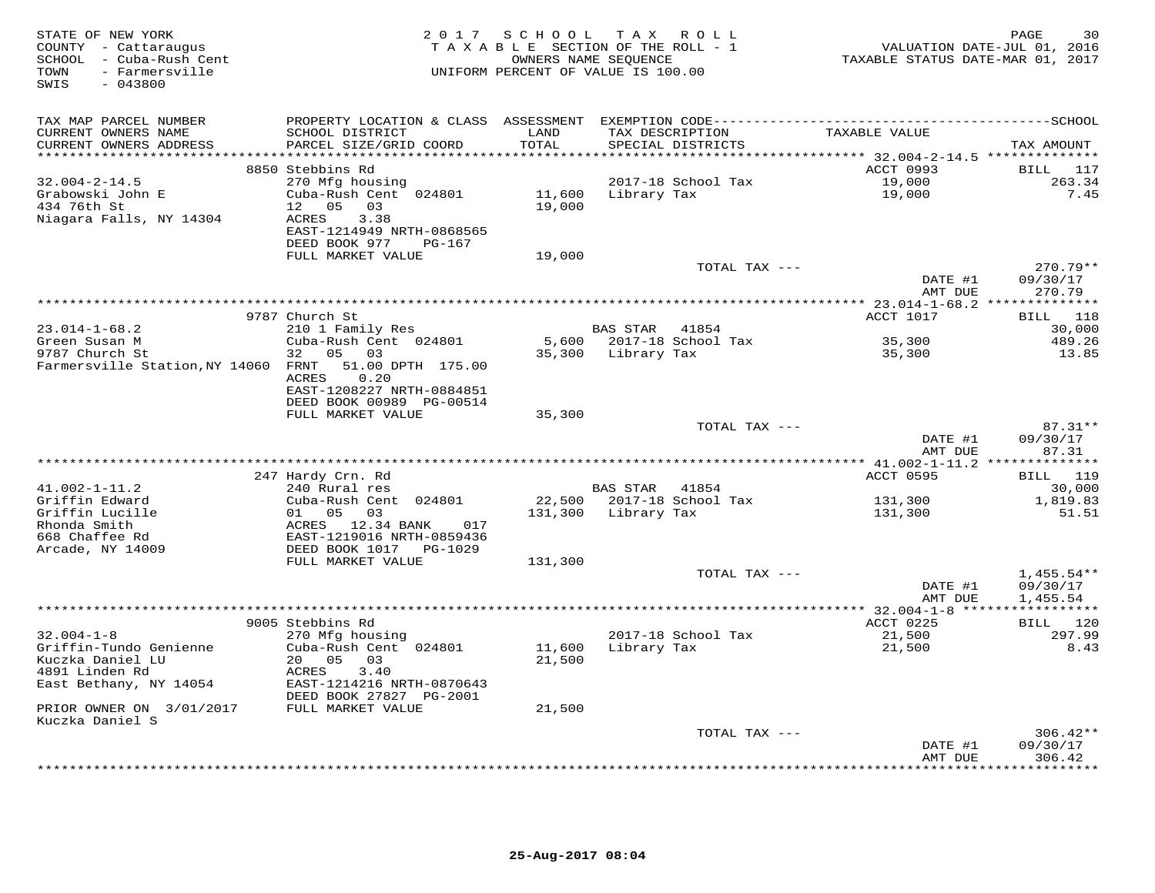| STATE OF NEW YORK<br>COUNTY - Cattaraugus<br>SCHOOL - Cuba-Rush Cent<br>- Farmersville<br>TOWN<br>SWIS<br>$-043800$ |                                                       | 2017 SCHOOL TAX ROLL<br>TAXABLE SECTION OF THE ROLL - 1<br>OWNERS NAME SEQUENCE<br>UNIFORM PERCENT OF VALUE IS 100.00 |                 |                    | TAXABLE STATUS DATE-MAR 01, 2017 | 30<br>PAGE<br>VALUATION DATE-JUL 01, 2016 |
|---------------------------------------------------------------------------------------------------------------------|-------------------------------------------------------|-----------------------------------------------------------------------------------------------------------------------|-----------------|--------------------|----------------------------------|-------------------------------------------|
| TAX MAP PARCEL NUMBER                                                                                               |                                                       |                                                                                                                       |                 |                    |                                  |                                           |
| CURRENT OWNERS NAME                                                                                                 | SCHOOL DISTRICT                                       | LAND                                                                                                                  | TAX DESCRIPTION |                    | TAXABLE VALUE                    |                                           |
| CURRENT OWNERS ADDRESS                                                                                              | PARCEL SIZE/GRID COORD                                | TOTAL                                                                                                                 |                 | SPECIAL DISTRICTS  |                                  | TAX AMOUNT                                |
|                                                                                                                     | 8850 Stebbins Rd                                      |                                                                                                                       |                 |                    | ACCT 0993                        | BILL 117                                  |
| $32.004 - 2 - 14.5$                                                                                                 | 270 Mfg housing                                       |                                                                                                                       |                 | 2017-18 School Tax | 19,000                           | 263.34                                    |
| Grabowski John E                                                                                                    | Cuba-Rush Cent 024801                                 | 11,600                                                                                                                | Library Tax     |                    | 19,000                           | 7.45                                      |
| 434 76th St                                                                                                         | 12 05<br>03                                           | 19,000                                                                                                                |                 |                    |                                  |                                           |
| Niagara Falls, NY 14304                                                                                             | ACRES<br>3.38                                         |                                                                                                                       |                 |                    |                                  |                                           |
|                                                                                                                     | EAST-1214949 NRTH-0868565<br>DEED BOOK 977<br>PG-167  |                                                                                                                       |                 |                    |                                  |                                           |
|                                                                                                                     | FULL MARKET VALUE                                     | 19,000                                                                                                                |                 |                    |                                  |                                           |
|                                                                                                                     |                                                       |                                                                                                                       |                 | TOTAL TAX ---      |                                  | 270.79**                                  |
|                                                                                                                     |                                                       |                                                                                                                       |                 |                    | DATE #1                          | 09/30/17                                  |
|                                                                                                                     |                                                       |                                                                                                                       |                 |                    | AMT DUE                          | 270.79                                    |
|                                                                                                                     | 9787 Church St                                        |                                                                                                                       |                 |                    | ACCT 1017                        | BILL 118                                  |
| $23.014 - 1 - 68.2$                                                                                                 | 210 1 Family Res                                      |                                                                                                                       | <b>BAS STAR</b> | 41854              |                                  | 30,000                                    |
| Green Susan M                                                                                                       | Cuba-Rush Cent 024801                                 | 5,600                                                                                                                 |                 | 2017-18 School Tax | 35,300                           | 489.26                                    |
| 9787 Church St                                                                                                      | 32 05 03                                              | 35,300                                                                                                                | Library Tax     |                    | 35,300                           | 13.85                                     |
| Farmersville Station, NY 14060 FRNT                                                                                 | 51.00 DPTH 175.00                                     |                                                                                                                       |                 |                    |                                  |                                           |
|                                                                                                                     | 0.20<br>ACRES                                         |                                                                                                                       |                 |                    |                                  |                                           |
|                                                                                                                     | EAST-1208227 NRTH-0884851<br>DEED BOOK 00989 PG-00514 |                                                                                                                       |                 |                    |                                  |                                           |
|                                                                                                                     | FULL MARKET VALUE                                     | 35,300                                                                                                                |                 |                    |                                  |                                           |
|                                                                                                                     |                                                       |                                                                                                                       |                 | TOTAL TAX ---      |                                  | 87.31**                                   |
|                                                                                                                     |                                                       |                                                                                                                       |                 |                    | DATE #1                          | 09/30/17                                  |
|                                                                                                                     |                                                       |                                                                                                                       |                 |                    | AMT DUE                          | 87.31                                     |
|                                                                                                                     | 247 Hardy Crn. Rd                                     |                                                                                                                       |                 |                    | ACCT 0595                        | ********<br><b>BILL</b> 119               |
| $41.002 - 1 - 11.2$                                                                                                 | 240 Rural res                                         |                                                                                                                       | BAS STAR        | 41854              |                                  | 30,000                                    |
| Griffin Edward                                                                                                      | Cuba-Rush Cent 024801                                 | 22,500                                                                                                                |                 | 2017-18 School Tax | 131,300                          | 1,819.83                                  |
| Griffin Lucille                                                                                                     | 01 05 03                                              | 131,300                                                                                                               | Library Tax     |                    | 131,300                          | 51.51                                     |
| Rhonda Smith                                                                                                        | ACRES 12.34 BANK<br>017                               |                                                                                                                       |                 |                    |                                  |                                           |
| 668 Chaffee Rd                                                                                                      | EAST-1219016 NRTH-0859436                             |                                                                                                                       |                 |                    |                                  |                                           |
| Arcade, NY 14009                                                                                                    | DEED BOOK 1017 PG-1029<br>FULL MARKET VALUE           | 131,300                                                                                                               |                 |                    |                                  |                                           |
|                                                                                                                     |                                                       |                                                                                                                       |                 | TOTAL TAX ---      |                                  | $1,455.54**$                              |
|                                                                                                                     |                                                       |                                                                                                                       |                 |                    | DATE #1                          | 09/30/17                                  |
|                                                                                                                     |                                                       |                                                                                                                       |                 |                    | AMT DUE                          | 1,455.54                                  |
|                                                                                                                     |                                                       |                                                                                                                       |                 |                    | ********* 32.004-1-8 *****       | ***********                               |
| $32.004 - 1 - 8$                                                                                                    | 9005 Stebbins Rd<br>270 Mfg housing                   |                                                                                                                       |                 | 2017-18 School Tax | ACCT 0225<br>21,500              | BILL 120<br>297.99                        |
| Griffin-Tundo Genienne                                                                                              | Cuba-Rush Cent 024801                                 | 11,600                                                                                                                | Library Tax     |                    | 21,500                           | 8.43                                      |
| Kuczka Daniel LU                                                                                                    | 20 05<br>03                                           | 21,500                                                                                                                |                 |                    |                                  |                                           |
| 4891 Linden Rd                                                                                                      | ACRES<br>3.40                                         |                                                                                                                       |                 |                    |                                  |                                           |
| East Bethany, NY 14054                                                                                              | EAST-1214216 NRTH-0870643                             |                                                                                                                       |                 |                    |                                  |                                           |
|                                                                                                                     | DEED BOOK 27827 PG-2001                               |                                                                                                                       |                 |                    |                                  |                                           |
| PRIOR OWNER ON 3/01/2017<br>Kuczka Daniel S                                                                         | FULL MARKET VALUE                                     | 21,500                                                                                                                |                 |                    |                                  |                                           |
|                                                                                                                     |                                                       |                                                                                                                       |                 | TOTAL TAX ---      |                                  | $306.42**$                                |
|                                                                                                                     |                                                       |                                                                                                                       |                 |                    | DATE #1                          | 09/30/17                                  |
|                                                                                                                     |                                                       |                                                                                                                       |                 |                    | AMT DUE                          | 306.42                                    |
|                                                                                                                     |                                                       |                                                                                                                       |                 |                    | *************                    | * * * * * * * *                           |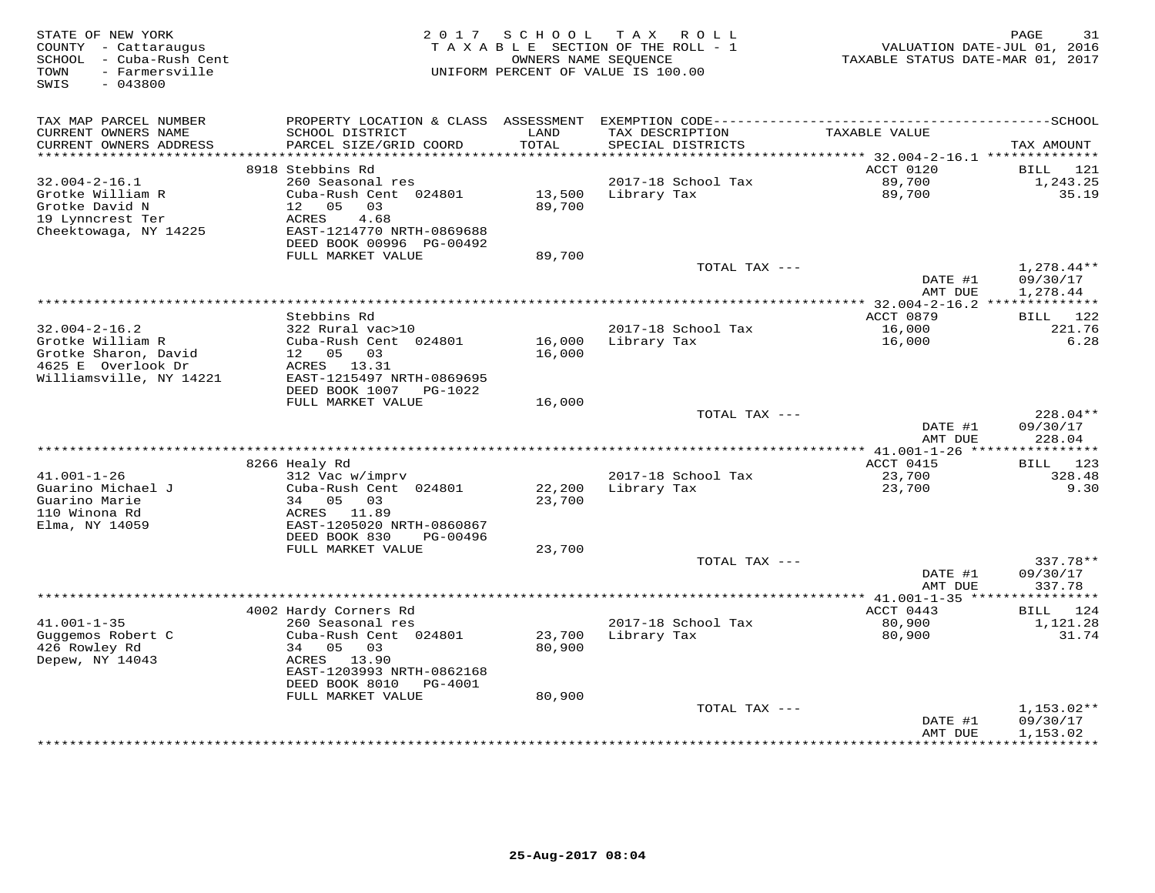| STATE OF NEW YORK<br>COUNTY - Cattaraugus<br>SCHOOL - Cuba-Rush Cent<br>- Farmersville<br>TOWN<br>SWIS<br>$-043800$ | 2017                                                      | SCHOOL           | T A X<br>R O L L<br>TAXABLE SECTION OF THE ROLL - 1<br>OWNERS NAME SEQUENCE<br>UNIFORM PERCENT OF VALUE IS 100.00 | VALUATION DATE-JUL 01, 2016<br>TAXABLE STATUS DATE-MAR 01, 2017 | PAGE<br>31                           |
|---------------------------------------------------------------------------------------------------------------------|-----------------------------------------------------------|------------------|-------------------------------------------------------------------------------------------------------------------|-----------------------------------------------------------------|--------------------------------------|
| TAX MAP PARCEL NUMBER                                                                                               |                                                           |                  |                                                                                                                   |                                                                 |                                      |
| CURRENT OWNERS NAME<br>CURRENT OWNERS ADDRESS                                                                       | SCHOOL DISTRICT<br>PARCEL SIZE/GRID COORD                 | LAND<br>TOTAL    | TAX DESCRIPTION<br>SPECIAL DISTRICTS                                                                              | TAXABLE VALUE                                                   | TAX AMOUNT                           |
| *******************                                                                                                 | 8918 Stebbins Rd                                          | * * * * * * *    |                                                                                                                   | ********** 32.004-2-16.1 **************<br>ACCT 0120            | 121<br>BILL                          |
| $32.004 - 2 - 16.1$                                                                                                 | 260 Seasonal res                                          |                  | 2017-18 School Tax                                                                                                | 89,700                                                          | 1,243.25                             |
| Grotke William R<br>Grotke David N<br>19 Lynncrest Ter                                                              | Cuba-Rush Cent 024801<br>12<br>0.5<br>03<br>ACRES<br>4.68 | 13,500<br>89,700 | Library Tax                                                                                                       | 89,700                                                          | 35.19                                |
| Cheektowaga, NY 14225                                                                                               | EAST-1214770 NRTH-0869688<br>DEED BOOK 00996 PG-00492     |                  |                                                                                                                   |                                                                 |                                      |
|                                                                                                                     | FULL MARKET VALUE                                         | 89,700           |                                                                                                                   |                                                                 |                                      |
|                                                                                                                     |                                                           |                  | TOTAL TAX ---                                                                                                     | DATE #1<br>AMT DUE                                              | $1,278.44**$<br>09/30/17<br>1,278.44 |
|                                                                                                                     |                                                           |                  | ********************                                                                                              | * $32.004 - 2 - 16.2$ ***                                       | ***********                          |
|                                                                                                                     | Stebbins Rd                                               |                  |                                                                                                                   | ACCT 0879                                                       | 122<br>BILL                          |
| $32.004 - 2 - 16.2$                                                                                                 | 322 Rural vac>10                                          |                  | 2017-18 School Tax                                                                                                | 16,000                                                          | 221.76                               |
| Grotke William R<br>Grotke Sharon, David                                                                            | Cuba-Rush Cent 024801<br>12 05<br>03                      | 16,000           | Library Tax                                                                                                       | 16,000                                                          | 6.28                                 |
| 4625 E Overlook Dr                                                                                                  | ACRES 13.31                                               | 16,000           |                                                                                                                   |                                                                 |                                      |
| Williamsville, NY 14221                                                                                             | EAST-1215497 NRTH-0869695                                 |                  |                                                                                                                   |                                                                 |                                      |
|                                                                                                                     | DEED BOOK 1007<br>PG-1022                                 |                  |                                                                                                                   |                                                                 |                                      |
|                                                                                                                     | FULL MARKET VALUE                                         | 16,000           |                                                                                                                   |                                                                 |                                      |
|                                                                                                                     |                                                           |                  | TOTAL TAX ---                                                                                                     | DATE #1<br>AMT DUE                                              | 228.04**<br>09/30/17<br>228.04       |
|                                                                                                                     |                                                           |                  |                                                                                                                   |                                                                 |                                      |
|                                                                                                                     | 8266 Healy Rd                                             |                  |                                                                                                                   | ACCT 0415                                                       | BILL 123                             |
| $41.001 - 1 - 26$                                                                                                   | 312 Vac w/imprv                                           |                  | 2017-18 School Tax                                                                                                | 23,700                                                          | 328.48                               |
| Guarino Michael J                                                                                                   | Cuba-Rush Cent 024801                                     | 22,200           | Library Tax                                                                                                       | 23,700                                                          | 9.30                                 |
| Guarino Marie<br>110 Winona Rd                                                                                      | 34 05<br>03<br>ACRES<br>11.89                             | 23,700           |                                                                                                                   |                                                                 |                                      |
| Elma, NY 14059                                                                                                      | EAST-1205020 NRTH-0860867                                 |                  |                                                                                                                   |                                                                 |                                      |
|                                                                                                                     | DEED BOOK 830<br>PG-00496                                 |                  |                                                                                                                   |                                                                 |                                      |
|                                                                                                                     | FULL MARKET VALUE                                         | 23,700           |                                                                                                                   |                                                                 |                                      |
|                                                                                                                     |                                                           |                  | TOTAL TAX ---                                                                                                     |                                                                 | 337.78**                             |
|                                                                                                                     |                                                           |                  |                                                                                                                   | DATE #1<br>AMT DUE                                              | 09/30/17<br>337.78                   |
|                                                                                                                     |                                                           |                  |                                                                                                                   | ************** 41.001-1-35 *******                              | ********                             |
|                                                                                                                     | 4002 Hardy Corners Rd                                     |                  |                                                                                                                   | ACCT 0443                                                       | 124<br>BILL                          |
| $41.001 - 1 - 35$                                                                                                   | 260 Seasonal res                                          |                  | 2017-18 School Tax                                                                                                | 80,900                                                          | 1,121.28                             |
| Guggemos Robert C<br>426 Rowley Rd                                                                                  | Cuba-Rush Cent 024801<br>05<br>34                         | 23,700<br>80,900 | Library Tax                                                                                                       | 80,900                                                          | 31.74                                |
| Depew, NY 14043                                                                                                     | 03<br>13.90<br>ACRES                                      |                  |                                                                                                                   |                                                                 |                                      |
|                                                                                                                     | EAST-1203993 NRTH-0862168                                 |                  |                                                                                                                   |                                                                 |                                      |
|                                                                                                                     | DEED BOOK 8010<br>PG-4001                                 |                  |                                                                                                                   |                                                                 |                                      |
|                                                                                                                     | FULL MARKET VALUE                                         | 80,900           |                                                                                                                   |                                                                 |                                      |
|                                                                                                                     |                                                           |                  | TOTAL TAX ---                                                                                                     | DATE #1                                                         | $1,153.02**$<br>09/30/17             |
|                                                                                                                     |                                                           |                  |                                                                                                                   | AMT DUE                                                         | 1,153.02                             |
|                                                                                                                     |                                                           |                  |                                                                                                                   | *********                                                       | **********                           |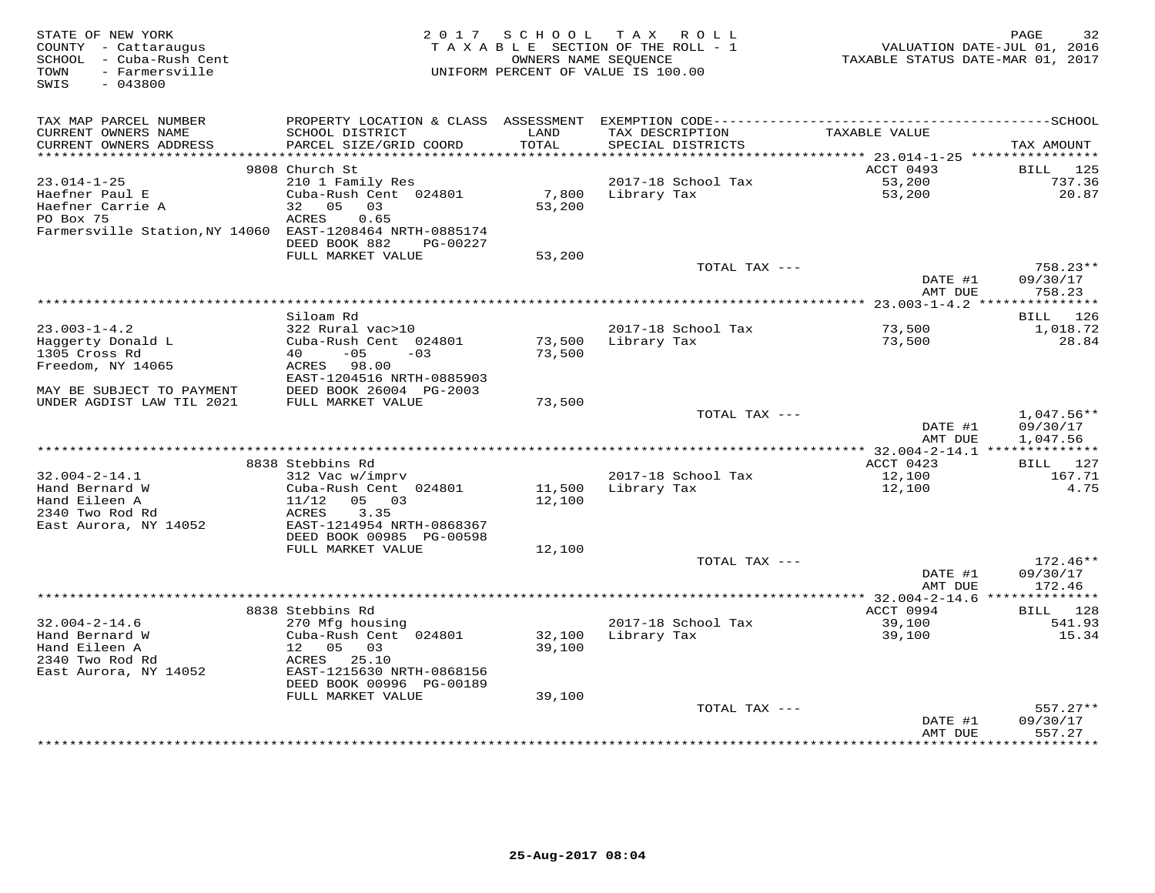| STATE OF NEW YORK<br>COUNTY - Cattaraugus<br>SCHOOL - Cuba-Rush Cent<br>- Farmersville<br>TOWN | 2017                                      | S C H O O L<br>OWNERS NAME SEQUENCE | TAX ROLL<br>TAXABLE SECTION OF THE ROLL - 1<br>UNIFORM PERCENT OF VALUE IS 100.00 | TAXABLE STATUS DATE-MAR 01, 2017                      | PAGE<br>32<br>VALUATION DATE-JUL 01, 2016 |
|------------------------------------------------------------------------------------------------|-------------------------------------------|-------------------------------------|-----------------------------------------------------------------------------------|-------------------------------------------------------|-------------------------------------------|
| SWIS<br>$-043800$                                                                              |                                           |                                     |                                                                                   |                                                       |                                           |
| TAX MAP PARCEL NUMBER                                                                          |                                           |                                     |                                                                                   |                                                       |                                           |
| CURRENT OWNERS NAME<br>CURRENT OWNERS ADDRESS                                                  | SCHOOL DISTRICT<br>PARCEL SIZE/GRID COORD | LAND<br>TOTAL<br>*******            | TAX DESCRIPTION<br>SPECIAL DISTRICTS                                              | TAXABLE VALUE                                         | TAX AMOUNT                                |
|                                                                                                | 9808 Church St                            |                                     |                                                                                   | ********** 23.014-1-25 *****************<br>ACCT 0493 | BILL<br>125                               |
| 23.014-1-25                                                                                    | 210 1 Family Res                          |                                     | 2017-18 School Tax                                                                | 53,200                                                | 737.36                                    |
| Haefner Paul E                                                                                 | Cuba-Rush Cent 024801                     | 7,800                               | Library Tax                                                                       | 53,200                                                | 20.87                                     |
| Haefner Carrie A                                                                               | 32<br>05<br>03                            | 53,200                              |                                                                                   |                                                       |                                           |
| PO Box 75                                                                                      | ACRES<br>0.65                             |                                     |                                                                                   |                                                       |                                           |
| Farmersville Station, NY 14060                                                                 | EAST-1208464 NRTH-0885174                 |                                     |                                                                                   |                                                       |                                           |
|                                                                                                | DEED BOOK 882<br>PG-00227                 |                                     |                                                                                   |                                                       |                                           |
|                                                                                                | FULL MARKET VALUE                         | 53,200                              |                                                                                   |                                                       |                                           |
|                                                                                                |                                           |                                     | TOTAL TAX ---                                                                     | DATE #1                                               | $758.23**$<br>09/30/17                    |
|                                                                                                |                                           |                                     |                                                                                   | AMT DUE                                               | 758.23                                    |
|                                                                                                |                                           |                                     |                                                                                   |                                                       |                                           |
|                                                                                                | Siloam Rd                                 |                                     |                                                                                   |                                                       | 126<br>BILL                               |
| $23.003 - 1 - 4.2$                                                                             | 322 Rural vac>10                          |                                     | 2017-18 School Tax                                                                | 73,500                                                | 1,018.72                                  |
| Haggerty Donald L                                                                              | Cuba-Rush Cent 024801                     | 73,500                              | Library Tax                                                                       | 73,500                                                | 28.84                                     |
| 1305 Cross Rd                                                                                  | 40<br>$-05$<br>$-0.3$                     | 73,500                              |                                                                                   |                                                       |                                           |
| Freedom, NY 14065                                                                              | ACRES 98.00<br>EAST-1204516 NRTH-0885903  |                                     |                                                                                   |                                                       |                                           |
| MAY BE SUBJECT TO PAYMENT                                                                      | DEED BOOK 26004 PG-2003                   |                                     |                                                                                   |                                                       |                                           |
| UNDER AGDIST LAW TIL 2021                                                                      | FULL MARKET VALUE                         | 73,500                              |                                                                                   |                                                       |                                           |
|                                                                                                |                                           |                                     | TOTAL TAX ---                                                                     |                                                       | $1,047.56**$                              |
|                                                                                                |                                           |                                     |                                                                                   | DATE #1                                               | 09/30/17                                  |
|                                                                                                |                                           |                                     |                                                                                   | AMT DUE                                               | 1,047.56                                  |
|                                                                                                |                                           |                                     |                                                                                   |                                                       |                                           |
| $32.004 - 2 - 14.1$                                                                            | 8838 Stebbins Rd<br>312 Vac w/imprv       |                                     | 2017-18 School Tax                                                                | ACCT 0423<br>12,100                                   | BILL 127<br>167.71                        |
| Hand Bernard W                                                                                 | Cuba-Rush Cent 024801                     | 11,500                              | Library Tax                                                                       | 12,100                                                | 4.75                                      |
| Hand Eileen A                                                                                  | 11/12<br>05 03                            | 12,100                              |                                                                                   |                                                       |                                           |
| 2340 Two Rod Rd                                                                                | 3.35<br>ACRES                             |                                     |                                                                                   |                                                       |                                           |
| East Aurora, NY 14052                                                                          | EAST-1214954 NRTH-0868367                 |                                     |                                                                                   |                                                       |                                           |
|                                                                                                | DEED BOOK 00985 PG-00598                  |                                     |                                                                                   |                                                       |                                           |
|                                                                                                | FULL MARKET VALUE                         | 12,100                              |                                                                                   |                                                       |                                           |
|                                                                                                |                                           |                                     | TOTAL TAX ---                                                                     |                                                       | 172.46**                                  |
|                                                                                                |                                           |                                     |                                                                                   | DATE #1<br>AMT DUE                                    | 09/30/17<br>172.46                        |
|                                                                                                |                                           |                                     |                                                                                   |                                                       |                                           |
|                                                                                                | 8838 Stebbins Rd                          |                                     |                                                                                   | ACCT 0994                                             | BILL<br>128                               |
| $32.004 - 2 - 14.6$                                                                            | 270 Mfg housing                           |                                     | 2017-18 School Tax                                                                | 39,100                                                | 541.93                                    |
| Hand Bernard W                                                                                 | Cuba-Rush Cent 024801                     | 32,100                              | Library Tax                                                                       | 39,100                                                | 15.34                                     |
| Hand Eileen A                                                                                  | 12 05<br>03                               | 39,100                              |                                                                                   |                                                       |                                           |
| 2340 Two Rod Rd                                                                                | ACRES 25.10                               |                                     |                                                                                   |                                                       |                                           |
| East Aurora, NY 14052                                                                          | EAST-1215630 NRTH-0868156                 |                                     |                                                                                   |                                                       |                                           |
|                                                                                                | DEED BOOK 00996 PG-00189                  |                                     |                                                                                   |                                                       |                                           |
|                                                                                                | FULL MARKET VALUE                         | 39,100                              | TOTAL TAX ---                                                                     |                                                       | $557.27**$                                |
|                                                                                                |                                           |                                     |                                                                                   | DATE #1                                               | 09/30/17                                  |
|                                                                                                |                                           |                                     |                                                                                   | AMT DUE                                               | 557.27                                    |
|                                                                                                |                                           |                                     |                                                                                   |                                                       | * * * * * * * *                           |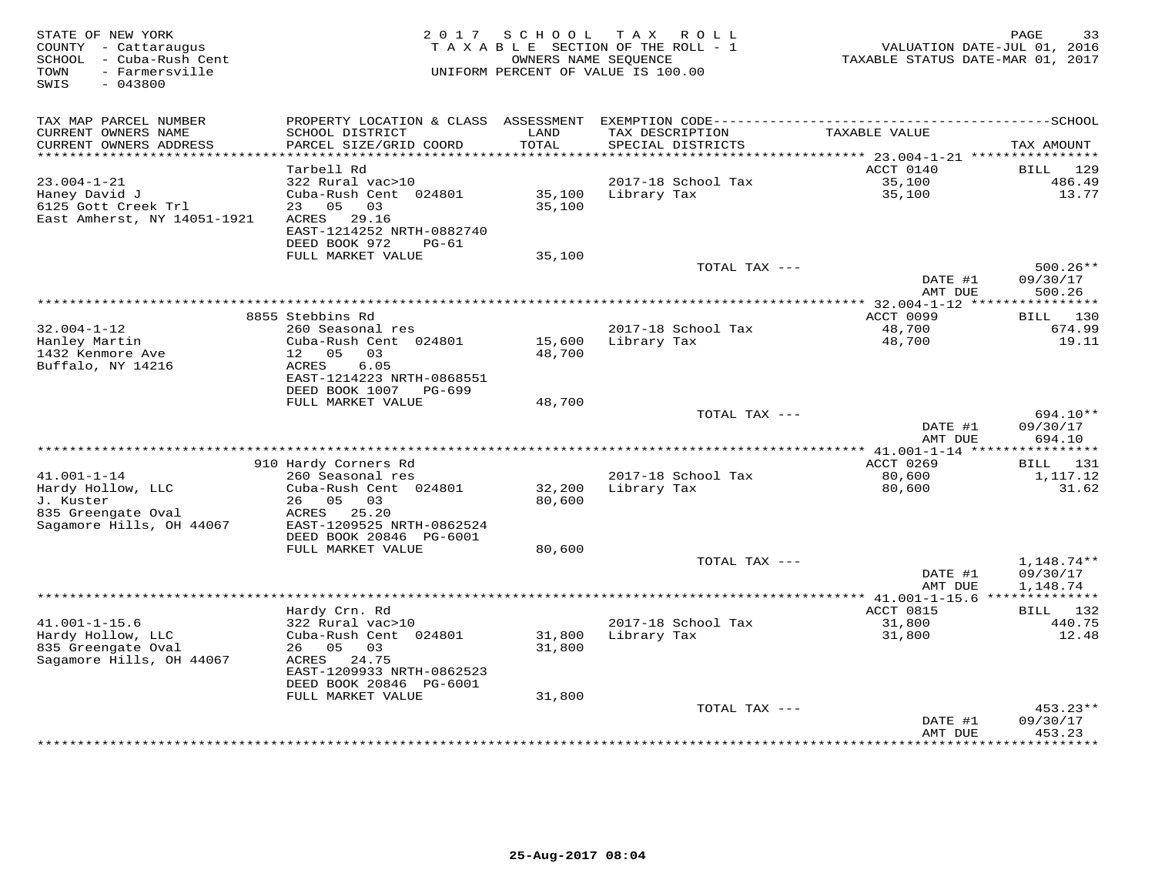| STATE OF NEW YORK<br>COUNTY - Cattaraugus<br>- Cuba-Rush Cent<br>SCHOOL<br>- Farmersville<br>TOWN<br>SWIS<br>$-043800$ | 2017                                                  | SCHOOL | T A X<br>R O L L<br>TAXABLE SECTION OF THE ROLL - 1<br>OWNERS NAME SEQUENCE<br>UNIFORM PERCENT OF VALUE IS 100.00 | VALUATION DATE-JUL 01, 2016<br>TAXABLE STATUS DATE-MAR 01, 2017 | PAGE<br>33         |
|------------------------------------------------------------------------------------------------------------------------|-------------------------------------------------------|--------|-------------------------------------------------------------------------------------------------------------------|-----------------------------------------------------------------|--------------------|
|                                                                                                                        |                                                       |        |                                                                                                                   |                                                                 |                    |
| TAX MAP PARCEL NUMBER<br>CURRENT OWNERS NAME                                                                           | SCHOOL DISTRICT                                       | LAND   | TAX DESCRIPTION                                                                                                   | TAXABLE VALUE                                                   |                    |
| CURRENT OWNERS ADDRESS                                                                                                 | PARCEL SIZE/GRID COORD                                | TOTAL  | SPECIAL DISTRICTS                                                                                                 |                                                                 | TAX AMOUNT         |
| ******************                                                                                                     |                                                       | ****** |                                                                                                                   | ********** 23.004-1-21 **********                               |                    |
|                                                                                                                        | Tarbell Rd                                            |        |                                                                                                                   | ACCT 0140                                                       | <b>BILL</b><br>129 |
| $23.004 - 1 - 21$                                                                                                      | 322 Rural vac>10                                      |        | 2017-18 School Tax                                                                                                | 35,100                                                          | 486.49             |
| Haney David J                                                                                                          | Cuba-Rush Cent 024801                                 | 35,100 | Library Tax                                                                                                       | 35,100                                                          | 13.77              |
| 6125 Gott Creek Trl                                                                                                    | 05<br>23<br>03                                        | 35,100 |                                                                                                                   |                                                                 |                    |
| East Amherst, NY 14051-1921                                                                                            | ACRES<br>29.16                                        |        |                                                                                                                   |                                                                 |                    |
|                                                                                                                        | EAST-1214252 NRTH-0882740<br>DEED BOOK 972<br>$PG-61$ |        |                                                                                                                   |                                                                 |                    |
|                                                                                                                        | FULL MARKET VALUE                                     | 35,100 |                                                                                                                   |                                                                 |                    |
|                                                                                                                        |                                                       |        | TOTAL TAX ---                                                                                                     |                                                                 | $500.26**$         |
|                                                                                                                        |                                                       |        |                                                                                                                   | DATE #1                                                         | 09/30/17           |
|                                                                                                                        |                                                       |        |                                                                                                                   | AMT DUE                                                         | 500.26             |
|                                                                                                                        |                                                       |        | ***********                                                                                                       | $* 32.004 - 1 - 12 *$                                           | *********          |
|                                                                                                                        | 8855 Stebbins Rd                                      |        |                                                                                                                   | ACCT 0099                                                       | 130<br>BILL        |
| $32.004 - 1 - 12$<br>Hanley Martin                                                                                     | 260 Seasonal res<br>Cuba-Rush Cent 024801             | 15,600 | 2017-18 School Tax<br>Library Tax                                                                                 | 48,700<br>48,700                                                | 674.99<br>19.11    |
| 1432 Kenmore Ave                                                                                                       | 12 05<br>03                                           | 48,700 |                                                                                                                   |                                                                 |                    |
| Buffalo, NY 14216                                                                                                      | 6.05<br>ACRES                                         |        |                                                                                                                   |                                                                 |                    |
|                                                                                                                        | EAST-1214223 NRTH-0868551                             |        |                                                                                                                   |                                                                 |                    |
|                                                                                                                        | DEED BOOK 1007<br>PG-699                              |        |                                                                                                                   |                                                                 |                    |
|                                                                                                                        | FULL MARKET VALUE                                     | 48,700 |                                                                                                                   |                                                                 |                    |
|                                                                                                                        |                                                       |        | TOTAL TAX ---                                                                                                     |                                                                 | 694.10**           |
|                                                                                                                        |                                                       |        |                                                                                                                   | DATE #1<br>AMT DUE                                              | 09/30/17<br>694.10 |
|                                                                                                                        |                                                       |        |                                                                                                                   |                                                                 |                    |
|                                                                                                                        | 910 Hardy Corners Rd                                  |        |                                                                                                                   | ACCT 0269                                                       | 131<br>BILL        |
| $41.001 - 1 - 14$                                                                                                      | 260 Seasonal res                                      |        | 2017-18 School Tax                                                                                                | 80,600                                                          | 1,117.12           |
| Hardy Hollow, LLC                                                                                                      | Cuba-Rush Cent 024801                                 | 32,200 | Library Tax                                                                                                       | 80,600                                                          | 31.62              |
| J. Kuster                                                                                                              | 26<br>05<br>03                                        | 80,600 |                                                                                                                   |                                                                 |                    |
| 835 Greengate Oval                                                                                                     | 25.20<br>ACRES                                        |        |                                                                                                                   |                                                                 |                    |
| Sagamore Hills, OH 44067                                                                                               | EAST-1209525 NRTH-0862524<br>DEED BOOK 20846 PG-6001  |        |                                                                                                                   |                                                                 |                    |
|                                                                                                                        | FULL MARKET VALUE                                     | 80,600 |                                                                                                                   |                                                                 |                    |
|                                                                                                                        |                                                       |        | TOTAL TAX ---                                                                                                     |                                                                 | $1,148.74**$       |
|                                                                                                                        |                                                       |        |                                                                                                                   | DATE #1                                                         | 09/30/17           |
|                                                                                                                        |                                                       |        |                                                                                                                   | AMT DUE                                                         | 1,148.74           |
|                                                                                                                        |                                                       |        |                                                                                                                   | ********** 41.001-1-15.6 ***                                    | ******             |
|                                                                                                                        | Hardy Crn. Rd                                         |        |                                                                                                                   | ACCT 0815                                                       | 132<br>BILL        |
| $41.001 - 1 - 15.6$<br>Hardy Hollow, LLC                                                                               | 322 Rural vac>10<br>Cuba-Rush Cent 024801             | 31,800 | 2017-18 School Tax<br>Library Tax                                                                                 | 31,800<br>31,800                                                | 440.75<br>12.48    |
| 835 Greengate Oval                                                                                                     | 05<br>03<br>26                                        | 31,800 |                                                                                                                   |                                                                 |                    |
| Sagamore Hills, OH 44067                                                                                               | ACRES<br>24.75                                        |        |                                                                                                                   |                                                                 |                    |
|                                                                                                                        | EAST-1209933 NRTH-0862523                             |        |                                                                                                                   |                                                                 |                    |
|                                                                                                                        | DEED BOOK 20846 PG-6001                               |        |                                                                                                                   |                                                                 |                    |
|                                                                                                                        | FULL MARKET VALUE                                     | 31,800 |                                                                                                                   |                                                                 |                    |
|                                                                                                                        |                                                       |        | TOTAL TAX ---                                                                                                     |                                                                 | $453.23**$         |
|                                                                                                                        |                                                       |        |                                                                                                                   | DATE #1<br>AMT DUE                                              | 09/30/17<br>453.23 |
|                                                                                                                        |                                                       |        |                                                                                                                   |                                                                 | .                  |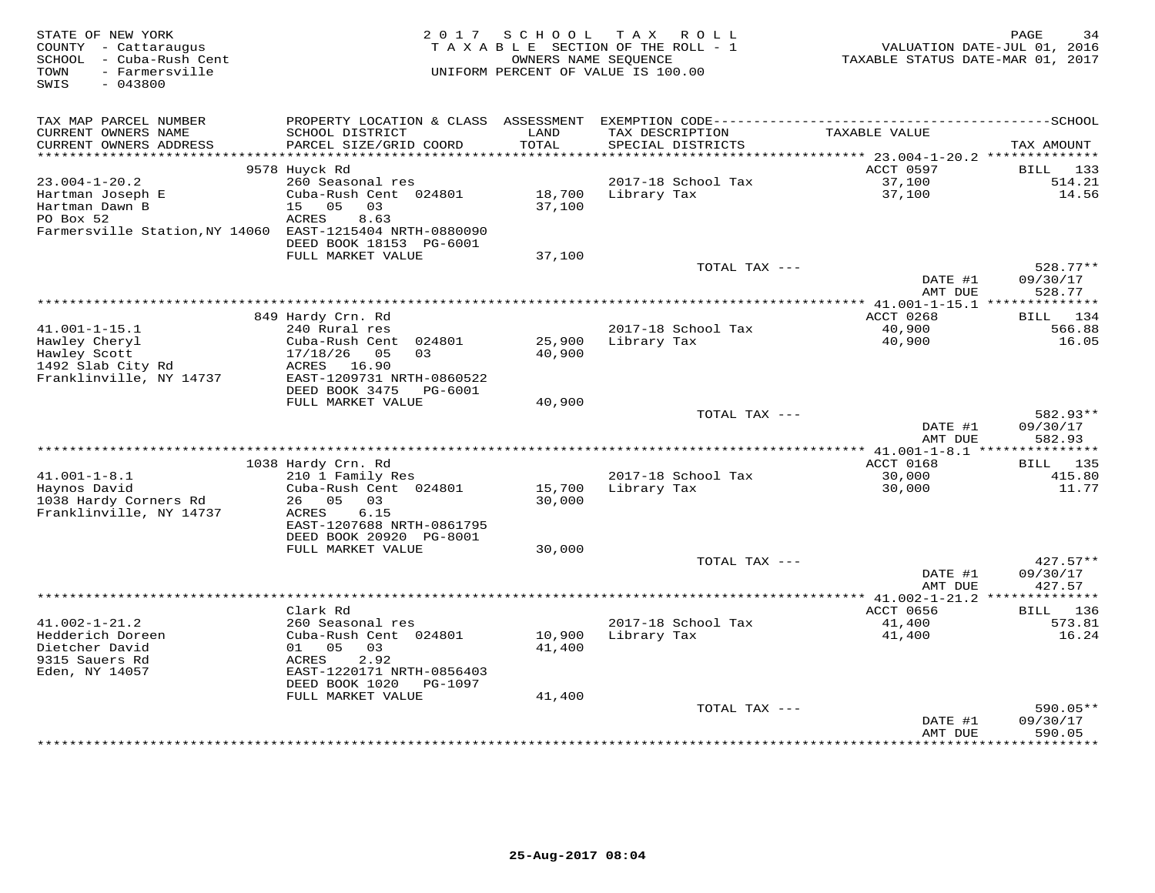| STATE OF NEW YORK<br>COUNTY - Cattaraugus<br>- Cuba-Rush Cent<br>SCHOOL<br>- Farmersville<br>TOWN<br>$-043800$<br>SWIS | 2017<br>SCHOOL<br>T A X<br>R O L L<br>TAXABLE SECTION OF THE ROLL - 1<br>OWNERS NAME SEOUENCE<br>UNIFORM PERCENT OF VALUE IS 100.00 |                  |                                      | 34<br>PAGE<br>VALUATION DATE-JUL 01, 2016<br>TAXABLE STATUS DATE-MAR 01, 2017 |                           |  |
|------------------------------------------------------------------------------------------------------------------------|-------------------------------------------------------------------------------------------------------------------------------------|------------------|--------------------------------------|-------------------------------------------------------------------------------|---------------------------|--|
| TAX MAP PARCEL NUMBER                                                                                                  | PROPERTY LOCATION & CLASS                                                                                                           | ASSESSMENT       |                                      |                                                                               |                           |  |
| CURRENT OWNERS NAME<br>CURRENT OWNERS ADDRESS                                                                          | SCHOOL DISTRICT<br>PARCEL SIZE/GRID COORD                                                                                           | LAND<br>TOTAL    | TAX DESCRIPTION<br>SPECIAL DISTRICTS | TAXABLE VALUE                                                                 | TAX AMOUNT                |  |
| **********************                                                                                                 | **************************                                                                                                          |                  |                                      |                                                                               |                           |  |
|                                                                                                                        | 9578 Huyck Rd                                                                                                                       |                  |                                      | ACCT 0597                                                                     | <b>BILL</b><br>133        |  |
| $23.004 - 1 - 20.2$<br>Hartman Joseph E                                                                                | 260 Seasonal res<br>Cuba-Rush Cent 024801                                                                                           | 18,700           | 2017-18 School Tax<br>Library Tax    | 37,100<br>37,100                                                              | 514.21<br>14.56           |  |
| Hartman Dawn B                                                                                                         | 15<br>05<br>03                                                                                                                      | 37,100           |                                      |                                                                               |                           |  |
| PO Box 52                                                                                                              | ACRES<br>8.63                                                                                                                       |                  |                                      |                                                                               |                           |  |
| Farmersville Station, NY 14060                                                                                         | EAST-1215404 NRTH-0880090                                                                                                           |                  |                                      |                                                                               |                           |  |
|                                                                                                                        | DEED BOOK 18153 PG-6001                                                                                                             |                  |                                      |                                                                               |                           |  |
|                                                                                                                        | FULL MARKET VALUE                                                                                                                   | 37,100           |                                      |                                                                               |                           |  |
|                                                                                                                        |                                                                                                                                     |                  | TOTAL TAX ---                        |                                                                               | $528.77**$                |  |
|                                                                                                                        |                                                                                                                                     |                  |                                      | DATE #1                                                                       | 09/30/17                  |  |
|                                                                                                                        |                                                                                                                                     |                  |                                      | AMT DUE<br>* $41.001 - 1 - 15.1$ ***                                          | 528.77<br>***********     |  |
|                                                                                                                        | 849 Hardy Crn. Rd                                                                                                                   |                  |                                      | ACCT 0268                                                                     | 134<br>BILL               |  |
| $41.001 - 1 - 15.1$                                                                                                    | 240 Rural res                                                                                                                       |                  | 2017-18 School Tax                   | 40,900                                                                        | 566.88                    |  |
| Hawley Cheryl                                                                                                          | 024801<br>Cuba-Rush Cent                                                                                                            | 25,900           | Library Tax                          | 40,900                                                                        | 16.05                     |  |
| Hawley Scott                                                                                                           | 05<br>17/18/26<br>03                                                                                                                | 40,900           |                                      |                                                                               |                           |  |
| 1492 Slab City Rd                                                                                                      | ACRES<br>16.90                                                                                                                      |                  |                                      |                                                                               |                           |  |
| Franklinville, NY 14737                                                                                                | EAST-1209731 NRTH-0860522                                                                                                           |                  |                                      |                                                                               |                           |  |
|                                                                                                                        | DEED BOOK 3475<br><b>PG-6001</b>                                                                                                    |                  |                                      |                                                                               |                           |  |
|                                                                                                                        | FULL MARKET VALUE                                                                                                                   | 40,900           | TOTAL TAX ---                        |                                                                               | 582.93**                  |  |
|                                                                                                                        |                                                                                                                                     |                  |                                      | DATE #1                                                                       | 09/30/17                  |  |
|                                                                                                                        |                                                                                                                                     |                  |                                      | AMT DUE                                                                       | 582.93                    |  |
|                                                                                                                        |                                                                                                                                     |                  |                                      | *** 41.001-1-8.1 ****************                                             |                           |  |
|                                                                                                                        | 1038 Hardy Crn. Rd                                                                                                                  |                  |                                      | ACCT 0168                                                                     | 135<br>BILL               |  |
| $41.001 - 1 - 8.1$                                                                                                     | 210 1 Family Res                                                                                                                    |                  | 2017-18 School Tax                   | 30,000                                                                        | 415.80                    |  |
| Haynos David                                                                                                           | Cuba-Rush Cent 024801                                                                                                               | 15,700           | Library Tax                          | 30,000                                                                        | 11.77                     |  |
| 1038 Hardy Corners Rd                                                                                                  | 26<br>05<br>03                                                                                                                      | 30,000           |                                      |                                                                               |                           |  |
| Franklinville, NY 14737                                                                                                | 6.15<br>ACRES<br>EAST-1207688 NRTH-0861795                                                                                          |                  |                                      |                                                                               |                           |  |
|                                                                                                                        | DEED BOOK 20920 PG-8001                                                                                                             |                  |                                      |                                                                               |                           |  |
|                                                                                                                        | FULL MARKET VALUE                                                                                                                   | 30,000           |                                      |                                                                               |                           |  |
|                                                                                                                        |                                                                                                                                     |                  | TOTAL TAX ---                        |                                                                               | $427.57**$                |  |
|                                                                                                                        |                                                                                                                                     |                  |                                      | DATE #1                                                                       | 09/30/17                  |  |
|                                                                                                                        |                                                                                                                                     |                  |                                      | AMT DUE                                                                       | 427.57                    |  |
|                                                                                                                        |                                                                                                                                     |                  |                                      | ** $41.002 - 1 - 21.2$                                                        | ******                    |  |
|                                                                                                                        | Clark Rd                                                                                                                            |                  |                                      | ACCT 0656                                                                     | 136<br><b>BILL</b>        |  |
| $41.002 - 1 - 21.2$                                                                                                    | 260 Seasonal res                                                                                                                    |                  | 2017-18 School Tax                   | 41,400                                                                        | 573.81                    |  |
| Hedderich Doreen<br>Dietcher David                                                                                     | Cuba-Rush Cent 024801<br>05<br>03<br>01                                                                                             | 10,900<br>41,400 | Library Tax                          | 41,400                                                                        | 16.24                     |  |
| 9315 Sauers Rd                                                                                                         | <b>ACRES</b><br>2.92                                                                                                                |                  |                                      |                                                                               |                           |  |
| Eden, NY 14057                                                                                                         | EAST-1220171 NRTH-0856403                                                                                                           |                  |                                      |                                                                               |                           |  |
|                                                                                                                        | DEED BOOK 1020<br>PG-1097                                                                                                           |                  |                                      |                                                                               |                           |  |
|                                                                                                                        | FULL MARKET VALUE                                                                                                                   | 41,400           |                                      |                                                                               |                           |  |
|                                                                                                                        |                                                                                                                                     |                  | TOTAL TAX ---                        |                                                                               | 590.05**                  |  |
|                                                                                                                        |                                                                                                                                     |                  |                                      | DATE #1                                                                       | 09/30/17                  |  |
|                                                                                                                        |                                                                                                                                     |                  |                                      | AMT DUE<br>* * * * * * * *                                                    | 590.05<br>* * * * * * * * |  |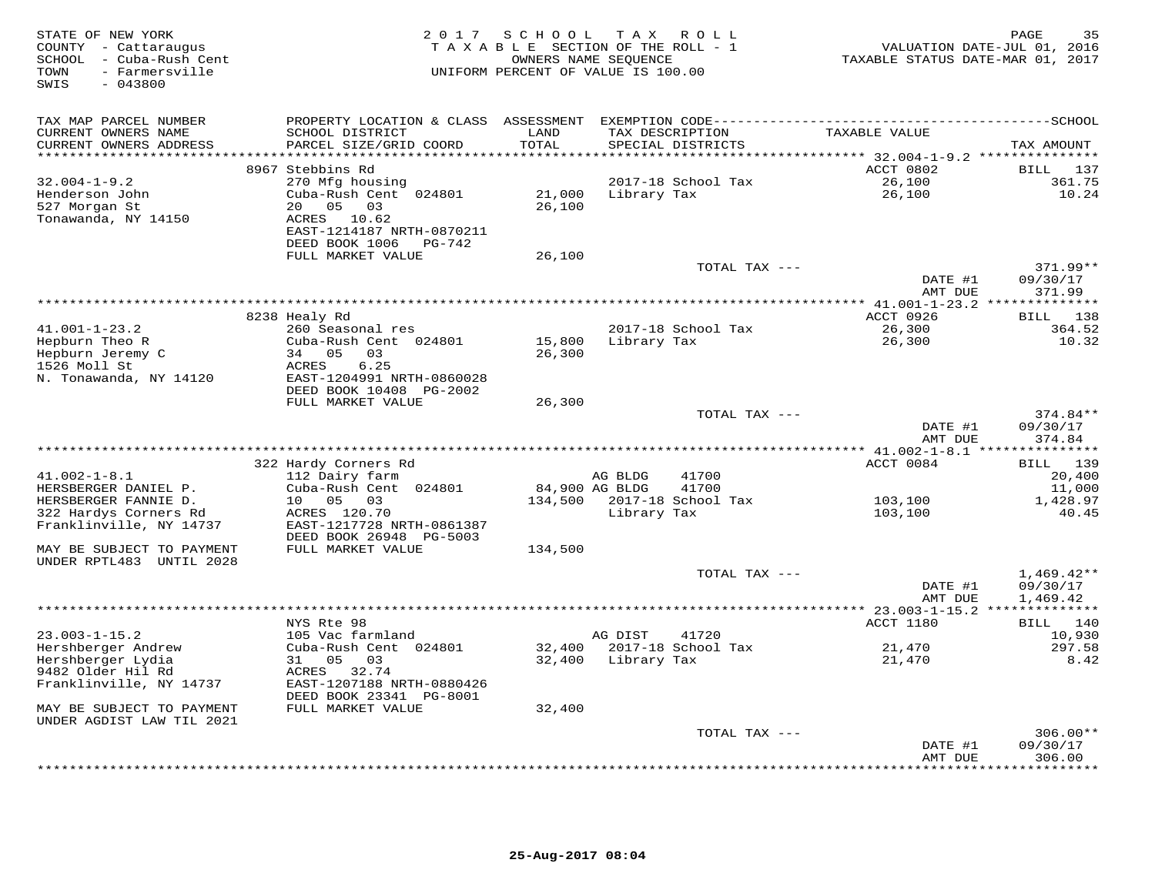| -------------SCHOOL<br>TAX MAP PARCEL NUMBER<br>PROPERTY LOCATION & CLASS ASSESSMENT EXEMPTION CODE---------------------------<br>TAXABLE VALUE<br>CURRENT OWNERS NAME<br>SCHOOL DISTRICT<br>LAND<br>TAX DESCRIPTION<br>CURRENT OWNERS ADDRESS<br>PARCEL SIZE/GRID COORD<br>TOTAL<br>SPECIAL DISTRICTS<br>*********************<br>***********************<br>* * * * * * * *<br>ACCT 0802<br>8967 Stebbins Rd<br>$32.004 - 1 - 9.2$<br>270 Mfg housing<br>2017-18 School Tax<br>26,100<br>Henderson John<br>Cuba-Rush Cent 024801<br>21,000<br>26,100<br>Library Tax<br>05<br>527 Morgan St<br>20<br>03<br>26,100<br>Tonawanda, NY 14150<br>ACRES 10.62<br>EAST-1214187 NRTH-0870211<br>DEED BOOK 1006<br>PG-742<br>FULL MARKET VALUE<br>26,100<br>TOTAL TAX ---<br>DATE #1<br>09/30/17<br>AMT DUE<br>371.99<br>8238 Healy Rd<br>ACCT 0926<br>BILL<br>$41.001 - 1 - 23.2$<br>2017-18 School Tax<br>26,300<br>260 Seasonal res<br>Hepburn Theo R<br>Cuba-Rush Cent 024801<br>15,800<br>Library Tax<br>26,300<br>Hepburn Jeremy C<br>34 05<br>03<br>26,300<br>1526 Moll St<br>6.25<br>ACRES<br>EAST-1204991 NRTH-0860028<br>N. Tonawanda, NY 14120<br>DEED BOOK 10408 PG-2002<br>FULL MARKET VALUE<br>26,300<br>TOTAL TAX ---<br>DATE #1<br>09/30/17<br>374.84<br>AMT DUE<br>**********************************<br>** $41.002 - 1 - 8.1$ **<br>322 Hardy Corners Rd<br>ACCT 0084<br>BILL 139<br>$41.002 - 1 - 8.1$<br>112 Dairy farm<br>AG BLDG<br>41700<br>HERSBERGER DANIEL P.<br>Cuba-Rush Cent 024801<br>84,900 AG BLDG<br>41700<br>2017-18 School Tax<br>HERSBERGER FANNIE D.<br>10<br>05<br>03<br>134,500<br>103,100<br>322 Hardys Corners Rd<br>ACRES 120.70<br>Library Tax<br>103,100<br>Franklinville, NY 14737<br>EAST-1217728 NRTH-0861387<br>DEED BOOK 26948 PG-5003<br>FULL MARKET VALUE<br>MAY BE SUBJECT TO PAYMENT<br>134,500<br>UNDER RPTL483 UNTIL 2028<br>TOTAL TAX ---<br>09/30/17<br>DATE #1<br>1,469.42<br>AMT DUE<br>********************************<br>** 23.003-1-15.2 **<br>NYS Rte 98<br>ACCT 1180<br>140<br>BILL<br>$23.003 - 1 - 15.2$<br>105 Vac farmland<br>AG DIST<br>41720<br>10,930<br>Hershberger Andrew<br>Cuba-Rush Cent 024801<br>32,400<br>2017-18 School Tax<br>21,470<br>Hershberger Lydia<br>05<br>32,400<br>21,470<br>31<br>03<br>Library Tax<br>9482 Older Hil Rd<br>32.74<br>ACRES<br>Franklinville, NY 14737<br>EAST-1207188 NRTH-0880426<br>DEED BOOK 23341 PG-8001<br>FULL MARKET VALUE<br>32,400<br>MAY BE SUBJECT TO PAYMENT<br>UNDER AGDIST LAW TIL 2021<br>TOTAL TAX ---<br>09/30/17<br>DATE #1 | STATE OF NEW YORK<br>COUNTY - Cattaraugus<br>SCHOOL - Cuba-Rush Cent<br>TOWN<br>- Farmersville<br>SWIS<br>$-043800$ | 2 0 1 7 | S C H O O L<br>TAXABLE SECTION OF THE ROLL - 1<br>OWNERS NAME SEQUENCE<br>UNIFORM PERCENT OF VALUE IS 100.00 | T A X | R O L L | TAXABLE STATUS DATE-MAR 01, 2017 | 35<br>PAGE<br>VALUATION DATE-JUL 01, 2016 |
|-----------------------------------------------------------------------------------------------------------------------------------------------------------------------------------------------------------------------------------------------------------------------------------------------------------------------------------------------------------------------------------------------------------------------------------------------------------------------------------------------------------------------------------------------------------------------------------------------------------------------------------------------------------------------------------------------------------------------------------------------------------------------------------------------------------------------------------------------------------------------------------------------------------------------------------------------------------------------------------------------------------------------------------------------------------------------------------------------------------------------------------------------------------------------------------------------------------------------------------------------------------------------------------------------------------------------------------------------------------------------------------------------------------------------------------------------------------------------------------------------------------------------------------------------------------------------------------------------------------------------------------------------------------------------------------------------------------------------------------------------------------------------------------------------------------------------------------------------------------------------------------------------------------------------------------------------------------------------------------------------------------------------------------------------------------------------------------------------------------------------------------------------------------------------------------------------------------------------------------------------------------------------------------------------------------------------------------------------------------------------------------------------------------------------------------------------------------------------------------------------------------------------------------------------------|---------------------------------------------------------------------------------------------------------------------|---------|--------------------------------------------------------------------------------------------------------------|-------|---------|----------------------------------|-------------------------------------------|
|                                                                                                                                                                                                                                                                                                                                                                                                                                                                                                                                                                                                                                                                                                                                                                                                                                                                                                                                                                                                                                                                                                                                                                                                                                                                                                                                                                                                                                                                                                                                                                                                                                                                                                                                                                                                                                                                                                                                                                                                                                                                                                                                                                                                                                                                                                                                                                                                                                                                                                                                                     |                                                                                                                     |         |                                                                                                              |       |         |                                  | TAX AMOUNT                                |
|                                                                                                                                                                                                                                                                                                                                                                                                                                                                                                                                                                                                                                                                                                                                                                                                                                                                                                                                                                                                                                                                                                                                                                                                                                                                                                                                                                                                                                                                                                                                                                                                                                                                                                                                                                                                                                                                                                                                                                                                                                                                                                                                                                                                                                                                                                                                                                                                                                                                                                                                                     |                                                                                                                     |         |                                                                                                              |       |         |                                  | BILL 137<br>361.75<br>10.24               |
|                                                                                                                                                                                                                                                                                                                                                                                                                                                                                                                                                                                                                                                                                                                                                                                                                                                                                                                                                                                                                                                                                                                                                                                                                                                                                                                                                                                                                                                                                                                                                                                                                                                                                                                                                                                                                                                                                                                                                                                                                                                                                                                                                                                                                                                                                                                                                                                                                                                                                                                                                     |                                                                                                                     |         |                                                                                                              |       |         |                                  | 371.99**                                  |
|                                                                                                                                                                                                                                                                                                                                                                                                                                                                                                                                                                                                                                                                                                                                                                                                                                                                                                                                                                                                                                                                                                                                                                                                                                                                                                                                                                                                                                                                                                                                                                                                                                                                                                                                                                                                                                                                                                                                                                                                                                                                                                                                                                                                                                                                                                                                                                                                                                                                                                                                                     |                                                                                                                     |         |                                                                                                              |       |         |                                  | 138<br>364.52<br>10.32                    |
|                                                                                                                                                                                                                                                                                                                                                                                                                                                                                                                                                                                                                                                                                                                                                                                                                                                                                                                                                                                                                                                                                                                                                                                                                                                                                                                                                                                                                                                                                                                                                                                                                                                                                                                                                                                                                                                                                                                                                                                                                                                                                                                                                                                                                                                                                                                                                                                                                                                                                                                                                     |                                                                                                                     |         |                                                                                                              |       |         |                                  |                                           |
|                                                                                                                                                                                                                                                                                                                                                                                                                                                                                                                                                                                                                                                                                                                                                                                                                                                                                                                                                                                                                                                                                                                                                                                                                                                                                                                                                                                                                                                                                                                                                                                                                                                                                                                                                                                                                                                                                                                                                                                                                                                                                                                                                                                                                                                                                                                                                                                                                                                                                                                                                     |                                                                                                                     |         |                                                                                                              |       |         |                                  | 374.84**                                  |
|                                                                                                                                                                                                                                                                                                                                                                                                                                                                                                                                                                                                                                                                                                                                                                                                                                                                                                                                                                                                                                                                                                                                                                                                                                                                                                                                                                                                                                                                                                                                                                                                                                                                                                                                                                                                                                                                                                                                                                                                                                                                                                                                                                                                                                                                                                                                                                                                                                                                                                                                                     |                                                                                                                     |         |                                                                                                              |       |         |                                  | * * * * * * * * * * *                     |
|                                                                                                                                                                                                                                                                                                                                                                                                                                                                                                                                                                                                                                                                                                                                                                                                                                                                                                                                                                                                                                                                                                                                                                                                                                                                                                                                                                                                                                                                                                                                                                                                                                                                                                                                                                                                                                                                                                                                                                                                                                                                                                                                                                                                                                                                                                                                                                                                                                                                                                                                                     |                                                                                                                     |         |                                                                                                              |       |         |                                  | 20,400<br>11,000                          |
|                                                                                                                                                                                                                                                                                                                                                                                                                                                                                                                                                                                                                                                                                                                                                                                                                                                                                                                                                                                                                                                                                                                                                                                                                                                                                                                                                                                                                                                                                                                                                                                                                                                                                                                                                                                                                                                                                                                                                                                                                                                                                                                                                                                                                                                                                                                                                                                                                                                                                                                                                     |                                                                                                                     |         |                                                                                                              |       |         |                                  | 1,428.97<br>40.45                         |
|                                                                                                                                                                                                                                                                                                                                                                                                                                                                                                                                                                                                                                                                                                                                                                                                                                                                                                                                                                                                                                                                                                                                                                                                                                                                                                                                                                                                                                                                                                                                                                                                                                                                                                                                                                                                                                                                                                                                                                                                                                                                                                                                                                                                                                                                                                                                                                                                                                                                                                                                                     |                                                                                                                     |         |                                                                                                              |       |         |                                  |                                           |
|                                                                                                                                                                                                                                                                                                                                                                                                                                                                                                                                                                                                                                                                                                                                                                                                                                                                                                                                                                                                                                                                                                                                                                                                                                                                                                                                                                                                                                                                                                                                                                                                                                                                                                                                                                                                                                                                                                                                                                                                                                                                                                                                                                                                                                                                                                                                                                                                                                                                                                                                                     |                                                                                                                     |         |                                                                                                              |       |         |                                  | $1,469.42**$                              |
|                                                                                                                                                                                                                                                                                                                                                                                                                                                                                                                                                                                                                                                                                                                                                                                                                                                                                                                                                                                                                                                                                                                                                                                                                                                                                                                                                                                                                                                                                                                                                                                                                                                                                                                                                                                                                                                                                                                                                                                                                                                                                                                                                                                                                                                                                                                                                                                                                                                                                                                                                     |                                                                                                                     |         |                                                                                                              |       |         |                                  |                                           |
|                                                                                                                                                                                                                                                                                                                                                                                                                                                                                                                                                                                                                                                                                                                                                                                                                                                                                                                                                                                                                                                                                                                                                                                                                                                                                                                                                                                                                                                                                                                                                                                                                                                                                                                                                                                                                                                                                                                                                                                                                                                                                                                                                                                                                                                                                                                                                                                                                                                                                                                                                     |                                                                                                                     |         |                                                                                                              |       |         |                                  |                                           |
|                                                                                                                                                                                                                                                                                                                                                                                                                                                                                                                                                                                                                                                                                                                                                                                                                                                                                                                                                                                                                                                                                                                                                                                                                                                                                                                                                                                                                                                                                                                                                                                                                                                                                                                                                                                                                                                                                                                                                                                                                                                                                                                                                                                                                                                                                                                                                                                                                                                                                                                                                     |                                                                                                                     |         |                                                                                                              |       |         |                                  | 297.58<br>8.42                            |
|                                                                                                                                                                                                                                                                                                                                                                                                                                                                                                                                                                                                                                                                                                                                                                                                                                                                                                                                                                                                                                                                                                                                                                                                                                                                                                                                                                                                                                                                                                                                                                                                                                                                                                                                                                                                                                                                                                                                                                                                                                                                                                                                                                                                                                                                                                                                                                                                                                                                                                                                                     |                                                                                                                     |         |                                                                                                              |       |         |                                  |                                           |
|                                                                                                                                                                                                                                                                                                                                                                                                                                                                                                                                                                                                                                                                                                                                                                                                                                                                                                                                                                                                                                                                                                                                                                                                                                                                                                                                                                                                                                                                                                                                                                                                                                                                                                                                                                                                                                                                                                                                                                                                                                                                                                                                                                                                                                                                                                                                                                                                                                                                                                                                                     |                                                                                                                     |         |                                                                                                              |       |         | AMT DUE                          | $306.00**$<br>306.00                      |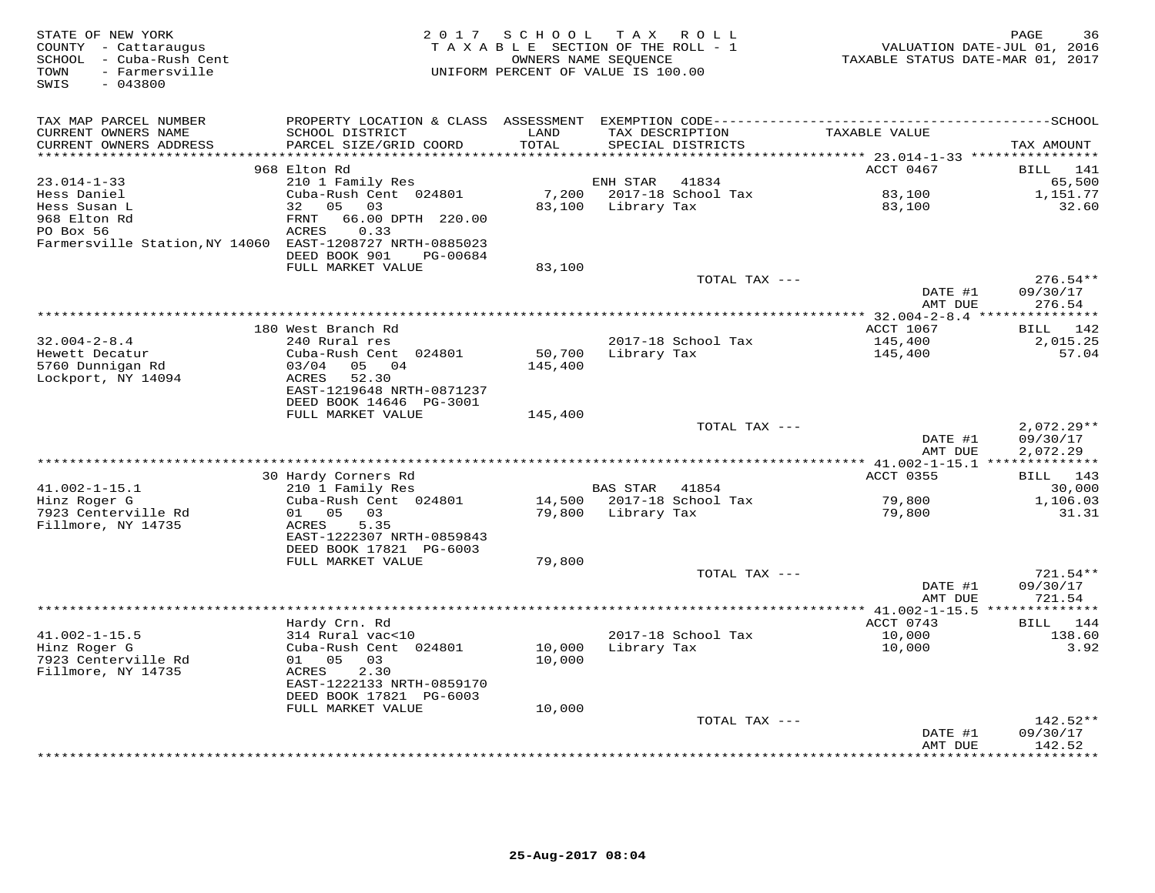| STATE OF NEW YORK<br>COUNTY - Cattaraugus<br>SCHOOL - Cuba-Rush Cent<br>- Farmersville<br>TOWN<br>SWIS<br>$-043800$ | 2 0 1 7                                              | SCHOOL TAX ROLL<br>TAXABLE SECTION OF THE ROLL - 1<br>OWNERS NAME SEQUENCE<br>UNIFORM PERCENT OF VALUE IS 100.00 |             |                    | VALUATION DATE-JUL 01, 2016<br>TAXABLE STATUS DATE-MAR 01, 2017 | PAGE<br>36             |
|---------------------------------------------------------------------------------------------------------------------|------------------------------------------------------|------------------------------------------------------------------------------------------------------------------|-------------|--------------------|-----------------------------------------------------------------|------------------------|
| TAX MAP PARCEL NUMBER                                                                                               |                                                      |                                                                                                                  |             |                    |                                                                 |                        |
| CURRENT OWNERS NAME                                                                                                 | SCHOOL DISTRICT                                      | LAND                                                                                                             |             | TAX DESCRIPTION    | TAXABLE VALUE                                                   |                        |
| CURRENT OWNERS ADDRESS<br>******************                                                                        | PARCEL SIZE/GRID COORD                               | TOTAL<br>******                                                                                                  |             | SPECIAL DISTRICTS  |                                                                 | TAX AMOUNT             |
|                                                                                                                     | 968 Elton Rd                                         |                                                                                                                  |             |                    | ******* 23.014-1-33 ****************<br>ACCT 0467               | <b>BILL</b><br>141     |
| $23.014 - 1 - 33$                                                                                                   | 210 1 Family Res                                     |                                                                                                                  | ENH STAR    | 41834              |                                                                 | 65,500                 |
| Hess Daniel                                                                                                         | Cuba-Rush Cent 024801                                | 7,200                                                                                                            |             | 2017-18 School Tax | 83,100                                                          | 1,151.77               |
| Hess Susan L                                                                                                        | 32<br>05 03                                          | 83,100                                                                                                           | Library Tax |                    | 83,100                                                          | 32.60                  |
| 968 Elton Rd                                                                                                        | 66.00 DPTH 220.00<br>FRNT                            |                                                                                                                  |             |                    |                                                                 |                        |
| PO Box 56                                                                                                           | ACRES<br>0.33                                        |                                                                                                                  |             |                    |                                                                 |                        |
| Farmersville Station, NY 14060 EAST-1208727 NRTH-0885023                                                            |                                                      |                                                                                                                  |             |                    |                                                                 |                        |
|                                                                                                                     | DEED BOOK 901<br>PG-00684                            |                                                                                                                  |             |                    |                                                                 |                        |
|                                                                                                                     | FULL MARKET VALUE                                    | 83,100                                                                                                           |             |                    |                                                                 |                        |
|                                                                                                                     |                                                      |                                                                                                                  |             | TOTAL TAX ---      | DATE #1                                                         | $276.54**$<br>09/30/17 |
|                                                                                                                     |                                                      |                                                                                                                  |             |                    | AMT DUE                                                         | 276.54                 |
|                                                                                                                     |                                                      |                                                                                                                  |             |                    |                                                                 |                        |
|                                                                                                                     | 180 West Branch Rd                                   |                                                                                                                  |             |                    | ACCT 1067                                                       | BILL 142               |
| $32.004 - 2 - 8.4$                                                                                                  | 240 Rural res                                        |                                                                                                                  |             | 2017-18 School Tax | 145,400                                                         | 2,015.25               |
| Hewett Decatur                                                                                                      | Cuba-Rush Cent 024801                                | 50,700                                                                                                           | Library Tax |                    | 145,400                                                         | 57.04                  |
| 5760 Dunnigan Rd                                                                                                    | 03/04<br>04<br>05                                    | 145,400                                                                                                          |             |                    |                                                                 |                        |
| Lockport, NY 14094                                                                                                  | 52.30<br><b>ACRES</b><br>EAST-1219648 NRTH-0871237   |                                                                                                                  |             |                    |                                                                 |                        |
|                                                                                                                     | DEED BOOK 14646 PG-3001                              |                                                                                                                  |             |                    |                                                                 |                        |
|                                                                                                                     | FULL MARKET VALUE                                    | 145,400                                                                                                          |             |                    |                                                                 |                        |
|                                                                                                                     |                                                      |                                                                                                                  |             | TOTAL TAX ---      |                                                                 | $2,072.29**$           |
|                                                                                                                     |                                                      |                                                                                                                  |             |                    | DATE #1                                                         | 09/30/17               |
|                                                                                                                     |                                                      |                                                                                                                  |             |                    | AMT DUE                                                         | 2,072.29               |
|                                                                                                                     |                                                      |                                                                                                                  |             |                    |                                                                 |                        |
| $41.002 - 1 - 15.1$                                                                                                 | 30 Hardy Corners Rd<br>210 1 Family Res              |                                                                                                                  | BAS STAR    | 41854              | <b>ACCT 0355</b>                                                | BILL 143<br>30,000     |
| Hinz Roger G                                                                                                        | Cuba-Rush Cent 024801                                | 14,500                                                                                                           |             | 2017-18 School Tax | 79,800                                                          | 1,106.03               |
| 7923 Centerville Rd                                                                                                 | 01<br>05<br>03                                       | 79,800                                                                                                           | Library Tax |                    | 79,800                                                          | 31.31                  |
| Fillmore, NY 14735                                                                                                  | 5.35<br>ACRES                                        |                                                                                                                  |             |                    |                                                                 |                        |
|                                                                                                                     | EAST-1222307 NRTH-0859843                            |                                                                                                                  |             |                    |                                                                 |                        |
|                                                                                                                     | DEED BOOK 17821 PG-6003                              |                                                                                                                  |             |                    |                                                                 |                        |
|                                                                                                                     | FULL MARKET VALUE                                    | 79,800                                                                                                           |             |                    |                                                                 |                        |
|                                                                                                                     |                                                      |                                                                                                                  |             | TOTAL TAX ---      | DATE #1                                                         | 721.54**<br>09/30/17   |
|                                                                                                                     |                                                      |                                                                                                                  |             |                    | AMT DUE                                                         | 721.54                 |
|                                                                                                                     |                                                      |                                                                                                                  |             |                    |                                                                 | ************           |
|                                                                                                                     | Hardy Crn. Rd                                        |                                                                                                                  |             |                    | ACCT 0743                                                       | BILL 144               |
| $41.002 - 1 - 15.5$                                                                                                 | 314 Rural vac<10                                     |                                                                                                                  |             | 2017-18 School Tax | 10,000                                                          | 138.60                 |
| Hinz Roger G                                                                                                        | Cuba-Rush Cent 024801                                | 10,000                                                                                                           | Library Tax |                    | 10,000                                                          | 3.92                   |
| 7923 Centerville Rd                                                                                                 | 01 05<br>03                                          | 10,000                                                                                                           |             |                    |                                                                 |                        |
| Fillmore, NY 14735                                                                                                  | 2.30<br>ACRES                                        |                                                                                                                  |             |                    |                                                                 |                        |
|                                                                                                                     | EAST-1222133 NRTH-0859170<br>DEED BOOK 17821 PG-6003 |                                                                                                                  |             |                    |                                                                 |                        |
|                                                                                                                     | FULL MARKET VALUE                                    | 10,000                                                                                                           |             |                    |                                                                 |                        |
|                                                                                                                     |                                                      |                                                                                                                  |             | TOTAL TAX ---      |                                                                 | $142.52**$             |
|                                                                                                                     |                                                      |                                                                                                                  |             |                    | DATE #1                                                         | 09/30/17               |
|                                                                                                                     |                                                      |                                                                                                                  |             |                    | AMT DUE                                                         | 142.52                 |
|                                                                                                                     |                                                      |                                                                                                                  |             |                    | .                                                               | ********               |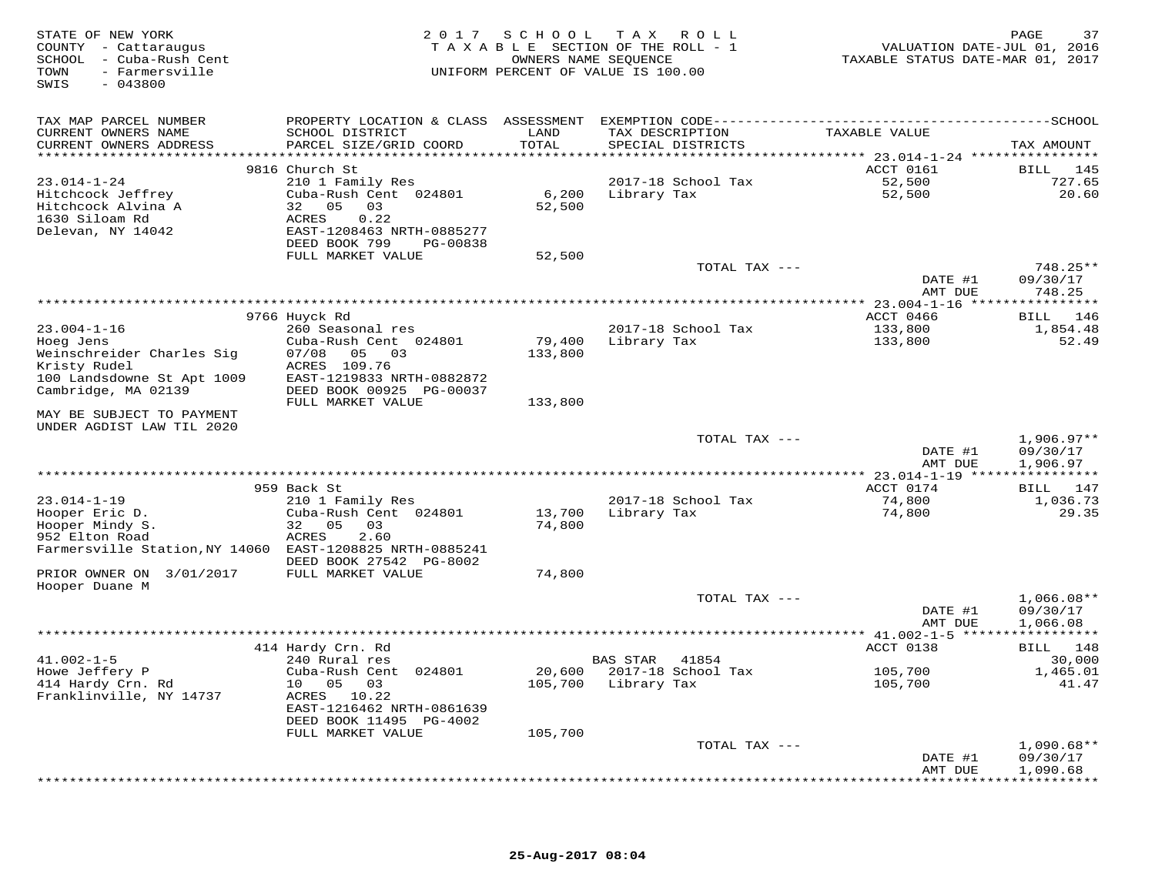| STATE OF NEW YORK<br>COUNTY - Cattaraugus<br>SCHOOL - Cuba-Rush Cent<br>- Farmersville<br>TOWN<br>$-043800$<br>SWIS |                                                                                              |                   | 2017 SCHOOL TAX ROLL<br>TAXABLE SECTION OF THE ROLL - 1<br>OWNERS NAME SEQUENCE<br>UNIFORM PERCENT OF VALUE IS 100.00 | VALUATION DATE-JUL 01, 2016<br>TAXABLE STATUS DATE-MAR 01, 2017 | PAGE<br>37           |
|---------------------------------------------------------------------------------------------------------------------|----------------------------------------------------------------------------------------------|-------------------|-----------------------------------------------------------------------------------------------------------------------|-----------------------------------------------------------------|----------------------|
| TAX MAP PARCEL NUMBER                                                                                               | PROPERTY LOCATION & CLASS ASSESSMENT EXEMPTION CODE-----------------------------------SCHOOL |                   |                                                                                                                       |                                                                 |                      |
| CURRENT OWNERS NAME<br>CURRENT OWNERS ADDRESS                                                                       | SCHOOL DISTRICT<br>PARCEL SIZE/GRID COORD                                                    | LAND<br>TOTAL     | TAX DESCRIPTION<br>SPECIAL DISTRICTS                                                                                  | TAXABLE VALUE                                                   | TAX AMOUNT           |
|                                                                                                                     |                                                                                              |                   |                                                                                                                       |                                                                 |                      |
| $23.014 - 1 - 24$                                                                                                   | 9816 Church St<br>210 1 Family Res                                                           |                   | 2017-18 School Tax                                                                                                    | ACCT 0161<br>52,500                                             | BILL 145<br>727.65   |
| Hitchcock Jeffrey                                                                                                   | Cuba-Rush Cent 024801                                                                        | 6,200             | Library Tax                                                                                                           | 52,500                                                          | 20.60                |
| Hitchcock Alvina A                                                                                                  | 32 05<br>03                                                                                  | 52,500            |                                                                                                                       |                                                                 |                      |
| 1630 Siloam Rd                                                                                                      | 0.22<br>ACRES                                                                                |                   |                                                                                                                       |                                                                 |                      |
| Delevan, NY 14042                                                                                                   | EAST-1208463 NRTH-0885277                                                                    |                   |                                                                                                                       |                                                                 |                      |
|                                                                                                                     | DEED BOOK 799<br>PG-00838                                                                    |                   |                                                                                                                       |                                                                 |                      |
|                                                                                                                     | FULL MARKET VALUE                                                                            | 52,500            | TOTAL TAX ---                                                                                                         |                                                                 | 748.25**             |
|                                                                                                                     |                                                                                              |                   |                                                                                                                       | DATE #1                                                         | 09/30/17             |
|                                                                                                                     |                                                                                              |                   |                                                                                                                       | AMT DUE                                                         | 748.25               |
|                                                                                                                     |                                                                                              |                   |                                                                                                                       |                                                                 |                      |
|                                                                                                                     | 9766 Huyck Rd                                                                                |                   |                                                                                                                       | ACCT 0466                                                       | BILL 146             |
| $23.004 - 1 - 16$                                                                                                   | 260 Seasonal res                                                                             |                   | 2017-18 School Tax                                                                                                    | 133,800                                                         | 1,854.48             |
| Hoeg Jens<br>Weinschreider Charles Sig                                                                              | Cuba-Rush Cent 024801<br>07/08<br>05 03                                                      | 79,400<br>133,800 | Library Tax                                                                                                           | 133,800                                                         | 52.49                |
| Kristy Rudel                                                                                                        | ACRES 109.76                                                                                 |                   |                                                                                                                       |                                                                 |                      |
| 100 Landsdowne St Apt 1009                                                                                          | EAST-1219833 NRTH-0882872                                                                    |                   |                                                                                                                       |                                                                 |                      |
| Cambridge, MA 02139                                                                                                 | DEED BOOK 00925 PG-00037                                                                     |                   |                                                                                                                       |                                                                 |                      |
|                                                                                                                     | FULL MARKET VALUE                                                                            | 133,800           |                                                                                                                       |                                                                 |                      |
| MAY BE SUBJECT TO PAYMENT<br>UNDER AGDIST LAW TIL 2020                                                              |                                                                                              |                   |                                                                                                                       |                                                                 |                      |
|                                                                                                                     |                                                                                              |                   | TOTAL TAX ---                                                                                                         |                                                                 | $1,906.97**$         |
|                                                                                                                     |                                                                                              |                   |                                                                                                                       | DATE #1<br>AMT DUE                                              | 09/30/17<br>1,906.97 |
|                                                                                                                     |                                                                                              |                   |                                                                                                                       | ***** 23.014-1-19 ****************                              |                      |
|                                                                                                                     | 959 Back St                                                                                  |                   |                                                                                                                       | ACCT 0174                                                       | BILL 147             |
| $23.014 - 1 - 19$                                                                                                   | 210 1 Family Res                                                                             |                   | 2017-18 School Tax                                                                                                    | 74,800                                                          | 1,036.73             |
| Hooper Eric D.                                                                                                      | Cuba-Rush Cent 024801                                                                        | 13,700            | Library Tax                                                                                                           | 74,800                                                          | 29.35                |
| Hooper Mindy S.                                                                                                     | 32 05<br>03                                                                                  | 74,800            |                                                                                                                       |                                                                 |                      |
| 952 Elton Road<br>Farmersville Station, NY 14060 EAST-1208825 NRTH-0885241                                          | ACRES<br>2.60                                                                                |                   |                                                                                                                       |                                                                 |                      |
|                                                                                                                     | DEED BOOK 27542 PG-8002                                                                      |                   |                                                                                                                       |                                                                 |                      |
| PRIOR OWNER ON 3/01/2017                                                                                            | FULL MARKET VALUE                                                                            | 74,800            |                                                                                                                       |                                                                 |                      |
| Hooper Duane M                                                                                                      |                                                                                              |                   |                                                                                                                       |                                                                 |                      |
|                                                                                                                     |                                                                                              |                   | TOTAL TAX ---                                                                                                         |                                                                 | $1,066.08**$         |
|                                                                                                                     |                                                                                              |                   |                                                                                                                       | DATE #1<br>AMT DUE                                              | 09/30/17<br>1,066.08 |
|                                                                                                                     |                                                                                              |                   |                                                                                                                       |                                                                 |                      |
|                                                                                                                     | 414 Hardy Crn. Rd                                                                            |                   |                                                                                                                       | ACCT 0138                                                       | BILL 148             |
| $41.002 - 1 - 5$                                                                                                    | 240 Rural res                                                                                |                   | <b>BAS STAR</b><br>41854                                                                                              |                                                                 | 30,000               |
| Howe Jeffery P                                                                                                      | Cuba-Rush Cent 024801                                                                        | 20,600            | 2017-18 School Tax                                                                                                    | 105,700                                                         | 1,465.01             |
| 414 Hardy Crn. Rd<br>Franklinville, NY 14737                                                                        | 10 05<br>03                                                                                  | 105,700           | Library Tax                                                                                                           | 105,700                                                         | 41.47                |
|                                                                                                                     | ACRES 10.22<br>EAST-1216462 NRTH-0861639                                                     |                   |                                                                                                                       |                                                                 |                      |
|                                                                                                                     | DEED BOOK 11495 PG-4002                                                                      |                   |                                                                                                                       |                                                                 |                      |
|                                                                                                                     | FULL MARKET VALUE                                                                            | 105,700           |                                                                                                                       |                                                                 |                      |
|                                                                                                                     |                                                                                              |                   | TOTAL TAX ---                                                                                                         |                                                                 | $1,090.68**$         |
|                                                                                                                     |                                                                                              |                   |                                                                                                                       | DATE #1<br>AMT DUE                                              | 09/30/17             |
|                                                                                                                     |                                                                                              |                   |                                                                                                                       |                                                                 | 1,090.68             |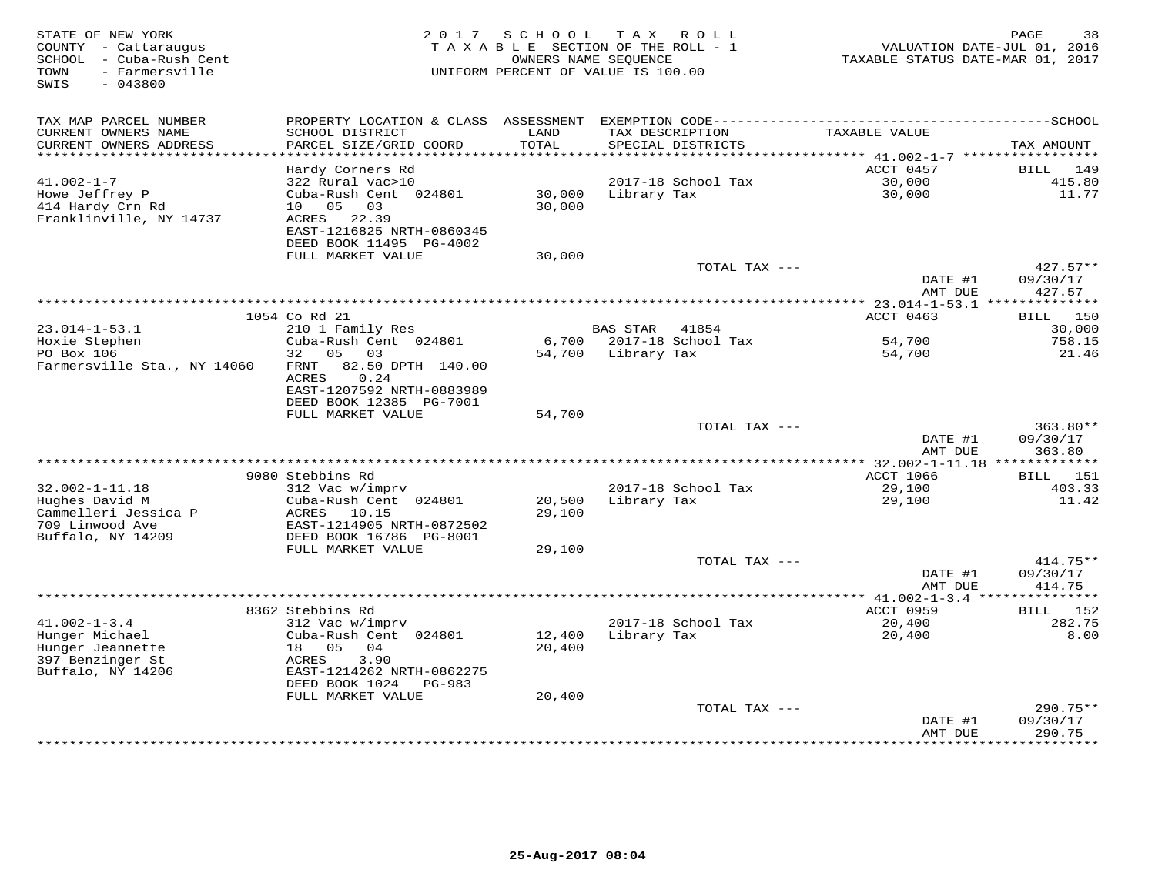| STATE OF NEW YORK<br>COUNTY - Cattaraugus<br>- Cuba-Rush Cent<br>SCHOOL<br>- Farmersville<br>TOWN<br>$-043800$<br>SWIS | 2 0 1 7                                                 | SCHOOL             | T A X<br>R O L L<br>TAXABLE SECTION OF THE ROLL - 1<br>OWNERS NAME SEQUENCE<br>UNIFORM PERCENT OF VALUE IS 100.00 | TAXABLE STATUS DATE-MAR 01, 2017          | 38<br>PAGE<br>VALUATION DATE-JUL 01, 2016 |
|------------------------------------------------------------------------------------------------------------------------|---------------------------------------------------------|--------------------|-------------------------------------------------------------------------------------------------------------------|-------------------------------------------|-------------------------------------------|
|                                                                                                                        |                                                         |                    |                                                                                                                   |                                           |                                           |
| TAX MAP PARCEL NUMBER<br>CURRENT OWNERS NAME                                                                           | PROPERTY LOCATION & CLASS<br>SCHOOL DISTRICT            | ASSESSMENT<br>LAND | TAX DESCRIPTION                                                                                                   | TAXABLE VALUE                             |                                           |
| CURRENT OWNERS ADDRESS                                                                                                 | PARCEL SIZE/GRID COORD                                  | TOTAL              | SPECIAL DISTRICTS                                                                                                 |                                           | TAX AMOUNT                                |
| ***********************                                                                                                |                                                         |                    |                                                                                                                   |                                           |                                           |
|                                                                                                                        | Hardy Corners Rd                                        |                    |                                                                                                                   | ACCT 0457                                 | <b>BILL</b><br>149                        |
| $41.002 - 1 - 7$<br>Howe Jeffrey P                                                                                     | 322 Rural vac>10<br>Cuba-Rush Cent 024801               | 30,000             | 2017-18 School Tax<br>Library Tax                                                                                 | 30,000<br>30,000                          | 415.80<br>11.77                           |
| 414 Hardy Crn Rd                                                                                                       | 10<br>05<br>03                                          | 30,000             |                                                                                                                   |                                           |                                           |
| Franklinville, NY 14737                                                                                                | 22.39<br>ACRES                                          |                    |                                                                                                                   |                                           |                                           |
|                                                                                                                        | EAST-1216825 NRTH-0860345                               |                    |                                                                                                                   |                                           |                                           |
|                                                                                                                        | DEED BOOK 11495 PG-4002                                 |                    |                                                                                                                   |                                           |                                           |
|                                                                                                                        | FULL MARKET VALUE                                       | 30,000             |                                                                                                                   |                                           |                                           |
|                                                                                                                        |                                                         |                    | TOTAL TAX ---                                                                                                     | DATE #1                                   | $427.57**$<br>09/30/17                    |
|                                                                                                                        |                                                         |                    |                                                                                                                   | AMT DUE                                   | 427.57                                    |
|                                                                                                                        |                                                         |                    | ***********************************                                                                               | ** $23.014 - 1 - 53.1$ ***                | ***********                               |
|                                                                                                                        | 1054 Co Rd 21                                           |                    |                                                                                                                   | ACCT 0463                                 | BILL 150                                  |
| $23.014 - 1 - 53.1$                                                                                                    | 210 1 Family Res                                        |                    | <b>BAS STAR</b><br>41854                                                                                          |                                           | 30,000                                    |
| Hoxie Stephen<br>PO Box 106                                                                                            | Cuba-Rush Cent 024801<br>05<br>32<br>03                 | 6,700<br>54,700    | 2017-18 School Tax<br>Library Tax                                                                                 | 54,700<br>54,700                          | 758.15<br>21.46                           |
| Farmersville Sta., NY 14060                                                                                            | 82.50 DPTH 140.00<br>FRNT                               |                    |                                                                                                                   |                                           |                                           |
|                                                                                                                        | ACRES<br>0.24                                           |                    |                                                                                                                   |                                           |                                           |
|                                                                                                                        | EAST-1207592 NRTH-0883989                               |                    |                                                                                                                   |                                           |                                           |
|                                                                                                                        | DEED BOOK 12385 PG-7001                                 |                    |                                                                                                                   |                                           |                                           |
|                                                                                                                        | FULL MARKET VALUE                                       | 54,700             |                                                                                                                   |                                           | 363.80**                                  |
|                                                                                                                        |                                                         |                    | TOTAL TAX ---                                                                                                     | DATE #1                                   | 09/30/17                                  |
|                                                                                                                        |                                                         |                    |                                                                                                                   | AMT DUE                                   | 363.80                                    |
|                                                                                                                        |                                                         |                    |                                                                                                                   |                                           |                                           |
|                                                                                                                        | 9080 Stebbins Rd                                        |                    |                                                                                                                   | <b>ACCT 1066</b>                          | 151<br>BILL                               |
| $32.002 - 1 - 11.18$                                                                                                   | 312 Vac w/imprv                                         |                    | 2017-18 School Tax                                                                                                | 29,100                                    | 403.33                                    |
| Hughes David M<br>Cammelleri Jessica P                                                                                 | Cuba-Rush Cent 024801<br>ACRES<br>10.15                 | 20,500<br>29,100   | Library Tax                                                                                                       | 29,100                                    | 11.42                                     |
| 709 Linwood Ave                                                                                                        | EAST-1214905 NRTH-0872502                               |                    |                                                                                                                   |                                           |                                           |
| Buffalo, NY 14209                                                                                                      | DEED BOOK 16786 PG-8001                                 |                    |                                                                                                                   |                                           |                                           |
|                                                                                                                        | FULL MARKET VALUE                                       | 29,100             |                                                                                                                   |                                           |                                           |
|                                                                                                                        |                                                         |                    | TOTAL TAX ---                                                                                                     |                                           | 414.75**                                  |
|                                                                                                                        |                                                         |                    |                                                                                                                   | DATE #1                                   | 09/30/17                                  |
|                                                                                                                        |                                                         |                    |                                                                                                                   | AMT DUE<br>************ 41.002-1-3.4 **** | 414.75<br>*******                         |
|                                                                                                                        | 8362 Stebbins Rd                                        |                    |                                                                                                                   | ACCT 0959                                 | 152<br>BILL                               |
| $41.002 - 1 - 3.4$                                                                                                     | 312 Vac w/imprv                                         |                    | 2017-18 School Tax                                                                                                | 20,400                                    | 282.75                                    |
| Hunger Michael                                                                                                         | Cuba-Rush Cent 024801                                   | 12,400             | Library Tax                                                                                                       | 20,400                                    | 8.00                                      |
| Hunger Jeannette                                                                                                       | 18<br>05<br>04                                          | 20,400             |                                                                                                                   |                                           |                                           |
| 397 Benzinger St                                                                                                       | ACRES<br>3.90                                           |                    |                                                                                                                   |                                           |                                           |
| Buffalo, NY 14206                                                                                                      | EAST-1214262 NRTH-0862275<br>DEED BOOK 1024<br>$PG-983$ |                    |                                                                                                                   |                                           |                                           |
|                                                                                                                        | FULL MARKET VALUE                                       | 20,400             |                                                                                                                   |                                           |                                           |
|                                                                                                                        |                                                         |                    | TOTAL TAX ---                                                                                                     |                                           | $290.75**$                                |
|                                                                                                                        |                                                         |                    |                                                                                                                   | DATE #1                                   | 09/30/17                                  |
|                                                                                                                        |                                                         |                    |                                                                                                                   | AMT DUE                                   | 290.75<br>* * * * * * * *                 |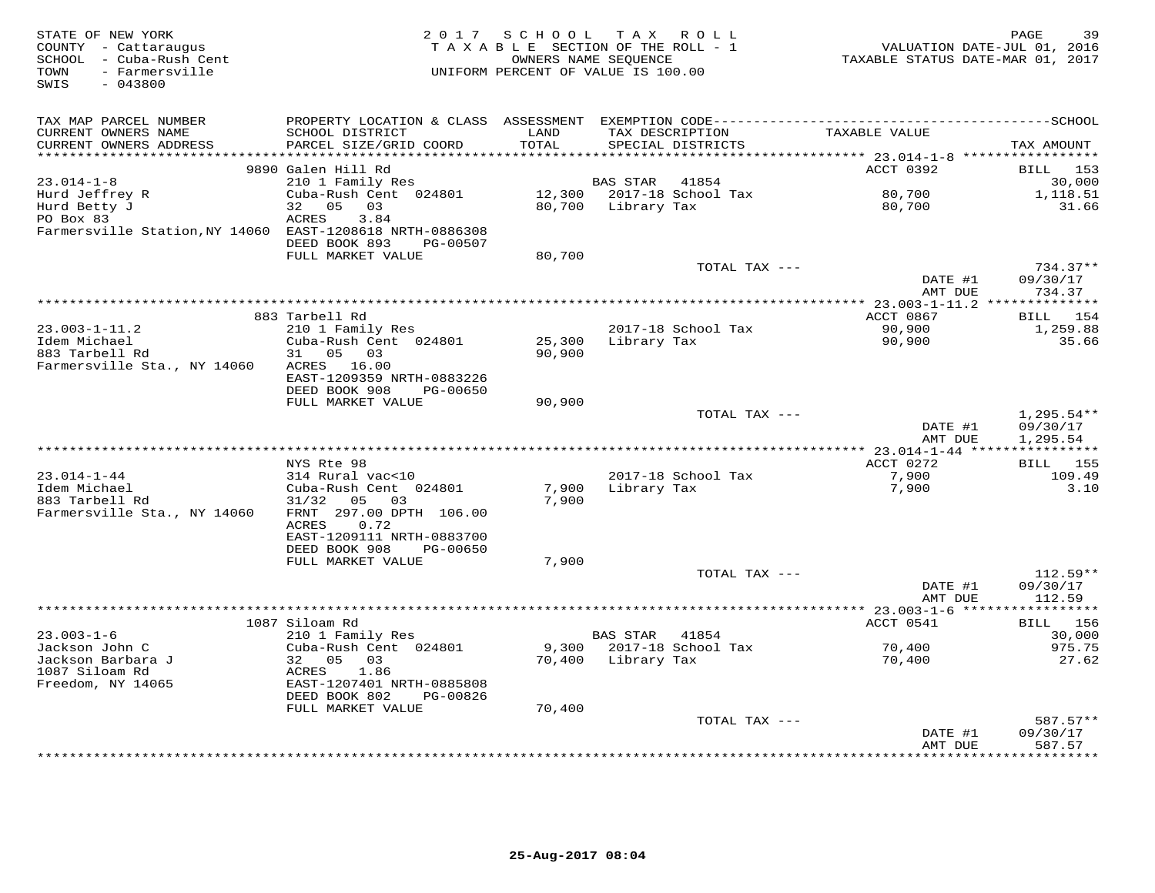| STATE OF NEW YORK<br>COUNTY - Cattaraugus<br>SCHOOL<br>- Cuba-Rush Cent<br>- Farmersville<br>TOWN<br>$-043800$<br>SWIS | 2 0 1 7                                                                                      | SCHOOL | TAX ROLL<br>TAXABLE SECTION OF THE ROLL - 1<br>OWNERS NAME SEQUENCE<br>UNIFORM PERCENT OF VALUE IS 100.00 | VALUATION DATE-JUL 01, 2016<br>TAXABLE STATUS DATE-MAR 01, 2017 | 39<br>PAGE             |
|------------------------------------------------------------------------------------------------------------------------|----------------------------------------------------------------------------------------------|--------|-----------------------------------------------------------------------------------------------------------|-----------------------------------------------------------------|------------------------|
| TAX MAP PARCEL NUMBER                                                                                                  | PROPERTY LOCATION & CLASS ASSESSMENT EXEMPTION CODE-----------------------------------SCHOOL |        |                                                                                                           |                                                                 |                        |
| CURRENT OWNERS NAME                                                                                                    | SCHOOL DISTRICT                                                                              | LAND   | TAX DESCRIPTION                                                                                           | TAXABLE VALUE                                                   |                        |
| CURRENT OWNERS ADDRESS<br>***********************                                                                      | PARCEL SIZE/GRID COORD                                                                       | TOTAL  | SPECIAL DISTRICTS                                                                                         |                                                                 | TAX AMOUNT             |
|                                                                                                                        |                                                                                              |        |                                                                                                           | ACCT 0392                                                       |                        |
| $23.014 - 1 - 8$                                                                                                       | 9890 Galen Hill Rd<br>210 1 Family Res                                                       |        | 41854<br>BAS STAR                                                                                         |                                                                 | BILL 153<br>30,000     |
| Hurd Jeffrey R                                                                                                         | Cuba-Rush Cent 024801                                                                        |        | 12,300 2017-18 School Tax                                                                                 | 80,700                                                          | 1,118.51               |
| Hurd Betty J                                                                                                           | 32<br>05<br>03                                                                               | 80,700 | Library Tax                                                                                               | 80,700                                                          | 31.66                  |
| PO Box 83                                                                                                              | 3.84<br>ACRES                                                                                |        |                                                                                                           |                                                                 |                        |
| Farmersville Station, NY 14060 EAST-1208618 NRTH-0886308                                                               |                                                                                              |        |                                                                                                           |                                                                 |                        |
|                                                                                                                        | DEED BOOK 893<br>PG-00507                                                                    |        |                                                                                                           |                                                                 |                        |
|                                                                                                                        | FULL MARKET VALUE                                                                            | 80,700 |                                                                                                           |                                                                 |                        |
|                                                                                                                        |                                                                                              |        | TOTAL TAX ---                                                                                             |                                                                 | $734.37**$             |
|                                                                                                                        |                                                                                              |        |                                                                                                           | DATE #1<br>AMT DUE                                              | 09/30/17<br>734.37     |
|                                                                                                                        |                                                                                              |        |                                                                                                           | $** 23.003 - 1 - 11.2$                                          | ************           |
|                                                                                                                        | 883 Tarbell Rd                                                                               |        |                                                                                                           | ACCT 0867                                                       | <b>BILL</b><br>154     |
| $23.003 - 1 - 11.2$                                                                                                    | 210 1 Family Res                                                                             |        | 2017-18 School Tax                                                                                        | 90,900                                                          | 1,259.88               |
| Idem Michael                                                                                                           | Cuba-Rush Cent 024801                                                                        | 25,300 | Library Tax                                                                                               | 90,900                                                          | 35.66                  |
| 883 Tarbell Rd                                                                                                         | 05<br>03<br>31                                                                               | 90,900 |                                                                                                           |                                                                 |                        |
| Farmersville Sta., NY 14060                                                                                            | ACRES 16.00                                                                                  |        |                                                                                                           |                                                                 |                        |
|                                                                                                                        | EAST-1209359 NRTH-0883226                                                                    |        |                                                                                                           |                                                                 |                        |
|                                                                                                                        | DEED BOOK 908<br>PG-00650<br>FULL MARKET VALUE                                               | 90,900 |                                                                                                           |                                                                 |                        |
|                                                                                                                        |                                                                                              |        | TOTAL TAX ---                                                                                             |                                                                 | $1,295.54**$           |
|                                                                                                                        |                                                                                              |        |                                                                                                           | DATE #1                                                         | 09/30/17               |
|                                                                                                                        |                                                                                              |        |                                                                                                           | AMT DUE                                                         | 1,295.54               |
|                                                                                                                        |                                                                                              |        |                                                                                                           |                                                                 |                        |
|                                                                                                                        | NYS Rte 98                                                                                   |        |                                                                                                           | ACCT 0272                                                       | 155<br>BILL            |
| $23.014 - 1 - 44$                                                                                                      | 314 Rural vac<10                                                                             |        | 2017-18 School Tax                                                                                        | 7,900                                                           | 109.49                 |
| Idem Michael<br>883 Tarbell Rd                                                                                         | Cuba-Rush Cent 024801<br>0.3                                                                 | 7,900  | Library Tax                                                                                               | 7,900                                                           | 3.10                   |
| Farmersville Sta., NY 14060                                                                                            | 05<br>31/32<br>FRNT 297.00 DPTH 106.00                                                       | 7,900  |                                                                                                           |                                                                 |                        |
|                                                                                                                        | 0.72<br>ACRES                                                                                |        |                                                                                                           |                                                                 |                        |
|                                                                                                                        | EAST-1209111 NRTH-0883700                                                                    |        |                                                                                                           |                                                                 |                        |
|                                                                                                                        | DEED BOOK 908<br>PG-00650                                                                    |        |                                                                                                           |                                                                 |                        |
|                                                                                                                        | FULL MARKET VALUE                                                                            | 7,900  |                                                                                                           |                                                                 |                        |
|                                                                                                                        |                                                                                              |        | TOTAL TAX ---                                                                                             |                                                                 | $112.59**$             |
|                                                                                                                        |                                                                                              |        |                                                                                                           | DATE #1                                                         | 09/30/17               |
|                                                                                                                        |                                                                                              |        |                                                                                                           | AMT DUE                                                         | 112.59<br>***********  |
|                                                                                                                        | 1087 Siloam Rd                                                                               |        |                                                                                                           | ACCT 0541                                                       | BILL 156               |
| $23.003 - 1 - 6$                                                                                                       | 210 1 Family Res                                                                             |        | <b>BAS STAR</b><br>41854                                                                                  |                                                                 | 30,000                 |
| Jackson John C                                                                                                         | Cuba-Rush Cent 024801                                                                        | 9,300  | 2017-18 School Tax                                                                                        | 70,400                                                          | 975.75                 |
| Jackson Barbara J                                                                                                      | 32 05<br>03                                                                                  | 70,400 | Library Tax                                                                                               | 70,400                                                          | 27.62                  |
| 1087 Siloam Rd                                                                                                         | ACRES<br>1.86                                                                                |        |                                                                                                           |                                                                 |                        |
| Freedom, NY 14065                                                                                                      | EAST-1207401 NRTH-0885808                                                                    |        |                                                                                                           |                                                                 |                        |
|                                                                                                                        | DEED BOOK 802<br>PG-00826                                                                    |        |                                                                                                           |                                                                 |                        |
|                                                                                                                        | FULL MARKET VALUE                                                                            | 70,400 |                                                                                                           |                                                                 |                        |
|                                                                                                                        |                                                                                              |        | TOTAL TAX ---                                                                                             | DATE #1                                                         | $587.57**$<br>09/30/17 |
|                                                                                                                        |                                                                                              |        |                                                                                                           | AMT DUE                                                         | 587.57                 |
|                                                                                                                        |                                                                                              |        | ******************************                                                                            | ************                                                    | ********               |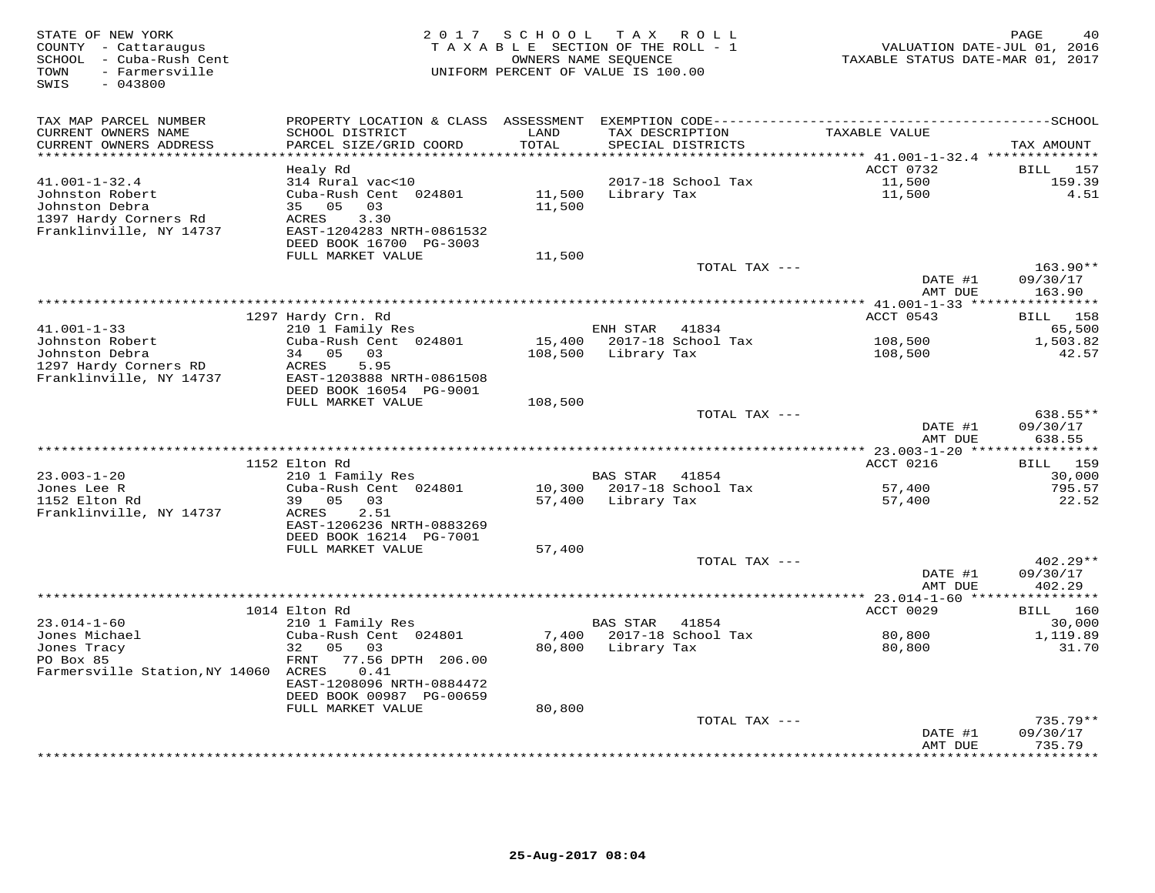| STATE OF NEW YORK<br>COUNTY - Cattaraugus<br>SCHOOL - Cuba-Rush Cent<br>- Farmersville<br>TOWN<br>$-043800$<br>SWIS | 2 0 1 7                                      | TAXABLE SECTION OF THE ROLL - 1<br>UNIFORM PERCENT OF VALUE IS 100.00 | SCHOOL TAX ROLL<br>OWNERS NAME SEQUENCE |                    | VALUATION DATE-JUL 01, 2016<br>TAXABLE STATUS DATE-MAR 01, 2017 | PAGE<br>40                |
|---------------------------------------------------------------------------------------------------------------------|----------------------------------------------|-----------------------------------------------------------------------|-----------------------------------------|--------------------|-----------------------------------------------------------------|---------------------------|
| TAX MAP PARCEL NUMBER                                                                                               | PROPERTY LOCATION & CLASS ASSESSMENT         |                                                                       |                                         |                    |                                                                 |                           |
| CURRENT OWNERS NAME<br>CURRENT OWNERS ADDRESS                                                                       | SCHOOL DISTRICT<br>PARCEL SIZE/GRID COORD    | LAND<br>TOTAL                                                         | TAX DESCRIPTION<br>SPECIAL DISTRICTS    |                    | TAXABLE VALUE                                                   | TAX AMOUNT                |
|                                                                                                                     | Healy Rd                                     | ******                                                                |                                         |                    | ******** 41.001-1-32.4 *********<br>ACCT 0732                   | 157<br>BILL               |
| $41.001 - 1 - 32.4$                                                                                                 | 314 Rural vac<10                             |                                                                       |                                         | 2017-18 School Tax | 11,500                                                          | 159.39                    |
| Johnston Robert                                                                                                     | Cuba-Rush Cent 024801                        | 11,500                                                                | Library Tax                             |                    | 11,500                                                          | 4.51                      |
| Johnston Debra                                                                                                      | 05<br>03<br>35                               | 11,500                                                                |                                         |                    |                                                                 |                           |
| 1397 Hardy Corners Rd                                                                                               | 3.30<br>ACRES                                |                                                                       |                                         |                    |                                                                 |                           |
| Franklinville, NY 14737                                                                                             | EAST-1204283 NRTH-0861532                    |                                                                       |                                         |                    |                                                                 |                           |
|                                                                                                                     | DEED BOOK 16700 PG-3003<br>FULL MARKET VALUE | 11,500                                                                |                                         |                    |                                                                 |                           |
|                                                                                                                     |                                              |                                                                       |                                         | TOTAL TAX ---      |                                                                 | $163.90**$                |
|                                                                                                                     |                                              |                                                                       |                                         |                    | DATE #1                                                         | 09/30/17                  |
|                                                                                                                     |                                              |                                                                       |                                         |                    | AMT DUE                                                         | 163.90                    |
|                                                                                                                     |                                              |                                                                       |                                         |                    |                                                                 |                           |
| $41.001 - 1 - 33$                                                                                                   | 1297 Hardy Crn. Rd<br>210 1 Family Res       |                                                                       | ENH STAR                                | 41834              | ACCT 0543                                                       | <b>BILL</b> 158<br>65,500 |
| Johnston Robert                                                                                                     | Cuba-Rush Cent 024801                        | 15,400                                                                |                                         | 2017-18 School Tax | 108,500                                                         | 1,503.82                  |
| Johnston Debra                                                                                                      | 0.3<br>34 05                                 | 108,500                                                               | Library Tax                             |                    | 108,500                                                         | 42.57                     |
| 1297 Hardy Corners RD                                                                                               | 5.95<br>ACRES                                |                                                                       |                                         |                    |                                                                 |                           |
| Franklinville, NY 14737                                                                                             | EAST-1203888 NRTH-0861508                    |                                                                       |                                         |                    |                                                                 |                           |
|                                                                                                                     | DEED BOOK 16054 PG-9001                      |                                                                       |                                         |                    |                                                                 |                           |
|                                                                                                                     | FULL MARKET VALUE                            | 108,500                                                               |                                         | TOTAL TAX ---      |                                                                 | 638.55**                  |
|                                                                                                                     |                                              |                                                                       |                                         |                    | DATE #1                                                         | 09/30/17                  |
|                                                                                                                     |                                              |                                                                       |                                         |                    | AMT DUE                                                         | 638.55                    |
|                                                                                                                     |                                              |                                                                       |                                         |                    |                                                                 |                           |
|                                                                                                                     | 1152 Elton Rd                                |                                                                       |                                         |                    | ACCT 0216                                                       | 159<br>BILL               |
| $23.003 - 1 - 20$<br>Jones Lee R                                                                                    | 210 1 Family Res<br>Cuba-Rush Cent 024801    | 10,300                                                                | <b>BAS STAR</b>                         | 41854              |                                                                 | 30,000<br>795.57          |
| 1152 Elton Rd                                                                                                       | 03<br>39<br>0.5                              | 57,400                                                                | Library Tax                             | 2017-18 School Tax | 57,400<br>57,400                                                | 22.52                     |
| Franklinville, NY 14737                                                                                             | ACRES<br>2.51                                |                                                                       |                                         |                    |                                                                 |                           |
|                                                                                                                     | EAST-1206236 NRTH-0883269                    |                                                                       |                                         |                    |                                                                 |                           |
|                                                                                                                     | DEED BOOK 16214 PG-7001                      |                                                                       |                                         |                    |                                                                 |                           |
|                                                                                                                     | FULL MARKET VALUE                            | 57,400                                                                |                                         |                    |                                                                 |                           |
|                                                                                                                     |                                              |                                                                       |                                         | TOTAL TAX ---      | DATE #1                                                         | 402.29**<br>09/30/17      |
|                                                                                                                     |                                              |                                                                       |                                         |                    | AMT DUE                                                         | 402.29                    |
|                                                                                                                     |                                              |                                                                       |                                         |                    | *************** 23.014-1-60 *****************                   |                           |
|                                                                                                                     | 1014 Elton Rd                                |                                                                       |                                         |                    | ACCT 0029                                                       | BILL 160                  |
| $23.014 - 1 - 60$                                                                                                   | 210 1 Family Res                             |                                                                       | <b>BAS STAR</b>                         | 41854              |                                                                 | 30,000                    |
| Jones Michael                                                                                                       | Cuba-Rush Cent 024801                        | 7,400                                                                 |                                         | 2017-18 School Tax | 80,800                                                          | 1,119.89                  |
| Jones Tracy<br>PO Box 85                                                                                            | 05<br>03<br>32<br>FRNT<br>77.56 DPTH 206.00  | 80,800                                                                | Library Tax                             |                    | 80,800                                                          | 31.70                     |
| Farmersville Station, NY 14060 ACRES                                                                                | 0.41                                         |                                                                       |                                         |                    |                                                                 |                           |
|                                                                                                                     | EAST-1208096 NRTH-0884472                    |                                                                       |                                         |                    |                                                                 |                           |
|                                                                                                                     | DEED BOOK 00987 PG-00659                     |                                                                       |                                         |                    |                                                                 |                           |
|                                                                                                                     | FULL MARKET VALUE                            | 80,800                                                                |                                         |                    |                                                                 |                           |
|                                                                                                                     |                                              |                                                                       |                                         | TOTAL TAX ---      |                                                                 | $735.79**$                |
|                                                                                                                     |                                              |                                                                       |                                         |                    | DATE #1                                                         | 09/30/17                  |
|                                                                                                                     |                                              |                                                                       |                                         |                    | AMT DUE                                                         | 735.79<br>* * * * * * * * |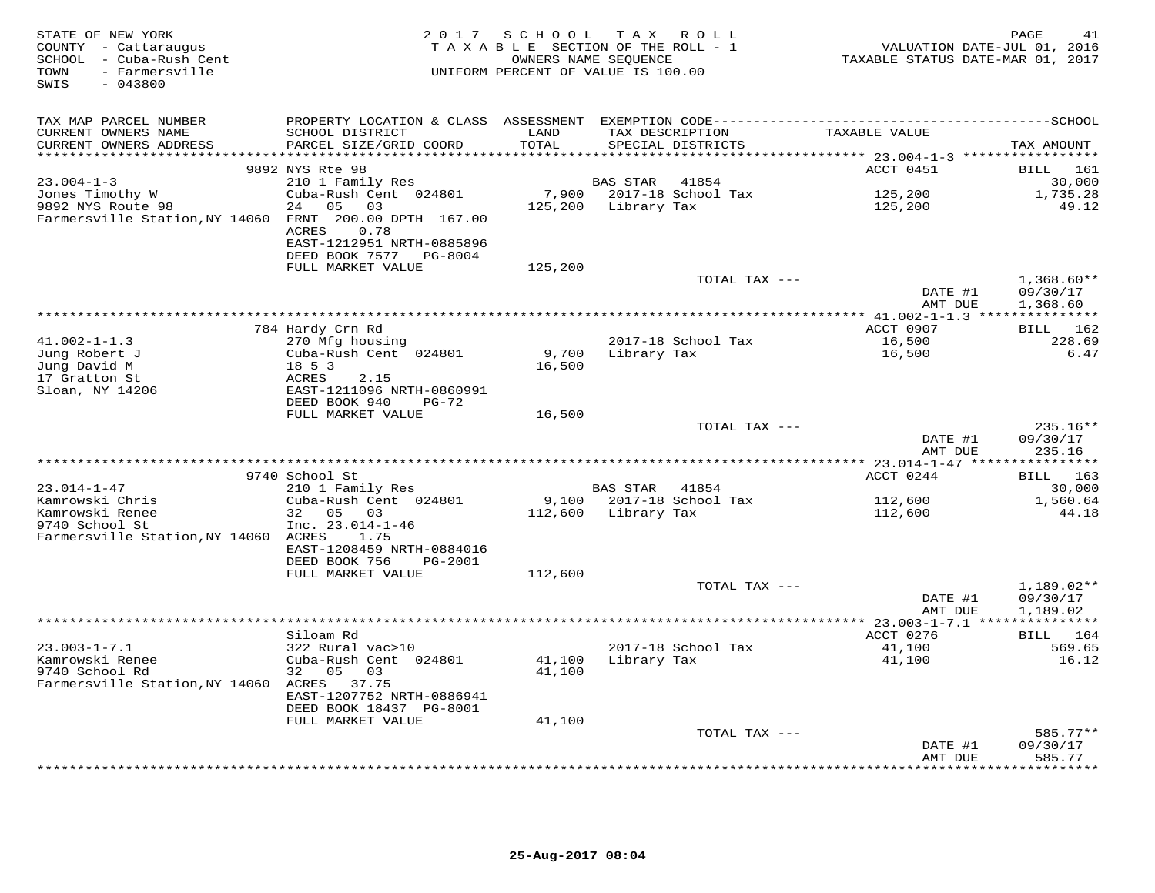| STATE OF NEW YORK<br>COUNTY - Cattaraugus<br>SCHOOL - Cuba-Rush Cent<br>- Farmersville<br>TOWN<br>$-043800$<br>SWIS | 2 0 1 7                                                                                 | SCHOOL TAX ROLL<br>TAXABLE SECTION OF THE ROLL - 1<br>OWNERS NAME SEQUENCE<br>UNIFORM PERCENT OF VALUE IS 100.00 |                 |                                      | TAXABLE STATUS DATE-MAR 01, 2017 | PAGE<br>41<br>VALUATION DATE-JUL 01, 2016 |
|---------------------------------------------------------------------------------------------------------------------|-----------------------------------------------------------------------------------------|------------------------------------------------------------------------------------------------------------------|-----------------|--------------------------------------|----------------------------------|-------------------------------------------|
| TAX MAP PARCEL NUMBER                                                                                               |                                                                                         |                                                                                                                  |                 |                                      |                                  |                                           |
| CURRENT OWNERS NAME<br>CURRENT OWNERS ADDRESS                                                                       | SCHOOL DISTRICT<br>PARCEL SIZE/GRID COORD                                               | LAND<br>TOTAL                                                                                                    |                 | TAX DESCRIPTION<br>SPECIAL DISTRICTS | TAXABLE VALUE                    | TAX AMOUNT                                |
| ***********************                                                                                             | *******************************                                                         |                                                                                                                  |                 |                                      |                                  |                                           |
|                                                                                                                     | 9892 NYS Rte 98                                                                         |                                                                                                                  |                 |                                      | ACCT 0451                        | BILL 161                                  |
| $23.004 - 1 - 3$                                                                                                    | 210 1 Family Res                                                                        |                                                                                                                  | BAS STAR        | 41854                                |                                  | 30,000                                    |
| Jones Timothy W                                                                                                     | Cuba-Rush Cent 024801                                                                   | 7,900                                                                                                            |                 | 2017-18 School Tax                   | 125,200                          | 1,735.28                                  |
| 9892 NYS Route 98<br>Farmersville Station, NY 14060 FRNT 200.00 DPTH 167.00                                         | 24 05 03<br><b>ACRES</b><br>0.78<br>EAST-1212951 NRTH-0885896<br>DEED BOOK 7577 PG-8004 | 125,200                                                                                                          | Library Tax     |                                      | 125,200                          | 49.12                                     |
|                                                                                                                     | FULL MARKET VALUE                                                                       | 125,200                                                                                                          |                 |                                      |                                  |                                           |
|                                                                                                                     |                                                                                         |                                                                                                                  |                 | TOTAL TAX ---                        |                                  | $1,368.60**$                              |
|                                                                                                                     |                                                                                         |                                                                                                                  |                 |                                      | DATE #1<br>AMT DUE               | 09/30/17<br>1,368.60                      |
|                                                                                                                     |                                                                                         |                                                                                                                  |                 |                                      |                                  |                                           |
| $41.002 - 1 - 1.3$                                                                                                  | 784 Hardy Crn Rd                                                                        |                                                                                                                  |                 |                                      | ACCT 0907                        | BILL 162<br>228.69                        |
| Jung Robert J                                                                                                       | 270 Mfg housing<br>Cuba-Rush Cent 024801                                                | 9,700                                                                                                            | Library Tax     | 2017-18 School Tax                   | 16,500<br>16,500                 | 6.47                                      |
| Jung David M                                                                                                        | 18 5 3                                                                                  | 16,500                                                                                                           |                 |                                      |                                  |                                           |
| 17 Gratton St                                                                                                       | ACRES<br>2.15                                                                           |                                                                                                                  |                 |                                      |                                  |                                           |
| Sloan, NY 14206                                                                                                     | EAST-1211096 NRTH-0860991                                                               |                                                                                                                  |                 |                                      |                                  |                                           |
|                                                                                                                     | DEED BOOK 940<br>PG-72                                                                  |                                                                                                                  |                 |                                      |                                  |                                           |
|                                                                                                                     | FULL MARKET VALUE                                                                       | 16,500                                                                                                           |                 |                                      |                                  |                                           |
|                                                                                                                     |                                                                                         |                                                                                                                  |                 | TOTAL TAX ---                        | DATE #1                          | 235.16**<br>09/30/17                      |
|                                                                                                                     |                                                                                         |                                                                                                                  |                 |                                      | AMT DUE                          | 235.16                                    |
|                                                                                                                     | 9740 School St                                                                          |                                                                                                                  |                 |                                      | ACCT 0244                        | BILL 163                                  |
| $23.014 - 1 - 47$                                                                                                   | 210 1 Family Res                                                                        |                                                                                                                  | <b>BAS STAR</b> | 41854                                |                                  | 30,000                                    |
| Kamrowski Chris                                                                                                     | Cuba-Rush Cent 024801                                                                   | 9,100                                                                                                            |                 | 2017-18 School Tax                   | 112,600                          | 1,560.64                                  |
| Kamrowski Renee                                                                                                     | 32 05 03                                                                                | 112,600                                                                                                          | Library Tax     |                                      | 112,600                          | 44.18                                     |
| 9740 School St                                                                                                      | Inc. $23.014 - 1 - 46$                                                                  |                                                                                                                  |                 |                                      |                                  |                                           |
| Farmersville Station, NY 14060 ACRES                                                                                | 1.75                                                                                    |                                                                                                                  |                 |                                      |                                  |                                           |
|                                                                                                                     | EAST-1208459 NRTH-0884016                                                               |                                                                                                                  |                 |                                      |                                  |                                           |
|                                                                                                                     | DEED BOOK 756<br>PG-2001                                                                |                                                                                                                  |                 |                                      |                                  |                                           |
|                                                                                                                     | FULL MARKET VALUE                                                                       | 112,600                                                                                                          |                 | TOTAL TAX ---                        |                                  | $1,189.02**$                              |
|                                                                                                                     |                                                                                         |                                                                                                                  |                 |                                      | DATE #1                          | 09/30/17                                  |
|                                                                                                                     |                                                                                         |                                                                                                                  |                 |                                      | AMT DUE                          | 1,189.02                                  |
|                                                                                                                     |                                                                                         |                                                                                                                  |                 |                                      |                                  |                                           |
|                                                                                                                     | Siloam Rd                                                                               |                                                                                                                  |                 |                                      | ACCT 0276                        | BILL 164                                  |
| $23.003 - 1 - 7.1$                                                                                                  | 322 Rural vac>10                                                                        |                                                                                                                  |                 | 2017-18 School Tax                   | 41,100                           | 569.65                                    |
| Kamrowski Renee                                                                                                     | Cuba-Rush Cent 024801                                                                   | 41,100                                                                                                           | Library Tax     |                                      | 41,100                           | 16.12                                     |
| 9740 School Rd                                                                                                      | 32 05<br>03                                                                             | 41,100                                                                                                           |                 |                                      |                                  |                                           |
| Farmersville Station, NY 14060 ACRES 37.75                                                                          |                                                                                         |                                                                                                                  |                 |                                      |                                  |                                           |
|                                                                                                                     | EAST-1207752 NRTH-0886941<br>DEED BOOK 18437 PG-8001                                    |                                                                                                                  |                 |                                      |                                  |                                           |
|                                                                                                                     | FULL MARKET VALUE                                                                       | 41,100                                                                                                           |                 |                                      |                                  |                                           |
|                                                                                                                     |                                                                                         |                                                                                                                  |                 | TOTAL TAX ---                        |                                  | $585.77**$                                |
|                                                                                                                     |                                                                                         |                                                                                                                  |                 |                                      | DATE #1                          | 09/30/17                                  |
|                                                                                                                     |                                                                                         |                                                                                                                  |                 |                                      | AMT DUE                          | 585.77                                    |
|                                                                                                                     |                                                                                         |                                                                                                                  |                 | ********************************     | * * * * * * * * * *              | * * * * * * * * ·                         |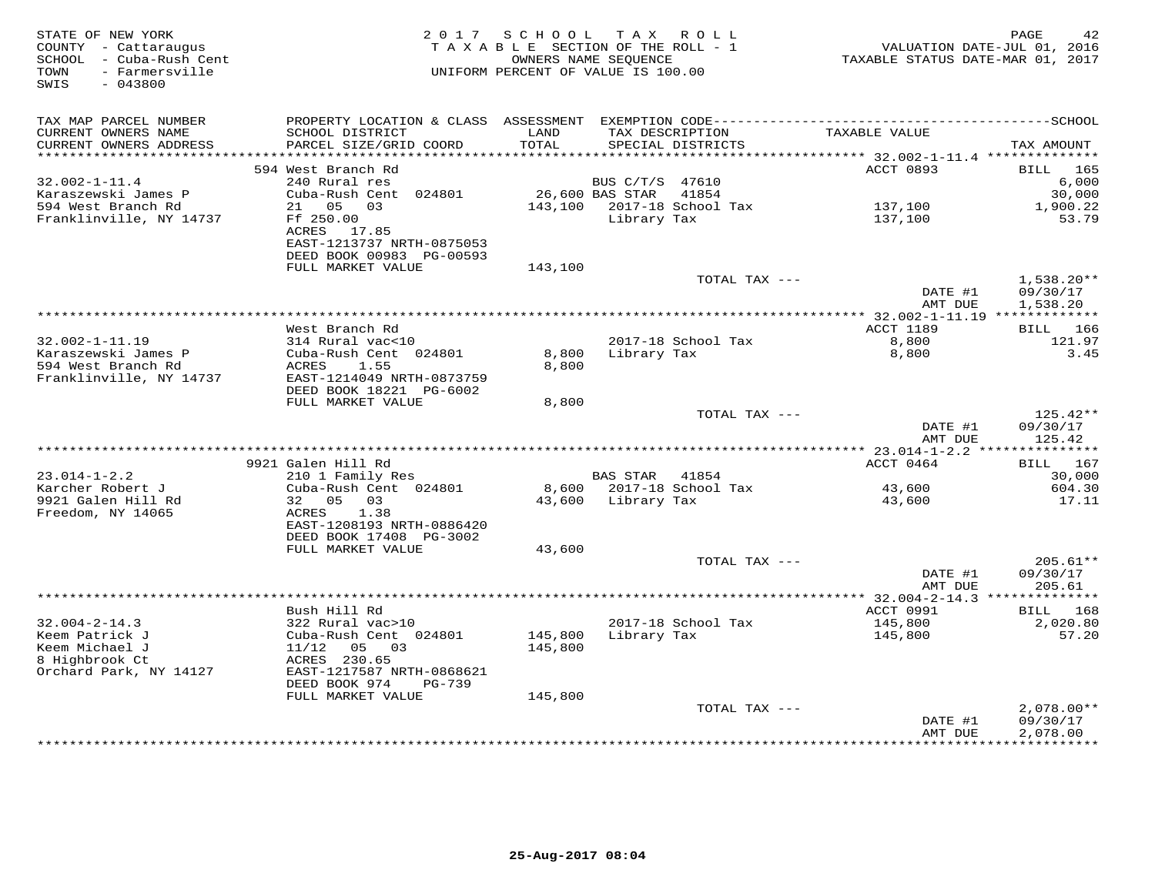| STATE OF NEW YORK<br>COUNTY - Cattaraugus<br>SCHOOL - Cuba-Rush Cent<br>- Farmersville<br>TOWN<br>SWIS<br>$-043800$ | 2 0 1 7                                               | SCHOOL<br>TAXABLE SECTION OF THE ROLL - 1<br>OWNERS NAME SEOUENCE<br>UNIFORM PERCENT OF VALUE IS 100.00 |                 | TAX ROLL                             | TAXABLE STATUS DATE-MAR 01, 2017                                          | PAGE<br>42<br>VALUATION DATE-JUL 01, 2016 |
|---------------------------------------------------------------------------------------------------------------------|-------------------------------------------------------|---------------------------------------------------------------------------------------------------------|-----------------|--------------------------------------|---------------------------------------------------------------------------|-------------------------------------------|
| TAX MAP PARCEL NUMBER                                                                                               |                                                       |                                                                                                         |                 |                                      |                                                                           |                                           |
| CURRENT OWNERS NAME<br>CURRENT OWNERS ADDRESS<br>*******************                                                | SCHOOL DISTRICT<br>PARCEL SIZE/GRID COORD             | LAND<br>TOTAL<br>*********                                                                              |                 | TAX DESCRIPTION<br>SPECIAL DISTRICTS | TAXABLE VALUE<br>************************** 32.002-1-11.4 *************** | TAX AMOUNT                                |
|                                                                                                                     | 594 West Branch Rd                                    |                                                                                                         |                 |                                      | ACCT 0893                                                                 | BILL<br>165                               |
| $32.002 - 1 - 11.4$                                                                                                 | 240 Rural res                                         |                                                                                                         | BUS C/T/S 47610 |                                      |                                                                           | 6,000                                     |
| Karaszewski James P                                                                                                 | Cuba-Rush Cent 024801                                 |                                                                                                         | 26,600 BAS STAR | 41854                                |                                                                           | 30,000                                    |
| 594 West Branch Rd                                                                                                  | 21 05<br>03                                           | 143,100                                                                                                 |                 | 2017-18 School Tax                   | 137,100                                                                   | 1,900.22                                  |
| Franklinville, NY 14737                                                                                             | Ff 250.00                                             |                                                                                                         | Library Tax     |                                      | 137,100                                                                   | 53.79                                     |
|                                                                                                                     | ACRES 17.85                                           |                                                                                                         |                 |                                      |                                                                           |                                           |
|                                                                                                                     | EAST-1213737 NRTH-0875053<br>DEED BOOK 00983 PG-00593 |                                                                                                         |                 |                                      |                                                                           |                                           |
|                                                                                                                     | FULL MARKET VALUE                                     | 143,100                                                                                                 |                 |                                      |                                                                           |                                           |
|                                                                                                                     |                                                       |                                                                                                         |                 | TOTAL TAX $---$                      |                                                                           | $1,538.20**$                              |
|                                                                                                                     |                                                       |                                                                                                         |                 |                                      | DATE #1                                                                   | 09/30/17                                  |
|                                                                                                                     |                                                       |                                                                                                         |                 |                                      | AMT DUE                                                                   | 1,538.20                                  |
|                                                                                                                     |                                                       |                                                                                                         |                 |                                      |                                                                           |                                           |
|                                                                                                                     | West Branch Rd                                        |                                                                                                         |                 |                                      | ACCT 1189                                                                 | 166<br>BILL                               |
| $32.002 - 1 - 11.19$                                                                                                | 314 Rural vac<10                                      |                                                                                                         |                 | 2017-18 School Tax                   | 8,800                                                                     | 121.97                                    |
| Karaszewski James P<br>594 West Branch Rd                                                                           | Cuba-Rush Cent 024801<br>ACRES<br>1.55                | 8,800<br>8,800                                                                                          | Library Tax     |                                      | 8,800                                                                     | 3.45                                      |
| Franklinville, NY 14737                                                                                             | EAST-1214049 NRTH-0873759                             |                                                                                                         |                 |                                      |                                                                           |                                           |
|                                                                                                                     | DEED BOOK 18221 PG-6002                               |                                                                                                         |                 |                                      |                                                                           |                                           |
|                                                                                                                     | FULL MARKET VALUE                                     | 8,800                                                                                                   |                 |                                      |                                                                           |                                           |
|                                                                                                                     |                                                       |                                                                                                         |                 | TOTAL TAX ---                        |                                                                           | 125.42**                                  |
|                                                                                                                     |                                                       |                                                                                                         |                 |                                      | DATE #1                                                                   | 09/30/17                                  |
|                                                                                                                     |                                                       |                                                                                                         |                 |                                      | AMT DUE                                                                   | 125.42                                    |
|                                                                                                                     |                                                       |                                                                                                         |                 |                                      |                                                                           |                                           |
| $23.014 - 1 - 2.2$                                                                                                  | 9921 Galen Hill Rd<br>210 1 Family Res                |                                                                                                         | BAS STAR        | 41854                                | ACCT 0464                                                                 | <b>BILL</b> 167<br>30,000                 |
| Karcher Robert J                                                                                                    | Cuba-Rush Cent 024801                                 | 8,600                                                                                                   |                 | 2017-18 School Tax                   | 43,600                                                                    | 604.30                                    |
| 9921 Galen Hill Rd                                                                                                  | 32 05<br>03                                           | 43,600                                                                                                  | Library Tax     |                                      | 43,600                                                                    | 17.11                                     |
| Freedom, NY 14065                                                                                                   | 1.38<br>ACRES                                         |                                                                                                         |                 |                                      |                                                                           |                                           |
|                                                                                                                     | EAST-1208193 NRTH-0886420                             |                                                                                                         |                 |                                      |                                                                           |                                           |
|                                                                                                                     | DEED BOOK 17408 PG-3002                               |                                                                                                         |                 |                                      |                                                                           |                                           |
|                                                                                                                     | FULL MARKET VALUE                                     | 43,600                                                                                                  |                 |                                      |                                                                           |                                           |
|                                                                                                                     |                                                       |                                                                                                         |                 | TOTAL TAX ---                        |                                                                           | $205.61**$                                |
|                                                                                                                     |                                                       |                                                                                                         |                 |                                      | DATE #1                                                                   | 09/30/17                                  |
|                                                                                                                     |                                                       |                                                                                                         |                 |                                      | AMT DUE                                                                   | 205.61                                    |
|                                                                                                                     | Bush Hill Rd                                          |                                                                                                         |                 |                                      | ACCT 0991                                                                 | BILL<br>168                               |
| $32.004 - 2 - 14.3$                                                                                                 | 322 Rural vac>10                                      |                                                                                                         |                 | 2017-18 School Tax                   | 145,800                                                                   | 2,020.80                                  |
| Keem Patrick J                                                                                                      | Cuba-Rush Cent 024801                                 | 145,800                                                                                                 | Library Tax     |                                      | 145,800                                                                   | 57.20                                     |
| Keem Michael J                                                                                                      | 11/12<br>05 03                                        | 145,800                                                                                                 |                 |                                      |                                                                           |                                           |
| 8 Highbrook Ct                                                                                                      | ACRES 230.65                                          |                                                                                                         |                 |                                      |                                                                           |                                           |
| Orchard Park, NY 14127                                                                                              | EAST-1217587 NRTH-0868621                             |                                                                                                         |                 |                                      |                                                                           |                                           |
|                                                                                                                     | DEED BOOK 974<br>$PG-739$                             |                                                                                                         |                 |                                      |                                                                           |                                           |
|                                                                                                                     | FULL MARKET VALUE                                     | 145,800                                                                                                 |                 |                                      |                                                                           |                                           |
|                                                                                                                     |                                                       |                                                                                                         |                 | TOTAL TAX ---                        | DATE #1                                                                   | $2,078.00**$<br>09/30/17                  |
|                                                                                                                     |                                                       |                                                                                                         |                 |                                      | AMT DUE                                                                   | 2,078.00                                  |
|                                                                                                                     |                                                       |                                                                                                         |                 |                                      | ************                                                              | ***********                               |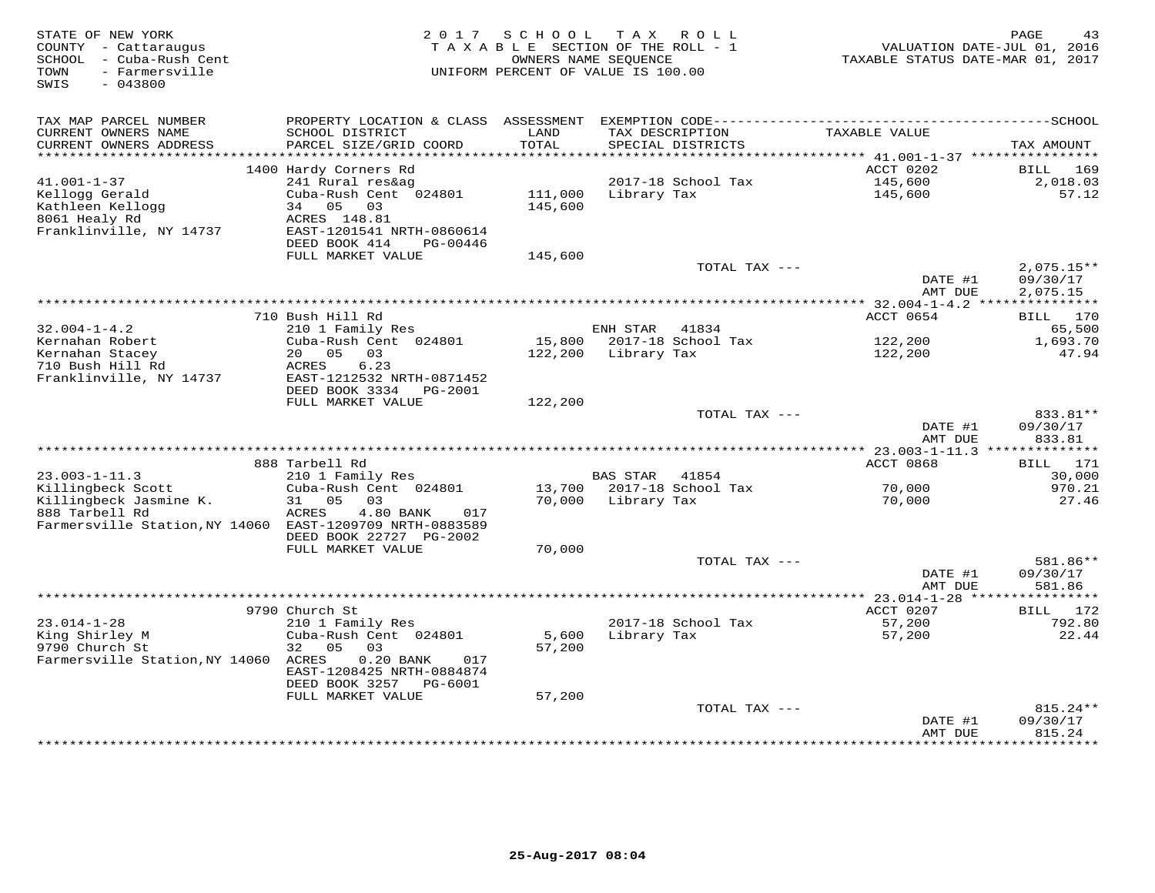| STATE OF NEW YORK<br>COUNTY - Cattaraugus<br>- Cuba-Rush Cent<br>SCHOOL<br>- Farmersville<br>TOWN<br>SWIS<br>$-043800$ | 2 0 1 7                                      | SCHOOL<br>OWNERS NAME SEOUENCE | T A X<br>TAXABLE SECTION OF THE ROLL - 1<br>UNIFORM PERCENT OF VALUE IS 100.00 | R O L L       | VALUATION DATE-JUL 01, 2016<br>TAXABLE STATUS DATE-MAR 01, 2017 | PAGE<br>43               |
|------------------------------------------------------------------------------------------------------------------------|----------------------------------------------|--------------------------------|--------------------------------------------------------------------------------|---------------|-----------------------------------------------------------------|--------------------------|
| TAX MAP PARCEL NUMBER                                                                                                  |                                              |                                |                                                                                |               |                                                                 |                          |
| CURRENT OWNERS NAME                                                                                                    | SCHOOL DISTRICT                              | LAND                           | TAX DESCRIPTION                                                                |               | TAXABLE VALUE                                                   |                          |
| CURRENT OWNERS ADDRESS                                                                                                 | PARCEL SIZE/GRID COORD                       | TOTAL                          | SPECIAL DISTRICTS                                                              |               |                                                                 | TAX AMOUNT               |
| ********************                                                                                                   |                                              | * * * * * * * * * *            |                                                                                |               | *********** 41.001-1-37 ***********                             |                          |
|                                                                                                                        | 1400 Hardy Corners Rd                        |                                |                                                                                |               | ACCT 0202                                                       | <b>BILL</b><br>169       |
| $41.001 - 1 - 37$<br>Kellogg Gerald                                                                                    | 241 Rural res&ag<br>Cuba-Rush Cent 024801    | 111,000                        | 2017-18 School Tax<br>Library Tax                                              |               | 145,600<br>145,600                                              | 2,018.03<br>57.12        |
| Kathleen Kellogg                                                                                                       | 34<br>05<br>03                               | 145,600                        |                                                                                |               |                                                                 |                          |
| 8061 Healy Rd                                                                                                          | ACRES 148.81                                 |                                |                                                                                |               |                                                                 |                          |
| Franklinville, NY 14737                                                                                                | EAST-1201541 NRTH-0860614                    |                                |                                                                                |               |                                                                 |                          |
|                                                                                                                        | DEED BOOK 414<br>PG-00446                    |                                |                                                                                |               |                                                                 |                          |
|                                                                                                                        | FULL MARKET VALUE                            | 145,600                        |                                                                                |               |                                                                 |                          |
|                                                                                                                        |                                              |                                |                                                                                | TOTAL TAX --- | DATE #1                                                         | $2,075.15**$<br>09/30/17 |
|                                                                                                                        |                                              |                                |                                                                                |               | AMT DUE                                                         | 2,075.15                 |
|                                                                                                                        |                                              |                                |                                                                                |               |                                                                 |                          |
|                                                                                                                        | 710 Bush Hill Rd                             |                                |                                                                                |               | ACCT 0654                                                       | 170<br>BILL              |
| $32.004 - 1 - 4.2$                                                                                                     | 210 1 Family Res                             |                                | ENH STAR                                                                       | 41834         |                                                                 | 65,500                   |
| Kernahan Robert                                                                                                        | Cuba-Rush Cent 024801                        | 15,800                         | 2017-18 School Tax                                                             |               | 122,200                                                         | 1,693.70                 |
| Kernahan Stacey<br>710 Bush Hill Rd                                                                                    | 20 05<br>03<br>6.23                          | 122,200                        | Library Tax                                                                    |               | 122,200                                                         | 47.94                    |
| Franklinville, NY 14737                                                                                                | ACRES<br>EAST-1212532 NRTH-0871452           |                                |                                                                                |               |                                                                 |                          |
|                                                                                                                        | DEED BOOK 3334<br>PG-2001                    |                                |                                                                                |               |                                                                 |                          |
|                                                                                                                        | FULL MARKET VALUE                            | 122,200                        |                                                                                |               |                                                                 |                          |
|                                                                                                                        |                                              |                                |                                                                                | TOTAL TAX --- |                                                                 | 833.81**                 |
|                                                                                                                        |                                              |                                |                                                                                |               | DATE #1                                                         | 09/30/17                 |
|                                                                                                                        |                                              |                                |                                                                                |               | AMT DUE                                                         | 833.81                   |
|                                                                                                                        | 888 Tarbell Rd                               |                                |                                                                                |               | ACCT 0868                                                       | <b>BILL</b> 171          |
| $23.003 - 1 - 11.3$                                                                                                    | 210 1 Family Res                             |                                | <b>BAS STAR</b>                                                                | 41854         |                                                                 | 30,000                   |
| Killingbeck Scott                                                                                                      | Cuba-Rush Cent 024801                        |                                | 13,700 2017-18 School Tax                                                      |               | 70,000                                                          | 970.21                   |
| Killingbeck Jasmine K.                                                                                                 | 05<br>03<br>31                               |                                | 70,000 Library Tax                                                             |               | 70,000                                                          | 27.46                    |
| 888 Tarbell Rd                                                                                                         | ACRES<br>4.80 BANK<br>017                    |                                |                                                                                |               |                                                                 |                          |
| Farmersville Station, NY 14060 EAST-1209709 NRTH-0883589                                                               |                                              |                                |                                                                                |               |                                                                 |                          |
|                                                                                                                        | DEED BOOK 22727 PG-2002<br>FULL MARKET VALUE | 70,000                         |                                                                                |               |                                                                 |                          |
|                                                                                                                        |                                              |                                |                                                                                | TOTAL TAX --- |                                                                 | 581.86**                 |
|                                                                                                                        |                                              |                                |                                                                                |               | DATE #1                                                         | 09/30/17                 |
|                                                                                                                        |                                              |                                |                                                                                |               | AMT DUE                                                         | 581.86                   |
|                                                                                                                        |                                              |                                |                                                                                |               |                                                                 |                          |
|                                                                                                                        | 9790 Church St                               |                                |                                                                                |               | ACCT 0207                                                       | 172<br><b>BILL</b>       |
| $23.014 - 1 - 28$<br>King Shirley M                                                                                    | 210 1 Family Res<br>Cuba-Rush Cent 024801    | 5,600                          | 2017-18 School Tax<br>Library Tax                                              |               | 57,200<br>57,200                                                | 792.80<br>22.44          |
| 9790 Church St                                                                                                         | 32<br>0.5<br>03                              | 57,200                         |                                                                                |               |                                                                 |                          |
| Farmersville Station, NY 14060                                                                                         | ACRES<br>$0.20$ BANK<br>017                  |                                |                                                                                |               |                                                                 |                          |
|                                                                                                                        | EAST-1208425 NRTH-0884874                    |                                |                                                                                |               |                                                                 |                          |
|                                                                                                                        | DEED BOOK 3257 PG-6001                       |                                |                                                                                |               |                                                                 |                          |
|                                                                                                                        | FULL MARKET VALUE                            | 57,200                         |                                                                                |               |                                                                 |                          |
|                                                                                                                        |                                              |                                |                                                                                | TOTAL TAX --- |                                                                 | $815.24**$               |
|                                                                                                                        |                                              |                                |                                                                                |               | DATE #1<br>AMT DUE                                              | 09/30/17<br>815.24       |
|                                                                                                                        |                                              |                                |                                                                                |               | * * * * * * * * * * * * * * *                                   | *********                |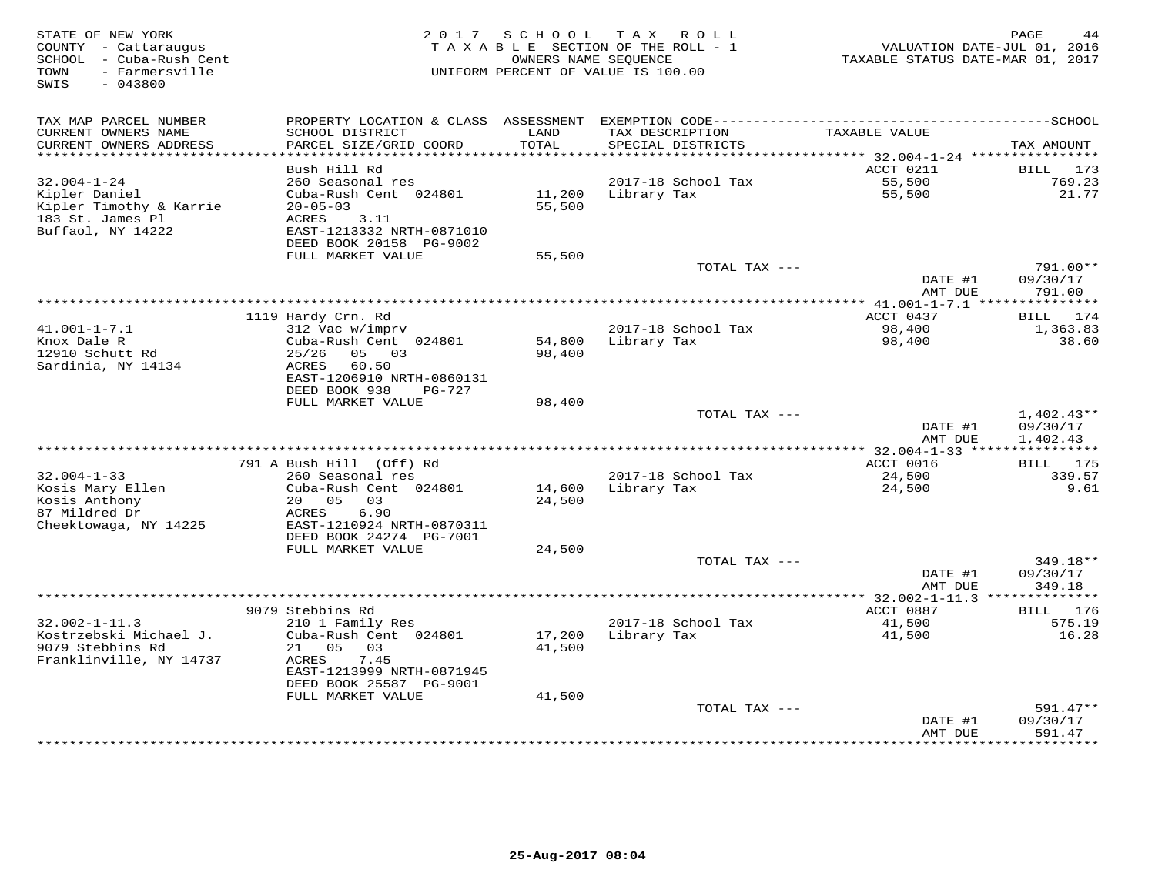| STATE OF NEW YORK<br>COUNTY - Cattaraugus<br>SCHOOL - Cuba-Rush Cent<br>- Farmersville<br>TOWN<br>$-043800$<br>SWIS | 2 0 1 7                                      | S C H O O L        | T A X<br>R O L L<br>TAXABLE SECTION OF THE ROLL - 1<br>OWNERS NAME SEQUENCE<br>UNIFORM PERCENT OF VALUE IS 100.00 | VALUATION DATE-JUL 01, 2016<br>TAXABLE STATUS DATE-MAR 01, 2017 | PAGE<br>44                   |
|---------------------------------------------------------------------------------------------------------------------|----------------------------------------------|--------------------|-------------------------------------------------------------------------------------------------------------------|-----------------------------------------------------------------|------------------------------|
| TAX MAP PARCEL NUMBER<br>CURRENT OWNERS NAME                                                                        | PROPERTY LOCATION & CLASS<br>SCHOOL DISTRICT | ASSESSMENT<br>LAND | TAX DESCRIPTION                                                                                                   | TAXABLE VALUE                                                   |                              |
| CURRENT OWNERS ADDRESS                                                                                              | PARCEL SIZE/GRID COORD                       | TOTAL              | SPECIAL DISTRICTS                                                                                                 |                                                                 | TAX AMOUNT                   |
| **********************                                                                                              |                                              |                    |                                                                                                                   |                                                                 |                              |
| $32.004 - 1 - 24$                                                                                                   | Bush Hill Rd<br>260 Seasonal res             |                    | 2017-18 School Tax                                                                                                | ACCT 0211<br>55,500                                             | <b>BILL</b><br>173<br>769.23 |
| Kipler Daniel                                                                                                       | Cuba-Rush Cent 024801                        | 11,200             | Library Tax                                                                                                       | 55,500                                                          | 21.77                        |
| Kipler Timothy & Karrie                                                                                             | $20 - 05 - 03$                               | 55,500             |                                                                                                                   |                                                                 |                              |
| 183 St. James Pl                                                                                                    | ACRES<br>3.11                                |                    |                                                                                                                   |                                                                 |                              |
| Buffaol, NY 14222                                                                                                   | EAST-1213332 NRTH-0871010                    |                    |                                                                                                                   |                                                                 |                              |
|                                                                                                                     | DEED BOOK 20158 PG-9002<br>FULL MARKET VALUE |                    |                                                                                                                   |                                                                 |                              |
|                                                                                                                     |                                              | 55,500             | TOTAL TAX ---                                                                                                     |                                                                 | $791.00**$                   |
|                                                                                                                     |                                              |                    |                                                                                                                   | DATE #1                                                         | 09/30/17                     |
|                                                                                                                     |                                              |                    |                                                                                                                   | AMT DUE                                                         | 791.00                       |
|                                                                                                                     |                                              |                    | ***********************                                                                                           | ** 41.001-1-7.1                                                 | * * * * * * * * * * *        |
| $41.001 - 1 - 7.1$                                                                                                  | 1119 Hardy Crn. Rd<br>312 Vac w/imprv        |                    | 2017-18 School Tax                                                                                                | ACCT 0437<br>98,400                                             | 174<br>BILL<br>1,363.83      |
| Knox Dale R                                                                                                         | Cuba-Rush Cent 024801                        | 54,800             | Library Tax                                                                                                       | 98,400                                                          | 38.60                        |
| 12910 Schutt Rd                                                                                                     | 05<br>03<br>25/26                            | 98,400             |                                                                                                                   |                                                                 |                              |
| Sardinia, NY 14134                                                                                                  | ACRES<br>60.50                               |                    |                                                                                                                   |                                                                 |                              |
|                                                                                                                     | EAST-1206910 NRTH-0860131                    |                    |                                                                                                                   |                                                                 |                              |
|                                                                                                                     | DEED BOOK 938<br>PG-727<br>FULL MARKET VALUE | 98,400             |                                                                                                                   |                                                                 |                              |
|                                                                                                                     |                                              |                    | TOTAL TAX ---                                                                                                     |                                                                 | $1,402.43**$                 |
|                                                                                                                     |                                              |                    |                                                                                                                   | DATE #1                                                         | 09/30/17                     |
|                                                                                                                     |                                              |                    |                                                                                                                   | AMT DUE                                                         | 1,402.43                     |
|                                                                                                                     | 791 A Bush Hill (Off) Rd                     |                    |                                                                                                                   | ACCT 0016                                                       | ***********                  |
| $32.004 - 1 - 33$                                                                                                   | 260 Seasonal res                             |                    | 2017-18 School Tax                                                                                                | 24,500                                                          | BILL 175<br>339.57           |
| Kosis Mary Ellen                                                                                                    | Cuba-Rush Cent 024801                        | 14,600             | Library Tax                                                                                                       | 24,500                                                          | 9.61                         |
| Kosis Anthony                                                                                                       | 20 05<br>03                                  | 24,500             |                                                                                                                   |                                                                 |                              |
| 87 Mildred Dr                                                                                                       | ACRES<br>6.90                                |                    |                                                                                                                   |                                                                 |                              |
| Cheektowaga, NY 14225                                                                                               | EAST-1210924 NRTH-0870311                    |                    |                                                                                                                   |                                                                 |                              |
|                                                                                                                     | DEED BOOK 24274 PG-7001<br>FULL MARKET VALUE | 24,500             |                                                                                                                   |                                                                 |                              |
|                                                                                                                     |                                              |                    | TOTAL TAX ---                                                                                                     |                                                                 | 349.18**                     |
|                                                                                                                     |                                              |                    |                                                                                                                   | DATE #1                                                         | 09/30/17                     |
|                                                                                                                     |                                              |                    |                                                                                                                   | AMT DUE                                                         | 349.18                       |
|                                                                                                                     |                                              |                    |                                                                                                                   | ******* 32.002-1-11.3 *****                                     | ****                         |
| $32.002 - 1 - 11.3$                                                                                                 | 9079 Stebbins Rd<br>210 1 Family Res         |                    | 2017-18 School Tax                                                                                                | ACCT 0887<br>41,500                                             | 176<br><b>BILL</b><br>575.19 |
| Kostrzebski Michael J.                                                                                              | Cuba-Rush Cent 024801                        | 17,200             | Library Tax                                                                                                       | 41,500                                                          | 16.28                        |
| 9079 Stebbins Rd                                                                                                    | 21<br>05<br>03                               | 41,500             |                                                                                                                   |                                                                 |                              |
| Franklinville, NY 14737                                                                                             | 7.45<br>ACRES                                |                    |                                                                                                                   |                                                                 |                              |
|                                                                                                                     | EAST-1213999 NRTH-0871945                    |                    |                                                                                                                   |                                                                 |                              |
|                                                                                                                     | DEED BOOK 25587 PG-9001<br>FULL MARKET VALUE | 41,500             |                                                                                                                   |                                                                 |                              |
|                                                                                                                     |                                              |                    | TOTAL TAX ---                                                                                                     |                                                                 | 591.47**                     |
|                                                                                                                     |                                              |                    |                                                                                                                   | DATE #1                                                         | 09/30/17                     |
|                                                                                                                     |                                              |                    |                                                                                                                   | AMT DUE<br>* * * * * * * * *                                    | 591.47<br>* * * * * * * *    |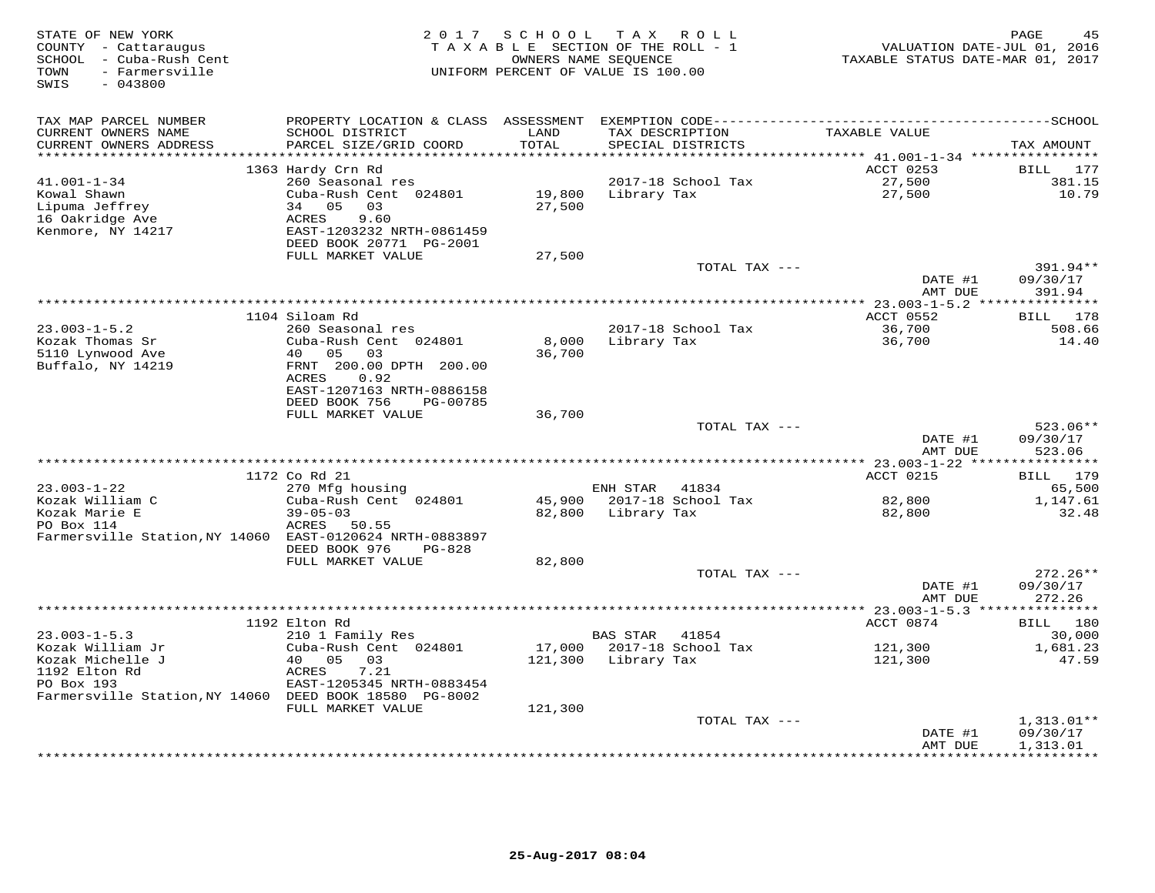| STATE OF NEW YORK<br>COUNTY - Cattaraugus<br>- Cuba-Rush Cent<br>SCHOOL<br>- Farmersville<br>TOWN<br>$-043800$<br>SWIS |                                           | 2017 SCHOOL                    | TAX ROLL<br>TAXABLE SECTION OF THE ROLL - 1<br>OWNERS NAME SEQUENCE<br>UNIFORM PERCENT OF VALUE IS 100.00 | VALUATION DATE-JUL 01, 2016<br>TAXABLE STATUS DATE-MAR 01, 2017 | 45<br>PAGE          |
|------------------------------------------------------------------------------------------------------------------------|-------------------------------------------|--------------------------------|-----------------------------------------------------------------------------------------------------------|-----------------------------------------------------------------|---------------------|
| TAX MAP PARCEL NUMBER                                                                                                  | PROPERTY LOCATION & CLASS                 | ASSESSMENT                     |                                                                                                           |                                                                 |                     |
| CURRENT OWNERS NAME<br>CURRENT OWNERS ADDRESS                                                                          | SCHOOL DISTRICT<br>PARCEL SIZE/GRID COORD | LAND<br>TOTAL<br>* * * * * * * | TAX DESCRIPTION<br>SPECIAL DISTRICTS                                                                      | TAXABLE VALUE                                                   | TAX AMOUNT          |
|                                                                                                                        | 1363 Hardy Crn Rd                         |                                |                                                                                                           | *********** 41.001-1-34 *****************<br>ACCT 0253          | BILL<br>177         |
| $41.001 - 1 - 34$                                                                                                      | 260 Seasonal res                          |                                | 2017-18 School Tax                                                                                        | 27,500                                                          | 381.15              |
| Kowal Shawn                                                                                                            | Cuba-Rush Cent 024801                     | 19,800                         | Library Tax                                                                                               | 27,500                                                          | 10.79               |
| Lipuma Jeffrey                                                                                                         | 34<br>05<br>03                            | 27,500                         |                                                                                                           |                                                                 |                     |
| 16 Oakridge Ave                                                                                                        | 9.60<br>ACRES                             |                                |                                                                                                           |                                                                 |                     |
| Kenmore, NY 14217                                                                                                      | EAST-1203232 NRTH-0861459                 |                                |                                                                                                           |                                                                 |                     |
|                                                                                                                        | DEED BOOK 20771 PG-2001                   |                                |                                                                                                           |                                                                 |                     |
|                                                                                                                        | FULL MARKET VALUE                         | 27,500                         |                                                                                                           |                                                                 |                     |
|                                                                                                                        |                                           |                                | TOTAL TAX ---                                                                                             |                                                                 | 391.94**            |
|                                                                                                                        |                                           |                                |                                                                                                           | DATE #1<br>AMT DUE                                              | 09/30/17<br>391.94  |
|                                                                                                                        |                                           |                                |                                                                                                           | *********** 23.003-1-5.2 ****************                       |                     |
|                                                                                                                        | 1104 Siloam Rd                            |                                |                                                                                                           | ACCT 0552                                                       | 178<br>BILL         |
| $23.003 - 1 - 5.2$                                                                                                     | 260 Seasonal res                          |                                | 2017-18 School Tax                                                                                        | 36,700                                                          | 508.66              |
| Kozak Thomas Sr                                                                                                        | Cuba-Rush Cent 024801                     | 8,000                          | Library Tax                                                                                               | 36,700                                                          | 14.40               |
| 5110 Lynwood Ave                                                                                                       | 05<br>03<br>40                            | 36,700                         |                                                                                                           |                                                                 |                     |
| Buffalo, NY 14219                                                                                                      | FRNT 200.00 DPTH 200.00                   |                                |                                                                                                           |                                                                 |                     |
|                                                                                                                        | ACRES<br>0.92                             |                                |                                                                                                           |                                                                 |                     |
|                                                                                                                        | EAST-1207163 NRTH-0886158                 |                                |                                                                                                           |                                                                 |                     |
|                                                                                                                        | DEED BOOK 756<br>PG-00785                 |                                |                                                                                                           |                                                                 |                     |
|                                                                                                                        | FULL MARKET VALUE                         | 36,700                         | TOTAL TAX ---                                                                                             |                                                                 | $523.06**$          |
|                                                                                                                        |                                           |                                |                                                                                                           | DATE #1                                                         | 09/30/17            |
|                                                                                                                        |                                           |                                |                                                                                                           | AMT DUE                                                         | 523.06              |
|                                                                                                                        |                                           |                                |                                                                                                           |                                                                 |                     |
|                                                                                                                        | 1172 Co Rd 21                             |                                |                                                                                                           | ACCT 0215                                                       | 179<br>BILL         |
| $23.003 - 1 - 22$                                                                                                      | 270 Mfg housing                           |                                | ENH STAR<br>41834                                                                                         |                                                                 | 65,500              |
| Kozak William C                                                                                                        | Cuba-Rush Cent 024801                     | 45,900                         | 2017-18 School Tax                                                                                        | 82,800                                                          | 1,147.61            |
| Kozak Marie E                                                                                                          | $39 - 05 - 03$                            | 82,800                         | Library Tax                                                                                               | 82,800                                                          | 32.48               |
| PO Box 114                                                                                                             | ACRES<br>50.55                            |                                |                                                                                                           |                                                                 |                     |
| Farmersville Station, NY 14060 EAST-0120624 NRTH-0883897                                                               | DEED BOOK 976<br><b>PG-828</b>            |                                |                                                                                                           |                                                                 |                     |
|                                                                                                                        | FULL MARKET VALUE                         | 82,800                         |                                                                                                           |                                                                 |                     |
|                                                                                                                        |                                           |                                | TOTAL TAX ---                                                                                             |                                                                 | $272.26**$          |
|                                                                                                                        |                                           |                                |                                                                                                           | DATE #1                                                         | 09/30/17            |
|                                                                                                                        |                                           |                                |                                                                                                           | AMT DUE                                                         | 272.26              |
|                                                                                                                        |                                           |                                |                                                                                                           | *** 23.003-1-5.3 **                                             | * * * * * * * * * * |
|                                                                                                                        | 1192 Elton Rd                             |                                |                                                                                                           | ACCT 0874                                                       | 180<br>BILL         |
| $23.003 - 1 - 5.3$                                                                                                     | 210 1 Family Res                          |                                | <b>BAS STAR</b><br>41854                                                                                  |                                                                 | 30,000              |
| Kozak William Jr                                                                                                       | Cuba-Rush Cent 024801                     | 17,000                         | 2017-18 School Tax                                                                                        | 121,300                                                         | 1,681.23            |
| Kozak Michelle J                                                                                                       | 40<br>05<br>03<br>7.21                    | 121,300                        | Library Tax                                                                                               | 121,300                                                         | 47.59               |
| 1192 Elton Rd<br>PO Box 193                                                                                            | ACRES<br>EAST-1205345 NRTH-0883454        |                                |                                                                                                           |                                                                 |                     |
| Farmersville Station, NY 14060 DEED BOOK 18580 PG-8002                                                                 |                                           |                                |                                                                                                           |                                                                 |                     |
|                                                                                                                        | FULL MARKET VALUE                         | 121,300                        |                                                                                                           |                                                                 |                     |
|                                                                                                                        |                                           |                                | TOTAL TAX ---                                                                                             |                                                                 | $1,313.01**$        |
|                                                                                                                        |                                           |                                |                                                                                                           | DATE #1                                                         | 09/30/17            |
|                                                                                                                        |                                           |                                |                                                                                                           | AMT DUE                                                         | 1,313.01            |
|                                                                                                                        |                                           |                                | ****************************                                                                              |                                                                 | * * * * * * * * * * |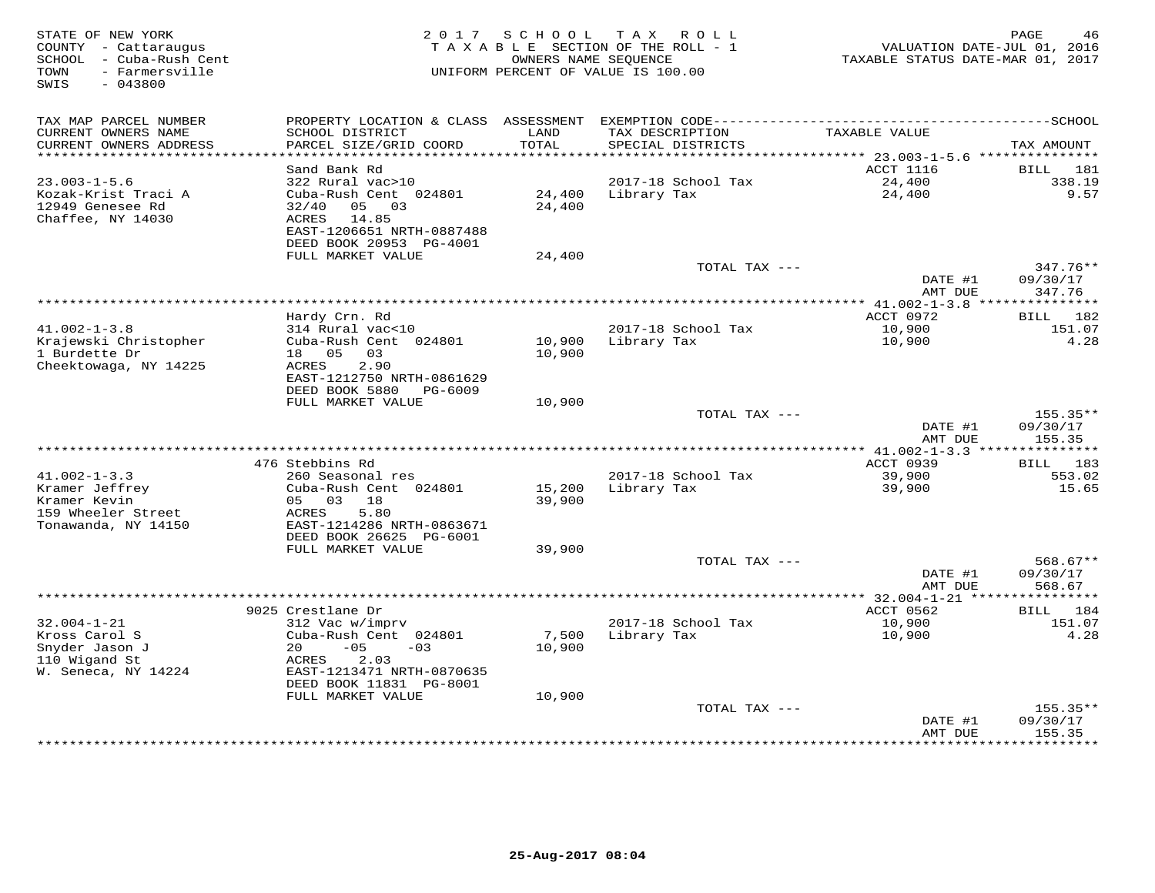| STATE OF NEW YORK<br>COUNTY - Cattaraugus<br>SCHOOL - Cuba-Rush Cent<br>- Farmersville<br>TOWN<br>$-043800$<br>SWIS | 2017                                                                                   | SCHOOL                      | TAX ROLL<br>T A X A B L E SECTION OF THE ROLL - 1<br>OWNERS NAME SEQUENCE<br>UNIFORM PERCENT OF VALUE IS 100.00 | VALUATION DATE-JUL 01, 2016<br>TAXABLE STATUS DATE-MAR 01, 2017 | PAGE<br>46            |
|---------------------------------------------------------------------------------------------------------------------|----------------------------------------------------------------------------------------|-----------------------------|-----------------------------------------------------------------------------------------------------------------|-----------------------------------------------------------------|-----------------------|
|                                                                                                                     |                                                                                        |                             |                                                                                                                 |                                                                 |                       |
| TAX MAP PARCEL NUMBER<br>CURRENT OWNERS NAME<br>CURRENT OWNERS ADDRESS                                              | PROPERTY LOCATION & CLASS<br>SCHOOL DISTRICT<br>PARCEL SIZE/GRID COORD                 | ASSESSMENT<br>LAND<br>TOTAL | TAX DESCRIPTION<br>SPECIAL DISTRICTS                                                                            | TAXABLE VALUE                                                   | TAX AMOUNT            |
| ***********************                                                                                             | *************************                                                              |                             |                                                                                                                 |                                                                 |                       |
|                                                                                                                     | Sand Bank Rd                                                                           |                             |                                                                                                                 | ACCT 1116                                                       | <b>BILL</b><br>181    |
| $23.003 - 1 - 5.6$                                                                                                  | 322 Rural vac>10                                                                       |                             | 2017-18 School Tax                                                                                              | 24,400                                                          | 338.19                |
| Kozak-Krist Traci A<br>12949 Genesee Rd<br>Chaffee, NY 14030                                                        | Cuba-Rush Cent 024801<br>32/40<br>05 03<br>ACRES<br>14.85<br>EAST-1206651 NRTH-0887488 | 24,400<br>24,400            | Library Tax                                                                                                     | 24,400                                                          | 9.57                  |
|                                                                                                                     | DEED BOOK 20953 PG-4001                                                                |                             |                                                                                                                 |                                                                 |                       |
|                                                                                                                     | FULL MARKET VALUE                                                                      | 24,400                      | TOTAL TAX ---                                                                                                   |                                                                 | $347.76**$            |
|                                                                                                                     |                                                                                        |                             |                                                                                                                 | DATE #1<br>AMT DUE                                              | 09/30/17<br>347.76    |
|                                                                                                                     |                                                                                        |                             | ***********************                                                                                         | ** $41.002 - 1 - 3.8$                                           | * * * * * * * * * * * |
|                                                                                                                     | Hardy Crn. Rd                                                                          |                             |                                                                                                                 | ACCT 0972                                                       | 182<br>BILL           |
| $41.002 - 1 - 3.8$                                                                                                  | 314 Rural vac<10                                                                       |                             | 2017-18 School Tax                                                                                              | 10,900                                                          | 151.07                |
| Krajewski Christopher                                                                                               | Cuba-Rush Cent 024801                                                                  | 10,900                      | Library Tax                                                                                                     | 10,900                                                          | 4.28                  |
| 1 Burdette Dr<br>Cheektowaga, NY 14225                                                                              | 18 05<br>03<br>2.90<br>ACRES                                                           | 10,900                      |                                                                                                                 |                                                                 |                       |
|                                                                                                                     | EAST-1212750 NRTH-0861629                                                              |                             |                                                                                                                 |                                                                 |                       |
|                                                                                                                     | DEED BOOK 5880<br>PG-6009                                                              |                             |                                                                                                                 |                                                                 |                       |
|                                                                                                                     | FULL MARKET VALUE                                                                      | 10,900                      | TOTAL TAX ---                                                                                                   |                                                                 | 155.35**              |
|                                                                                                                     |                                                                                        |                             |                                                                                                                 | DATE #1                                                         | 09/30/17              |
|                                                                                                                     |                                                                                        |                             |                                                                                                                 | AMT DUE                                                         | 155.35                |
|                                                                                                                     | 476 Stebbins Rd                                                                        |                             |                                                                                                                 | ACCT 0939                                                       | 183                   |
| $41.002 - 1 - 3.3$                                                                                                  | 260 Seasonal res                                                                       |                             | 2017-18 School Tax                                                                                              | 39,900                                                          | BILL<br>553.02        |
| Kramer Jeffrey                                                                                                      | Cuba-Rush Cent 024801                                                                  | 15,200                      | Library Tax                                                                                                     | 39,900                                                          | 15.65                 |
| Kramer Kevin                                                                                                        | 05 03<br>18                                                                            | 39,900                      |                                                                                                                 |                                                                 |                       |
| 159 Wheeler Street                                                                                                  | 5.80<br><b>ACRES</b>                                                                   |                             |                                                                                                                 |                                                                 |                       |
| Tonawanda, NY 14150                                                                                                 | EAST-1214286 NRTH-0863671                                                              |                             |                                                                                                                 |                                                                 |                       |
|                                                                                                                     | DEED BOOK 26625 PG-6001<br>FULL MARKET VALUE                                           | 39,900                      |                                                                                                                 |                                                                 |                       |
|                                                                                                                     |                                                                                        |                             | TOTAL TAX ---                                                                                                   |                                                                 | $568.67**$            |
|                                                                                                                     |                                                                                        |                             |                                                                                                                 | DATE #1<br>AMT DUE                                              | 09/30/17<br>568.67    |
|                                                                                                                     |                                                                                        |                             |                                                                                                                 | *********** 32.004-1-21 ****                                    |                       |
|                                                                                                                     | 9025 Crestlane Dr                                                                      |                             |                                                                                                                 | ACCT 0562                                                       | 184<br><b>BILL</b>    |
| $32.004 - 1 - 21$                                                                                                   | 312 Vac w/imprv                                                                        |                             | 2017-18 School Tax                                                                                              | 10,900                                                          | 151.07                |
| Kross Carol S<br>Snyder Jason J                                                                                     | Cuba-Rush Cent 024801<br>$-05$<br>20<br>$-03$                                          | 7,500<br>10,900             | Library Tax                                                                                                     | 10,900                                                          | 4.28                  |
| 110 Wigand St                                                                                                       | 2.03<br>ACRES                                                                          |                             |                                                                                                                 |                                                                 |                       |
| W. Seneca, NY 14224                                                                                                 | EAST-1213471 NRTH-0870635                                                              |                             |                                                                                                                 |                                                                 |                       |
|                                                                                                                     | DEED BOOK 11831 PG-8001                                                                |                             |                                                                                                                 |                                                                 |                       |
|                                                                                                                     | FULL MARKET VALUE                                                                      | 10,900                      |                                                                                                                 |                                                                 |                       |
|                                                                                                                     |                                                                                        |                             | TOTAL TAX ---                                                                                                   |                                                                 | $155.35**$            |
|                                                                                                                     |                                                                                        |                             |                                                                                                                 | DATE #1<br>AMT DUE                                              | 09/30/17<br>155.35    |
|                                                                                                                     |                                                                                        |                             |                                                                                                                 | * * * * * * * * *                                               | * * * * * * * *       |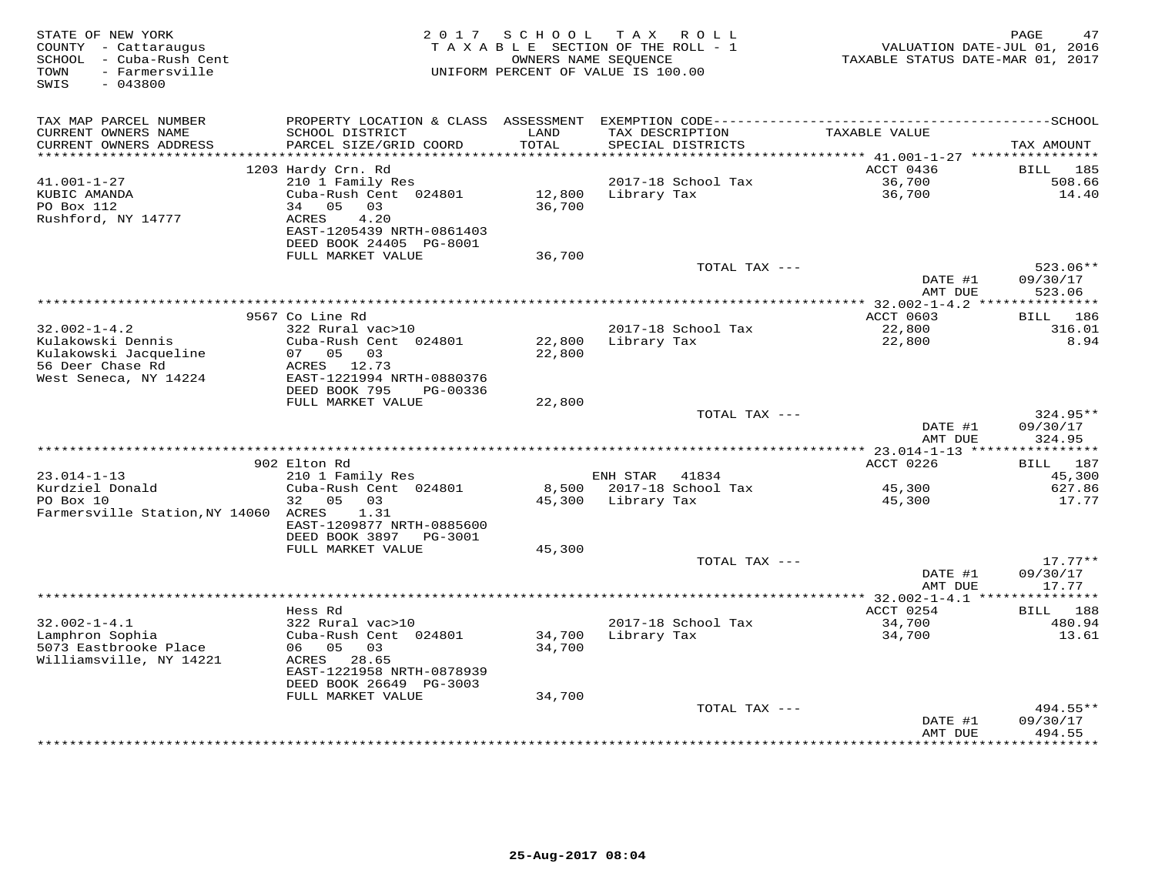| STATE OF NEW YORK<br>COUNTY - Cattaraugus<br>SCHOOL - Cuba-Rush Cent<br>- Farmersville<br>TOWN<br>SWIS<br>$-043800$ | 2017                                         | S C H O O L     | TAX ROLL<br>TAXABLE SECTION OF THE ROLL - 1<br>OWNERS NAME SEQUENCE<br>UNIFORM PERCENT OF VALUE IS 100.00 | VALUATION DATE-JUL 01, 2016<br>TAXABLE STATUS DATE-MAR 01, 2017 | PAGE<br>47           |
|---------------------------------------------------------------------------------------------------------------------|----------------------------------------------|-----------------|-----------------------------------------------------------------------------------------------------------|-----------------------------------------------------------------|----------------------|
| TAX MAP PARCEL NUMBER                                                                                               | PROPERTY LOCATION & CLASS ASSESSMENT         |                 |                                                                                                           |                                                                 |                      |
| CURRENT OWNERS NAME<br>CURRENT OWNERS ADDRESS                                                                       | SCHOOL DISTRICT<br>PARCEL SIZE/GRID COORD    | LAND<br>TOTAL   | TAX DESCRIPTION<br>SPECIAL DISTRICTS                                                                      | TAXABLE VALUE                                                   | TAX AMOUNT           |
| ********************                                                                                                |                                              | *********       |                                                                                                           | ********** $41.001 - 1 - 27$ **********                         |                      |
|                                                                                                                     | 1203 Hardy Crn. Rd                           |                 |                                                                                                           | ACCT 0436                                                       | <b>BILL</b><br>185   |
| $41.001 - 1 - 27$                                                                                                   | 210 1 Family Res                             |                 | 2017-18 School Tax                                                                                        | 36,700                                                          | 508.66               |
| KUBIC AMANDA                                                                                                        | Cuba-Rush Cent 024801                        | 12,800          | Library Tax                                                                                               | 36,700                                                          | 14.40                |
| PO Box 112<br>Rushford, NY 14777                                                                                    | 05<br>34<br>03<br>ACRES<br>4.20              | 36,700          |                                                                                                           |                                                                 |                      |
|                                                                                                                     | EAST-1205439 NRTH-0861403                    |                 |                                                                                                           |                                                                 |                      |
|                                                                                                                     | DEED BOOK 24405 PG-8001                      |                 |                                                                                                           |                                                                 |                      |
|                                                                                                                     | FULL MARKET VALUE                            | 36,700          |                                                                                                           |                                                                 |                      |
|                                                                                                                     |                                              |                 | TOTAL TAX ---                                                                                             |                                                                 | $523.06**$           |
|                                                                                                                     |                                              |                 |                                                                                                           | DATE #1<br>AMT DUE                                              | 09/30/17<br>523.06   |
|                                                                                                                     |                                              |                 | **************                                                                                            | $* 32.002 - 1 - 4.2$ ***                                        | ***********          |
|                                                                                                                     | 9567 Co Line Rd                              |                 |                                                                                                           | ACCT 0603                                                       | BILL 186             |
| $32.002 - 1 - 4.2$                                                                                                  | 322 Rural vac>10                             |                 | 2017-18 School Tax                                                                                        | 22,800                                                          | 316.01               |
| Kulakowski Dennis                                                                                                   | Cuba-Rush Cent 024801<br>07 05 03            | 22,800          | Library Tax                                                                                               | 22,800                                                          | 8.94                 |
| Kulakowski Jacqueline<br>56 Deer Chase Rd                                                                           | ACRES 12.73                                  | 22,800          |                                                                                                           |                                                                 |                      |
| West Seneca, NY 14224                                                                                               | EAST-1221994 NRTH-0880376                    |                 |                                                                                                           |                                                                 |                      |
|                                                                                                                     | DEED BOOK 795<br>PG-00336                    |                 |                                                                                                           |                                                                 |                      |
|                                                                                                                     | FULL MARKET VALUE                            | 22,800          |                                                                                                           |                                                                 |                      |
|                                                                                                                     |                                              |                 | TOTAL TAX ---                                                                                             | DATE #1                                                         | 324.95**<br>09/30/17 |
|                                                                                                                     |                                              |                 |                                                                                                           | AMT DUE                                                         | 324.95               |
|                                                                                                                     |                                              |                 |                                                                                                           |                                                                 |                      |
|                                                                                                                     | 902 Elton Rd                                 |                 |                                                                                                           | ACCT 0226                                                       | 187<br>BILL          |
| $23.014 - 1 - 13$<br>Kurdziel Donald                                                                                | 210 1 Family Res<br>Cuba-Rush Cent 024801    |                 | ENH STAR<br>41834<br>2017-18 School Tax                                                                   |                                                                 | 45,300<br>627.86     |
| PO Box 10                                                                                                           | 05<br>03<br>32                               | 8,500<br>45,300 | Library Tax                                                                                               | 45,300<br>45,300                                                | 17.77                |
| Farmersville Station, NY 14060                                                                                      | ACRES<br>1.31                                |                 |                                                                                                           |                                                                 |                      |
|                                                                                                                     | EAST-1209877 NRTH-0885600                    |                 |                                                                                                           |                                                                 |                      |
|                                                                                                                     | DEED BOOK 3897<br>PG-3001                    |                 |                                                                                                           |                                                                 |                      |
|                                                                                                                     | FULL MARKET VALUE                            | 45,300          | TOTAL TAX ---                                                                                             |                                                                 | $17.77**$            |
|                                                                                                                     |                                              |                 |                                                                                                           | DATE #1                                                         | 09/30/17             |
|                                                                                                                     |                                              |                 |                                                                                                           | AMT DUE                                                         | 17.77                |
|                                                                                                                     | *******************                          |                 |                                                                                                           | ********* 32.002-1-4.1 ***                                      | * * * * * * * *      |
|                                                                                                                     | Hess Rd                                      |                 |                                                                                                           | ACCT 0254                                                       | 188<br>BILL          |
| $32.002 - 1 - 4.1$<br>Lamphron Sophia                                                                               | 322 Rural vac>10<br>Cuba-Rush Cent 024801    | 34,700          | 2017-18 School Tax<br>Library Tax                                                                         | 34,700<br>34,700                                                | 480.94<br>13.61      |
| 5073 Eastbrooke Place                                                                                               | 05<br>03<br>06                               | 34,700          |                                                                                                           |                                                                 |                      |
| Williamsville, NY 14221                                                                                             | 28.65<br>ACRES                               |                 |                                                                                                           |                                                                 |                      |
|                                                                                                                     | EAST-1221958 NRTH-0878939                    |                 |                                                                                                           |                                                                 |                      |
|                                                                                                                     | DEED BOOK 26649 PG-3003<br>FULL MARKET VALUE | 34,700          |                                                                                                           |                                                                 |                      |
|                                                                                                                     |                                              |                 | TOTAL TAX ---                                                                                             |                                                                 | 494.55**             |
|                                                                                                                     |                                              |                 |                                                                                                           | DATE #1                                                         | 09/30/17             |
|                                                                                                                     |                                              |                 |                                                                                                           | AMT DUE                                                         | 494.55               |
|                                                                                                                     |                                              |                 | ++++++++++++++++++++++++                                                                                  |                                                                 | .                    |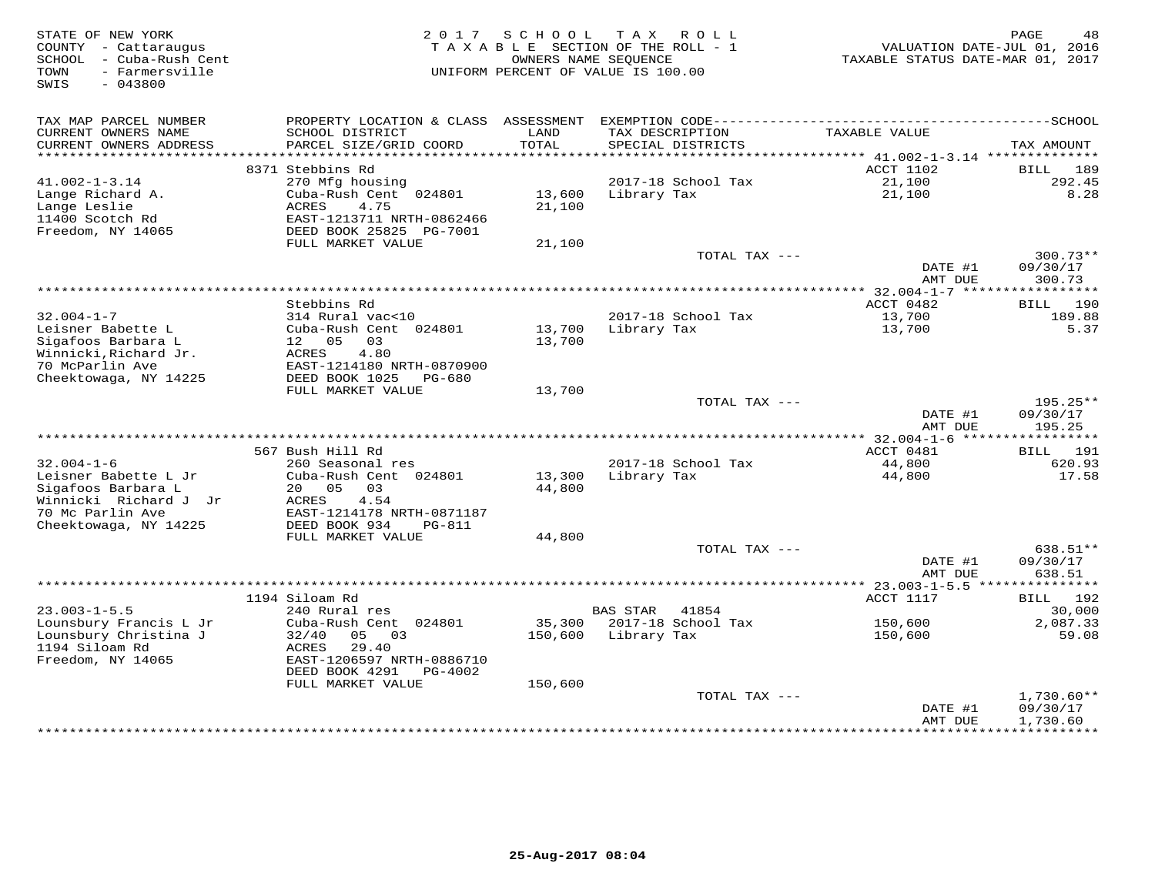| STATE OF NEW YORK<br>COUNTY - Cattaraugus<br>- Cuba-Rush Cent<br>SCHOOL<br>- Farmersville<br>TOWN<br>SWIS<br>$-043800$ | 2 0 1 7                                                                                                                | SCHOOL            | TAX ROLL<br>TAXABLE SECTION OF THE ROLL - 1<br>OWNERS NAME SEOUENCE<br>UNIFORM PERCENT OF VALUE IS 100.00 | VALUATION DATE-JUL 01, 2016<br>TAXABLE STATUS DATE-MAR 01, 2017 | PAGE<br>48                           |
|------------------------------------------------------------------------------------------------------------------------|------------------------------------------------------------------------------------------------------------------------|-------------------|-----------------------------------------------------------------------------------------------------------|-----------------------------------------------------------------|--------------------------------------|
| TAX MAP PARCEL NUMBER<br>CURRENT OWNERS NAME<br>CURRENT OWNERS ADDRESS                                                 | SCHOOL DISTRICT<br>PARCEL SIZE/GRID COORD                                                                              | LAND<br>TOTAL     | TAX DESCRIPTION<br>SPECIAL DISTRICTS                                                                      | TAXABLE VALUE                                                   | TAX AMOUNT                           |
|                                                                                                                        | 8371 Stebbins Rd                                                                                                       |                   |                                                                                                           | ACCT 1102                                                       | 189<br>BILL                          |
| $41.002 - 1 - 3.14$                                                                                                    | 270 Mfg housing                                                                                                        |                   | 2017-18 School Tax                                                                                        | 21,100                                                          | 292.45                               |
| Lange Richard A.<br>Lange Leslie<br>11400 Scotch Rd<br>Freedom, NY 14065                                               | Cuba-Rush Cent 024801<br><b>ACRES</b><br>4.75<br>EAST-1213711 NRTH-0862466<br>DEED BOOK 25825 PG-7001                  | 13,600<br>21,100  | Library Tax                                                                                               | 21,100                                                          | 8.28                                 |
|                                                                                                                        | FULL MARKET VALUE                                                                                                      | 21,100            |                                                                                                           |                                                                 |                                      |
|                                                                                                                        |                                                                                                                        |                   | TOTAL TAX ---                                                                                             | DATE #1<br>AMT DUE                                              | $300.73**$<br>09/30/17<br>300.73     |
|                                                                                                                        |                                                                                                                        |                   |                                                                                                           |                                                                 |                                      |
|                                                                                                                        | Stebbins Rd                                                                                                            |                   |                                                                                                           | ACCT 0482                                                       | 190<br>BILL                          |
| $32.004 - 1 - 7$<br>Leisner Babette L<br>Sigafoos Barbara L<br>Winnicki, Richard Jr.                                   | 314 Rural vac<10<br>Cuba-Rush Cent 024801<br>05<br>12<br>03<br>ACRES<br>4.80                                           | 13,700<br>13,700  | 2017-18 School Tax<br>Library Tax                                                                         | 13,700<br>13,700                                                | 189.88<br>5.37                       |
| 70 McParlin Ave                                                                                                        | EAST-1214180 NRTH-0870900                                                                                              |                   |                                                                                                           |                                                                 |                                      |
| Cheektowaga, NY 14225                                                                                                  | DEED BOOK 1025<br>PG-680<br>FULL MARKET VALUE                                                                          | 13,700            |                                                                                                           |                                                                 |                                      |
|                                                                                                                        |                                                                                                                        |                   | TOTAL TAX ---                                                                                             |                                                                 | 195.25**                             |
|                                                                                                                        |                                                                                                                        |                   |                                                                                                           | DATE #1<br>AMT DUE                                              | 09/30/17<br>195.25                   |
|                                                                                                                        |                                                                                                                        |                   |                                                                                                           |                                                                 | * * * * * * * *                      |
| $32.004 - 1 - 6$                                                                                                       | 567 Bush Hill Rd<br>260 Seasonal res                                                                                   |                   | 2017-18 School Tax                                                                                        | ACCT 0481<br>44,800                                             | 191<br>BILL<br>620.93                |
| Leisner Babette L Jr<br>Sigafoos Barbara L<br>Winnicki Richard J Jr                                                    | Cuba-Rush Cent 024801<br>20<br>0.5<br>03<br>ACRES<br>4.54                                                              | 13,300<br>44,800  | Library Tax                                                                                               | 44,800                                                          | 17.58                                |
| 70 Mc Parlin Ave<br>Cheektowaga, NY 14225                                                                              | EAST-1214178 NRTH-0871187<br>DEED BOOK 934<br><b>PG-811</b>                                                            |                   |                                                                                                           |                                                                 |                                      |
|                                                                                                                        | FULL MARKET VALUE                                                                                                      | 44,800            |                                                                                                           |                                                                 |                                      |
|                                                                                                                        |                                                                                                                        |                   | TOTAL TAX ---                                                                                             |                                                                 | 638.51**                             |
|                                                                                                                        |                                                                                                                        |                   |                                                                                                           | DATE #1<br>AMT DUE                                              | 09/30/17<br>638.51<br>*********      |
|                                                                                                                        | 1194 Siloam Rd                                                                                                         |                   |                                                                                                           | ACCT 1117                                                       | 192<br>BILL                          |
| $23.003 - 1 - 5.5$                                                                                                     | 240 Rural res                                                                                                          |                   | <b>BAS STAR</b><br>41854                                                                                  |                                                                 | 30,000                               |
| Lounsbury Francis L Jr<br>Lounsbury Christina J<br>1194 Siloam Rd<br>Freedom, NY 14065                                 | Cuba-Rush Cent 024801<br>32/40<br>03<br>05<br>29.40<br>ACRES<br>EAST-1206597 NRTH-0886710<br>DEED BOOK 4291<br>PG-4002 | 35,300<br>150,600 | 2017-18 School Tax<br>Library Tax                                                                         | 150,600<br>150,600                                              | 2,087.33<br>59.08                    |
|                                                                                                                        | FULL MARKET VALUE                                                                                                      | 150,600           |                                                                                                           |                                                                 |                                      |
|                                                                                                                        |                                                                                                                        |                   | TOTAL TAX ---                                                                                             | DATE #1<br>AMT DUE                                              | $1,730.60**$<br>09/30/17<br>1,730.60 |
|                                                                                                                        |                                                                                                                        |                   |                                                                                                           |                                                                 |                                      |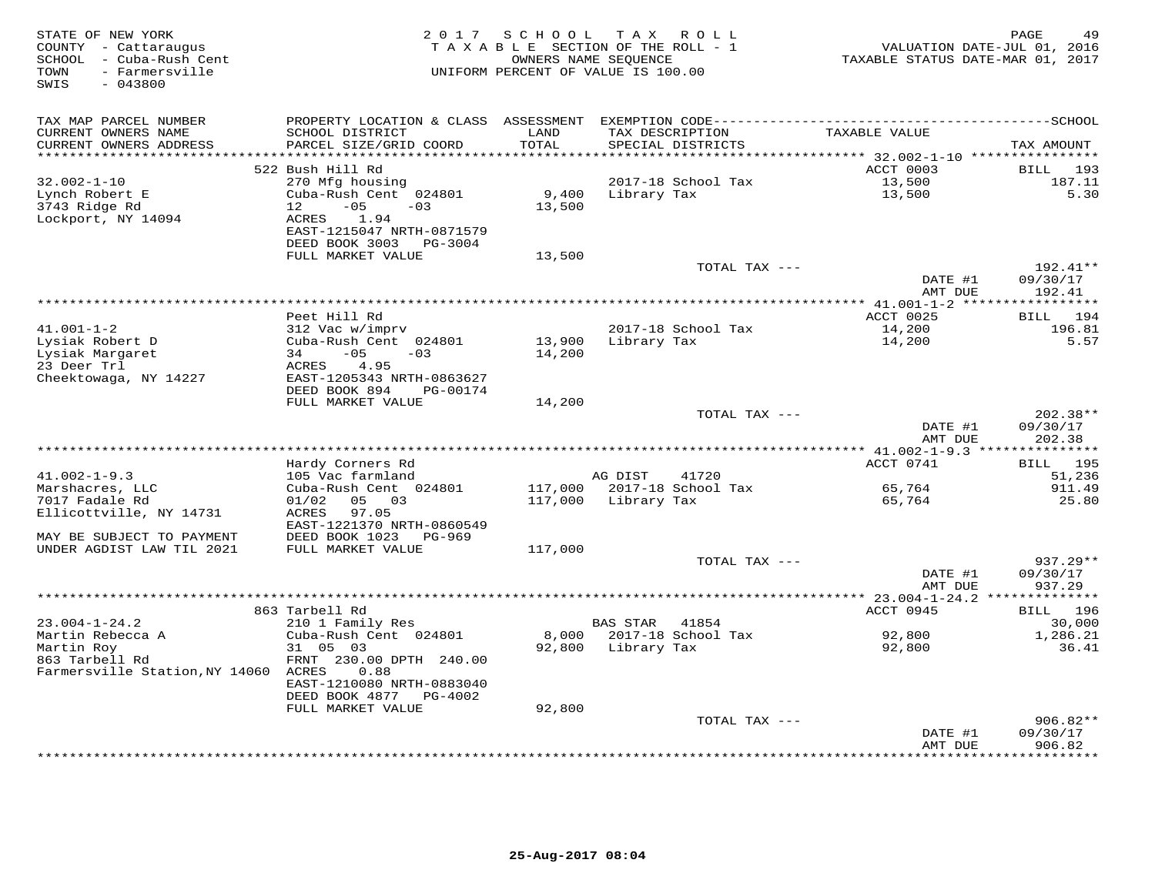| STATE OF NEW YORK<br>COUNTY - Cattaraugus<br>SCHOOL - Cuba-Rush Cent<br>- Farmersville<br>TOWN<br>SWIS<br>$-043800$ |                                               |                 | 2017 SCHOOL TAX ROLL<br>TAXABLE SECTION OF THE ROLL - 1<br>OWNERS NAME SEQUENCE<br>UNIFORM PERCENT OF VALUE IS 100.00 | VALUATION DATE-JUL 01, 2016<br>TAXABLE STATUS DATE-MAR 01, 2017 | PAGE<br>49            |
|---------------------------------------------------------------------------------------------------------------------|-----------------------------------------------|-----------------|-----------------------------------------------------------------------------------------------------------------------|-----------------------------------------------------------------|-----------------------|
| TAX MAP PARCEL NUMBER                                                                                               |                                               |                 |                                                                                                                       |                                                                 |                       |
| CURRENT OWNERS NAME                                                                                                 | SCHOOL DISTRICT                               | LAND            | TAX DESCRIPTION                                                                                                       | TAXABLE VALUE                                                   |                       |
| CURRENT OWNERS ADDRESS                                                                                              | PARCEL SIZE/GRID COORD                        | TOTAL           | SPECIAL DISTRICTS                                                                                                     |                                                                 | TAX AMOUNT            |
| ******************                                                                                                  |                                               | *************   |                                                                                                                       | ******** 32.002-1-10 ****************                           |                       |
|                                                                                                                     | 522 Bush Hill Rd                              |                 |                                                                                                                       | ACCT 0003                                                       | 193<br>BILL           |
| $32.002 - 1 - 10$                                                                                                   | 270 Mfg housing                               |                 | 2017-18 School Tax                                                                                                    | 13,500<br>13,500<br>13,500                                      | 187.11                |
| Lynch Robert E<br>3743 Ridge Rd                                                                                     | Cuba-Rush Cent 024801<br>$-05$<br>12<br>$-03$ | 9,400<br>13,500 | Library Tax                                                                                                           |                                                                 | 5.30                  |
| Lockport, NY 14094                                                                                                  | 1.94<br>ACRES                                 |                 |                                                                                                                       |                                                                 |                       |
|                                                                                                                     | EAST-1215047 NRTH-0871579                     |                 |                                                                                                                       |                                                                 |                       |
|                                                                                                                     | DEED BOOK 3003 PG-3004                        |                 |                                                                                                                       |                                                                 |                       |
|                                                                                                                     | FULL MARKET VALUE                             | 13,500          |                                                                                                                       |                                                                 |                       |
|                                                                                                                     |                                               |                 | TOTAL TAX ---                                                                                                         |                                                                 | 192.41**              |
|                                                                                                                     |                                               |                 |                                                                                                                       | DATE #1                                                         | 09/30/17              |
|                                                                                                                     |                                               |                 |                                                                                                                       | AMT DUE                                                         | 192.41                |
|                                                                                                                     |                                               |                 |                                                                                                                       |                                                                 | * * * * * * * * * * * |
| $41.001 - 1 - 2$                                                                                                    | Peet Hill Rd<br>312 Vac w/imprv               |                 | 2017-18 School Tax                                                                                                    | ACCT 0025<br>14,200                                             | BILL 194<br>196.81    |
| Lysiak Robert D                                                                                                     | Cuba-Rush Cent 024801                         | 13,900          | Library Tax                                                                                                           | 14,200                                                          | 5.57                  |
| Lysiak Margaret                                                                                                     | $-05$<br>34<br>$-03$                          | 14,200          |                                                                                                                       |                                                                 |                       |
| 23 Deer Trl                                                                                                         | ACRES 4.95                                    |                 |                                                                                                                       |                                                                 |                       |
| Cheektowaga, NY 14227                                                                                               | EAST-1205343 NRTH-0863627                     |                 |                                                                                                                       |                                                                 |                       |
|                                                                                                                     | DEED BOOK 894<br>PG-00174                     |                 |                                                                                                                       |                                                                 |                       |
|                                                                                                                     | FULL MARKET VALUE                             | 14,200          |                                                                                                                       |                                                                 |                       |
|                                                                                                                     |                                               |                 | TOTAL TAX ---                                                                                                         |                                                                 | 202.38**              |
|                                                                                                                     |                                               |                 |                                                                                                                       | DATE #1                                                         | 09/30/17              |
| ****************************                                                                                        |                                               |                 |                                                                                                                       | AMT DUE                                                         | 202.38                |
|                                                                                                                     | Hardy Corners Rd                              |                 |                                                                                                                       | ACCT 0741                                                       | BILL 195              |
| $41.002 - 1 - 9.3$                                                                                                  | 105 Vac farmland                              |                 | AG DIST<br>41720                                                                                                      |                                                                 | 51,236                |
| Marshacres, LLC                                                                                                     | Cuba-Rush Cent 024801                         | 117,000         | 2017-18 School Tax                                                                                                    | 65,764                                                          | 911.49                |
| 7017 Fadale Rd                                                                                                      | 05 03<br>01/02                                | 117,000         | Library Tax                                                                                                           | 65,764                                                          | 25.80                 |
| Ellicottville, NY 14731                                                                                             | 97.05<br>ACRES                                |                 |                                                                                                                       |                                                                 |                       |
|                                                                                                                     | EAST-1221370 NRTH-0860549                     |                 |                                                                                                                       |                                                                 |                       |
| MAY BE SUBJECT TO PAYMENT                                                                                           | DEED BOOK 1023 PG-969                         |                 |                                                                                                                       |                                                                 |                       |
| UNDER AGDIST LAW TIL 2021                                                                                           | FULL MARKET VALUE                             | 117,000         |                                                                                                                       |                                                                 |                       |
|                                                                                                                     |                                               |                 | TOTAL TAX ---                                                                                                         |                                                                 | 937.29**              |
|                                                                                                                     |                                               |                 |                                                                                                                       | DATE #1<br>AMT DUE                                              | 09/30/17<br>937.29    |
|                                                                                                                     |                                               |                 |                                                                                                                       |                                                                 |                       |
|                                                                                                                     | 863 Tarbell Rd                                |                 |                                                                                                                       | ACCT 0945                                                       | BILL 196              |
| $23.004 - 1 - 24.2$                                                                                                 | 210 1 Family Res                              |                 | BAS STAR 41854                                                                                                        |                                                                 | 30,000                |
| Martin Rebecca A                                                                                                    | Cuba-Rush Cent 024801                         | 8,000           | 2017-18 School Tax                                                                                                    | 92,800                                                          | 1,286.21              |
| Martin Roy                                                                                                          | 31 05 03                                      |                 | 92,800 Library Tax                                                                                                    | 92,800                                                          | 36.41                 |
| 863 Tarbell Rd                                                                                                      | FRNT 230.00 DPTH 240.00                       |                 |                                                                                                                       |                                                                 |                       |
| Farmersville Station, NY 14060 ACRES                                                                                | 0.88                                          |                 |                                                                                                                       |                                                                 |                       |
|                                                                                                                     | EAST-1210080 NRTH-0883040                     |                 |                                                                                                                       |                                                                 |                       |
|                                                                                                                     | DEED BOOK 4877 PG-4002<br>FULL MARKET VALUE   | 92,800          |                                                                                                                       |                                                                 |                       |
|                                                                                                                     |                                               |                 | TOTAL TAX ---                                                                                                         |                                                                 | $906.82**$            |
|                                                                                                                     |                                               |                 |                                                                                                                       | DATE #1                                                         | 09/30/17              |
|                                                                                                                     |                                               |                 |                                                                                                                       | AMT DUE                                                         | 906.82                |
|                                                                                                                     |                                               |                 |                                                                                                                       |                                                                 | *********             |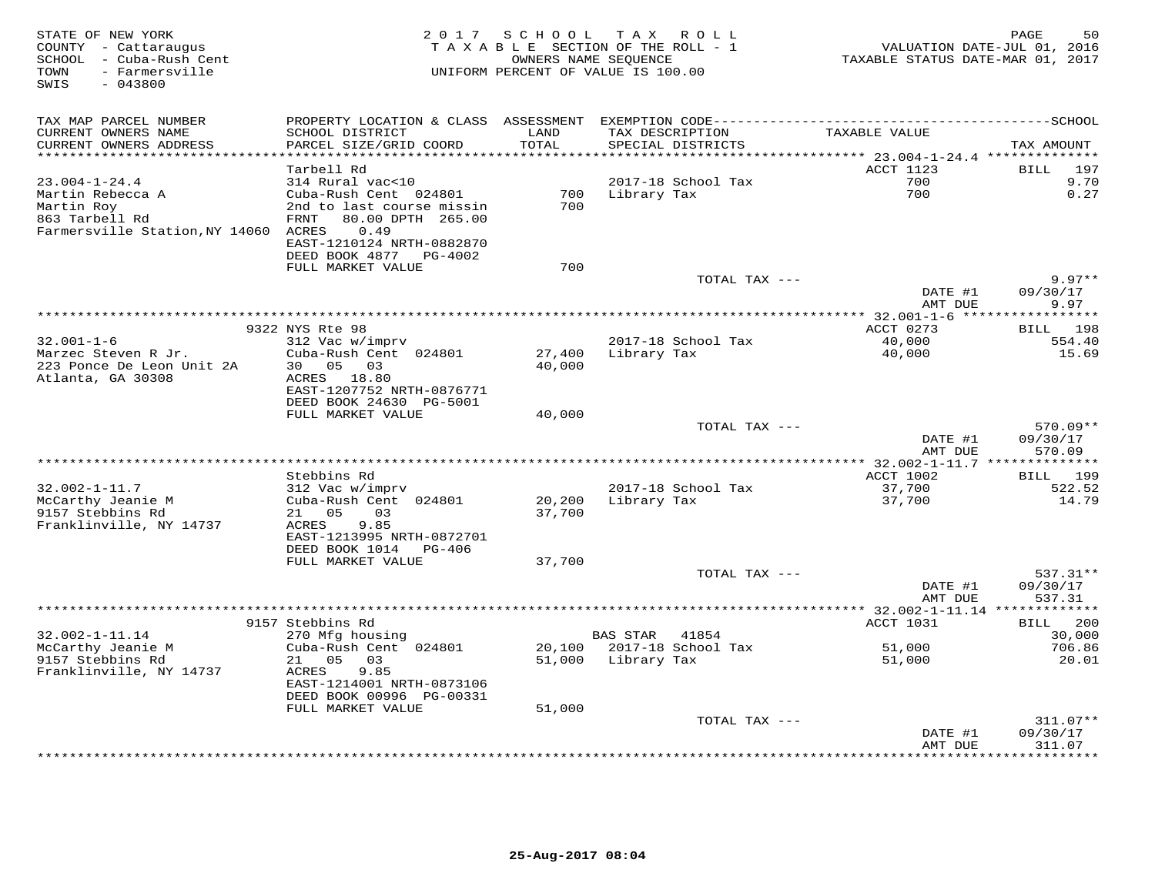| STATE OF NEW YORK<br>COUNTY - Cattaraugus<br>SCHOOL - Cuba-Rush Cent<br>- Farmersville<br>TOWN<br>SWIS<br>$-043800$ | 2 0 1 7                                               | SCHOOL | TAX ROLL<br>TAXABLE SECTION OF THE ROLL - 1<br>OWNERS NAME SEQUENCE<br>UNIFORM PERCENT OF VALUE IS 100.00 | TAXABLE STATUS DATE-MAR 01, 2017              | 50<br>PAGE<br>VALUATION DATE-JUL 01, 2016 |
|---------------------------------------------------------------------------------------------------------------------|-------------------------------------------------------|--------|-----------------------------------------------------------------------------------------------------------|-----------------------------------------------|-------------------------------------------|
| TAX MAP PARCEL NUMBER                                                                                               | PROPERTY LOCATION & CLASS ASSESSMENT                  |        |                                                                                                           |                                               |                                           |
| CURRENT OWNERS NAME                                                                                                 | SCHOOL DISTRICT                                       | LAND   | TAX DESCRIPTION                                                                                           | TAXABLE VALUE                                 |                                           |
| CURRENT OWNERS ADDRESS<br>*******************                                                                       | PARCEL SIZE/GRID COORD                                | TOTAL  | SPECIAL DISTRICTS                                                                                         |                                               | TAX AMOUNT                                |
|                                                                                                                     | Tarbell Rd                                            |        |                                                                                                           | ******** 23.004-1-24.4 *********<br>ACCT 1123 | 197<br><b>BILL</b>                        |
| $23.004 - 1 - 24.4$                                                                                                 | 314 Rural vac<10                                      |        | 2017-18 School Tax                                                                                        | 700                                           | 9.70                                      |
| Martin Rebecca A                                                                                                    | Cuba-Rush Cent 024801                                 | 700    | Library Tax                                                                                               | 700                                           | 0.27                                      |
| Martin Roy                                                                                                          | 2nd to last course missin                             | 700    |                                                                                                           |                                               |                                           |
| 863 Tarbell Rd                                                                                                      | 80.00 DPTH 265.00<br>FRNT                             |        |                                                                                                           |                                               |                                           |
| Farmersville Station, NY 14060 ACRES                                                                                | 0.49                                                  |        |                                                                                                           |                                               |                                           |
|                                                                                                                     | EAST-1210124 NRTH-0882870<br>DEED BOOK 4877           |        |                                                                                                           |                                               |                                           |
|                                                                                                                     | PG-4002<br>FULL MARKET VALUE                          | 700    |                                                                                                           |                                               |                                           |
|                                                                                                                     |                                                       |        | TOTAL TAX ---                                                                                             |                                               | $9.97**$                                  |
|                                                                                                                     |                                                       |        |                                                                                                           | DATE #1                                       | 09/30/17                                  |
|                                                                                                                     |                                                       |        |                                                                                                           | AMT DUE                                       | 9.97                                      |
|                                                                                                                     |                                                       |        |                                                                                                           |                                               | *******                                   |
| $32.001 - 1 - 6$                                                                                                    | 9322 NYS Rte 98<br>312 Vac w/imprv                    |        | 2017-18 School Tax                                                                                        | ACCT 0273<br>40,000                           | 198<br>BILL<br>554.40                     |
| Marzec Steven R Jr.                                                                                                 | Cuba-Rush Cent 024801                                 | 27,400 | Library Tax                                                                                               | 40,000                                        | 15.69                                     |
| 223 Ponce De Leon Unit 2A                                                                                           | 30<br>05<br>03                                        | 40,000 |                                                                                                           |                                               |                                           |
| Atlanta, GA 30308                                                                                                   | ACRES<br>18.80                                        |        |                                                                                                           |                                               |                                           |
|                                                                                                                     | EAST-1207752 NRTH-0876771                             |        |                                                                                                           |                                               |                                           |
|                                                                                                                     | DEED BOOK 24630 PG-5001                               |        |                                                                                                           |                                               |                                           |
|                                                                                                                     | FULL MARKET VALUE                                     | 40,000 | TOTAL TAX ---                                                                                             |                                               | $570.09**$                                |
|                                                                                                                     |                                                       |        |                                                                                                           | DATE #1                                       | 09/30/17                                  |
|                                                                                                                     |                                                       |        |                                                                                                           | AMT DUE                                       | 570.09                                    |
|                                                                                                                     |                                                       |        |                                                                                                           |                                               |                                           |
|                                                                                                                     | Stebbins Rd                                           |        |                                                                                                           | ACCT 1002                                     | 199<br>BILL                               |
| $32.002 - 1 - 11.7$                                                                                                 | 312 Vac w/imprv                                       |        | 2017-18 School Tax                                                                                        | 37,700                                        | 522.52                                    |
| McCarthy Jeanie M                                                                                                   | Cuba-Rush Cent 024801                                 | 20,200 | Library Tax                                                                                               | 37,700                                        | 14.79                                     |
| 9157 Stebbins Rd<br>Franklinville, NY 14737                                                                         | 05<br>03<br>21<br>ACRES<br>9.85                       | 37,700 |                                                                                                           |                                               |                                           |
|                                                                                                                     | EAST-1213995 NRTH-0872701                             |        |                                                                                                           |                                               |                                           |
|                                                                                                                     | DEED BOOK 1014<br>PG-406                              |        |                                                                                                           |                                               |                                           |
|                                                                                                                     | FULL MARKET VALUE                                     | 37,700 |                                                                                                           |                                               |                                           |
|                                                                                                                     |                                                       |        | TOTAL TAX ---                                                                                             |                                               | $537.31**$                                |
|                                                                                                                     |                                                       |        |                                                                                                           | DATE #1                                       | 09/30/17                                  |
|                                                                                                                     | . <b>.</b>                                            |        |                                                                                                           | AMT DUE<br>** $32.002 - 1 - 11.14$ *          | 537.31                                    |
|                                                                                                                     | 9157 Stebbins Rd                                      |        |                                                                                                           | ACCT 1031                                     | 200<br>BILL                               |
| $32.002 - 1 - 11.14$                                                                                                | 270 Mfg housing                                       |        | <b>BAS STAR</b><br>41854                                                                                  |                                               | 30,000                                    |
| McCarthy Jeanie M                                                                                                   | Cuba-Rush Cent 024801                                 | 20,100 | 2017-18 School Tax                                                                                        | 51,000                                        | 706.86                                    |
| 9157 Stebbins Rd                                                                                                    | 21<br>05<br>03                                        | 51,000 | Library Tax                                                                                               | 51,000                                        | 20.01                                     |
| Franklinville, NY 14737                                                                                             | 9.85<br>ACRES                                         |        |                                                                                                           |                                               |                                           |
|                                                                                                                     | EAST-1214001 NRTH-0873106<br>DEED BOOK 00996 PG-00331 |        |                                                                                                           |                                               |                                           |
|                                                                                                                     | FULL MARKET VALUE                                     | 51,000 |                                                                                                           |                                               |                                           |
|                                                                                                                     |                                                       |        | TOTAL TAX ---                                                                                             |                                               | $311.07**$                                |
|                                                                                                                     |                                                       |        |                                                                                                           | DATE #1                                       | 09/30/17                                  |
|                                                                                                                     |                                                       |        |                                                                                                           | AMT DUE                                       | 311.07                                    |
|                                                                                                                     |                                                       |        | **********************                                                                                    |                                               | * * * * * * * *                           |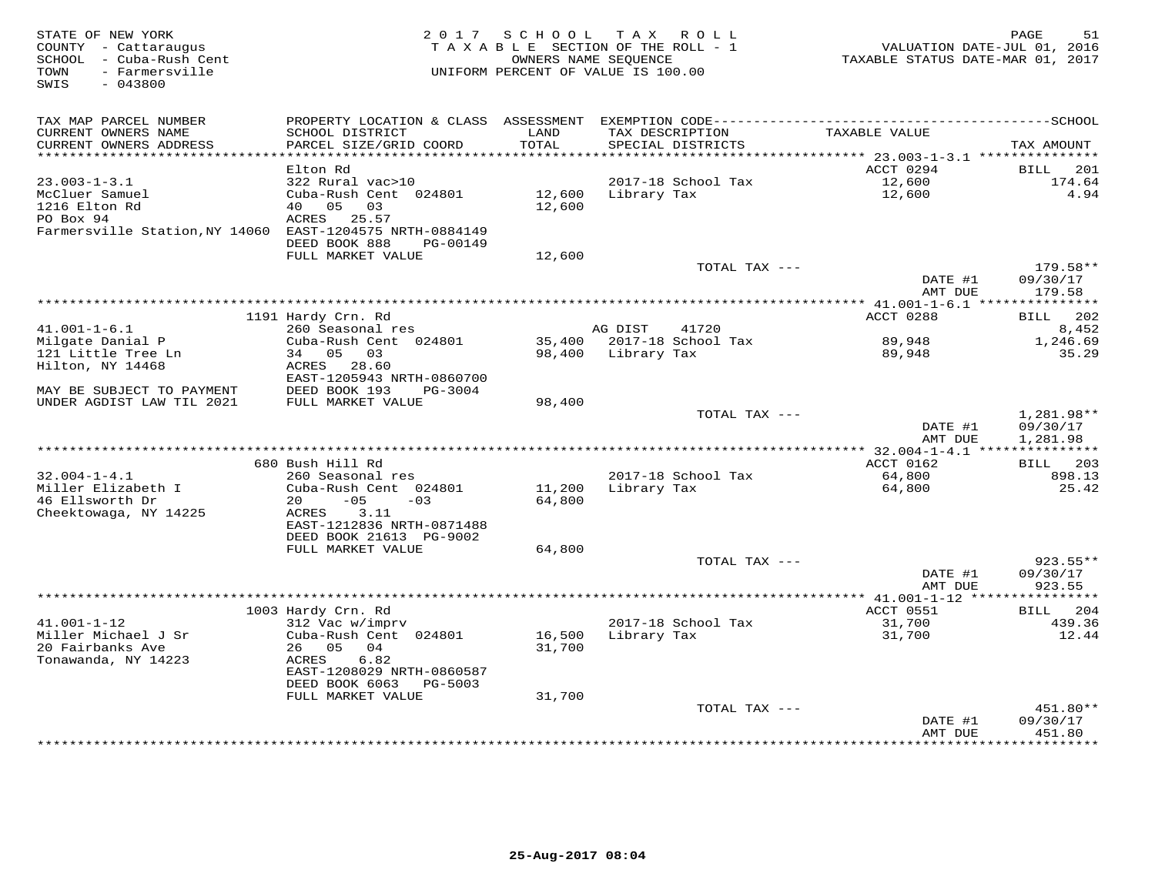| STATE OF NEW YORK<br>COUNTY - Cattaraugus<br>SCHOOL - Cuba-Rush Cent<br>- Farmersville<br>TOWN<br>$-043800$<br>SWIS | 2017                                                      | SCHOOL           | T A X<br>ROLL ROLL<br>TAXABLE SECTION OF THE ROLL - 1<br>OWNERS NAME SEOUENCE<br>UNIFORM PERCENT OF VALUE IS 100.00 | VALUATION DATE-JUL 01, 2016<br>TAXABLE STATUS DATE-MAR 01, 2017 | PAGE<br>51                         |
|---------------------------------------------------------------------------------------------------------------------|-----------------------------------------------------------|------------------|---------------------------------------------------------------------------------------------------------------------|-----------------------------------------------------------------|------------------------------------|
| TAX MAP PARCEL NUMBER                                                                                               | PROPERTY LOCATION & CLASS                                 | ASSESSMENT       |                                                                                                                     |                                                                 |                                    |
| CURRENT OWNERS NAME<br>CURRENT OWNERS ADDRESS<br>***********************                                            | SCHOOL DISTRICT<br>PARCEL SIZE/GRID COORD                 | LAND<br>TOTAL    | TAX DESCRIPTION<br>SPECIAL DISTRICTS                                                                                | TAXABLE VALUE                                                   | TAX AMOUNT                         |
|                                                                                                                     | Elton Rd                                                  |                  |                                                                                                                     | ACCT 0294                                                       | <b>BILL</b><br>201                 |
| $23.003 - 1 - 3.1$                                                                                                  | 322 Rural vac>10                                          |                  | 2017-18 School Tax                                                                                                  | 12,600                                                          | 174.64                             |
| McCluer Samuel<br>1216 Elton Rd<br>PO Box 94                                                                        | Cuba-Rush Cent 024801<br>05<br>40<br>03<br>ACRES<br>25.57 | 12,600<br>12,600 | Library Tax                                                                                                         | 12,600                                                          | 4.94                               |
| Farmersville Station, NY 14060                                                                                      | EAST-1204575 NRTH-0884149<br>DEED BOOK 888<br>PG-00149    |                  |                                                                                                                     |                                                                 |                                    |
|                                                                                                                     | FULL MARKET VALUE                                         | 12,600           |                                                                                                                     |                                                                 |                                    |
|                                                                                                                     |                                                           |                  | TOTAL TAX ---                                                                                                       | DATE #1<br>AMT DUE                                              | $179.58**$<br>09/30/17<br>179.58   |
|                                                                                                                     |                                                           |                  | ******************                                                                                                  | $**$ 41.001-1-6.1 ***                                           |                                    |
|                                                                                                                     | 1191 Hardy Crn. Rd                                        |                  |                                                                                                                     | ACCT 0288                                                       | 202<br>BILL                        |
| $41.001 - 1 - 6.1$                                                                                                  | 260 Seasonal res                                          |                  | AG DIST<br>41720                                                                                                    |                                                                 | 8,452                              |
| Milgate Danial P<br>121 Little Tree Ln                                                                              | Cuba-Rush Cent 024801<br>34 05<br>03                      | 35,400<br>98,400 | 2017-18 School Tax<br>Library Tax                                                                                   | 89,948<br>89,948                                                | 1,246.69<br>35.29                  |
| Hilton, NY 14468                                                                                                    | 28.60<br>ACRES<br>EAST-1205943 NRTH-0860700               |                  |                                                                                                                     |                                                                 |                                    |
| MAY BE SUBJECT TO PAYMENT                                                                                           | DEED BOOK 193<br>PG-3004                                  |                  |                                                                                                                     |                                                                 |                                    |
| UNDER AGDIST LAW TIL 2021                                                                                           | FULL MARKET VALUE                                         | 98,400           |                                                                                                                     |                                                                 |                                    |
|                                                                                                                     |                                                           |                  | TOTAL TAX ---                                                                                                       | DATE #1<br>AMT DUE                                              | 1,281.98**<br>09/30/17<br>1,281.98 |
|                                                                                                                     |                                                           |                  |                                                                                                                     |                                                                 |                                    |
|                                                                                                                     | 680 Bush Hill Rd                                          |                  |                                                                                                                     | ACCT 0162                                                       | BILL 203                           |
| $32.004 - 1 - 4.1$<br>Miller Elizabeth I                                                                            | 260 Seasonal res<br>Cuba-Rush Cent 024801                 | 11,200           | 2017-18 School Tax<br>Library Tax                                                                                   | 64,800<br>64,800                                                | 898.13<br>25.42                    |
| 46 Ellsworth Dr                                                                                                     | $-05$<br>20<br>$-03$                                      | 64,800           |                                                                                                                     |                                                                 |                                    |
| Cheektowaga, NY 14225                                                                                               | 3.11<br>ACRES<br>EAST-1212836 NRTH-0871488                |                  |                                                                                                                     |                                                                 |                                    |
|                                                                                                                     | DEED BOOK 21613 PG-9002                                   |                  |                                                                                                                     |                                                                 |                                    |
|                                                                                                                     | FULL MARKET VALUE                                         | 64,800           |                                                                                                                     |                                                                 |                                    |
|                                                                                                                     |                                                           |                  | TOTAL TAX ---                                                                                                       | DATE #1<br>AMT DUE                                              | $923.55**$<br>09/30/17<br>923.55   |
|                                                                                                                     |                                                           |                  |                                                                                                                     | ************ 41.001-1-12 *****                                  | *******                            |
|                                                                                                                     | 1003 Hardy Crn. Rd                                        |                  |                                                                                                                     | ACCT 0551                                                       | 204<br><b>BILL</b>                 |
| $41.001 - 1 - 12$<br>Miller Michael J Sr                                                                            | 312 Vac w/imprv                                           |                  | 2017-18 School Tax                                                                                                  | 31,700                                                          | 439.36                             |
| 20 Fairbanks Ave<br>Tonawanda, NY 14223                                                                             | Cuba-Rush Cent 024801<br>05<br>04<br>26<br>ACRES<br>6.82  | 16,500<br>31,700 | Library Tax                                                                                                         | 31,700                                                          | 12.44                              |
|                                                                                                                     | EAST-1208029 NRTH-0860587<br>DEED BOOK 6063<br>PG-5003    |                  |                                                                                                                     |                                                                 |                                    |
|                                                                                                                     | FULL MARKET VALUE                                         | 31,700           |                                                                                                                     |                                                                 |                                    |
|                                                                                                                     |                                                           |                  | TOTAL TAX ---                                                                                                       | DATE #1<br>AMT DUE                                              | 451.80**<br>09/30/17<br>451.80     |
|                                                                                                                     |                                                           |                  |                                                                                                                     | * * * * * * * *                                                 | * * * * * * * *                    |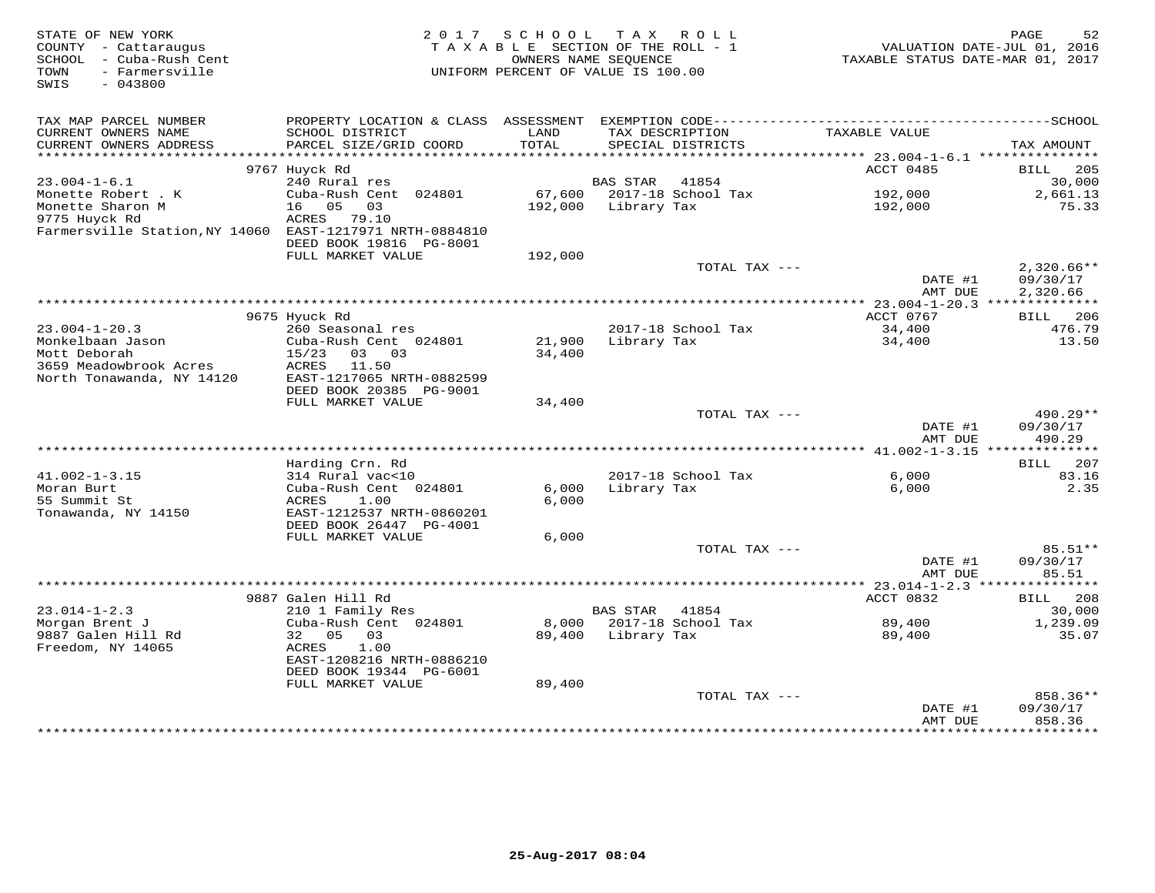| STATE OF NEW YORK<br>COUNTY - Cattaraugus<br>SCHOOL - Cuba-Rush Cent<br>- Farmersville<br>TOWN<br>SWIS<br>$-043800$ | 2 0 1 7                                              | SCHOOL<br>TAXABLE SECTION OF THE ROLL - 1<br>OWNERS NAME SEOUENCE<br>UNIFORM PERCENT OF VALUE IS 100.00 |                 | TAX ROLL                             | TAXABLE STATUS DATE-MAR 01, 2017 | PAGE<br>52<br>VALUATION DATE-JUL 01, 2016 |
|---------------------------------------------------------------------------------------------------------------------|------------------------------------------------------|---------------------------------------------------------------------------------------------------------|-----------------|--------------------------------------|----------------------------------|-------------------------------------------|
| TAX MAP PARCEL NUMBER                                                                                               |                                                      |                                                                                                         |                 |                                      |                                  |                                           |
| CURRENT OWNERS NAME<br>CURRENT OWNERS ADDRESS<br>***********************                                            | SCHOOL DISTRICT<br>PARCEL SIZE/GRID COORD            | LAND<br>TOTAL                                                                                           |                 | TAX DESCRIPTION<br>SPECIAL DISTRICTS | TAXABLE VALUE                    | TAX AMOUNT                                |
|                                                                                                                     | 9767 Huyck Rd                                        |                                                                                                         |                 |                                      | ACCT 0485                        | BILL<br>-205                              |
| $23.004 - 1 - 6.1$                                                                                                  | 240 Rural res                                        |                                                                                                         | <b>BAS STAR</b> | 41854                                |                                  | 30,000                                    |
| Monette Robert . K                                                                                                  | Cuba-Rush Cent 024801                                | 67,600                                                                                                  |                 | 2017-18 School Tax                   | 192,000                          | 2,661.13                                  |
| Monette Sharon M                                                                                                    | 16 05<br>03                                          | 192,000                                                                                                 | Library Tax     |                                      | 192,000                          | 75.33                                     |
| 9775 Huyck Rd                                                                                                       | ACRES 79.10                                          |                                                                                                         |                 |                                      |                                  |                                           |
| Farmersville Station, NY 14060 EAST-1217971 NRTH-0884810                                                            | DEED BOOK 19816 PG-8001                              |                                                                                                         |                 |                                      |                                  |                                           |
|                                                                                                                     | FULL MARKET VALUE                                    | 192,000                                                                                                 |                 |                                      |                                  |                                           |
|                                                                                                                     |                                                      |                                                                                                         |                 | TOTAL TAX ---                        |                                  | $2,320.66**$                              |
|                                                                                                                     |                                                      |                                                                                                         |                 |                                      | DATE #1<br>AMT DUE               | 09/30/17<br>2,320.66                      |
|                                                                                                                     | 9675 Hyuck Rd                                        |                                                                                                         |                 |                                      | ACCT 0767                        | BILL<br>206                               |
| $23.004 - 1 - 20.3$                                                                                                 | 260 Seasonal res                                     |                                                                                                         |                 | 2017-18 School Tax                   | 34,400                           | 476.79                                    |
| Monkelbaan Jason                                                                                                    | Cuba-Rush Cent 024801                                | 21,900                                                                                                  | Library Tax     |                                      | 34,400                           | 13.50                                     |
| Mott Deborah                                                                                                        | 15/23<br>03 03                                       | 34,400                                                                                                  |                 |                                      |                                  |                                           |
| 3659 Meadowbrook Acres                                                                                              | 11.50<br>ACRES                                       |                                                                                                         |                 |                                      |                                  |                                           |
| North Tonawanda, NY 14120                                                                                           | EAST-1217065 NRTH-0882599<br>DEED BOOK 20385 PG-9001 |                                                                                                         |                 |                                      |                                  |                                           |
|                                                                                                                     | FULL MARKET VALUE                                    | 34,400                                                                                                  |                 |                                      |                                  |                                           |
|                                                                                                                     |                                                      |                                                                                                         |                 | TOTAL TAX ---                        |                                  | 490.29**                                  |
|                                                                                                                     |                                                      |                                                                                                         |                 |                                      | DATE #1<br>AMT DUE               | 09/30/17<br>490.29                        |
|                                                                                                                     |                                                      |                                                                                                         |                 |                                      |                                  |                                           |
| $41.002 - 1 - 3.15$                                                                                                 | Harding Crn. Rd<br>314 Rural vac<10                  |                                                                                                         |                 | 2017-18 School Tax                   | 6.000                            | BILL 207<br>83.16                         |
| Moran Burt                                                                                                          | Cuba-Rush Cent 024801                                | 6,000                                                                                                   | Library Tax     |                                      | 6,000                            | 2.35                                      |
| 55 Summit St                                                                                                        | ACRES<br>1.00                                        | 6.000                                                                                                   |                 |                                      |                                  |                                           |
| Tonawanda, NY 14150                                                                                                 | EAST-1212537 NRTH-0860201                            |                                                                                                         |                 |                                      |                                  |                                           |
|                                                                                                                     | DEED BOOK 26447 PG-4001                              |                                                                                                         |                 |                                      |                                  |                                           |
|                                                                                                                     | FULL MARKET VALUE                                    | 6,000                                                                                                   |                 | TOTAL TAX ---                        |                                  | $85.51**$                                 |
|                                                                                                                     |                                                      |                                                                                                         |                 |                                      | DATE #1                          | 09/30/17                                  |
|                                                                                                                     |                                                      |                                                                                                         |                 |                                      | AMT DUE                          | 85.51                                     |
|                                                                                                                     |                                                      |                                                                                                         |                 |                                      |                                  |                                           |
|                                                                                                                     | 9887 Galen Hill Rd                                   |                                                                                                         |                 |                                      | ACCT 0832                        | BILL<br>208                               |
| $23.014 - 1 - 2.3$<br>Morgan Brent J                                                                                | 210 1 Family Res<br>Cuba-Rush Cent 024801            |                                                                                                         | <b>BAS STAR</b> | 41854<br>8,000 2017-18 School Tax    | 89,400                           | 30,000<br>1,239.09                        |
| 9887 Galen Hill Rd                                                                                                  | 32<br>0.5<br>0.3                                     | 89,400                                                                                                  | Library Tax     |                                      | 89,400                           | 35.07                                     |
| Freedom, NY 14065                                                                                                   | 1.00<br>ACRES                                        |                                                                                                         |                 |                                      |                                  |                                           |
|                                                                                                                     | EAST-1208216 NRTH-0886210                            |                                                                                                         |                 |                                      |                                  |                                           |
|                                                                                                                     | DEED BOOK 19344 PG-6001                              |                                                                                                         |                 |                                      |                                  |                                           |
|                                                                                                                     | FULL MARKET VALUE                                    | 89,400                                                                                                  |                 | TOTAL TAX ---                        |                                  | 858.36**                                  |
|                                                                                                                     |                                                      |                                                                                                         |                 |                                      | DATE #1                          | 09/30/17                                  |
|                                                                                                                     |                                                      |                                                                                                         |                 |                                      | AMT DUE                          | 858.36                                    |
|                                                                                                                     |                                                      |                                                                                                         |                 |                                      |                                  |                                           |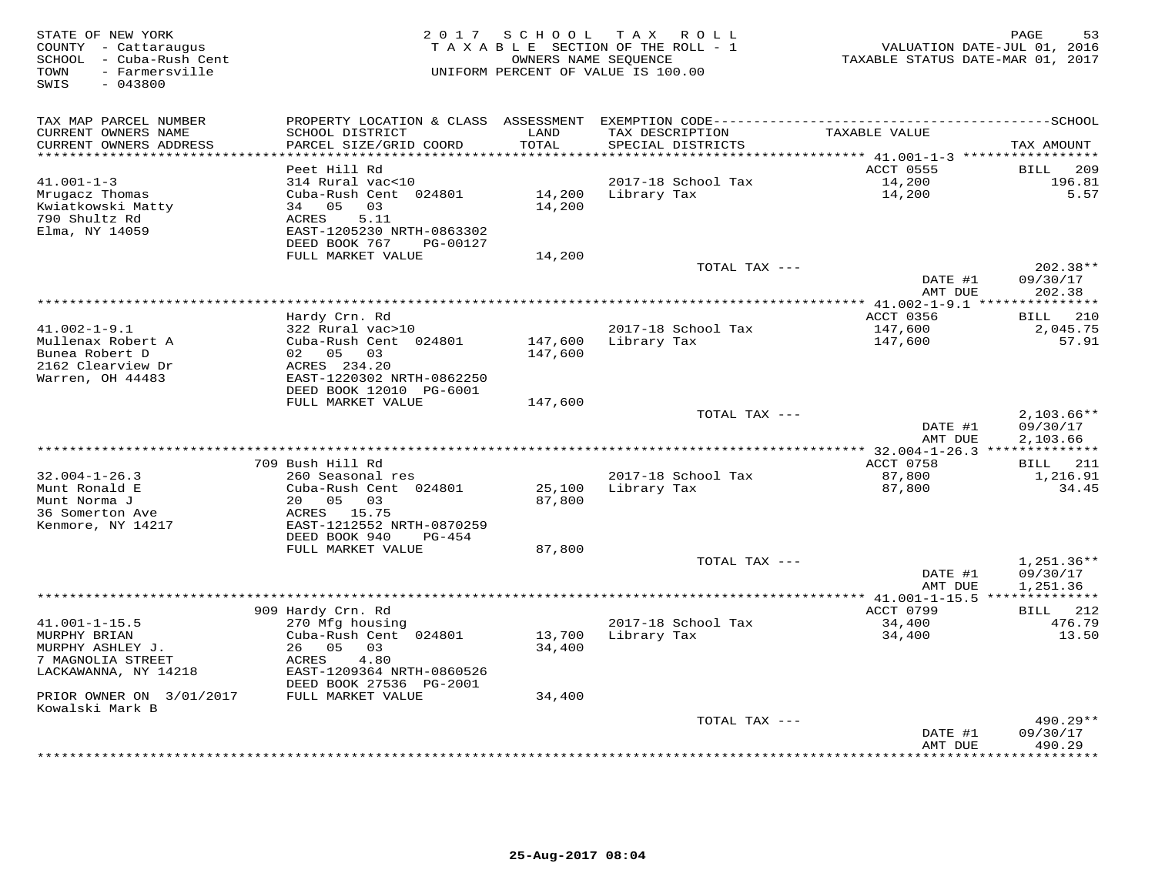| STATE OF NEW YORK<br>COUNTY - Cattaraugus<br>SCHOOL - Cuba-Rush Cent<br>- Farmersville<br>TOWN<br>$-043800$<br>SWIS |                                                        | 2017 SCHOOL   | TAX ROLL<br>TAXABLE SECTION OF THE ROLL - 1<br>OWNERS NAME SEQUENCE<br>UNIFORM PERCENT OF VALUE IS 100.00 | VALUATION DATE-JUL 01, 2016<br>TAXABLE STATUS DATE-MAR 01, 2017 | 53<br>PAGE             |
|---------------------------------------------------------------------------------------------------------------------|--------------------------------------------------------|---------------|-----------------------------------------------------------------------------------------------------------|-----------------------------------------------------------------|------------------------|
| TAX MAP PARCEL NUMBER                                                                                               | PROPERTY LOCATION & CLASS ASSESSMENT                   |               |                                                                                                           |                                                                 |                        |
| CURRENT OWNERS NAME<br>CURRENT OWNERS ADDRESS                                                                       | SCHOOL DISTRICT<br>PARCEL SIZE/GRID COORD              | LAND<br>TOTAL | TAX DESCRIPTION<br>SPECIAL DISTRICTS                                                                      | TAXABLE VALUE                                                   | TAX AMOUNT             |
|                                                                                                                     | Peet Hill Rd                                           |               |                                                                                                           | ********* 41.001-1-3 ***********<br>ACCT 0555                   | 209<br>BILL            |
| $41.001 - 1 - 3$                                                                                                    | 314 Rural vac<10                                       |               | 2017-18 School Tax                                                                                        | 14,200                                                          | 196.81                 |
| Mrugacz Thomas                                                                                                      | Cuba-Rush Cent 024801                                  | 14,200        | Library Tax                                                                                               | 14,200                                                          | 5.57                   |
| Kwiatkowski Matty                                                                                                   | 05<br>03<br>34                                         | 14,200        |                                                                                                           |                                                                 |                        |
| 790 Shultz Rd<br>Elma, NY 14059                                                                                     | 5.11<br>ACRES                                          |               |                                                                                                           |                                                                 |                        |
|                                                                                                                     | EAST-1205230 NRTH-0863302<br>DEED BOOK 767<br>PG-00127 |               |                                                                                                           |                                                                 |                        |
|                                                                                                                     | FULL MARKET VALUE                                      | 14,200        |                                                                                                           |                                                                 |                        |
|                                                                                                                     |                                                        |               | TOTAL TAX ---                                                                                             |                                                                 | 202.38**               |
|                                                                                                                     |                                                        |               |                                                                                                           | DATE #1                                                         | 09/30/17               |
|                                                                                                                     |                                                        |               |                                                                                                           | AMT DUE                                                         | 202.38                 |
|                                                                                                                     | Hardy Crn. Rd                                          |               |                                                                                                           | <b>ACCT 0356</b>                                                | 210<br><b>BILL</b>     |
| $41.002 - 1 - 9.1$                                                                                                  | 322 Rural vac>10                                       |               | 2017-18 School Tax                                                                                        | 147,600                                                         | 2,045.75               |
| Mullenax Robert A                                                                                                   | Cuba-Rush Cent 024801                                  | 147,600       | Library Tax                                                                                               | 147,600                                                         | 57.91                  |
| Bunea Robert D                                                                                                      | 02 05<br>03                                            | 147,600       |                                                                                                           |                                                                 |                        |
| 2162 Clearview Dr<br>Warren, OH 44483                                                                               | ACRES 234.20<br>EAST-1220302 NRTH-0862250              |               |                                                                                                           |                                                                 |                        |
|                                                                                                                     | DEED BOOK 12010 PG-6001                                |               |                                                                                                           |                                                                 |                        |
|                                                                                                                     | FULL MARKET VALUE                                      | 147,600       |                                                                                                           |                                                                 |                        |
|                                                                                                                     |                                                        |               | TOTAL TAX ---                                                                                             |                                                                 | $2,103.66**$           |
|                                                                                                                     |                                                        |               |                                                                                                           | DATE #1                                                         | 09/30/17               |
|                                                                                                                     |                                                        |               |                                                                                                           | AMT DUE                                                         | 2,103.66               |
|                                                                                                                     | 709 Bush Hill Rd                                       |               |                                                                                                           | ACCT 0758                                                       | 211<br>BILL            |
| $32.004 - 1 - 26.3$                                                                                                 | 260 Seasonal res                                       |               | 2017-18 School Tax                                                                                        | 87,800                                                          | 1,216.91               |
| Munt Ronald E                                                                                                       | Cuba-Rush Cent 024801                                  | 25,100        | Library Tax                                                                                               | 87,800                                                          | 34.45                  |
| Munt Norma J<br>36 Somerton Ave                                                                                     | 20<br>05<br>03<br>15.75                                | 87,800        |                                                                                                           |                                                                 |                        |
| Kenmore, NY 14217                                                                                                   | ACRES<br>EAST-1212552 NRTH-0870259                     |               |                                                                                                           |                                                                 |                        |
|                                                                                                                     | DEED BOOK 940<br>PG-454                                |               |                                                                                                           |                                                                 |                        |
|                                                                                                                     | FULL MARKET VALUE                                      | 87,800        |                                                                                                           |                                                                 |                        |
|                                                                                                                     |                                                        |               | TOTAL TAX ---                                                                                             |                                                                 | 1,251.36**             |
|                                                                                                                     |                                                        |               |                                                                                                           | DATE #1<br>AMT DUE                                              | 09/30/17<br>1,251.36   |
|                                                                                                                     |                                                        |               |                                                                                                           | *** 41.001-1-15.5 ***************                               |                        |
|                                                                                                                     | 909 Hardy Crn. Rd                                      |               |                                                                                                           | ACCT 0799                                                       | 212<br><b>BILL</b>     |
| $41.001 - 1 - 15.5$                                                                                                 | 270 Mfg housing                                        |               | 2017-18 School Tax                                                                                        | 34,400                                                          | 476.79                 |
| MURPHY BRIAN                                                                                                        | Cuba-Rush Cent 024801<br>05                            | 13,700        | Library Tax                                                                                               | 34,400                                                          | 13.50                  |
| MURPHY ASHLEY J.<br>7 MAGNOLIA STREET                                                                               | 26<br>03<br>ACRES<br>4.80                              | 34,400        |                                                                                                           |                                                                 |                        |
| LACKAWANNA, NY 14218                                                                                                | EAST-1209364 NRTH-0860526                              |               |                                                                                                           |                                                                 |                        |
|                                                                                                                     | DEED BOOK 27536 PG-2001                                |               |                                                                                                           |                                                                 |                        |
| PRIOR OWNER ON 3/01/2017                                                                                            | FULL MARKET VALUE                                      | 34,400        |                                                                                                           |                                                                 |                        |
| Kowalski Mark B                                                                                                     |                                                        |               |                                                                                                           |                                                                 |                        |
|                                                                                                                     |                                                        |               | TOTAL TAX ---                                                                                             | DATE #1                                                         | $490.29**$<br>09/30/17 |
|                                                                                                                     |                                                        |               |                                                                                                           | AMT DUE                                                         | 490.29                 |
|                                                                                                                     |                                                        |               |                                                                                                           |                                                                 | * * * * * * * *        |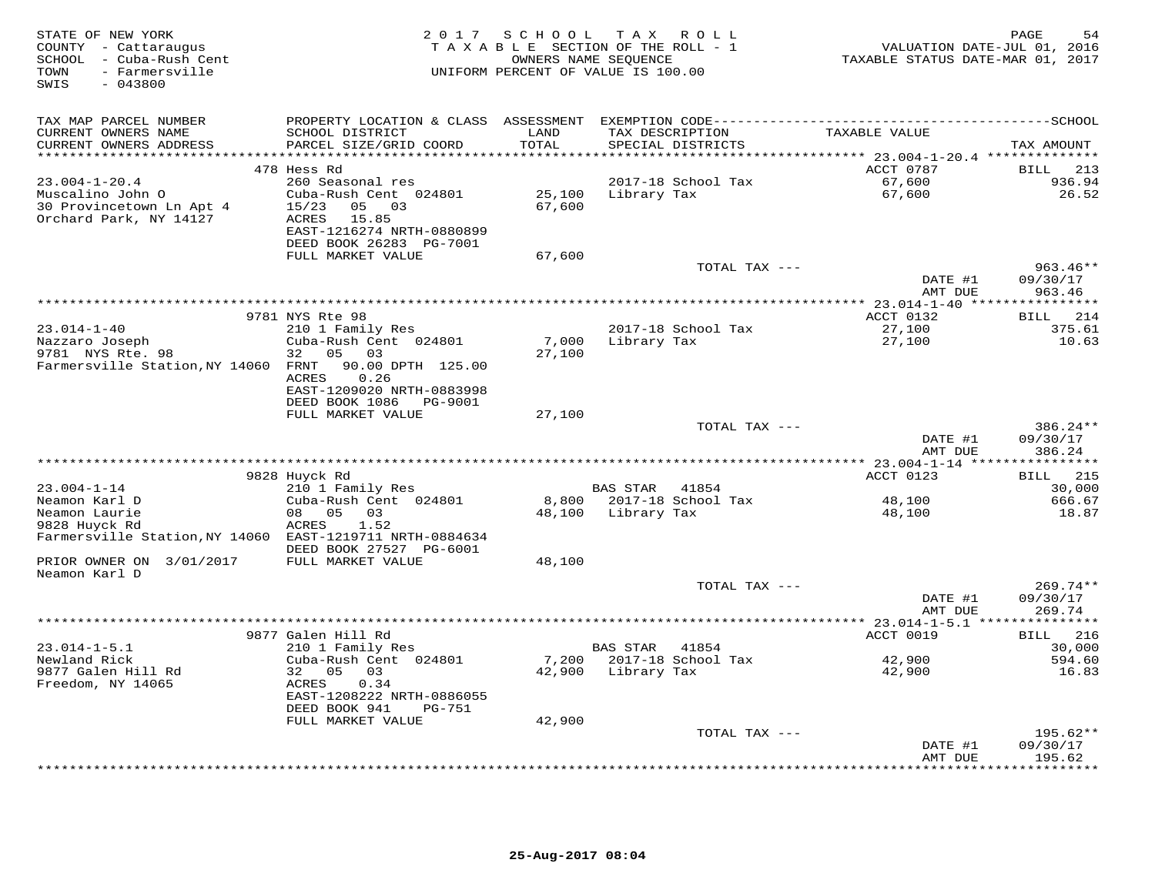| STATE OF NEW YORK<br>COUNTY - Cattaraugus<br>SCHOOL - Cuba-Rush Cent<br>- Farmersville<br>TOWN<br>$-043800$<br>SWIS |                                                | 2017 SCHOOL     | TAX ROLL<br>TAXABLE SECTION OF THE ROLL - 1<br>OWNERS NAME SEQUENCE<br>UNIFORM PERCENT OF VALUE IS 100.00 | VALUATION DATE-JUL 01, 2016<br>TAXABLE STATUS DATE-MAR 01, 2017 | 54<br>PAGE             |
|---------------------------------------------------------------------------------------------------------------------|------------------------------------------------|-----------------|-----------------------------------------------------------------------------------------------------------|-----------------------------------------------------------------|------------------------|
| TAX MAP PARCEL NUMBER                                                                                               |                                                |                 |                                                                                                           |                                                                 |                        |
| CURRENT OWNERS NAME                                                                                                 | SCHOOL DISTRICT                                | LAND            | TAX DESCRIPTION                                                                                           | TAXABLE VALUE                                                   |                        |
| CURRENT OWNERS ADDRESS                                                                                              | PARCEL SIZE/GRID COORD                         | TOTAL           | SPECIAL DISTRICTS                                                                                         |                                                                 | TAX AMOUNT             |
|                                                                                                                     | 478 Hess Rd                                    |                 |                                                                                                           | ACCT 0787                                                       | 213<br>BILL            |
| $23.004 - 1 - 20.4$                                                                                                 | 260 Seasonal res                               |                 | 2017-18 School Tax                                                                                        | 67,600                                                          | 936.94                 |
| Muscalino John O                                                                                                    | Cuba-Rush Cent 024801                          | 25,100          | Library Tax                                                                                               | 67,600                                                          | 26.52                  |
| 30 Provincetown Ln Apt 4                                                                                            | 03<br>15/23<br>05                              | 67,600          |                                                                                                           |                                                                 |                        |
| Orchard Park, NY 14127                                                                                              | ACRES<br>15.85                                 |                 |                                                                                                           |                                                                 |                        |
|                                                                                                                     | EAST-1216274 NRTH-0880899                      |                 |                                                                                                           |                                                                 |                        |
|                                                                                                                     | DEED BOOK 26283 PG-7001<br>FULL MARKET VALUE   | 67,600          |                                                                                                           |                                                                 |                        |
|                                                                                                                     |                                                |                 | TOTAL TAX ---                                                                                             |                                                                 | $963.46**$             |
|                                                                                                                     |                                                |                 |                                                                                                           | DATE #1                                                         | 09/30/17               |
|                                                                                                                     |                                                |                 |                                                                                                           | AMT DUE                                                         | 963.46                 |
|                                                                                                                     |                                                |                 |                                                                                                           |                                                                 |                        |
|                                                                                                                     | 9781 NYS Rte 98                                |                 |                                                                                                           | ACCT 0132                                                       | 214<br>BILL            |
| $23.014 - 1 - 40$<br>Nazzaro Joseph                                                                                 | 210 1 Family Res<br>Cuba-Rush Cent 024801      | 7,000           | 2017-18 School Tax<br>Library Tax                                                                         | 27,100<br>27,100                                                | 375.61<br>10.63        |
| 9781 NYS Rte. 98                                                                                                    | 05<br>32<br>03                                 | 27,100          |                                                                                                           |                                                                 |                        |
| Farmersville Station, NY 14060                                                                                      | FRNT<br>90.00 DPTH 125.00                      |                 |                                                                                                           |                                                                 |                        |
|                                                                                                                     | 0.26<br>ACRES                                  |                 |                                                                                                           |                                                                 |                        |
|                                                                                                                     | EAST-1209020 NRTH-0883998                      |                 |                                                                                                           |                                                                 |                        |
|                                                                                                                     | DEED BOOK 1086<br>PG-9001<br>FULL MARKET VALUE | 27,100          |                                                                                                           |                                                                 |                        |
|                                                                                                                     |                                                |                 | TOTAL TAX ---                                                                                             |                                                                 | 386.24**               |
|                                                                                                                     |                                                |                 |                                                                                                           | DATE #1<br>AMT DUE                                              | 09/30/17<br>386.24     |
|                                                                                                                     |                                                |                 |                                                                                                           |                                                                 | *********              |
|                                                                                                                     | 9828 Huyck Rd                                  |                 |                                                                                                           | ACCT 0123                                                       | 215<br>BILL            |
| $23.004 - 1 - 14$                                                                                                   | 210 1 Family Res                               |                 | BAS STAR<br>41854                                                                                         |                                                                 | 30,000                 |
| Neamon Karl D<br>Neamon Laurie                                                                                      | Cuba-Rush Cent 024801<br>0.5<br>08<br>0.3      | 8,800<br>48,100 | 2017-18 School Tax<br>Library Tax                                                                         | 48,100<br>48,100                                                | 666.67<br>18.87        |
| 9828 Huyck Rd                                                                                                       | 1.52<br>ACRES                                  |                 |                                                                                                           |                                                                 |                        |
| Farmersville Station, NY 14060 EAST-1219711 NRTH-0884634                                                            |                                                |                 |                                                                                                           |                                                                 |                        |
|                                                                                                                     | DEED BOOK 27527 PG-6001                        |                 |                                                                                                           |                                                                 |                        |
| PRIOR OWNER ON<br>3/01/2017                                                                                         | FULL MARKET VALUE                              | 48,100          |                                                                                                           |                                                                 |                        |
| Neamon Karl D                                                                                                       |                                                |                 | TOTAL TAX ---                                                                                             |                                                                 | $269.74**$             |
|                                                                                                                     |                                                |                 |                                                                                                           | DATE #1                                                         | 09/30/17               |
|                                                                                                                     |                                                |                 |                                                                                                           | AMT DUE                                                         | 269.74                 |
|                                                                                                                     |                                                |                 |                                                                                                           | *********** 23.014-1-5.1 ****************                       |                        |
|                                                                                                                     | 9877 Galen Hill Rd                             |                 |                                                                                                           | ACCT 0019                                                       | 216<br>BILL            |
| $23.014 - 1 - 5.1$<br>Newland Rick                                                                                  | 210 1 Family Res<br>Cuba-Rush Cent 024801      | 7,200           | <b>BAS STAR</b><br>41854<br>2017-18 School Tax                                                            | 42,900                                                          | 30,000<br>594.60       |
| 9877 Galen Hill Rd                                                                                                  | 32<br>05<br>03                                 | 42,900          | Library Tax                                                                                               | 42,900                                                          | 16.83                  |
| Freedom, NY 14065                                                                                                   | 0.34<br>ACRES                                  |                 |                                                                                                           |                                                                 |                        |
|                                                                                                                     | EAST-1208222 NRTH-0886055                      |                 |                                                                                                           |                                                                 |                        |
|                                                                                                                     | DEED BOOK 941<br><b>PG-751</b>                 |                 |                                                                                                           |                                                                 |                        |
|                                                                                                                     | FULL MARKET VALUE                              | 42,900          |                                                                                                           |                                                                 |                        |
|                                                                                                                     |                                                |                 | TOTAL TAX ---                                                                                             | DATE #1                                                         | $195.62**$<br>09/30/17 |
|                                                                                                                     |                                                |                 |                                                                                                           | AMT DUE                                                         | 195.62                 |
|                                                                                                                     |                                                |                 | ***************************                                                                               | *********                                                       | * * * * * * * *        |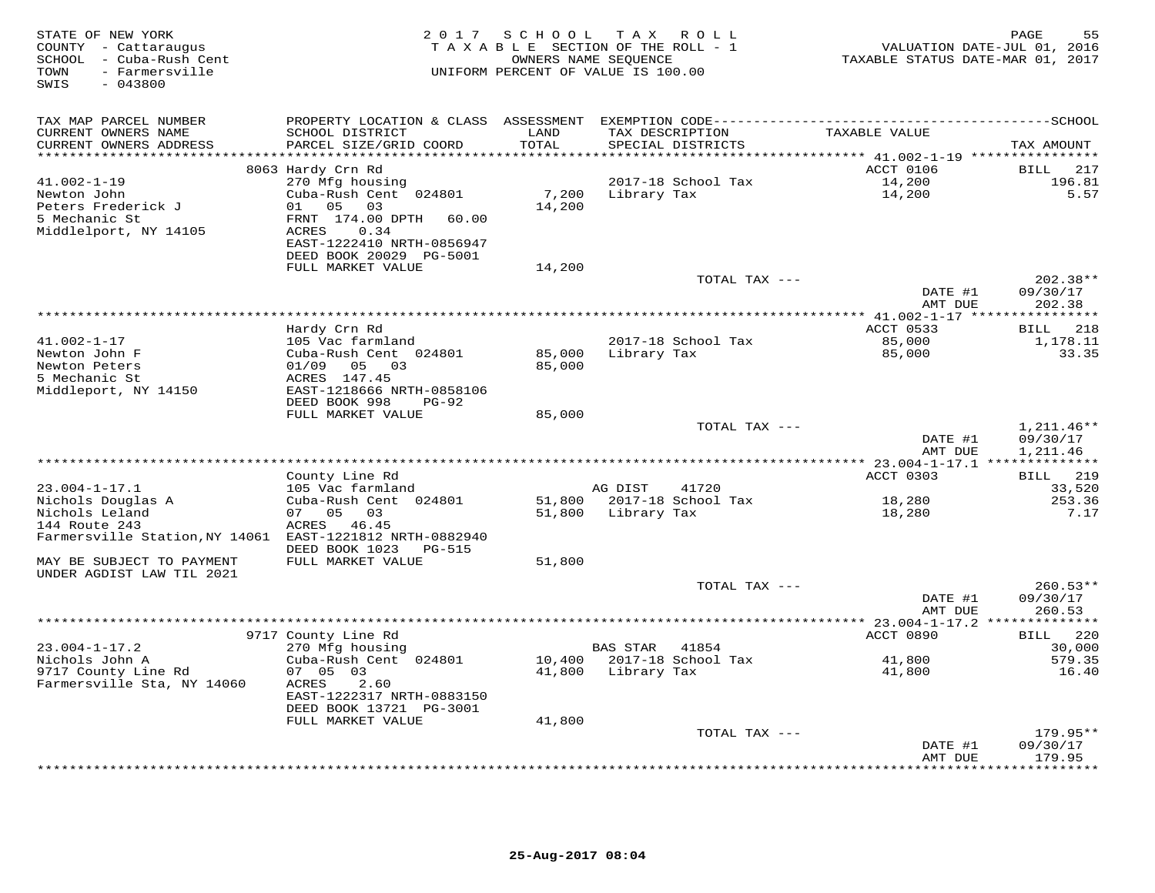| STATE OF NEW YORK<br>COUNTY - Cattaraugus<br>SCHOOL - Cuba-Rush Cent<br>TOWN<br>- Farmersville<br>$-043800$<br>SWIS | 2 0 1 7                                              | SCHOOL  | TAX ROLL<br>TAXABLE SECTION OF THE ROLL - 1<br>OWNERS NAME SEQUENCE<br>UNIFORM PERCENT OF VALUE IS 100.00 | TAXABLE STATUS DATE-MAR 01, 2017                           | PAGE<br>55<br>VALUATION DATE-JUL 01, 2016 |
|---------------------------------------------------------------------------------------------------------------------|------------------------------------------------------|---------|-----------------------------------------------------------------------------------------------------------|------------------------------------------------------------|-------------------------------------------|
| TAX MAP PARCEL NUMBER                                                                                               | PROPERTY LOCATION & CLASS ASSESSMENT                 |         | EXEMPTION CODE---------------------------                                                                 |                                                            | -------------SCHOOL                       |
| CURRENT OWNERS NAME                                                                                                 | SCHOOL DISTRICT                                      | LAND    | TAX DESCRIPTION                                                                                           | TAXABLE VALUE                                              |                                           |
| CURRENT OWNERS ADDRESS                                                                                              | PARCEL SIZE/GRID COORD                               | TOTAL   | SPECIAL DISTRICTS                                                                                         |                                                            | TAX AMOUNT                                |
| **********************                                                                                              | ************************                             | ******* |                                                                                                           | ***************************** 41.002-1-19 **************** |                                           |
| $41.002 - 1 - 19$                                                                                                   | 8063 Hardy Crn Rd<br>270 Mfg housing                 |         | 2017-18 School Tax                                                                                        | ACCT 0106<br>14,200                                        | 217<br><b>BILL</b><br>196.81              |
| Newton John                                                                                                         | Cuba-Rush Cent 024801                                | 7,200   | Library Tax                                                                                               | 14,200                                                     | 5.57                                      |
| Peters Frederick J                                                                                                  | 05<br>03<br>01                                       | 14,200  |                                                                                                           |                                                            |                                           |
| 5 Mechanic St                                                                                                       | FRNT 174.00 DPTH<br>60.00                            |         |                                                                                                           |                                                            |                                           |
| Middlelport, NY 14105                                                                                               | ACRES<br>0.34                                        |         |                                                                                                           |                                                            |                                           |
|                                                                                                                     | EAST-1222410 NRTH-0856947                            |         |                                                                                                           |                                                            |                                           |
|                                                                                                                     | DEED BOOK 20029 PG-5001                              |         |                                                                                                           |                                                            |                                           |
|                                                                                                                     | FULL MARKET VALUE                                    | 14,200  |                                                                                                           |                                                            |                                           |
|                                                                                                                     |                                                      |         | TOTAL TAX ---                                                                                             |                                                            | $202.38**$                                |
|                                                                                                                     |                                                      |         |                                                                                                           | DATE #1<br>AMT DUE                                         | 09/30/17<br>202.38                        |
|                                                                                                                     |                                                      |         |                                                                                                           |                                                            |                                           |
|                                                                                                                     | Hardy Crn Rd                                         |         |                                                                                                           | ACCT 0533                                                  | 218<br>BILL                               |
| $41.002 - 1 - 17$                                                                                                   | 105 Vac farmland                                     |         | 2017-18 School Tax                                                                                        | 85,000                                                     | 1,178.11                                  |
| Newton John F                                                                                                       | Cuba-Rush Cent 024801                                | 85,000  | Library Tax                                                                                               | 85,000                                                     | 33.35                                     |
| Newton Peters                                                                                                       | 01/09<br>05 03                                       | 85,000  |                                                                                                           |                                                            |                                           |
| 5 Mechanic St                                                                                                       | ACRES 147.45                                         |         |                                                                                                           |                                                            |                                           |
| Middleport, NY 14150                                                                                                | EAST-1218666 NRTH-0858106                            |         |                                                                                                           |                                                            |                                           |
|                                                                                                                     | DEED BOOK 998<br>$PG-92$<br>FULL MARKET VALUE        | 85,000  |                                                                                                           |                                                            |                                           |
|                                                                                                                     |                                                      |         | TOTAL TAX ---                                                                                             |                                                            | $1,211.46**$                              |
|                                                                                                                     |                                                      |         |                                                                                                           | DATE #1                                                    | 09/30/17                                  |
|                                                                                                                     |                                                      |         |                                                                                                           | AMT DUE                                                    | 1,211.46                                  |
|                                                                                                                     |                                                      |         |                                                                                                           |                                                            |                                           |
|                                                                                                                     | County Line Rd                                       |         | 41720                                                                                                     | ACCT 0303                                                  | 219<br><b>BILL</b>                        |
| $23.004 - 1 - 17.1$<br>Nichols Douglas A                                                                            | 105 Vac farmland<br>Cuba-Rush Cent 024801            | 51,800  | AG DIST<br>2017-18 School Tax                                                                             | 18,280                                                     | 33,520<br>253.36                          |
| Nichols Leland                                                                                                      | 07 05<br>03                                          | 51,800  | Library Tax                                                                                               | 18,280                                                     | 7.17                                      |
| 144 Route 243                                                                                                       | ACRES<br>46.45                                       |         |                                                                                                           |                                                            |                                           |
| Farmersville Station, NY 14061 EAST-1221812 NRTH-0882940                                                            |                                                      |         |                                                                                                           |                                                            |                                           |
|                                                                                                                     | DEED BOOK 1023<br><b>PG-515</b>                      |         |                                                                                                           |                                                            |                                           |
| MAY BE SUBJECT TO PAYMENT                                                                                           | FULL MARKET VALUE                                    | 51,800  |                                                                                                           |                                                            |                                           |
| UNDER AGDIST LAW TIL 2021                                                                                           |                                                      |         |                                                                                                           |                                                            |                                           |
|                                                                                                                     |                                                      |         | TOTAL TAX ---                                                                                             | DATE #1                                                    | $260.53**$<br>09/30/17                    |
|                                                                                                                     |                                                      |         |                                                                                                           | AMT DUE                                                    | 260.53                                    |
|                                                                                                                     |                                                      |         |                                                                                                           | ********** 23.004-1-17.2 **************                    |                                           |
|                                                                                                                     | 9717 County Line Rd                                  |         |                                                                                                           | ACCT 0890                                                  | 220<br>BILL                               |
| $23.004 - 1 - 17.2$                                                                                                 | 270 Mfg housing                                      |         | <b>BAS STAR</b><br>41854                                                                                  |                                                            | 30,000                                    |
| Nichols John A                                                                                                      | Cuba-Rush Cent 024801                                | 10,400  | 2017-18 School Tax                                                                                        | 41,800                                                     | 579.35                                    |
| 9717 County Line Rd                                                                                                 | 07 05 03                                             | 41,800  | Library Tax                                                                                               | 41,800                                                     | 16.40                                     |
| Farmersville Sta, NY 14060                                                                                          | ACRES<br>2.60                                        |         |                                                                                                           |                                                            |                                           |
|                                                                                                                     | EAST-1222317 NRTH-0883150<br>DEED BOOK 13721 PG-3001 |         |                                                                                                           |                                                            |                                           |
|                                                                                                                     | FULL MARKET VALUE                                    | 41,800  |                                                                                                           |                                                            |                                           |
|                                                                                                                     |                                                      |         | TOTAL TAX ---                                                                                             |                                                            | $179.95**$                                |
|                                                                                                                     |                                                      |         |                                                                                                           | DATE #1                                                    | 09/30/17                                  |
|                                                                                                                     |                                                      |         |                                                                                                           | AMT DUE                                                    | 179.95                                    |
|                                                                                                                     |                                                      |         | ***************************                                                                               |                                                            | * * * * * * * *                           |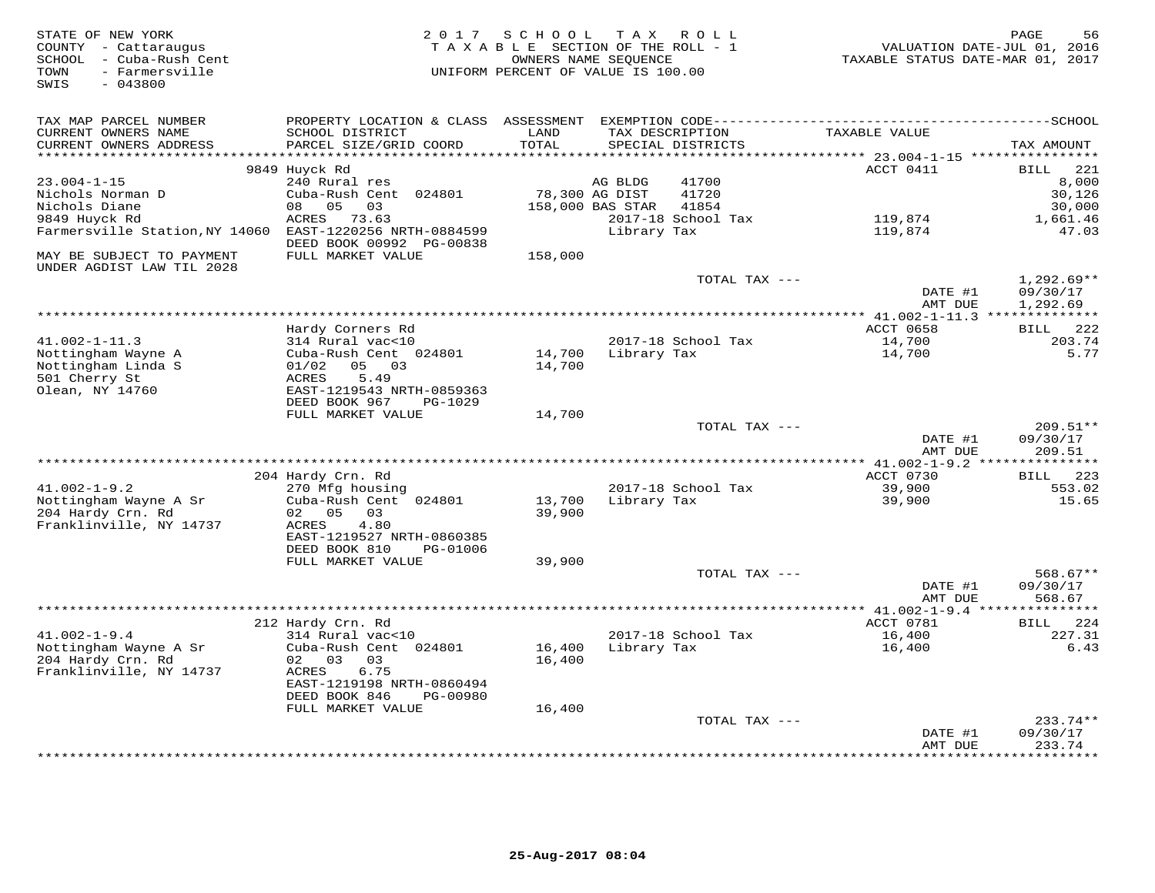| STATE OF NEW YORK<br>COUNTY - Cattaraugus<br>SCHOOL - Cuba-Rush Cent<br>- Farmersville<br>TOWN<br>$-043800$<br>SWIS | 2 0 1 7                                       | SCHOOL<br>TAXABLE SECTION OF THE ROLL - 1<br>OWNERS NAME SEQUENCE<br>UNIFORM PERCENT OF VALUE IS 100.00 |                  | TAX ROLL                             | VALUATION DATE-JUL 01, 2016<br>TAXABLE STATUS DATE-MAR 01, 2017 | 56<br>PAGE                |
|---------------------------------------------------------------------------------------------------------------------|-----------------------------------------------|---------------------------------------------------------------------------------------------------------|------------------|--------------------------------------|-----------------------------------------------------------------|---------------------------|
| TAX MAP PARCEL NUMBER                                                                                               | PROPERTY LOCATION & CLASS                     | ASSESSMENT                                                                                              |                  |                                      |                                                                 |                           |
| CURRENT OWNERS NAME<br>CURRENT OWNERS ADDRESS                                                                       | SCHOOL DISTRICT<br>PARCEL SIZE/GRID COORD     | LAND<br>TOTAL                                                                                           |                  | TAX DESCRIPTION<br>SPECIAL DISTRICTS | TAXABLE VALUE<br>********* 23.004-1-15 **********               | TAX AMOUNT                |
|                                                                                                                     | 9849 Huyck Rd                                 |                                                                                                         |                  |                                      | ACCT 0411                                                       | 221<br>BILL               |
| $23.004 - 1 - 15$                                                                                                   | 240 Rural res                                 |                                                                                                         | AG BLDG          | 41700                                |                                                                 | 8,000                     |
| Nichols Norman D                                                                                                    | Cuba-Rush Cent 024801                         |                                                                                                         | 78,300 AG DIST   | 41720                                |                                                                 | 30,126                    |
| Nichols Diane                                                                                                       | 05<br>03<br>08                                |                                                                                                         | 158,000 BAS STAR | 41854                                |                                                                 | 30,000                    |
| 9849 Huyck Rd                                                                                                       | ACRES<br>73.63                                |                                                                                                         |                  | 2017-18 School Tax                   | 119,874                                                         | 1,661.46                  |
| Farmersville Station, NY 14060                                                                                      | EAST-1220256 NRTH-0884599                     |                                                                                                         | Library Tax      |                                      | 119,874                                                         | 47.03                     |
| MAY BE SUBJECT TO PAYMENT                                                                                           | DEED BOOK 00992 PG-00838<br>FULL MARKET VALUE | 158,000                                                                                                 |                  |                                      |                                                                 |                           |
| UNDER AGDIST LAW TIL 2028                                                                                           |                                               |                                                                                                         |                  | TOTAL TAX ---                        |                                                                 | $1,292.69**$              |
|                                                                                                                     |                                               |                                                                                                         |                  |                                      | DATE #1<br>AMT DUE                                              | 09/30/17<br>1,292.69      |
| ******************************                                                                                      |                                               |                                                                                                         |                  |                                      |                                                                 |                           |
|                                                                                                                     | Hardy Corners Rd                              |                                                                                                         |                  |                                      | ACCT 0658                                                       | 222<br>BILL               |
| $41.002 - 1 - 11.3$<br>Nottingham Wayne A                                                                           | 314 Rural vac<10<br>Cuba-Rush Cent 024801     | 14,700                                                                                                  | Library Tax      | 2017-18 School Tax                   | 14,700<br>14,700                                                | 203.74<br>5.77            |
| Nottingham Linda S                                                                                                  | 01/02<br>05<br>03                             | 14,700                                                                                                  |                  |                                      |                                                                 |                           |
| 501 Cherry St                                                                                                       | 5.49<br>ACRES                                 |                                                                                                         |                  |                                      |                                                                 |                           |
| Olean, NY 14760                                                                                                     | EAST-1219543 NRTH-0859363                     |                                                                                                         |                  |                                      |                                                                 |                           |
|                                                                                                                     | DEED BOOK 967<br>PG-1029                      |                                                                                                         |                  |                                      |                                                                 |                           |
|                                                                                                                     | FULL MARKET VALUE                             | 14,700                                                                                                  |                  |                                      |                                                                 |                           |
|                                                                                                                     |                                               |                                                                                                         |                  | TOTAL TAX ---                        |                                                                 | $209.51**$                |
|                                                                                                                     |                                               |                                                                                                         |                  |                                      | DATE #1                                                         | 09/30/17                  |
|                                                                                                                     |                                               |                                                                                                         |                  |                                      | AMT DUE                                                         | 209.51<br>*************** |
|                                                                                                                     | 204 Hardy Crn. Rd                             |                                                                                                         |                  |                                      | ACCT 0730                                                       | 223<br>BILL               |
| $41.002 - 1 - 9.2$                                                                                                  | 270 Mfg housing                               |                                                                                                         |                  | 2017-18 School Tax                   | 39,900                                                          | 553.02                    |
| Nottingham Wayne A Sr                                                                                               | Cuba-Rush Cent 024801                         | 13,700                                                                                                  | Library Tax      |                                      | 39,900                                                          | 15.65                     |
| 204 Hardy Crn. Rd                                                                                                   | 02<br>05<br>03                                | 39,900                                                                                                  |                  |                                      |                                                                 |                           |
| Franklinville, NY 14737                                                                                             | 4.80<br>ACRES                                 |                                                                                                         |                  |                                      |                                                                 |                           |
|                                                                                                                     | EAST-1219527 NRTH-0860385                     |                                                                                                         |                  |                                      |                                                                 |                           |
|                                                                                                                     | DEED BOOK 810<br>PG-01006                     |                                                                                                         |                  |                                      |                                                                 |                           |
|                                                                                                                     | FULL MARKET VALUE                             | 39,900                                                                                                  |                  |                                      |                                                                 |                           |
|                                                                                                                     |                                               |                                                                                                         |                  | TOTAL TAX ---                        |                                                                 | $568.67**$                |
|                                                                                                                     |                                               |                                                                                                         |                  |                                      | DATE #1<br>AMT DUE                                              | 09/30/17<br>568.67        |
|                                                                                                                     |                                               |                                                                                                         |                  |                                      | ** 41.002-1-9.4                                                 |                           |
|                                                                                                                     | 212 Hardy Crn. Rd                             |                                                                                                         |                  |                                      | ACCT 0781                                                       | 224<br>BILL               |
| $41.002 - 1 - 9.4$                                                                                                  | 314 Rural vac<10                              |                                                                                                         |                  | 2017-18 School Tax                   | 16,400                                                          | 227.31                    |
| Nottingham Wayne A Sr                                                                                               | Cuba-Rush Cent 024801                         | 16,400                                                                                                  | Library Tax      |                                      | 16,400                                                          | 6.43                      |
| 204 Hardy Crn. Rd                                                                                                   | 02 03<br>03                                   | 16,400                                                                                                  |                  |                                      |                                                                 |                           |
| Franklinville, NY 14737                                                                                             | 6.75<br>ACRES                                 |                                                                                                         |                  |                                      |                                                                 |                           |
|                                                                                                                     | EAST-1219198 NRTH-0860494                     |                                                                                                         |                  |                                      |                                                                 |                           |
|                                                                                                                     | DEED BOOK 846<br>PG-00980                     |                                                                                                         |                  |                                      |                                                                 |                           |
|                                                                                                                     | FULL MARKET VALUE                             | 16,400                                                                                                  |                  |                                      |                                                                 | $233.74**$                |
|                                                                                                                     |                                               |                                                                                                         |                  | TOTAL TAX ---                        | DATE #1                                                         | 09/30/17                  |
|                                                                                                                     |                                               |                                                                                                         |                  |                                      | AMT DUE                                                         | 233.74                    |
|                                                                                                                     |                                               |                                                                                                         |                  |                                      | * * * * * * * * *                                               | .                         |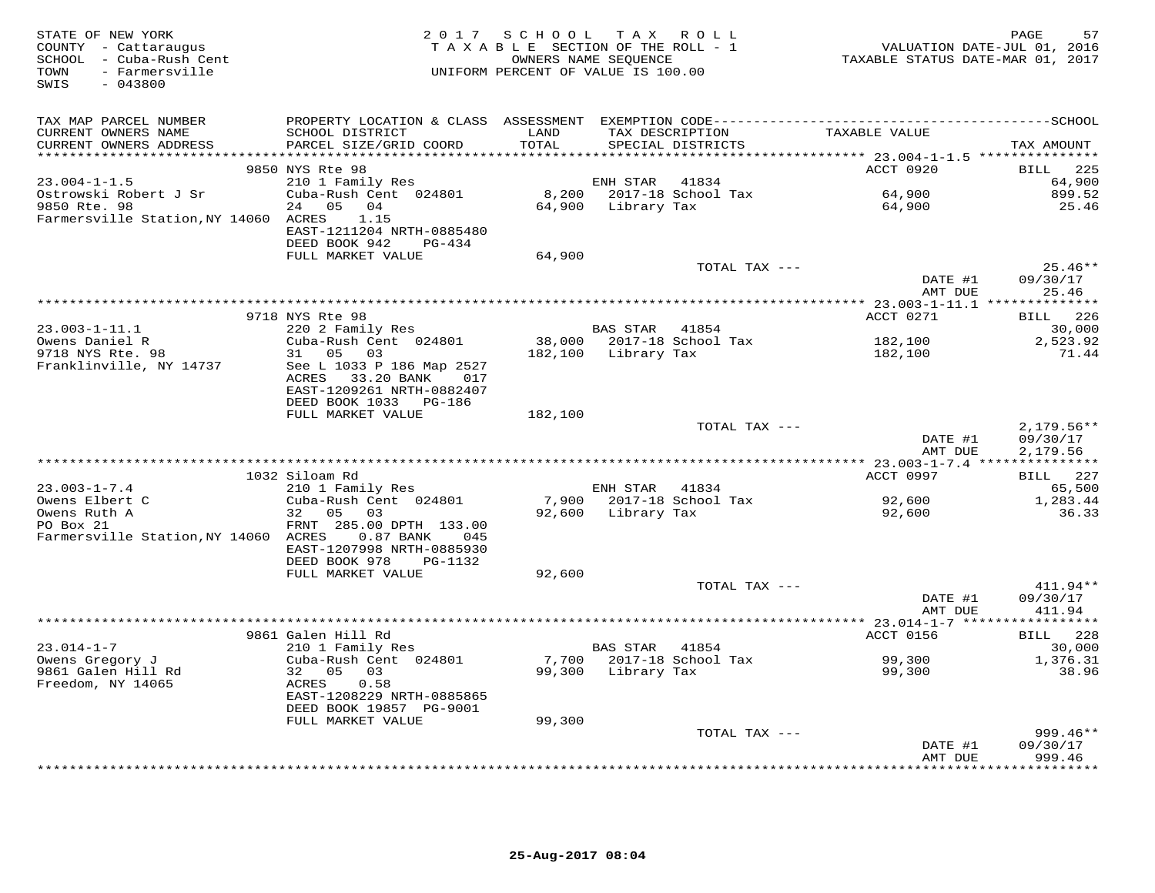| STATE OF NEW YORK<br>COUNTY - Cattaraugus<br>SCHOOL - Cuba-Rush Cent<br>- Farmersville<br>TOWN<br>$-043800$<br>SWIS | 2 0 1 7                                                                                                                            | SCHOOL TAX ROLL<br>TAXABLE SECTION OF THE ROLL - 1<br>OWNERS NAME SEQUENCE<br>UNIFORM PERCENT OF VALUE IS 100.00 |                 |                                      | VALUATION DATE-JUL 01, 2016<br>TAXABLE STATUS DATE-MAR 01, 2017 | 57<br>PAGE                           |
|---------------------------------------------------------------------------------------------------------------------|------------------------------------------------------------------------------------------------------------------------------------|------------------------------------------------------------------------------------------------------------------|-----------------|--------------------------------------|-----------------------------------------------------------------|--------------------------------------|
| TAX MAP PARCEL NUMBER<br>CURRENT OWNERS NAME<br>CURRENT OWNERS ADDRESS                                              | SCHOOL DISTRICT<br>PARCEL SIZE/GRID COORD                                                                                          | LAND<br>TOTAL                                                                                                    |                 | TAX DESCRIPTION<br>SPECIAL DISTRICTS | TAXABLE VALUE                                                   | TAX AMOUNT                           |
|                                                                                                                     |                                                                                                                                    |                                                                                                                  |                 |                                      |                                                                 |                                      |
|                                                                                                                     | 9850 NYS Rte 98                                                                                                                    |                                                                                                                  |                 |                                      | ACCT 0920                                                       | 225<br>BILL                          |
| $23.004 - 1 - 1.5$                                                                                                  | 210 1 Family Res                                                                                                                   |                                                                                                                  | ENH STAR        | 41834                                |                                                                 | 64,900                               |
| Ostrowski Robert J Sr<br>9850 Rte. 98<br>Farmersville Station, NY 14060 ACRES                                       | Cuba-Rush Cent 024801<br>24 05 04<br>1.15<br>EAST-1211204 NRTH-0885480<br>DEED BOOK 942<br>PG-434                                  | 64,900                                                                                                           | Library Tax     | 8,200 2017-18 School Tax             | 64,900<br>64,900                                                | 899.52<br>25.46                      |
|                                                                                                                     | FULL MARKET VALUE                                                                                                                  | 64,900                                                                                                           |                 |                                      |                                                                 |                                      |
|                                                                                                                     |                                                                                                                                    |                                                                                                                  |                 | TOTAL TAX ---                        | DATE #1                                                         | $25.46**$<br>09/30/17                |
|                                                                                                                     |                                                                                                                                    |                                                                                                                  |                 |                                      | AMT DUE                                                         | 25.46                                |
|                                                                                                                     | 9718 NYS Rte 98                                                                                                                    |                                                                                                                  |                 |                                      | ACCT 0271                                                       | 226<br>BILL                          |
| $23.003 - 1 - 11.1$                                                                                                 | 220 2 Family Res                                                                                                                   |                                                                                                                  | <b>BAS STAR</b> | 41854                                |                                                                 | 30,000                               |
| Owens Daniel R                                                                                                      | Cuba-Rush Cent 024801                                                                                                              | 38,000                                                                                                           |                 | 2017-18 School Tax                   | 182,100                                                         | 2,523.92                             |
| 9718 NYS Rte. 98<br>Franklinville, NY 14737                                                                         | 31 05 03<br>See L 1033 P 186 Map 2527<br>33.20 BANK<br>ACRES<br>017<br>EAST-1209261 NRTH-0882407<br>DEED BOOK 1033 PG-186          | 182,100                                                                                                          | Library Tax     |                                      | 182,100                                                         | 71.44                                |
|                                                                                                                     | FULL MARKET VALUE                                                                                                                  | 182,100                                                                                                          |                 | TOTAL TAX ---                        |                                                                 |                                      |
|                                                                                                                     |                                                                                                                                    |                                                                                                                  |                 |                                      | DATE #1<br>AMT DUE                                              | $2,179.56**$<br>09/30/17<br>2,179.56 |
|                                                                                                                     |                                                                                                                                    |                                                                                                                  |                 |                                      |                                                                 |                                      |
| $23.003 - 1 - 7.4$                                                                                                  | 1032 Siloam Rd<br>210 1 Family Res                                                                                                 |                                                                                                                  | ENH STAR        | 41834                                | ACCT 0997                                                       | BILL 227<br>65,500                   |
| Owens Elbert C                                                                                                      | Cuba-Rush Cent 024801                                                                                                              | 7,900                                                                                                            |                 | 2017-18 School Tax                   | 92,600                                                          | 1,283.44                             |
| Owens Ruth A<br>PO Box 21<br>Farmersville Station, NY 14060 ACRES                                                   | 32 05<br>03<br>FRNT 285.00 DPTH 133.00<br>0.87 BANK<br>045<br>EAST-1207998 NRTH-0885930<br>DEED BOOK 978<br>PG-1132                | 92,600                                                                                                           | Library Tax     |                                      | 92,600                                                          | 36.33                                |
|                                                                                                                     | FULL MARKET VALUE                                                                                                                  | 92,600                                                                                                           |                 |                                      |                                                                 |                                      |
|                                                                                                                     |                                                                                                                                    |                                                                                                                  |                 | TOTAL TAX ---                        | DATE #1<br>AMT DUE                                              | 411.94**<br>09/30/17<br>411.94       |
|                                                                                                                     |                                                                                                                                    |                                                                                                                  |                 |                                      |                                                                 |                                      |
|                                                                                                                     | 9861 Galen Hill Rd                                                                                                                 |                                                                                                                  |                 |                                      | ACCT 0156                                                       | BILL 228                             |
| $23.014 - 1 - 7$                                                                                                    | 210 1 Family Res                                                                                                                   |                                                                                                                  | <b>BAS STAR</b> | 41854                                |                                                                 | 30,000                               |
| Owens Gregory J<br>9861 Galen Hill Rd<br>Freedom, NY 14065                                                          | Cuba-Rush Cent 024801<br>32 05<br>03<br>ACRES<br>0.58<br>EAST-1208229 NRTH-0885865<br>DEED BOOK 19857 PG-9001<br>FULL MARKET VALUE | 7,700<br>99,300<br>99,300                                                                                        | Library Tax     | 2017-18 School Tax                   | 99,300<br>99,300                                                | 1,376.31<br>38.96                    |
|                                                                                                                     |                                                                                                                                    |                                                                                                                  |                 | TOTAL TAX ---                        |                                                                 | 999.46**                             |
|                                                                                                                     |                                                                                                                                    |                                                                                                                  |                 |                                      | DATE #1<br>AMT DUE                                              | 09/30/17<br>999.46                   |
|                                                                                                                     |                                                                                                                                    |                                                                                                                  |                 |                                      | *************                                                   | * * * * * * * *                      |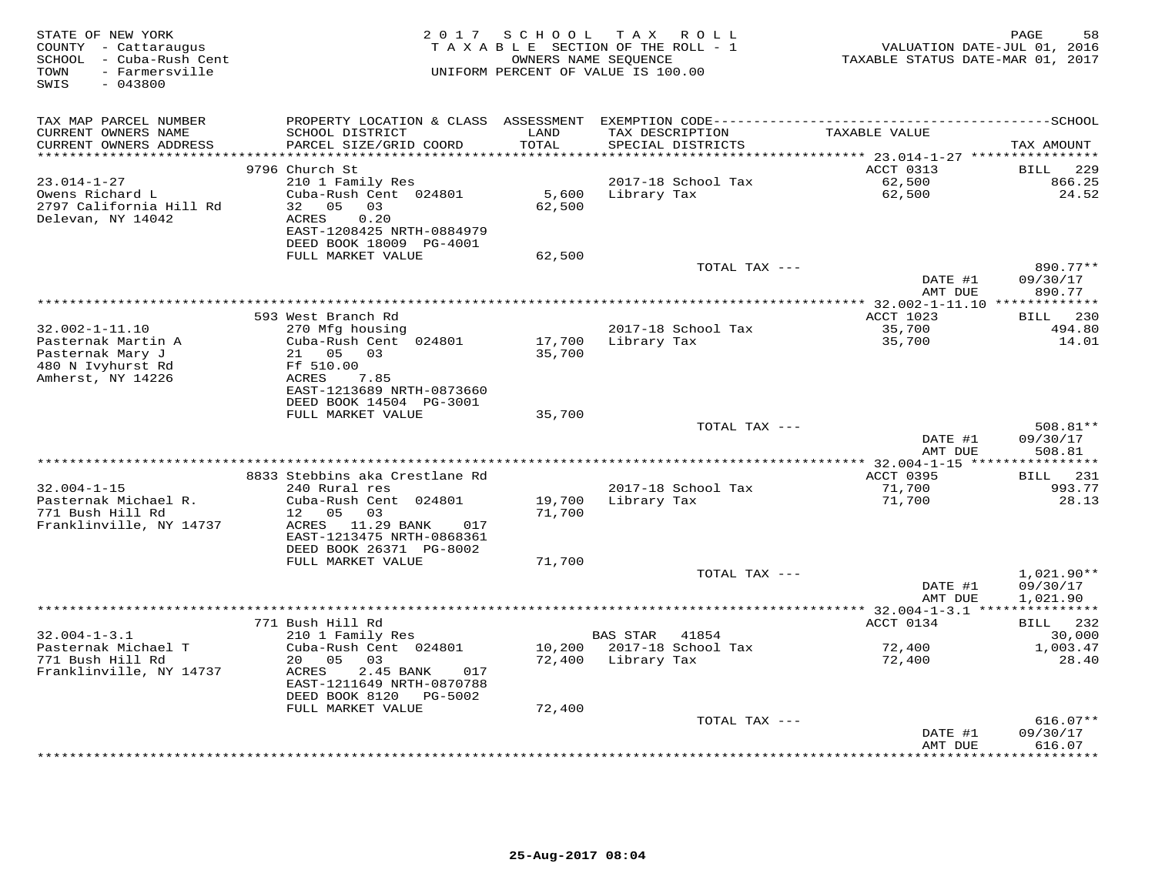| STATE OF NEW YORK<br>COUNTY - Cattaraugus<br>SCHOOL - Cuba-Rush Cent<br>TOWN<br>- Farmersville<br>SWIS<br>$-043800$ |                                                                                                                            | 2017 SCHOOL      | TAX ROLL<br>TAXABLE SECTION OF THE ROLL - 1<br>OWNERS NAME SEQUENCE<br>UNIFORM PERCENT OF VALUE IS 100.00 | VALUATION DATE-JUL 01, 2016<br>TAXABLE STATUS DATE-MAR 01, 2017 | PAGE<br>58                            |
|---------------------------------------------------------------------------------------------------------------------|----------------------------------------------------------------------------------------------------------------------------|------------------|-----------------------------------------------------------------------------------------------------------|-----------------------------------------------------------------|---------------------------------------|
| TAX MAP PARCEL NUMBER<br>CURRENT OWNERS NAME<br>CURRENT OWNERS ADDRESS<br>**********************                    | SCHOOL DISTRICT<br>PARCEL SIZE/GRID COORD                                                                                  | LAND<br>TOTAL    | TAX DESCRIPTION<br>SPECIAL DISTRICTS                                                                      | TAXABLE VALUE                                                   | TAX AMOUNT                            |
|                                                                                                                     | 9796 Church St                                                                                                             |                  |                                                                                                           | ACCT 0313                                                       | <b>BILL</b><br>229                    |
| $23.014 - 1 - 27$                                                                                                   | 210 1 Family Res                                                                                                           |                  | 2017-18 School Tax                                                                                        | 62,500                                                          | 866.25                                |
| Owens Richard L<br>2797 California Hill Rd<br>Delevan, NY 14042                                                     | Cuba-Rush Cent 024801<br>0.5<br>0.3<br>32<br>ACRES<br>0.20<br>EAST-1208425 NRTH-0884979<br>DEED BOOK 18009 PG-4001         | 5,600<br>62,500  | Library Tax                                                                                               | 62,500                                                          | 24.52                                 |
|                                                                                                                     | FULL MARKET VALUE                                                                                                          | 62,500           |                                                                                                           |                                                                 |                                       |
|                                                                                                                     |                                                                                                                            |                  | TOTAL TAX ---                                                                                             | DATE #1<br>AMT DUE                                              | 890.77**<br>09/30/17<br>890.77        |
|                                                                                                                     |                                                                                                                            |                  |                                                                                                           | *************** 32.002-1-11.10 **************<br>ACCT 1023      |                                       |
| $32.002 - 1 - 11.10$                                                                                                | 593 West Branch Rd<br>270 Mfg housing                                                                                      |                  | 2017-18 School Tax                                                                                        | 35,700                                                          | 230<br>BILL<br>494.80                 |
| Pasternak Martin A                                                                                                  | Cuba-Rush Cent 024801                                                                                                      | 17,700           | Library Tax                                                                                               | 35,700                                                          | 14.01                                 |
| Pasternak Mary J<br>480 N Ivyhurst Rd<br>Amherst, NY 14226                                                          | 21 05 03<br>Ff 510.00<br>ACRES<br>7.85<br>EAST-1213689 NRTH-0873660<br>DEED BOOK 14504 PG-3001                             | 35,700           |                                                                                                           |                                                                 |                                       |
|                                                                                                                     | FULL MARKET VALUE                                                                                                          | 35,700           |                                                                                                           |                                                                 |                                       |
|                                                                                                                     |                                                                                                                            |                  | TOTAL TAX ---                                                                                             | DATE #1                                                         | 508.81**<br>09/30/17                  |
|                                                                                                                     |                                                                                                                            |                  |                                                                                                           | AMT DUE                                                         | 508.81<br>***********                 |
|                                                                                                                     | 8833 Stebbins aka Crestlane Rd                                                                                             |                  |                                                                                                           | ********** 32.004-1-15 ****<br>ACCT 0395                        | BILL<br>231                           |
| $32.004 - 1 - 15$                                                                                                   | 240 Rural res                                                                                                              |                  | 2017-18 School Tax                                                                                        | 71,700                                                          | 993.77                                |
| Pasternak Michael R.<br>771 Bush Hill Rd<br>Franklinville, NY 14737                                                 | Cuba-Rush Cent 024801<br>03<br>12<br>05<br>ACRES 11.29 BANK<br>017<br>EAST-1213475 NRTH-0868361<br>DEED BOOK 26371 PG-8002 | 19,700<br>71,700 | Library Tax                                                                                               | 71,700                                                          | 28.13                                 |
|                                                                                                                     | FULL MARKET VALUE                                                                                                          | 71,700           |                                                                                                           |                                                                 |                                       |
|                                                                                                                     |                                                                                                                            |                  | TOTAL TAX ---                                                                                             | DATE #1<br>AMT DUE                                              | 1,021.90**<br>09/30/17<br>1,021.90    |
|                                                                                                                     |                                                                                                                            |                  | ************************                                                                                  | ** $32.004 - 1 - 3.1$ **                                        | ***********                           |
| $32.004 - 1 - 3.1$                                                                                                  | 771 Bush Hill Rd                                                                                                           |                  |                                                                                                           | ACCT 0134                                                       | 232<br>BILL                           |
| Pasternak Michael T                                                                                                 | 210 1 Family Res<br>Cuba-Rush Cent 024801                                                                                  | 10,200           | <b>BAS STAR</b><br>41854<br>2017-18 School Tax                                                            | 72,400                                                          | 30,000<br>1,003.47                    |
| 771 Bush Hill Rd<br>Franklinville, NY 14737                                                                         | 20 05<br>03<br>ACRES<br>2.45 BANK<br>017<br>EAST-1211649 NRTH-0870788<br>DEED BOOK 8120<br>PG-5002<br>FULL MARKET VALUE    | 72,400<br>72,400 | Library Tax                                                                                               | 72,400                                                          | 28.40                                 |
|                                                                                                                     |                                                                                                                            |                  | TOTAL TAX ---                                                                                             |                                                                 | $616.07**$                            |
|                                                                                                                     |                                                                                                                            |                  |                                                                                                           | DATE #1<br>AMT DUE                                              | 09/30/17<br>616.07<br>* * * * * * * * |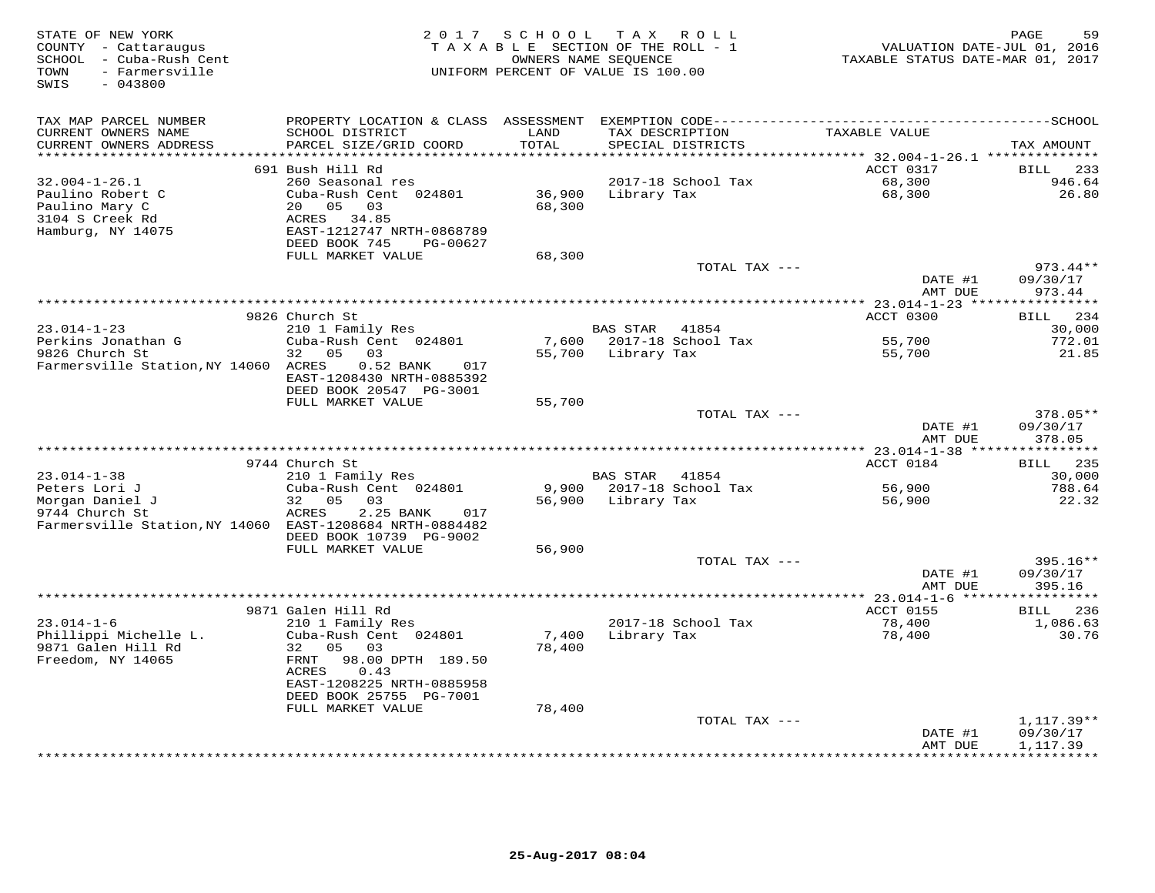| STATE OF NEW YORK<br>COUNTY - Cattaraugus<br>SCHOOL - Cuba-Rush Cent<br>- Farmersville<br>TOWN<br>$-043800$<br>SWIS | 2 0 1 7                                                                                                                                                                          | SCHOOL<br>TAXABLE SECTION OF THE ROLL - 1<br>OWNERS NAME SEOUENCE<br>UNIFORM PERCENT OF VALUE IS 100.00 |                 | TAX ROLL                             | VALUATION DATE-JUL 01, 2016<br>TAXABLE STATUS DATE-MAR 01, 2017 | 59<br>PAGE                            |
|---------------------------------------------------------------------------------------------------------------------|----------------------------------------------------------------------------------------------------------------------------------------------------------------------------------|---------------------------------------------------------------------------------------------------------|-----------------|--------------------------------------|-----------------------------------------------------------------|---------------------------------------|
| TAX MAP PARCEL NUMBER<br>CURRENT OWNERS NAME<br>CURRENT OWNERS ADDRESS                                              | SCHOOL DISTRICT<br>PARCEL SIZE/GRID COORD                                                                                                                                        | LAND<br>TOTAL                                                                                           |                 | TAX DESCRIPTION<br>SPECIAL DISTRICTS | TAXABLE VALUE                                                   | TAX AMOUNT                            |
| **********************                                                                                              |                                                                                                                                                                                  |                                                                                                         |                 |                                      |                                                                 |                                       |
| $32.004 - 1 - 26.1$<br>Paulino Robert C<br>Paulino Mary C<br>3104 S Creek Rd<br>Hamburg, NY 14075                   | 691 Bush Hill Rd<br>260 Seasonal res<br>Cuba-Rush Cent 024801<br>20 05<br>03<br>ACRES 34.85<br>EAST-1212747 NRTH-0868789<br>DEED BOOK 745<br>PG-00627<br>FULL MARKET VALUE       | 36,900<br>68,300<br>68,300                                                                              | Library Tax     | 2017-18 School Tax                   | ACCT 0317<br>68,300<br>68,300                                   | 233<br><b>BILL</b><br>946.64<br>26.80 |
|                                                                                                                     |                                                                                                                                                                                  |                                                                                                         |                 | TOTAL TAX ---                        |                                                                 | 973.44**                              |
|                                                                                                                     |                                                                                                                                                                                  |                                                                                                         |                 |                                      | DATE #1<br>AMT DUE                                              | 09/30/17<br>973.44                    |
|                                                                                                                     |                                                                                                                                                                                  |                                                                                                         |                 |                                      | ** 23.014-1-23 ****                                             | **********                            |
| $23.014 - 1 - 23$                                                                                                   | 9826 Church St<br>210 1 Family Res                                                                                                                                               |                                                                                                         | BAS STAR 41854  |                                      | ACCT 0300                                                       | 234<br>BILL<br>30,000                 |
| Perkins Jonathan G                                                                                                  | Cuba-Rush Cent 024801                                                                                                                                                            |                                                                                                         |                 | 7,600 2017-18 School Tax             | 55,700                                                          | 772.01                                |
| 9826 Church St<br>Farmersville Station, NY 14060 ACRES                                                              | 05<br>03<br>32<br>0.52 BANK<br>017<br>EAST-1208430 NRTH-0885392<br>DEED BOOK 20547 PG-3001                                                                                       | 55,700                                                                                                  | Library Tax     |                                      | 55,700                                                          | 21.85                                 |
|                                                                                                                     | FULL MARKET VALUE                                                                                                                                                                | 55,700                                                                                                  |                 | TOTAL TAX ---                        |                                                                 | 378.05**                              |
|                                                                                                                     |                                                                                                                                                                                  |                                                                                                         |                 |                                      | DATE #1<br>AMT DUE                                              | 09/30/17<br>378.05                    |
|                                                                                                                     |                                                                                                                                                                                  |                                                                                                         |                 |                                      |                                                                 |                                       |
|                                                                                                                     | 9744 Church St                                                                                                                                                                   |                                                                                                         |                 |                                      | ACCT 0184                                                       | 235<br>BILL                           |
| $23.014 - 1 - 38$<br>Peters Lori J                                                                                  | 210 1 Family Res<br>Cuba-Rush Cent 024801                                                                                                                                        | 9,900                                                                                                   | <b>BAS STAR</b> | 41854<br>2017-18 School Tax          | 56,900                                                          | 30,000<br>788.64                      |
| Morgan Daniel J<br>9744 Church St<br>Farmersville Station, NY 14060 EAST-1208684 NRTH-0884482                       | 32<br>0.5<br>0.3<br>ACRES<br>2.25 BANK<br>017<br>DEED BOOK 10739 PG-9002                                                                                                         | 56,900                                                                                                  | Library Tax     |                                      | 56,900                                                          | 22.32                                 |
|                                                                                                                     | FULL MARKET VALUE                                                                                                                                                                | 56,900                                                                                                  |                 |                                      |                                                                 |                                       |
|                                                                                                                     |                                                                                                                                                                                  |                                                                                                         |                 | TOTAL TAX ---                        | DATE #1<br>AMT DUE                                              | 395.16**<br>09/30/17<br>395.16        |
|                                                                                                                     | 9871 Galen Hill Rd                                                                                                                                                               |                                                                                                         |                 |                                      | *** 23.014-1-6 ******************<br>ACCT 0155                  | 236<br>BILL                           |
| $23.014 - 1 - 6$<br>Phillippi Michelle L.<br>9871 Galen Hill Rd<br>Freedom, NY 14065                                | 210 1 Family Res<br>Cuba-Rush Cent 024801<br>32 05 03<br>FRNT<br>98.00 DPTH 189.50<br>ACRES<br>0.43<br>EAST-1208225 NRTH-0885958<br>DEED BOOK 25755 PG-7001<br>FULL MARKET VALUE | 7,400<br>78,400<br>78,400                                                                               | Library Tax     | 2017-18 School Tax                   | 78,400<br>78,400                                                | 1,086.63<br>30.76                     |
|                                                                                                                     |                                                                                                                                                                                  |                                                                                                         |                 | TOTAL TAX ---                        |                                                                 | $1,117.39**$                          |
|                                                                                                                     |                                                                                                                                                                                  |                                                                                                         |                 |                                      | DATE #1<br>AMT DUE                                              | 09/30/17<br>1,117.39                  |
|                                                                                                                     |                                                                                                                                                                                  |                                                                                                         |                 |                                      | * * * * * * * * * * * * *                                       | **********                            |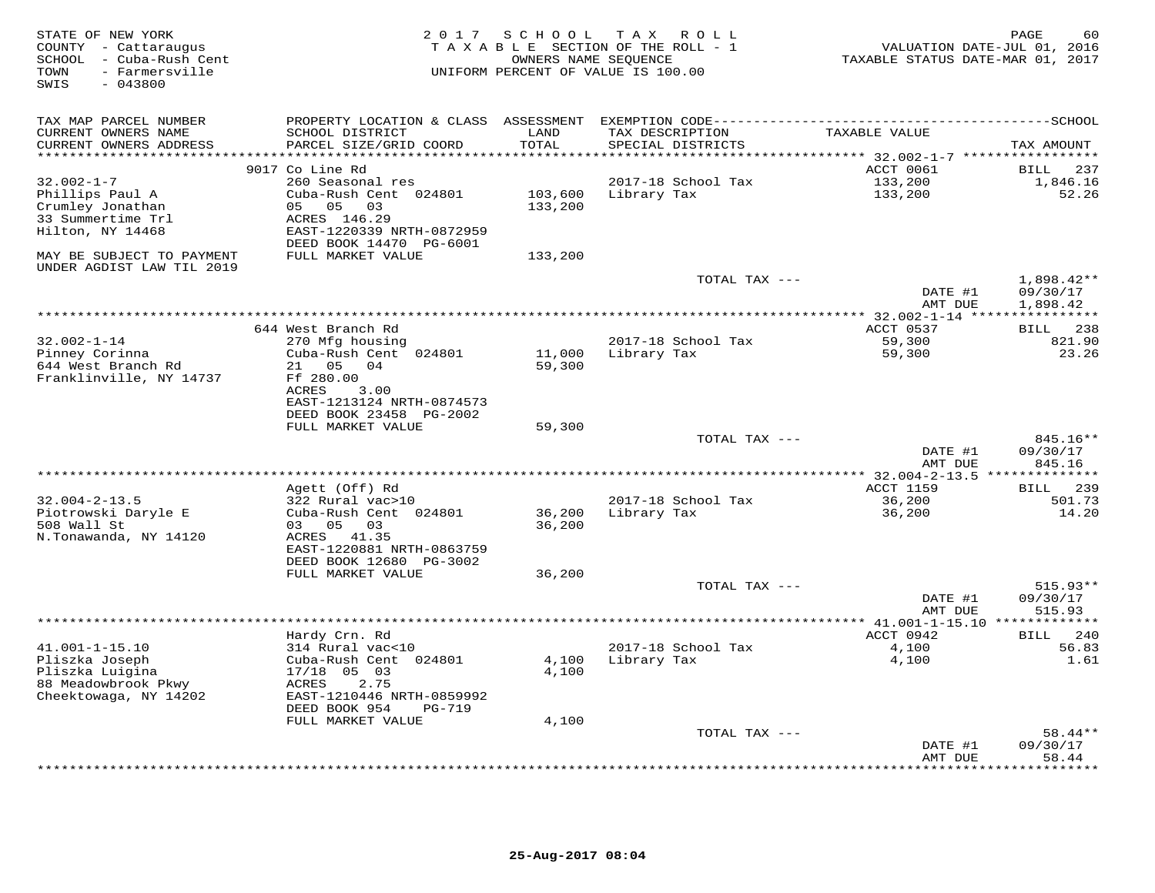| STATE OF NEW YORK<br>COUNTY - Cattaraugus<br>- Cuba-Rush Cent<br>SCHOOL<br>- Farmersville<br>TOWN<br>SWIS<br>$-043800$ | 2 0 1 7                                                                                                                                                   | SCHOOL                   | T A X<br>R O L L<br>TAXABLE SECTION OF THE ROLL - 1<br>OWNERS NAME SEQUENCE<br>UNIFORM PERCENT OF VALUE IS 100.00 | TAXABLE STATUS DATE-MAR 01, 2017                                              | 60<br>PAGE<br>VALUATION DATE-JUL 01, 2016 |
|------------------------------------------------------------------------------------------------------------------------|-----------------------------------------------------------------------------------------------------------------------------------------------------------|--------------------------|-------------------------------------------------------------------------------------------------------------------|-------------------------------------------------------------------------------|-------------------------------------------|
| TAX MAP PARCEL NUMBER                                                                                                  | PROPERTY LOCATION & CLASS ASSESSMENT                                                                                                                      |                          |                                                                                                                   |                                                                               |                                           |
| CURRENT OWNERS NAME<br>CURRENT OWNERS ADDRESS<br>*********************                                                 | SCHOOL DISTRICT<br>PARCEL SIZE/GRID COORD<br>***********************                                                                                      | LAND<br>TOTAL<br>******* | TAX DESCRIPTION<br>SPECIAL DISTRICTS                                                                              | TAXABLE VALUE                                                                 | TAX AMOUNT                                |
|                                                                                                                        | 9017 Co Line Rd                                                                                                                                           |                          |                                                                                                                   | ***********************************72.002-1-7 ******************<br>ACCT 0061 | <b>BILL</b><br>237                        |
| $32.002 - 1 - 7$<br>Phillips Paul A<br>Crumley Jonathan<br>33 Summertime Trl<br>Hilton, NY 14468                       | 260 Seasonal res<br>Cuba-Rush Cent 024801<br>05<br>05<br>03<br>ACRES 146.29<br>EAST-1220339 NRTH-0872959<br>DEED BOOK 14470 PG-6001                       | 103,600<br>133,200       | 2017-18 School Tax<br>Library Tax                                                                                 | 133,200<br>133,200                                                            | 1,846.16<br>52.26                         |
| MAY BE SUBJECT TO PAYMENT<br>UNDER AGDIST LAW TIL 2019                                                                 | FULL MARKET VALUE                                                                                                                                         | 133,200                  |                                                                                                                   |                                                                               |                                           |
|                                                                                                                        |                                                                                                                                                           |                          | TOTAL TAX ---                                                                                                     | DATE #1                                                                       | $1,898.42**$<br>09/30/17                  |
|                                                                                                                        |                                                                                                                                                           |                          |                                                                                                                   | AMT DUE<br>******** 32.002-1-14 **                                            | 1,898.42                                  |
|                                                                                                                        | 644 West Branch Rd                                                                                                                                        |                          |                                                                                                                   | ACCT 0537                                                                     | <b>BILL</b><br>238                        |
| $32.002 - 1 - 14$<br>Pinney Corinna<br>644 West Branch Rd<br>Franklinville, NY 14737                                   | 270 Mfg housing<br>Cuba-Rush Cent 024801<br>05<br>04<br>21<br>Ff 280.00<br>ACRES<br>3.00                                                                  | 11,000<br>59,300         | 2017-18 School Tax<br>Library Tax                                                                                 | 59,300<br>59,300                                                              | 821.90<br>23.26                           |
|                                                                                                                        | EAST-1213124 NRTH-0874573<br>DEED BOOK 23458 PG-2002<br>FULL MARKET VALUE                                                                                 | 59,300                   |                                                                                                                   |                                                                               |                                           |
|                                                                                                                        |                                                                                                                                                           |                          | TOTAL TAX ---                                                                                                     |                                                                               | 845.16**                                  |
|                                                                                                                        |                                                                                                                                                           |                          |                                                                                                                   | DATE #1<br>AMT DUE                                                            | 09/30/17<br>845.16                        |
|                                                                                                                        |                                                                                                                                                           |                          |                                                                                                                   | ******** 32.004-2-13.5                                                        | ********                                  |
| $32.004 - 2 - 13.5$                                                                                                    | Agett (Off) Rd<br>322 Rural vac>10                                                                                                                        |                          | 2017-18 School Tax                                                                                                | <b>ACCT 1159</b><br>36,200                                                    | BILL<br>239<br>501.73                     |
| Piotrowski Daryle E<br>508 Wall St<br>N.Tonawanda, NY 14120                                                            | Cuba-Rush Cent 024801<br>03 05<br>03<br>ACRES 41.35<br>EAST-1220881 NRTH-0863759                                                                          | 36,200<br>36,200         | Library Tax                                                                                                       | 36,200                                                                        | 14.20                                     |
|                                                                                                                        | DEED BOOK 12680 PG-3002<br>FULL MARKET VALUE                                                                                                              | 36,200                   |                                                                                                                   |                                                                               |                                           |
|                                                                                                                        |                                                                                                                                                           |                          | TOTAL TAX ---                                                                                                     | DATE #1<br>AMT DUE                                                            | $515.93**$<br>09/30/17<br>515.93          |
|                                                                                                                        |                                                                                                                                                           |                          |                                                                                                                   | **** 41.001-1-15.10 *************                                             |                                           |
| $41.001 - 1 - 15.10$<br>Pliszka Joseph<br>Pliszka Luigina<br>88 Meadowbrook Pkwy<br>Cheektowaga, NY 14202              | Hardy Crn. Rd<br>314 Rural vac<10<br>Cuba-Rush Cent 024801<br>17/18 05 03<br>2.75<br>ACRES<br>EAST-1210446 NRTH-0859992<br>DEED BOOK 954<br><b>PG-719</b> | 4,100<br>4,100           | 2017-18 School Tax<br>Library Tax                                                                                 | ACCT 0942<br>4,100<br>4,100                                                   | 240<br>BILL<br>56.83<br>1.61              |
|                                                                                                                        | FULL MARKET VALUE                                                                                                                                         | 4,100                    |                                                                                                                   |                                                                               |                                           |
|                                                                                                                        |                                                                                                                                                           |                          | TOTAL TAX ---                                                                                                     | DATE #1<br>AMT DUE                                                            | $58.44**$<br>09/30/17<br>58.44            |
|                                                                                                                        |                                                                                                                                                           |                          |                                                                                                                   | * * * * * * * * ·                                                             | . * * * * * * ·                           |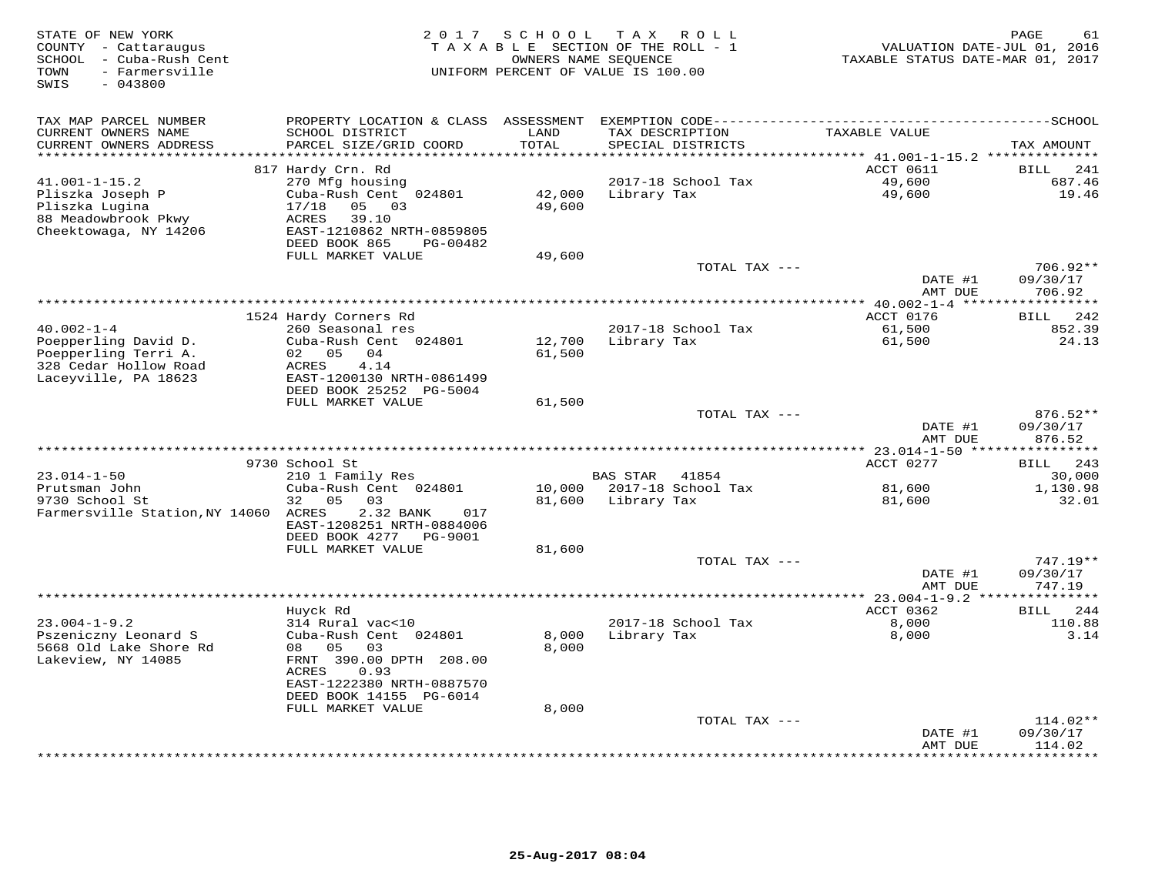| STATE OF NEW YORK<br>COUNTY - Cattaraugus<br>- Cuba-Rush Cent<br>SCHOOL<br>- Farmersville<br>TOWN<br>SWIS<br>$-043800$ | 2 0 1 7                                                                                                                                   | SCHOOL           | T A X<br>R O L L<br>TAXABLE SECTION OF THE ROLL - 1<br>OWNERS NAME SEQUENCE<br>UNIFORM PERCENT OF VALUE IS 100.00 | TAXABLE STATUS DATE-MAR 01, 2017      | PAGE<br>61<br>VALUATION DATE-JUL 01, 2016 |
|------------------------------------------------------------------------------------------------------------------------|-------------------------------------------------------------------------------------------------------------------------------------------|------------------|-------------------------------------------------------------------------------------------------------------------|---------------------------------------|-------------------------------------------|
| TAX MAP PARCEL NUMBER<br>CURRENT OWNERS NAME<br>CURRENT OWNERS ADDRESS                                                 | SCHOOL DISTRICT<br>PARCEL SIZE/GRID COORD                                                                                                 | LAND<br>TOTAL    | TAX DESCRIPTION<br>SPECIAL DISTRICTS                                                                              | TAXABLE VALUE                         | TAX AMOUNT                                |
|                                                                                                                        |                                                                                                                                           | *****            |                                                                                                                   | ****** 41.001-1-15.2 *********        |                                           |
|                                                                                                                        | 817 Hardy Crn. Rd                                                                                                                         |                  |                                                                                                                   | ACCT 0611                             | BILL<br>241                               |
| 41.001-1-15.2<br>Pliszka Joseph P<br>Pliszka Lugina<br>88 Meadowbrook Pkwy<br>Cheektowaga, NY 14206                    | 270 Mfg housing<br>Cuba-Rush Cent 024801<br>05<br>17/18<br>03<br>39.10<br>ACRES<br>EAST-1210862 NRTH-0859805<br>DEED BOOK 865<br>PG-00482 | 42,000<br>49,600 | 2017-18 School Tax<br>Library Tax                                                                                 | 49,600<br>49,600                      | 687.46<br>19.46                           |
|                                                                                                                        | FULL MARKET VALUE                                                                                                                         | 49,600           |                                                                                                                   |                                       |                                           |
|                                                                                                                        |                                                                                                                                           |                  | TOTAL TAX ---                                                                                                     | DATE #1<br>AMT DUE                    | 706.92**<br>09/30/17<br>706.92            |
|                                                                                                                        |                                                                                                                                           |                  |                                                                                                                   |                                       |                                           |
|                                                                                                                        | 1524 Hardy Corners Rd                                                                                                                     |                  |                                                                                                                   | ACCT 0176                             | 242<br>BILL                               |
| $40.002 - 1 - 4$<br>Poepperling David D.                                                                               | 260 Seasonal res<br>Cuba-Rush Cent 024801                                                                                                 | 12,700           | 2017-18 School Tax<br>Library Tax                                                                                 | 61,500<br>61,500                      | 852.39<br>24.13                           |
| Poepperling Terri A.<br>328 Cedar Hollow Road<br>Laceyville, PA 18623                                                  | 05<br>04<br>02<br>4.14<br>ACRES<br>EAST-1200130 NRTH-0861499<br>DEED BOOK 25252 PG-5004                                                   | 61,500           |                                                                                                                   |                                       |                                           |
|                                                                                                                        | FULL MARKET VALUE                                                                                                                         | 61,500           | TOTAL TAX ---                                                                                                     |                                       | $876.52**$                                |
|                                                                                                                        |                                                                                                                                           |                  |                                                                                                                   | DATE #1<br>AMT DUE                    | 09/30/17<br>876.52                        |
|                                                                                                                        |                                                                                                                                           |                  |                                                                                                                   |                                       |                                           |
|                                                                                                                        | 9730 School St                                                                                                                            |                  |                                                                                                                   | ACCT 0277                             | 243<br>BILL                               |
| $23.014 - 1 - 50$                                                                                                      | 210 1 Family Res                                                                                                                          |                  | <b>BAS STAR</b><br>41854                                                                                          |                                       | 30,000                                    |
| Prutsman John<br>9730 School St<br>Farmersville Station, NY 14060 ACRES                                                | Cuba-Rush Cent 024801<br>32<br>05<br>03<br>2.32 BANK<br>017                                                                               | 10,000<br>81,600 | 2017-18 School Tax<br>Library Tax                                                                                 | 81,600<br>81,600                      | 1,130.98<br>32.01                         |
|                                                                                                                        | EAST-1208251 NRTH-0884006<br>DEED BOOK 4277 PG-9001                                                                                       |                  |                                                                                                                   |                                       |                                           |
|                                                                                                                        | FULL MARKET VALUE                                                                                                                         | 81,600           |                                                                                                                   |                                       |                                           |
|                                                                                                                        |                                                                                                                                           |                  | TOTAL TAX ---                                                                                                     | DATE #1<br>AMT DUE                    | 747.19**<br>09/30/17<br>747.19            |
|                                                                                                                        |                                                                                                                                           |                  | ************************************                                                                              | $******$ 23.004-1-9.2 *************** |                                           |
| $23.004 - 1 - 9.2$                                                                                                     | Huyck Rd<br>314 Rural vac<10                                                                                                              |                  | 2017-18 School Tax                                                                                                | ACCT 0362<br>8,000                    | 244<br>BILL<br>110.88                     |
| Pszeniczny Leonard S<br>5668 Old Lake Shore Rd<br>Lakeview, NY 14085                                                   | Cuba-Rush Cent 024801<br>05<br>08<br>03<br>FRNT 390.00 DPTH 208.00<br>ACRES<br>0.93                                                       | 8,000<br>8,000   | Library Tax                                                                                                       | 8,000                                 | 3.14                                      |
|                                                                                                                        | EAST-1222380 NRTH-0887570<br>DEED BOOK 14155 PG-6014                                                                                      |                  |                                                                                                                   |                                       |                                           |
|                                                                                                                        | FULL MARKET VALUE                                                                                                                         | 8,000            |                                                                                                                   |                                       |                                           |
|                                                                                                                        |                                                                                                                                           |                  | TOTAL TAX ---                                                                                                     | DATE #1<br>AMT DUE                    | $114.02**$<br>09/30/17<br>114.02          |
|                                                                                                                        |                                                                                                                                           |                  |                                                                                                                   |                                       | * * * * * * * *                           |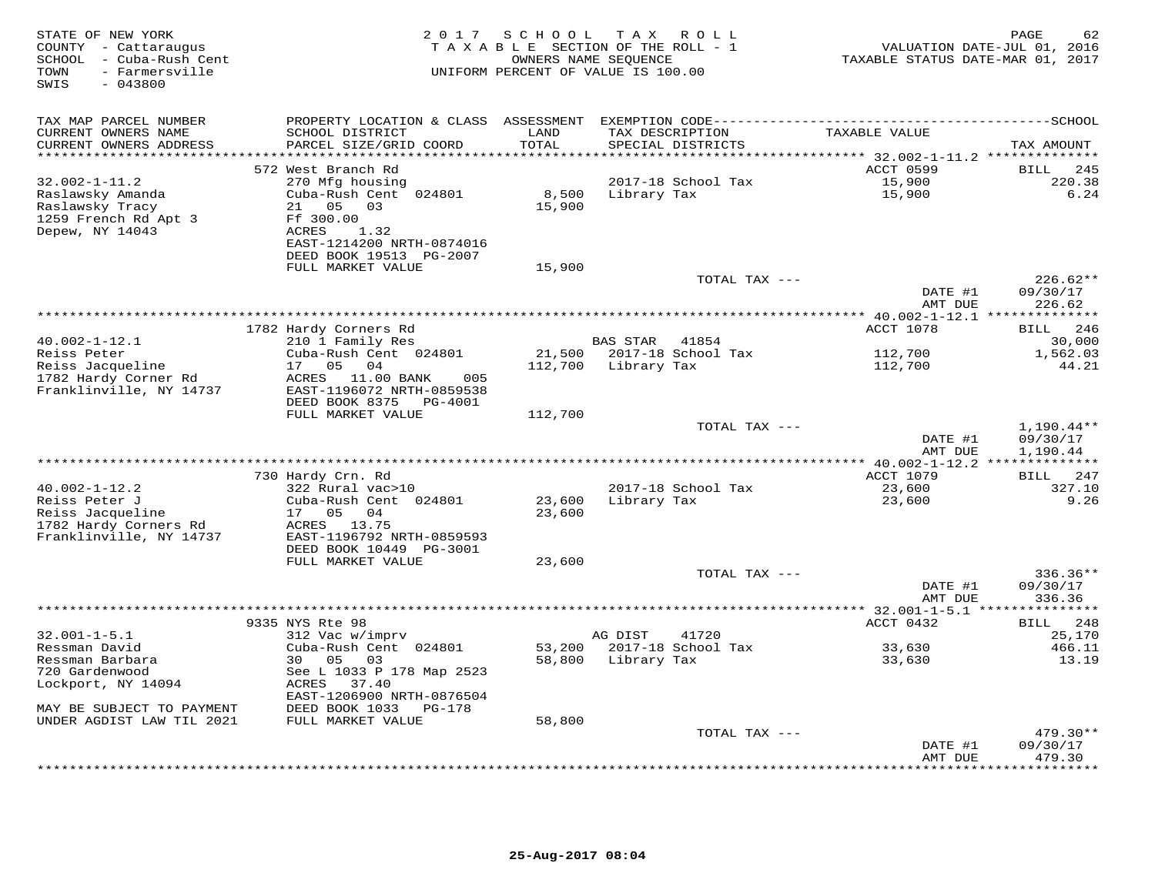| STATE OF NEW YORK<br>COUNTY - Cattaraugus<br>SCHOOL - Cuba-Rush Cent<br>- Farmersville<br>TOWN<br>SWIS<br>$-043800$ | 2 0 1 7                                                                                                                                     | SCHOOL               | TAX ROLL<br>TAXABLE SECTION OF THE ROLL - 1<br>OWNERS NAME SEQUENCE<br>UNIFORM PERCENT OF VALUE IS 100.00 | TAXABLE STATUS DATE-MAR 01, 2017     | PAGE<br>62<br>VALUATION DATE-JUL 01, 2016 |
|---------------------------------------------------------------------------------------------------------------------|---------------------------------------------------------------------------------------------------------------------------------------------|----------------------|-----------------------------------------------------------------------------------------------------------|--------------------------------------|-------------------------------------------|
| TAX MAP PARCEL NUMBER                                                                                               | PROPERTY LOCATION & CLASS ASSESSMENT                                                                                                        |                      |                                                                                                           |                                      |                                           |
| CURRENT OWNERS NAME<br>CURRENT OWNERS ADDRESS                                                                       | SCHOOL DISTRICT<br>PARCEL SIZE/GRID COORD                                                                                                   | LAND<br>TOTAL        | TAX DESCRIPTION<br>SPECIAL DISTRICTS                                                                      | TAXABLE VALUE                        | TAX AMOUNT                                |
|                                                                                                                     |                                                                                                                                             | ******               |                                                                                                           | ******* 32.002-1-11.2 ************** |                                           |
| $32.002 - 1 - 11.2$<br>Raslawsky Amanda<br>Raslawsky Tracy<br>1259 French Rd Apt 3<br>Depew, NY 14043               | 572 West Branch Rd<br>270 Mfg housing<br>Cuba-Rush Cent 024801<br>21<br>05<br>03<br>Ff 300.00<br>ACRES<br>1.32<br>EAST-1214200 NRTH-0874016 | 8,500<br>15,900      | 2017-18 School Tax<br>Library Tax                                                                         | ACCT 0599<br>15,900<br>15,900        | BILL<br>245<br>220.38<br>6.24             |
|                                                                                                                     | DEED BOOK 19513 PG-2007                                                                                                                     |                      |                                                                                                           |                                      |                                           |
|                                                                                                                     | FULL MARKET VALUE                                                                                                                           | 15,900               | TOTAL TAX ---                                                                                             |                                      | $226.62**$                                |
|                                                                                                                     |                                                                                                                                             |                      |                                                                                                           | DATE #1<br>AMT DUE                   | 09/30/17<br>226.62                        |
|                                                                                                                     |                                                                                                                                             | ******************** |                                                                                                           | *** 40.002-1-12.1 **                 | * * * * * * * * *                         |
| $40.002 - 1 - 12.1$                                                                                                 | 1782 Hardy Corners Rd<br>210 1 Family Res                                                                                                   |                      | <b>BAS STAR</b><br>41854                                                                                  | ACCT 1078                            | BILL<br>246<br>30,000                     |
| Reiss Peter                                                                                                         | Cuba-Rush Cent 024801                                                                                                                       | 21,500               | 2017-18 School Tax                                                                                        | 112,700                              | 1,562.03                                  |
| Reiss Jacqueline<br>1782 Hardy Corner Rd<br>Franklinville, NY 14737                                                 | 17<br>05<br>04<br>ACRES 11.00 BANK<br>005<br>EAST-1196072 NRTH-0859538<br>DEED BOOK 8375<br>PG-4001                                         | 112,700              | Library Tax                                                                                               | 112,700                              | 44.21                                     |
|                                                                                                                     | FULL MARKET VALUE                                                                                                                           | 112,700              |                                                                                                           |                                      |                                           |
|                                                                                                                     |                                                                                                                                             |                      | TOTAL TAX ---                                                                                             | DATE #1<br>AMT DUE                   | 1,190.44**<br>09/30/17<br>1,190.44        |
|                                                                                                                     |                                                                                                                                             |                      |                                                                                                           |                                      |                                           |
|                                                                                                                     | 730 Hardy Crn. Rd                                                                                                                           |                      |                                                                                                           | ACCT 1079                            | 247<br><b>BILL</b>                        |
| $40.002 - 1 - 12.2$<br>Reiss Peter J<br>Reiss Jacqueline                                                            | 322 Rural vac>10<br>Cuba-Rush Cent 024801<br>17 05<br>04                                                                                    | 23,600<br>23,600     | 2017-18 School Tax<br>Library Tax                                                                         | 23,600<br>23,600                     | 327.10<br>9.26                            |
| 1782 Hardy Corners Rd<br>Franklinville, NY 14737                                                                    | ACRES 13.75<br>EAST-1196792 NRTH-0859593<br>DEED BOOK 10449 PG-3001                                                                         |                      |                                                                                                           |                                      |                                           |
|                                                                                                                     | FULL MARKET VALUE                                                                                                                           | 23,600               |                                                                                                           |                                      |                                           |
|                                                                                                                     |                                                                                                                                             |                      | TOTAL TAX ---                                                                                             | DATE #1                              | $336.36**$<br>09/30/17                    |
|                                                                                                                     |                                                                                                                                             |                      |                                                                                                           | AMT DUE                              | 336.36                                    |
|                                                                                                                     | 9335 NYS Rte 98                                                                                                                             |                      |                                                                                                           | ACCT 0432                            | 248<br><b>BILL</b>                        |
| $32.001 - 1 - 5.1$                                                                                                  | 312 Vac w/imprv                                                                                                                             |                      | AG DIST<br>41720                                                                                          |                                      | 25,170                                    |
| Ressman David<br>Ressman Barbara<br>720 Gardenwood                                                                  | Cuba-Rush Cent 024801<br>30<br>05<br>03<br>See L 1033 P 178 Map 2523                                                                        | 53,200<br>58,800     | 2017-18 School Tax<br>Library Tax                                                                         | 33,630<br>33,630                     | 466.11<br>13.19                           |
| Lockport, NY 14094<br>MAY BE SUBJECT TO PAYMENT                                                                     | ACRES<br>37.40<br>EAST-1206900 NRTH-0876504<br>DEED BOOK 1033<br>PG-178                                                                     |                      |                                                                                                           |                                      |                                           |
| UNDER AGDIST LAW TIL 2021                                                                                           | FULL MARKET VALUE                                                                                                                           | 58,800               |                                                                                                           |                                      |                                           |
|                                                                                                                     |                                                                                                                                             |                      | TOTAL TAX ---                                                                                             |                                      | $479.30**$                                |
|                                                                                                                     |                                                                                                                                             |                      |                                                                                                           | DATE #1<br>AMT DUE                   | 09/30/17<br>479.30<br>* * * * * * *       |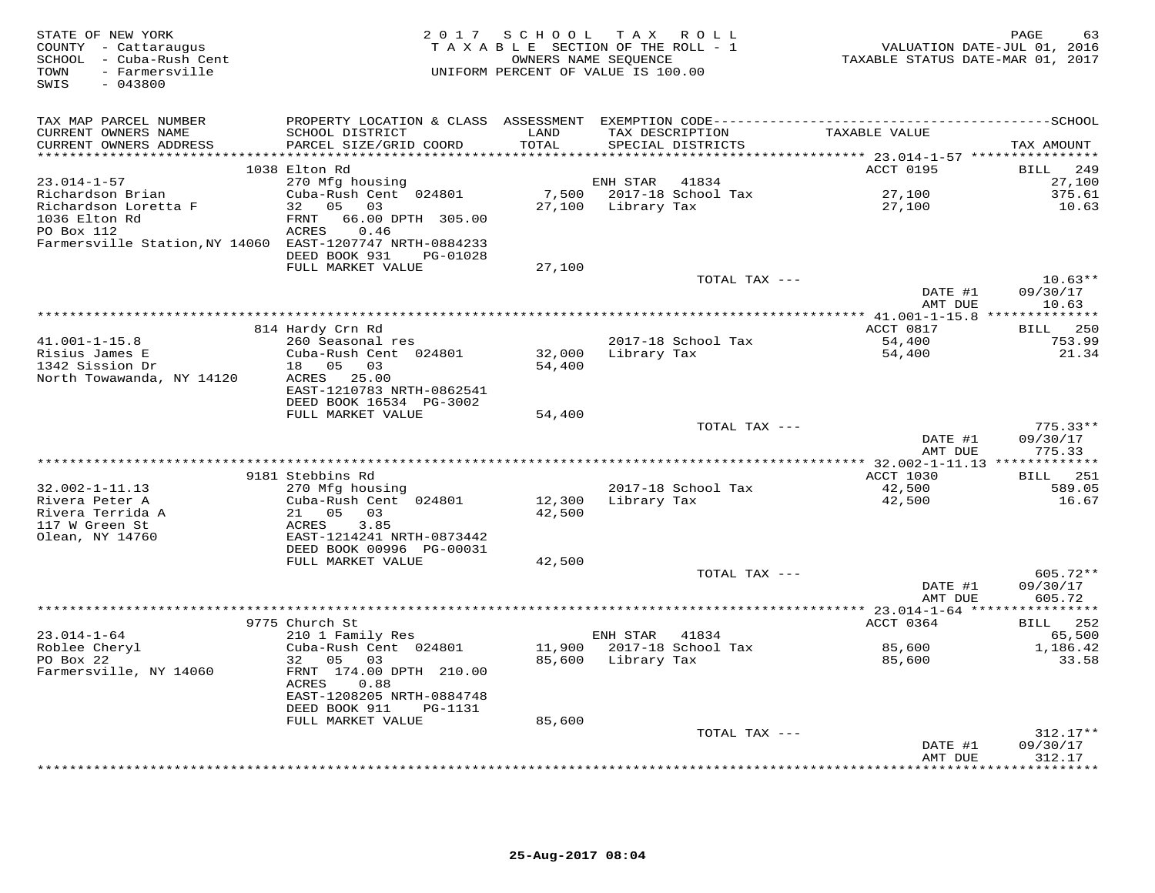| STATE OF NEW YORK<br>COUNTY - Cattaraugus<br>SCHOOL - Cuba-Rush Cent<br>- Farmersville<br>TOWN<br>SWIS<br>$-043800$ | 2 0 1 7                                              | SCHOOL | TAX ROLL<br>TAXABLE SECTION OF THE ROLL - 1<br>OWNERS NAME SEQUENCE<br>UNIFORM PERCENT OF VALUE IS 100.00 | VALUATION DATE-JUL 01, 2016<br>TAXABLE STATUS DATE-MAR 01, 2017 | PAGE<br>63                   |
|---------------------------------------------------------------------------------------------------------------------|------------------------------------------------------|--------|-----------------------------------------------------------------------------------------------------------|-----------------------------------------------------------------|------------------------------|
| TAX MAP PARCEL NUMBER                                                                                               |                                                      |        |                                                                                                           |                                                                 |                              |
| CURRENT OWNERS NAME                                                                                                 | SCHOOL DISTRICT                                      | LAND   | TAX DESCRIPTION                                                                                           | TAXABLE VALUE                                                   |                              |
| CURRENT OWNERS ADDRESS<br>***********************                                                                   | PARCEL SIZE/GRID COORD                               | TOTAL  | SPECIAL DISTRICTS                                                                                         |                                                                 | TAX AMOUNT                   |
|                                                                                                                     | 1038 Elton Rd                                        |        |                                                                                                           | ACCT 0195                                                       | 249<br>BILL                  |
| $23.014 - 1 - 57$                                                                                                   | 270 Mfg housing                                      |        | ENH STAR<br>41834                                                                                         |                                                                 | 27,100                       |
| Richardson Brian                                                                                                    | Cuba-Rush Cent 024801                                | 7,500  | 2017-18 School Tax                                                                                        | 27,100                                                          | 375.61                       |
| Richardson Loretta F                                                                                                | 32 05<br>03                                          | 27,100 | Library Tax                                                                                               | 27,100                                                          | 10.63                        |
| 1036 Elton Rd                                                                                                       | FRNT<br>66.00 DPTH 305.00                            |        |                                                                                                           |                                                                 |                              |
| PO Box 112                                                                                                          | ACRES<br>0.46                                        |        |                                                                                                           |                                                                 |                              |
| Farmersville Station, NY 14060 EAST-1207747 NRTH-0884233                                                            |                                                      |        |                                                                                                           |                                                                 |                              |
|                                                                                                                     | DEED BOOK 931<br>PG-01028                            |        |                                                                                                           |                                                                 |                              |
|                                                                                                                     | FULL MARKET VALUE                                    | 27,100 |                                                                                                           |                                                                 |                              |
|                                                                                                                     |                                                      |        | TOTAL TAX ---                                                                                             | DATE #1                                                         | $10.63**$<br>09/30/17        |
|                                                                                                                     |                                                      |        |                                                                                                           | AMT DUE                                                         | 10.63                        |
|                                                                                                                     |                                                      |        |                                                                                                           |                                                                 |                              |
|                                                                                                                     | 814 Hardy Crn Rd                                     |        |                                                                                                           | ACCT 0817                                                       | 250<br>BILL                  |
| $41.001 - 1 - 15.8$                                                                                                 | 260 Seasonal res                                     |        | 2017-18 School Tax                                                                                        | 54,400                                                          | 753.99                       |
| Risius James E                                                                                                      | Cuba-Rush Cent 024801                                | 32,000 | Library Tax                                                                                               | 54,400                                                          | 21.34                        |
| 1342 Sission Dr                                                                                                     | 18  05  03                                           | 54,400 |                                                                                                           |                                                                 |                              |
| North Towawanda, NY 14120                                                                                           | ACRES 25.00                                          |        |                                                                                                           |                                                                 |                              |
|                                                                                                                     | EAST-1210783 NRTH-0862541<br>DEED BOOK 16534 PG-3002 |        |                                                                                                           |                                                                 |                              |
|                                                                                                                     | FULL MARKET VALUE                                    | 54,400 |                                                                                                           |                                                                 |                              |
|                                                                                                                     |                                                      |        | TOTAL TAX ---                                                                                             |                                                                 | $775.33**$                   |
|                                                                                                                     |                                                      |        |                                                                                                           | DATE #1<br>AMT DUE                                              | 09/30/17<br>775.33           |
|                                                                                                                     |                                                      |        |                                                                                                           |                                                                 |                              |
|                                                                                                                     | 9181 Stebbins Rd                                     |        |                                                                                                           | <b>ACCT 1030</b>                                                | 251<br><b>BILL</b>           |
| $32.002 - 1 - 11.13$                                                                                                | 270 Mfg housing                                      |        | 2017-18 School Tax                                                                                        | 42,500                                                          | 589.05                       |
| Rivera Peter A                                                                                                      | Cuba-Rush Cent 024801                                | 12,300 | Library Tax                                                                                               | 42,500                                                          | 16.67                        |
| Rivera Terrida A<br>117 W Green St                                                                                  | 21 05<br>03<br>3.85<br>ACRES                         | 42,500 |                                                                                                           |                                                                 |                              |
| Olean, NY 14760                                                                                                     | EAST-1214241 NRTH-0873442                            |        |                                                                                                           |                                                                 |                              |
|                                                                                                                     | DEED BOOK 00996 PG-00031                             |        |                                                                                                           |                                                                 |                              |
|                                                                                                                     | FULL MARKET VALUE                                    | 42,500 |                                                                                                           |                                                                 |                              |
|                                                                                                                     |                                                      |        | TOTAL TAX ---                                                                                             |                                                                 | 605.72**                     |
|                                                                                                                     |                                                      |        |                                                                                                           | DATE #1                                                         | 09/30/17                     |
|                                                                                                                     |                                                      |        |                                                                                                           | AMT DUE                                                         | 605.72                       |
|                                                                                                                     |                                                      |        |                                                                                                           | *********** 23.014-1-64 ****                                    | * * * * * * * * * *          |
| $23.014 - 1 - 64$                                                                                                   | 9775 Church St<br>210 1 Family Res                   |        | ENH STAR<br>41834                                                                                         | ACCT 0364                                                       | <b>BILL</b><br>252<br>65,500 |
| Roblee Cheryl                                                                                                       | Cuba-Rush Cent 024801                                | 11,900 | 2017-18 School Tax                                                                                        | 85,600                                                          | 1,186.42                     |
| PO Box 22                                                                                                           | 32<br>05<br>03                                       |        | 85,600 Library Tax                                                                                        | 85,600                                                          | 33.58                        |
| Farmersville, NY 14060                                                                                              | FRNT 174.00 DPTH 210.00                              |        |                                                                                                           |                                                                 |                              |
|                                                                                                                     | ACRES<br>0.88                                        |        |                                                                                                           |                                                                 |                              |
|                                                                                                                     | EAST-1208205 NRTH-0884748                            |        |                                                                                                           |                                                                 |                              |
|                                                                                                                     | DEED BOOK 911<br>PG-1131                             |        |                                                                                                           |                                                                 |                              |
|                                                                                                                     | FULL MARKET VALUE                                    | 85,600 |                                                                                                           |                                                                 |                              |
|                                                                                                                     |                                                      |        | TOTAL TAX ---                                                                                             | DATE #1                                                         | $312.17**$<br>09/30/17       |
|                                                                                                                     |                                                      |        |                                                                                                           | AMT DUE                                                         | 312.17                       |
|                                                                                                                     |                                                      |        | ***********************************                                                                       |                                                                 | * * * * * * * *              |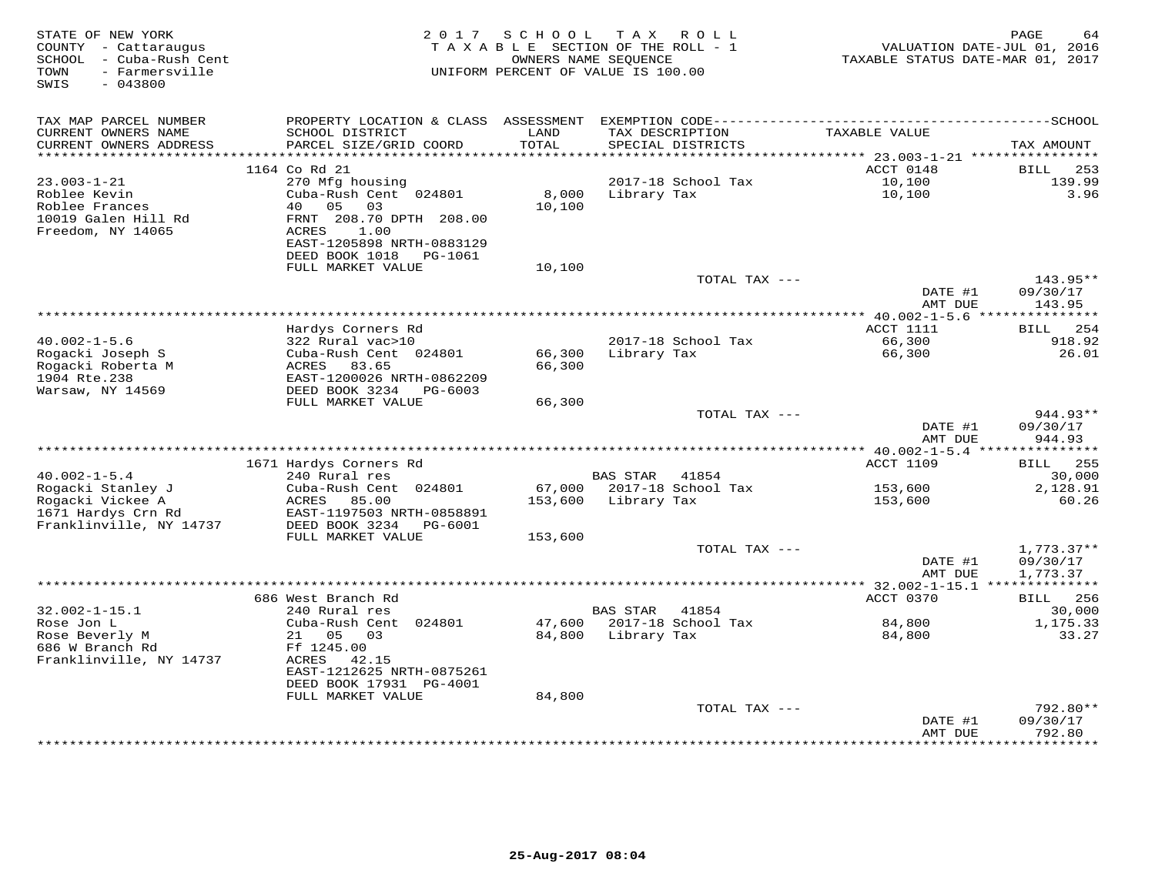| STATE OF NEW YORK<br>COUNTY - Cattaraugus<br>SCHOOL - Cuba-Rush Cent<br>- Farmersville<br>TOWN<br>SWIS<br>$-043800$ |                                                                                     | 2017 SCHOOL                    | TAX ROLL<br>TAXABLE SECTION OF THE ROLL - 1<br>OWNERS NAME SEQUENCE<br>UNIFORM PERCENT OF VALUE IS 100.00 | VALUATION DATE-JUL 01, 2016<br>TAXABLE STATUS DATE-MAR 01, 2017 | PAGE<br>64                       |
|---------------------------------------------------------------------------------------------------------------------|-------------------------------------------------------------------------------------|--------------------------------|-----------------------------------------------------------------------------------------------------------|-----------------------------------------------------------------|----------------------------------|
| TAX MAP PARCEL NUMBER                                                                                               | PROPERTY LOCATION & CLASS                                                           | ASSESSMENT                     |                                                                                                           |                                                                 |                                  |
| CURRENT OWNERS NAME<br>CURRENT OWNERS ADDRESS<br>**********************                                             | SCHOOL DISTRICT<br>PARCEL SIZE/GRID COORD<br>*********************                  | LAND<br>TOTAL<br>************* | TAX DESCRIPTION<br>SPECIAL DISTRICTS<br>**********************                                            | TAXABLE VALUE                                                   | TAX AMOUNT                       |
|                                                                                                                     | 1164 Co Rd 21                                                                       |                                |                                                                                                           | ********** 23.003-1-21 *****************<br>ACCT 0148           | 253<br>BILL                      |
| $23.003 - 1 - 21$                                                                                                   | 270 Mfg housing                                                                     |                                | 2017-18 School Tax                                                                                        | 10,100                                                          | 139.99                           |
| Roblee Kevin<br>Roblee Frances<br>10019 Galen Hill Rd<br>Freedom, NY 14065                                          | Cuba-Rush Cent 024801<br>40<br>05<br>03<br>FRNT 208.70 DPTH 208.00<br>ACRES<br>1.00 | 8,000<br>10,100                | Library Tax                                                                                               | 10,100                                                          | 3.96                             |
|                                                                                                                     | EAST-1205898 NRTH-0883129<br>DEED BOOK 1018<br>PG-1061                              |                                |                                                                                                           |                                                                 |                                  |
|                                                                                                                     | FULL MARKET VALUE                                                                   | 10,100                         | TOTAL TAX ---                                                                                             |                                                                 | 143.95**                         |
|                                                                                                                     |                                                                                     |                                |                                                                                                           | DATE #1<br>AMT DUE                                              | 09/30/17<br>143.95               |
|                                                                                                                     |                                                                                     |                                |                                                                                                           |                                                                 |                                  |
|                                                                                                                     | Hardys Corners Rd                                                                   |                                |                                                                                                           | ACCT 1111                                                       | 254<br>BILL                      |
| $40.002 - 1 - 5.6$                                                                                                  | 322 Rural vac>10                                                                    |                                | 2017-18 School Tax                                                                                        | 66,300                                                          | 918.92                           |
| Rogacki Joseph S                                                                                                    | Cuba-Rush Cent 024801                                                               | 66,300                         | Library Tax                                                                                               | 66,300                                                          | 26.01                            |
| Rogacki Roberta M<br>1904 Rte.238                                                                                   | ACRES<br>83.65<br>EAST-1200026 NRTH-0862209                                         | 66,300                         |                                                                                                           |                                                                 |                                  |
| Warsaw, NY 14569                                                                                                    | DEED BOOK 3234<br>PG-6003                                                           |                                |                                                                                                           |                                                                 |                                  |
|                                                                                                                     | FULL MARKET VALUE                                                                   | 66,300                         |                                                                                                           |                                                                 |                                  |
|                                                                                                                     |                                                                                     |                                | TOTAL TAX ---                                                                                             |                                                                 | 944.93**                         |
|                                                                                                                     |                                                                                     |                                |                                                                                                           | DATE #1                                                         | 09/30/17                         |
| ************************                                                                                            |                                                                                     |                                |                                                                                                           | AMT DUE<br>*** $40.002 - 1 - 5.4$ ****                          | 944.93<br>* * * * * * * * *      |
|                                                                                                                     | 1671 Hardys Corners Rd                                                              |                                |                                                                                                           | ACCT 1109                                                       | 255<br>BILL                      |
| $40.002 - 1 - 5.4$                                                                                                  | 240 Rural res                                                                       |                                | <b>BAS STAR</b><br>41854                                                                                  |                                                                 | 30,000                           |
| Rogacki Stanley J                                                                                                   | Cuba-Rush Cent 024801                                                               | 67,000                         | 2017-18 School Tax                                                                                        | 153,600                                                         | 2,128.91                         |
| Rogacki Vickee A                                                                                                    | <b>ACRES</b><br>85.00                                                               | 153,600                        | Library Tax                                                                                               | 153,600                                                         | 60.26                            |
| 1671 Hardys Crn Rd                                                                                                  | EAST-1197503 NRTH-0858891                                                           |                                |                                                                                                           |                                                                 |                                  |
| Franklinville, NY 14737                                                                                             | DEED BOOK 3234<br>PG-6001<br>FULL MARKET VALUE                                      |                                |                                                                                                           |                                                                 |                                  |
|                                                                                                                     |                                                                                     | 153,600                        | TOTAL TAX ---                                                                                             |                                                                 | $1,773.37**$                     |
|                                                                                                                     |                                                                                     |                                |                                                                                                           | DATE #1<br>AMT DUE                                              | 09/30/17<br>1,773.37             |
|                                                                                                                     |                                                                                     |                                |                                                                                                           | *********** 32.002-1-15.1 ***                                   | ***********                      |
|                                                                                                                     | 686 West Branch Rd                                                                  |                                |                                                                                                           | ACCT 0370                                                       | 256<br>BILL                      |
| $32.002 - 1 - 15.1$                                                                                                 | 240 Rural res                                                                       |                                | <b>BAS STAR</b><br>41854                                                                                  |                                                                 | 30,000                           |
| Rose Jon L<br>Rose Beverly M                                                                                        | Cuba-Rush Cent 024801<br>21<br>05<br>03                                             | 47,600<br>84,800               | 2017-18 School Tax<br>Library Tax                                                                         | 84,800<br>84,800                                                | 1,175.33<br>33.27                |
| 686 W Branch Rd                                                                                                     | Ff 1245.00                                                                          |                                |                                                                                                           |                                                                 |                                  |
| Franklinville, NY 14737                                                                                             | ACRES<br>42.15<br>EAST-1212625 NRTH-0875261                                         |                                |                                                                                                           |                                                                 |                                  |
|                                                                                                                     | DEED BOOK 17931 PG-4001                                                             |                                |                                                                                                           |                                                                 |                                  |
|                                                                                                                     | FULL MARKET VALUE                                                                   | 84,800                         |                                                                                                           |                                                                 |                                  |
|                                                                                                                     |                                                                                     |                                | TOTAL TAX ---                                                                                             | DATE #1<br>AMT DUE                                              | $792.80**$<br>09/30/17<br>792.80 |
|                                                                                                                     |                                                                                     |                                |                                                                                                           |                                                                 |                                  |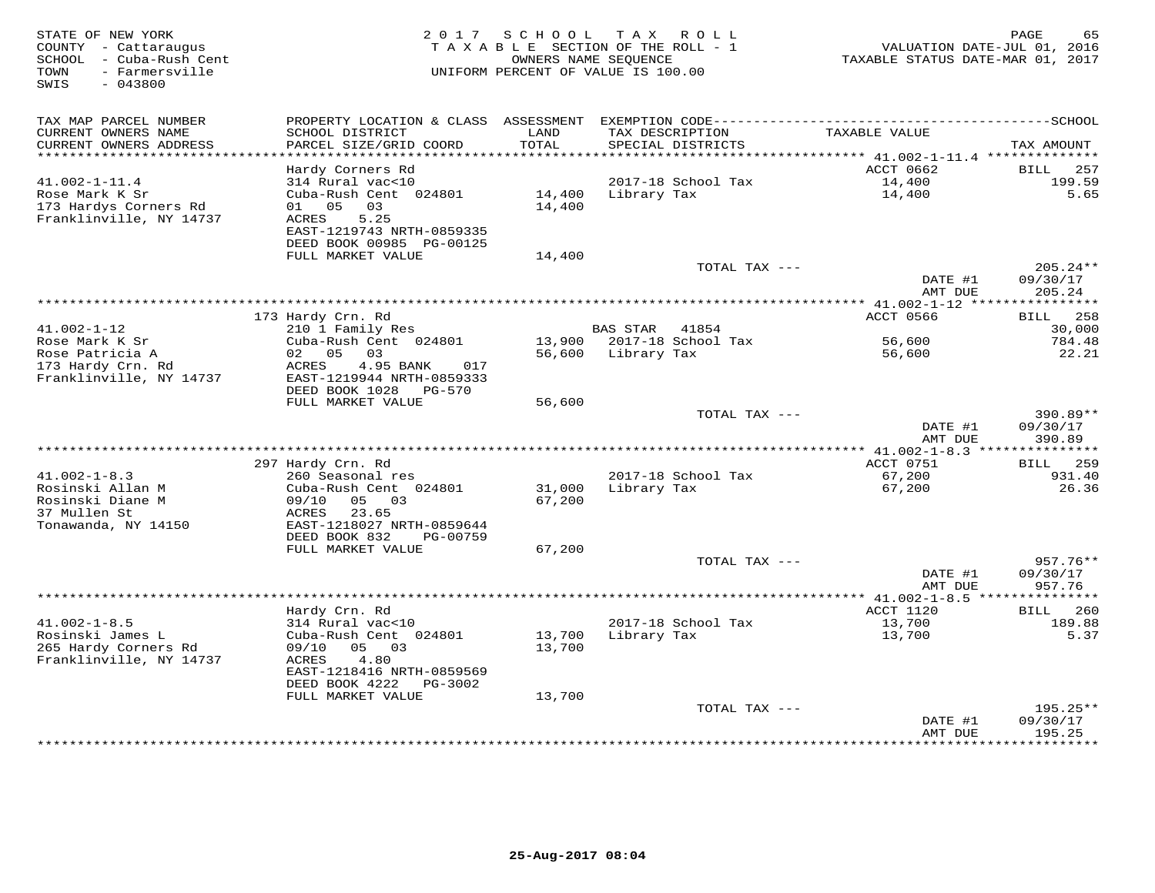| STATE OF NEW YORK<br>COUNTY - Cattaraugus<br>SCHOOL - Cuba-Rush Cent<br>- Farmersville<br>TOWN<br>$-043800$<br>SWIS | 2017                                                                                                                  | S C H O O L      | TAX ROLL<br>TAXABLE SECTION OF THE ROLL - 1<br>OWNERS NAME SEQUENCE<br>UNIFORM PERCENT OF VALUE IS 100.00 | VALUATION DATE-JUL 01, 2016<br>TAXABLE STATUS DATE-MAR 01, 2017 | PAGE<br>65                       |
|---------------------------------------------------------------------------------------------------------------------|-----------------------------------------------------------------------------------------------------------------------|------------------|-----------------------------------------------------------------------------------------------------------|-----------------------------------------------------------------|----------------------------------|
| TAX MAP PARCEL NUMBER                                                                                               | PROPERTY LOCATION & CLASS                                                                                             | ASSESSMENT       |                                                                                                           |                                                                 |                                  |
| CURRENT OWNERS NAME<br>CURRENT OWNERS ADDRESS<br>**********************                                             | SCHOOL DISTRICT<br>PARCEL SIZE/GRID COORD                                                                             | LAND<br>TOTAL    | TAX DESCRIPTION<br>SPECIAL DISTRICTS                                                                      | TAXABLE VALUE                                                   | TAX AMOUNT                       |
|                                                                                                                     | Hardy Corners Rd                                                                                                      |                  |                                                                                                           | ACCT 0662                                                       | <b>BILL</b><br>257               |
| $41.002 - 1 - 11.4$                                                                                                 | 314 Rural vac<10                                                                                                      |                  | 2017-18 School Tax                                                                                        | 14,400                                                          | 199.59                           |
| Rose Mark K Sr<br>173 Hardys Corners Rd<br>Franklinville, NY 14737                                                  | Cuba-Rush Cent 024801<br>05<br>03<br>01<br>ACRES<br>5.25<br>EAST-1219743 NRTH-0859335<br>DEED BOOK 00985 PG-00125     | 14,400<br>14,400 | Library Tax                                                                                               | 14,400                                                          | 5.65                             |
|                                                                                                                     | FULL MARKET VALUE                                                                                                     | 14,400           |                                                                                                           |                                                                 |                                  |
|                                                                                                                     |                                                                                                                       |                  | TOTAL TAX ---                                                                                             | DATE #1                                                         | $205.24**$<br>09/30/17           |
|                                                                                                                     |                                                                                                                       |                  |                                                                                                           | AMT DUE                                                         | 205.24                           |
|                                                                                                                     |                                                                                                                       |                  | ***************                                                                                           | $*$ 41.002-1-12 $**$                                            | ********                         |
| $41.002 - 1 - 12$                                                                                                   | 173 Hardy Crn. Rd<br>210 1 Family Res                                                                                 |                  | <b>BAS STAR</b><br>41854                                                                                  | ACCT 0566                                                       | 258<br>BILL<br>30,000            |
| Rose Mark K Sr                                                                                                      | Cuba-Rush Cent 024801                                                                                                 | 13,900           | 2017-18 School Tax                                                                                        | 56,600                                                          | 784.48                           |
| Rose Patricia A                                                                                                     | 05<br>03<br>02                                                                                                        | 56,600           | Library Tax                                                                                               | 56,600                                                          | 22.21                            |
| 173 Hardy Crn. Rd<br>Franklinville, NY 14737                                                                        | 4.95 BANK<br>ACRES<br>017<br>EAST-1219944 NRTH-0859333<br>DEED BOOK 1028<br><b>PG-570</b>                             |                  |                                                                                                           |                                                                 |                                  |
|                                                                                                                     | FULL MARKET VALUE                                                                                                     | 56,600           |                                                                                                           |                                                                 |                                  |
|                                                                                                                     |                                                                                                                       |                  | TOTAL TAX ---                                                                                             | DATE #1<br>AMT DUE                                              | 390.89**<br>09/30/17<br>390.89   |
|                                                                                                                     |                                                                                                                       |                  |                                                                                                           |                                                                 |                                  |
| $41.002 - 1 - 8.3$                                                                                                  | 297 Hardy Crn. Rd<br>260 Seasonal res                                                                                 |                  | 2017-18 School Tax                                                                                        | ACCT 0751<br>67,200                                             | 259<br>BILL<br>931.40            |
| Rosinski Allan M                                                                                                    | Cuba-Rush Cent 024801                                                                                                 | 31,000           | Library Tax                                                                                               | 67,200                                                          | 26.36                            |
| Rosinski Diane M<br>37 Mullen St<br>Tonawanda, NY 14150                                                             | 05<br>03<br>09/10<br>23.65<br>ACRES<br>EAST-1218027 NRTH-0859644<br>DEED BOOK 832<br>PG-00759                         | 67,200           |                                                                                                           |                                                                 |                                  |
|                                                                                                                     | FULL MARKET VALUE                                                                                                     | 67,200           |                                                                                                           |                                                                 |                                  |
|                                                                                                                     |                                                                                                                       |                  | TOTAL TAX ---                                                                                             | DATE #1<br>AMT DUE                                              | $957.76**$<br>09/30/17<br>957.76 |
|                                                                                                                     |                                                                                                                       |                  |                                                                                                           | ************ 41.002-1-8.5 ****                                  | ****                             |
|                                                                                                                     | Hardy Crn. Rd                                                                                                         |                  |                                                                                                           | ACCT 1120                                                       | 260<br><b>BILL</b>               |
| $41.002 - 1 - 8.5$                                                                                                  | 314 Rural vac<10                                                                                                      |                  | 2017-18 School Tax                                                                                        | 13,700                                                          | 189.88                           |
| Rosinski James L<br>265 Hardy Corners Rd<br>Franklinville, NY 14737                                                 | Cuba-Rush Cent 024801<br>03<br>09/10<br>05<br>4.80<br>ACRES<br>EAST-1218416 NRTH-0859569<br>DEED BOOK 4222<br>PG-3002 | 13,700<br>13,700 | Library Tax                                                                                               | 13,700                                                          | 5.37                             |
|                                                                                                                     | FULL MARKET VALUE                                                                                                     | 13,700           | TOTAL TAX ---                                                                                             |                                                                 | $195.25**$                       |
|                                                                                                                     |                                                                                                                       |                  |                                                                                                           | DATE #1<br>AMT DUE                                              | 09/30/17<br>195.25               |
|                                                                                                                     |                                                                                                                       |                  |                                                                                                           | ********                                                        | * * * * * * * *                  |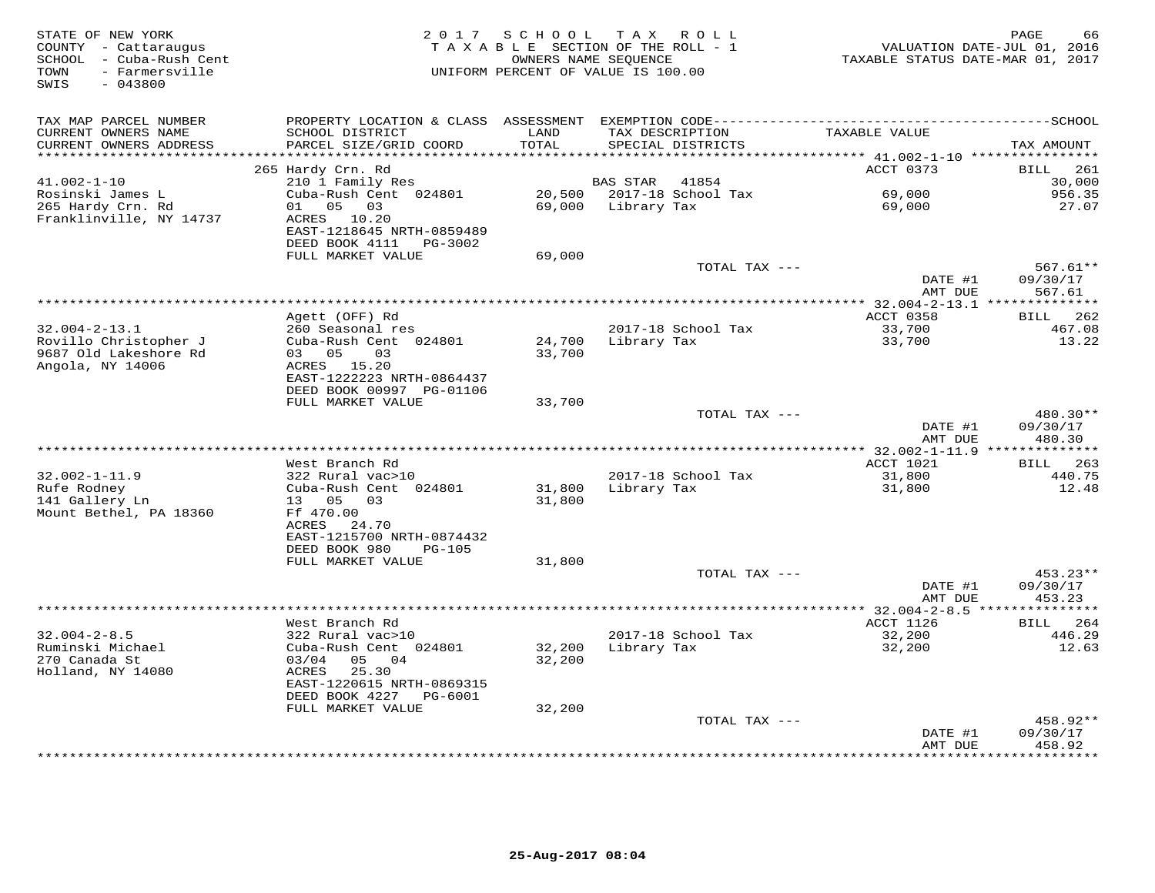| STATE OF NEW YORK<br>COUNTY - Cattaraugus<br>SCHOOL - Cuba-Rush Cent<br>- Farmersville<br>TOWN<br>$-043800$<br>SWIS | 2 0 1 7                                                                        | SCHOOL                        | T A X<br>R O L L<br>TAXABLE SECTION OF THE ROLL - 1<br>OWNERS NAME SEQUENCE<br>UNIFORM PERCENT OF VALUE IS 100.00 | VALUATION DATE-JUL 01, 2016<br>TAXABLE STATUS DATE-MAR 01, 2017 | PAGE<br>66                     |
|---------------------------------------------------------------------------------------------------------------------|--------------------------------------------------------------------------------|-------------------------------|-------------------------------------------------------------------------------------------------------------------|-----------------------------------------------------------------|--------------------------------|
| TAX MAP PARCEL NUMBER                                                                                               | PROPERTY LOCATION & CLASS ASSESSMENT EXEMPTION CODE--------------------------- |                               |                                                                                                                   |                                                                 | --------------SCHOOL           |
| CURRENT OWNERS NAME                                                                                                 | SCHOOL DISTRICT                                                                | LAND                          | TAX DESCRIPTION                                                                                                   | TAXABLE VALUE                                                   |                                |
| CURRENT OWNERS ADDRESS<br>**********************                                                                    | PARCEL SIZE/GRID COORD<br>************************                             | TOTAL<br>******************** | SPECIAL DISTRICTS                                                                                                 |                                                                 | TAX AMOUNT                     |
|                                                                                                                     | 265 Hardy Crn. Rd                                                              |                               |                                                                                                                   | ACCT 0373                                                       | BILL<br>261                    |
| $41.002 - 1 - 10$                                                                                                   | 210 1 Family Res                                                               |                               | 41854<br>BAS STAR                                                                                                 |                                                                 | 30,000                         |
| Rosinski James L                                                                                                    | Cuba-Rush Cent 024801                                                          | 20,500                        | 2017-18 School Tax                                                                                                | 69,000                                                          | 956.35                         |
| 265 Hardy Crn. Rd                                                                                                   | 01<br>05<br>03                                                                 | 69,000                        | Library Tax                                                                                                       | 69,000                                                          | 27.07                          |
| Franklinville, NY 14737                                                                                             | ACRES 10.20                                                                    |                               |                                                                                                                   |                                                                 |                                |
|                                                                                                                     | EAST-1218645 NRTH-0859489<br>DEED BOOK 4111<br>PG-3002                         |                               |                                                                                                                   |                                                                 |                                |
|                                                                                                                     | FULL MARKET VALUE                                                              | 69,000                        |                                                                                                                   |                                                                 |                                |
|                                                                                                                     |                                                                                |                               | TOTAL TAX ---                                                                                                     |                                                                 | $567.61**$                     |
|                                                                                                                     |                                                                                |                               |                                                                                                                   | DATE #1                                                         | 09/30/17                       |
|                                                                                                                     |                                                                                |                               | ************************                                                                                          | AMT DUE                                                         | 567.61                         |
|                                                                                                                     |                                                                                |                               |                                                                                                                   | $32.004 - 2 - 13.1$<br>ACCT 0358                                | ********<br><b>BILL</b><br>262 |
| $32.004 - 2 - 13.1$                                                                                                 | Agett (OFF) Rd<br>260 Seasonal res                                             |                               | 2017-18 School Tax                                                                                                | 33,700                                                          | 467.08                         |
| Rovillo Christopher J                                                                                               | Cuba-Rush Cent 024801                                                          | 24,700                        | Library Tax                                                                                                       | 33,700                                                          | 13.22                          |
| 9687 Old Lakeshore Rd                                                                                               | 03 05<br>03                                                                    | 33,700                        |                                                                                                                   |                                                                 |                                |
| Angola, NY 14006                                                                                                    | ACRES 15.20                                                                    |                               |                                                                                                                   |                                                                 |                                |
|                                                                                                                     | EAST-1222223 NRTH-0864437<br>DEED BOOK 00997 PG-01106                          |                               |                                                                                                                   |                                                                 |                                |
|                                                                                                                     | FULL MARKET VALUE                                                              | 33,700                        |                                                                                                                   |                                                                 |                                |
|                                                                                                                     |                                                                                |                               | TOTAL TAX ---                                                                                                     |                                                                 | 480.30**                       |
|                                                                                                                     |                                                                                |                               |                                                                                                                   | DATE #1                                                         | 09/30/17                       |
|                                                                                                                     |                                                                                |                               |                                                                                                                   | AMT DUE                                                         | 480.30<br>* * * * * * * * * *  |
|                                                                                                                     | West Branch Rd                                                                 |                               |                                                                                                                   | ************* 32.002-1-11.9<br>ACCT 1021                        | 263<br><b>BILL</b>             |
| $32.002 - 1 - 11.9$                                                                                                 | 322 Rural vac>10                                                               |                               | 2017-18 School Tax                                                                                                | 31,800                                                          | 440.75                         |
| Rufe Rodney                                                                                                         | Cuba-Rush Cent 024801                                                          | 31,800                        | Library Tax                                                                                                       | 31,800                                                          | 12.48                          |
| 141 Gallery Ln                                                                                                      | 13 05<br>0.3                                                                   | 31,800                        |                                                                                                                   |                                                                 |                                |
| Mount Bethel, PA 18360                                                                                              | Ff 470.00                                                                      |                               |                                                                                                                   |                                                                 |                                |
|                                                                                                                     | ACRES<br>24.70<br>EAST-1215700 NRTH-0874432                                    |                               |                                                                                                                   |                                                                 |                                |
|                                                                                                                     | DEED BOOK 980<br><b>PG-105</b>                                                 |                               |                                                                                                                   |                                                                 |                                |
|                                                                                                                     | FULL MARKET VALUE                                                              | 31,800                        |                                                                                                                   |                                                                 |                                |
|                                                                                                                     |                                                                                |                               | TOTAL TAX ---                                                                                                     |                                                                 | 453.23**                       |
|                                                                                                                     |                                                                                |                               |                                                                                                                   | DATE #1                                                         | 09/30/17                       |
|                                                                                                                     |                                                                                |                               |                                                                                                                   | AMT DUE                                                         | 453.23                         |
|                                                                                                                     | West Branch Rd                                                                 |                               |                                                                                                                   | ACCT 1126                                                       | 264<br><b>BILL</b>             |
| $32.004 - 2 - 8.5$                                                                                                  | 322 Rural vac>10                                                               |                               | 2017-18 School Tax                                                                                                | 32,200                                                          | 446.29                         |
| Ruminski Michael                                                                                                    | Cuba-Rush Cent 024801                                                          | 32,200                        | Library Tax                                                                                                       | 32,200                                                          | 12.63                          |
| 270 Canada St                                                                                                       | 03/04<br>05<br>04                                                              | 32,200                        |                                                                                                                   |                                                                 |                                |
| Holland, NY 14080                                                                                                   | 25.30<br>ACRES                                                                 |                               |                                                                                                                   |                                                                 |                                |
|                                                                                                                     | EAST-1220615 NRTH-0869315<br>DEED BOOK 4227<br>PG-6001                         |                               |                                                                                                                   |                                                                 |                                |
|                                                                                                                     | FULL MARKET VALUE                                                              | 32,200                        |                                                                                                                   |                                                                 |                                |
|                                                                                                                     |                                                                                |                               | TOTAL TAX ---                                                                                                     |                                                                 | 458.92**                       |
|                                                                                                                     |                                                                                |                               |                                                                                                                   | DATE #1                                                         | 09/30/17                       |
|                                                                                                                     |                                                                                |                               |                                                                                                                   | AMT DUE                                                         | 458.92<br>********             |
|                                                                                                                     |                                                                                |                               |                                                                                                                   |                                                                 |                                |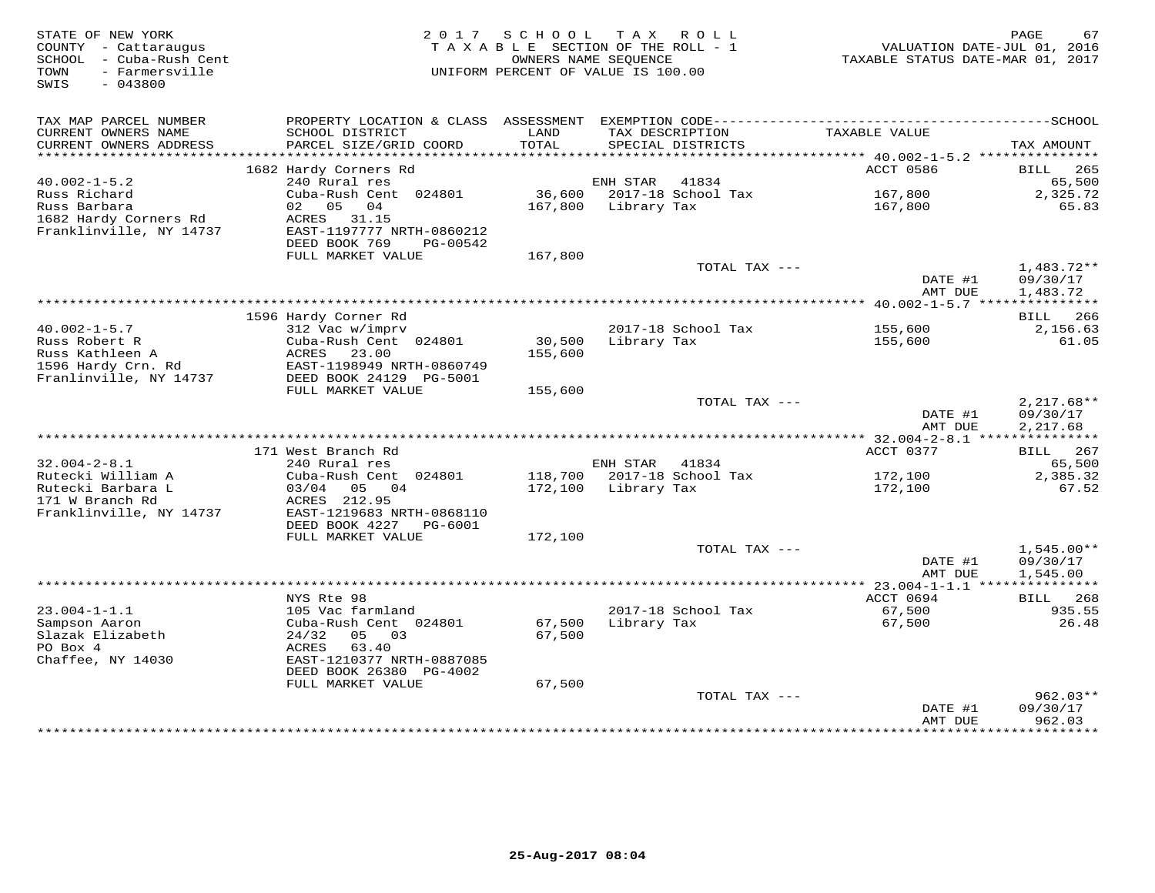| STATE OF NEW YORK<br>COUNTY - Cattaraugus<br>SCHOOL - Cuba-Rush Cent<br>- Farmersville<br>TOWN<br>SWIS<br>$-043800$ |                                                                        | 2017 SCHOOL TAX ROLL<br>TAXABLE SECTION OF THE ROLL - 1<br>OWNERS NAME SEOUENCE<br>UNIFORM PERCENT OF VALUE IS 100.00 |             |                                      | VALUATION DATE-JUL 01, 2016<br>TAXABLE STATUS DATE-MAR 01, 2017 | PAGE<br>67                           |
|---------------------------------------------------------------------------------------------------------------------|------------------------------------------------------------------------|-----------------------------------------------------------------------------------------------------------------------|-------------|--------------------------------------|-----------------------------------------------------------------|--------------------------------------|
| TAX MAP PARCEL NUMBER<br>CURRENT OWNERS NAME<br>CURRENT OWNERS ADDRESS                                              | SCHOOL DISTRICT<br>PARCEL SIZE/GRID COORD                              | LAND<br>TOTAL                                                                                                         |             | TAX DESCRIPTION<br>SPECIAL DISTRICTS | TAXABLE VALUE                                                   | TAX AMOUNT                           |
| *************************                                                                                           |                                                                        |                                                                                                                       |             |                                      |                                                                 |                                      |
|                                                                                                                     | 1682 Hardy Corners Rd                                                  |                                                                                                                       |             |                                      | ACCT 0586                                                       | BILL<br>265                          |
| $40.002 - 1 - 5.2$<br>Russ Richard                                                                                  | 240 Rural res<br>Cuba-Rush Cent 024801                                 | 36,600                                                                                                                | ENH STAR    | 41834<br>2017-18 School Tax          | 167,800                                                         | 65,500<br>2,325.72                   |
| Russ Barbara<br>1682 Hardy Corners Rd<br>Franklinville, NY 14737                                                    | 02 05 04<br>ACRES 31.15<br>EAST-1197777 NRTH-0860212                   | 167,800                                                                                                               | Library Tax |                                      | 167,800                                                         | 65.83                                |
|                                                                                                                     | DEED BOOK 769<br>PG-00542                                              |                                                                                                                       |             |                                      |                                                                 |                                      |
|                                                                                                                     | FULL MARKET VALUE                                                      | 167,800                                                                                                               |             |                                      |                                                                 |                                      |
|                                                                                                                     |                                                                        |                                                                                                                       |             | TOTAL TAX ---                        | DATE #1<br>AMT DUE                                              | $1,483.72**$<br>09/30/17<br>1,483.72 |
|                                                                                                                     |                                                                        |                                                                                                                       |             |                                      | ************** 40.002-1-5.7 ****                                | ***********                          |
|                                                                                                                     | 1596 Hardy Corner Rd                                                   |                                                                                                                       |             |                                      |                                                                 | BILL<br>266                          |
| $40.002 - 1 - 5.7$<br>Russ Robert R                                                                                 | 312 Vac w/imprv<br>Cuba-Rush Cent 024801                               | 30,500                                                                                                                | Library Tax | 2017-18 School Tax                   | 155,600<br>155,600                                              | 2,156.63<br>61.05                    |
| Russ Kathleen A<br>1596 Hardy Crn. Rd                                                                               | ACRES<br>23.00<br>EAST-1198949 NRTH-0860749                            | 155,600                                                                                                               |             |                                      |                                                                 |                                      |
| Franlinville, NY 14737                                                                                              | DEED BOOK 24129 PG-5001                                                |                                                                                                                       |             |                                      |                                                                 |                                      |
|                                                                                                                     | FULL MARKET VALUE                                                      | 155,600                                                                                                               |             |                                      |                                                                 |                                      |
|                                                                                                                     |                                                                        |                                                                                                                       |             | TOTAL TAX ---                        | DATE #1<br>AMT DUE                                              | $2,217.68**$<br>09/30/17<br>2,217.68 |
|                                                                                                                     |                                                                        |                                                                                                                       |             |                                      |                                                                 |                                      |
|                                                                                                                     | 171 West Branch Rd                                                     |                                                                                                                       |             |                                      | ACCT 0377                                                       | 267<br>BILL                          |
| $32.004 - 2 - 8.1$                                                                                                  | 240 Rural res                                                          |                                                                                                                       | ENH STAR    | 41834                                |                                                                 | 65,500                               |
| Rutecki William A<br>Rutecki Barbara L<br>171 W Branch Rd                                                           | Cuba-Rush Cent 024801<br>03/04 05<br>04                                | 118,700<br>172,100                                                                                                    | Library Tax | 2017-18 School Tax                   | 172,100<br>172,100                                              | 2,385.32<br>67.52                    |
| Franklinville, NY 14737                                                                                             | ACRES 212.95<br>EAST-1219683 NRTH-0868110<br>DEED BOOK 4227<br>PG-6001 |                                                                                                                       |             |                                      |                                                                 |                                      |
|                                                                                                                     | FULL MARKET VALUE                                                      | 172,100                                                                                                               |             |                                      |                                                                 |                                      |
|                                                                                                                     |                                                                        |                                                                                                                       |             | TOTAL TAX ---                        |                                                                 | $1,545.00**$                         |
|                                                                                                                     |                                                                        |                                                                                                                       |             |                                      | DATE #1<br>AMT DUE                                              | 09/30/17<br>1,545.00                 |
|                                                                                                                     |                                                                        |                                                                                                                       |             |                                      |                                                                 |                                      |
| $23.004 - 1 - 1.1$                                                                                                  | NYS Rte 98<br>105 Vac farmland                                         |                                                                                                                       |             | 2017-18 School Tax                   | ACCT 0694<br>67,500                                             | BILL<br>268<br>935.55                |
| Sampson Aaron<br>Slazak Elizabeth<br>PO Box 4                                                                       | Cuba-Rush Cent 024801<br>24/32<br>05 03<br>ACRES<br>63.40              | 67,500<br>67,500                                                                                                      | Library Tax |                                      | 67,500                                                          | 26.48                                |
| Chaffee, NY 14030                                                                                                   | EAST-1210377 NRTH-0887085<br>DEED BOOK 26380 PG-4002                   |                                                                                                                       |             |                                      |                                                                 |                                      |
|                                                                                                                     | FULL MARKET VALUE                                                      | 67,500                                                                                                                |             |                                      |                                                                 |                                      |
|                                                                                                                     |                                                                        |                                                                                                                       |             | TOTAL TAX ---                        | DATE #1<br>AMT DUE                                              | $962.03**$<br>09/30/17<br>962.03     |
|                                                                                                                     |                                                                        |                                                                                                                       |             |                                      |                                                                 | **********                           |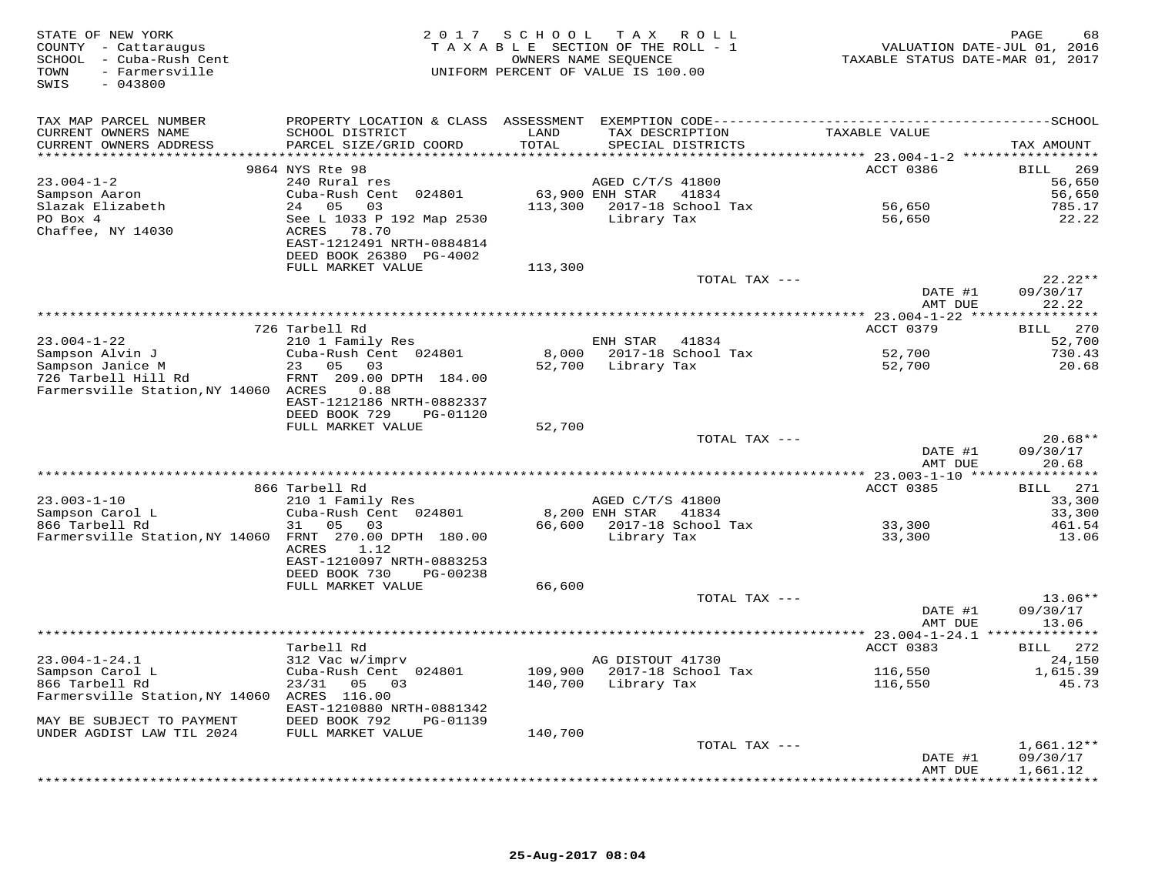| STATE OF NEW YORK<br>COUNTY - Cattaraugus<br>SCHOOL - Cuba-Rush Cent<br>- Farmersville<br>TOWN<br>SWIS<br>$-043800$ | 2 0 1 7                                                                                             |               | SCHOOL TAX ROLL<br>TAXABLE SECTION OF THE ROLL - 1<br>OWNERS NAME SEOUENCE<br>UNIFORM PERCENT OF VALUE IS 100.00 | VALUATION DATE-JUL 01, 2016<br>TAXABLE STATUS DATE-MAR 01, 2017 | PAGE<br>68             |
|---------------------------------------------------------------------------------------------------------------------|-----------------------------------------------------------------------------------------------------|---------------|------------------------------------------------------------------------------------------------------------------|-----------------------------------------------------------------|------------------------|
| TAX MAP PARCEL NUMBER                                                                                               | PROPERTY LOCATION & CLASS ASSESSMENT EXEMPTION CODE-----------------------------------SCHOOL        |               |                                                                                                                  |                                                                 |                        |
| CURRENT OWNERS NAME<br>CURRENT OWNERS ADDRESS                                                                       | SCHOOL DISTRICT<br>PARCEL SIZE/GRID COORD                                                           | LAND<br>TOTAL | TAX DESCRIPTION<br>SPECIAL DISTRICTS                                                                             | TAXABLE VALUE                                                   | TAX AMOUNT             |
|                                                                                                                     |                                                                                                     | *********     |                                                                                                                  | ******** 23.004-1-2 ******************                          |                        |
|                                                                                                                     | 9864 NYS Rte 98                                                                                     |               |                                                                                                                  | ACCT 0386                                                       | 269<br>BILL            |
| $23.004 - 1 - 2$                                                                                                    | 240 Rural res                                                                                       |               | AGED C/T/S 41800                                                                                                 |                                                                 | 56,650                 |
| Sampson Aaron<br>Slazak Elizabeth                                                                                   | Cuba-Rush Cent 024801<br>24 05<br>03                                                                | 113,300       | 63,900 ENH STAR<br>41834<br>2017-18 School Tax                                                                   | 56,650                                                          | 56,650<br>785.17       |
| PO Box 4<br>Chaffee, NY 14030                                                                                       | See L 1033 P 192 Map 2530<br>78.70<br>ACRES<br>EAST-1212491 NRTH-0884814<br>DEED BOOK 26380 PG-4002 |               | Library Tax                                                                                                      | 56,650                                                          | 22.22                  |
|                                                                                                                     | FULL MARKET VALUE                                                                                   | 113,300       |                                                                                                                  |                                                                 |                        |
|                                                                                                                     |                                                                                                     |               | TOTAL TAX ---                                                                                                    |                                                                 | $22.22**$              |
|                                                                                                                     |                                                                                                     |               |                                                                                                                  | DATE #1<br>AMT DUE                                              | 09/30/17<br>22.22      |
|                                                                                                                     |                                                                                                     |               |                                                                                                                  |                                                                 |                        |
|                                                                                                                     | 726 Tarbell Rd                                                                                      |               |                                                                                                                  | ACCT 0379                                                       | <b>BILL</b><br>270     |
| $23.004 - 1 - 22$<br>Sampson Alvin J                                                                                | 210 1 Family Res<br>Cuba-Rush Cent 024801                                                           | 8,000         | ENH STAR<br>41834<br>2017-18 School Tax                                                                          | 52,700                                                          | 52,700<br>730.43       |
| Sampson Janice M                                                                                                    | 23 05 03                                                                                            | 52,700        | Library Tax                                                                                                      | 52,700                                                          | 20.68                  |
| 726 Tarbell Hill Rd                                                                                                 | FRNT 209.00 DPTH 184.00                                                                             |               |                                                                                                                  |                                                                 |                        |
| Farmersville Station, NY 14060 ACRES                                                                                | 0.88                                                                                                |               |                                                                                                                  |                                                                 |                        |
|                                                                                                                     | EAST-1212186 NRTH-0882337                                                                           |               |                                                                                                                  |                                                                 |                        |
|                                                                                                                     | DEED BOOK 729<br>PG-01120                                                                           |               |                                                                                                                  |                                                                 |                        |
|                                                                                                                     | FULL MARKET VALUE                                                                                   | 52,700        | TOTAL TAX ---                                                                                                    |                                                                 | $20.68**$              |
|                                                                                                                     |                                                                                                     |               |                                                                                                                  | DATE #1<br>AMT DUE                                              | 09/30/17<br>20.68      |
|                                                                                                                     |                                                                                                     |               |                                                                                                                  |                                                                 |                        |
|                                                                                                                     | 866 Tarbell Rd                                                                                      |               |                                                                                                                  | ACCT 0385                                                       | 271<br>BILL            |
| $23.003 - 1 - 10$                                                                                                   | 210 1 Family Res                                                                                    |               | AGED C/T/S 41800                                                                                                 |                                                                 | 33,300                 |
| Sampson Carol L                                                                                                     | Cuba-Rush Cent 024801                                                                               |               | 8,200 ENH STAR<br>41834                                                                                          |                                                                 | 33,300                 |
| 866 Tarbell Rd                                                                                                      | 31<br>05 03                                                                                         |               | 66,600 2017-18 School Tax                                                                                        | 33,300                                                          | 461.54                 |
| Farmersville Station, NY 14060 FRNT 270.00 DPTH 180.00                                                              | ACRES<br>1.12                                                                                       |               | Library Tax                                                                                                      | 33,300                                                          | 13.06                  |
|                                                                                                                     | EAST-1210097 NRTH-0883253                                                                           |               |                                                                                                                  |                                                                 |                        |
|                                                                                                                     | DEED BOOK 730<br>PG-00238                                                                           |               |                                                                                                                  |                                                                 |                        |
|                                                                                                                     | FULL MARKET VALUE                                                                                   | 66,600        |                                                                                                                  |                                                                 |                        |
|                                                                                                                     |                                                                                                     |               | TOTAL TAX ---                                                                                                    |                                                                 | $13.06**$              |
|                                                                                                                     |                                                                                                     |               |                                                                                                                  | DATE #1                                                         | 09/30/17               |
|                                                                                                                     |                                                                                                     |               |                                                                                                                  | AMT DUE                                                         | 13.06                  |
|                                                                                                                     | Tarbell Rd                                                                                          |               |                                                                                                                  | ACCT 0383                                                       | 272<br><b>BILL</b>     |
| $23.004 - 1 - 24.1$                                                                                                 | 312 Vac w/imprv                                                                                     |               | AG DISTOUT 41730                                                                                                 |                                                                 | 24,150                 |
| Sampson Carol L                                                                                                     | Cuba-Rush Cent 024801                                                                               |               | 109,900 2017-18 School Tax                                                                                       | 116,550                                                         | 1,615.39               |
| 866 Tarbell Rd                                                                                                      | 23/31<br>05<br>03                                                                                   | 140,700       | Library Tax                                                                                                      | 116,550                                                         | 45.73                  |
| Farmersville Station, NY 14060 ACRES 116.00                                                                         | EAST-1210880 NRTH-0881342                                                                           |               |                                                                                                                  |                                                                 |                        |
| MAY BE SUBJECT TO PAYMENT                                                                                           | DEED BOOK 792<br>PG-01139                                                                           |               |                                                                                                                  |                                                                 |                        |
| UNDER AGDIST LAW TIL 2024                                                                                           | FULL MARKET VALUE                                                                                   | 140,700       |                                                                                                                  |                                                                 |                        |
|                                                                                                                     |                                                                                                     |               | TOTAL TAX ---                                                                                                    |                                                                 | $1,661.12**$           |
|                                                                                                                     |                                                                                                     |               |                                                                                                                  | DATE #1                                                         | 09/30/17               |
|                                                                                                                     |                                                                                                     |               |                                                                                                                  | AMT DUE                                                         | 1,661.12<br>********** |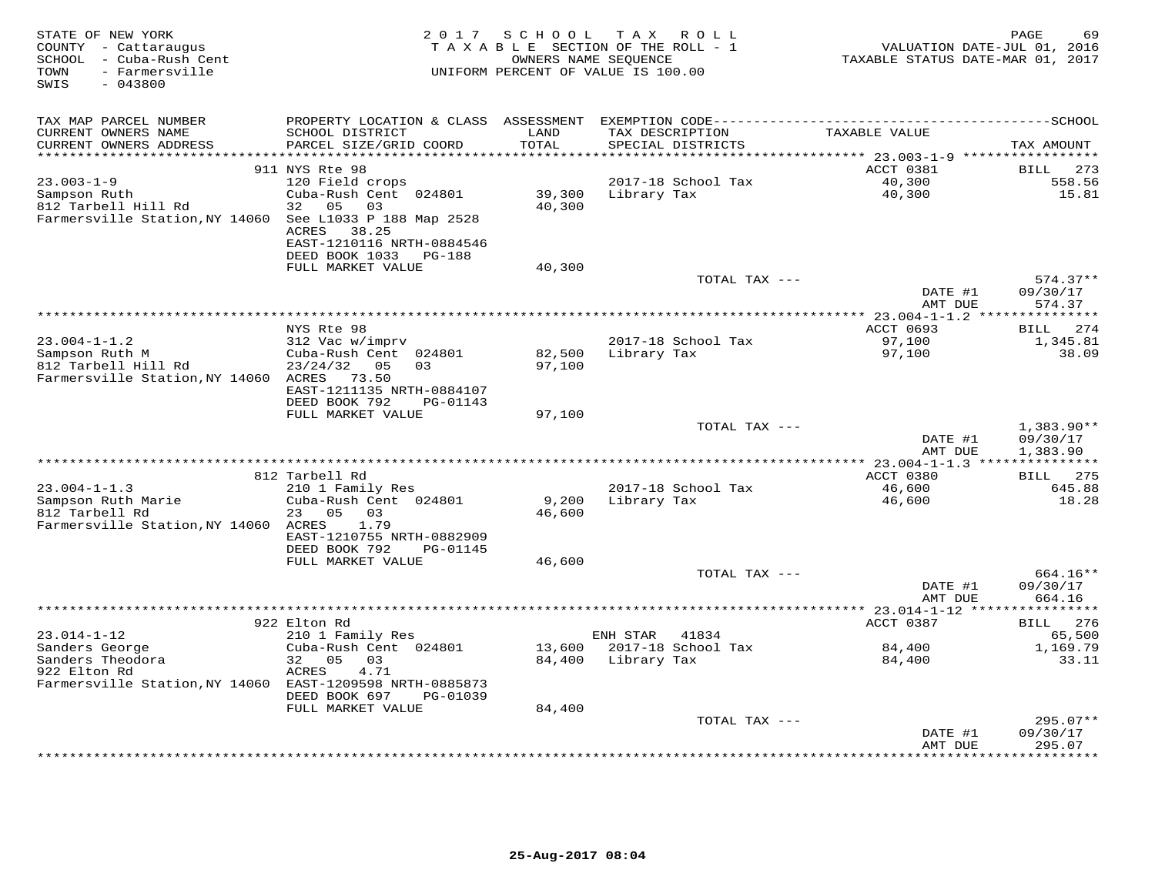| STATE OF NEW YORK<br>COUNTY - Cattaraugus<br>SCHOOL - Cuba-Rush Cent<br>- Farmersville<br>TOWN<br>$-043800$<br>SWIS | 2 0 1 7                                   | SCHOOL<br>OWNERS NAME SEQUENCE | TAX ROLL<br>TAXABLE SECTION OF THE ROLL - 1<br>UNIFORM PERCENT OF VALUE IS 100.00 | VALUATION DATE-JUL 01, 2016<br>TAXABLE STATUS DATE-MAR 01, 2017 | 69<br>PAGE                  |
|---------------------------------------------------------------------------------------------------------------------|-------------------------------------------|--------------------------------|-----------------------------------------------------------------------------------|-----------------------------------------------------------------|-----------------------------|
| TAX MAP PARCEL NUMBER                                                                                               | PROPERTY LOCATION & CLASS ASSESSMENT      |                                |                                                                                   |                                                                 |                             |
| CURRENT OWNERS NAME                                                                                                 | SCHOOL DISTRICT                           | LAND                           | TAX DESCRIPTION                                                                   | TAXABLE VALUE                                                   |                             |
| CURRENT OWNERS ADDRESS                                                                                              | PARCEL SIZE/GRID COORD                    | TOTAL                          | SPECIAL DISTRICTS                                                                 |                                                                 | TAX AMOUNT                  |
| ************************                                                                                            |                                           |                                |                                                                                   |                                                                 |                             |
| $23.003 - 1 - 9$                                                                                                    | 911 NYS Rte 98<br>120 Field crops         |                                | 2017-18 School Tax                                                                | ACCT 0381<br>40,300                                             | 273<br>BILL<br>558.56       |
| Sampson Ruth                                                                                                        | Cuba-Rush Cent 024801                     | 39,300                         | Library Tax                                                                       | 40,300                                                          | 15.81                       |
| 812 Tarbell Hill Rd                                                                                                 | 32 05 03                                  | 40,300                         |                                                                                   |                                                                 |                             |
| Farmersville Station, NY 14060 See L1033 P 188 Map 2528                                                             |                                           |                                |                                                                                   |                                                                 |                             |
|                                                                                                                     | ACRES<br>38.25                            |                                |                                                                                   |                                                                 |                             |
|                                                                                                                     | EAST-1210116 NRTH-0884546                 |                                |                                                                                   |                                                                 |                             |
|                                                                                                                     | DEED BOOK 1033<br>PG-188                  |                                |                                                                                   |                                                                 |                             |
|                                                                                                                     | FULL MARKET VALUE                         | 40,300                         | TOTAL TAX ---                                                                     |                                                                 | $574.37**$                  |
|                                                                                                                     |                                           |                                |                                                                                   | DATE #1                                                         | 09/30/17                    |
|                                                                                                                     |                                           |                                |                                                                                   | AMT DUE                                                         | 574.37                      |
|                                                                                                                     |                                           |                                |                                                                                   | ************ 23.004-1-1.2 ***                                   |                             |
| $23.004 - 1 - 1.2$                                                                                                  | NYS Rte 98<br>312 Vac w/imprv             |                                | 2017-18 School Tax                                                                | <b>ACCT 0693</b><br>97,100                                      | 274<br>BILL                 |
| Sampson Ruth M                                                                                                      | Cuba-Rush Cent 024801                     | 82,500                         | Library Tax                                                                       | 97,100                                                          | 1,345.81<br>38.09           |
| 812 Tarbell Hill Rd                                                                                                 | 23/24/32<br>05<br>03                      | 97,100                         |                                                                                   |                                                                 |                             |
| Farmersville Station, NY 14060                                                                                      | ACRES<br>73.50                            |                                |                                                                                   |                                                                 |                             |
|                                                                                                                     | EAST-1211135 NRTH-0884107                 |                                |                                                                                   |                                                                 |                             |
|                                                                                                                     | DEED BOOK 792<br>PG-01143                 |                                |                                                                                   |                                                                 |                             |
|                                                                                                                     | FULL MARKET VALUE                         | 97,100                         | TOTAL TAX ---                                                                     |                                                                 | $1,383.90**$                |
|                                                                                                                     |                                           |                                |                                                                                   | DATE #1                                                         | 09/30/17                    |
|                                                                                                                     |                                           |                                |                                                                                   | AMT DUE                                                         | 1,383.90                    |
|                                                                                                                     |                                           |                                |                                                                                   | ************* 23.004-1-1.3 ***************                      |                             |
|                                                                                                                     | 812 Tarbell Rd                            |                                |                                                                                   | ACCT 0380                                                       | 275<br><b>BILL</b>          |
| $23.004 - 1 - 1.3$<br>Sampson Ruth Marie                                                                            | 210 1 Family Res<br>Cuba-Rush Cent 024801 | 9,200                          | 2017-18 School Tax                                                                | 46,600                                                          | 645.88<br>18.28             |
| 812 Tarbell Rd                                                                                                      | 05<br>03<br>23                            | 46,600                         | Library Tax                                                                       | 46,600                                                          |                             |
| Farmersville Station, NY 14060 ACRES                                                                                | 1.79                                      |                                |                                                                                   |                                                                 |                             |
|                                                                                                                     | EAST-1210755 NRTH-0882909                 |                                |                                                                                   |                                                                 |                             |
|                                                                                                                     | DEED BOOK 792<br>PG-01145                 |                                |                                                                                   |                                                                 |                             |
|                                                                                                                     | FULL MARKET VALUE                         | 46,600                         |                                                                                   |                                                                 |                             |
|                                                                                                                     |                                           |                                | TOTAL TAX ---                                                                     | DATE #1                                                         | $664.16**$<br>09/30/17      |
|                                                                                                                     |                                           |                                |                                                                                   | AMT DUE                                                         | 664.16                      |
|                                                                                                                     |                                           |                                |                                                                                   |                                                                 | **********                  |
|                                                                                                                     | 922 Elton Rd                              |                                |                                                                                   | ACCT 0387                                                       | 276<br><b>BILL</b>          |
| $23.014 - 1 - 12$                                                                                                   | 210 1 Family Res                          |                                | ENH STAR<br>41834                                                                 |                                                                 | 65,500                      |
| Sanders George                                                                                                      | Cuba-Rush Cent 024801                     | 13,600                         | 2017-18 School Tax                                                                | 84,400                                                          | 1,169.79                    |
| Sanders Theodora<br>922 Elton Rd                                                                                    | 32 05<br>03<br>4.71<br>ACRES              | 84,400                         | Library Tax                                                                       | 84,400                                                          | 33.11                       |
| Farmersville Station, NY 14060 EAST-1209598 NRTH-0885873                                                            |                                           |                                |                                                                                   |                                                                 |                             |
|                                                                                                                     | DEED BOOK 697<br>PG-01039                 |                                |                                                                                   |                                                                 |                             |
|                                                                                                                     | FULL MARKET VALUE                         | 84,400                         |                                                                                   |                                                                 |                             |
|                                                                                                                     |                                           |                                | TOTAL TAX ---                                                                     |                                                                 | $295.07**$                  |
|                                                                                                                     |                                           |                                |                                                                                   | DATE #1                                                         | 09/30/17                    |
|                                                                                                                     |                                           |                                | ***********************                                                           | AMT DUE                                                         | 295.07<br>* * * * * * * * * |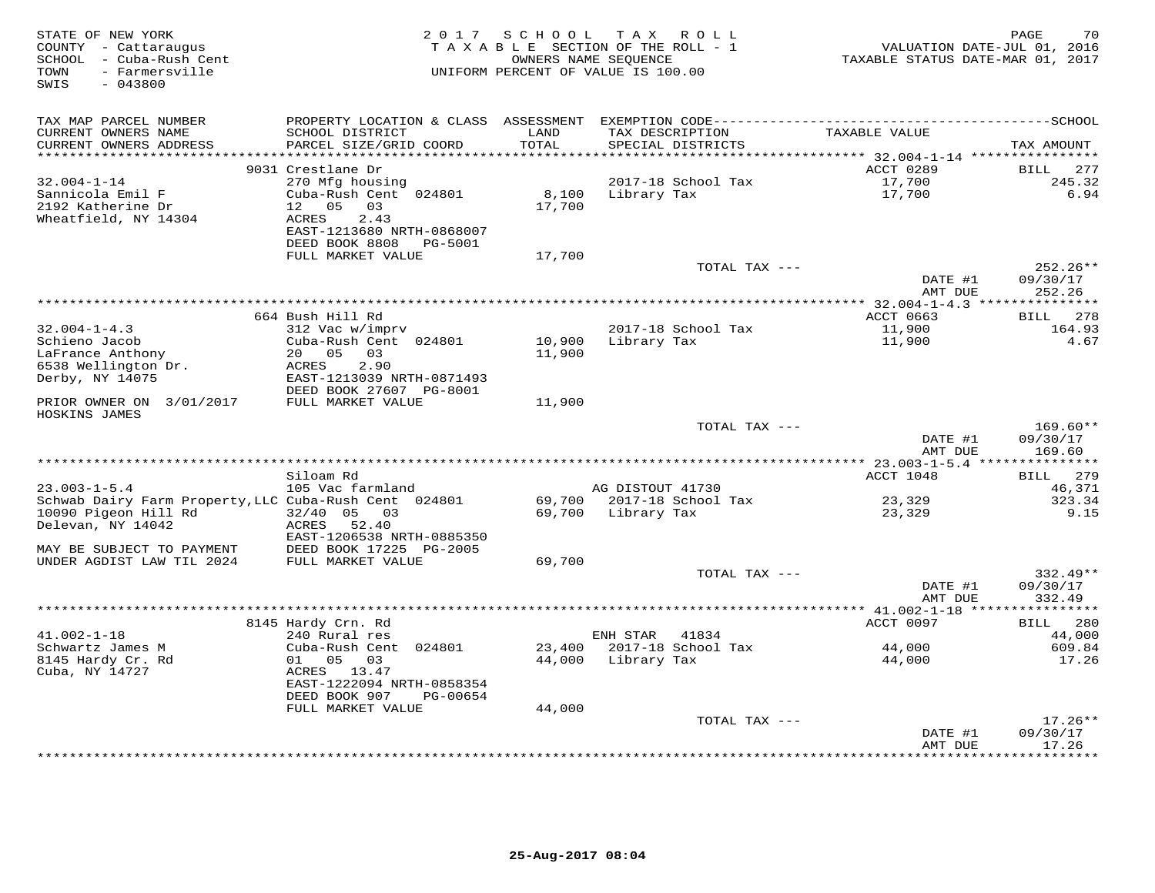| STATE OF NEW YORK<br>COUNTY - Cattaraugus<br>SCHOOL - Cuba-Rush Cent<br>- Farmersville<br>TOWN<br>SWIS<br>$-043800$             |                                                                                                                                           | 2017 SCHOOL      | T A X<br>R O L L<br>TAXABLE SECTION OF THE ROLL - 1<br>OWNERS NAME SEQUENCE<br>UNIFORM PERCENT OF VALUE IS 100.00                    | VALUATION DATE-JUL 01, 2016<br>TAXABLE STATUS DATE-MAR 01, 2017 | 70<br>PAGE                       |
|---------------------------------------------------------------------------------------------------------------------------------|-------------------------------------------------------------------------------------------------------------------------------------------|------------------|--------------------------------------------------------------------------------------------------------------------------------------|-----------------------------------------------------------------|----------------------------------|
| TAX MAP PARCEL NUMBER<br>CURRENT OWNERS NAME<br>CURRENT OWNERS ADDRESS                                                          | SCHOOL DISTRICT<br>PARCEL SIZE/GRID COORD                                                                                                 | LAND<br>TOTAL    | PROPERTY LOCATION & CLASS ASSESSMENT EXEMPTION CODE-----------------------------------SCHOOL<br>TAX DESCRIPTION<br>SPECIAL DISTRICTS | TAXABLE VALUE                                                   | TAX AMOUNT                       |
|                                                                                                                                 |                                                                                                                                           | *******          |                                                                                                                                      | ******* 32.004-1-14 ***********                                 |                                  |
|                                                                                                                                 | 9031 Crestlane Dr                                                                                                                         |                  |                                                                                                                                      | ACCT 0289                                                       | 277<br>BILL                      |
| $32.004 - 1 - 14$<br>Sannicola Emil F<br>2192 Katherine Dr<br>Wheatfield, NY 14304                                              | 270 Mfg housing<br>Cuba-Rush Cent 024801<br>12 05<br>03<br><b>ACRES</b><br>2.43<br>EAST-1213680 NRTH-0868007<br>DEED BOOK 8808<br>PG-5001 | 8,100<br>17,700  | 2017-18 School Tax<br>Library Tax                                                                                                    | 17,700<br>17,700                                                | 245.32<br>6.94                   |
|                                                                                                                                 | FULL MARKET VALUE                                                                                                                         | 17,700           |                                                                                                                                      |                                                                 |                                  |
|                                                                                                                                 |                                                                                                                                           |                  | TOTAL TAX ---                                                                                                                        | DATE #1<br>AMT DUE                                              | 252.26**<br>09/30/17<br>252.26   |
|                                                                                                                                 |                                                                                                                                           |                  |                                                                                                                                      | ************ 32.004-1-4.3 ****************                      |                                  |
|                                                                                                                                 | 664 Bush Hill Rd                                                                                                                          |                  |                                                                                                                                      | ACCT 0663                                                       | BILL 278                         |
| $32.004 - 1 - 4.3$<br>Schieno Jacob<br>LaFrance Anthony                                                                         | 312 Vac w/imprv<br>Cuba-Rush Cent 024801<br>20  05  03                                                                                    | 10,900<br>11,900 | 2017-18 School Tax<br>Library Tax                                                                                                    | 11,900<br>11,900                                                | 164.93<br>4.67                   |
| 6538 Wellington Dr.<br>Derby, NY 14075                                                                                          | 2.90<br>ACRES<br>EAST-1213039 NRTH-0871493<br>DEED BOOK 27607 PG-8001                                                                     |                  |                                                                                                                                      |                                                                 |                                  |
| PRIOR OWNER ON 3/01/2017<br>HOSKINS JAMES                                                                                       | FULL MARKET VALUE                                                                                                                         | 11,900           |                                                                                                                                      |                                                                 |                                  |
|                                                                                                                                 |                                                                                                                                           |                  | TOTAL TAX ---                                                                                                                        | DATE #1<br>AMT DUE                                              | $169.60**$<br>09/30/17<br>169.60 |
|                                                                                                                                 |                                                                                                                                           |                  |                                                                                                                                      |                                                                 |                                  |
|                                                                                                                                 | Siloam Rd                                                                                                                                 |                  |                                                                                                                                      | ACCT 1048                                                       | <b>BILL</b><br>279               |
| $23.003 - 1 - 5.4$                                                                                                              | 105 Vac farmland                                                                                                                          |                  | AG DISTOUT 41730                                                                                                                     |                                                                 | 46,371                           |
| Schwab Dairy Farm Property, LLC Cuba-Rush Cent 024801<br>10090 Pigeon Hill Rd<br>Delevan, NY 14042<br>MAY BE SUBJECT TO PAYMENT | $32/40$ 05 03<br>ACRES<br>52.40<br>EAST-1206538 NRTH-0885350<br>DEED BOOK 17225 PG-2005                                                   | 69,700<br>69,700 | 2017-18 School Tax<br>Library Tax                                                                                                    | 23,329<br>23,329                                                | 323.34<br>9.15                   |
| UNDER AGDIST LAW TIL 2024                                                                                                       | FULL MARKET VALUE                                                                                                                         | 69,700           |                                                                                                                                      |                                                                 |                                  |
|                                                                                                                                 |                                                                                                                                           |                  | TOTAL TAX ---                                                                                                                        | DATE #1<br>AMT DUE                                              | $332.49**$<br>09/30/17<br>332.49 |
|                                                                                                                                 |                                                                                                                                           |                  |                                                                                                                                      |                                                                 | ***********                      |
|                                                                                                                                 | 8145 Hardy Crn. Rd                                                                                                                        |                  |                                                                                                                                      | ACCT 0097                                                       | 280<br><b>BILL</b>               |
| $41.002 - 1 - 18$                                                                                                               | 240 Rural res                                                                                                                             |                  | ENH STAR<br>41834                                                                                                                    |                                                                 | 44,000                           |
| Schwartz James M<br>8145 Hardy Cr. Rd                                                                                           | Cuba-Rush Cent 024801<br>01 05<br>03                                                                                                      | 23,400<br>44,000 | 2017-18 School Tax<br>Library Tax                                                                                                    | 44,000<br>44,000                                                | 609.84<br>17.26                  |
| Cuba, NY 14727                                                                                                                  | ACRES 13.47<br>EAST-1222094 NRTH-0858354<br>DEED BOOK 907<br>PG-00654                                                                     |                  |                                                                                                                                      |                                                                 |                                  |
|                                                                                                                                 | FULL MARKET VALUE                                                                                                                         | 44,000           |                                                                                                                                      |                                                                 |                                  |
|                                                                                                                                 |                                                                                                                                           |                  | TOTAL TAX ---                                                                                                                        | DATE #1                                                         | $17.26**$<br>09/30/17<br>17.26   |
|                                                                                                                                 |                                                                                                                                           |                  | ****************************                                                                                                         | AMT DUE<br>*************                                        | * * * * * * * *                  |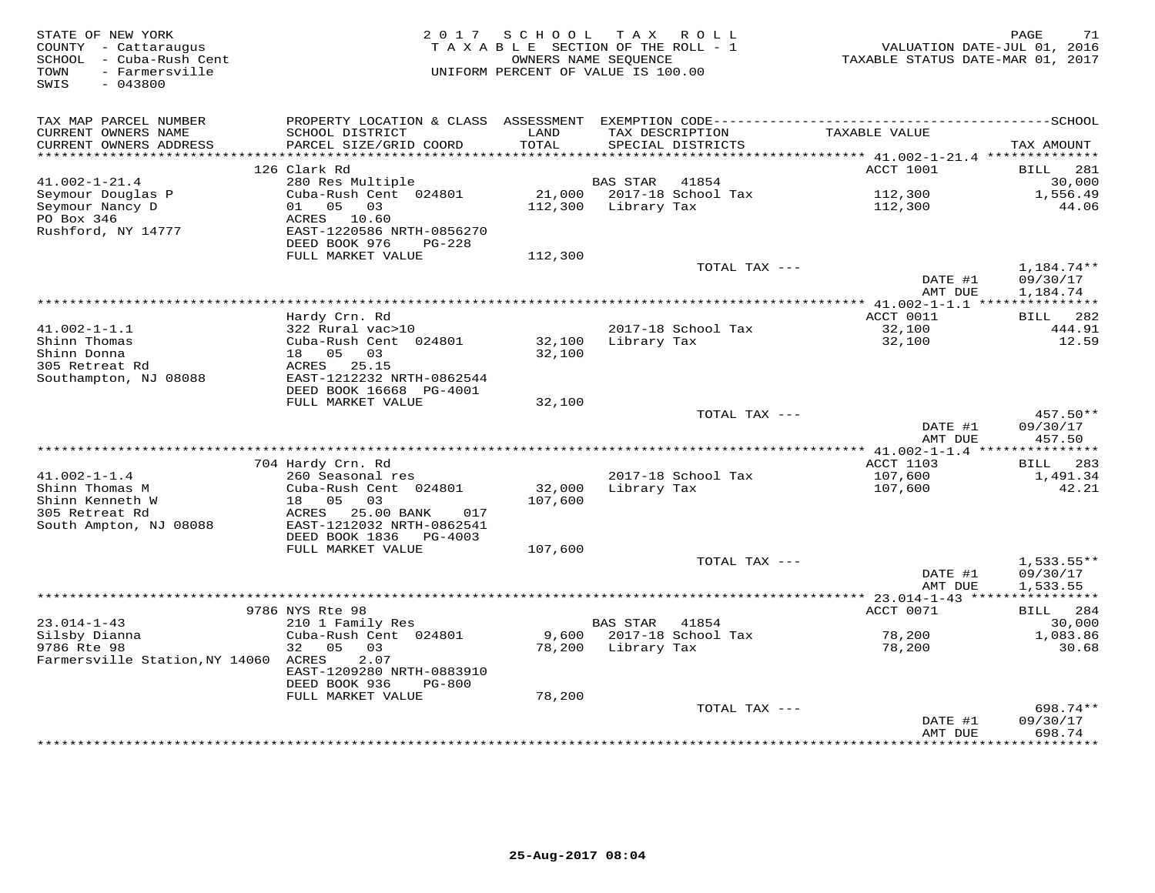| TAX MAP PARCEL NUMBER<br>PROPERTY LOCATION & CLASS ASSESSMENT<br>CURRENT OWNERS NAME<br>SCHOOL DISTRICT<br>TAX DESCRIPTION<br>TAXABLE VALUE<br>LAND<br>CURRENT OWNERS ADDRESS<br>PARCEL SIZE/GRID COORD<br>TOTAL<br>SPECIAL DISTRICTS<br>TAX AMOUNT<br>***************<br>******<br>***** 41.002-1-21.4 ***************<br>126 Clark Rd<br>ACCT 1001<br><b>BILL</b><br>281<br>280 Res Multiple<br><b>BAS STAR</b><br>30,000<br>$41.002 - 1 - 21.4$<br>41854<br>Seymour Douglas P<br>Cuba-Rush Cent 024801<br>21,000<br>2017-18 School Tax<br>112,300<br>1,556.49<br>Seymour Nancy D<br>05<br>03<br>Library Tax<br>01<br>112,300<br>112,300<br>44.06<br>PO Box 346<br>ACRES<br>10.60<br>Rushford, NY 14777<br>EAST-1220586 NRTH-0856270<br>DEED BOOK 976<br>PG-228<br>FULL MARKET VALUE<br>112,300<br>TOTAL TAX ---<br>$1,184.74**$<br>DATE #1<br>09/30/17<br>1,184.74<br>AMT DUE<br>********** 41.002-1-1.1 ****************<br>ACCT 0011<br>Hardy Crn. Rd<br>282<br>BILL<br>$41.002 - 1 - 1.1$<br>322 Rural vac>10<br>2017-18 School Tax<br>32,100<br>444.91<br>Shinn Thomas<br>Cuba-Rush Cent 024801<br>Library Tax<br>12.59<br>32,100<br>32,100<br>Shinn Donna<br>18 05<br>03<br>32,100<br>ACRES 25.15<br>305 Retreat Rd<br>EAST-1212232 NRTH-0862544<br>Southampton, NJ 08088<br>DEED BOOK 16668 PG-4001<br>FULL MARKET VALUE<br>32,100<br>TOTAL TAX ---<br>$457.50**$<br>DATE #1<br>09/30/17<br>457.50<br>AMT DUE<br>**** 41.002-1-1.4 ***************<br>ACCT 1103<br>704 Hardy Crn. Rd<br>283<br>BILL<br>$41.002 - 1 - 1.4$<br>107,600<br>1,491.34<br>260 Seasonal res<br>2017-18 School Tax<br>Shinn Thomas M<br>Cuba-Rush Cent 024801<br>32,000<br>Library Tax<br>42.21<br>107,600<br>Shinn Kenneth W<br>18<br>0.5<br>0.3<br>107,600<br>305 Retreat Rd<br>25.00 BANK<br>ACRES<br>017<br>South Ampton, NJ 08088<br>EAST-1212032 NRTH-0862541<br>DEED BOOK 1836<br>PG-4003<br>FULL MARKET VALUE<br>107,600<br>TOTAL TAX ---<br>$1,533.55**$<br>DATE #1<br>09/30/17<br>AMT DUE<br>1,533.55<br>***********<br>9786 NYS Rte 98<br>ACCT 0071<br>284<br>BILL<br>$23.014 - 1 - 43$<br>210 1 Family Res<br><b>BAS STAR</b><br>41854<br>30,000<br>Silsby Dianna<br>Cuba-Rush Cent 024801<br>9,600<br>2017-18 School Tax<br>78,200<br>1,083.86<br>9786 Rte 98<br>05<br>32<br>03<br>78,200<br>Library Tax<br>78,200<br>30.68<br>Farmersville Station, NY 14060<br>2.07<br>ACRES<br>EAST-1209280 NRTH-0883910<br>DEED BOOK 936<br><b>PG-800</b><br>FULL MARKET VALUE<br>78,200<br>698.74**<br>TOTAL TAX ---<br>09/30/17<br>DATE #1<br>AMT DUE<br>698.74<br>* * * * * * * * * | STATE OF NEW YORK<br>COUNTY - Cattaraugus<br>SCHOOL - Cuba-Rush Cent<br>- Farmersville<br>TOWN<br>$-043800$<br>SWIS | 2017 | SCHOOL<br>OWNERS NAME SEQUENCE | T A X<br>R O L L<br>TAXABLE SECTION OF THE ROLL - 1<br>UNIFORM PERCENT OF VALUE IS 100.00 | VALUATION DATE-JUL 01, 2016<br>TAXABLE STATUS DATE-MAR 01, 2017 | 71<br>PAGE |
|--------------------------------------------------------------------------------------------------------------------------------------------------------------------------------------------------------------------------------------------------------------------------------------------------------------------------------------------------------------------------------------------------------------------------------------------------------------------------------------------------------------------------------------------------------------------------------------------------------------------------------------------------------------------------------------------------------------------------------------------------------------------------------------------------------------------------------------------------------------------------------------------------------------------------------------------------------------------------------------------------------------------------------------------------------------------------------------------------------------------------------------------------------------------------------------------------------------------------------------------------------------------------------------------------------------------------------------------------------------------------------------------------------------------------------------------------------------------------------------------------------------------------------------------------------------------------------------------------------------------------------------------------------------------------------------------------------------------------------------------------------------------------------------------------------------------------------------------------------------------------------------------------------------------------------------------------------------------------------------------------------------------------------------------------------------------------------------------------------------------------------------------------------------------------------------------------------------------------------------------------------------------------------------------------------------------------------------------------------------------------------------------------------------------------------------------------------------------------------------------------------------------------------------------------------------------------|---------------------------------------------------------------------------------------------------------------------|------|--------------------------------|-------------------------------------------------------------------------------------------|-----------------------------------------------------------------|------------|
|                                                                                                                                                                                                                                                                                                                                                                                                                                                                                                                                                                                                                                                                                                                                                                                                                                                                                                                                                                                                                                                                                                                                                                                                                                                                                                                                                                                                                                                                                                                                                                                                                                                                                                                                                                                                                                                                                                                                                                                                                                                                                                                                                                                                                                                                                                                                                                                                                                                                                                                                                                          |                                                                                                                     |      |                                |                                                                                           |                                                                 |            |
|                                                                                                                                                                                                                                                                                                                                                                                                                                                                                                                                                                                                                                                                                                                                                                                                                                                                                                                                                                                                                                                                                                                                                                                                                                                                                                                                                                                                                                                                                                                                                                                                                                                                                                                                                                                                                                                                                                                                                                                                                                                                                                                                                                                                                                                                                                                                                                                                                                                                                                                                                                          |                                                                                                                     |      |                                |                                                                                           |                                                                 |            |
|                                                                                                                                                                                                                                                                                                                                                                                                                                                                                                                                                                                                                                                                                                                                                                                                                                                                                                                                                                                                                                                                                                                                                                                                                                                                                                                                                                                                                                                                                                                                                                                                                                                                                                                                                                                                                                                                                                                                                                                                                                                                                                                                                                                                                                                                                                                                                                                                                                                                                                                                                                          |                                                                                                                     |      |                                |                                                                                           |                                                                 |            |
|                                                                                                                                                                                                                                                                                                                                                                                                                                                                                                                                                                                                                                                                                                                                                                                                                                                                                                                                                                                                                                                                                                                                                                                                                                                                                                                                                                                                                                                                                                                                                                                                                                                                                                                                                                                                                                                                                                                                                                                                                                                                                                                                                                                                                                                                                                                                                                                                                                                                                                                                                                          |                                                                                                                     |      |                                |                                                                                           |                                                                 |            |
|                                                                                                                                                                                                                                                                                                                                                                                                                                                                                                                                                                                                                                                                                                                                                                                                                                                                                                                                                                                                                                                                                                                                                                                                                                                                                                                                                                                                                                                                                                                                                                                                                                                                                                                                                                                                                                                                                                                                                                                                                                                                                                                                                                                                                                                                                                                                                                                                                                                                                                                                                                          |                                                                                                                     |      |                                |                                                                                           |                                                                 |            |
|                                                                                                                                                                                                                                                                                                                                                                                                                                                                                                                                                                                                                                                                                                                                                                                                                                                                                                                                                                                                                                                                                                                                                                                                                                                                                                                                                                                                                                                                                                                                                                                                                                                                                                                                                                                                                                                                                                                                                                                                                                                                                                                                                                                                                                                                                                                                                                                                                                                                                                                                                                          |                                                                                                                     |      |                                |                                                                                           |                                                                 |            |
|                                                                                                                                                                                                                                                                                                                                                                                                                                                                                                                                                                                                                                                                                                                                                                                                                                                                                                                                                                                                                                                                                                                                                                                                                                                                                                                                                                                                                                                                                                                                                                                                                                                                                                                                                                                                                                                                                                                                                                                                                                                                                                                                                                                                                                                                                                                                                                                                                                                                                                                                                                          |                                                                                                                     |      |                                |                                                                                           |                                                                 |            |
|                                                                                                                                                                                                                                                                                                                                                                                                                                                                                                                                                                                                                                                                                                                                                                                                                                                                                                                                                                                                                                                                                                                                                                                                                                                                                                                                                                                                                                                                                                                                                                                                                                                                                                                                                                                                                                                                                                                                                                                                                                                                                                                                                                                                                                                                                                                                                                                                                                                                                                                                                                          |                                                                                                                     |      |                                |                                                                                           |                                                                 |            |
|                                                                                                                                                                                                                                                                                                                                                                                                                                                                                                                                                                                                                                                                                                                                                                                                                                                                                                                                                                                                                                                                                                                                                                                                                                                                                                                                                                                                                                                                                                                                                                                                                                                                                                                                                                                                                                                                                                                                                                                                                                                                                                                                                                                                                                                                                                                                                                                                                                                                                                                                                                          |                                                                                                                     |      |                                |                                                                                           |                                                                 |            |
|                                                                                                                                                                                                                                                                                                                                                                                                                                                                                                                                                                                                                                                                                                                                                                                                                                                                                                                                                                                                                                                                                                                                                                                                                                                                                                                                                                                                                                                                                                                                                                                                                                                                                                                                                                                                                                                                                                                                                                                                                                                                                                                                                                                                                                                                                                                                                                                                                                                                                                                                                                          |                                                                                                                     |      |                                |                                                                                           |                                                                 |            |
|                                                                                                                                                                                                                                                                                                                                                                                                                                                                                                                                                                                                                                                                                                                                                                                                                                                                                                                                                                                                                                                                                                                                                                                                                                                                                                                                                                                                                                                                                                                                                                                                                                                                                                                                                                                                                                                                                                                                                                                                                                                                                                                                                                                                                                                                                                                                                                                                                                                                                                                                                                          |                                                                                                                     |      |                                |                                                                                           |                                                                 |            |
|                                                                                                                                                                                                                                                                                                                                                                                                                                                                                                                                                                                                                                                                                                                                                                                                                                                                                                                                                                                                                                                                                                                                                                                                                                                                                                                                                                                                                                                                                                                                                                                                                                                                                                                                                                                                                                                                                                                                                                                                                                                                                                                                                                                                                                                                                                                                                                                                                                                                                                                                                                          |                                                                                                                     |      |                                |                                                                                           |                                                                 |            |
|                                                                                                                                                                                                                                                                                                                                                                                                                                                                                                                                                                                                                                                                                                                                                                                                                                                                                                                                                                                                                                                                                                                                                                                                                                                                                                                                                                                                                                                                                                                                                                                                                                                                                                                                                                                                                                                                                                                                                                                                                                                                                                                                                                                                                                                                                                                                                                                                                                                                                                                                                                          |                                                                                                                     |      |                                |                                                                                           |                                                                 |            |
|                                                                                                                                                                                                                                                                                                                                                                                                                                                                                                                                                                                                                                                                                                                                                                                                                                                                                                                                                                                                                                                                                                                                                                                                                                                                                                                                                                                                                                                                                                                                                                                                                                                                                                                                                                                                                                                                                                                                                                                                                                                                                                                                                                                                                                                                                                                                                                                                                                                                                                                                                                          |                                                                                                                     |      |                                |                                                                                           |                                                                 |            |
|                                                                                                                                                                                                                                                                                                                                                                                                                                                                                                                                                                                                                                                                                                                                                                                                                                                                                                                                                                                                                                                                                                                                                                                                                                                                                                                                                                                                                                                                                                                                                                                                                                                                                                                                                                                                                                                                                                                                                                                                                                                                                                                                                                                                                                                                                                                                                                                                                                                                                                                                                                          |                                                                                                                     |      |                                |                                                                                           |                                                                 |            |
|                                                                                                                                                                                                                                                                                                                                                                                                                                                                                                                                                                                                                                                                                                                                                                                                                                                                                                                                                                                                                                                                                                                                                                                                                                                                                                                                                                                                                                                                                                                                                                                                                                                                                                                                                                                                                                                                                                                                                                                                                                                                                                                                                                                                                                                                                                                                                                                                                                                                                                                                                                          |                                                                                                                     |      |                                |                                                                                           |                                                                 |            |
|                                                                                                                                                                                                                                                                                                                                                                                                                                                                                                                                                                                                                                                                                                                                                                                                                                                                                                                                                                                                                                                                                                                                                                                                                                                                                                                                                                                                                                                                                                                                                                                                                                                                                                                                                                                                                                                                                                                                                                                                                                                                                                                                                                                                                                                                                                                                                                                                                                                                                                                                                                          |                                                                                                                     |      |                                |                                                                                           |                                                                 |            |
|                                                                                                                                                                                                                                                                                                                                                                                                                                                                                                                                                                                                                                                                                                                                                                                                                                                                                                                                                                                                                                                                                                                                                                                                                                                                                                                                                                                                                                                                                                                                                                                                                                                                                                                                                                                                                                                                                                                                                                                                                                                                                                                                                                                                                                                                                                                                                                                                                                                                                                                                                                          |                                                                                                                     |      |                                |                                                                                           |                                                                 |            |
|                                                                                                                                                                                                                                                                                                                                                                                                                                                                                                                                                                                                                                                                                                                                                                                                                                                                                                                                                                                                                                                                                                                                                                                                                                                                                                                                                                                                                                                                                                                                                                                                                                                                                                                                                                                                                                                                                                                                                                                                                                                                                                                                                                                                                                                                                                                                                                                                                                                                                                                                                                          |                                                                                                                     |      |                                |                                                                                           |                                                                 |            |
|                                                                                                                                                                                                                                                                                                                                                                                                                                                                                                                                                                                                                                                                                                                                                                                                                                                                                                                                                                                                                                                                                                                                                                                                                                                                                                                                                                                                                                                                                                                                                                                                                                                                                                                                                                                                                                                                                                                                                                                                                                                                                                                                                                                                                                                                                                                                                                                                                                                                                                                                                                          |                                                                                                                     |      |                                |                                                                                           |                                                                 |            |
|                                                                                                                                                                                                                                                                                                                                                                                                                                                                                                                                                                                                                                                                                                                                                                                                                                                                                                                                                                                                                                                                                                                                                                                                                                                                                                                                                                                                                                                                                                                                                                                                                                                                                                                                                                                                                                                                                                                                                                                                                                                                                                                                                                                                                                                                                                                                                                                                                                                                                                                                                                          |                                                                                                                     |      |                                |                                                                                           |                                                                 |            |
|                                                                                                                                                                                                                                                                                                                                                                                                                                                                                                                                                                                                                                                                                                                                                                                                                                                                                                                                                                                                                                                                                                                                                                                                                                                                                                                                                                                                                                                                                                                                                                                                                                                                                                                                                                                                                                                                                                                                                                                                                                                                                                                                                                                                                                                                                                                                                                                                                                                                                                                                                                          |                                                                                                                     |      |                                |                                                                                           |                                                                 |            |
|                                                                                                                                                                                                                                                                                                                                                                                                                                                                                                                                                                                                                                                                                                                                                                                                                                                                                                                                                                                                                                                                                                                                                                                                                                                                                                                                                                                                                                                                                                                                                                                                                                                                                                                                                                                                                                                                                                                                                                                                                                                                                                                                                                                                                                                                                                                                                                                                                                                                                                                                                                          |                                                                                                                     |      |                                |                                                                                           |                                                                 |            |
|                                                                                                                                                                                                                                                                                                                                                                                                                                                                                                                                                                                                                                                                                                                                                                                                                                                                                                                                                                                                                                                                                                                                                                                                                                                                                                                                                                                                                                                                                                                                                                                                                                                                                                                                                                                                                                                                                                                                                                                                                                                                                                                                                                                                                                                                                                                                                                                                                                                                                                                                                                          |                                                                                                                     |      |                                |                                                                                           |                                                                 |            |
|                                                                                                                                                                                                                                                                                                                                                                                                                                                                                                                                                                                                                                                                                                                                                                                                                                                                                                                                                                                                                                                                                                                                                                                                                                                                                                                                                                                                                                                                                                                                                                                                                                                                                                                                                                                                                                                                                                                                                                                                                                                                                                                                                                                                                                                                                                                                                                                                                                                                                                                                                                          |                                                                                                                     |      |                                |                                                                                           |                                                                 |            |
|                                                                                                                                                                                                                                                                                                                                                                                                                                                                                                                                                                                                                                                                                                                                                                                                                                                                                                                                                                                                                                                                                                                                                                                                                                                                                                                                                                                                                                                                                                                                                                                                                                                                                                                                                                                                                                                                                                                                                                                                                                                                                                                                                                                                                                                                                                                                                                                                                                                                                                                                                                          |                                                                                                                     |      |                                |                                                                                           |                                                                 |            |
|                                                                                                                                                                                                                                                                                                                                                                                                                                                                                                                                                                                                                                                                                                                                                                                                                                                                                                                                                                                                                                                                                                                                                                                                                                                                                                                                                                                                                                                                                                                                                                                                                                                                                                                                                                                                                                                                                                                                                                                                                                                                                                                                                                                                                                                                                                                                                                                                                                                                                                                                                                          |                                                                                                                     |      |                                |                                                                                           |                                                                 |            |
|                                                                                                                                                                                                                                                                                                                                                                                                                                                                                                                                                                                                                                                                                                                                                                                                                                                                                                                                                                                                                                                                                                                                                                                                                                                                                                                                                                                                                                                                                                                                                                                                                                                                                                                                                                                                                                                                                                                                                                                                                                                                                                                                                                                                                                                                                                                                                                                                                                                                                                                                                                          |                                                                                                                     |      |                                |                                                                                           |                                                                 |            |
|                                                                                                                                                                                                                                                                                                                                                                                                                                                                                                                                                                                                                                                                                                                                                                                                                                                                                                                                                                                                                                                                                                                                                                                                                                                                                                                                                                                                                                                                                                                                                                                                                                                                                                                                                                                                                                                                                                                                                                                                                                                                                                                                                                                                                                                                                                                                                                                                                                                                                                                                                                          |                                                                                                                     |      |                                |                                                                                           |                                                                 |            |
|                                                                                                                                                                                                                                                                                                                                                                                                                                                                                                                                                                                                                                                                                                                                                                                                                                                                                                                                                                                                                                                                                                                                                                                                                                                                                                                                                                                                                                                                                                                                                                                                                                                                                                                                                                                                                                                                                                                                                                                                                                                                                                                                                                                                                                                                                                                                                                                                                                                                                                                                                                          |                                                                                                                     |      |                                |                                                                                           |                                                                 |            |
|                                                                                                                                                                                                                                                                                                                                                                                                                                                                                                                                                                                                                                                                                                                                                                                                                                                                                                                                                                                                                                                                                                                                                                                                                                                                                                                                                                                                                                                                                                                                                                                                                                                                                                                                                                                                                                                                                                                                                                                                                                                                                                                                                                                                                                                                                                                                                                                                                                                                                                                                                                          |                                                                                                                     |      |                                |                                                                                           |                                                                 |            |
|                                                                                                                                                                                                                                                                                                                                                                                                                                                                                                                                                                                                                                                                                                                                                                                                                                                                                                                                                                                                                                                                                                                                                                                                                                                                                                                                                                                                                                                                                                                                                                                                                                                                                                                                                                                                                                                                                                                                                                                                                                                                                                                                                                                                                                                                                                                                                                                                                                                                                                                                                                          |                                                                                                                     |      |                                |                                                                                           |                                                                 |            |
|                                                                                                                                                                                                                                                                                                                                                                                                                                                                                                                                                                                                                                                                                                                                                                                                                                                                                                                                                                                                                                                                                                                                                                                                                                                                                                                                                                                                                                                                                                                                                                                                                                                                                                                                                                                                                                                                                                                                                                                                                                                                                                                                                                                                                                                                                                                                                                                                                                                                                                                                                                          |                                                                                                                     |      |                                |                                                                                           |                                                                 |            |
|                                                                                                                                                                                                                                                                                                                                                                                                                                                                                                                                                                                                                                                                                                                                                                                                                                                                                                                                                                                                                                                                                                                                                                                                                                                                                                                                                                                                                                                                                                                                                                                                                                                                                                                                                                                                                                                                                                                                                                                                                                                                                                                                                                                                                                                                                                                                                                                                                                                                                                                                                                          |                                                                                                                     |      |                                |                                                                                           |                                                                 |            |
|                                                                                                                                                                                                                                                                                                                                                                                                                                                                                                                                                                                                                                                                                                                                                                                                                                                                                                                                                                                                                                                                                                                                                                                                                                                                                                                                                                                                                                                                                                                                                                                                                                                                                                                                                                                                                                                                                                                                                                                                                                                                                                                                                                                                                                                                                                                                                                                                                                                                                                                                                                          |                                                                                                                     |      |                                |                                                                                           |                                                                 |            |
|                                                                                                                                                                                                                                                                                                                                                                                                                                                                                                                                                                                                                                                                                                                                                                                                                                                                                                                                                                                                                                                                                                                                                                                                                                                                                                                                                                                                                                                                                                                                                                                                                                                                                                                                                                                                                                                                                                                                                                                                                                                                                                                                                                                                                                                                                                                                                                                                                                                                                                                                                                          |                                                                                                                     |      |                                |                                                                                           |                                                                 |            |
|                                                                                                                                                                                                                                                                                                                                                                                                                                                                                                                                                                                                                                                                                                                                                                                                                                                                                                                                                                                                                                                                                                                                                                                                                                                                                                                                                                                                                                                                                                                                                                                                                                                                                                                                                                                                                                                                                                                                                                                                                                                                                                                                                                                                                                                                                                                                                                                                                                                                                                                                                                          |                                                                                                                     |      |                                |                                                                                           |                                                                 |            |
|                                                                                                                                                                                                                                                                                                                                                                                                                                                                                                                                                                                                                                                                                                                                                                                                                                                                                                                                                                                                                                                                                                                                                                                                                                                                                                                                                                                                                                                                                                                                                                                                                                                                                                                                                                                                                                                                                                                                                                                                                                                                                                                                                                                                                                                                                                                                                                                                                                                                                                                                                                          |                                                                                                                     |      |                                |                                                                                           |                                                                 |            |
|                                                                                                                                                                                                                                                                                                                                                                                                                                                                                                                                                                                                                                                                                                                                                                                                                                                                                                                                                                                                                                                                                                                                                                                                                                                                                                                                                                                                                                                                                                                                                                                                                                                                                                                                                                                                                                                                                                                                                                                                                                                                                                                                                                                                                                                                                                                                                                                                                                                                                                                                                                          |                                                                                                                     |      |                                |                                                                                           |                                                                 |            |
|                                                                                                                                                                                                                                                                                                                                                                                                                                                                                                                                                                                                                                                                                                                                                                                                                                                                                                                                                                                                                                                                                                                                                                                                                                                                                                                                                                                                                                                                                                                                                                                                                                                                                                                                                                                                                                                                                                                                                                                                                                                                                                                                                                                                                                                                                                                                                                                                                                                                                                                                                                          |                                                                                                                     |      |                                |                                                                                           |                                                                 |            |
|                                                                                                                                                                                                                                                                                                                                                                                                                                                                                                                                                                                                                                                                                                                                                                                                                                                                                                                                                                                                                                                                                                                                                                                                                                                                                                                                                                                                                                                                                                                                                                                                                                                                                                                                                                                                                                                                                                                                                                                                                                                                                                                                                                                                                                                                                                                                                                                                                                                                                                                                                                          |                                                                                                                     |      |                                |                                                                                           |                                                                 |            |
|                                                                                                                                                                                                                                                                                                                                                                                                                                                                                                                                                                                                                                                                                                                                                                                                                                                                                                                                                                                                                                                                                                                                                                                                                                                                                                                                                                                                                                                                                                                                                                                                                                                                                                                                                                                                                                                                                                                                                                                                                                                                                                                                                                                                                                                                                                                                                                                                                                                                                                                                                                          |                                                                                                                     |      |                                |                                                                                           |                                                                 |            |
|                                                                                                                                                                                                                                                                                                                                                                                                                                                                                                                                                                                                                                                                                                                                                                                                                                                                                                                                                                                                                                                                                                                                                                                                                                                                                                                                                                                                                                                                                                                                                                                                                                                                                                                                                                                                                                                                                                                                                                                                                                                                                                                                                                                                                                                                                                                                                                                                                                                                                                                                                                          |                                                                                                                     |      |                                |                                                                                           |                                                                 |            |
|                                                                                                                                                                                                                                                                                                                                                                                                                                                                                                                                                                                                                                                                                                                                                                                                                                                                                                                                                                                                                                                                                                                                                                                                                                                                                                                                                                                                                                                                                                                                                                                                                                                                                                                                                                                                                                                                                                                                                                                                                                                                                                                                                                                                                                                                                                                                                                                                                                                                                                                                                                          |                                                                                                                     |      |                                |                                                                                           |                                                                 |            |
|                                                                                                                                                                                                                                                                                                                                                                                                                                                                                                                                                                                                                                                                                                                                                                                                                                                                                                                                                                                                                                                                                                                                                                                                                                                                                                                                                                                                                                                                                                                                                                                                                                                                                                                                                                                                                                                                                                                                                                                                                                                                                                                                                                                                                                                                                                                                                                                                                                                                                                                                                                          |                                                                                                                     |      |                                |                                                                                           |                                                                 |            |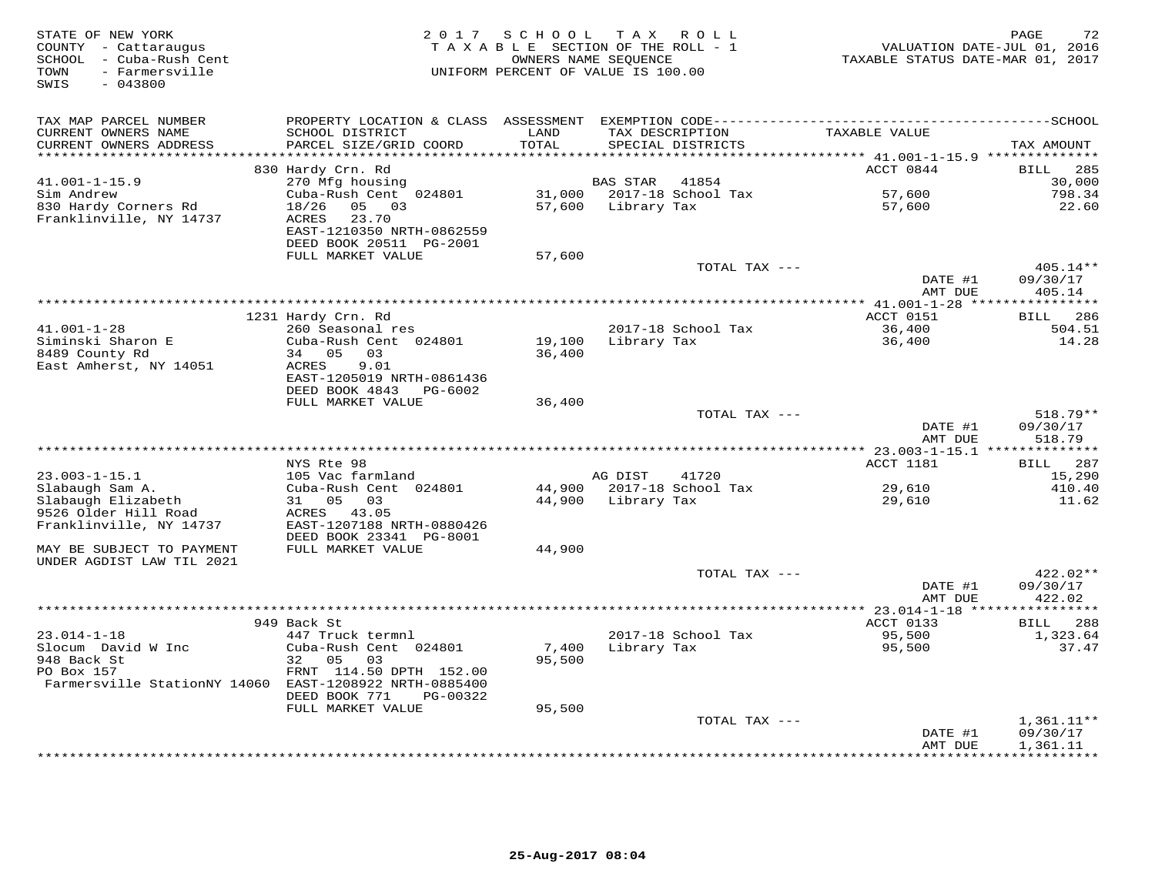| STATE OF NEW YORK<br>COUNTY - Cattaraugus<br>SCHOOL - Cuba-Rush Cent<br>TOWN<br>- Farmersville<br>SWIS<br>$-043800$ | 2 0 1 7                                        | SCHOOL TAX ROLL<br>TAXABLE SECTION OF THE ROLL - 1<br>OWNERS NAME SEQUENCE<br>UNIFORM PERCENT OF VALUE IS 100.00 |                 |                    | VALUATION DATE-JUL 01, 2016<br>TAXABLE STATUS DATE-MAR 01, 2017 | 72<br>PAGE            |
|---------------------------------------------------------------------------------------------------------------------|------------------------------------------------|------------------------------------------------------------------------------------------------------------------|-----------------|--------------------|-----------------------------------------------------------------|-----------------------|
| TAX MAP PARCEL NUMBER                                                                                               |                                                |                                                                                                                  |                 |                    |                                                                 |                       |
| CURRENT OWNERS NAME<br>CURRENT OWNERS ADDRESS                                                                       | SCHOOL DISTRICT<br>PARCEL SIZE/GRID COORD      | LAND<br>TOTAL                                                                                                    | TAX DESCRIPTION | SPECIAL DISTRICTS  | TAXABLE VALUE                                                   | TAX AMOUNT            |
|                                                                                                                     |                                                | ******                                                                                                           |                 |                    | ******* 41.001-1-15.9 **************                            |                       |
| $41.001 - 1 - 15.9$                                                                                                 | 830 Hardy Crn. Rd                              |                                                                                                                  | <b>BAS STAR</b> | 41854              | ACCT 0844                                                       | 285<br>BILL<br>30,000 |
| Sim Andrew                                                                                                          | 270 Mfg housing<br>Cuba-Rush Cent 024801       | 31,000                                                                                                           |                 | 2017-18 School Tax | 57,600                                                          | 798.34                |
| 830 Hardy Corners Rd                                                                                                | 18/26<br>05 03                                 | 57,600                                                                                                           | Library Tax     |                    | 57,600                                                          | 22.60                 |
| Franklinville, NY 14737                                                                                             | 23.70<br>ACRES<br>EAST-1210350 NRTH-0862559    |                                                                                                                  |                 |                    |                                                                 |                       |
|                                                                                                                     | DEED BOOK 20511 PG-2001                        |                                                                                                                  |                 |                    |                                                                 |                       |
|                                                                                                                     | FULL MARKET VALUE                              | 57,600                                                                                                           |                 |                    |                                                                 |                       |
|                                                                                                                     |                                                |                                                                                                                  |                 | TOTAL TAX ---      |                                                                 | 405.14**              |
|                                                                                                                     |                                                |                                                                                                                  |                 |                    | DATE #1<br>AMT DUE                                              | 09/30/17<br>405.14    |
|                                                                                                                     |                                                |                                                                                                                  |                 |                    | $***$ 41.001-1-28 ****                                          | * * * * * * * * * * * |
| $41.001 - 1 - 28$                                                                                                   | 1231 Hardy Crn. Rd                             |                                                                                                                  |                 |                    | ACCT 0151<br>36,400                                             | 286<br>BILL           |
| Siminski Sharon E                                                                                                   | 260 Seasonal res<br>Cuba-Rush Cent 024801      | 19,100                                                                                                           | Library Tax     | 2017-18 School Tax | 36,400                                                          | 504.51<br>14.28       |
| 8489 County Rd                                                                                                      | 34 05<br>03                                    | 36,400                                                                                                           |                 |                    |                                                                 |                       |
| East Amherst, NY 14051                                                                                              | ACRES<br>9.01                                  |                                                                                                                  |                 |                    |                                                                 |                       |
|                                                                                                                     | EAST-1205019 NRTH-0861436                      |                                                                                                                  |                 |                    |                                                                 |                       |
|                                                                                                                     | DEED BOOK 4843<br>PG-6002                      |                                                                                                                  |                 |                    |                                                                 |                       |
|                                                                                                                     | FULL MARKET VALUE                              | 36,400                                                                                                           |                 |                    |                                                                 |                       |
|                                                                                                                     |                                                |                                                                                                                  |                 | TOTAL TAX ---      | DATE #1                                                         | 518.79**<br>09/30/17  |
|                                                                                                                     |                                                |                                                                                                                  |                 |                    | AMT DUE                                                         | 518.79                |
| ******************************                                                                                      |                                                |                                                                                                                  |                 |                    |                                                                 |                       |
|                                                                                                                     | NYS Rte 98                                     |                                                                                                                  |                 |                    | ACCT 1181                                                       | 287<br>BILL           |
| $23.003 - 1 - 15.1$                                                                                                 | 105 Vac farmland                               |                                                                                                                  | AG DIST         | 41720              |                                                                 | 15,290                |
| Slabaugh Sam A.                                                                                                     | Cuba-Rush Cent 024801                          | 44,900                                                                                                           |                 | 2017-18 School Tax | 29,610                                                          | 410.40                |
| Slabaugh Elizabeth<br>9526 Older Hill Road                                                                          | 05<br>03<br>31<br>ACRES<br>43.05               | 44,900                                                                                                           | Library Tax     |                    | 29,610                                                          | 11.62                 |
| Franklinville, NY 14737                                                                                             | EAST-1207188 NRTH-0880426                      |                                                                                                                  |                 |                    |                                                                 |                       |
|                                                                                                                     | DEED BOOK 23341 PG-8001                        |                                                                                                                  |                 |                    |                                                                 |                       |
| MAY BE SUBJECT TO PAYMENT                                                                                           | FULL MARKET VALUE                              | 44,900                                                                                                           |                 |                    |                                                                 |                       |
| UNDER AGDIST LAW TIL 2021                                                                                           |                                                |                                                                                                                  |                 |                    |                                                                 |                       |
|                                                                                                                     |                                                |                                                                                                                  |                 | TOTAL TAX ---      |                                                                 | 422.02**              |
|                                                                                                                     |                                                |                                                                                                                  |                 |                    | DATE #1                                                         | 09/30/17              |
|                                                                                                                     |                                                |                                                                                                                  |                 |                    | AMT DUE                                                         | 422.02<br>*********** |
|                                                                                                                     | 949 Back St                                    |                                                                                                                  |                 |                    | ACCT 0133                                                       | <b>BILL</b><br>288    |
| $23.014 - 1 - 18$                                                                                                   | 447 Truck termnl                               |                                                                                                                  |                 | 2017-18 School Tax | 95,500                                                          | 1,323.64              |
| Slocum David W Inc                                                                                                  | Cuba-Rush Cent 024801                          | 7,400                                                                                                            | Library Tax     |                    | 95,500                                                          | 37.47                 |
| 948 Back St                                                                                                         | 32 05<br>03                                    | 95,500                                                                                                           |                 |                    |                                                                 |                       |
| PO Box 157                                                                                                          | FRNT 114.50 DPTH 152.00                        |                                                                                                                  |                 |                    |                                                                 |                       |
| Farmersville StationNY 14060 EAST-1208922 NRTH-0885400                                                              |                                                |                                                                                                                  |                 |                    |                                                                 |                       |
|                                                                                                                     | DEED BOOK 771<br>PG-00322<br>FULL MARKET VALUE | 95,500                                                                                                           |                 |                    |                                                                 |                       |
|                                                                                                                     |                                                |                                                                                                                  |                 | TOTAL TAX ---      |                                                                 | $1,361.11**$          |
|                                                                                                                     |                                                |                                                                                                                  |                 |                    | DATE #1                                                         | 09/30/17              |
|                                                                                                                     |                                                |                                                                                                                  |                 |                    | AMT DUE                                                         | 1,361.11              |
|                                                                                                                     |                                                |                                                                                                                  |                 |                    |                                                                 | **********            |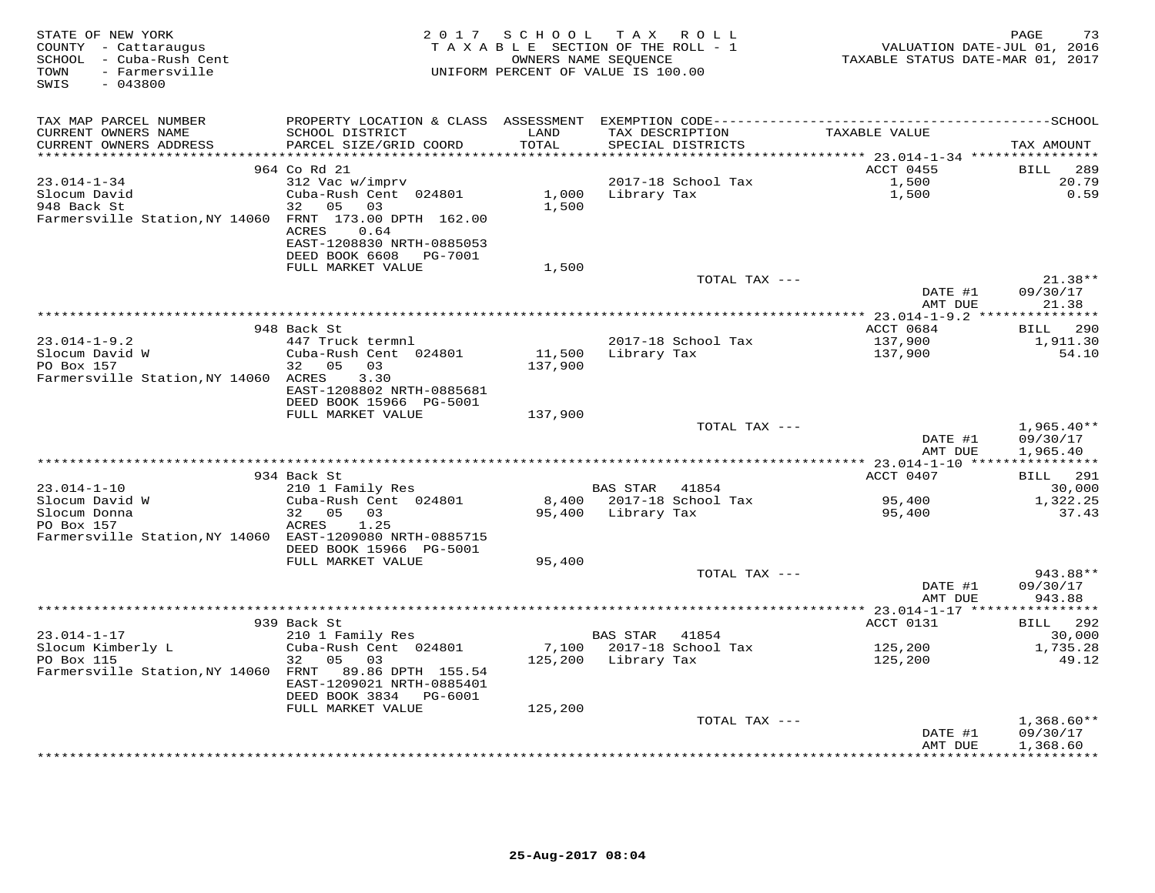| STATE OF NEW YORK<br>COUNTY - Cattaraugus<br>SCHOOL - Cuba-Rush Cent<br>TOWN<br>- Farmersville<br>SWIS<br>$-043800$ |                                                |                   | 2017 SCHOOL TAX ROLL<br>TAXABLE SECTION OF THE ROLL - 1<br>OWNERS NAME SEQUENCE<br>UNIFORM PERCENT OF VALUE IS 100.00 | VALUATION DATE-JUL 01, 2016<br>TAXABLE STATUS DATE-MAR 01, 2017 | PAGE<br>73               |
|---------------------------------------------------------------------------------------------------------------------|------------------------------------------------|-------------------|-----------------------------------------------------------------------------------------------------------------------|-----------------------------------------------------------------|--------------------------|
| TAX MAP PARCEL NUMBER                                                                                               |                                                |                   |                                                                                                                       |                                                                 |                          |
| CURRENT OWNERS NAME<br>CURRENT OWNERS ADDRESS                                                                       | SCHOOL DISTRICT<br>PARCEL SIZE/GRID COORD      | LAND<br>TOTAL     | TAX DESCRIPTION<br>SPECIAL DISTRICTS                                                                                  | TAXABLE VALUE                                                   | TAX AMOUNT               |
| **********************                                                                                              |                                                | ************      |                                                                                                                       |                                                                 |                          |
|                                                                                                                     | 964 Co Rd 21                                   |                   |                                                                                                                       | ACCT 0455                                                       | 289<br>BILL              |
| $23.014 - 1 - 34$                                                                                                   | 312 Vac w/imprv                                |                   | 2017-18 School Tax                                                                                                    | 1,500                                                           | 20.79                    |
| Slocum David                                                                                                        | Cuba-Rush Cent 024801                          | 1,000             | Library Tax                                                                                                           | 1,500                                                           | 0.59                     |
| 948 Back St                                                                                                         | 32<br>05<br>03                                 | 1,500             |                                                                                                                       |                                                                 |                          |
| Farmersville Station, NY 14060 FRNT 173.00 DPTH 162.00                                                              |                                                |                   |                                                                                                                       |                                                                 |                          |
|                                                                                                                     | ACRES<br>0.64                                  |                   |                                                                                                                       |                                                                 |                          |
|                                                                                                                     | EAST-1208830 NRTH-0885053                      |                   |                                                                                                                       |                                                                 |                          |
|                                                                                                                     | DEED BOOK 6608<br>PG-7001<br>FULL MARKET VALUE | 1,500             |                                                                                                                       |                                                                 |                          |
|                                                                                                                     |                                                |                   | TOTAL TAX ---                                                                                                         |                                                                 | 21.38**                  |
|                                                                                                                     |                                                |                   |                                                                                                                       | DATE #1                                                         | 09/30/17                 |
|                                                                                                                     |                                                |                   |                                                                                                                       | AMT DUE                                                         | 21.38                    |
|                                                                                                                     |                                                |                   |                                                                                                                       |                                                                 |                          |
|                                                                                                                     | 948 Back St                                    |                   |                                                                                                                       | ACCT 0684                                                       | 290<br>BILL              |
| $23.014 - 1 - 9.2$                                                                                                  | 447 Truck termnl                               |                   | 2017-18 School Tax                                                                                                    | 137,900                                                         | 1,911.30                 |
| Slocum David W<br>PO Box 157                                                                                        | Cuba-Rush Cent 024801<br>32<br>05<br>03        | 11,500<br>137,900 | Library Tax                                                                                                           | 137,900                                                         | 54.10                    |
| Farmersville Station, NY 14060 ACRES                                                                                | 3.30                                           |                   |                                                                                                                       |                                                                 |                          |
|                                                                                                                     | EAST-1208802 NRTH-0885681                      |                   |                                                                                                                       |                                                                 |                          |
|                                                                                                                     | DEED BOOK 15966 PG-5001                        |                   |                                                                                                                       |                                                                 |                          |
|                                                                                                                     | FULL MARKET VALUE                              | 137,900           |                                                                                                                       |                                                                 |                          |
|                                                                                                                     |                                                |                   | TOTAL TAX ---                                                                                                         |                                                                 | $1,965.40**$             |
|                                                                                                                     |                                                |                   |                                                                                                                       | DATE #1                                                         | 09/30/17                 |
|                                                                                                                     |                                                |                   |                                                                                                                       | AMT DUE                                                         | 1,965.40                 |
|                                                                                                                     | 934 Back St                                    |                   |                                                                                                                       | ACCT 0407                                                       | BILL 291                 |
| $23.014 - 1 - 10$                                                                                                   | 210 1 Family Res                               |                   | BAS STAR<br>41854                                                                                                     |                                                                 | 30,000                   |
| Slocum David W                                                                                                      | Cuba-Rush Cent 024801                          | 8,400             | 2017-18 School Tax                                                                                                    | 95,400                                                          | 1,322.25                 |
| Slocum Donna                                                                                                        | 32 05<br>03                                    |                   | 95,400 Library Tax                                                                                                    | 95,400                                                          | 37.43                    |
| PO Box 157                                                                                                          | ACRES<br>1.25                                  |                   |                                                                                                                       |                                                                 |                          |
| Farmersville Station, NY 14060 EAST-1209080 NRTH-0885715                                                            |                                                |                   |                                                                                                                       |                                                                 |                          |
|                                                                                                                     | DEED BOOK 15966 PG-5001                        |                   |                                                                                                                       |                                                                 |                          |
|                                                                                                                     | FULL MARKET VALUE                              | 95,400            |                                                                                                                       |                                                                 |                          |
|                                                                                                                     |                                                |                   | TOTAL TAX ---                                                                                                         |                                                                 | 943.88**                 |
|                                                                                                                     |                                                |                   |                                                                                                                       | DATE #1<br>AMT DUE                                              | 09/30/17<br>943.88       |
|                                                                                                                     |                                                |                   |                                                                                                                       |                                                                 |                          |
|                                                                                                                     | 939 Back St                                    |                   |                                                                                                                       | ACCT 0131                                                       | 292<br><b>BILL</b>       |
| $23.014 - 1 - 17$                                                                                                   | 210 1 Family Res                               |                   | <b>BAS STAR</b><br>41854                                                                                              |                                                                 | 30,000                   |
| Slocum Kimberly L                                                                                                   | Cuba-Rush Cent 024801                          | 7,100             | 2017-18 School Tax                                                                                                    | 125,200                                                         | 1,735.28                 |
| PO Box 115                                                                                                          | 32<br>05<br>03                                 | 125,200           | Library Tax                                                                                                           | 125,200                                                         | 49.12                    |
| Farmersville Station, NY 14060 FRNT                                                                                 | 89.86 DPTH 155.54                              |                   |                                                                                                                       |                                                                 |                          |
|                                                                                                                     | EAST-1209021 NRTH-0885401                      |                   |                                                                                                                       |                                                                 |                          |
|                                                                                                                     | DEED BOOK 3834 PG-6001                         |                   |                                                                                                                       |                                                                 |                          |
|                                                                                                                     | FULL MARKET VALUE                              | 125,200           | TOTAL TAX ---                                                                                                         |                                                                 |                          |
|                                                                                                                     |                                                |                   |                                                                                                                       | DATE #1                                                         | $1,368.60**$<br>09/30/17 |
|                                                                                                                     |                                                |                   |                                                                                                                       | AMT DUE                                                         | 1,368.60                 |
|                                                                                                                     |                                                |                   |                                                                                                                       |                                                                 | ************             |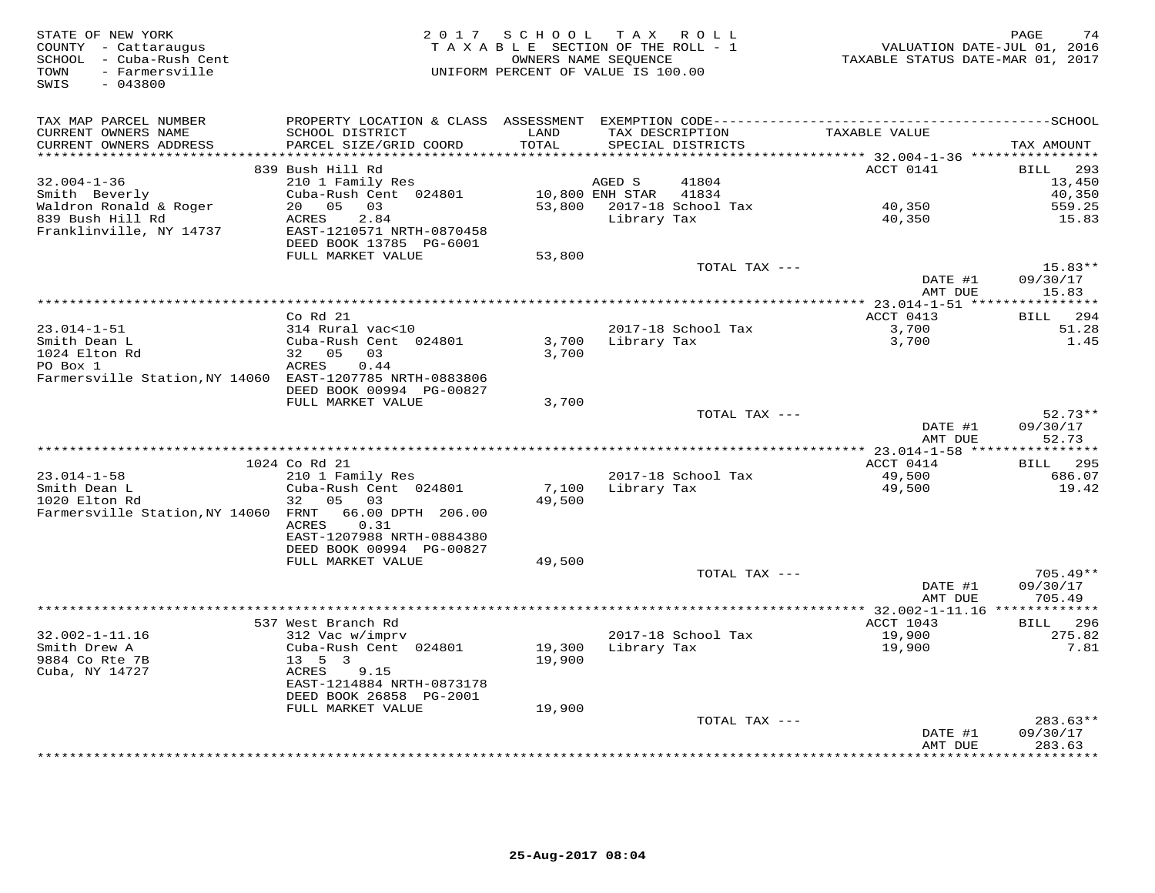| STATE OF NEW YORK<br>COUNTY - Cattaraugus                              | 2017                                      | SCHOOL TAX ROLL<br>TAXABLE SECTION OF THE ROLL - 1         |                 |                                      | VALUATION DATE-JUL 01, 2016             | 74<br>PAGE          |
|------------------------------------------------------------------------|-------------------------------------------|------------------------------------------------------------|-----------------|--------------------------------------|-----------------------------------------|---------------------|
| SCHOOL - Cuba-Rush Cent<br>TOWN<br>- Farmersville<br>$-043800$<br>SWIS |                                           | OWNERS NAME SEQUENCE<br>UNIFORM PERCENT OF VALUE IS 100.00 |                 |                                      | TAXABLE STATUS DATE-MAR 01, 2017        |                     |
|                                                                        |                                           |                                                            |                 |                                      |                                         |                     |
| TAX MAP PARCEL NUMBER                                                  |                                           |                                                            |                 |                                      |                                         |                     |
| CURRENT OWNERS NAME<br>CURRENT OWNERS ADDRESS                          | SCHOOL DISTRICT<br>PARCEL SIZE/GRID COORD | LAND<br>TOTAL                                              |                 | TAX DESCRIPTION<br>SPECIAL DISTRICTS | TAXABLE VALUE                           | TAX AMOUNT          |
| ************************                                               |                                           |                                                            |                 |                                      |                                         |                     |
|                                                                        | 839 Bush Hill Rd                          |                                                            |                 |                                      | ACCT 0141                               | 293<br><b>BILL</b>  |
| $32.004 - 1 - 36$                                                      | 210 1 Family Res                          |                                                            | AGED S          | 41804                                |                                         | 13,450              |
| Smith Beverly                                                          | Cuba-Rush Cent 024801                     |                                                            | 10,800 ENH STAR | 41834                                |                                         | 40,350              |
| Waldron Ronald & Roger                                                 | 20  05  03                                |                                                            |                 | 53,800 2017-18 School Tax            | 40,350                                  | 559.25              |
| 839 Bush Hill Rd                                                       | 2.84<br>ACRES                             |                                                            | Library Tax     |                                      | 40,350                                  | 15.83               |
| Franklinville, NY 14737                                                | EAST-1210571 NRTH-0870458                 |                                                            |                 |                                      |                                         |                     |
|                                                                        | DEED BOOK 13785 PG-6001                   |                                                            |                 |                                      |                                         |                     |
|                                                                        | FULL MARKET VALUE                         | 53,800                                                     |                 |                                      |                                         |                     |
|                                                                        |                                           |                                                            |                 | TOTAL TAX ---                        |                                         | $15.83**$           |
|                                                                        |                                           |                                                            |                 |                                      | DATE #1                                 | 09/30/17            |
|                                                                        |                                           |                                                            |                 |                                      | AMT DUE                                 | 15.83               |
|                                                                        | Co Rd 21                                  |                                                            |                 |                                      | ACCT 0413                               | BILL 294            |
| $23.014 - 1 - 51$                                                      | 314 Rural vac<10                          |                                                            |                 | 2017-18 School Tax                   | 3,700                                   | 51.28               |
| Smith Dean L                                                           | Cuba-Rush Cent 024801                     | 3,700                                                      |                 | Library Tax                          | 3,700                                   | 1.45                |
| 1024 Elton Rd                                                          | 32 05<br>03                               | 3,700                                                      |                 |                                      |                                         |                     |
| PO Box 1                                                               | ACRES<br>0.44                             |                                                            |                 |                                      |                                         |                     |
| Farmersville Station, NY 14060 EAST-1207785 NRTH-0883806               |                                           |                                                            |                 |                                      |                                         |                     |
|                                                                        | DEED BOOK 00994 PG-00827                  |                                                            |                 |                                      |                                         |                     |
|                                                                        | FULL MARKET VALUE                         | 3,700                                                      |                 |                                      |                                         |                     |
|                                                                        |                                           |                                                            |                 | TOTAL TAX ---                        |                                         | $52.73**$           |
|                                                                        |                                           |                                                            |                 |                                      | DATE #1                                 | 09/30/17<br>52.73   |
|                                                                        |                                           |                                                            |                 |                                      | AMT DUE<br>*********** 23.014-1-58 **** | * * * * * * * *     |
|                                                                        | 1024 Co Rd 21                             |                                                            |                 |                                      | ACCT 0414                               | 295<br><b>BILL</b>  |
| $23.014 - 1 - 58$                                                      | 210 1 Family Res                          |                                                            |                 | 2017-18 School Tax                   | 49,500                                  | 686.07              |
| Smith Dean L                                                           | Cuba-Rush Cent 024801                     | 7,100                                                      | Library Tax     |                                      | 49,500                                  | 19.42               |
| 1020 Elton Rd                                                          | 05 03<br>32                               | 49,500                                                     |                 |                                      |                                         |                     |
| Farmersville Station, NY 14060 FRNT                                    | 66.00 DPTH 206.00                         |                                                            |                 |                                      |                                         |                     |
|                                                                        | ACRES<br>0.31                             |                                                            |                 |                                      |                                         |                     |
|                                                                        | EAST-1207988 NRTH-0884380                 |                                                            |                 |                                      |                                         |                     |
|                                                                        | DEED BOOK 00994 PG-00827                  |                                                            |                 |                                      |                                         |                     |
|                                                                        | FULL MARKET VALUE                         | 49,500                                                     |                 |                                      |                                         |                     |
|                                                                        |                                           |                                                            |                 | TOTAL TAX ---                        |                                         | $705.49**$          |
|                                                                        |                                           |                                                            |                 |                                      | DATE #1                                 | 09/30/17<br>705.49  |
|                                                                        |                                           |                                                            |                 |                                      | AMT DUE                                 |                     |
|                                                                        | 537 West Branch Rd                        |                                                            |                 |                                      | ACCT 1043                               | BILL 296            |
| $32.002 - 1 - 11.16$                                                   | 312 Vac w/imprv                           |                                                            |                 | 2017-18 School Tax                   | 19,900                                  | 275.82              |
| Smith Drew A                                                           | Cuba-Rush Cent 024801                     | 19,300                                                     | Library Tax     |                                      | 19,900                                  | 7.81                |
| 9884 Co Rte 7B                                                         | $13 \quad 5 \quad 3$                      | 19,900                                                     |                 |                                      |                                         |                     |
| Cuba, NY 14727                                                         | 9.15<br>ACRES                             |                                                            |                 |                                      |                                         |                     |
|                                                                        | EAST-1214884 NRTH-0873178                 |                                                            |                 |                                      |                                         |                     |
|                                                                        | DEED BOOK 26858 PG-2001                   |                                                            |                 |                                      |                                         |                     |
|                                                                        | FULL MARKET VALUE                         | 19,900                                                     |                 |                                      |                                         |                     |
|                                                                        |                                           |                                                            |                 | TOTAL TAX ---                        |                                         | $283.63**$          |
|                                                                        |                                           |                                                            |                 |                                      | DATE #1                                 | 09/30/17            |
|                                                                        |                                           |                                                            |                 |                                      | AMT DUE<br>***************              | 283.63<br>********* |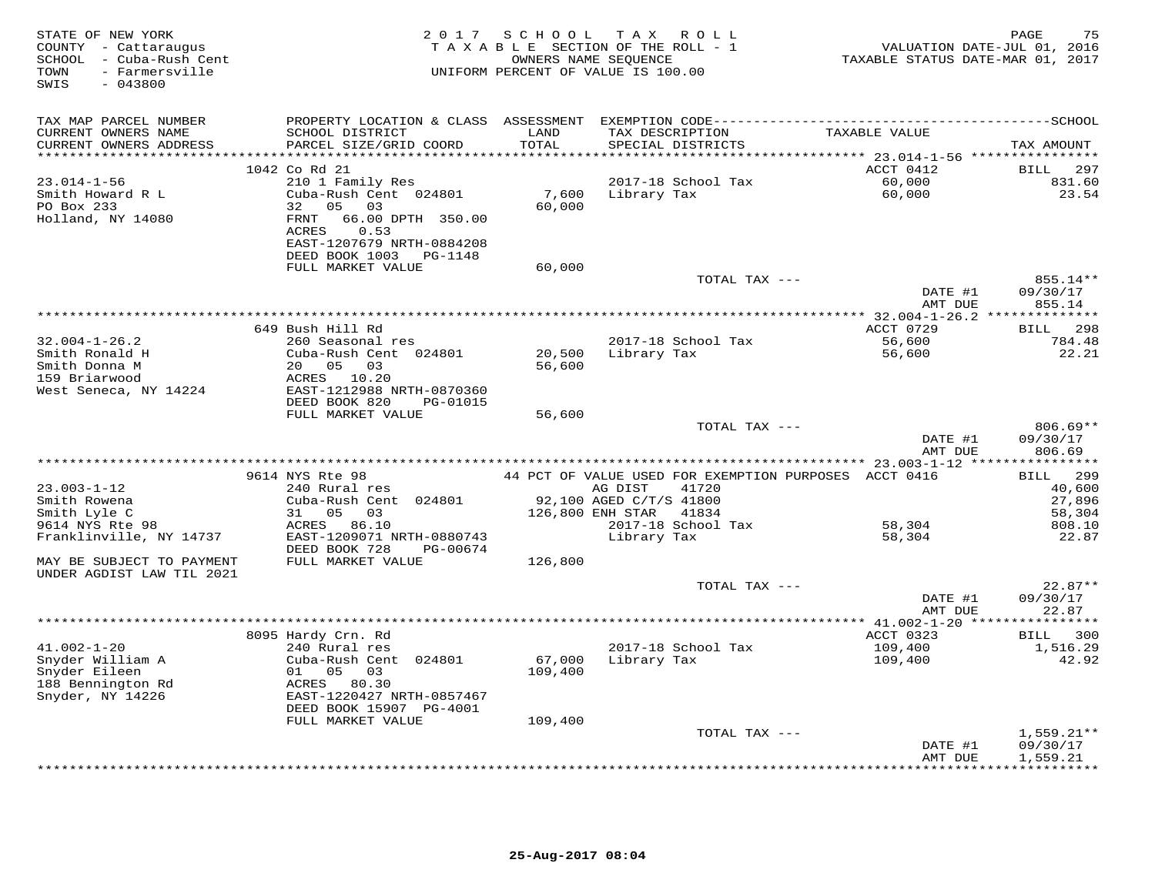| STATE OF NEW YORK<br>COUNTY - Cattaraugus<br>SCHOOL - Cuba-Rush Cent<br>- Farmersville<br>TOWN<br>SWIS<br>$-043800$ | 2 0 1 7                                                                                                                                                                                     | SCHOOL                       | T A X<br>R O L L<br>TAXABLE SECTION OF THE ROLL - 1<br>OWNERS NAME SEQUENCE<br>UNIFORM PERCENT OF VALUE IS 100.00 | VALUATION DATE-JUL 01, 2016<br>TAXABLE STATUS DATE-MAR 01, 2017 | 75<br>PAGE                     |
|---------------------------------------------------------------------------------------------------------------------|---------------------------------------------------------------------------------------------------------------------------------------------------------------------------------------------|------------------------------|-------------------------------------------------------------------------------------------------------------------|-----------------------------------------------------------------|--------------------------------|
| TAX MAP PARCEL NUMBER                                                                                               |                                                                                                                                                                                             |                              |                                                                                                                   |                                                                 |                                |
| CURRENT OWNERS NAME<br>CURRENT OWNERS ADDRESS<br>**********************                                             | SCHOOL DISTRICT<br>PARCEL SIZE/GRID COORD<br>*****************************                                                                                                                  | LAND<br>TOTAL<br>*********** | TAX DESCRIPTION<br>SPECIAL DISTRICTS                                                                              | TAXABLE VALUE                                                   | TAX AMOUNT                     |
|                                                                                                                     |                                                                                                                                                                                             |                              |                                                                                                                   | ACCT 0412                                                       |                                |
| $23.014 - 1 - 56$<br>Smith Howard R L<br>PO Box 233<br>Holland, NY 14080                                            | 1042 Co Rd 21<br>210 1 Family Res<br>Cuba-Rush Cent 024801<br>05<br>32<br>03<br><b>FRNT</b><br>66.00 DPTH 350.00<br>0.53<br>ACRES<br>EAST-1207679 NRTH-0884208<br>DEED BOOK 1003<br>PG-1148 | 7,600<br>60,000              | 2017-18 School Tax<br>Library Tax                                                                                 | 60,000<br>60,000                                                | BILL<br>297<br>831.60<br>23.54 |
|                                                                                                                     | FULL MARKET VALUE                                                                                                                                                                           | 60,000                       |                                                                                                                   |                                                                 |                                |
|                                                                                                                     |                                                                                                                                                                                             |                              | TOTAL TAX ---                                                                                                     | DATE #1                                                         | 855.14**<br>09/30/17           |
|                                                                                                                     |                                                                                                                                                                                             |                              |                                                                                                                   | AMT DUE                                                         | 855.14                         |
|                                                                                                                     | *******************<br>649 Bush Hill Rd                                                                                                                                                     | ***************************  |                                                                                                                   | *********** 32.004-1-26.2 **************<br>ACCT 0729           | 298<br><b>BILL</b>             |
| $32.004 - 1 - 26.2$<br>Smith Ronald H<br>Smith Donna M<br>159 Briarwood                                             | 260 Seasonal res<br>Cuba-Rush Cent 024801<br>20<br>05<br>03<br>ACRES 10.20                                                                                                                  | 20,500<br>56,600             | 2017-18 School Tax<br>Library Tax                                                                                 | 56,600<br>56,600                                                | 784.48<br>22.21                |
| West Seneca, NY 14224                                                                                               | EAST-1212988 NRTH-0870360<br>DEED BOOK 820<br>PG-01015                                                                                                                                      |                              |                                                                                                                   |                                                                 |                                |
|                                                                                                                     | FULL MARKET VALUE                                                                                                                                                                           | 56,600                       |                                                                                                                   |                                                                 |                                |
|                                                                                                                     |                                                                                                                                                                                             |                              | TOTAL TAX ---                                                                                                     | DATE #1                                                         | $806.69**$<br>09/30/17         |
|                                                                                                                     |                                                                                                                                                                                             |                              |                                                                                                                   | AMT DUE                                                         | 806.69                         |
|                                                                                                                     | 9614 NYS Rte 98                                                                                                                                                                             |                              | 44 PCT OF VALUE USED FOR EXEMPTION PURPOSES ACCT 0416                                                             |                                                                 | 299<br>BILL                    |
| $23.003 - 1 - 12$                                                                                                   | 240 Rural res                                                                                                                                                                               |                              | AG DIST<br>41720                                                                                                  |                                                                 | 40,600                         |
| Smith Rowena<br>Smith Lyle C                                                                                        | Cuba-Rush Cent 024801<br>31 05<br>03                                                                                                                                                        |                              | 92,100 AGED C/T/S 41800<br>126,800 ENH STAR<br>41834                                                              |                                                                 | 27,896<br>58,304               |
| 9614 NYS Rte 98<br>Franklinville, NY 14737                                                                          | ACRES<br>86.10<br>EAST-1209071 NRTH-0880743<br>DEED BOOK 728<br>PG-00674                                                                                                                    |                              | 2017-18 School Tax<br>Library Tax                                                                                 | 58,304<br>58,304                                                | 808.10<br>22.87                |
| MAY BE SUBJECT TO PAYMENT<br>UNDER AGDIST LAW TIL 2021                                                              | FULL MARKET VALUE                                                                                                                                                                           | 126,800                      |                                                                                                                   |                                                                 |                                |
|                                                                                                                     |                                                                                                                                                                                             |                              | TOTAL TAX ---                                                                                                     | DATE #1<br>AMT DUE                                              | $22.87**$<br>09/30/17<br>22.87 |
|                                                                                                                     |                                                                                                                                                                                             |                              |                                                                                                                   | $* 41.002 - 1 - 20$ ***                                         | *********                      |
|                                                                                                                     | 8095 Hardy Crn. Rd                                                                                                                                                                          |                              |                                                                                                                   | ACCT 0323                                                       | 300<br><b>BILL</b>             |
| $41.002 - 1 - 20$<br>Snyder William A<br>Snyder Eileen<br>188 Bennington Rd<br>Snyder, NY 14226                     | 240 Rural res<br>Cuba-Rush Cent 024801<br>01 05<br>03<br>80.30<br>ACRES<br>EAST-1220427 NRTH-0857467<br>DEED BOOK 15907 PG-4001                                                             | 67,000<br>109,400            | 2017-18 School Tax<br>Library Tax                                                                                 | 109,400<br>109,400                                              | 1,516.29<br>42.92              |
|                                                                                                                     | FULL MARKET VALUE                                                                                                                                                                           | 109,400                      |                                                                                                                   |                                                                 |                                |
|                                                                                                                     |                                                                                                                                                                                             |                              | TOTAL TAX ---                                                                                                     |                                                                 | $1,559.21**$                   |
|                                                                                                                     |                                                                                                                                                                                             |                              | ********************************                                                                                  | DATE #1<br>AMT DUE                                              | 09/30/17<br>1,559.21           |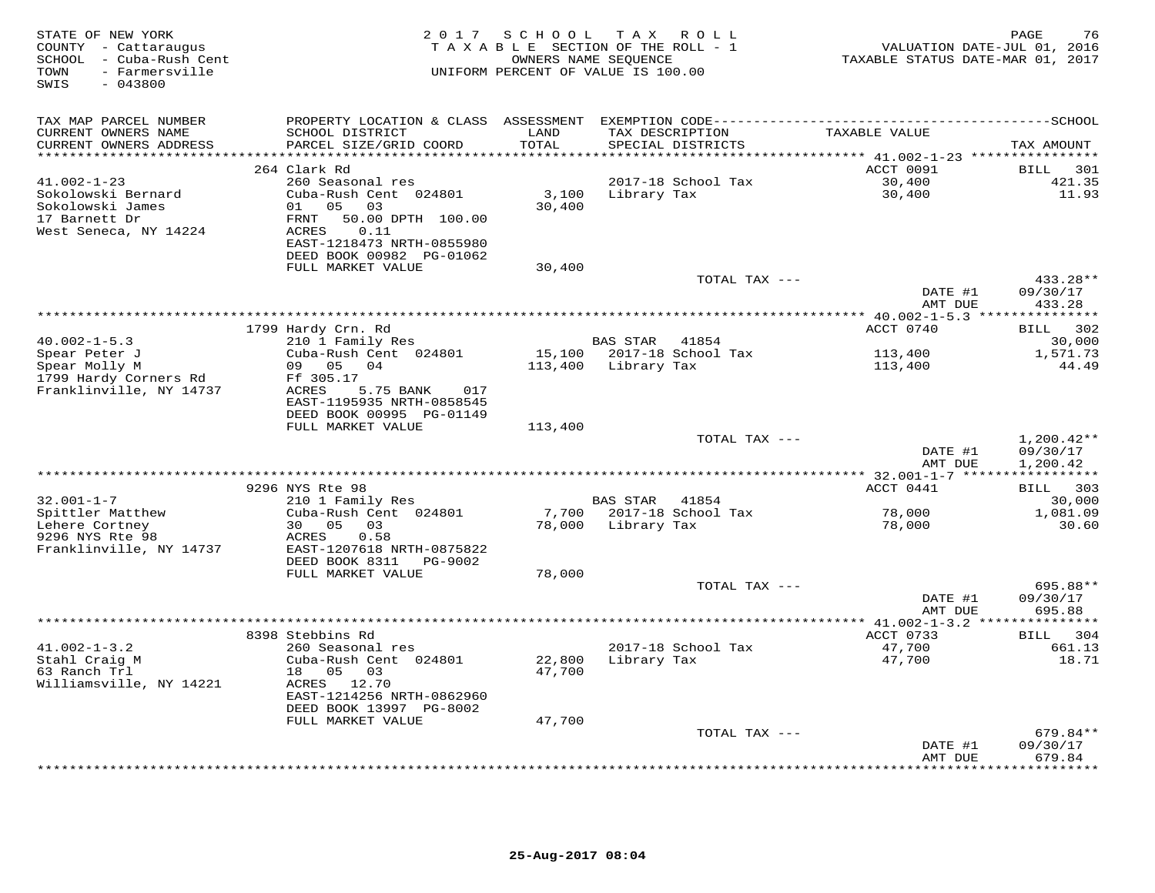| STATE OF NEW YORK<br>COUNTY - Cattaraugus<br>SCHOOL - Cuba-Rush Cent<br>- Farmersville<br>TOWN<br>SWIS<br>$-043800$ | 2 0 1 7                                                                                                                                             | SCHOOL               | TAX ROLL<br>TAXABLE SECTION OF THE ROLL - 1<br>OWNERS NAME SEQUENCE<br>UNIFORM PERCENT OF VALUE IS 100.00 | VALUATION DATE-JUL 01, 2016<br>TAXABLE STATUS DATE-MAR 01, 2017 | PAGE<br>76                                  |
|---------------------------------------------------------------------------------------------------------------------|-----------------------------------------------------------------------------------------------------------------------------------------------------|----------------------|-----------------------------------------------------------------------------------------------------------|-----------------------------------------------------------------|---------------------------------------------|
| TAX MAP PARCEL NUMBER<br>CURRENT OWNERS NAME<br>CURRENT OWNERS ADDRESS                                              | SCHOOL DISTRICT<br>PARCEL SIZE/GRID COORD                                                                                                           | LAND<br><b>TOTAL</b> | TAX DESCRIPTION<br>SPECIAL DISTRICTS                                                                      | TAXABLE VALUE                                                   | TAX AMOUNT                                  |
| ************************                                                                                            |                                                                                                                                                     |                      |                                                                                                           |                                                                 |                                             |
| $41.002 - 1 - 23$<br>Sokolowski Bernard<br>Sokolowski James<br>17 Barnett Dr<br>West Seneca, NY 14224               | 264 Clark Rd<br>260 Seasonal res<br>Cuba-Rush Cent 024801<br>01<br>05 03<br>50.00 DPTH 100.00<br>FRNT<br>0.11<br>ACRES<br>EAST-1218473 NRTH-0855980 | 3,100<br>30,400      | 2017-18 School Tax<br>Library Tax                                                                         | ACCT 0091<br>30,400<br>30,400                                   | BILL 301<br>421.35<br>11.93                 |
|                                                                                                                     | DEED BOOK 00982 PG-01062                                                                                                                            |                      |                                                                                                           |                                                                 |                                             |
|                                                                                                                     | FULL MARKET VALUE                                                                                                                                   | 30,400               | TOTAL TAX ---                                                                                             | DATE #1                                                         | 433.28**<br>09/30/17                        |
|                                                                                                                     |                                                                                                                                                     |                      |                                                                                                           | AMT DUE                                                         | 433.28                                      |
|                                                                                                                     |                                                                                                                                                     |                      |                                                                                                           | ********** 40.002-1-5.3 ****************                        |                                             |
|                                                                                                                     | 1799 Hardy Crn. Rd                                                                                                                                  |                      |                                                                                                           | ACCT 0740                                                       | 302<br><b>BILL</b>                          |
| $40.002 - 1 - 5.3$<br>Spear Peter J<br>Spear Molly M<br>1799 Hardy Corners Rd                                       | 210 1 Family Res<br>Cuba-Rush Cent 024801<br>09 05 04<br>Ff 305.17                                                                                  | 113,400              | BAS STAR<br>41854<br>15,100 2017-18 School Tax<br>Library Tax                                             | 113,400<br>113,400                                              | 30,000<br>1,571.73<br>44.49                 |
| Franklinville, NY 14737                                                                                             | ACRES<br>5.75 BANK<br>017<br>EAST-1195935 NRTH-0858545<br>DEED BOOK 00995 PG-01149<br>FULL MARKET VALUE                                             | 113,400              |                                                                                                           |                                                                 |                                             |
|                                                                                                                     |                                                                                                                                                     |                      | TOTAL TAX ---                                                                                             |                                                                 | $1,200.42**$                                |
|                                                                                                                     |                                                                                                                                                     |                      |                                                                                                           | DATE #1<br>AMT DUE                                              | 09/30/17<br>1,200.42                        |
|                                                                                                                     |                                                                                                                                                     |                      |                                                                                                           | ***************** 32.001-1-7 ******************                 |                                             |
| $32.001 - 1 - 7$                                                                                                    | 9296 NYS Rte 98<br>210 1 Family Res                                                                                                                 |                      | BAS STAR<br>41854                                                                                         | ACCT 0441                                                       | <b>BILL</b><br>303<br>30,000                |
| Spittler Matthew<br>Lehere Cortney<br>9296 NYS Rte 98                                                               | Cuba-Rush Cent 024801<br>05 03<br>30<br>0.58<br>ACRES                                                                                               | 78,000               | 7,700 2017-18 School Tax<br>Library Tax                                                                   | 78,000<br>78,000                                                | 1,081.09<br>30.60                           |
| Franklinville, NY 14737                                                                                             | EAST-1207618 NRTH-0875822<br>DEED BOOK 8311<br>PG-9002<br>FULL MARKET VALUE                                                                         | 78,000               |                                                                                                           |                                                                 |                                             |
|                                                                                                                     |                                                                                                                                                     |                      | TOTAL TAX ---                                                                                             | DATE #1<br>AMT DUE                                              | 695.88**<br>09/30/17<br>695.88              |
|                                                                                                                     |                                                                                                                                                     |                      |                                                                                                           | ** 41.002-1-3.2 ****************                                |                                             |
| $41.002 - 1 - 3.2$<br>Stahl Craig M<br>63 Ranch Trl<br>Williamsville, NY 14221                                      | 8398 Stebbins Rd<br>260 Seasonal res<br>Cuba-Rush Cent 024801<br>18  05  03<br>ACRES 12.70<br>EAST-1214256 NRTH-0862960<br>DEED BOOK 13997 PG-8002  | 22,800<br>47,700     | 2017-18 School Tax<br>Library Tax                                                                         | ACCT 0733<br>47,700<br>47,700                                   | 304<br>BILL<br>661.13<br>18.71              |
|                                                                                                                     | FULL MARKET VALUE                                                                                                                                   | 47,700               |                                                                                                           |                                                                 |                                             |
|                                                                                                                     |                                                                                                                                                     |                      | TOTAL TAX ---<br>************************************                                                     | DATE #1<br>AMT DUE<br>***************                           | 679.84**<br>09/30/17<br>679.84<br>********* |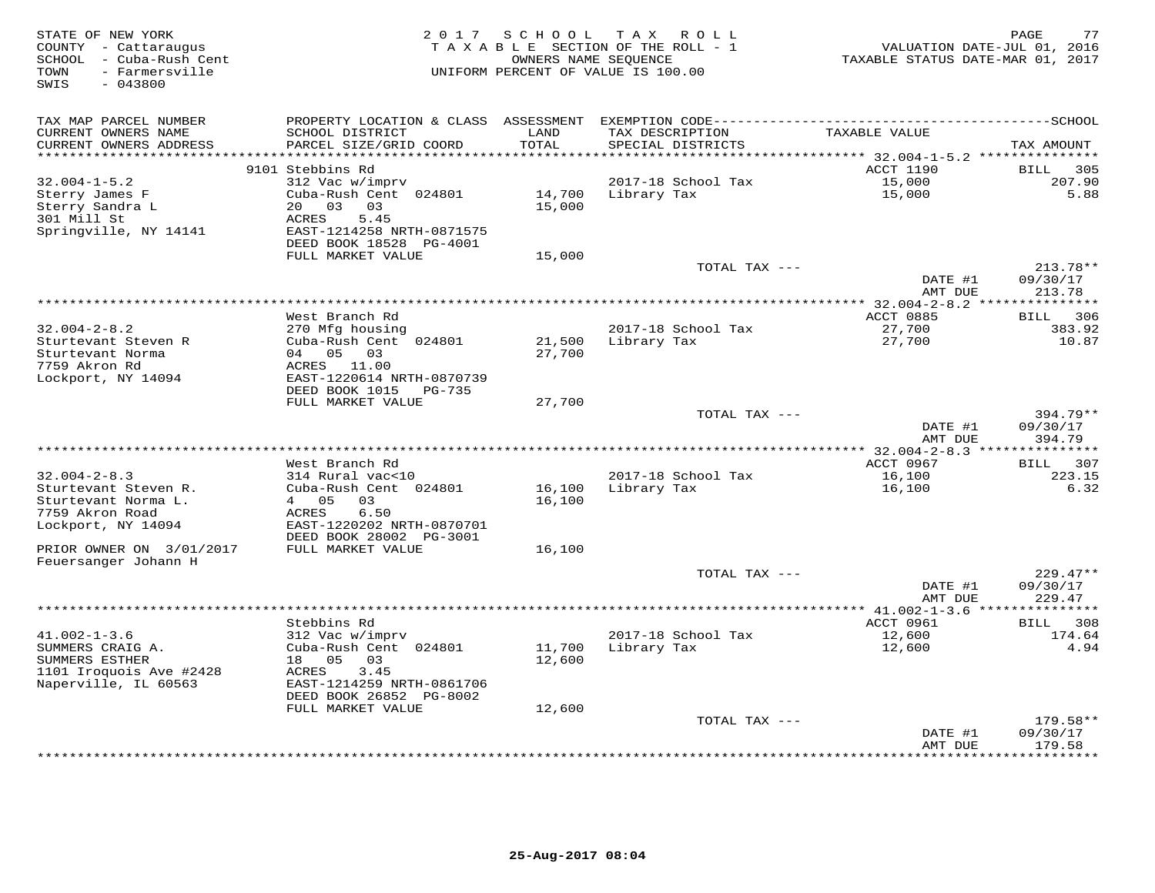| STATE OF NEW YORK<br>COUNTY - Cattaraugus<br>SCHOOL - Cuba-Rush Cent<br>- Farmersville<br>TOWN<br>$-043800$<br>SWIS | 2 0 1 7                                                                                                                                                  | S C H O O L                | TAX ROLL<br>TAXABLE SECTION OF THE ROLL - 1<br>OWNERS NAME SEOUENCE<br>UNIFORM PERCENT OF VALUE IS 100.00 | VALUATION DATE-JUL 01, 2016<br>TAXABLE STATUS DATE-MAR 01, 2017        | 77<br>PAGE                            |
|---------------------------------------------------------------------------------------------------------------------|----------------------------------------------------------------------------------------------------------------------------------------------------------|----------------------------|-----------------------------------------------------------------------------------------------------------|------------------------------------------------------------------------|---------------------------------------|
| TAX MAP PARCEL NUMBER<br>CURRENT OWNERS NAME                                                                        | SCHOOL DISTRICT                                                                                                                                          | LAND                       | TAX DESCRIPTION                                                                                           | TAXABLE VALUE                                                          |                                       |
| CURRENT OWNERS ADDRESS<br>********************                                                                      | PARCEL SIZE/GRID COORD                                                                                                                                   | TOTAL<br>* * * * * * * *   | SPECIAL DISTRICTS                                                                                         |                                                                        | TAX AMOUNT                            |
|                                                                                                                     | 9101 Stebbins Rd                                                                                                                                         |                            |                                                                                                           | *************************** 32.004-1-5.2 ****************<br>ACCT 1190 | <b>BILL</b><br>305                    |
| $32.004 - 1 - 5.2$<br>Sterry James F<br>Sterry Sandra L<br>301 Mill St<br>Springville, NY 14141                     | 312 Vac w/imprv<br>Cuba-Rush Cent 024801<br>03<br>20<br>03<br><b>ACRES</b><br>5.45<br>EAST-1214258 NRTH-0871575<br>DEED BOOK 18528 PG-4001               | 14,700<br>15,000           | 2017-18 School Tax<br>Library Tax                                                                         | 15,000<br>15,000                                                       | 207.90<br>5.88                        |
|                                                                                                                     | FULL MARKET VALUE                                                                                                                                        | 15,000                     | TOTAL TAX ---                                                                                             |                                                                        | 213.78**                              |
|                                                                                                                     |                                                                                                                                                          |                            |                                                                                                           | DATE #1<br>AMT DUE                                                     | 09/30/17<br>213.78                    |
|                                                                                                                     |                                                                                                                                                          |                            | *************************                                                                                 | $32.004 - 2 - 8.2$ **                                                  | *********                             |
|                                                                                                                     | West Branch Rd                                                                                                                                           |                            |                                                                                                           | ACCT 0885                                                              | 306<br>BILL                           |
| $32.004 - 2 - 8.2$                                                                                                  | 270 Mfg housing                                                                                                                                          |                            | 2017-18 School Tax                                                                                        | 27,700                                                                 | 383.92<br>10.87                       |
| Sturtevant Steven R<br>Sturtevant Norma<br>7759 Akron Rd<br>Lockport, NY 14094                                      | Cuba-Rush Cent 024801<br>05<br>03<br>04<br>ACRES 11.00<br>EAST-1220614 NRTH-0870739<br>DEED BOOK 1015<br>PG-735                                          | 21,500<br>27,700           | Library Tax                                                                                               | 27,700                                                                 |                                       |
|                                                                                                                     | FULL MARKET VALUE                                                                                                                                        | 27,700                     |                                                                                                           |                                                                        |                                       |
|                                                                                                                     |                                                                                                                                                          |                            | TOTAL TAX ---                                                                                             | DATE #1<br>AMT DUE                                                     | $394.79**$<br>09/30/17<br>394.79      |
|                                                                                                                     |                                                                                                                                                          |                            |                                                                                                           |                                                                        |                                       |
|                                                                                                                     | West Branch Rd                                                                                                                                           |                            |                                                                                                           | ACCT 0967                                                              | 307<br>BILL                           |
| $32.004 - 2 - 8.3$<br>Sturtevant Steven R.<br>Sturtevant Norma L.<br>7759 Akron Road<br>Lockport, NY 14094          | 314 Rural vac<10<br>Cuba-Rush Cent 024801<br>05<br>03<br>$\overline{4}$<br>6.50<br>ACRES<br>EAST-1220202 NRTH-0870701<br>DEED BOOK 28002 PG-3001         | 16,100<br>16,100           | 2017-18 School Tax<br>Library Tax                                                                         | 16,100<br>16,100                                                       | 223.15<br>6.32                        |
| PRIOR OWNER ON 3/01/2017                                                                                            | FULL MARKET VALUE                                                                                                                                        | 16,100                     |                                                                                                           |                                                                        |                                       |
| Feuersanger Johann H                                                                                                |                                                                                                                                                          |                            | TOTAL TAX ---                                                                                             | DATE #1<br>AMT DUE                                                     | $229.47**$<br>09/30/17<br>229.47      |
|                                                                                                                     |                                                                                                                                                          |                            |                                                                                                           |                                                                        | *********                             |
|                                                                                                                     | Stebbins Rd                                                                                                                                              |                            |                                                                                                           | ACCT 0961                                                              | 308<br>BILL                           |
| $41.002 - 1 - 3.6$<br>SUMMERS CRAIG A.<br>SUMMERS ESTHER<br>1101 Iroquois Ave #2428<br>Naperville, IL 60563         | 312 Vac w/imprv<br>Cuba-Rush Cent 024801<br>05<br>18<br>03<br>ACRES<br>3.45<br>EAST-1214259 NRTH-0861706<br>DEED BOOK 26852 PG-8002<br>FULL MARKET VALUE | 11,700<br>12,600<br>12,600 | 2017-18 School Tax<br>Library Tax                                                                         | 12,600<br>12,600                                                       | 174.64<br>4.94                        |
|                                                                                                                     |                                                                                                                                                          |                            | TOTAL TAX ---                                                                                             |                                                                        | $179.58**$                            |
|                                                                                                                     |                                                                                                                                                          |                            |                                                                                                           | DATE #1<br>AMT DUE<br>********                                         | 09/30/17<br>179.58<br>* * * * * * * * |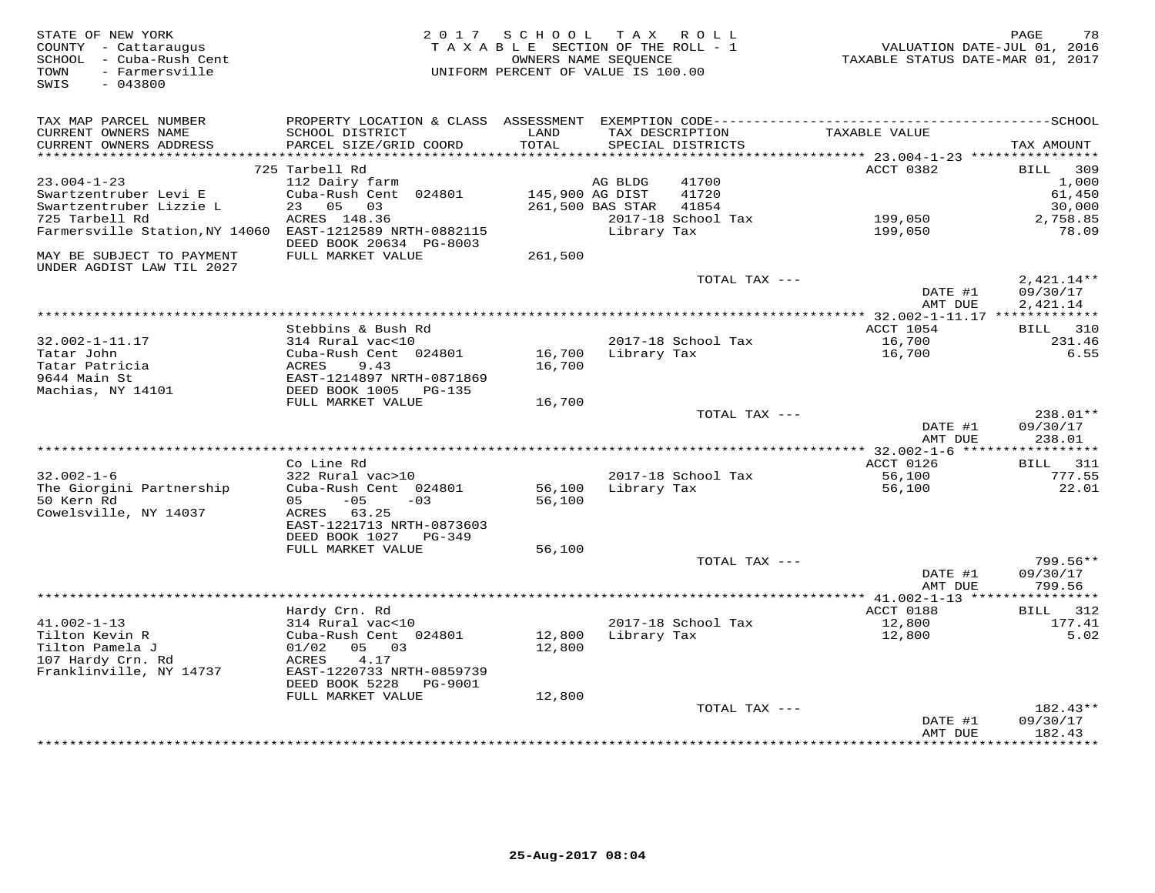| STATE OF NEW YORK<br>COUNTY - Cattaraugus<br>SCHOOL - Cuba-Rush Cent<br>- Farmersville<br>TOWN<br>$-043800$<br>SWIS | 2 0 1 7                                                                | SCHOOL<br>TAXABLE SECTION OF THE ROLL - 1<br>OWNERS NAME SEQUENCE<br>UNIFORM PERCENT OF VALUE IS 100.00 |                  | TAX ROLL                             | TAXABLE STATUS DATE-MAR 01, 2017 | 78<br>PAGE<br>VALUATION DATE-JUL 01, 2016 |
|---------------------------------------------------------------------------------------------------------------------|------------------------------------------------------------------------|---------------------------------------------------------------------------------------------------------|------------------|--------------------------------------|----------------------------------|-------------------------------------------|
|                                                                                                                     |                                                                        |                                                                                                         |                  |                                      |                                  |                                           |
| TAX MAP PARCEL NUMBER<br>CURRENT OWNERS NAME<br>CURRENT OWNERS ADDRESS                                              | PROPERTY LOCATION & CLASS<br>SCHOOL DISTRICT<br>PARCEL SIZE/GRID COORD | ASSESSMENT<br>LAND<br>TOTAL                                                                             |                  | TAX DESCRIPTION<br>SPECIAL DISTRICTS | TAXABLE VALUE                    | TAX AMOUNT                                |
| **********************                                                                                              | *************************                                              |                                                                                                         |                  |                                      |                                  |                                           |
|                                                                                                                     | 725 Tarbell Rd                                                         |                                                                                                         |                  |                                      | ACCT 0382                        | 309<br>BILL                               |
| $23.004 - 1 - 23$                                                                                                   | 112 Dairy farm                                                         |                                                                                                         | AG BLDG          | 41700                                |                                  | 1,000                                     |
| Swartzentruber Levi E                                                                                               | Cuba-Rush Cent 024801                                                  | 145,900 AG DIST                                                                                         |                  | 41720                                |                                  | 61,450                                    |
| Swartzentruber Lizzie L<br>725 Tarbell Rd                                                                           | 05 03<br>23<br>ACRES 148.36                                            |                                                                                                         | 261,500 BAS STAR | 41854<br>2017-18 School Tax          | 199,050                          | 30,000<br>2,758.85                        |
| Farmersville Station, NY 14060                                                                                      | EAST-1212589 NRTH-0882115                                              |                                                                                                         | Library Tax      |                                      | 199,050                          | 78.09                                     |
|                                                                                                                     | DEED BOOK 20634 PG-8003                                                |                                                                                                         |                  |                                      |                                  |                                           |
| MAY BE SUBJECT TO PAYMENT                                                                                           | FULL MARKET VALUE                                                      | 261,500                                                                                                 |                  |                                      |                                  |                                           |
| UNDER AGDIST LAW TIL 2027                                                                                           |                                                                        |                                                                                                         |                  |                                      |                                  |                                           |
|                                                                                                                     |                                                                        |                                                                                                         |                  | TOTAL TAX ---                        | DATE #1                          | $2,421.14**$<br>09/30/17                  |
|                                                                                                                     |                                                                        |                                                                                                         |                  |                                      | AMT DUE                          | 2,421.14                                  |
| ******************************                                                                                      | Stebbins & Bush Rd                                                     |                                                                                                         |                  |                                      |                                  | 310                                       |
| $32.002 - 1 - 11.17$                                                                                                | 314 Rural vac<10                                                       |                                                                                                         |                  | 2017-18 School Tax                   | ACCT 1054<br>16,700              | BILL<br>231.46                            |
| Tatar John                                                                                                          | Cuba-Rush Cent 024801                                                  | 16,700                                                                                                  | Library Tax      |                                      | 16,700                           | 6.55                                      |
| Tatar Patricia                                                                                                      | <b>ACRES</b><br>9.43                                                   | 16,700                                                                                                  |                  |                                      |                                  |                                           |
| 9644 Main St                                                                                                        | EAST-1214897 NRTH-0871869                                              |                                                                                                         |                  |                                      |                                  |                                           |
| Machias, NY 14101                                                                                                   | DEED BOOK 1005<br>PG-135                                               |                                                                                                         |                  |                                      |                                  |                                           |
|                                                                                                                     | FULL MARKET VALUE                                                      | 16,700                                                                                                  |                  |                                      |                                  |                                           |
|                                                                                                                     |                                                                        |                                                                                                         |                  | TOTAL TAX ---                        | DATE #1                          | 238.01**<br>09/30/17                      |
|                                                                                                                     |                                                                        |                                                                                                         |                  |                                      | AMT DUE                          | 238.01                                    |
|                                                                                                                     | Co Line Rd                                                             |                                                                                                         |                  |                                      | ACCT 0126                        | 311<br>BILL                               |
| $32.002 - 1 - 6$                                                                                                    | 322 Rural vac>10                                                       |                                                                                                         |                  | 2017-18 School Tax                   | 56,100                           | 777.55                                    |
| The Giorgini Partnership                                                                                            | Cuba-Rush Cent 024801                                                  | 56,100                                                                                                  | Library Tax      |                                      | 56,100                           | 22.01                                     |
| 50 Kern Rd                                                                                                          | $-05$<br>05<br>$-03$                                                   | 56,100                                                                                                  |                  |                                      |                                  |                                           |
| Cowelsville, NY 14037                                                                                               | ACRES 63.25                                                            |                                                                                                         |                  |                                      |                                  |                                           |
|                                                                                                                     | EAST-1221713 NRTH-0873603<br>DEED BOOK 1027<br>PG-349                  |                                                                                                         |                  |                                      |                                  |                                           |
|                                                                                                                     | FULL MARKET VALUE                                                      | 56,100                                                                                                  |                  |                                      |                                  |                                           |
|                                                                                                                     |                                                                        |                                                                                                         |                  | TOTAL TAX ---                        |                                  | $799.56**$                                |
|                                                                                                                     |                                                                        |                                                                                                         |                  |                                      | DATE #1                          | 09/30/17                                  |
|                                                                                                                     |                                                                        |                                                                                                         |                  |                                      | AMT DUE                          | 799.56                                    |
|                                                                                                                     |                                                                        |                                                                                                         |                  |                                      |                                  |                                           |
|                                                                                                                     | Hardy Crn. Rd                                                          |                                                                                                         |                  |                                      | ACCT 0188                        | 312<br><b>BILL</b>                        |
| $41.002 - 1 - 13$<br>Tilton Kevin R                                                                                 | 314 Rural vac<10<br>Cuba-Rush Cent 024801                              | 12,800                                                                                                  | Library Tax      | 2017-18 School Tax                   | 12,800<br>12,800                 | 177.41<br>5.02                            |
| Tilton Pamela J                                                                                                     | 05 03<br>01/02                                                         | 12,800                                                                                                  |                  |                                      |                                  |                                           |
| 107 Hardy Crn. Rd                                                                                                   | ACRES<br>4.17                                                          |                                                                                                         |                  |                                      |                                  |                                           |
| Franklinville, NY 14737                                                                                             | EAST-1220733 NRTH-0859739                                              |                                                                                                         |                  |                                      |                                  |                                           |
|                                                                                                                     | DEED BOOK 5228<br>PG-9001                                              |                                                                                                         |                  |                                      |                                  |                                           |
|                                                                                                                     | FULL MARKET VALUE                                                      | 12,800                                                                                                  |                  |                                      |                                  | $182.43**$                                |
|                                                                                                                     |                                                                        |                                                                                                         |                  | TOTAL TAX ---                        | DATE #1                          | 09/30/17                                  |
|                                                                                                                     |                                                                        |                                                                                                         |                  |                                      | AMT DUE                          | 182.43                                    |
|                                                                                                                     |                                                                        |                                                                                                         |                  |                                      |                                  | *********                                 |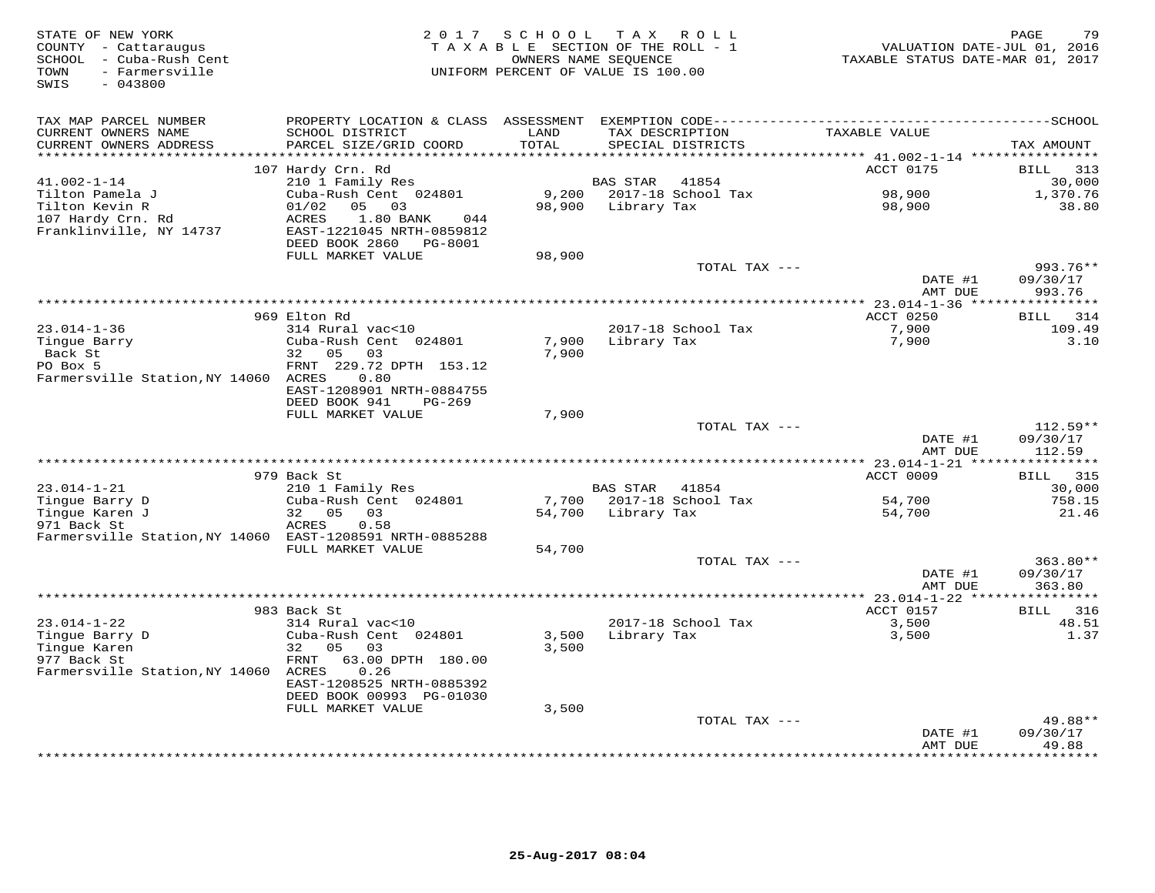| STATE OF NEW YORK<br>COUNTY - Cattaraugus<br>SCHOOL - Cuba-Rush Cent<br>TOWN<br>- Farmersville<br>$-043800$<br>SWIS |                                                                                                                                           | 2017 SCHOOL TAX ROLL<br>TAXABLE SECTION OF THE ROLL - 1<br>OWNERS NAME SEQUENCE<br>UNIFORM PERCENT OF VALUE IS 100.00 |                 |                                   | VALUATION DATE-JUL 01, 2016<br>TAXABLE STATUS DATE-MAR 01, 2017 | 79<br>PAGE               |
|---------------------------------------------------------------------------------------------------------------------|-------------------------------------------------------------------------------------------------------------------------------------------|-----------------------------------------------------------------------------------------------------------------------|-----------------|-----------------------------------|-----------------------------------------------------------------|--------------------------|
| TAX MAP PARCEL NUMBER<br>CURRENT OWNERS NAME<br>CURRENT OWNERS ADDRESS                                              | PROPERTY LOCATION & CLASS ASSESSMENT EXEMPTION CODE-----------------------------------SCHOOL<br>SCHOOL DISTRICT<br>PARCEL SIZE/GRID COORD | LAND<br>TOTAL                                                                                                         | TAX DESCRIPTION | SPECIAL DISTRICTS                 | TAXABLE VALUE                                                   | TAX AMOUNT               |
|                                                                                                                     |                                                                                                                                           | *******                                                                                                               |                 |                                   | ******** 41.002-1-14 ***********                                |                          |
|                                                                                                                     | 107 Hardy Crn. Rd                                                                                                                         |                                                                                                                       |                 |                                   | ACCT 0175                                                       | <b>BILL</b><br>313       |
| $41.002 - 1 - 14$<br>Tilton Pamela J                                                                                | 210 1 Family Res<br>Cuba-Rush Cent 024801                                                                                                 |                                                                                                                       | BAS STAR        | 41854<br>9,200 2017-18 School Tax | 98,900                                                          | 30,000<br>1,370.76       |
| Tilton Kevin R<br>107 Hardy Crn. Rd<br>Franklinville, NY 14737                                                      | 01/02<br>05 03<br><b>ACRES</b><br>1.80 BANK<br>044<br>EAST-1221045 NRTH-0859812<br>DEED BOOK 2860 PG-8001                                 | 98,900                                                                                                                | Library Tax     |                                   | 98,900                                                          | 38.80                    |
|                                                                                                                     | FULL MARKET VALUE                                                                                                                         | 98,900                                                                                                                |                 | TOTAL TAX ---                     |                                                                 | 993.76**                 |
|                                                                                                                     |                                                                                                                                           |                                                                                                                       |                 |                                   | DATE #1<br>AMT DUE                                              | 09/30/17<br>993.76       |
|                                                                                                                     |                                                                                                                                           |                                                                                                                       |                 |                                   |                                                                 |                          |
|                                                                                                                     | 969 Elton Rd                                                                                                                              |                                                                                                                       |                 |                                   | ACCT 0250                                                       | BILL 314                 |
| $23.014 - 1 - 36$                                                                                                   | 314 Rural vac<10                                                                                                                          |                                                                                                                       |                 | 2017-18 School Tax                | 7,900                                                           | 109.49                   |
| Tingue Barry<br>Back St                                                                                             | Cuba-Rush Cent 024801<br>32 05<br>03                                                                                                      | 7,900<br>7,900                                                                                                        |                 | Library Tax                       | 7,900                                                           | 3.10                     |
| PO Box 5                                                                                                            | FRNT 229.72 DPTH 153.12                                                                                                                   |                                                                                                                       |                 |                                   |                                                                 |                          |
| Farmersville Station, NY 14060 ACRES                                                                                | 0.80                                                                                                                                      |                                                                                                                       |                 |                                   |                                                                 |                          |
|                                                                                                                     | EAST-1208901 NRTH-0884755<br>DEED BOOK 941<br>PG-269                                                                                      |                                                                                                                       |                 |                                   |                                                                 |                          |
|                                                                                                                     | FULL MARKET VALUE                                                                                                                         | 7,900                                                                                                                 |                 |                                   |                                                                 |                          |
|                                                                                                                     |                                                                                                                                           |                                                                                                                       |                 | TOTAL TAX ---                     | DATE #1                                                         | $112.59**$<br>09/30/17   |
|                                                                                                                     |                                                                                                                                           |                                                                                                                       |                 |                                   | AMT DUE                                                         | 112.59                   |
|                                                                                                                     |                                                                                                                                           |                                                                                                                       |                 |                                   |                                                                 |                          |
| $23.014 - 1 - 21$                                                                                                   | 979 Back St<br>210 1 Family Res                                                                                                           |                                                                                                                       | BAS STAR        | 41854                             | ACCT 0009                                                       | BILL 315<br>30,000       |
| Tingue Barry D                                                                                                      | Cuba-Rush Cent 024801                                                                                                                     | 7,700                                                                                                                 |                 | 2017-18 School Tax                | 54,700                                                          | 758.15                   |
| Tingue Karen J                                                                                                      | 32 05<br>03                                                                                                                               | 54,700                                                                                                                | Library Tax     |                                   | 54,700                                                          | 21.46                    |
| 971 Back St                                                                                                         | ACRES<br>0.58                                                                                                                             |                                                                                                                       |                 |                                   |                                                                 |                          |
| Farmersville Station, NY 14060 EAST-1208591 NRTH-0885288                                                            |                                                                                                                                           |                                                                                                                       |                 |                                   |                                                                 |                          |
|                                                                                                                     | FULL MARKET VALUE                                                                                                                         | 54,700                                                                                                                |                 | TOTAL TAX ---                     |                                                                 | $363.80**$               |
|                                                                                                                     |                                                                                                                                           |                                                                                                                       |                 |                                   | DATE #1<br>AMT DUE                                              | 09/30/17<br>363.80       |
|                                                                                                                     |                                                                                                                                           |                                                                                                                       |                 |                                   |                                                                 |                          |
|                                                                                                                     | 983 Back St                                                                                                                               |                                                                                                                       |                 |                                   | ACCT 0157                                                       | BILL 316                 |
| $23.014 - 1 - 22$<br>Tingue Barry D                                                                                 | 314 Rural vac<10<br>Cuba-Rush Cent 024801                                                                                                 | 3,500                                                                                                                 | Library Tax     | 2017-18 School Tax                | 3,500<br>3,500                                                  | 48.51<br>1.37            |
| Tingue Karen                                                                                                        | 32 05 03                                                                                                                                  | 3,500                                                                                                                 |                 |                                   |                                                                 |                          |
| 977 Back St                                                                                                         | FRNT<br>63.00 DPTH 180.00                                                                                                                 |                                                                                                                       |                 |                                   |                                                                 |                          |
| Farmersville Station, NY 14060 ACRES                                                                                | 0.26                                                                                                                                      |                                                                                                                       |                 |                                   |                                                                 |                          |
|                                                                                                                     | EAST-1208525 NRTH-0885392                                                                                                                 |                                                                                                                       |                 |                                   |                                                                 |                          |
|                                                                                                                     | DEED BOOK 00993 PG-01030                                                                                                                  |                                                                                                                       |                 |                                   |                                                                 |                          |
|                                                                                                                     | FULL MARKET VALUE                                                                                                                         | 3,500                                                                                                                 |                 | TOTAL TAX ---                     |                                                                 | 49.88**                  |
|                                                                                                                     |                                                                                                                                           |                                                                                                                       |                 |                                   | DATE #1                                                         | 09/30/17                 |
|                                                                                                                     |                                                                                                                                           |                                                                                                                       |                 |                                   | AMT DUE<br>· * * * * * * * * * * * * *                          | 49.88<br>* * * * * * * * |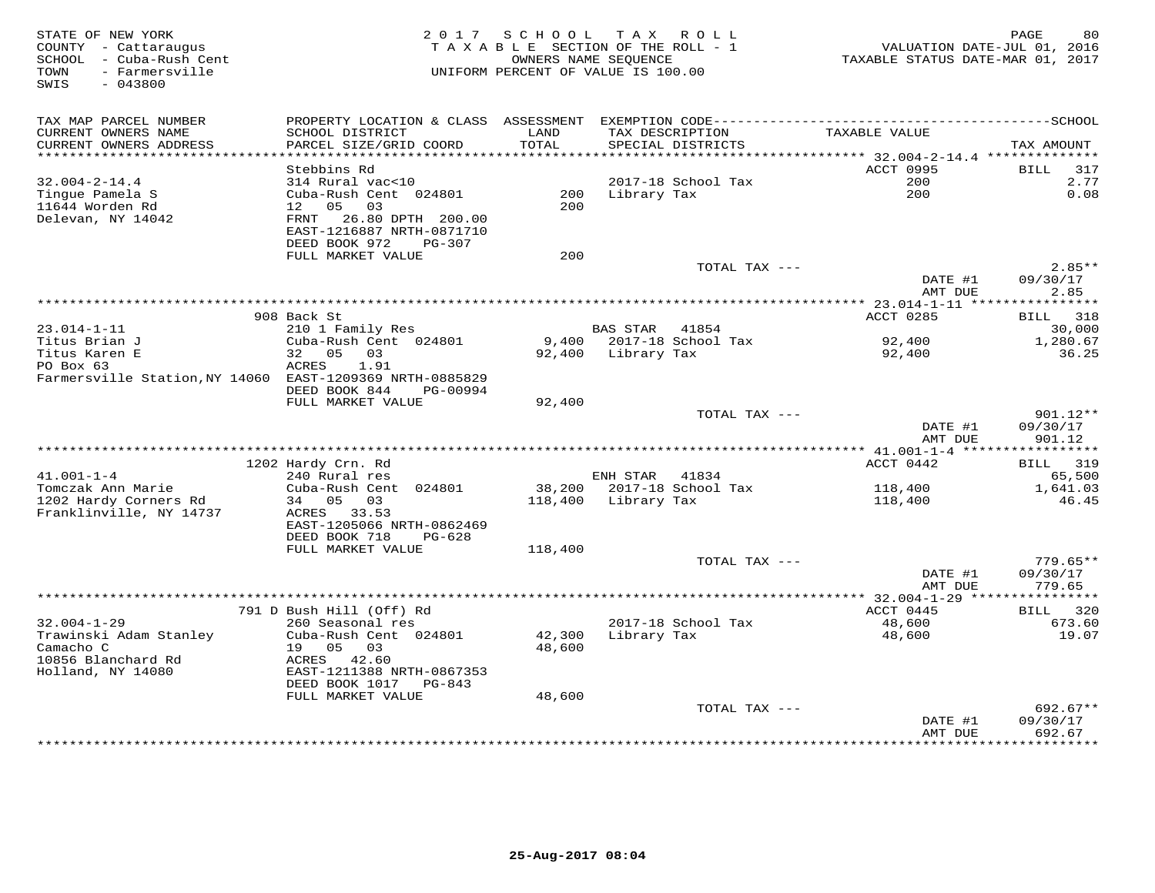| STATE OF NEW YORK<br>COUNTY - Cattaraugus<br>SCHOOL - Cuba-Rush Cent<br>- Farmersville<br>TOWN<br>$-043800$<br>SWIS | 2 0 1 7                                                                           | SCHOOL           | TAX ROLL<br>T A X A B L E SECTION OF THE ROLL - 1<br>OWNERS NAME SEQUENCE<br>UNIFORM PERCENT OF VALUE IS 100.00 | VALUATION DATE-JUL 01, 2016<br>TAXABLE STATUS DATE-MAR 01, 2017 | 80<br>PAGE                     |
|---------------------------------------------------------------------------------------------------------------------|-----------------------------------------------------------------------------------|------------------|-----------------------------------------------------------------------------------------------------------------|-----------------------------------------------------------------|--------------------------------|
| TAX MAP PARCEL NUMBER<br>CURRENT OWNERS NAME                                                                        | PROPERTY LOCATION & CLASS ASSESSMENT<br>SCHOOL DISTRICT                           | LAND             | TAX DESCRIPTION                                                                                                 | TAXABLE VALUE                                                   |                                |
| CURRENT OWNERS ADDRESS<br>***********************                                                                   | PARCEL SIZE/GRID COORD<br>*************************                               | TOTAL            | SPECIAL DISTRICTS                                                                                               |                                                                 | TAX AMOUNT                     |
|                                                                                                                     | Stebbins Rd                                                                       |                  |                                                                                                                 | ACCT 0995                                                       | 317<br><b>BILL</b>             |
| $32.004 - 2 - 14.4$                                                                                                 | 314 Rural vac<10                                                                  |                  | 2017-18 School Tax                                                                                              | 200                                                             | 2.77                           |
| Tinque Pamela S<br>11644 Worden Rd<br>Delevan, NY 14042                                                             | Cuba-Rush Cent 024801<br>12 <sup>°</sup><br>05<br>03<br>26.80 DPTH 200.00<br>FRNT | 200<br>200       | Library Tax                                                                                                     | 200                                                             | 0.08                           |
|                                                                                                                     | EAST-1216887 NRTH-0871710<br>DEED BOOK 972<br>PG-307                              |                  |                                                                                                                 |                                                                 |                                |
|                                                                                                                     | FULL MARKET VALUE                                                                 | 200              |                                                                                                                 |                                                                 |                                |
|                                                                                                                     |                                                                                   |                  | TOTAL TAX ---                                                                                                   |                                                                 | $2.85**$                       |
|                                                                                                                     | * * * * * * * * * * * * *                                                         |                  | *********************************                                                                               | DATE #1<br>AMT DUE<br>******* 23.014-1-11 ***                   | 09/30/17<br>2.85<br>*******    |
|                                                                                                                     | 908 Back St                                                                       |                  |                                                                                                                 | ACCT 0285                                                       | 318<br>BILL                    |
| $23.014 - 1 - 11$                                                                                                   | 210 1 Family Res                                                                  |                  | <b>BAS STAR</b><br>41854                                                                                        |                                                                 | 30,000                         |
| Titus Brian J                                                                                                       | Cuba-Rush Cent 024801                                                             | 9,400            | 2017-18 School Tax                                                                                              | 92,400                                                          | 1,280.67                       |
| Titus Karen E<br>PO Box 63<br>Farmersville Station, NY 14060 EAST-1209369 NRTH-0885829                              | 32 05<br>03<br>1.91<br>ACRES                                                      | 92,400           | Library Tax                                                                                                     | 92,400                                                          | 36.25                          |
|                                                                                                                     | DEED BOOK 844<br>PG-00994                                                         |                  |                                                                                                                 |                                                                 |                                |
|                                                                                                                     | FULL MARKET VALUE                                                                 | 92,400           |                                                                                                                 |                                                                 |                                |
|                                                                                                                     |                                                                                   |                  | TOTAL TAX ---                                                                                                   | DATE #1<br>AMT DUE                                              | 901.12**<br>09/30/17<br>901.12 |
|                                                                                                                     |                                                                                   |                  |                                                                                                                 |                                                                 |                                |
|                                                                                                                     | 1202 Hardy Crn. Rd                                                                |                  |                                                                                                                 | ACCT 0442                                                       | <b>BILL</b> 319                |
| $41.001 - 1 - 4$<br>Tomczak Ann Marie                                                                               | 240 Rural res<br>Cuba-Rush Cent 024801                                            | 38,200           | ENH STAR 41834<br>2017-18 School Tax                                                                            | 118,400                                                         | 65,500<br>1,641.03             |
| 1202 Hardy Corners Rd<br>Franklinville, NY 14737                                                                    | 34 05<br>03<br>ACRES<br>33.53                                                     | 118,400          | Library Tax                                                                                                     | 118,400                                                         | 46.45                          |
|                                                                                                                     | EAST-1205066 NRTH-0862469<br>DEED BOOK 718<br>$PG-628$                            |                  |                                                                                                                 |                                                                 |                                |
|                                                                                                                     | FULL MARKET VALUE                                                                 | 118,400          |                                                                                                                 |                                                                 |                                |
|                                                                                                                     |                                                                                   |                  | TOTAL TAX ---                                                                                                   | DATE #1                                                         | $779.65**$<br>09/30/17         |
|                                                                                                                     |                                                                                   |                  |                                                                                                                 | AMT DUE                                                         | 779.65<br>***********          |
|                                                                                                                     | 791 D Bush Hill (Off) Rd                                                          |                  |                                                                                                                 | *************** 32.004-1-29 ****<br>ACCT 0445                   | 320<br>BILL                    |
| $32.004 - 1 - 29$                                                                                                   | 260 Seasonal res                                                                  |                  | 2017-18 School Tax                                                                                              | 48,600                                                          | 673.60                         |
| Trawinski Adam Stanley<br>Camacho C                                                                                 | Cuba-Rush Cent 024801<br>19 05<br>03                                              | 42,300<br>48,600 | Library Tax                                                                                                     | 48,600                                                          | 19.07                          |
| 10856 Blanchard Rd<br>Holland, NY 14080                                                                             | ACRES 42.60<br>EAST-1211388 NRTH-0867353<br>DEED BOOK 1017 PG-843                 |                  |                                                                                                                 |                                                                 |                                |
|                                                                                                                     | FULL MARKET VALUE                                                                 | 48,600           |                                                                                                                 |                                                                 |                                |
|                                                                                                                     |                                                                                   |                  | TOTAL TAX ---                                                                                                   | DATE #1                                                         | 692.67**<br>09/30/17           |
|                                                                                                                     |                                                                                   |                  |                                                                                                                 | AMT DUE                                                         | 692.67<br>* * * * * * * *      |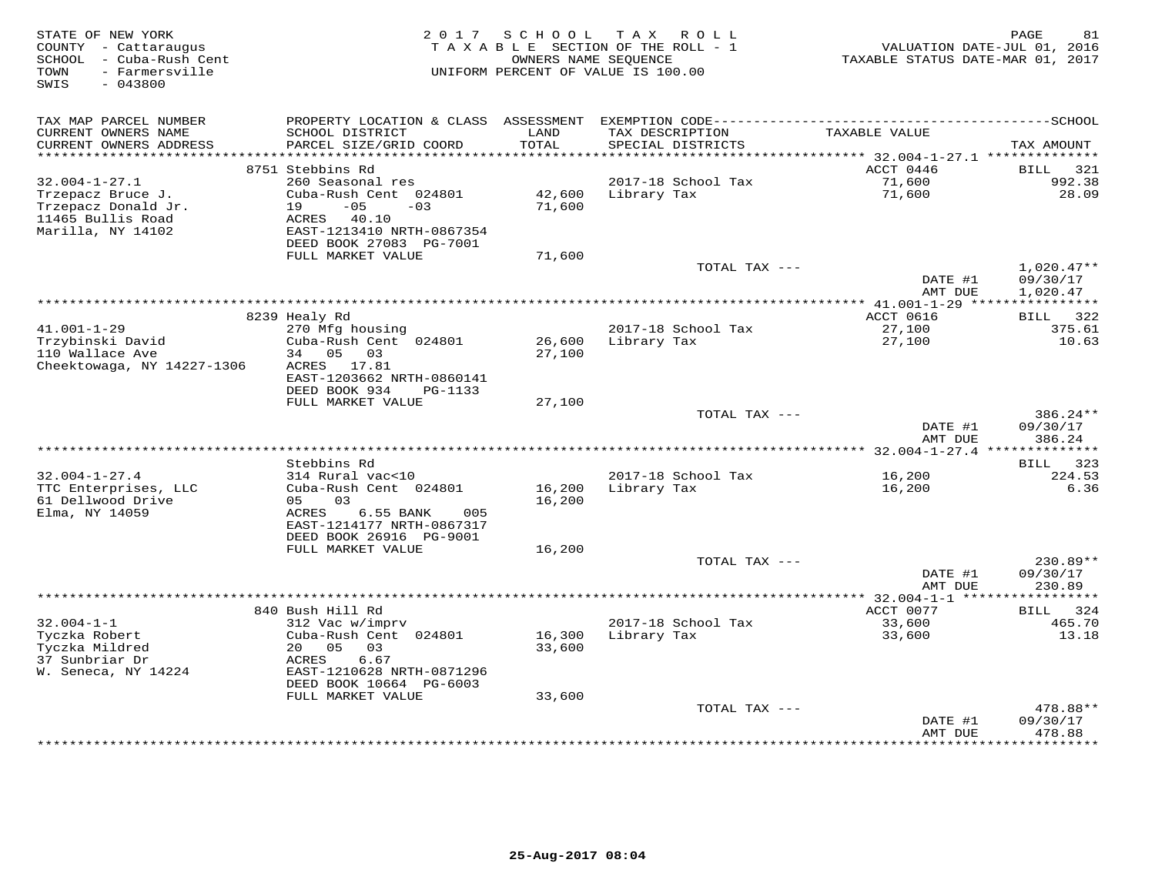| STATE OF NEW YORK<br>COUNTY - Cattaraugus<br>- Cuba-Rush Cent<br>SCHOOL<br>- Farmersville<br>TOWN<br>SWIS<br>$-043800$ | 2017                                          | S C H O O L     | T A X<br>R O L L<br>TAXABLE SECTION OF THE ROLL - 1<br>OWNERS NAME SEQUENCE<br>UNIFORM PERCENT OF VALUE IS 100.00 | VALUATION DATE-JUL 01, 2016<br>TAXABLE STATUS DATE-MAR 01, 2017 | PAGE<br>81                   |
|------------------------------------------------------------------------------------------------------------------------|-----------------------------------------------|-----------------|-------------------------------------------------------------------------------------------------------------------|-----------------------------------------------------------------|------------------------------|
| TAX MAP PARCEL NUMBER                                                                                                  |                                               |                 |                                                                                                                   |                                                                 |                              |
| CURRENT OWNERS NAME<br>CURRENT OWNERS ADDRESS                                                                          | SCHOOL DISTRICT<br>PARCEL SIZE/GRID COORD     | LAND<br>TOTAL   | TAX DESCRIPTION<br>SPECIAL DISTRICTS                                                                              | TAXABLE VALUE                                                   | TAX AMOUNT                   |
| ******************                                                                                                     | 8751 Stebbins Rd                              | * * * * * * * * |                                                                                                                   | ********** 32.004-1-27.1 *********<br>ACCT 0446                 |                              |
| $32.004 - 1 - 27.1$                                                                                                    | 260 Seasonal res                              |                 | 2017-18 School Tax                                                                                                | 71,600                                                          | <b>BILL</b><br>321<br>992.38 |
| Trzepacz Bruce J.                                                                                                      | Cuba-Rush Cent 024801                         | 42,600          | Library Tax                                                                                                       | 71,600                                                          | 28.09                        |
| Trzepacz Donald Jr.                                                                                                    | 19<br>$-05$<br>$-03$                          | 71,600          |                                                                                                                   |                                                                 |                              |
| 11465 Bullis Road                                                                                                      | ACRES<br>40.10                                |                 |                                                                                                                   |                                                                 |                              |
| Marilla, NY 14102                                                                                                      | EAST-1213410 NRTH-0867354                     |                 |                                                                                                                   |                                                                 |                              |
|                                                                                                                        | DEED BOOK 27083 PG-7001<br>FULL MARKET VALUE  | 71,600          |                                                                                                                   |                                                                 |                              |
|                                                                                                                        |                                               |                 | TOTAL TAX ---                                                                                                     |                                                                 | $1,020.47**$                 |
|                                                                                                                        |                                               |                 |                                                                                                                   | DATE #1                                                         | 09/30/17                     |
|                                                                                                                        |                                               |                 |                                                                                                                   | AMT DUE                                                         | 1,020.47                     |
|                                                                                                                        | * * * * * * * * * * * * * *                   |                 | *********************************                                                                                 | ** 41.001-1-29 *****                                            | ***********                  |
| $41.001 - 1 - 29$                                                                                                      | 8239 Healy Rd<br>270 Mfg housing              |                 | 2017-18 School Tax                                                                                                | ACCT 0616<br>27,100                                             | 322<br>BILL<br>375.61        |
| Trzybinski David                                                                                                       | Cuba-Rush Cent 024801                         | 26,600          | Library Tax                                                                                                       | 27,100                                                          | 10.63                        |
| 110 Wallace Ave                                                                                                        | 34 05<br>03                                   | 27,100          |                                                                                                                   |                                                                 |                              |
| Cheektowaga, NY 14227-1306                                                                                             | ACRES 17.81                                   |                 |                                                                                                                   |                                                                 |                              |
|                                                                                                                        | EAST-1203662 NRTH-0860141                     |                 |                                                                                                                   |                                                                 |                              |
|                                                                                                                        | DEED BOOK 934<br>PG-1133<br>FULL MARKET VALUE | 27,100          |                                                                                                                   |                                                                 |                              |
|                                                                                                                        |                                               |                 | TOTAL TAX ---                                                                                                     |                                                                 | 386.24**                     |
|                                                                                                                        |                                               |                 |                                                                                                                   | DATE #1                                                         | 09/30/17                     |
|                                                                                                                        |                                               |                 |                                                                                                                   | AMT DUE                                                         | 386.24                       |
|                                                                                                                        | Stebbins Rd                                   |                 |                                                                                                                   |                                                                 | 323<br>BILL                  |
| $32.004 - 1 - 27.4$                                                                                                    | 314 Rural vac<10                              |                 | 2017-18 School Tax                                                                                                | 16,200                                                          | 224.53                       |
| TTC Enterprises, LLC                                                                                                   | Cuba-Rush Cent 024801                         | 16,200          | Library Tax                                                                                                       | 16,200                                                          | 6.36                         |
| 61 Dellwood Drive                                                                                                      | 05<br>03                                      | 16,200          |                                                                                                                   |                                                                 |                              |
| Elma, NY 14059                                                                                                         | 6.55 BANK<br>ACRES<br>005                     |                 |                                                                                                                   |                                                                 |                              |
|                                                                                                                        | EAST-1214177 NRTH-0867317                     |                 |                                                                                                                   |                                                                 |                              |
|                                                                                                                        | DEED BOOK 26916 PG-9001<br>FULL MARKET VALUE  | 16,200          |                                                                                                                   |                                                                 |                              |
|                                                                                                                        |                                               |                 | TOTAL TAX ---                                                                                                     |                                                                 | 230.89**                     |
|                                                                                                                        |                                               |                 |                                                                                                                   | DATE #1                                                         | 09/30/17                     |
|                                                                                                                        |                                               |                 |                                                                                                                   | AMT DUE                                                         | 230.89                       |
|                                                                                                                        | 840 Bush Hill Rd                              |                 |                                                                                                                   | ************ 32.004-1-1 *****<br>ACCT 0077                      | ********<br>324<br>BILL      |
| $32.004 - 1 - 1$                                                                                                       | 312 Vac w/imprv                               |                 | 2017-18 School Tax                                                                                                | 33,600                                                          | 465.70                       |
| Tyczka Robert                                                                                                          | Cuba-Rush Cent 024801                         | 16,300          | Library Tax                                                                                                       | 33,600                                                          | 13.18                        |
| Tyczka Mildred                                                                                                         | 20<br>05<br>03                                | 33,600          |                                                                                                                   |                                                                 |                              |
| 37 Sunbriar Dr                                                                                                         | ACRES<br>6.67                                 |                 |                                                                                                                   |                                                                 |                              |
| W. Seneca, NY 14224                                                                                                    | EAST-1210628 NRTH-0871296                     |                 |                                                                                                                   |                                                                 |                              |
|                                                                                                                        | DEED BOOK 10664 PG-6003<br>FULL MARKET VALUE  | 33,600          |                                                                                                                   |                                                                 |                              |
|                                                                                                                        |                                               |                 | TOTAL TAX ---                                                                                                     |                                                                 | 478.88**                     |
|                                                                                                                        |                                               |                 |                                                                                                                   | DATE #1                                                         | 09/30/17                     |
|                                                                                                                        |                                               |                 |                                                                                                                   | AMT DUE<br>* * * * * * * * * ·                                  | 478.88<br>* * * * * * * *    |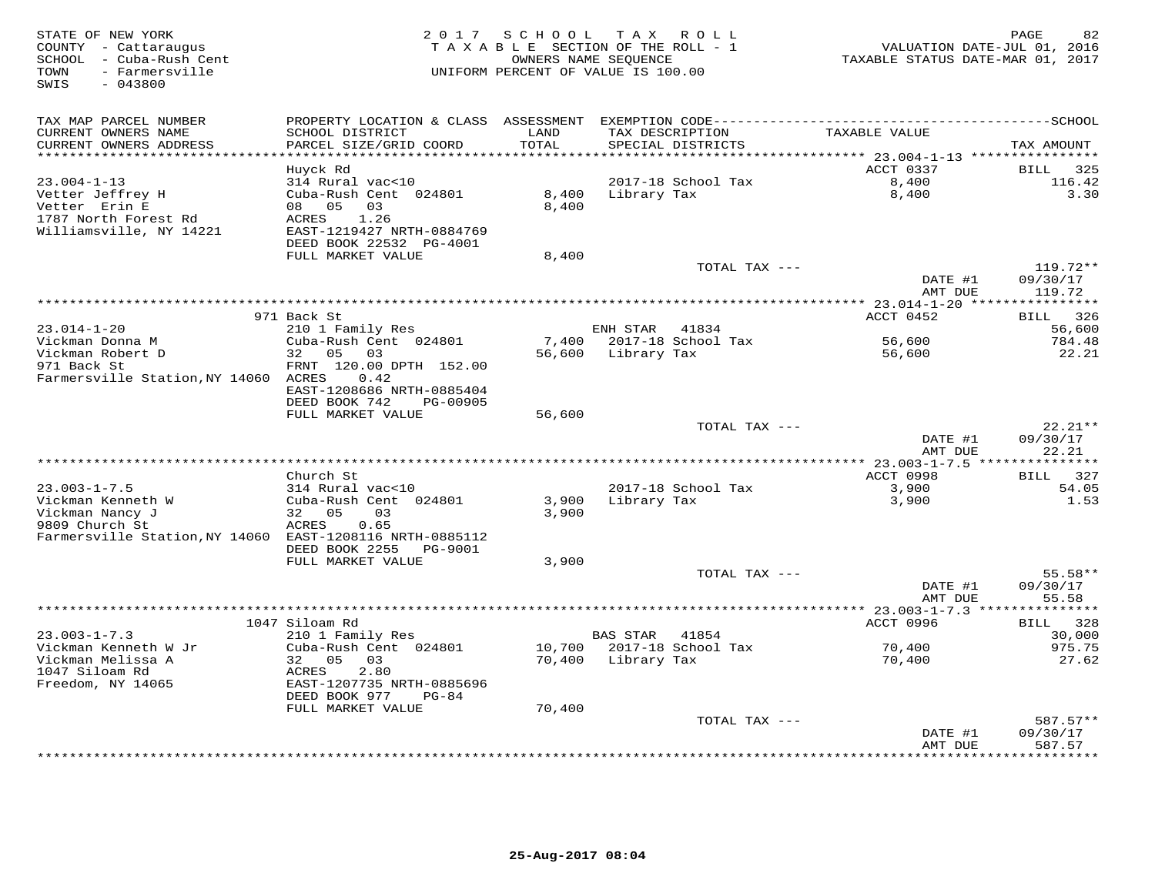| TAX MAP PARCEL NUMBER<br>PROPERTY LOCATION & CLASS ASSESSMENT<br>SCHOOL DISTRICT<br>TAXABLE VALUE<br>CURRENT OWNERS NAME<br>LAND<br>TAX DESCRIPTION<br>PARCEL SIZE/GRID COORD<br>TOTAL<br>CURRENT OWNERS ADDRESS<br>SPECIAL DISTRICTS<br>TAX AMOUNT<br>******<br>******* 23.004-1-13 ****************<br>ACCT 0337<br>Huyck Rd<br>BILL<br>325<br>$23.004 - 1 - 13$<br>314 Rural vac<10<br>2017-18 School Tax<br>8,400<br>116.42<br>Vetter Jeffrey H<br>Cuba-Rush Cent 024801<br>8,400<br>Library Tax<br>8,400<br>3.30<br>Vetter Erin E<br>08 05<br>03<br>8,400<br>1787 North Forest Rd<br>1.26<br>ACRES<br>Williamsville, NY 14221<br>EAST-1219427 NRTH-0884769<br>DEED BOOK 22532 PG-4001<br>FULL MARKET VALUE<br>8,400<br>119.72**<br>TOTAL TAX ---<br>DATE #1<br>09/30/17<br>119.72<br>AMT DUE<br>*** 23.014-1-20 ****<br>**********<br>971 Back St<br>ACCT 0452<br>326<br>BILL<br>$23.014 - 1 - 20$<br>ENH STAR 41834<br>56,600<br>210 1 Family Res<br>Vickman Donna M<br>Cuba-Rush Cent 024801<br>7,400<br>2017-18 School Tax<br>56,600<br>784.48<br>Vickman Robert D<br>32<br>05<br>03<br>56,600<br>Library Tax<br>56,600<br>22.21<br>971 Back St<br>FRNT 120.00 DPTH 152.00<br>Farmersville Station, NY 14060 ACRES<br>0.42<br>EAST-1208686 NRTH-0885404<br>DEED BOOK 742<br>PG-00905<br>FULL MARKET VALUE<br>56,600<br>$22.21**$<br>TOTAL TAX ---<br>09/30/17<br>DATE #1<br>22.21<br>AMT DUE<br>ACCT 0998<br>BILL 327<br>Church St<br>$23.003 - 1 - 7.5$<br>314 Rural vac<10<br>2017-18 School Tax<br>3,900<br>54.05<br>Vickman Kenneth W<br>Cuba-Rush Cent 024801<br>Library Tax<br>3,900<br>3,900<br>1.53<br>Vickman Nancy J<br>32 05<br>03<br>3,900<br>9809 Church St<br>0.65<br>ACRES<br>Farmersville Station, NY 14060 EAST-1208116 NRTH-0885112<br>DEED BOOK 2255<br>PG-9001<br>FULL MARKET VALUE<br>3,900<br>TOTAL TAX ---<br>55.58**<br>DATE #1<br>09/30/17<br>55.58<br>AMT DUE<br>*********** 23.003-1-7.3 ***<br>1047 Siloam Rd<br>ACCT 0996<br>328<br>BILL<br>$23.003 - 1 - 7.3$<br>30,000<br>210 1 Family Res<br><b>BAS STAR</b><br>41854<br>Vickman Kenneth W Jr<br>Cuba-Rush Cent 024801<br>10,700<br>2017-18 School Tax<br>70,400<br>975.75<br>32 05<br>70,400<br>70,400<br>Vickman Melissa A<br>03<br>Library Tax<br>27.62<br>1047 Siloam Rd<br>2.80<br>ACRES<br>Freedom, NY 14065<br>EAST-1207735 NRTH-0885696<br>DEED BOOK 977<br>$PG-84$<br>FULL MARKET VALUE<br>70,400<br>$587.57**$<br>TOTAL TAX ---<br>09/30/17<br>DATE #1<br>AMT DUE<br>587.57<br>***********************<br>******* | STATE OF NEW YORK<br>COUNTY - Cattaraugus<br>SCHOOL - Cuba-Rush Cent<br>TOWN<br>- Farmersville<br>SWIS<br>$-043800$ | 2 0 1 7 | SCHOOL | TAX ROLL<br>TAXABLE SECTION OF THE ROLL - 1<br>OWNERS NAME SEQUENCE<br>UNIFORM PERCENT OF VALUE IS 100.00 | VALUATION DATE-JUL 01, 2016<br>TAXABLE STATUS DATE-MAR 01, 2017 | PAGE<br>82 |
|---------------------------------------------------------------------------------------------------------------------------------------------------------------------------------------------------------------------------------------------------------------------------------------------------------------------------------------------------------------------------------------------------------------------------------------------------------------------------------------------------------------------------------------------------------------------------------------------------------------------------------------------------------------------------------------------------------------------------------------------------------------------------------------------------------------------------------------------------------------------------------------------------------------------------------------------------------------------------------------------------------------------------------------------------------------------------------------------------------------------------------------------------------------------------------------------------------------------------------------------------------------------------------------------------------------------------------------------------------------------------------------------------------------------------------------------------------------------------------------------------------------------------------------------------------------------------------------------------------------------------------------------------------------------------------------------------------------------------------------------------------------------------------------------------------------------------------------------------------------------------------------------------------------------------------------------------------------------------------------------------------------------------------------------------------------------------------------------------------------------------------------------------------------------------------------------------------------------------------------------------------------------------------------------------------------------------------------------------------------------------------------------------------------------------------------------------------------------------------------------------------------------|---------------------------------------------------------------------------------------------------------------------|---------|--------|-----------------------------------------------------------------------------------------------------------|-----------------------------------------------------------------|------------|
|                                                                                                                                                                                                                                                                                                                                                                                                                                                                                                                                                                                                                                                                                                                                                                                                                                                                                                                                                                                                                                                                                                                                                                                                                                                                                                                                                                                                                                                                                                                                                                                                                                                                                                                                                                                                                                                                                                                                                                                                                                                                                                                                                                                                                                                                                                                                                                                                                                                                                                                     |                                                                                                                     |         |        |                                                                                                           |                                                                 |            |
|                                                                                                                                                                                                                                                                                                                                                                                                                                                                                                                                                                                                                                                                                                                                                                                                                                                                                                                                                                                                                                                                                                                                                                                                                                                                                                                                                                                                                                                                                                                                                                                                                                                                                                                                                                                                                                                                                                                                                                                                                                                                                                                                                                                                                                                                                                                                                                                                                                                                                                                     |                                                                                                                     |         |        |                                                                                                           |                                                                 |            |
|                                                                                                                                                                                                                                                                                                                                                                                                                                                                                                                                                                                                                                                                                                                                                                                                                                                                                                                                                                                                                                                                                                                                                                                                                                                                                                                                                                                                                                                                                                                                                                                                                                                                                                                                                                                                                                                                                                                                                                                                                                                                                                                                                                                                                                                                                                                                                                                                                                                                                                                     |                                                                                                                     |         |        |                                                                                                           |                                                                 |            |
|                                                                                                                                                                                                                                                                                                                                                                                                                                                                                                                                                                                                                                                                                                                                                                                                                                                                                                                                                                                                                                                                                                                                                                                                                                                                                                                                                                                                                                                                                                                                                                                                                                                                                                                                                                                                                                                                                                                                                                                                                                                                                                                                                                                                                                                                                                                                                                                                                                                                                                                     |                                                                                                                     |         |        |                                                                                                           |                                                                 |            |
|                                                                                                                                                                                                                                                                                                                                                                                                                                                                                                                                                                                                                                                                                                                                                                                                                                                                                                                                                                                                                                                                                                                                                                                                                                                                                                                                                                                                                                                                                                                                                                                                                                                                                                                                                                                                                                                                                                                                                                                                                                                                                                                                                                                                                                                                                                                                                                                                                                                                                                                     |                                                                                                                     |         |        |                                                                                                           |                                                                 |            |
|                                                                                                                                                                                                                                                                                                                                                                                                                                                                                                                                                                                                                                                                                                                                                                                                                                                                                                                                                                                                                                                                                                                                                                                                                                                                                                                                                                                                                                                                                                                                                                                                                                                                                                                                                                                                                                                                                                                                                                                                                                                                                                                                                                                                                                                                                                                                                                                                                                                                                                                     |                                                                                                                     |         |        |                                                                                                           |                                                                 |            |
|                                                                                                                                                                                                                                                                                                                                                                                                                                                                                                                                                                                                                                                                                                                                                                                                                                                                                                                                                                                                                                                                                                                                                                                                                                                                                                                                                                                                                                                                                                                                                                                                                                                                                                                                                                                                                                                                                                                                                                                                                                                                                                                                                                                                                                                                                                                                                                                                                                                                                                                     |                                                                                                                     |         |        |                                                                                                           |                                                                 |            |
|                                                                                                                                                                                                                                                                                                                                                                                                                                                                                                                                                                                                                                                                                                                                                                                                                                                                                                                                                                                                                                                                                                                                                                                                                                                                                                                                                                                                                                                                                                                                                                                                                                                                                                                                                                                                                                                                                                                                                                                                                                                                                                                                                                                                                                                                                                                                                                                                                                                                                                                     |                                                                                                                     |         |        |                                                                                                           |                                                                 |            |
|                                                                                                                                                                                                                                                                                                                                                                                                                                                                                                                                                                                                                                                                                                                                                                                                                                                                                                                                                                                                                                                                                                                                                                                                                                                                                                                                                                                                                                                                                                                                                                                                                                                                                                                                                                                                                                                                                                                                                                                                                                                                                                                                                                                                                                                                                                                                                                                                                                                                                                                     |                                                                                                                     |         |        |                                                                                                           |                                                                 |            |
|                                                                                                                                                                                                                                                                                                                                                                                                                                                                                                                                                                                                                                                                                                                                                                                                                                                                                                                                                                                                                                                                                                                                                                                                                                                                                                                                                                                                                                                                                                                                                                                                                                                                                                                                                                                                                                                                                                                                                                                                                                                                                                                                                                                                                                                                                                                                                                                                                                                                                                                     |                                                                                                                     |         |        |                                                                                                           |                                                                 |            |
|                                                                                                                                                                                                                                                                                                                                                                                                                                                                                                                                                                                                                                                                                                                                                                                                                                                                                                                                                                                                                                                                                                                                                                                                                                                                                                                                                                                                                                                                                                                                                                                                                                                                                                                                                                                                                                                                                                                                                                                                                                                                                                                                                                                                                                                                                                                                                                                                                                                                                                                     |                                                                                                                     |         |        |                                                                                                           |                                                                 |            |
|                                                                                                                                                                                                                                                                                                                                                                                                                                                                                                                                                                                                                                                                                                                                                                                                                                                                                                                                                                                                                                                                                                                                                                                                                                                                                                                                                                                                                                                                                                                                                                                                                                                                                                                                                                                                                                                                                                                                                                                                                                                                                                                                                                                                                                                                                                                                                                                                                                                                                                                     |                                                                                                                     |         |        |                                                                                                           |                                                                 |            |
|                                                                                                                                                                                                                                                                                                                                                                                                                                                                                                                                                                                                                                                                                                                                                                                                                                                                                                                                                                                                                                                                                                                                                                                                                                                                                                                                                                                                                                                                                                                                                                                                                                                                                                                                                                                                                                                                                                                                                                                                                                                                                                                                                                                                                                                                                                                                                                                                                                                                                                                     |                                                                                                                     |         |        |                                                                                                           |                                                                 |            |
|                                                                                                                                                                                                                                                                                                                                                                                                                                                                                                                                                                                                                                                                                                                                                                                                                                                                                                                                                                                                                                                                                                                                                                                                                                                                                                                                                                                                                                                                                                                                                                                                                                                                                                                                                                                                                                                                                                                                                                                                                                                                                                                                                                                                                                                                                                                                                                                                                                                                                                                     |                                                                                                                     |         |        |                                                                                                           |                                                                 |            |
|                                                                                                                                                                                                                                                                                                                                                                                                                                                                                                                                                                                                                                                                                                                                                                                                                                                                                                                                                                                                                                                                                                                                                                                                                                                                                                                                                                                                                                                                                                                                                                                                                                                                                                                                                                                                                                                                                                                                                                                                                                                                                                                                                                                                                                                                                                                                                                                                                                                                                                                     |                                                                                                                     |         |        |                                                                                                           |                                                                 |            |
|                                                                                                                                                                                                                                                                                                                                                                                                                                                                                                                                                                                                                                                                                                                                                                                                                                                                                                                                                                                                                                                                                                                                                                                                                                                                                                                                                                                                                                                                                                                                                                                                                                                                                                                                                                                                                                                                                                                                                                                                                                                                                                                                                                                                                                                                                                                                                                                                                                                                                                                     |                                                                                                                     |         |        |                                                                                                           |                                                                 |            |
|                                                                                                                                                                                                                                                                                                                                                                                                                                                                                                                                                                                                                                                                                                                                                                                                                                                                                                                                                                                                                                                                                                                                                                                                                                                                                                                                                                                                                                                                                                                                                                                                                                                                                                                                                                                                                                                                                                                                                                                                                                                                                                                                                                                                                                                                                                                                                                                                                                                                                                                     |                                                                                                                     |         |        |                                                                                                           |                                                                 |            |
|                                                                                                                                                                                                                                                                                                                                                                                                                                                                                                                                                                                                                                                                                                                                                                                                                                                                                                                                                                                                                                                                                                                                                                                                                                                                                                                                                                                                                                                                                                                                                                                                                                                                                                                                                                                                                                                                                                                                                                                                                                                                                                                                                                                                                                                                                                                                                                                                                                                                                                                     |                                                                                                                     |         |        |                                                                                                           |                                                                 |            |
|                                                                                                                                                                                                                                                                                                                                                                                                                                                                                                                                                                                                                                                                                                                                                                                                                                                                                                                                                                                                                                                                                                                                                                                                                                                                                                                                                                                                                                                                                                                                                                                                                                                                                                                                                                                                                                                                                                                                                                                                                                                                                                                                                                                                                                                                                                                                                                                                                                                                                                                     |                                                                                                                     |         |        |                                                                                                           |                                                                 |            |
|                                                                                                                                                                                                                                                                                                                                                                                                                                                                                                                                                                                                                                                                                                                                                                                                                                                                                                                                                                                                                                                                                                                                                                                                                                                                                                                                                                                                                                                                                                                                                                                                                                                                                                                                                                                                                                                                                                                                                                                                                                                                                                                                                                                                                                                                                                                                                                                                                                                                                                                     |                                                                                                                     |         |        |                                                                                                           |                                                                 |            |
|                                                                                                                                                                                                                                                                                                                                                                                                                                                                                                                                                                                                                                                                                                                                                                                                                                                                                                                                                                                                                                                                                                                                                                                                                                                                                                                                                                                                                                                                                                                                                                                                                                                                                                                                                                                                                                                                                                                                                                                                                                                                                                                                                                                                                                                                                                                                                                                                                                                                                                                     |                                                                                                                     |         |        |                                                                                                           |                                                                 |            |
|                                                                                                                                                                                                                                                                                                                                                                                                                                                                                                                                                                                                                                                                                                                                                                                                                                                                                                                                                                                                                                                                                                                                                                                                                                                                                                                                                                                                                                                                                                                                                                                                                                                                                                                                                                                                                                                                                                                                                                                                                                                                                                                                                                                                                                                                                                                                                                                                                                                                                                                     |                                                                                                                     |         |        |                                                                                                           |                                                                 |            |
|                                                                                                                                                                                                                                                                                                                                                                                                                                                                                                                                                                                                                                                                                                                                                                                                                                                                                                                                                                                                                                                                                                                                                                                                                                                                                                                                                                                                                                                                                                                                                                                                                                                                                                                                                                                                                                                                                                                                                                                                                                                                                                                                                                                                                                                                                                                                                                                                                                                                                                                     |                                                                                                                     |         |        |                                                                                                           |                                                                 |            |
|                                                                                                                                                                                                                                                                                                                                                                                                                                                                                                                                                                                                                                                                                                                                                                                                                                                                                                                                                                                                                                                                                                                                                                                                                                                                                                                                                                                                                                                                                                                                                                                                                                                                                                                                                                                                                                                                                                                                                                                                                                                                                                                                                                                                                                                                                                                                                                                                                                                                                                                     |                                                                                                                     |         |        |                                                                                                           |                                                                 |            |
|                                                                                                                                                                                                                                                                                                                                                                                                                                                                                                                                                                                                                                                                                                                                                                                                                                                                                                                                                                                                                                                                                                                                                                                                                                                                                                                                                                                                                                                                                                                                                                                                                                                                                                                                                                                                                                                                                                                                                                                                                                                                                                                                                                                                                                                                                                                                                                                                                                                                                                                     |                                                                                                                     |         |        |                                                                                                           |                                                                 |            |
|                                                                                                                                                                                                                                                                                                                                                                                                                                                                                                                                                                                                                                                                                                                                                                                                                                                                                                                                                                                                                                                                                                                                                                                                                                                                                                                                                                                                                                                                                                                                                                                                                                                                                                                                                                                                                                                                                                                                                                                                                                                                                                                                                                                                                                                                                                                                                                                                                                                                                                                     |                                                                                                                     |         |        |                                                                                                           |                                                                 |            |
|                                                                                                                                                                                                                                                                                                                                                                                                                                                                                                                                                                                                                                                                                                                                                                                                                                                                                                                                                                                                                                                                                                                                                                                                                                                                                                                                                                                                                                                                                                                                                                                                                                                                                                                                                                                                                                                                                                                                                                                                                                                                                                                                                                                                                                                                                                                                                                                                                                                                                                                     |                                                                                                                     |         |        |                                                                                                           |                                                                 |            |
|                                                                                                                                                                                                                                                                                                                                                                                                                                                                                                                                                                                                                                                                                                                                                                                                                                                                                                                                                                                                                                                                                                                                                                                                                                                                                                                                                                                                                                                                                                                                                                                                                                                                                                                                                                                                                                                                                                                                                                                                                                                                                                                                                                                                                                                                                                                                                                                                                                                                                                                     |                                                                                                                     |         |        |                                                                                                           |                                                                 |            |
|                                                                                                                                                                                                                                                                                                                                                                                                                                                                                                                                                                                                                                                                                                                                                                                                                                                                                                                                                                                                                                                                                                                                                                                                                                                                                                                                                                                                                                                                                                                                                                                                                                                                                                                                                                                                                                                                                                                                                                                                                                                                                                                                                                                                                                                                                                                                                                                                                                                                                                                     |                                                                                                                     |         |        |                                                                                                           |                                                                 |            |
|                                                                                                                                                                                                                                                                                                                                                                                                                                                                                                                                                                                                                                                                                                                                                                                                                                                                                                                                                                                                                                                                                                                                                                                                                                                                                                                                                                                                                                                                                                                                                                                                                                                                                                                                                                                                                                                                                                                                                                                                                                                                                                                                                                                                                                                                                                                                                                                                                                                                                                                     |                                                                                                                     |         |        |                                                                                                           |                                                                 |            |
|                                                                                                                                                                                                                                                                                                                                                                                                                                                                                                                                                                                                                                                                                                                                                                                                                                                                                                                                                                                                                                                                                                                                                                                                                                                                                                                                                                                                                                                                                                                                                                                                                                                                                                                                                                                                                                                                                                                                                                                                                                                                                                                                                                                                                                                                                                                                                                                                                                                                                                                     |                                                                                                                     |         |        |                                                                                                           |                                                                 |            |
|                                                                                                                                                                                                                                                                                                                                                                                                                                                                                                                                                                                                                                                                                                                                                                                                                                                                                                                                                                                                                                                                                                                                                                                                                                                                                                                                                                                                                                                                                                                                                                                                                                                                                                                                                                                                                                                                                                                                                                                                                                                                                                                                                                                                                                                                                                                                                                                                                                                                                                                     |                                                                                                                     |         |        |                                                                                                           |                                                                 |            |
|                                                                                                                                                                                                                                                                                                                                                                                                                                                                                                                                                                                                                                                                                                                                                                                                                                                                                                                                                                                                                                                                                                                                                                                                                                                                                                                                                                                                                                                                                                                                                                                                                                                                                                                                                                                                                                                                                                                                                                                                                                                                                                                                                                                                                                                                                                                                                                                                                                                                                                                     |                                                                                                                     |         |        |                                                                                                           |                                                                 |            |
|                                                                                                                                                                                                                                                                                                                                                                                                                                                                                                                                                                                                                                                                                                                                                                                                                                                                                                                                                                                                                                                                                                                                                                                                                                                                                                                                                                                                                                                                                                                                                                                                                                                                                                                                                                                                                                                                                                                                                                                                                                                                                                                                                                                                                                                                                                                                                                                                                                                                                                                     |                                                                                                                     |         |        |                                                                                                           |                                                                 |            |
|                                                                                                                                                                                                                                                                                                                                                                                                                                                                                                                                                                                                                                                                                                                                                                                                                                                                                                                                                                                                                                                                                                                                                                                                                                                                                                                                                                                                                                                                                                                                                                                                                                                                                                                                                                                                                                                                                                                                                                                                                                                                                                                                                                                                                                                                                                                                                                                                                                                                                                                     |                                                                                                                     |         |        |                                                                                                           |                                                                 |            |
|                                                                                                                                                                                                                                                                                                                                                                                                                                                                                                                                                                                                                                                                                                                                                                                                                                                                                                                                                                                                                                                                                                                                                                                                                                                                                                                                                                                                                                                                                                                                                                                                                                                                                                                                                                                                                                                                                                                                                                                                                                                                                                                                                                                                                                                                                                                                                                                                                                                                                                                     |                                                                                                                     |         |        |                                                                                                           |                                                                 |            |
|                                                                                                                                                                                                                                                                                                                                                                                                                                                                                                                                                                                                                                                                                                                                                                                                                                                                                                                                                                                                                                                                                                                                                                                                                                                                                                                                                                                                                                                                                                                                                                                                                                                                                                                                                                                                                                                                                                                                                                                                                                                                                                                                                                                                                                                                                                                                                                                                                                                                                                                     |                                                                                                                     |         |        |                                                                                                           |                                                                 |            |
|                                                                                                                                                                                                                                                                                                                                                                                                                                                                                                                                                                                                                                                                                                                                                                                                                                                                                                                                                                                                                                                                                                                                                                                                                                                                                                                                                                                                                                                                                                                                                                                                                                                                                                                                                                                                                                                                                                                                                                                                                                                                                                                                                                                                                                                                                                                                                                                                                                                                                                                     |                                                                                                                     |         |        |                                                                                                           |                                                                 |            |
|                                                                                                                                                                                                                                                                                                                                                                                                                                                                                                                                                                                                                                                                                                                                                                                                                                                                                                                                                                                                                                                                                                                                                                                                                                                                                                                                                                                                                                                                                                                                                                                                                                                                                                                                                                                                                                                                                                                                                                                                                                                                                                                                                                                                                                                                                                                                                                                                                                                                                                                     |                                                                                                                     |         |        |                                                                                                           |                                                                 |            |
|                                                                                                                                                                                                                                                                                                                                                                                                                                                                                                                                                                                                                                                                                                                                                                                                                                                                                                                                                                                                                                                                                                                                                                                                                                                                                                                                                                                                                                                                                                                                                                                                                                                                                                                                                                                                                                                                                                                                                                                                                                                                                                                                                                                                                                                                                                                                                                                                                                                                                                                     |                                                                                                                     |         |        |                                                                                                           |                                                                 |            |
|                                                                                                                                                                                                                                                                                                                                                                                                                                                                                                                                                                                                                                                                                                                                                                                                                                                                                                                                                                                                                                                                                                                                                                                                                                                                                                                                                                                                                                                                                                                                                                                                                                                                                                                                                                                                                                                                                                                                                                                                                                                                                                                                                                                                                                                                                                                                                                                                                                                                                                                     |                                                                                                                     |         |        |                                                                                                           |                                                                 |            |
|                                                                                                                                                                                                                                                                                                                                                                                                                                                                                                                                                                                                                                                                                                                                                                                                                                                                                                                                                                                                                                                                                                                                                                                                                                                                                                                                                                                                                                                                                                                                                                                                                                                                                                                                                                                                                                                                                                                                                                                                                                                                                                                                                                                                                                                                                                                                                                                                                                                                                                                     |                                                                                                                     |         |        |                                                                                                           |                                                                 |            |
|                                                                                                                                                                                                                                                                                                                                                                                                                                                                                                                                                                                                                                                                                                                                                                                                                                                                                                                                                                                                                                                                                                                                                                                                                                                                                                                                                                                                                                                                                                                                                                                                                                                                                                                                                                                                                                                                                                                                                                                                                                                                                                                                                                                                                                                                                                                                                                                                                                                                                                                     |                                                                                                                     |         |        |                                                                                                           |                                                                 |            |
|                                                                                                                                                                                                                                                                                                                                                                                                                                                                                                                                                                                                                                                                                                                                                                                                                                                                                                                                                                                                                                                                                                                                                                                                                                                                                                                                                                                                                                                                                                                                                                                                                                                                                                                                                                                                                                                                                                                                                                                                                                                                                                                                                                                                                                                                                                                                                                                                                                                                                                                     |                                                                                                                     |         |        |                                                                                                           |                                                                 |            |
|                                                                                                                                                                                                                                                                                                                                                                                                                                                                                                                                                                                                                                                                                                                                                                                                                                                                                                                                                                                                                                                                                                                                                                                                                                                                                                                                                                                                                                                                                                                                                                                                                                                                                                                                                                                                                                                                                                                                                                                                                                                                                                                                                                                                                                                                                                                                                                                                                                                                                                                     |                                                                                                                     |         |        |                                                                                                           |                                                                 |            |
|                                                                                                                                                                                                                                                                                                                                                                                                                                                                                                                                                                                                                                                                                                                                                                                                                                                                                                                                                                                                                                                                                                                                                                                                                                                                                                                                                                                                                                                                                                                                                                                                                                                                                                                                                                                                                                                                                                                                                                                                                                                                                                                                                                                                                                                                                                                                                                                                                                                                                                                     |                                                                                                                     |         |        |                                                                                                           |                                                                 |            |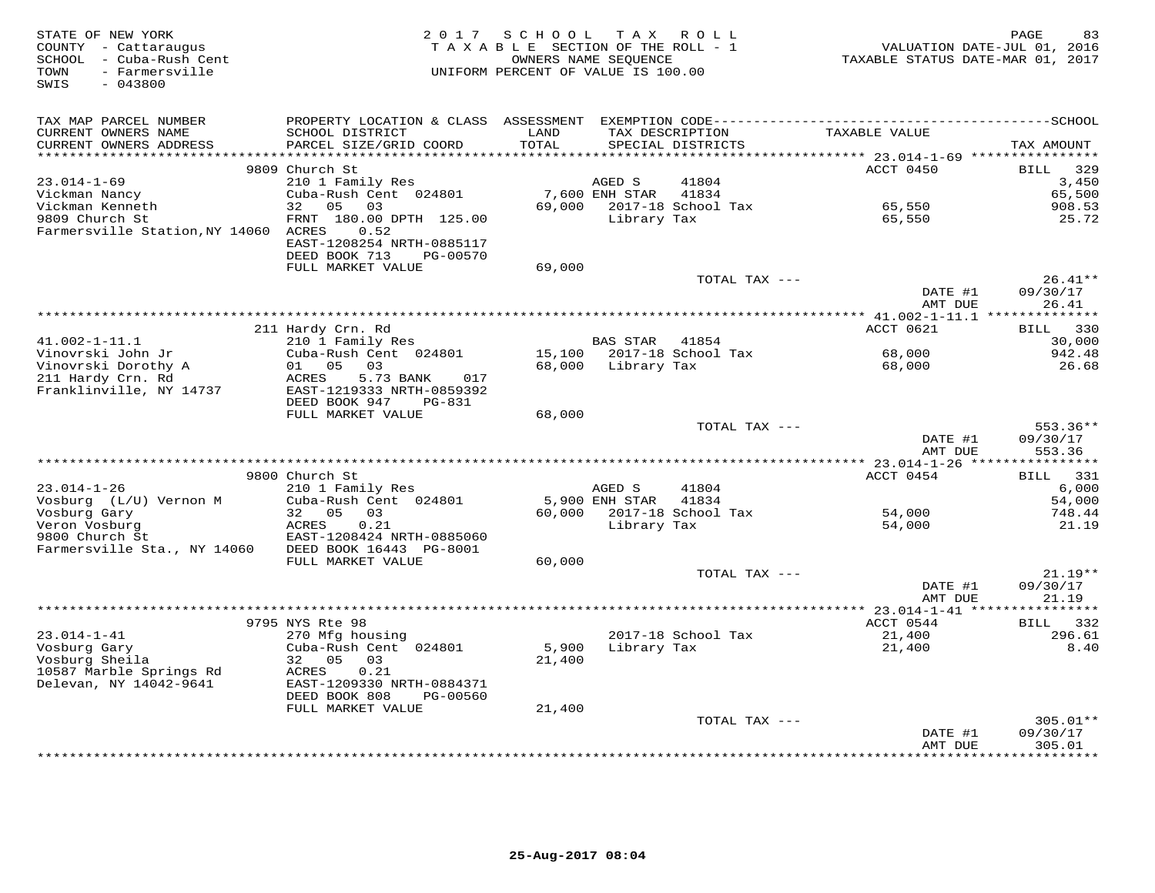| STATE OF NEW YORK<br>COUNTY - Cattaraugus<br>SCHOOL - Cuba-Rush Cent<br>- Farmersville<br>TOWN<br>SWIS<br>$-043800$ | 2 0 1 7                                                                                   | SCHOOL<br>TAXABLE SECTION OF THE ROLL - 1<br>UNIFORM PERCENT OF VALUE IS 100.00 | OWNERS NAME SEQUENCE | TAX ROLL                             | VALUATION DATE-JUL 01, 2016<br>TAXABLE STATUS DATE-MAR 01, 2017 | PAGE<br>83             |
|---------------------------------------------------------------------------------------------------------------------|-------------------------------------------------------------------------------------------|---------------------------------------------------------------------------------|----------------------|--------------------------------------|-----------------------------------------------------------------|------------------------|
| TAX MAP PARCEL NUMBER                                                                                               |                                                                                           |                                                                                 |                      |                                      |                                                                 |                        |
| CURRENT OWNERS NAME<br>CURRENT OWNERS ADDRESS<br>******************                                                 | SCHOOL DISTRICT<br>PARCEL SIZE/GRID COORD                                                 | LAND<br>TOTAL<br>******                                                         |                      | TAX DESCRIPTION<br>SPECIAL DISTRICTS | TAXABLE VALUE                                                   | TAX AMOUNT             |
|                                                                                                                     | 9809 Church St                                                                            |                                                                                 |                      |                                      | ******* 23.014-1-69 ****************<br>ACCT 0450               | 329<br><b>BILL</b>     |
| $23.014 - 1 - 69$                                                                                                   | 210 1 Family Res                                                                          |                                                                                 | AGED S               | 41804                                |                                                                 | 3,450                  |
| Vickman Nancy                                                                                                       | Cuba-Rush Cent 024801                                                                     |                                                                                 | 7,600 ENH STAR       | 41834                                |                                                                 | 65,500                 |
| Vickman Kenneth                                                                                                     | 32<br>05<br>03                                                                            | 69,000                                                                          |                      | 2017-18 School Tax                   | 65,550                                                          | 908.53                 |
| 9809 Church St<br>Farmersville Station, NY 14060 ACRES                                                              | FRNT 180.00 DPTH 125.00<br>0.52<br>EAST-1208254 NRTH-0885117<br>DEED BOOK 713<br>PG-00570 |                                                                                 | Library Tax          |                                      | 65,550                                                          | 25.72                  |
|                                                                                                                     | FULL MARKET VALUE                                                                         | 69,000                                                                          |                      |                                      |                                                                 |                        |
|                                                                                                                     |                                                                                           |                                                                                 |                      | TOTAL TAX ---                        |                                                                 | $26.41**$              |
|                                                                                                                     |                                                                                           |                                                                                 |                      |                                      | DATE #1<br>AMT DUE                                              | 09/30/17<br>26.41      |
|                                                                                                                     |                                                                                           |                                                                                 |                      |                                      | ACCT 0621                                                       |                        |
| $41.002 - 1 - 11.1$                                                                                                 | 211 Hardy Crn. Rd<br>210 1 Family Res                                                     |                                                                                 | <b>BAS STAR</b>      | 41854                                |                                                                 | 330<br>BILL<br>30,000  |
| Vinovrski John Jr                                                                                                   | Cuba-Rush Cent 024801                                                                     | 15,100                                                                          |                      | 2017-18 School Tax                   | 68,000                                                          | 942.48                 |
| Vinovrski Dorothy A                                                                                                 | 01<br>05<br>03                                                                            | 68,000                                                                          | Library Tax          |                                      | 68,000                                                          | 26.68                  |
| 211 Hardy Crn. Rd<br>Franklinville, NY 14737                                                                        | 5.73 BANK<br>ACRES<br>017<br>EAST-1219333 NRTH-0859392<br>DEED BOOK 947<br>PG-831         |                                                                                 |                      |                                      |                                                                 |                        |
|                                                                                                                     | FULL MARKET VALUE                                                                         | 68,000                                                                          |                      |                                      |                                                                 |                        |
|                                                                                                                     |                                                                                           |                                                                                 |                      | TOTAL TAX ---                        | DATE #1                                                         | $553.36**$<br>09/30/17 |
|                                                                                                                     |                                                                                           |                                                                                 |                      |                                      | AMT DUE                                                         | 553.36                 |
|                                                                                                                     | 9800 Church St                                                                            |                                                                                 |                      |                                      | ACCT 0454                                                       | 331<br><b>BILL</b>     |
| $23.014 - 1 - 26$                                                                                                   | 210 1 Family Res                                                                          |                                                                                 | AGED S               | 41804                                |                                                                 | 6,000                  |
| Vosburg (L/U) Vernon M                                                                                              | Cuba-Rush Cent 024801                                                                     |                                                                                 | 5,900 ENH STAR       | 41834                                |                                                                 | 54,000                 |
| Vosburg Gary                                                                                                        | 32 05<br>03                                                                               | 60,000                                                                          |                      | 2017-18 School Tax                   | 54,000                                                          | 748.44                 |
| Veron Vosburg                                                                                                       | 0.21<br>ACRES                                                                             |                                                                                 | Library Tax          |                                      | 54,000                                                          | 21.19                  |
| 9800 Church St                                                                                                      | EAST-1208424 NRTH-0885060                                                                 |                                                                                 |                      |                                      |                                                                 |                        |
| Farmersville Sta., NY 14060                                                                                         | DEED BOOK 16443 PG-8001                                                                   |                                                                                 |                      |                                      |                                                                 |                        |
|                                                                                                                     | FULL MARKET VALUE                                                                         | 60,000                                                                          |                      | TOTAL TAX ---                        |                                                                 | $21.19**$              |
|                                                                                                                     |                                                                                           |                                                                                 |                      |                                      | DATE #1<br>AMT DUE                                              | 09/30/17<br>21.19      |
|                                                                                                                     |                                                                                           |                                                                                 |                      |                                      |                                                                 |                        |
|                                                                                                                     | 9795 NYS Rte 98                                                                           |                                                                                 |                      |                                      | ACCT 0544                                                       | <b>BILL</b><br>332     |
| $23.014 - 1 - 41$                                                                                                   | 270 Mfg housing                                                                           |                                                                                 |                      | 2017-18 School Tax                   | 21,400                                                          | 296.61                 |
| Vosburg Gary                                                                                                        | Cuba-Rush Cent 024801                                                                     | 5,900                                                                           | Library Tax          |                                      | 21,400                                                          | 8.40                   |
| Vosburg Sheila                                                                                                      | 32 05<br>03<br>ACRES<br>0.21                                                              | 21,400                                                                          |                      |                                      |                                                                 |                        |
| 10587 Marble Springs Rd<br>Delevan, NY 14042-9641                                                                   | EAST-1209330 NRTH-0884371<br>DEED BOOK 808<br>PG-00560                                    |                                                                                 |                      |                                      |                                                                 |                        |
|                                                                                                                     | FULL MARKET VALUE                                                                         | 21,400                                                                          |                      |                                      |                                                                 |                        |
|                                                                                                                     |                                                                                           |                                                                                 |                      | TOTAL TAX ---                        |                                                                 | $305.01**$             |
|                                                                                                                     |                                                                                           |                                                                                 |                      |                                      | DATE #1<br>AMT DUE                                              | 09/30/17<br>305.01     |
|                                                                                                                     |                                                                                           |                                                                                 |                      | *******************************      |                                                                 | * * * * * * *          |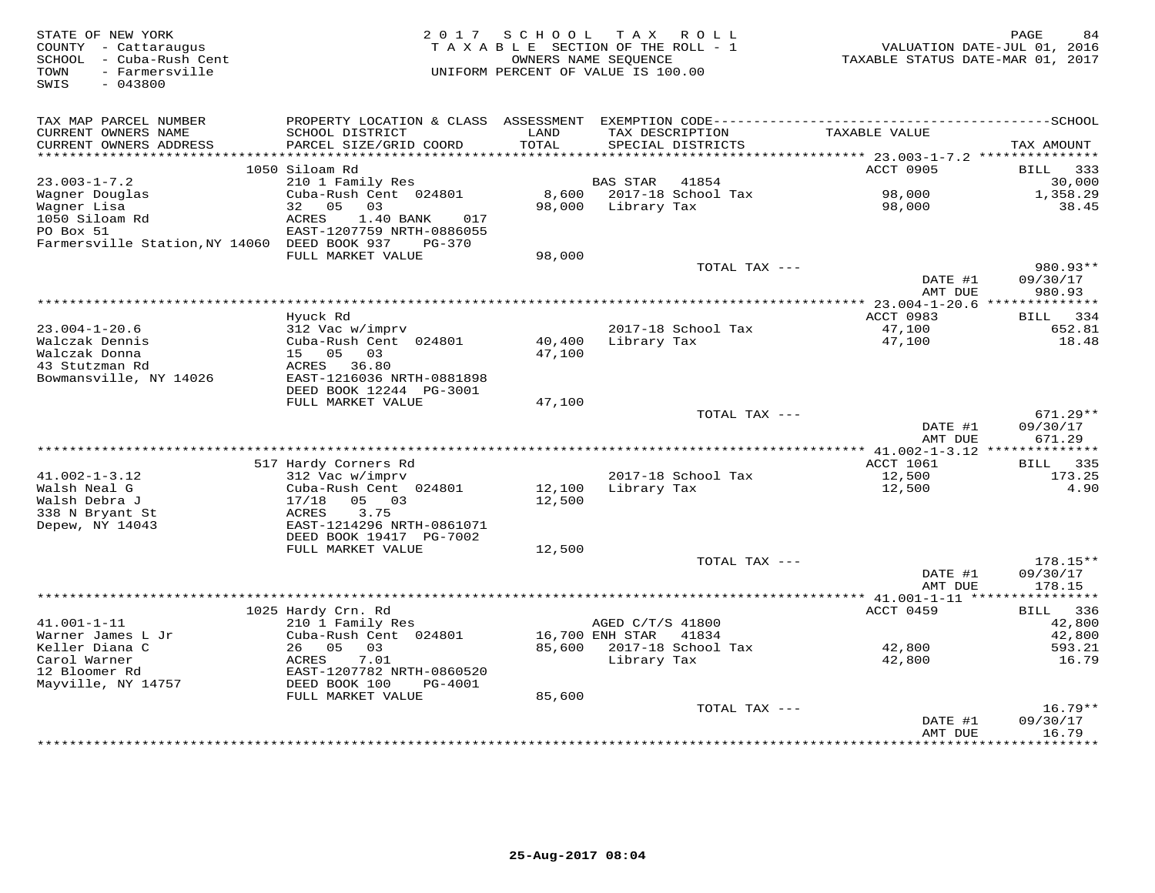| STATE OF NEW YORK<br>COUNTY - Cattaraugus<br>- Cuba-Rush Cent<br>SCHOOL<br>- Farmersville<br>TOWN<br>$-043800$<br>SWIS | 2 0 1 7                                    | S C H O O L<br>OWNERS NAME SEQUENCE | T A X<br>R O L L<br>TAXABLE SECTION OF THE ROLL - 1<br>UNIFORM PERCENT OF VALUE IS 100.00 | VALUATION DATE-JUL 01,<br>TAXABLE STATUS DATE-MAR 01, 2017 | 84<br>PAGE<br>2016     |
|------------------------------------------------------------------------------------------------------------------------|--------------------------------------------|-------------------------------------|-------------------------------------------------------------------------------------------|------------------------------------------------------------|------------------------|
| TAX MAP PARCEL NUMBER                                                                                                  |                                            |                                     |                                                                                           |                                                            |                        |
| CURRENT OWNERS NAME                                                                                                    | SCHOOL DISTRICT                            | LAND                                | TAX DESCRIPTION                                                                           | TAXABLE VALUE                                              |                        |
| CURRENT OWNERS ADDRESS                                                                                                 | PARCEL SIZE/GRID COORD                     | TOTAL                               | SPECIAL DISTRICTS                                                                         |                                                            | TAX AMOUNT             |
|                                                                                                                        |                                            | ******                              |                                                                                           | ****** 23.003-1-7.2 **********                             |                        |
|                                                                                                                        | 1050 Siloam Rd                             |                                     |                                                                                           | ACCT 0905                                                  | <b>BILL</b><br>333     |
| $23.003 - 1 - 7.2$                                                                                                     | 210 1 Family Res                           |                                     | <b>BAS STAR</b><br>41854                                                                  |                                                            | 30,000                 |
| Wagner Douglas                                                                                                         | Cuba-Rush Cent 024801                      | 8,600                               | 2017-18 School Tax                                                                        | 98,000                                                     | 1,358.29               |
| Wagner Lisa                                                                                                            | 32<br>05<br>03<br><b>ACRES</b><br>017      | 98,000                              | Library Tax                                                                               | 98,000                                                     | 38.45                  |
| 1050 Siloam Rd<br>PO Box 51                                                                                            | 1.40 BANK<br>EAST-1207759 NRTH-0886055     |                                     |                                                                                           |                                                            |                        |
| Farmersville Station, NY 14060 DEED BOOK 937                                                                           | $PG-370$                                   |                                     |                                                                                           |                                                            |                        |
|                                                                                                                        | FULL MARKET VALUE                          | 98,000                              |                                                                                           |                                                            |                        |
|                                                                                                                        |                                            |                                     | TOTAL TAX ---                                                                             |                                                            | 980.93**               |
|                                                                                                                        |                                            |                                     |                                                                                           | DATE #1                                                    | 09/30/17               |
|                                                                                                                        |                                            |                                     |                                                                                           | AMT DUE                                                    | 980.93                 |
|                                                                                                                        |                                            |                                     | ************************                                                                  | $* 23.004 - 1 - 20.6$                                      | **************         |
| $23.004 - 1 - 20.6$                                                                                                    | Hyuck Rd<br>312 Vac w/imprv                |                                     | 2017-18 School Tax                                                                        | ACCT 0983<br>47,100                                        | 334<br>BILL<br>652.81  |
| Walczak Dennis                                                                                                         | Cuba-Rush Cent 024801                      | 40,400                              | Library Tax                                                                               | 47,100                                                     | 18.48                  |
| Walczak Donna                                                                                                          | 15 05<br>03                                | 47,100                              |                                                                                           |                                                            |                        |
| 43 Stutzman Rd                                                                                                         | 36.80<br>ACRES                             |                                     |                                                                                           |                                                            |                        |
| Bowmansville, NY 14026                                                                                                 | EAST-1216036 NRTH-0881898                  |                                     |                                                                                           |                                                            |                        |
|                                                                                                                        | DEED BOOK 12244 PG-3001                    |                                     |                                                                                           |                                                            |                        |
|                                                                                                                        | FULL MARKET VALUE                          | 47,100                              |                                                                                           |                                                            |                        |
|                                                                                                                        |                                            |                                     | TOTAL TAX ---                                                                             | DATE #1                                                    | $671.29**$<br>09/30/17 |
|                                                                                                                        |                                            |                                     |                                                                                           | AMT DUE                                                    | 671.29                 |
|                                                                                                                        |                                            |                                     |                                                                                           |                                                            |                        |
|                                                                                                                        | 517 Hardy Corners Rd                       |                                     |                                                                                           | <b>ACCT 1061</b>                                           | 335<br>BILL            |
| $41.002 - 1 - 3.12$                                                                                                    | 312 Vac w/imprv                            |                                     | 2017-18 School Tax                                                                        | 12,500                                                     | 173.25                 |
| Walsh Neal G                                                                                                           | Cuba-Rush Cent 024801                      | 12,100                              | Library Tax                                                                               | 12,500                                                     | 4.90                   |
| Walsh Debra J                                                                                                          | 05 03<br>17/18                             | 12,500                              |                                                                                           |                                                            |                        |
| 338 N Bryant St<br>Depew, NY 14043                                                                                     | 3.75<br>ACRES<br>EAST-1214296 NRTH-0861071 |                                     |                                                                                           |                                                            |                        |
|                                                                                                                        | DEED BOOK 19417 PG-7002                    |                                     |                                                                                           |                                                            |                        |
|                                                                                                                        | FULL MARKET VALUE                          | 12,500                              |                                                                                           |                                                            |                        |
|                                                                                                                        |                                            |                                     | TOTAL TAX ---                                                                             |                                                            | 178.15**               |
|                                                                                                                        |                                            |                                     |                                                                                           | DATE #1                                                    | 09/30/17               |
|                                                                                                                        |                                            |                                     |                                                                                           | AMT DUE                                                    | 178.15                 |
|                                                                                                                        |                                            |                                     |                                                                                           | ************* 41.001-1-11 *****                            | ***********            |
| $41.001 - 1 - 11$                                                                                                      | 1025 Hardy Crn. Rd<br>210 1 Family Res     |                                     | AGED C/T/S 41800                                                                          | ACCT 0459                                                  | 336<br>BILL<br>42,800  |
| Warner James L Jr                                                                                                      | Cuba-Rush Cent 024801                      |                                     | 16,700 ENH STAR<br>41834                                                                  |                                                            | 42,800                 |
| Keller Diana C                                                                                                         | 05<br>26<br>03                             | 85,600                              | 2017-18 School Tax                                                                        | 42,800                                                     | 593.21                 |
| Carol Warner                                                                                                           | ACRES<br>7.01                              |                                     | Library Tax                                                                               | 42,800                                                     | 16.79                  |
| 12 Bloomer Rd                                                                                                          | EAST-1207782 NRTH-0860520                  |                                     |                                                                                           |                                                            |                        |
| Mayville, NY 14757                                                                                                     | DEED BOOK 100<br>PG-4001                   |                                     |                                                                                           |                                                            |                        |
|                                                                                                                        | FULL MARKET VALUE                          | 85,600                              |                                                                                           |                                                            |                        |
|                                                                                                                        |                                            |                                     | TOTAL TAX ---                                                                             | DATE #1                                                    | $16.79**$<br>09/30/17  |
|                                                                                                                        |                                            |                                     |                                                                                           | AMT DUE                                                    | 16.79                  |
|                                                                                                                        |                                            |                                     |                                                                                           |                                                            | * * * * * * *          |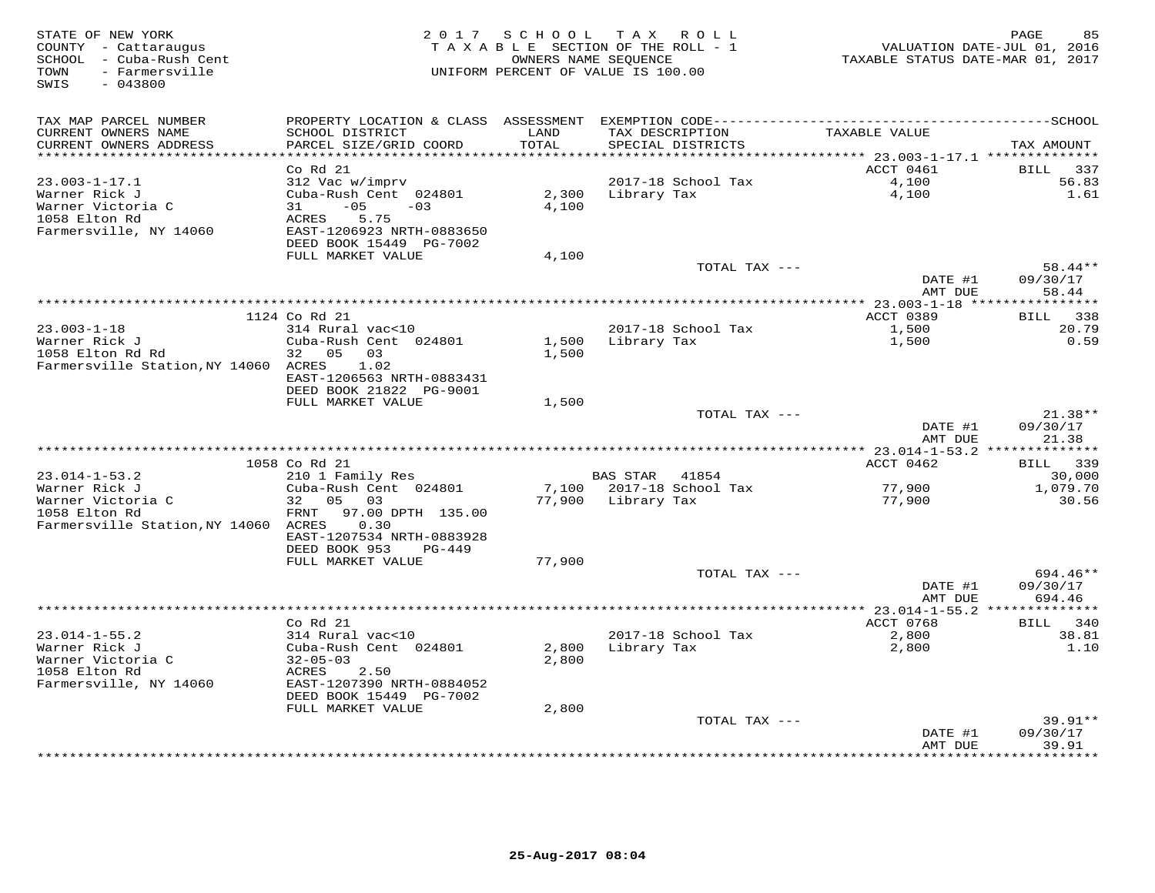| STATE OF NEW YORK<br>COUNTY - Cattaraugus<br>SCHOOL - Cuba-Rush Cent<br>- Farmersville<br>TOWN<br>SWIS<br>$-043800$ | 2 0 1 7                   |                 | SCHOOL TAX ROLL<br>TAXABLE SECTION OF THE ROLL - 1<br>OWNERS NAME SEQUENCE<br>UNIFORM PERCENT OF VALUE IS 100.00 | VALUATION DATE-JUL 01, 2016<br>TAXABLE STATUS DATE-MAR 01, 2017 | PAGE<br>85         |
|---------------------------------------------------------------------------------------------------------------------|---------------------------|-----------------|------------------------------------------------------------------------------------------------------------------|-----------------------------------------------------------------|--------------------|
| TAX MAP PARCEL NUMBER                                                                                               |                           |                 |                                                                                                                  |                                                                 |                    |
| CURRENT OWNERS NAME                                                                                                 | SCHOOL DISTRICT           | LAND            | TAX DESCRIPTION                                                                                                  | TAXABLE VALUE                                                   |                    |
| CURRENT OWNERS ADDRESS                                                                                              | PARCEL SIZE/GRID COORD    | TOTAL<br>****** | SPECIAL DISTRICTS                                                                                                |                                                                 | TAX AMOUNT         |
|                                                                                                                     | Co Rd 21                  |                 |                                                                                                                  | ******** 23.003-1-17.1 **************<br>ACCT 0461              | BILL<br>337        |
| $23.003 - 1 - 17.1$                                                                                                 | 312 Vac w/imprv           |                 | 2017-18 School Tax                                                                                               | 4,100                                                           | 56.83              |
| Warner Rick J                                                                                                       | Cuba-Rush Cent 024801     | 2,300           | Library Tax                                                                                                      | 4,100                                                           | 1.61               |
| Warner Victoria C                                                                                                   | $-05$<br>31<br>$-03$      | 4,100           |                                                                                                                  |                                                                 |                    |
| 1058 Elton Rd                                                                                                       | 5.75<br>ACRES             |                 |                                                                                                                  |                                                                 |                    |
| Farmersville, NY 14060                                                                                              | EAST-1206923 NRTH-0883650 |                 |                                                                                                                  |                                                                 |                    |
|                                                                                                                     | DEED BOOK 15449 PG-7002   |                 |                                                                                                                  |                                                                 |                    |
|                                                                                                                     | FULL MARKET VALUE         | 4,100           |                                                                                                                  |                                                                 |                    |
|                                                                                                                     |                           |                 | TOTAL TAX ---                                                                                                    |                                                                 | 58.44**            |
|                                                                                                                     |                           |                 |                                                                                                                  | DATE #1                                                         | 09/30/17           |
|                                                                                                                     |                           |                 | ***********************                                                                                          | AMT DUE                                                         | 58.44<br>********  |
|                                                                                                                     | 1124 Co Rd 21             |                 |                                                                                                                  | $*$ * 23.003-1-18 ****<br>ACCT 0389                             | <b>BILL</b><br>338 |
| $23.003 - 1 - 18$                                                                                                   | 314 Rural vac<10          |                 | 2017-18 School Tax                                                                                               | 1,500                                                           | 20.79              |
| Warner Rick J                                                                                                       | Cuba-Rush Cent 024801     | 1,500           | Library Tax                                                                                                      | 1,500                                                           | 0.59               |
| 1058 Elton Rd Rd                                                                                                    | 05 03<br>32               | 1,500           |                                                                                                                  |                                                                 |                    |
| Farmersville Station, NY 14060 ACRES                                                                                | 1.02                      |                 |                                                                                                                  |                                                                 |                    |
|                                                                                                                     | EAST-1206563 NRTH-0883431 |                 |                                                                                                                  |                                                                 |                    |
|                                                                                                                     | DEED BOOK 21822 PG-9001   |                 |                                                                                                                  |                                                                 |                    |
|                                                                                                                     | FULL MARKET VALUE         | 1,500           |                                                                                                                  |                                                                 |                    |
|                                                                                                                     |                           |                 | TOTAL TAX ---                                                                                                    |                                                                 | 21.38**            |
|                                                                                                                     |                           |                 |                                                                                                                  | DATE #1                                                         | 09/30/17           |
|                                                                                                                     |                           |                 |                                                                                                                  | AMT DUE                                                         | 21.38              |
|                                                                                                                     | 1058 Co Rd 21             |                 |                                                                                                                  | ACCT 0462                                                       | 339<br>BILL        |
| $23.014 - 1 - 53.2$                                                                                                 | 210 1 Family Res          |                 | <b>BAS STAR</b><br>41854                                                                                         |                                                                 | 30,000             |
| Warner Rick J                                                                                                       | Cuba-Rush Cent 024801     | 7,100           | 2017-18 School Tax                                                                                               | 77,900                                                          | 1,079.70           |
| Warner Victoria C                                                                                                   | 05 03<br>32               | 77,900          | Library Tax                                                                                                      | 77,900                                                          | 30.56              |
| 1058 Elton Rd                                                                                                       | 97.00 DPTH 135.00<br>FRNT |                 |                                                                                                                  |                                                                 |                    |
| Farmersville Station, NY 14060 ACRES                                                                                | 0.30                      |                 |                                                                                                                  |                                                                 |                    |
|                                                                                                                     | EAST-1207534 NRTH-0883928 |                 |                                                                                                                  |                                                                 |                    |
|                                                                                                                     | DEED BOOK 953<br>PG-449   |                 |                                                                                                                  |                                                                 |                    |
|                                                                                                                     | FULL MARKET VALUE         | 77,900          | TOTAL TAX ---                                                                                                    |                                                                 | 694.46**           |
|                                                                                                                     |                           |                 |                                                                                                                  | DATE #1                                                         | 09/30/17           |
|                                                                                                                     |                           |                 |                                                                                                                  | AMT DUE                                                         | 694.46             |
|                                                                                                                     |                           |                 | **********************                                                                                           | **** 23.014-1-55.2 *                                            |                    |
|                                                                                                                     | Co Rd 21                  |                 |                                                                                                                  | ACCT 0768                                                       | <b>BILL</b><br>340 |
| $23.014 - 1 - 55.2$                                                                                                 | 314 Rural vac<10          |                 | 2017-18 School Tax                                                                                               | 2,800                                                           | 38.81              |
| Warner Rick J                                                                                                       | Cuba-Rush Cent 024801     | 2,800           | Library Tax                                                                                                      | 2,800                                                           | 1.10               |
| Warner Victoria C                                                                                                   | $32 - 05 - 03$            | 2,800           |                                                                                                                  |                                                                 |                    |
| 1058 Elton Rd                                                                                                       | ACRES<br>2.50             |                 |                                                                                                                  |                                                                 |                    |
| Farmersville, NY 14060                                                                                              | EAST-1207390 NRTH-0884052 |                 |                                                                                                                  |                                                                 |                    |
|                                                                                                                     | DEED BOOK 15449 PG-7002   |                 |                                                                                                                  |                                                                 |                    |
|                                                                                                                     | FULL MARKET VALUE         | 2,800           | TOTAL TAX ---                                                                                                    |                                                                 | $39.91**$          |
|                                                                                                                     |                           |                 |                                                                                                                  | DATE #1                                                         | 09/30/17           |
|                                                                                                                     |                           |                 |                                                                                                                  | AMT DUE                                                         | 39.91              |
|                                                                                                                     |                           |                 | ****************************                                                                                     |                                                                 | ******             |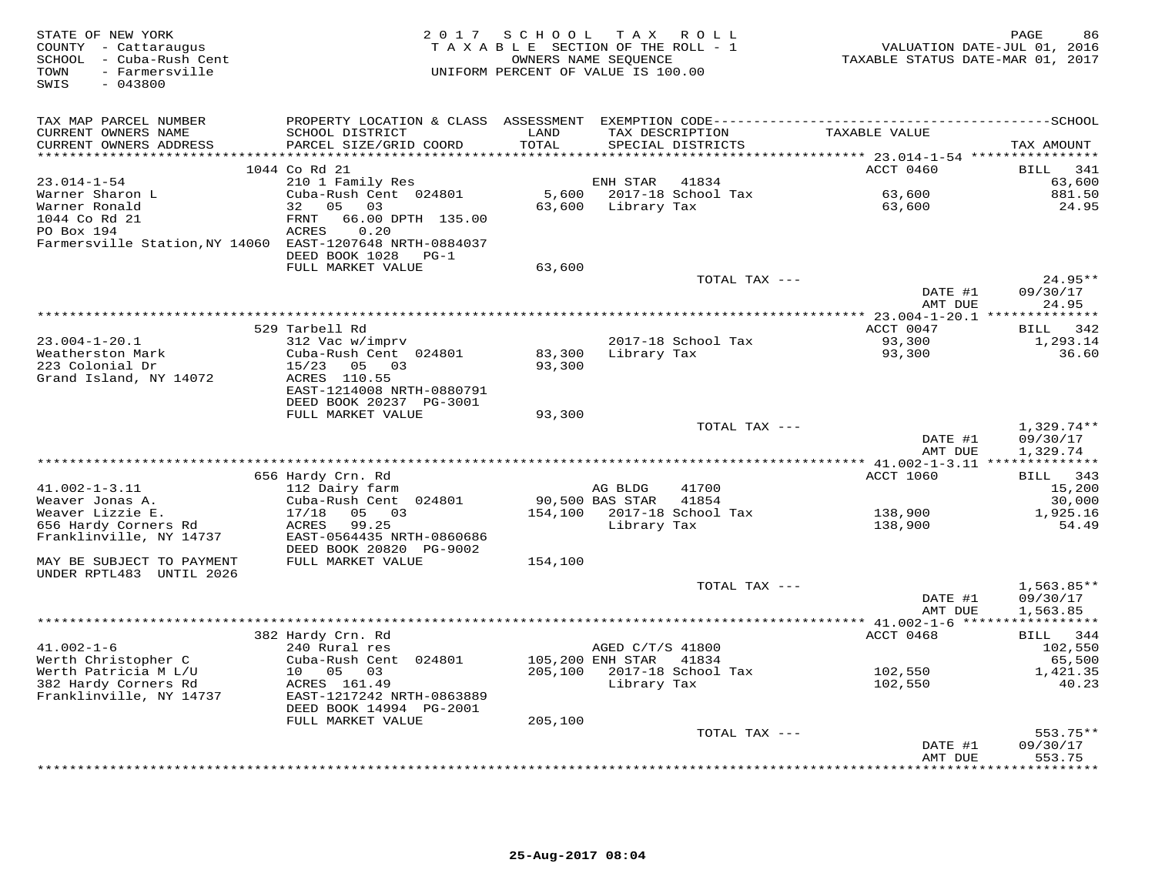| STATE OF NEW YORK<br>COUNTY - Cattaraugus<br>SCHOOL - Cuba-Rush Cent<br>- Farmersville<br>TOWN<br>$-043800$<br>SWIS | 2 0 1 7                                              | SCHOOL<br>TAXABLE SECTION OF THE ROLL - 1<br>OWNERS NAME SEOUENCE<br>UNIFORM PERCENT OF VALUE IS 100.00 |                                            | TAX ROLL                             | VALUATION DATE-JUL 01, 2016<br>TAXABLE STATUS DATE-MAR 01, 2017 | PAGE<br>86              |
|---------------------------------------------------------------------------------------------------------------------|------------------------------------------------------|---------------------------------------------------------------------------------------------------------|--------------------------------------------|--------------------------------------|-----------------------------------------------------------------|-------------------------|
| TAX MAP PARCEL NUMBER                                                                                               |                                                      |                                                                                                         |                                            |                                      |                                                                 |                         |
| CURRENT OWNERS NAME<br>CURRENT OWNERS ADDRESS                                                                       | SCHOOL DISTRICT<br>PARCEL SIZE/GRID COORD            | LAND<br>TOTAL                                                                                           |                                            | TAX DESCRIPTION<br>SPECIAL DISTRICTS | TAXABLE VALUE                                                   | TAX AMOUNT              |
|                                                                                                                     |                                                      |                                                                                                         |                                            |                                      |                                                                 |                         |
|                                                                                                                     | 1044 Co Rd 21                                        |                                                                                                         |                                            |                                      | ACCT 0460                                                       | 341<br>BILL             |
| $23.014 - 1 - 54$<br>Warner Sharon L                                                                                | 210 1 Family Res<br>Cuba-Rush Cent 024801            | 5,600                                                                                                   | ENH STAR                                   | 41834<br>2017-18 School Tax          | 63,600                                                          | 63,600<br>881.50        |
| Warner Ronald                                                                                                       | 32 05<br>03                                          | 63,600                                                                                                  | Library Tax                                |                                      | 63,600                                                          | 24.95                   |
| 1044 Co Rd 21                                                                                                       | 66.00 DPTH 135.00<br>FRNT                            |                                                                                                         |                                            |                                      |                                                                 |                         |
| PO Box 194                                                                                                          | 0.20<br>ACRES                                        |                                                                                                         |                                            |                                      |                                                                 |                         |
| Farmersville Station, NY 14060 EAST-1207648 NRTH-0884037                                                            |                                                      |                                                                                                         |                                            |                                      |                                                                 |                         |
|                                                                                                                     | DEED BOOK 1028<br>$PG-1$                             |                                                                                                         |                                            |                                      |                                                                 |                         |
|                                                                                                                     | FULL MARKET VALUE                                    | 63,600                                                                                                  |                                            |                                      |                                                                 |                         |
|                                                                                                                     |                                                      |                                                                                                         |                                            | TOTAL TAX ---                        |                                                                 | $24.95**$               |
|                                                                                                                     |                                                      |                                                                                                         |                                            |                                      | DATE #1                                                         | 09/30/17                |
|                                                                                                                     |                                                      |                                                                                                         |                                            |                                      | AMT DUE                                                         | 24.95                   |
|                                                                                                                     | 529 Tarbell Rd                                       |                                                                                                         |                                            |                                      | ACCT 0047                                                       | 342<br>BILL             |
| $23.004 - 1 - 20.1$                                                                                                 | 312 Vac w/imprv                                      |                                                                                                         |                                            | 2017-18 School Tax                   | 93,300                                                          | 1,293.14                |
| Weatherston Mark                                                                                                    | Cuba-Rush Cent 024801                                | 83,300                                                                                                  | Library Tax                                |                                      | 93,300                                                          | 36.60                   |
| 223 Colonial Dr                                                                                                     | 15/23<br>05 03                                       | 93,300                                                                                                  |                                            |                                      |                                                                 |                         |
| Grand Island, NY 14072                                                                                              | ACRES 110.55                                         |                                                                                                         |                                            |                                      |                                                                 |                         |
|                                                                                                                     | EAST-1214008 NRTH-0880791                            |                                                                                                         |                                            |                                      |                                                                 |                         |
|                                                                                                                     | DEED BOOK 20237 PG-3001                              |                                                                                                         |                                            |                                      |                                                                 |                         |
|                                                                                                                     | FULL MARKET VALUE                                    | 93,300                                                                                                  |                                            | TOTAL TAX ---                        |                                                                 | $1,329.74**$            |
|                                                                                                                     |                                                      |                                                                                                         |                                            |                                      | DATE #1                                                         | 09/30/17                |
|                                                                                                                     |                                                      |                                                                                                         |                                            |                                      | AMT DUE                                                         | 1,329.74                |
|                                                                                                                     |                                                      |                                                                                                         |                                            |                                      |                                                                 |                         |
|                                                                                                                     | 656 Hardy Crn. Rd                                    |                                                                                                         |                                            |                                      | <b>ACCT 1060</b>                                                | <b>BILL</b><br>343      |
| $41.002 - 1 - 3.11$                                                                                                 | 112 Dairy farm                                       |                                                                                                         | AG BLDG                                    | 41700                                |                                                                 | 15,200                  |
| Weaver Jonas A.                                                                                                     | Cuba-Rush Cent 024801                                |                                                                                                         | 90,500 BAS STAR                            | 41854                                |                                                                 | 30,000                  |
| Weaver Lizzie E.                                                                                                    | 05 03<br>17/18                                       | 154,100                                                                                                 |                                            | 2017-18 School Tax                   | 138,900                                                         | 1,925.16                |
| 656 Hardy Corners Rd                                                                                                | ACRES<br>99.25                                       |                                                                                                         | Library Tax                                |                                      | 138,900                                                         | 54.49                   |
| Franklinville, NY 14737                                                                                             | EAST-0564435 NRTH-0860686<br>DEED BOOK 20820 PG-9002 |                                                                                                         |                                            |                                      |                                                                 |                         |
| MAY BE SUBJECT TO PAYMENT                                                                                           | FULL MARKET VALUE                                    | 154,100                                                                                                 |                                            |                                      |                                                                 |                         |
| UNDER RPTL483 UNTIL 2026                                                                                            |                                                      |                                                                                                         |                                            |                                      |                                                                 |                         |
|                                                                                                                     |                                                      |                                                                                                         |                                            | TOTAL TAX ---                        |                                                                 | $1,563.85**$            |
|                                                                                                                     |                                                      |                                                                                                         |                                            |                                      | DATE #1                                                         | 09/30/17                |
|                                                                                                                     |                                                      |                                                                                                         |                                            |                                      | AMT DUE                                                         | 1,563.85                |
|                                                                                                                     |                                                      |                                                                                                         |                                            |                                      |                                                                 |                         |
|                                                                                                                     | 382 Hardy Crn. Rd                                    |                                                                                                         |                                            |                                      | ACCT 0468                                                       | 344<br><b>BILL</b>      |
| $41.002 - 1 - 6$<br>Werth Christopher C                                                                             | 240 Rural res<br>Cuba-Rush Cent 024801               |                                                                                                         | AGED C/T/S 41800<br>105,200 ENH STAR 41834 |                                      |                                                                 | 102,550<br>65,500       |
| Werth Patricia M L/U                                                                                                | 10 05<br>03                                          | 205,100                                                                                                 |                                            | 2017-18 School Tax                   | 102,550                                                         | 1,421.35                |
| 382 Hardy Corners Rd                                                                                                | ACRES 161.49                                         |                                                                                                         | Library Tax                                |                                      | 102,550                                                         | 40.23                   |
| Franklinville, NY 14737                                                                                             | EAST-1217242 NRTH-0863889                            |                                                                                                         |                                            |                                      |                                                                 |                         |
|                                                                                                                     | DEED BOOK 14994 PG-2001                              |                                                                                                         |                                            |                                      |                                                                 |                         |
|                                                                                                                     | FULL MARKET VALUE                                    | 205,100                                                                                                 |                                            |                                      |                                                                 |                         |
|                                                                                                                     |                                                      |                                                                                                         |                                            | TOTAL TAX ---                        |                                                                 | 553.75**                |
|                                                                                                                     |                                                      |                                                                                                         |                                            |                                      | DATE #1                                                         | 09/30/17                |
|                                                                                                                     |                                                      |                                                                                                         |                                            |                                      | AMT DUE                                                         | 553.75<br>* * * * * * * |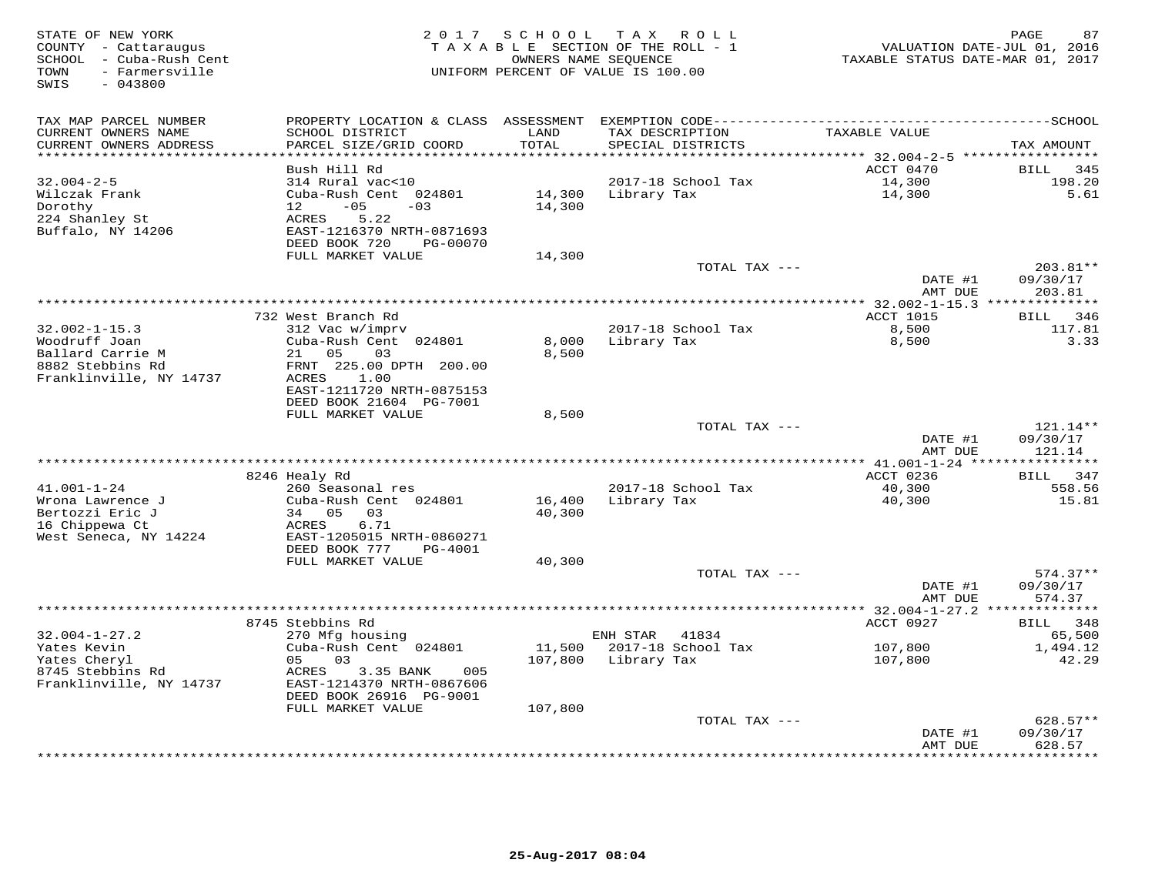| STATE OF NEW YORK<br>COUNTY - Cattaraugus<br>SCHOOL - Cuba-Rush Cent<br>- Farmersville<br>TOWN<br>$-043800$<br>SWIS | 2 0 1 7                                                                                                                                                   | SCHOOL           | T A X<br>R O L L<br>T A X A B L E SECTION OF THE ROLL - 1<br>OWNERS NAME SEQUENCE<br>UNIFORM PERCENT OF VALUE IS 100.00 | TAXABLE STATUS DATE-MAR 01, 2017       | 87<br>PAGE<br>VALUATION DATE-JUL 01, 2016 |
|---------------------------------------------------------------------------------------------------------------------|-----------------------------------------------------------------------------------------------------------------------------------------------------------|------------------|-------------------------------------------------------------------------------------------------------------------------|----------------------------------------|-------------------------------------------|
| TAX MAP PARCEL NUMBER<br>CURRENT OWNERS NAME<br>CURRENT OWNERS ADDRESS                                              | SCHOOL DISTRICT<br>PARCEL SIZE/GRID COORD                                                                                                                 | LAND<br>TOTAL    | TAX DESCRIPTION<br>SPECIAL DISTRICTS                                                                                    | TAXABLE VALUE                          | TAX AMOUNT                                |
|                                                                                                                     |                                                                                                                                                           |                  |                                                                                                                         | ******* 32.004-2-5 *****               |                                           |
|                                                                                                                     | Bush Hill Rd                                                                                                                                              |                  |                                                                                                                         | ACCT 0470                              | 345<br>BILL                               |
| $32.004 - 2 - 5$<br>Wilczak Frank<br>Dorothy<br>224 Shanley St<br>Buffalo, NY 14206                                 | 314 Rural vac<10<br>Cuba-Rush Cent 024801<br>$-05$<br>12 <sup>7</sup><br>$-03$<br>5.22<br>ACRES<br>EAST-1216370 NRTH-0871693<br>DEED BOOK 720<br>PG-00070 | 14,300<br>14,300 | 2017-18 School Tax<br>Library Tax                                                                                       | 14,300<br>14,300                       | 198.20<br>5.61                            |
|                                                                                                                     | FULL MARKET VALUE                                                                                                                                         | 14,300           |                                                                                                                         |                                        |                                           |
|                                                                                                                     |                                                                                                                                                           |                  | TOTAL TAX ---                                                                                                           | DATE #1<br>AMT DUE                     | 203.81**<br>09/30/17<br>203.81            |
|                                                                                                                     |                                                                                                                                                           |                  | *************************                                                                                               | ********* 32.002-1-15.3 ************** |                                           |
|                                                                                                                     | 732 West Branch Rd                                                                                                                                        |                  |                                                                                                                         | <b>ACCT 1015</b>                       | <b>BILL</b><br>346                        |
| $32.002 - 1 - 15.3$<br>Woodruff Joan<br>Ballard Carrie M                                                            | 312 Vac w/imprv<br>Cuba-Rush Cent 024801<br>05<br>03<br>21                                                                                                | 8,000<br>8,500   | 2017-18 School Tax<br>Library Tax                                                                                       | 8,500<br>8,500                         | 117.81<br>3.33                            |
| 8882 Stebbins Rd<br>Franklinville, NY 14737                                                                         | FRNT 225.00 DPTH 200.00<br>ACRES<br>1.00<br>EAST-1211720 NRTH-0875153<br>DEED BOOK 21604 PG-7001                                                          |                  |                                                                                                                         |                                        |                                           |
|                                                                                                                     | FULL MARKET VALUE                                                                                                                                         | 8,500            |                                                                                                                         |                                        |                                           |
|                                                                                                                     |                                                                                                                                                           |                  | TOTAL TAX ---                                                                                                           | DATE #1<br>AMT DUE                     | 121.14**<br>09/30/17<br>121.14            |
|                                                                                                                     |                                                                                                                                                           |                  |                                                                                                                         |                                        |                                           |
|                                                                                                                     | 8246 Healy Rd                                                                                                                                             |                  |                                                                                                                         | ACCT 0236                              | BILL 347                                  |
| $41.001 - 1 - 24$<br>Wrona Lawrence J                                                                               | 260 Seasonal res<br>Cuba-Rush Cent 024801                                                                                                                 | 16,400           | 2017-18 School Tax<br>Library Tax                                                                                       | 40,300<br>40,300                       | 558.56<br>15.81                           |
| Bertozzi Eric J<br>16 Chippewa Ct<br>West Seneca, NY 14224                                                          | 34 05<br>03<br>6.71<br>ACRES<br>EAST-1205015 NRTH-0860271<br>DEED BOOK 777<br>PG-4001                                                                     | 40,300           |                                                                                                                         |                                        |                                           |
|                                                                                                                     | FULL MARKET VALUE                                                                                                                                         | 40,300           |                                                                                                                         |                                        |                                           |
|                                                                                                                     |                                                                                                                                                           |                  | TOTAL TAX ---                                                                                                           | DATE #1<br>AMT DUE                     | $574.37**$<br>09/30/17<br>574.37          |
|                                                                                                                     |                                                                                                                                                           |                  | *******************************                                                                                         | *********** 32.004-1-27.2 *            | ***********                               |
|                                                                                                                     | 8745 Stebbins Rd                                                                                                                                          |                  |                                                                                                                         | ACCT 0927                              | 348<br>BILL                               |
| $32.004 - 1 - 27.2$<br>Yates Kevin                                                                                  | 270 Mfg housing<br>Cuba-Rush Cent 024801                                                                                                                  | 11,500           | ENH STAR<br>41834<br>2017-18 School Tax                                                                                 | 107,800                                | 65,500<br>1,494.12                        |
| Yates Cheryl<br>8745 Stebbins Rd<br>Franklinville, NY 14737                                                         | 03<br>05<br>ACRES<br>3.35 BANK<br>005<br>EAST-1214370 NRTH-0867606                                                                                        | 107,800          | Library Tax                                                                                                             | 107,800                                | 42.29                                     |
|                                                                                                                     | DEED BOOK 26916 PG-9001                                                                                                                                   |                  |                                                                                                                         |                                        |                                           |
|                                                                                                                     | FULL MARKET VALUE                                                                                                                                         | 107,800          |                                                                                                                         |                                        |                                           |
|                                                                                                                     |                                                                                                                                                           |                  | TOTAL TAX ---                                                                                                           | DATE #1<br>AMT DUE                     | 628.57**<br>09/30/17<br>628.57            |
|                                                                                                                     |                                                                                                                                                           |                  | ***************************                                                                                             |                                        | * * * * * * * * *                         |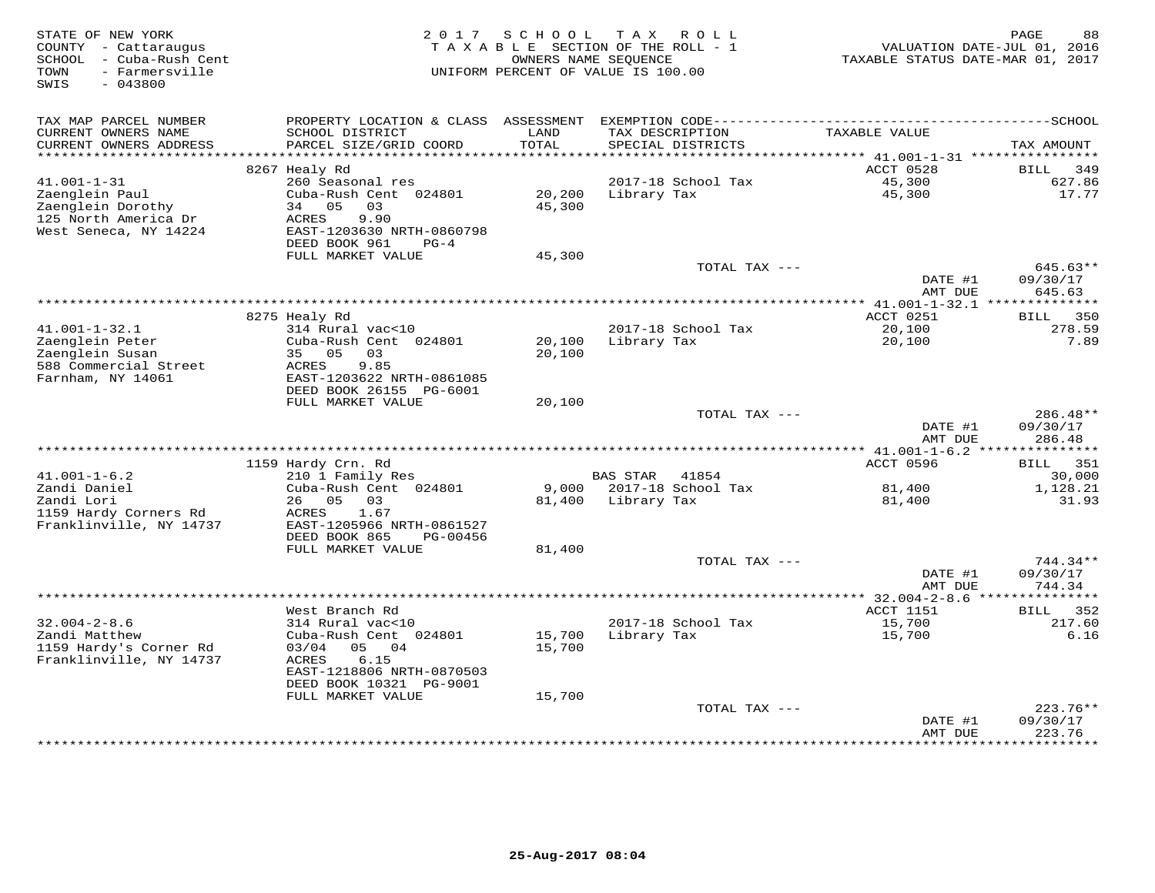| STATE OF NEW YORK<br>COUNTY - Cattaraugus<br>- Cuba-Rush Cent<br>SCHOOL<br>- Farmersville<br>TOWN<br>SWIS<br>$-043800$ | 2 0 1 7                                                   | S C H O O L      | TAX ROLL<br>TAXABLE SECTION OF THE ROLL - 1<br>OWNERS NAME SEOUENCE<br>UNIFORM PERCENT OF VALUE IS 100.00 | VALUATION DATE-JUL 01, 2016<br>TAXABLE STATUS DATE-MAR 01, 2017 | PAGE<br>88                   |
|------------------------------------------------------------------------------------------------------------------------|-----------------------------------------------------------|------------------|-----------------------------------------------------------------------------------------------------------|-----------------------------------------------------------------|------------------------------|
| TAX MAP PARCEL NUMBER<br>CURRENT OWNERS NAME                                                                           | PROPERTY LOCATION & CLASS ASSESSMENT<br>SCHOOL DISTRICT   | LAND             | TAX DESCRIPTION                                                                                           | TAXABLE VALUE                                                   |                              |
| CURRENT OWNERS ADDRESS<br>**********************                                                                       | PARCEL SIZE/GRID COORD<br>****************                | TOTAL            | SPECIAL DISTRICTS                                                                                         |                                                                 | TAX AMOUNT                   |
|                                                                                                                        | 8267 Healy Rd                                             |                  |                                                                                                           | ACCT 0528                                                       | <b>BILL</b><br>349           |
| $41.001 - 1 - 31$                                                                                                      | 260 Seasonal res                                          |                  | 2017-18 School Tax                                                                                        | 45,300                                                          | 627.86                       |
| Zaenglein Paul<br>Zaenglein Dorothy<br>125 North America Dr                                                            | Cuba-Rush Cent 024801<br>34<br>0.5<br>03<br>ACRES<br>9.90 | 20,200<br>45,300 | Library Tax                                                                                               | 45,300                                                          | 17.77                        |
| West Seneca, NY 14224                                                                                                  | EAST-1203630 NRTH-0860798<br>DEED BOOK 961<br>$PG-4$      |                  |                                                                                                           |                                                                 |                              |
|                                                                                                                        | FULL MARKET VALUE                                         | 45,300           | TOTAL TAX ---                                                                                             |                                                                 | 645.63**                     |
|                                                                                                                        |                                                           |                  |                                                                                                           | DATE #1<br>AMT DUE                                              | 09/30/17<br>645.63           |
|                                                                                                                        | ***************                                           |                  | ************************************                                                                      | ******** 41.001-1-32.1 **************                           |                              |
|                                                                                                                        | 8275 Healy Rd                                             |                  |                                                                                                           | ACCT 0251                                                       | 350<br>BILL                  |
| $41.001 - 1 - 32.1$<br>Zaenglein Peter                                                                                 | 314 Rural vac<10<br>Cuba-Rush Cent 024801                 | 20,100           | 2017-18 School Tax<br>Library Tax                                                                         | 20,100<br>20,100                                                | 278.59<br>7.89               |
| Zaenglein Susan                                                                                                        | 35 05<br>03                                               | 20,100           |                                                                                                           |                                                                 |                              |
| 588 Commercial Street                                                                                                  | 9.85<br>ACRES                                             |                  |                                                                                                           |                                                                 |                              |
| Farnham, NY 14061                                                                                                      | EAST-1203622 NRTH-0861085                                 |                  |                                                                                                           |                                                                 |                              |
|                                                                                                                        | DEED BOOK 26155 PG-6001                                   |                  |                                                                                                           |                                                                 |                              |
|                                                                                                                        | FULL MARKET VALUE                                         | 20,100           | TOTAL TAX ---                                                                                             |                                                                 | 286.48**                     |
|                                                                                                                        |                                                           |                  |                                                                                                           | DATE #1<br>AMT DUE                                              | 09/30/17<br>286.48           |
|                                                                                                                        |                                                           |                  |                                                                                                           |                                                                 |                              |
|                                                                                                                        | 1159 Hardy Crn. Rd                                        |                  |                                                                                                           | ACCT 0596                                                       | BILL<br>351                  |
| $41.001 - 1 - 6.2$<br>Zandi Daniel                                                                                     | 210 1 Family Res<br>Cuba-Rush Cent 024801                 |                  | <b>BAS STAR</b><br>41854<br>9,000 2017-18 School Tax                                                      | 81,400                                                          | 30,000<br>1,128.21           |
| Zandi Lori                                                                                                             | 26<br>05<br>03                                            | 81,400           | Library Tax                                                                                               | 81,400                                                          | 31.93                        |
| 1159 Hardy Corners Rd                                                                                                  | ACRES<br>1.67                                             |                  |                                                                                                           |                                                                 |                              |
| Franklinville, NY 14737                                                                                                | EAST-1205966 NRTH-0861527                                 |                  |                                                                                                           |                                                                 |                              |
|                                                                                                                        | DEED BOOK 865<br>PG-00456<br>FULL MARKET VALUE            | 81,400           |                                                                                                           |                                                                 |                              |
|                                                                                                                        |                                                           |                  | TOTAL TAX ---                                                                                             |                                                                 | 744.34**                     |
|                                                                                                                        |                                                           |                  |                                                                                                           | DATE #1<br>AMT DUE                                              | 09/30/17<br>744.34           |
|                                                                                                                        |                                                           |                  |                                                                                                           | *********** 32.004-2-8.6 ***                                    | **********                   |
| $32.004 - 2 - 8.6$                                                                                                     | West Branch Rd<br>314 Rural vac<10                        |                  | 2017-18 School Tax                                                                                        | ACCT 1151<br>15,700                                             | 352<br><b>BILL</b><br>217.60 |
| Zandi Matthew                                                                                                          | Cuba-Rush Cent 024801                                     | 15,700           | Library Tax                                                                                               | 15,700                                                          | 6.16                         |
| 1159 Hardy's Corner Rd                                                                                                 | 03/04<br>05<br>04                                         | 15,700           |                                                                                                           |                                                                 |                              |
| Franklinville, NY 14737                                                                                                | ACRES<br>6.15<br>EAST-1218806 NRTH-0870503                |                  |                                                                                                           |                                                                 |                              |
|                                                                                                                        | DEED BOOK 10321 PG-9001<br>FULL MARKET VALUE              | 15,700           |                                                                                                           |                                                                 |                              |
|                                                                                                                        |                                                           |                  | TOTAL TAX ---                                                                                             |                                                                 | $223.76**$                   |
|                                                                                                                        |                                                           |                  |                                                                                                           | DATE #1<br>AMT DUE                                              | 09/30/17<br>223.76           |
|                                                                                                                        |                                                           |                  |                                                                                                           |                                                                 | ***********                  |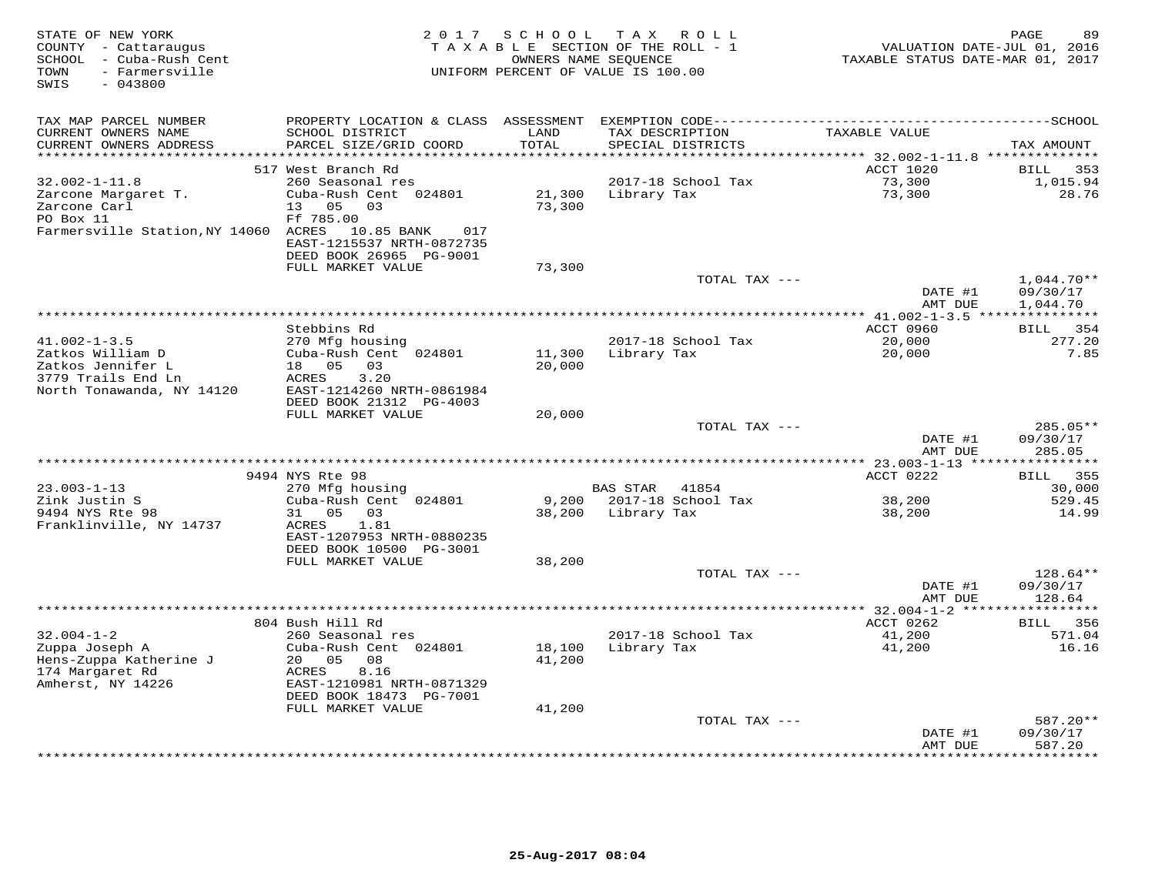| STATE OF NEW YORK<br>COUNTY - Cattaraugus<br>SCHOOL - Cuba-Rush Cent<br>- Farmersville<br>TOWN<br>$-043800$<br>SWIS | 2 0 1 7                                                                                                                    | SCHOOL           | TAX ROLL<br>TAXABLE SECTION OF THE ROLL - 1<br>OWNERS NAME SEOUENCE<br>UNIFORM PERCENT OF VALUE IS 100.00 | VALUATION DATE-JUL 01, 2016<br>TAXABLE STATUS DATE-MAR 01, 2017 | 89<br>PAGE                           |
|---------------------------------------------------------------------------------------------------------------------|----------------------------------------------------------------------------------------------------------------------------|------------------|-----------------------------------------------------------------------------------------------------------|-----------------------------------------------------------------|--------------------------------------|
| TAX MAP PARCEL NUMBER<br>CURRENT OWNERS NAME                                                                        | SCHOOL DISTRICT                                                                                                            | LAND             | PROPERTY LOCATION & CLASS ASSESSMENT EXEMPTION CODE----------------------------<br>TAX DESCRIPTION        | TAXABLE VALUE                                                   | --------------SCHOOL                 |
| CURRENT OWNERS ADDRESS                                                                                              | PARCEL SIZE/GRID COORD                                                                                                     | TOTAL            | SPECIAL DISTRICTS                                                                                         |                                                                 | TAX AMOUNT                           |
| **********************                                                                                              | ************************                                                                                                   | **************   |                                                                                                           | ********************************* 32.002-1-11.8 **************  |                                      |
|                                                                                                                     | 517 West Branch Rd                                                                                                         |                  |                                                                                                           | ACCT 1020                                                       | 353<br>BILL                          |
| $32.002 - 1 - 11.8$<br>Zarcone Margaret T.<br>Zarcone Carl<br>PO Box 11<br>Farmersville Station, NY 14060 ACRES     | 260 Seasonal res<br>Cuba-Rush Cent 024801<br>05<br>03<br>13<br>Ff 785.00<br>10.85 BANK<br>017<br>EAST-1215537 NRTH-0872735 | 21,300<br>73,300 | 2017-18 School Tax<br>Library Tax                                                                         | 73,300<br>73,300                                                | 1,015.94<br>28.76                    |
|                                                                                                                     | DEED BOOK 26965 PG-9001                                                                                                    |                  |                                                                                                           |                                                                 |                                      |
|                                                                                                                     | FULL MARKET VALUE                                                                                                          | 73,300           |                                                                                                           |                                                                 |                                      |
|                                                                                                                     |                                                                                                                            |                  | TOTAL TAX ---                                                                                             | DATE #1<br>AMT DUE                                              | $1,044.70**$<br>09/30/17<br>1,044.70 |
|                                                                                                                     |                                                                                                                            |                  |                                                                                                           |                                                                 | * * * * * * * * *                    |
|                                                                                                                     | Stebbins Rd                                                                                                                |                  |                                                                                                           | ACCT 0960                                                       | BILL<br>354                          |
| $41.002 - 1 - 3.5$<br>Zatkos William D<br>Zatkos Jennifer L<br>3779 Trails End Ln<br>North Tonawanda, NY 14120      | 270 Mfg housing<br>Cuba-Rush Cent 024801<br>05<br>18<br>03<br>ACRES<br>3.20<br>EAST-1214260 NRTH-0861984                   | 11,300<br>20,000 | 2017-18 School Tax<br>Library Tax                                                                         | 20,000<br>20,000                                                | 277.20<br>7.85                       |
|                                                                                                                     | DEED BOOK 21312 PG-4003                                                                                                    |                  |                                                                                                           |                                                                 |                                      |
|                                                                                                                     | FULL MARKET VALUE                                                                                                          | 20,000           | TOTAL TAX ---                                                                                             |                                                                 | $285.05**$                           |
|                                                                                                                     |                                                                                                                            |                  |                                                                                                           | DATE #1<br>AMT DUE                                              | 09/30/17<br>285.05                   |
|                                                                                                                     |                                                                                                                            |                  |                                                                                                           |                                                                 |                                      |
| $23.003 - 1 - 13$                                                                                                   | 9494 NYS Rte 98<br>270 Mfg housing                                                                                         |                  | <b>BAS STAR</b><br>41854                                                                                  | ACCT 0222                                                       | 355<br><b>BILL</b><br>30,000         |
| Zink Justin S<br>9494 NYS Rte 98                                                                                    | Cuba-Rush Cent 024801<br>31<br>0.5<br>03                                                                                   | 9,200<br>38,200  | 2017-18 School Tax<br>Library Tax                                                                         | 38,200<br>38,200                                                | 529.45<br>14.99                      |
| Franklinville, NY 14737                                                                                             | 1.81<br>ACRES<br>EAST-1207953 NRTH-0880235<br>DEED BOOK 10500 PG-3001                                                      |                  |                                                                                                           |                                                                 |                                      |
|                                                                                                                     | FULL MARKET VALUE                                                                                                          | 38,200           | TOTAL TAX ---                                                                                             |                                                                 | 128.64**                             |
|                                                                                                                     |                                                                                                                            |                  |                                                                                                           | DATE #1<br>AMT DUE                                              | 09/30/17<br>128.64                   |
|                                                                                                                     |                                                                                                                            |                  |                                                                                                           | ***************** 32.004-1-2 **                                 |                                      |
| $32.004 - 1 - 2$                                                                                                    | 804 Bush Hill Rd                                                                                                           |                  | 2017-18 School Tax                                                                                        | ACCT 0262                                                       | 356<br>BILL<br>571.04                |
| Zuppa Joseph A<br>Hens-Zuppa Katherine J<br>174 Margaret Rd                                                         | 260 Seasonal res<br>Cuba-Rush Cent 024801<br>20<br>05<br>08<br>8.16<br>ACRES                                               | 18,100<br>41,200 | Library Tax                                                                                               | 41,200<br>41,200                                                | 16.16                                |
| Amherst, NY 14226                                                                                                   | EAST-1210981 NRTH-0871329<br>DEED BOOK 18473 PG-7001<br>FULL MARKET VALUE                                                  | 41,200           |                                                                                                           |                                                                 |                                      |
|                                                                                                                     |                                                                                                                            |                  | TOTAL TAX ---                                                                                             |                                                                 | $587.20**$                           |
|                                                                                                                     |                                                                                                                            |                  |                                                                                                           | DATE #1<br>AMT DUE                                              | 09/30/17<br>587.20                   |
|                                                                                                                     |                                                                                                                            |                  | ***************************                                                                               |                                                                 | . * * * * * * * ·                    |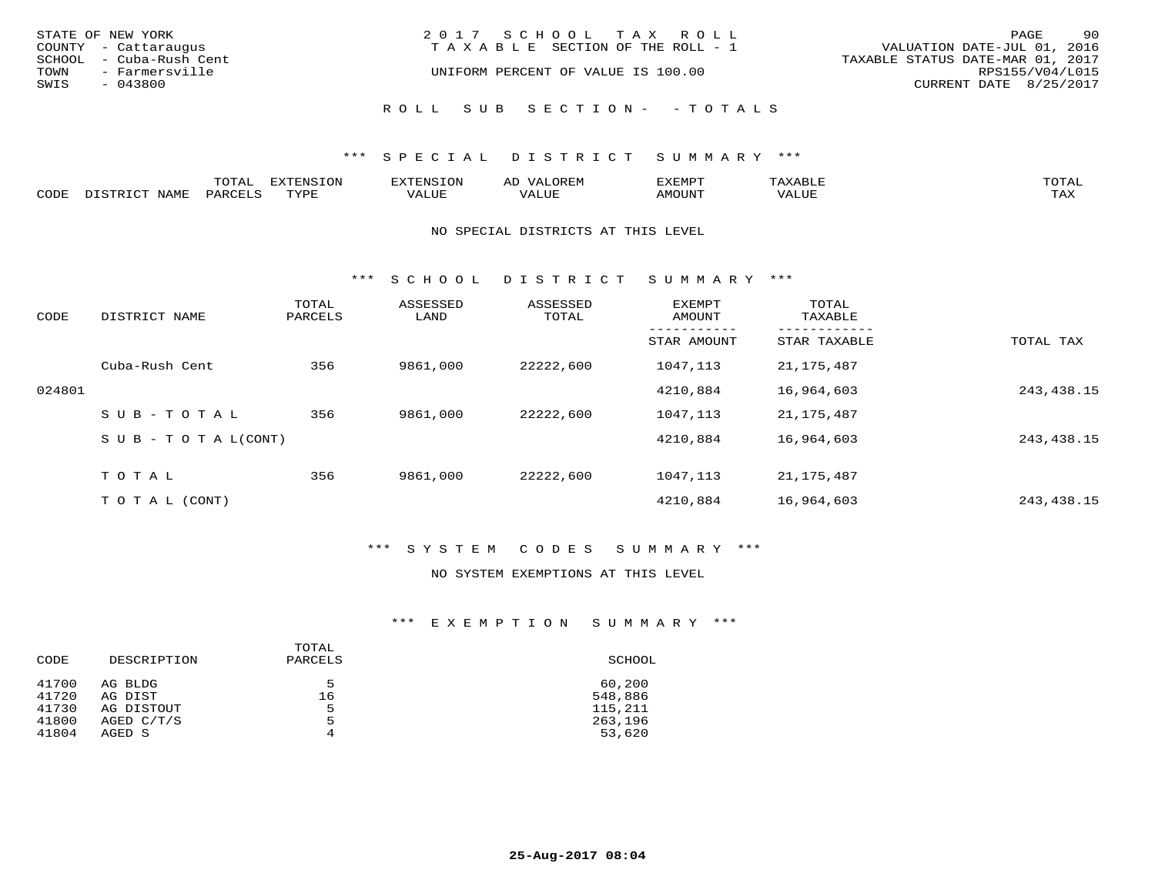| STATE OF NEW YORK       | 2017 SCHOOL TAX ROLL               | 90<br>PAGE                       |
|-------------------------|------------------------------------|----------------------------------|
| COUNTY - Cattaraugus    | TAXABLE SECTION OF THE ROLL - 1    | VALUATION DATE-JUL 01, 2016      |
| SCHOOL - Cuba-Rush Cent |                                    | TAXABLE STATUS DATE-MAR 01, 2017 |
| TOWN<br>- Farmersville  | UNIFORM PERCENT OF VALUE IS 100.00 | RPS155/V04/L015                  |
| SWIS<br>- 043800        |                                    | CURRENT DATE 8/25/2017           |
|                         |                                    |                                  |
|                         | ROLL SUB SECTION- - TOTALS         |                                  |

## \*\*\* S P E C I A L D I S T R I C T S U M M A R Y \*\*\*

|      |                     | <b>ጥ</b> ଠጥ አ<br>- U I AL' | $\pi$<br>. U L' | N.S                 | )R EI<br>ΑL        | 13251050      |                                 | <b>TOTA</b> |
|------|---------------------|----------------------------|-----------------|---------------------|--------------------|---------------|---------------------------------|-------------|
| CODE | NIAMT<br>. סידים דר | PARO                       | TVDF            | <b>TTTT</b><br>ALUR | T T T<br>الالالتدم | <b>AMOUNT</b> | $+ + + + +$<br>$\Delta$<br>ALUP | TAY<br>∸∽∸  |

#### NO SPECIAL DISTRICTS AT THIS LEVEL

\*\*\* S C H O O L D I S T R I C T S U M M A R Y \*\*\*

| CODE   | DISTRICT NAME                    | TOTAL<br>PARCELS | ASSESSED<br>LAND | ASSESSED<br>TOTAL | EXEMPT<br>AMOUNT | TOTAL<br>TAXABLE |              |
|--------|----------------------------------|------------------|------------------|-------------------|------------------|------------------|--------------|
|        |                                  |                  |                  |                   | STAR AMOUNT      | STAR TAXABLE     | TOTAL TAX    |
|        | Cuba-Rush Cent                   | 356              | 9861,000         | 22222,600         | 1047,113         | 21,175,487       |              |
| 024801 |                                  |                  |                  |                   | 4210,884         | 16,964,603       | 243, 438. 15 |
|        | SUB-TOTAL                        | 356              | 9861,000         | 22222,600         | 1047,113         | 21, 175, 487     |              |
|        | $S \cup B - T \cup T A L (CONT)$ |                  |                  |                   | 4210,884         | 16,964,603       | 243, 438. 15 |
|        | TOTAL                            | 356              | 9861,000         | 22222,600         | 1047,113         | 21,175,487       |              |
|        | T O T A L (CONT)                 |                  |                  |                   | 4210,884         | 16,964,603       | 243, 438. 15 |

## \*\*\* S Y S T E M C O D E S S U M M A R Y \*\*\*

#### NO SYSTEM EXEMPTIONS AT THIS LEVEL

## \*\*\* E X E M P T I O N S U M M A R Y \*\*\*

| DESCRIPTION          | PARCELS | SCHOOL            |
|----------------------|---------|-------------------|
| AG BLDG<br>AG DIST   | 5<br>16 | 60,200<br>548,886 |
| AG DISTOUT           | 5       | 115,211           |
| AGED C/T/S<br>AGED S | 5<br>4  | 263,196<br>53,620 |
|                      |         | TOTAL             |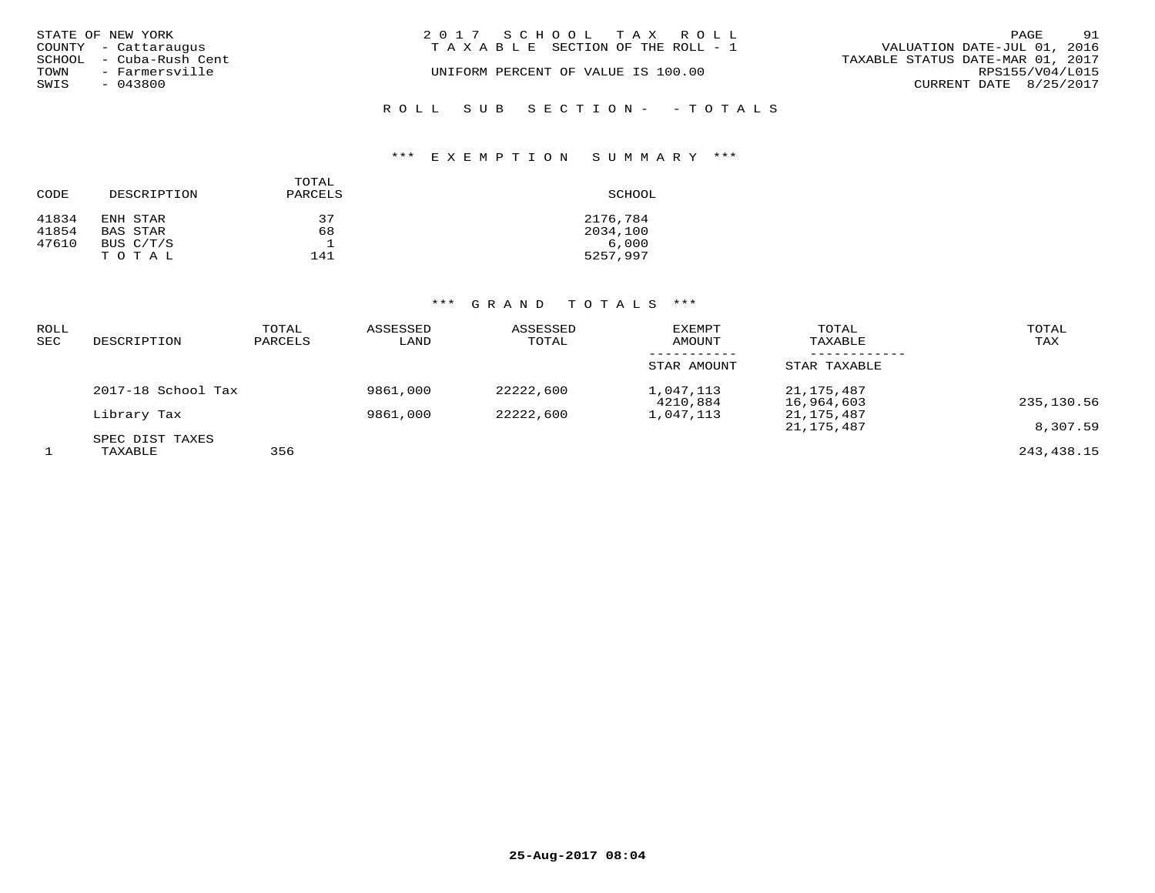|      | STATE OF NEW YORK       | 2017 SCHOOL TAX ROLL                                           | PAGE            | 91 |
|------|-------------------------|----------------------------------------------------------------|-----------------|----|
|      | COUNTY - Cattaraugus    | VALUATION DATE-JUL 01, 2016<br>TAXABLE SECTION OF THE ROLL - 1 |                 |    |
|      | SCHOOL - Cuba-Rush Cent | TAXABLE STATUS DATE-MAR 01, 2017                               |                 |    |
| TOWN | - Farmersville          | UNIFORM PERCENT OF VALUE IS 100.00                             | RPS155/V04/L015 |    |
| SWIS | - 043800                | CURRENT DATE 8/25/2017                                         |                 |    |
|      |                         |                                                                |                 |    |

ROLL SUB SECTION - - TOTALS

## \*\*\* E X E M P T I O N S U M M A R Y \*\*\*

| CODE  | DESCRIPTION | TOTAL<br>PARCELS | SCHOOL   |
|-------|-------------|------------------|----------|
| 41834 | ENH STAR    | 37               | 2176,784 |
| 41854 | BAS STAR    | 68               | 2034,100 |
| 47610 | BUS C/T/S   |                  | 6.000    |
|       | TOTAL       | 141              | 5257,997 |

| ROLL<br><b>SEC</b> | DESCRIPTION                | TOTAL<br>PARCELS | ASSESSED<br>LAND | ASSESSED<br>TOTAL | <b>EXEMPT</b><br>AMOUNT | TOTAL<br>TAXABLE         | TOTAL<br>TAX |
|--------------------|----------------------------|------------------|------------------|-------------------|-------------------------|--------------------------|--------------|
|                    |                            |                  |                  |                   | STAR AMOUNT             | STAR TAXABLE             |              |
|                    | 2017-18 School Tax         |                  | 9861,000         | 22222,600         | 1,047,113<br>4210,884   | 21,175,487<br>16,964,603 | 235,130.56   |
|                    | Library Tax                |                  | 9861,000         | 22222,600         | 1,047,113               | 21,175,487<br>21,175,487 | 8,307.59     |
|                    | SPEC DIST TAXES<br>TAXABLE | 356              |                  |                   |                         |                          | 243, 438. 15 |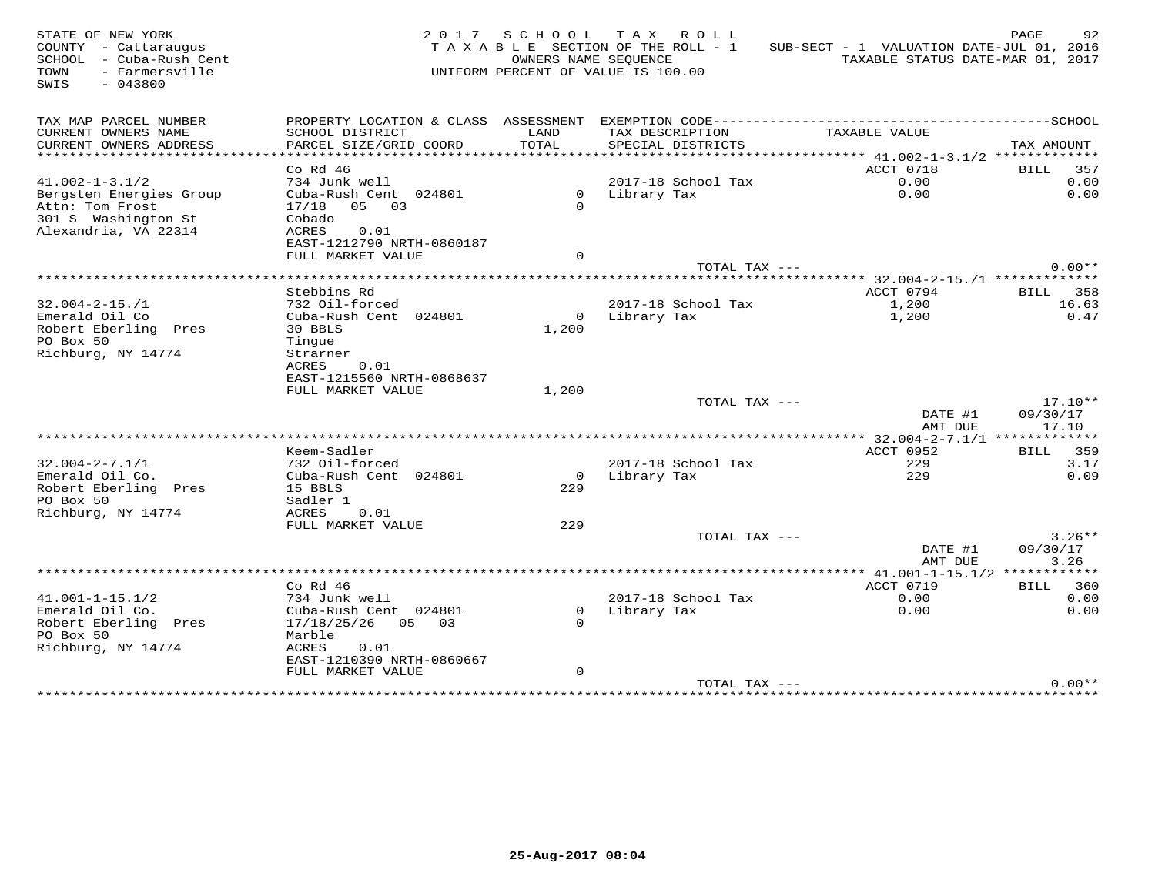| STATE OF NEW YORK       |                           |                | 2017 SCHOOL TAX ROLL               |                                                          | PAGE<br>92                       |
|-------------------------|---------------------------|----------------|------------------------------------|----------------------------------------------------------|----------------------------------|
| COUNTY - Cattaraugus    |                           |                | TAXABLE SECTION OF THE ROLL - 1    | SUB-SECT - 1 VALUATION DATE-JUL 01, 2016                 |                                  |
| SCHOOL - Cuba-Rush Cent |                           |                | OWNERS NAME SEQUENCE               |                                                          | TAXABLE STATUS DATE-MAR 01, 2017 |
| - Farmersville<br>TOWN  |                           |                | UNIFORM PERCENT OF VALUE IS 100.00 |                                                          |                                  |
| SWIS<br>$-043800$       |                           |                |                                    |                                                          |                                  |
|                         |                           |                |                                    |                                                          |                                  |
|                         |                           |                |                                    |                                                          |                                  |
| TAX MAP PARCEL NUMBER   |                           |                |                                    |                                                          |                                  |
| CURRENT OWNERS NAME     | SCHOOL DISTRICT           | LAND           | TAX DESCRIPTION                    | TAXABLE VALUE                                            |                                  |
| CURRENT OWNERS ADDRESS  | PARCEL SIZE/GRID COORD    | TOTAL          | SPECIAL DISTRICTS                  |                                                          | TAX AMOUNT                       |
| ********************    |                           |                |                                    | *************************** 41.002-1-3.1/2 ************* |                                  |
|                         | $Co$ Rd $46$              |                |                                    | ACCT 0718                                                | BILL 357                         |
| $41.002 - 1 - 3.1/2$    | 734 Junk well             |                | 2017-18 School Tax                 | 0.00                                                     | 0.00                             |
| Bergsten Energies Group | Cuba-Rush Cent 024801     |                | 0 Library Tax                      | 0.00                                                     | 0.00                             |
| Attn: Tom Frost         | 17/18 05 03               | $\Omega$       |                                    |                                                          |                                  |
| 301 S Washington St     | Cobado                    |                |                                    |                                                          |                                  |
| Alexandria, VA 22314    | ACRES<br>0.01             |                |                                    |                                                          |                                  |
|                         | EAST-1212790 NRTH-0860187 |                |                                    |                                                          |                                  |
|                         |                           | $\Omega$       |                                    |                                                          |                                  |
|                         | FULL MARKET VALUE         |                | TOTAL TAX ---                      |                                                          | $0.00**$                         |
|                         |                           |                |                                    |                                                          |                                  |
|                         |                           |                |                                    |                                                          |                                  |
|                         | Stebbins Rd               |                |                                    | ACCT 0794                                                | <b>BILL</b> 358                  |
| $32.004 - 2 - 15.71$    | 732 Oil-forced            |                | 2017-18 School Tax                 | 1,200                                                    | 16.63                            |
| Emerald Oil Co          | Cuba-Rush Cent 024801     |                | 0 Library Tax                      | 1,200                                                    | 0.47                             |
| Robert Eberling Pres    | 30 BBLS                   | 1,200          |                                    |                                                          |                                  |
| PO Box 50               | Tingue                    |                |                                    |                                                          |                                  |
| Richburg, NY 14774      | Strarner                  |                |                                    |                                                          |                                  |
|                         | 0.01<br>ACRES             |                |                                    |                                                          |                                  |
|                         | EAST-1215560 NRTH-0868637 |                |                                    |                                                          |                                  |
|                         | FULL MARKET VALUE         | 1,200          |                                    |                                                          |                                  |
|                         |                           |                | TOTAL TAX ---                      |                                                          | $17.10**$                        |
|                         |                           |                |                                    | DATE #1                                                  | 09/30/17                         |
|                         |                           |                |                                    | AMT DUE                                                  | 17.10                            |
|                         |                           |                |                                    | *********** 32.004-2-7.1/1 **************                |                                  |
|                         | Keem-Sadler               |                |                                    | ACCT 0952                                                | <b>BILL</b> 359                  |
| $32.004 - 2 - 7.1/1$    | 732 Oil-forced            |                | 2017-18 School Tax                 | 229                                                      | 3.17                             |
| Emerald Oil Co.         | Cuba-Rush Cent 024801     | $\overline{O}$ | Library Tax                        | 229                                                      | 0.09                             |
| Robert Eberling Pres    | 15 BBLS                   | 229            |                                    |                                                          |                                  |
| PO Box 50               | Sadler 1                  |                |                                    |                                                          |                                  |
| Richburg, NY 14774      | ACRES<br>0.01             |                |                                    |                                                          |                                  |
|                         | FULL MARKET VALUE         | 229            |                                    |                                                          |                                  |
|                         |                           |                | TOTAL TAX ---                      |                                                          | $3.26**$                         |
|                         |                           |                |                                    | DATE #1                                                  | 09/30/17                         |
|                         |                           |                |                                    | AMT DUE                                                  | 3.26                             |
|                         |                           |                |                                    |                                                          |                                  |
|                         | $Co$ Rd $46$              |                |                                    | ACCT 0719                                                | BILL 360                         |
| $41.001 - 1 - 15.1/2$   | 734 Junk well             |                | 2017-18 School Tax                 | 0.00                                                     | 0.00                             |
| Emerald Oil Co.         | Cuba-Rush Cent 024801     | $\circ$        | Library Tax                        | 0.00                                                     | 0.00                             |
| Robert Eberling Pres    | 17/18/25/26<br>05 03      | $\Omega$       |                                    |                                                          |                                  |
| PO Box 50               | Marble                    |                |                                    |                                                          |                                  |
| Richburg, NY 14774      | ACRES<br>0.01             |                |                                    |                                                          |                                  |
|                         | EAST-1210390 NRTH-0860667 |                |                                    |                                                          |                                  |
|                         | FULL MARKET VALUE         | $\mathbf 0$    |                                    |                                                          |                                  |
|                         |                           |                | TOTAL TAX ---                      |                                                          | $0.00**$                         |
|                         |                           |                |                                    |                                                          |                                  |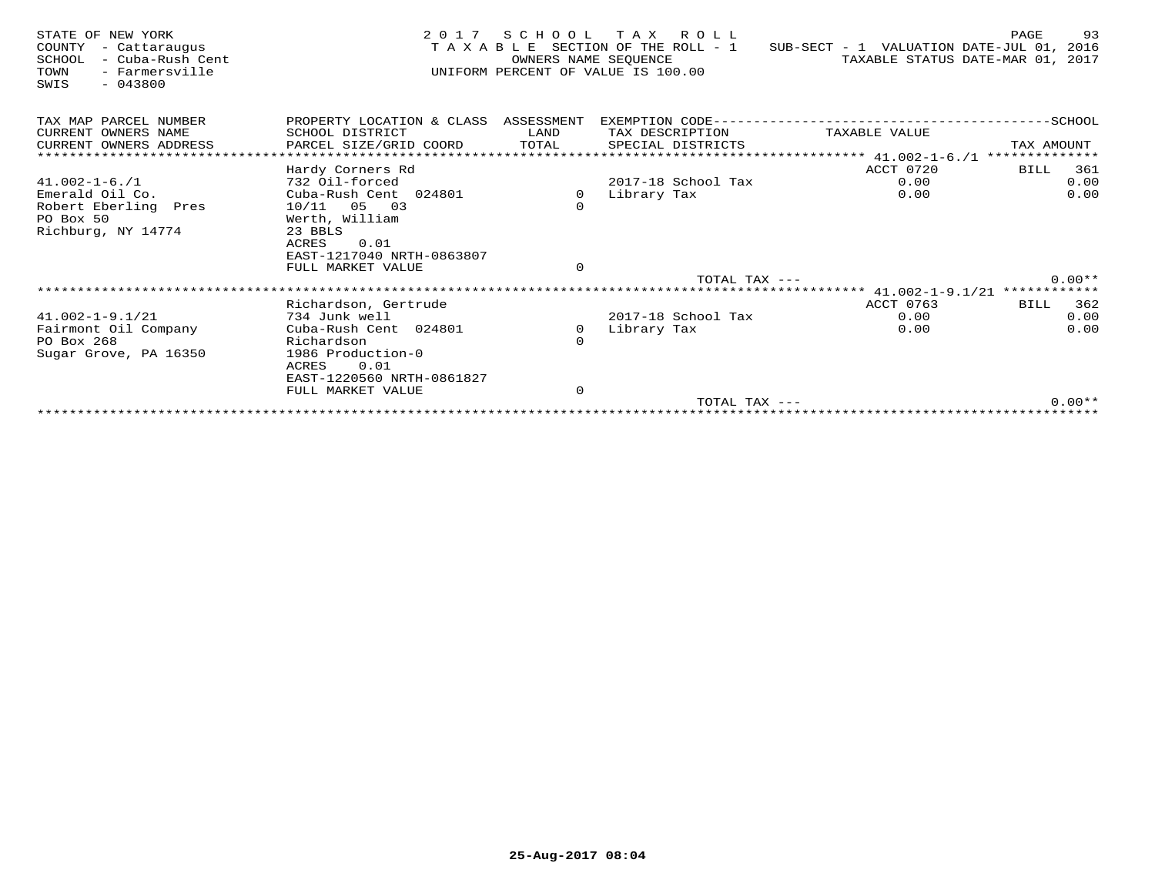| STATE OF NEW YORK<br>COUNTY<br>- Cattaraugus<br>- Cuba-Rush Cent<br>SCHOOL<br>TOWN<br>- Farmersville<br>$-043800$<br>SWIS | 2 0 1 7                                        | OWNERS NAME SEOUENCE | SCHOOL TAX ROLL<br>TAXABLE SECTION OF THE ROLL - 1<br>UNIFORM PERCENT OF VALUE IS 100.00 | SUB-SECT - 1 VALUATION DATE-JUL 01, 2016 | 93<br>PAGE<br>TAXABLE STATUS DATE-MAR 01, 2017 |
|---------------------------------------------------------------------------------------------------------------------------|------------------------------------------------|----------------------|------------------------------------------------------------------------------------------|------------------------------------------|------------------------------------------------|
| TAX MAP PARCEL NUMBER                                                                                                     | PROPERTY LOCATION & CLASS ASSESSMENT           |                      |                                                                                          |                                          |                                                |
| CURRENT OWNERS NAME                                                                                                       | SCHOOL DISTRICT                                | LAND                 | TAX DESCRIPTION                                                                          | TAXABLE VALUE                            |                                                |
| CURRENT OWNERS ADDRESS                                                                                                    | PARCEL SIZE/GRID COORD                         | TOTAL                | SPECIAL DISTRICTS                                                                        |                                          | TAX AMOUNT                                     |
|                                                                                                                           |                                                |                      |                                                                                          | ****************** 41.002-1-6./1         | **************                                 |
|                                                                                                                           | Hardy Corners Rd                               |                      |                                                                                          | ACCT 0720                                | 361<br>BILL                                    |
| $41.002 - 1 - 6.71$                                                                                                       | 732 Oil-forced                                 |                      | 2017-18 School Tax                                                                       | 0.00                                     | 0.00                                           |
| Emerald Oil Co.                                                                                                           | Cuba-Rush Cent 024801                          | 0                    | Library Tax                                                                              | 0.00                                     | 0.00                                           |
| Robert Eberling Pres                                                                                                      | $10/11$ 05 03                                  | $\circ$              |                                                                                          |                                          |                                                |
| PO Box 50<br>Richburg, NY 14774                                                                                           | Werth, William<br>23 BBLS                      |                      |                                                                                          |                                          |                                                |
|                                                                                                                           | ACRES<br>0.01                                  |                      |                                                                                          |                                          |                                                |
|                                                                                                                           | EAST-1217040 NRTH-0863807                      |                      |                                                                                          |                                          |                                                |
|                                                                                                                           | FULL MARKET VALUE                              | $\circ$              |                                                                                          |                                          |                                                |
|                                                                                                                           |                                                |                      | $TOTAL$ $TAX$ $---$                                                                      |                                          | $0.00**$                                       |
|                                                                                                                           |                                                |                      |                                                                                          |                                          |                                                |
|                                                                                                                           | Richardson, Gertrude                           |                      |                                                                                          | ACCT 0763                                | 362<br>BILL                                    |
| $41.002 - 1 - 9.1/21$                                                                                                     | 734 Junk well                                  |                      | 2017-18 School Tax                                                                       | 0.00                                     | 0.00                                           |
| Fairmont Oil Company                                                                                                      | Cuba-Rush Cent 024801                          | 0                    | Library Tax                                                                              | 0.00                                     | 0.00                                           |
| PO Box 268                                                                                                                | Richardson                                     | $\Omega$             |                                                                                          |                                          |                                                |
| Sugar Grove, PA 16350                                                                                                     | 1986 Production-0                              |                      |                                                                                          |                                          |                                                |
|                                                                                                                           | 0.01<br>ACRES                                  |                      |                                                                                          |                                          |                                                |
|                                                                                                                           | EAST-1220560 NRTH-0861827<br>FULL MARKET VALUE | $\mathbf 0$          |                                                                                          |                                          |                                                |
|                                                                                                                           |                                                |                      | TOTAL TAX ---                                                                            |                                          | $0.00**$                                       |
|                                                                                                                           |                                                |                      |                                                                                          |                                          |                                                |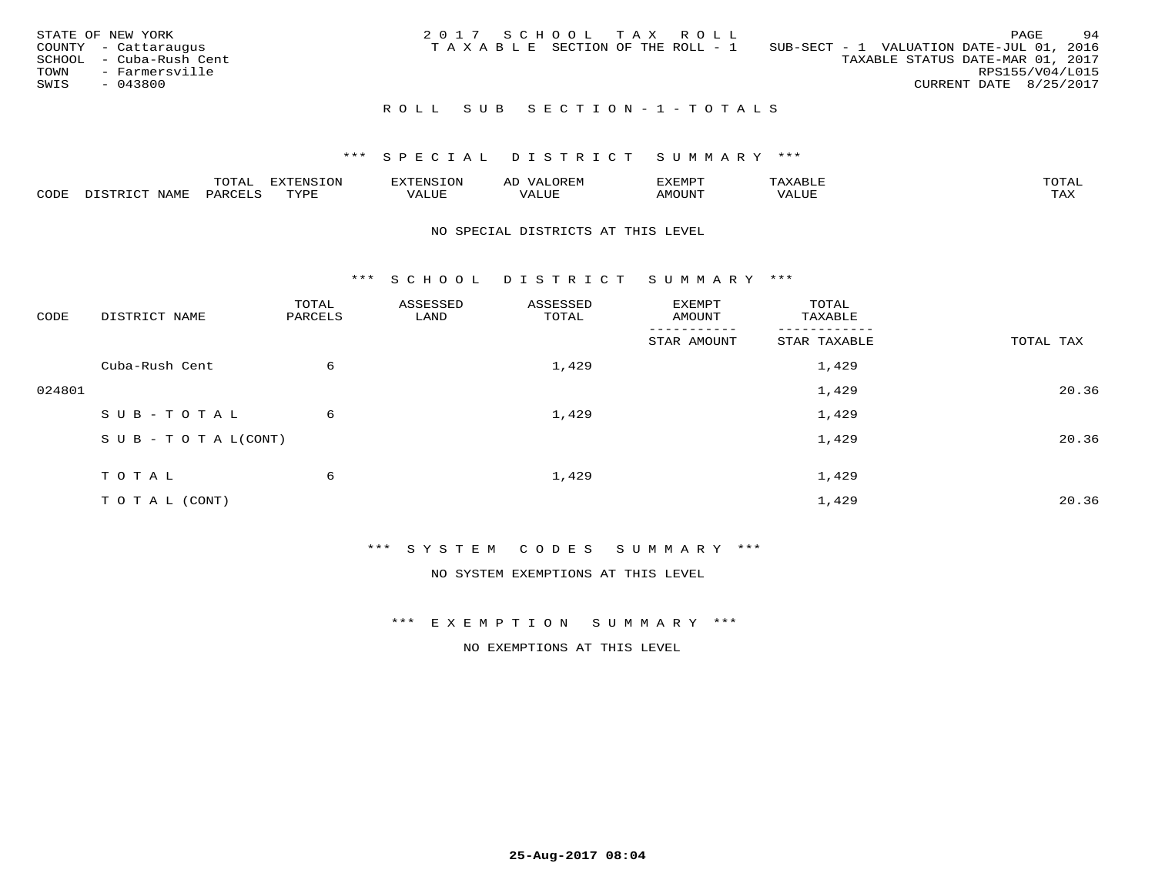| STATE OF NEW YORK<br>COUNTY - Cattaraugus<br>SCHOOL - Cuba-Rush Cent<br>TOWN<br>- Farmersville<br>SWIS<br>- 043800 | 2017 SCHOOL TAX ROLL<br>SUB-SECT - 1 VALUATION DATE-JUL 01, 2016<br>T A X A B L E SECTION OF THE ROLL - 1<br>TAXABLE STATUS DATE-MAR 01, 2017 | 94<br>PAGE<br>RPS155/V04/L015<br>CURRENT DATE 8/25/2017 |
|--------------------------------------------------------------------------------------------------------------------|-----------------------------------------------------------------------------------------------------------------------------------------------|---------------------------------------------------------|
|                                                                                                                    | ROLL SUB SECTION-1-TOTALS                                                                                                                     |                                                         |

## \*\*\* S P E C I A L D I S T R I C T S U M M A R Y \*\*\*

|      |             | $m \wedge m$<br>.UIAL |      |                                   | AL | יסאיז ציז |     | mom <sub>n</sub> |
|------|-------------|-----------------------|------|-----------------------------------|----|-----------|-----|------------------|
| CODE | <b>NAME</b> | PARCE <sup>-</sup>    | TVDI | $- - - -$<br>$T_{\rm m}$<br>'ALUE |    | MOUN.     | uur | ГAX              |

#### NO SPECIAL DISTRICTS AT THIS LEVEL

\*\*\* S C H O O L D I S T R I C T S U M M A R Y \*\*\*

| CODE   | DISTRICT NAME                    | TOTAL<br>PARCELS | ASSESSED<br>LAND | ASSESSED<br>TOTAL | EXEMPT<br>AMOUNT | TOTAL<br>TAXABLE |           |
|--------|----------------------------------|------------------|------------------|-------------------|------------------|------------------|-----------|
|        |                                  |                  |                  |                   | STAR AMOUNT      | STAR TAXABLE     | TOTAL TAX |
|        | Cuba-Rush Cent                   | 6                |                  | 1,429             |                  | 1,429            |           |
| 024801 |                                  |                  |                  |                   |                  | 1,429            | 20.36     |
|        | SUB-TOTAL                        | 6                |                  | 1,429             |                  | 1,429            |           |
|        | $S \cup B - T \cup T A L (CONT)$ |                  |                  |                   |                  | 1,429            | 20.36     |
|        | TOTAL                            | 6                |                  | 1,429             |                  | 1,429            |           |
|        | TO TAL (CONT)                    |                  |                  |                   |                  | 1,429            | 20.36     |

\*\*\* S Y S T E M C O D E S S U M M A R Y \*\*\*

NO SYSTEM EXEMPTIONS AT THIS LEVEL

\*\*\* E X E M P T I O N S U M M A R Y \*\*\*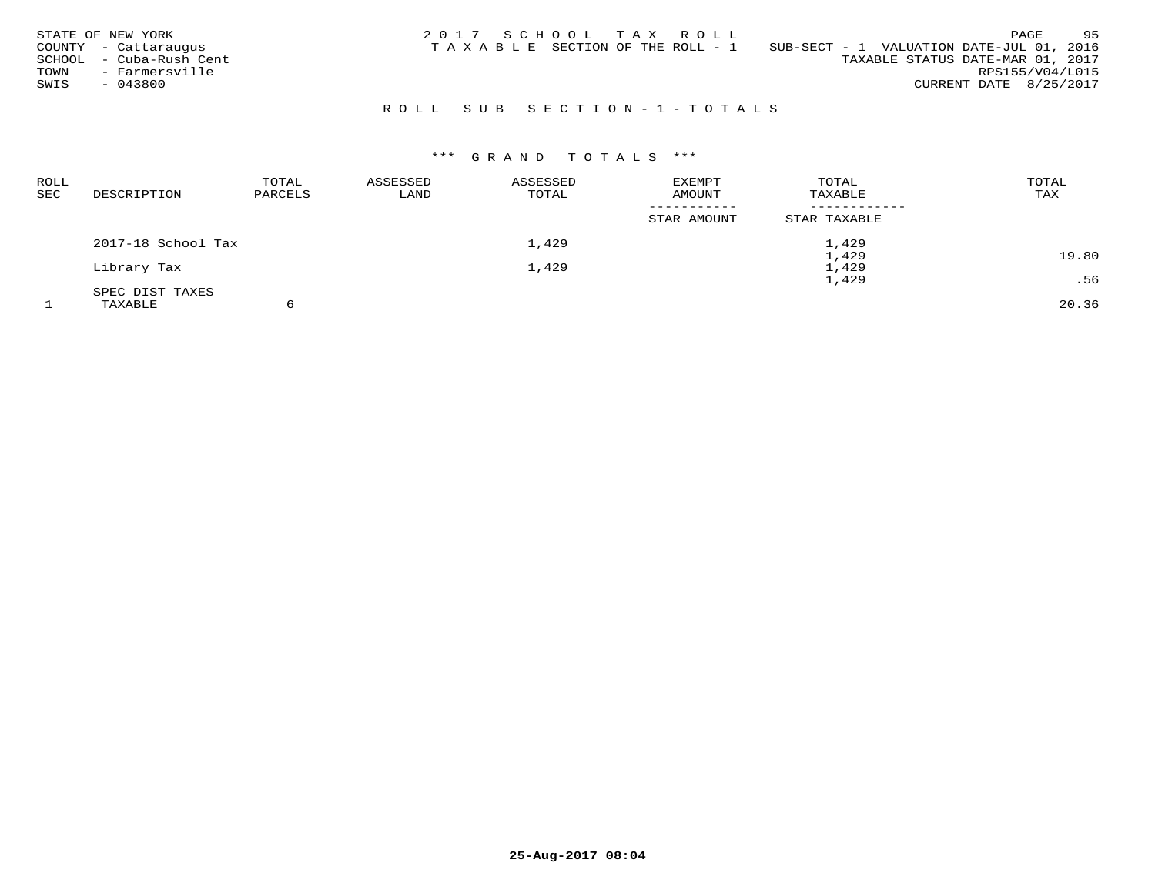| STATE OF NEW YORK<br>COUNTY - Cattaraugus<br>- Cuba-Rush Cent<br>SCHOOL<br>- Farmersville<br>TOWN<br>SWIS<br>$-043800$ | 2017 SCHOOL TAX ROLL<br>TAXABLE SECTION OF THE ROLL - 1 | 95<br>PAGE<br>SUB-SECT - 1 VALUATION DATE-JUL 01, 2016<br>TAXABLE STATUS DATE-MAR 01, 2017<br>RPS155/V04/L015<br>CURRENT DATE 8/25/2017 |
|------------------------------------------------------------------------------------------------------------------------|---------------------------------------------------------|-----------------------------------------------------------------------------------------------------------------------------------------|
|                                                                                                                        | ROLL SUB SECTION-1-TOTALS                               |                                                                                                                                         |

| ROLL<br>SEC | DESCRIPTION        | TOTAL<br>PARCELS | ASSESSED<br>LAND | ASSESSED<br>TOTAL | EXEMPT<br>AMOUNT | TOTAL<br>TAXABLE | TOTAL<br>TAX |
|-------------|--------------------|------------------|------------------|-------------------|------------------|------------------|--------------|
|             |                    |                  |                  |                   | STAR AMOUNT      | STAR TAXABLE     |              |
|             | 2017-18 School Tax |                  |                  | 1,429             |                  | 1,429            |              |
|             |                    |                  |                  |                   |                  | 1,429            | 19.80        |
|             | Library Tax        |                  |                  | 1,429             |                  | 1,429            |              |
|             |                    |                  |                  |                   |                  | 1,429            | .56          |
|             | SPEC DIST TAXES    |                  |                  |                   |                  |                  |              |
|             | TAXABLE            |                  |                  |                   |                  |                  | 20.36        |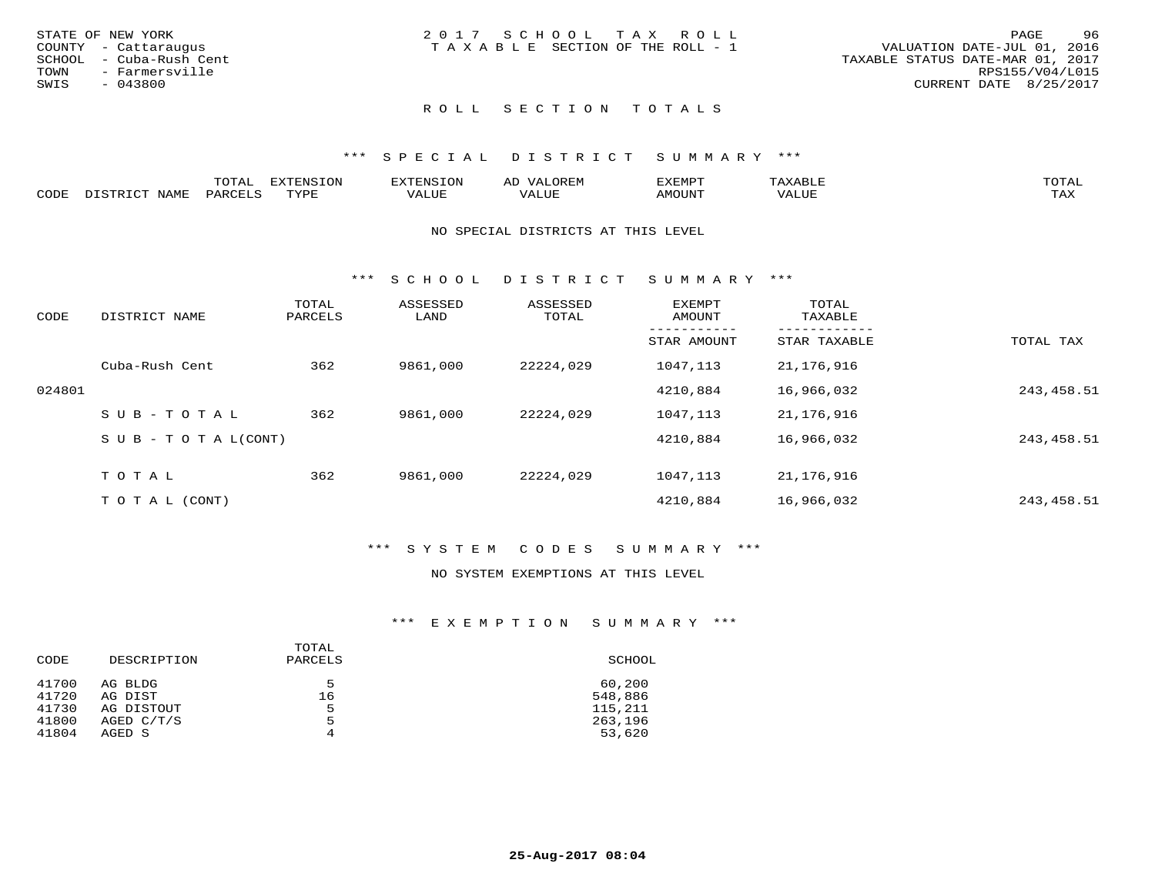| STATE OF NEW YORK       | 2017 SCHOOL TAX ROLL                  | 96<br>PAGE                       |
|-------------------------|---------------------------------------|----------------------------------|
| COUNTY - Cattaraugus    | T A X A B L E SECTION OF THE ROLL - 1 | VALUATION DATE-JUL 01, 2016      |
| SCHOOL - Cuba-Rush Cent |                                       | TAXABLE STATUS DATE-MAR 01, 2017 |
| TOWN<br>- Farmersville  |                                       | RPS155/V04/L015                  |
| SWIS<br>$-043800$       |                                       | CURRENT DATE 8/25/2017           |
|                         |                                       |                                  |

# ROLL SECTION TOTALS

## \*\*\* S P E C I A L D I S T R I C T S U M M A R Y \*\*\*

|      |      | momn:<br>UIAL | <b>EXTENSION</b> | <b>EXTENSION</b> | JOREM<br>سد | EXEMPT | XABLE<br>△ | $m \wedge m \wedge n$<br>UTAL |
|------|------|---------------|------------------|------------------|-------------|--------|------------|-------------------------------|
| CODE | NAME | PARCELS       | TVDF             | VALUE.           | VALUE       | AMOUNT | VALUE      | <b>TAY</b><br>⊥⇔∆             |

#### NO SPECIAL DISTRICTS AT THIS LEVEL

\*\*\* S C H O O L D I S T R I C T S U M M A R Y \*\*\*

| CODE   | DISTRICT NAME                    | TOTAL<br>PARCELS | ASSESSED<br>LAND | ASSESSED<br>TOTAL | <b>EXEMPT</b><br>AMOUNT | TOTAL<br>TAXABLE |            |
|--------|----------------------------------|------------------|------------------|-------------------|-------------------------|------------------|------------|
|        |                                  |                  |                  |                   | STAR AMOUNT             | STAR TAXABLE     | TOTAL TAX  |
|        | Cuba-Rush Cent                   | 362              | 9861,000         | 22224,029         | 1047,113                | 21,176,916       |            |
| 024801 |                                  |                  |                  |                   | 4210,884                | 16,966,032       | 243,458.51 |
|        | SUB-TOTAL                        | 362              | 9861,000         | 22224,029         | 1047,113                | 21,176,916       |            |
|        | $S \cup B - T \cup T A L (CONT)$ |                  |                  |                   | 4210,884                | 16,966,032       | 243,458.51 |
|        | TOTAL                            | 362              | 9861,000         | 22224,029         | 1047,113                | 21,176,916       |            |
|        | T O T A L (CONT)                 |                  |                  |                   | 4210,884                | 16,966,032       | 243,458.51 |

#### \*\*\* S Y S T E M C O D E S S U M M A R Y \*\*\*

#### NO SYSTEM EXEMPTIONS AT THIS LEVEL

## \*\*\* E X E M P T I O N S U M M A R Y \*\*\*

| DESCRIPTION | PARCELS | SCHOOL  |
|-------------|---------|---------|
| AG BLDG     | 5       | 60,200  |
| AG DIST     | 16      | 548,886 |
| AG DISTOUT  | 5       | 115,211 |
| AGED C/T/S  | 5       | 263,196 |
| AGED S      | 4       | 53,620  |
|             |         | TOTAL   |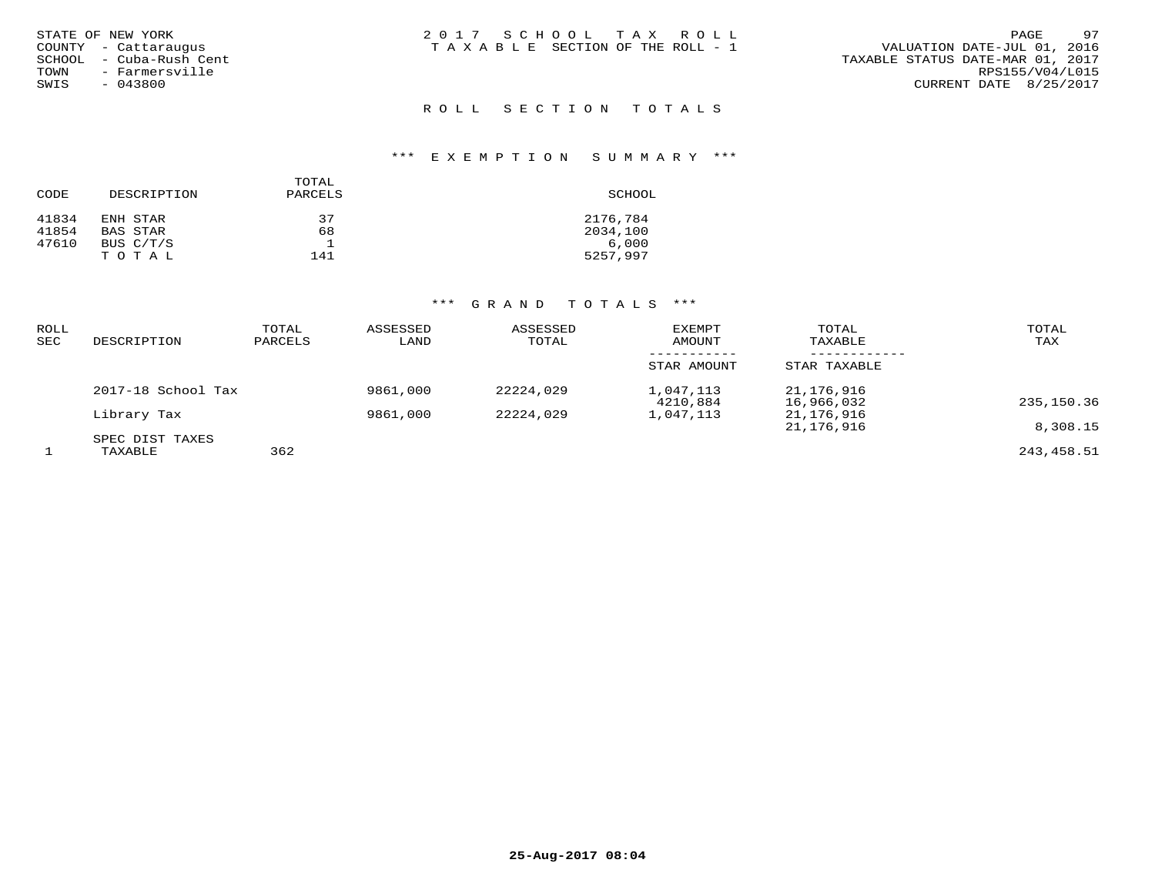| STATE OF NEW YORK |  |                  |  |
|-------------------|--|------------------|--|
| COUNTY            |  | - Cattaraugus    |  |
| SCHOOL            |  | - Cuba-Rush Cent |  |
| TOWN              |  | - Farmersville   |  |
| SWIS              |  | $-043800$        |  |

## ROLL SECTION TOTALS

#### \*\*\* E X E M P T I O N S U M M A R Y \*\*\*

|       |             | TOTAL   |          |
|-------|-------------|---------|----------|
| CODE  | DESCRIPTION | PARCELS | SCHOOL   |
| 41834 | ENH STAR    | 37      | 2176,784 |
| 41854 | BAS STAR    | 68      | 2034,100 |
| 47610 | BUS C/T/S   |         | 6,000    |
|       | TOTAL       | 141     | 5257,997 |

| <b>ROLL</b><br><b>SEC</b> | DESCRIPTION                | TOTAL<br>PARCELS | ASSESSED<br>LAND | ASSESSED<br>TOTAL | <b>EXEMPT</b><br>AMOUNT | TOTAL<br>TAXABLE         | TOTAL<br>TAX |
|---------------------------|----------------------------|------------------|------------------|-------------------|-------------------------|--------------------------|--------------|
|                           |                            |                  |                  |                   | STAR AMOUNT             | STAR TAXABLE             |              |
|                           | 2017-18 School Tax         |                  | 9861,000         | 22224,029         | 1,047,113<br>4210,884   | 21,176,916<br>16,966,032 | 235,150.36   |
|                           | Library Tax                |                  | 9861,000         | 22224,029         | 1,047,113               | 21,176,916<br>21,176,916 | 8,308.15     |
|                           | SPEC DIST TAXES<br>TAXABLE | 362              |                  |                   |                         |                          | 243,458.51   |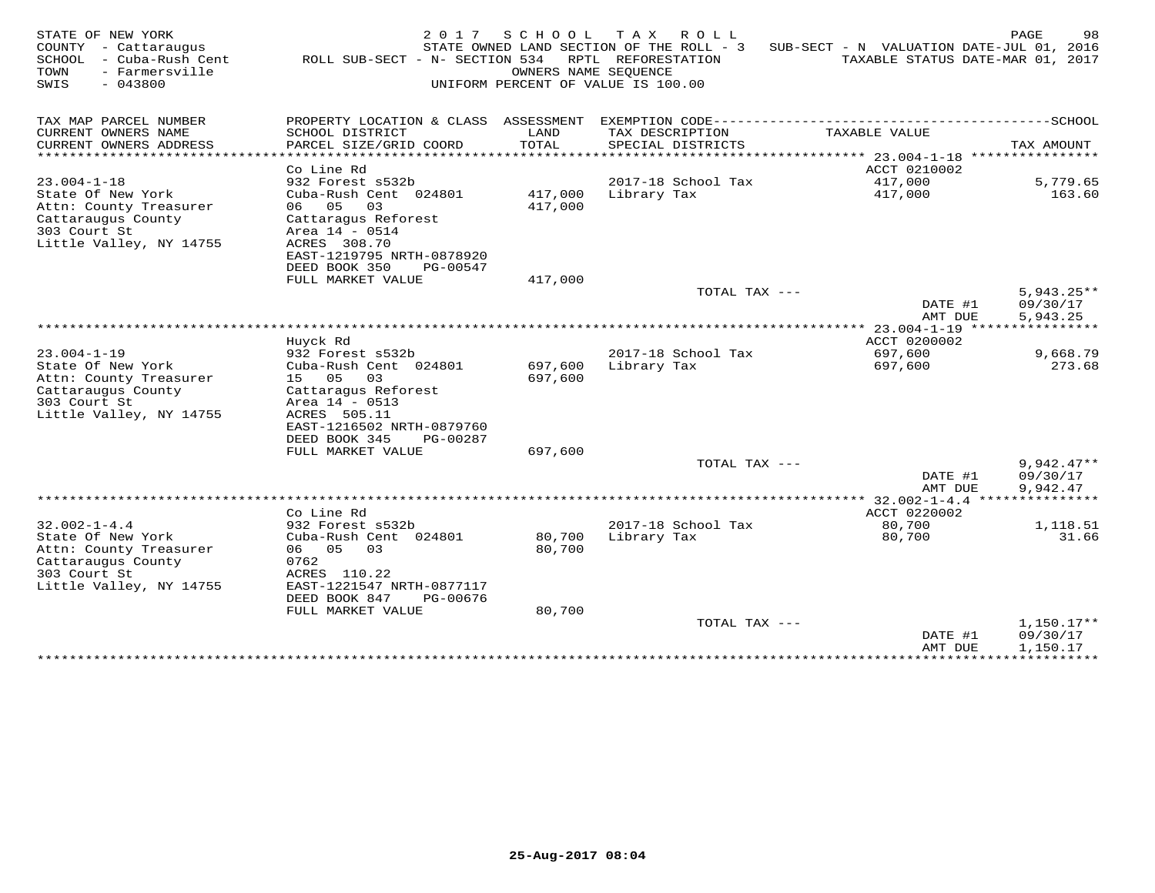| STATE OF NEW YORK<br>- Cattaraugus<br>COUNTY<br>SCHOOL<br>- Cuba-Rush Cent<br>- Farmersville<br>TOWN<br>$-043800$<br>SWIS | 2017<br>ROLL SUB-SECT - N- SECTION 534                 | SCHOOL             | T A X<br>R O L L<br>STATE OWNED LAND SECTION OF THE ROLL - 3<br>RPTL REFORESTATION<br>OWNERS NAME SEQUENCE<br>UNIFORM PERCENT OF VALUE IS 100.00 | SUB-SECT - N VALUATION DATE-JUL 01, 2016    | PAGE<br>98<br>TAXABLE STATUS DATE-MAR 01, 2017 |
|---------------------------------------------------------------------------------------------------------------------------|--------------------------------------------------------|--------------------|--------------------------------------------------------------------------------------------------------------------------------------------------|---------------------------------------------|------------------------------------------------|
| TAX MAP PARCEL NUMBER                                                                                                     | PROPERTY LOCATION & CLASS ASSESSMENT                   |                    | EXEMPTION CODE------------                                                                                                                       |                                             | $---SCHOOL$                                    |
| CURRENT OWNERS NAME                                                                                                       | SCHOOL DISTRICT                                        | LAND               | TAX DESCRIPTION                                                                                                                                  | TAXABLE VALUE                               |                                                |
| CURRENT OWNERS ADDRESS                                                                                                    | PARCEL SIZE/GRID COORD                                 | TOTAL              | SPECIAL DISTRICTS                                                                                                                                |                                             | TAX AMOUNT                                     |
| ********************                                                                                                      |                                                        | **********         |                                                                                                                                                  | ******************************* 23.004-1-18 | ****************                               |
|                                                                                                                           | Co Line Rd                                             |                    |                                                                                                                                                  | ACCT 0210002                                |                                                |
| $23.004 - 1 - 18$                                                                                                         | 932 Forest s532b                                       |                    | 2017-18 School Tax                                                                                                                               | 417,000                                     | 5,779.65                                       |
| State Of New York<br>Attn: County Treasurer                                                                               | Cuba-Rush Cent 024801<br>06<br>05<br>03                | 417,000<br>417,000 | Library Tax                                                                                                                                      | 417,000                                     | 163.60                                         |
| Cattaraugus County                                                                                                        | Cattaragus Reforest                                    |                    |                                                                                                                                                  |                                             |                                                |
| 303 Court St                                                                                                              | Area 14 - 0514                                         |                    |                                                                                                                                                  |                                             |                                                |
| Little Valley, NY 14755                                                                                                   | ACRES 308.70                                           |                    |                                                                                                                                                  |                                             |                                                |
|                                                                                                                           | EAST-1219795 NRTH-0878920                              |                    |                                                                                                                                                  |                                             |                                                |
|                                                                                                                           | DEED BOOK 350<br>PG-00547                              |                    |                                                                                                                                                  |                                             |                                                |
|                                                                                                                           | FULL MARKET VALUE                                      | 417,000            |                                                                                                                                                  |                                             |                                                |
|                                                                                                                           |                                                        |                    | TOTAL TAX ---                                                                                                                                    |                                             | $5,943.25**$                                   |
|                                                                                                                           |                                                        |                    |                                                                                                                                                  | DATE #1                                     | 09/30/17                                       |
|                                                                                                                           |                                                        |                    |                                                                                                                                                  | AMT DUE<br>$23.004 - 1 - 19$                | 5,943.25                                       |
|                                                                                                                           | Huyck Rd                                               |                    |                                                                                                                                                  | ACCT 0200002                                |                                                |
| $23.004 - 1 - 19$                                                                                                         | 932 Forest s532b                                       |                    | 2017-18 School Tax                                                                                                                               | 697,600                                     | 9,668.79                                       |
| State Of New York                                                                                                         | Cuba-Rush Cent 024801                                  | 697,600            | Library Tax                                                                                                                                      | 697,600                                     | 273.68                                         |
| Attn: County Treasurer                                                                                                    | 15 05<br>03                                            | 697,600            |                                                                                                                                                  |                                             |                                                |
| Cattaraugus County                                                                                                        | Cattaragus Reforest                                    |                    |                                                                                                                                                  |                                             |                                                |
| 303 Court St                                                                                                              | Area 14 - 0513                                         |                    |                                                                                                                                                  |                                             |                                                |
| Little Valley, NY 14755                                                                                                   | ACRES 505.11                                           |                    |                                                                                                                                                  |                                             |                                                |
|                                                                                                                           | EAST-1216502 NRTH-0879760                              |                    |                                                                                                                                                  |                                             |                                                |
|                                                                                                                           | DEED BOOK 345<br>PG-00287                              |                    |                                                                                                                                                  |                                             |                                                |
|                                                                                                                           | FULL MARKET VALUE                                      | 697,600            | TOTAL TAX ---                                                                                                                                    |                                             | $9,942.47**$                                   |
|                                                                                                                           |                                                        |                    |                                                                                                                                                  | DATE #1                                     | 09/30/17                                       |
|                                                                                                                           |                                                        |                    |                                                                                                                                                  | AMT DUE                                     | 9,942.47                                       |
| ***********************                                                                                                   |                                                        |                    |                                                                                                                                                  | $32.002 - 1 - 4.4$                          |                                                |
|                                                                                                                           | Co Line Rd                                             |                    |                                                                                                                                                  | ACCT 0220002                                |                                                |
| $32.002 - 1 - 4.4$                                                                                                        | 932 Forest s532b                                       |                    | 2017-18 School Tax                                                                                                                               | 80,700                                      | 1,118.51                                       |
| State Of New York                                                                                                         | Cuba-Rush Cent 024801                                  | 80,700             | Library Tax                                                                                                                                      | 80,700                                      | 31.66                                          |
| Attn: County Treasurer                                                                                                    | 06 05<br>03                                            | 80,700             |                                                                                                                                                  |                                             |                                                |
| Cattaraugus County                                                                                                        | 0762                                                   |                    |                                                                                                                                                  |                                             |                                                |
| 303 Court St                                                                                                              | ACRES 110.22                                           |                    |                                                                                                                                                  |                                             |                                                |
| Little Valley, NY 14755                                                                                                   | EAST-1221547 NRTH-0877117<br>DEED BOOK 847<br>PG-00676 |                    |                                                                                                                                                  |                                             |                                                |
|                                                                                                                           | FULL MARKET VALUE                                      | 80,700             |                                                                                                                                                  |                                             |                                                |
|                                                                                                                           |                                                        |                    | TOTAL TAX ---                                                                                                                                    |                                             | $1,150.17**$                                   |
|                                                                                                                           |                                                        |                    |                                                                                                                                                  | DATE #1                                     | 09/30/17                                       |
|                                                                                                                           |                                                        |                    |                                                                                                                                                  | AMT DUE                                     | 1,150.17                                       |
|                                                                                                                           |                                                        |                    |                                                                                                                                                  | * * * * * * * * * * * * * * *               | ***********                                    |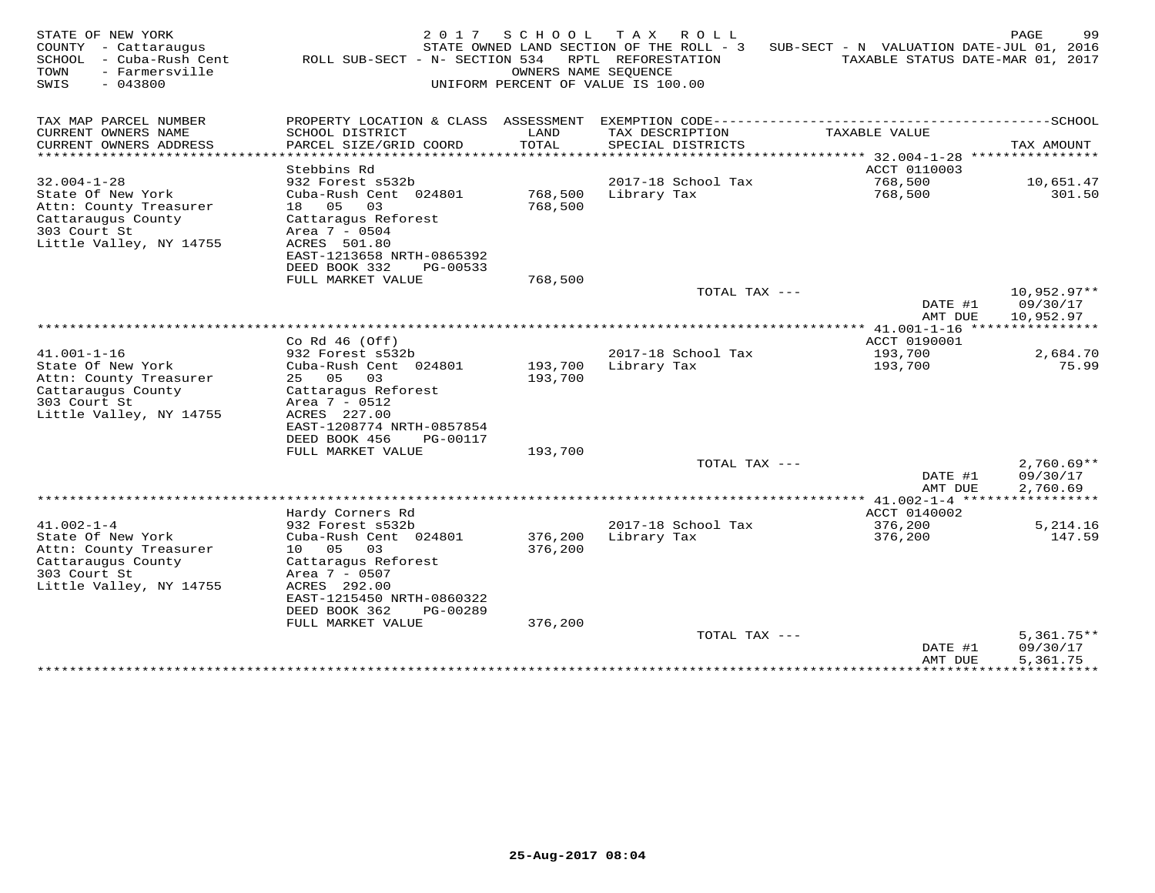| TAX MAP PARCEL NUMBER<br>--------SCHOOL<br>PROPERTY LOCATION & CLASS ASSESSMENT<br>EXEMPTION CODE----------------------------<br>CURRENT OWNERS NAME<br>SCHOOL DISTRICT<br>LAND<br>TAX DESCRIPTION<br>TAXABLE VALUE<br>PARCEL SIZE/GRID COORD<br>TOTAL<br>CURRENT OWNERS ADDRESS<br>SPECIAL DISTRICTS<br>TAX AMOUNT<br><b>++++++</b><br>****** 32.004-1-28<br>****************<br>Stebbins Rd<br>ACCT 0110003<br>$32.004 - 1 - 28$<br>932 Forest s532b<br>2017-18 School Tax<br>768,500<br>10,651.47<br>State Of New York<br>Cuba-Rush Cent 024801<br>301.50<br>768,500<br>Library Tax<br>768,500<br>Attn: County Treasurer<br>18 05<br>03<br>768,500<br>Cattaraugus County<br>Cattaragus Reforest<br>303 Court St<br>Area 7 - 0504<br>Little Valley, NY 14755<br>ACRES 501.80<br>EAST-1213658 NRTH-0865392<br>DEED BOOK 332<br>PG-00533<br>FULL MARKET VALUE<br>768,500<br>TOTAL TAX ---<br>$10,952.97**$<br>DATE #1<br>09/30/17<br>10,952.97<br>AMT DUE<br>************** 41.001-1-16 *****************<br>Co Rd $46$ (Off)<br>ACCT 0190001<br>$41.001 - 1 - 16$<br>932 Forest s532b<br>2017-18 School Tax<br>193,700<br>2,684.70<br>State Of New York<br>193,700<br>75.99<br>Cuba-Rush Cent 024801<br>Library Tax<br>193,700<br>25 05<br>Attn: County Treasurer<br>03<br>193,700<br>Cattaraugus County<br>Cattaragus Reforest<br>303 Court St<br>Area $7 - 0512$<br>Little Valley, NY 14755<br>ACRES 227.00<br>EAST-1208774 NRTH-0857854<br>DEED BOOK 456<br>PG-00117<br>FULL MARKET VALUE<br>193,700<br>$2,760.69**$<br>TOTAL TAX ---<br>DATE #1<br>09/30/17<br>AMT DUE<br>2,760.69<br>********** 41.002-1-4 ******<br>***********<br>ACCT 0140002<br>Hardy Corners Rd<br>$41.002 - 1 - 4$<br>2017-18 School Tax<br>932 Forest s532b<br>376,200<br>5,214.16<br>State Of New York<br>Library Tax<br>Cuba-Rush Cent 024801<br>376,200<br>376,200<br>147.59<br>Attn: County Treasurer<br>05<br>376,200<br>10<br>03<br>Cattaraugus County<br>Cattaraqus Reforest<br>303 Court St<br>Area 7 - 0507<br>Little Valley, NY 14755<br>ACRES 292.00<br>EAST-1215450 NRTH-0860322<br>DEED BOOK 362<br>PG-00289<br>FULL MARKET VALUE<br>376,200<br>$5,361.75**$<br>TOTAL TAX ---<br>DATE #1<br>09/30/17<br>5,361.75<br>AMT DUE | STATE OF NEW YORK<br>COUNTY<br>- Cattaraugus<br>SCHOOL<br>- Cuba-Rush Cent<br>- Farmersville<br>TOWN<br>$-043800$<br>SWIS | 2017<br>ROLL SUB-SECT - N- SECTION 534 | SCHOOL<br>OWNERS NAME SEOUENCE | T A X<br>ROLL<br>STATE OWNED LAND SECTION OF THE ROLL - 3<br>RPTL REFORESTATION<br>UNIFORM PERCENT OF VALUE IS 100.00 | SUB-SECT - N VALUATION DATE-JUL 01, 2016<br>TAXABLE STATUS DATE-MAR 01, 2017 | PAGE<br>99 |
|-----------------------------------------------------------------------------------------------------------------------------------------------------------------------------------------------------------------------------------------------------------------------------------------------------------------------------------------------------------------------------------------------------------------------------------------------------------------------------------------------------------------------------------------------------------------------------------------------------------------------------------------------------------------------------------------------------------------------------------------------------------------------------------------------------------------------------------------------------------------------------------------------------------------------------------------------------------------------------------------------------------------------------------------------------------------------------------------------------------------------------------------------------------------------------------------------------------------------------------------------------------------------------------------------------------------------------------------------------------------------------------------------------------------------------------------------------------------------------------------------------------------------------------------------------------------------------------------------------------------------------------------------------------------------------------------------------------------------------------------------------------------------------------------------------------------------------------------------------------------------------------------------------------------------------------------------------------------------------------------------------------------------------------------------------------------------------------------------------------------------------------------------------------------------------------------------------------------------|---------------------------------------------------------------------------------------------------------------------------|----------------------------------------|--------------------------------|-----------------------------------------------------------------------------------------------------------------------|------------------------------------------------------------------------------|------------|
|                                                                                                                                                                                                                                                                                                                                                                                                                                                                                                                                                                                                                                                                                                                                                                                                                                                                                                                                                                                                                                                                                                                                                                                                                                                                                                                                                                                                                                                                                                                                                                                                                                                                                                                                                                                                                                                                                                                                                                                                                                                                                                                                                                                                                       |                                                                                                                           |                                        |                                |                                                                                                                       |                                                                              |            |
|                                                                                                                                                                                                                                                                                                                                                                                                                                                                                                                                                                                                                                                                                                                                                                                                                                                                                                                                                                                                                                                                                                                                                                                                                                                                                                                                                                                                                                                                                                                                                                                                                                                                                                                                                                                                                                                                                                                                                                                                                                                                                                                                                                                                                       |                                                                                                                           |                                        |                                |                                                                                                                       |                                                                              |            |
|                                                                                                                                                                                                                                                                                                                                                                                                                                                                                                                                                                                                                                                                                                                                                                                                                                                                                                                                                                                                                                                                                                                                                                                                                                                                                                                                                                                                                                                                                                                                                                                                                                                                                                                                                                                                                                                                                                                                                                                                                                                                                                                                                                                                                       |                                                                                                                           |                                        |                                |                                                                                                                       |                                                                              |            |
|                                                                                                                                                                                                                                                                                                                                                                                                                                                                                                                                                                                                                                                                                                                                                                                                                                                                                                                                                                                                                                                                                                                                                                                                                                                                                                                                                                                                                                                                                                                                                                                                                                                                                                                                                                                                                                                                                                                                                                                                                                                                                                                                                                                                                       |                                                                                                                           |                                        |                                |                                                                                                                       |                                                                              |            |
|                                                                                                                                                                                                                                                                                                                                                                                                                                                                                                                                                                                                                                                                                                                                                                                                                                                                                                                                                                                                                                                                                                                                                                                                                                                                                                                                                                                                                                                                                                                                                                                                                                                                                                                                                                                                                                                                                                                                                                                                                                                                                                                                                                                                                       |                                                                                                                           |                                        |                                |                                                                                                                       |                                                                              |            |
|                                                                                                                                                                                                                                                                                                                                                                                                                                                                                                                                                                                                                                                                                                                                                                                                                                                                                                                                                                                                                                                                                                                                                                                                                                                                                                                                                                                                                                                                                                                                                                                                                                                                                                                                                                                                                                                                                                                                                                                                                                                                                                                                                                                                                       |                                                                                                                           |                                        |                                |                                                                                                                       |                                                                              |            |
|                                                                                                                                                                                                                                                                                                                                                                                                                                                                                                                                                                                                                                                                                                                                                                                                                                                                                                                                                                                                                                                                                                                                                                                                                                                                                                                                                                                                                                                                                                                                                                                                                                                                                                                                                                                                                                                                                                                                                                                                                                                                                                                                                                                                                       |                                                                                                                           |                                        |                                |                                                                                                                       |                                                                              |            |
|                                                                                                                                                                                                                                                                                                                                                                                                                                                                                                                                                                                                                                                                                                                                                                                                                                                                                                                                                                                                                                                                                                                                                                                                                                                                                                                                                                                                                                                                                                                                                                                                                                                                                                                                                                                                                                                                                                                                                                                                                                                                                                                                                                                                                       |                                                                                                                           |                                        |                                |                                                                                                                       |                                                                              |            |
|                                                                                                                                                                                                                                                                                                                                                                                                                                                                                                                                                                                                                                                                                                                                                                                                                                                                                                                                                                                                                                                                                                                                                                                                                                                                                                                                                                                                                                                                                                                                                                                                                                                                                                                                                                                                                                                                                                                                                                                                                                                                                                                                                                                                                       |                                                                                                                           |                                        |                                |                                                                                                                       |                                                                              |            |
|                                                                                                                                                                                                                                                                                                                                                                                                                                                                                                                                                                                                                                                                                                                                                                                                                                                                                                                                                                                                                                                                                                                                                                                                                                                                                                                                                                                                                                                                                                                                                                                                                                                                                                                                                                                                                                                                                                                                                                                                                                                                                                                                                                                                                       |                                                                                                                           |                                        |                                |                                                                                                                       |                                                                              |            |
|                                                                                                                                                                                                                                                                                                                                                                                                                                                                                                                                                                                                                                                                                                                                                                                                                                                                                                                                                                                                                                                                                                                                                                                                                                                                                                                                                                                                                                                                                                                                                                                                                                                                                                                                                                                                                                                                                                                                                                                                                                                                                                                                                                                                                       |                                                                                                                           |                                        |                                |                                                                                                                       |                                                                              |            |
|                                                                                                                                                                                                                                                                                                                                                                                                                                                                                                                                                                                                                                                                                                                                                                                                                                                                                                                                                                                                                                                                                                                                                                                                                                                                                                                                                                                                                                                                                                                                                                                                                                                                                                                                                                                                                                                                                                                                                                                                                                                                                                                                                                                                                       |                                                                                                                           |                                        |                                |                                                                                                                       |                                                                              |            |
|                                                                                                                                                                                                                                                                                                                                                                                                                                                                                                                                                                                                                                                                                                                                                                                                                                                                                                                                                                                                                                                                                                                                                                                                                                                                                                                                                                                                                                                                                                                                                                                                                                                                                                                                                                                                                                                                                                                                                                                                                                                                                                                                                                                                                       |                                                                                                                           |                                        |                                |                                                                                                                       |                                                                              |            |
|                                                                                                                                                                                                                                                                                                                                                                                                                                                                                                                                                                                                                                                                                                                                                                                                                                                                                                                                                                                                                                                                                                                                                                                                                                                                                                                                                                                                                                                                                                                                                                                                                                                                                                                                                                                                                                                                                                                                                                                                                                                                                                                                                                                                                       |                                                                                                                           |                                        |                                |                                                                                                                       |                                                                              |            |
|                                                                                                                                                                                                                                                                                                                                                                                                                                                                                                                                                                                                                                                                                                                                                                                                                                                                                                                                                                                                                                                                                                                                                                                                                                                                                                                                                                                                                                                                                                                                                                                                                                                                                                                                                                                                                                                                                                                                                                                                                                                                                                                                                                                                                       |                                                                                                                           |                                        |                                |                                                                                                                       |                                                                              |            |
| ***********<br>**********                                                                                                                                                                                                                                                                                                                                                                                                                                                                                                                                                                                                                                                                                                                                                                                                                                                                                                                                                                                                                                                                                                                                                                                                                                                                                                                                                                                                                                                                                                                                                                                                                                                                                                                                                                                                                                                                                                                                                                                                                                                                                                                                                                                             |                                                                                                                           |                                        |                                |                                                                                                                       |                                                                              |            |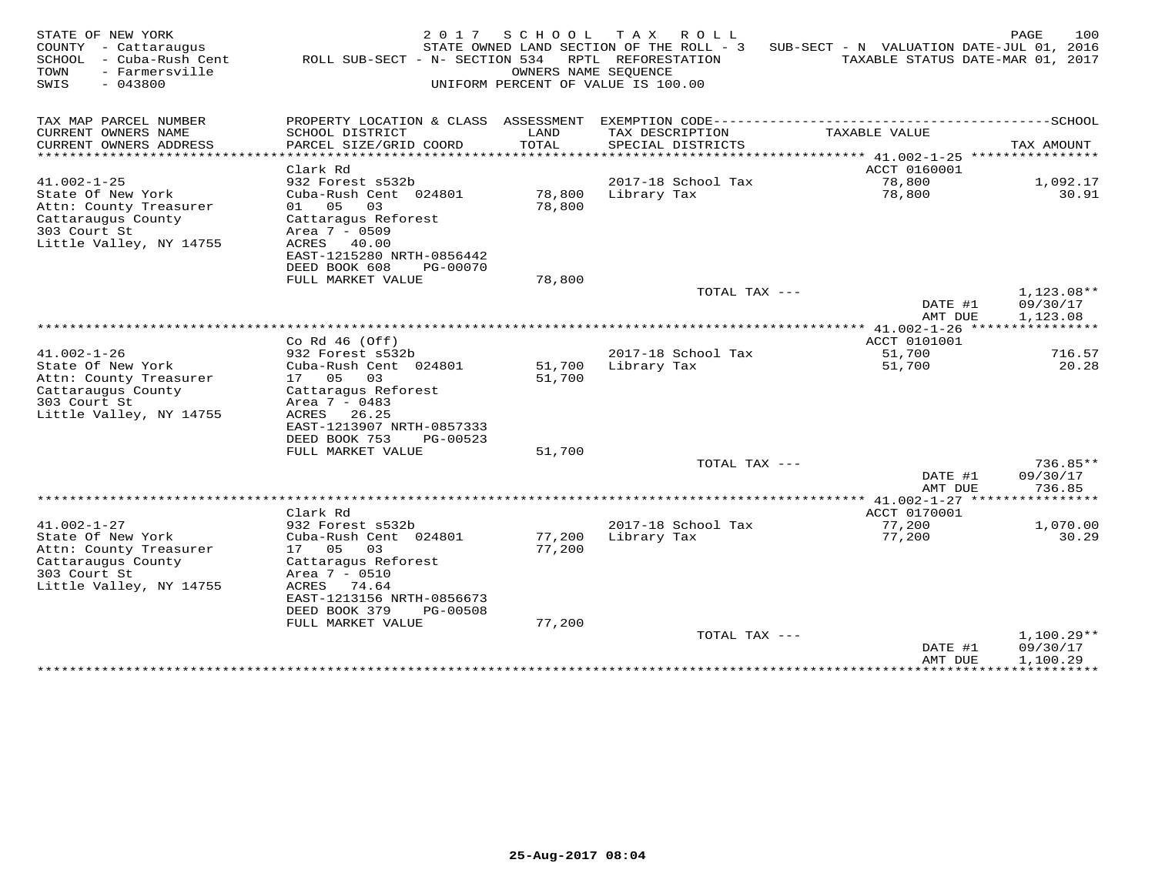| STATE OF NEW YORK<br>COUNTY - Cattaraugus<br>- Cuba-Rush Cent<br>SCHOOL<br>TOWN<br>- Farmersville<br>SWIS<br>$-043800$            | 2 0 1 7<br>ROLL SUB-SECT - N- SECTION 534                                                                                                                                             | SCHOOL<br>OWNERS NAME SEOUENCE | T A X<br>R O L L<br>STATE OWNED LAND SECTION OF THE ROLL - 3<br>RPTL REFORESTATION<br>UNIFORM PERCENT OF VALUE IS 100.00 | SUB-SECT - N VALUATION DATE-JUL 01, 2016 | 100<br>PAGE<br>TAXABLE STATUS DATE-MAR 01, 2017 |
|-----------------------------------------------------------------------------------------------------------------------------------|---------------------------------------------------------------------------------------------------------------------------------------------------------------------------------------|--------------------------------|--------------------------------------------------------------------------------------------------------------------------|------------------------------------------|-------------------------------------------------|
| TAX MAP PARCEL NUMBER<br>CURRENT OWNERS NAME<br>CURRENT OWNERS ADDRESS                                                            | PROPERTY LOCATION & CLASS ASSESSMENT<br>SCHOOL DISTRICT<br>PARCEL SIZE/GRID COORD                                                                                                     | LAND<br>TOTAL                  | TAX DESCRIPTION<br>SPECIAL DISTRICTS                                                                                     | TAXABLE VALUE                            | TAX AMOUNT                                      |
|                                                                                                                                   | Clark Rd                                                                                                                                                                              | * * * * * *                    |                                                                                                                          | ****** 41.002-1-25<br>ACCT 0160001       |                                                 |
| $41.002 - 1 - 25$                                                                                                                 | 932 Forest s532b                                                                                                                                                                      |                                | 2017-18 School Tax                                                                                                       | 78,800                                   | 1,092.17                                        |
| State Of New York<br>Attn: County Treasurer<br>Cattaraugus County<br>303 Court St<br>Little Valley, NY 14755                      | Cuba-Rush Cent 024801<br>01 05<br>03<br>Cattaragus Reforest<br>Area 7 - 0509<br>ACRES 40.00<br>EAST-1215280 NRTH-0856442<br>DEED BOOK 608<br>PG-00070                                 | 78,800<br>78,800               | Library Tax                                                                                                              | 78,800                                   | 30.91                                           |
|                                                                                                                                   | FULL MARKET VALUE                                                                                                                                                                     | 78,800                         |                                                                                                                          |                                          |                                                 |
|                                                                                                                                   |                                                                                                                                                                                       |                                | TOTAL TAX ---                                                                                                            | DATE #1<br>AMT DUE                       | 1,123.08**<br>09/30/17<br>1,123.08              |
|                                                                                                                                   |                                                                                                                                                                                       |                                |                                                                                                                          |                                          |                                                 |
| $41.002 - 1 - 26$                                                                                                                 | Co Rd $46$ (Off)<br>932 Forest s532b                                                                                                                                                  |                                | 2017-18 School Tax                                                                                                       | ACCT 0101001<br>51,700                   | 716.57                                          |
| State Of New York<br>Attn: County Treasurer<br>Cattaraugus County<br>303 Court St<br>Little Valley, NY 14755                      | Cuba-Rush Cent 024801<br>17 05<br>03<br>Cattaragus Reforest<br>Area 7 - 0483<br>ACRES 26.25<br>EAST-1213907 NRTH-0857333<br>DEED BOOK 753<br>PG-00523                                 | 51,700<br>51,700               | Library Tax                                                                                                              | 51,700                                   | 20.28                                           |
|                                                                                                                                   | FULL MARKET VALUE                                                                                                                                                                     | 51,700                         |                                                                                                                          |                                          |                                                 |
|                                                                                                                                   |                                                                                                                                                                                       |                                | TOTAL TAX ---                                                                                                            | DATE #1<br>AMT DUE                       | 736.85**<br>09/30/17<br>736.85                  |
|                                                                                                                                   |                                                                                                                                                                                       |                                |                                                                                                                          | ************* 41.002-1-27 ******         | * * * * * * * * *                               |
| $41.002 - 1 - 27$<br>State Of New York<br>Attn: County Treasurer<br>Cattaraugus County<br>303 Court St<br>Little Valley, NY 14755 | Clark Rd<br>932 Forest s532b<br>Cuba-Rush Cent 024801<br>17 05<br>03<br>Cattaragus Reforest<br>Area 7 - 0510<br>ACRES 74.64<br>EAST-1213156 NRTH-0856673<br>DEED BOOK 379<br>PG-00508 | 77,200<br>77,200               | 2017-18 School Tax<br>Library Tax                                                                                        | ACCT 0170001<br>77,200<br>77,200         | 1,070.00<br>30.29                               |
|                                                                                                                                   | FULL MARKET VALUE                                                                                                                                                                     | 77,200                         | TOTAL TAX ---                                                                                                            |                                          | $1,100.29**$                                    |
|                                                                                                                                   |                                                                                                                                                                                       |                                |                                                                                                                          | DATE #1<br>AMT DUE<br>**************     | 09/30/17<br>1,100.29<br>**********              |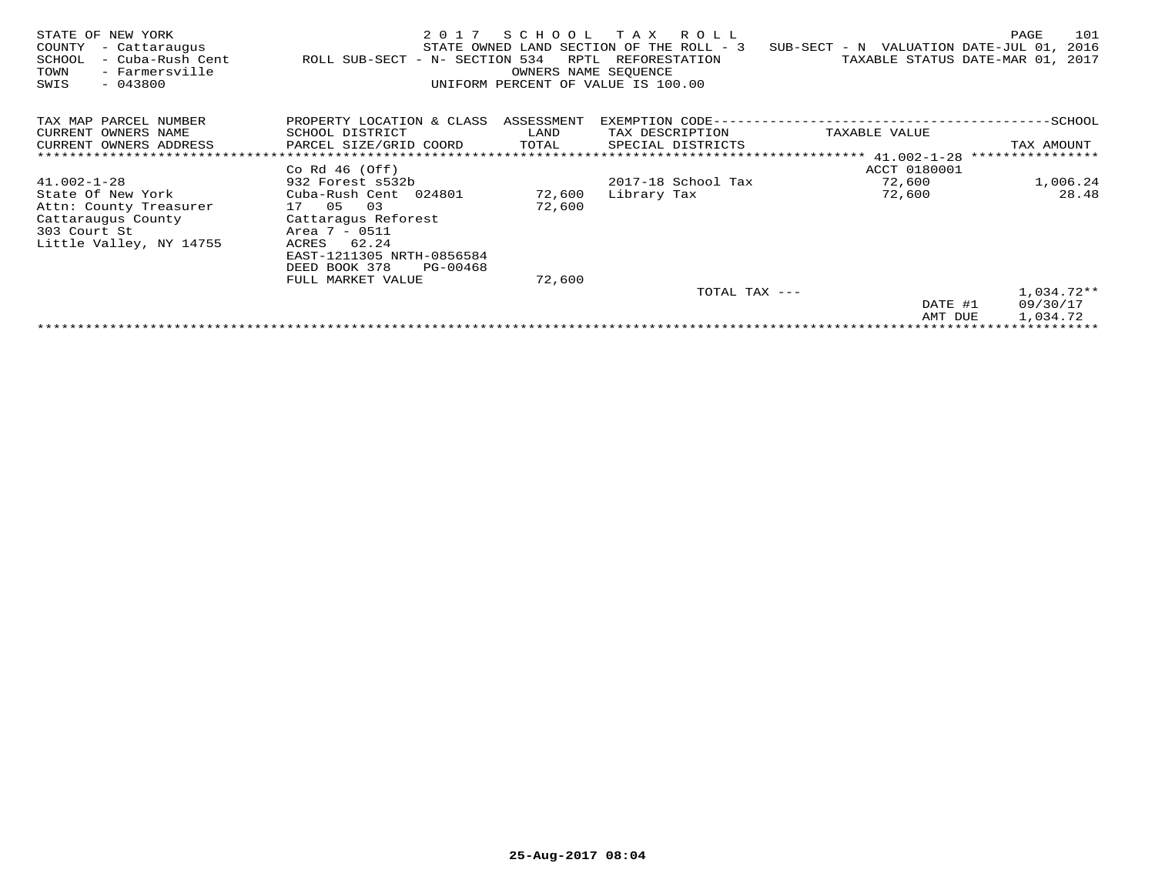| STATE OF NEW YORK<br>COUNTY<br>- Cattaraugus<br>- Cuba-Rush Cent<br>SCHOOL<br>- Farmersville<br>TOWN<br>$-043800$<br>SWIS | 2017<br>ROLL SUB-SECT - N- SECTION 534 | SCHOOL<br>RPTL<br>OWNERS NAME SEOUENCE | T A X<br>R O L L<br>STATE OWNED LAND SECTION OF THE ROLL - 3<br>REFORESTATION<br>UNIFORM PERCENT OF VALUE IS 100.00 | SUB-SECT - N VALUATION DATE-JUL 01, | PAGE<br>101<br>2016<br>TAXABLE STATUS DATE-MAR 01, 2017 |
|---------------------------------------------------------------------------------------------------------------------------|----------------------------------------|----------------------------------------|---------------------------------------------------------------------------------------------------------------------|-------------------------------------|---------------------------------------------------------|
| TAX MAP PARCEL NUMBER                                                                                                     | PROPERTY LOCATION & CLASS ASSESSMENT   |                                        | EXEMPTION CODE--                                                                                                    |                                     | $-$ SCHOOL                                              |
| CURRENT OWNERS NAME                                                                                                       | SCHOOL DISTRICT                        | LAND                                   | TAX DESCRIPTION                                                                                                     | TAXABLE VALUE                       |                                                         |
| CURRENT OWNERS ADDRESS                                                                                                    | PARCEL SIZE/GRID COORD                 | TOTAL                                  | SPECIAL DISTRICTS                                                                                                   |                                     | TAX AMOUNT                                              |
|                                                                                                                           |                                        |                                        |                                                                                                                     | ***************** 41.002-1-28       | ****************                                        |
|                                                                                                                           | Co Rd $46$ (Off)                       |                                        |                                                                                                                     | ACCT 0180001                        |                                                         |
| $41.002 - 1 - 28$                                                                                                         | 932 Forest s532b                       |                                        | 2017-18 School Tax                                                                                                  | 72,600                              | 1,006.24                                                |
| State Of New York                                                                                                         | Cuba-Rush Cent 024801                  | 72,600                                 | Library Tax                                                                                                         | 72,600                              | 28.48                                                   |
| Attn: County Treasurer                                                                                                    | 03<br>17 05                            | 72,600                                 |                                                                                                                     |                                     |                                                         |
| Cattaraugus County                                                                                                        | Cattaragus Reforest                    |                                        |                                                                                                                     |                                     |                                                         |
| 303 Court St                                                                                                              | Area 7 - 0511                          |                                        |                                                                                                                     |                                     |                                                         |
| Little Valley, NY 14755                                                                                                   | 62.24<br>ACRES                         |                                        |                                                                                                                     |                                     |                                                         |
|                                                                                                                           | EAST-1211305 NRTH-0856584              |                                        |                                                                                                                     |                                     |                                                         |
|                                                                                                                           | DEED BOOK 378<br>PG-00468              |                                        |                                                                                                                     |                                     |                                                         |
|                                                                                                                           | FULL MARKET VALUE                      | 72,600                                 |                                                                                                                     |                                     |                                                         |
|                                                                                                                           |                                        |                                        | TOTAL TAX ---                                                                                                       |                                     | $1,034.72**$                                            |
|                                                                                                                           |                                        |                                        |                                                                                                                     | DATE #1                             | 09/30/17                                                |
|                                                                                                                           |                                        |                                        |                                                                                                                     | AMT DUE                             | 1,034.72                                                |
|                                                                                                                           |                                        |                                        |                                                                                                                     |                                     | ********************************                        |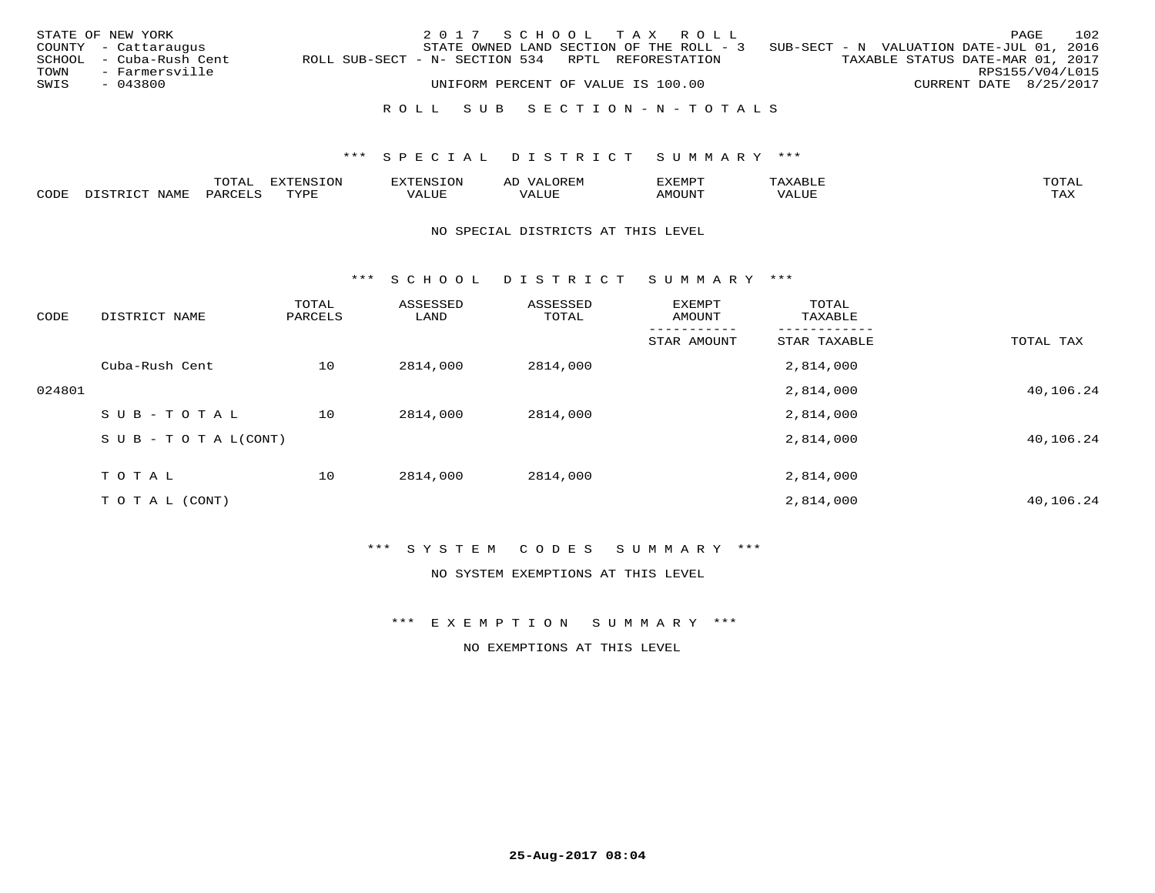|      | STATE OF NEW YORK       |                                                   | 2017 SCHOOL TAX ROLL                     |  |  |                                          |                        | PAGE | 102 |
|------|-------------------------|---------------------------------------------------|------------------------------------------|--|--|------------------------------------------|------------------------|------|-----|
|      | COUNTY - Cattaraugus    |                                                   | STATE OWNED LAND SECTION OF THE ROLL - 3 |  |  | SUB-SECT - N VALUATION DATE-JUL 01, 2016 |                        |      |     |
|      | SCHOOL - Cuba-Rush Cent | ROLL SUB-SECT - N- SECTION 534 RPTL REFORESTATION |                                          |  |  | TAXABLE STATUS DATE-MAR 01, 2017         |                        |      |     |
| TOWN | - Farmersville          |                                                   |                                          |  |  |                                          | RPS155/V04/L015        |      |     |
| SWIS | - 043800                |                                                   | UNIFORM PERCENT OF VALUE IS 100.00       |  |  |                                          | CURRENT DATE 8/25/2017 |      |     |
|      |                         |                                                   |                                          |  |  |                                          |                        |      |     |

## R O L L S U B S E C T I O N - N - T O T A L S

## \*\*\* S P E C I A L D I S T R I C T S U M M A R Y \*\*\*

|      |      | $n \wedge m \wedge n$ | .OP             | <b>FNC</b> | AL'              | ے ا  |       | $m \wedge m \wedge n$ |
|------|------|-----------------------|-----------------|------------|------------------|------|-------|-----------------------|
| CODE | NAMF | 44R <sub>1</sub>      | $m \tau \tau n$ | $- - - -$  | $\cdots$<br>ALUP | OUN. | VALUE | $- - - -$<br>. ris    |

#### NO SPECIAL DISTRICTS AT THIS LEVEL

\*\*\* S C H O O L D I S T R I C T S U M M A R Y \*\*\*

| CODE   | DISTRICT NAME                    | TOTAL<br>PARCELS | ASSESSED<br>LAND | ASSESSED<br>TOTAL | EXEMPT<br>AMOUNT | TOTAL<br>TAXABLE |           |
|--------|----------------------------------|------------------|------------------|-------------------|------------------|------------------|-----------|
|        |                                  |                  |                  |                   | STAR AMOUNT      | STAR TAXABLE     | TOTAL TAX |
|        | Cuba-Rush Cent                   | 10               | 2814,000         | 2814,000          |                  | 2,814,000        |           |
| 024801 |                                  |                  |                  |                   |                  | 2,814,000        | 40,106.24 |
|        | SUB-TOTAL                        | 10               | 2814,000         | 2814,000          |                  | 2,814,000        |           |
|        | $S \cup B - T \cup T A L (CONT)$ |                  |                  |                   |                  | 2,814,000        | 40,106.24 |
|        | TOTAL                            | 10               | 2814,000         | 2814,000          |                  | 2,814,000        |           |
|        | T O T A L (CONT)                 |                  |                  |                   |                  | 2,814,000        | 40,106.24 |

## \*\*\* S Y S T E M C O D E S S U M M A R Y \*\*\*

NO SYSTEM EXEMPTIONS AT THIS LEVEL

\*\*\* E X E M P T I O N S U M M A R Y \*\*\*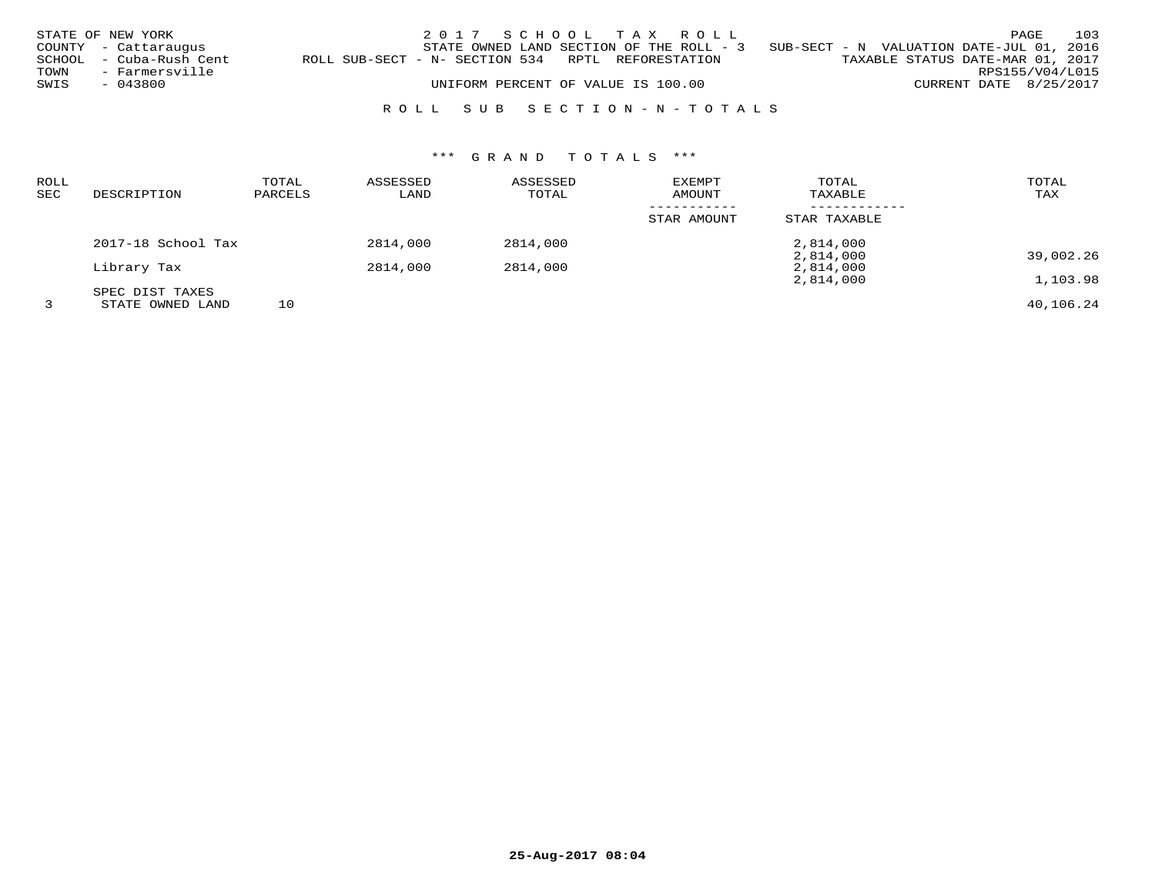| STATE OF NEW YORK       |                |                                                   | 2017 SCHOOL TAX ROLL                     |  |                                          |                                  |                        | PAGE | 103 |
|-------------------------|----------------|---------------------------------------------------|------------------------------------------|--|------------------------------------------|----------------------------------|------------------------|------|-----|
| COUNTY - Cattaraugus    |                |                                                   | STATE OWNED LAND SECTION OF THE ROLL - 3 |  | SUB-SECT - N VALUATION DATE-JUL 01, 2016 |                                  |                        |      |     |
| SCHOOL - Cuba-Rush Cent |                | ROLL SUB-SECT - N- SECTION 534 RPTL REFORESTATION |                                          |  |                                          | TAXABLE STATUS DATE-MAR 01, 2017 |                        |      |     |
| TOWN                    | - Farmersville |                                                   |                                          |  |                                          |                                  | RPS155/V04/L015        |      |     |
| - 043800<br>SWIS        |                |                                                   | UNIFORM PERCENT OF VALUE IS 100.00       |  |                                          |                                  | CURRENT DATE 8/25/2017 |      |     |

## R O L L S U B S E C T I O N - N - T O T A L S

# \*\*\* G R A N D T O T A L S \*\*\*

| <b>ROLL</b><br>SEC | DESCRIPTION        | TOTAL<br>PARCELS | ASSESSED<br>LAND | ASSESSED<br>TOTAL | EXEMPT<br>AMOUNT | TOTAL<br>TAXABLE       | TOTAL<br>TAX |
|--------------------|--------------------|------------------|------------------|-------------------|------------------|------------------------|--------------|
|                    |                    |                  |                  |                   | STAR AMOUNT      | STAR TAXABLE           |              |
|                    | 2017-18 School Tax |                  | 2814,000         | 2814,000          |                  | 2,814,000              |              |
|                    | Library Tax        |                  | 2814,000         | 2814,000          |                  | 2,814,000<br>2,814,000 | 39,002.26    |
|                    |                    |                  |                  |                   |                  | 2,814,000              | 1,103.98     |
|                    | SPEC DIST TAXES    |                  |                  |                   |                  |                        |              |
|                    | STATE OWNED LAND   | 10               |                  |                   |                  |                        | 40,106.24    |

**25-Aug-2017 08:04**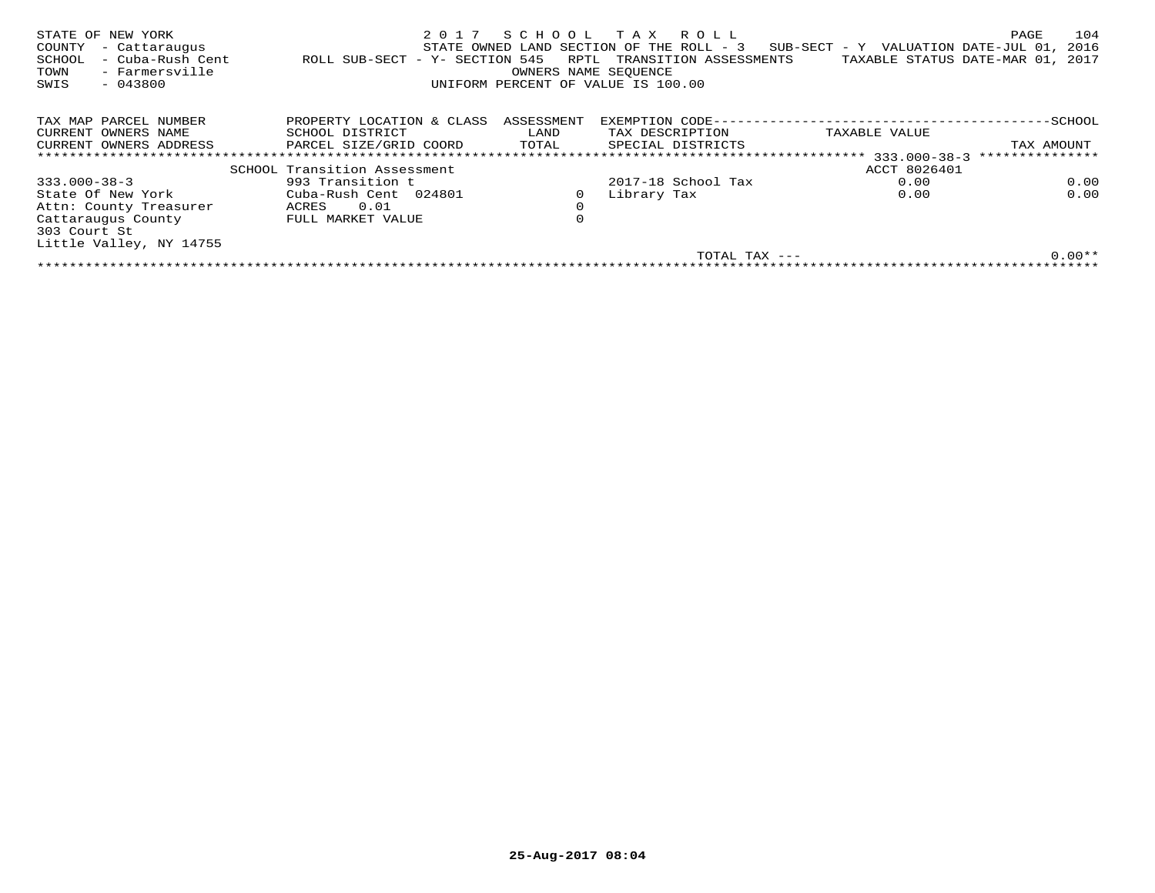| STATE OF NEW YORK<br>COUNTY<br>- Cattaraugus<br>- Cuba-Rush Cent<br>SCHOOL<br>- Farmersville<br>TOWN<br>$-043800$<br>SWIS | 2017<br>ROLL SUB-SECT - Y- SECTION 545 | RPTL<br>OWNERS NAME SEOUENCE | SCHOOL TAX ROLL<br>STATE OWNED LAND SECTION OF THE ROLL - 3<br>TRANSITION ASSESSMENTS<br>UNIFORM PERCENT OF VALUE IS 100.00 | $SUB-SECTION - Y$ VALUATION DATE-JUL 01,<br>TAXABLE STATUS DATE-MAR 01, | 104<br>PAGE<br>2016<br>2017 |
|---------------------------------------------------------------------------------------------------------------------------|----------------------------------------|------------------------------|-----------------------------------------------------------------------------------------------------------------------------|-------------------------------------------------------------------------|-----------------------------|
| TAX MAP PARCEL NUMBER                                                                                                     | PROPERTY LOCATION & CLASS              | ASSESSMENT                   | EXEMPTION CODE--                                                                                                            |                                                                         | -SCHOOL                     |
| CURRENT OWNERS NAME                                                                                                       | SCHOOL DISTRICT                        | LAND                         | TAX DESCRIPTION                                                                                                             | TAXABLE VALUE                                                           |                             |
| CURRENT OWNERS ADDRESS                                                                                                    | PARCEL SIZE/GRID COORD                 | TOTAL                        | SPECIAL DISTRICTS                                                                                                           |                                                                         | TAX AMOUNT                  |
|                                                                                                                           |                                        |                              |                                                                                                                             |                                                                         | ***************             |
|                                                                                                                           | SCHOOL Transition Assessment           |                              |                                                                                                                             | ACCT 8026401                                                            |                             |
| $333.000 - 38 - 3$                                                                                                        | 993 Transition t                       |                              | 2017-18 School Tax                                                                                                          | 0.00                                                                    | 0.00                        |
| State Of New York                                                                                                         | Cuba-Rush Cent 024801                  |                              | Library Tax                                                                                                                 | 0.00                                                                    | 0.00                        |
| Attn: County Treasurer                                                                                                    | 0.01<br>ACRES                          | $\mathbf 0$                  |                                                                                                                             |                                                                         |                             |
| Cattaraugus County                                                                                                        | FULL MARKET VALUE                      | 0                            |                                                                                                                             |                                                                         |                             |
| 303 Court St                                                                                                              |                                        |                              |                                                                                                                             |                                                                         |                             |
| Little Valley, NY 14755                                                                                                   |                                        |                              |                                                                                                                             |                                                                         |                             |
|                                                                                                                           |                                        |                              | TOTAL TAX ---                                                                                                               |                                                                         | $0.00**$                    |
|                                                                                                                           |                                        |                              |                                                                                                                             |                                                                         |                             |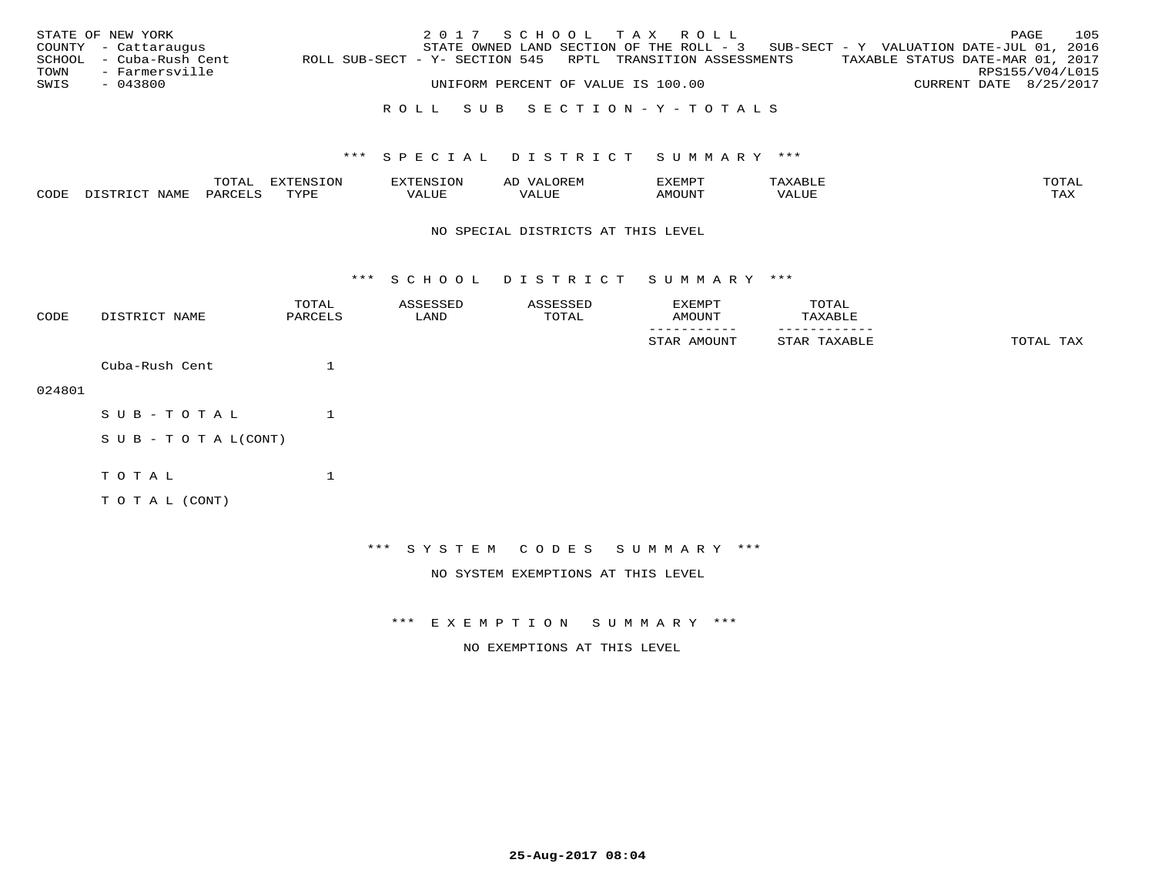|      | STATE OF NEW YORK       |                                                            |  |  |                                    | 2017 SCHOOL TAX ROLL |                                                                                   |                                  |                        | PAGE | 105 |
|------|-------------------------|------------------------------------------------------------|--|--|------------------------------------|----------------------|-----------------------------------------------------------------------------------|----------------------------------|------------------------|------|-----|
|      | COUNTY - Cattaraugus    |                                                            |  |  |                                    |                      | STATE OWNED LAND SECTION OF THE ROLL - 3 SUB-SECT - Y VALUATION DATE-JUL 01, 2016 |                                  |                        |      |     |
|      | SCHOOL - Cuba-Rush Cent | ROLL SUB-SECT - Y- SECTION 545 RPTL TRANSITION ASSESSMENTS |  |  |                                    |                      |                                                                                   | TAXABLE STATUS DATE-MAR 01, 2017 |                        |      |     |
| TOWN | - Farmersville          |                                                            |  |  |                                    |                      |                                                                                   |                                  | RPS155/V04/L015        |      |     |
| SWIS | - 043800                |                                                            |  |  | UNIFORM PERCENT OF VALUE IS 100.00 |                      |                                                                                   |                                  | CURRENT DATE 8/25/2017 |      |     |
|      |                         |                                                            |  |  |                                    |                      |                                                                                   |                                  |                        |      |     |

## R O L L S U B S E C T I O N - Y - T O T A L S

## \*\*\* S P E C I A L D I S T R I C T S U M M A R Y \*\*\*

|      |      | momz.<br>.UIAL | $\pi$<br>-UP |                   |      | .XEMP'             | ൧<br><b>BU</b> | mom <sub>n</sub> |
|------|------|----------------|--------------|-------------------|------|--------------------|----------------|------------------|
| CODE | NAMF | 'AR(           | TVDI         | - --<br>الالتسلام | ALUE | AMOUN <sup>T</sup> | VALUE          | TAX              |

#### NO SPECIAL DISTRICTS AT THIS LEVEL

\*\*\* S C H O O L D I S T R I C T S U M M A R Y \*\*\*

| CODE   | DISTRICT NAME             | TOTAL<br>PARCELS | ASSESSED<br>LAND | ASSESSED<br>TOTAL | EXEMPT<br>AMOUNT                   | TOTAL<br>TAXABLE |           |
|--------|---------------------------|------------------|------------------|-------------------|------------------------------------|------------------|-----------|
|        |                           |                  |                  |                   | STAR AMOUNT                        | STAR TAXABLE     | TOTAL TAX |
|        | Cuba-Rush Cent            | 1                |                  |                   |                                    |                  |           |
| 024801 |                           |                  |                  |                   |                                    |                  |           |
|        | $SUB - TO T AL$           | 1                |                  |                   |                                    |                  |           |
|        | S U B - T O T A $L(CONT)$ |                  |                  |                   |                                    |                  |           |
|        | TOTAL                     | $\mathbf 1$      |                  |                   |                                    |                  |           |
|        | T O T A L (CONT)          |                  |                  |                   |                                    |                  |           |
|        |                           |                  |                  |                   |                                    |                  |           |
|        |                           |                  |                  |                   | *** SYSTEM CODES SUMMARY ***       |                  |           |
|        |                           |                  |                  |                   | NO SYSTEM EXEMPTIONS AT THIS LEVEL |                  |           |

\*\*\* E X E M P T I O N S U M M A R Y \*\*\*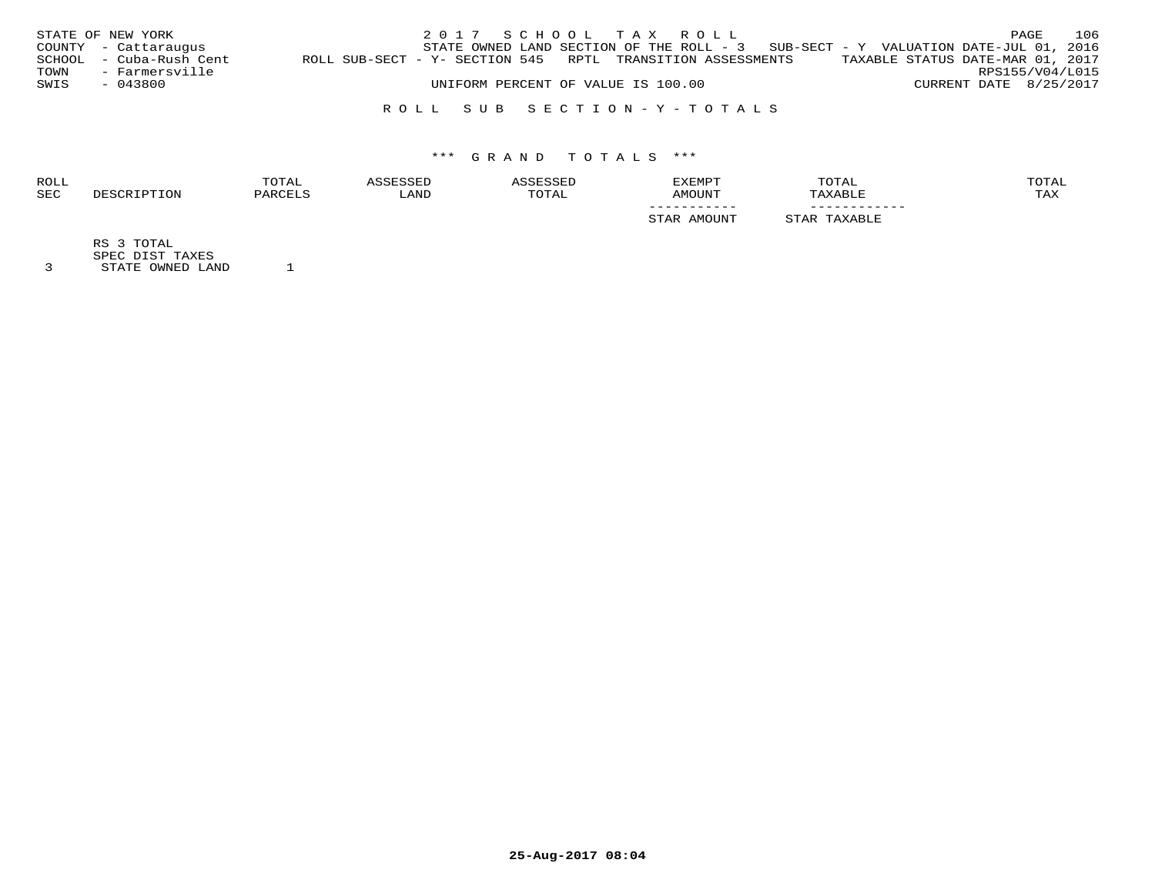|      | STATE OF NEW YORK       |                                                            |  |  | 2017 SCHOOL TAX ROLL               |                                                                                     |  |                                  | PAGE | 106 |
|------|-------------------------|------------------------------------------------------------|--|--|------------------------------------|-------------------------------------------------------------------------------------|--|----------------------------------|------|-----|
|      | COUNTY - Cattaraugus    |                                                            |  |  |                                    | STATE OWNED LAND SECTION OF THE ROLL - $3$ SUB-SECT - Y VALUATION DATE-JUL 01, 2016 |  |                                  |      |     |
|      | SCHOOL - Cuba-Rush Cent | ROLL SUB-SECT - Y- SECTION 545 RPTL TRANSITION ASSESSMENTS |  |  |                                    |                                                                                     |  | TAXABLE STATUS DATE-MAR 01, 2017 |      |     |
| TOWN | - Farmersville          |                                                            |  |  |                                    |                                                                                     |  | RPS155/V04/L015                  |      |     |
| SWIS | - 043800                |                                                            |  |  | UNIFORM PERCENT OF VALUE IS 100.00 |                                                                                     |  | CURRENT DATE 8/25/2017           |      |     |
|      |                         |                                                            |  |  |                                    |                                                                                     |  |                                  |      |     |

## R O L L S U B S E C T I O N - Y - T O T A L S

# \*\*\* G R A N D T O T A L S \*\*\*

| ROLL       | TOTAL                |      |       | <b>EXEMPT</b> | TOTAL                 | TOTAL |
|------------|----------------------|------|-------|---------------|-----------------------|-------|
| <b>SEC</b> | <sup>1</sup> יהור תת | LAND | TOTAL | AMOUNT        | <b><i>FAXABLE</i></b> | TAX   |
|            |                      |      |       | -----------   | ------------          |       |
|            |                      |      |       | LMOUN.        | <b>XABLE</b>          |       |
|            |                      |      |       |               |                       |       |

RS 3 TOTAL

SPEC DIST TAXES 3 STATE OWNED LAND 1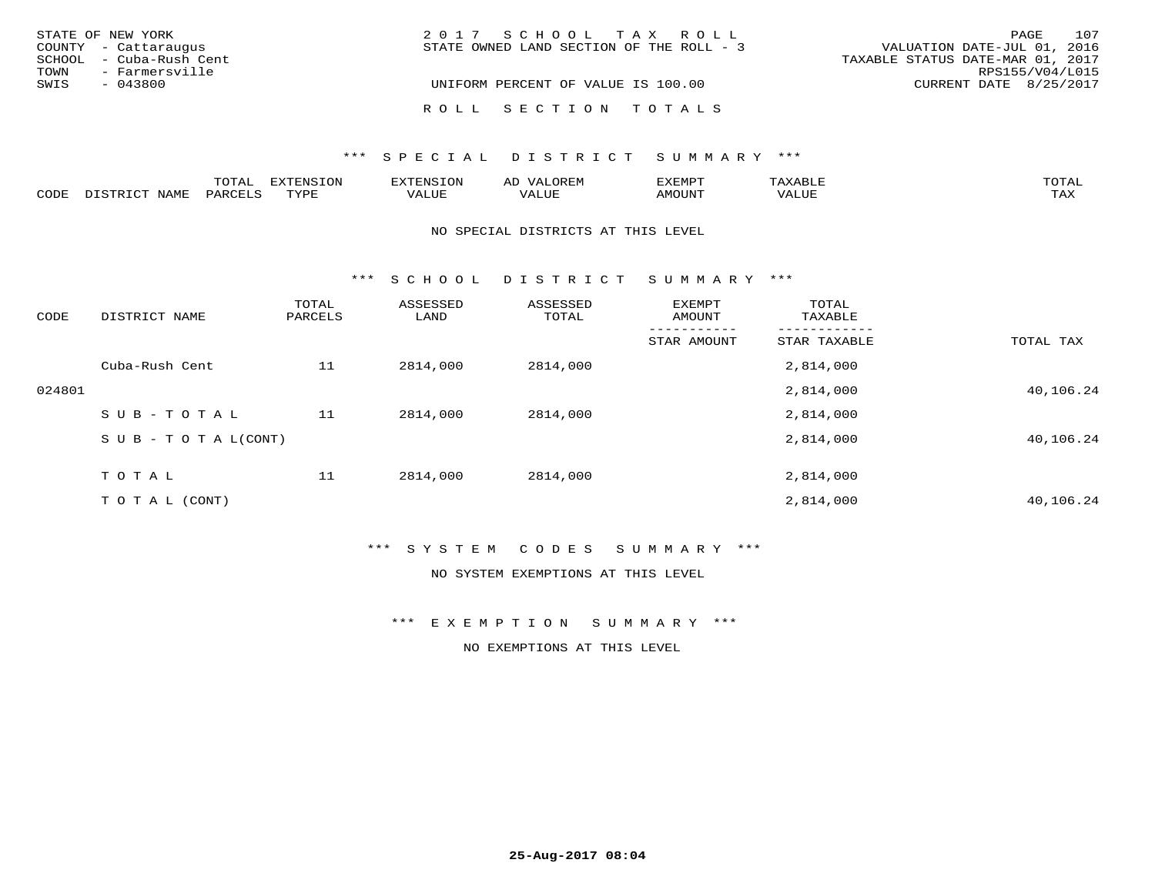|      | STATE OF NEW YORK       | 2017 SCHOOL TAX ROLL                                                    | PAGE                   | 107 |
|------|-------------------------|-------------------------------------------------------------------------|------------------------|-----|
|      | COUNTY - Cattaraugus    | VALUATION DATE-JUL 01, 2016<br>STATE OWNED LAND SECTION OF THE ROLL - 3 |                        |     |
|      | SCHOOL - Cuba-Rush Cent | TAXABLE STATUS DATE-MAR 01, 2017                                        |                        |     |
| TOWN | - Farmersville          |                                                                         | RPS155/V04/L015        |     |
| SWIS | $-043800$               | UNIFORM PERCENT OF VALUE IS 100.00                                      | CURRENT DATE 8/25/2017 |     |
|      |                         | ROLL SECTION TOTALS                                                     |                        |     |

## \*\*\* S P E C I A L D I S T R I C T S U M M A R Y \*\*\*

|      |              | ™∩™™<br>LUIAL | <b>DIZODATO TOM</b><br><b>1115</b><br>- UIY | .N.                 | AL<br>JR BIV | ,,, <del>,</del> ,,,,,,, | AXABLE                        | π∩πΔ       |
|------|--------------|---------------|---------------------------------------------|---------------------|--------------|--------------------------|-------------------------------|------------|
| CODE | <b>NTAMT</b> | PAR(          | TVDF                                        | $T$ $T$ $T$<br>ALUP | T T T T      | <b>AMOUNT</b>            | T T T T<br>$\Delta$ .<br>Alur | TAY<br>∸∽∸ |

#### NO SPECIAL DISTRICTS AT THIS LEVEL

\*\*\* S C H O O L D I S T R I C T S U M M A R Y \*\*\*

| CODE   | DISTRICT NAME                    | TOTAL<br>PARCELS | ASSESSED<br>LAND | ASSESSED<br>TOTAL | EXEMPT<br>AMOUNT | TOTAL<br>TAXABLE |           |
|--------|----------------------------------|------------------|------------------|-------------------|------------------|------------------|-----------|
|        |                                  |                  |                  |                   | STAR AMOUNT      | STAR TAXABLE     | TOTAL TAX |
|        | Cuba-Rush Cent                   | 11               | 2814,000         | 2814,000          |                  | 2,814,000        |           |
| 024801 |                                  |                  |                  |                   |                  | 2,814,000        | 40,106.24 |
|        | SUB-TOTAL                        | 11               | 2814,000         | 2814,000          |                  | 2,814,000        |           |
|        | $S \cup B - T \cup T A L (CONT)$ |                  |                  |                   |                  | 2,814,000        | 40,106.24 |
|        | TOTAL                            | 11               | 2814,000         | 2814,000          |                  | 2,814,000        |           |
|        | T O T A L (CONT)                 |                  |                  |                   |                  | 2,814,000        | 40,106.24 |

## \*\*\* S Y S T E M C O D E S S U M M A R Y \*\*\*

NO SYSTEM EXEMPTIONS AT THIS LEVEL

\*\*\* E X E M P T I O N S U M M A R Y \*\*\*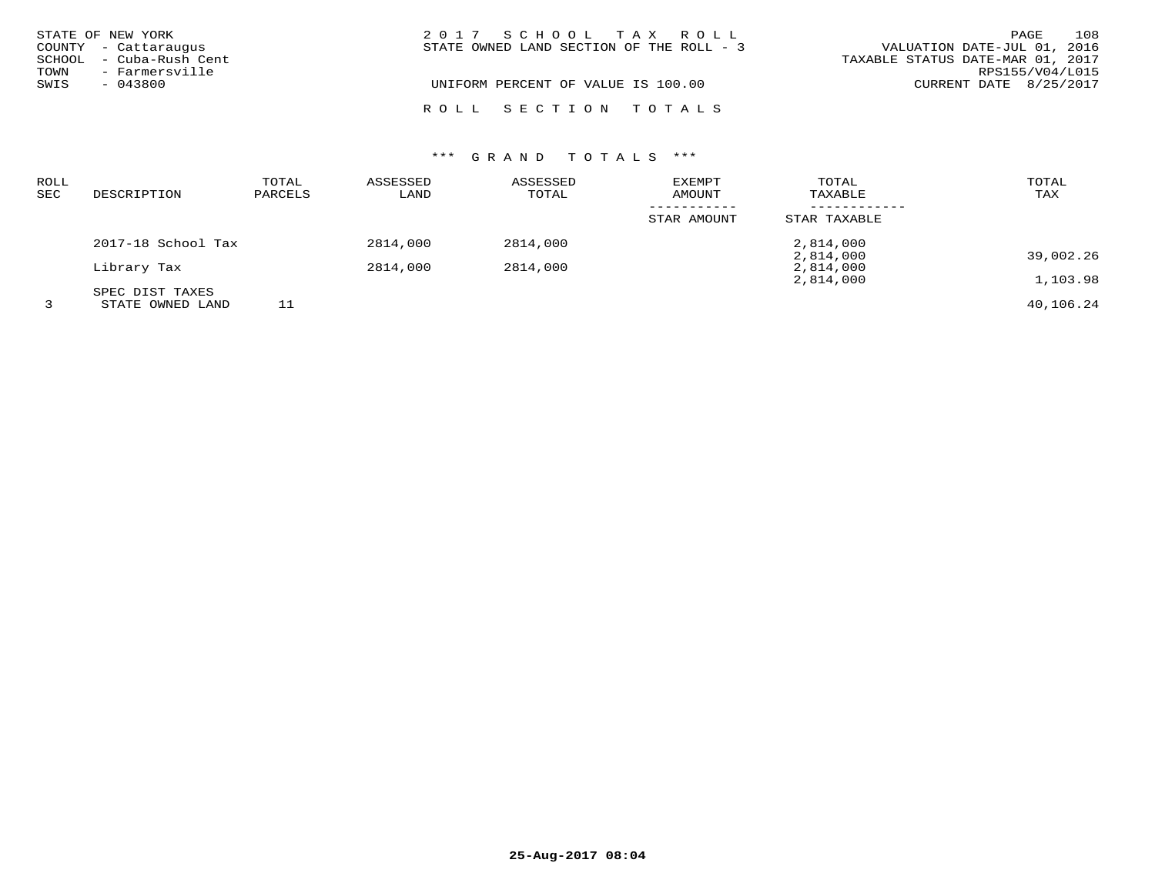|      | STATE OF NEW YORK       | 2017 SCHOOL TAX ROLL                                                    | PAGE            | 108 |
|------|-------------------------|-------------------------------------------------------------------------|-----------------|-----|
|      | COUNTY - Cattaraugus    | STATE OWNED LAND SECTION OF THE ROLL - 3<br>VALUATION DATE-JUL 01, 2016 |                 |     |
|      | SCHOOL - Cuba-Rush Cent | TAXABLE STATUS DATE-MAR 01, 2017                                        |                 |     |
| TOWN | - Farmersville          |                                                                         | RPS155/V04/L015 |     |
| SWIS | $-043800$               | UNIFORM PERCENT OF VALUE IS 100.00<br>CURRENT DATE 8/25/2017            |                 |     |
|      |                         | ROLL SECTION TOTALS                                                     |                 |     |

| ROLL<br><b>SEC</b> | DESCRIPTION                         | TOTAL<br>PARCELS | ASSESSED<br>LAND | ASSESSED<br>TOTAL | EXEMPT<br>AMOUNT | TOTAL<br>TAXABLE       | TOTAL<br>TAX |
|--------------------|-------------------------------------|------------------|------------------|-------------------|------------------|------------------------|--------------|
|                    |                                     |                  |                  |                   | STAR AMOUNT      | STAR TAXABLE           |              |
|                    | 2017-18 School Tax                  |                  | 2814,000         | 2814,000          |                  | 2,814,000              |              |
|                    | Library Tax                         |                  | 2814,000         | 2814,000          |                  | 2,814,000<br>2,814,000 | 39,002.26    |
|                    |                                     |                  |                  |                   |                  | 2,814,000              | 1,103.98     |
|                    | SPEC DIST TAXES<br>STATE OWNED LAND | 11               |                  |                   |                  |                        | 40,106.24    |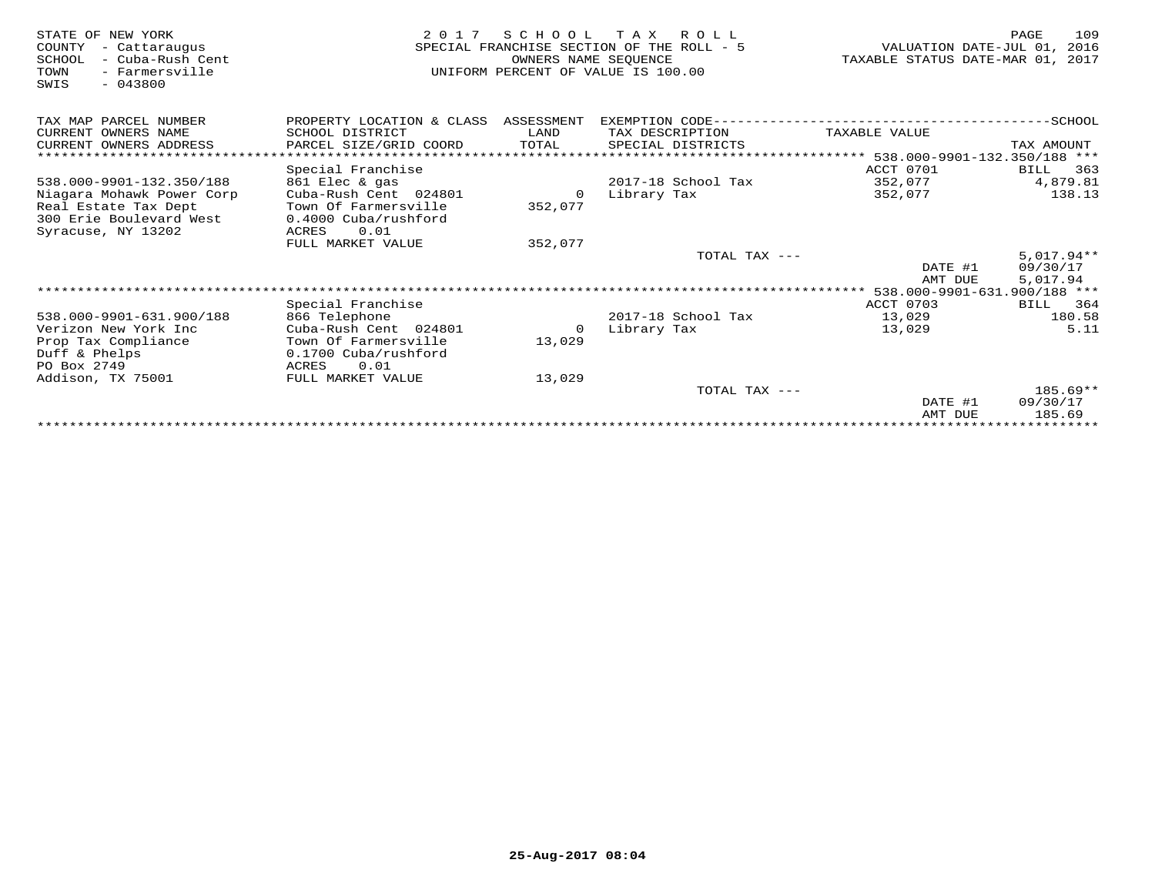| STATE OF NEW YORK<br>COUNTY<br>- Cattaraugus<br>SCHOOL<br>- Cuba-Rush Cent<br>- Farmersville<br>TOWN<br>SWIS<br>$-043800$ | 2 0 1 7                              | S C H O O L<br>OWNERS NAME SEOUENCE | T A X<br>R O L L<br>SPECIAL FRANCHISE SECTION OF THE ROLL - 5<br>UNIFORM PERCENT OF VALUE IS 100.00 | VALUATION DATE-JUL 01,<br>TAXABLE STATUS DATE-MAR 01, 2017 | 109<br>PAGE<br>2016 |
|---------------------------------------------------------------------------------------------------------------------------|--------------------------------------|-------------------------------------|-----------------------------------------------------------------------------------------------------|------------------------------------------------------------|---------------------|
| TAX MAP PARCEL NUMBER                                                                                                     | PROPERTY LOCATION & CLASS ASSESSMENT |                                     | EXEMPTION CODE---                                                                                   |                                                            | $-SCHOOL$           |
| CURRENT OWNERS NAME                                                                                                       | SCHOOL DISTRICT                      | LAND                                | TAX DESCRIPTION                                                                                     | TAXABLE VALUE                                              |                     |
| CURRENT OWNERS ADDRESS                                                                                                    | PARCEL SIZE/GRID COORD               | TOTAL                               | SPECIAL DISTRICTS                                                                                   |                                                            | TAX AMOUNT          |
|                                                                                                                           |                                      |                                     |                                                                                                     | ********************* 538.000-9901-132.350/188 ***         |                     |
|                                                                                                                           | Special Franchise                    |                                     |                                                                                                     | ACCT 0701                                                  | 363<br>BILL         |
| 538.000-9901-132.350/188                                                                                                  | 861 Elec & gas                       |                                     | 2017-18 School Tax                                                                                  | 352,077                                                    | 4,879.81            |
| Niagara Mohawk Power Corp                                                                                                 | Cuba-Rush Cent 024801                | $\Omega$                            | Library Tax                                                                                         | 352,077                                                    | 138.13              |
| Real Estate Tax Dept                                                                                                      | Town Of Farmersville                 | 352,077                             |                                                                                                     |                                                            |                     |
| 300 Erie Boulevard West                                                                                                   | 0.4000 Cuba/rushford                 |                                     |                                                                                                     |                                                            |                     |
| Syracuse, NY 13202                                                                                                        | 0.01<br>ACRES<br>FULL MARKET VALUE   | 352,077                             |                                                                                                     |                                                            |                     |
|                                                                                                                           |                                      |                                     | TOTAL TAX ---                                                                                       |                                                            | $5,017.94**$        |
|                                                                                                                           |                                      |                                     |                                                                                                     | DATE #1                                                    | 09/30/17            |
|                                                                                                                           |                                      |                                     |                                                                                                     | AMT DUE                                                    | 5,017.94            |
|                                                                                                                           |                                      |                                     |                                                                                                     | 538.000-9901-631.900/188 ***                               |                     |
|                                                                                                                           | Special Franchise                    |                                     |                                                                                                     | ACCT 0703                                                  | 364<br>BILL         |
| 538.000-9901-631.900/188                                                                                                  | 866 Telephone                        |                                     | $2017-18$ School Tax                                                                                | 13,029                                                     | 180.58              |
| Verizon New York Inc                                                                                                      | Cuba-Rush Cent 024801                | $\Omega$                            | Library Tax                                                                                         | 13,029                                                     | 5.11                |
| Prop Tax Compliance                                                                                                       | Town Of Farmersville                 | 13,029                              |                                                                                                     |                                                            |                     |
| Duff & Phelps                                                                                                             | 0.1700 Cuba/rushford                 |                                     |                                                                                                     |                                                            |                     |
| PO Box 2749                                                                                                               | ACRES<br>0.01                        |                                     |                                                                                                     |                                                            |                     |
| Addison, TX 75001                                                                                                         | FULL MARKET VALUE                    | 13,029                              |                                                                                                     |                                                            |                     |
|                                                                                                                           |                                      |                                     | TOTAL TAX ---                                                                                       |                                                            | $185.69**$          |
|                                                                                                                           |                                      |                                     |                                                                                                     | DATE #1                                                    | 09/30/17            |
|                                                                                                                           |                                      |                                     |                                                                                                     | AMT DUE                                                    | 185.69              |
|                                                                                                                           |                                      |                                     |                                                                                                     | *******************************                            |                     |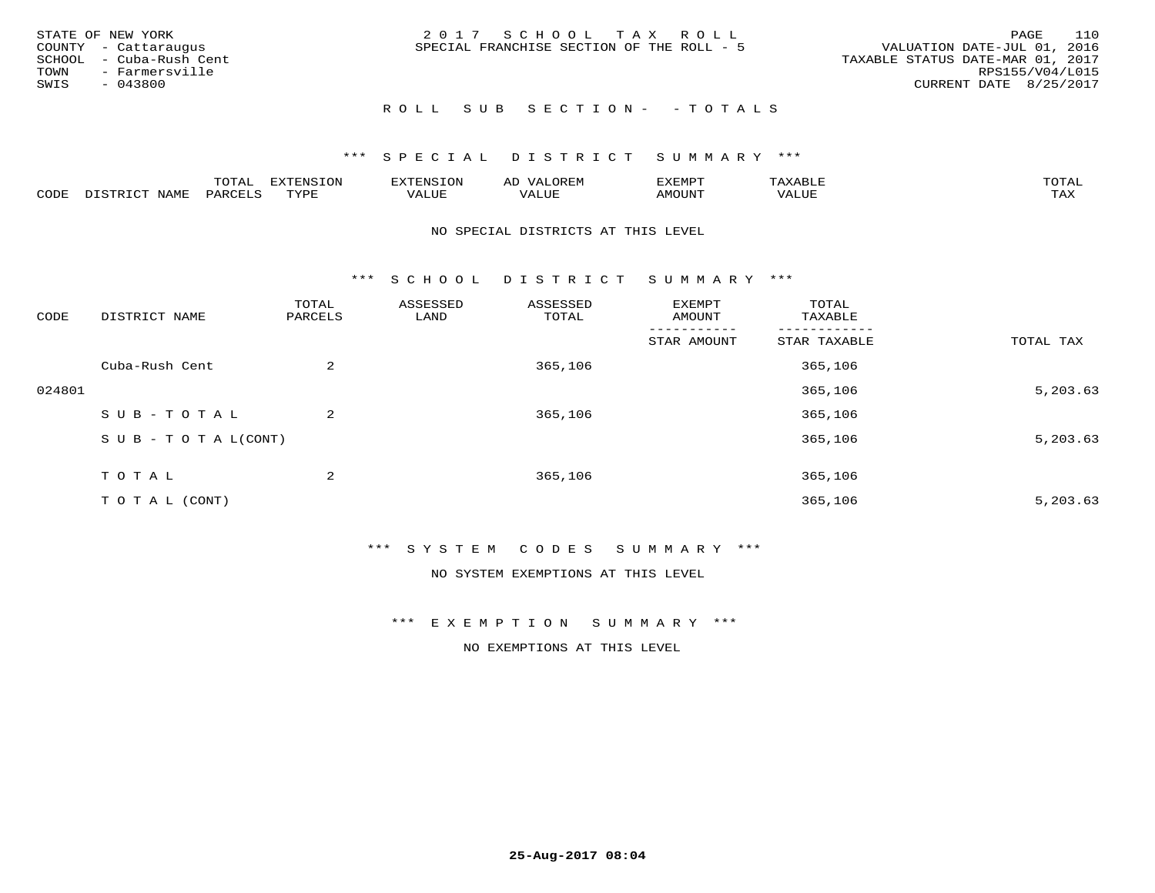| STATE OF NEW YORK<br>COUNTY - Cattaraugus<br>SCHOOL - Cuba-Rush Cent<br>TOWN<br>- Farmersville<br>SWIS<br>- 043800 | 2017 SCHOOL TAX ROLL<br>SPECIAL FRANCHISE SECTION OF THE ROLL - 5 | 110<br>PAGE<br>VALUATION DATE-JUL 01, 2016<br>TAXABLE STATUS DATE-MAR 01, 2017<br>RPS155/V04/L015<br>CURRENT DATE 8/25/2017 |
|--------------------------------------------------------------------------------------------------------------------|-------------------------------------------------------------------|-----------------------------------------------------------------------------------------------------------------------------|
|                                                                                                                    | ROLL SUB SECTION- - TOTALS                                        |                                                                                                                             |

|      |            | ----<br><del>ப</del><br>. | EXTENSION | <b>ENSION</b> | ΑL<br>$\cdots$ | ZXEMPT |                                  | TOTAL |
|------|------------|---------------------------|-----------|---------------|----------------|--------|----------------------------------|-------|
| CODE | NAMF.<br>ー | ᄭᇚᅎᄧᅚ<br>YARL             | TVDF      | 7ALUE         | 7ALUE          | MOUN.  | $T$ , $T$ , $T$ , $T$<br>ALUL VA | TAX   |

#### NO SPECIAL DISTRICTS AT THIS LEVEL

\*\*\* S C H O O L D I S T R I C T S U M M A R Y \*\*\*

| CODE   | DISTRICT NAME                    | TOTAL<br>PARCELS | ASSESSED<br>LAND | ASSESSED<br>TOTAL | EXEMPT<br>AMOUNT | TOTAL<br>TAXABLE |           |
|--------|----------------------------------|------------------|------------------|-------------------|------------------|------------------|-----------|
|        |                                  |                  |                  |                   | STAR AMOUNT      | STAR TAXABLE     | TOTAL TAX |
|        | Cuba-Rush Cent                   | 2                |                  | 365,106           |                  | 365,106          |           |
| 024801 |                                  |                  |                  |                   |                  | 365,106          | 5,203.63  |
|        | SUB-TOTAL                        | 2                |                  | 365,106           |                  | 365,106          |           |
|        | $S \cup B - T \cup T A L (CONT)$ |                  |                  |                   |                  | 365,106          | 5,203.63  |
|        | T O T A L                        | 2                |                  | 365,106           |                  | 365,106          |           |
|        | T O T A L (CONT)                 |                  |                  |                   |                  | 365,106          | 5,203.63  |

#### \*\*\* S Y S T E M C O D E S S U M M A R Y \*\*\*

NO SYSTEM EXEMPTIONS AT THIS LEVEL

#### \*\*\* E X E M P T I O N S U M M A R Y \*\*\*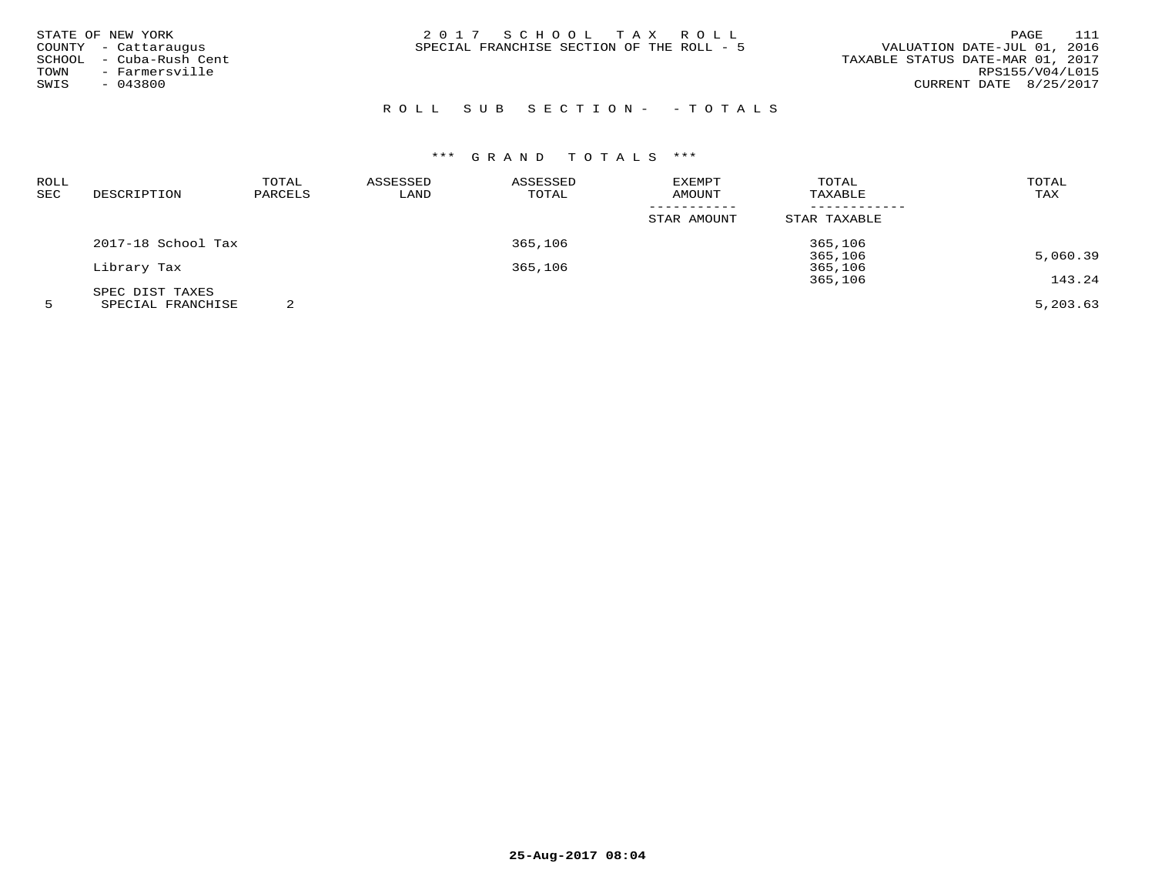| STATE OF NEW YORK    |
|----------------------|
| COUNTY - Cattaraugus |
| - Cuba-Rush Cent     |
| - Farmersville       |
| $-043800$            |
|                      |

STATE OF NEW YORK 2 0 1 7 S C H O O L T A X R O L L PAGE 111SPECIAL FRANCHISE SECTION OF THE ROLL - 5

# ROLL SUB SECTION - - TOTALS

| ROLL<br>SEC | DESCRIPTION        | TOTAL<br>PARCELS | ASSESSED<br>LAND | ASSESSED<br>TOTAL | <b>EXEMPT</b><br>AMOUNT | TOTAL<br>TAXABLE | TOTAL<br>TAX |
|-------------|--------------------|------------------|------------------|-------------------|-------------------------|------------------|--------------|
|             |                    |                  |                  |                   |                         |                  |              |
|             |                    |                  |                  |                   | STAR AMOUNT             | STAR TAXABLE     |              |
|             | 2017-18 School Tax |                  |                  | 365,106           |                         | 365,106          |              |
|             |                    |                  |                  |                   |                         | 365,106          | 5,060.39     |
|             | Library Tax        |                  |                  | 365,106           |                         | 365,106          |              |
|             |                    |                  |                  |                   |                         | 365,106          | 143.24       |
|             | SPEC DIST TAXES    |                  |                  |                   |                         |                  |              |
|             | SPECIAL FRANCHISE  |                  |                  |                   |                         |                  | 5,203.63     |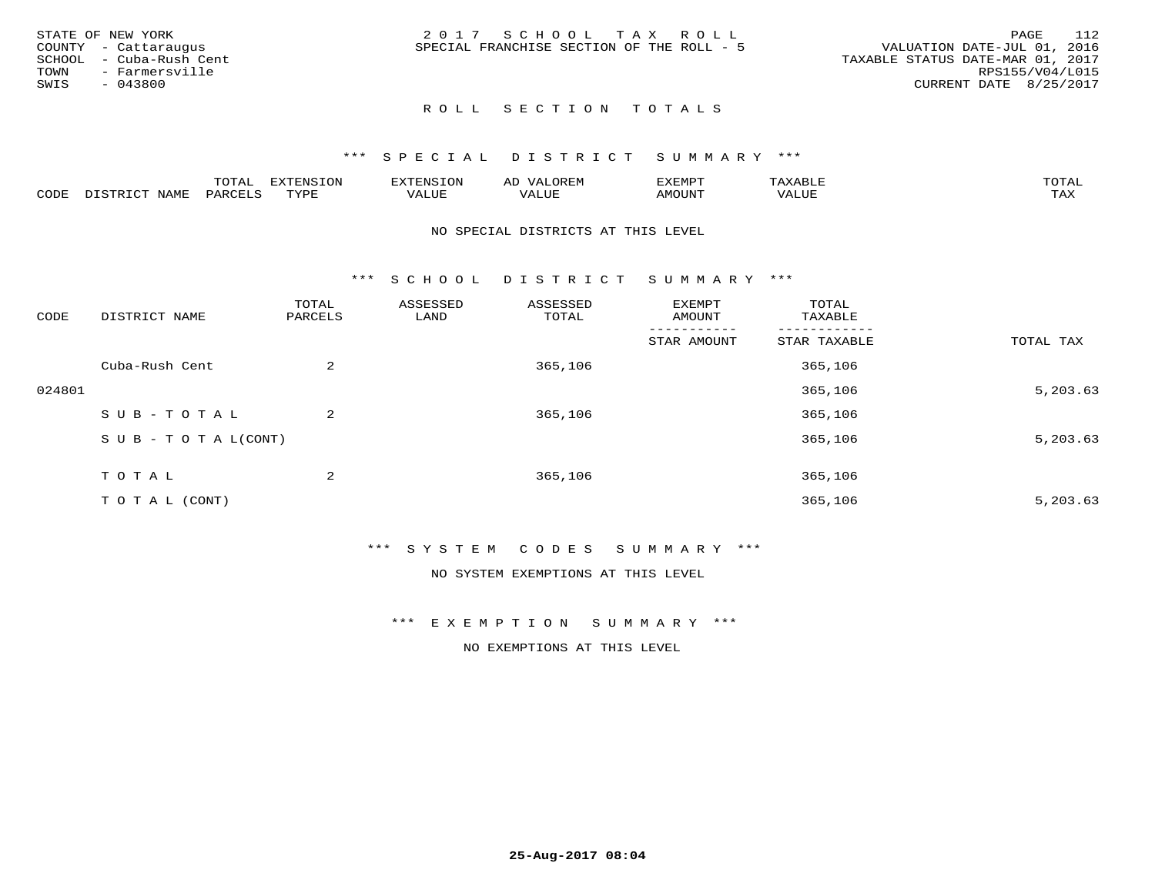| STATE OF NEW YORK       | 2017 SCHOOL TAX ROLL                      | 112<br>PAGE                      |
|-------------------------|-------------------------------------------|----------------------------------|
| COUNTY - Cattaraugus    | SPECIAL FRANCHISE SECTION OF THE ROLL - 5 | VALUATION DATE-JUL 01, 2016      |
| SCHOOL - Cuba-Rush Cent |                                           | TAXABLE STATUS DATE-MAR 01, 2017 |
| TOWN<br>- Farmersville  |                                           | RPS155/V04/L015                  |
| SWIS<br>$-043800$       |                                           | CURRENT DATE 8/25/2017           |
|                         |                                           |                                  |

# ROLL SECTION TOTALS

#### \*\*\* S P E C I A L D I S T R I C T S U M M A R Y \*\*\*

|      |            | $m \wedge m \wedge n$<br>UIAL | <b>EXTENSION</b><br>∟ບ⊥ | TENSION            | $\sim$ $\sim$ $\sim$ $\sim$<br>ΑIJ<br>$J \times F_{1}$ iv | EXEMPT        | $\Delta \times \Delta$<br>AABH | $m \wedge m \wedge n$<br>$\Delta$ |
|------|------------|-------------------------------|-------------------------|--------------------|-----------------------------------------------------------|---------------|--------------------------------|-----------------------------------|
| CODE | <b>NAM</b> | PARO<br>.                     | TVDF                    | $- - - -$<br>VALUI | - ---<br>VALUE                                            | <b>AMOUNT</b> | VALUE                          | .<br>∸∽∽                          |

#### NO SPECIAL DISTRICTS AT THIS LEVEL

\*\*\* S C H O O L D I S T R I C T S U M M A R Y \*\*\*

| CODE   | DISTRICT NAME                    | TOTAL<br>PARCELS | ASSESSED<br>LAND | ASSESSED<br>TOTAL | EXEMPT<br>AMOUNT | TOTAL<br>TAXABLE |           |
|--------|----------------------------------|------------------|------------------|-------------------|------------------|------------------|-----------|
|        |                                  |                  |                  |                   | STAR AMOUNT      | STAR TAXABLE     | TOTAL TAX |
|        | Cuba-Rush Cent                   | 2                |                  | 365,106           |                  | 365,106          |           |
| 024801 |                                  |                  |                  |                   |                  | 365,106          | 5,203.63  |
|        | SUB-TOTAL                        | 2                |                  | 365,106           |                  | 365,106          |           |
|        | $S \cup B - T \cup T A L (CONT)$ |                  |                  |                   |                  | 365,106          | 5,203.63  |
|        | TOTAL                            | 2                |                  | 365,106           |                  | 365,106          |           |
|        | T O T A L (CONT)                 |                  |                  |                   |                  | 365,106          | 5,203.63  |

#### \*\*\* S Y S T E M C O D E S S U M M A R Y \*\*\*

NO SYSTEM EXEMPTIONS AT THIS LEVEL

#### \*\*\* E X E M P T I O N S U M M A R Y \*\*\*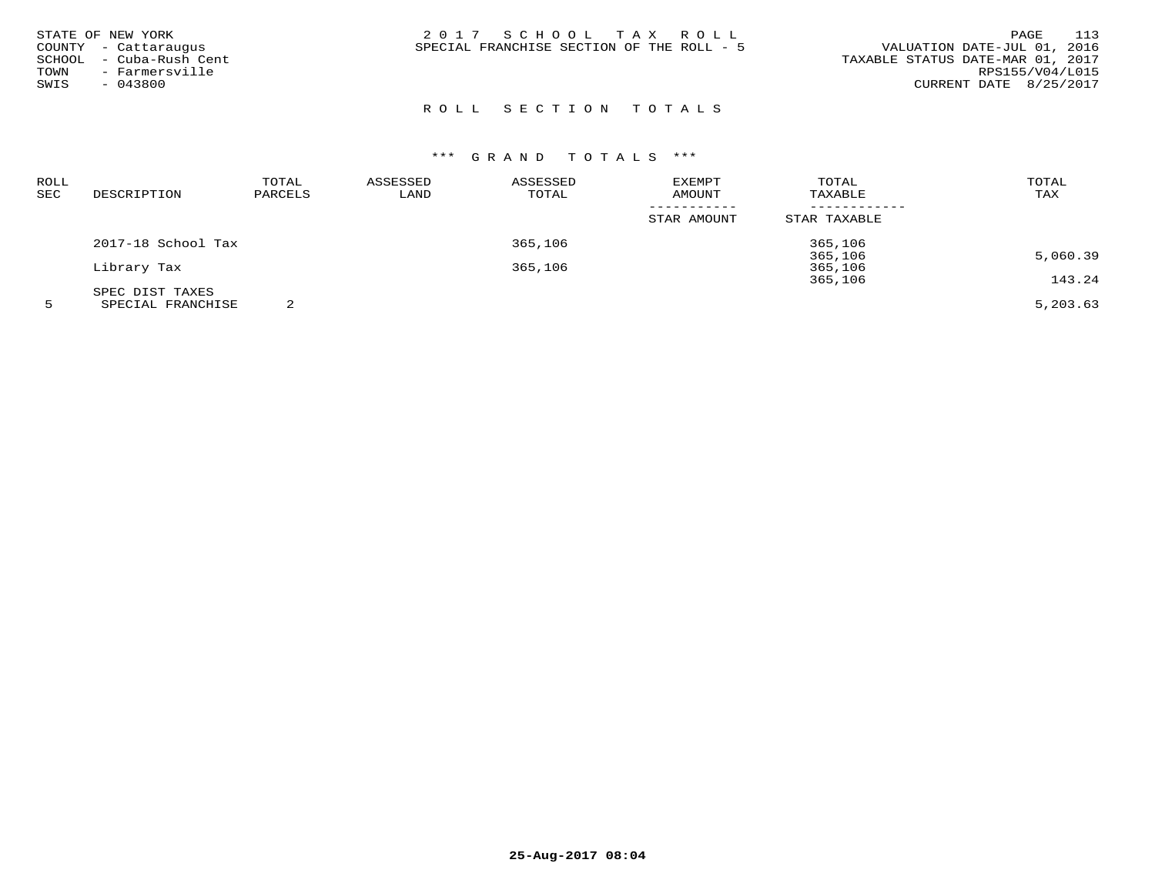| STATE OF NEW YORK       | 2017 SCHOOL TAX ROLL                      | - 113<br>PAGE                    |
|-------------------------|-------------------------------------------|----------------------------------|
| COUNTY - Cattaraugus    | SPECIAL FRANCHISE SECTION OF THE ROLL - 5 | VALUATION DATE-JUL 01, 2016      |
| SCHOOL - Cuba-Rush Cent |                                           | TAXABLE STATUS DATE-MAR 01, 2017 |
| - Farmersville<br>TOWN  |                                           | RPS155/V04/L015                  |
| $-043800$<br>SWIS       |                                           | CURRENT DATE 8/25/2017           |
|                         |                                           |                                  |

# CURRENT DATE 8/25/2017

# ROLL SECTION TOTALS

# \*\*\* G R A N D T O T A L S \*\*\*

| ROLL<br><b>SEC</b> | DESCRIPTION        | TOTAL<br>PARCELS | ASSESSED<br>LAND | ASSESSED<br>TOTAL | EXEMPT<br>AMOUNT | TOTAL<br>TAXABLE | TOTAL<br>TAX |
|--------------------|--------------------|------------------|------------------|-------------------|------------------|------------------|--------------|
|                    |                    |                  |                  |                   | STAR AMOUNT      | STAR TAXABLE     |              |
|                    | 2017-18 School Tax |                  |                  | 365,106           |                  | 365,106          |              |
|                    |                    |                  |                  |                   |                  | 365,106          | 5,060.39     |
|                    | Library Tax        |                  |                  | 365,106           |                  | 365,106          |              |
|                    |                    |                  |                  |                   |                  | 365,106          | 143.24       |
|                    | SPEC DIST TAXES    |                  |                  |                   |                  |                  |              |
|                    | -----------------  | $\sim$           |                  |                   |                  |                  | $   -$       |

5 SPECIAL FRANCHISE 2 5,203.63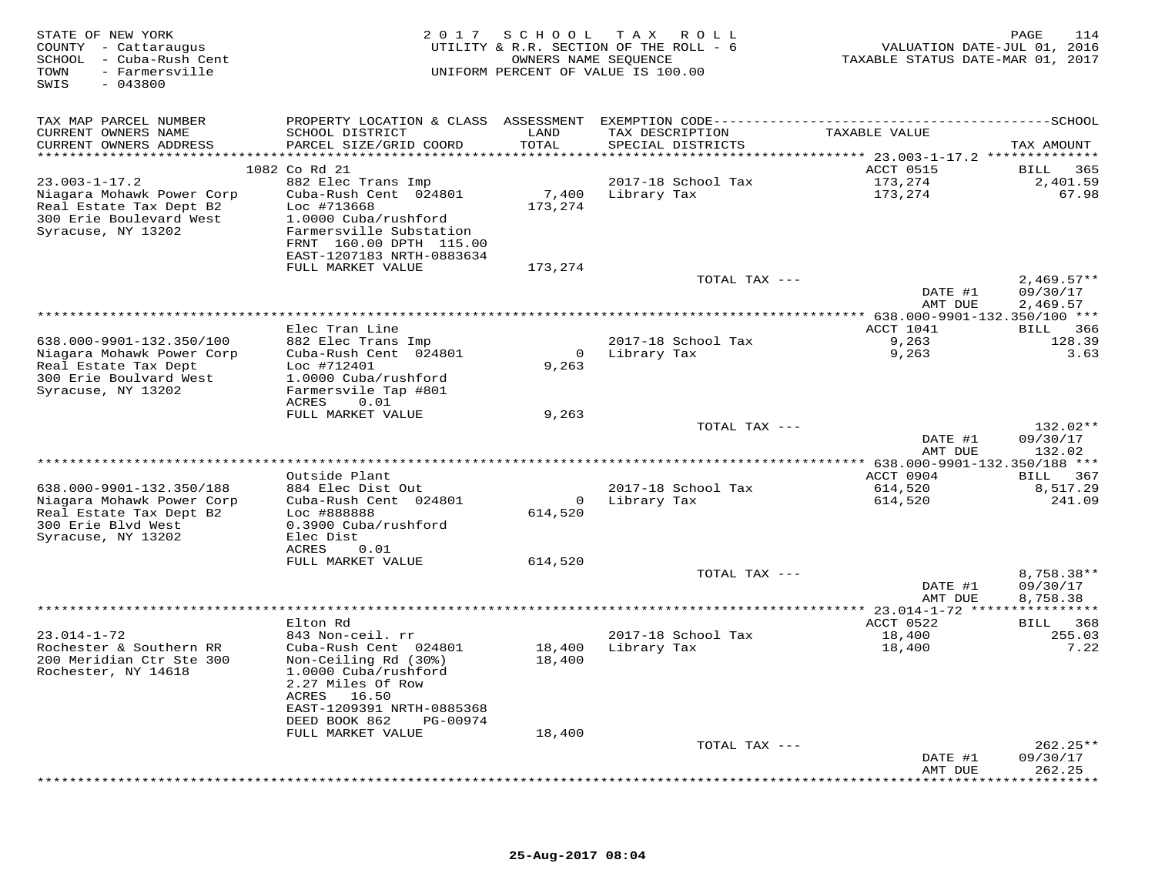| STATE OF NEW YORK<br>COUNTY - Cattaraugus<br>SCHOOL - Cuba-Rush Cent<br>- Farmersville<br>TOWN<br>SWIS<br>$-043800$          |                                                                                                                                                                                        | OWNERS NAME SEQUENCE      | 2017 SCHOOL TAX ROLL<br>UTILITY & R.R. SECTION OF THE ROLL - 6<br>UNIFORM PERCENT OF VALUE IS 100.00 | VALUATION DATE-JUL 01, 2016<br>TAXABLE STATUS DATE-MAR 01, 2017              | PAGE<br>114                          |
|------------------------------------------------------------------------------------------------------------------------------|----------------------------------------------------------------------------------------------------------------------------------------------------------------------------------------|---------------------------|------------------------------------------------------------------------------------------------------|------------------------------------------------------------------------------|--------------------------------------|
| TAX MAP PARCEL NUMBER<br>CURRENT OWNERS NAME<br>CURRENT OWNERS ADDRESS<br>**********************                             | PROPERTY LOCATION & CLASS ASSESSMENT EXEMPTION CODE--------------------------<br>SCHOOL DISTRICT<br>PARCEL SIZE/GRID COORD<br>***********************                                  | LAND<br>TOTAL<br>******** | TAX DESCRIPTION<br>SPECIAL DISTRICTS                                                                 | TAXABLE VALUE                                                                | -------------SCHOOL<br>TAX AMOUNT    |
| $23.003 - 1 - 17.2$<br>Niagara Mohawk Power Corp<br>Real Estate Tax Dept B2<br>300 Erie Boulevard West<br>Syracuse, NY 13202 | 1082 Co Rd 21<br>882 Elec Trans Imp<br>Cuba-Rush Cent 024801<br>Loc #713668<br>1.0000 Cuba/rushford<br>Farmersville Substation<br>FRNT 160.00 DPTH 115.00<br>EAST-1207183 NRTH-0883634 | 7,400<br>173,274          | 2017-18 School Tax<br>Library Tax                                                                    | ************ 23.003-1-17.2 **************<br>ACCT 0515<br>173,274<br>173,274 | BILL<br>365<br>2,401.59<br>67.98     |
|                                                                                                                              | FULL MARKET VALUE                                                                                                                                                                      | 173,274                   | TOTAL TAX ---                                                                                        | DATE #1<br>AMT DUE                                                           | $2,469.57**$<br>09/30/17<br>2,469.57 |
|                                                                                                                              |                                                                                                                                                                                        |                           |                                                                                                      | $**$ 638.000-9901-132.350/100 ***                                            |                                      |
| 638.000-9901-132.350/100<br>Niagara Mohawk Power Corp<br>Real Estate Tax Dept<br>300 Erie Boulvard West                      | Elec Tran Line<br>882 Elec Trans Imp<br>Cuba-Rush Cent 024801<br>Loc #712401<br>1.0000 Cuba/rushford                                                                                   | $\mathbf 0$<br>9,263      | 2017-18 School Tax<br>Library Tax                                                                    | ACCT 1041<br>9,263<br>9,263                                                  | BILL 366<br>128.39<br>3.63           |
| Syracuse, NY 13202                                                                                                           | Farmersvile Tap #801<br>ACRES<br>0.01<br>FULL MARKET VALUE                                                                                                                             | 9,263                     | TOTAL TAX ---                                                                                        |                                                                              | 132.02**                             |
|                                                                                                                              |                                                                                                                                                                                        |                           |                                                                                                      | DATE #1<br>AMT DUE                                                           | 09/30/17<br>132.02                   |
|                                                                                                                              |                                                                                                                                                                                        |                           |                                                                                                      | ** 638.000-9901-132.350/188 ***                                              |                                      |
| 638.000-9901-132.350/188                                                                                                     | Outside Plant<br>884 Elec Dist Out                                                                                                                                                     |                           | 2017-18 School Tax                                                                                   | ACCT 0904                                                                    | BILL<br>367                          |
| Niagara Mohawk Power Corp<br>Real Estate Tax Dept B2<br>300 Erie Blvd West<br>Syracuse, NY 13202                             | Cuba-Rush Cent 024801<br>Loc #888888<br>0.3900 Cuba/rushford<br>Elec Dist<br>ACRES<br>0.01                                                                                             | $\overline{0}$<br>614,520 | Library Tax                                                                                          | 614,520<br>614,520                                                           | 8,517.29<br>241.09                   |
|                                                                                                                              | FULL MARKET VALUE                                                                                                                                                                      | 614,520                   |                                                                                                      |                                                                              |                                      |
|                                                                                                                              |                                                                                                                                                                                        |                           | TOTAL TAX ---                                                                                        | DATE #1<br>AMT DUE                                                           | 8,758.38**<br>09/30/17<br>8,758.38   |
|                                                                                                                              | Elton Rd                                                                                                                                                                               |                           |                                                                                                      | * 23.014-1-72 *<br>ACCT 0522                                                 | BILL 368                             |
| $23.014 - 1 - 72$<br>Rochester & Southern RR<br>200 Meridian Ctr Ste 300                                                     | 843 Non-ceil. rr<br>Cuba-Rush Cent 024801<br>Non-Ceiling Rd (30%)                                                                                                                      | 18,400<br>18,400          | 2017-18 School Tax<br>Library Tax                                                                    | 18,400<br>18,400                                                             | 255.03<br>7.22                       |
| Rochester, NY 14618                                                                                                          | 1.0000 Cuba/rushford<br>2.27 Miles Of Row<br>ACRES<br>16.50<br>EAST-1209391 NRTH-0885368<br>DEED BOOK 862<br>PG-00974<br>FULL MARKET VALUE                                             | 18,400                    |                                                                                                      |                                                                              |                                      |
|                                                                                                                              |                                                                                                                                                                                        |                           | TOTAL TAX ---                                                                                        | DATE #1                                                                      | 262.25**<br>09/30/17                 |
|                                                                                                                              |                                                                                                                                                                                        |                           |                                                                                                      | AMT DUE                                                                      | 262.25<br>********                   |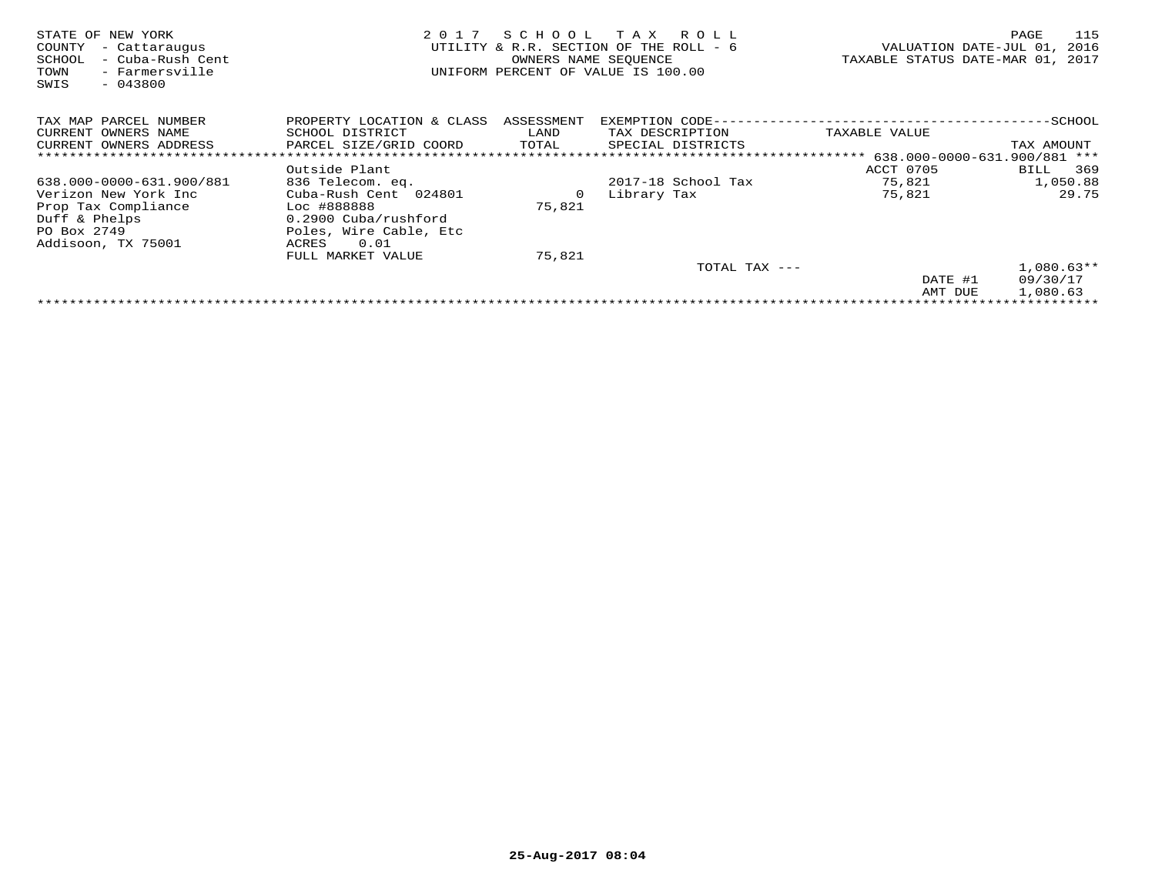| STATE OF NEW YORK<br>- Cattaraugus<br>COUNTY<br>SCHOOL<br>- Cuba-Rush Cent<br>- Farmersville<br>TOWN<br>$-043800$<br>SWIS | 2017                                 | SCHOOL<br>OWNERS NAME SEOUENCE | T A X<br>R O L L<br>UTILITY & R.R. SECTION OF THE ROLL - 6<br>UNIFORM PERCENT OF VALUE IS 100.00 | VALUATION DATE-JUL 01,<br>TAXABLE STATUS DATE-MAR 01, 2017                         | 115<br>PAGE<br>2016 |
|---------------------------------------------------------------------------------------------------------------------------|--------------------------------------|--------------------------------|--------------------------------------------------------------------------------------------------|------------------------------------------------------------------------------------|---------------------|
| TAX MAP PARCEL NUMBER                                                                                                     | PROPERTY LOCATION & CLASS ASSESSMENT |                                | EXEMPTION CODE--                                                                                 | --------------------                                                               | ------------SCHOOL  |
| CURRENT OWNERS NAME                                                                                                       | SCHOOL DISTRICT                      | LAND                           | TAX DESCRIPTION                                                                                  | TAXABLE VALUE                                                                      |                     |
| CURRENT OWNERS ADDRESS                                                                                                    | PARCEL SIZE/GRID COORD               | TOTAL                          | SPECIAL DISTRICTS                                                                                |                                                                                    | TAX AMOUNT          |
|                                                                                                                           |                                      |                                |                                                                                                  | *********************************    638.000-0000-631.900/881                  *** |                     |
|                                                                                                                           | Outside Plant                        |                                |                                                                                                  | ACCT 0705                                                                          | 369<br>BILL         |
| 638.000-0000-631.900/881                                                                                                  | 836 Telecom. eq.                     |                                | 2017-18 School Tax                                                                               | 75,821                                                                             | 1,050.88            |
| Verizon New York Inc                                                                                                      | Cuba-Rush Cent 024801                | 0                              | Library Tax                                                                                      | 75,821                                                                             | 29.75               |
| Prop Tax Compliance                                                                                                       | Loc #888888                          | 75,821                         |                                                                                                  |                                                                                    |                     |
| Duff & Phelps                                                                                                             | 0.2900 Cuba/rushford                 |                                |                                                                                                  |                                                                                    |                     |
| PO Box 2749                                                                                                               | Poles, Wire Cable, Etc               |                                |                                                                                                  |                                                                                    |                     |
| Addisoon, TX 75001                                                                                                        | 0.01<br>ACRES                        |                                |                                                                                                  |                                                                                    |                     |
|                                                                                                                           | FULL MARKET VALUE                    | 75,821                         |                                                                                                  |                                                                                    |                     |
|                                                                                                                           |                                      |                                | TOTAL TAX ---                                                                                    |                                                                                    | $1,080.63**$        |
|                                                                                                                           |                                      |                                |                                                                                                  | DATE #1                                                                            | 09/30/17            |
|                                                                                                                           |                                      |                                |                                                                                                  | AMT DUE                                                                            | 1,080.63            |
|                                                                                                                           |                                      |                                |                                                                                                  |                                                                                    |                     |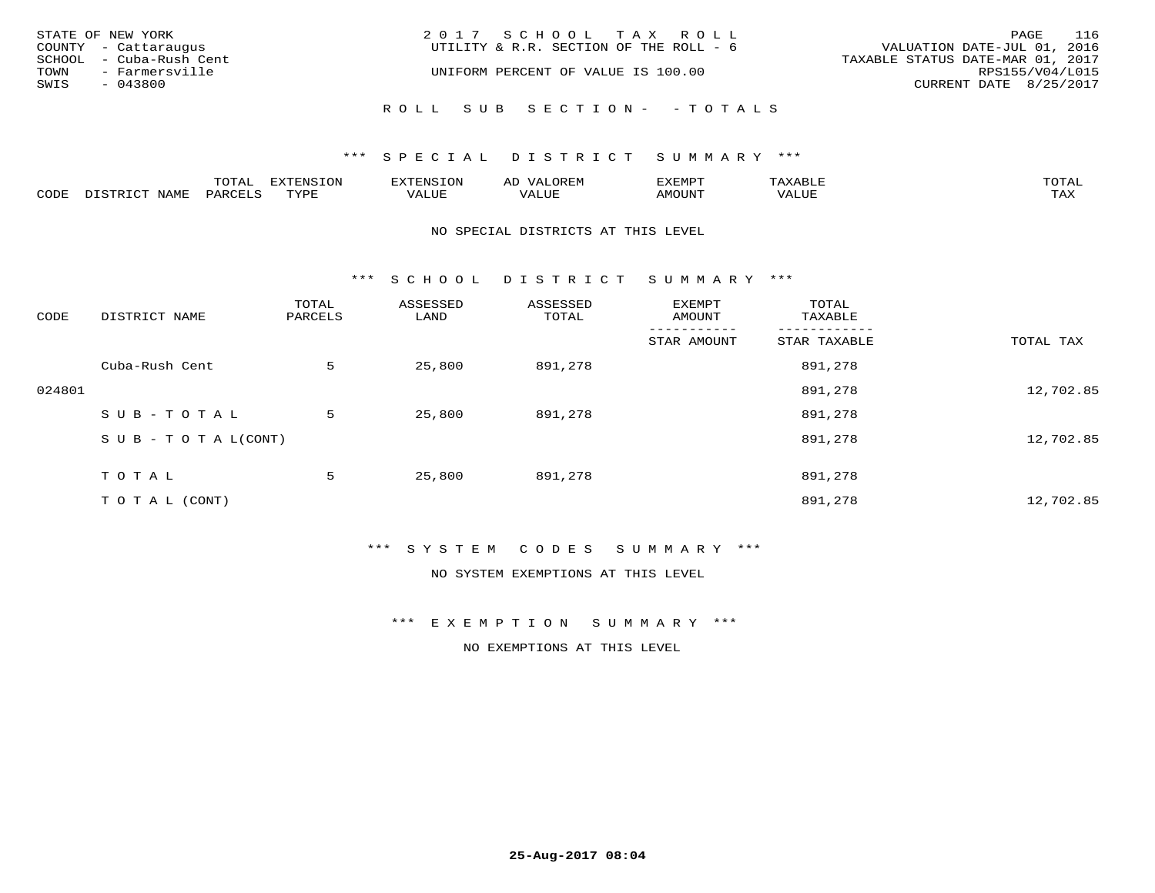| STATE OF NEW YORK       | 2017 SCHOOL TAX ROLL                   | 116<br>PAGE                      |
|-------------------------|----------------------------------------|----------------------------------|
| COUNTY - Cattaraugus    | UTILITY & R.R. SECTION OF THE ROLL - 6 | VALUATION DATE-JUL 01, 2016      |
| SCHOOL - Cuba-Rush Cent |                                        | TAXABLE STATUS DATE-MAR 01, 2017 |
| TOWN - Farmersville     | UNIFORM PERCENT OF VALUE IS 100.00     | RPS155/V04/L015                  |
| SWIS<br>- 043800        |                                        | CURRENT DATE 8/25/2017           |
|                         | ROLL SUB SECTION- - TOTALS             |                                  |

|      | ---- |                        | .         | ⊷         | ◡             |           |
|------|------|------------------------|-----------|-----------|---------------|-----------|
| CODE | ΆR   | $m \times r \cap \tau$ | ۰۰ تا سىد | ۰ تا ساخت | <b>IMOUNT</b> | $- - - -$ |

#### NO SPECIAL DISTRICTS AT THIS LEVEL

\*\*\* S C H O O L D I S T R I C T S U M M A R Y \*\*\*

| CODE   | DISTRICT NAME                    | TOTAL<br>PARCELS | ASSESSED<br>LAND | ASSESSED<br>TOTAL | EXEMPT<br>AMOUNT | TOTAL<br>TAXABLE |           |
|--------|----------------------------------|------------------|------------------|-------------------|------------------|------------------|-----------|
|        |                                  |                  |                  |                   | STAR AMOUNT      | STAR TAXABLE     | TOTAL TAX |
|        | Cuba-Rush Cent                   | 5                | 25,800           | 891,278           |                  | 891,278          |           |
| 024801 |                                  |                  |                  |                   |                  | 891,278          | 12,702.85 |
|        | SUB-TOTAL                        | 5                | 25,800           | 891,278           |                  | 891,278          |           |
|        | $S \cup B - T \cup T A L (CONT)$ |                  |                  |                   |                  | 891,278          | 12,702.85 |
|        | TOTAL                            | 5                | 25,800           | 891,278           |                  | 891,278          |           |
|        | T O T A L (CONT)                 |                  |                  |                   |                  | 891,278          | 12,702.85 |

# \*\*\* S Y S T E M C O D E S S U M M A R Y \*\*\*

NO SYSTEM EXEMPTIONS AT THIS LEVEL

\*\*\* E X E M P T I O N S U M M A R Y \*\*\*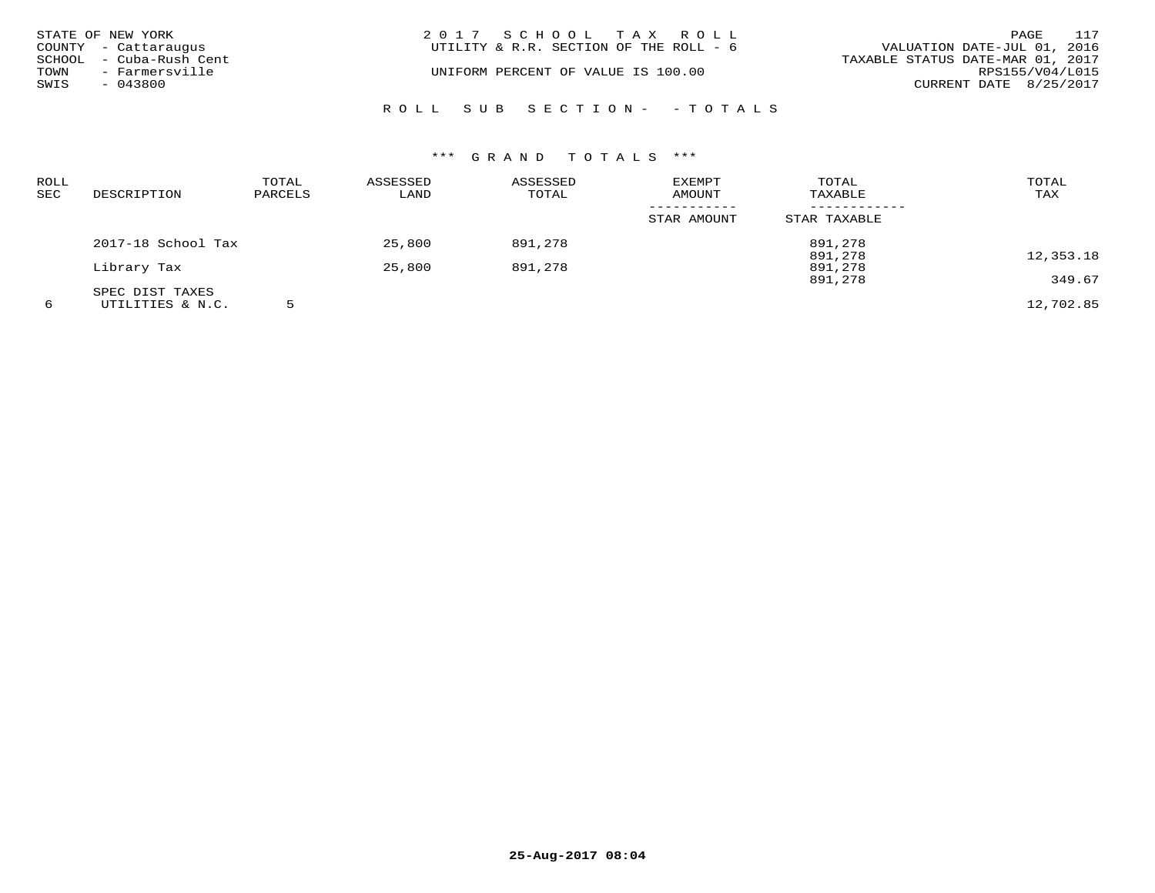| STATE OF NEW YORK |                         | 2017 SCHOOL TAX ROLL                   | 117<br>PAGE                      |
|-------------------|-------------------------|----------------------------------------|----------------------------------|
|                   | COUNTY - Cattaraugus    | UTILITY & R.R. SECTION OF THE ROLL - 6 | VALUATION DATE-JUL 01, 2016      |
|                   | SCHOOL - Cuba-Rush Cent |                                        | TAXABLE STATUS DATE-MAR 01, 2017 |
| TOWN              | - Farmersville          | UNIFORM PERCENT OF VALUE IS 100.00     | RPS155/V04/L015                  |
| SWIS              | - 043800                |                                        | CURRENT DATE 8/25/2017           |
|                   |                         | ROLL SUB SECTION- - TOTALS             |                                  |

| <b>ROLL</b><br><b>SEC</b> | DESCRIPTION        | TOTAL<br>PARCELS | ASSESSED<br>LAND | ASSESSED<br>TOTAL | EXEMPT<br>AMOUNT | TOTAL<br>TAXABLE | TOTAL<br>TAX |
|---------------------------|--------------------|------------------|------------------|-------------------|------------------|------------------|--------------|
|                           |                    |                  |                  |                   | STAR AMOUNT      | STAR TAXABLE     |              |
|                           | 2017-18 School Tax |                  | 25,800           | 891,278           |                  | 891,278          |              |
|                           |                    |                  |                  |                   |                  | 891,278          | 12,353.18    |
|                           | Library Tax        |                  | 25,800           | 891,278           |                  | 891,278          |              |
|                           |                    |                  |                  |                   |                  | 891,278          | 349.67       |
|                           | SPEC DIST TAXES    |                  |                  |                   |                  |                  |              |
| 6                         | UTILITIES & N.C.   |                  |                  |                   |                  |                  | 12,702.85    |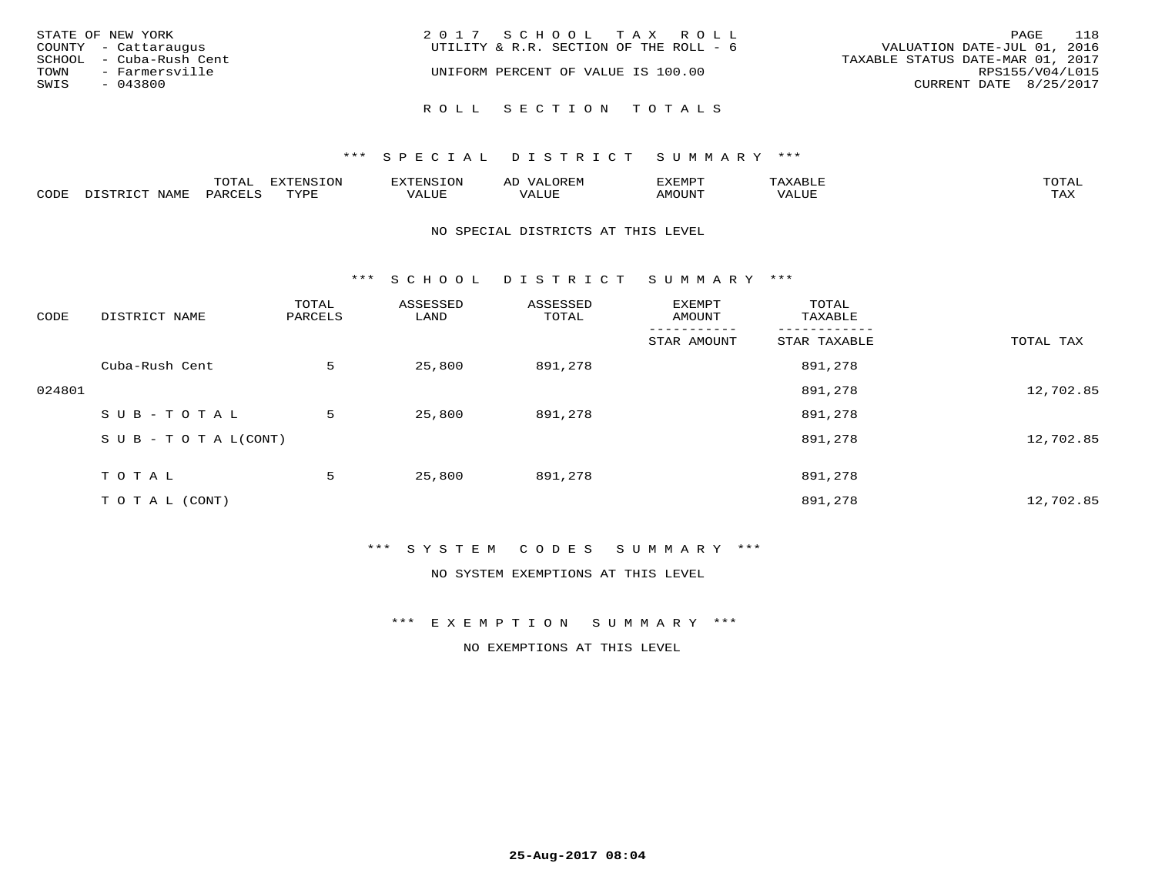|      | STATE OF NEW YORK       | 2017 SCHOOL TAX ROLL                                                  | PAGE                   | 118 |
|------|-------------------------|-----------------------------------------------------------------------|------------------------|-----|
|      | COUNTY - Cattaraugus    | VALUATION DATE-JUL 01, 2016<br>UTILITY & R.R. SECTION OF THE ROLL - 6 |                        |     |
|      | SCHOOL - Cuba-Rush Cent | TAXABLE STATUS DATE-MAR 01, 2017                                      |                        |     |
|      | TOWN - Farmersville     | UNIFORM PERCENT OF VALUE IS 100.00                                    | RPS155/V04/L015        |     |
| SWIS | - 043800                |                                                                       | CURRENT DATE 8/25/2017 |     |
|      |                         |                                                                       |                        |     |
|      |                         | ROLL SECTION TOTALS                                                   |                        |     |

|      |      | $n \wedge m \wedge n$<br>$\cdots$ | <b>FYTFNSION</b><br>$\sim$ | --------<br>$\mathbf{v}$ | $\leftrightarrow$ | ,,, <del>,</del> ,,, <del>,</del><br>ֿישו<br>$\sim$ $\sim$ $\sim$ $\sim$ $\sim$ |       | <b>TOTA</b>       |
|------|------|-----------------------------------|----------------------------|--------------------------|-------------------|---------------------------------------------------------------------------------|-------|-------------------|
| CODE | NAMI | PAR <sub>1</sub>                  | <b>TIVAT</b>               | $- - - -$<br>ᅩᆚᄓᄓ        | ALUL              | TUUOM4                                                                          | 'ALUL | $- - - -$<br>ᄕᅎᅐᅎ |

#### NO SPECIAL DISTRICTS AT THIS LEVEL

\*\*\* S C H O O L D I S T R I C T S U M M A R Y \*\*\*

| CODE   | DISTRICT NAME                    | TOTAL<br>PARCELS | ASSESSED<br>LAND | ASSESSED<br>TOTAL | EXEMPT<br>AMOUNT | TOTAL<br>TAXABLE |           |
|--------|----------------------------------|------------------|------------------|-------------------|------------------|------------------|-----------|
|        |                                  |                  |                  |                   | STAR AMOUNT      | STAR TAXABLE     | TOTAL TAX |
|        | Cuba-Rush Cent                   | 5                | 25,800           | 891,278           |                  | 891,278          |           |
| 024801 |                                  |                  |                  |                   |                  | 891,278          | 12,702.85 |
|        | SUB-TOTAL                        | 5                | 25,800           | 891,278           |                  | 891,278          |           |
|        | $S \cup B - T \cup T A L (CONT)$ |                  |                  |                   |                  | 891,278          | 12,702.85 |
|        | TOTAL                            | 5                | 25,800           | 891,278           |                  | 891,278          |           |
|        | T O T A L (CONT)                 |                  |                  |                   |                  | 891,278          | 12,702.85 |

# \*\*\* S Y S T E M C O D E S S U M M A R Y \*\*\*

NO SYSTEM EXEMPTIONS AT THIS LEVEL

\*\*\* E X E M P T I O N S U M M A R Y \*\*\*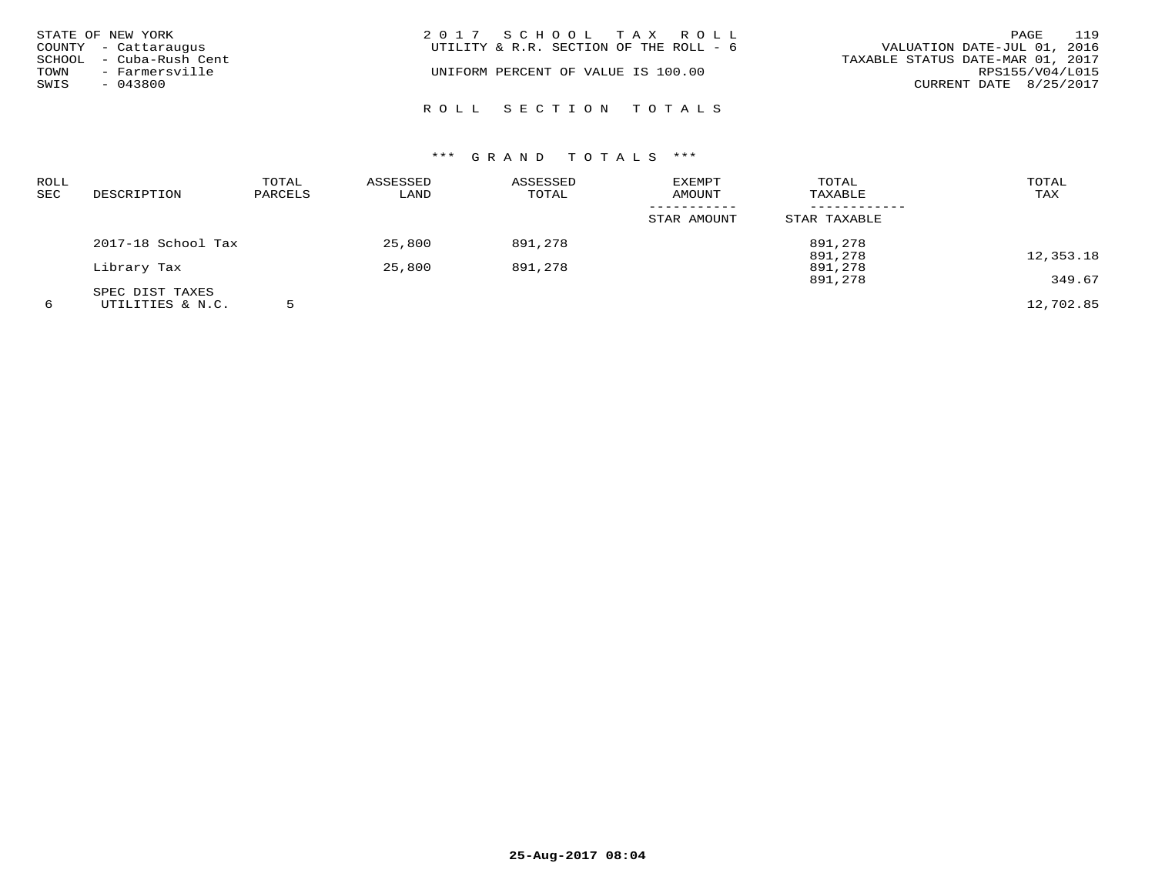| STATE OF NEW YORK<br>COUNTY - Cattaraugus<br>SCHOOL - Cuba-Rush Cent<br>TOWN<br>- Farmersville<br>SWIS<br>$-043800$ | 2017 SCHOOL TAX ROLL<br>UTILITY & R.R. SECTION OF THE ROLL - 6<br>UNIFORM PERCENT OF VALUE IS 100.00 | 119<br>PAGE<br>VALUATION DATE-JUL 01, 2016<br>TAXABLE STATUS DATE-MAR 01, 2017<br>RPS155/V04/L015<br>CURRENT DATE 8/25/2017 |
|---------------------------------------------------------------------------------------------------------------------|------------------------------------------------------------------------------------------------------|-----------------------------------------------------------------------------------------------------------------------------|
|                                                                                                                     | ROLL SECTION TOTALS                                                                                  |                                                                                                                             |

| ROLL<br><b>SEC</b> | DESCRIPTION        | TOTAL<br>PARCELS | ASSESSED<br>LAND | ASSESSED<br>TOTAL | EXEMPT<br>AMOUNT | TOTAL<br>TAXABLE | TOTAL<br>TAX |
|--------------------|--------------------|------------------|------------------|-------------------|------------------|------------------|--------------|
|                    |                    |                  |                  |                   | STAR AMOUNT      | STAR TAXABLE     |              |
|                    | 2017-18 School Tax |                  | 25,800           | 891,278           |                  | 891,278          |              |
|                    |                    |                  |                  |                   |                  | 891,278          | 12,353.18    |
|                    | Library Tax        |                  | 25,800           | 891,278           |                  | 891,278          |              |
|                    |                    |                  |                  |                   |                  | 891,278          | 349.67       |
|                    | SPEC DIST TAXES    |                  |                  |                   |                  |                  |              |
| 6                  | UTILITIES & N.C.   |                  |                  |                   |                  |                  | 12,702.85    |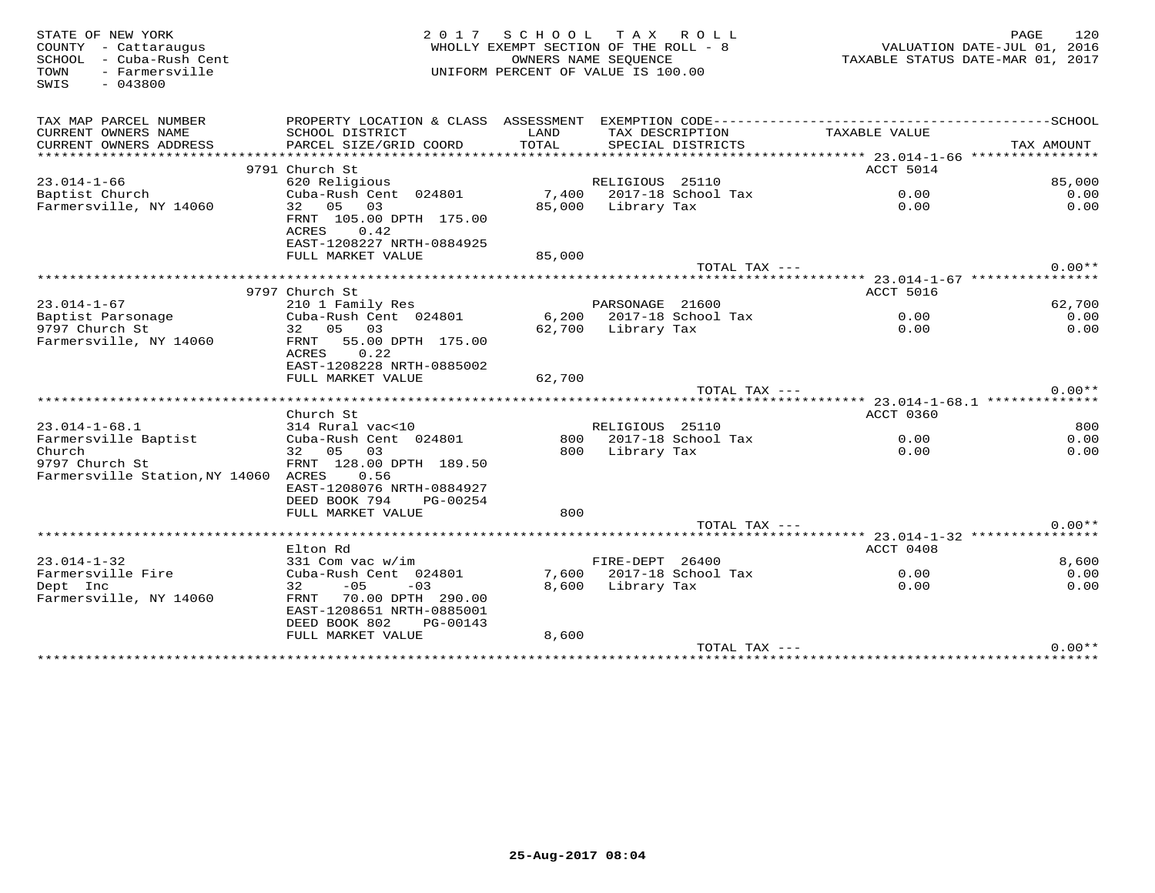| STATE OF NEW YORK<br>COUNTY - Cattaraugus<br>SCHOOL - Cuba-Rush Cent<br>- Farmersville<br>TOWN<br>$-043800$<br>SWIS | 2 0 1 7                                                                                                     | SCHOOL<br>WHOLLY EXEMPT SECTION OF THE ROLL - 8<br>OWNERS NAME SEOUENCE<br>UNIFORM PERCENT OF VALUE IS 100.00 |                    | TAX ROLL                             |               | 120<br>PAGE<br>VALUATION DATE-JUL 01, 2016<br>TAXABLE STATUS DATE-MAR 01, 2017 |
|---------------------------------------------------------------------------------------------------------------------|-------------------------------------------------------------------------------------------------------------|---------------------------------------------------------------------------------------------------------------|--------------------|--------------------------------------|---------------|--------------------------------------------------------------------------------|
| TAX MAP PARCEL NUMBER                                                                                               |                                                                                                             |                                                                                                               |                    |                                      |               |                                                                                |
| CURRENT OWNERS NAME<br>CURRENT OWNERS ADDRESS                                                                       | SCHOOL DISTRICT<br>PARCEL SIZE/GRID COORD                                                                   | LAND<br>TOTAL                                                                                                 |                    | TAX DESCRIPTION<br>SPECIAL DISTRICTS | TAXABLE VALUE | TAX AMOUNT                                                                     |
| *************************                                                                                           |                                                                                                             |                                                                                                               |                    |                                      |               |                                                                                |
| $23.014 - 1 - 66$                                                                                                   | 9791 Church St                                                                                              |                                                                                                               | RELIGIOUS 25110    |                                      | ACCT 5014     | 85,000                                                                         |
| Baptist Church                                                                                                      | 620 Religious<br>Cuba-Rush Cent 024801                                                                      |                                                                                                               |                    | 7,400 2017-18 School Tax             | 0.00          | 0.00                                                                           |
| Farmersville, NY 14060                                                                                              | 32 05 03                                                                                                    |                                                                                                               | 85,000 Library Tax |                                      | 0.00          | 0.00                                                                           |
|                                                                                                                     | FRNT 105.00 DPTH 175.00<br>ACRES<br>0.42<br>EAST-1208227 NRTH-0884925                                       |                                                                                                               |                    |                                      |               |                                                                                |
|                                                                                                                     | FULL MARKET VALUE                                                                                           | 85,000                                                                                                        |                    |                                      |               |                                                                                |
|                                                                                                                     |                                                                                                             |                                                                                                               |                    | TOTAL TAX ---                        |               | $0.00**$                                                                       |
|                                                                                                                     |                                                                                                             |                                                                                                               |                    |                                      |               |                                                                                |
| $23.014 - 1 - 67$                                                                                                   | 9797 Church St                                                                                              |                                                                                                               | PARSONAGE 21600    |                                      | ACCT 5016     | 62,700                                                                         |
| Baptist Parsonage                                                                                                   | 210 1 Family Res<br>Cuba-Rush Cent 024801                                                                   | 6,200                                                                                                         |                    | 2017-18 School Tax                   | 0.00          | 0.00                                                                           |
| 9797 Church St                                                                                                      | 32 05 03                                                                                                    |                                                                                                               | 62,700 Library Tax |                                      | 0.00          | 0.00                                                                           |
| Farmersville, NY 14060                                                                                              | 55.00 DPTH 175.00<br>FRNT<br>0.22<br>ACRES<br>EAST-1208228 NRTH-0885002<br>FULL MARKET VALUE                | 62,700                                                                                                        |                    |                                      |               |                                                                                |
|                                                                                                                     |                                                                                                             |                                                                                                               |                    | TOTAL TAX ---                        |               | $0.00**$                                                                       |
|                                                                                                                     |                                                                                                             |                                                                                                               |                    |                                      |               |                                                                                |
|                                                                                                                     | Church St                                                                                                   |                                                                                                               |                    |                                      | ACCT 0360     |                                                                                |
| $23.014 - 1 - 68.1$                                                                                                 | 314 Rural vac<10                                                                                            |                                                                                                               | RELIGIOUS 25110    |                                      |               | 800                                                                            |
| Farmersville Baptist                                                                                                | Cuba-Rush Cent 024801                                                                                       |                                                                                                               |                    | 800 2017-18 School Tax               | 0.00          | 0.00                                                                           |
| Church<br>9797 Church St<br>Farmersville Station, NY 14060                                                          | 32 05<br>03<br>FRNT 128.00 DPTH 189.50<br>ACRES<br>0.56                                                     | 800                                                                                                           | Library Tax        |                                      | 0.00          | 0.00                                                                           |
|                                                                                                                     | EAST-1208076 NRTH-0884927<br>DEED BOOK 794<br>PG-00254                                                      |                                                                                                               |                    |                                      |               |                                                                                |
|                                                                                                                     | FULL MARKET VALUE                                                                                           | 800                                                                                                           |                    |                                      |               |                                                                                |
|                                                                                                                     |                                                                                                             |                                                                                                               |                    | TOTAL TAX ---                        |               | $0.00**$                                                                       |
|                                                                                                                     | Elton Rd                                                                                                    |                                                                                                               |                    |                                      | ACCT 0408     |                                                                                |
| $23.014 - 1 - 32$                                                                                                   | 331 Com vac w/im                                                                                            |                                                                                                               | FIRE-DEPT 26400    |                                      |               | 8,600                                                                          |
| Farmersville Fire                                                                                                   | Cuba-Rush Cent 024801                                                                                       |                                                                                                               |                    | 7,600 2017-18 School Tax             | 0.00          | 0.00                                                                           |
| Dept Inc<br>Farmersville, NY 14060                                                                                  | 32<br>$-05$<br>$-03$<br>70.00 DPTH 290.00<br>FRNT<br>EAST-1208651 NRTH-0885001<br>DEED BOOK 802<br>PG-00143 | 8,600                                                                                                         | Library Tax        |                                      | 0.00          | 0.00                                                                           |
|                                                                                                                     | FULL MARKET VALUE                                                                                           | 8,600                                                                                                         |                    |                                      |               |                                                                                |
|                                                                                                                     |                                                                                                             |                                                                                                               |                    | TOTAL TAX ---                        |               | $0.00**$                                                                       |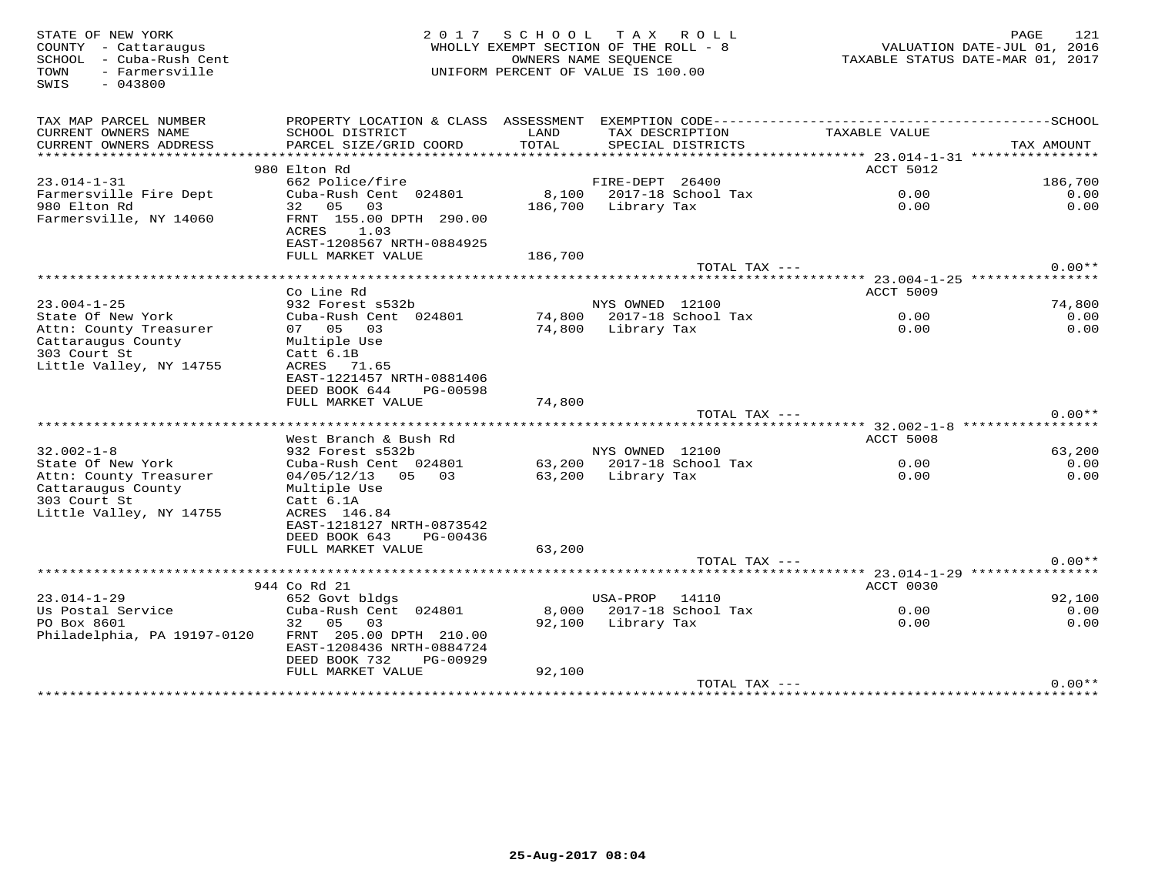STATE OF NEW YORK GREE 121 (2017 SCHOOL TAX ROLL) DAGE 121 PAGE 121<br>COUNTY - Cattaraugus (2016) WHOLLY EXEMPT SECTION OF THE ROLL - 8 (2016) VALUATION DATE-JUL 01, 2016<br>SOHOOL - Cuba-Rush Cent (2017 ) (INTEORN PERCENT OF V SWIS - 043800TAX MAP PARCEL NUMBER PROPERTY LOCATION & CLASS ASSESSMENT EXEMPTION CODE------------------------------------------SCHOOL CURRENT OWNERS NAME SCHOOL DISTRICT LAND TAX DESCRIPTION TAXABLE VALUE CURRENT OWNERS ADDRESS PARCEL SIZE/GRID COORD TOTAL SPECIAL DISTRICTS TAX AMOUNT \*\*\*\*\*\*\*\*\*\*\*\*\*\*\*\*\*\*\*\*\*\*\*\*\*\*\*\*\*\*\*\*\*\*\*\*\*\*\*\*\*\*\*\*\*\*\*\*\*\*\*\*\*\*\*\*\*\*\*\*\*\*\*\*\*\*\*\*\*\*\*\*\*\*\*\*\*\*\*\*\*\*\*\*\*\*\*\*\*\*\*\*\*\*\*\*\*\*\*\*\*\*\* 23.014-1-31 \*\*\*\*\*\*\*\*\*\*\*\*\*\*\*\*extended to the second second second and the second second second second second second second second second second second second second second second second second second second second second second second second second se 23.014-1-31 662 Police/fire FIRE-DEPT 26400 186,700  $0.00$ Farmersville Fire Dept Cuba-Rush Cent 024801 8,100 2017-18 School Tax 0.00 0.00 $0.00$ 980 Elton Rd 32 05 03 186,700 Library Tax 0.00 0.00Farmersville, NY 14060 FRNT 155.00 DPTH 290.00example and the contract of  $\Lambda$ CRES and  $1.03$  EAST-1208567 NRTH-0884925 FULL MARKET VALUE 186,700TOTAL TAX  $---$  0.00\*\* \*\*\*\*\*\*\*\*\*\*\*\*\*\*\*\*\*\*\*\*\*\*\*\*\*\*\*\*\*\*\*\*\*\*\*\*\*\*\*\*\*\*\*\*\*\*\*\*\*\*\*\*\*\*\*\*\*\*\*\*\*\*\*\*\*\*\*\*\*\*\*\*\*\*\*\*\*\*\*\*\*\*\*\*\*\*\*\*\*\*\*\*\*\*\*\*\*\*\*\*\*\*\* 23.004-1-25 \*\*\*\*\*\*\*\*\*\*\*\*\*\*\*\* Co Line Rd ACCT 5009 23.004-1-25 932 Forest s532b NYS OWNED 12100 74,800 $0.00$ State Of New York Cuba-Rush Cent 024801 74,800 2017-18 School Tax 0.00 0.00 $0.00$ Attn: County Treasurer 07 05 03 74,800 Library Tax 0.00 0.00Cattaraugus County Multiple Use 303 Court St Catt 6.1B Little Valley, NY 14755 ACRES 71.65 EAST-1221457 NRTH-0881406 DEED BOOK 644 PG-00598 FULL MARKET VALUE 74,800 TOTAL TAX --- 0.00\*\* \*\*\*\*\*\*\*\*\*\*\*\*\*\*\*\*\*\*\*\*\*\*\*\*\*\*\*\*\*\*\*\*\*\*\*\*\*\*\*\*\*\*\*\*\*\*\*\*\*\*\*\*\*\*\*\*\*\*\*\*\*\*\*\*\*\*\*\*\*\*\*\*\*\*\*\*\*\*\*\*\*\*\*\*\*\*\*\*\*\*\*\*\*\*\*\*\*\*\*\*\*\*\* 32.002-1-8 \*\*\*\*\*\*\*\*\*\*\*\*\*\*\*\*\*West Branch & Bush Rd ACCT 5008 ACCT 5008  $0.00$ <br> $0.00$ 32.002-1-8 932 Forest s532b NYS OWNED 12100 63,200 $0.00$ State Of New York Cuba-Rush Cent 024801 63,200 2017-18 School Tax 0.00 0.00 $0.00$ Attn: County Treasurer 04/05/12/13 05 03 63,200 Library Tax 0.00 0.00Cattaraugus County Multiple Use<br>303 Court St Catt 6.1A Little Valley, NY 14755 ACRES 146.84 EAST-1218127 NRTH-0873542 DEED BOOK 643 PG-00436 FULL MARKET VALUE 63,200 TOTAL TAX --- 0.00\*\* \*\*\*\*\*\*\*\*\*\*\*\*\*\*\*\*\*\*\*\*\*\*\*\*\*\*\*\*\*\*\*\*\*\*\*\*\*\*\*\*\*\*\*\*\*\*\*\*\*\*\*\*\*\*\*\*\*\*\*\*\*\*\*\*\*\*\*\*\*\*\*\*\*\*\*\*\*\*\*\*\*\*\*\*\*\*\*\*\*\*\*\*\*\*\*\*\*\*\*\*\*\*\* 23.014-1-29 \*\*\*\*\*\*\*\*\*\*\*\*\*\*\*\*944 Co Rd 21 مي 1944 Oo Rd 21 مي بين 1944 Oo Rd 21 مي بين 1944 Oo Rd 21 مي بين 1944 Oo Rd 21 مي بين 1952.<br>23.014-1-29 مي 192,100  $0.00$ Us Postal Service Cuba-Rush Cent 024801 8,000 2017-18 School Tax 0.00 0.00 $0.00$ PO Box 8601 32 05 03 92,100 Library Tax 0.00 0.00Philadelphia, PA 19197-0120 FRNT 205.00 DPTH 210.00 EAST-1208436 NRTH-0884724 DEED BOOK 732 PG-00929 FULL MARKET VALUE 92,100TOTAL TAX  $---$  0.00\*\*

\*\*\*\*\*\*\*\*\*\*\*\*\*\*\*\*\*\*\*\*\*\*\*\*\*\*\*\*\*\*\*\*\*\*\*\*\*\*\*\*\*\*\*\*\*\*\*\*\*\*\*\*\*\*\*\*\*\*\*\*\*\*\*\*\*\*\*\*\*\*\*\*\*\*\*\*\*\*\*\*\*\*\*\*\*\*\*\*\*\*\*\*\*\*\*\*\*\*\*\*\*\*\*\*\*\*\*\*\*\*\*\*\*\*\*\*\*\*\*\*\*\*\*\*\*\*\*\*\*\*\*\*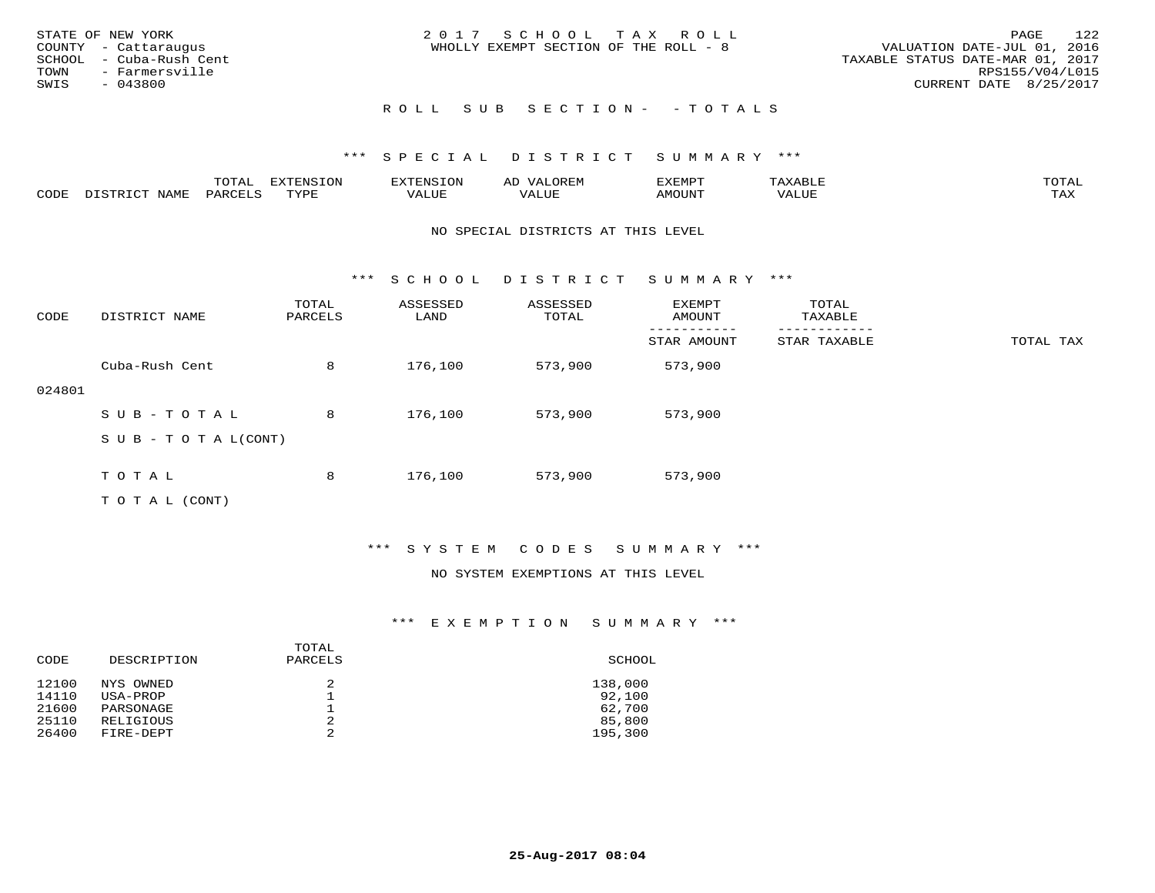| STATE OF NEW YORK<br>COUNTY - Cattaraugus<br>SCHOOL - Cuba-Rush Cent<br>TOWN<br>- Farmersville<br>SWIS<br>- 043800 | 2017 SCHOOL TAX ROLL<br>WHOLLY EXEMPT SECTION OF THE ROLL - 8 | 122<br>PAGE<br>VALUATION DATE-JUL 01, 2016<br>TAXABLE STATUS DATE-MAR 01, 2017<br>RPS155/V04/L015<br>CURRENT DATE 8/25/2017 |
|--------------------------------------------------------------------------------------------------------------------|---------------------------------------------------------------|-----------------------------------------------------------------------------------------------------------------------------|
|                                                                                                                    | ROLL SUB SECTION- - TOTALS                                    |                                                                                                                             |

|                  |      | $m \wedge m$<br>$\sqrt{ }$ |      | ਜੰਨਾਵ |                   | IXEMPT       |       |                     |
|------------------|------|----------------------------|------|-------|-------------------|--------------|-------|---------------------|
| $\gamma$<br>こつレア | NAML | PARTT                      | TVDF | ALUE  | $- - - -$<br>ALUR | <b>MOUNT</b> | VALUE | $m \times r$<br>∸∽∽ |

#### NO SPECIAL DISTRICTS AT THIS LEVEL

\*\*\* S C H O O L D I S T R I C T S U M M A R Y \*\*\*

| CODE   | DISTRICT NAME                    | TOTAL<br>PARCELS | ASSESSED<br>LAND | ASSESSED<br>TOTAL | EXEMPT<br>AMOUNT | TOTAL<br>TAXABLE |           |
|--------|----------------------------------|------------------|------------------|-------------------|------------------|------------------|-----------|
|        |                                  |                  |                  |                   | STAR AMOUNT      | STAR TAXABLE     | TOTAL TAX |
|        | Cuba-Rush Cent                   | 8                | 176,100          | 573,900           | 573,900          |                  |           |
| 024801 |                                  |                  |                  |                   |                  |                  |           |
|        | SUB-TOTAL                        | 8                | 176,100          | 573,900           | 573,900          |                  |           |
|        | $S \cup B - T \cup T A L (CONT)$ |                  |                  |                   |                  |                  |           |
|        |                                  |                  |                  |                   |                  |                  |           |
|        | TOTAL                            | 8                | 176,100          | 573,900           | 573,900          |                  |           |
|        | T O T A L (CONT)                 |                  |                  |                   |                  |                  |           |

# \*\*\* S Y S T E M C O D E S S U M M A R Y \*\*\*

#### NO SYSTEM EXEMPTIONS AT THIS LEVEL

| CODE  | DESCRIPTION | TOTAL<br>PARCELS | SCHOOL  |
|-------|-------------|------------------|---------|
| 12100 | NYS OWNED   |                  | 138,000 |
| 14110 | USA-PROP    |                  | 92,100  |
| 21600 | PARSONAGE   |                  | 62,700  |
| 25110 | RELIGIOUS   | 2                | 85,800  |
| 26400 | FIRE-DEPT   | っ                | 195,300 |
|       |             |                  |         |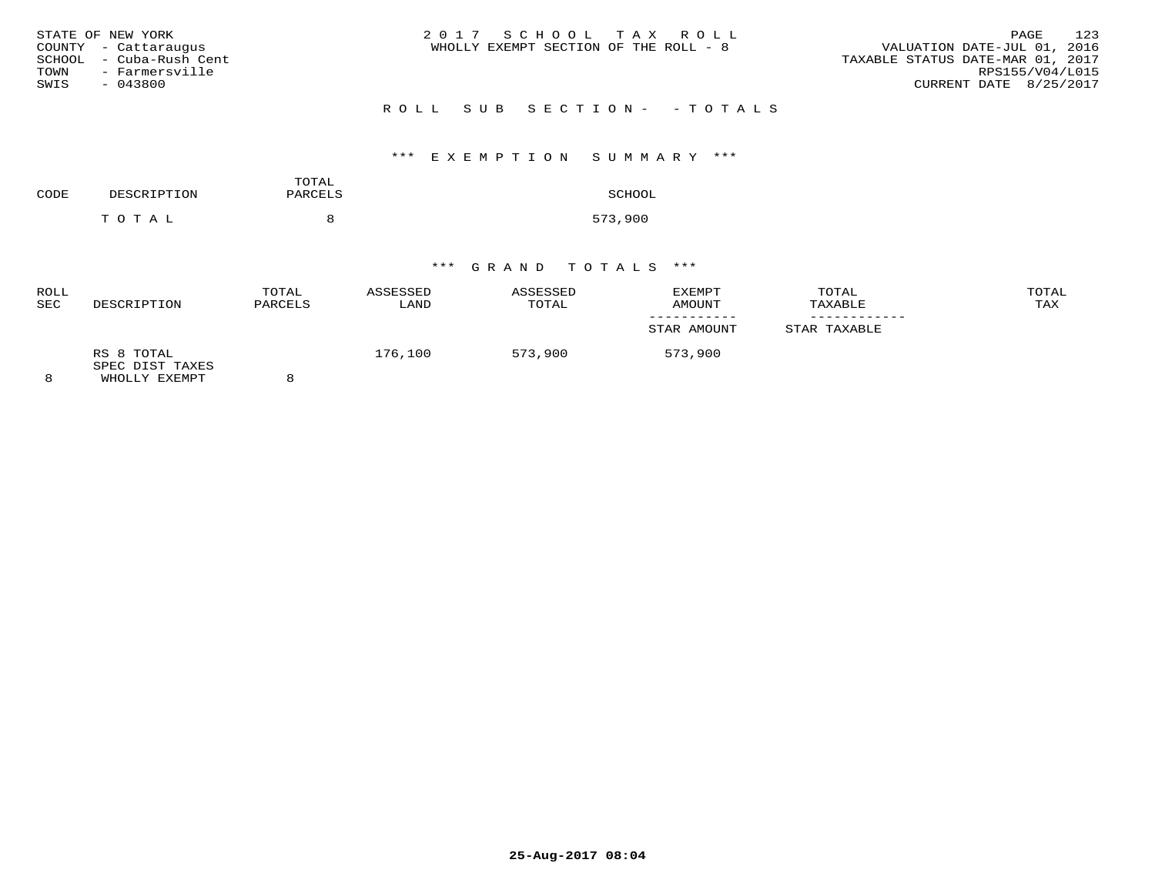| STATE OF NEW YORK<br>COUNTY - Cattarauqus<br>SCHOOL  – Cuba-Rush Cent | 2017 SCHOOL TAX ROLL<br>WHOLLY EXEMPT SECTION OF THE ROLL - 8 | 123<br>PAGE<br>VALUATION DATE-JUL 01, 2016<br>TAXABLE STATUS DATE-MAR 01, 2017 |
|-----------------------------------------------------------------------|---------------------------------------------------------------|--------------------------------------------------------------------------------|
| TOWN<br>- Farmersville<br>SWIS<br>- 043800                            | ROLL SUB SECTION- -TOTALS                                     | RPS155/V04/L015<br>CURRENT DATE 8/25/2017                                      |

# \*\*\* E X E M P T I O N S U M M A R Y \*\*\*

| CODE | DESCRIPTION | TOTAL<br>PARCELS | SCHOOL  |
|------|-------------|------------------|---------|
|      | тотаь       |                  | 573,900 |

| <b>ROLL</b><br><b>SEC</b> | DESCRIPTION                                    | TOTAL<br>PARCELS | ASSESSED<br>LAND | ASSESSED<br>TOTAL | EXEMPT<br>AMOUNT | TOTAL<br>TAXABLE | TOTAL<br>TAX |
|---------------------------|------------------------------------------------|------------------|------------------|-------------------|------------------|------------------|--------------|
|                           |                                                |                  |                  |                   | STAR AMOUNT      | STAR TAXABLE     |              |
| 8                         | RS 8 TOTAL<br>SPEC DIST TAXES<br>WHOLLY EXEMPT | $\circ$          | 176,100          | 573,900           | 573,900          |                  |              |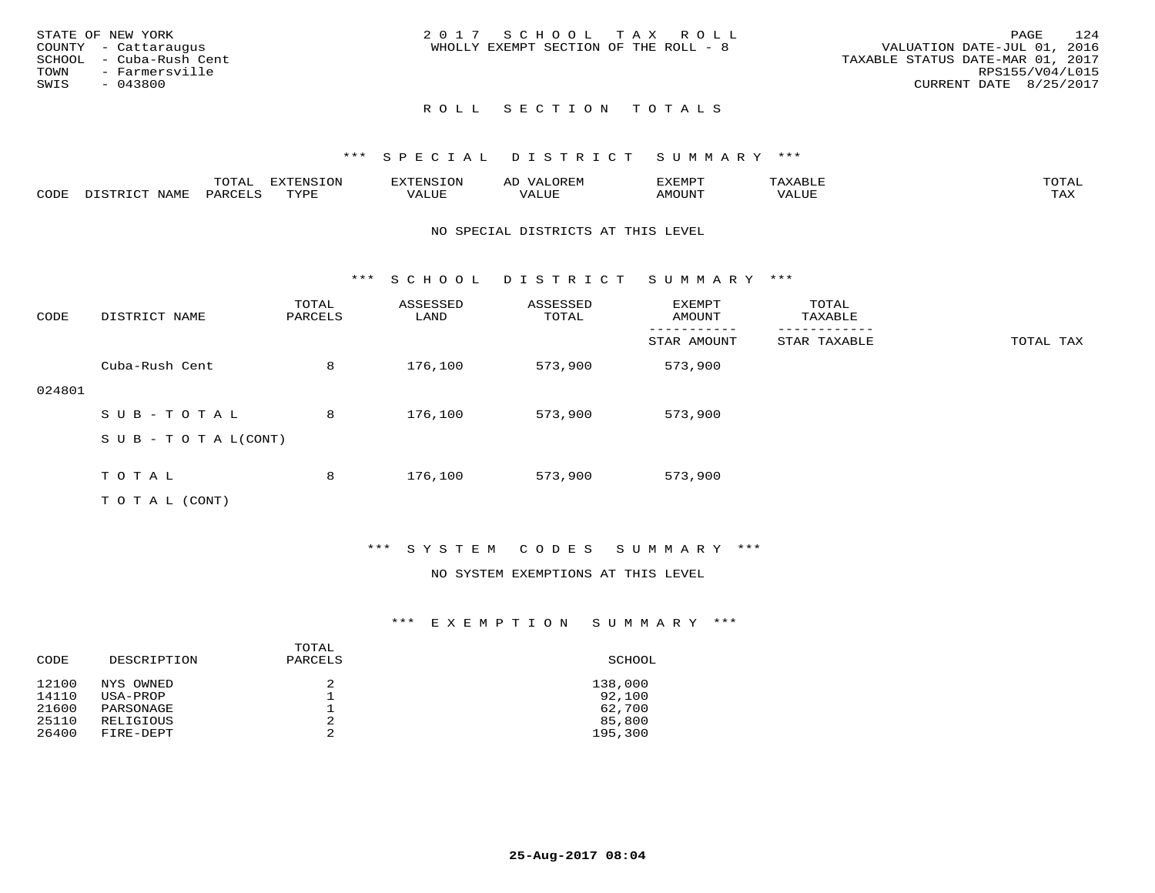|      | STATE OF NEW YORK       | 2017 SCHOOL TAX ROLL                  |                                  | PAGE | 124 |
|------|-------------------------|---------------------------------------|----------------------------------|------|-----|
|      | COUNTY - Cattaraugus    | WHOLLY EXEMPT SECTION OF THE ROLL - 8 | VALUATION DATE-JUL 01, 2016      |      |     |
|      | SCHOOL - Cuba-Rush Cent |                                       | TAXABLE STATUS DATE-MAR 01, 2017 |      |     |
|      | TOWN - Farmersville     |                                       | RPS155/V04/L015                  |      |     |
| SWIS | - 043800                |                                       | CURRENT DATE 8/25/2017           |      |     |
|      |                         |                                       |                                  |      |     |

# ROLL SECTION TOTALS

# \*\*\* S P E C I A L D I S T R I C T S U M M A R Y \*\*\*

|      |                        | momz<br>UIAI | $H12HH111A1A+O11$<br>- OIY | ----------<br>$\sim$ | ⊷     | ,,, <del>,</del> ,,,,,<br>″ –<br>∸∠⊥∟∟∟∟ |                          | $m \wedge m \wedge$ |
|------|------------------------|--------------|----------------------------|----------------------|-------|------------------------------------------|--------------------------|---------------------|
| CODE | <b>NAM<sup>T</sup></b> | PAR(         | TVDF                       | ALUP                 | ക്വധല | TUUOMA                                   | , , , , , , , ,<br>'ALUL | max 37<br>∸⊷        |

#### NO SPECIAL DISTRICTS AT THIS LEVEL

\*\*\* S C H O O L D I S T R I C T S U M M A R Y \*\*\*

| CODE   | DISTRICT NAME                    | TOTAL<br>PARCELS | ASSESSED<br>LAND | ASSESSED<br>TOTAL | EXEMPT<br>AMOUNT | TOTAL<br>TAXABLE |           |
|--------|----------------------------------|------------------|------------------|-------------------|------------------|------------------|-----------|
|        |                                  |                  |                  |                   | STAR AMOUNT      | STAR TAXABLE     | TOTAL TAX |
|        | Cuba-Rush Cent                   | 8                | 176,100          | 573,900           | 573,900          |                  |           |
| 024801 |                                  |                  |                  |                   |                  |                  |           |
|        | SUB-TOTAL                        | 8                | 176,100          | 573,900           | 573,900          |                  |           |
|        | $S \cup B - T \cup T A L (CONT)$ |                  |                  |                   |                  |                  |           |
|        |                                  |                  |                  |                   |                  |                  |           |
|        | TOTAL                            | 8                | 176,100          | 573,900           | 573,900          |                  |           |
|        | T O T A L (CONT)                 |                  |                  |                   |                  |                  |           |

# \*\*\* S Y S T E M C O D E S S U M M A R Y \*\*\*

#### NO SYSTEM EXEMPTIONS AT THIS LEVEL

| CODE  | DESCRIPTION | TOTAL<br>PARCELS | SCHOOL  |
|-------|-------------|------------------|---------|
| 12100 | NYS OWNED   |                  | 138,000 |
| 14110 | USA-PROP    |                  | 92,100  |
| 21600 | PARSONAGE   |                  | 62,700  |
| 25110 | RELIGIOUS   | 2                | 85,800  |
| 26400 | FIRE-DEPT   | っ                | 195,300 |
|       |             |                  |         |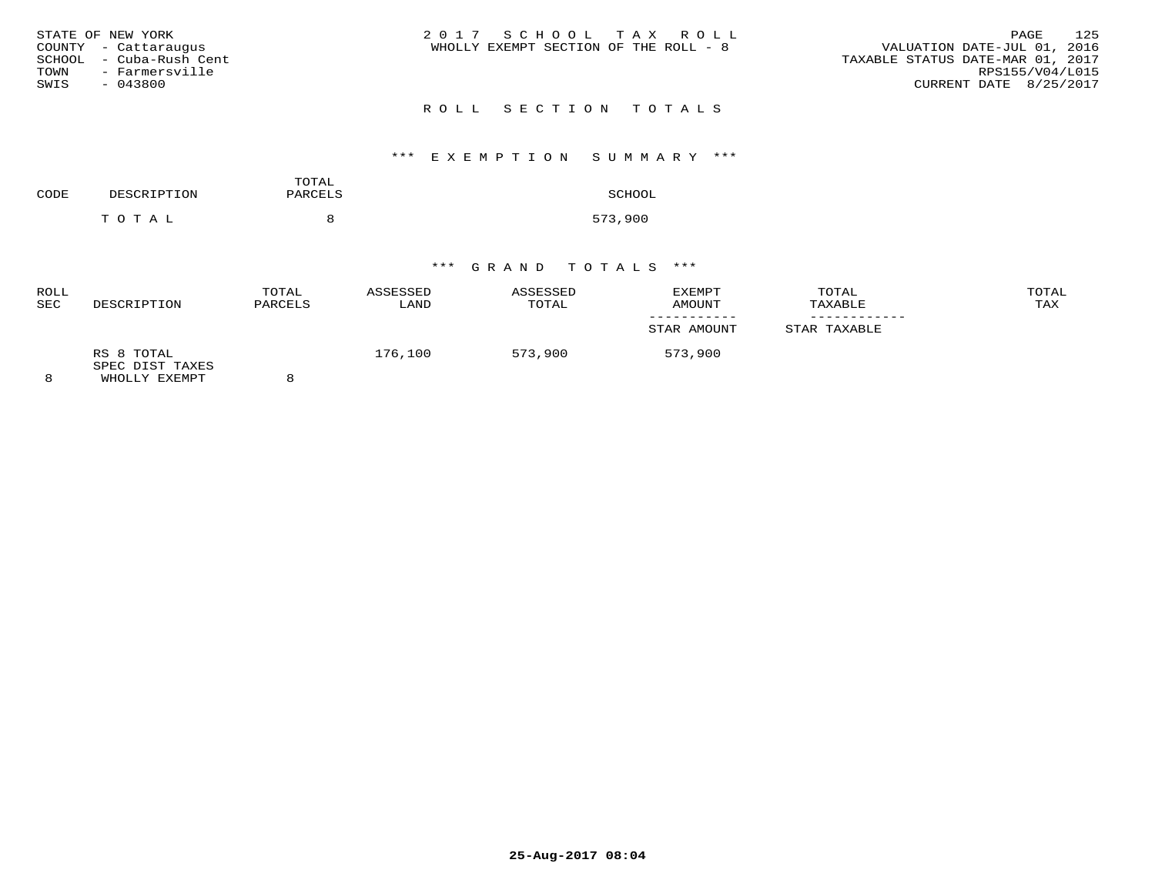| STATE OF NEW YORK<br>COUNTY - Cattarauqus<br>SCHOOL  – Cuba-Rush Cent<br>TOWN<br>- Farmersville<br>SWIS<br>- 043800 | 2017 SCHOOL TAX ROLL<br>WHOLLY EXEMPT SECTION OF THE ROLL - 8 | 125<br>PAGE<br>VALUATION DATE-JUL 01, 2016<br>TAXABLE STATUS DATE-MAR 01, 2017<br>RPS155/V04/L015<br>CURRENT DATE 8/25/2017 |
|---------------------------------------------------------------------------------------------------------------------|---------------------------------------------------------------|-----------------------------------------------------------------------------------------------------------------------------|
|                                                                                                                     | ROLL SECTION TOTALS                                           |                                                                                                                             |

# \*\*\* E X E M P T I O N S U M M A R Y \*\*\*

| CODE | DESCRIPTION | TOTAL<br>PARCELS | SCHOOL  |
|------|-------------|------------------|---------|
|      | T O T A L   | я                | 573,900 |

| <b>ROLL</b><br><b>SEC</b> | DESCRIPTION                                    | TOTAL<br>PARCELS | ASSESSED<br>LAND | ASSESSED<br>TOTAL | EXEMPT<br>AMOUNT | TOTAL<br>TAXABLE | TOTAL<br>TAX |
|---------------------------|------------------------------------------------|------------------|------------------|-------------------|------------------|------------------|--------------|
|                           |                                                |                  |                  |                   | STAR AMOUNT      | STAR TAXABLE     |              |
| 8                         | RS 8 TOTAL<br>SPEC DIST TAXES<br>WHOLLY EXEMPT |                  | 176,100          | 573,900           | 573,900          |                  |              |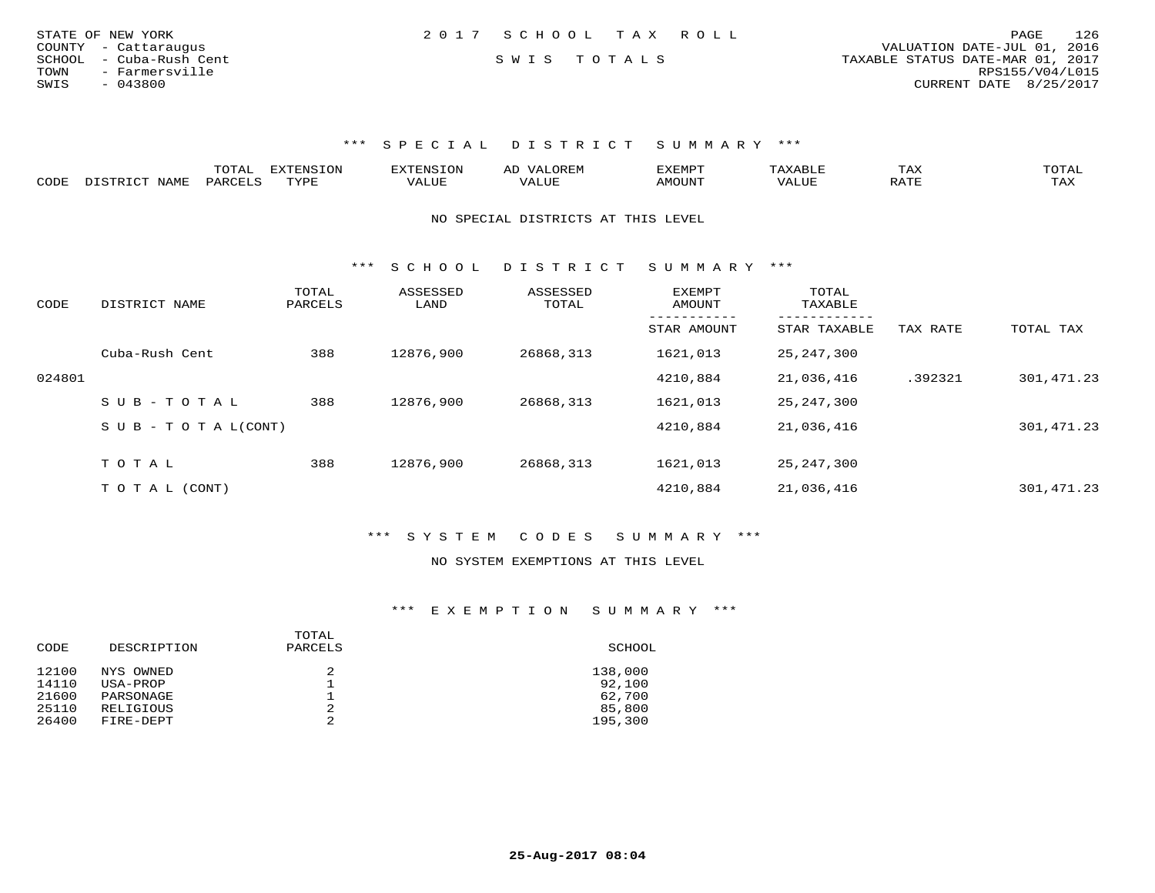| STATE OF NEW YORK       | 2017 SCHOOL TAX ROLL | 126<br>PAGE                      |
|-------------------------|----------------------|----------------------------------|
| COUNTY - Cattaraugus    |                      | VALUATION DATE-JUL 01, 2016      |
| SCHOOL - Cuba-Rush Cent | SWIS TOTALS          | TAXABLE STATUS DATE-MAR 01, 2017 |
| TOWN<br>- Farmersville  |                      | RPS155/V04/L015                  |
| SWIS<br>$-043800$       |                      | CURRENT DATE 8/25/2017           |

|      |             | m^m*`         | <b>FYTFNSTON</b><br>◡◡ |  | $\mathbf{r}$<br>'YFMF | TAX              | ົບ⊥⊏⊾ |
|------|-------------|---------------|------------------------|--|-----------------------|------------------|-------|
| CODE | <b>NAME</b> | <b>DARCET</b> | TVDF                   |  | OUN.                  | .7mm<br>$\cdots$ | L'AX  |

NO SPECIAL DISTRICTS AT THIS LEVEL

\*\*\* S C H O O L D I S T R I C T S U M M A R Y \*\*\*

| CODE   | DISTRICT NAME                    | TOTAL<br>PARCELS | ASSESSED<br>LAND | ASSESSED<br>TOTAL | EXEMPT<br>AMOUNT | TOTAL<br>TAXABLE |          |            |
|--------|----------------------------------|------------------|------------------|-------------------|------------------|------------------|----------|------------|
|        |                                  |                  |                  |                   | STAR AMOUNT      | STAR TAXABLE     | TAX RATE | TOTAL TAX  |
|        | Cuba-Rush Cent                   | 388              | 12876,900        | 26868,313         | 1621,013         | 25, 247, 300     |          |            |
| 024801 |                                  |                  |                  |                   | 4210,884         | 21,036,416       | .392321  | 301,471.23 |
|        | SUB-TOTAL                        | 388              | 12876,900        | 26868,313         | 1621,013         | 25, 247, 300     |          |            |
|        | $S \cup B - T \cup T A L (CONT)$ |                  |                  |                   | 4210,884         | 21,036,416       |          | 301,471.23 |
|        |                                  |                  |                  |                   |                  |                  |          |            |
|        | TOTAL                            | 388              | 12876,900        | 26868,313         | 1621,013         | 25, 247, 300     |          |            |
|        | T O T A L (CONT)                 |                  |                  |                   | 4210,884         | 21,036,416       |          | 301,471.23 |

\*\*\* S Y S T E M C O D E S S U M M A R Y \*\*\*

#### NO SYSTEM EXEMPTIONS AT THIS LEVEL

| CODE  | DESCRIPTION | TOTAL<br>PARCELS | SCHOOL  |
|-------|-------------|------------------|---------|
| 12100 | NYS OWNED   | 2                | 138,000 |
| 14110 | USA-PROP    | ᅩ                | 92,100  |
| 21600 | PARSONAGE   | ᅩ                | 62,700  |
| 25110 | RELIGIOUS   | 2                | 85,800  |
| 26400 | FIRE-DEPT   | 2                | 195,300 |
|       |             |                  |         |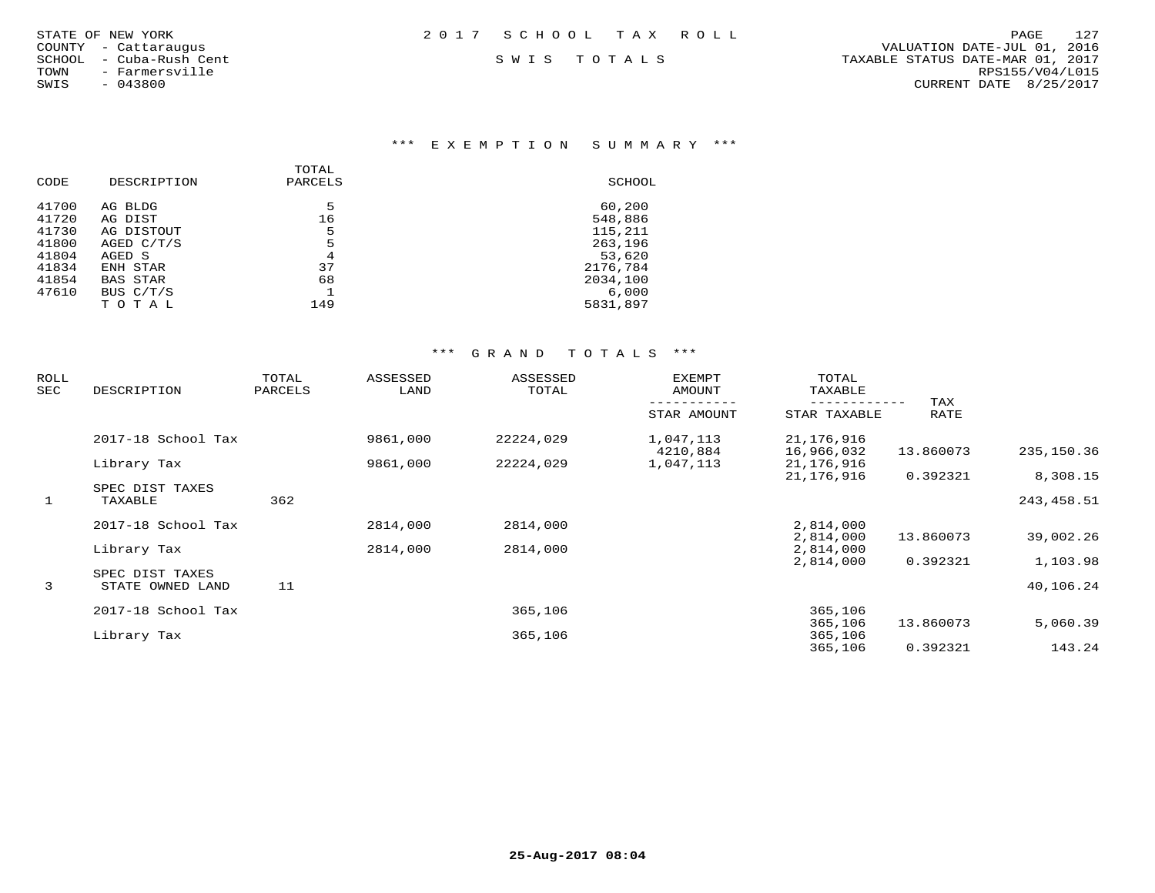|       | TATE OF NEW YORK    |
|-------|---------------------|
|       | DUNTY - Cattarauqus |
| CHOOL | - Cuba-Rush Cent    |
| NWC   | - Farmersville      |
| NIS.  | $-043800$           |

# \*\*\* E X E M P T I O N S U M M A R Y \*\*\*

| CODE  | DESCRIPTION     | TOTAL<br>PARCELS | SCHOOL   |
|-------|-----------------|------------------|----------|
| 41700 | AG BLDG         | 5                | 60,200   |
| 41720 | AG DIST         | 16               | 548,886  |
| 41730 | AG DISTOUT      | 5                | 115,211  |
| 41800 | AGED $C/T/S$    | 5                | 263,196  |
| 41804 | AGED S          | 4                | 53,620   |
| 41834 | ENH STAR        | 37               | 2176,784 |
| 41854 | <b>BAS STAR</b> | 68               | 2034,100 |
| 47610 | BUS C/T/S       |                  | 6.000    |
|       | TOTAL           | 149              | 5831,897 |
|       |                 |                  |          |

| ROLL<br>SEC  | DESCRIPTION                | TOTAL<br>PARCELS | ASSESSED<br>LAND | ASSESSED<br>TOTAL | EXEMPT<br>AMOUNT      | TOTAL<br>TAXABLE         |             |             |
|--------------|----------------------------|------------------|------------------|-------------------|-----------------------|--------------------------|-------------|-------------|
|              |                            |                  |                  |                   | STAR AMOUNT           | STAR TAXABLE             | TAX<br>RATE |             |
|              | 2017-18 School Tax         |                  | 9861,000         | 22224,029         | 1,047,113             | 21,176,916               |             | 235,150.36  |
|              | Library Tax                |                  | 9861,000         | 22224,029         | 4210,884<br>1,047,113 | 16,966,032<br>21,176,916 | 13.860073   |             |
|              |                            |                  |                  |                   |                       | 21,176,916               | 0.392321    | 8,308.15    |
| $\mathbf{1}$ | SPEC DIST TAXES<br>TAXABLE | 362              |                  |                   |                       |                          |             | 243, 458.51 |
|              | 2017-18 School Tax         |                  | 2814,000         | 2814,000          |                       | 2,814,000                |             |             |
|              |                            |                  |                  |                   |                       | 2,814,000                | 13.860073   | 39,002.26   |
|              | Library Tax                |                  | 2814,000         | 2814,000          |                       | 2,814,000                |             |             |
|              | SPEC DIST TAXES            |                  |                  |                   |                       | 2,814,000                | 0.392321    | 1,103.98    |
| 3            | STATE OWNED LAND           | 11               |                  |                   |                       |                          |             | 40,106.24   |
|              | 2017-18 School Tax         |                  |                  | 365,106           |                       | 365,106                  |             |             |
|              |                            |                  |                  |                   |                       | 365,106                  | 13.860073   | 5,060.39    |
|              | Library Tax                |                  |                  | 365,106           |                       | 365,106                  |             |             |
|              |                            |                  |                  |                   |                       | 365,106                  | 0.392321    | 143.24      |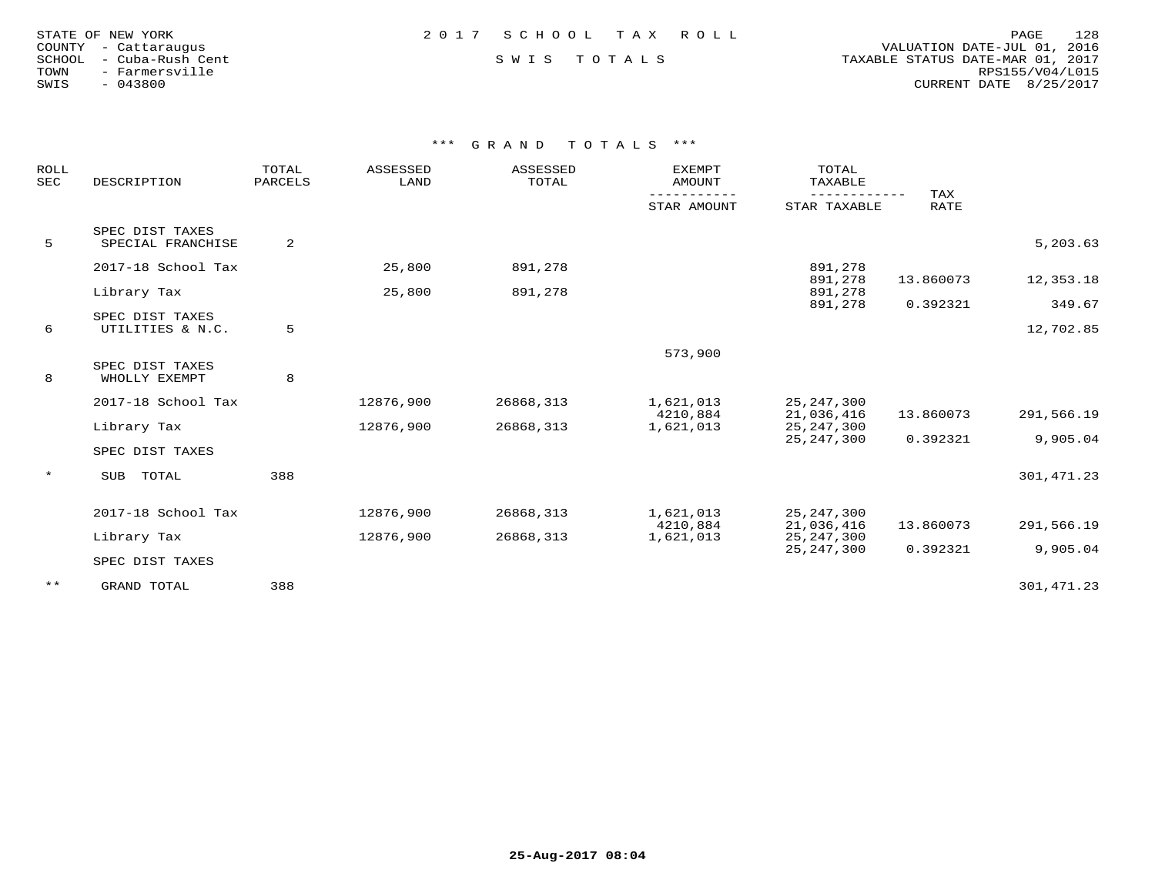| STATE OF NEW YORK |  |                  |  |
|-------------------|--|------------------|--|
| COUNTY            |  | - Cattaraugus    |  |
| SCHOOL            |  | - Cuba-Rush Cent |  |
| TOWN              |  | - Farmersville   |  |
| SWIS              |  | $-043800$        |  |

 COUNTY - Cattaraugus VALUATION DATE-JUL 01, 2016 SCHOOL - Cuba-Rush Cent S W I S T O T A L S TAXABLE STATUS DATE-MAR 01, 2017 TOWN - Farmersville RPS155/V04/L015SWIS - 043800 CURRENT DATE 8/25/2017

| ROLL<br><b>SEC</b> | DESCRIPTION                          | TOTAL<br>PARCELS | ASSESSED<br>LAND | ASSESSED<br>TOTAL | <b>EXEMPT</b><br>AMOUNT | TOTAL<br>TAXABLE             |                    |             |
|--------------------|--------------------------------------|------------------|------------------|-------------------|-------------------------|------------------------------|--------------------|-------------|
|                    |                                      |                  |                  |                   | STAR AMOUNT             | STAR TAXABLE                 | TAX<br><b>RATE</b> |             |
| 5                  | SPEC DIST TAXES<br>SPECIAL FRANCHISE | 2                |                  |                   |                         |                              |                    | 5,203.63    |
|                    |                                      |                  |                  |                   |                         |                              |                    |             |
|                    | 2017-18 School Tax                   |                  | 25,800           | 891,278           |                         | 891,278<br>891,278           | 13.860073          | 12,353.18   |
|                    | Library Tax                          |                  | 25,800           | 891,278           |                         | 891,278<br>891,278           | 0.392321           | 349.67      |
|                    | SPEC DIST TAXES                      |                  |                  |                   |                         |                              |                    |             |
| 6                  | UTILITIES & N.C.                     | 5                |                  |                   |                         |                              |                    | 12,702.85   |
|                    |                                      |                  |                  |                   | 573,900                 |                              |                    |             |
| 8                  | SPEC DIST TAXES<br>WHOLLY EXEMPT     | 8                |                  |                   |                         |                              |                    |             |
|                    |                                      |                  |                  |                   |                         |                              |                    |             |
|                    | 2017-18 School Tax                   |                  | 12876,900        | 26868,313         | 1,621,013<br>4210,884   | 25, 247, 300<br>21,036,416   | 13.860073          | 291,566.19  |
|                    | Library Tax                          |                  | 12876,900        | 26868,313         | 1,621,013               | 25, 247, 300                 |                    |             |
|                    |                                      |                  |                  |                   |                         | 25, 247, 300                 | 0.392321           | 9,905.04    |
|                    | SPEC DIST TAXES                      |                  |                  |                   |                         |                              |                    |             |
| $\star$            | TOTAL<br>SUB                         | 388              |                  |                   |                         |                              |                    | 301, 471.23 |
|                    |                                      |                  |                  |                   |                         |                              |                    |             |
|                    | 2017-18 School Tax                   |                  | 12876,900        | 26868,313         | 1,621,013               | 25, 247, 300                 |                    |             |
|                    |                                      |                  |                  |                   | 4210,884                | 21,036,416                   | 13.860073          | 291,566.19  |
|                    | Library Tax                          |                  | 12876,900        | 26868,313         | 1,621,013               | 25, 247, 300<br>25, 247, 300 | 0.392321           | 9,905.04    |
|                    | SPEC DIST TAXES                      |                  |                  |                   |                         |                              |                    |             |
| $***$              | GRAND TOTAL                          | 388              |                  |                   |                         |                              |                    | 301,471.23  |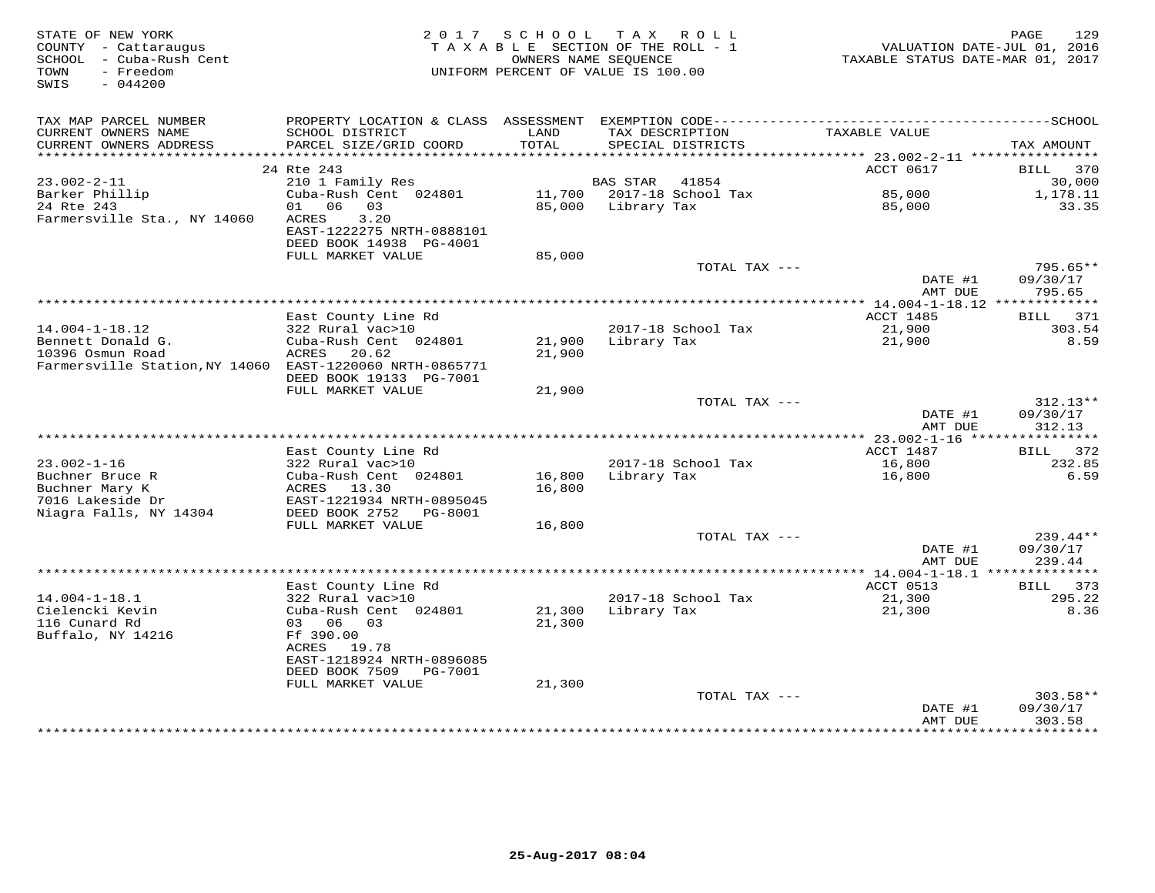| STATE OF NEW YORK<br>COUNTY - Cattaraugus<br>SCHOOL - Cuba-Rush Cent<br>- Freedom<br>TOWN<br>SWIS<br>$-044200$            |                                                                                                                     | 2017 SCHOOL<br>TAXABLE SECTION OF THE ROLL - 1<br>OWNERS NAME SEOUENCE<br>UNIFORM PERCENT OF VALUE IS 100.00 |                 | TAX ROLL                             | TAXABLE STATUS DATE-MAR 01, 2017 | 129<br>PAGE<br>VALUATION DATE-JUL 01, 2016 |
|---------------------------------------------------------------------------------------------------------------------------|---------------------------------------------------------------------------------------------------------------------|--------------------------------------------------------------------------------------------------------------|-----------------|--------------------------------------|----------------------------------|--------------------------------------------|
| TAX MAP PARCEL NUMBER                                                                                                     | PROPERTY LOCATION & CLASS ASSESSMENT EXEMPTION CODE-----------------------------------SCHOOL                        |                                                                                                              |                 |                                      |                                  |                                            |
| CURRENT OWNERS NAME<br>CURRENT OWNERS ADDRESS<br>************************                                                 | SCHOOL DISTRICT<br>PARCEL SIZE/GRID COORD                                                                           | LAND<br>TOTAL                                                                                                |                 | TAX DESCRIPTION<br>SPECIAL DISTRICTS | TAXABLE VALUE                    | TAX AMOUNT                                 |
|                                                                                                                           | 24 Rte 243                                                                                                          |                                                                                                              |                 |                                      | ACCT 0617                        | BILL<br>370                                |
| $23.002 - 2 - 11$                                                                                                         | 210 1 Family Res                                                                                                    |                                                                                                              | <b>BAS STAR</b> | 41854                                |                                  | 30,000                                     |
| Barker Phillip<br>24 Rte 243<br>Farmersville Sta., NY 14060                                                               | Cuba-Rush Cent 024801<br>01 06<br>03<br>3.20<br>ACRES<br>EAST-1222275 NRTH-0888101<br>DEED BOOK 14938 PG-4001       | 11,700<br>85,000                                                                                             | Library Tax     | 2017-18 School Tax                   | 85,000<br>85,000                 | 1,178.11<br>33.35                          |
|                                                                                                                           | FULL MARKET VALUE                                                                                                   | 85,000                                                                                                       |                 |                                      |                                  |                                            |
|                                                                                                                           |                                                                                                                     |                                                                                                              |                 | TOTAL TAX ---                        | DATE #1                          | $795.65**$<br>09/30/17                     |
|                                                                                                                           |                                                                                                                     |                                                                                                              |                 |                                      | AMT DUE                          | 795.65                                     |
|                                                                                                                           | East County Line Rd                                                                                                 |                                                                                                              |                 |                                      | <b>ACCT 1485</b>                 | BILL<br>371                                |
| $14.004 - 1 - 18.12$<br>Bennett Donald G.<br>10396 Osmun Road<br>Farmersville Station, NY 14060 EAST-1220060 NRTH-0865771 | 322 Rural vac>10<br>Cuba-Rush Cent 024801<br>ACRES<br>20.62<br>DEED BOOK 19133 PG-7001                              | 21,900<br>21,900                                                                                             | Library Tax     | 2017-18 School Tax                   | 21,900<br>21,900                 | 303.54<br>8.59                             |
|                                                                                                                           | FULL MARKET VALUE                                                                                                   | 21,900                                                                                                       |                 |                                      |                                  |                                            |
|                                                                                                                           |                                                                                                                     |                                                                                                              |                 | TOTAL TAX ---                        | DATE #1<br>AMT DUE               | $312.13**$<br>09/30/17<br>312.13           |
|                                                                                                                           |                                                                                                                     |                                                                                                              |                 |                                      |                                  |                                            |
|                                                                                                                           | East County Line Rd                                                                                                 |                                                                                                              |                 |                                      | ACCT 1487                        | BILL<br>372                                |
| $23.002 - 1 - 16$                                                                                                         | 322 Rural vac>10                                                                                                    |                                                                                                              |                 | 2017-18 School Tax                   | 16,800                           | 232.85                                     |
| Buchner Bruce R<br>Buchner Mary K<br>7016 Lakeside Dr<br>Niagra Falls, NY 14304                                           | Cuba-Rush Cent 024801<br>ACRES 13.30<br>EAST-1221934 NRTH-0895045<br>DEED BOOK 2752<br>PG-8001                      | 16,800<br>16,800                                                                                             | Library Tax     |                                      | 16,800                           | 6.59                                       |
|                                                                                                                           | FULL MARKET VALUE                                                                                                   | 16,800                                                                                                       |                 |                                      |                                  |                                            |
|                                                                                                                           |                                                                                                                     |                                                                                                              |                 | TOTAL TAX ---                        | DATE #1<br>AMT DUE               | 239.44**<br>09/30/17<br>239.44             |
|                                                                                                                           |                                                                                                                     |                                                                                                              |                 |                                      |                                  |                                            |
|                                                                                                                           | East County Line Rd                                                                                                 |                                                                                                              |                 |                                      | ACCT 0513                        | 373<br>BILL                                |
| $14.004 - 1 - 18.1$<br>Cielencki Kevin                                                                                    | 322 Rural vac>10<br>Cuba-Rush Cent 024801                                                                           | 21,300                                                                                                       | Library Tax     | 2017-18 School Tax                   | 21,300<br>21,300                 | 295.22<br>8.36                             |
| 116 Cunard Rd<br>Buffalo, NY 14216                                                                                        | 03 06 03<br>Ff 390.00<br>ACRES 19.78<br>EAST-1218924 NRTH-0896085<br>DEED BOOK 7509<br>PG-7001<br>FULL MARKET VALUE | 21,300<br>21,300                                                                                             |                 |                                      |                                  |                                            |
|                                                                                                                           |                                                                                                                     |                                                                                                              |                 | TOTAL TAX ---                        |                                  | $303.58**$                                 |
|                                                                                                                           |                                                                                                                     |                                                                                                              |                 |                                      | DATE #1<br>AMT DUE               | 09/30/17<br>303.58                         |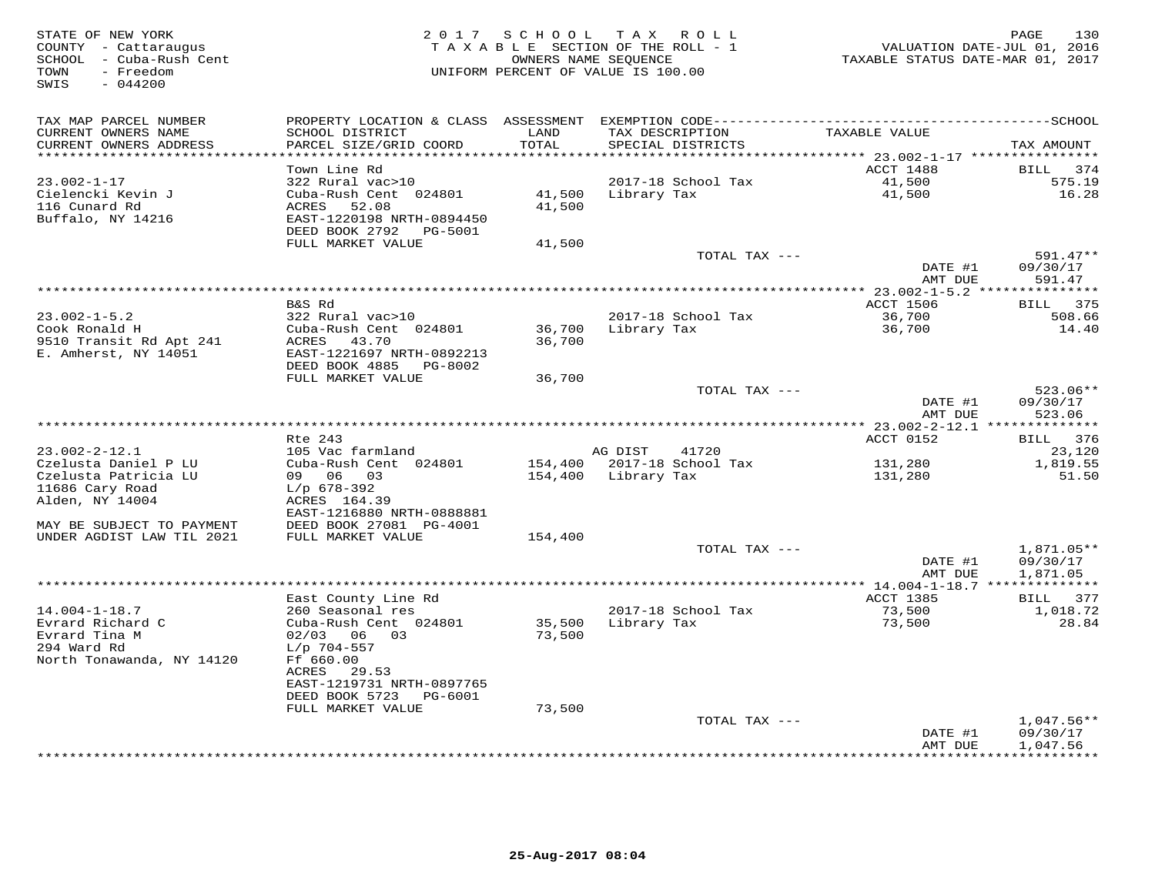STATE OF NEW YORK 2 0 1 7 S C H O O L T A X R O L L PAGE 130 COUNTY - Cattaraugus T A X A B L E SECTION OF THE ROLL - 1 VALUATION DATE-JUL 01, 2016 SCHOOL - Cuba-Rush Cent OWNERS NAME SEQUENCE TAXABLE STATUS DATE-MAR 01, 2017 TOWN - Freedom UNIFORM PERCENT OF VALUE IS 100.00 SWIS - 044200TAX MAP PARCEL NUMBER PROPERTY LOCATION & CLASS ASSESSMENT EXEMPTION CODE------------------------------------------SCHOOL CURRENT OWNERS NAME SCHOOL DISTRICT LAND TAX DESCRIPTION TAXABLE VALUE CURRENT OWNERS ADDRESS PARCEL SIZE/GRID COORD TOTAL SPECIAL DISTRICTS TAX AMOUNT \*\*\*\*\*\*\*\*\*\*\*\*\*\*\*\*\*\*\*\*\*\*\*\*\*\*\*\*\*\*\*\*\*\*\*\*\*\*\*\*\*\*\*\*\*\*\*\*\*\*\*\*\*\*\*\*\*\*\*\*\*\*\*\*\*\*\*\*\*\*\*\*\*\*\*\*\*\*\*\*\*\*\*\*\*\*\*\*\*\*\*\*\*\*\*\*\*\*\*\*\*\*\* 23.002-1-17 \*\*\*\*\*\*\*\*\*\*\*\*\*\*\*\* Town Line Rd ACCT 1488 BILL 374 23.002-1-17 322 Rural vac>10 2017-18 School Tax 41,500 575.19 Cielencki Kevin J Cuba-Rush Cent 024801 41,500 Library Tax 41,500 16.28 116 Cunard Rd ACRES 52.08 41,500 Buffalo, NY 14216 EAST-1220198 NRTH-0894450 DEED BOOK 2792 PG-5001 FULL MARKET VALUE 41,500 TOTAL TAX --- 591.47\*\* DATE #1 09/30/17DATE #1 09/30/17<br>AMT DUE 591.47 AMT DUE 591.47<br>AMT DUE 591.47<br>ACCT 1506 ACCT 1506 BAS Rd<br>Cook Ronald H Cuba-Rush Cent 024801 36,700 Library Tax 36,700 36,700 14.40<br>E. Amherst, NY 14051 DEED BOOK 4885 PG-8002<br>E. Amherst, NY 14051 DEED BOOK 4885 PG-8002 FULL MARKET VALUE 36,700TOTAL TAX  $---$  523.06\*\*  $\text{DMTE}$   $\frac{1}{17}$   $\frac{1}{17}$   $\frac{1}{17}$   $\frac{1}{17}$   $\frac{1}{17}$   $\frac{1}{17}$   $\frac{1}{17}$   $\frac{1}{17}$   $\frac{1}{17}$   $\frac{1}{17}$   $\frac{1}{17}$   $\frac{1}{17}$   $\frac{1}{17}$   $\frac{1}{17}$   $\frac{1}{17}$   $\frac{1}{17}$   $\frac{1}{17}$   $\frac{1}{17}$   $\frac{1}{17}$   $\frac$ am Due 523.06 \*\*\*\*\*\*\*\*\*\*\*\*\*\*\*\*\*\*\*\*\*\*\*\*\*\*\*\*\*\*\*\*\*\*\*\*\*\*\*\*\*\*\*\*\*\*\*\*\*\*\*\*\*\*\*\*\*\*\*\*\*\*\*\*\*\*\*\*\*\*\*\*\*\*\*\*\*\*\*\*\*\*\*\*\*\*\*\*\*\*\*\*\*\*\*\*\*\*\*\*\*\*\* 23.002-2-12.1 \*\*\*\*\*\*\*\*\*\*\*\*\*\* $\text{ACCT}$  0152 BILL 376 Rte 243 ACCT 0152 BILL 37623.120 23.002-2-12.1 105 Vac farmland AG DIST 41720 23,120 1,819.55 Czelusta Daniel P LU Cuba-Rush Cent 024801 154,400 2017-18 School Tax 131,280 1,819.5551.50 Czelusta Patricia LU 09 06 03 154,400 Library Tax 131,280 51.5011686 Cary Road L/p 678-392 Alden, NY 14004 ACRES 164.39 EAST-1216880 NRTH-0888881 MAY BE SUBJECT TO PAYMENT DEED BOOK 27081 PG-4001 UNDER AGDIST LAW TIL 2021 FULL MARKET VALUE 154,400 TOTAL TAX --- 1,871.05\*\*DATE #1 09/30/17 DATE #1 09/30/17AMT DUE 1,871.05 AMT DUE 1,871.05 \*\*\*\*\*\*\*\*\*\*\*\*\*\*\*\*\*\*\*\*\*\*\*\*\*\*\*\*\*\*\*\*\*\*\*\*\*\*\*\*\*\*\*\*\*\*\*\*\*\*\*\*\*\*\*\*\*\*\*\*\*\*\*\*\*\*\*\*\*\*\*\*\*\*\*\*\*\*\*\*\*\*\*\*\*\*\*\*\*\*\*\*\*\*\*\*\*\*\*\*\*\*\* 14.004-1-18.7 \*\*\*\*\*\*\*\*\*\*\*\*\*\* East County Line Rd ACCT 1385 BILL 37714.004-1-18.7 260 Seasonal res 2017-18 School Tax 73,500 1,018.7228.84 Evrard Richard C Cuba-Rush Cent 024801 35,500 Library Tax 73,500 28.84Evrard Tina M 02/03 06 03 73,500 294 Ward Rd L/p 704-557 North Tonawanda, NY 14120 Ff 660.00 ACRES 29.53 EAST-1219731 NRTH-0897765 DEED BOOK 5723 PG-6001 FULL MARKET VALUE 73,500 TOTAL TAX --- 1,047.56\*\* DATE #1 09/30/17 AMT DUE 1,047.56\*\*\*\*\*\*\*\*\*\*\*\*\*\*\*\*\*\*\*\*\*\*\*\*\*\*\*\*\*\*\*\*\*\*\*\*\*\*\*\*\*\*\*\*\*\*\*\*\*\*\*\*\*\*\*\*\*\*\*\*\*\*\*\*\*\*\*\*\*\*\*\*\*\*\*\*\*\*\*\*\*\*\*\*\*\*\*\*\*\*\*\*\*\*\*\*\*\*\*\*\*\*\*\*\*\*\*\*\*\*\*\*\*\*\*\*\*\*\*\*\*\*\*\*\*\*\*\*\*\*\*\*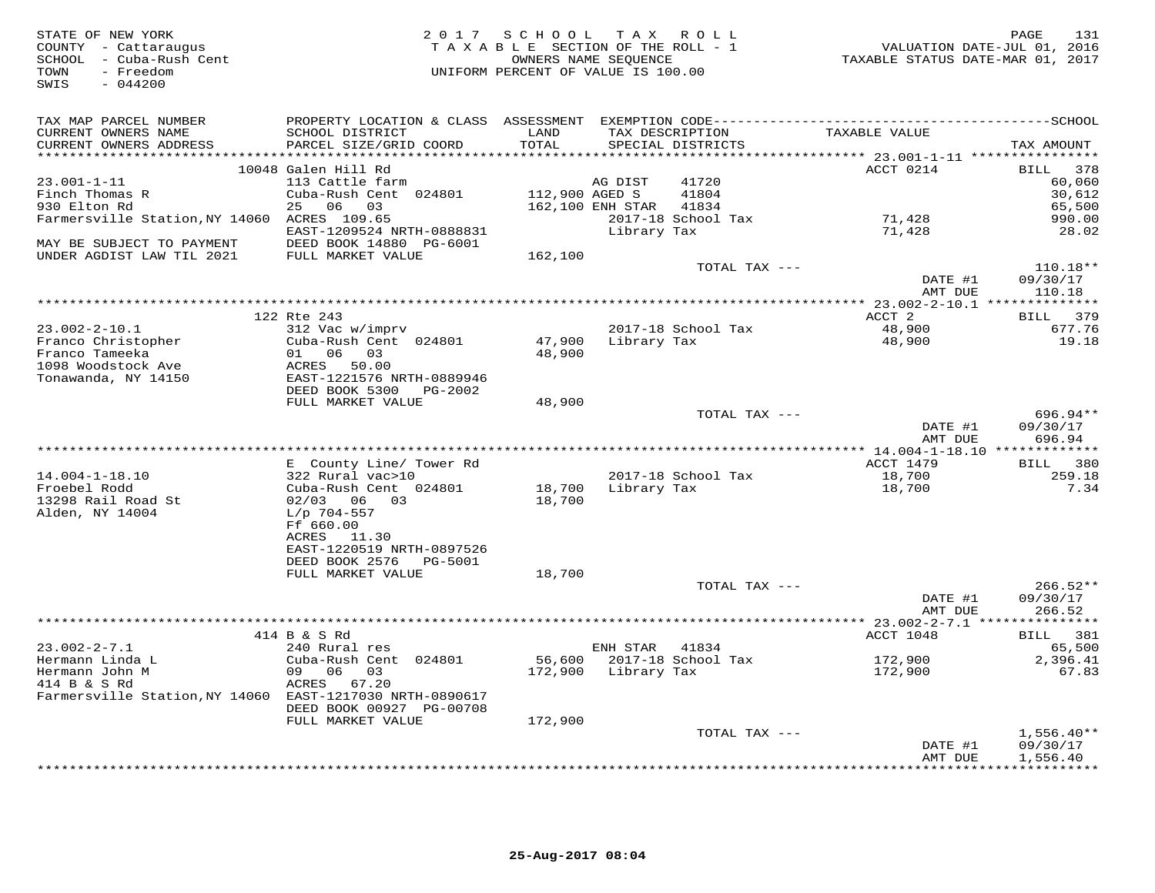| STATE OF NEW YORK<br>COUNTY - Cattaraugus<br>SCHOOL - Cuba-Rush Cent<br>- Freedom<br>TOWN<br>SWIS<br>$-044200$ |                                                        | 2017 SCHOOL TAX ROLL<br>TAXABLE SECTION OF THE ROLL - 1<br>OWNERS NAME SEQUENCE<br>UNIFORM PERCENT OF VALUE IS 100.00 |                  |                                      | VALUATION DATE-JUL 01, 2016<br>TAXABLE STATUS DATE-MAR 01, 2017 | 131<br>PAGE              |
|----------------------------------------------------------------------------------------------------------------|--------------------------------------------------------|-----------------------------------------------------------------------------------------------------------------------|------------------|--------------------------------------|-----------------------------------------------------------------|--------------------------|
| TAX MAP PARCEL NUMBER                                                                                          |                                                        |                                                                                                                       |                  |                                      |                                                                 |                          |
| CURRENT OWNERS NAME<br>CURRENT OWNERS ADDRESS                                                                  | SCHOOL DISTRICT<br>PARCEL SIZE/GRID COORD              | LAND<br>TOTAL                                                                                                         |                  | TAX DESCRIPTION<br>SPECIAL DISTRICTS | TAXABLE VALUE                                                   | TAX AMOUNT               |
|                                                                                                                | 10048 Galen Hill Rd                                    |                                                                                                                       |                  |                                      | ACCT 0214                                                       | BILL 378                 |
| $23.001 - 1 - 11$                                                                                              | 113 Cattle farm                                        |                                                                                                                       | AG DIST          | 41720                                |                                                                 | 60,060                   |
| Finch Thomas R                                                                                                 | Cuba-Rush Cent 024801                                  | 112,900 AGED S                                                                                                        |                  | 41804                                |                                                                 | 30,612                   |
| 930 Elton Rd                                                                                                   | 25 06 03                                               |                                                                                                                       | 162,100 ENH STAR | 41834                                |                                                                 | 65,500                   |
| Farmersville Station, NY 14060 ACRES 109.65                                                                    |                                                        |                                                                                                                       |                  | 2017-18 School Tax                   | 71,428                                                          | 990.00                   |
|                                                                                                                | EAST-1209524 NRTH-0888831                              |                                                                                                                       | Library Tax      |                                      | 71,428                                                          | 28.02                    |
| MAY BE SUBJECT TO PAYMENT                                                                                      | DEED BOOK 14880 PG-6001                                |                                                                                                                       |                  |                                      |                                                                 |                          |
| UNDER AGDIST LAW TIL 2021                                                                                      | FULL MARKET VALUE                                      | 162,100                                                                                                               |                  | TOTAL TAX ---                        |                                                                 | $110.18**$               |
|                                                                                                                |                                                        |                                                                                                                       |                  |                                      | DATE #1                                                         | 09/30/17                 |
|                                                                                                                |                                                        |                                                                                                                       |                  |                                      | AMT DUE                                                         | 110.18                   |
|                                                                                                                |                                                        |                                                                                                                       |                  |                                      |                                                                 |                          |
|                                                                                                                | 122 Rte 243                                            |                                                                                                                       |                  |                                      | ACCT 2                                                          | 379<br>BILL              |
| $23.002 - 2 - 10.1$                                                                                            | 312 Vac w/imprv                                        |                                                                                                                       |                  | 2017-18 School Tax                   | 48,900                                                          | 677.76                   |
| Franco Christopher                                                                                             | Cuba-Rush Cent 024801                                  | 47,900                                                                                                                | Library Tax      |                                      | 48,900                                                          | 19.18                    |
| Franco Tameeka<br>1098 Woodstock Ave                                                                           | 01 06 03<br>ACRES<br>50.00                             | 48,900                                                                                                                |                  |                                      |                                                                 |                          |
| Tonawanda, NY 14150                                                                                            | EAST-1221576 NRTH-0889946                              |                                                                                                                       |                  |                                      |                                                                 |                          |
|                                                                                                                | DEED BOOK 5300<br>PG-2002                              |                                                                                                                       |                  |                                      |                                                                 |                          |
|                                                                                                                | FULL MARKET VALUE                                      | 48,900                                                                                                                |                  |                                      |                                                                 |                          |
|                                                                                                                |                                                        |                                                                                                                       |                  | TOTAL TAX ---                        |                                                                 | 696.94**                 |
|                                                                                                                |                                                        |                                                                                                                       |                  |                                      | DATE #1                                                         | 09/30/17                 |
|                                                                                                                |                                                        |                                                                                                                       |                  |                                      | AMT DUE                                                         | 696.94                   |
|                                                                                                                | E County Line/ Tower Rd                                |                                                                                                                       |                  |                                      | ACCT 1479                                                       | BILL 380                 |
| $14.004 - 1 - 18.10$                                                                                           | 322 Rural vac>10                                       |                                                                                                                       |                  | 2017-18 School Tax                   | 18,700                                                          | 259.18                   |
| Froebel Rodd                                                                                                   | Cuba-Rush Cent 024801                                  | 18,700                                                                                                                | Library Tax      |                                      | 18,700                                                          | 7.34                     |
| 13298 Rail Road St                                                                                             | 02/03 06 03                                            | 18,700                                                                                                                |                  |                                      |                                                                 |                          |
| Alden, NY 14004                                                                                                | $L/p$ 704-557                                          |                                                                                                                       |                  |                                      |                                                                 |                          |
|                                                                                                                | Ff 660.00                                              |                                                                                                                       |                  |                                      |                                                                 |                          |
|                                                                                                                | ACRES 11.30                                            |                                                                                                                       |                  |                                      |                                                                 |                          |
|                                                                                                                | EAST-1220519 NRTH-0897526<br>DEED BOOK 2576<br>PG-5001 |                                                                                                                       |                  |                                      |                                                                 |                          |
|                                                                                                                | FULL MARKET VALUE                                      | 18,700                                                                                                                |                  |                                      |                                                                 |                          |
|                                                                                                                |                                                        |                                                                                                                       |                  | TOTAL TAX ---                        |                                                                 | $266.52**$               |
|                                                                                                                |                                                        |                                                                                                                       |                  |                                      | DATE #1                                                         | 09/30/17                 |
|                                                                                                                |                                                        |                                                                                                                       |                  |                                      | AMT DUE                                                         | 266.52                   |
|                                                                                                                |                                                        |                                                                                                                       |                  |                                      |                                                                 |                          |
|                                                                                                                | 414 B & S Rd                                           |                                                                                                                       |                  |                                      | ACCT 1048                                                       | BILL 381                 |
| $23.002 - 2 - 7.1$<br>Hermann Linda L                                                                          | 240 Rural res<br>Cuba-Rush Cent 024801                 | 56,600                                                                                                                | ENH STAR         | 41834<br>2017-18 School Tax          | 172,900                                                         | 65,500<br>2,396.41       |
| Hermann John M                                                                                                 | 09 06 03                                               | 172,900                                                                                                               | Library Tax      |                                      | 172,900                                                         | 67.83                    |
| 414 B & S Rd                                                                                                   | ACRES 67.20                                            |                                                                                                                       |                  |                                      |                                                                 |                          |
| Farmersville Station, NY 14060 EAST-1217030 NRTH-0890617                                                       |                                                        |                                                                                                                       |                  |                                      |                                                                 |                          |
|                                                                                                                | DEED BOOK 00927 PG-00708                               |                                                                                                                       |                  |                                      |                                                                 |                          |
|                                                                                                                | FULL MARKET VALUE                                      | 172,900                                                                                                               |                  |                                      |                                                                 |                          |
|                                                                                                                |                                                        |                                                                                                                       |                  | TOTAL TAX ---                        |                                                                 | $1,556.40**$             |
|                                                                                                                |                                                        |                                                                                                                       |                  |                                      | DATE #1                                                         | 09/30/17                 |
|                                                                                                                |                                                        |                                                                                                                       |                  |                                      | AMT DUE                                                         | 1,556.40<br>************ |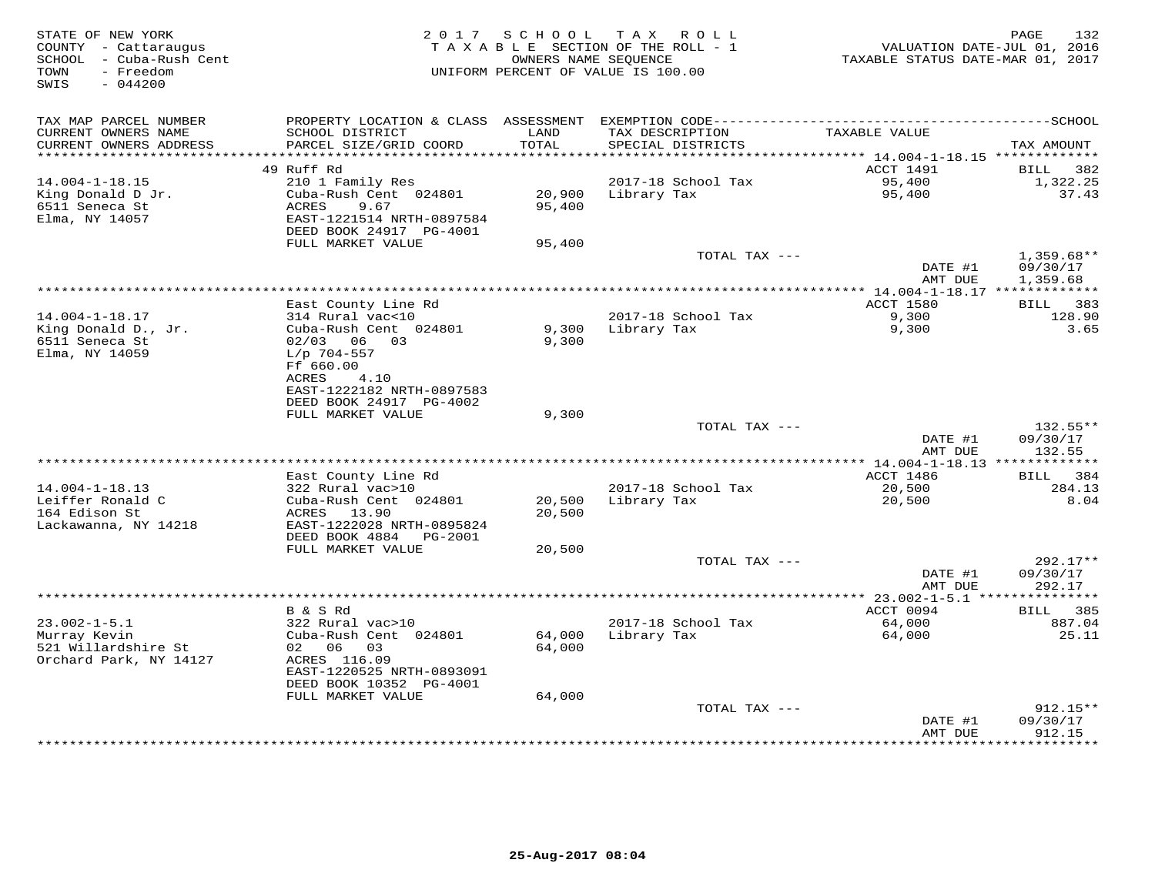| STATE OF NEW YORK<br>COUNTY - Cattaraugus<br>SCHOOL - Cuba-Rush Cent<br>TOWN<br>- Freedom<br>SWIS<br>$-044200$ | 2 0 1 7                                                                                                                           | SCHOOL                     | T A X<br>ROLL<br>TAXABLE SECTION OF THE ROLL - 1<br>OWNERS NAME SEQUENCE<br>UNIFORM PERCENT OF VALUE IS 100.00 | VALUATION DATE-JUL 01, 2016<br>TAXABLE STATUS DATE-MAR 01, 2017 | PAGE<br>132                          |
|----------------------------------------------------------------------------------------------------------------|-----------------------------------------------------------------------------------------------------------------------------------|----------------------------|----------------------------------------------------------------------------------------------------------------|-----------------------------------------------------------------|--------------------------------------|
| TAX MAP PARCEL NUMBER<br>CURRENT OWNERS NAME                                                                   | PROPERTY LOCATION & CLASS ASSESSMENT<br>SCHOOL DISTRICT                                                                           | LAND                       | TAX DESCRIPTION                                                                                                | TAXABLE VALUE                                                   |                                      |
| CURRENT OWNERS ADDRESS<br>**********************                                                               | PARCEL SIZE/GRID COORD<br>***************************                                                                             | TOTAL<br>***********       | SPECIAL DISTRICTS                                                                                              |                                                                 | TAX AMOUNT                           |
|                                                                                                                | 49 Ruff Rd                                                                                                                        |                            |                                                                                                                | ACCT 1491                                                       | 382<br>BILL                          |
| $14.004 - 1 - 18.15$                                                                                           | 210 1 Family Res                                                                                                                  |                            | 2017-18 School Tax                                                                                             | 95,400                                                          | 1,322.25                             |
| King Donald D Jr.<br>6511 Seneca St<br>Elma, NY 14057                                                          | Cuba-Rush Cent 024801<br>ACRES<br>9.67<br>EAST-1221514 NRTH-0897584<br>DEED BOOK 24917 PG-4001                                    | 20,900<br>95,400           | Library Tax                                                                                                    | 95,400                                                          | 37.43                                |
|                                                                                                                | FULL MARKET VALUE                                                                                                                 | 95,400                     |                                                                                                                |                                                                 |                                      |
|                                                                                                                |                                                                                                                                   |                            | TOTAL TAX ---                                                                                                  | DATE #1<br>AMT DUE                                              | $1,359.68**$<br>09/30/17<br>1,359.68 |
|                                                                                                                |                                                                                                                                   |                            |                                                                                                                |                                                                 |                                      |
|                                                                                                                | East County Line Rd                                                                                                               |                            |                                                                                                                | <b>ACCT 1580</b>                                                | <b>BILL</b><br>383                   |
| $14.004 - 1 - 18.17$<br>King Donald D., Jr.<br>6511 Seneca St<br>Elma, NY 14059                                | 314 Rural vac<10<br>Cuba-Rush Cent 024801<br>02/03<br>06<br>03<br>$L/p$ 704-557<br>Ff 660.00                                      | 9,300<br>9,300             | 2017-18 School Tax<br>Library Tax                                                                              | 9,300<br>9,300                                                  | 128.90<br>3.65                       |
|                                                                                                                | <b>ACRES</b><br>4.10<br>EAST-1222182 NRTH-0897583<br>DEED BOOK 24917 PG-4002<br>FULL MARKET VALUE                                 | 9,300                      |                                                                                                                |                                                                 |                                      |
|                                                                                                                |                                                                                                                                   |                            | TOTAL TAX ---                                                                                                  |                                                                 | $132.55**$                           |
|                                                                                                                |                                                                                                                                   |                            |                                                                                                                | DATE #1<br>AMT DUE                                              | 09/30/17<br>132.55                   |
|                                                                                                                |                                                                                                                                   |                            |                                                                                                                |                                                                 |                                      |
| $14.004 - 1 - 18.13$                                                                                           | East County Line Rd<br>322 Rural vac>10                                                                                           |                            | 2017-18 School Tax                                                                                             | ACCT 1486<br>20,500                                             | 384<br><b>BILL</b><br>284.13         |
| Leiffer Ronald C<br>164 Edison St<br>Lackawanna, NY 14218                                                      | Cuba-Rush Cent 024801<br>13.90<br>ACRES<br>EAST-1222028 NRTH-0895824<br>DEED BOOK 4884<br>PG-2001                                 | 20,500<br>20,500           | Library Tax                                                                                                    | 20,500                                                          | 8.04                                 |
|                                                                                                                | FULL MARKET VALUE                                                                                                                 | 20,500                     |                                                                                                                |                                                                 |                                      |
|                                                                                                                |                                                                                                                                   |                            | TOTAL TAX ---                                                                                                  | DATE #1<br>AMT DUE                                              | 292.17**<br>09/30/17<br>292.17       |
|                                                                                                                |                                                                                                                                   |                            |                                                                                                                |                                                                 | ********                             |
|                                                                                                                | B & S Rd                                                                                                                          |                            |                                                                                                                | ACCT 0094                                                       | 385<br><b>BILL</b>                   |
| $23.002 - 1 - 5.1$                                                                                             | 322 Rural vac>10                                                                                                                  |                            | 2017-18 School Tax                                                                                             | 64,000                                                          | 887.04                               |
| Murray Kevin<br>521 Willardshire St<br>Orchard Park, NY 14127                                                  | Cuba-Rush Cent 024801<br>02 06<br>03<br>ACRES 116.09<br>EAST-1220525 NRTH-0893091<br>DEED BOOK 10352 PG-4001<br>FULL MARKET VALUE | 64,000<br>64,000<br>64,000 | Library Tax                                                                                                    | 64,000                                                          | 25.11                                |
|                                                                                                                |                                                                                                                                   |                            | TOTAL TAX ---                                                                                                  |                                                                 | $912.15**$                           |
|                                                                                                                |                                                                                                                                   |                            |                                                                                                                | DATE #1<br>AMT DUE                                              | 09/30/17<br>912.15                   |
|                                                                                                                |                                                                                                                                   |                            |                                                                                                                | ************                                                    | *********                            |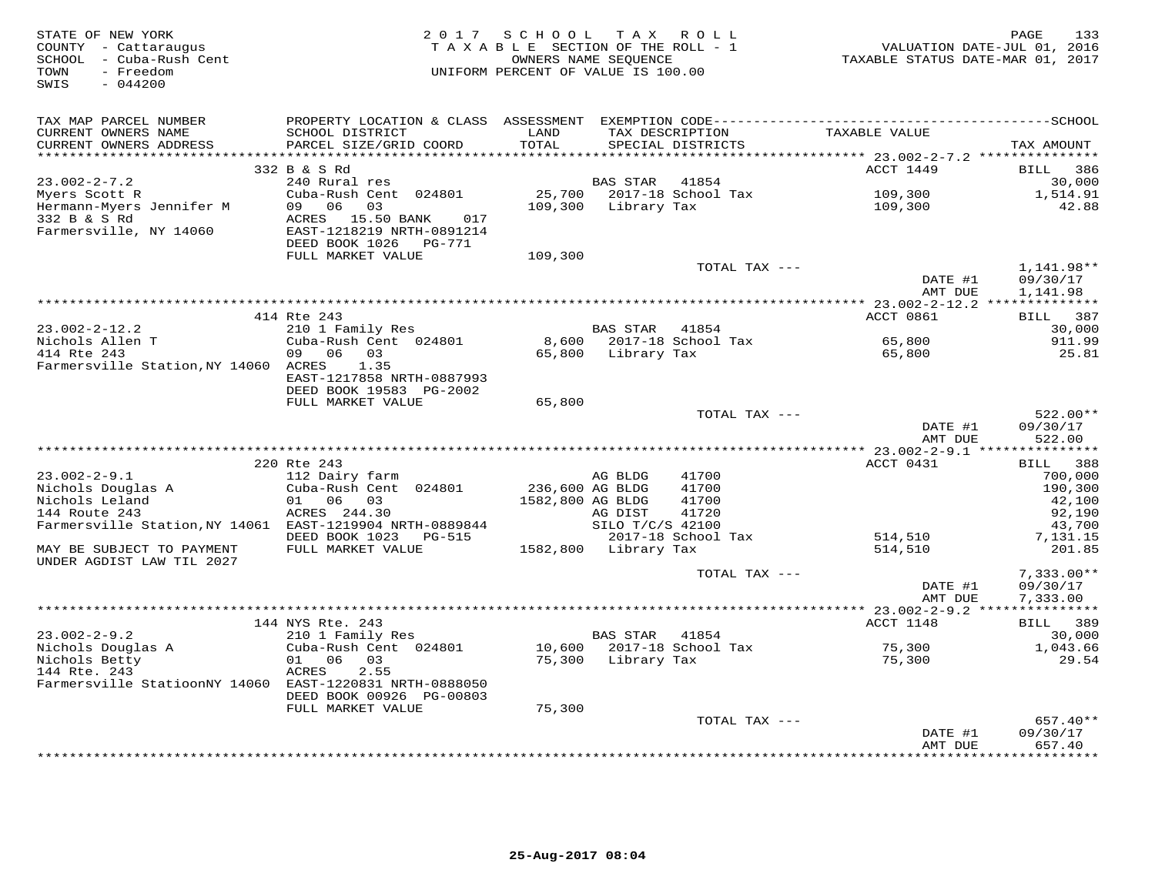| STATE OF NEW YORK<br>COUNTY - Cattaraugus<br>SCHOOL - Cuba-Rush Cent<br>- Freedom<br>TOWN<br>SWIS<br>$-044200$ |                                                      | 2017 SCHOOL TAX ROLL<br>TAXABLE SECTION OF THE ROLL - 1<br>UNIFORM PERCENT OF VALUE IS 100.00 | OWNERS NAME SEQUENCE |                           | VALUATION DATE-JUL 01, 2016<br>TAXABLE STATUS DATE-MAR 01, 2017 | 133<br>PAGE          |
|----------------------------------------------------------------------------------------------------------------|------------------------------------------------------|-----------------------------------------------------------------------------------------------|----------------------|---------------------------|-----------------------------------------------------------------|----------------------|
| TAX MAP PARCEL NUMBER                                                                                          |                                                      |                                                                                               |                      |                           |                                                                 |                      |
| CURRENT OWNERS NAME                                                                                            | SCHOOL DISTRICT                                      | LAND                                                                                          |                      | TAX DESCRIPTION           | TAXABLE VALUE                                                   |                      |
| CURRENT OWNERS ADDRESS<br>**********************                                                               | PARCEL SIZE/GRID COORD                               | TOTAL                                                                                         |                      | SPECIAL DISTRICTS         |                                                                 | TAX AMOUNT           |
|                                                                                                                | 332 B & S Rd                                         |                                                                                               |                      |                           | ACCT 1449                                                       | <b>BILL</b><br>386   |
| $23.002 - 2 - 7.2$                                                                                             | 240 Rural res                                        |                                                                                               | BAS STAR             | 41854                     |                                                                 | 30,000               |
| Myers Scott R                                                                                                  | Cuba-Rush Cent 024801                                |                                                                                               |                      | 25,700 2017-18 School Tax | 109,300                                                         | 1,514.91             |
| Hermann-Myers Jennifer M                                                                                       | 09 06<br>03                                          | 109,300                                                                                       | Library Tax          |                           | 109,300                                                         | 42.88                |
| 332 B & S Rd<br>Farmersville, NY 14060                                                                         | ACRES 15.50 BANK<br>017<br>EAST-1218219 NRTH-0891214 |                                                                                               |                      |                           |                                                                 |                      |
|                                                                                                                | DEED BOOK 1026    PG-771<br>FULL MARKET VALUE        | 109,300                                                                                       |                      |                           |                                                                 |                      |
|                                                                                                                |                                                      |                                                                                               |                      | TOTAL TAX ---             |                                                                 | 1,141.98**           |
|                                                                                                                |                                                      |                                                                                               |                      |                           | DATE #1<br>AMT DUE                                              | 09/30/17<br>1,141.98 |
|                                                                                                                |                                                      |                                                                                               |                      |                           |                                                                 |                      |
|                                                                                                                | 414 Rte 243                                          |                                                                                               |                      |                           | ACCT 0861                                                       | BILL 387             |
| $23.002 - 2 - 12.2$                                                                                            | 210 1 Family Res                                     |                                                                                               | BAS STAR 41854       |                           |                                                                 | 30,000               |
| Nichols Allen T                                                                                                | Cuba-Rush Cent 024801                                |                                                                                               |                      | 8,600 2017-18 School Tax  | 65,800                                                          | 911.99               |
| 414 Rte 243                                                                                                    | 06 03<br>09                                          |                                                                                               | 65,800 Library Tax   |                           | 65,800                                                          | 25.81                |
| Farmersville Station, NY 14060 ACRES                                                                           | 1.35                                                 |                                                                                               |                      |                           |                                                                 |                      |
|                                                                                                                | EAST-1217858 NRTH-0887993<br>DEED BOOK 19583 PG-2002 |                                                                                               |                      |                           |                                                                 |                      |
|                                                                                                                | FULL MARKET VALUE                                    | 65,800                                                                                        |                      |                           |                                                                 |                      |
|                                                                                                                |                                                      |                                                                                               |                      | TOTAL TAX ---             |                                                                 | 522.00**             |
|                                                                                                                |                                                      |                                                                                               |                      |                           | DATE #1                                                         | 09/30/17             |
|                                                                                                                |                                                      |                                                                                               |                      |                           | AMT DUE                                                         | 522.00               |
|                                                                                                                |                                                      |                                                                                               |                      |                           |                                                                 |                      |
|                                                                                                                | 220 Rte 243                                          |                                                                                               |                      |                           | ACCT 0431                                                       | 388<br>BILL          |
| $23.002 - 2 - 9.1$<br>Nichols Douglas A                                                                        | 112 Dairy farm<br>Cuba-Rush Cent 024801              | 236,600 AG BLDG                                                                               | AG BLDG              | 41700<br>41700            |                                                                 | 700,000<br>190,300   |
| Nichols Leland                                                                                                 | 01<br>06 03                                          | 1582,800 AG BLDG                                                                              |                      | 41700                     |                                                                 | 42,100               |
| 144 Route 243                                                                                                  | ACRES 244.30                                         |                                                                                               | AG DIST              | 41720                     |                                                                 | 92,190               |
| Farmersville Station, NY 14061 EAST-1219904 NRTH-0889844                                                       |                                                      |                                                                                               | SILO T/C/S 42100     |                           |                                                                 | 43,700               |
|                                                                                                                | DEED BOOK 1023<br>PG-515                             |                                                                                               |                      | 2017-18 School Tax        | 514,510                                                         | 7,131.15             |
| MAY BE SUBJECT TO PAYMENT                                                                                      | FULL MARKET VALUE                                    |                                                                                               | 1582,800 Library Tax |                           | 514,510                                                         | 201.85               |
| UNDER AGDIST LAW TIL 2027                                                                                      |                                                      |                                                                                               |                      |                           |                                                                 |                      |
|                                                                                                                |                                                      |                                                                                               |                      | TOTAL TAX ---             |                                                                 | $7,333.00**$         |
|                                                                                                                |                                                      |                                                                                               |                      |                           | DATE #1                                                         | 09/30/17             |
|                                                                                                                |                                                      |                                                                                               |                      |                           | AMT DUE<br>*********** 23.002-2-9.2 ***************             | 7,333.00             |
|                                                                                                                | 144 NYS Rte. 243                                     |                                                                                               |                      |                           | ACCT 1148                                                       | BILL 389             |
| $23.002 - 2 - 9.2$                                                                                             | 210 1 Family Res                                     |                                                                                               | <b>BAS STAR</b>      | 41854                     |                                                                 | 30,000               |
| Nichols Douglas A                                                                                              | Cuba-Rush Cent 024801                                | 10,600                                                                                        |                      | 2017-18 School Tax        | 75,300                                                          | 1,043.66             |
| Nichols Betty                                                                                                  | 01 06 03                                             | 75,300                                                                                        | Library Tax          |                           | 75,300                                                          | 29.54                |
| 144 Rte. 243                                                                                                   | 2.55<br>ACRES                                        |                                                                                               |                      |                           |                                                                 |                      |
| Farmersville StatioonNY 14060 EAST-1220831 NRTH-0888050                                                        | DEED BOOK 00926 PG-00803                             |                                                                                               |                      |                           |                                                                 |                      |
|                                                                                                                | FULL MARKET VALUE                                    | 75,300                                                                                        |                      |                           |                                                                 |                      |
|                                                                                                                |                                                      |                                                                                               |                      | TOTAL TAX ---             |                                                                 | $657.40**$           |
|                                                                                                                |                                                      |                                                                                               |                      |                           | DATE #1                                                         | 09/30/17             |
|                                                                                                                |                                                      |                                                                                               |                      |                           | AMT DUE<br>***************                                      | 657.40<br>*********  |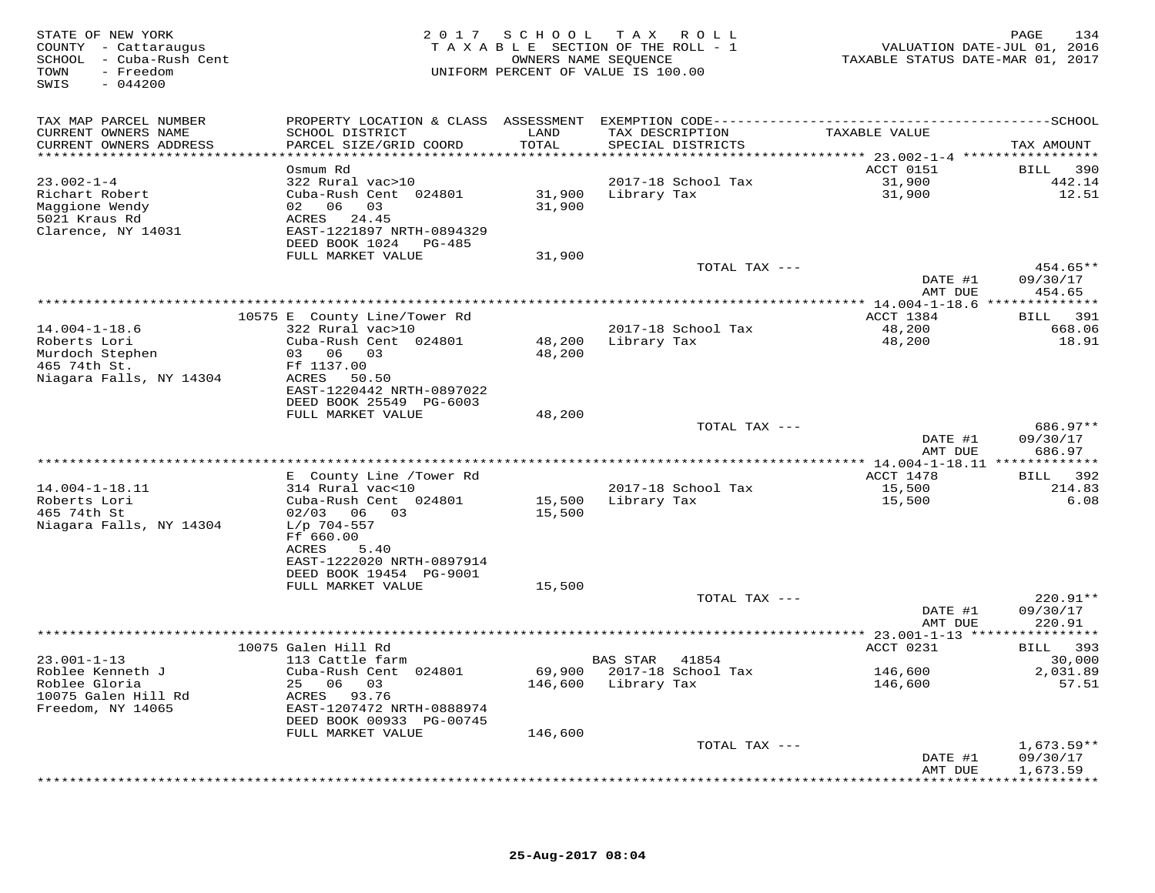| STATE OF NEW YORK<br>COUNTY - Cattaraugus<br>SCHOOL - Cuba-Rush Cent<br>- Freedom<br>TOWN<br>SWIS<br>$-044200$ |                                                                      | 2017 SCHOOL                   | TAX ROLL<br>TAXABLE SECTION OF THE ROLL - 1<br>OWNERS NAME SEQUENCE<br>UNIFORM PERCENT OF VALUE IS 100.00 | VALUATION DATE-JUL 01, 2016<br>TAXABLE STATUS DATE-MAR 01, 2017 | PAGE<br>134           |
|----------------------------------------------------------------------------------------------------------------|----------------------------------------------------------------------|-------------------------------|-----------------------------------------------------------------------------------------------------------|-----------------------------------------------------------------|-----------------------|
| TAX MAP PARCEL NUMBER                                                                                          |                                                                      |                               |                                                                                                           |                                                                 |                       |
| CURRENT OWNERS NAME<br>CURRENT OWNERS ADDRESS<br>***********************                                       | SCHOOL DISTRICT<br>PARCEL SIZE/GRID COORD<br>*********************** | LAND<br>TOTAL<br>************ | TAX DESCRIPTION<br>SPECIAL DISTRICTS                                                                      | TAXABLE VALUE                                                   | TAX AMOUNT            |
|                                                                                                                | Osmum Rd                                                             |                               |                                                                                                           | ACCT 0151                                                       | BILL<br>390           |
| $23.002 - 1 - 4$                                                                                               | 322 Rural vac>10                                                     |                               | 2017-18 School Tax                                                                                        | 31,900                                                          | 442.14                |
| Richart Robert                                                                                                 | Cuba-Rush Cent 024801                                                | 31,900                        | Library Tax                                                                                               | 31,900                                                          | 12.51                 |
| Maggione Wendy                                                                                                 | 02 06 03                                                             | 31,900                        |                                                                                                           |                                                                 |                       |
| 5021 Kraus Rd                                                                                                  | ACRES 24.45                                                          |                               |                                                                                                           |                                                                 |                       |
| Clarence, NY 14031                                                                                             | EAST-1221897 NRTH-0894329<br>DEED BOOK 1024 PG-485                   |                               |                                                                                                           |                                                                 |                       |
|                                                                                                                | FULL MARKET VALUE                                                    | 31,900                        |                                                                                                           |                                                                 |                       |
|                                                                                                                |                                                                      |                               | TOTAL TAX ---                                                                                             |                                                                 | 454.65**              |
|                                                                                                                |                                                                      |                               |                                                                                                           | DATE #1                                                         | 09/30/17              |
|                                                                                                                |                                                                      |                               |                                                                                                           | AMT DUE                                                         | 454.65                |
|                                                                                                                |                                                                      |                               |                                                                                                           |                                                                 |                       |
| $14.004 - 1 - 18.6$                                                                                            | 10575 E County Line/Tower Rd<br>322 Rural vac>10                     |                               | 2017-18 School Tax                                                                                        | ACCT 1384<br>48,200                                             | 391<br>BILL<br>668.06 |
| Roberts Lori                                                                                                   | Cuba-Rush Cent 024801                                                | 48,200                        | Library Tax                                                                                               | 48,200                                                          | 18.91                 |
| Murdoch Stephen                                                                                                | 03 06 03                                                             | 48,200                        |                                                                                                           |                                                                 |                       |
| 465 74th St.                                                                                                   | Ff 1137.00                                                           |                               |                                                                                                           |                                                                 |                       |
| Niagara Falls, NY 14304                                                                                        | ACRES<br>50.50                                                       |                               |                                                                                                           |                                                                 |                       |
|                                                                                                                | EAST-1220442 NRTH-0897022<br>DEED BOOK 25549 PG-6003                 |                               |                                                                                                           |                                                                 |                       |
|                                                                                                                | FULL MARKET VALUE                                                    | 48,200                        |                                                                                                           |                                                                 |                       |
|                                                                                                                |                                                                      |                               | TOTAL TAX ---                                                                                             |                                                                 | 686.97**              |
|                                                                                                                |                                                                      |                               |                                                                                                           | DATE #1                                                         | 09/30/17              |
|                                                                                                                |                                                                      |                               |                                                                                                           | AMT DUE<br>******** 14.004-1-18.11 ***                          | 686.97                |
|                                                                                                                | E County Line / Tower Rd                                             |                               |                                                                                                           | ACCT 1478                                                       | <b>BILL</b><br>392    |
| $14.004 - 1 - 18.11$                                                                                           | 314 Rural vac<10                                                     |                               | 2017-18 School Tax                                                                                        | 15,500                                                          | 214.83                |
| Roberts Lori                                                                                                   | Cuba-Rush Cent 024801                                                | 15,500                        | Library Tax                                                                                               | 15,500                                                          | 6.08                  |
| 465 74th St                                                                                                    | $02/03$ 06 03                                                        | 15,500                        |                                                                                                           |                                                                 |                       |
| Niagara Falls, NY 14304                                                                                        | $L/p$ 704-557<br>Ff 660.00                                           |                               |                                                                                                           |                                                                 |                       |
|                                                                                                                | ACRES<br>5.40                                                        |                               |                                                                                                           |                                                                 |                       |
|                                                                                                                | EAST-1222020 NRTH-0897914                                            |                               |                                                                                                           |                                                                 |                       |
|                                                                                                                | DEED BOOK 19454 PG-9001                                              |                               |                                                                                                           |                                                                 |                       |
|                                                                                                                | FULL MARKET VALUE                                                    | 15,500                        |                                                                                                           |                                                                 |                       |
|                                                                                                                |                                                                      |                               | TOTAL TAX ---                                                                                             |                                                                 | 220.91**<br>09/30/17  |
|                                                                                                                |                                                                      |                               |                                                                                                           | DATE #1<br>AMT DUE                                              | 220.91                |
|                                                                                                                | **************                                                       |                               | *************************                                                                                 | $* 23.001 - 1 - 13 **$                                          | * * * * * * * * * * * |
|                                                                                                                | 10075 Galen Hill Rd                                                  |                               |                                                                                                           | ACCT 0231                                                       | BILL 393              |
| $23.001 - 1 - 13$                                                                                              | 113 Cattle farm                                                      |                               | BAS STAR<br>41854                                                                                         |                                                                 | 30,000                |
| Roblee Kenneth J<br>Roblee Gloria                                                                              | Cuba-Rush Cent 024801<br>25 06 03                                    | 69,900<br>146,600             | 2017-18 School Tax<br>Library Tax                                                                         | 146,600<br>146,600                                              | 2,031.89<br>57.51     |
| 10075 Galen Hill Rd                                                                                            | ACRES 93.76                                                          |                               |                                                                                                           |                                                                 |                       |
| Freedom, NY 14065                                                                                              | EAST-1207472 NRTH-0888974                                            |                               |                                                                                                           |                                                                 |                       |
|                                                                                                                | DEED BOOK 00933 PG-00745                                             |                               |                                                                                                           |                                                                 |                       |
|                                                                                                                | FULL MARKET VALUE                                                    | 146,600                       |                                                                                                           |                                                                 |                       |
|                                                                                                                |                                                                      |                               | TOTAL TAX ---                                                                                             |                                                                 | $1,673.59**$          |
|                                                                                                                |                                                                      |                               |                                                                                                           | DATE #1<br>AMT DUE                                              | 09/30/17<br>1,673.59  |
|                                                                                                                |                                                                      |                               |                                                                                                           | ***********                                                     | *********             |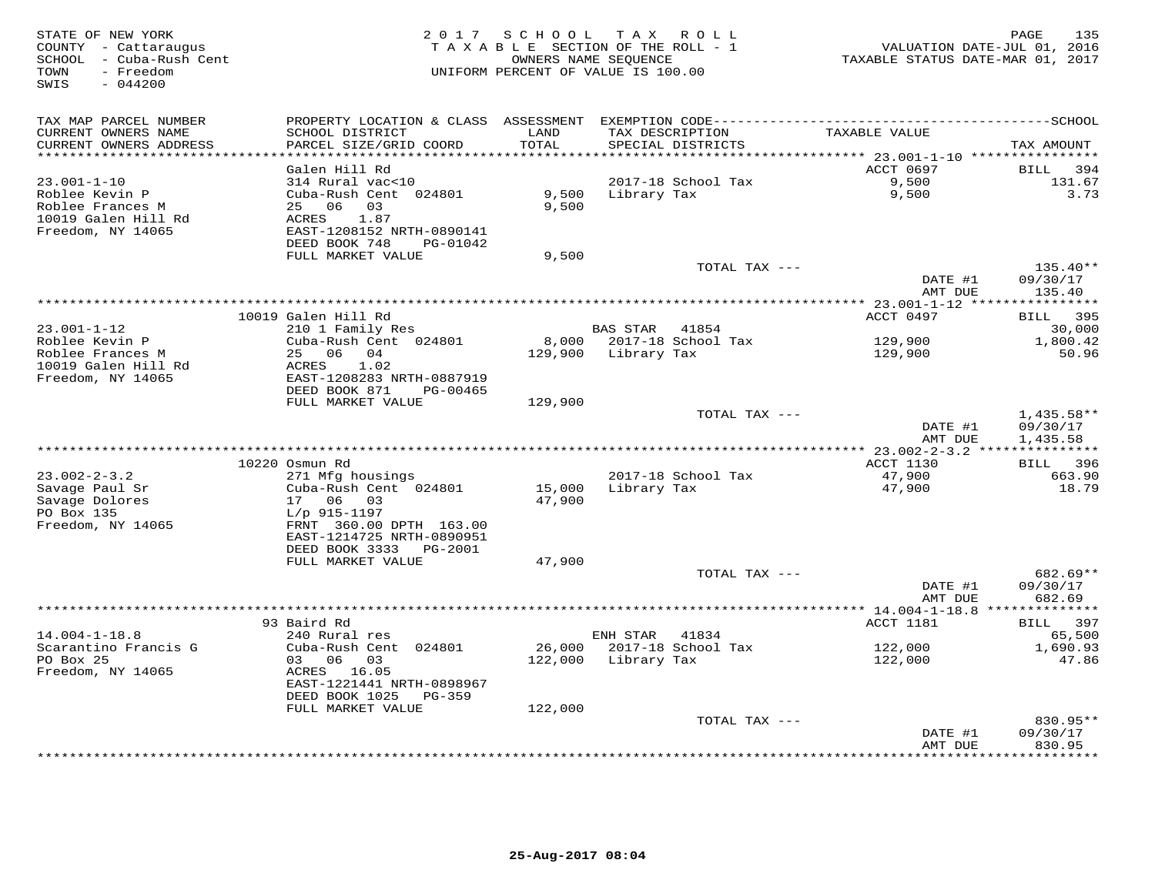| STATE OF NEW YORK<br>COUNTY - Cattaraugus<br>SCHOOL - Cuba-Rush Cent<br>- Freedom<br>TOWN<br>SWIS<br>$-044200$ | 2 0 1 7                                                                                                                                                 |                    | SCHOOL TAX ROLL<br>TAXABLE SECTION OF THE ROLL - 1<br>OWNERS NAME SEQUENCE<br>UNIFORM PERCENT OF VALUE IS 100.00 | TAXABLE STATUS DATE-MAR 01, 2017   | 135<br>PAGE<br>VALUATION DATE-JUL 01, 2016                  |
|----------------------------------------------------------------------------------------------------------------|---------------------------------------------------------------------------------------------------------------------------------------------------------|--------------------|------------------------------------------------------------------------------------------------------------------|------------------------------------|-------------------------------------------------------------|
| TAX MAP PARCEL NUMBER<br>CURRENT OWNERS NAME<br>CURRENT OWNERS ADDRESS                                         | SCHOOL DISTRICT<br>PARCEL SIZE/GRID COORD                                                                                                               | LAND<br>TOTAL      | TAX DESCRIPTION<br>SPECIAL DISTRICTS                                                                             | TAXABLE VALUE                      | TAX AMOUNT                                                  |
|                                                                                                                |                                                                                                                                                         | ******             |                                                                                                                  | ******* 23.001-1-10 ***********    |                                                             |
| $23.001 - 1 - 10$<br>Roblee Kevin P<br>Roblee Frances M<br>10019 Galen Hill Rd<br>Freedom, NY 14065            | Galen Hill Rd<br>314 Rural vac<10<br>Cuba-Rush Cent 024801<br>06<br>03<br>25<br>1.87<br>ACRES<br>EAST-1208152 NRTH-0890141<br>DEED BOOK 748<br>PG-01042 | 9,500<br>9,500     | 2017-18 School Tax<br>Library Tax                                                                                | <b>ACCT 0697</b><br>9,500<br>9,500 | BILL<br>394<br>131.67<br>3.73                               |
|                                                                                                                | FULL MARKET VALUE                                                                                                                                       | 9,500              | TOTAL TAX ---                                                                                                    |                                    | $135.40**$                                                  |
|                                                                                                                |                                                                                                                                                         |                    |                                                                                                                  | DATE #1<br>AMT DUE                 | 09/30/17<br>135.40                                          |
|                                                                                                                |                                                                                                                                                         |                    |                                                                                                                  |                                    |                                                             |
| $23.001 - 1 - 12$                                                                                              | 10019 Galen Hill Rd<br>210 1 Family Res                                                                                                                 |                    | BAS STAR 41854                                                                                                   | ACCT 0497                          | 395<br>BILL<br>30,000                                       |
| Roblee Kevin P                                                                                                 | Cuba-Rush Cent 024801                                                                                                                                   | 8,000              | 2017-18 School Tax                                                                                               | 129,900                            | 1,800.42                                                    |
| Roblee Frances M                                                                                               | 06 04<br>25                                                                                                                                             | 129,900            | Library Tax                                                                                                      | 129,900                            | 50.96                                                       |
| 10019 Galen Hill Rd<br>Freedom, NY 14065                                                                       | ACRES<br>1.02<br>EAST-1208283 NRTH-0887919<br>DEED BOOK 871<br>PG-00465<br>FULL MARKET VALUE                                                            | 129,900            |                                                                                                                  |                                    |                                                             |
|                                                                                                                |                                                                                                                                                         |                    | TOTAL TAX ---                                                                                                    |                                    | $1,435.58**$                                                |
|                                                                                                                |                                                                                                                                                         |                    |                                                                                                                  | DATE #1<br>AMT DUE                 | 09/30/17<br>1,435.58                                        |
|                                                                                                                |                                                                                                                                                         |                    |                                                                                                                  |                                    |                                                             |
| $23.002 - 2 - 3.2$                                                                                             | 10220 Osmun Rd<br>271 Mfg housings                                                                                                                      |                    | 2017-18 School Tax                                                                                               | ACCT 1130<br>47,900                | 396<br>BILL<br>663.90                                       |
| Savage Paul Sr<br>Savage Dolores<br>PO Box 135<br>Freedom, NY 14065                                            | Cuba-Rush Cent 024801<br>17<br>06<br>03<br>$L/p$ 915-1197<br>FRNT 360.00 DPTH 163.00<br>EAST-1214725 NRTH-0890951<br>DEED BOOK 3333<br>PG-2001          | 15,000<br>47,900   | Library Tax                                                                                                      | 47,900                             | 18.79                                                       |
|                                                                                                                | FULL MARKET VALUE                                                                                                                                       | 47,900             |                                                                                                                  |                                    |                                                             |
|                                                                                                                | ******************                                                                                                                                      |                    | TOTAL TAX ---                                                                                                    | DATE #1<br>AMT DUE                 | $682.69**$<br>09/30/17<br>682.69<br>* * * * * * * * * * * * |
|                                                                                                                | 93 Baird Rd                                                                                                                                             |                    |                                                                                                                  | ACCT 1181                          | 397<br>BILL                                                 |
| $14.004 - 1 - 18.8$                                                                                            | 240 Rural res                                                                                                                                           |                    | ENH STAR<br>41834                                                                                                |                                    | 65,500                                                      |
| Scarantino Francis G                                                                                           | Cuba-Rush Cent 024801                                                                                                                                   | 26,000             | 2017-18 School Tax                                                                                               | 122,000                            | 1,690.93                                                    |
| PO Box 25<br>Freedom, NY 14065                                                                                 | 03 06<br>03<br>ACRES 16.05<br>EAST-1221441 NRTH-0898967<br>DEED BOOK 1025<br>PG-359<br>FULL MARKET VALUE                                                | 122,000<br>122,000 | Library Tax                                                                                                      | 122,000                            | 47.86                                                       |
|                                                                                                                |                                                                                                                                                         |                    | TOTAL TAX ---                                                                                                    |                                    | 830.95**                                                    |
|                                                                                                                |                                                                                                                                                         |                    |                                                                                                                  | DATE #1<br>AMT DUE                 | 09/30/17<br>830.95                                          |
|                                                                                                                |                                                                                                                                                         |                    |                                                                                                                  | * * * * * * * * * * * * *          | *********                                                   |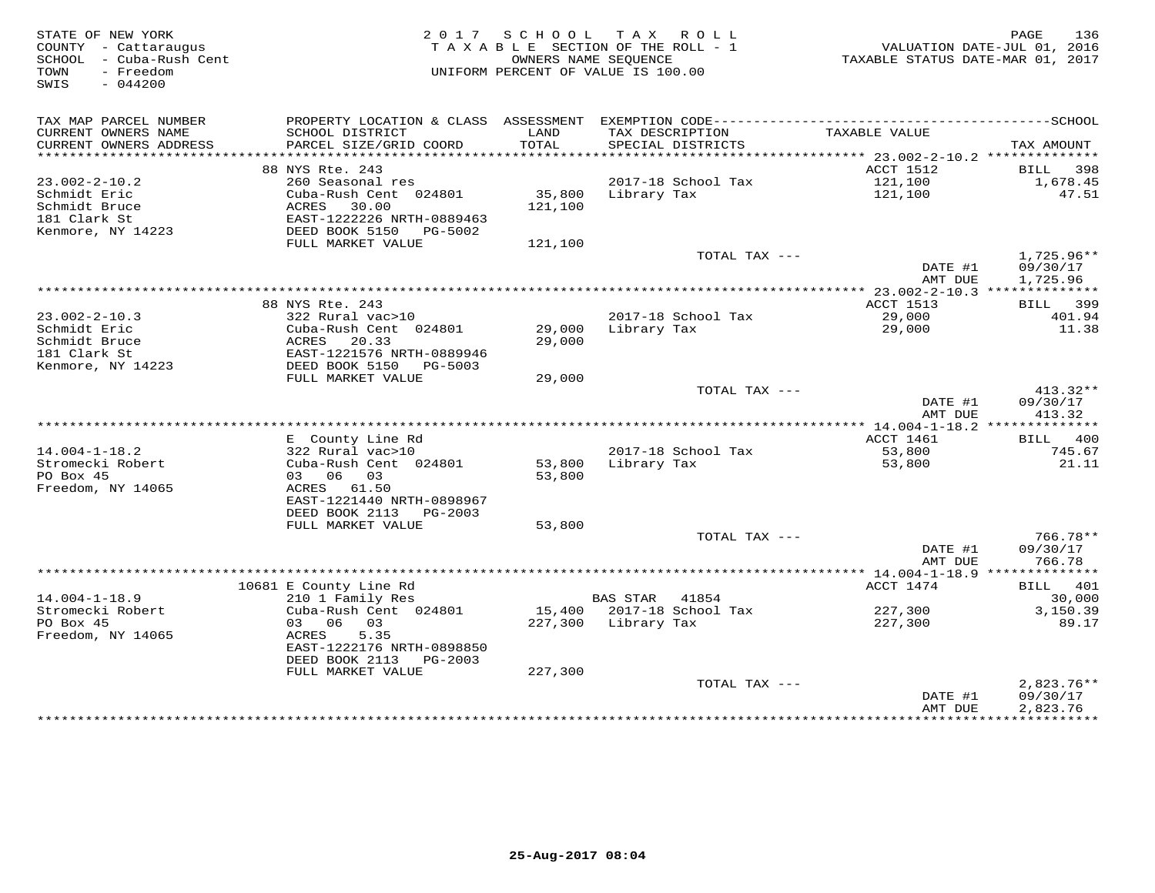| STATE OF NEW YORK<br>COUNTY - Cattaraugus<br>SCHOOL - Cuba-Rush Cent<br>- Freedom<br>TOWN<br>SWIS<br>$-044200$ |                                                |                   | 2017 SCHOOL TAX ROLL<br>TAXABLE SECTION OF THE ROLL - 1<br>OWNERS NAME SEOUENCE<br>UNIFORM PERCENT OF VALUE IS 100.00 | TAXABLE STATUS DATE-MAR 01, 2017 | 136<br>PAGE<br>VALUATION DATE-JUL 01, 2016 |
|----------------------------------------------------------------------------------------------------------------|------------------------------------------------|-------------------|-----------------------------------------------------------------------------------------------------------------------|----------------------------------|--------------------------------------------|
| TAX MAP PARCEL NUMBER                                                                                          |                                                |                   |                                                                                                                       |                                  |                                            |
| CURRENT OWNERS NAME<br>CURRENT OWNERS ADDRESS                                                                  | SCHOOL DISTRICT<br>PARCEL SIZE/GRID COORD      | LAND<br>TOTAL     | TAX DESCRIPTION<br>SPECIAL DISTRICTS                                                                                  | TAXABLE VALUE                    | TAX AMOUNT                                 |
|                                                                                                                |                                                |                   |                                                                                                                       |                                  |                                            |
|                                                                                                                | 88 NYS Rte. 243                                |                   |                                                                                                                       | ACCT 1512                        | BILL 398                                   |
| $23.002 - 2 - 10.2$                                                                                            | 260 Seasonal res                               |                   | 2017-18 School Tax                                                                                                    | 121,100                          | 1,678.45                                   |
| Schmidt Eric<br>Schmidt Bruce                                                                                  | Cuba-Rush Cent 024801<br>ACRES<br>30.00        | 35,800<br>121,100 | Library Tax                                                                                                           | 121,100                          | 47.51                                      |
| 181 Clark St                                                                                                   | EAST-1222226 NRTH-0889463                      |                   |                                                                                                                       |                                  |                                            |
| Kenmore, NY 14223                                                                                              | DEED BOOK 5150<br>PG-5002                      |                   |                                                                                                                       |                                  |                                            |
|                                                                                                                | FULL MARKET VALUE                              | 121,100           |                                                                                                                       |                                  |                                            |
|                                                                                                                |                                                |                   | TOTAL TAX ---                                                                                                         |                                  | $1,725.96**$                               |
|                                                                                                                |                                                |                   |                                                                                                                       | DATE #1                          | 09/30/17                                   |
|                                                                                                                |                                                |                   |                                                                                                                       | AMT DUE                          | 1,725.96                                   |
|                                                                                                                | 88 NYS Rte. 243                                |                   |                                                                                                                       | ACCT 1513                        | BILL 399                                   |
| $23.002 - 2 - 10.3$                                                                                            | 322 Rural vac>10                               |                   | 2017-18 School Tax                                                                                                    | 29,000                           | 401.94                                     |
| Schmidt Eric                                                                                                   | Cuba-Rush Cent 024801                          | 29,000            | Library Tax                                                                                                           | 29,000                           | 11.38                                      |
| Schmidt Bruce                                                                                                  | ACRES 20.33                                    | 29,000            |                                                                                                                       |                                  |                                            |
| 181 Clark St                                                                                                   | EAST-1221576 NRTH-0889946                      |                   |                                                                                                                       |                                  |                                            |
| Kenmore, NY 14223                                                                                              | DEED BOOK 5150<br>PG-5003<br>FULL MARKET VALUE | 29,000            |                                                                                                                       |                                  |                                            |
|                                                                                                                |                                                |                   | TOTAL TAX ---                                                                                                         |                                  | $413.32**$                                 |
|                                                                                                                |                                                |                   |                                                                                                                       | DATE #1                          | 09/30/17                                   |
|                                                                                                                |                                                |                   |                                                                                                                       | AMT DUE                          | 413.32                                     |
|                                                                                                                |                                                |                   |                                                                                                                       |                                  |                                            |
|                                                                                                                | E County Line Rd                               |                   |                                                                                                                       | ACCT 1461                        | <b>BILL</b> 400                            |
| $14.004 - 1 - 18.2$<br>Stromecki Robert                                                                        | 322 Rural vac>10<br>Cuba-Rush Cent 024801      | 53,800            | 2017-18 School Tax<br>Library Tax                                                                                     | 53,800<br>53,800                 | 745.67<br>21.11                            |
| PO Box 45                                                                                                      | 03 06 03                                       | 53,800            |                                                                                                                       |                                  |                                            |
| Freedom, NY 14065                                                                                              | ACRES 61.50                                    |                   |                                                                                                                       |                                  |                                            |
|                                                                                                                | EAST-1221440 NRTH-0898967                      |                   |                                                                                                                       |                                  |                                            |
|                                                                                                                | DEED BOOK 2113 PG-2003                         |                   |                                                                                                                       |                                  |                                            |
|                                                                                                                | FULL MARKET VALUE                              | 53,800            |                                                                                                                       |                                  |                                            |
|                                                                                                                |                                                |                   | TOTAL TAX ---                                                                                                         | DATE #1                          | 766.78**<br>09/30/17                       |
|                                                                                                                |                                                |                   |                                                                                                                       | AMT DUE                          | 766.78                                     |
|                                                                                                                |                                                |                   |                                                                                                                       |                                  |                                            |
|                                                                                                                | 10681 E County Line Rd                         |                   |                                                                                                                       | ACCT 1474                        | BILL 401                                   |
| $14.004 - 1 - 18.9$                                                                                            | 210 1 Family Res                               |                   | BAS STAR 41854                                                                                                        |                                  | 30,000                                     |
| Stromecki Robert                                                                                               | Cuba-Rush Cent 024801                          |                   | 15,400 2017-18 School Tax                                                                                             | 227,300                          | 3,150.39                                   |
| PO Box 45<br>Freedom, NY 14065                                                                                 | 03 06 03<br>ACRES<br>5.35                      |                   | 227,300 Library Tax                                                                                                   | 227,300                          | 89.17                                      |
|                                                                                                                | EAST-1222176 NRTH-0898850                      |                   |                                                                                                                       |                                  |                                            |
|                                                                                                                | DEED BOOK 2113 PG-2003                         |                   |                                                                                                                       |                                  |                                            |
|                                                                                                                | FULL MARKET VALUE                              | 227,300           |                                                                                                                       |                                  |                                            |
|                                                                                                                |                                                |                   | TOTAL TAX ---                                                                                                         |                                  | $2,823.76**$                               |
|                                                                                                                |                                                |                   |                                                                                                                       | DATE #1                          | 09/30/17                                   |
|                                                                                                                |                                                |                   |                                                                                                                       | AMT DUE                          | 2,823.76<br>+ + + + + + + + + + + + +      |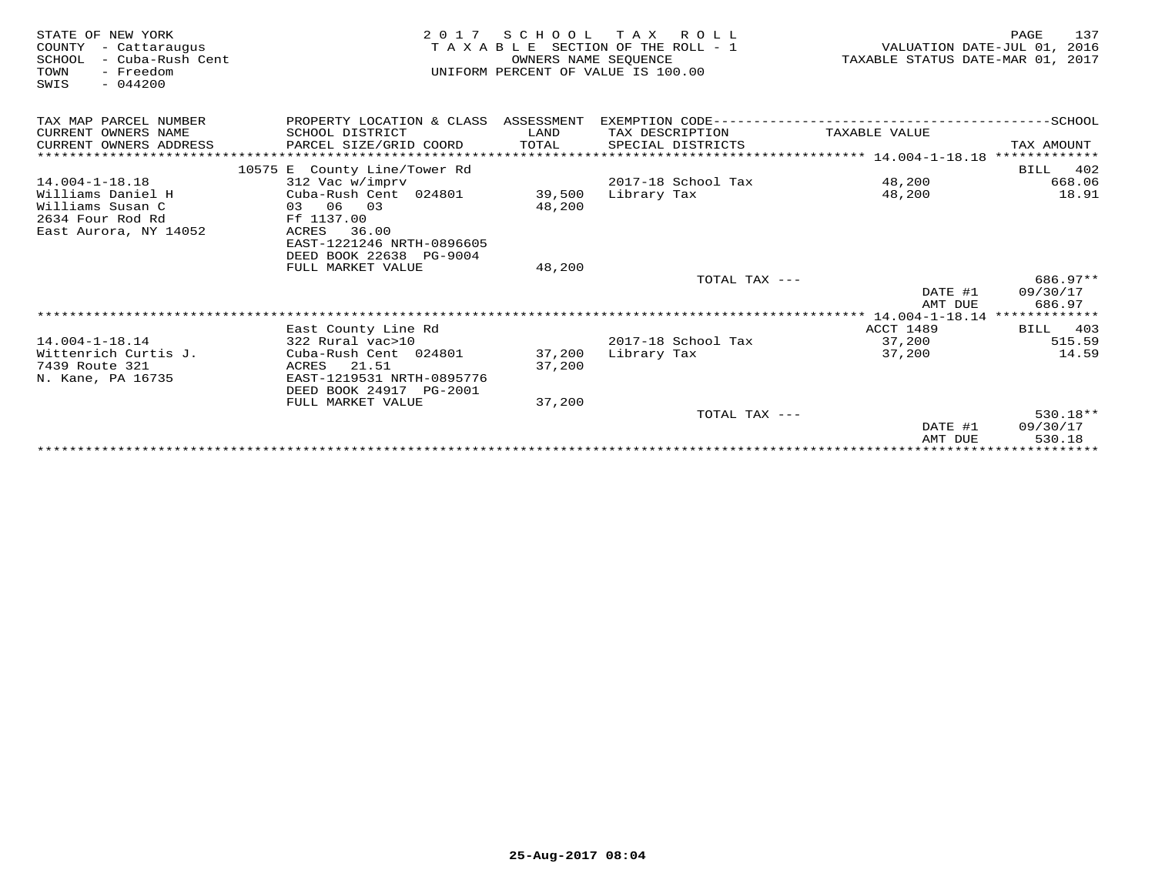| STATE OF NEW YORK<br>COUNTY<br>- Cattaraugus<br>SCHOOL<br>- Cuba-Rush Cent<br>TOWN<br>- Freedom<br>$-044200$<br>SWIS | 2 0 1 7                                         | SCHOOL<br>OWNERS NAME SEOUENCE | TAX ROLL<br>TAXABLE SECTION OF THE ROLL - 1<br>UNIFORM PERCENT OF VALUE IS 100.00 | VALUATION DATE-JUL 01, 2016<br>TAXABLE STATUS DATE-MAR 01, 2017 | 137<br>PAGE           |
|----------------------------------------------------------------------------------------------------------------------|-------------------------------------------------|--------------------------------|-----------------------------------------------------------------------------------|-----------------------------------------------------------------|-----------------------|
| TAX MAP PARCEL NUMBER                                                                                                | PROPERTY LOCATION & CLASS ASSESSMENT            |                                |                                                                                   |                                                                 |                       |
| CURRENT OWNERS NAME                                                                                                  | SCHOOL DISTRICT                                 | LAND                           | TAX DESCRIPTION                                                                   | TAXABLE VALUE                                                   |                       |
| CURRENT OWNERS ADDRESS                                                                                               | PARCEL SIZE/GRID COORD                          | TOTAL                          | SPECIAL DISTRICTS                                                                 |                                                                 | TAX AMOUNT            |
|                                                                                                                      |                                                 |                                |                                                                                   |                                                                 |                       |
| $14.004 - 1 - 18.18$                                                                                                 | 10575 E County Line/Tower Rd<br>312 Vac w/imprv |                                | 2017-18 School Tax                                                                | 48,200                                                          | 402<br>BILL<br>668.06 |
| Williams Daniel H                                                                                                    | Cuba-Rush Cent 024801                           | 39,500                         | Library Tax                                                                       | 48,200                                                          | 18.91                 |
| Williams Susan C                                                                                                     | 03 06 03                                        | 48,200                         |                                                                                   |                                                                 |                       |
| 2634 Four Rod Rd                                                                                                     | Ff 1137.00                                      |                                |                                                                                   |                                                                 |                       |
| East Aurora, NY 14052                                                                                                | 36.00<br>ACRES                                  |                                |                                                                                   |                                                                 |                       |
|                                                                                                                      | EAST-1221246 NRTH-0896605                       |                                |                                                                                   |                                                                 |                       |
|                                                                                                                      | DEED BOOK 22638 PG-9004                         |                                |                                                                                   |                                                                 |                       |
|                                                                                                                      | FULL MARKET VALUE                               | 48,200                         |                                                                                   |                                                                 | 686.97**              |
|                                                                                                                      |                                                 |                                | TOTAL TAX ---                                                                     | DATE #1                                                         | 09/30/17              |
|                                                                                                                      |                                                 |                                |                                                                                   | AMT DUE                                                         | 686.97                |
|                                                                                                                      |                                                 |                                |                                                                                   |                                                                 |                       |
|                                                                                                                      | East County Line Rd                             |                                |                                                                                   | ACCT 1489                                                       | 403<br>BILL           |
| $14.004 - 1 - 18.14$                                                                                                 | 322 Rural vac>10                                |                                | 2017-18 School Tax                                                                | 37,200                                                          | 515.59                |
| Wittenrich Curtis J.                                                                                                 | Cuba-Rush Cent 024801                           | 37,200                         | Library Tax                                                                       | 37,200                                                          | 14.59                 |
| 7439 Route 321                                                                                                       | ACRES 21.51                                     | 37,200                         |                                                                                   |                                                                 |                       |
| N. Kane, PA 16735                                                                                                    | EAST-1219531 NRTH-0895776                       |                                |                                                                                   |                                                                 |                       |
|                                                                                                                      | DEED BOOK 24917 PG-2001<br>FULL MARKET VALUE    | 37,200                         |                                                                                   |                                                                 |                       |
|                                                                                                                      |                                                 |                                | TOTAL TAX ---                                                                     |                                                                 | $530.18**$            |
|                                                                                                                      |                                                 |                                |                                                                                   | DATE #1                                                         | 09/30/17              |
|                                                                                                                      |                                                 |                                |                                                                                   | AMT DUE                                                         | 530.18                |
|                                                                                                                      |                                                 |                                |                                                                                   |                                                                 |                       |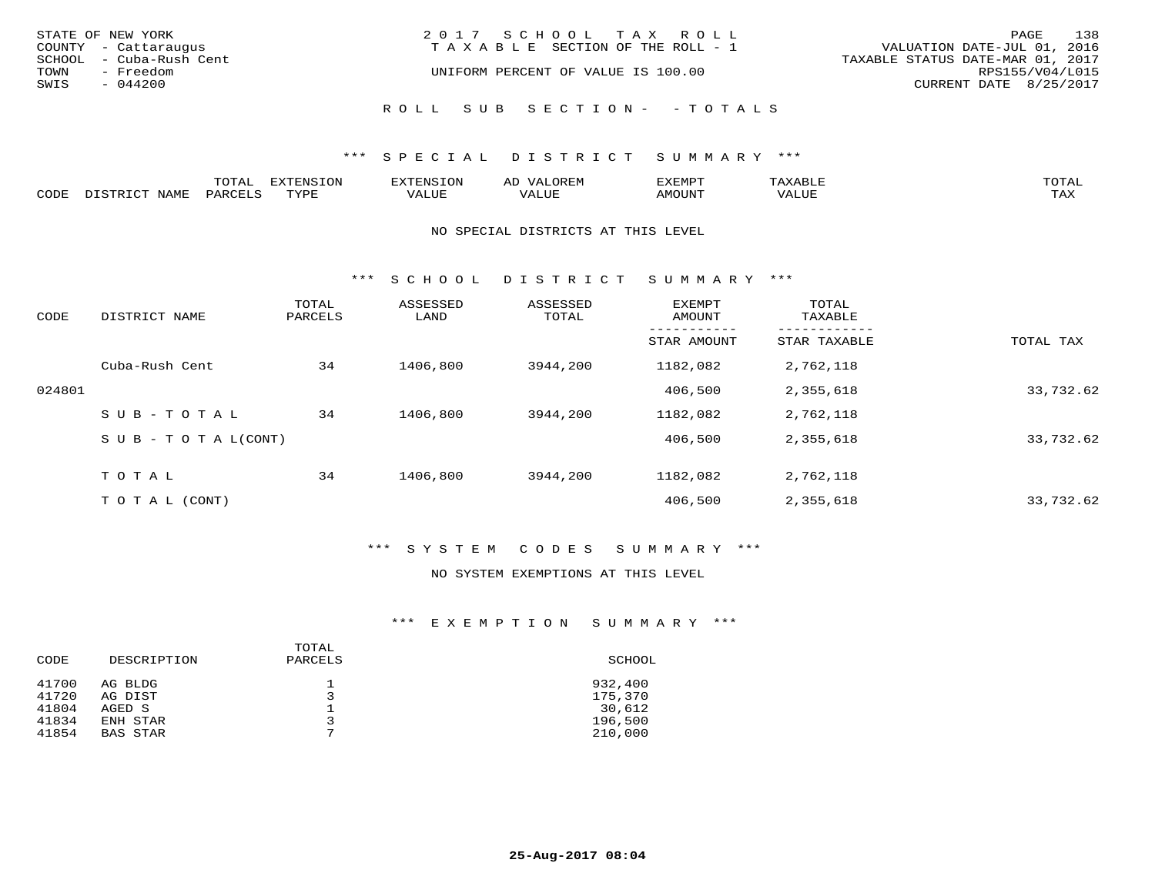| STATE OF NEW YORK<br>COUNTY - Cattaraugus    | 2017 SCHOOL TAX ROLL<br>T A X A B L E SECTION OF THE ROLL - 1 | 138<br>PAGE<br>VALUATION DATE-JUL 01, 2016          |
|----------------------------------------------|---------------------------------------------------------------|-----------------------------------------------------|
| SCHOOL - Cuba-Rush Cent<br>TOWN<br>- Freedom | UNIFORM PERCENT OF VALUE IS 100.00                            | TAXABLE STATUS DATE-MAR 01, 2017<br>RPS155/V04/L015 |
| SWIS<br>$-044200$                            |                                                               | CURRENT DATE 8/25/2017                              |
|                                              | ROLL SUB SECTION- - TOTALS                                    |                                                     |

|      |      | mom n<br>-777 | pszmpato<br>$ \sim$ $\sim$<br>-UP | AL.         | ,,, <del>,</del> ,,, <del>,</del> ,<br>້ |                         | $m \wedge m \wedge n$ |
|------|------|---------------|-----------------------------------|-------------|------------------------------------------|-------------------------|-----------------------|
| CODE | ⊥'⊥⊥ | PARO          | TVDF                              | ۳۰ تا سند د | <b>MOTTNT</b>                            | - ---<br>$'$ $\Delta$ . | $m \times r$<br>- −-  |

#### NO SPECIAL DISTRICTS AT THIS LEVEL

\*\*\* S C H O O L D I S T R I C T S U M M A R Y \*\*\*

| CODE   | DISTRICT NAME                    | TOTAL<br>PARCELS | ASSESSED<br>LAND | ASSESSED<br>TOTAL | <b>EXEMPT</b><br>AMOUNT | TOTAL<br>TAXABLE |           |
|--------|----------------------------------|------------------|------------------|-------------------|-------------------------|------------------|-----------|
|        |                                  |                  |                  |                   | STAR AMOUNT             | STAR TAXABLE     | TOTAL TAX |
|        | Cuba-Rush Cent                   | 34               | 1406,800         | 3944,200          | 1182,082                | 2,762,118        |           |
| 024801 |                                  |                  |                  |                   | 406,500                 | 2,355,618        | 33,732.62 |
|        | SUB-TOTAL                        | 34               | 1406,800         | 3944,200          | 1182,082                | 2,762,118        |           |
|        | $S \cup B - T \cup T A L (CONT)$ |                  |                  |                   | 406,500                 | 2,355,618        | 33,732.62 |
|        | TOTAL                            | 34               | 1406,800         | 3944,200          | 1182,082                | 2,762,118        |           |
|        | T O T A L (CONT)                 |                  |                  |                   | 406,500                 | 2,355,618        | 33,732.62 |

# \*\*\* S Y S T E M C O D E S S U M M A R Y \*\*\*

#### NO SYSTEM EXEMPTIONS AT THIS LEVEL

| CODE  | DESCRIPTION     | TOTAL<br>PARCELS | SCHOOL  |
|-------|-----------------|------------------|---------|
| 41700 | AG BLDG         | ⇁                | 932,400 |
| 41720 | AG DIST         |                  | 175,370 |
| 41804 | AGED S          |                  | 30,612  |
| 41834 | ENH STAR        |                  | 196,500 |
| 41854 | <b>BAS STAR</b> |                  | 210,000 |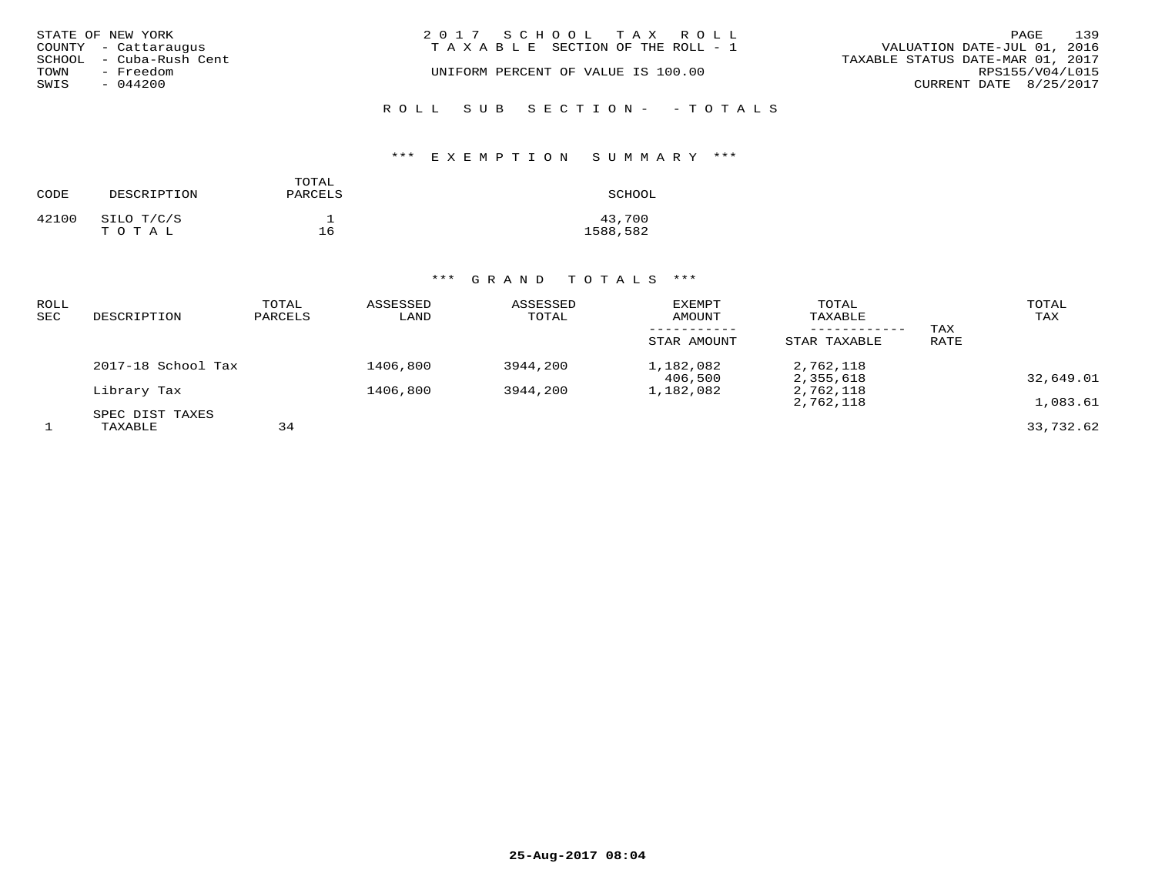|      | STATE OF NEW YORK       | 2017 SCHOOL TAX ROLL                  | PAGE                             | 139 |
|------|-------------------------|---------------------------------------|----------------------------------|-----|
|      | COUNTY - Cattaraugus    | T A X A B L E SECTION OF THE ROLL - 1 | VALUATION DATE-JUL 01, 2016      |     |
|      | SCHOOL - Cuba-Rush Cent |                                       | TAXABLE STATUS DATE-MAR 01, 2017 |     |
| TOWN | - Freedom               | UNIFORM PERCENT OF VALUE IS 100.00    | RPS155/V04/L015                  |     |
| SWIS | $-044200$               |                                       | CURRENT DATE 8/25/2017           |     |
|      |                         |                                       |                                  |     |

ROLL SUB SECTION - - TOTALS

# \*\*\* E X E M P T I O N S U M M A R Y \*\*\*

| CODE  | DESCRIPTION         | TOTAL<br>PARCELS | SCHOOL             |
|-------|---------------------|------------------|--------------------|
| 42100 | SILO T/C/S<br>TOTAL | 16               | 43,700<br>1588,582 |

| ROLL<br>SEC | DESCRIPTION                | TOTAL<br>PARCELS | ASSESSED<br>LAND | ASSESSED<br>TOTAL | EXEMPT<br>AMOUNT     | TOTAL<br>TAXABLE       | TAX  | TOTAL<br>TAX |
|-------------|----------------------------|------------------|------------------|-------------------|----------------------|------------------------|------|--------------|
|             |                            |                  |                  |                   | STAR AMOUNT          | STAR TAXABLE           | RATE |              |
|             | 2017-18 School Tax         |                  | 1406,800         | 3944,200          | 1,182,082<br>406,500 | 2,762,118<br>2,355,618 |      | 32,649.01    |
|             | Library Tax                |                  | 1406,800         | 3944,200          | 1,182,082            | 2,762,118<br>2,762,118 |      | 1,083.61     |
|             | SPEC DIST TAXES<br>TAXABLE | 34               |                  |                   |                      |                        |      | 33,732.62    |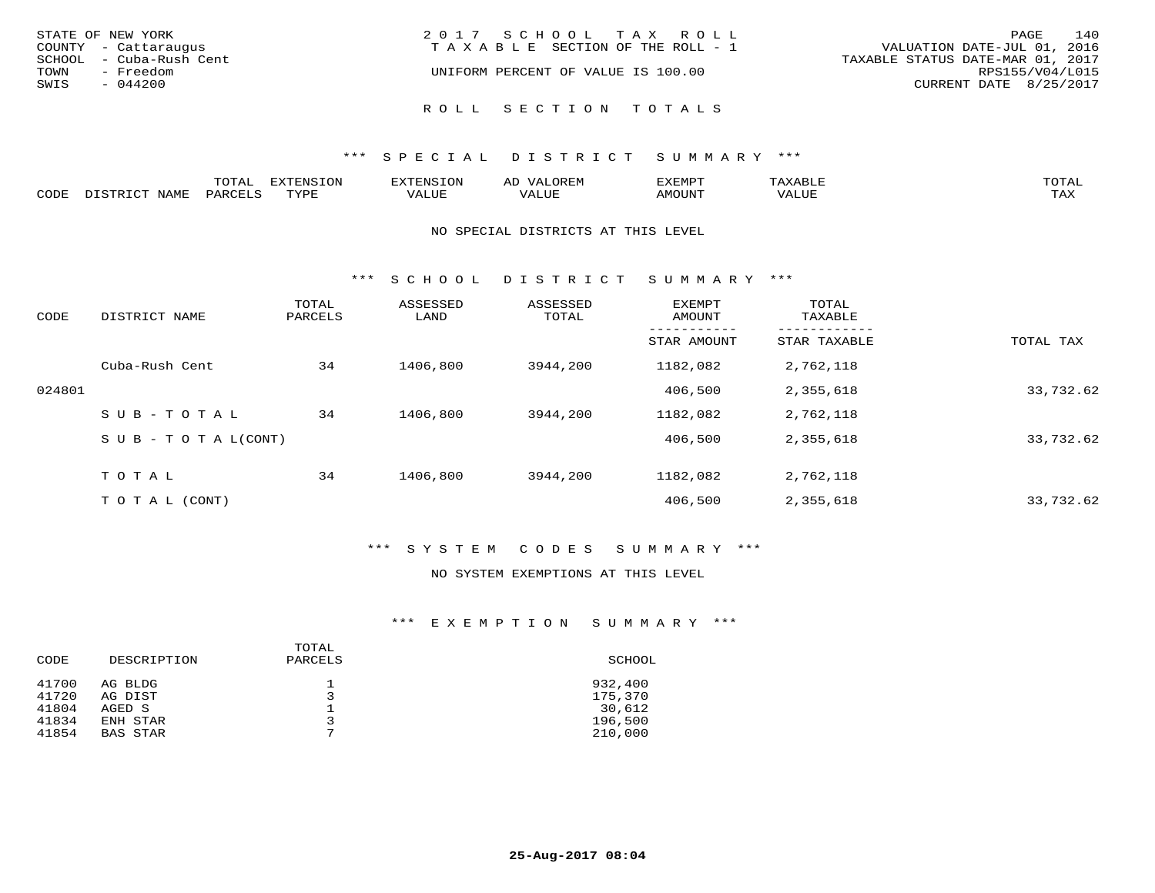| STATE OF NEW YORK       | 2017 SCHOOL TAX ROLL               | 140<br>PAGE                      |
|-------------------------|------------------------------------|----------------------------------|
| COUNTY - Cattaraugus    | TAXABLE SECTION OF THE ROLL - 1    | VALUATION DATE-JUL 01, 2016      |
| SCHOOL - Cuba-Rush Cent |                                    | TAXABLE STATUS DATE-MAR 01, 2017 |
| TOWN<br>- Freedom       | UNIFORM PERCENT OF VALUE IS 100.00 | RPS155/V04/L015                  |
| SWIS<br>$-044200$       |                                    | CURRENT DATE 8/25/2017           |
|                         |                                    |                                  |
|                         | ROLL SECTION TOTALS                |                                  |

|       |      | m^m*<br>∸ ∪ ⊥ <del>⊓</del> | $T \cap N$<br>--- |                 | ىت | YFMDT   |        | $m \wedge m \wedge n$ |
|-------|------|----------------------------|-------------------|-----------------|----|---------|--------|-----------------------|
| JODE: | ᇧᅀᇝᅲ |                            | $m \tau \tau n$   | $-$ - $-$ - $-$ |    | 1077777 | 1 U P. | $m \times r$<br>- ⊷∡  |

#### NO SPECIAL DISTRICTS AT THIS LEVEL

\*\*\* S C H O O L D I S T R I C T S U M M A R Y \*\*\*

| CODE   | DISTRICT NAME                    | TOTAL<br>PARCELS | ASSESSED<br>LAND | ASSESSED<br>TOTAL | <b>EXEMPT</b><br>AMOUNT | TOTAL<br>TAXABLE |           |
|--------|----------------------------------|------------------|------------------|-------------------|-------------------------|------------------|-----------|
|        |                                  |                  |                  |                   | STAR AMOUNT             | STAR TAXABLE     | TOTAL TAX |
|        | Cuba-Rush Cent                   | 34               | 1406,800         | 3944,200          | 1182,082                | 2,762,118        |           |
| 024801 |                                  |                  |                  |                   | 406,500                 | 2,355,618        | 33,732.62 |
|        | SUB-TOTAL                        | 34               | 1406,800         | 3944,200          | 1182,082                | 2,762,118        |           |
|        | $S \cup B - T \cup T A L (CONT)$ |                  |                  |                   | 406,500                 | 2,355,618        | 33,732.62 |
|        | TOTAL                            | 34               | 1406,800         | 3944,200          | 1182,082                | 2,762,118        |           |
|        | T O T A L (CONT)                 |                  |                  |                   | 406,500                 | 2,355,618        | 33,732.62 |

# \*\*\* S Y S T E M C O D E S S U M M A R Y \*\*\*

#### NO SYSTEM EXEMPTIONS AT THIS LEVEL

| DESCRIPTION                 | PARCELS | SCHOOL             |
|-----------------------------|---------|--------------------|
| AG BLDG<br>AG DIST          |         | 932,400<br>175,370 |
| AGED S                      |         | 30,612             |
| ENH STAR<br><b>BAS STAR</b> | ⇁       | 196,500<br>210,000 |
|                             |         | TOTAL              |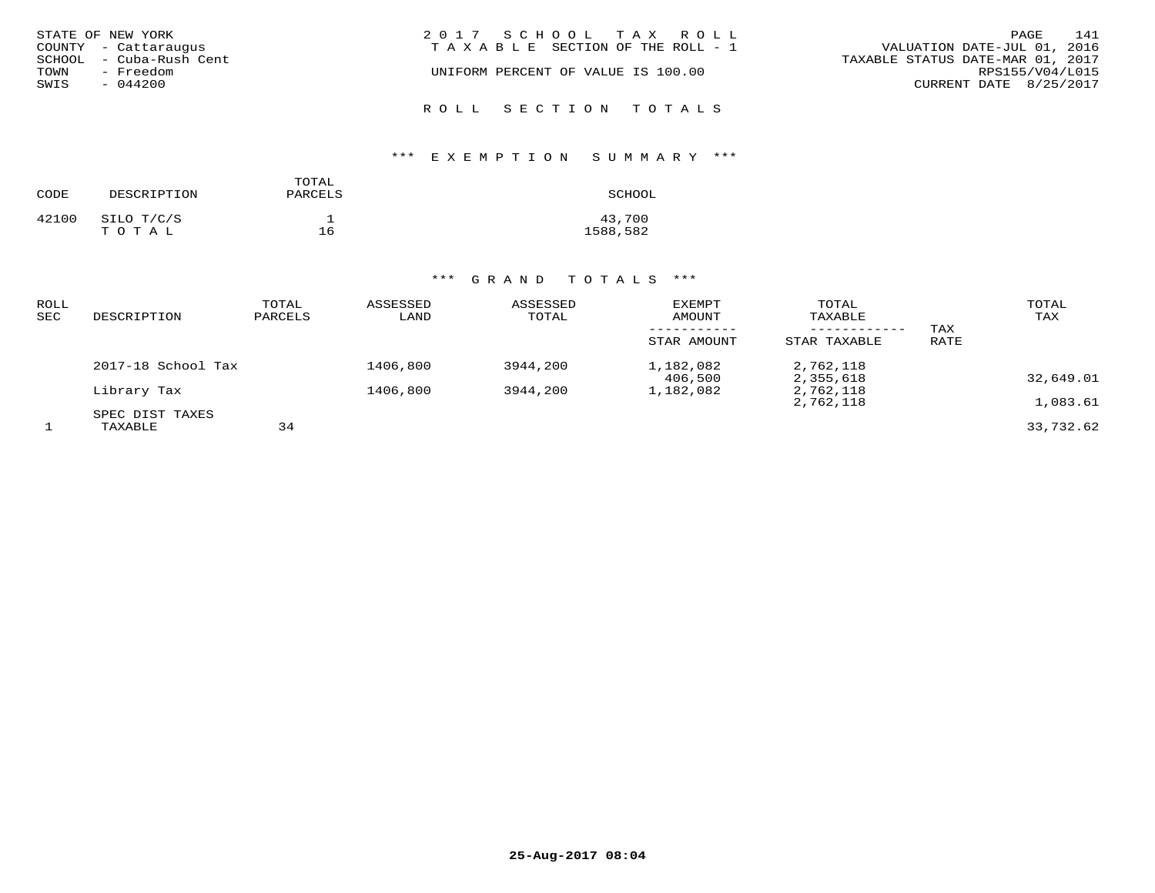|      | STATE OF NEW YORK       | 2017 SCHOOL TAX ROLL                  | 141<br>PAGE                      |
|------|-------------------------|---------------------------------------|----------------------------------|
|      | COUNTY - Cattaraugus    | T A X A B L E SECTION OF THE ROLL - 1 | VALUATION DATE-JUL 01, 2016      |
|      | SCHOOL - Cuba-Rush Cent |                                       | TAXABLE STATUS DATE-MAR 01, 2017 |
| TOWN | - Freedom               | UNIFORM PERCENT OF VALUE IS 100.00    | RPS155/V04/L015                  |
| SWIS | - 044200                |                                       | CURRENT DATE 8/25/2017           |
|      |                         | ROLL SECTION TOTALS                   |                                  |

# \*\*\* E X E M P T I O N S U M M A R Y \*\*\*

| CODE  | DESCRIPTION         | TOTAL<br>PARCELS | SCHOOL             |
|-------|---------------------|------------------|--------------------|
| 42100 | SILO T/C/S<br>TOTAL | 16               | 43,700<br>1588,582 |

| ROLL<br>SEC | DESCRIPTION                | TOTAL<br>PARCELS | ASSESSED<br>LAND | ASSESSED<br>TOTAL | EXEMPT<br>AMOUNT     | TOTAL<br>TAXABLE       | TAX  | TOTAL<br>TAX |
|-------------|----------------------------|------------------|------------------|-------------------|----------------------|------------------------|------|--------------|
|             |                            |                  |                  |                   | STAR AMOUNT          | STAR TAXABLE           | RATE |              |
|             | 2017-18 School Tax         |                  | 1406,800         | 3944,200          | 1,182,082<br>406,500 | 2,762,118<br>2,355,618 |      | 32,649.01    |
|             | Library Tax                |                  | 1406,800         | 3944,200          | 1,182,082            | 2,762,118<br>2,762,118 |      | 1,083.61     |
|             | SPEC DIST TAXES<br>TAXABLE | 34               |                  |                   |                      |                        |      | 33,732.62    |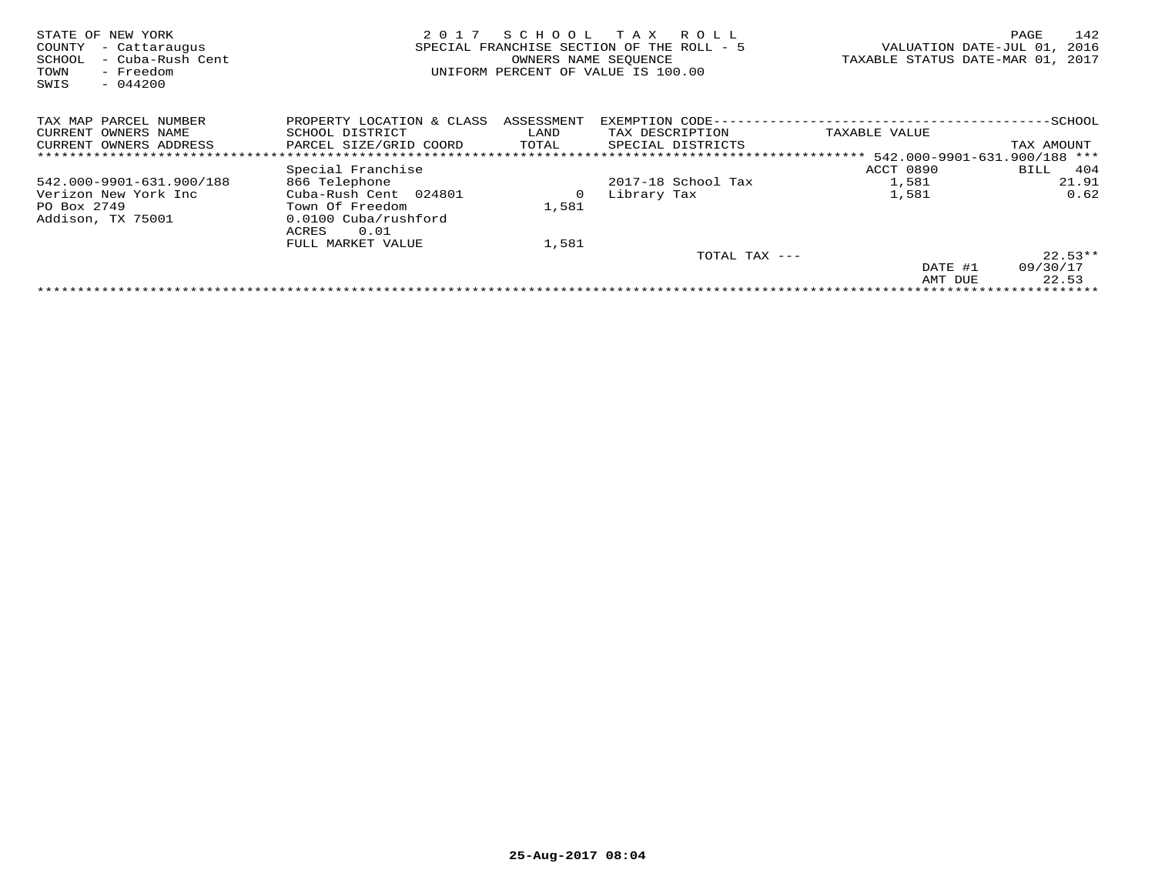| STATE OF NEW YORK<br>COUNTY<br>- Cattaraugus<br>- Cuba-Rush Cent<br>SCHOOL<br>- Freedom<br>TOWN<br>$-044200$<br>SWIS | 2017                                                                              | SCHOOL<br>SPECIAL FRANCHISE SECTION OF THE<br>OWNERS NAME SEQUENCE | T A X<br>R O L L<br>$ROI.I. - 5$<br>UNIFORM PERCENT OF VALUE IS 100.00 | VALUATION DATE-JUL 01,<br>TAXABLE STATUS DATE-MAR 01, | 142<br>PAGE<br>2016<br>2017 |
|----------------------------------------------------------------------------------------------------------------------|-----------------------------------------------------------------------------------|--------------------------------------------------------------------|------------------------------------------------------------------------|-------------------------------------------------------|-----------------------------|
| TAX MAP PARCEL NUMBER                                                                                                | PROPERTY LOCATION & CLASS                                                         | ASSESSMENT                                                         | EXEMPTION CODE-                                                        |                                                       | -SCHOOL                     |
| CURRENT OWNERS NAME                                                                                                  | SCHOOL DISTRICT                                                                   | LAND                                                               | TAX DESCRIPTION                                                        | TAXABLE VALUE                                         |                             |
| CURRENT OWNERS ADDRESS                                                                                               | PARCEL SIZE/GRID COORD                                                            | TOTAL                                                              | SPECIAL DISTRICTS                                                      |                                                       | TAX AMOUNT                  |
|                                                                                                                      |                                                                                   |                                                                    |                                                                        |                                                       |                             |
|                                                                                                                      | Special Franchise                                                                 |                                                                    |                                                                        | ACCT 0890                                             | 404<br>BILL                 |
| 542.000-9901-631.900/188                                                                                             | 866 Telephone                                                                     |                                                                    | 2017-18 School Tax                                                     | 1,581                                                 | 21.91                       |
| Verizon New York Inc<br>PO Box 2749<br>Addison, TX 75001                                                             | Cuba-Rush Cent 024801<br>Town Of Freedom<br>0.0100 Cuba/rushford<br>0.01<br>ACRES | 0<br>1,581                                                         | Library Tax                                                            | 1,581                                                 | 0.62                        |
|                                                                                                                      | FULL MARKET VALUE                                                                 | 1,581                                                              |                                                                        |                                                       |                             |
|                                                                                                                      |                                                                                   |                                                                    | TOTAL TAX ---                                                          |                                                       | $22.53**$                   |
|                                                                                                                      |                                                                                   |                                                                    |                                                                        | DATE #1                                               | 09/30/17                    |
|                                                                                                                      |                                                                                   |                                                                    |                                                                        | AMT DUE                                               | 22.53                       |
|                                                                                                                      |                                                                                   |                                                                    |                                                                        |                                                       |                             |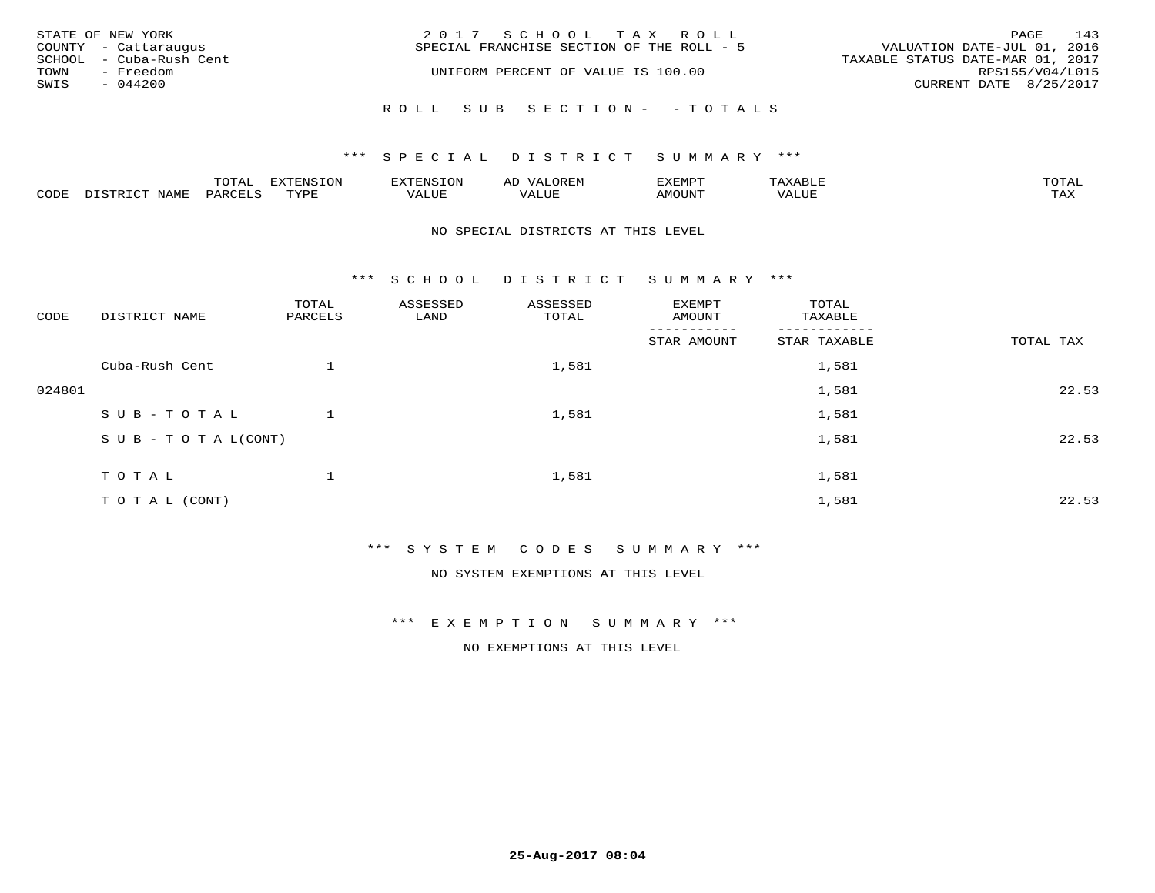|      | STATE OF NEW YORK       | 2017 SCHOOL TAX ROLL                      | PAGE                             | 143             |
|------|-------------------------|-------------------------------------------|----------------------------------|-----------------|
|      | COUNTY - Cattaraugus    | SPECIAL FRANCHISE SECTION OF THE ROLL - 5 | VALUATION DATE-JUL 01, 2016      |                 |
|      | SCHOOL - Cuba-Rush Cent |                                           | TAXABLE STATUS DATE-MAR 01, 2017 |                 |
| TOWN | - Freedom               | UNIFORM PERCENT OF VALUE IS 100.00        |                                  | RPS155/V04/L015 |
| SWIS | $-044200$               |                                           | CURRENT DATE 8/25/2017           |                 |
|      |                         | ROLL SUB SECTION- - TOTALS                |                                  |                 |

|      | $n \wedge m \wedge n$ |                 | <b>MARINE</b> | ΑL                   |                          |                    |                           |
|------|-----------------------|-----------------|---------------|----------------------|--------------------------|--------------------|---------------------------|
| CODE | ΆR                    | $m \tau \tau n$ | اللالا للديات | $\cdots$<br>التلافين | <b>MOTTNTO</b><br>'UUN'. | <b>- ---</b><br>∕∆ | $m \times r$<br>- - - - - |

#### NO SPECIAL DISTRICTS AT THIS LEVEL

\*\*\* S C H O O L D I S T R I C T S U M M A R Y \*\*\*

| CODE   | DISTRICT NAME                    | TOTAL<br>PARCELS | ASSESSED<br>LAND | ASSESSED<br>TOTAL | EXEMPT<br>AMOUNT | TOTAL<br>TAXABLE |           |
|--------|----------------------------------|------------------|------------------|-------------------|------------------|------------------|-----------|
|        |                                  |                  |                  |                   | STAR AMOUNT      | STAR TAXABLE     | TOTAL TAX |
|        | Cuba-Rush Cent                   |                  |                  | 1,581             |                  | 1,581            |           |
| 024801 |                                  |                  |                  |                   |                  | 1,581            | 22.53     |
|        | SUB-TOTAL                        |                  |                  | 1,581             |                  | 1,581            |           |
|        | $S \cup B - T \cup T A L (CONT)$ |                  |                  |                   |                  | 1,581            | 22.53     |
|        | TOTAL                            |                  |                  | 1,581             |                  | 1,581            |           |
|        | TO TAL (CONT)                    |                  |                  |                   |                  | 1,581            | 22.53     |

\*\*\* S Y S T E M C O D E S S U M M A R Y \*\*\*

NO SYSTEM EXEMPTIONS AT THIS LEVEL

\*\*\* E X E M P T I O N S U M M A R Y \*\*\*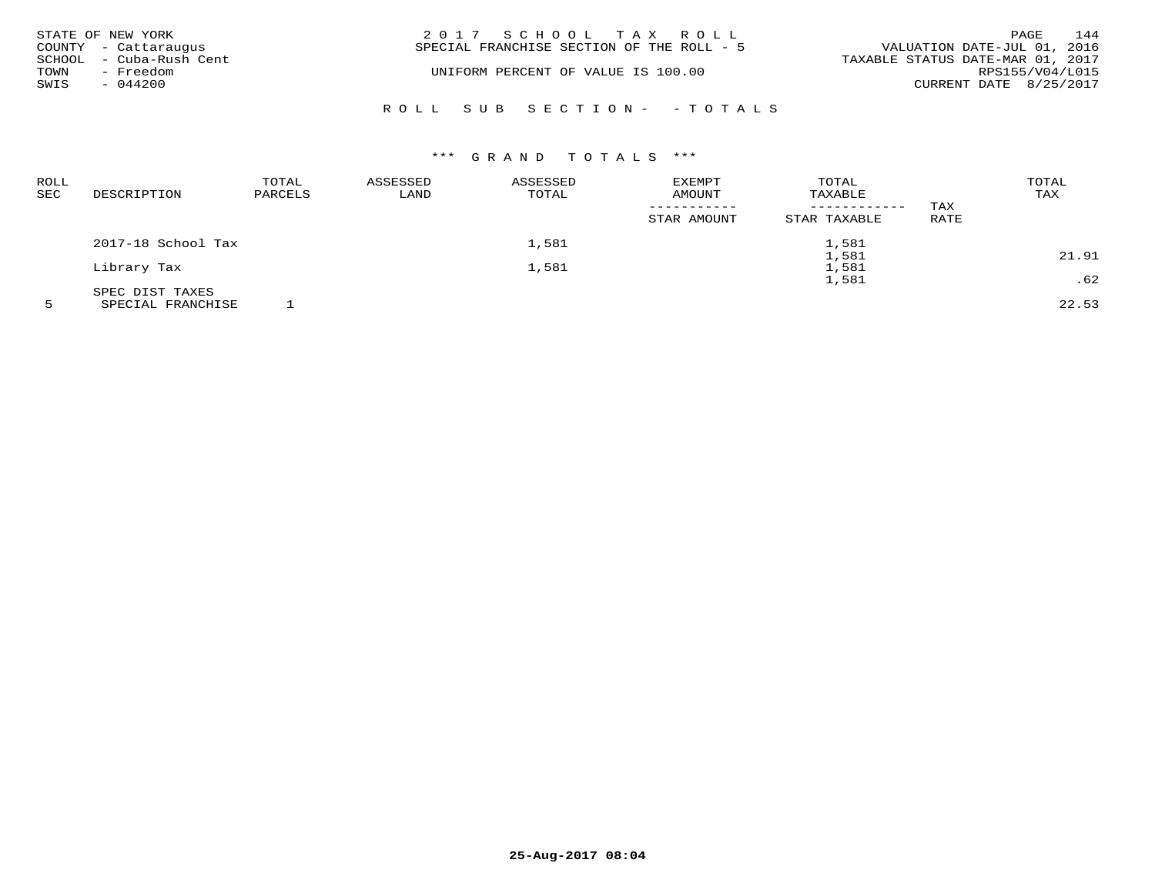| STATE OF NEW YORK       | 2017 SCHOOL TAX ROLL                      | 144<br>PAGE                      |
|-------------------------|-------------------------------------------|----------------------------------|
| COUNTY - Cattaraugus    | SPECIAL FRANCHISE SECTION OF THE ROLL - 5 | VALUATION DATE-JUL 01, 2016      |
| SCHOOL - Cuba-Rush Cent |                                           | TAXABLE STATUS DATE-MAR 01, 2017 |
| TOWN<br>- Freedom       | UNIFORM PERCENT OF VALUE IS 100.00        | RPS155/V04/L015                  |
| SWIS<br>- 044200        |                                           | CURRENT DATE 8/25/2017           |
|                         | ROLL SUB SECTION - - TOTALS               |                                  |

# \*\*\* G R A N D T O T A L S \*\*\*

| ROLL<br>SEC | DESCRIPTION        | TOTAL<br>PARCELS | ASSESSED<br>LAND | ASSESSED<br>TOTAL | <b>EXEMPT</b><br>AMOUNT | TOTAL<br>TAXABLE<br>------------ | TAX  | TOTAL<br>TAX |
|-------------|--------------------|------------------|------------------|-------------------|-------------------------|----------------------------------|------|--------------|
|             |                    |                  |                  |                   | STAR AMOUNT             | STAR TAXABLE                     | RATE |              |
|             | 2017-18 School Tax |                  |                  | 1,581             |                         | 1,581                            |      |              |
|             |                    |                  |                  |                   |                         | 1,581                            |      | 21.91        |
|             | Library Tax        |                  |                  | 1,581             |                         | 1,581                            |      |              |
|             |                    |                  |                  |                   |                         | 1,581                            |      | .62          |
|             | SPEC DIST TAXES    |                  |                  |                   |                         |                                  |      |              |
|             |                    |                  |                  |                   |                         |                                  |      |              |

5 SPECIAL FRANCHISE 1 22.53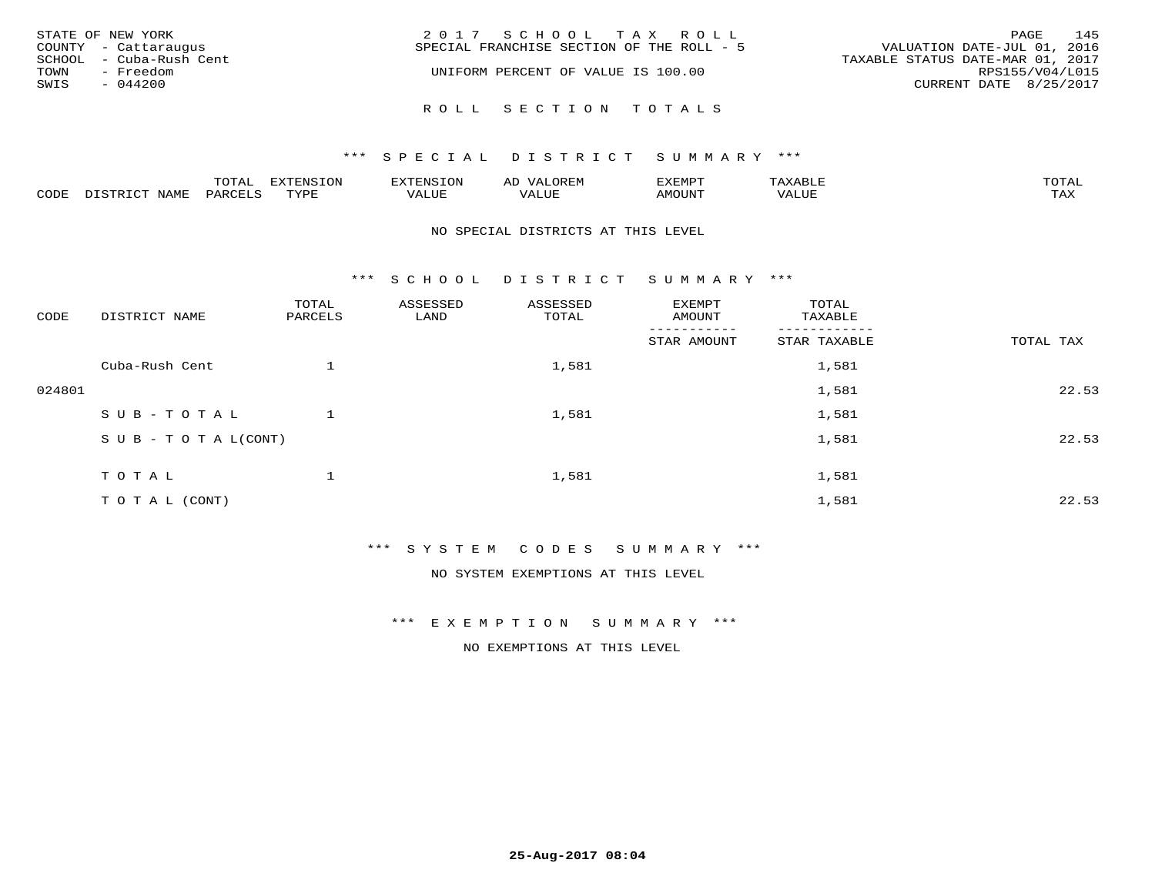| STATE OF NEW YORK |                                                 | 2017 SCHOOL TAX ROLL<br>PAGE                                                                                 | 145             |
|-------------------|-------------------------------------------------|--------------------------------------------------------------------------------------------------------------|-----------------|
|                   | COUNTY - Cattaraugus<br>SCHOOL - Cuba-Rush Cent | VALUATION DATE-JUL 01, 2016<br>SPECIAL FRANCHISE SECTION OF THE ROLL - 5<br>TAXABLE STATUS DATE-MAR 01, 2017 |                 |
| TOWN              | - Freedom                                       | UNIFORM PERCENT OF VALUE IS 100.00                                                                           | RPS155/V04/L015 |
| SWIS              | $-044200$                                       | CURRENT DATE 8/25/2017                                                                                       |                 |
|                   |                                                 |                                                                                                              |                 |
|                   |                                                 | ROLL SECTION TOTALS                                                                                          |                 |

|      |      | $n \wedge m \wedge n$<br>$\cdots$ | <b>FYTFNSION</b><br>$\sim$ | --------<br>$\mathbf{v}$ | $\leftrightarrow$ | ,,, <del>,</del> ,,, <del>,</del><br>ֿישו<br>$\sim$ $\sim$ $\sim$ $\sim$ $\sim$ |       | <b>TOTA</b>       |
|------|------|-----------------------------------|----------------------------|--------------------------|-------------------|---------------------------------------------------------------------------------|-------|-------------------|
| CODE | NAMI | PAR <sub>1</sub>                  | <b>TIVAT</b>               | $- - - -$<br>ᅩᆚᄓᄓ        | ALUL              | TUUOM4                                                                          | 'ALUL | $- - - -$<br>ᄕᅎᅐᅎ |

### NO SPECIAL DISTRICTS AT THIS LEVEL

\*\*\* S C H O O L D I S T R I C T S U M M A R Y \*\*\*

| CODE   | DISTRICT NAME                    | TOTAL<br>PARCELS | ASSESSED<br>LAND | ASSESSED<br>TOTAL | EXEMPT<br>AMOUNT | TOTAL<br>TAXABLE |           |
|--------|----------------------------------|------------------|------------------|-------------------|------------------|------------------|-----------|
|        |                                  |                  |                  |                   | .<br>STAR AMOUNT | STAR TAXABLE     | TOTAL TAX |
|        | Cuba-Rush Cent                   |                  |                  | 1,581             |                  | 1,581            |           |
| 024801 |                                  |                  |                  |                   |                  | 1,581            | 22.53     |
|        | SUB-TOTAL                        |                  |                  | 1,581             |                  | 1,581            |           |
|        | $S \cup B - T \cup T A L (CONT)$ |                  |                  |                   |                  | 1,581            | 22.53     |
|        | TOTAL                            |                  |                  | 1,581             |                  | 1,581            |           |
|        |                                  |                  |                  |                   |                  |                  |           |
|        | T O T A L (CONT)                 |                  |                  |                   |                  | 1,581            | 22.53     |

\*\*\* S Y S T E M C O D E S S U M M A R Y \*\*\*

NO SYSTEM EXEMPTIONS AT THIS LEVEL

\*\*\* E X E M P T I O N S U M M A R Y \*\*\*

NO EXEMPTIONS AT THIS LEVEL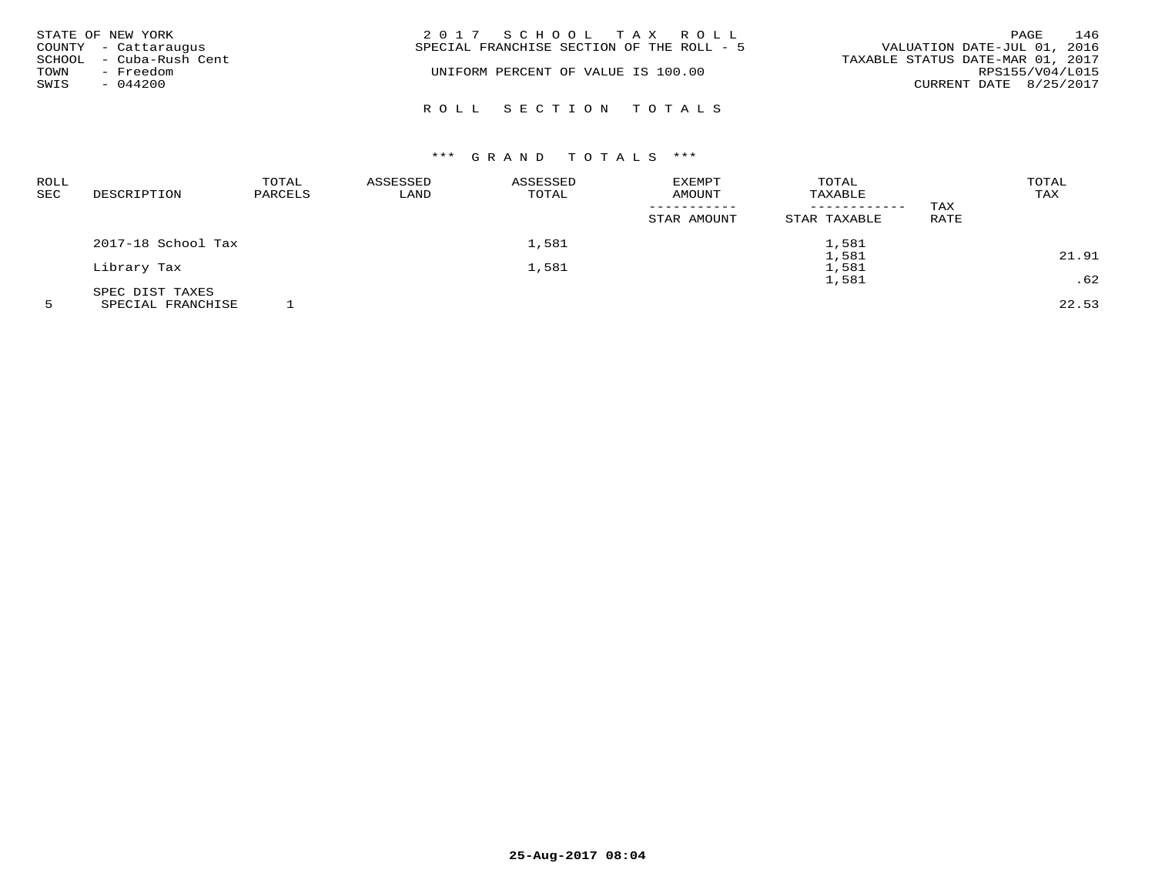|      | STATE OF NEW YORK       | 2017 SCHOOL TAX ROLL                                                     | PAGE            | 146 |
|------|-------------------------|--------------------------------------------------------------------------|-----------------|-----|
|      | COUNTY - Cattaraugus    | VALUATION DATE-JUL 01, 2016<br>SPECIAL FRANCHISE SECTION OF THE ROLL - 5 |                 |     |
|      | SCHOOL - Cuba-Rush Cent | TAXABLE STATUS DATE-MAR 01, 2017                                         |                 |     |
| TOWN | - Freedom               | UNIFORM PERCENT OF VALUE IS 100.00                                       | RPS155/V04/L015 |     |
| SWIS | $-044200$               | CURRENT DATE 8/25/2017                                                   |                 |     |
|      |                         |                                                                          |                 |     |
|      |                         | ROLL SECTION TOTALS                                                      |                 |     |

# \*\*\* G R A N D T O T A L S \*\*\*

| <b>ROLL</b><br><b>SEC</b> | DESCRIPTION        | TOTAL<br>PARCELS | ASSESSED<br>LAND | ASSESSED<br>TOTAL | EXEMPT<br>AMOUNT | TOTAL<br>TAXABLE             |             | TOTAL<br>TAX |
|---------------------------|--------------------|------------------|------------------|-------------------|------------------|------------------------------|-------------|--------------|
|                           |                    |                  |                  |                   | STAR AMOUNT      | ------------<br>STAR TAXABLE | TAX<br>RATE |              |
|                           | 2017-18 School Tax |                  |                  | 1,581             |                  | 1,581                        |             |              |
|                           | Library Tax        |                  |                  | 1,581             |                  | 1,581<br>1,581               |             | 21.91        |
|                           |                    |                  |                  |                   |                  | 1,581                        |             | .62          |
|                           | SPEC DIST TAXES    |                  |                  |                   |                  |                              |             |              |

5 SPECIAL FRANCHISE 1 22.53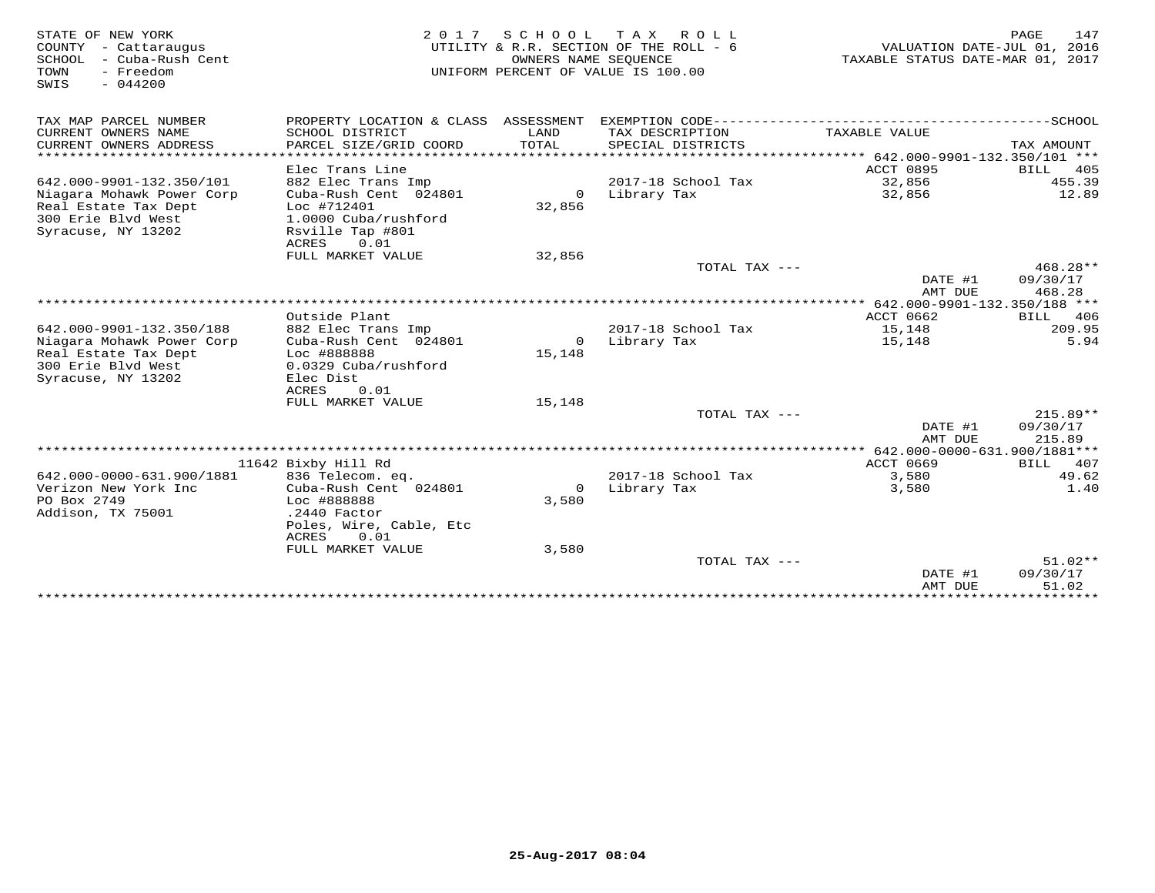| STATE OF NEW YORK<br>COUNTY - Cattaraugus<br>- Cuba-Rush Cent<br>SCHOOL<br>TOWN<br>- Freedom<br>SWIS<br>$-044200$ |                                           | OWNERS NAME SEQUENCE     | 2017 SCHOOL TAX ROLL<br>UTILITY & R.R. SECTION OF THE ROLL - 6<br>UNIFORM PERCENT OF VALUE IS 100.00 | VALUATION DATE-JUL 01, 2016<br>TAXABLE STATUS DATE-MAR 01, 2017 | PAGE<br>147            |
|-------------------------------------------------------------------------------------------------------------------|-------------------------------------------|--------------------------|------------------------------------------------------------------------------------------------------|-----------------------------------------------------------------|------------------------|
| TAX MAP PARCEL NUMBER                                                                                             |                                           |                          | PROPERTY LOCATION & CLASS ASSESSMENT EXEMPTION CODE-----------------------                           |                                                                 | ----------------SCHOOL |
| CURRENT OWNERS NAME<br>CURRENT OWNERS ADDRESS                                                                     | SCHOOL DISTRICT<br>PARCEL SIZE/GRID COORD | LAND<br>TOTAL            | TAX DESCRIPTION<br>SPECIAL DISTRICTS                                                                 | TAXABLE VALUE                                                   | TAX AMOUNT             |
|                                                                                                                   |                                           |                          |                                                                                                      |                                                                 |                        |
|                                                                                                                   | Elec Trans Line                           |                          |                                                                                                      | ACCT 0895                                                       | 405<br>BILL            |
| 642.000-9901-132.350/101                                                                                          | 882 Elec Trans Imp                        |                          | 2017-18 School Tax                                                                                   | 32,856                                                          | 455.39                 |
| Niagara Mohawk Power Corp<br>Real Estate Tax Dept                                                                 | Cuba-Rush Cent 024801<br>Loc #712401      | 32,856                   | 0 Library Tax                                                                                        | 32,856                                                          | 12.89                  |
| 300 Erie Blvd West                                                                                                | 1.0000 Cuba/rushford                      |                          |                                                                                                      |                                                                 |                        |
| Syracuse, NY 13202                                                                                                | Rsville Tap #801                          |                          |                                                                                                      |                                                                 |                        |
|                                                                                                                   | ACRES<br>0.01                             |                          |                                                                                                      |                                                                 |                        |
|                                                                                                                   | FULL MARKET VALUE                         | 32,856                   |                                                                                                      |                                                                 |                        |
|                                                                                                                   |                                           |                          | TOTAL TAX ---                                                                                        |                                                                 | 468.28**               |
|                                                                                                                   |                                           |                          |                                                                                                      | DATE #1                                                         | 09/30/17               |
|                                                                                                                   |                                           |                          |                                                                                                      | AMT DUE                                                         | 468.28                 |
|                                                                                                                   |                                           |                          |                                                                                                      |                                                                 |                        |
|                                                                                                                   | Outside Plant                             |                          |                                                                                                      | ACCT 0662                                                       | <b>BILL</b><br>406     |
| 642.000-9901-132.350/188                                                                                          | 882 Elec Trans Imp                        |                          | 2017-18 School Tax                                                                                   | 15,148                                                          | 209.95<br>5.94         |
| Niagara Mohawk Power Corp                                                                                         | Cuba-Rush Cent 024801<br>Loc #888888      | $\overline{0}$<br>15,148 | Library Tax                                                                                          | 15,148                                                          |                        |
| Real Estate Tax Dept<br>300 Erie Blvd West                                                                        | 0.0329 Cuba/rushford                      |                          |                                                                                                      |                                                                 |                        |
| Syracuse, NY 13202                                                                                                | Elec Dist                                 |                          |                                                                                                      |                                                                 |                        |
|                                                                                                                   | <b>ACRES</b><br>0.01                      |                          |                                                                                                      |                                                                 |                        |
|                                                                                                                   | FULL MARKET VALUE                         | 15,148                   |                                                                                                      |                                                                 |                        |
|                                                                                                                   |                                           |                          | TOTAL TAX ---                                                                                        |                                                                 | $215.89**$             |
|                                                                                                                   |                                           |                          |                                                                                                      | DATE #1                                                         | 09/30/17               |
|                                                                                                                   |                                           |                          |                                                                                                      | AMT DUE                                                         | 215.89                 |
|                                                                                                                   |                                           |                          |                                                                                                      |                                                                 |                        |
|                                                                                                                   | 11642 Bixby Hill Rd                       |                          |                                                                                                      | ACCT 0669                                                       | BILL 407               |
| 642.000-0000-631.900/1881                                                                                         | 836 Telecom. eq.                          |                          | 2017-18 School Tax                                                                                   | 3,580                                                           | 49.62                  |
| Verizon New York Inc                                                                                              | Cuba-Rush Cent 024801                     | $\circ$                  | Library Tax                                                                                          | 3,580                                                           | 1.40                   |
| PO Box 2749                                                                                                       | Loc #888888                               | 3,580                    |                                                                                                      |                                                                 |                        |
| Addison, TX 75001                                                                                                 | $.2440$ Factor                            |                          |                                                                                                      |                                                                 |                        |
|                                                                                                                   | Poles, Wire, Cable, Etc                   |                          |                                                                                                      |                                                                 |                        |
|                                                                                                                   | ACRES<br>0.01                             |                          |                                                                                                      |                                                                 |                        |
|                                                                                                                   | FULL MARKET VALUE                         | 3,580                    |                                                                                                      |                                                                 |                        |
|                                                                                                                   |                                           |                          | TOTAL TAX ---                                                                                        | DATE #1                                                         | $51.02**$<br>09/30/17  |
|                                                                                                                   |                                           |                          |                                                                                                      | AMT DUE                                                         | 51.02                  |
|                                                                                                                   |                                           |                          |                                                                                                      |                                                                 |                        |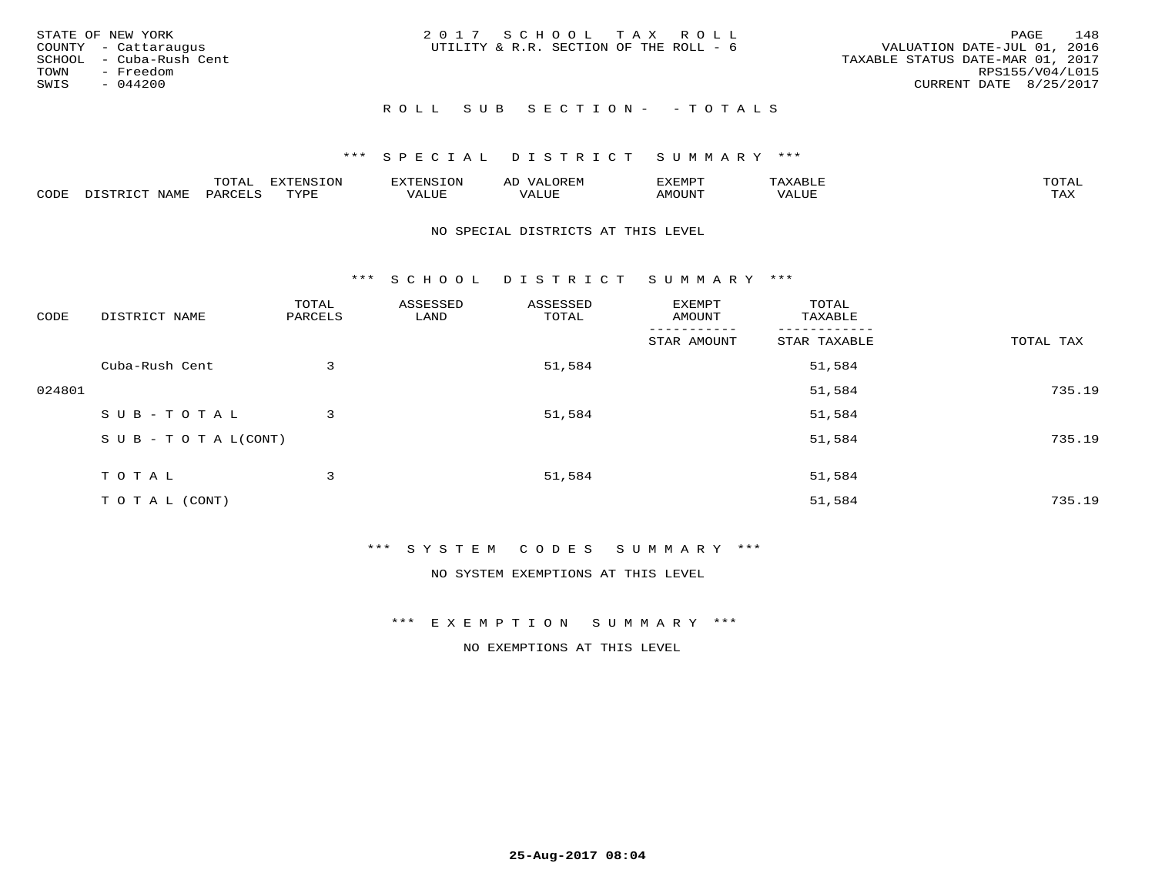|              | STATE OF NEW YORK<br>COUNTY - Cattaraugus<br>SCHOOL - Cuba-Rush Cent | 2017 SCHOOL TAX ROLL<br>VALUATION DATE-JUL 01, 2016<br>UTILITY & R.R. SECTION OF THE ROLL - 6<br>TAXABLE STATUS DATE-MAR 01, 2017 | PAGE            | 148 |
|--------------|----------------------------------------------------------------------|-----------------------------------------------------------------------------------------------------------------------------------|-----------------|-----|
| TOWN<br>SWIS | - Freedom<br>$-044200$                                               | CURRENT DATE 8/25/2017<br>ROLL SUB SECTION- - TOTALS                                                                              | RPS155/V04/L015 |     |

|      |                   | $m \wedge m \wedge n$<br>. $\cup$ 1.1.1.1 | EXTENSION       | <b>ENSION</b>         | ΑD              | 2XEMP7  | '∆ x<br>יו מ | $m \wedge m \wedge n$<br>$\overline{a}$ |
|------|-------------------|-------------------------------------------|-----------------|-----------------------|-----------------|---------|--------------|-----------------------------------------|
| CODE | NAME<br>$ -$<br>ー | ז החומרת הי<br>-ARC                       | TVDF<br>- - - - | -- - ---<br>۰ تا ساخت | , , , , , , , , | NMOTIN' | VALUE        | $m \times r$<br>∸∽∽                     |

### NO SPECIAL DISTRICTS AT THIS LEVEL

\*\*\* S C H O O L D I S T R I C T S U M M A R Y \*\*\*

| CODE   | DISTRICT NAME                    | TOTAL<br>PARCELS | ASSESSED<br>LAND | ASSESSED<br>TOTAL | EXEMPT<br>AMOUNT | TOTAL<br>TAXABLE |           |
|--------|----------------------------------|------------------|------------------|-------------------|------------------|------------------|-----------|
|        |                                  |                  |                  |                   | STAR AMOUNT      | STAR TAXABLE     | TOTAL TAX |
|        | Cuba-Rush Cent                   | 3                |                  | 51,584            |                  | 51,584           |           |
| 024801 |                                  |                  |                  |                   |                  | 51,584           | 735.19    |
|        | SUB-TOTAL                        | 3                |                  | 51,584            |                  | 51,584           |           |
|        | $S \cup B - T \cup T A L (CONT)$ |                  |                  |                   |                  | 51,584           | 735.19    |
|        | TOTAL                            | 3                |                  | 51,584            |                  | 51,584           |           |
|        | T O T A L (CONT)                 |                  |                  |                   |                  | 51,584           | 735.19    |

# \*\*\* S Y S T E M C O D E S S U M M A R Y \*\*\*

NO SYSTEM EXEMPTIONS AT THIS LEVEL

### \*\*\* E X E M P T I O N S U M M A R Y \*\*\*

NO EXEMPTIONS AT THIS LEVEL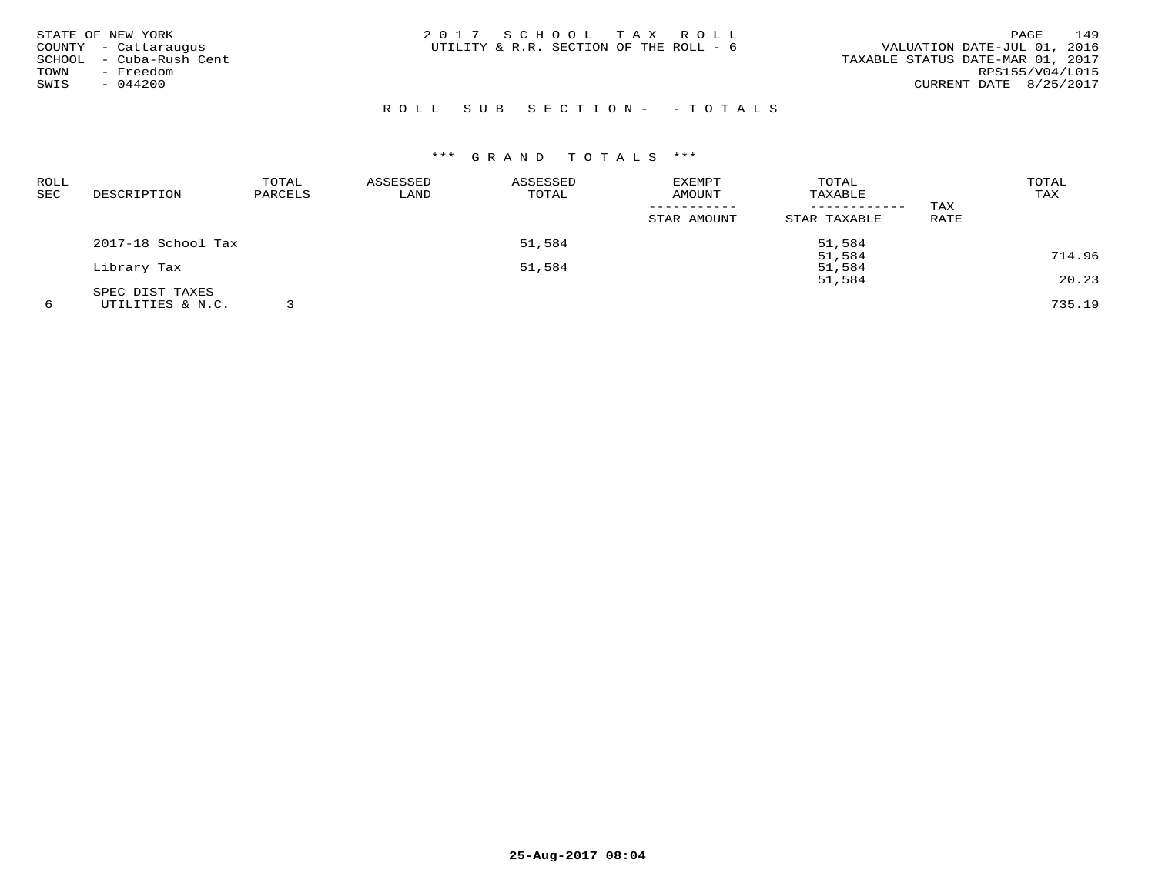| 2017 SCHOOL TAX ROLL<br>UTILITY & R.R. SECTION OF THE ROLL - 6 | 149<br><b>PAGE</b><br>VALUATION DATE-JUL 01, 2016<br>TAXABLE STATUS DATE-MAR 01, 2017<br>RPS155/V04/L015<br>CURRENT DATE 8/25/2017 |
|----------------------------------------------------------------|------------------------------------------------------------------------------------------------------------------------------------|
|                                                                |                                                                                                                                    |
|                                                                |                                                                                                                                    |

# R O L L S U B S E C T I O N - - T O T A L S

| <b>ROLL</b> |                    | TOTAL   | ASSESSED | ASSESSED | <b>EXEMPT</b> | TOTAL        |      | TOTAL  |
|-------------|--------------------|---------|----------|----------|---------------|--------------|------|--------|
| SEC         | DESCRIPTION        | PARCELS | LAND     | TOTAL    | AMOUNT        | TAXABLE      |      | TAX    |
|             |                    |         |          |          |               |              | TAX  |        |
|             |                    |         |          |          | STAR AMOUNT   | STAR TAXABLE | RATE |        |
|             | 2017-18 School Tax |         |          | 51,584   |               | 51,584       |      |        |
|             |                    |         |          |          |               | 51,584       |      | 714.96 |
|             | Library Tax        |         |          | 51,584   |               | 51,584       |      |        |
|             |                    |         |          |          |               | 51,584       |      | 20.23  |
|             | SPEC DIST TAXES    |         |          |          |               |              |      |        |
|             | UTILITIES & N.C.   |         |          |          |               |              |      | 735.19 |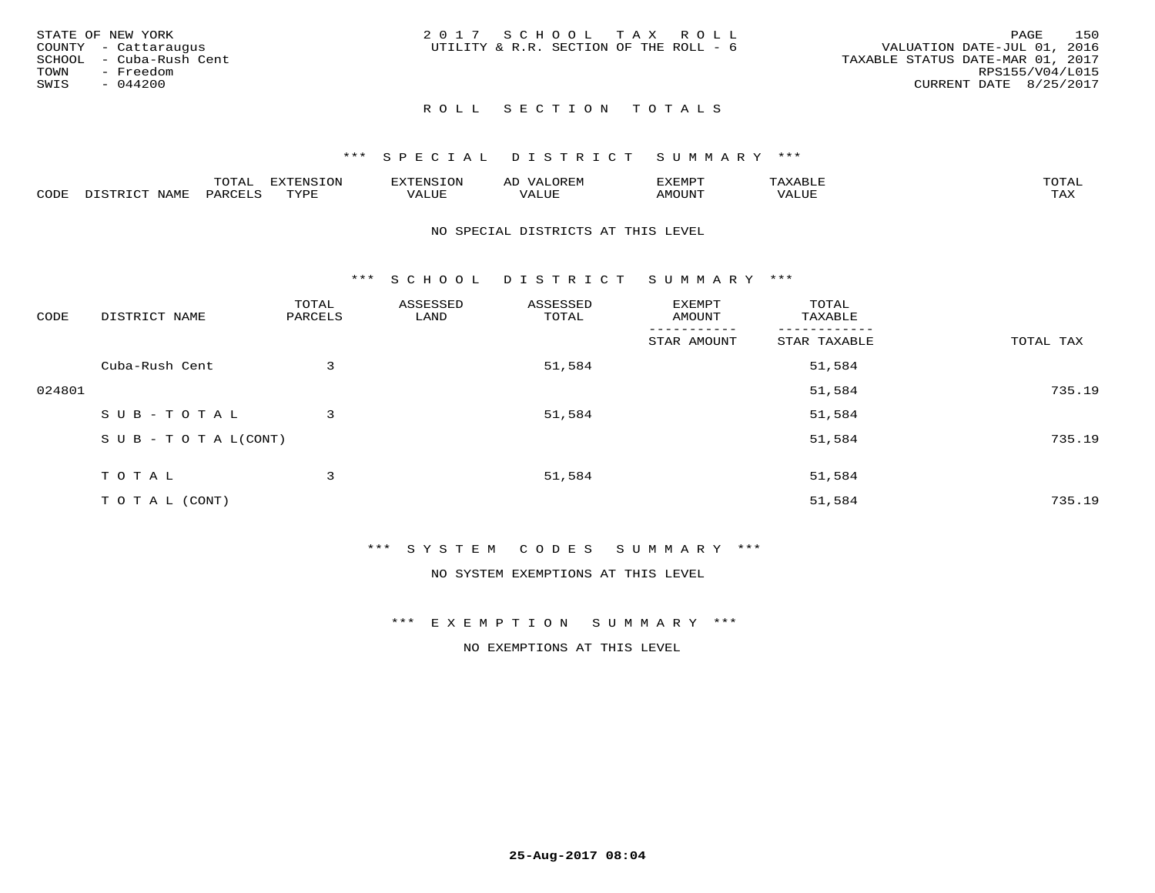| STATE OF NEW YORK       | 2017 SCHOOL TAX ROLL                   | 150<br>PAGE                      |
|-------------------------|----------------------------------------|----------------------------------|
| COUNTY - Cattaraugus    | UTILITY & R.R. SECTION OF THE ROLL - 6 | VALUATION DATE-JUL 01, 2016      |
| SCHOOL - Cuba-Rush Cent |                                        | TAXABLE STATUS DATE-MAR 01, 2017 |
| TOWN<br>- Freedom       |                                        | RPS155/V04/L015                  |
| SWIS<br>$-044200$       |                                        | CURRENT DATE 8/25/2017           |
|                         |                                        |                                  |

### \*\*\* S P E C I A L D I S T R I C T S U M M A R Y \*\*\*

|      |             | m^m <u>a</u> | <b>DVERMOTOM</b><br>. U L' | .              | ΑL    | ם הוא הדעי<br>-∧EMP" |                 | $m \wedge m$<br>$\overline{\phantom{a}}$ |
|------|-------------|--------------|----------------------------|----------------|-------|----------------------|-----------------|------------------------------------------|
| CODE | <b>NTAM</b> | PARO         | TVDF                       | T T T<br>ALUF. | 'Alue | MOUNT                | ALUE<br>77 D. 1 | .<br>∸∽∸                                 |

### NO SPECIAL DISTRICTS AT THIS LEVEL

\*\*\* S C H O O L D I S T R I C T S U M M A R Y \*\*\*

| CODE   | DISTRICT NAME                    | TOTAL<br>PARCELS | ASSESSED<br>LAND | ASSESSED<br>TOTAL | EXEMPT<br>AMOUNT | TOTAL<br>TAXABLE |           |
|--------|----------------------------------|------------------|------------------|-------------------|------------------|------------------|-----------|
|        |                                  |                  |                  |                   | STAR AMOUNT      | STAR TAXABLE     | TOTAL TAX |
|        | Cuba-Rush Cent                   | 3                |                  | 51,584            |                  | 51,584           |           |
| 024801 |                                  |                  |                  |                   |                  | 51,584           | 735.19    |
|        | SUB-TOTAL                        | 3                |                  | 51,584            |                  | 51,584           |           |
|        | $S \cup B - T \cup T A L (CONT)$ |                  |                  |                   |                  | 51,584           | 735.19    |
|        | TOTAL                            | 3                |                  | 51,584            |                  | 51,584           |           |
|        | T O T A L (CONT)                 |                  |                  |                   |                  | 51,584           | 735.19    |

# \*\*\* S Y S T E M C O D E S S U M M A R Y \*\*\*

NO SYSTEM EXEMPTIONS AT THIS LEVEL

### \*\*\* E X E M P T I O N S U M M A R Y \*\*\*

NO EXEMPTIONS AT THIS LEVEL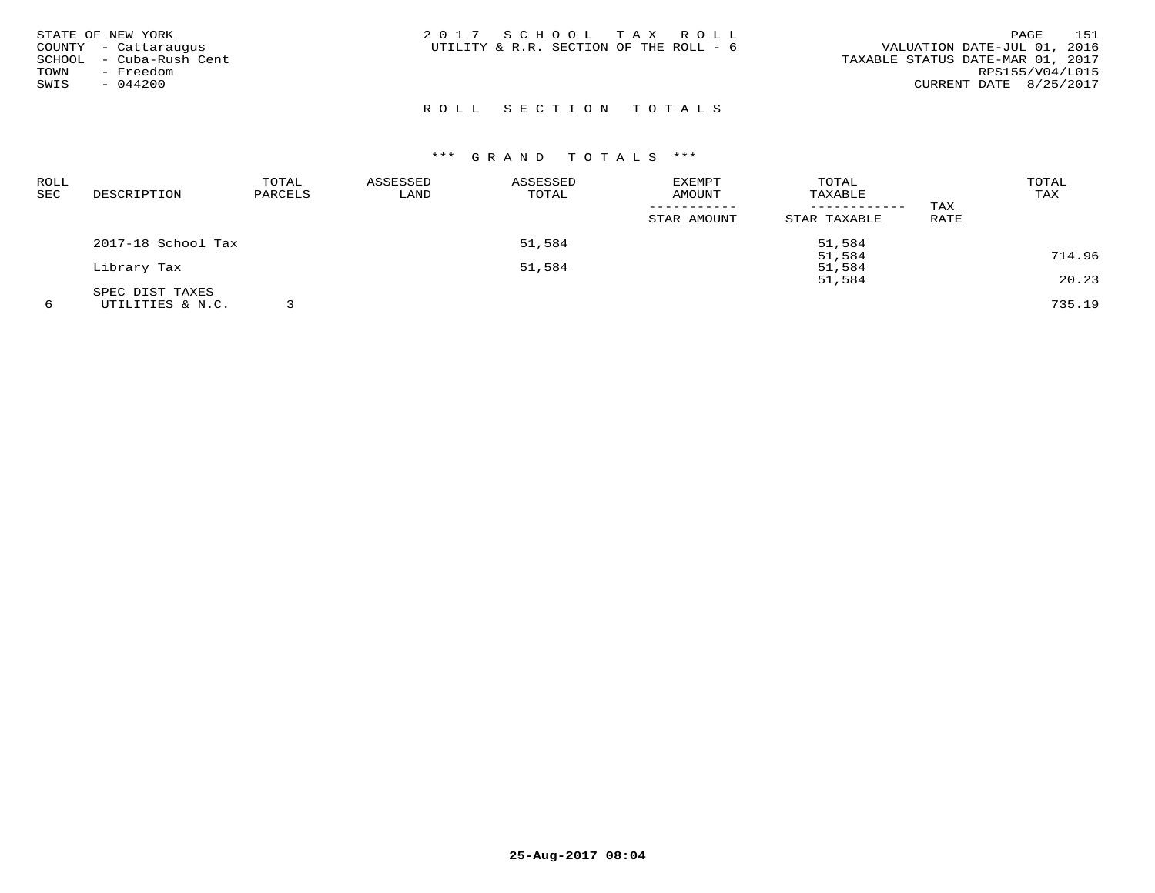| STATE OF NEW YORK<br>COUNTY - Cattaraugus<br>- Cuba-Rush Cent<br>SCHOOL<br>TOWN<br>- Freedom<br>- 044200<br>SWIS | 2017 SCHOOL TAX ROLL<br>UTILITY & R.R. SECTION OF THE ROLL - 6 | 151<br>PAGE<br>VALUATION DATE-JUL 01, 2016<br>TAXABLE STATUS DATE-MAR 01, 2017<br>RPS155/V04/L015<br>CURRENT DATE 8/25/2017 |
|------------------------------------------------------------------------------------------------------------------|----------------------------------------------------------------|-----------------------------------------------------------------------------------------------------------------------------|
|                                                                                                                  |                                                                |                                                                                                                             |

| <b>ROLL</b> |                    | TOTAL   | ASSESSED | ASSESSED | <b>EXEMPT</b> | TOTAL        |             | TOTAL  |
|-------------|--------------------|---------|----------|----------|---------------|--------------|-------------|--------|
| <b>SEC</b>  | DESCRIPTION        | PARCELS | LAND     | TOTAL    | AMOUNT        | TAXABLE      |             | TAX    |
|             |                    |         |          |          |               |              | TAX         |        |
|             |                    |         |          |          | STAR AMOUNT   | STAR TAXABLE | <b>RATE</b> |        |
|             | 2017-18 School Tax |         |          | 51,584   |               | 51,584       |             |        |
|             |                    |         |          |          |               | 51,584       |             | 714.96 |
|             | Library Tax        |         |          | 51,584   |               | 51,584       |             |        |
|             |                    |         |          |          |               | 51,584       |             | 20.23  |
|             | SPEC DIST TAXES    |         |          |          |               |              |             |        |
|             | UTILITIES & N.C.   |         |          |          |               |              |             | 735.19 |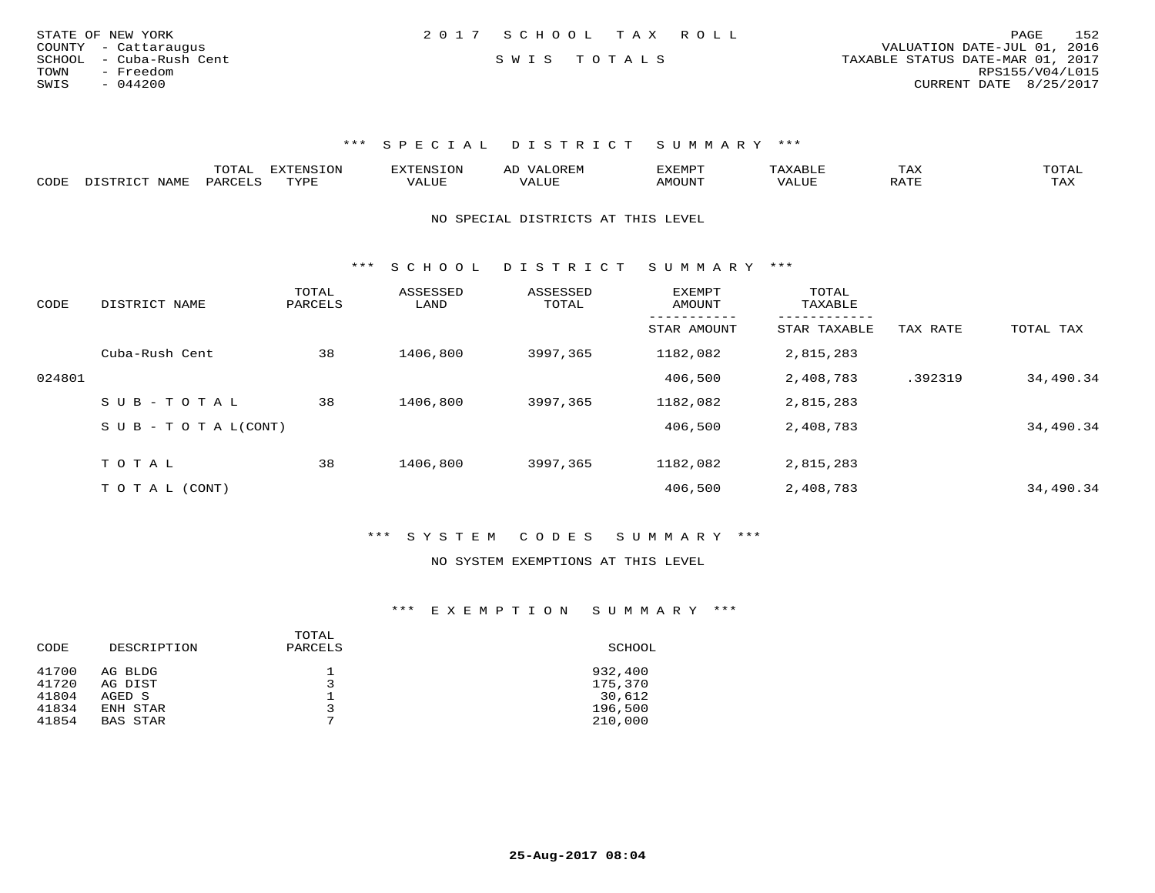| STATE OF NEW YORK       | 2017 SCHOOL TAX ROLL | 152<br>PAGE                      |
|-------------------------|----------------------|----------------------------------|
| COUNTY - Cattaraugus    |                      | VALUATION DATE-JUL 01, 2016      |
| SCHOOL - Cuba-Rush Cent | SWIS TOTALS          | TAXABLE STATUS DATE-MAR 01, 2017 |
| TOWN<br>- Freedom       |                      | RPS155/V04/L015                  |
| SWIS<br>$-044200$       |                      | CURRENT DATE 8/25/2017           |

|      |             | m^m*`<br><u>UIAI</u> | <b>FYTFNSTON</b><br>◡◡ |  | <b>TEMPOR</b><br>'YFMF | TAX              | ົບ⊥⊏⊾ |
|------|-------------|----------------------|------------------------|--|------------------------|------------------|-------|
| CODE | <b>NAME</b> | <b>DARCET</b>        | TVDF                   |  | OUN.                   | .7mm<br>$\cdots$ | L'AX  |

NO SPECIAL DISTRICTS AT THIS LEVEL

\*\*\* S C H O O L D I S T R I C T S U M M A R Y \*\*\*

| CODE   | DISTRICT NAME                    | TOTAL<br>PARCELS | ASSESSED<br>LAND | ASSESSED<br>TOTAL | <b>EXEMPT</b><br>AMOUNT | TOTAL<br>TAXABLE<br>------- |          |           |
|--------|----------------------------------|------------------|------------------|-------------------|-------------------------|-----------------------------|----------|-----------|
|        |                                  |                  |                  |                   | STAR AMOUNT             | STAR TAXABLE                | TAX RATE | TOTAL TAX |
|        | Cuba-Rush Cent                   | 38               | 1406,800         | 3997,365          | 1182,082                | 2,815,283                   |          |           |
| 024801 |                                  |                  |                  |                   | 406,500                 | 2,408,783                   | .392319  | 34,490.34 |
|        | SUB-TOTAL                        | 38               | 1406,800         | 3997,365          | 1182,082                | 2,815,283                   |          |           |
|        | $S \cup B - T \cup T A L (CONT)$ |                  |                  |                   | 406,500                 | 2,408,783                   |          | 34,490.34 |
|        | TOTAL                            | 38               | 1406,800         | 3997,365          | 1182,082                | 2,815,283                   |          |           |
|        |                                  |                  |                  |                   |                         |                             |          |           |
|        | T O T A L (CONT)                 |                  |                  |                   | 406,500                 | 2,408,783                   |          | 34,490.34 |

\*\*\* S Y S T E M C O D E S S U M M A R Y \*\*\*

### NO SYSTEM EXEMPTIONS AT THIS LEVEL

# \*\*\* E X E M P T I O N S U M M A R Y \*\*\*

| CODE  | DESCRIPTION     | TOTAL<br>PARCELS | SCHOOL  |
|-------|-----------------|------------------|---------|
| 41700 | AG BLDG         | ᅩ                | 932,400 |
| 41720 | AG DIST         | 3                | 175,370 |
| 41804 | AGED S          |                  | 30,612  |
| 41834 | ENH STAR        | 3                | 196,500 |
| 41854 | <b>BAS STAR</b> | ⇁                | 210,000 |
|       |                 |                  |         |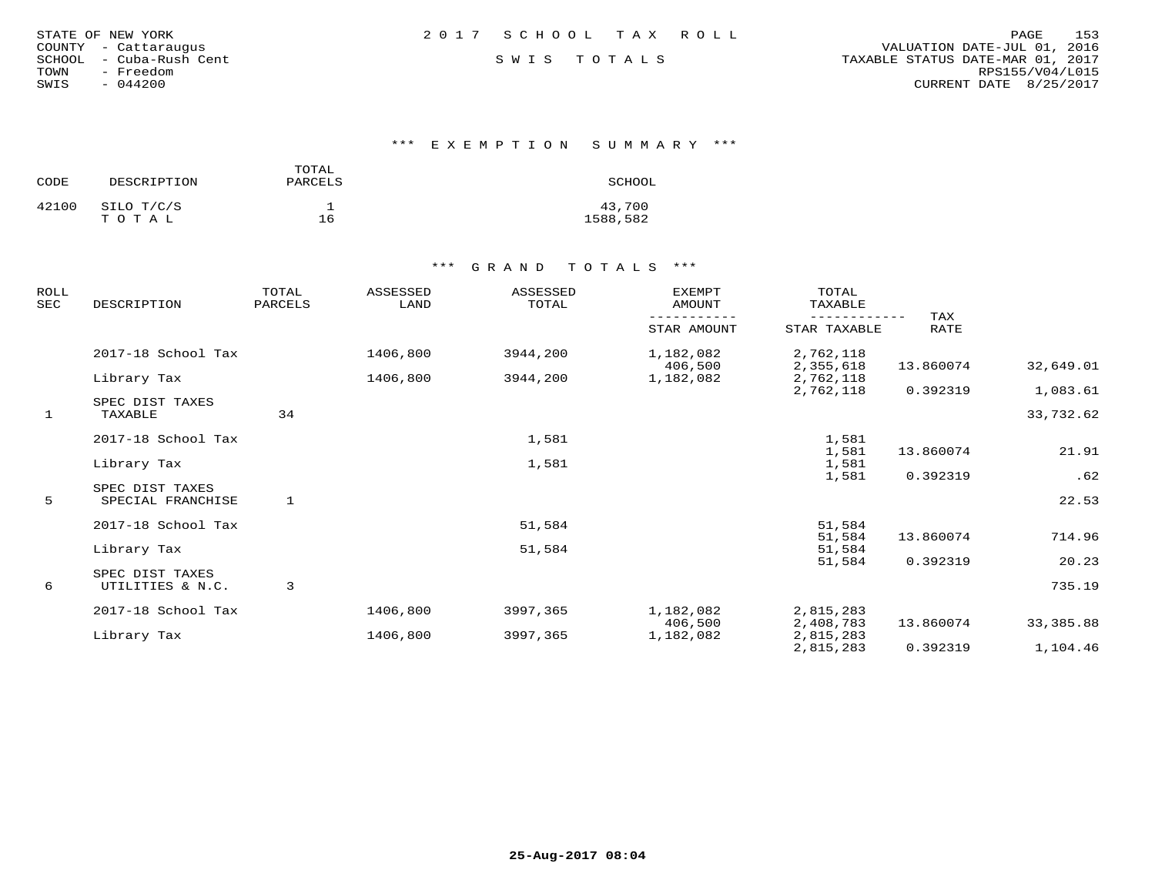| STATE OF NEW YORK |  |           |               |                  |
|-------------------|--|-----------|---------------|------------------|
| COUNTY            |  |           | - Cattaraugus |                  |
| SCHOOL            |  |           |               | - Cuba-Rush Cent |
| TOWN              |  | - Freedom |               |                  |
| SWIS              |  | $-044200$ |               |                  |

\*\*\* E X E M P T I O N S U M M A R Y \*\*\*

| CODE  | DESCRIPTION         | TOTAL<br>PARCELS | SCHOOL             |
|-------|---------------------|------------------|--------------------|
| 42100 | SILO T/C/S<br>TOTAL | 16               | 43,700<br>1588,582 |

| <b>ROLL</b><br><b>SEC</b> | DESCRIPTION                          | TOTAL<br>PARCELS | ASSESSED<br>LAND | ASSESSED<br>TOTAL | <b>EXEMPT</b><br>AMOUNT | TOTAL<br>TAXABLE       |             |            |
|---------------------------|--------------------------------------|------------------|------------------|-------------------|-------------------------|------------------------|-------------|------------|
|                           |                                      |                  |                  |                   | STAR AMOUNT             | STAR TAXABLE           | TAX<br>RATE |            |
|                           | 2017-18 School Tax                   |                  | 1406,800         | 3944,200          | 1,182,082<br>406,500    | 2,762,118<br>2,355,618 | 13.860074   | 32,649.01  |
|                           | Library Tax                          |                  | 1406,800         | 3944,200          | 1,182,082               | 2,762,118              |             |            |
|                           |                                      |                  |                  |                   |                         | 2,762,118              | 0.392319    | 1,083.61   |
| $\mathbf{1}$              | SPEC DIST TAXES<br>TAXABLE           | 34               |                  |                   |                         |                        |             | 33,732.62  |
|                           | 2017-18 School Tax                   |                  |                  | 1,581             |                         | 1,581                  |             |            |
|                           | Library Tax                          |                  |                  | 1,581             |                         | 1,581<br>1,581         | 13.860074   | 21.91      |
|                           |                                      |                  |                  |                   |                         | 1,581                  | 0.392319    | .62        |
| 5                         | SPEC DIST TAXES<br>SPECIAL FRANCHISE | 1                |                  |                   |                         |                        |             | 22.53      |
|                           | 2017-18 School Tax                   |                  |                  | 51,584            |                         | 51,584                 |             |            |
|                           |                                      |                  |                  |                   |                         | 51,584                 | 13.860074   | 714.96     |
|                           | Library Tax                          |                  |                  | 51,584            |                         | 51,584                 |             |            |
|                           | SPEC DIST TAXES                      |                  |                  |                   |                         | 51,584                 | 0.392319    | 20.23      |
| 6                         | UTILITIES & N.C.                     | 3                |                  |                   |                         |                        |             | 735.19     |
|                           | 2017-18 School Tax                   |                  | 1406,800         | 3997,365          | 1,182,082               | 2,815,283              |             |            |
|                           |                                      |                  |                  |                   | 406,500                 | 2,408,783              | 13.860074   | 33, 385.88 |
|                           | Library Tax                          |                  | 1406,800         | 3997,365          | 1,182,082               | 2,815,283              |             |            |
|                           |                                      |                  |                  |                   |                         | 2,815,283              | 0.392319    | 1,104.46   |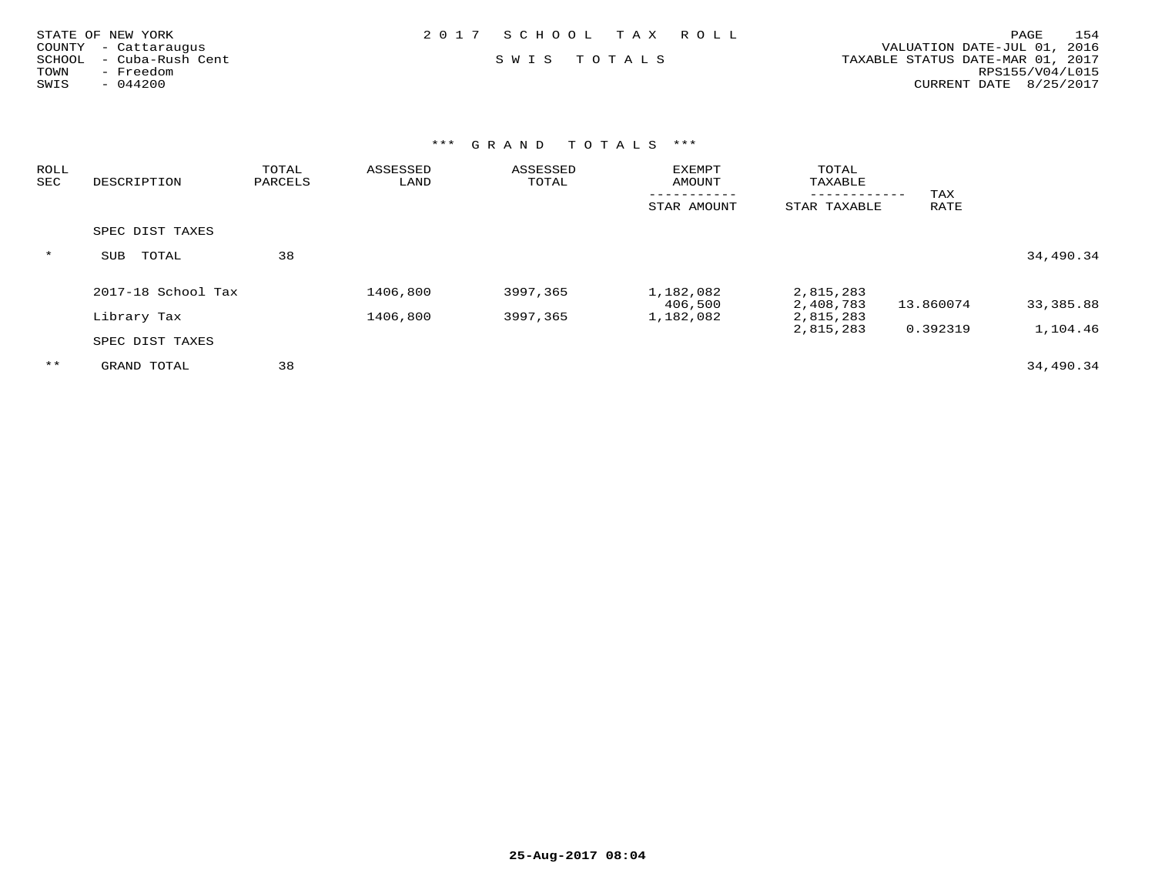| STATE OF NEW YORK       | 2017 SCHOOL TAX ROLL | 154<br>PAGE                      |
|-------------------------|----------------------|----------------------------------|
| COUNTY - Cattaraugus    |                      | VALUATION DATE-JUL 01, 2016      |
| SCHOOL - Cuba-Rush Cent | SWIS TOTALS          | TAXABLE STATUS DATE-MAR 01, 2017 |
| - Freedom<br>TOWN       |                      | RPS155/V04/L015                  |
| $-044200$<br>SWIS       |                      | CURRENT DATE 8/25/2017           |
|                         |                      |                                  |
|                         |                      |                                  |

| ROLL<br>SEC | DESCRIPTION         | TOTAL<br>PARCELS | ASSESSED<br>LAND | ASSESSED<br>TOTAL | <b>EXEMPT</b><br>AMOUNT | TOTAL<br>TAXABLE       |             |           |
|-------------|---------------------|------------------|------------------|-------------------|-------------------------|------------------------|-------------|-----------|
|             |                     |                  |                  |                   | STAR AMOUNT             | STAR TAXABLE           | TAX<br>RATE |           |
|             | SPEC DIST TAXES     |                  |                  |                   |                         |                        |             |           |
| $\star$     | <b>SUB</b><br>TOTAL | 38               |                  |                   |                         |                        |             | 34,490.34 |
|             | 2017-18 School Tax  |                  | 1406,800         | 3997,365          | 1,182,082               | 2,815,283              |             |           |
|             | Library Tax         |                  | 1406,800         | 3997,365          | 406,500<br>1,182,082    | 2,408,783<br>2,815,283 | 13.860074   | 33,385.88 |
|             | SPEC DIST TAXES     |                  |                  |                   |                         | 2,815,283              | 0.392319    | 1,104.46  |
| $***$       | GRAND TOTAL         | 38               |                  |                   |                         |                        |             | 34,490.34 |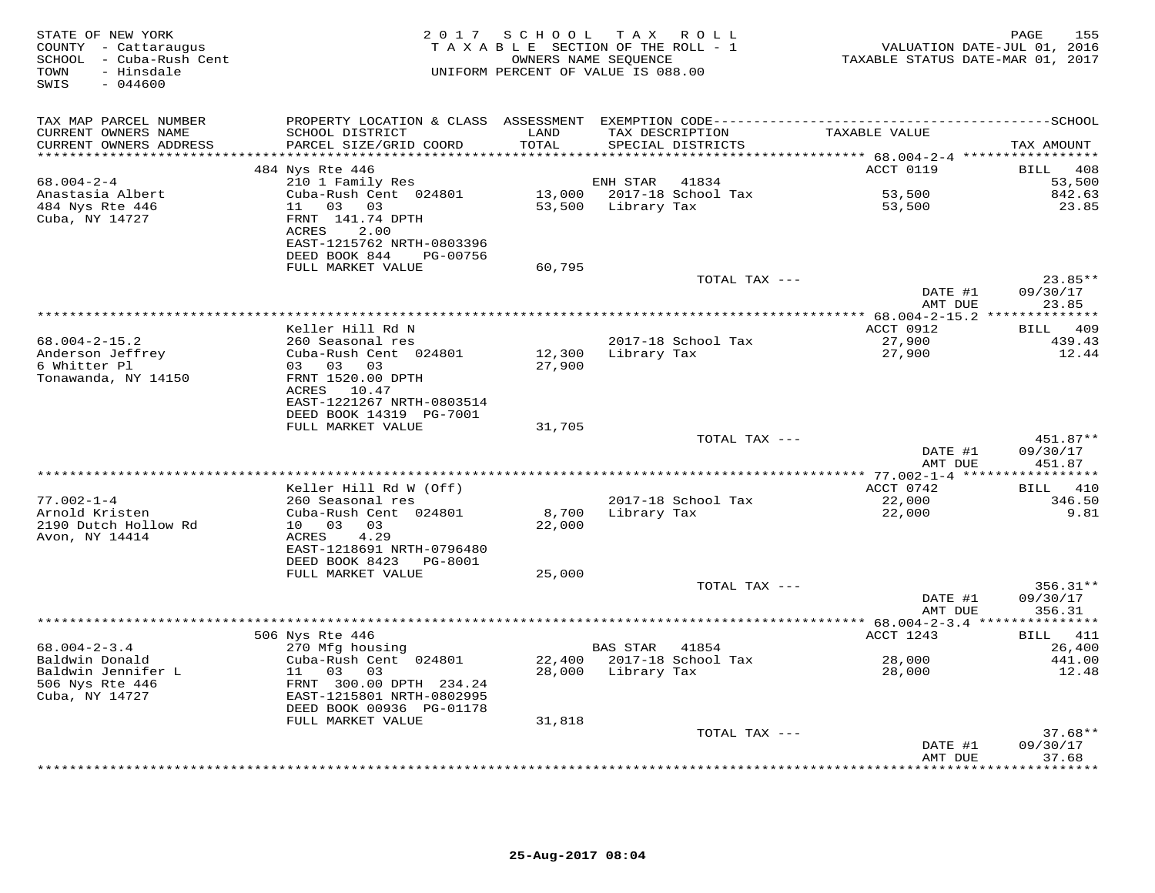| STATE OF NEW YORK<br>COUNTY - Cattaraugus<br>SCHOOL - Cuba-Rush Cent<br>- Hinsdale<br>TOWN<br>SWIS<br>$-044600$ |                                                                                                         |                  | 2017 SCHOOL TAX ROLL<br>TAXABLE SECTION OF THE ROLL - 1<br>OWNERS NAME SEQUENCE<br>UNIFORM PERCENT OF VALUE IS 088.00 | TAXABLE STATUS DATE-MAR 01, 2017                | 155<br>PAGE<br>VALUATION DATE-JUL 01, 2016 |
|-----------------------------------------------------------------------------------------------------------------|---------------------------------------------------------------------------------------------------------|------------------|-----------------------------------------------------------------------------------------------------------------------|-------------------------------------------------|--------------------------------------------|
| TAX MAP PARCEL NUMBER                                                                                           |                                                                                                         |                  |                                                                                                                       |                                                 |                                            |
| CURRENT OWNERS NAME<br>CURRENT OWNERS ADDRESS                                                                   | SCHOOL DISTRICT<br>PARCEL SIZE/GRID COORD                                                               | LAND<br>TOTAL    | TAX DESCRIPTION<br>SPECIAL DISTRICTS                                                                                  | TAXABLE VALUE                                   | TAX AMOUNT                                 |
|                                                                                                                 | 484 Nys Rte 446                                                                                         |                  |                                                                                                                       | ACCT 0119                                       | BILL 408                                   |
| $68.004 - 2 - 4$                                                                                                | 210 1 Family Res                                                                                        |                  | ENH STAR<br>41834                                                                                                     |                                                 | 53,500                                     |
| Anastasia Albert                                                                                                | Cuba-Rush Cent 024801                                                                                   |                  | 13,000 2017-18 School Tax                                                                                             | 53,500                                          | 842.63                                     |
| 484 Nys Rte 446<br>Cuba, NY 14727                                                                               | 11 03 03<br>FRNT 141.74 DPTH<br>ACRES<br>2.00<br>EAST-1215762 NRTH-0803396<br>DEED BOOK 844<br>PG-00756 |                  | 53,500 Library Tax                                                                                                    | 53,500                                          | 23.85                                      |
|                                                                                                                 | FULL MARKET VALUE                                                                                       | 60,795           |                                                                                                                       |                                                 |                                            |
|                                                                                                                 |                                                                                                         |                  | TOTAL TAX ---                                                                                                         |                                                 | $23.85**$                                  |
|                                                                                                                 |                                                                                                         |                  |                                                                                                                       | DATE #1                                         | 09/30/17                                   |
|                                                                                                                 |                                                                                                         |                  |                                                                                                                       | AMT DUE                                         | 23.85                                      |
|                                                                                                                 | Keller Hill Rd N                                                                                        |                  |                                                                                                                       | ACCT 0912                                       | BILL 409                                   |
| $68.004 - 2 - 15.2$                                                                                             | 260 Seasonal res                                                                                        |                  | 2017-18 School Tax                                                                                                    | 27,900                                          | 439.43                                     |
| Anderson Jeffrey<br>6 Whitter Pl<br>Tonawanda, NY 14150                                                         | Cuba-Rush Cent 024801<br>03 03<br>03<br>FRNT 1520.00 DPTH                                               | 12,300<br>27,900 | Library Tax                                                                                                           | 27,900                                          | 12.44                                      |
|                                                                                                                 | ACRES 10.47<br>EAST-1221267 NRTH-0803514<br>DEED BOOK 14319 PG-7001                                     |                  |                                                                                                                       |                                                 |                                            |
|                                                                                                                 | FULL MARKET VALUE                                                                                       | 31,705           |                                                                                                                       |                                                 |                                            |
|                                                                                                                 |                                                                                                         |                  | TOTAL TAX ---                                                                                                         | DATE #1<br>AMT DUE                              | 451.87**<br>09/30/17<br>451.87             |
| ********************                                                                                            |                                                                                                         |                  | ***************************                                                                                           | ***************** 77.002-1-4 ****************** |                                            |
|                                                                                                                 | Keller Hill Rd W (Off)                                                                                  |                  |                                                                                                                       | ACCT 0742                                       | BILL 410                                   |
| $77.002 - 1 - 4$                                                                                                | 260 Seasonal res                                                                                        |                  | 2017-18 School Tax                                                                                                    | 22,000                                          | 346.50                                     |
| Arnold Kristen<br>2190 Dutch Hollow Rd<br>Avon, NY 14414                                                        | Cuba-Rush Cent 024801<br>10 03 03<br>4.29<br>ACRES<br>EAST-1218691 NRTH-0796480                         | 8,700<br>22,000  | Library Tax                                                                                                           | 22,000                                          | 9.81                                       |
|                                                                                                                 | DEED BOOK 8423<br>PG-8001                                                                               |                  |                                                                                                                       |                                                 |                                            |
|                                                                                                                 | FULL MARKET VALUE                                                                                       | 25,000           | TOTAL TAX ---                                                                                                         | DATE #1<br>AMT DUE                              | $356.31**$<br>09/30/17<br>356.31           |
|                                                                                                                 |                                                                                                         |                  |                                                                                                                       |                                                 |                                            |
|                                                                                                                 | 506 Nys Rte 446                                                                                         |                  |                                                                                                                       | ACCT 1243                                       | BILL 411                                   |
| $68.004 - 2 - 3.4$                                                                                              | 270 Mfg housing                                                                                         |                  | 41854<br>BAS STAR                                                                                                     |                                                 | 26,400                                     |
| Baldwin Donald                                                                                                  | Cuba-Rush Cent 024801                                                                                   |                  | 22,400 2017-18 School Tax                                                                                             | 28,000                                          | 441.00                                     |
| Baldwin Jennifer L<br>506 Nys Rte 446<br>Cuba, NY 14727                                                         | 11 03<br>03<br>FRNT 300.00 DPTH 234.24<br>EAST-1215801 NRTH-0802995                                     |                  | 28,000 Library Tax                                                                                                    | 28,000                                          | 12.48                                      |
|                                                                                                                 | DEED BOOK 00936 PG-01178<br>FULL MARKET VALUE                                                           | 31,818           |                                                                                                                       |                                                 |                                            |
|                                                                                                                 |                                                                                                         |                  | TOTAL TAX ---                                                                                                         |                                                 | $37.68**$                                  |
|                                                                                                                 |                                                                                                         |                  |                                                                                                                       | DATE #1<br>AMT DUE                              | 09/30/17<br>37.68                          |
|                                                                                                                 |                                                                                                         |                  |                                                                                                                       |                                                 | * * * * * * * *                            |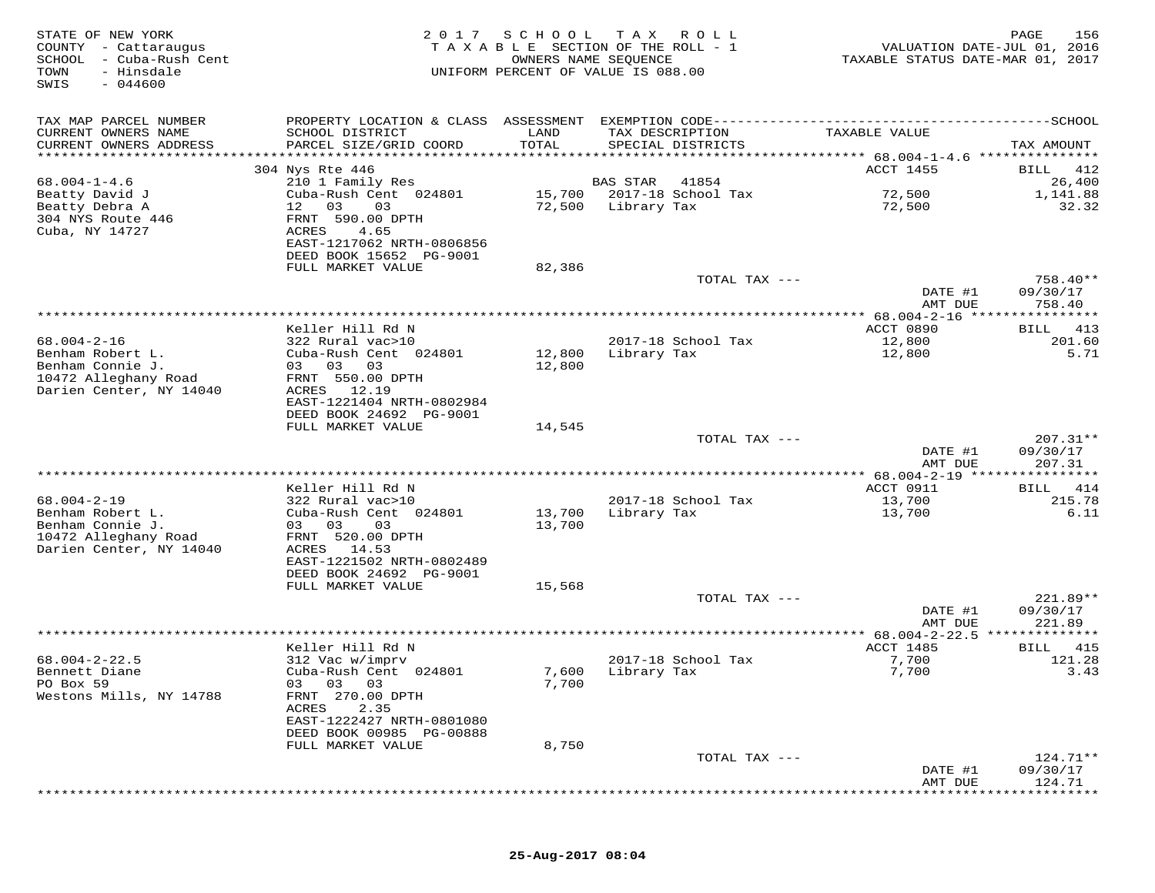| STATE OF NEW YORK<br>COUNTY - Cattaraugus<br>SCHOOL - Cuba-Rush Cent<br>TOWN<br>- Hinsdale<br>$-044600$<br>SWIS | 2017                                                                 | SCHOOL<br>OWNERS NAME SEQUENCE | T A X<br>R O L L<br>TAXABLE SECTION OF THE ROLL - 1<br>UNIFORM PERCENT OF VALUE IS 088.00 | VALUATION DATE-JUL 01, 2016<br>TAXABLE STATUS DATE-MAR 01, 2017 | 156<br>PAGE        |
|-----------------------------------------------------------------------------------------------------------------|----------------------------------------------------------------------|--------------------------------|-------------------------------------------------------------------------------------------|-----------------------------------------------------------------|--------------------|
| TAX MAP PARCEL NUMBER                                                                                           | PROPERTY LOCATION & CLASS ASSESSMENT                                 |                                |                                                                                           |                                                                 |                    |
| CURRENT OWNERS NAME<br>CURRENT OWNERS ADDRESS<br>*********************                                          | SCHOOL DISTRICT<br>PARCEL SIZE/GRID COORD<br>*********************** | LAND<br>TOTAL                  | TAX DESCRIPTION<br>SPECIAL DISTRICTS                                                      | TAXABLE VALUE                                                   | TAX AMOUNT         |
|                                                                                                                 | 304 Nys Rte 446                                                      |                                |                                                                                           | ACCT 1455                                                       | 412<br>BILL        |
| $68.004 - 1 - 4.6$                                                                                              | 210 1 Family Res                                                     |                                | <b>BAS STAR</b><br>41854                                                                  |                                                                 | 26,400             |
| Beatty David J                                                                                                  | Cuba-Rush Cent 024801                                                | 15,700                         | 2017-18 School Tax                                                                        | 72,500                                                          | 1,141.88           |
| Beatty Debra A                                                                                                  | 03<br>12<br>03                                                       | 72,500                         | Library Tax                                                                               | 72,500                                                          | 32.32              |
| 304 NYS Route 446                                                                                               | FRNT 590.00 DPTH                                                     |                                |                                                                                           |                                                                 |                    |
| Cuba, NY 14727                                                                                                  | 4.65<br>ACRES                                                        |                                |                                                                                           |                                                                 |                    |
|                                                                                                                 | EAST-1217062 NRTH-0806856                                            |                                |                                                                                           |                                                                 |                    |
|                                                                                                                 | DEED BOOK 15652 PG-9001<br>FULL MARKET VALUE                         | 82,386                         |                                                                                           |                                                                 |                    |
|                                                                                                                 |                                                                      |                                | TOTAL TAX ---                                                                             |                                                                 | $758.40**$         |
|                                                                                                                 |                                                                      |                                |                                                                                           | DATE #1                                                         | 09/30/17           |
|                                                                                                                 |                                                                      |                                |                                                                                           | AMT DUE                                                         | 758.40             |
|                                                                                                                 |                                                                      |                                |                                                                                           | ********** 68.004-2-16 ****                                     | *********          |
|                                                                                                                 | Keller Hill Rd N                                                     |                                |                                                                                           | ACCT 0890                                                       | 413<br>BILL        |
| $68.004 - 2 - 16$                                                                                               | 322 Rural vac>10                                                     |                                | 2017-18 School Tax                                                                        | 12,800                                                          | 201.60             |
| Benham Robert L.<br>Benham Connie J.                                                                            | Cuba-Rush Cent 024801<br>03 03<br>03                                 | 12,800<br>12,800               | Library Tax                                                                               | 12,800                                                          | 5.71               |
| 10472 Alleghany Road                                                                                            | FRNT 550.00 DPTH                                                     |                                |                                                                                           |                                                                 |                    |
| Darien Center, NY 14040                                                                                         | 12.19<br>ACRES                                                       |                                |                                                                                           |                                                                 |                    |
|                                                                                                                 | EAST-1221404 NRTH-0802984                                            |                                |                                                                                           |                                                                 |                    |
|                                                                                                                 | DEED BOOK 24692 PG-9001                                              |                                |                                                                                           |                                                                 |                    |
|                                                                                                                 | FULL MARKET VALUE                                                    | 14,545                         |                                                                                           |                                                                 |                    |
|                                                                                                                 |                                                                      |                                | TOTAL TAX ---                                                                             |                                                                 | $207.31**$         |
|                                                                                                                 |                                                                      |                                |                                                                                           | DATE #1<br>AMT DUE                                              | 09/30/17<br>207.31 |
|                                                                                                                 |                                                                      |                                |                                                                                           |                                                                 | * * * * * * * * *  |
|                                                                                                                 | Keller Hill Rd N                                                     |                                |                                                                                           | ACCT 0911                                                       | 414<br>BILL        |
| $68.004 - 2 - 19$                                                                                               | 322 Rural vac>10                                                     |                                | 2017-18 School Tax                                                                        | 13,700                                                          | 215.78             |
| Benham Robert L.                                                                                                | Cuba-Rush Cent 024801                                                | 13,700                         | Library Tax                                                                               | 13,700                                                          | 6.11               |
| Benham Connie J.                                                                                                | 03 03<br>03                                                          | 13,700                         |                                                                                           |                                                                 |                    |
| 10472 Alleghany Road                                                                                            | FRNT 520.00 DPTH                                                     |                                |                                                                                           |                                                                 |                    |
| Darien Center, NY 14040                                                                                         | ACRES 14.53                                                          |                                |                                                                                           |                                                                 |                    |
|                                                                                                                 | EAST-1221502 NRTH-0802489<br>DEED BOOK 24692 PG-9001                 |                                |                                                                                           |                                                                 |                    |
|                                                                                                                 | FULL MARKET VALUE                                                    | 15,568                         |                                                                                           |                                                                 |                    |
|                                                                                                                 |                                                                      |                                | TOTAL TAX ---                                                                             |                                                                 | 221.89**           |
|                                                                                                                 |                                                                      |                                |                                                                                           | DATE #1                                                         | 09/30/17           |
|                                                                                                                 |                                                                      |                                |                                                                                           | AMT DUE                                                         | 221.89             |
|                                                                                                                 |                                                                      |                                |                                                                                           |                                                                 |                    |
|                                                                                                                 | Keller Hill Rd N                                                     |                                |                                                                                           | ACCT 1485                                                       | 415<br>BILL        |
| $68.004 - 2 - 22.5$<br>Bennett Diane                                                                            | 312 Vac w/imprv<br>Cuba-Rush Cent 024801                             | 7,600                          | 2017-18 School Tax<br>Library Tax                                                         | 7,700<br>7,700                                                  | 121.28<br>3.43     |
| PO Box 59                                                                                                       | 03 03 03                                                             | 7,700                          |                                                                                           |                                                                 |                    |
| Westons Mills, NY 14788                                                                                         | FRNT 270.00 DPTH                                                     |                                |                                                                                           |                                                                 |                    |
|                                                                                                                 | ACRES<br>2.35                                                        |                                |                                                                                           |                                                                 |                    |
|                                                                                                                 | EAST-1222427 NRTH-0801080                                            |                                |                                                                                           |                                                                 |                    |
|                                                                                                                 | DEED BOOK 00985 PG-00888                                             |                                |                                                                                           |                                                                 |                    |
|                                                                                                                 | FULL MARKET VALUE                                                    | 8,750                          |                                                                                           |                                                                 |                    |
|                                                                                                                 |                                                                      |                                | TOTAL TAX ---                                                                             |                                                                 | 124.71**           |
|                                                                                                                 |                                                                      |                                |                                                                                           | DATE #1<br>AMT DUE                                              | 09/30/17<br>124.71 |
|                                                                                                                 |                                                                      |                                |                                                                                           |                                                                 |                    |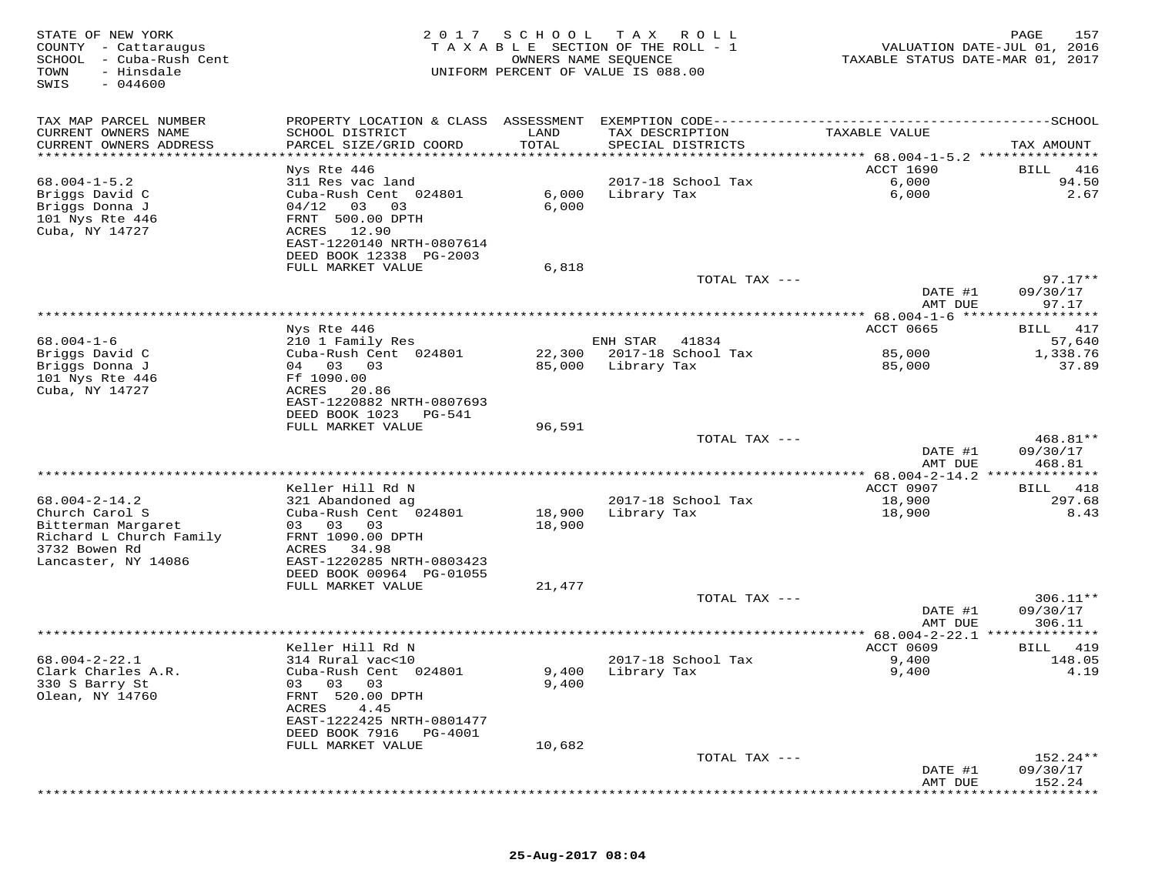| STATE OF NEW YORK<br>COUNTY - Cattaraugus<br>SCHOOL - Cuba-Rush Cent<br>- Hinsdale<br>TOWN<br>SWIS<br>$-044600$ | 2017                                                    | SCHOOL<br>OWNERS NAME SEQUENCE | T A X<br>R O L L<br>TAXABLE SECTION OF THE ROLL - 1<br>UNIFORM PERCENT OF VALUE IS 088.00 | VALUATION DATE-JUL 01, 2016<br>TAXABLE STATUS DATE-MAR 01, 2017 | 157<br>PAGE           |
|-----------------------------------------------------------------------------------------------------------------|---------------------------------------------------------|--------------------------------|-------------------------------------------------------------------------------------------|-----------------------------------------------------------------|-----------------------|
| TAX MAP PARCEL NUMBER                                                                                           | PROPERTY LOCATION & CLASS ASSESSMENT                    |                                | EXEMPTION CODE-----------                                                                 | -----------                                                     | -------SCHOOL         |
| CURRENT OWNERS NAME                                                                                             | SCHOOL DISTRICT                                         | LAND                           | TAX DESCRIPTION                                                                           | TAXABLE VALUE                                                   |                       |
| CURRENT OWNERS ADDRESS<br>**********************                                                                | PARCEL SIZE/GRID COORD                                  | TOTAL                          | SPECIAL DISTRICTS                                                                         |                                                                 | TAX AMOUNT            |
|                                                                                                                 | Nys Rte 446                                             |                                |                                                                                           | ACCT 1690                                                       | 416<br>BILL           |
| $68.004 - 1 - 5.2$                                                                                              | 311 Res vac land                                        |                                | 2017-18 School Tax                                                                        | 6,000                                                           | 94.50                 |
| Briggs David C                                                                                                  | Cuba-Rush Cent 024801                                   | 6,000                          | Library Tax                                                                               | 6,000                                                           | 2.67                  |
| Briggs Donna J                                                                                                  | 04/12<br>03<br>03                                       | 6,000                          |                                                                                           |                                                                 |                       |
| 101 Nys Rte 446<br>Cuba, NY 14727                                                                               | FRNT 500.00 DPTH<br>12.90<br>ACRES                      |                                |                                                                                           |                                                                 |                       |
|                                                                                                                 | EAST-1220140 NRTH-0807614                               |                                |                                                                                           |                                                                 |                       |
|                                                                                                                 | DEED BOOK 12338 PG-2003                                 |                                |                                                                                           |                                                                 |                       |
|                                                                                                                 | FULL MARKET VALUE                                       | 6,818                          |                                                                                           |                                                                 |                       |
|                                                                                                                 |                                                         |                                | TOTAL TAX ---                                                                             | DATE #1                                                         | $97.17**$<br>09/30/17 |
|                                                                                                                 |                                                         |                                |                                                                                           | AMT DUE                                                         | 97.17                 |
|                                                                                                                 |                                                         |                                |                                                                                           |                                                                 | * * * * * * * *       |
|                                                                                                                 | Nys Rte 446                                             |                                |                                                                                           | <b>ACCT 0665</b>                                                | 417<br>BILL           |
| $68.004 - 1 - 6$<br>Briggs David C                                                                              | 210 1 Family Res<br>Cuba-Rush Cent 024801               | 22,300                         | ENH STAR<br>41834<br>2017-18 School Tax                                                   | 85,000                                                          | 57,640<br>1,338.76    |
| Briggs Donna J                                                                                                  | 04 03<br>03                                             | 85,000                         | Library Tax                                                                               | 85,000                                                          | 37.89                 |
| 101 Nys Rte 446                                                                                                 | Ff 1090.00                                              |                                |                                                                                           |                                                                 |                       |
| Cuba, NY 14727                                                                                                  | ACRES<br>20.86                                          |                                |                                                                                           |                                                                 |                       |
|                                                                                                                 | EAST-1220882 NRTH-0807693<br>DEED BOOK 1023<br>$PG-541$ |                                |                                                                                           |                                                                 |                       |
|                                                                                                                 | FULL MARKET VALUE                                       | 96,591                         |                                                                                           |                                                                 |                       |
|                                                                                                                 |                                                         |                                | TOTAL TAX ---                                                                             |                                                                 | 468.81**              |
|                                                                                                                 |                                                         |                                |                                                                                           | DATE #1<br>AMT DUE                                              | 09/30/17<br>468.81    |
|                                                                                                                 |                                                         |                                |                                                                                           |                                                                 |                       |
|                                                                                                                 | Keller Hill Rd N                                        |                                |                                                                                           | ACCT 0907                                                       | 418<br>BILL           |
| $68.004 - 2 - 14.2$                                                                                             | 321 Abandoned ag                                        |                                | 2017-18 School Tax                                                                        | 18,900                                                          | 297.68                |
| Church Carol S<br>Bitterman Margaret                                                                            | Cuba-Rush Cent 024801<br>03<br>03<br>03                 | 18,900<br>18,900               | Library Tax                                                                               | 18,900                                                          | 8.43                  |
| Richard L Church Family                                                                                         | FRNT 1090.00 DPTH                                       |                                |                                                                                           |                                                                 |                       |
| 3732 Bowen Rd                                                                                                   | ACRES<br>34.98                                          |                                |                                                                                           |                                                                 |                       |
| Lancaster, NY 14086                                                                                             | EAST-1220285 NRTH-0803423                               |                                |                                                                                           |                                                                 |                       |
|                                                                                                                 | DEED BOOK 00964 PG-01055<br>FULL MARKET VALUE           | 21,477                         |                                                                                           |                                                                 |                       |
|                                                                                                                 |                                                         |                                | TOTAL TAX ---                                                                             |                                                                 | $306.11**$            |
|                                                                                                                 |                                                         |                                |                                                                                           | DATE #1                                                         | 09/30/17              |
|                                                                                                                 |                                                         |                                |                                                                                           | AMT DUE                                                         | 306.11                |
|                                                                                                                 | Keller Hill Rd N                                        |                                |                                                                                           | ** 68.004-2-22.1<br><b>ACCT 0609</b>                            | 419<br>BILL           |
| $68.004 - 2 - 22.1$                                                                                             | 314 Rural vac<10                                        |                                | 2017-18 School Tax                                                                        | 9,400                                                           | 148.05                |
| Clark Charles A.R.                                                                                              | Cuba-Rush Cent 024801                                   | 9,400                          | Library Tax                                                                               | 9,400                                                           | 4.19                  |
| 330 S Barry St                                                                                                  | 03 03 03                                                | 9,400                          |                                                                                           |                                                                 |                       |
| Olean, NY 14760                                                                                                 | FRNT 520.00 DPTH<br>ACRES<br>4.45                       |                                |                                                                                           |                                                                 |                       |
|                                                                                                                 | EAST-1222425 NRTH-0801477                               |                                |                                                                                           |                                                                 |                       |
|                                                                                                                 | DEED BOOK 7916<br>PG-4001                               |                                |                                                                                           |                                                                 |                       |
|                                                                                                                 | FULL MARKET VALUE                                       | 10,682                         |                                                                                           |                                                                 |                       |
|                                                                                                                 |                                                         |                                | TOTAL TAX ---                                                                             | DATE #1                                                         | 152.24**<br>09/30/17  |
|                                                                                                                 |                                                         |                                |                                                                                           | AMT DUE                                                         | 152.24                |
|                                                                                                                 |                                                         |                                |                                                                                           |                                                                 |                       |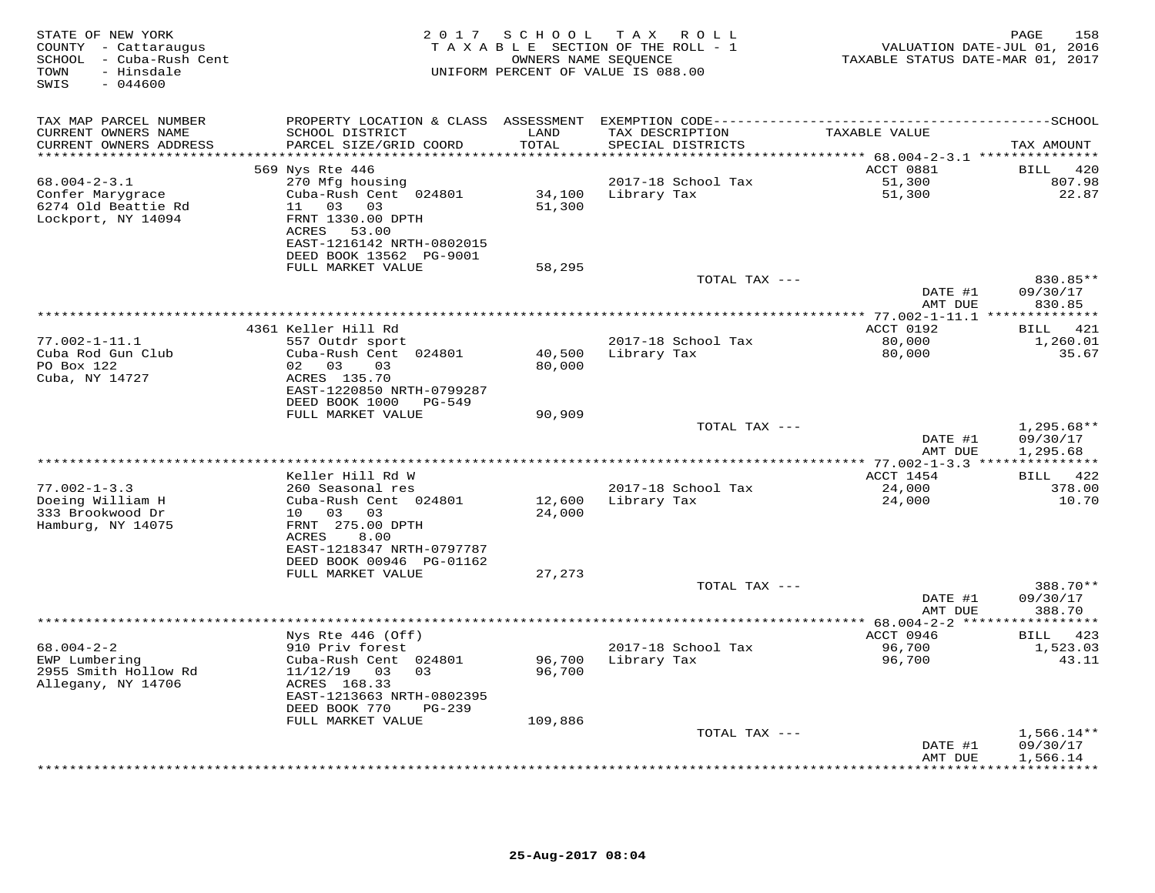| STATE OF NEW YORK<br>COUNTY - Cattaraugus<br>SCHOOL - Cuba-Rush Cent<br>- Hinsdale<br>TOWN<br>$-044600$<br>SWIS | 2 0 1 7                                               | S C H O O L                              | T A X<br>R O L L<br>TAXABLE SECTION OF THE ROLL - 1<br>OWNERS NAME SEQUENCE<br>UNIFORM PERCENT OF VALUE IS 088.00 | VALUATION DATE-JUL 01, 2016<br>TAXABLE STATUS DATE-MAR 01, 2017 | PAGE<br>158             |
|-----------------------------------------------------------------------------------------------------------------|-------------------------------------------------------|------------------------------------------|-------------------------------------------------------------------------------------------------------------------|-----------------------------------------------------------------|-------------------------|
| TAX MAP PARCEL NUMBER                                                                                           |                                                       |                                          |                                                                                                                   |                                                                 |                         |
| CURRENT OWNERS NAME<br>CURRENT OWNERS ADDRESS<br>***********************                                        | SCHOOL DISTRICT<br>PARCEL SIZE/GRID COORD             | LAND<br>TOTAL<br>* * * * * * * * * * * * | TAX DESCRIPTION<br>SPECIAL DISTRICTS                                                                              | TAXABLE VALUE                                                   | TAX AMOUNT              |
|                                                                                                                 | 569 Nys Rte 446                                       |                                          |                                                                                                                   | ACCT 0881                                                       | 420<br>BILL             |
| $68.004 - 2 - 3.1$                                                                                              | 270 Mfg housing                                       |                                          | 2017-18 School Tax                                                                                                | 51,300                                                          | 807.98                  |
| Confer Marygrace                                                                                                | Cuba-Rush Cent 024801                                 | 34,100                                   | Library Tax                                                                                                       | 51,300                                                          | 22.87                   |
| 6274 Old Beattie Rd<br>Lockport, NY 14094                                                                       | 11 03 03<br>FRNT 1330.00 DPTH                         | 51,300                                   |                                                                                                                   |                                                                 |                         |
|                                                                                                                 | ACRES 53.00                                           |                                          |                                                                                                                   |                                                                 |                         |
|                                                                                                                 | EAST-1216142 NRTH-0802015                             |                                          |                                                                                                                   |                                                                 |                         |
|                                                                                                                 | DEED BOOK 13562 PG-9001                               |                                          |                                                                                                                   |                                                                 |                         |
|                                                                                                                 | FULL MARKET VALUE                                     | 58,295                                   | TOTAL TAX ---                                                                                                     |                                                                 | 830.85**                |
|                                                                                                                 |                                                       |                                          |                                                                                                                   | DATE #1                                                         | 09/30/17                |
|                                                                                                                 |                                                       |                                          |                                                                                                                   | AMT DUE                                                         | 830.85                  |
|                                                                                                                 |                                                       |                                          |                                                                                                                   | ****************** 77.002-1-11.1 **************                 |                         |
| $77.002 - 1 - 11.1$                                                                                             | 4361 Keller Hill Rd<br>557 Outdr sport                |                                          | 2017-18 School Tax                                                                                                | ACCT 0192<br>80,000                                             | 421<br>BILL<br>1,260.01 |
| Cuba Rod Gun Club                                                                                               | Cuba-Rush Cent 024801                                 | 40,500                                   | Library Tax                                                                                                       | 80,000                                                          | 35.67                   |
| PO Box 122                                                                                                      | 02 03<br>03                                           | 80,000                                   |                                                                                                                   |                                                                 |                         |
| Cuba, NY 14727                                                                                                  | ACRES 135.70                                          |                                          |                                                                                                                   |                                                                 |                         |
|                                                                                                                 | EAST-1220850 NRTH-0799287<br>DEED BOOK 1000<br>PG-549 |                                          |                                                                                                                   |                                                                 |                         |
|                                                                                                                 | FULL MARKET VALUE                                     | 90,909                                   |                                                                                                                   |                                                                 |                         |
|                                                                                                                 |                                                       |                                          | TOTAL TAX ---                                                                                                     |                                                                 | $1,295.68**$            |
|                                                                                                                 |                                                       |                                          |                                                                                                                   | DATE #1                                                         | 09/30/17                |
|                                                                                                                 |                                                       |                                          |                                                                                                                   | AMT DUE                                                         | 1,295.68                |
|                                                                                                                 | Keller Hill Rd W                                      |                                          |                                                                                                                   | ACCT 1454                                                       | BILL 422                |
| $77.002 - 1 - 3.3$                                                                                              | 260 Seasonal res                                      |                                          | 2017-18 School Tax                                                                                                | 24,000                                                          | 378.00                  |
| Doeing William H<br>333 Brookwood Dr                                                                            | Cuba-Rush Cent 024801<br>10 03 03                     | 12,600<br>24,000                         | Library Tax                                                                                                       | 24,000                                                          | 10.70                   |
| Hamburg, NY 14075                                                                                               | FRNT 275.00 DPTH                                      |                                          |                                                                                                                   |                                                                 |                         |
|                                                                                                                 | 8.00<br>ACRES                                         |                                          |                                                                                                                   |                                                                 |                         |
|                                                                                                                 | EAST-1218347 NRTH-0797787                             |                                          |                                                                                                                   |                                                                 |                         |
|                                                                                                                 | DEED BOOK 00946 PG-01162<br>FULL MARKET VALUE         | 27,273                                   |                                                                                                                   |                                                                 |                         |
|                                                                                                                 |                                                       |                                          | TOTAL TAX ---                                                                                                     |                                                                 | 388.70**                |
|                                                                                                                 |                                                       |                                          |                                                                                                                   | DATE #1                                                         | 09/30/17                |
|                                                                                                                 |                                                       |                                          |                                                                                                                   | AMT DUE                                                         | 388.70                  |
|                                                                                                                 | Nys Rte 446 (Off)                                     |                                          |                                                                                                                   | ** $68.004 - 2 - 2$ ******<br>ACCT 0946                         | ***********<br>BILL 423 |
| $68.004 - 2 - 2$                                                                                                | 910 Priv forest                                       |                                          | 2017-18 School Tax                                                                                                | 96,700                                                          | 1,523.03                |
| EWP Lumbering                                                                                                   | Cuba-Rush Cent 024801                                 | 96,700                                   | Library Tax                                                                                                       | 96,700                                                          | 43.11                   |
| 2955 Smith Hollow Rd                                                                                            | $11/12/19$ 03 03                                      | 96,700                                   |                                                                                                                   |                                                                 |                         |
| Allegany, NY 14706                                                                                              | ACRES 168.33<br>EAST-1213663 NRTH-0802395             |                                          |                                                                                                                   |                                                                 |                         |
|                                                                                                                 | DEED BOOK 770<br>$PG-239$                             |                                          |                                                                                                                   |                                                                 |                         |
|                                                                                                                 | FULL MARKET VALUE                                     | 109,886                                  |                                                                                                                   |                                                                 |                         |
|                                                                                                                 |                                                       |                                          | TOTAL TAX ---                                                                                                     |                                                                 | $1,566.14**$            |
|                                                                                                                 |                                                       |                                          |                                                                                                                   | DATE #1<br>AMT DUE                                              | 09/30/17<br>1,566.14    |
|                                                                                                                 |                                                       |                                          |                                                                                                                   |                                                                 |                         |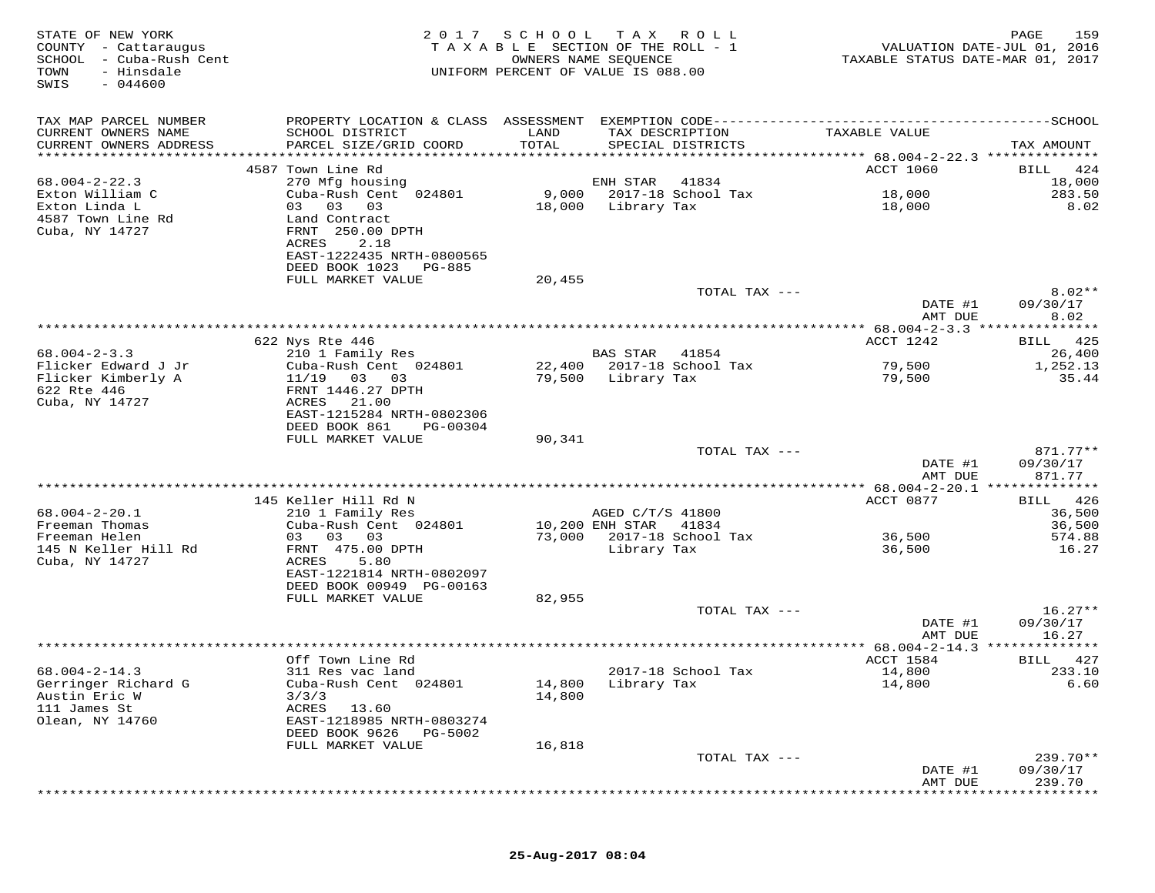| STATE OF NEW YORK<br>COUNTY - Cattaraugus<br>SCHOOL<br>- Cuba-Rush Cent<br>TOWN<br>- Hinsdale<br>$-044600$<br>SWIS | 2017                                                                                                        | SCHOOL<br>TAXABLE SECTION OF THE ROLL - 1<br>UNIFORM PERCENT OF VALUE IS 088.00 | T A X<br>OWNERS NAME SEQUENCE | R O L L                     | TAXABLE STATUS DATE-MAR 01, 2017                       | 159<br>PAGE<br>VALUATION DATE-JUL 01, 2016 |
|--------------------------------------------------------------------------------------------------------------------|-------------------------------------------------------------------------------------------------------------|---------------------------------------------------------------------------------|-------------------------------|-----------------------------|--------------------------------------------------------|--------------------------------------------|
| TAX MAP PARCEL NUMBER<br>CURRENT OWNERS NAME<br>CURRENT OWNERS ADDRESS                                             | PROPERTY LOCATION & CLASS ASSESSMENT<br>SCHOOL DISTRICT<br>PARCEL SIZE/GRID COORD                           | LAND<br>TOTAL                                                                   | TAX DESCRIPTION               | SPECIAL DISTRICTS           | TAXABLE VALUE                                          | TAX AMOUNT                                 |
| **********************                                                                                             |                                                                                                             |                                                                                 |                               |                             |                                                        |                                            |
| $68.004 - 2 - 22.3$                                                                                                | 4587 Town Line Rd<br>270 Mfg housing                                                                        |                                                                                 | ENH STAR                      | 41834                       | <b>ACCT 1060</b>                                       | 424<br><b>BILL</b><br>18,000               |
| Exton William C<br>Exton Linda L                                                                                   | Cuba-Rush Cent 024801<br>03 03<br>03                                                                        | 9,000<br>18,000                                                                 | Library Tax                   | 2017-18 School Tax          | 18,000<br>18,000                                       | 283.50<br>8.02                             |
| 4587 Town Line Rd<br>Cuba, NY 14727                                                                                | Land Contract<br>FRNT 250.00 DPTH<br>ACRES<br>2.18<br>EAST-1222435 NRTH-0800565<br>DEED BOOK 1023<br>PG-885 |                                                                                 |                               |                             |                                                        |                                            |
|                                                                                                                    | FULL MARKET VALUE                                                                                           | 20,455                                                                          |                               |                             |                                                        |                                            |
|                                                                                                                    |                                                                                                             |                                                                                 |                               | TOTAL TAX ---               | DATE #1                                                | $8.02**$<br>09/30/17                       |
|                                                                                                                    |                                                                                                             |                                                                                 |                               |                             | AMT DUE                                                | 8.02                                       |
|                                                                                                                    | 622 Nys Rte 446                                                                                             |                                                                                 |                               |                             | ************ 68.004-2-3.3 ***************<br>ACCT 1242 | BILL 425                                   |
| $68.004 - 2 - 3.3$                                                                                                 | 210 1 Family Res                                                                                            |                                                                                 | <b>BAS STAR</b>               | 41854                       |                                                        | 26,400                                     |
| Flicker Edward J Jr                                                                                                | Cuba-Rush Cent 024801                                                                                       | 22,400                                                                          |                               | 2017-18 School Tax          | 79,500                                                 | 1,252.13                                   |
| Flicker Kimberly A<br>622 Rte 446<br>Cuba, NY 14727                                                                | $11/19$ 03 03<br>FRNT 1446.27 DPTH<br>ACRES<br>21.00<br>EAST-1215284 NRTH-0802306                           | 79,500                                                                          | Library Tax                   |                             | 79,500                                                 | 35.44                                      |
|                                                                                                                    | DEED BOOK 861<br>PG-00304                                                                                   |                                                                                 |                               |                             |                                                        |                                            |
|                                                                                                                    | FULL MARKET VALUE                                                                                           | 90,341                                                                          |                               |                             |                                                        |                                            |
|                                                                                                                    |                                                                                                             |                                                                                 |                               | TOTAL TAX ---               | DATE #1<br>AMT DUE                                     | 871.77**<br>09/30/17<br>871.77             |
|                                                                                                                    |                                                                                                             |                                                                                 |                               |                             | ********* 68.004-2-20.1 **************                 |                                            |
|                                                                                                                    | 145 Keller Hill Rd N                                                                                        |                                                                                 |                               |                             | ACCT 0877                                              | 426<br>BILL                                |
| $68.004 - 2 - 20.1$                                                                                                | 210 1 Family Res                                                                                            |                                                                                 | AGED C/T/S 41800              |                             |                                                        | 36,500                                     |
| Freeman Thomas<br>Freeman Helen                                                                                    | Cuba-Rush Cent 024801<br>03 03<br>03                                                                        | 73,000                                                                          | 10,200 ENH STAR               | 41834<br>2017-18 School Tax | 36,500                                                 | 36,500<br>574.88                           |
| 145 N Keller Hill Rd<br>Cuba, NY 14727                                                                             | FRNT 475.00 DPTH<br>ACRES<br>5.80                                                                           |                                                                                 | Library Tax                   |                             | 36,500                                                 | 16.27                                      |
|                                                                                                                    | EAST-1221814 NRTH-0802097<br>DEED BOOK 00949 PG-00163                                                       |                                                                                 |                               |                             |                                                        |                                            |
|                                                                                                                    | FULL MARKET VALUE                                                                                           | 82,955                                                                          |                               |                             |                                                        |                                            |
|                                                                                                                    |                                                                                                             |                                                                                 |                               | TOTAL TAX ---               | DATE #1                                                | $16.27**$<br>09/30/17                      |
|                                                                                                                    |                                                                                                             |                                                                                 |                               |                             | AMT DUE                                                | 16.27                                      |
|                                                                                                                    |                                                                                                             |                                                                                 |                               |                             | ************ 68.004-2-14.3 *****                       | * * * * * * * *                            |
| $68.004 - 2 - 14.3$                                                                                                | Off Town Line Rd<br>311 Res vac land                                                                        |                                                                                 |                               | 2017-18 School Tax          | ACCT 1584<br>14,800                                    | BILL<br>427<br>233.10                      |
| Gerringer Richard G<br>Austin Eric W                                                                               | Cuba-Rush Cent 024801<br>3/3/3                                                                              | 14,800<br>14,800                                                                | Library Tax                   |                             | 14,800                                                 | 6.60                                       |
| 111 James St<br>Olean, NY 14760                                                                                    | ACRES<br>13.60<br>EAST-1218985 NRTH-0803274                                                                 |                                                                                 |                               |                             |                                                        |                                            |
|                                                                                                                    | DEED BOOK 9626<br>PG-5002                                                                                   |                                                                                 |                               |                             |                                                        |                                            |
|                                                                                                                    | FULL MARKET VALUE                                                                                           | 16,818                                                                          |                               |                             |                                                        |                                            |
|                                                                                                                    |                                                                                                             |                                                                                 |                               | TOTAL TAX ---               | DATE #1                                                | $239.70**$<br>09/30/17                     |
|                                                                                                                    |                                                                                                             |                                                                                 |                               |                             | AMT DUE                                                | 239.70                                     |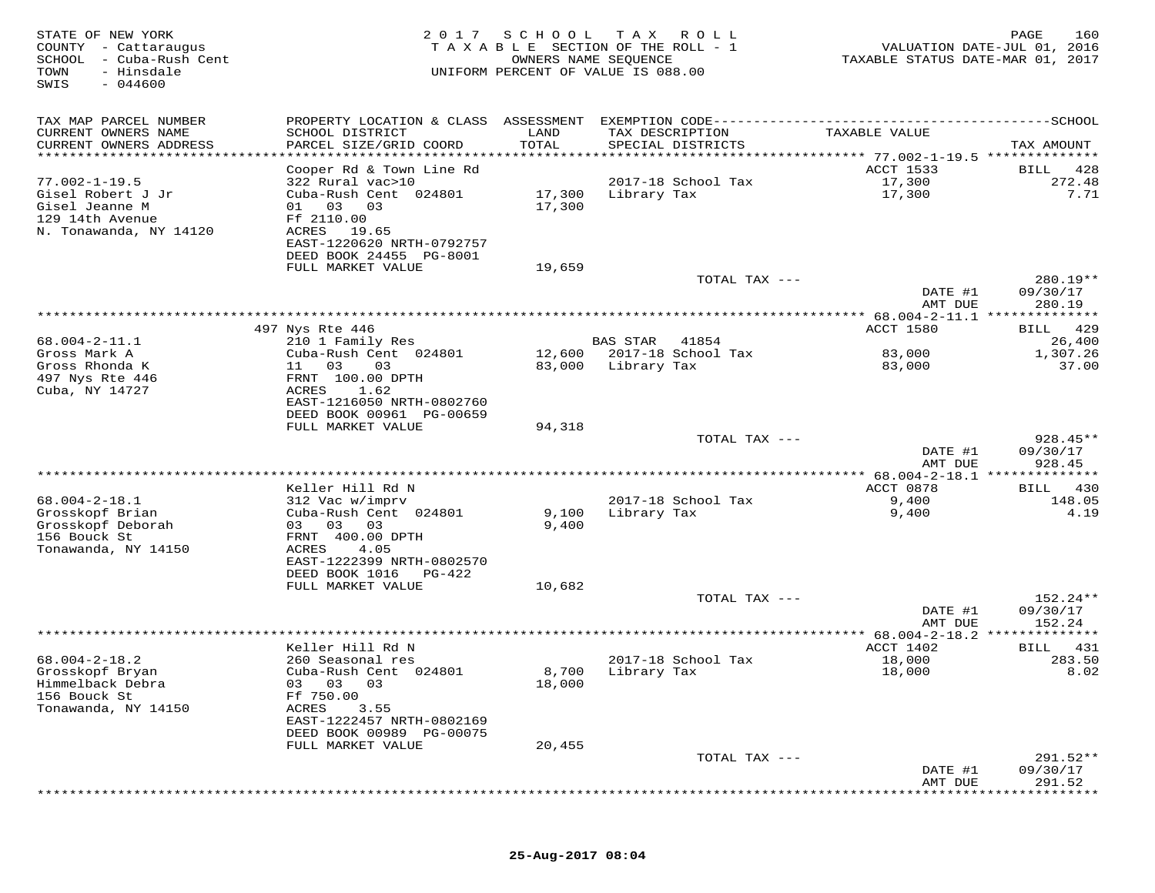| STATE OF NEW YORK<br>COUNTY - Cattaraugus<br>SCHOOL - Cuba-Rush Cent<br>TOWN<br>- Hinsdale<br>SWIS<br>$-044600$ | 2017                                      | S C H O O L<br>TAXABLE SECTION OF THE ROLL - 1<br>OWNERS NAME SEQUENCE<br>UNIFORM PERCENT OF VALUE IS 088.00 | T A X           | ROLL               | TAXABLE STATUS DATE-MAR 01, 2017                  | PAGE<br>160<br>VALUATION DATE-JUL 01, 2016 |
|-----------------------------------------------------------------------------------------------------------------|-------------------------------------------|--------------------------------------------------------------------------------------------------------------|-----------------|--------------------|---------------------------------------------------|--------------------------------------------|
| TAX MAP PARCEL NUMBER                                                                                           |                                           |                                                                                                              |                 |                    |                                                   |                                            |
| CURRENT OWNERS NAME<br>CURRENT OWNERS ADDRESS                                                                   | SCHOOL DISTRICT<br>PARCEL SIZE/GRID COORD | LAND<br>TOTAL                                                                                                | TAX DESCRIPTION | SPECIAL DISTRICTS  | TAXABLE VALUE                                     | TAX AMOUNT                                 |
| ***********************                                                                                         |                                           |                                                                                                              |                 |                    |                                                   |                                            |
|                                                                                                                 | Cooper Rd & Town Line Rd                  |                                                                                                              |                 |                    | <b>ACCT 1533</b>                                  | 428<br>BILL                                |
| $77.002 - 1 - 19.5$                                                                                             | 322 Rural vac>10                          |                                                                                                              |                 | 2017-18 School Tax | 17,300                                            | 272.48                                     |
| Gisel Robert J Jr                                                                                               | Cuba-Rush Cent 024801                     | 17,300                                                                                                       | Library Tax     |                    | 17,300                                            | 7.71                                       |
| Gisel Jeanne M<br>129 14th Avenue                                                                               | 01<br>03<br>03<br>Ff 2110.00              | 17,300                                                                                                       |                 |                    |                                                   |                                            |
| N. Tonawanda, NY 14120                                                                                          | ACRES<br>19.65                            |                                                                                                              |                 |                    |                                                   |                                            |
|                                                                                                                 | EAST-1220620 NRTH-0792757                 |                                                                                                              |                 |                    |                                                   |                                            |
|                                                                                                                 | DEED BOOK 24455 PG-8001                   |                                                                                                              |                 |                    |                                                   |                                            |
|                                                                                                                 | FULL MARKET VALUE                         | 19,659                                                                                                       |                 |                    |                                                   |                                            |
|                                                                                                                 |                                           |                                                                                                              |                 | TOTAL TAX ---      |                                                   | 280.19**                                   |
|                                                                                                                 |                                           |                                                                                                              |                 |                    | DATE #1<br>AMT DUE                                | 09/30/17<br>280.19                         |
|                                                                                                                 |                                           |                                                                                                              |                 |                    |                                                   |                                            |
|                                                                                                                 | 497 Nys Rte 446                           |                                                                                                              |                 |                    | <b>ACCT 1580</b>                                  | 429<br>BILL                                |
| $68.004 - 2 - 11.1$                                                                                             | 210 1 Family Res                          |                                                                                                              | <b>BAS STAR</b> | 41854              |                                                   | 26,400                                     |
| Gross Mark A                                                                                                    | Cuba-Rush Cent 024801                     | 12,600                                                                                                       |                 | 2017-18 School Tax | 83,000                                            | 1,307.26                                   |
| Gross Rhonda K                                                                                                  | 11 03<br>03                               | 83,000                                                                                                       | Library Tax     |                    | 83,000                                            | 37.00                                      |
| 497 Nys Rte 446<br>Cuba, NY 14727                                                                               | FRNT 100.00 DPTH<br>ACRES<br>1.62         |                                                                                                              |                 |                    |                                                   |                                            |
|                                                                                                                 | EAST-1216050 NRTH-0802760                 |                                                                                                              |                 |                    |                                                   |                                            |
|                                                                                                                 | DEED BOOK 00961 PG-00659                  |                                                                                                              |                 |                    |                                                   |                                            |
|                                                                                                                 | FULL MARKET VALUE                         | 94,318                                                                                                       |                 |                    |                                                   |                                            |
|                                                                                                                 |                                           |                                                                                                              |                 | TOTAL TAX ---      |                                                   | $928.45**$                                 |
|                                                                                                                 |                                           |                                                                                                              |                 |                    | DATE #1<br>AMT DUE                                | 09/30/17<br>928.45                         |
|                                                                                                                 |                                           |                                                                                                              |                 |                    | ************** 68.004-2-18.1 ***************      |                                            |
|                                                                                                                 | Keller Hill Rd N                          |                                                                                                              |                 |                    | ACCT 0878                                         | 430<br>BILL                                |
| $68.004 - 2 - 18.1$                                                                                             | 312 Vac w/imprv                           |                                                                                                              |                 | 2017-18 School Tax | 9,400                                             | 148.05                                     |
| Grosskopf Brian                                                                                                 | Cuba-Rush Cent 024801                     | 9,100                                                                                                        | Library Tax     |                    | 9,400                                             | 4.19                                       |
| Grosskopf Deborah                                                                                               | 03 03<br>03                               | 9,400                                                                                                        |                 |                    |                                                   |                                            |
| 156 Bouck St<br>Tonawanda, NY 14150                                                                             | FRNT 400.00 DPTH<br>ACRES<br>4.05         |                                                                                                              |                 |                    |                                                   |                                            |
|                                                                                                                 | EAST-1222399 NRTH-0802570                 |                                                                                                              |                 |                    |                                                   |                                            |
|                                                                                                                 | DEED BOOK 1016<br>PG-422                  |                                                                                                              |                 |                    |                                                   |                                            |
|                                                                                                                 | FULL MARKET VALUE                         | 10,682                                                                                                       |                 |                    |                                                   |                                            |
|                                                                                                                 |                                           |                                                                                                              |                 | TOTAL TAX ---      |                                                   | 152.24**                                   |
|                                                                                                                 |                                           |                                                                                                              |                 |                    | DATE #1                                           | 09/30/17<br>152.24                         |
|                                                                                                                 |                                           |                                                                                                              |                 |                    | AMT DUE<br>********* 68.004-2-18.2 ************** |                                            |
|                                                                                                                 | Keller Hill Rd N                          |                                                                                                              |                 |                    | ACCT 1402                                         | 431<br>BILL                                |
| $68.004 - 2 - 18.2$                                                                                             | 260 Seasonal res                          |                                                                                                              |                 | 2017-18 School Tax | 18,000                                            | 283.50                                     |
| Grosskopf Bryan                                                                                                 | Cuba-Rush Cent 024801                     | 8,700                                                                                                        | Library Tax     |                    | 18,000                                            | 8.02                                       |
| Himmelback Debra                                                                                                | 03 03 03                                  | 18,000                                                                                                       |                 |                    |                                                   |                                            |
| 156 Bouck St<br>Tonawanda, NY 14150                                                                             | Ff 750.00<br>ACRES<br>3.55                |                                                                                                              |                 |                    |                                                   |                                            |
|                                                                                                                 | EAST-1222457 NRTH-0802169                 |                                                                                                              |                 |                    |                                                   |                                            |
|                                                                                                                 | DEED BOOK 00989 PG-00075                  |                                                                                                              |                 |                    |                                                   |                                            |
|                                                                                                                 | FULL MARKET VALUE                         | 20,455                                                                                                       |                 |                    |                                                   |                                            |
|                                                                                                                 |                                           |                                                                                                              |                 | TOTAL TAX ---      |                                                   | $291.52**$                                 |
|                                                                                                                 |                                           |                                                                                                              |                 |                    | DATE #1                                           | 09/30/17                                   |
|                                                                                                                 |                                           |                                                                                                              |                 |                    | AMT DUE                                           | 291.52                                     |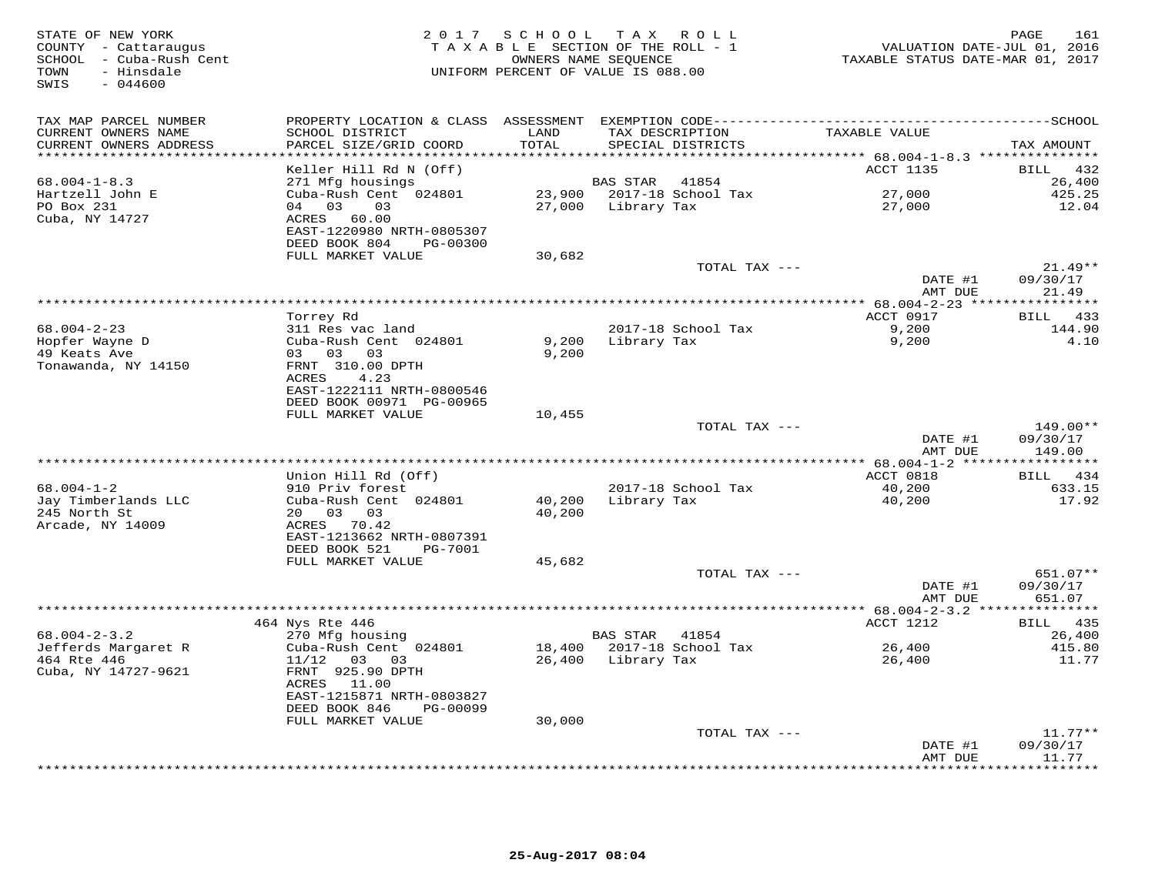| STATE OF NEW YORK<br>COUNTY - Cattaraugus<br>SCHOOL - Cuba-Rush Cent<br>- Hinsdale<br>TOWN<br>SWIS<br>$-044600$ |                                                        | 2017 SCHOOL TAX ROLL<br>TAXABLE SECTION OF THE ROLL - 1<br>UNIFORM PERCENT OF VALUE IS 088.00 | OWNERS NAME SEOUENCE |                           | VALUATION DATE-JUL 01, 2016<br>TAXABLE STATUS DATE-MAR 01, 2017 | PAGE<br>161              |
|-----------------------------------------------------------------------------------------------------------------|--------------------------------------------------------|-----------------------------------------------------------------------------------------------|----------------------|---------------------------|-----------------------------------------------------------------|--------------------------|
| TAX MAP PARCEL NUMBER                                                                                           |                                                        |                                                                                               |                      |                           |                                                                 |                          |
| CURRENT OWNERS NAME<br>CURRENT OWNERS ADDRESS                                                                   | SCHOOL DISTRICT<br>PARCEL SIZE/GRID COORD              | LAND<br>TOTAL                                                                                 | TAX DESCRIPTION      | SPECIAL DISTRICTS         | TAXABLE VALUE                                                   | TAX AMOUNT               |
| ***********************                                                                                         | *************************                              |                                                                                               |                      |                           |                                                                 |                          |
|                                                                                                                 | Keller Hill Rd N (Off)                                 |                                                                                               |                      |                           | ACCT 1135                                                       | BILL 432                 |
| $68.004 - 1 - 8.3$                                                                                              | 271 Mfg housings                                       |                                                                                               | <b>BAS STAR</b>      | 41854                     |                                                                 | 26,400                   |
| Hartzell John E                                                                                                 | Cuba-Rush Cent 024801                                  |                                                                                               |                      | 23,900 2017-18 School Tax | 27,000                                                          | 425.25                   |
| PO Box 231                                                                                                      | 04 03 03                                               |                                                                                               | 27,000 Library Tax   |                           | 27,000                                                          | 12.04                    |
| Cuba, NY 14727                                                                                                  | ACRES 60.00                                            |                                                                                               |                      |                           |                                                                 |                          |
|                                                                                                                 | EAST-1220980 NRTH-0805307<br>DEED BOOK 804<br>PG-00300 |                                                                                               |                      |                           |                                                                 |                          |
|                                                                                                                 | FULL MARKET VALUE                                      | 30,682                                                                                        |                      |                           |                                                                 |                          |
|                                                                                                                 |                                                        |                                                                                               |                      | TOTAL TAX ---             |                                                                 | $21.49**$                |
|                                                                                                                 |                                                        |                                                                                               |                      |                           | DATE #1                                                         | 09/30/17                 |
|                                                                                                                 |                                                        |                                                                                               |                      |                           | AMT DUE                                                         | 21.49                    |
|                                                                                                                 |                                                        |                                                                                               |                      |                           |                                                                 |                          |
|                                                                                                                 | Torrey Rd                                              |                                                                                               |                      |                           | ACCT 0917                                                       | BILL 433                 |
| $68.004 - 2 - 23$                                                                                               | 311 Res vac land                                       |                                                                                               |                      | 2017-18 School Tax        | 9,200                                                           | 144.90                   |
| Hopfer Wayne D                                                                                                  | Cuba-Rush Cent 024801                                  | 9,200                                                                                         | Library Tax          |                           | 9,200                                                           | 4.10                     |
| 49 Keats Ave                                                                                                    | 03 03 03                                               | 9,200                                                                                         |                      |                           |                                                                 |                          |
| Tonawanda, NY 14150                                                                                             | FRNT 310.00 DPTH                                       |                                                                                               |                      |                           |                                                                 |                          |
|                                                                                                                 | ACRES<br>4.23<br>EAST-1222111 NRTH-0800546             |                                                                                               |                      |                           |                                                                 |                          |
|                                                                                                                 | DEED BOOK 00971 PG-00965                               |                                                                                               |                      |                           |                                                                 |                          |
|                                                                                                                 | FULL MARKET VALUE                                      | 10,455                                                                                        |                      |                           |                                                                 |                          |
|                                                                                                                 |                                                        |                                                                                               |                      | TOTAL TAX ---             |                                                                 | 149.00**                 |
|                                                                                                                 |                                                        |                                                                                               |                      |                           | DATE #1                                                         | 09/30/17                 |
|                                                                                                                 |                                                        |                                                                                               |                      |                           | AMT DUE                                                         | 149.00                   |
|                                                                                                                 |                                                        |                                                                                               |                      |                           |                                                                 |                          |
|                                                                                                                 | Union Hill Rd (Off)                                    |                                                                                               |                      |                           | ACCT 0818                                                       | BILL 434                 |
| $68.004 - 1 - 2$                                                                                                | 910 Priv forest                                        |                                                                                               |                      | 2017-18 School Tax        | 40,200                                                          | 633.15                   |
| Jay Timberlands LLC                                                                                             | Cuba-Rush Cent 024801                                  | 40,200                                                                                        | Library Tax          |                           | 40,200                                                          | 17.92                    |
| 245 North St<br>Arcade, NY 14009                                                                                | 20  03  03<br>ACRES 70.42                              | 40,200                                                                                        |                      |                           |                                                                 |                          |
|                                                                                                                 | EAST-1213662 NRTH-0807391                              |                                                                                               |                      |                           |                                                                 |                          |
|                                                                                                                 | DEED BOOK 521<br>PG-7001                               |                                                                                               |                      |                           |                                                                 |                          |
|                                                                                                                 | FULL MARKET VALUE                                      | 45,682                                                                                        |                      |                           |                                                                 |                          |
|                                                                                                                 |                                                        |                                                                                               |                      | TOTAL TAX ---             |                                                                 | 651.07**                 |
|                                                                                                                 |                                                        |                                                                                               |                      |                           | DATE #1                                                         | 09/30/17                 |
|                                                                                                                 |                                                        |                                                                                               |                      |                           | AMT DUE                                                         | 651.07                   |
|                                                                                                                 |                                                        |                                                                                               |                      |                           |                                                                 | * * * * * * * * * * *    |
|                                                                                                                 | 464 Nys Rte 446                                        |                                                                                               |                      |                           | ACCT 1212                                                       | BILL 435                 |
| $68.004 - 2 - 3.2$                                                                                              | 270 Mfg housing                                        |                                                                                               | BAS STAR             | 41854                     |                                                                 | 26,400                   |
| Jefferds Margaret R<br>464 Rte 446                                                                              | Cuba-Rush Cent 024801                                  |                                                                                               | 26,400 Library Tax   | 18,400 2017-18 School Tax | 26,400<br>26,400                                                | 415.80                   |
| Cuba, NY 14727-9621                                                                                             | $11/12$ 03 03<br>FRNT 925.90 DPTH                      |                                                                                               |                      |                           |                                                                 | 11.77                    |
|                                                                                                                 | ACRES<br>11.00                                         |                                                                                               |                      |                           |                                                                 |                          |
|                                                                                                                 | EAST-1215871 NRTH-0803827                              |                                                                                               |                      |                           |                                                                 |                          |
|                                                                                                                 | DEED BOOK 846<br>PG-00099                              |                                                                                               |                      |                           |                                                                 |                          |
|                                                                                                                 | FULL MARKET VALUE                                      | 30,000                                                                                        |                      |                           |                                                                 |                          |
|                                                                                                                 |                                                        |                                                                                               |                      | TOTAL TAX ---             |                                                                 | $11.77**$                |
|                                                                                                                 |                                                        |                                                                                               |                      |                           | DATE #1                                                         | 09/30/17                 |
|                                                                                                                 |                                                        |                                                                                               |                      |                           | AMT DUE<br>***********                                          | 11.77<br>* * * * * * * * |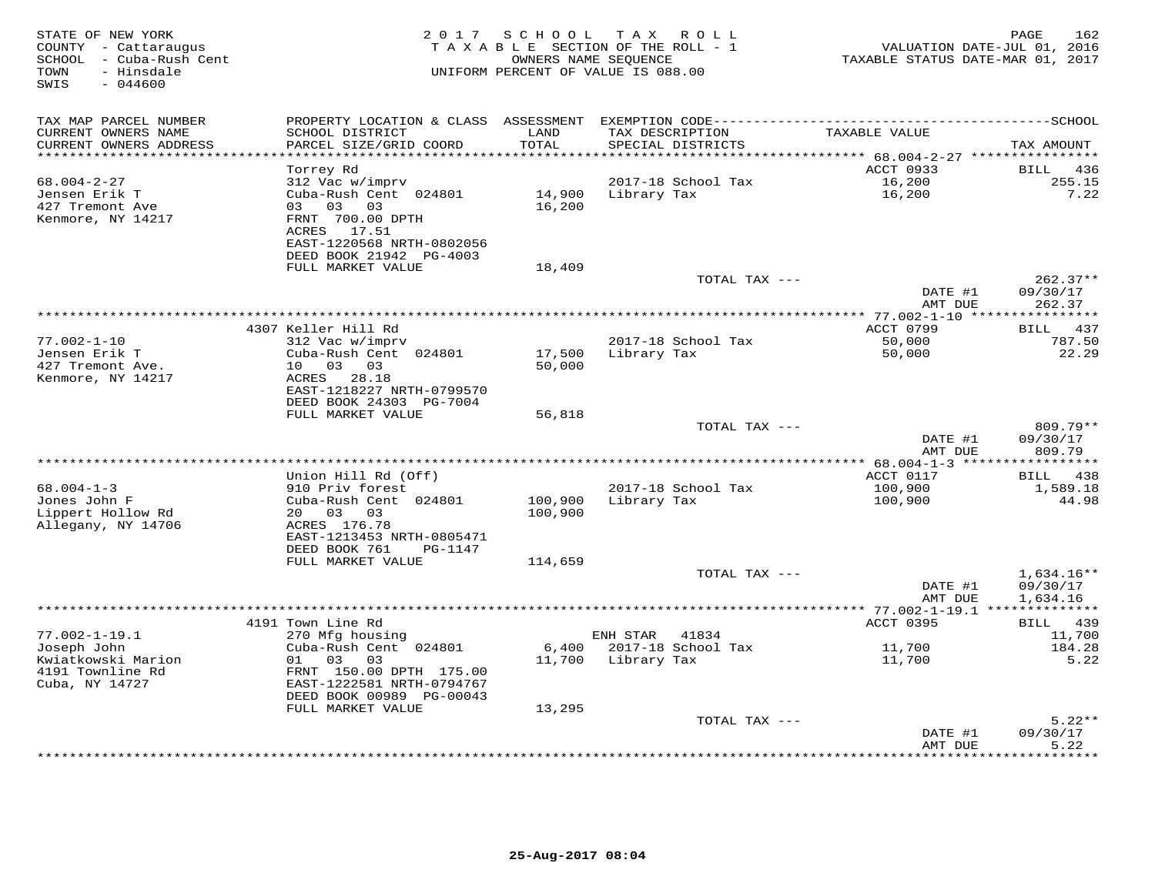| STATE OF NEW YORK<br>COUNTY - Cattaraugus<br>SCHOOL - Cuba-Rush Cent<br>TOWN<br>- Hinsdale<br>$-044600$<br>SWIS | 2 0 1 7                                                                                       | SCHOOL<br>OWNERS NAME SEQUENCE | TAX ROLL<br>TAXABLE SECTION OF THE ROLL - 1<br>UNIFORM PERCENT OF VALUE IS 088.00 | VALUATION DATE-JUL 01, 2016<br>TAXABLE STATUS DATE-MAR 01, 2017 | PAGE<br>162                  |
|-----------------------------------------------------------------------------------------------------------------|-----------------------------------------------------------------------------------------------|--------------------------------|-----------------------------------------------------------------------------------|-----------------------------------------------------------------|------------------------------|
| TAX MAP PARCEL NUMBER<br>CURRENT OWNERS NAME<br>CURRENT OWNERS ADDRESS                                          | SCHOOL DISTRICT<br>PARCEL SIZE/GRID COORD                                                     | LAND<br>TOTAL                  | TAX DESCRIPTION<br>SPECIAL DISTRICTS                                              | TAXABLE VALUE                                                   | TAX AMOUNT                   |
| ******************************                                                                                  |                                                                                               |                                |                                                                                   |                                                                 |                              |
|                                                                                                                 | Torrey Rd                                                                                     |                                |                                                                                   | ACCT 0933                                                       | 436<br>BILL                  |
| $68.004 - 2 - 27$<br>Jensen Erik T<br>427 Tremont Ave<br>Kenmore, NY 14217                                      | 312 Vac w/imprv<br>Cuba-Rush Cent 024801<br>03<br>03<br>03<br>FRNT 700.00 DPTH<br>ACRES 17.51 | 14,900<br>16,200               | 2017-18 School Tax<br>Library Tax                                                 | 16,200<br>16,200                                                | 255.15<br>7.22               |
|                                                                                                                 | EAST-1220568 NRTH-0802056<br>DEED BOOK 21942 PG-4003<br>FULL MARKET VALUE                     | 18,409                         |                                                                                   |                                                                 |                              |
|                                                                                                                 |                                                                                               |                                | TOTAL TAX ---                                                                     |                                                                 | $262.37**$                   |
|                                                                                                                 |                                                                                               |                                |                                                                                   | DATE #1<br>AMT DUE                                              | 09/30/17<br>262.37           |
|                                                                                                                 |                                                                                               |                                |                                                                                   |                                                                 |                              |
| $77.002 - 1 - 10$                                                                                               | 4307 Keller Hill Rd                                                                           |                                | 2017-18 School Tax                                                                | ACCT 0799<br>50,000                                             | 437<br><b>BILL</b><br>787.50 |
| Jensen Erik T                                                                                                   | 312 Vac w/imprv<br>Cuba-Rush Cent 024801                                                      | 17,500                         | Library Tax                                                                       | 50,000                                                          | 22.29                        |
| 427 Tremont Ave.                                                                                                | 10 03 03                                                                                      | 50,000                         |                                                                                   |                                                                 |                              |
| Kenmore, NY 14217                                                                                               | ACRES<br>28.18                                                                                |                                |                                                                                   |                                                                 |                              |
|                                                                                                                 | EAST-1218227 NRTH-0799570                                                                     |                                |                                                                                   |                                                                 |                              |
|                                                                                                                 | DEED BOOK 24303 PG-7004<br>FULL MARKET VALUE                                                  | 56,818                         |                                                                                   |                                                                 |                              |
|                                                                                                                 |                                                                                               |                                | TOTAL TAX ---                                                                     |                                                                 | 809.79**                     |
|                                                                                                                 |                                                                                               |                                |                                                                                   | DATE #1<br>AMT DUE                                              | 09/30/17<br>809.79           |
|                                                                                                                 |                                                                                               |                                |                                                                                   |                                                                 | **********                   |
|                                                                                                                 | Union Hill Rd (Off)                                                                           |                                |                                                                                   | ACCT 0117                                                       | 438<br>BILL                  |
| $68.004 - 1 - 3$                                                                                                | 910 Priv forest                                                                               |                                | 2017-18 School Tax                                                                | 100,900                                                         | 1,589.18                     |
| Jones John F<br>Lippert Hollow Rd                                                                               | Cuba-Rush Cent 024801<br>20  03  03                                                           | 100,900<br>100,900             | Library Tax                                                                       | 100,900                                                         | 44.98                        |
| Allegany, NY 14706                                                                                              | ACRES 176.78                                                                                  |                                |                                                                                   |                                                                 |                              |
|                                                                                                                 | EAST-1213453 NRTH-0805471                                                                     |                                |                                                                                   |                                                                 |                              |
|                                                                                                                 | DEED BOOK 761<br>PG-1147                                                                      |                                |                                                                                   |                                                                 |                              |
|                                                                                                                 | FULL MARKET VALUE                                                                             | 114,659                        | TOTAL TAX ---                                                                     |                                                                 |                              |
|                                                                                                                 |                                                                                               |                                |                                                                                   | DATE #1                                                         | $1,634.16**$<br>09/30/17     |
|                                                                                                                 |                                                                                               |                                |                                                                                   | AMT DUE                                                         | 1,634.16                     |
|                                                                                                                 |                                                                                               |                                | **********************************                                                | *** 77.002-1-19.1 **************                                |                              |
|                                                                                                                 | 4191 Town Line Rd                                                                             |                                |                                                                                   | ACCT 0395                                                       | BILL 439                     |
| $77.002 - 1 - 19.1$<br>Joseph John                                                                              | 270 Mfg housing<br>Cuba-Rush Cent 024801                                                      | 6,400                          | ENH STAR<br>41834<br>2017-18 School Tax                                           | 11,700                                                          | 11,700<br>184.28             |
| Kwiatkowski Marion                                                                                              | 01 03<br>03                                                                                   | 11,700                         | Library Tax                                                                       | 11,700                                                          | 5.22                         |
| 4191 Townline Rd<br>Cuba, NY 14727                                                                              | FRNT 150.00 DPTH 175.00<br>EAST-1222581 NRTH-0794767                                          |                                |                                                                                   |                                                                 |                              |
|                                                                                                                 | DEED BOOK 00989 PG-00043                                                                      |                                |                                                                                   |                                                                 |                              |
|                                                                                                                 | FULL MARKET VALUE                                                                             | 13,295                         |                                                                                   |                                                                 | $5.22**$                     |
|                                                                                                                 |                                                                                               |                                | TOTAL TAX ---                                                                     | DATE #1                                                         | 09/30/17                     |
|                                                                                                                 |                                                                                               |                                | ********************                                                              | AMT DUE                                                         | 5.22<br>* * * * * *          |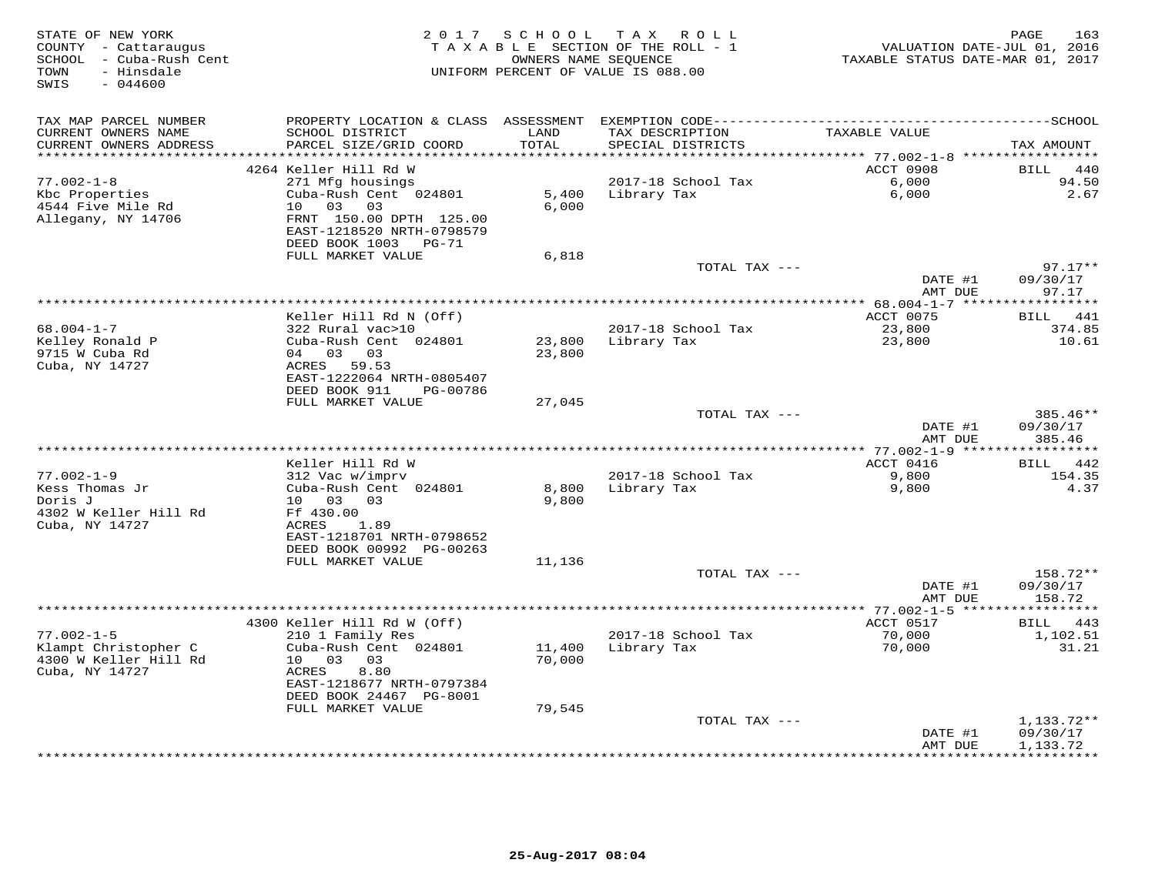| STATE OF NEW YORK<br>COUNTY - Cattaraugus<br>SCHOOL - Cuba-Rush Cent<br>- Hinsdale<br>TOWN<br>SWIS<br>$-044600$ |                                                      |                         | 2017 SCHOOL TAX ROLL<br>TAXABLE SECTION OF THE ROLL - 1<br>OWNERS NAME SEQUENCE<br>UNIFORM PERCENT OF VALUE IS 088.00 | VALUATION DATE-JUL 01, 2016<br>TAXABLE STATUS DATE-MAR 01, 2017 | 163<br>PAGE          |
|-----------------------------------------------------------------------------------------------------------------|------------------------------------------------------|-------------------------|-----------------------------------------------------------------------------------------------------------------------|-----------------------------------------------------------------|----------------------|
| TAX MAP PARCEL NUMBER                                                                                           | PROPERTY LOCATION & CLASS ASSESSMENT                 |                         |                                                                                                                       |                                                                 |                      |
| CURRENT OWNERS NAME<br>CURRENT OWNERS ADDRESS                                                                   | SCHOOL DISTRICT<br>PARCEL SIZE/GRID COORD            | LAND<br>TOTAL<br>****** | TAX DESCRIPTION<br>SPECIAL DISTRICTS                                                                                  | TAXABLE VALUE                                                   | TAX AMOUNT           |
|                                                                                                                 | 4264 Keller Hill Rd W                                |                         |                                                                                                                       | *********** 77.002-1-8 ******************<br>ACCT 0908          | 440<br>BILL          |
| $77.002 - 1 - 8$                                                                                                | 271 Mfg housings                                     |                         | 2017-18 School Tax                                                                                                    | 6,000                                                           | 94.50                |
| Kbc Properties                                                                                                  | Cuba-Rush Cent 024801                                | 5,400                   | Library Tax                                                                                                           | 6,000                                                           | 2.67                 |
| 4544 Five Mile Rd                                                                                               | 10 03<br>03                                          | 6.000                   |                                                                                                                       |                                                                 |                      |
| Allegany, NY 14706                                                                                              | FRNT 150.00 DPTH 125.00<br>EAST-1218520 NRTH-0798579 |                         |                                                                                                                       |                                                                 |                      |
|                                                                                                                 | DEED BOOK 1003 PG-71                                 |                         |                                                                                                                       |                                                                 |                      |
|                                                                                                                 | FULL MARKET VALUE                                    | 6,818                   | TOTAL TAX ---                                                                                                         |                                                                 | $97.17**$            |
|                                                                                                                 |                                                      |                         |                                                                                                                       | DATE #1                                                         | 09/30/17             |
|                                                                                                                 |                                                      |                         |                                                                                                                       | AMT DUE                                                         | 97.17                |
|                                                                                                                 |                                                      |                         |                                                                                                                       |                                                                 |                      |
|                                                                                                                 | Keller Hill Rd N (Off)                               |                         |                                                                                                                       | ACCT 0075                                                       | BILL 441             |
| $68.004 - 1 - 7$<br>Kelley Ronald P                                                                             | 322 Rural vac>10<br>Cuba-Rush Cent 024801            | 23,800                  | 2017-18 School Tax<br>Library Tax                                                                                     | 23,800<br>23,800                                                | 374.85<br>10.61      |
| 9715 W Cuba Rd                                                                                                  | 04 03 03                                             | 23,800                  |                                                                                                                       |                                                                 |                      |
| Cuba, NY 14727                                                                                                  | 59.53<br>ACRES                                       |                         |                                                                                                                       |                                                                 |                      |
|                                                                                                                 | EAST-1222064 NRTH-0805407                            |                         |                                                                                                                       |                                                                 |                      |
|                                                                                                                 | DEED BOOK 911<br>PG-00786                            |                         |                                                                                                                       |                                                                 |                      |
|                                                                                                                 | FULL MARKET VALUE                                    | 27,045                  | TOTAL TAX ---                                                                                                         |                                                                 | 385.46**             |
|                                                                                                                 |                                                      |                         |                                                                                                                       | DATE #1                                                         | 09/30/17             |
|                                                                                                                 |                                                      |                         |                                                                                                                       | AMT DUE                                                         | 385.46               |
|                                                                                                                 |                                                      |                         |                                                                                                                       |                                                                 |                      |
|                                                                                                                 | Keller Hill Rd W                                     |                         |                                                                                                                       | ACCT 0416                                                       | BILL<br>442          |
| $77.002 - 1 - 9$                                                                                                | 312 Vac w/imprv                                      |                         | 2017-18 School Tax                                                                                                    | 9,800                                                           | 154.35               |
| Kess Thomas Jr<br>Doris J                                                                                       | Cuba-Rush Cent 024801<br>10 03 03                    | 8,800<br>9,800          | Library Tax                                                                                                           | 9,800                                                           | 4.37                 |
| 4302 W Keller Hill Rd                                                                                           | Ff 430.00                                            |                         |                                                                                                                       |                                                                 |                      |
| Cuba, NY 14727                                                                                                  | ACRES<br>1.89                                        |                         |                                                                                                                       |                                                                 |                      |
|                                                                                                                 | EAST-1218701 NRTH-0798652                            |                         |                                                                                                                       |                                                                 |                      |
|                                                                                                                 | DEED BOOK 00992 PG-00263                             |                         |                                                                                                                       |                                                                 |                      |
|                                                                                                                 | FULL MARKET VALUE                                    | 11,136                  | TOTAL TAX ---                                                                                                         |                                                                 | 158.72**             |
|                                                                                                                 |                                                      |                         |                                                                                                                       | DATE #1                                                         | 09/30/17             |
|                                                                                                                 |                                                      |                         |                                                                                                                       | AMT DUE                                                         | 158.72               |
|                                                                                                                 |                                                      |                         |                                                                                                                       | ******* 77.002-1-5 ***                                          |                      |
|                                                                                                                 | 4300 Keller Hill Rd W (Off)                          |                         |                                                                                                                       | ACCT 0517                                                       | BILL 443             |
| $77.002 - 1 - 5$                                                                                                | 210 1 Family Res                                     |                         | 2017-18 School Tax                                                                                                    | 70,000                                                          | 1,102.51             |
| Klampt Christopher C<br>4300 W Keller Hill Rd                                                                   | Cuba-Rush Cent 024801<br>10 03<br>03                 | 11,400<br>70,000        | Library Tax                                                                                                           | 70,000                                                          | 31.21                |
| Cuba, NY 14727                                                                                                  | ACRES<br>8.80                                        |                         |                                                                                                                       |                                                                 |                      |
|                                                                                                                 | EAST-1218677 NRTH-0797384                            |                         |                                                                                                                       |                                                                 |                      |
|                                                                                                                 | DEED BOOK 24467 PG-8001                              |                         |                                                                                                                       |                                                                 |                      |
|                                                                                                                 | FULL MARKET VALUE                                    | 79,545                  |                                                                                                                       |                                                                 |                      |
|                                                                                                                 |                                                      |                         | TOTAL TAX ---                                                                                                         |                                                                 | $1,133.72**$         |
|                                                                                                                 |                                                      |                         |                                                                                                                       | DATE #1<br>AMT DUE                                              | 09/30/17<br>1,133.72 |
|                                                                                                                 |                                                      |                         |                                                                                                                       | · * * * * * * * * * * * * *                                     | **********           |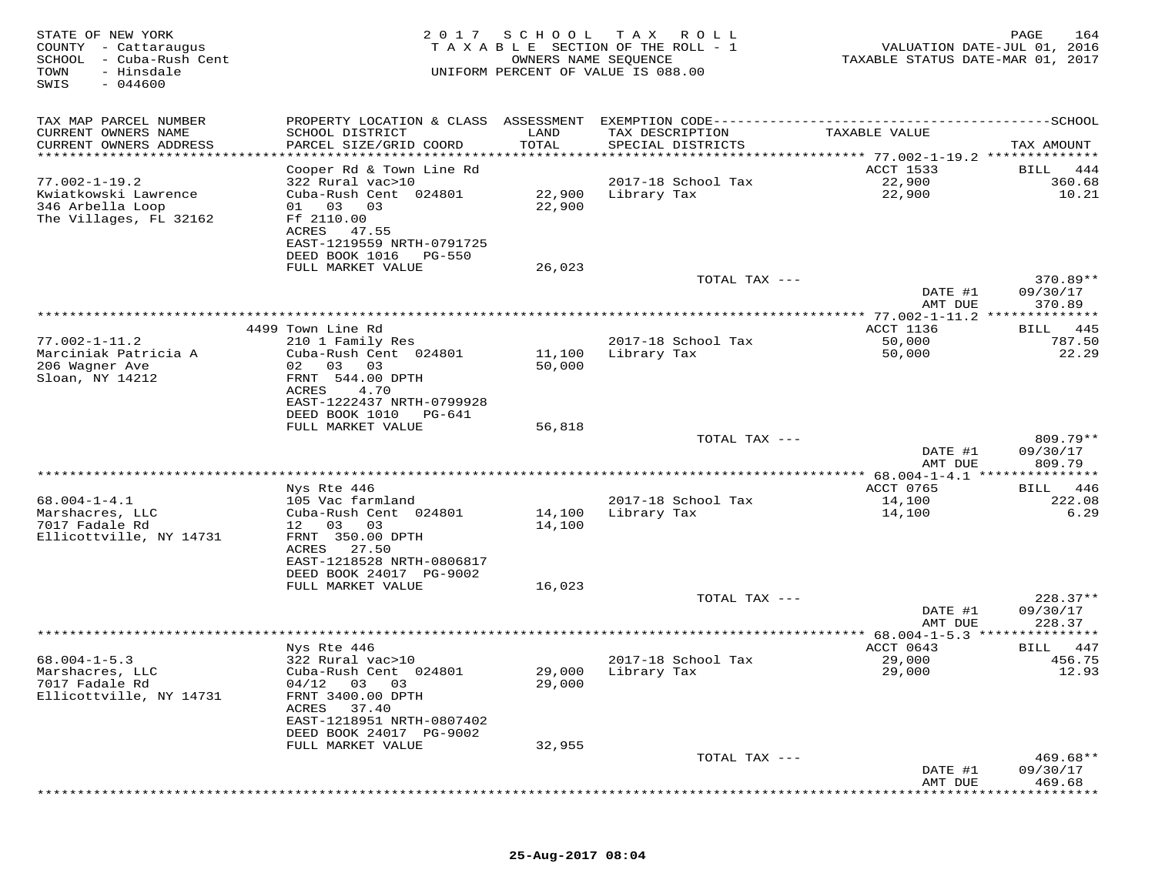| STATE OF NEW YORK<br>COUNTY - Cattaraugus<br>SCHOOL - Cuba-Rush Cent<br>TOWN<br>- Hinsdale<br>SWIS<br>$-044600$ | 2 0 1 7                                                                     | SCHOOL<br>OWNERS NAME SEQUENCE | T A X<br>ROLL<br>TAXABLE SECTION OF THE ROLL - 1<br>UNIFORM PERCENT OF VALUE IS 088.00 | TAXABLE STATUS DATE-MAR 01, 2017                   | PAGE<br>164<br>VALUATION DATE-JUL 01, 2016 |
|-----------------------------------------------------------------------------------------------------------------|-----------------------------------------------------------------------------|--------------------------------|----------------------------------------------------------------------------------------|----------------------------------------------------|--------------------------------------------|
| TAX MAP PARCEL NUMBER                                                                                           |                                                                             |                                |                                                                                        |                                                    |                                            |
| CURRENT OWNERS NAME<br>CURRENT OWNERS ADDRESS                                                                   | SCHOOL DISTRICT<br>PARCEL SIZE/GRID COORD                                   | LAND<br>TOTAL                  | TAX DESCRIPTION<br>SPECIAL DISTRICTS                                                   | TAXABLE VALUE                                      | TAX AMOUNT                                 |
| **********************                                                                                          |                                                                             |                                |                                                                                        |                                                    |                                            |
|                                                                                                                 | Cooper Rd & Town Line Rd                                                    |                                |                                                                                        | <b>ACCT 1533</b>                                   | 444<br>BILL                                |
| $77.002 - 1 - 19.2$<br>Kwiatkowski Lawrence                                                                     | 322 Rural vac>10<br>Cuba-Rush Cent 024801                                   | 22,900                         | 2017-18 School Tax<br>Library Tax                                                      | 22,900<br>22,900                                   | 360.68<br>10.21                            |
| 346 Arbella Loop<br>The Villages, FL 32162                                                                      | 03<br>03<br>01<br>Ff 2110.00<br>ACRES<br>47.55<br>EAST-1219559 NRTH-0791725 | 22,900                         |                                                                                        |                                                    |                                            |
|                                                                                                                 | DEED BOOK 1016<br><b>PG-550</b>                                             |                                |                                                                                        |                                                    |                                            |
|                                                                                                                 | FULL MARKET VALUE                                                           | 26,023                         | TOTAL TAX ---                                                                          |                                                    | 370.89**                                   |
|                                                                                                                 |                                                                             |                                |                                                                                        | DATE #1                                            | 09/30/17                                   |
|                                                                                                                 |                                                                             |                                |                                                                                        | AMT DUE                                            | 370.89                                     |
|                                                                                                                 |                                                                             |                                |                                                                                        |                                                    |                                            |
|                                                                                                                 | 4499 Town Line Rd                                                           |                                |                                                                                        | ACCT 1136                                          | 445<br>BILL                                |
| $77.002 - 1 - 11.2$                                                                                             | 210 1 Family Res                                                            |                                | 2017-18 School Tax                                                                     | 50,000                                             | 787.50                                     |
| Marciniak Patricia A                                                                                            | Cuba-Rush Cent 024801                                                       | 11,100                         | Library Tax                                                                            | 50,000                                             | 22.29                                      |
| 206 Wagner Ave<br>Sloan, NY 14212                                                                               | 02 03<br>03                                                                 | 50,000                         |                                                                                        |                                                    |                                            |
|                                                                                                                 | FRNT 544.00 DPTH<br>ACRES<br>4.70                                           |                                |                                                                                        |                                                    |                                            |
|                                                                                                                 | EAST-1222437 NRTH-0799928                                                   |                                |                                                                                        |                                                    |                                            |
|                                                                                                                 | DEED BOOK 1010<br>PG-641                                                    |                                |                                                                                        |                                                    |                                            |
|                                                                                                                 | FULL MARKET VALUE                                                           | 56,818                         |                                                                                        |                                                    |                                            |
|                                                                                                                 |                                                                             |                                | TOTAL TAX ---                                                                          |                                                    | $809.79**$                                 |
|                                                                                                                 |                                                                             |                                |                                                                                        | DATE #1                                            | 09/30/17                                   |
|                                                                                                                 | * * * * * * * * * *                                                         |                                |                                                                                        | AMT DUE                                            | 809.79                                     |
|                                                                                                                 | Nys Rte 446                                                                 |                                |                                                                                        | ACCT 0765                                          | 446<br>BILL                                |
| $68.004 - 1 - 4.1$                                                                                              | 105 Vac farmland                                                            |                                | 2017-18 School Tax                                                                     | 14,100                                             | 222.08                                     |
| Marshacres, LLC                                                                                                 | Cuba-Rush Cent 024801                                                       | 14,100                         | Library Tax                                                                            | 14,100                                             | 6.29                                       |
| 7017 Fadale Rd                                                                                                  | 12 03<br>03                                                                 | 14,100                         |                                                                                        |                                                    |                                            |
| Ellicottville, NY 14731                                                                                         | FRNT 350.00 DPTH                                                            |                                |                                                                                        |                                                    |                                            |
|                                                                                                                 | ACRES<br>27.50<br>EAST-1218528 NRTH-0806817                                 |                                |                                                                                        |                                                    |                                            |
|                                                                                                                 | DEED BOOK 24017 PG-9002                                                     |                                |                                                                                        |                                                    |                                            |
|                                                                                                                 | FULL MARKET VALUE                                                           | 16,023                         |                                                                                        |                                                    |                                            |
|                                                                                                                 |                                                                             |                                | TOTAL TAX ---                                                                          |                                                    | $228.37**$                                 |
|                                                                                                                 |                                                                             |                                |                                                                                        | DATE #1                                            | 09/30/17                                   |
|                                                                                                                 |                                                                             |                                |                                                                                        | AMT DUE                                            | 228.37                                     |
|                                                                                                                 | Nys Rte 446                                                                 |                                |                                                                                        | ******** 68.004-1-5.3 ***************<br>ACCT 0643 | 447<br>BILL                                |
| $68.004 - 1 - 5.3$                                                                                              | 322 Rural vac>10                                                            |                                | 2017-18 School Tax                                                                     | 29,000                                             | 456.75                                     |
| Marshacres, LLC                                                                                                 | Cuba-Rush Cent 024801                                                       | 29,000                         | Library Tax                                                                            | 29,000                                             | 12.93                                      |
| 7017 Fadale Rd                                                                                                  | $04/12$ 03 03                                                               | 29,000                         |                                                                                        |                                                    |                                            |
| Ellicottville, NY 14731                                                                                         | FRNT 3400.00 DPTH                                                           |                                |                                                                                        |                                                    |                                            |
|                                                                                                                 | 37.40<br>ACRES                                                              |                                |                                                                                        |                                                    |                                            |
|                                                                                                                 | EAST-1218951 NRTH-0807402<br>DEED BOOK 24017 PG-9002                        |                                |                                                                                        |                                                    |                                            |
|                                                                                                                 | FULL MARKET VALUE                                                           | 32,955                         |                                                                                        |                                                    |                                            |
|                                                                                                                 |                                                                             |                                | TOTAL TAX ---                                                                          |                                                    | $469.68**$                                 |
|                                                                                                                 |                                                                             |                                |                                                                                        | DATE #1                                            | 09/30/17                                   |
|                                                                                                                 |                                                                             |                                |                                                                                        | AMT DUE                                            | 469.68                                     |
|                                                                                                                 |                                                                             |                                |                                                                                        |                                                    |                                            |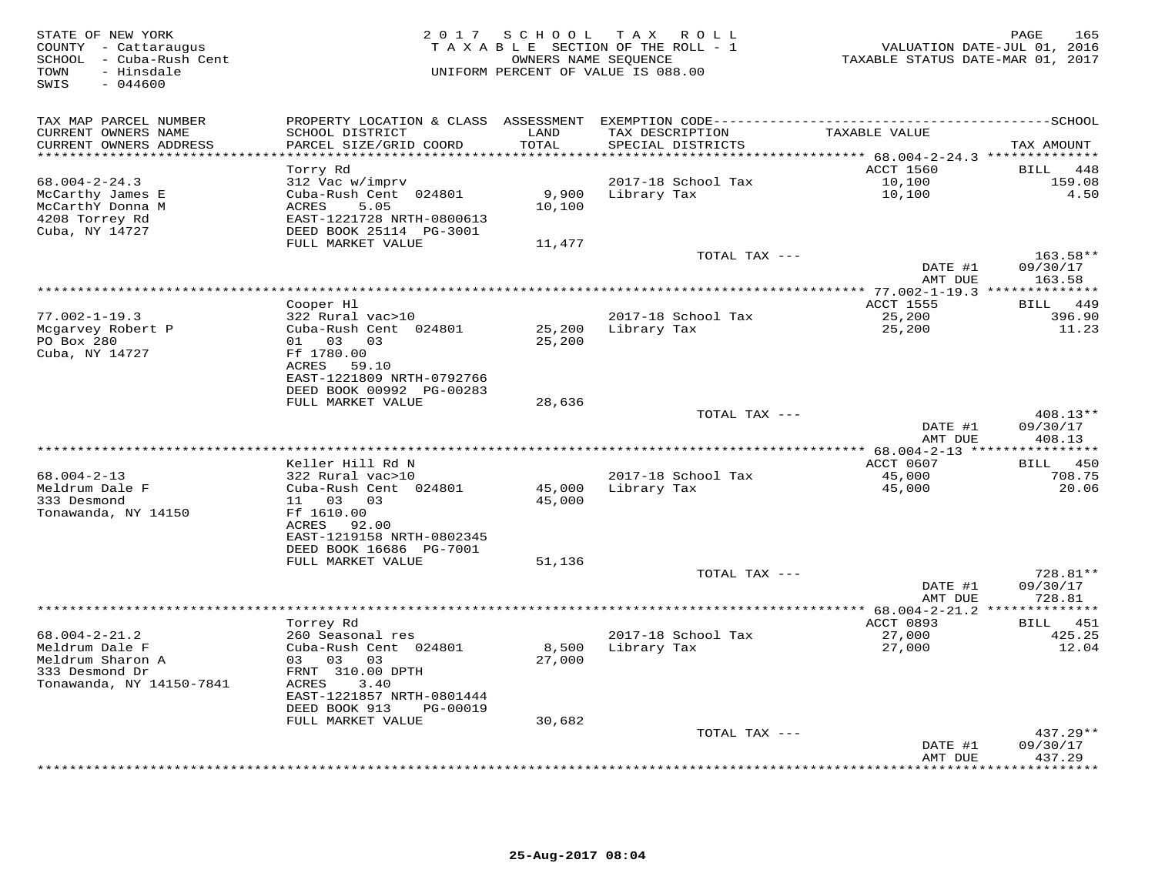| STATE OF NEW YORK<br>COUNTY - Cattaraugus<br>SCHOOL - Cuba-Rush Cent<br>- Hinsdale<br>TOWN<br>SWIS<br>$-044600$ |                                                      | 2017 SCHOOL       | T A X<br>R O L L<br>TAXABLE SECTION OF THE ROLL - 1<br>OWNERS NAME SEQUENCE<br>UNIFORM PERCENT OF VALUE IS 088.00 | TAXABLE STATUS DATE-MAR 01, 2017                                | PAGE<br>165<br>VALUATION DATE-JUL 01, 2016 |
|-----------------------------------------------------------------------------------------------------------------|------------------------------------------------------|-------------------|-------------------------------------------------------------------------------------------------------------------|-----------------------------------------------------------------|--------------------------------------------|
| TAX MAP PARCEL NUMBER<br>CURRENT OWNERS NAME                                                                    | SCHOOL DISTRICT                                      | LAND              | TAX DESCRIPTION                                                                                                   | TAXABLE VALUE                                                   |                                            |
| CURRENT OWNERS ADDRESS                                                                                          | PARCEL SIZE/GRID COORD                               | TOTAL             | SPECIAL DISTRICTS                                                                                                 |                                                                 | TAX AMOUNT                                 |
| *********************                                                                                           |                                                      | * * * * * * * * * |                                                                                                                   | ************* 68.004-2-24.3 ***************<br><b>ACCT 1560</b> | BILL<br>448                                |
| $68.004 - 2 - 24.3$                                                                                             | Torry Rd<br>312 Vac w/imprv                          |                   | 2017-18 School Tax                                                                                                | 10,100                                                          | 159.08                                     |
| McCarthy James E<br>McCarthY Donna M                                                                            | Cuba-Rush Cent 024801<br>ACRES<br>5.05               | 9,900<br>10,100   | Library Tax                                                                                                       | 10,100                                                          | 4.50                                       |
| 4208 Torrey Rd                                                                                                  | EAST-1221728 NRTH-0800613                            |                   |                                                                                                                   |                                                                 |                                            |
| Cuba, NY 14727                                                                                                  | DEED BOOK 25114 PG-3001                              |                   |                                                                                                                   |                                                                 |                                            |
|                                                                                                                 | FULL MARKET VALUE                                    | 11,477            | TOTAL TAX ---                                                                                                     |                                                                 | $163.58**$                                 |
|                                                                                                                 |                                                      |                   |                                                                                                                   | DATE #1                                                         | 09/30/17                                   |
|                                                                                                                 |                                                      |                   | *************                                                                                                     | AMT DUE<br>* $77.002 - 1 - 19.3$ **                             | 163.58<br>**********                       |
|                                                                                                                 | Cooper Hl                                            |                   |                                                                                                                   | <b>ACCT 1555</b>                                                | BILL 449                                   |
| $77.002 - 1 - 19.3$                                                                                             | 322 Rural vac>10<br>Cuba-Rush Cent 024801            |                   | 2017-18 School Tax                                                                                                | 25,200                                                          | 396.90                                     |
| Mcgarvey Robert P<br>PO Box 280                                                                                 | 01<br>03<br>03                                       | 25,200<br>25,200  | Library Tax                                                                                                       | 25,200                                                          | 11.23                                      |
| Cuba, NY 14727                                                                                                  | Ff 1780.00                                           |                   |                                                                                                                   |                                                                 |                                            |
|                                                                                                                 | ACRES<br>59.10<br>EAST-1221809 NRTH-0792766          |                   |                                                                                                                   |                                                                 |                                            |
|                                                                                                                 | DEED BOOK 00992 PG-00283                             |                   |                                                                                                                   |                                                                 |                                            |
|                                                                                                                 | FULL MARKET VALUE                                    | 28,636            | TOTAL TAX ---                                                                                                     |                                                                 | $408.13**$                                 |
|                                                                                                                 |                                                      |                   |                                                                                                                   | DATE #1                                                         | 09/30/17                                   |
|                                                                                                                 |                                                      |                   |                                                                                                                   | AMT DUE                                                         | 408.13<br>*********                        |
|                                                                                                                 | Keller Hill Rd N                                     |                   |                                                                                                                   | *** $68.004 - 2 - 13$ ***<br>ACCT 0607                          | 450<br>BILL                                |
| $68.004 - 2 - 13$                                                                                               | 322 Rural vac>10                                     |                   | 2017-18 School Tax                                                                                                | 45,000                                                          | 708.75                                     |
| Meldrum Dale F                                                                                                  | Cuba-Rush Cent 024801                                | 45,000            | Library Tax                                                                                                       | 45,000                                                          | 20.06                                      |
| 333 Desmond<br>Tonawanda, NY 14150                                                                              | 03<br>03<br>11<br>Ff 1610.00                         | 45,000            |                                                                                                                   |                                                                 |                                            |
|                                                                                                                 | ACRES<br>92.00                                       |                   |                                                                                                                   |                                                                 |                                            |
|                                                                                                                 | EAST-1219158 NRTH-0802345<br>DEED BOOK 16686 PG-7001 |                   |                                                                                                                   |                                                                 |                                            |
|                                                                                                                 | FULL MARKET VALUE                                    | 51,136            |                                                                                                                   |                                                                 |                                            |
|                                                                                                                 |                                                      |                   | TOTAL TAX ---                                                                                                     |                                                                 | 728.81**                                   |
|                                                                                                                 |                                                      |                   |                                                                                                                   | DATE #1<br>AMT DUE                                              | 09/30/17<br>728.81                         |
|                                                                                                                 |                                                      |                   | **************                                                                                                    | ***** $68.004-2-21.2$ ***                                       | ***********                                |
|                                                                                                                 | Torrey Rd                                            |                   |                                                                                                                   | ACCT 0893                                                       | 451<br><b>BILL</b>                         |
| $68.004 - 2 - 21.2$<br>Meldrum Dale F                                                                           | 260 Seasonal res<br>Cuba-Rush Cent 024801            | 8,500             | 2017-18 School Tax<br>Library Tax                                                                                 | 27,000<br>27,000                                                | 425.25<br>12.04                            |
| Meldrum Sharon A                                                                                                | 03 03<br>03                                          | 27,000            |                                                                                                                   |                                                                 |                                            |
| 333 Desmond Dr                                                                                                  | FRNT 310.00 DPTH                                     |                   |                                                                                                                   |                                                                 |                                            |
| Tonawanda, NY 14150-7841                                                                                        | ACRES<br>3.40<br>EAST-1221857 NRTH-0801444           |                   |                                                                                                                   |                                                                 |                                            |
|                                                                                                                 | DEED BOOK 913<br>PG-00019                            |                   |                                                                                                                   |                                                                 |                                            |
|                                                                                                                 | FULL MARKET VALUE                                    | 30,682            |                                                                                                                   |                                                                 |                                            |
|                                                                                                                 |                                                      |                   | TOTAL TAX ---                                                                                                     | DATE #1                                                         | $437.29**$<br>09/30/17                     |
|                                                                                                                 |                                                      |                   |                                                                                                                   | AMT DUE                                                         | 437.29                                     |
|                                                                                                                 |                                                      |                   |                                                                                                                   |                                                                 | * * * * * * * *                            |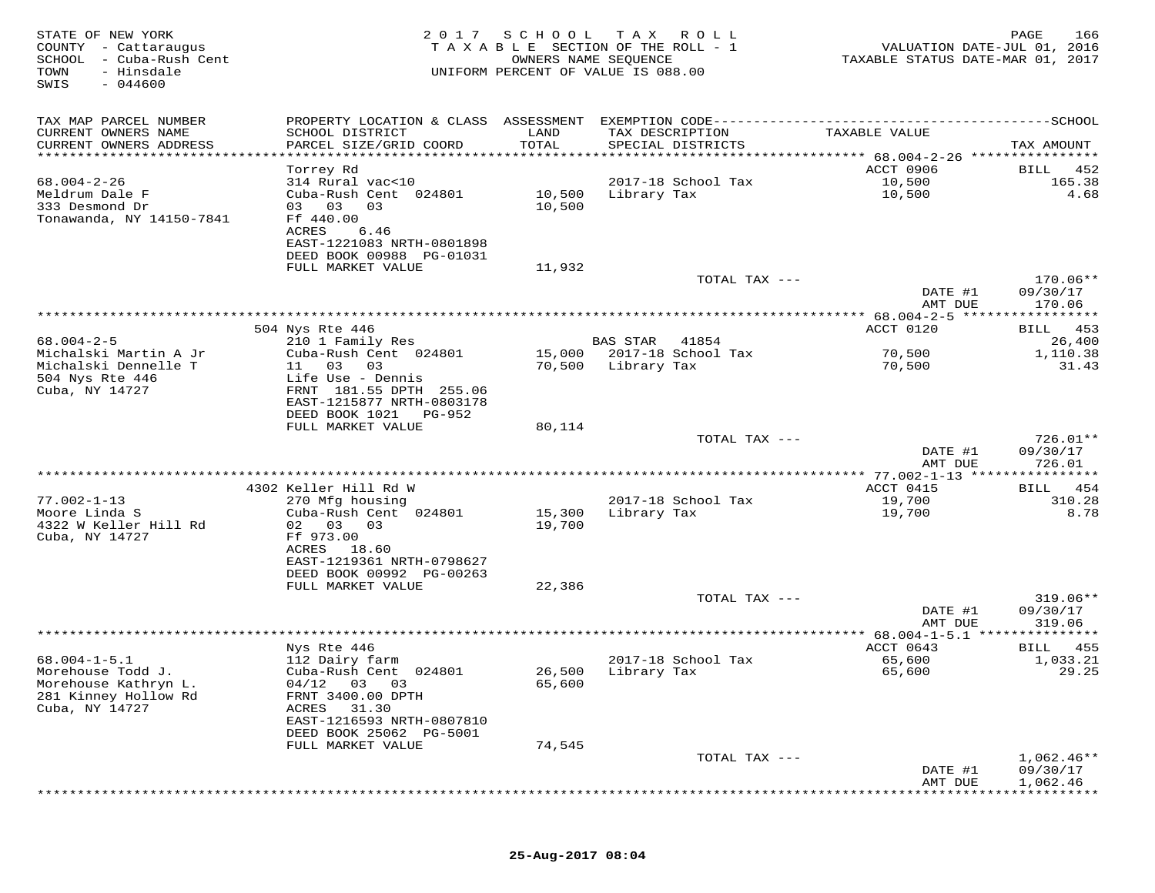| STATE OF NEW YORK<br>COUNTY - Cattaraugus<br>SCHOOL<br>- Cuba-Rush Cent<br>TOWN<br>- Hinsdale<br>$-044600$<br>SWIS | 2017                                                 | SCHOOL<br>OWNERS NAME SEQUENCE         | T A X<br>R O L L<br>T A X A B L E SECTION OF THE ROLL - 1<br>UNIFORM PERCENT OF VALUE IS 088.00 | VALUATION DATE-JUL 01, 2016<br>TAXABLE STATUS DATE-MAR 01, 2017 | 166<br>PAGE             |
|--------------------------------------------------------------------------------------------------------------------|------------------------------------------------------|----------------------------------------|-------------------------------------------------------------------------------------------------|-----------------------------------------------------------------|-------------------------|
| TAX MAP PARCEL NUMBER                                                                                              | PROPERTY LOCATION & CLASS ASSESSMENT                 |                                        | EXEMPTION CODE-----------------------------                                                     |                                                                 | -------------SCHOOL     |
| CURRENT OWNERS NAME                                                                                                | SCHOOL DISTRICT                                      | LAND                                   | TAX DESCRIPTION                                                                                 | TAXABLE VALUE                                                   |                         |
| CURRENT OWNERS ADDRESS<br>**********************                                                                   | PARCEL SIZE/GRID COORD<br>***********************    | TOTAL<br>* * * * * * * * * * * * * * * | SPECIAL DISTRICTS                                                                               |                                                                 | TAX AMOUNT              |
|                                                                                                                    | Torrey Rd                                            |                                        |                                                                                                 | ACCT 0906                                                       | 452<br>BILL             |
| $68.004 - 2 - 26$                                                                                                  | 314 Rural vac<10                                     |                                        | 2017-18 School Tax                                                                              | 10,500                                                          | 165.38                  |
| Meldrum Dale F                                                                                                     | Cuba-Rush Cent 024801                                | 10,500                                 | Library Tax                                                                                     | 10,500                                                          | 4.68                    |
| 333 Desmond Dr                                                                                                     | 03<br>03<br>03                                       | 10,500                                 |                                                                                                 |                                                                 |                         |
| Tonawanda, NY 14150-7841                                                                                           | Ff 440.00                                            |                                        |                                                                                                 |                                                                 |                         |
|                                                                                                                    | ACRES<br>6.46<br>EAST-1221083 NRTH-0801898           |                                        |                                                                                                 |                                                                 |                         |
|                                                                                                                    | DEED BOOK 00988 PG-01031                             |                                        |                                                                                                 |                                                                 |                         |
|                                                                                                                    | FULL MARKET VALUE                                    | 11,932                                 |                                                                                                 |                                                                 |                         |
|                                                                                                                    |                                                      |                                        | TOTAL TAX ---                                                                                   |                                                                 | 170.06**                |
|                                                                                                                    |                                                      |                                        |                                                                                                 | DATE #1<br>AMT DUE                                              | 09/30/17<br>170.06      |
|                                                                                                                    |                                                      |                                        |                                                                                                 | ** 68.004-2-5 *****                                             | ********                |
|                                                                                                                    | 504 Nys Rte 446                                      |                                        |                                                                                                 | ACCT 0120                                                       | 453<br>BILL             |
| $68.004 - 2 - 5$                                                                                                   | 210 1 Family Res                                     |                                        | <b>BAS STAR</b><br>41854                                                                        |                                                                 | 26,400                  |
| Michalski Martin A Jr                                                                                              | Cuba-Rush Cent 024801                                | 15,000                                 | 2017-18 School Tax                                                                              | 70,500                                                          | 1,110.38                |
| Michalski Dennelle T<br>504 Nys Rte 446                                                                            | 03<br>11<br>03<br>Life Use - Dennis                  | 70,500                                 | Library Tax                                                                                     | 70,500                                                          | 31.43                   |
| Cuba, NY 14727                                                                                                     | FRNT 181.55 DPTH 255.06                              |                                        |                                                                                                 |                                                                 |                         |
|                                                                                                                    | EAST-1215877 NRTH-0803178                            |                                        |                                                                                                 |                                                                 |                         |
|                                                                                                                    | DEED BOOK 1021<br>PG-952                             |                                        |                                                                                                 |                                                                 |                         |
|                                                                                                                    | FULL MARKET VALUE                                    | 80,114                                 |                                                                                                 |                                                                 |                         |
|                                                                                                                    |                                                      |                                        | TOTAL TAX ---                                                                                   | DATE #1                                                         | 726.01**<br>09/30/17    |
|                                                                                                                    |                                                      |                                        |                                                                                                 | AMT DUE                                                         | 726.01                  |
|                                                                                                                    |                                                      |                                        |                                                                                                 | ** 77.002-1-13 ****                                             | * * * * * * * *         |
|                                                                                                                    | 4302 Keller Hill Rd W                                |                                        |                                                                                                 | ACCT 0415                                                       | 454<br>BILL             |
| $77.002 - 1 - 13$                                                                                                  | 270 Mfg housing                                      |                                        | 2017-18 School Tax                                                                              | 19,700                                                          | 310.28                  |
| Moore Linda S<br>4322 W Keller Hill Rd                                                                             | Cuba-Rush Cent 024801<br>02 03<br>03                 | 15,300<br>19,700                       | Library Tax                                                                                     | 19,700                                                          | 8.78                    |
| Cuba, NY 14727                                                                                                     | Ff 973.00                                            |                                        |                                                                                                 |                                                                 |                         |
|                                                                                                                    | ACRES<br>18.60                                       |                                        |                                                                                                 |                                                                 |                         |
|                                                                                                                    | EAST-1219361 NRTH-0798627                            |                                        |                                                                                                 |                                                                 |                         |
|                                                                                                                    | DEED BOOK 00992 PG-00263<br>FULL MARKET VALUE        | 22,386                                 |                                                                                                 |                                                                 |                         |
|                                                                                                                    |                                                      |                                        | TOTAL TAX ---                                                                                   |                                                                 | $319.06**$              |
|                                                                                                                    |                                                      |                                        |                                                                                                 | DATE #1                                                         | 09/30/17                |
|                                                                                                                    |                                                      |                                        |                                                                                                 | AMT DUE                                                         | 319.06                  |
|                                                                                                                    | Nys Rte 446                                          |                                        |                                                                                                 | $68.004 - 1 - 5.1$                                              | * * * * * * * * *       |
| $68.004 - 1 - 5.1$                                                                                                 | 112 Dairy farm                                       |                                        | 2017-18 School Tax                                                                              | ACCT 0643<br>65,600                                             | 455<br>BILL<br>1,033.21 |
| Morehouse Todd J.                                                                                                  | Cuba-Rush Cent 024801                                | 26,500                                 | Library Tax                                                                                     | 65,600                                                          | 29.25                   |
| Morehouse Kathryn L.                                                                                               | $04/12$ 03 03                                        | 65,600                                 |                                                                                                 |                                                                 |                         |
| 281 Kinney Hollow Rd                                                                                               | FRNT 3400.00 DPTH                                    |                                        |                                                                                                 |                                                                 |                         |
| Cuba, NY 14727                                                                                                     | ACRES<br>31.30                                       |                                        |                                                                                                 |                                                                 |                         |
|                                                                                                                    | EAST-1216593 NRTH-0807810<br>DEED BOOK 25062 PG-5001 |                                        |                                                                                                 |                                                                 |                         |
|                                                                                                                    | FULL MARKET VALUE                                    | 74,545                                 |                                                                                                 |                                                                 |                         |
|                                                                                                                    |                                                      |                                        | TOTAL TAX ---                                                                                   |                                                                 | $1,062.46**$            |
|                                                                                                                    |                                                      |                                        |                                                                                                 | DATE #1                                                         | 09/30/17                |
|                                                                                                                    |                                                      |                                        |                                                                                                 | AMT DUE                                                         | 1,062.46                |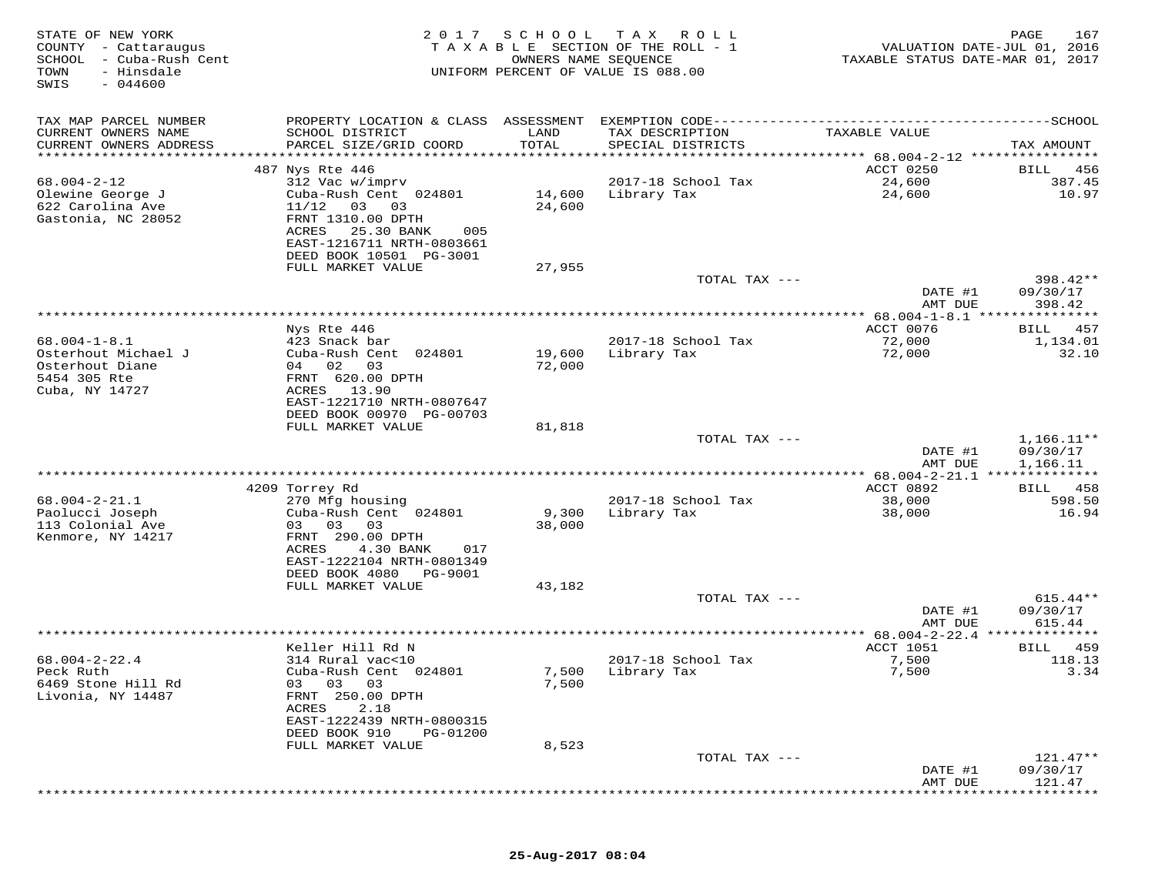| STATE OF NEW YORK<br>COUNTY - Cattaraugus<br>SCHOOL - Cuba-Rush Cent<br>TOWN<br>- Hinsdale<br>SWIS<br>$-044600$ | 2017                                                                                              | SCHOOL           | T A X<br>R O L L<br>TAXABLE SECTION OF THE ROLL - 1<br>OWNERS NAME SEQUENCE<br>UNIFORM PERCENT OF VALUE IS 088.00 | VALUATION DATE-JUL 01, 2016<br>TAXABLE STATUS DATE-MAR 01, 2017 | PAGE<br>167           |
|-----------------------------------------------------------------------------------------------------------------|---------------------------------------------------------------------------------------------------|------------------|-------------------------------------------------------------------------------------------------------------------|-----------------------------------------------------------------|-----------------------|
| TAX MAP PARCEL NUMBER                                                                                           | PROPERTY LOCATION & CLASS ASSESSMENT                                                              |                  | EXEMPTION CODE------------------------                                                                            |                                                                 | ----------SCHOOL      |
| CURRENT OWNERS NAME<br>CURRENT OWNERS ADDRESS                                                                   | SCHOOL DISTRICT<br>PARCEL SIZE/GRID COORD                                                         | LAND<br>TOTAL    | TAX DESCRIPTION<br>SPECIAL DISTRICTS                                                                              | TAXABLE VALUE                                                   | TAX AMOUNT            |
| ******************                                                                                              |                                                                                                   | ******           |                                                                                                                   | ******** 68.004-2-12 ****************                           |                       |
| $68.004 - 2 - 12$                                                                                               | 487 Nys Rte 446<br>312 Vac w/imprv                                                                |                  | 2017-18 School Tax                                                                                                | ACCT 0250<br>24,600                                             | BILL<br>456<br>387.45 |
| Olewine George J                                                                                                | Cuba-Rush Cent 024801                                                                             | 14,600           | Library Tax                                                                                                       | 24,600                                                          | 10.97                 |
| 622 Carolina Ave<br>Gastonia, NC 28052                                                                          | 11/12<br>03<br>03<br>FRNT 1310.00 DPTH<br>ACRES<br>25.30 BANK<br>005<br>EAST-1216711 NRTH-0803661 | 24,600           |                                                                                                                   |                                                                 |                       |
|                                                                                                                 | DEED BOOK 10501 PG-3001                                                                           |                  |                                                                                                                   |                                                                 |                       |
|                                                                                                                 | FULL MARKET VALUE                                                                                 | 27,955           | TOTAL TAX ---                                                                                                     |                                                                 | 398.42**              |
|                                                                                                                 |                                                                                                   |                  |                                                                                                                   | DATE #1<br>AMT DUE                                              | 09/30/17<br>398.42    |
|                                                                                                                 |                                                                                                   |                  |                                                                                                                   | $68.004 - 1 - 8.1$ ****                                         | * * * * * * * *       |
|                                                                                                                 | Nys Rte 446                                                                                       |                  |                                                                                                                   | ACCT 0076                                                       | 457<br>BILL           |
| $68.004 - 1 - 8.1$                                                                                              | 423 Snack bar                                                                                     |                  | 2017-18 School Tax                                                                                                | 72,000                                                          | 1,134.01              |
| Osterhout Michael J<br>Osterhout Diane                                                                          | Cuba-Rush Cent 024801<br>04 02<br>03                                                              | 19,600<br>72,000 | Library Tax                                                                                                       | 72,000                                                          | 32.10                 |
| 5454 305 Rte                                                                                                    | FRNT 620.00 DPTH                                                                                  |                  |                                                                                                                   |                                                                 |                       |
| Cuba, NY 14727                                                                                                  | ACRES<br>13.90                                                                                    |                  |                                                                                                                   |                                                                 |                       |
|                                                                                                                 | EAST-1221710 NRTH-0807647                                                                         |                  |                                                                                                                   |                                                                 |                       |
|                                                                                                                 | DEED BOOK 00970 PG-00703<br>FULL MARKET VALUE                                                     | 81,818           |                                                                                                                   |                                                                 |                       |
|                                                                                                                 |                                                                                                   |                  | TOTAL TAX ---                                                                                                     |                                                                 | $1,166.11**$          |
|                                                                                                                 |                                                                                                   |                  |                                                                                                                   | DATE #1<br>AMT DUE                                              | 09/30/17<br>1,166.11  |
|                                                                                                                 |                                                                                                   |                  |                                                                                                                   |                                                                 |                       |
|                                                                                                                 | 4209 Torrey Rd                                                                                    |                  |                                                                                                                   | ACCT 0892                                                       | 458<br>BILL           |
| $68.004 - 2 - 21.1$                                                                                             | 270 Mfg housing<br>Cuba-Rush Cent 024801                                                          |                  | 2017-18 School Tax                                                                                                | 38,000                                                          | 598.50<br>16.94       |
| Paolucci Joseph<br>113 Colonial Ave                                                                             | 03<br>03<br>03                                                                                    | 9,300<br>38,000  | Library Tax                                                                                                       | 38,000                                                          |                       |
| Kenmore, NY 14217                                                                                               | FRNT 290.00 DPTH                                                                                  |                  |                                                                                                                   |                                                                 |                       |
|                                                                                                                 | ACRES<br>4.30 BANK<br>017                                                                         |                  |                                                                                                                   |                                                                 |                       |
|                                                                                                                 | EAST-1222104 NRTH-0801349<br>DEED BOOK 4080<br>PG-9001                                            |                  |                                                                                                                   |                                                                 |                       |
|                                                                                                                 | FULL MARKET VALUE                                                                                 | 43,182           |                                                                                                                   |                                                                 |                       |
|                                                                                                                 |                                                                                                   |                  | TOTAL TAX ---                                                                                                     |                                                                 | $615.44**$            |
|                                                                                                                 |                                                                                                   |                  |                                                                                                                   | DATE #1                                                         | 09/30/17              |
|                                                                                                                 |                                                                                                   |                  | ******************************                                                                                    | AMT DUE                                                         | 615.44                |
|                                                                                                                 | Keller Hill Rd N                                                                                  |                  |                                                                                                                   | $***$ 68.004-2-22.4<br>ACCT 1051                                | 459<br>BILL           |
| $68.004 - 2 - 22.4$                                                                                             | 314 Rural vac<10                                                                                  |                  | 2017-18 School Tax                                                                                                | 7,500                                                           | 118.13                |
| Peck Ruth                                                                                                       | Cuba-Rush Cent 024801                                                                             | 7,500            | Library Tax                                                                                                       | 7,500                                                           | 3.34                  |
| 6469 Stone Hill Rd<br>Livonia, NY 14487                                                                         | 03<br>03<br>03<br>FRNT 250.00 DPTH                                                                | 7,500            |                                                                                                                   |                                                                 |                       |
|                                                                                                                 | ACRES<br>2.18                                                                                     |                  |                                                                                                                   |                                                                 |                       |
|                                                                                                                 | EAST-1222439 NRTH-0800315                                                                         |                  |                                                                                                                   |                                                                 |                       |
|                                                                                                                 | DEED BOOK 910<br>PG-01200                                                                         |                  |                                                                                                                   |                                                                 |                       |
|                                                                                                                 | FULL MARKET VALUE                                                                                 | 8,523            | TOTAL TAX ---                                                                                                     |                                                                 | $121.47**$            |
|                                                                                                                 |                                                                                                   |                  |                                                                                                                   | DATE #1                                                         | 09/30/17              |
|                                                                                                                 |                                                                                                   |                  |                                                                                                                   | AMT DUE                                                         | 121.47                |
|                                                                                                                 |                                                                                                   |                  |                                                                                                                   |                                                                 |                       |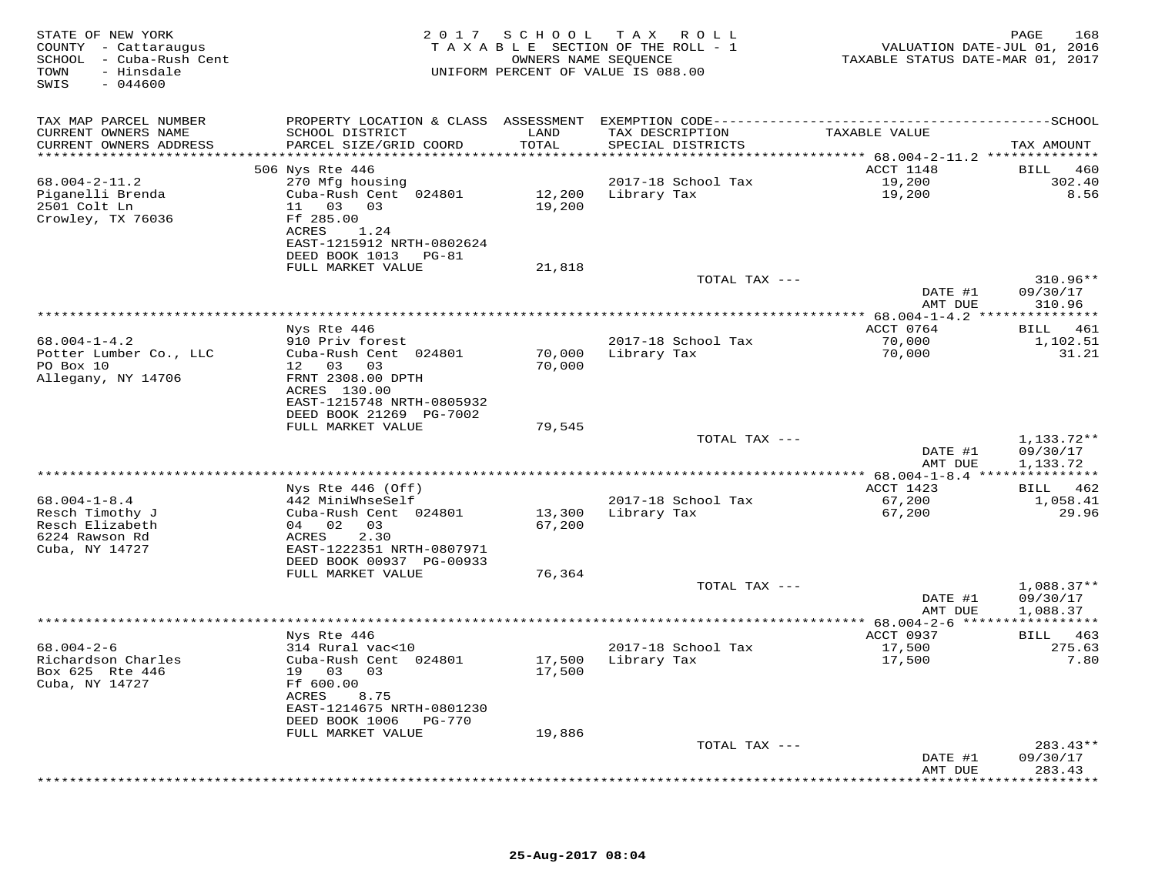| STATE OF NEW YORK<br>COUNTY - Cattaraugus<br>SCHOOL - Cuba-Rush Cent<br>TOWN<br>- Hinsdale<br>$-044600$<br>SWIS |                                                                                                                                          | 2017 SCHOOL      | TAX ROLL<br>TAXABLE SECTION OF THE ROLL - 1<br>OWNERS NAME SEQUENCE<br>UNIFORM PERCENT OF VALUE IS 088.00 | VALUATION DATE-JUL 01, 2016<br>TAXABLE STATUS DATE-MAR 01, 2017 | PAGE<br>168                          |
|-----------------------------------------------------------------------------------------------------------------|------------------------------------------------------------------------------------------------------------------------------------------|------------------|-----------------------------------------------------------------------------------------------------------|-----------------------------------------------------------------|--------------------------------------|
| TAX MAP PARCEL NUMBER<br>CURRENT OWNERS NAME<br>CURRENT OWNERS ADDRESS                                          | SCHOOL DISTRICT<br>PARCEL SIZE/GRID COORD                                                                                                | LAND<br>TOTAL    | TAX DESCRIPTION<br>SPECIAL DISTRICTS                                                                      | TAXABLE VALUE                                                   | TAX AMOUNT                           |
| **********************                                                                                          | **************************                                                                                                               | ************     |                                                                                                           |                                                                 |                                      |
| $68.004 - 2 - 11.2$<br>Piganelli Brenda<br>2501 Colt Ln<br>Crowley, TX 76036                                    | 506 Nys Rte 446<br>270 Mfg housing<br>Cuba-Rush Cent 024801<br>11 03 03<br>Ff 285.00                                                     | 19,200           | 2017-18 School Tax<br>12,200 Library Tax                                                                  | ACCT 1148<br>19,200<br>19,200                                   | 460<br>BILL<br>302.40<br>8.56        |
|                                                                                                                 | ACRES<br>1.24<br>EAST-1215912 NRTH-0802624<br>DEED BOOK 1013 PG-81<br>FULL MARKET VALUE                                                  | 21,818           |                                                                                                           |                                                                 |                                      |
|                                                                                                                 |                                                                                                                                          |                  | TOTAL TAX ---                                                                                             | DATE #1<br>AMT DUE                                              | $310.96**$<br>09/30/17<br>310.96     |
|                                                                                                                 |                                                                                                                                          |                  | **********************                                                                                    | ************* 68.004-1-4.2 ***                                  | ***********                          |
| $68.004 - 1 - 4.2$<br>Potter Lumber Co., LLC<br>PO Box 10<br>Allegany, NY 14706                                 | Nys Rte 446<br>910 Priv forest<br>Cuba-Rush Cent 024801<br>12 03<br>03<br>FRNT 2308.00 DPTH<br>ACRES 130.00<br>EAST-1215748 NRTH-0805932 | 70,000<br>70,000 | 2017-18 School Tax<br>Library Tax                                                                         | ACCT 0764<br>70,000<br>70,000                                   | BILL 461<br>1,102.51<br>31.21        |
|                                                                                                                 | DEED BOOK 21269 PG-7002<br>FULL MARKET VALUE                                                                                             | 79,545           |                                                                                                           |                                                                 |                                      |
|                                                                                                                 |                                                                                                                                          |                  | TOTAL TAX ---                                                                                             | DATE #1<br>AMT DUE                                              | 1,133.72**<br>09/30/17<br>1,133.72   |
|                                                                                                                 | Nys Rte 446 (Off)                                                                                                                        |                  | ***************                                                                                           | ****************** 68.004-1-8.4 ****************<br>ACCT 1423   | BILL 462                             |
| $68.004 - 1 - 8.4$<br>Resch Timothy J<br>Resch Elizabeth<br>6224 Rawson Rd<br>Cuba, NY 14727                    | 442 MiniWhseSelf<br>Cuba-Rush Cent 024801<br>04 02 03<br>2.30<br>ACRES<br>EAST-1222351 NRTH-0807971                                      | 13,300<br>67,200 | 2017-18 School Tax<br>Library Tax                                                                         | 67,200<br>67,200                                                | 1,058.41<br>29.96                    |
|                                                                                                                 | DEED BOOK 00937 PG-00933<br>FULL MARKET VALUE                                                                                            | 76,364           |                                                                                                           |                                                                 |                                      |
|                                                                                                                 |                                                                                                                                          |                  | TOTAL TAX ---                                                                                             | DATE #1<br>AMT DUE                                              | $1,088.37**$<br>09/30/17<br>1,088.37 |
|                                                                                                                 |                                                                                                                                          |                  |                                                                                                           |                                                                 |                                      |
| $68.004 - 2 - 6$<br>Richardson Charles<br>Box 625 Rte 446<br>Cuba, NY 14727                                     | Nys Rte 446<br>314 Rural vac<10<br>Cuba-Rush Cent 024801<br>19 03<br>03<br>Ff 600.00<br>ACRES<br>8.75                                    | 17,500<br>17,500 | 2017-18 School Tax<br>Library Tax                                                                         | ACCT 0937<br>17,500<br>17,500                                   | BILL 463<br>275.63<br>7.80           |
|                                                                                                                 | EAST-1214675 NRTH-0801230<br>DEED BOOK 1006 PG-770<br>FULL MARKET VALUE                                                                  | 19,886           |                                                                                                           |                                                                 |                                      |
|                                                                                                                 |                                                                                                                                          |                  | TOTAL TAX ---                                                                                             | DATE #1<br>AMT DUE                                              | $283.43**$<br>09/30/17<br>283.43     |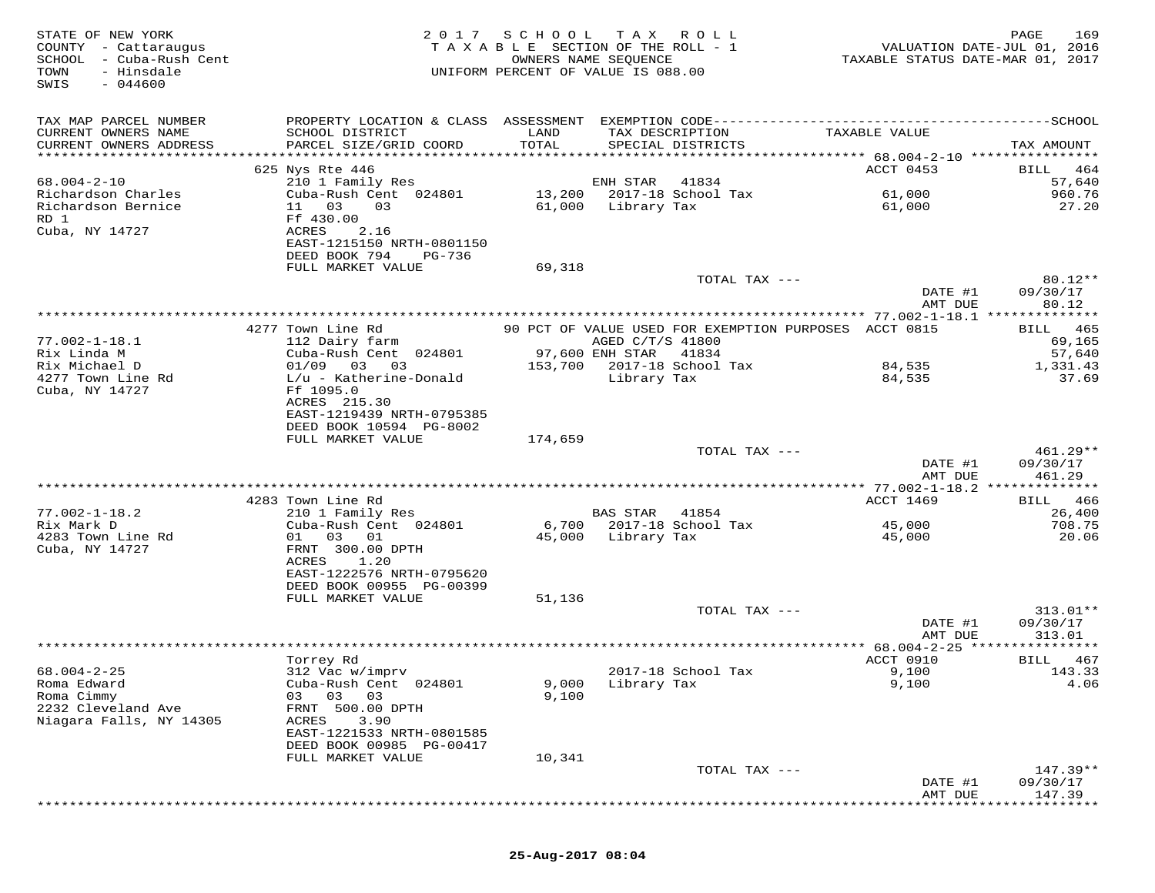| STATE OF NEW YORK<br>COUNTY - Cattaraugus<br>SCHOOL - Cuba-Rush Cent<br>TOWN<br>- Hinsdale<br>$-044600$<br>SWIS | 2 0 1 7                                           | SCHOOL TAX       | R O L L<br>TAXABLE SECTION OF THE ROLL - 1<br>OWNERS NAME SEQUENCE<br>UNIFORM PERCENT OF VALUE IS 088.00 | TAXABLE STATUS DATE-MAR 01, 2017                 | 169<br>PAGE<br>VALUATION DATE-JUL 01, 2016 |
|-----------------------------------------------------------------------------------------------------------------|---------------------------------------------------|------------------|----------------------------------------------------------------------------------------------------------|--------------------------------------------------|--------------------------------------------|
| TAX MAP PARCEL NUMBER<br>CURRENT OWNERS NAME                                                                    | SCHOOL DISTRICT                                   | LAND             | TAX DESCRIPTION                                                                                          | TAXABLE VALUE                                    |                                            |
| CURRENT OWNERS ADDRESS<br>**********************                                                                | PARCEL SIZE/GRID COORD                            | TOTAL            | SPECIAL DISTRICTS                                                                                        |                                                  | TAX AMOUNT                                 |
|                                                                                                                 | 625 Nys Rte 446                                   |                  |                                                                                                          | ACCT 0453                                        | 464<br>BILL                                |
| $68.004 - 2 - 10$                                                                                               | 210 1 Family Res                                  |                  | ENH STAR<br>41834                                                                                        |                                                  | 57,640                                     |
| Richardson Charles<br>Richardson Bernice<br>RD 1                                                                | Cuba-Rush Cent 024801<br>11 03<br>03<br>Ff 430.00 | 13,200<br>61,000 | 2017-18 School Tax<br>Library Tax                                                                        | 61,000<br>61,000                                 | 960.76<br>27.20                            |
| Cuba, NY 14727                                                                                                  | ACRES<br>2.16<br>EAST-1215150 NRTH-0801150        |                  |                                                                                                          |                                                  |                                            |
|                                                                                                                 | DEED BOOK 794<br>PG-736<br>FULL MARKET VALUE      | 69,318           |                                                                                                          |                                                  |                                            |
|                                                                                                                 |                                                   |                  | TOTAL TAX ---                                                                                            |                                                  | $80.12**$                                  |
|                                                                                                                 |                                                   |                  |                                                                                                          | DATE #1                                          | 09/30/17                                   |
|                                                                                                                 |                                                   |                  |                                                                                                          | AMT DUE                                          | 80.12                                      |
|                                                                                                                 | 4277 Town Line Rd                                 |                  | 90 PCT OF VALUE USED FOR EXEMPTION PURPOSES ACCT 0815                                                    |                                                  | 465<br>BILL                                |
| $77.002 - 1 - 18.1$                                                                                             | 112 Dairy farm                                    |                  | AGED C/T/S 41800                                                                                         |                                                  | 69,165                                     |
| Rix Linda M<br>Rix Michael D                                                                                    | Cuba-Rush Cent 024801<br>$01/09$ 03 03            | 153,700          | 97,600 ENH STAR<br>41834<br>2017-18 School Tax                                                           | 84,535                                           | 57,640<br>1,331.43                         |
| 4277 Town Line Rd                                                                                               | $L/u$ - Katherine-Donald                          |                  | Library Tax                                                                                              | 84,535                                           | 37.69                                      |
| Cuba, NY 14727                                                                                                  | Ff 1095.0                                         |                  |                                                                                                          |                                                  |                                            |
|                                                                                                                 | ACRES 215.30<br>EAST-1219439 NRTH-0795385         |                  |                                                                                                          |                                                  |                                            |
|                                                                                                                 | DEED BOOK 10594 PG-8002                           |                  |                                                                                                          |                                                  |                                            |
|                                                                                                                 | FULL MARKET VALUE                                 | 174,659          |                                                                                                          |                                                  |                                            |
|                                                                                                                 |                                                   |                  | TOTAL TAX ---                                                                                            | DATE #1                                          | $461.29**$<br>09/30/17                     |
|                                                                                                                 |                                                   |                  |                                                                                                          | AMT DUE                                          | 461.29                                     |
|                                                                                                                 |                                                   |                  | **********************************                                                                       | ************ 77.002-1-18.2 **************        |                                            |
| $77.002 - 1 - 18.2$                                                                                             | 4283 Town Line Rd<br>210 1 Family Res             |                  | BAS STAR<br>41854                                                                                        | ACCT 1469                                        | BILL<br>466<br>26,400                      |
| Rix Mark D                                                                                                      | Cuba-Rush Cent 024801                             |                  | 6,700 2017-18 School Tax                                                                                 | 45,000                                           | 708.75                                     |
| 4283 Town Line Rd                                                                                               | 01 03<br>01                                       | 45,000           | Library Tax                                                                                              | 45,000                                           | 20.06                                      |
| Cuba, NY 14727                                                                                                  | FRNT 300.00 DPTH<br>ACRES<br>1.20                 |                  |                                                                                                          |                                                  |                                            |
|                                                                                                                 | EAST-1222576 NRTH-0795620                         |                  |                                                                                                          |                                                  |                                            |
|                                                                                                                 | DEED BOOK 00955 PG-00399                          |                  |                                                                                                          |                                                  |                                            |
|                                                                                                                 | FULL MARKET VALUE                                 | 51,136           | TOTAL TAX ---                                                                                            |                                                  | $313.01**$                                 |
|                                                                                                                 |                                                   |                  |                                                                                                          | DATE #1                                          | 09/30/17                                   |
|                                                                                                                 |                                                   |                  |                                                                                                          | AMT DUE                                          | 313.01                                     |
|                                                                                                                 |                                                   |                  |                                                                                                          | **************** 68.004-2-25 ******<br>ACCT 0910 | * * * * * * * * *<br>BILL<br>467           |
| $68.004 - 2 - 25$                                                                                               | Torrey Rd<br>312 Vac w/imprv                      |                  | 2017-18 School Tax                                                                                       | 9,100                                            | 143.33                                     |
| Roma Edward                                                                                                     | Cuba-Rush Cent 024801                             | 9,000            | Library Tax                                                                                              | 9,100                                            | 4.06                                       |
| Roma Cimmy                                                                                                      | 03<br>03<br>03                                    | 9,100            |                                                                                                          |                                                  |                                            |
| 2232 Cleveland Ave<br>Niagara Falls, NY 14305                                                                   | FRNT 500.00 DPTH<br>3.90<br>ACRES                 |                  |                                                                                                          |                                                  |                                            |
|                                                                                                                 | EAST-1221533 NRTH-0801585                         |                  |                                                                                                          |                                                  |                                            |
|                                                                                                                 | DEED BOOK 00985 PG-00417                          |                  |                                                                                                          |                                                  |                                            |
|                                                                                                                 | FULL MARKET VALUE                                 | 10,341           | TOTAL TAX ---                                                                                            |                                                  | $147.39**$                                 |
|                                                                                                                 |                                                   |                  |                                                                                                          | DATE #1                                          | 09/30/17                                   |
|                                                                                                                 |                                                   |                  |                                                                                                          | AMT DUE                                          | 147.39                                     |
|                                                                                                                 |                                                   |                  |                                                                                                          |                                                  |                                            |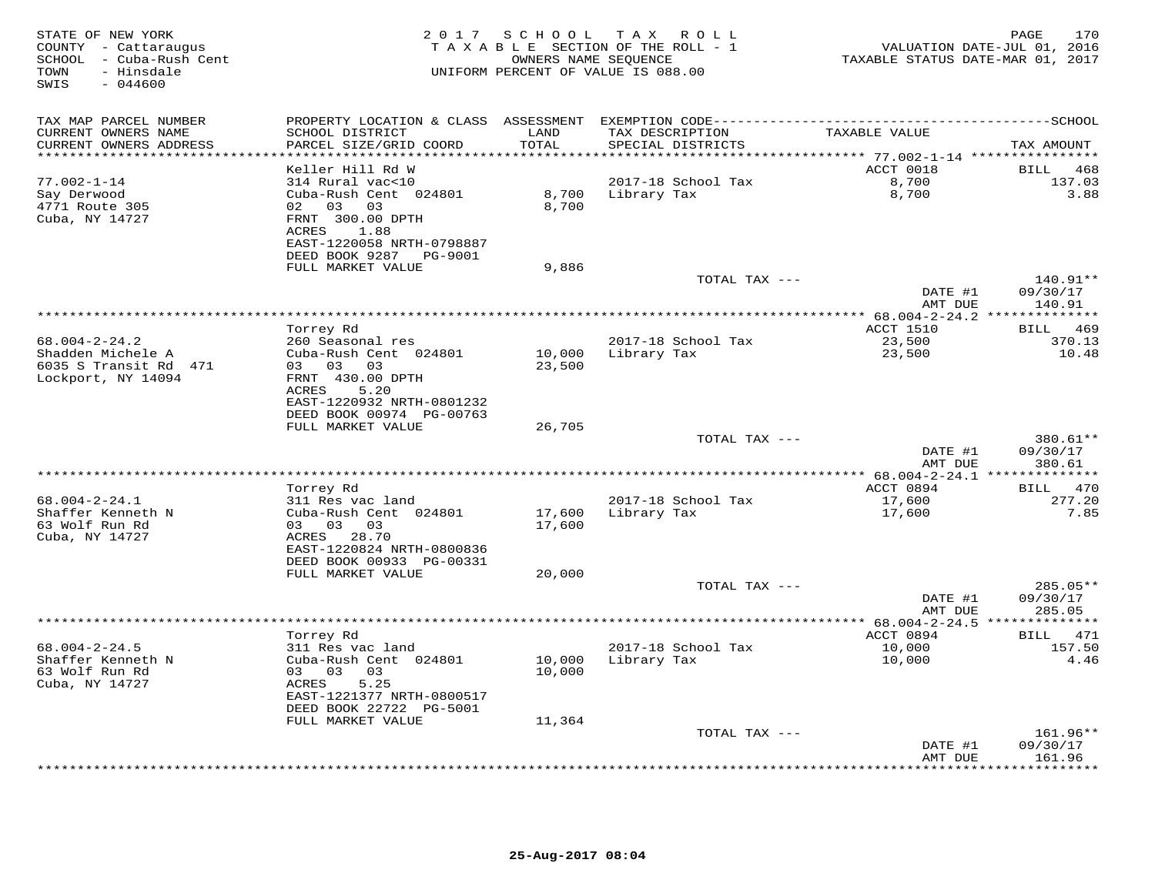| STATE OF NEW YORK<br>COUNTY - Cattaraugus<br>SCHOOL - Cuba-Rush Cent<br>- Hinsdale<br>TOWN<br>SWIS<br>$-044600$ | 2 0 1 7                                                                                                                    | S C H O O L                 | TAX ROLL<br>TAXABLE SECTION OF THE ROLL - 1<br>OWNERS NAME SEQUENCE<br>UNIFORM PERCENT OF VALUE IS 088.00 | TAXABLE STATUS DATE-MAR 01, 2017                | 170<br>PAGE<br>VALUATION DATE-JUL 01, 2016 |
|-----------------------------------------------------------------------------------------------------------------|----------------------------------------------------------------------------------------------------------------------------|-----------------------------|-----------------------------------------------------------------------------------------------------------|-------------------------------------------------|--------------------------------------------|
| TAX MAP PARCEL NUMBER                                                                                           | PROPERTY LOCATION & CLASS ASSESSMENT                                                                                       |                             |                                                                                                           |                                                 |                                            |
| CURRENT OWNERS NAME<br>CURRENT OWNERS ADDRESS<br>**********************                                         | SCHOOL DISTRICT<br>PARCEL SIZE/GRID COORD                                                                                  | LAND<br>TOTAL<br>********** | TAX DESCRIPTION<br>SPECIAL DISTRICTS                                                                      | TAXABLE VALUE                                   | TAX AMOUNT                                 |
|                                                                                                                 | Keller Hill Rd W                                                                                                           |                             |                                                                                                           | ACCT 0018                                       | 468<br>BILL                                |
| $77.002 - 1 - 14$<br>Say Derwood<br>4771 Route 305<br>Cuba, NY 14727                                            | 314 Rural vac<10<br>Cuba-Rush Cent 024801<br>02<br>03 03<br>FRNT 300.00 DPTH<br>1.88<br>ACRES<br>EAST-1220058 NRTH-0798887 | 8,700<br>8,700              | 2017-18 School Tax<br>Library Tax                                                                         | 8,700<br>8,700                                  | 137.03<br>3.88                             |
|                                                                                                                 | DEED BOOK 9287<br>PG-9001                                                                                                  |                             |                                                                                                           |                                                 |                                            |
|                                                                                                                 | FULL MARKET VALUE                                                                                                          | 9,886                       | TOTAL TAX ---                                                                                             | DATE #1                                         | 140.91**<br>09/30/17                       |
|                                                                                                                 |                                                                                                                            |                             |                                                                                                           | AMT DUE                                         | 140.91                                     |
|                                                                                                                 | Torrey Rd                                                                                                                  |                             |                                                                                                           | ********** 68.004-2-24.2 **<br><b>ACCT 1510</b> | *********<br><b>BILL</b><br>469            |
| $68.004 - 2 - 24.2$<br>Shadden Michele A<br>6035 S Transit Rd 471                                               | 260 Seasonal res<br>Cuba-Rush Cent 024801<br>03<br>03<br>03                                                                | 10,000<br>23,500            | 2017-18 School Tax<br>Library Tax                                                                         | 23,500<br>23,500                                | 370.13<br>10.48                            |
| Lockport, NY 14094                                                                                              | FRNT 430.00 DPTH<br>ACRES<br>5.20<br>EAST-1220932 NRTH-0801232<br>DEED BOOK 00974 PG-00763                                 |                             |                                                                                                           |                                                 |                                            |
|                                                                                                                 | FULL MARKET VALUE                                                                                                          | 26,705                      | TOTAL TAX ---                                                                                             |                                                 | 380.61**                                   |
|                                                                                                                 |                                                                                                                            |                             |                                                                                                           | DATE #1<br>AMT DUE                              | 09/30/17<br>380.61                         |
|                                                                                                                 |                                                                                                                            |                             |                                                                                                           | ********* 68.004-2-24.1 **                      | *********                                  |
| $68.004 - 2 - 24.1$                                                                                             | Torrey Rd<br>311 Res vac land                                                                                              |                             | 2017-18 School Tax                                                                                        | ACCT 0894<br>17,600                             | 470<br>BILL<br>277.20                      |
| Shaffer Kenneth N<br>63 Wolf Run Rd<br>Cuba, NY 14727                                                           | Cuba-Rush Cent 024801<br>03<br>03 03<br>28.70<br>ACRES<br>EAST-1220824 NRTH-0800836                                        | 17,600<br>17,600            | Library Tax                                                                                               | 17,600                                          | 7.85                                       |
|                                                                                                                 | DEED BOOK 00933 PG-00331<br>FULL MARKET VALUE                                                                              | 20,000                      |                                                                                                           |                                                 |                                            |
|                                                                                                                 |                                                                                                                            |                             | TOTAL TAX ---                                                                                             | DATE #1<br>AMT DUE                              | 285.05**<br>09/30/17<br>285.05             |
|                                                                                                                 |                                                                                                                            |                             |                                                                                                           |                                                 |                                            |
| $68.004 - 2 - 24.5$<br>Shaffer Kenneth N<br>63 Wolf Run Rd<br>Cuba, NY 14727                                    | Torrey Rd<br>311 Res vac land<br>Cuba-Rush Cent 024801<br>03 03<br>03<br>ACRES<br>5.25<br>EAST-1221377 NRTH-0800517        | 10,000<br>10,000            | 2017-18 School Tax<br>Library Tax                                                                         | ACCT 0894<br>10,000<br>10,000                   | BILL 471<br>157.50<br>4.46                 |
|                                                                                                                 | DEED BOOK 22722 PG-5001                                                                                                    |                             |                                                                                                           |                                                 |                                            |
|                                                                                                                 | FULL MARKET VALUE                                                                                                          | 11,364                      | TOTAL TAX ---                                                                                             | DATE #1                                         | $161.96**$<br>09/30/17                     |
|                                                                                                                 |                                                                                                                            |                             |                                                                                                           | AMT DUE<br>* * * * * * * *                      | 161.96<br>* * * * * * * * *                |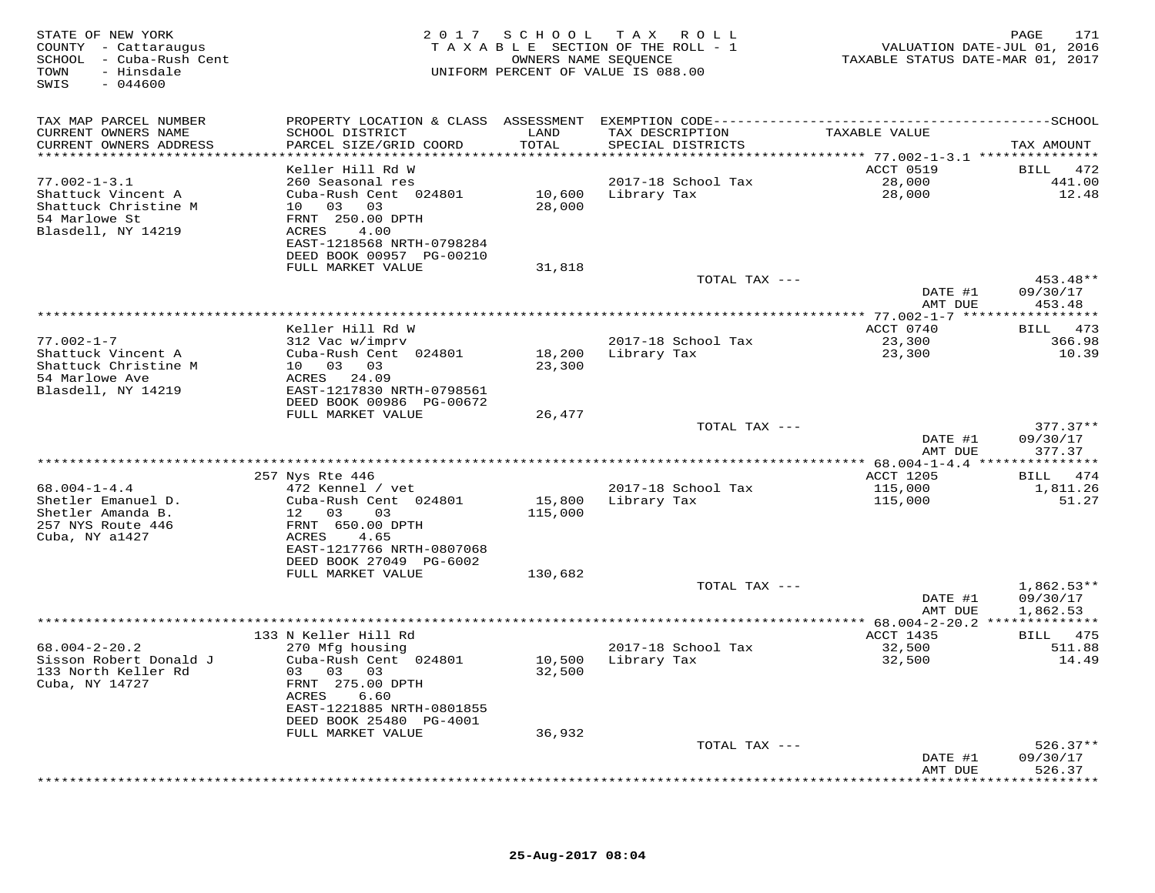| STATE OF NEW YORK<br>COUNTY - Cattaraugus<br>SCHOOL - Cuba-Rush Cent<br>TOWN<br>- Hinsdale<br>SWIS<br>$-044600$ |                                               |                   | 2017 SCHOOL TAX ROLL<br>TAXABLE SECTION OF THE ROLL - 1<br>OWNERS NAME SEQUENCE<br>UNIFORM PERCENT OF VALUE IS 088.00 | TAXABLE STATUS DATE-MAR 01, 2017 | 171<br>PAGE<br>VALUATION DATE-JUL 01, 2016 |
|-----------------------------------------------------------------------------------------------------------------|-----------------------------------------------|-------------------|-----------------------------------------------------------------------------------------------------------------------|----------------------------------|--------------------------------------------|
| TAX MAP PARCEL NUMBER                                                                                           |                                               |                   |                                                                                                                       |                                  |                                            |
| CURRENT OWNERS NAME                                                                                             | SCHOOL DISTRICT                               | LAND              | TAX DESCRIPTION                                                                                                       | TAXABLE VALUE                    |                                            |
| CURRENT OWNERS ADDRESS<br>***********************                                                               | PARCEL SIZE/GRID COORD                        | TOTAL             | SPECIAL DISTRICTS                                                                                                     |                                  | TAX AMOUNT                                 |
|                                                                                                                 |                                               |                   |                                                                                                                       |                                  |                                            |
| $77.002 - 1 - 3.1$                                                                                              | Keller Hill Rd W<br>260 Seasonal res          |                   | 2017-18 School Tax                                                                                                    | ACCT 0519<br>28,000              | 472<br>BILL<br>441.00                      |
| Shattuck Vincent A                                                                                              | Cuba-Rush Cent 024801                         |                   | 10,600 Library Tax                                                                                                    | 28,000                           | 12.48                                      |
| Shattuck Christine M                                                                                            | 10 03 03                                      | 28,000            |                                                                                                                       |                                  |                                            |
| 54 Marlowe St                                                                                                   | FRNT 250.00 DPTH                              |                   |                                                                                                                       |                                  |                                            |
| Blasdell, NY 14219                                                                                              | ACRES<br>4.00                                 |                   |                                                                                                                       |                                  |                                            |
|                                                                                                                 | EAST-1218568 NRTH-0798284                     |                   |                                                                                                                       |                                  |                                            |
|                                                                                                                 | DEED BOOK 00957 PG-00210<br>FULL MARKET VALUE | 31,818            |                                                                                                                       |                                  |                                            |
|                                                                                                                 |                                               |                   | TOTAL TAX ---                                                                                                         |                                  | 453.48**                                   |
|                                                                                                                 |                                               |                   |                                                                                                                       | DATE #1                          | 09/30/17                                   |
|                                                                                                                 |                                               |                   |                                                                                                                       | AMT DUE                          | 453.48                                     |
|                                                                                                                 |                                               |                   |                                                                                                                       |                                  | * * * * * * * * * * *                      |
| $77.002 - 1 - 7$                                                                                                | Keller Hill Rd W<br>312 Vac w/imprv           |                   | 2017-18 School Tax                                                                                                    | ACCT 0740<br>23,300              | BILL 473<br>366.98                         |
| Shattuck Vincent A                                                                                              | Cuba-Rush Cent 024801                         | 18,200            | Library Tax                                                                                                           | 23,300                           | 10.39                                      |
| Shattuck Christine M                                                                                            | 10 03 03                                      | 23,300            |                                                                                                                       |                                  |                                            |
| 54 Marlowe Ave                                                                                                  | ACRES<br>24.09                                |                   |                                                                                                                       |                                  |                                            |
| Blasdell, NY 14219                                                                                              | EAST-1217830 NRTH-0798561                     |                   |                                                                                                                       |                                  |                                            |
|                                                                                                                 | DEED BOOK 00986 PG-00672                      |                   |                                                                                                                       |                                  |                                            |
|                                                                                                                 | FULL MARKET VALUE                             | 26,477            | TOTAL TAX ---                                                                                                         |                                  | $377.37**$                                 |
|                                                                                                                 |                                               |                   |                                                                                                                       | DATE #1                          | 09/30/17                                   |
|                                                                                                                 |                                               |                   |                                                                                                                       | AMT DUE                          | 377.37                                     |
|                                                                                                                 |                                               |                   |                                                                                                                       |                                  |                                            |
|                                                                                                                 | 257 Nys Rte 446                               |                   |                                                                                                                       | ACCT 1205                        | BILL 474                                   |
| $68.004 - 1 - 4.4$                                                                                              | 472 Kennel / vet                              |                   | 2017-18 School Tax                                                                                                    | 115,000                          | 1,811.26<br>51.27                          |
| Shetler Emanuel D.<br>Shetler Amanda B.                                                                         | Cuba-Rush Cent 024801<br>12 03<br>03          | 15,800<br>115,000 | Library Tax                                                                                                           | 115,000                          |                                            |
| 257 NYS Route 446                                                                                               | FRNT 650.00 DPTH                              |                   |                                                                                                                       |                                  |                                            |
| Cuba, NY a1427                                                                                                  | ACRES<br>4.65                                 |                   |                                                                                                                       |                                  |                                            |
|                                                                                                                 | EAST-1217766 NRTH-0807068                     |                   |                                                                                                                       |                                  |                                            |
|                                                                                                                 | DEED BOOK 27049 PG-6002                       |                   |                                                                                                                       |                                  |                                            |
|                                                                                                                 | FULL MARKET VALUE                             | 130,682           | TOTAL TAX ---                                                                                                         |                                  | $1,862.53**$                               |
|                                                                                                                 |                                               |                   |                                                                                                                       | DATE #1                          | 09/30/17                                   |
|                                                                                                                 |                                               |                   |                                                                                                                       | AMT DUE                          | 1,862.53                                   |
|                                                                                                                 |                                               |                   |                                                                                                                       |                                  |                                            |
|                                                                                                                 | 133 N Keller Hill Rd                          |                   |                                                                                                                       | ACCT 1435                        | BILL 475                                   |
| $68.004 - 2 - 20.2$<br>Sisson Robert Donald J                                                                   | 270 Mfg housing<br>Cuba-Rush Cent 024801      |                   | 2017-18 School Tax<br>Library Tax                                                                                     | 32,500                           | 511.88<br>14.49                            |
| 133 North Keller Rd                                                                                             | 03 03<br>03                                   | 10,500<br>32,500  |                                                                                                                       | 32,500                           |                                            |
| Cuba, NY 14727                                                                                                  | FRNT 275.00 DPTH                              |                   |                                                                                                                       |                                  |                                            |
|                                                                                                                 | ACRES<br>6.60                                 |                   |                                                                                                                       |                                  |                                            |
|                                                                                                                 | EAST-1221885 NRTH-0801855                     |                   |                                                                                                                       |                                  |                                            |
|                                                                                                                 | DEED BOOK 25480 PG-4001                       |                   |                                                                                                                       |                                  |                                            |
|                                                                                                                 | FULL MARKET VALUE                             | 36,932            |                                                                                                                       |                                  | $526.37**$                                 |
|                                                                                                                 |                                               |                   | TOTAL TAX ---                                                                                                         | DATE #1                          | 09/30/17                                   |
|                                                                                                                 |                                               |                   |                                                                                                                       | AMT DUE                          | 526.37                                     |
|                                                                                                                 |                                               |                   |                                                                                                                       |                                  | * * * * * * * * * * *                      |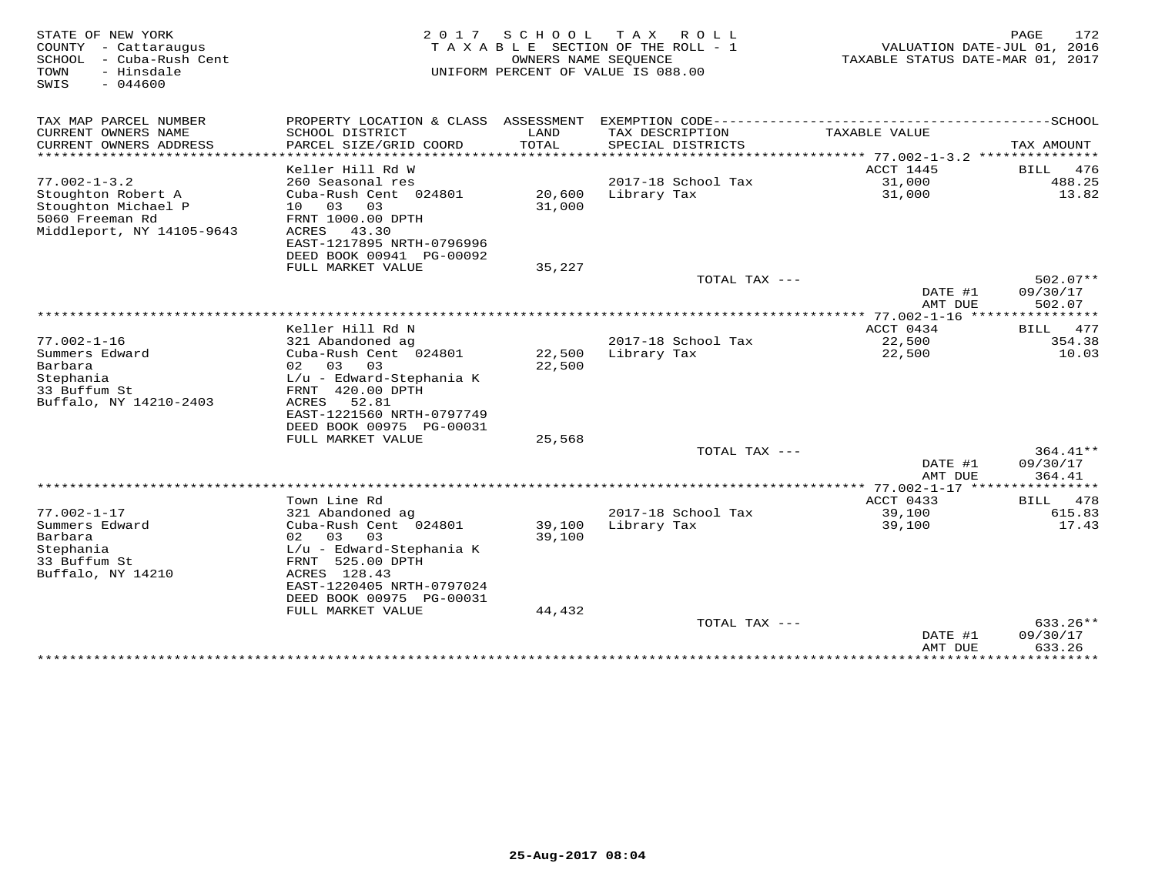| STATE OF NEW YORK<br>COUNTY - Cattaraugus<br>- Cuba-Rush Cent<br>SCHOOL<br>- Hinsdale<br>TOWN<br>$-044600$<br>SWIS | 2 0 1 7                                                                                                                                       | SCHOOL           | T A X<br>R O L L<br>TAXABLE SECTION OF THE ROLL - 1<br>OWNERS NAME SEQUENCE<br>UNIFORM PERCENT OF VALUE IS 088.00 | VALUATION DATE-JUL 01, 2016<br>TAXABLE STATUS DATE-MAR 01, 2017 | 172<br>PAGE            |
|--------------------------------------------------------------------------------------------------------------------|-----------------------------------------------------------------------------------------------------------------------------------------------|------------------|-------------------------------------------------------------------------------------------------------------------|-----------------------------------------------------------------|------------------------|
| TAX MAP PARCEL NUMBER                                                                                              | PROPERTY LOCATION & CLASS ASSESSMENT                                                                                                          |                  | EXEMPTION CODE-----------------------------                                                                       |                                                                 | ------------SCHOOL     |
| CURRENT OWNERS NAME<br>CURRENT OWNERS ADDRESS                                                                      | SCHOOL DISTRICT<br>PARCEL SIZE/GRID COORD                                                                                                     | LAND<br>TOTAL    | TAX DESCRIPTION<br>SPECIAL DISTRICTS                                                                              | TAXABLE VALUE<br>**** 77.002-1-3.2                              | TAX AMOUNT<br>******** |
|                                                                                                                    | Keller Hill Rd W                                                                                                                              |                  |                                                                                                                   | ACCT 1445                                                       | 476<br><b>BILL</b>     |
| $77.002 - 1 - 3.2$                                                                                                 | 260 Seasonal res                                                                                                                              |                  | 2017-18 School Tax                                                                                                | 31,000                                                          | 488.25                 |
| Stoughton Robert A<br>Stoughton Michael P<br>5060 Freeman Rd<br>Middleport, NY 14105-9643                          | Cuba-Rush Cent 024801<br>$10^{-}$<br>03<br>03<br>FRNT 1000.00 DPTH<br>43.30<br>ACRES<br>EAST-1217895 NRTH-0796996<br>DEED BOOK 00941 PG-00092 | 20,600<br>31,000 | Library Tax                                                                                                       | 31,000                                                          | 13.82                  |
|                                                                                                                    | FULL MARKET VALUE                                                                                                                             | 35,227           |                                                                                                                   |                                                                 |                        |
|                                                                                                                    |                                                                                                                                               |                  | TOTAL TAX ---                                                                                                     |                                                                 | $502.07**$             |
|                                                                                                                    |                                                                                                                                               |                  |                                                                                                                   | DATE #1<br>AMT DUE                                              | 09/30/17<br>502.07     |
|                                                                                                                    |                                                                                                                                               |                  |                                                                                                                   | **** 77.002-1-16                                                | * * * * * * * * *      |
|                                                                                                                    | Keller Hill Rd N                                                                                                                              |                  |                                                                                                                   | ACCT 0434                                                       | 477<br>BILL            |
| $77.002 - 1 - 16$<br>Summers Edward<br>Barbara                                                                     | 321 Abandoned ag<br>Cuba-Rush Cent 024801<br>02<br>03<br>03                                                                                   | 22,500<br>22,500 | 2017-18 School Tax<br>Library Tax                                                                                 | 22,500<br>22,500                                                | 354.38<br>10.03        |
| Stephania<br>33 Buffum St<br>Buffalo, NY 14210-2403                                                                | L/u - Edward-Stephania K<br>FRNT 420.00 DPTH<br>ACRES<br>52.81<br>EAST-1221560 NRTH-0797749<br>DEED BOOK 00975 PG-00031                       |                  |                                                                                                                   |                                                                 |                        |
|                                                                                                                    | FULL MARKET VALUE                                                                                                                             | 25,568           |                                                                                                                   |                                                                 |                        |
|                                                                                                                    |                                                                                                                                               |                  | TOTAL TAX $---$                                                                                                   |                                                                 | 364.41**<br>09/30/17   |
|                                                                                                                    |                                                                                                                                               |                  |                                                                                                                   | DATE #1<br>AMT DUE<br>$77.002 - 1 - 17$                         | 364.41                 |
|                                                                                                                    | Town Line Rd                                                                                                                                  |                  |                                                                                                                   | ACCT 0433                                                       | 478<br>BILL            |
| $77.002 - 1 - 17$                                                                                                  | 321 Abandoned ag                                                                                                                              |                  | 2017-18 School Tax                                                                                                | 39,100                                                          | 615.83                 |
| Summers Edward                                                                                                     | Cuba-Rush Cent 024801                                                                                                                         | 39,100           | Library Tax                                                                                                       | 39,100                                                          | 17.43                  |
| Barbara                                                                                                            | 02<br>03<br>03                                                                                                                                | 39,100           |                                                                                                                   |                                                                 |                        |
| Stephania                                                                                                          | L/u - Edward-Stephania K                                                                                                                      |                  |                                                                                                                   |                                                                 |                        |
| 33 Buffum St<br>Buffalo, NY 14210                                                                                  | FRNT 525.00 DPTH<br>ACRES 128.43<br>EAST-1220405 NRTH-0797024                                                                                 |                  |                                                                                                                   |                                                                 |                        |
|                                                                                                                    | DEED BOOK 00975 PG-00031                                                                                                                      |                  |                                                                                                                   |                                                                 |                        |
|                                                                                                                    | FULL MARKET VALUE                                                                                                                             | 44,432           |                                                                                                                   |                                                                 |                        |
|                                                                                                                    |                                                                                                                                               |                  | TOTAL TAX ---                                                                                                     |                                                                 | 633.26**               |
|                                                                                                                    |                                                                                                                                               |                  |                                                                                                                   | DATE #1<br>AMT DUE                                              | 09/30/17<br>633.26     |
|                                                                                                                    |                                                                                                                                               |                  |                                                                                                                   | * * * * * * * * * * * *                                         | ***********            |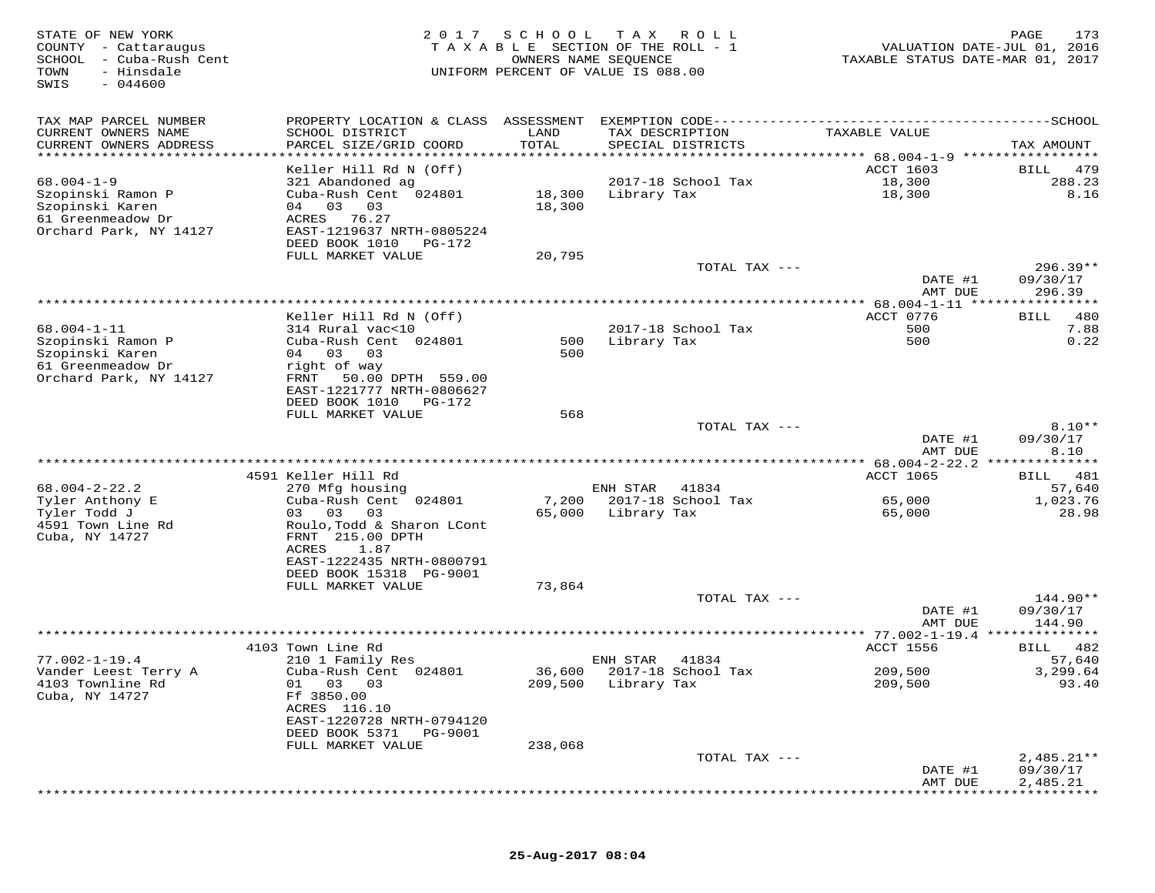| STATE OF NEW YORK<br>- Cattaraugus<br>COUNTY<br>SCHOOL<br>- Cuba-Rush Cent<br>TOWN<br>- Hinsdale<br>$-044600$<br>SWIS | 2017<br>TAXABLE                                                                                                                                                 | SCHOOL                        | T A X<br>R O L L<br>SECTION OF THE ROLL - 1<br>OWNERS NAME SEQUENCE<br>UNIFORM PERCENT OF VALUE IS 088.00 | VALUATION DATE-JUL 01, 2016<br>TAXABLE STATUS DATE-MAR 01, 2017 | PAGE<br>173                          |
|-----------------------------------------------------------------------------------------------------------------------|-----------------------------------------------------------------------------------------------------------------------------------------------------------------|-------------------------------|-----------------------------------------------------------------------------------------------------------|-----------------------------------------------------------------|--------------------------------------|
| TAX MAP PARCEL NUMBER<br>CURRENT OWNERS NAME<br>CURRENT OWNERS ADDRESS<br>**********************                      | PROPERTY LOCATION & CLASS ASSESSMENT<br>SCHOOL DISTRICT<br>PARCEL SIZE/GRID COORD<br>**********************                                                     | LAND<br>TOTAL<br>************ | TAX DESCRIPTION<br>SPECIAL DISTRICTS                                                                      | TAXABLE VALUE<br>************* 68.004-1-9 ******************    | TAX AMOUNT                           |
|                                                                                                                       | Keller Hill Rd N (Off)                                                                                                                                          |                               |                                                                                                           | <b>ACCT 1603</b>                                                | 479<br>BILL                          |
| $68.004 - 1 - 9$<br>Szopinski Ramon P<br>Szopinski Karen<br>61 Greenmeadow Dr<br>Orchard Park, NY 14127               | 321 Abandoned ag<br>Cuba-Rush Cent 024801<br>03<br>03<br>04<br>76.27<br>ACRES<br>EAST-1219637 NRTH-0805224                                                      | 18,300<br>18,300              | 2017-18 School Tax<br>Library Tax                                                                         | 18,300<br>18,300                                                | 288.23<br>8.16                       |
|                                                                                                                       | DEED BOOK 1010<br>PG-172<br>FULL MARKET VALUE                                                                                                                   | 20,795                        | TOTAL TAX ---                                                                                             |                                                                 | $296.39**$                           |
|                                                                                                                       |                                                                                                                                                                 |                               |                                                                                                           | DATE #1<br>AMT DUE                                              | 09/30/17<br>296.39                   |
|                                                                                                                       | Keller Hill Rd N (Off)                                                                                                                                          |                               |                                                                                                           | $* 68.004 - 1 - 11$ ***<br>ACCT 0776                            | 480<br><b>BILL</b>                   |
| $68.004 - 1 - 11$<br>Szopinski Ramon P<br>Szopinski Karen<br>61 Greenmeadow Dr<br>Orchard Park, NY 14127              | 314 Rural vac<10<br>Cuba-Rush Cent 024801<br>04 03<br>03<br>right of way<br>FRNT<br>50.00 DPTH 559.00                                                           | 500<br>500                    | 2017-18 School Tax<br>Library Tax                                                                         | 500<br>500                                                      | 7.88<br>0.22                         |
|                                                                                                                       | EAST-1221777 NRTH-0806627<br>DEED BOOK 1010<br>PG-172                                                                                                           |                               |                                                                                                           |                                                                 |                                      |
|                                                                                                                       | FULL MARKET VALUE                                                                                                                                               | 568                           | TOTAL TAX ---                                                                                             | DATE #1                                                         | $8.10**$<br>09/30/17                 |
|                                                                                                                       |                                                                                                                                                                 |                               | ******************************                                                                            | AMT DUE<br>** 68.004-2-22.2                                     | 8.10<br>* * * * * * *                |
|                                                                                                                       | 4591 Keller Hill Rd                                                                                                                                             |                               |                                                                                                           | ACCT 1065                                                       | 481<br>BILL                          |
| $68.004 - 2 - 22.2$                                                                                                   | 270 Mfg housing                                                                                                                                                 |                               | ENH STAR<br>41834                                                                                         |                                                                 | 57,640                               |
| Tyler Anthony E<br>Tyler Todd J<br>4591 Town Line Rd<br>Cuba, NY 14727                                                | Cuba-Rush Cent 024801<br>03 03<br>03<br>Roulo, Todd & Sharon LCont<br>FRNT 215.00 DPTH<br>ACRES<br>1.87<br>EAST-1222435 NRTH-0800791<br>DEED BOOK 15318 PG-9001 | 7,200<br>65,000               | 2017-18 School Tax<br>Library Tax                                                                         | 65,000<br>65,000                                                | 1,023.76<br>28.98                    |
|                                                                                                                       | FULL MARKET VALUE                                                                                                                                               | 73,864                        |                                                                                                           |                                                                 |                                      |
|                                                                                                                       |                                                                                                                                                                 |                               | TOTAL TAX ---                                                                                             | DATE #1                                                         | 144.90**<br>09/30/17                 |
|                                                                                                                       |                                                                                                                                                                 |                               |                                                                                                           | AMT DUE                                                         | 144.90                               |
|                                                                                                                       | 4103 Town Line Rd                                                                                                                                               |                               |                                                                                                           | <b>ACCT 1556</b>                                                | 482<br>BILL                          |
| $77.002 - 1 - 19.4$<br>Vander Leest Terry A<br>4103 Townline Rd<br>Cuba, NY 14727                                     | 210 1 Family Res<br>Cuba-Rush Cent 024801<br>01 03 03<br>Ff 3850.00<br>ACRES 116.10<br>EAST-1220728 NRTH-0794120<br>DEED BOOK 5371<br>PG-9001                   | 36,600<br>209,500             | ENH STAR<br>41834<br>2017-18 School Tax<br>Library Tax                                                    | 209,500<br>209,500                                              | 57,640<br>3,299.64<br>93.40          |
|                                                                                                                       | FULL MARKET VALUE                                                                                                                                               | 238,068                       |                                                                                                           |                                                                 |                                      |
|                                                                                                                       |                                                                                                                                                                 |                               | TOTAL TAX ---                                                                                             | DATE #1<br>AMT DUE                                              | $2,485.21**$<br>09/30/17<br>2,485.21 |
|                                                                                                                       |                                                                                                                                                                 |                               |                                                                                                           |                                                                 |                                      |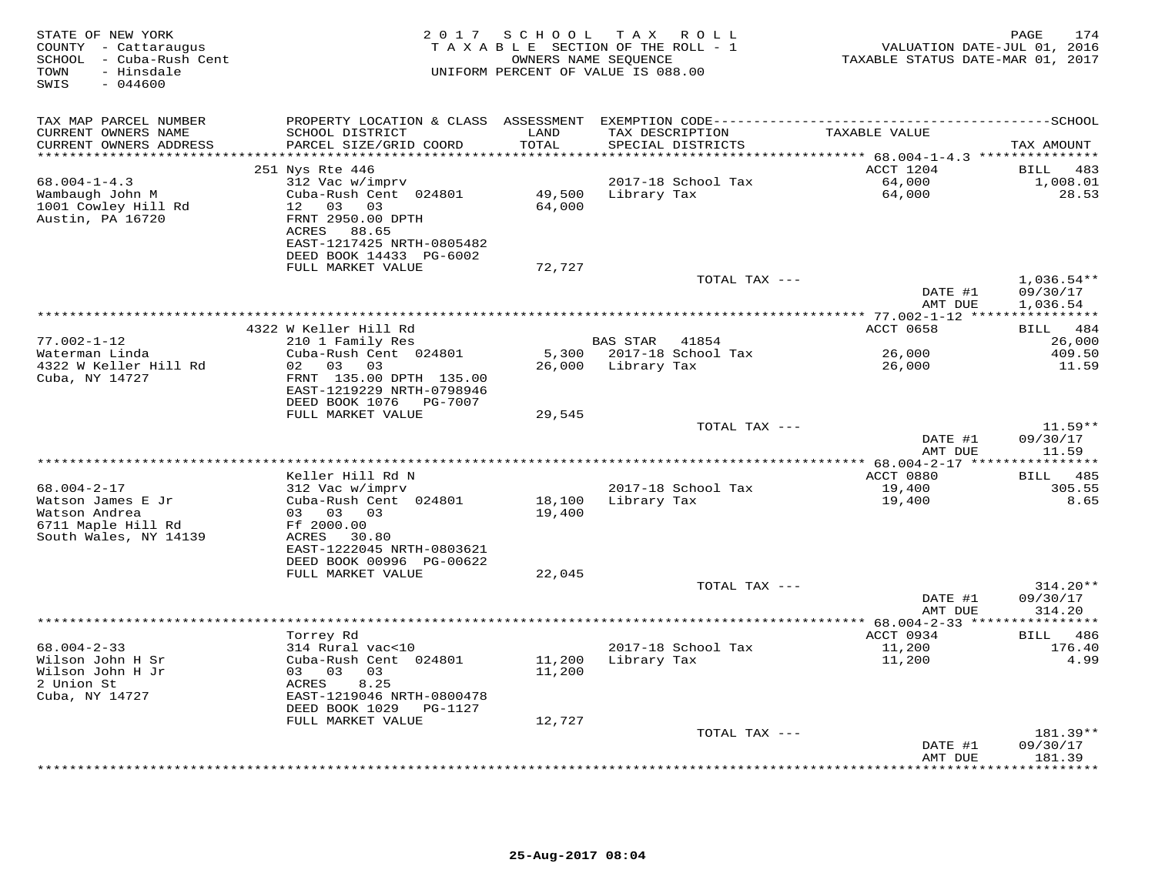| STATE OF NEW YORK<br>COUNTY - Cattaraugus<br>SCHOOL - Cuba-Rush Cent<br>TOWN<br>- Hinsdale<br>$-044600$<br>SWIS | 2017                                                                                                                                                | SCHOOL<br>TAXABLE SECTION OF THE ROLL - 1<br>OWNERS NAME SEQUENCE<br>UNIFORM PERCENT OF VALUE IS 088.00 |                 | TAX ROLL                             | VALUATION DATE-JUL 01, 2016<br>TAXABLE STATUS DATE-MAR 01, 2017 | 174<br>PAGE                          |
|-----------------------------------------------------------------------------------------------------------------|-----------------------------------------------------------------------------------------------------------------------------------------------------|---------------------------------------------------------------------------------------------------------|-----------------|--------------------------------------|-----------------------------------------------------------------|--------------------------------------|
| TAX MAP PARCEL NUMBER<br>CURRENT OWNERS NAME<br>CURRENT OWNERS ADDRESS<br>***********************               | PROPERTY LOCATION & CLASS ASSESSMENT<br>SCHOOL DISTRICT<br>PARCEL SIZE/GRID COORD                                                                   | LAND<br>TOTAL                                                                                           |                 | TAX DESCRIPTION<br>SPECIAL DISTRICTS | TAXABLE VALUE                                                   | TAX AMOUNT                           |
|                                                                                                                 | 251 Nys Rte 446                                                                                                                                     |                                                                                                         |                 |                                      | ACCT 1204                                                       | 483<br>BILL                          |
| $68.004 - 1 - 4.3$<br>Wambaugh John M<br>1001 Cowley Hill Rd<br>Austin, PA 16720                                | 312 Vac w/imprv<br>Cuba-Rush Cent 024801<br>12<br>03 03<br>FRNT 2950.00 DPTH<br>ACRES 88.65<br>EAST-1217425 NRTH-0805482<br>DEED BOOK 14433 PG-6002 | 49,500<br>64,000                                                                                        | Library Tax     | 2017-18 School Tax                   | 64,000<br>64,000                                                | 1,008.01<br>28.53                    |
|                                                                                                                 | FULL MARKET VALUE                                                                                                                                   | 72,727                                                                                                  |                 |                                      |                                                                 |                                      |
|                                                                                                                 |                                                                                                                                                     |                                                                                                         |                 | TOTAL TAX ---                        | DATE #1<br>AMT DUE                                              | $1,036.54**$<br>09/30/17<br>1,036.54 |
|                                                                                                                 |                                                                                                                                                     |                                                                                                         |                 |                                      |                                                                 |                                      |
| $77.002 - 1 - 12$                                                                                               | 4322 W Keller Hill Rd<br>210 1 Family Res                                                                                                           |                                                                                                         | <b>BAS STAR</b> | 41854                                | ACCT 0658                                                       | BILL<br>484<br>26,000                |
| Waterman Linda<br>4322 W Keller Hill Rd<br>Cuba, NY 14727                                                       | Cuba-Rush Cent 024801<br>02<br>03 03<br>FRNT 135.00 DPTH 135.00<br>EAST-1219229 NRTH-0798946                                                        | 5,300<br>26,000                                                                                         | Library Tax     | 2017-18 School Tax                   | 26,000<br>26,000                                                | 409.50<br>11.59                      |
|                                                                                                                 | DEED BOOK 1076<br>PG-7007<br>FULL MARKET VALUE                                                                                                      | 29,545                                                                                                  |                 |                                      |                                                                 |                                      |
|                                                                                                                 |                                                                                                                                                     |                                                                                                         |                 | TOTAL TAX ---                        | DATE #1<br>AMT DUE                                              | $11.59**$<br>09/30/17<br>11.59       |
|                                                                                                                 |                                                                                                                                                     |                                                                                                         |                 |                                      |                                                                 |                                      |
| $68.004 - 2 - 17$<br>Watson James E Jr                                                                          | Keller Hill Rd N<br>312 Vac w/imprv<br>Cuba-Rush Cent 024801                                                                                        | 18,100                                                                                                  | Library Tax     | 2017-18 School Tax                   | ACCT 0880<br>19,400<br>19,400                                   | BILL 485<br>305.55<br>8.65           |
| Watson Andrea<br>6711 Maple Hill Rd<br>South Wales, NY 14139                                                    | 03 03 03<br>Ff 2000.00<br>ACRES 30.80<br>EAST-1222045 NRTH-0803621<br>DEED BOOK 00996 PG-00622                                                      | 19,400                                                                                                  |                 |                                      |                                                                 |                                      |
|                                                                                                                 | FULL MARKET VALUE                                                                                                                                   | 22,045                                                                                                  |                 |                                      |                                                                 |                                      |
|                                                                                                                 |                                                                                                                                                     |                                                                                                         |                 | TOTAL TAX ---                        | DATE #1<br>AMT DUE                                              | $314.20**$<br>09/30/17<br>314.20     |
|                                                                                                                 |                                                                                                                                                     |                                                                                                         |                 |                                      |                                                                 |                                      |
| $68.004 - 2 - 33$<br>Wilson John H Sr<br>Wilson John H Jr<br>2 Union St<br>Cuba, NY 14727                       | Torrey Rd<br>314 Rural vac<10<br>Cuba-Rush Cent 024801<br>03 03<br>03<br>ACRES<br>8.25<br>EAST-1219046 NRTH-0800478<br>DEED BOOK 1029<br>PG-1127    | 11,200<br>11,200                                                                                        | Library Tax     | 2017-18 School Tax                   | ACCT 0934<br>11,200<br>11,200                                   | BILL 486<br>176.40<br>4.99           |
|                                                                                                                 | FULL MARKET VALUE                                                                                                                                   | 12,727                                                                                                  |                 | TOTAL TAX ---                        |                                                                 | 181.39**                             |
|                                                                                                                 |                                                                                                                                                     |                                                                                                         |                 |                                      | DATE #1<br>AMT DUE                                              | 09/30/17<br>181.39                   |
|                                                                                                                 |                                                                                                                                                     |                                                                                                         |                 |                                      | * * * * * * * * *                                               | * * * * * * * * *                    |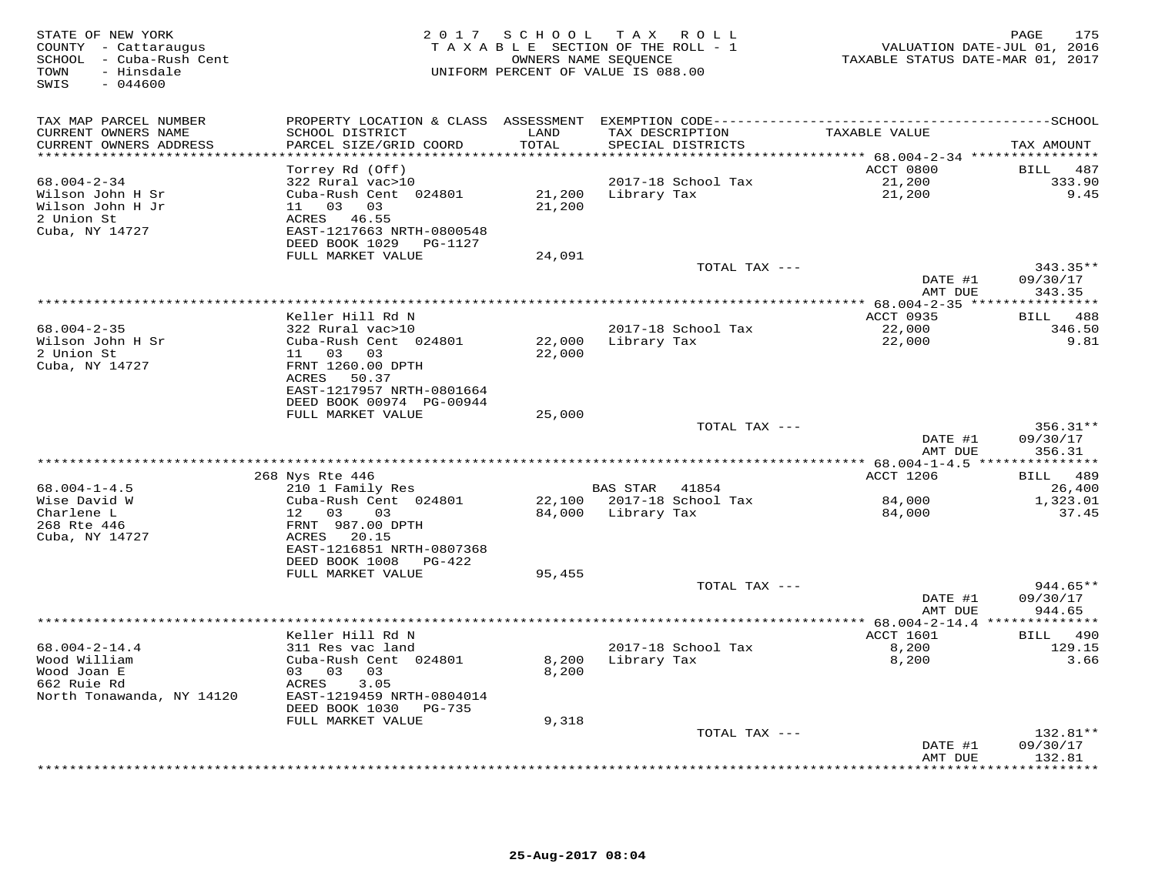| STATE OF NEW YORK<br>COUNTY - Cattaraugus<br>SCHOOL - Cuba-Rush Cent<br>- Hinsdale<br>TOWN<br>SWIS<br>$-044600$ | 2 0 1 7                                                                          | S C H O O L      | TAX ROLL<br>TAXABLE SECTION OF THE ROLL - 1<br>OWNERS NAME SEQUENCE<br>UNIFORM PERCENT OF VALUE IS 088.00 | VALUATION DATE-JUL 01, 2016<br>TAXABLE STATUS DATE-MAR 01, 2017 | 175<br>PAGE           |
|-----------------------------------------------------------------------------------------------------------------|----------------------------------------------------------------------------------|------------------|-----------------------------------------------------------------------------------------------------------|-----------------------------------------------------------------|-----------------------|
| TAX MAP PARCEL NUMBER                                                                                           | PROPERTY LOCATION & CLASS ASSESSMENT                                             |                  |                                                                                                           |                                                                 |                       |
| CURRENT OWNERS NAME<br>CURRENT OWNERS ADDRESS                                                                   | SCHOOL DISTRICT<br>PARCEL SIZE/GRID COORD                                        | LAND<br>TOTAL    | TAX DESCRIPTION<br>SPECIAL DISTRICTS                                                                      | TAXABLE VALUE                                                   | TAX AMOUNT            |
|                                                                                                                 |                                                                                  | ******           |                                                                                                           | ******* 68.004-2-34 ****************                            |                       |
| $68.004 - 2 - 34$                                                                                               | Torrey Rd (Off)<br>322 Rural vac>10                                              |                  | 2017-18 School Tax                                                                                        | ACCT 0800<br>21,200                                             | BILL<br>487<br>333.90 |
| Wilson John H Sr<br>Wilson John H Jr<br>2 Union St<br>Cuba, NY 14727                                            | Cuba-Rush Cent 024801<br>11 03<br>03<br>ACRES 46.55<br>EAST-1217663 NRTH-0800548 | 21,200<br>21,200 | Library Tax                                                                                               | 21,200                                                          | 9.45                  |
|                                                                                                                 | DEED BOOK 1029<br>PG-1127                                                        |                  |                                                                                                           |                                                                 |                       |
|                                                                                                                 | FULL MARKET VALUE                                                                | 24,091           |                                                                                                           |                                                                 |                       |
|                                                                                                                 |                                                                                  |                  | TOTAL TAX ---                                                                                             |                                                                 | $343.35**$            |
|                                                                                                                 |                                                                                  |                  |                                                                                                           | DATE #1                                                         | 09/30/17              |
|                                                                                                                 |                                                                                  |                  |                                                                                                           | AMT DUE                                                         | 343.35                |
|                                                                                                                 | Keller Hill Rd N                                                                 |                  |                                                                                                           | ACCT 0935                                                       | BILL<br>488           |
| 68.004-2-35                                                                                                     | 322 Rural vac>10                                                                 |                  | 2017-18 School Tax                                                                                        | 22,000                                                          | 346.50                |
| Wilson John H Sr                                                                                                | Cuba-Rush Cent 024801                                                            | 22,000           | Library Tax                                                                                               | 22,000                                                          | 9.81                  |
| 2 Union St                                                                                                      | 11 03<br>03                                                                      | 22,000           |                                                                                                           |                                                                 |                       |
| Cuba, NY 14727                                                                                                  | FRNT 1260.00 DPTH                                                                |                  |                                                                                                           |                                                                 |                       |
|                                                                                                                 | ACRES<br>50.37                                                                   |                  |                                                                                                           |                                                                 |                       |
|                                                                                                                 | EAST-1217957 NRTH-0801664<br>DEED BOOK 00974 PG-00944                            |                  |                                                                                                           |                                                                 |                       |
|                                                                                                                 | FULL MARKET VALUE                                                                | 25,000           |                                                                                                           |                                                                 |                       |
|                                                                                                                 |                                                                                  |                  | TOTAL TAX ---                                                                                             |                                                                 | $356.31**$            |
|                                                                                                                 |                                                                                  |                  |                                                                                                           | DATE #1                                                         | 09/30/17              |
|                                                                                                                 |                                                                                  |                  |                                                                                                           | AMT DUE                                                         | 356.31                |
|                                                                                                                 | 268 Nys Rte 446                                                                  |                  |                                                                                                           | ACCT 1206                                                       | <b>BILL</b><br>489    |
| $68.004 - 1 - 4.5$                                                                                              | 210 1 Family Res                                                                 |                  | <b>BAS STAR</b><br>41854                                                                                  |                                                                 | 26,400                |
| Wise David W                                                                                                    | Cuba-Rush Cent 024801                                                            | 22,100           | 2017-18 School Tax                                                                                        | 84,000                                                          | 1,323.01              |
| Charlene L                                                                                                      | 12 03<br>03                                                                      | 84,000           | Library Tax                                                                                               | 84,000                                                          | 37.45                 |
| 268 Rte 446                                                                                                     | FRNT 987.00 DPTH                                                                 |                  |                                                                                                           |                                                                 |                       |
| Cuba, NY 14727                                                                                                  | ACRES 20.15<br>EAST-1216851 NRTH-0807368                                         |                  |                                                                                                           |                                                                 |                       |
|                                                                                                                 | DEED BOOK 1008<br>PG-422                                                         |                  |                                                                                                           |                                                                 |                       |
|                                                                                                                 | FULL MARKET VALUE                                                                | 95,455           |                                                                                                           |                                                                 |                       |
|                                                                                                                 |                                                                                  |                  | TOTAL TAX ---                                                                                             |                                                                 | $944.65**$            |
|                                                                                                                 |                                                                                  |                  |                                                                                                           | DATE #1                                                         | 09/30/17              |
|                                                                                                                 |                                                                                  |                  |                                                                                                           | AMT DUE                                                         | 944.65                |
|                                                                                                                 | Keller Hill Rd N                                                                 |                  |                                                                                                           |                                                                 | BILL 490              |
| $68.004 - 2 - 14.4$                                                                                             | 311 Res vac land                                                                 |                  | 2017-18 School Tax                                                                                        | ACCT 1601<br>8,200                                              | 129.15                |
| Wood William                                                                                                    | Cuba-Rush Cent 024801                                                            | 8,200            | Library Tax                                                                                               | 8,200                                                           | 3.66                  |
| Wood Joan E                                                                                                     | 03 03<br>03                                                                      | 8,200            |                                                                                                           |                                                                 |                       |
| 662 Ruie Rd                                                                                                     | ACRES<br>3.05                                                                    |                  |                                                                                                           |                                                                 |                       |
| North Tonawanda, NY 14120                                                                                       | EAST-1219459 NRTH-0804014                                                        |                  |                                                                                                           |                                                                 |                       |
|                                                                                                                 | DEED BOOK 1030<br>PG-735                                                         |                  |                                                                                                           |                                                                 |                       |
|                                                                                                                 | FULL MARKET VALUE                                                                | 9,318            | TOTAL TAX ---                                                                                             |                                                                 | $132.81**$            |
|                                                                                                                 |                                                                                  |                  |                                                                                                           | DATE #1                                                         | 09/30/17              |
|                                                                                                                 |                                                                                  |                  |                                                                                                           | AMT DUE                                                         | 132.81                |
|                                                                                                                 |                                                                                  |                  |                                                                                                           |                                                                 | * * * * * * * *       |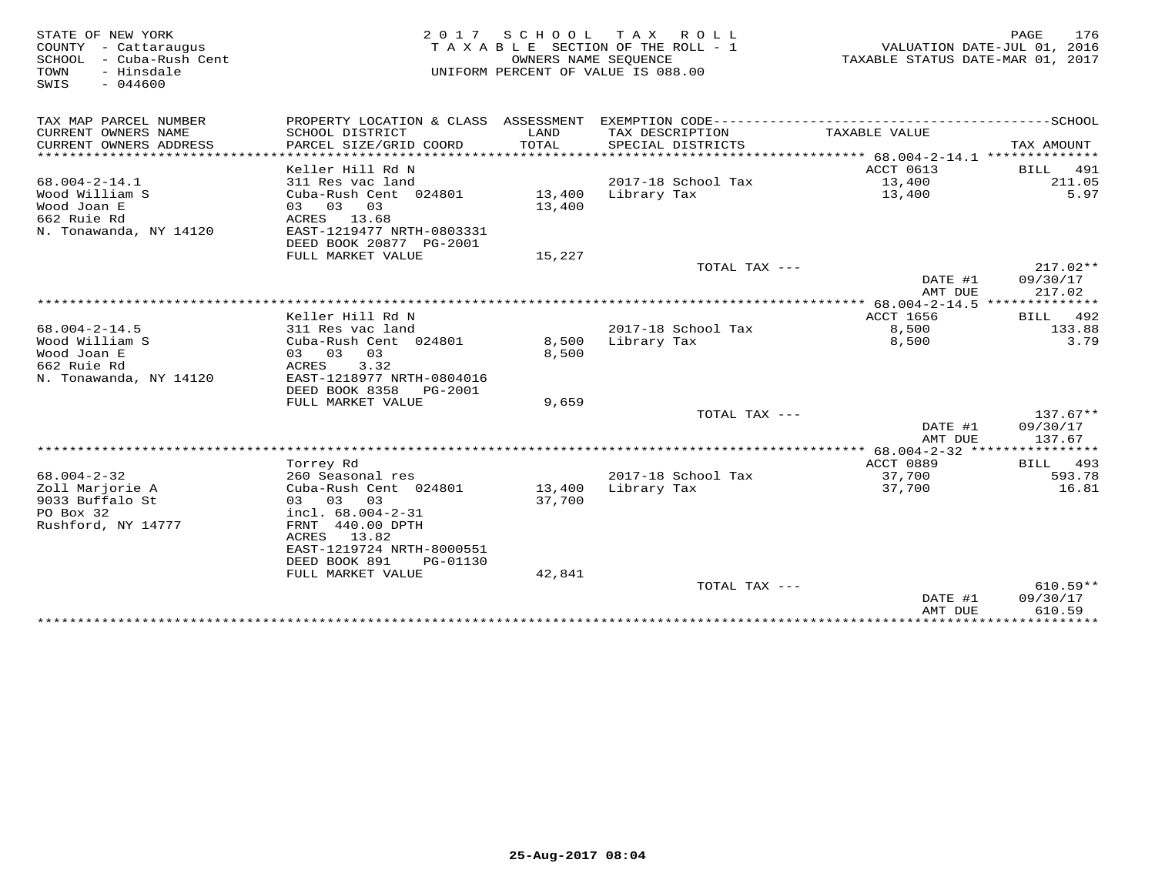| STATE OF NEW YORK          |                           | 2017 SCHOOL | TAX ROLL                           |                                  | 176<br>PAGE                 |
|----------------------------|---------------------------|-------------|------------------------------------|----------------------------------|-----------------------------|
| COUNTY - Cattaraugus       |                           |             | TAXABLE SECTION OF THE ROLL - 1    |                                  | VALUATION DATE-JUL 01, 2016 |
| SCHOOL<br>- Cuba-Rush Cent |                           |             | OWNERS NAME SEQUENCE               | TAXABLE STATUS DATE-MAR 01, 2017 |                             |
| TOWN<br>- Hinsdale         |                           |             | UNIFORM PERCENT OF VALUE IS 088.00 |                                  |                             |
| $-044600$<br>SWIS          |                           |             |                                    |                                  |                             |
|                            |                           |             |                                    |                                  |                             |
|                            |                           |             |                                    |                                  |                             |
| TAX MAP PARCEL NUMBER      |                           |             |                                    |                                  |                             |
| CURRENT OWNERS NAME        | SCHOOL DISTRICT           | LAND        | TAX DESCRIPTION                    | TAXABLE VALUE                    |                             |
| CURRENT OWNERS ADDRESS     | PARCEL SIZE/GRID COORD    | TOTAL       | SPECIAL DISTRICTS                  |                                  | TAX AMOUNT                  |
| *************************  |                           |             |                                    |                                  |                             |
|                            | Keller Hill Rd N          |             |                                    | ACCT 0613                        | BILL 491                    |
| $68.004 - 2 - 14.1$        | 311 Res vac land          |             | 2017-18 School Tax                 | 13,400                           | 211.05                      |
| Wood William S             | Cuba-Rush Cent 024801     | 13,400      | Library Tax                        | 13,400                           | 5.97                        |
| Wood Joan E                | 03 03 03                  | 13,400      |                                    |                                  |                             |
| 662 Ruie Rd                | ACRES 13.68               |             |                                    |                                  |                             |
| N. Tonawanda, NY 14120     | EAST-1219477 NRTH-0803331 |             |                                    |                                  |                             |
|                            | DEED BOOK 20877 PG-2001   |             |                                    |                                  |                             |
|                            | FULL MARKET VALUE         | 15,227      |                                    |                                  |                             |
|                            |                           |             | TOTAL TAX $---$                    |                                  | $217.02**$                  |
|                            |                           |             |                                    | DATE #1                          | 09/30/17                    |
|                            |                           |             |                                    | AMT DUE                          | 217.02                      |
|                            |                           |             |                                    |                                  |                             |
|                            | Keller Hill Rd N          |             |                                    | ACCT 1656                        | BILL<br>492                 |
| $68.004 - 2 - 14.5$        | 311 Res vac land          |             | 2017-18 School Tax                 | 8,500                            | 133.88                      |
| Wood William S             | Cuba-Rush Cent 024801     | 8,500       | Library Tax                        | 8,500                            | 3.79                        |
| Wood Joan E                | 03 03<br>03               | 8,500       |                                    |                                  |                             |
| 662 Ruie Rd                | 3.32<br>ACRES             |             |                                    |                                  |                             |
| N. Tonawanda, NY 14120     | EAST-1218977 NRTH-0804016 |             |                                    |                                  |                             |
|                            | DEED BOOK 8358<br>PG-2001 |             |                                    |                                  |                             |
|                            | FULL MARKET VALUE         | 9,659       |                                    |                                  |                             |
|                            |                           |             | TOTAL TAX ---                      |                                  | $137.67**$                  |
|                            |                           |             |                                    | DATE #1                          | 09/30/17                    |
|                            |                           |             |                                    | AMT DUE                          | 137.67                      |
|                            |                           |             |                                    |                                  |                             |
|                            | Torrey Rd                 |             |                                    | ACCT 0889                        | 493<br>BILL                 |
| $68.004 - 2 - 32$          | 260 Seasonal res          |             | 2017-18 School Tax                 | 37,700                           | 593.78                      |
| Zoll Marjorie A            | Cuba-Rush Cent 024801     | 13,400      | Library Tax                        | 37,700                           | 16.81                       |
| 9033 Buffalo St            | 03<br>0.3<br>03           | 37,700      |                                    |                                  |                             |
| PO Box 32                  | incl. 68.004-2-31         |             |                                    |                                  |                             |
| Rushford, NY 14777         | FRNT 440.00 DPTH          |             |                                    |                                  |                             |
|                            | 13.82<br>ACRES            |             |                                    |                                  |                             |
|                            | EAST-1219724 NRTH-8000551 |             |                                    |                                  |                             |
|                            | DEED BOOK 891<br>PG-01130 |             |                                    |                                  |                             |
|                            | FULL MARKET VALUE         | 42,841      |                                    |                                  |                             |
|                            |                           |             | TOTAL TAX $---$                    |                                  | $610.59**$                  |
|                            |                           |             |                                    | DATE #1                          | 09/30/17                    |
|                            |                           |             |                                    | AMT DUE                          | 610.59                      |
|                            |                           |             |                                    |                                  |                             |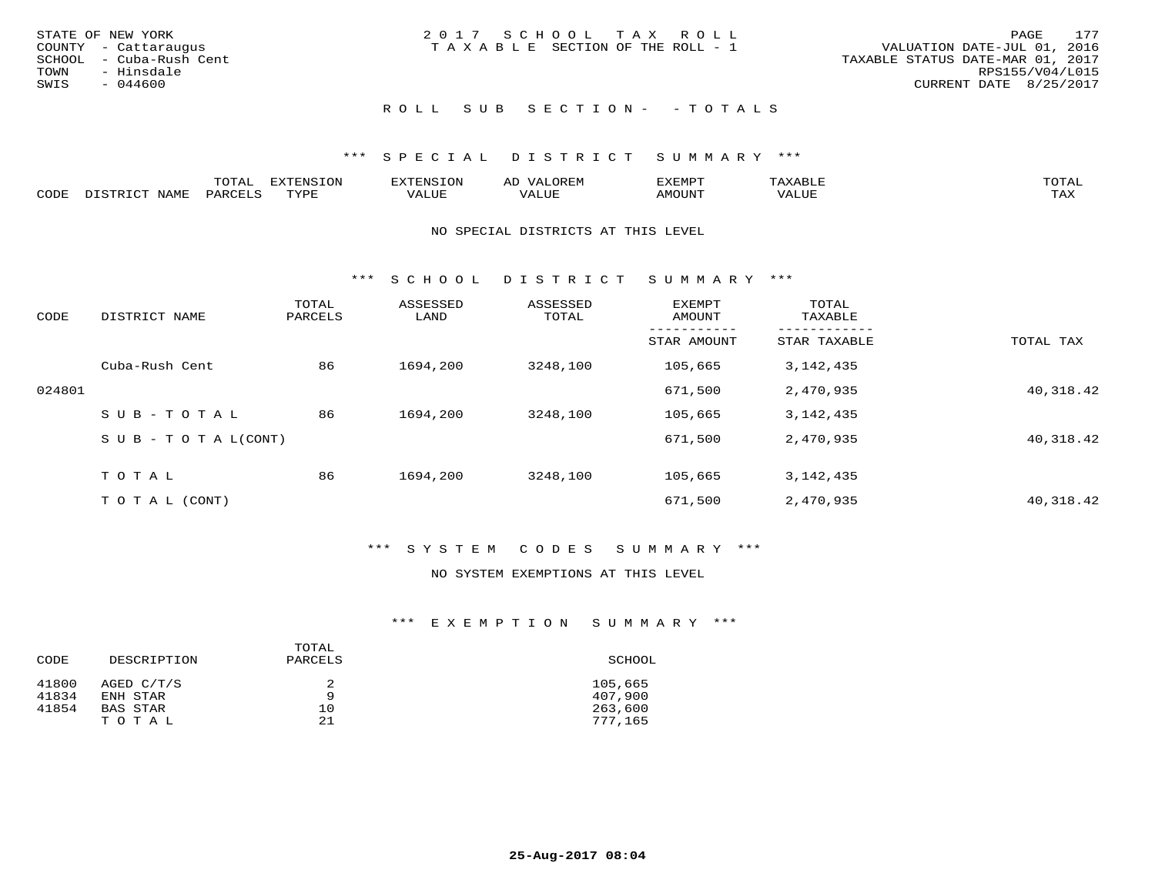| STATE OF NEW YORK<br>COUNTY - Cattaraugus     | 2017 SCHOOL TAX ROLL<br>T A X A B L E SECTION OF THE ROLL - 1 | 177<br>PAGE<br>VALUATION DATE-JUL 01, 2016          |
|-----------------------------------------------|---------------------------------------------------------------|-----------------------------------------------------|
| SCHOOL - Cuba-Rush Cent<br>TOWN<br>- Hinsdale |                                                               | TAXABLE STATUS DATE-MAR 01, 2017<br>RPS155/V04/L015 |
| SWIS<br>- 044600                              |                                                               | CURRENT DATE 8/25/2017                              |
|                                               | ROLL SUB SECTION- - TOTALS                                    |                                                     |

|      |                        | ጥ∩ጥአ<br>- O THT. | <b>DIZMONIC</b><br>ION | AD   | . ت س<br>⊐ויושב∠ |                                        |            |
|------|------------------------|------------------|------------------------|------|------------------|----------------------------------------|------------|
| CODE | <b>NTAMT</b><br>77 O L | PARO             | TVDF                   | ALUE | IMOUNT           | * * * * * * * *<br>$'$ ALUN $_{\rm L}$ | may<br>∸∽∸ |

### NO SPECIAL DISTRICTS AT THIS LEVEL

\*\*\* S C H O O L D I S T R I C T S U M M A R Y \*\*\*

| CODE   | DISTRICT NAME                    | TOTAL<br>PARCELS | ASSESSED<br>LAND | ASSESSED<br>TOTAL | <b>EXEMPT</b><br>AMOUNT | TOTAL<br>TAXABLE |           |
|--------|----------------------------------|------------------|------------------|-------------------|-------------------------|------------------|-----------|
|        |                                  |                  |                  |                   | STAR AMOUNT             | STAR TAXABLE     | TOTAL TAX |
|        | Cuba-Rush Cent                   | 86               | 1694,200         | 3248,100          | 105,665                 | 3, 142, 435      |           |
| 024801 |                                  |                  |                  |                   | 671,500                 | 2,470,935        | 40,318.42 |
|        | SUB-TOTAL                        | 86               | 1694,200         | 3248,100          | 105,665                 | 3, 142, 435      |           |
|        | $S \cup B - T \cup T A L (CONT)$ |                  |                  |                   | 671,500                 | 2,470,935        | 40,318.42 |
|        | TOTAL                            | 86               | 1694,200         | 3248,100          | 105,665                 | 3, 142, 435      |           |
|        | T O T A L (CONT)                 |                  |                  |                   | 671,500                 | 2,470,935        | 40,318.42 |

# \*\*\* S Y S T E M C O D E S S U M M A R Y \*\*\*

### NO SYSTEM EXEMPTIONS AT THIS LEVEL

### \*\*\* E X E M P T I O N S U M M A R Y \*\*\*

|       |             | TOTAL   |         |
|-------|-------------|---------|---------|
| CODE  | DESCRIPTION | PARCELS | SCHOOL  |
| 41800 | AGED C/T/S  |         | 105,665 |
| 41834 | ENH STAR    | Q       | 407,900 |
| 41854 | BAS STAR    | 10      | 263,600 |
|       | TOTAL       | 21      | 777.165 |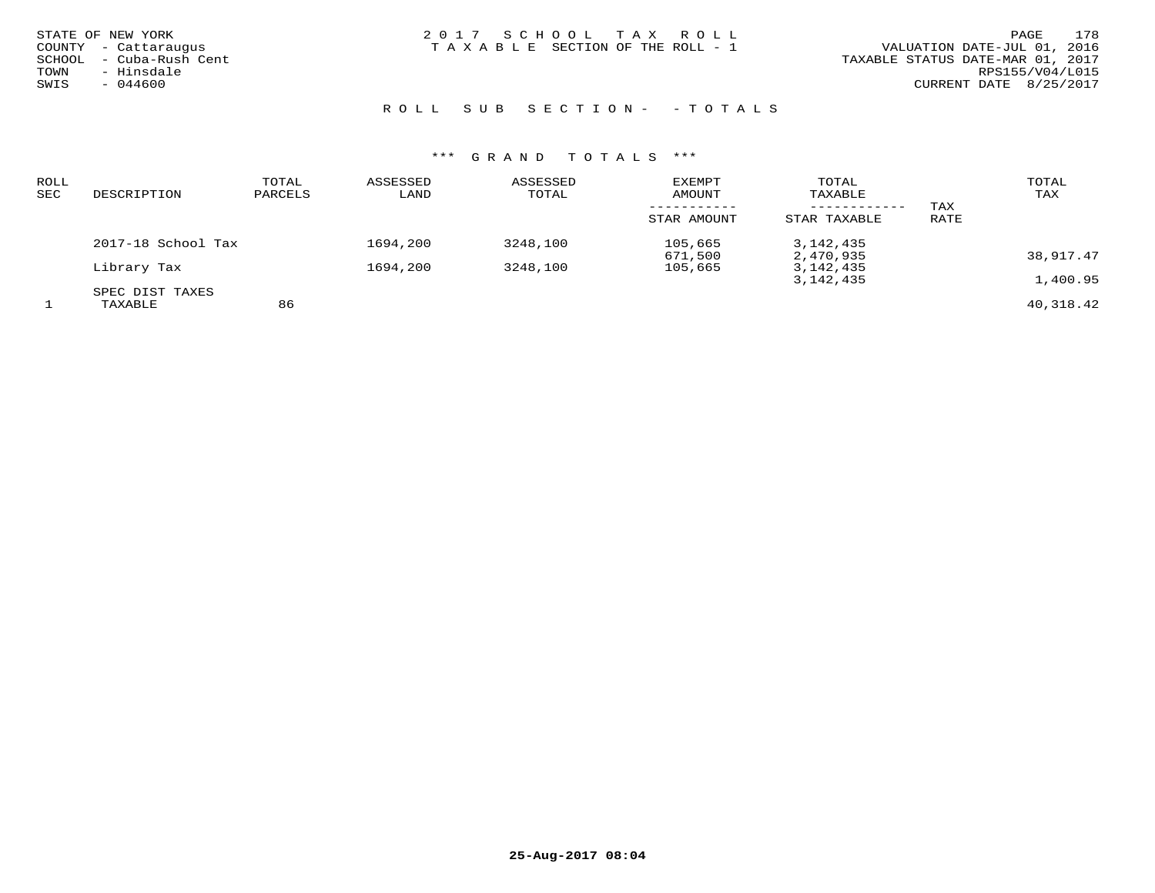| STATE OF NEW YORK |                      |
|-------------------|----------------------|
|                   | COUNTY - Cattaraugus |
| SCHOOL            | - Cuba-Rush Cent     |
| TOWN              | - Hinsdale           |
| SWIS              | $-044600$            |
|                   |                      |

STATE OF NEW YORK 2 0 1 7 S C H O O L T A X R O L L PAGE 178TAXABLE SECTION OF THE ROLL - 1

ROLL SUB SECTION - - TOTALS

| ROLL<br>SEC | DESCRIPTION                | TOTAL<br>PARCELS | ASSESSED<br>LAND | ASSESSED<br>TOTAL | EXEMPT<br>AMOUNT   | TOTAL<br>TAXABLE          |             | TOTAL<br>TAX |
|-------------|----------------------------|------------------|------------------|-------------------|--------------------|---------------------------|-------------|--------------|
|             |                            |                  |                  |                   | STAR AMOUNT        | ---------<br>STAR TAXABLE | TAX<br>RATE |              |
|             | 2017-18 School Tax         |                  | 1694,200         | 3248,100          | 105,665<br>671,500 | 3,142,435<br>2,470,935    |             | 38,917.47    |
|             | Library Tax                |                  | 1694,200         | 3248,100          | 105,665            | 3,142,435<br>3,142,435    |             | 1,400.95     |
|             | SPEC DIST TAXES<br>TAXABLE | 86               |                  |                   |                    |                           |             | 40,318.42    |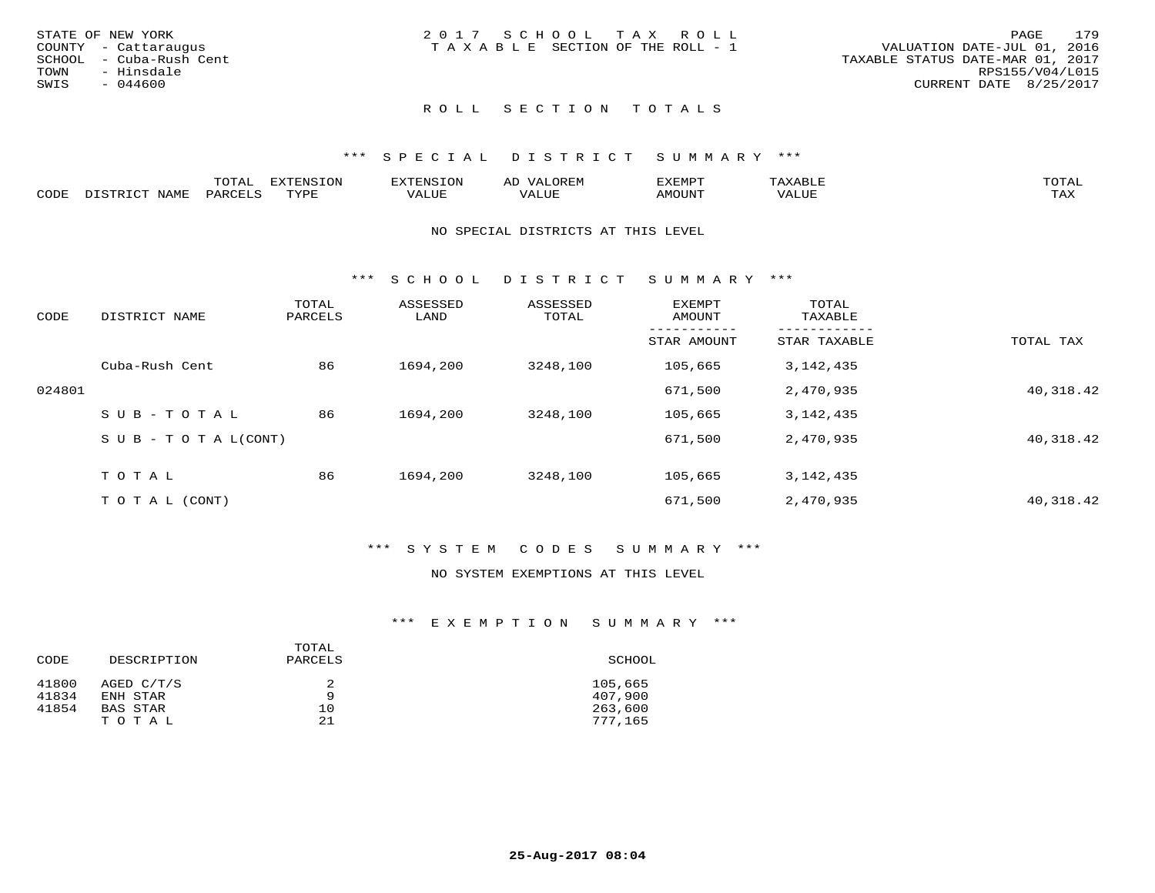| STATE OF NEW YORK<br>COUNTY - Cattaraugus<br>SCHOOL - Cuba-Rush Cent<br>TOWN<br>- Hinsdale<br>SWIS<br>$-044600$ | 2017 SCHOOL TAX ROLL<br>TAXABLE SECTION OF THE ROLL - 1 | 179<br>PAGE<br>VALUATION DATE-JUL 01, 2016<br>TAXABLE STATUS DATE-MAR 01, 2017<br>RPS155/V04/L015<br>CURRENT DATE 8/25/2017 |
|-----------------------------------------------------------------------------------------------------------------|---------------------------------------------------------|-----------------------------------------------------------------------------------------------------------------------------|
|                                                                                                                 |                                                         |                                                                                                                             |

### \*\*\* S P E C I A L D I S T R I C T S U M M A R Y \*\*\*

|      | ----<br>$\overline{ }$                         | "RNSION<br>---  |                          | ΑL | 137 E 137 E 13 |           |                        |
|------|------------------------------------------------|-----------------|--------------------------|----|----------------|-----------|------------------------|
| CODE | $\Box \wedge D \wedge \Box \wedge \neg \wedge$ | $m \tau \tau n$ | * * * * * * <del>*</del> |    | AMOUNT         | $+ + + +$ | $m \times r$<br>- ⊥777 |

### NO SPECIAL DISTRICTS AT THIS LEVEL

\*\*\* S C H O O L D I S T R I C T S U M M A R Y \*\*\*

| CODE   | DISTRICT NAME                    | TOTAL<br>PARCELS | ASSESSED<br>LAND | ASSESSED<br>TOTAL | EXEMPT<br>AMOUNT | TOTAL<br>TAXABLE |           |
|--------|----------------------------------|------------------|------------------|-------------------|------------------|------------------|-----------|
|        |                                  |                  |                  |                   | STAR AMOUNT      | STAR TAXABLE     | TOTAL TAX |
|        | Cuba-Rush Cent                   | 86               | 1694,200         | 3248,100          | 105,665          | 3, 142, 435      |           |
| 024801 |                                  |                  |                  |                   | 671,500          | 2,470,935        | 40,318.42 |
|        | SUB-TOTAL                        | 86               | 1694,200         | 3248,100          | 105,665          | 3, 142, 435      |           |
|        | $S \cup B - T \cup T A L (CONT)$ |                  |                  |                   | 671,500          | 2,470,935        | 40,318.42 |
|        | TOTAL                            | 86               | 1694,200         | 3248,100          | 105,665          | 3, 142, 435      |           |
|        |                                  |                  |                  |                   |                  |                  |           |
|        | T O T A L (CONT)                 |                  |                  |                   | 671,500          | 2,470,935        | 40,318.42 |

# \*\*\* S Y S T E M C O D E S S U M M A R Y \*\*\*

### NO SYSTEM EXEMPTIONS AT THIS LEVEL

### \*\*\* E X E M P T I O N S U M M A R Y \*\*\*

|       |             | TOTAL   |         |
|-------|-------------|---------|---------|
| CODE  | DESCRIPTION | PARCELS | SCHOOL  |
| 41800 | AGED C/T/S  |         | 105,665 |
| 41834 | ENH STAR    | Q       | 407,900 |
| 41854 | BAS STAR    | 10      | 263,600 |
|       | TOTAL       | 21      | 777,165 |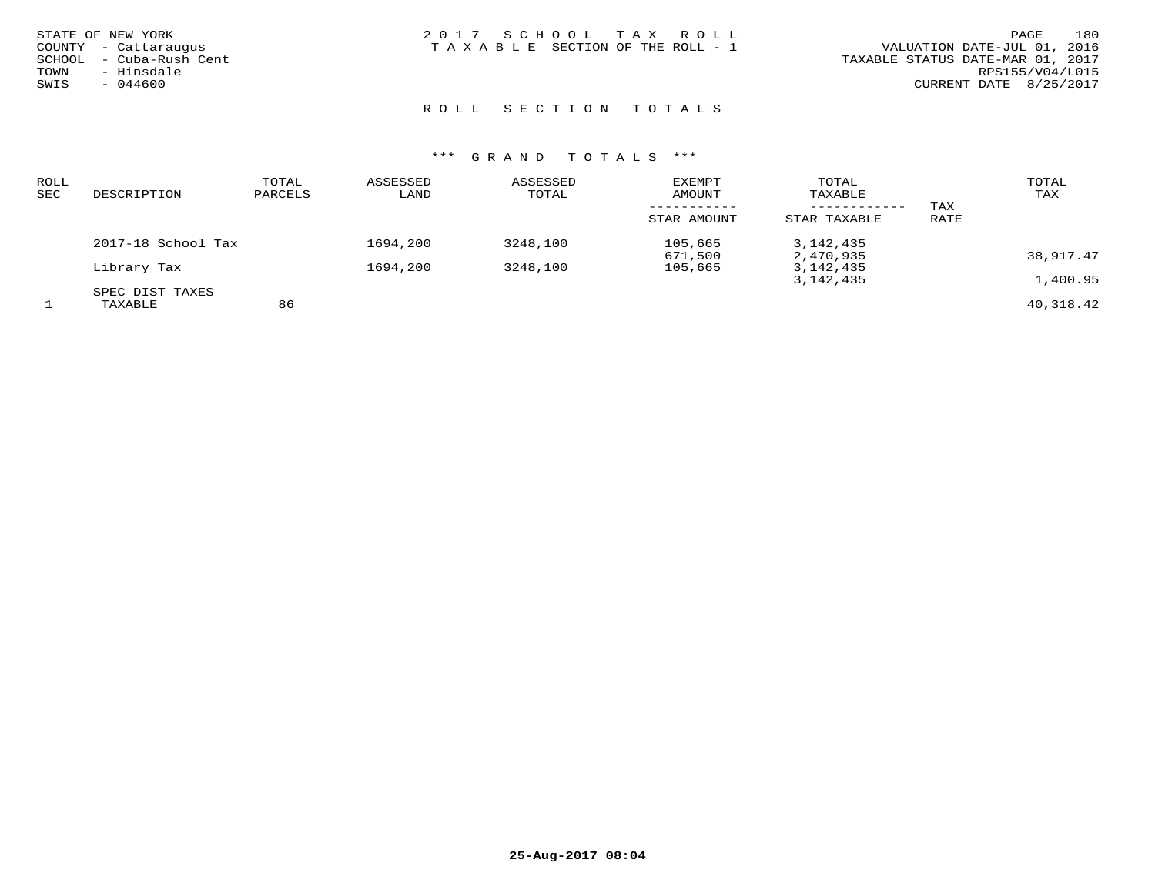| STATE OF NEW YORK       | 2017 SCHOOL TAX ROLL                  | 180<br>PAGE                      |
|-------------------------|---------------------------------------|----------------------------------|
| COUNTY - Cattaraugus    | T A X A B L E SECTION OF THE ROLL - 1 | VALUATION DATE-JUL 01, 2016      |
| SCHOOL - Cuba-Rush Cent |                                       | TAXABLE STATUS DATE-MAR 01, 2017 |
| - Hinsdale<br>TOWN      |                                       | RPS155/V04/L015                  |
| SWIS<br>- 044600        |                                       | CURRENT DATE 8/25/2017           |
|                         |                                       |                                  |

| ROLL<br>SEC | DESCRIPTION        | TOTAL<br>PARCELS | ASSESSED<br>LAND | ASSESSED<br>TOTAL | EXEMPT<br>AMOUNT<br>STAR AMOUNT | TOTAL<br>TAXABLE<br>------------<br>STAR TAXABLE | TAX<br>RATE | TOTAL<br>TAX |
|-------------|--------------------|------------------|------------------|-------------------|---------------------------------|--------------------------------------------------|-------------|--------------|
|             |                    |                  |                  |                   |                                 |                                                  |             |              |
|             | 2017-18 School Tax |                  | 1694,200         | 3248,100          | 105,665<br>671,500              | 3,142,435<br>2,470,935                           |             | 38,917.47    |
|             | Library Tax        |                  | 1694,200         | 3248,100          | 105,665                         | 3,142,435                                        |             |              |
|             |                    |                  |                  |                   |                                 | 3,142,435                                        |             | 1,400.95     |
|             | SPEC DIST TAXES    |                  |                  |                   |                                 |                                                  |             |              |
|             | TAXABLE            | 86               |                  |                   |                                 |                                                  |             | 40,318.42    |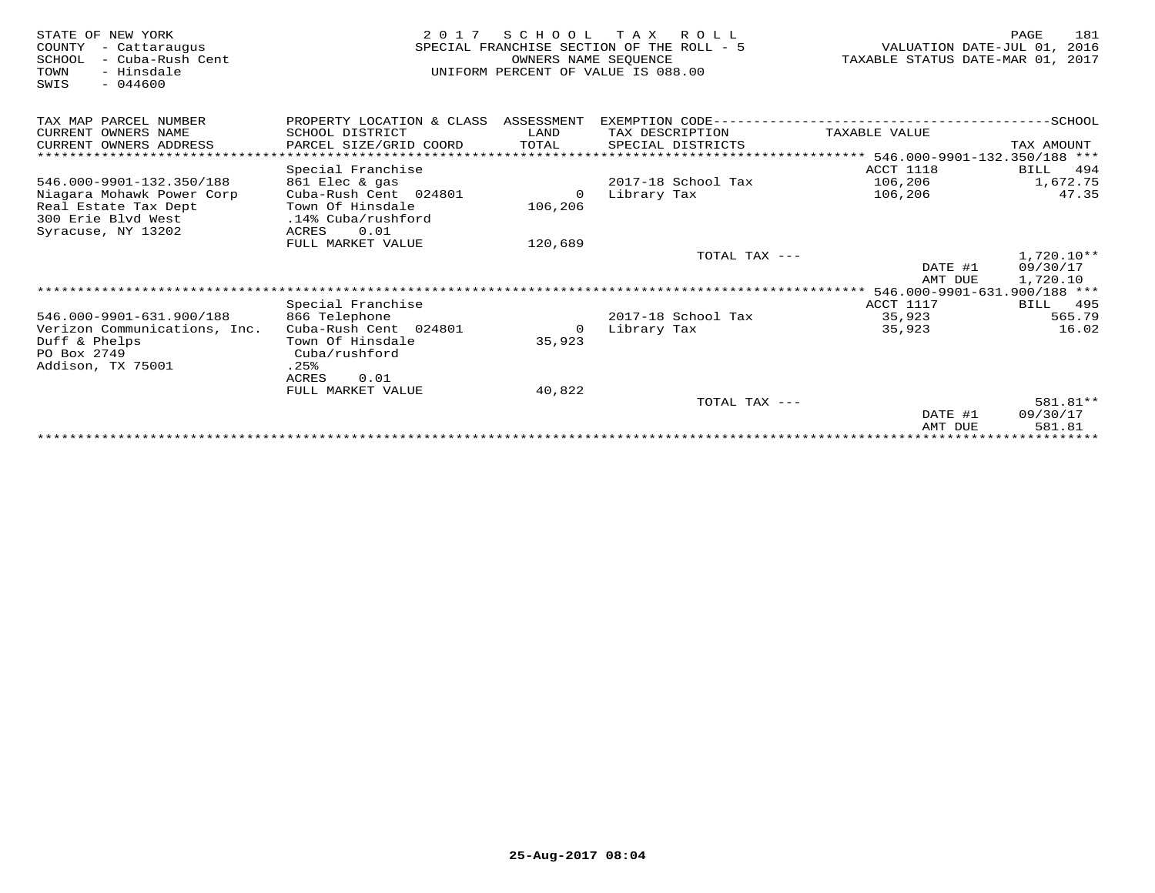| STATE OF NEW YORK<br>COUNTY<br>- Cattaraugus<br>SCHOOL<br>- Cuba-Rush Cent<br>TOWN<br>- Hinsdale<br>$-044600$<br>SWIS | 2 0 1 7                              | SCHOOL<br>OWNERS NAME SEOUENCE | T A X<br>R O L L<br>SPECIAL FRANCHISE SECTION OF THE ROLL - 5<br>UNIFORM PERCENT OF VALUE IS 088.00 | VALUATION DATE-JUL 01,<br>TAXABLE STATUS DATE-MAR 01, | 181<br>PAGE<br>2016<br>2017 |
|-----------------------------------------------------------------------------------------------------------------------|--------------------------------------|--------------------------------|-----------------------------------------------------------------------------------------------------|-------------------------------------------------------|-----------------------------|
| TAX MAP PARCEL NUMBER                                                                                                 | PROPERTY LOCATION & CLASS ASSESSMENT |                                | EXEMPTION CODE------------------------                                                              |                                                       | -----------------SCHOOL     |
| CURRENT OWNERS NAME                                                                                                   | SCHOOL DISTRICT                      | LAND                           | TAX DESCRIPTION                                                                                     | TAXABLE VALUE                                         |                             |
| CURRENT OWNERS ADDRESS                                                                                                | PARCEL SIZE/GRID COORD               | TOTAL                          | SPECIAL DISTRICTS                                                                                   |                                                       | TAX AMOUNT                  |
| ****************************                                                                                          |                                      |                                |                                                                                                     |                                                       |                             |
|                                                                                                                       | Special Franchise                    |                                |                                                                                                     | ACCT 1118                                             | 494<br>BILL                 |
| 546.000-9901-132.350/188                                                                                              | 861 Elec & gas                       |                                | 2017-18 School Tax                                                                                  | 106,206                                               | 1,672.75                    |
| Niagara Mohawk Power Corp                                                                                             | Cuba-Rush Cent 024801                | $\Omega$                       | Library Tax                                                                                         | 106,206                                               | 47.35                       |
| Real Estate Tax Dept                                                                                                  | Town Of Hinsdale                     | 106,206                        |                                                                                                     |                                                       |                             |
| 300 Erie Blyd West                                                                                                    | .14% Cuba/rushford                   |                                |                                                                                                     |                                                       |                             |
| Syracuse, NY 13202                                                                                                    | 0.01<br>ACRES                        |                                |                                                                                                     |                                                       |                             |
|                                                                                                                       | FULL MARKET VALUE                    | 120,689                        |                                                                                                     |                                                       |                             |
|                                                                                                                       |                                      |                                | TOTAL TAX ---                                                                                       |                                                       | $1,720.10**$                |
|                                                                                                                       |                                      |                                |                                                                                                     | DATE #1<br>AMT DUE                                    | 09/30/17<br>1,720.10        |
|                                                                                                                       |                                      |                                |                                                                                                     | 546.000-9901-631.900/188 ***                          |                             |
|                                                                                                                       | Special Franchise                    |                                |                                                                                                     | ACCT 1117                                             | 495<br>BILL                 |
| 546.000-9901-631.900/188                                                                                              | 866 Telephone                        |                                | 2017-18 School Tax                                                                                  | 35,923                                                | 565.79                      |
| Verizon Communications, Inc.                                                                                          | Cuba-Rush Cent 024801                | $\circ$                        | Library Tax                                                                                         | 35,923                                                | 16.02                       |
| Duff & Phelps                                                                                                         | Town Of Hinsdale                     | 35,923                         |                                                                                                     |                                                       |                             |
| PO Box 2749                                                                                                           | Cuba/rushford                        |                                |                                                                                                     |                                                       |                             |
| Addison, TX 75001                                                                                                     | .25%                                 |                                |                                                                                                     |                                                       |                             |
|                                                                                                                       | ACRES<br>0.01                        |                                |                                                                                                     |                                                       |                             |
|                                                                                                                       | FULL MARKET VALUE                    | 40,822                         |                                                                                                     |                                                       |                             |
|                                                                                                                       |                                      |                                | TOTAL TAX ---                                                                                       |                                                       | 581.81**                    |
|                                                                                                                       |                                      |                                |                                                                                                     | DATE #1                                               | 09/30/17                    |
|                                                                                                                       |                                      |                                |                                                                                                     | AMT DUE                                               | 581.81                      |
|                                                                                                                       |                                      |                                |                                                                                                     |                                                       | *************               |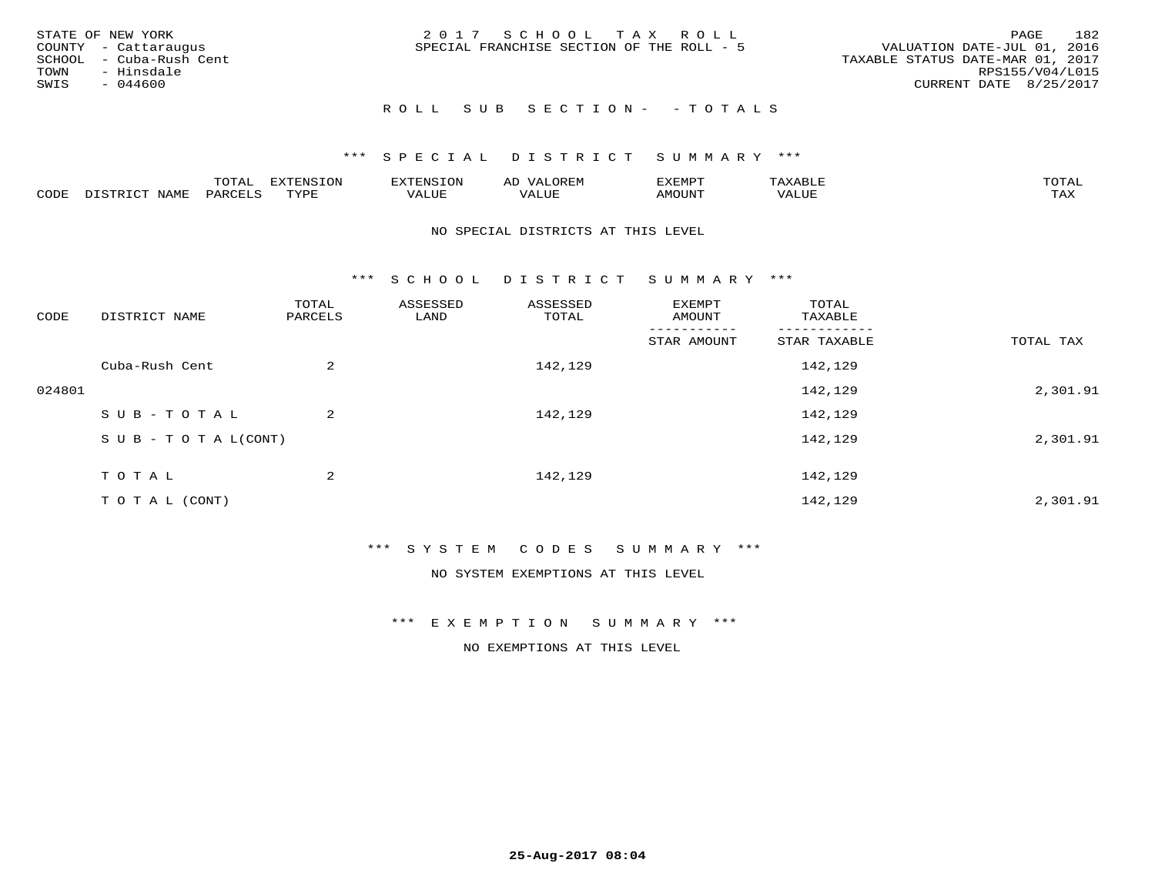|      | STATE OF NEW YORK       | 2017 SCHOOL TAX ROLL                      | 182<br>PAGE                      |
|------|-------------------------|-------------------------------------------|----------------------------------|
|      | COUNTY - Cattaraugus    | SPECIAL FRANCHISE SECTION OF THE ROLL - 5 | VALUATION DATE-JUL 01, 2016      |
|      | SCHOOL - Cuba-Rush Cent |                                           | TAXABLE STATUS DATE-MAR 01, 2017 |
| TOWN | - Hinsdale              |                                           | RPS155/V04/L015                  |
| SWIS | - 044600                |                                           | CURRENT DATE 8/25/2017           |
|      |                         |                                           |                                  |

## ROLL SUB SECTION - - TOTALS

## \*\*\* S P E C I A L D I S T R I C T S U M M A R Y \*\*\*

|      |         | ----                | $\cdots$ | . FNS | ₩    | דסMדצי        |                   | $m \wedge m \wedge n$ |
|------|---------|---------------------|----------|-------|------|---------------|-------------------|-----------------------|
| CODE | ៶៲៳៲៴៲៷ | <b>ACTIVE</b><br>ΆR | TVDF     | ALUE  | ALUE | <b>IMOUNT</b> | <b>TTT</b><br>⊐∪∟ | ГAX                   |

#### NO SPECIAL DISTRICTS AT THIS LEVEL

\*\*\* S C H O O L D I S T R I C T S U M M A R Y \*\*\*

| CODE   | DISTRICT NAME                    | TOTAL<br>PARCELS | ASSESSED<br>LAND | ASSESSED<br>TOTAL | EXEMPT<br>AMOUNT | TOTAL<br>TAXABLE |           |
|--------|----------------------------------|------------------|------------------|-------------------|------------------|------------------|-----------|
|        |                                  |                  |                  |                   | STAR AMOUNT      | STAR TAXABLE     | TOTAL TAX |
|        | Cuba-Rush Cent                   | 2                |                  | 142,129           |                  | 142,129          |           |
| 024801 |                                  |                  |                  |                   |                  | 142,129          | 2,301.91  |
|        | SUB-TOTAL                        | 2                |                  | 142,129           |                  | 142,129          |           |
|        | $S \cup B - T \cup T A L (CONT)$ |                  |                  |                   |                  | 142,129          | 2,301.91  |
|        | TOTAL                            | 2                |                  | 142,129           |                  | 142,129          |           |
|        | T O T A L (CONT)                 |                  |                  |                   |                  | 142,129          | 2,301.91  |

### \*\*\* S Y S T E M C O D E S S U M M A R Y \*\*\*

NO SYSTEM EXEMPTIONS AT THIS LEVEL

\*\*\* E X E M P T I O N S U M M A R Y \*\*\*

NO EXEMPTIONS AT THIS LEVEL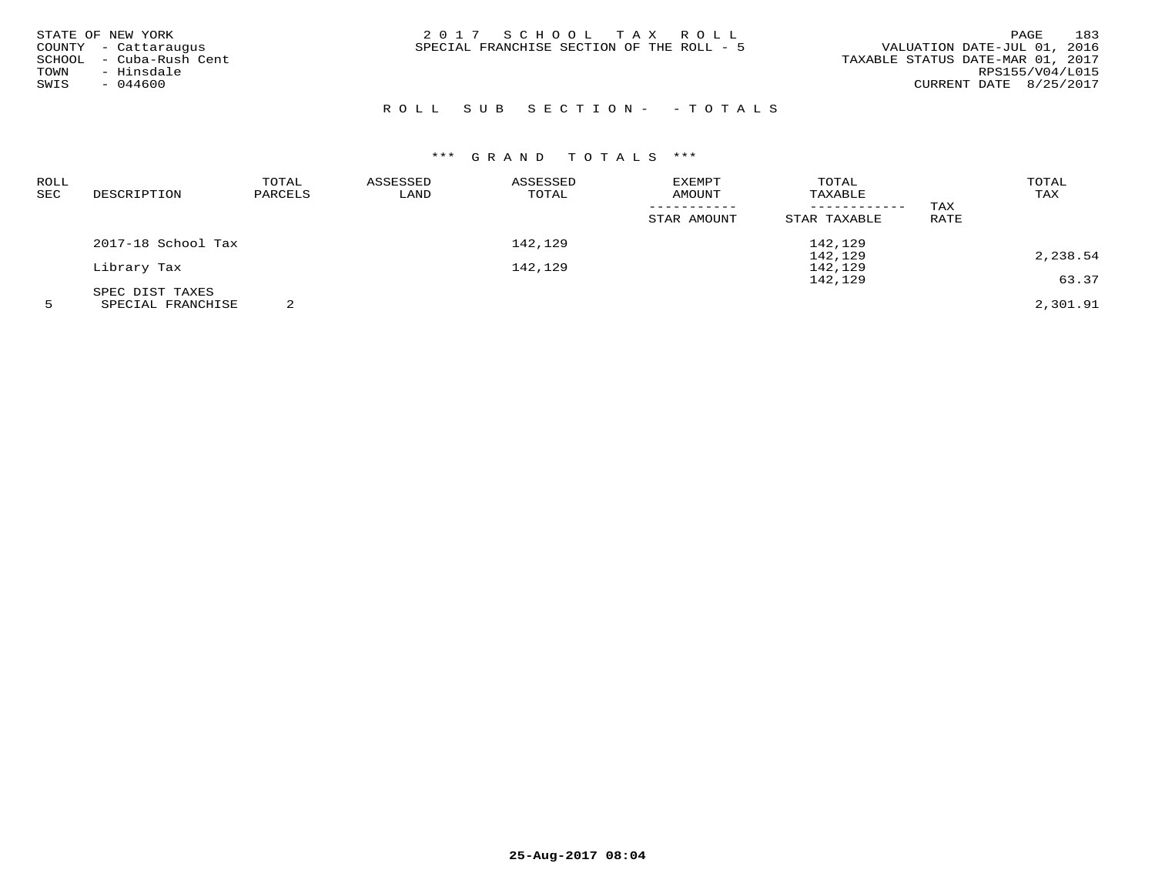| STATE OF NEW YORK          | 2017 SCHOOL TAX ROLL                      | 183<br>PAGE                      |
|----------------------------|-------------------------------------------|----------------------------------|
| COUNTY - Cattaraugus       | SPECIAL FRANCHISE SECTION OF THE ROLL - 5 | VALUATION DATE-JUL 01, 2016      |
| - Cuba-Rush Cent<br>SCHOOL |                                           | TAXABLE STATUS DATE-MAR 01, 2017 |
| - Hinsdale<br>TOWN         |                                           | RPS155/V04/L015                  |
| SWIS<br>$-044600$          |                                           | CURRENT DATE 8/25/2017           |
|                            |                                           |                                  |

# R O L L S U B S E C T I O N - - T O T A L S

| ROLL |                    | TOTAL   | ASSESSED | ASSESSED | EXEMPT      | TOTAL        |      | TOTAL    |
|------|--------------------|---------|----------|----------|-------------|--------------|------|----------|
| SEC  | DESCRIPTION        | PARCELS | LAND     | TOTAL    | AMOUNT      | TAXABLE      |      | TAX      |
|      |                    |         |          |          |             |              | TAX  |          |
|      |                    |         |          |          | STAR AMOUNT | STAR TAXABLE | RATE |          |
|      | 2017-18 School Tax |         |          | 142,129  |             | 142,129      |      |          |
|      |                    |         |          |          |             | 142,129      |      | 2,238.54 |
|      | Library Tax        |         |          | 142,129  |             | 142,129      |      |          |
|      |                    |         |          |          |             | 142,129      |      | 63.37    |
|      | SPEC DIST TAXES    |         |          |          |             |              |      |          |
|      | SPECIAL FRANCHISE  |         |          |          |             |              |      | 2,301.91 |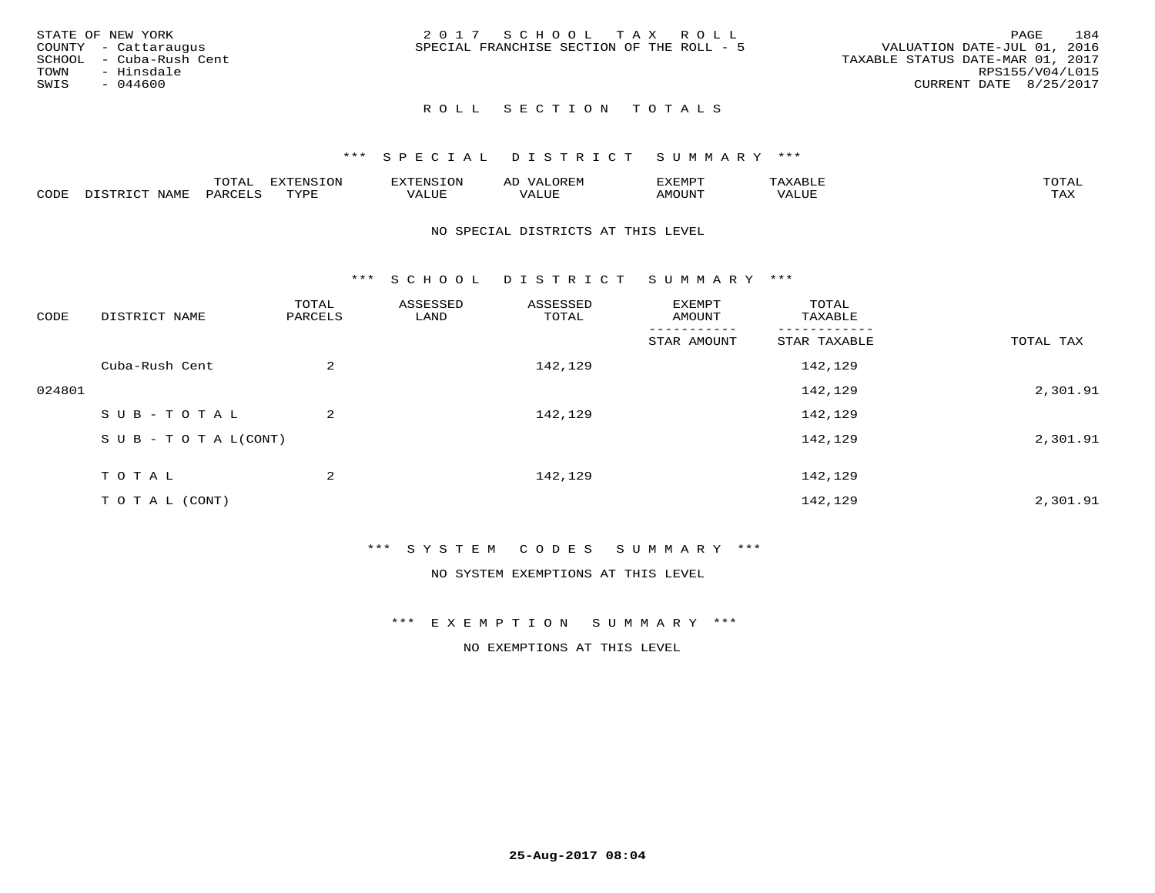| STATE OF NEW YORK       | 2017 SCHOOL TAX ROLL                      | 184<br>PAGE                      |
|-------------------------|-------------------------------------------|----------------------------------|
| COUNTY - Cattaraugus    | SPECIAL FRANCHISE SECTION OF THE ROLL - 5 | VALUATION DATE-JUL 01, 2016      |
| SCHOOL - Cuba-Rush Cent |                                           | TAXABLE STATUS DATE-MAR 01, 2017 |
| TOWN<br>- Hinsdale      |                                           | RPS155/V04/L015                  |
| $-044600$<br>SWIS       |                                           | CURRENT DATE 8/25/2017           |
|                         |                                           |                                  |

### \*\*\* S P E C I A L D I S T R I C T S U M M A R Y \*\*\*

|      |                   | mom n | <b>DIZPOIATO TOM</b><br>.UP |      | AL   | ,,, <del>,</del> ,,, <del>,</del> ,<br>. ب |               |                     |
|------|-------------------|-------|-----------------------------|------|------|--------------------------------------------|---------------|---------------------|
| CODE | NTAM <sup>7</sup> | PARO  | TVDF                        | ALUI | ALUL | IMOUNT                                     | ----<br>'ALUL | $m \times r$<br>∸∽∽ |

#### NO SPECIAL DISTRICTS AT THIS LEVEL

\*\*\* S C H O O L D I S T R I C T S U M M A R Y \*\*\*

| CODE   | DISTRICT NAME                    | TOTAL<br>PARCELS | ASSESSED<br>LAND | ASSESSED<br>TOTAL | EXEMPT<br>AMOUNT | TOTAL<br>TAXABLE |           |
|--------|----------------------------------|------------------|------------------|-------------------|------------------|------------------|-----------|
|        |                                  |                  |                  |                   | STAR AMOUNT      | STAR TAXABLE     | TOTAL TAX |
|        | Cuba-Rush Cent                   | 2                |                  | 142,129           |                  | 142,129          |           |
| 024801 |                                  |                  |                  |                   |                  | 142,129          | 2,301.91  |
|        | SUB-TOTAL                        | 2                |                  | 142,129           |                  | 142,129          |           |
|        | $S \cup B - T \cup T A L (CONT)$ |                  |                  |                   |                  | 142,129          | 2,301.91  |
|        | TOTAL                            | 2                |                  | 142,129           |                  | 142,129          |           |
|        | T O T A L (CONT)                 |                  |                  |                   |                  | 142,129          | 2,301.91  |

### \*\*\* S Y S T E M C O D E S S U M M A R Y \*\*\*

NO SYSTEM EXEMPTIONS AT THIS LEVEL

#### \*\*\* E X E M P T I O N S U M M A R Y \*\*\*

NO EXEMPTIONS AT THIS LEVEL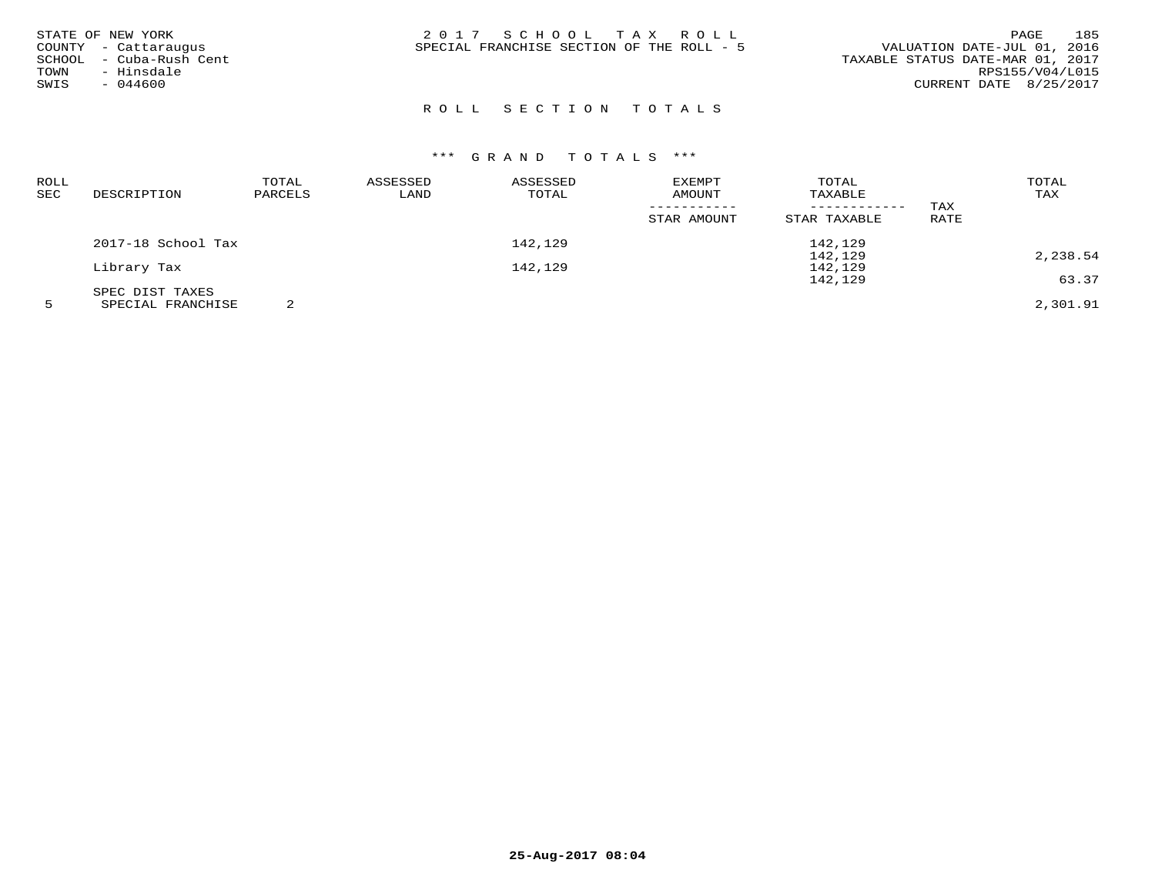| STATE OF NEW YORK<br>COUNTY - Cattaraugus<br>- Cuba-Rush Cent<br>SCHOOL<br>- Hinsdale<br>TOWN<br>SWIS<br>$-044600$ | 2017 SCHOOL TAX ROLL<br>SPECIAL FRANCHISE SECTION OF THE ROLL - 5 | 185<br>PAGE<br>VALUATION DATE-JUL 01, 2016<br>TAXABLE STATUS DATE-MAR 01, 2017<br>RPS155/V04/L015 |
|--------------------------------------------------------------------------------------------------------------------|-------------------------------------------------------------------|---------------------------------------------------------------------------------------------------|
|                                                                                                                    |                                                                   | CURRENT DATE 8/25/2017                                                                            |

| <b>ROLL</b> |                    | TOTAL   | ASSESSED | ASSESSED | <b>EXEMPT</b> | TOTAL        |      | TOTAL    |
|-------------|--------------------|---------|----------|----------|---------------|--------------|------|----------|
| SEC         | DESCRIPTION        | PARCELS | LAND     | TOTAL    | AMOUNT        | TAXABLE      |      | TAX      |
|             |                    |         |          |          |               |              | TAX  |          |
|             |                    |         |          |          | STAR AMOUNT   | STAR TAXABLE | RATE |          |
|             | 2017-18 School Tax |         |          | 142,129  |               | 142,129      |      |          |
|             |                    |         |          |          |               | 142,129      |      | 2,238.54 |
|             | Library Tax        |         |          | 142,129  |               | 142,129      |      |          |
|             |                    |         |          |          |               | 142,129      |      | 63.37    |
|             | SPEC DIST TAXES    |         |          |          |               |              |      |          |
|             | SPECIAL FRANCHISE  |         |          |          |               |              |      | 2,301.91 |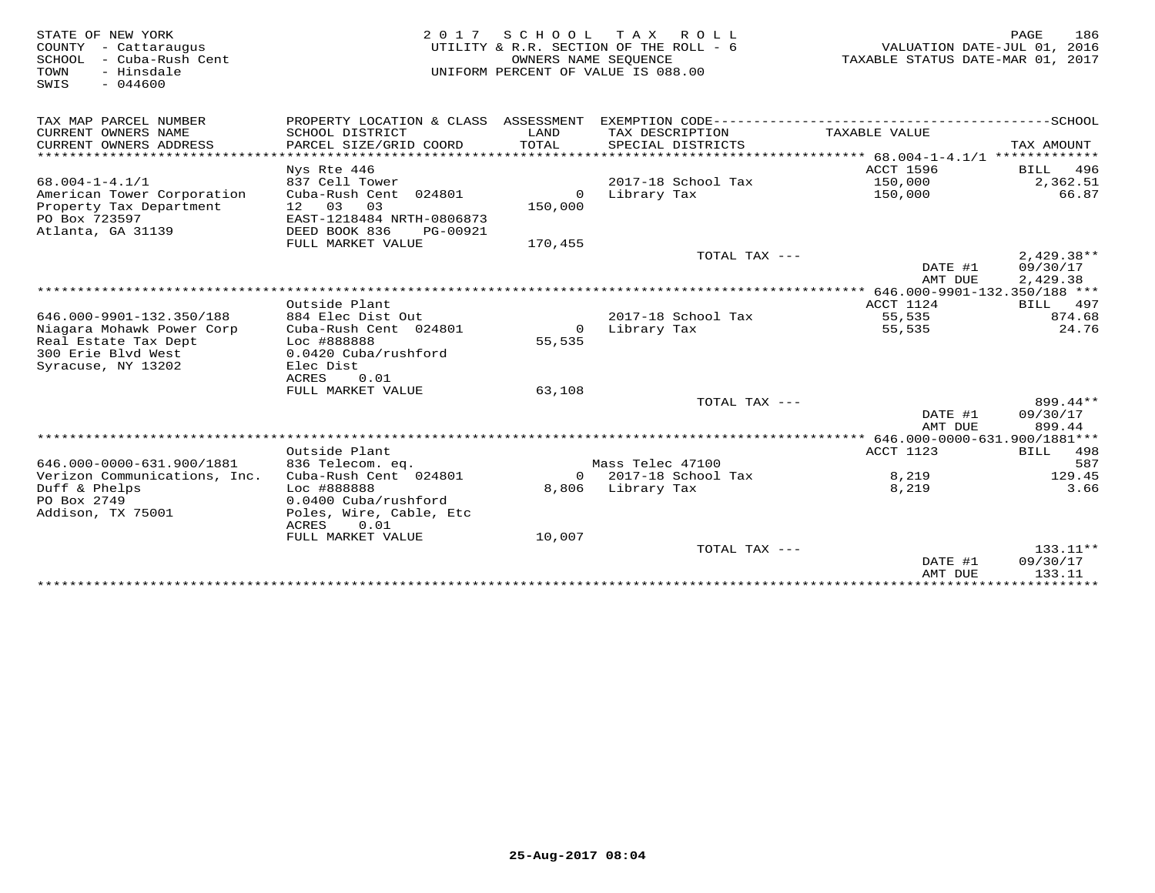| STATE OF NEW YORK                                  |                                                | 2017 SCHOOL TAX      | ROLL                                   |                                                                 | 186<br>PAGE        |
|----------------------------------------------------|------------------------------------------------|----------------------|----------------------------------------|-----------------------------------------------------------------|--------------------|
| COUNTY - Cattaraugus<br>SCHOOL<br>- Cuba-Rush Cent |                                                | OWNERS NAME SEQUENCE | UTILITY & R.R. SECTION OF THE ROLL - 6 | VALUATION DATE-JUL 01, 2016<br>TAXABLE STATUS DATE-MAR 01, 2017 |                    |
| - Hinsdale<br>TOWN                                 |                                                |                      | UNIFORM PERCENT OF VALUE IS 088.00     |                                                                 |                    |
| SWIS<br>$-044600$                                  |                                                |                      |                                        |                                                                 |                    |
|                                                    |                                                |                      |                                        |                                                                 |                    |
| TAX MAP PARCEL NUMBER                              | PROPERTY LOCATION & CLASS ASSESSMENT           |                      |                                        |                                                                 |                    |
| CURRENT OWNERS NAME                                | SCHOOL DISTRICT                                | LAND                 | TAX DESCRIPTION                        | TAXABLE VALUE                                                   |                    |
| CURRENT OWNERS ADDRESS                             | PARCEL SIZE/GRID COORD                         | TOTAL                | SPECIAL DISTRICTS                      |                                                                 | TAX AMOUNT         |
| ********************                               | **********************                         | ***********          |                                        |                                                                 |                    |
|                                                    | Nys Rte 446                                    |                      |                                        | ACCT 1596                                                       | 496<br>BILL        |
| $68.004 - 1 - 4.1/1$                               | 837 Cell Tower                                 |                      | 2017-18 School Tax                     | 150,000                                                         | 2,362.51           |
| American Tower Corporation                         | Cuba-Rush Cent 024801                          | $\circ$              | Library Tax                            | 150,000                                                         | 66.87              |
| Property Tax Department                            | 12 03<br>03                                    | 150,000              |                                        |                                                                 |                    |
| PO Box 723597                                      | EAST-1218484 NRTH-0806873                      |                      |                                        |                                                                 |                    |
| Atlanta, GA 31139                                  | DEED BOOK 836<br>PG-00921<br>FULL MARKET VALUE |                      |                                        |                                                                 |                    |
|                                                    |                                                | 170,455              | TOTAL TAX ---                          |                                                                 | $2,429.38**$       |
|                                                    |                                                |                      |                                        | DATE #1                                                         | 09/30/17           |
|                                                    |                                                |                      |                                        | AMT DUE                                                         | 2,429.38           |
|                                                    |                                                |                      |                                        | ************ 646.000-9901-132.350/188 ***                       |                    |
|                                                    | Outside Plant                                  |                      |                                        | ACCT 1124                                                       | 497<br>BILL        |
| 646.000-9901-132.350/188                           | 884 Elec Dist Out                              |                      | 2017-18 School Tax                     | 55,535                                                          | 874.68             |
| Niagara Mohawk Power Corp                          | Cuba-Rush Cent 024801                          | $\Omega$             | Library Tax                            | 55,535                                                          | 24.76              |
| Real Estate Tax Dept                               | Loc #888888                                    | 55,535               |                                        |                                                                 |                    |
| 300 Erie Blvd West                                 | 0.0420 Cuba/rushford                           |                      |                                        |                                                                 |                    |
| Syracuse, NY 13202                                 | Elec Dist                                      |                      |                                        |                                                                 |                    |
|                                                    | <b>ACRES</b><br>0.01                           |                      |                                        |                                                                 |                    |
|                                                    | FULL MARKET VALUE                              | 63,108               |                                        |                                                                 |                    |
|                                                    |                                                |                      | TOTAL TAX ---                          |                                                                 | 899.44**           |
|                                                    |                                                |                      |                                        | DATE #1<br>AMT DUE                                              | 09/30/17<br>899.44 |
|                                                    |                                                |                      |                                        |                                                                 |                    |
|                                                    | Outside Plant                                  |                      |                                        | ACCT 1123                                                       | 498<br>BILL        |
| 646.000-0000-631.900/1881                          | 836 Telecom. eq.                               |                      | Mass Telec 47100                       |                                                                 | 587                |
| Verizon Communications, Inc.                       | Cuba-Rush Cent 024801                          |                      | $0$ 2017-18 School Tax                 | 8,219                                                           | 129.45             |
| Duff & Phelps                                      | Loc #888888                                    |                      | 8,806 Library Tax                      | 8,219                                                           | 3.66               |
| PO Box 2749                                        | 0.0400 Cuba/rushford                           |                      |                                        |                                                                 |                    |
| Addison, TX 75001                                  | Poles, Wire, Cable, Etc                        |                      |                                        |                                                                 |                    |
|                                                    | ACRES<br>0.01                                  |                      |                                        |                                                                 |                    |
|                                                    | FULL MARKET VALUE                              | 10,007               |                                        |                                                                 |                    |
|                                                    |                                                |                      | TOTAL TAX ---                          |                                                                 | $133.11**$         |
|                                                    |                                                |                      |                                        | DATE #1                                                         | 09/30/17           |
|                                                    |                                                |                      |                                        | AMT DUE                                                         | 133.11             |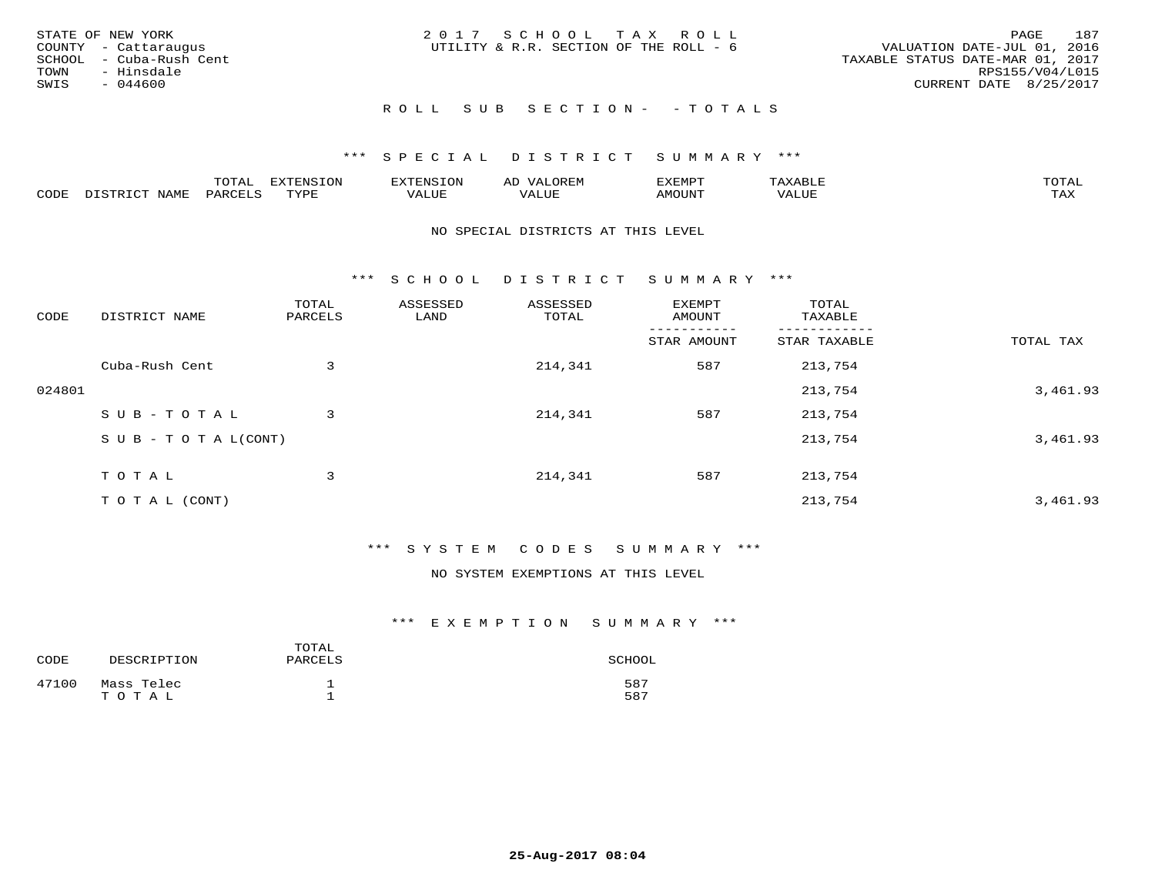| STATE OF NEW YORK<br>COUNTY - Cattaraugus<br>SCHOOL - Cuba-Rush Cent<br>TOWN<br>- Hinsdale<br>SWIS<br>- 044600 | 2017 SCHOOL TAX ROLL<br>UTILITY & R.R. SECTION OF THE ROLL - 6 | 187<br>PAGE<br>VALUATION DATE-JUL 01, 2016<br>TAXABLE STATUS DATE-MAR 01, 2017<br>RPS155/V04/L015<br>CURRENT DATE 8/25/2017 |
|----------------------------------------------------------------------------------------------------------------|----------------------------------------------------------------|-----------------------------------------------------------------------------------------------------------------------------|
|                                                                                                                | ROLL SUB SECTION- - TOTALS                                     |                                                                                                                             |

|      |                      | ----<br><u>UIAI</u> | <b>FYTFNSTON</b><br>- 75 | <b>FNC</b>     | ᅺᅜᄓ                      | SXEMPT | $\Delta$<br>.                  | $m \wedge m \wedge n$ |
|------|----------------------|---------------------|--------------------------|----------------|--------------------------|--------|--------------------------------|-----------------------|
| CODE | <b>NTAMT</b><br>⊥∙⊥⊥ | D.ODT.<br>PARL      | $m \tau \tau m$<br>.     | T T T<br>ALUF: | , <del>,</del> , , , , , | MOUN.  | , 77 T TT <del>D</del><br>ALUE | TAX                   |

#### NO SPECIAL DISTRICTS AT THIS LEVEL

\*\*\* S C H O O L D I S T R I C T S U M M A R Y \*\*\*

| CODE   | DISTRICT NAME                    | TOTAL<br>PARCELS | ASSESSED<br>LAND | ASSESSED<br>TOTAL | EXEMPT<br>AMOUNT | TOTAL<br>TAXABLE |           |
|--------|----------------------------------|------------------|------------------|-------------------|------------------|------------------|-----------|
|        |                                  |                  |                  |                   | STAR AMOUNT      | STAR TAXABLE     | TOTAL TAX |
|        | Cuba-Rush Cent                   | 3                |                  | 214,341           | 587              | 213,754          |           |
| 024801 |                                  |                  |                  |                   |                  | 213,754          | 3,461.93  |
|        | SUB-TOTAL                        | 3                |                  | 214,341           | 587              | 213,754          |           |
|        | $S \cup B - T \cup T A L (CONT)$ |                  |                  |                   |                  | 213,754          | 3,461.93  |
|        | TOTAL                            | 3                |                  | 214,341           | 587              | 213,754          |           |
|        | TO TAL (CONT)                    |                  |                  |                   |                  | 213,754          | 3,461.93  |

## \*\*\* S Y S T E M C O D E S S U M M A R Y \*\*\*

NO SYSTEM EXEMPTIONS AT THIS LEVEL

| CODE  | DESCRIPTION         | TOTAL<br>PARCELS | SCHOOL     |
|-------|---------------------|------------------|------------|
| 47100 | Mass Telec<br>TOTAL |                  | 587<br>587 |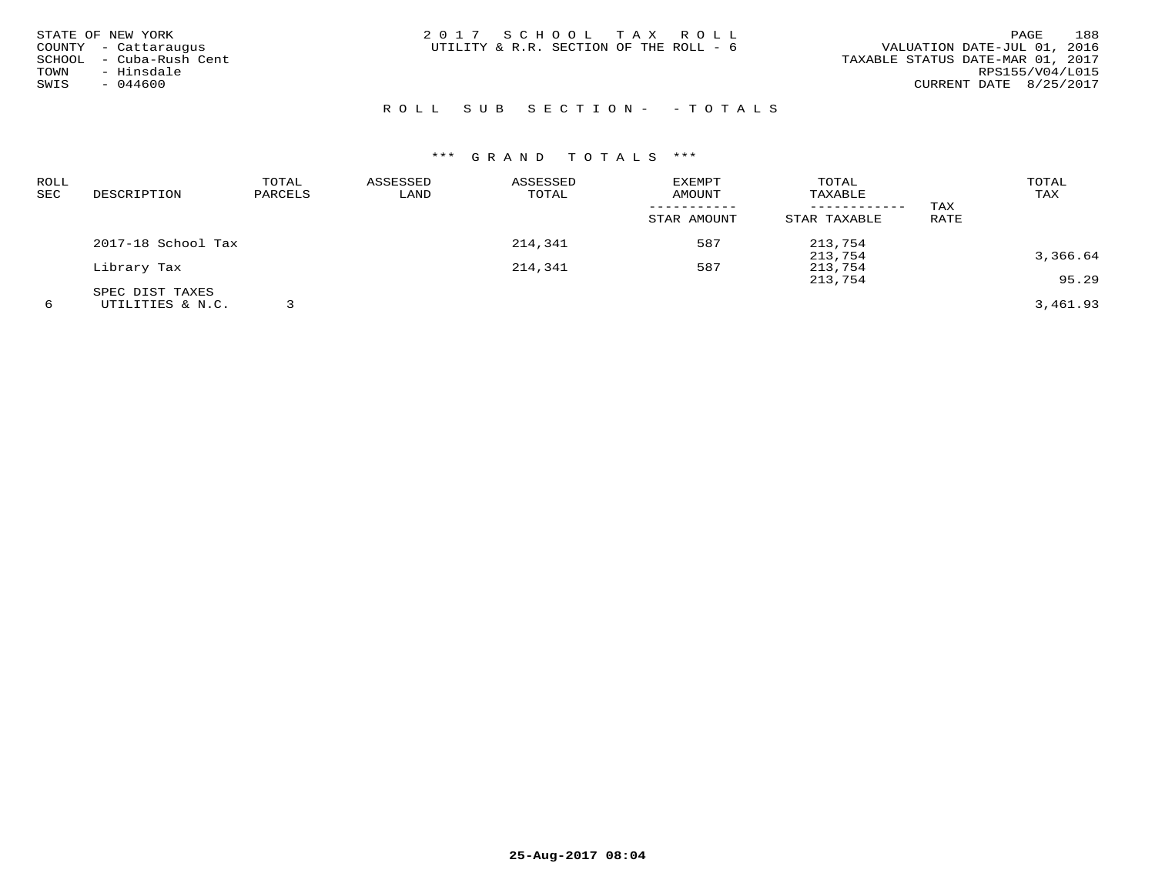| STATE OF NEW YORK<br>COUNTY - Cattaraugus | 2017 SCHOOL TAX ROLL<br>UTILITY & R.R. SECTION OF THE ROLL - 6 | 188<br><b>PAGE</b><br>VALUATION DATE-JUL 01, 2016 |
|-------------------------------------------|----------------------------------------------------------------|---------------------------------------------------|
| - Cuba-Rush Cent<br>SCHOOL                |                                                                | TAXABLE STATUS DATE-MAR 01, 2017                  |
| - Hinsdale<br>TOWN<br>$-044600$<br>SWIS   |                                                                | RPS155/V04/L015<br>CURRENT DATE 8/25/2017         |
|                                           |                                                                |                                                   |

## ROLL SUB SECTION - - TOTALS

| ROLL<br>SEC | DESCRIPTION        | TOTAL<br>PARCELS | ASSESSED<br>LAND | ASSESSED<br>TOTAL | <b>EXEMPT</b><br>AMOUNT | TOTAL<br>TAXABLE |      | TOTAL<br>TAX |
|-------------|--------------------|------------------|------------------|-------------------|-------------------------|------------------|------|--------------|
|             |                    |                  |                  |                   |                         | ------------     | TAX  |              |
|             |                    |                  |                  |                   | STAR AMOUNT             | STAR TAXABLE     | RATE |              |
|             | 2017-18 School Tax |                  |                  | 214,341           | 587                     | 213,754          |      |              |
|             |                    |                  |                  |                   |                         | 213,754          |      | 3,366.64     |
|             | Library Tax        |                  |                  | 214,341           | 587                     | 213,754          |      |              |
|             |                    |                  |                  |                   |                         | 213,754          |      | 95.29        |
|             | SPEC DIST TAXES    |                  |                  |                   |                         |                  |      |              |
| 6           | UTILITIES & N.C.   |                  |                  |                   |                         |                  |      | 3,461.93     |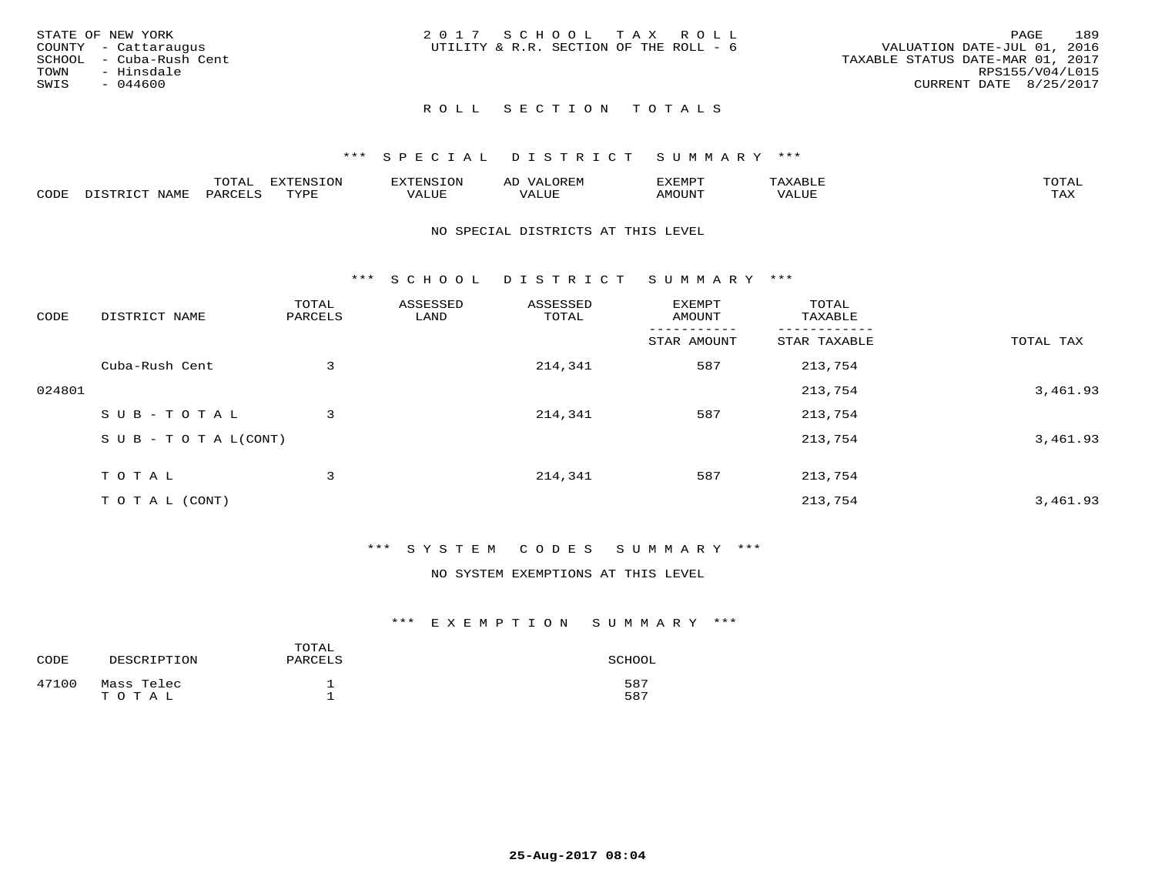| STATE OF NEW YORK |                         | 2017 SCHOOL TAX ROLL                   |  |  |                                  |                        | PAGE | 189 |
|-------------------|-------------------------|----------------------------------------|--|--|----------------------------------|------------------------|------|-----|
|                   | COUNTY - Cattaraugus    | UTILITY & R.R. SECTION OF THE ROLL - 6 |  |  | VALUATION DATE-JUL 01, 2016      |                        |      |     |
|                   | SCHOOL - Cuba-Rush Cent |                                        |  |  | TAXABLE STATUS DATE-MAR 01, 2017 |                        |      |     |
| TOWN              | - Hinsdale              |                                        |  |  |                                  | RPS155/V04/L015        |      |     |
| SWIS              | - 044600                |                                        |  |  |                                  | CURRENT DATE 8/25/2017 |      |     |
|                   |                         |                                        |  |  |                                  |                        |      |     |

## \*\*\* S P E C I A L D I S T R I C T S U M M A R Y \*\*\*

|      |                      | mom n | <b>ELIMENT CLOSE</b><br>LUP | ALS.               | ΑL            | ,,, <del>,</del> ,,, <del>,</del><br>، ب<br>- ۱٬۱۳۰ نا ۱٬ |                         |                    |
|------|----------------------|-------|-----------------------------|--------------------|---------------|-----------------------------------------------------------|-------------------------|--------------------|
| CODE | <b>NAMT</b><br>11.17 | PARC  | TVDF                        | <b>TTT</b><br>ALUR | T T T<br>ALUE | TUUOMA                                                    | . <del>.</del><br>'ALUL | $m \times r$<br>∸⊷ |

#### NO SPECIAL DISTRICTS AT THIS LEVEL

\*\*\* S C H O O L D I S T R I C T S U M M A R Y \*\*\*

| CODE   | DISTRICT NAME                    | TOTAL<br>PARCELS | ASSESSED<br>LAND | ASSESSED<br>TOTAL | <b>EXEMPT</b><br>AMOUNT | TOTAL<br>TAXABLE |           |
|--------|----------------------------------|------------------|------------------|-------------------|-------------------------|------------------|-----------|
|        |                                  |                  |                  |                   | STAR AMOUNT             | STAR TAXABLE     | TOTAL TAX |
|        | Cuba-Rush Cent                   | 3                |                  | 214,341           | 587                     | 213,754          |           |
| 024801 |                                  |                  |                  |                   |                         | 213,754          | 3,461.93  |
|        | SUB-TOTAL                        | 3                |                  | 214,341           | 587                     | 213,754          |           |
|        | $S \cup B - T \cup T A L (CONT)$ |                  |                  |                   |                         | 213,754          | 3,461.93  |
|        | TOTAL                            | 3                |                  | 214,341           | 587                     | 213,754          |           |
|        | T O T A L (CONT)                 |                  |                  |                   |                         | 213,754          | 3,461.93  |

### \*\*\* S Y S T E M C O D E S S U M M A R Y \*\*\*

NO SYSTEM EXEMPTIONS AT THIS LEVEL

| CODE  | DESCRIPTION         | TOTAL<br>PARCELS | SCHOOL     |
|-------|---------------------|------------------|------------|
| 47100 | Mass Telec<br>TOTAL |                  | 587<br>587 |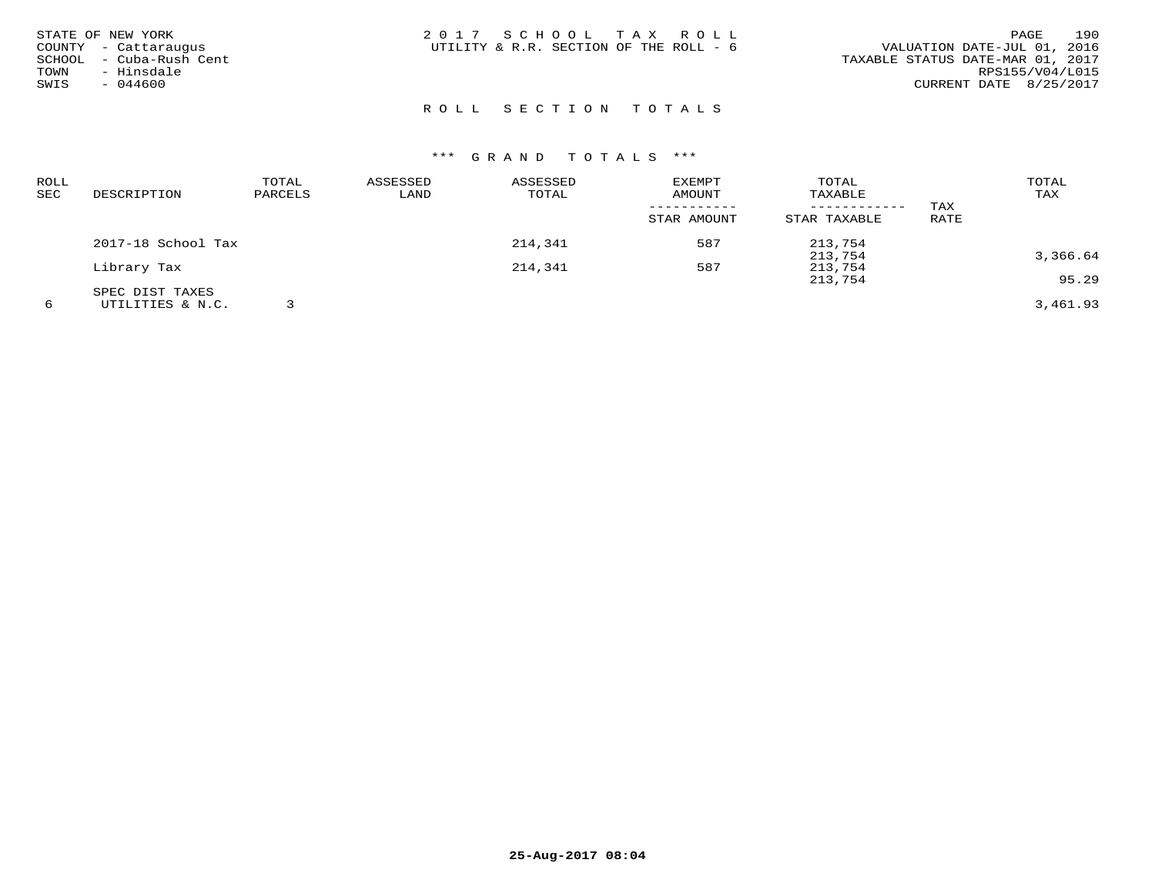|        | STATE OF NEW YORK    | 2017 SCHOOL TAX ROLL                   |  | 190<br><b>PAGE</b>               |
|--------|----------------------|----------------------------------------|--|----------------------------------|
|        | COUNTY - Cattaraugus | UTILITY & R.R. SECTION OF THE ROLL - 6 |  | VALUATION DATE-JUL 01, 2016      |
| SCHOOL | - Cuba-Rush Cent     |                                        |  | TAXABLE STATUS DATE-MAR 01, 2017 |
| TOWN   | - Hinsdale           |                                        |  | RPS155/V04/L015                  |
| SWIS   | $-044600$            |                                        |  | CURRENT DATE 8/25/2017           |
|        |                      |                                        |  |                                  |

| ROLL |                    | TOTAL   | ASSESSED | ASSESSED | <b>EXEMPT</b> | TOTAL        |      | TOTAL    |
|------|--------------------|---------|----------|----------|---------------|--------------|------|----------|
| SEC  | DESCRIPTION        | PARCELS | LAND     | TOTAL    | AMOUNT        | TAXABLE      |      | TAX      |
|      |                    |         |          |          |               | ------------ | TAX  |          |
|      |                    |         |          |          | STAR AMOUNT   | STAR TAXABLE | RATE |          |
|      | 2017-18 School Tax |         |          | 214,341  | 587           | 213,754      |      |          |
|      |                    |         |          |          |               | 213,754      |      | 3,366.64 |
|      | Library Tax        |         |          | 214,341  | 587           | 213,754      |      |          |
|      |                    |         |          |          |               | 213,754      |      | 95.29    |
|      | SPEC DIST TAXES    |         |          |          |               |              |      |          |
| 6    | UTILITIES & N.C.   |         |          |          |               |              |      | 3,461.93 |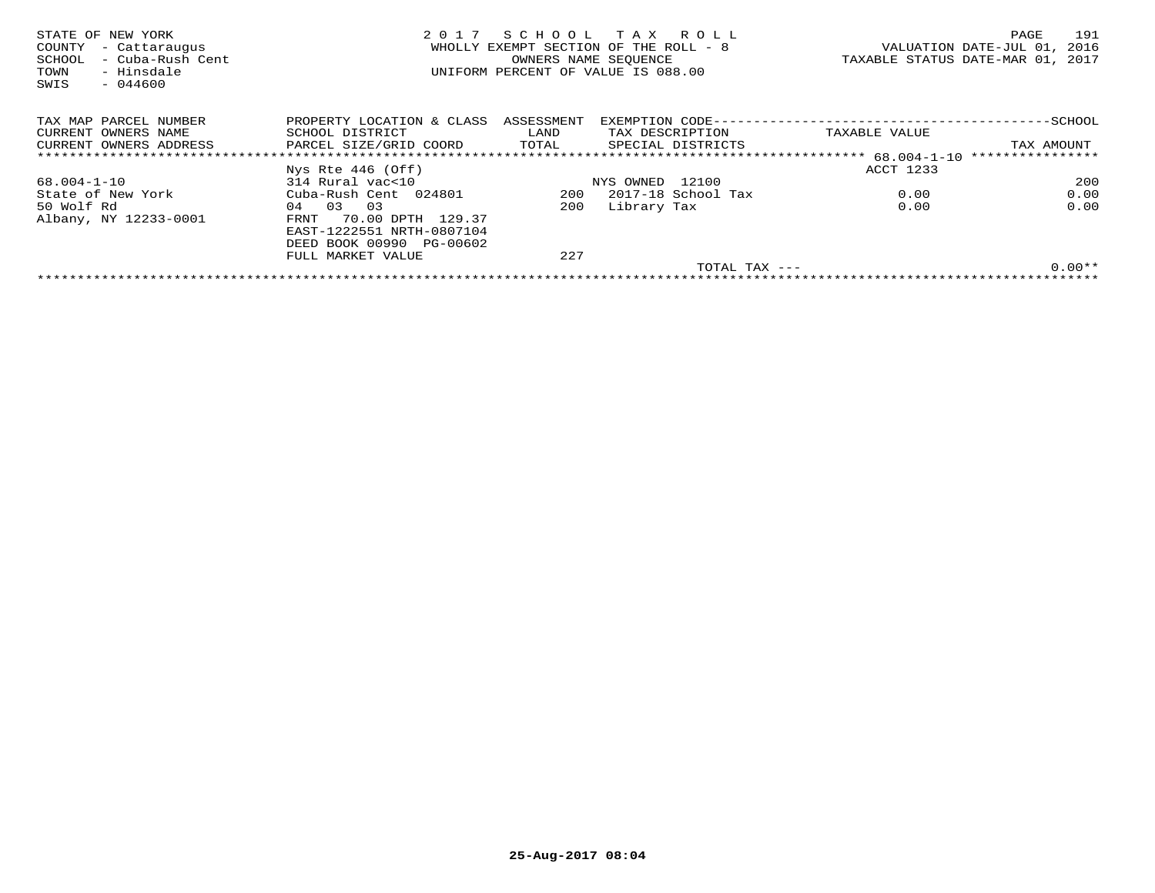| STATE OF NEW YORK<br>COUNTY<br>- Cattaraugus<br>- Cuba-Rush Cent<br>SCHOOL<br>- Hinsdale<br>TOWN<br>SWIS<br>$-044600$ | 2017                                 | SCHOOL TAX ROLL<br>WHOLLY EXEMPT SECTION OF THE ROLL - 8<br>OWNERS NAME SEOUENCE<br>UNIFORM PERCENT OF VALUE IS 088.00 |                 |                     | TAXABLE STATUS DATE-MAR 01, 2017          | PAGE<br>VALUATION DATE-JUL 01, | 191<br>2016 |
|-----------------------------------------------------------------------------------------------------------------------|--------------------------------------|------------------------------------------------------------------------------------------------------------------------|-----------------|---------------------|-------------------------------------------|--------------------------------|-------------|
| TAX MAP PARCEL NUMBER                                                                                                 | PROPERTY LOCATION & CLASS ASSESSMENT |                                                                                                                        |                 |                     | EXEMPTION CODE--------------------------- |                                | $-$ SCHOOL  |
| CURRENT OWNERS NAME                                                                                                   | SCHOOL DISTRICT                      | LAND                                                                                                                   |                 | TAX DESCRIPTION     | TAXABLE VALUE                             |                                |             |
| CURRENT OWNERS ADDRESS                                                                                                | PARCEL SIZE/GRID COORD               | TOTAL                                                                                                                  |                 | SPECIAL DISTRICTS   |                                           | TAX AMOUNT                     |             |
|                                                                                                                       |                                      |                                                                                                                        |                 |                     |                                           |                                |             |
|                                                                                                                       | $Nys$ Rte 446 (Off)                  |                                                                                                                        |                 |                     | ACCT 1233                                 |                                |             |
| 68.004-1-10                                                                                                           | 314 Rural vac<10                     |                                                                                                                        | NYS OWNED 12100 |                     |                                           |                                | 200         |
| State of New York                                                                                                     | Cuba-Rush Cent 024801                | 200                                                                                                                    |                 | 2017-18 School Tax  | 0.00                                      |                                | 0.00        |
| 50 Wolf Rd                                                                                                            | 04 03 03                             | 200                                                                                                                    | Library Tax     |                     | 0.00                                      |                                | 0.00        |
| Albany, NY 12233-0001                                                                                                 | 70.00 DPTH 129.37<br>FRNT            |                                                                                                                        |                 |                     |                                           |                                |             |
|                                                                                                                       | EAST-1222551 NRTH-0807104            |                                                                                                                        |                 |                     |                                           |                                |             |
|                                                                                                                       | DEED BOOK 00990 PG-00602             |                                                                                                                        |                 |                     |                                           |                                |             |
|                                                                                                                       | FULL MARKET VALUE                    | 227                                                                                                                    |                 |                     |                                           |                                |             |
|                                                                                                                       |                                      |                                                                                                                        |                 | $TOTAL$ $TAX$ $---$ |                                           |                                | $0.00**$    |
|                                                                                                                       |                                      |                                                                                                                        |                 |                     |                                           |                                |             |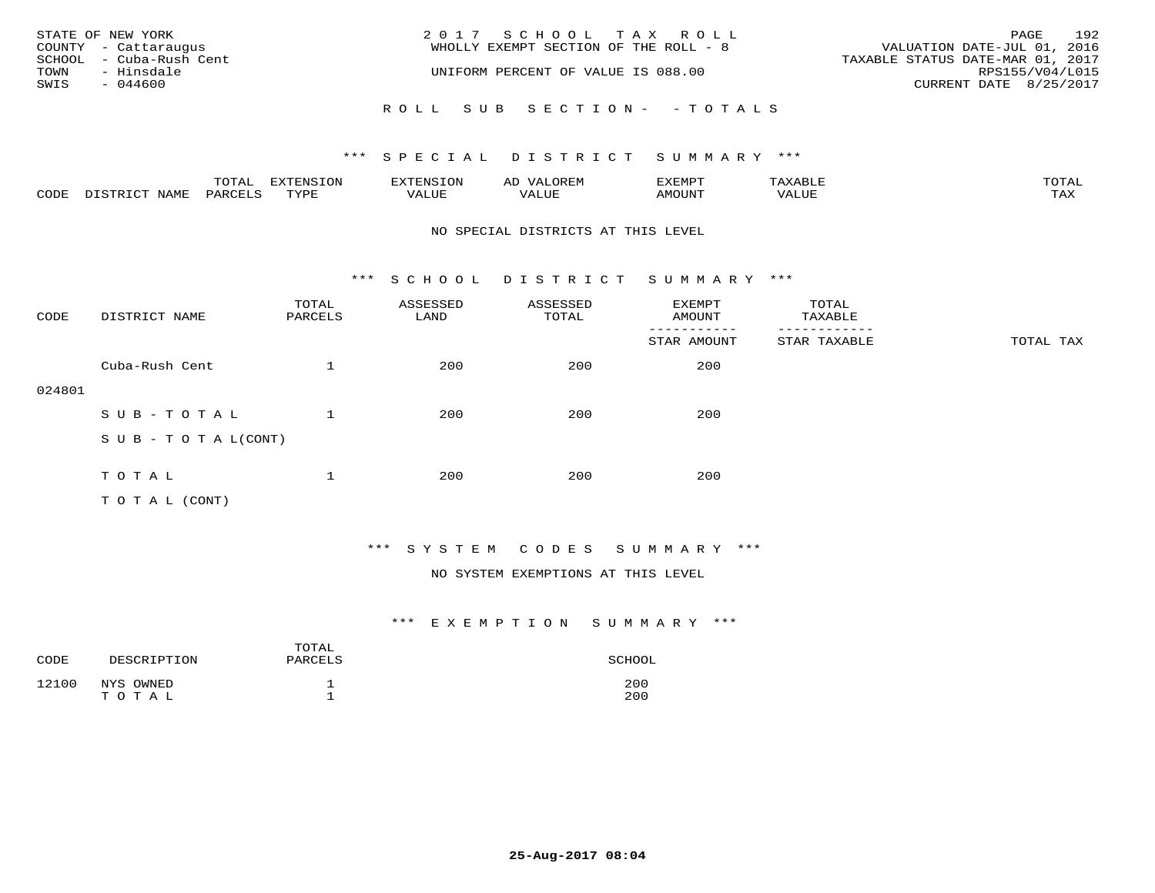|      | STATE OF NEW YORK       | 2017 SCHOOL TAX ROLL                  |                                  | PAGE | 192 |
|------|-------------------------|---------------------------------------|----------------------------------|------|-----|
|      | COUNTY - Cattaraugus    | WHOLLY EXEMPT SECTION OF THE ROLL - 8 | VALUATION DATE-JUL 01, 2016      |      |     |
|      | SCHOOL - Cuba-Rush Cent |                                       | TAXABLE STATUS DATE-MAR 01, 2017 |      |     |
| TOWN | - Hinsdale              | UNIFORM PERCENT OF VALUE IS 088.00    | RPS155/V04/L015                  |      |     |
| SWIS | $-044600$               |                                       | CURRENT DATE 8/25/2017           |      |     |
|      |                         | ROLL SUB SECTION- - TOTALS            |                                  |      |     |

|      |                  | TOTAL   | <b>DYMONIC TONT</b><br>7.NR TOIZ | 'ENS. | OREM<br>AL'           | דים איה צי | $x \sim$ $\sim$ | TOTAI |
|------|------------------|---------|----------------------------------|-------|-----------------------|------------|-----------------|-------|
| CODE | DISTRICT<br>NAME | PARCELS | TVDF<br>ت ہے۔                    | VALUE | <b>TATTT</b><br>VALUE | AMOUNT     | VALUE           | TAX   |

#### NO SPECIAL DISTRICTS AT THIS LEVEL

\*\*\* S C H O O L D I S T R I C T S U M M A R Y \*\*\*

| CODE   | DISTRICT NAME              | TOTAL<br>PARCELS | ASSESSED<br>LAND | ASSESSED<br>TOTAL | EXEMPT<br>AMOUNT | TOTAL<br>TAXABLE |           |
|--------|----------------------------|------------------|------------------|-------------------|------------------|------------------|-----------|
|        |                            |                  |                  |                   | STAR AMOUNT      | STAR TAXABLE     | TOTAL TAX |
|        | Cuba-Rush Cent             |                  | 200              | 200               | 200              |                  |           |
| 024801 |                            |                  |                  |                   |                  |                  |           |
|        | SUB-TOTAL                  |                  | 200              | 200               | 200              |                  |           |
|        | S U B - T O T A $L$ (CONT) |                  |                  |                   |                  |                  |           |
|        |                            |                  |                  |                   |                  |                  |           |
|        | TOTAL                      | 1                | 200              | 200               | 200              |                  |           |
|        | T O T A L (CONT)           |                  |                  |                   |                  |                  |           |

## \*\*\* S Y S T E M C O D E S S U M M A R Y \*\*\*

### NO SYSTEM EXEMPTIONS AT THIS LEVEL

| CODE  | DESCRIPTION        | TOTAL<br>PARCELS | SCHOOL     |
|-------|--------------------|------------------|------------|
| 12100 | NYS OWNED<br>TOTAL |                  | 200<br>200 |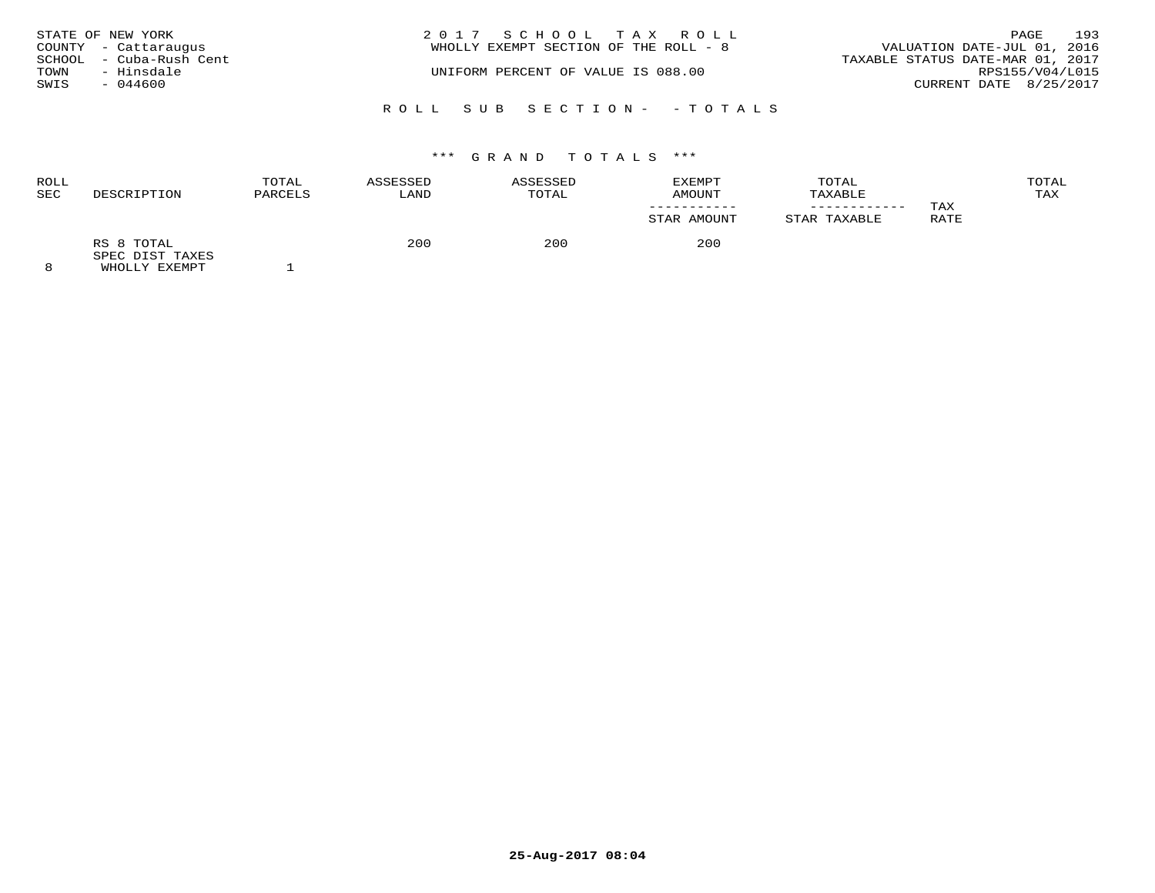|      | STATE OF NEW YORK<br>COUNTY - Cattaraugus | 2017 SCHOOL TAX ROLL<br>WHOLLY EXEMPT SECTION OF THE ROLL - 8 | PAGE<br>VALUATION DATE-JUL 01, 2016                 | 193 |
|------|-------------------------------------------|---------------------------------------------------------------|-----------------------------------------------------|-----|
| TOWN | SCHOOL - Cuba-Rush Cent<br>- Hinsdale     | UNIFORM PERCENT OF VALUE IS 088.00                            | TAXABLE STATUS DATE-MAR 01, 2017<br>RPS155/V04/L015 |     |
| SWIS | $-044600$                                 |                                                               | CURRENT DATE 8/25/2017                              |     |
|      |                                           | ROLL SUB SECTION- - TOTALS                                    |                                                     |     |

# \*\*\* G R A N D T O T A L S \*\*\*

| <b>ROLL</b><br><b>SEC</b> | DESCRIPTION                   | TOTAL<br>PARCELS | ASSESSED<br>LAND | ASSESSED<br>TOTAL | EXEMPT<br>AMOUNT<br>STAR AMOUNT | TOTAL<br>TAXABLE<br>STAR TAXABLE | TAX<br>RATE | TOTAL<br>TAX |
|---------------------------|-------------------------------|------------------|------------------|-------------------|---------------------------------|----------------------------------|-------------|--------------|
| $\sim$                    | RS 8 TOTAL<br>SPEC DIST TAXES |                  | 200              | 200               | 200                             |                                  |             |              |

8 WHOLLY EXEMPT 1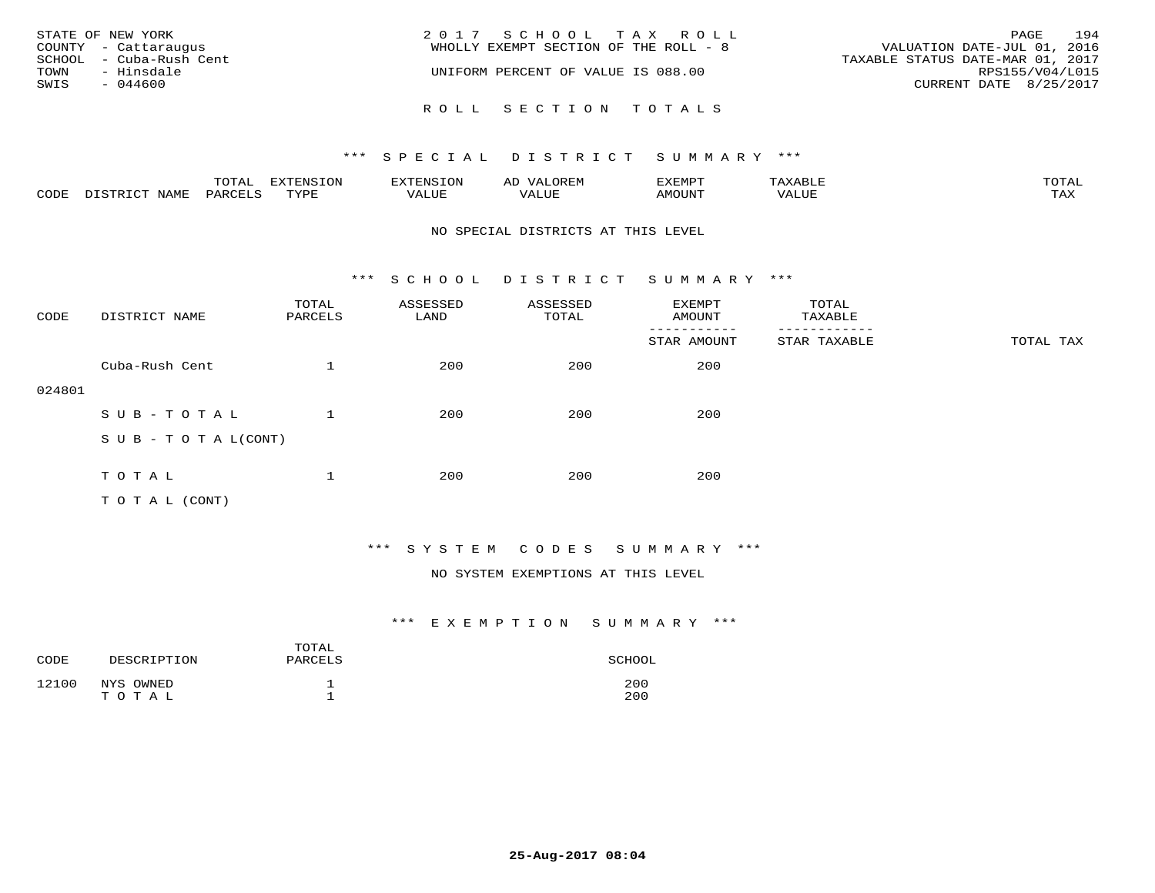| STATE OF NEW YORK<br>COUNTY - Cattaraugus     | 2017 SCHOOL TAX ROLL<br>WHOLLY EXEMPT SECTION OF THE ROLL - 8 | 194<br>PAGE<br>VALUATION DATE-JUL 01, 2016          |
|-----------------------------------------------|---------------------------------------------------------------|-----------------------------------------------------|
| SCHOOL - Cuba-Rush Cent<br>TOWN<br>- Hinsdale | UNIFORM PERCENT OF VALUE IS 088.00                            | TAXABLE STATUS DATE-MAR 01, 2017<br>RPS155/V04/L015 |
| SWIS<br>$-044600$                             |                                                               | CURRENT DATE 8/25/2017                              |
|                                               | ROLL SECTION TOTALS                                           |                                                     |

|      |                  | TOTAL   | EXTENSION | <b>EXTENSION</b> | OREM<br>ΑD          | <b>EXEMPT</b> |       | TOTAI |
|------|------------------|---------|-----------|------------------|---------------------|---------------|-------|-------|
| CODE | NAMF<br>DISTRICT | PARCELS | TYPE      | 777T<br>VALUE    | <b><i>JALUE</i></b> | AMOUNT        | VALUE | TAX   |

#### NO SPECIAL DISTRICTS AT THIS LEVEL

\*\*\* S C H O O L D I S T R I C T S U M M A R Y \*\*\*

| CODE   | DISTRICT NAME              | TOTAL<br>PARCELS | ASSESSED<br>LAND | ASSESSED<br>TOTAL | EXEMPT<br>AMOUNT | TOTAL<br>TAXABLE |           |
|--------|----------------------------|------------------|------------------|-------------------|------------------|------------------|-----------|
|        |                            |                  |                  |                   | STAR AMOUNT      | STAR TAXABLE     | TOTAL TAX |
|        | Cuba-Rush Cent             | $\mathbf{a}$     | 200              | 200               | 200              |                  |           |
| 024801 |                            |                  |                  |                   |                  |                  |           |
|        | SUB-TOTAL                  |                  | 200              | 200               | 200              |                  |           |
|        | S U B - T O T A $L$ (CONT) |                  |                  |                   |                  |                  |           |
|        |                            | 1                | 200              | 200               | 200              |                  |           |
|        | TOTAL                      |                  |                  |                   |                  |                  |           |
|        | T O T A L (CONT)           |                  |                  |                   |                  |                  |           |

## \*\*\* S Y S T E M C O D E S S U M M A R Y \*\*\*

### NO SYSTEM EXEMPTIONS AT THIS LEVEL

| CODE  | DESCRIPTION        | TOTAL<br>PARCELS | SCHOOL     |
|-------|--------------------|------------------|------------|
| 12100 | NYS OWNED<br>TOTAL |                  | 200<br>200 |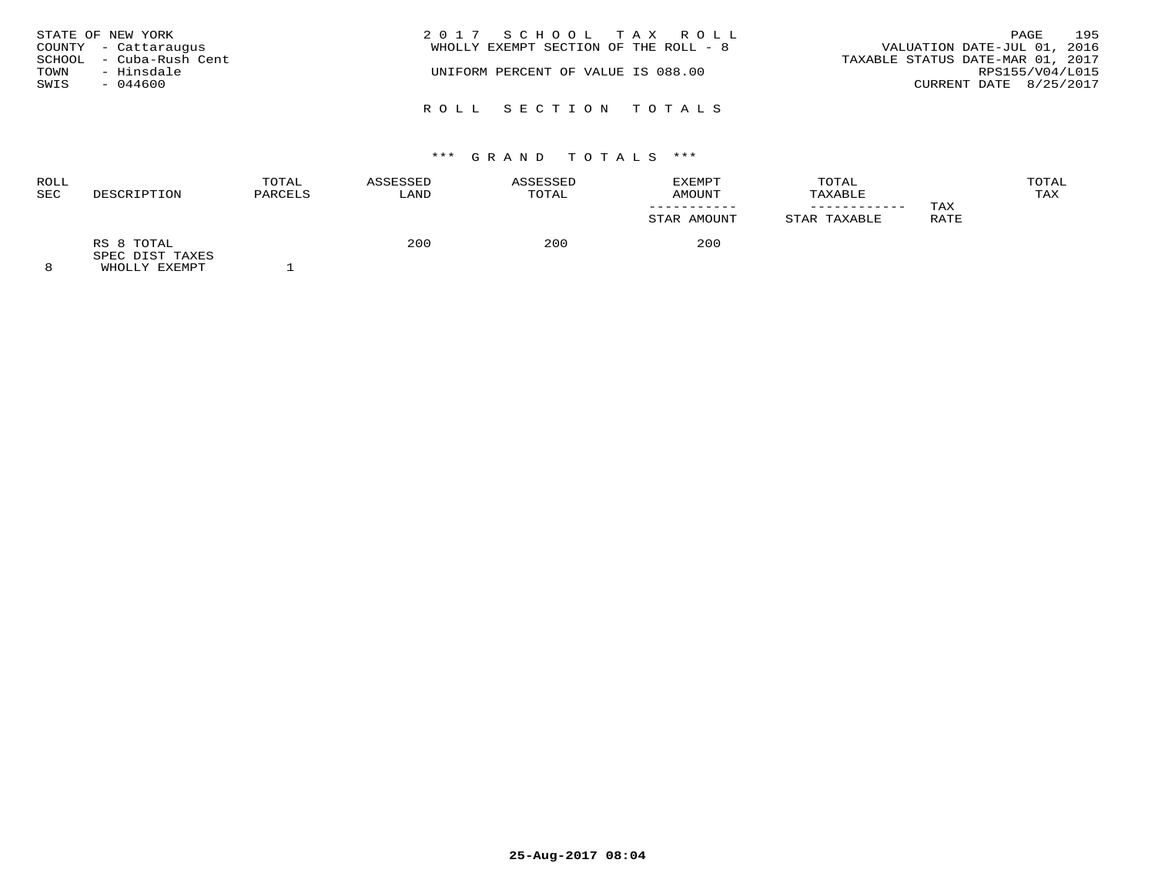|      | STATE OF NEW YORK       | 2017 SCHOOL TAX ROLL                                                 | PAGE            | 195 |
|------|-------------------------|----------------------------------------------------------------------|-----------------|-----|
|      | COUNTY - Cattaraugus    | VALUATION DATE-JUL 01, 2016<br>WHOLLY EXEMPT SECTION OF THE ROLL - 8 |                 |     |
|      | SCHOOL - Cuba-Rush Cent | TAXABLE STATUS DATE-MAR 01, 2017                                     |                 |     |
| TOWN | - Hinsdale              | UNIFORM PERCENT OF VALUE IS 088.00                                   | RPS155/V04/L015 |     |
| SWIS | $-044600$               | CURRENT DATE 8/25/2017                                               |                 |     |
|      |                         | ROLL SECTION TOTALS                                                  |                 |     |

# \*\*\* G R A N D T O T A L S \*\*\*

| ROLL<br>SEC | DESCRIPTION                   | TOTAL<br>PARCELS | ASSESSED<br>LAND | ASSESSED<br>TOTAL | EXEMPT<br>AMOUNT<br>STAR AMOUNT | TOTAL<br>TAXABLE<br>STAR TAXABLE | TAX<br>RATE | TOTAL<br>TAX |
|-------------|-------------------------------|------------------|------------------|-------------------|---------------------------------|----------------------------------|-------------|--------------|
| $\sim$      | RS 8 TOTAL<br>SPEC DIST TAXES |                  | 200              | 200               | 200                             |                                  |             |              |

8 WHOLLY EXEMPT 1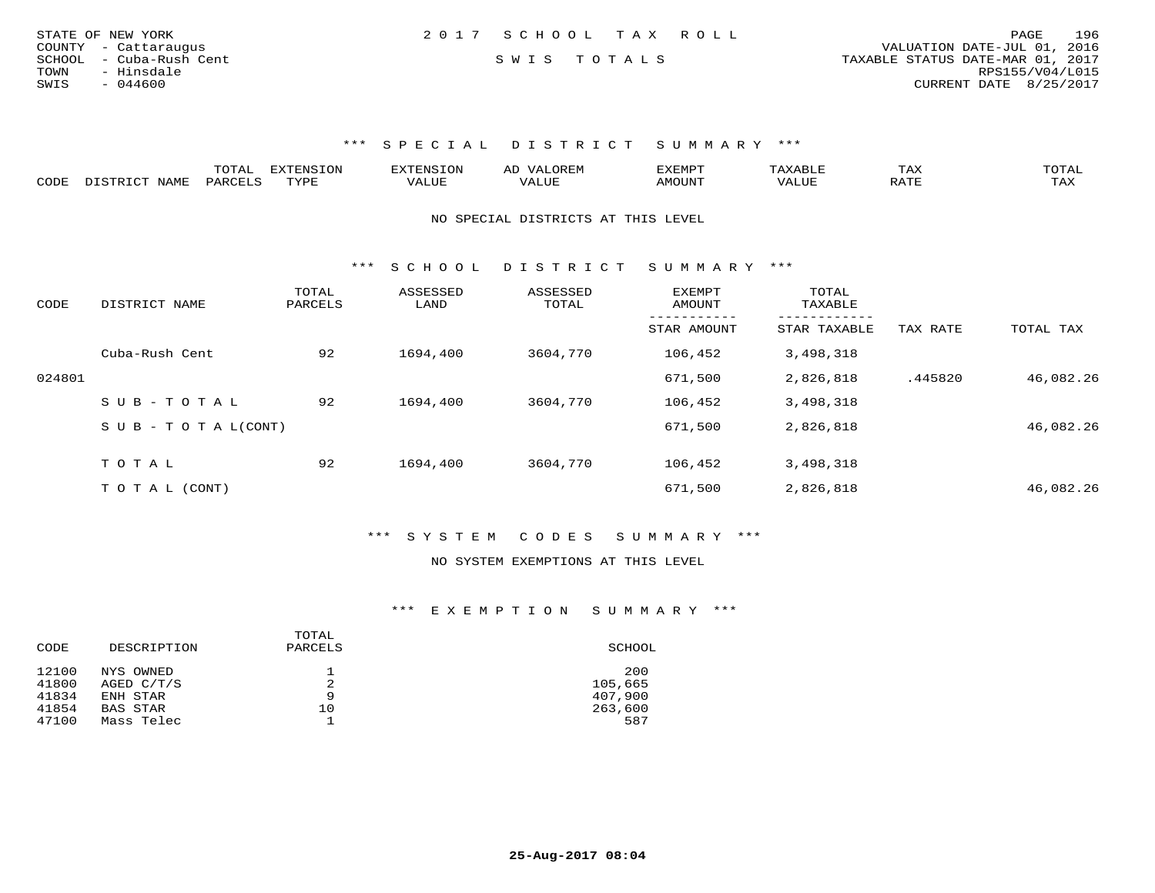| STATE OF NEW YORK       | 2017 SCHOOL TAX ROLL |  | 196<br>PAGE                      |
|-------------------------|----------------------|--|----------------------------------|
| COUNTY - Cattaraugus    |                      |  | VALUATION DATE-JUL 01, 2016      |
| SCHOOL - Cuba-Rush Cent | SWIS TOTALS          |  | TAXABLE STATUS DATE-MAR 01, 2017 |
| - Hinsdale<br>TOWN      |                      |  | RPS155/V04/L015                  |
| SWIS<br>$-044600$       |                      |  | CURRENT DATE 8/25/2017           |
|                         |                      |  |                                  |

|      |             | m^m*`<br><u>UIAI</u> | <b>FYTFNSTON</b><br>◡◡ |  | $\mathbf{r}$<br>'YFMF | TAX              | ົບ⊥⊏⊾ |
|------|-------------|----------------------|------------------------|--|-----------------------|------------------|-------|
| CODE | <b>NAME</b> | <b>DARCET</b>        | TVDF                   |  | OUN.                  | .7mm<br>$\cdots$ | L'AX  |

NO SPECIAL DISTRICTS AT THIS LEVEL

\*\*\* S C H O O L D I S T R I C T S U M M A R Y \*\*\*

| CODE   | DISTRICT NAME                    | TOTAL<br>PARCELS | ASSESSED<br>LAND | ASSESSED<br>TOTAL | EXEMPT<br>AMOUNT | TOTAL<br>TAXABLE |          |           |
|--------|----------------------------------|------------------|------------------|-------------------|------------------|------------------|----------|-----------|
|        |                                  |                  |                  |                   | STAR AMOUNT      | STAR TAXABLE     | TAX RATE | TOTAL TAX |
|        | Cuba-Rush Cent                   | 92               | 1694,400         | 3604,770          | 106,452          | 3,498,318        |          |           |
| 024801 |                                  |                  |                  |                   | 671,500          | 2,826,818        | .445820  | 46,082.26 |
|        | SUB-TOTAL                        | 92               | 1694,400         | 3604,770          | 106,452          | 3,498,318        |          |           |
|        | $S \cup B - T \cup T A L (CONT)$ |                  |                  |                   | 671,500          | 2,826,818        |          | 46,082.26 |
|        | TOTAL                            | 92               | 1694,400         | 3604,770          | 106,452          | 3,498,318        |          |           |
|        |                                  |                  |                  |                   |                  |                  |          |           |
|        | T O T A L (CONT)                 |                  |                  |                   | 671,500          | 2,826,818        |          | 46,082.26 |

\*\*\* S Y S T E M C O D E S S U M M A R Y \*\*\*

#### NO SYSTEM EXEMPTIONS AT THIS LEVEL

| CODE  | DESCRIPTION | TOTAL<br>PARCELS | SCHOOL  |
|-------|-------------|------------------|---------|
| 12100 | NYS OWNED   |                  | 200     |
| 41800 | AGED C/T/S  |                  | 105,665 |
| 41834 | ENH STAR    | 9                | 407,900 |
| 41854 | BAS STAR    | 10               | 263,600 |
| 47100 | Mass Telec  |                  | 587     |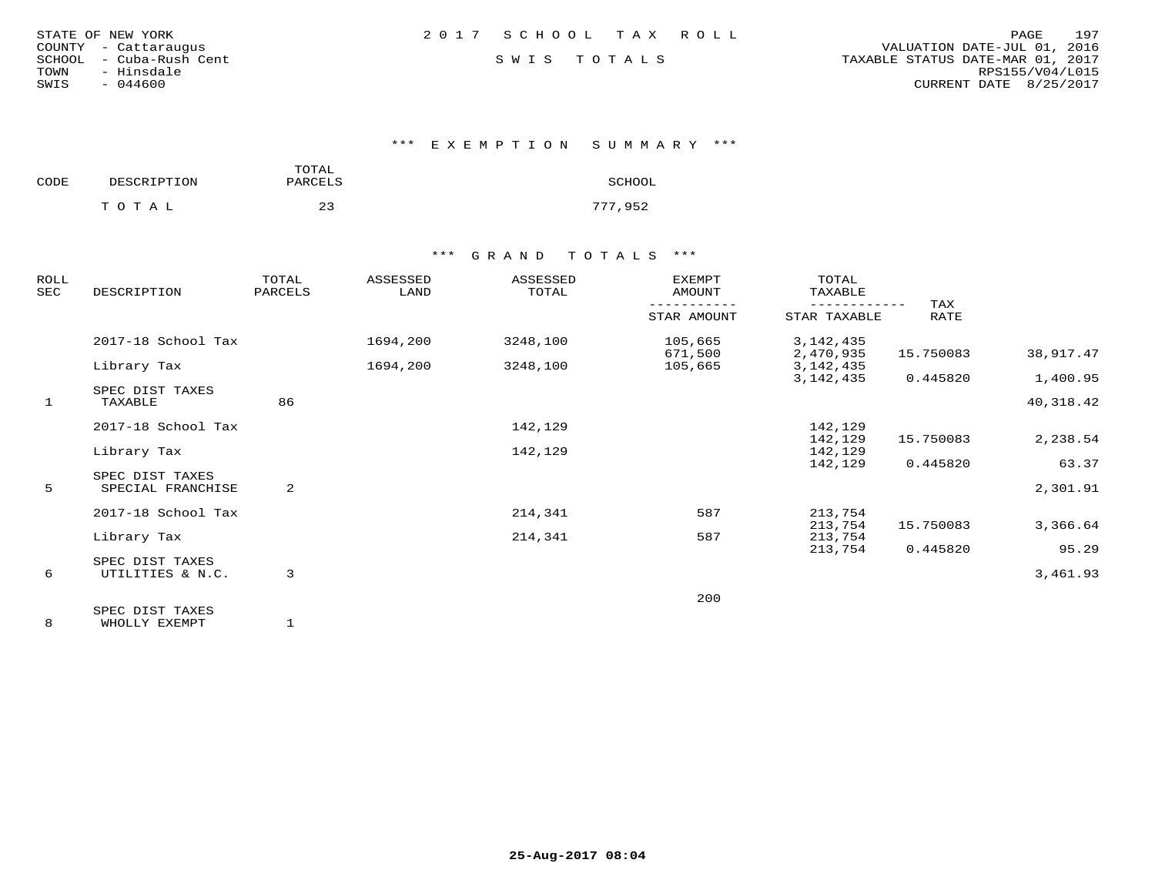| STATE OF NEW YORK |  |               |                  |
|-------------------|--|---------------|------------------|
| COUNTY            |  | - Cattaraugus |                  |
| SCHOOL            |  |               | - Cuba-Rush Cent |
| TOWN              |  | - Hinsdale    |                  |
| SWIS              |  | $-044600$     |                  |

\*\*\* E X E M P T I O N S U M M A R Y \*\*\*

| CODE | DESCRIPTION | TOTAL<br>PARCELS | SCHOOL  |
|------|-------------|------------------|---------|
|      | TOTAL       | 23               | 777,952 |

## \*\*\* G R A N D T O T A L S \*\*\*

| ROLL<br>SEC | DESCRIPTION                          | TOTAL<br>PARCELS | ASSESSED<br>LAND | ASSESSED<br>TOTAL | <b>EXEMPT</b><br>AMOUNT | TOTAL<br>TAXABLE           | TAX       |           |
|-------------|--------------------------------------|------------------|------------------|-------------------|-------------------------|----------------------------|-----------|-----------|
|             |                                      |                  |                  |                   | STAR AMOUNT             | STAR TAXABLE               | RATE      |           |
|             | 2017-18 School Tax                   |                  | 1694,200         | 3248,100          | 105,665                 | 3, 142, 435                |           |           |
|             |                                      |                  |                  |                   | 671,500                 | 2,470,935                  | 15.750083 | 38,917.47 |
|             | Library Tax                          |                  | 1694,200         | 3248,100          | 105,665                 | 3, 142, 435<br>3, 142, 435 | 0.445820  | 1,400.95  |
|             | SPEC DIST TAXES                      |                  |                  |                   |                         |                            |           |           |
| 1           | TAXABLE                              | 86               |                  |                   |                         |                            |           | 40,318.42 |
|             | 2017-18 School Tax                   |                  |                  | 142,129           |                         | 142,129                    |           |           |
|             |                                      |                  |                  |                   |                         | 142,129                    | 15.750083 | 2,238.54  |
|             | Library Tax                          |                  |                  | 142,129           |                         | 142,129                    |           |           |
|             |                                      |                  |                  |                   |                         | 142,129                    | 0.445820  | 63.37     |
| 5           | SPEC DIST TAXES<br>SPECIAL FRANCHISE | 2                |                  |                   |                         |                            |           | 2,301.91  |
|             |                                      |                  |                  |                   |                         |                            |           |           |
|             | 2017-18 School Tax                   |                  |                  | 214,341           | 587                     | 213,754                    |           |           |
|             |                                      |                  |                  |                   |                         | 213,754                    | 15.750083 | 3,366.64  |
|             | Library Tax                          |                  |                  | 214,341           | 587                     | 213,754                    |           |           |
|             |                                      |                  |                  |                   |                         | 213,754                    | 0.445820  | 95.29     |
|             | SPEC DIST TAXES                      |                  |                  |                   |                         |                            |           |           |
| 6           | UTILITIES & N.C.                     | 3                |                  |                   |                         |                            |           | 3,461.93  |
|             |                                      |                  |                  |                   | 200                     |                            |           |           |
|             | SPEC DIST TAXES                      |                  |                  |                   |                         |                            |           |           |

8 WHOLLY EXEMPT 1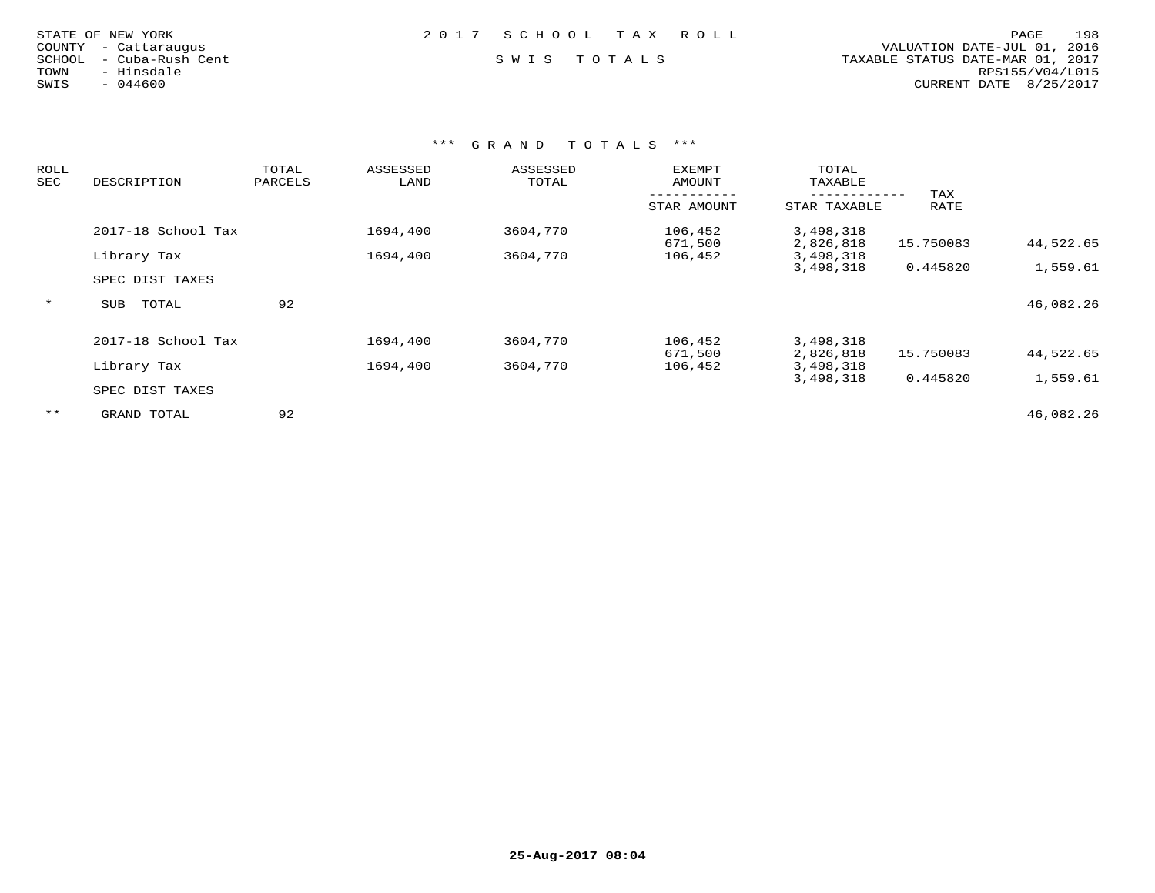| STATE OF NEW YORK |  |                  |  |
|-------------------|--|------------------|--|
| COUNTY            |  | - Cattaraugus    |  |
| SCHOOL            |  | - Cuba-Rush Cent |  |
| TOWN              |  | - Hinsdale       |  |
| SWIS              |  | $-044600$        |  |

### STATE OF NEW YORK 2 0 1 7 S C H O O L T A X R O L L PAGE 198

 COUNTY - Cattaraugus VALUATION DATE-JUL 01, 2016 SCHOOL - Cuba-Rush Cent S W I S T O T A L S TAXABLE STATUS DATE-MAR 01, 2017 TOWN - Hinsdale RPS155/V04/L015SWIS - 044600 CURRENT DATE 8/25/2017

| ROLL<br>SEC | DESCRIPTION         | TOTAL<br>PARCELS | ASSESSED<br>LAND | ASSESSED<br>TOTAL | <b>EXEMPT</b><br>AMOUNT | TOTAL<br>TAXABLE             |             |           |
|-------------|---------------------|------------------|------------------|-------------------|-------------------------|------------------------------|-------------|-----------|
|             |                     |                  |                  |                   | STAR AMOUNT             | ------------<br>STAR TAXABLE | TAX<br>RATE |           |
|             | 2017-18 School Tax  |                  | 1694,400         | 3604,770          | 106,452<br>671,500      | 3,498,318<br>2,826,818       | 15.750083   | 44,522.65 |
|             | Library Tax         |                  | 1694,400         | 3604,770          | 106,452                 | 3,498,318                    |             |           |
|             |                     |                  |                  |                   |                         | 3,498,318                    | 0.445820    | 1,559.61  |
|             | SPEC DIST TAXES     |                  |                  |                   |                         |                              |             |           |
| $\star$     | TOTAL<br><b>SUB</b> | 92               |                  |                   |                         |                              |             | 46,082.26 |
|             | 2017-18 School Tax  |                  | 1694,400         | 3604,770          | 106,452                 | 3,498,318                    |             |           |
|             |                     |                  |                  |                   | 671,500                 | 2,826,818                    | 15.750083   | 44,522.65 |
|             | Library Tax         |                  | 1694,400         | 3604,770          | 106,452                 | 3,498,318<br>3,498,318       | 0.445820    | 1,559.61  |
|             | SPEC DIST TAXES     |                  |                  |                   |                         |                              |             |           |
| $***$       | GRAND TOTAL         | 92               |                  |                   |                         |                              |             | 46,082.26 |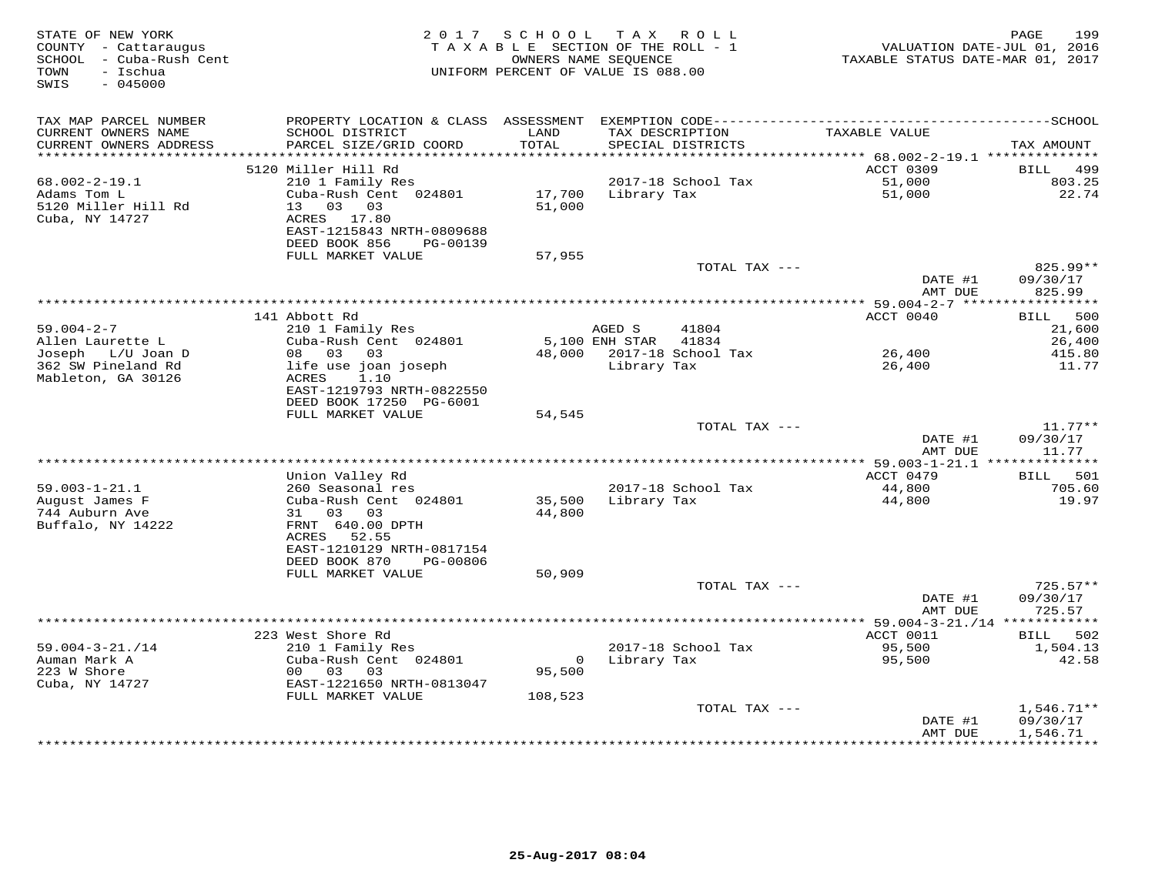| STATE OF NEW YORK<br>COUNTY - Cattaraugus<br>SCHOOL - Cuba-Rush Cent<br>- Ischua<br>TOWN<br>$-045000$<br>SWIS | 2 0 1 7                                                                                                                           | SCHOOL TAX        | ROLL<br>TAXABLE SECTION OF THE ROLL - 1<br>OWNERS NAME SEQUENCE<br>UNIFORM PERCENT OF VALUE IS 088.00 | TAXABLE STATUS DATE-MAR 01, 2017             | 199<br>PAGE<br>VALUATION DATE-JUL 01, 2016 |
|---------------------------------------------------------------------------------------------------------------|-----------------------------------------------------------------------------------------------------------------------------------|-------------------|-------------------------------------------------------------------------------------------------------|----------------------------------------------|--------------------------------------------|
| TAX MAP PARCEL NUMBER                                                                                         | PROPERTY LOCATION & CLASS ASSESSMENT EXEMPTION CODE-----------------------------------SCHOOL                                      |                   |                                                                                                       |                                              |                                            |
| CURRENT OWNERS NAME<br>CURRENT OWNERS ADDRESS<br>***********************                                      | SCHOOL DISTRICT<br>PARCEL SIZE/GRID COORD                                                                                         | LAND<br>TOTAL     | TAX DESCRIPTION<br>SPECIAL DISTRICTS                                                                  | TAXABLE VALUE                                | TAX AMOUNT                                 |
|                                                                                                               | 5120 Miller Hill Rd                                                                                                               |                   |                                                                                                       | ACCT 0309                                    | <b>BILL</b><br>499                         |
| $68.002 - 2 - 19.1$                                                                                           | 210 1 Family Res                                                                                                                  |                   | 2017-18 School Tax                                                                                    | 51,000                                       | 803.25                                     |
| Adams Tom L<br>5120 Miller Hill Rd<br>Cuba, NY 14727                                                          | Cuba-Rush Cent 024801<br>13 03 03<br>ACRES 17.80                                                                                  | 17,700<br>51,000  | Library Tax                                                                                           | 51,000                                       | 22.74                                      |
|                                                                                                               | EAST-1215843 NRTH-0809688<br>DEED BOOK 856<br>PG-00139<br>FULL MARKET VALUE                                                       | 57,955            |                                                                                                       |                                              |                                            |
|                                                                                                               |                                                                                                                                   |                   | TOTAL TAX ---                                                                                         |                                              | $825.99**$                                 |
|                                                                                                               |                                                                                                                                   |                   |                                                                                                       | DATE #1<br>AMT DUE                           | 09/30/17<br>825.99                         |
|                                                                                                               |                                                                                                                                   |                   |                                                                                                       |                                              |                                            |
| $59.004 - 2 - 7$                                                                                              | 141 Abbott Rd<br>210 1 Family Res                                                                                                 |                   | AGED S<br>41804                                                                                       | ACCT 0040                                    | 500<br>BILL<br>21,600                      |
| Allen Laurette L                                                                                              | Cuba-Rush Cent 024801                                                                                                             |                   | 5,100 ENH STAR<br>41834                                                                               |                                              | 26,400                                     |
| Joseph L/U Joan D                                                                                             | 08 03<br>03                                                                                                                       |                   | 48,000 2017-18 School Tax                                                                             | 26,400                                       | 415.80                                     |
| 362 SW Pineland Rd<br>Mableton, GA 30126                                                                      | life use joan joseph<br><b>ACRES</b><br>1.10<br>EAST-1219793 NRTH-0822550                                                         |                   | Library Tax                                                                                           | 26,400                                       | 11.77                                      |
|                                                                                                               | DEED BOOK 17250 PG-6001                                                                                                           |                   |                                                                                                       |                                              |                                            |
|                                                                                                               | FULL MARKET VALUE                                                                                                                 | 54,545            |                                                                                                       |                                              |                                            |
|                                                                                                               |                                                                                                                                   |                   | TOTAL TAX ---                                                                                         | DATE #1<br>AMT DUE                           | $11.77**$<br>09/30/17<br>11.77             |
|                                                                                                               |                                                                                                                                   |                   |                                                                                                       | *************** 59.003-1-21.1 ************** |                                            |
|                                                                                                               | Union Valley Rd                                                                                                                   |                   |                                                                                                       | ACCT 0479                                    | 501<br>BILL                                |
| $59.003 - 1 - 21.1$                                                                                           | 260 Seasonal res                                                                                                                  |                   | 2017-18 School Tax                                                                                    | 44,800                                       | 705.60                                     |
| August James F<br>744 Auburn Ave<br>Buffalo, NY 14222                                                         | Cuba-Rush Cent 024801<br>31 03 03<br>FRNT 640.00 DPTH<br>52.55<br>ACRES<br>EAST-1210129 NRTH-0817154<br>DEED BOOK 870<br>PG-00806 | 35,500<br>44,800  | Library Tax                                                                                           | 44,800                                       | 19.97                                      |
|                                                                                                               | FULL MARKET VALUE                                                                                                                 | 50,909            |                                                                                                       |                                              |                                            |
|                                                                                                               |                                                                                                                                   |                   | TOTAL TAX ---                                                                                         | DATE #1<br>AMT DUE                           | $725.57**$<br>09/30/17<br>725.57           |
|                                                                                                               |                                                                                                                                   |                   | *************************                                                                             | ** $59.004 - 3 - 21. / 14$ ************      |                                            |
|                                                                                                               | 223 West Shore Rd                                                                                                                 |                   |                                                                                                       | ACCT 0011                                    | 502<br>BILL                                |
| $59.004 - 3 - 21. / 14$<br>Auman Mark A<br>223 W Shore                                                        | 210 1 Family Res<br>Cuba-Rush Cent 024801<br>00 03<br>03                                                                          | $\circ$<br>95,500 | 2017-18 School Tax<br>Library Tax                                                                     | 95,500<br>95,500                             | 1,504.13<br>42.58                          |
| Cuba, NY 14727                                                                                                | EAST-1221650 NRTH-0813047                                                                                                         |                   |                                                                                                       |                                              |                                            |
|                                                                                                               | FULL MARKET VALUE                                                                                                                 | 108,523           |                                                                                                       |                                              |                                            |
|                                                                                                               |                                                                                                                                   |                   | TOTAL TAX ---                                                                                         | DATE #1<br>AMT DUE                           | $1,546.71**$<br>09/30/17<br>1,546.71       |
|                                                                                                               |                                                                                                                                   |                   |                                                                                                       |                                              |                                            |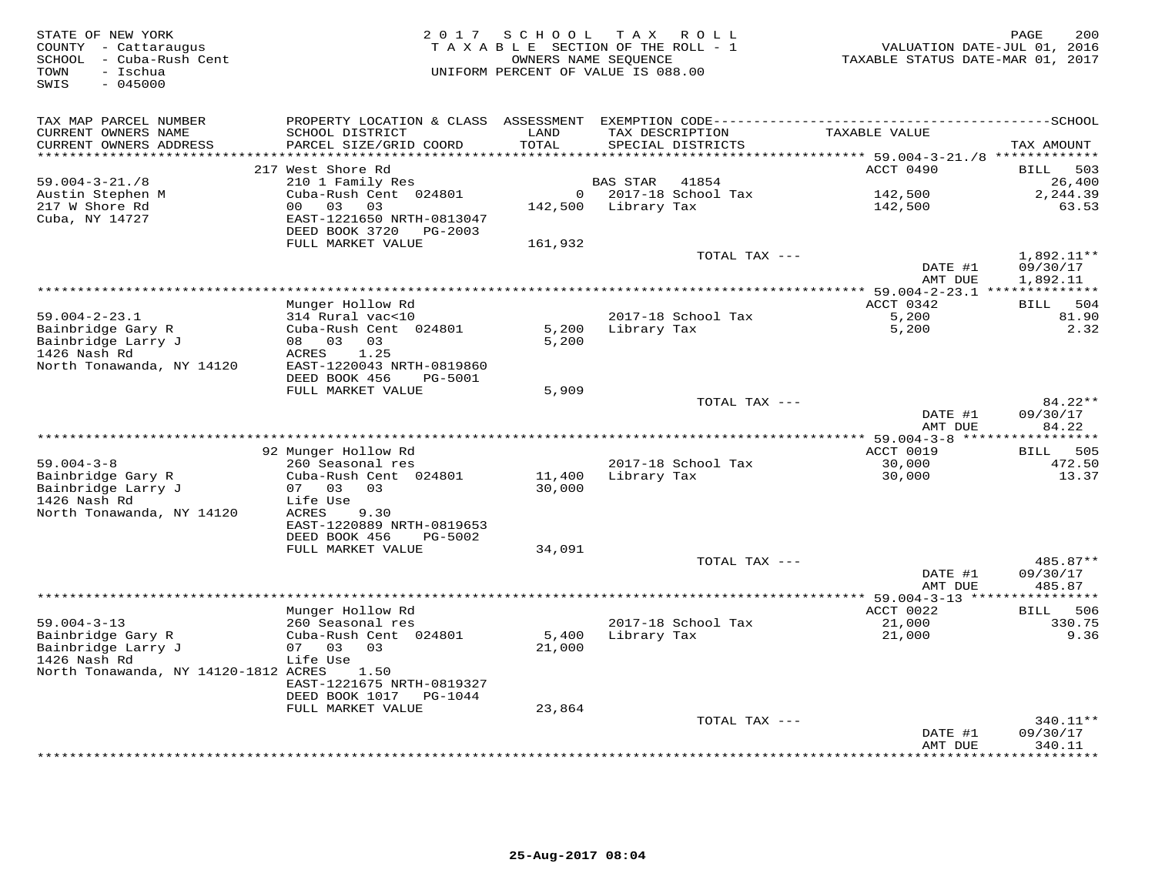| STATE OF NEW YORK<br>COUNTY - Cattaraugus<br>- Cuba-Rush Cent<br>SCHOOL<br>TOWN<br>- Ischua<br>$-045000$<br>SWIS |                                                                       | 2017 SCHOOL<br>OWNERS NAME SEQUENCE | TAX ROLL<br>TAXABLE SECTION OF THE ROLL - 1<br>UNIFORM PERCENT OF VALUE IS 088.00 | VALUATION DATE-JUL 01, 2016<br>TAXABLE STATUS DATE-MAR 01, 2017 | 200<br>PAGE                  |
|------------------------------------------------------------------------------------------------------------------|-----------------------------------------------------------------------|-------------------------------------|-----------------------------------------------------------------------------------|-----------------------------------------------------------------|------------------------------|
| TAX MAP PARCEL NUMBER                                                                                            |                                                                       |                                     |                                                                                   |                                                                 |                              |
| CURRENT OWNERS NAME<br>CURRENT OWNERS ADDRESS                                                                    | SCHOOL DISTRICT<br>PARCEL SIZE/GRID COORD                             | LAND<br>TOTAL<br>******             | TAX DESCRIPTION<br>SPECIAL DISTRICTS                                              | TAXABLE VALUE<br>********* 59.004-3-21./8 **************        | TAX AMOUNT                   |
|                                                                                                                  | 217 West Shore Rd                                                     |                                     |                                                                                   | ACCT 0490                                                       | 503<br>BILL                  |
| $59.004 - 3 - 21.78$                                                                                             | 210 1 Family Res                                                      |                                     | <b>BAS STAR</b><br>41854                                                          |                                                                 | 26,400                       |
| Austin Stephen M                                                                                                 | Cuba-Rush Cent 024801                                                 | $\overline{0}$                      | 2017-18 School Tax                                                                | 142,500                                                         | 2,244.39                     |
| 217 W Shore Rd<br>Cuba, NY 14727                                                                                 | 00 03<br>03<br>EAST-1221650 NRTH-0813047<br>DEED BOOK 3720<br>PG-2003 |                                     | 142,500 Library Tax                                                               | 142,500                                                         | 63.53                        |
|                                                                                                                  | FULL MARKET VALUE                                                     | 161,932                             |                                                                                   |                                                                 |                              |
|                                                                                                                  |                                                                       |                                     | TOTAL TAX ---                                                                     | DATE #1                                                         | 1,892.11**<br>09/30/17       |
|                                                                                                                  |                                                                       |                                     |                                                                                   | AMT DUE                                                         | 1,892.11                     |
|                                                                                                                  | Munger Hollow Rd                                                      |                                     |                                                                                   | ACCT 0342                                                       | <b>BILL</b><br>504           |
| $59.004 - 2 - 23.1$                                                                                              | 314 Rural vac<10                                                      |                                     | 2017-18 School Tax                                                                | 5,200                                                           | 81.90                        |
| Bainbridge Gary R                                                                                                | Cuba-Rush Cent 024801                                                 | 5,200                               | Library Tax                                                                       | 5,200                                                           | 2.32                         |
| Bainbridge Larry J                                                                                               | 08 03 03                                                              | 5,200                               |                                                                                   |                                                                 |                              |
| 1426 Nash Rd                                                                                                     | 1.25<br>ACRES                                                         |                                     |                                                                                   |                                                                 |                              |
| North Tonawanda, NY 14120                                                                                        | EAST-1220043 NRTH-0819860                                             |                                     |                                                                                   |                                                                 |                              |
|                                                                                                                  | DEED BOOK 456<br>PG-5001<br>FULL MARKET VALUE                         | 5,909                               |                                                                                   |                                                                 |                              |
|                                                                                                                  |                                                                       |                                     | TOTAL TAX ---                                                                     |                                                                 | 84.22**                      |
|                                                                                                                  |                                                                       |                                     |                                                                                   | DATE #1<br>AMT DUE                                              | 09/30/17<br>84.22            |
|                                                                                                                  |                                                                       |                                     |                                                                                   | **** 59.004-3-8 ******************                              |                              |
| $59.004 - 3 - 8$                                                                                                 | 92 Munger Hollow Rd<br>260 Seasonal res                               |                                     | 2017-18 School Tax                                                                | ACCT 0019<br>30,000                                             | 505<br><b>BILL</b><br>472.50 |
| Bainbridge Gary R                                                                                                | Cuba-Rush Cent 024801                                                 | 11,400                              | Library Tax                                                                       | 30,000                                                          | 13.37                        |
| Bainbridge Larry J                                                                                               | 07 03<br>03                                                           | 30,000                              |                                                                                   |                                                                 |                              |
| 1426 Nash Rd                                                                                                     | Life Use                                                              |                                     |                                                                                   |                                                                 |                              |
| North Tonawanda, NY 14120                                                                                        | ACRES<br>9.30                                                         |                                     |                                                                                   |                                                                 |                              |
|                                                                                                                  | EAST-1220889 NRTH-0819653<br>DEED BOOK 456<br>PG-5002                 |                                     |                                                                                   |                                                                 |                              |
|                                                                                                                  | FULL MARKET VALUE                                                     | 34,091                              |                                                                                   |                                                                 |                              |
|                                                                                                                  |                                                                       |                                     | TOTAL TAX ---                                                                     |                                                                 | 485.87**                     |
|                                                                                                                  |                                                                       |                                     |                                                                                   | DATE #1<br>AMT DUE                                              | 09/30/17<br>485.87           |
|                                                                                                                  | Munger Hollow Rd                                                      |                                     |                                                                                   | ****** 59.004-3-13 ****************<br>ACCT 0022                | 506<br>BILL                  |
| $59.004 - 3 - 13$                                                                                                | 260 Seasonal res                                                      |                                     | 2017-18 School Tax                                                                | 21,000                                                          | 330.75                       |
| Bainbridge Gary R                                                                                                | Cuba-Rush Cent 024801                                                 | 5,400                               | Library Tax                                                                       | 21,000                                                          | 9.36                         |
| Bainbridge Larry J                                                                                               | 07 03 03                                                              | 21,000                              |                                                                                   |                                                                 |                              |
| 1426 Nash Rd                                                                                                     | Life Use                                                              |                                     |                                                                                   |                                                                 |                              |
| North Tonawanda, NY 14120-1812 ACRES                                                                             | 1.50                                                                  |                                     |                                                                                   |                                                                 |                              |
|                                                                                                                  | EAST-1221675 NRTH-0819327<br>DEED BOOK 1017    PG-1044                |                                     |                                                                                   |                                                                 |                              |
|                                                                                                                  | FULL MARKET VALUE                                                     | 23,864                              |                                                                                   |                                                                 |                              |
|                                                                                                                  |                                                                       |                                     | TOTAL TAX ---                                                                     |                                                                 | 340.11**                     |
|                                                                                                                  |                                                                       |                                     |                                                                                   | DATE #1                                                         | 09/30/17                     |
|                                                                                                                  |                                                                       |                                     |                                                                                   | AMT DUE                                                         | 340.11<br>* * * * * * * *    |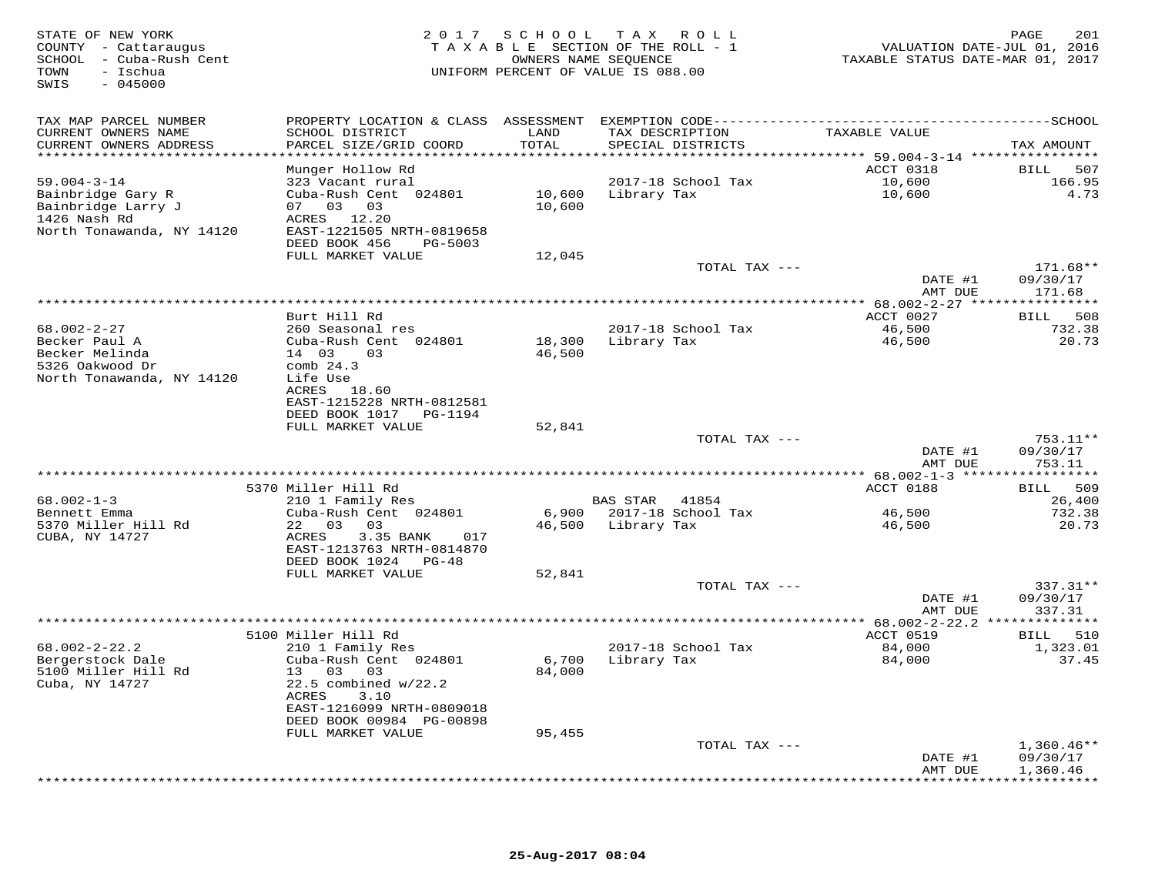| STATE OF NEW YORK<br>COUNTY - Cattaraugus<br>SCHOOL - Cuba-Rush Cent<br>- Ischua<br>TOWN<br>$-045000$<br>SWIS |                                                                                                                                                                                                            | 2017 SCHOOL                    | TAX ROLL<br>TAXABLE SECTION OF THE ROLL - 1<br>OWNERS NAME SEQUENCE<br>UNIFORM PERCENT OF VALUE IS 088.00 | VALUATION DATE-JUL 01, 2016<br>TAXABLE STATUS DATE-MAR 01, 2017 | 201<br>PAGE                                                   |
|---------------------------------------------------------------------------------------------------------------|------------------------------------------------------------------------------------------------------------------------------------------------------------------------------------------------------------|--------------------------------|-----------------------------------------------------------------------------------------------------------|-----------------------------------------------------------------|---------------------------------------------------------------|
| TAX MAP PARCEL NUMBER<br>CURRENT OWNERS NAME<br>CURRENT OWNERS ADDRESS<br>**********************              | SCHOOL DISTRICT<br>PARCEL SIZE/GRID COORD<br>**************************                                                                                                                                    | LAND<br>TOTAL<br>************* | TAX DESCRIPTION<br>SPECIAL DISTRICTS<br>********************************* 59.004-3-14 ****************    | TAXABLE VALUE                                                   | TAX AMOUNT                                                    |
| $59.004 - 3 - 14$<br>Bainbridge Gary R<br>Bainbridge Larry J<br>1426 Nash Rd<br>North Tonawanda, NY 14120     | Munger Hollow Rd<br>323 Vacant rural<br>Cuba-Rush Cent 024801<br>07 03 03<br>ACRES 12.20<br>EAST-1221505 NRTH-0819658<br>DEED BOOK 456<br>PG-5003                                                          | 10,600                         | 2017-18 School Tax<br>10,600 Library Tax                                                                  | ACCT 0318<br>10,600<br>10,600                                   | BILL<br>507<br>166.95<br>4.73                                 |
|                                                                                                               | FULL MARKET VALUE                                                                                                                                                                                          | 12,045                         | TOTAL TAX ---                                                                                             | DATE #1<br>AMT DUE                                              | $171.68**$<br>09/30/17<br>171.68                              |
| $68.002 - 2 - 27$<br>Becker Paul A<br>Becker Melinda<br>5326 Oakwood Dr<br>North Tonawanda, NY 14120          | Burt Hill Rd<br>260 Seasonal res<br>Cuba-Rush Cent 024801<br>14 03<br>03<br>comb $24.3$<br>Life Use<br>ACRES<br>18.60<br>EAST-1215228 NRTH-0812581                                                         | 18,300<br>46,500               | 2017-18 School Tax<br>Library Tax                                                                         | ACCT 0027<br>46,500<br>46,500                                   | ***********<br>508<br>BILL<br>732.38<br>20.73                 |
|                                                                                                               | DEED BOOK 1017 PG-1194<br>FULL MARKET VALUE                                                                                                                                                                | 52,841                         | TOTAL TAX ---                                                                                             | DATE #1<br>AMT DUE                                              | $753.11**$<br>09/30/17<br>753.11                              |
| $68.002 - 1 - 3$<br>Bennett Emma<br>5370 Miller Hill Rd<br>CUBA, NY 14727                                     | 5370 Miller Hill Rd<br>210 1 Family Res<br>Cuba-Rush Cent 024801<br>22 03 03<br>ACRES<br>3.35 BANK<br>017<br>EAST-1213763 NRTH-0814870<br>DEED BOOK 1024 PG-48<br>FULL MARKET VALUE                        | 46,500<br>52,841               | BAS STAR 41854<br>6,900 2017-18 School Tax<br>Library Tax                                                 | ACCT 0188<br>46,500<br>46,500                                   | 509<br><b>BILL</b><br>26,400<br>732.38<br>20.73               |
|                                                                                                               |                                                                                                                                                                                                            |                                | TOTAL TAX ---                                                                                             | DATE #1<br>AMT DUE                                              | 337.31**<br>09/30/17<br>337.31                                |
| $68.002 - 2 - 22.2$<br>Bergerstock Dale<br>5100 Miller Hill Rd<br>Cuba, NY 14727                              | 5100 Miller Hill Rd<br>210 1 Family Res<br>Cuba-Rush Cent 024801<br>13 03<br>03<br>$22.5$ combined $w/22.2$<br>ACRES<br>3.10<br>EAST-1216099 NRTH-0809018<br>DEED BOOK 00984 PG-00898<br>FULL MARKET VALUE | 6,700<br>84,000<br>95,455      | 2017-18 School Tax<br>Library Tax                                                                         | ACCT 0519<br>84,000<br>84,000                                   | 510<br><b>BILL</b><br>1,323.01<br>37.45                       |
|                                                                                                               |                                                                                                                                                                                                            |                                | TOTAL TAX ---                                                                                             | DATE #1<br>AMT DUE<br>* * * * * * * * * * *                     | $1,360.46**$<br>09/30/17<br>1,360.46<br>* * * * * * * * * * * |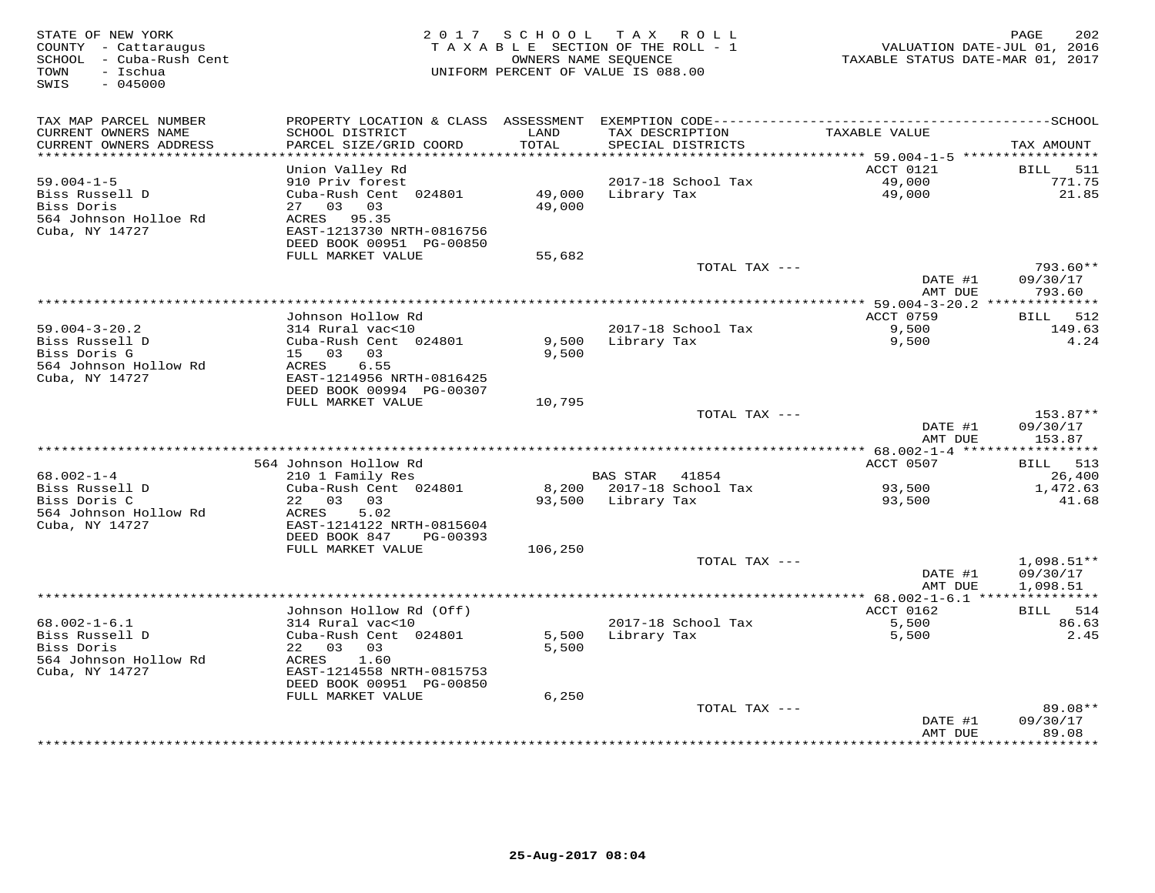| STATE OF NEW YORK<br>COUNTY - Cattaraugus<br>SCHOOL - Cuba-Rush Cent<br>- Ischua<br>TOWN<br>$-045000$<br>SWIS |                                                       |                  | 2017 SCHOOL TAX ROLL<br>TAXABLE SECTION OF THE ROLL - 1<br>OWNERS NAME SEQUENCE<br>UNIFORM PERCENT OF VALUE IS 088.00 | VALUATION DATE-JUL 01, 2016<br>TAXABLE STATUS DATE-MAR 01, 2017 | 202<br>PAGE            |
|---------------------------------------------------------------------------------------------------------------|-------------------------------------------------------|------------------|-----------------------------------------------------------------------------------------------------------------------|-----------------------------------------------------------------|------------------------|
| TAX MAP PARCEL NUMBER                                                                                         |                                                       |                  |                                                                                                                       |                                                                 |                        |
| CURRENT OWNERS NAME<br>CURRENT OWNERS ADDRESS<br>**********************                                       | SCHOOL DISTRICT<br>PARCEL SIZE/GRID COORD             | LAND<br>TOTAL    | TAX DESCRIPTION<br>SPECIAL DISTRICTS                                                                                  | TAXABLE VALUE                                                   | TAX AMOUNT             |
|                                                                                                               | Union Valley Rd                                       |                  |                                                                                                                       | ACCT 0121                                                       | BILL<br>511            |
| $59.004 - 1 - 5$                                                                                              | 910 Priv forest                                       |                  | 2017-18 School Tax                                                                                                    | 49,000                                                          | 771.75                 |
| Biss Russell D<br>Biss Doris<br>564 Johnson Holloe Rd                                                         | Cuba-Rush Cent 024801<br>03 03<br>27<br>ACRES 95.35   | 49,000<br>49,000 | Library Tax                                                                                                           | 49,000                                                          | 21.85                  |
| Cuba, NY 14727                                                                                                | EAST-1213730 NRTH-0816756<br>DEED BOOK 00951 PG-00850 |                  |                                                                                                                       |                                                                 |                        |
|                                                                                                               | FULL MARKET VALUE                                     | 55,682           | TOTAL TAX ---                                                                                                         |                                                                 | $793.60**$             |
|                                                                                                               |                                                       |                  |                                                                                                                       | DATE #1<br>AMT DUE                                              | 09/30/17<br>793.60     |
|                                                                                                               |                                                       |                  |                                                                                                                       | ************* 59.004-3-20.2 ***************                     |                        |
|                                                                                                               | Johnson Hollow Rd                                     |                  |                                                                                                                       | ACCT 0759                                                       | BILL 512               |
| $59.004 - 3 - 20.2$<br>Biss Russell D                                                                         | 314 Rural vac<10<br>Cuba-Rush Cent 024801             | 9,500            | 2017-18 School Tax<br>Library Tax                                                                                     | 9,500<br>9,500                                                  | 149.63<br>4.24         |
| Biss Doris G                                                                                                  | 15 03<br>03                                           | 9,500            |                                                                                                                       |                                                                 |                        |
| 564 Johnson Hollow Rd                                                                                         | ACRES<br>6.55                                         |                  |                                                                                                                       |                                                                 |                        |
| Cuba, NY 14727                                                                                                | EAST-1214956 NRTH-0816425                             |                  |                                                                                                                       |                                                                 |                        |
|                                                                                                               | DEED BOOK 00994 PG-00307                              |                  |                                                                                                                       |                                                                 |                        |
|                                                                                                               | FULL MARKET VALUE                                     | 10,795           | TOTAL TAX ---                                                                                                         |                                                                 | 153.87**               |
|                                                                                                               |                                                       |                  |                                                                                                                       | DATE #1                                                         | 09/30/17               |
|                                                                                                               |                                                       |                  |                                                                                                                       | AMT DUE                                                         | 153.87                 |
|                                                                                                               |                                                       |                  |                                                                                                                       |                                                                 |                        |
| 68.002-1-4                                                                                                    | 564 Johnson Hollow Rd<br>210 1 Family Res             |                  | BAS STAR 41854                                                                                                        | ACCT 0507                                                       | BILL 513<br>26,400     |
| Biss Russell D                                                                                                | Cuba-Rush Cent 024801                                 |                  | 8,200 2017-18 School Tax                                                                                              | 93,500                                                          | 1,472.63               |
| Biss Doris C                                                                                                  | 22 03 03                                              | 93,500           | Library Tax                                                                                                           | 93,500                                                          | 41.68                  |
| 564 Johnson Hollow Rd                                                                                         | ACRES<br>5.02                                         |                  |                                                                                                                       |                                                                 |                        |
| Cuba, NY 14727                                                                                                | EAST-1214122 NRTH-0815604                             |                  |                                                                                                                       |                                                                 |                        |
|                                                                                                               | DEED BOOK 847<br>PG-00393<br>FULL MARKET VALUE        | 106,250          |                                                                                                                       |                                                                 |                        |
|                                                                                                               |                                                       |                  | TOTAL TAX ---                                                                                                         |                                                                 | $1,098.51**$           |
|                                                                                                               |                                                       |                  |                                                                                                                       | DATE #1                                                         | 09/30/17               |
|                                                                                                               |                                                       |                  |                                                                                                                       | AMT DUE                                                         | 1,098.51               |
|                                                                                                               |                                                       |                  |                                                                                                                       | ACCT 0162                                                       |                        |
| $68.002 - 1 - 6.1$                                                                                            | Johnson Hollow Rd (Off)<br>314 Rural vac<10           |                  | 2017-18 School Tax                                                                                                    | 5,500                                                           | BILL 514<br>86.63      |
| Biss Russell D                                                                                                | Cuba-Rush Cent 024801                                 | 5,500            | Library Tax                                                                                                           | 5,500                                                           | 2.45                   |
| Biss Doris                                                                                                    | 22 03<br>03                                           | 5,500            |                                                                                                                       |                                                                 |                        |
| 564 Johnson Hollow Rd                                                                                         | ACRES<br>1.60                                         |                  |                                                                                                                       |                                                                 |                        |
| Cuba, NY 14727                                                                                                | EAST-1214558 NRTH-0815753<br>DEED BOOK 00951 PG-00850 |                  |                                                                                                                       |                                                                 |                        |
|                                                                                                               | FULL MARKET VALUE                                     | 6,250            |                                                                                                                       |                                                                 |                        |
|                                                                                                               |                                                       |                  | TOTAL TAX ---                                                                                                         |                                                                 | $89.08**$              |
|                                                                                                               |                                                       |                  |                                                                                                                       | DATE #1                                                         | 09/30/17               |
|                                                                                                               |                                                       |                  |                                                                                                                       | AMT DUE                                                         | 89.08<br>* * * * * * * |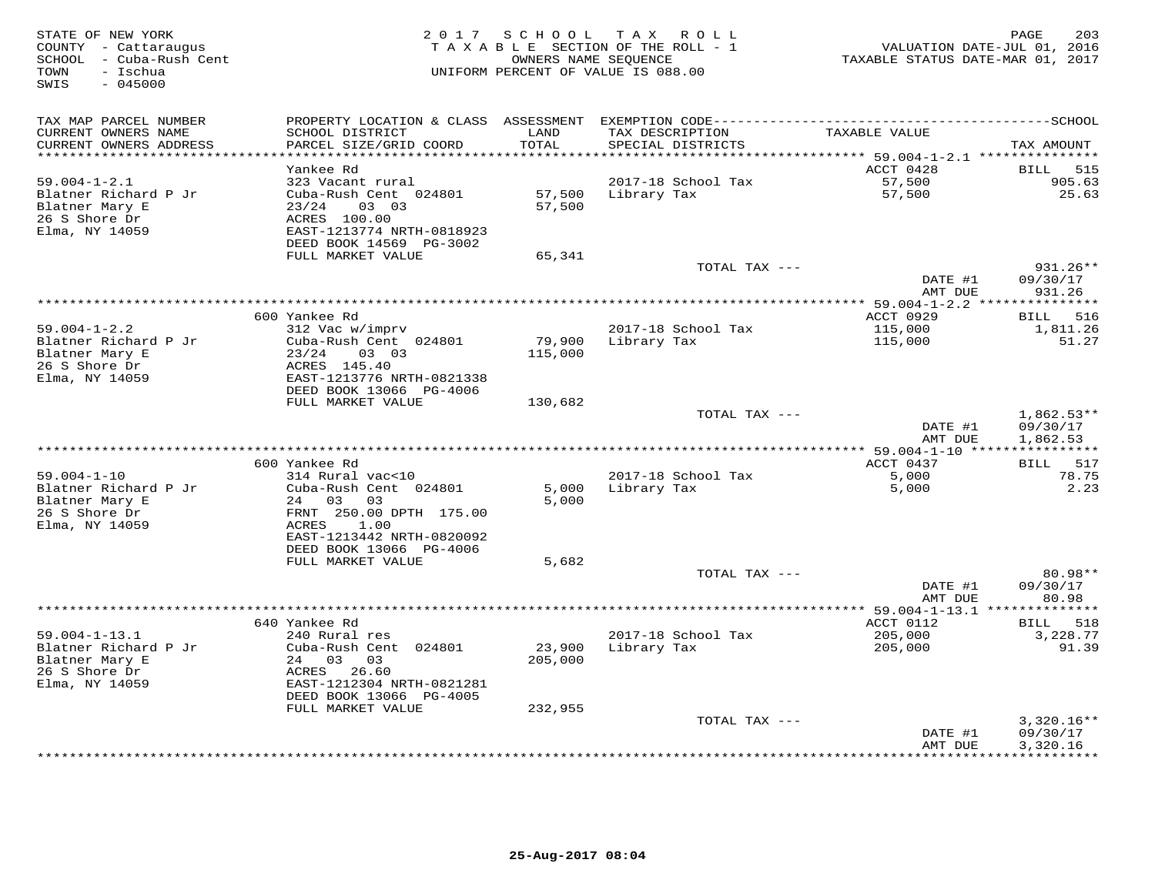| STATE OF NEW YORK<br>COUNTY - Cattaraugus<br>SCHOOL - Cuba-Rush Cent<br>- Ischua<br>TOWN<br>$-045000$<br>SWIS |                                           |               | 2017 SCHOOL TAX ROLL<br>TAXABLE SECTION OF THE ROLL - 1<br>OWNERS NAME SEQUENCE<br>UNIFORM PERCENT OF VALUE IS 088.00 | TAXABLE STATUS DATE-MAR 01, 2017 | 203<br>PAGE<br>VALUATION DATE-JUL 01, 2016 |
|---------------------------------------------------------------------------------------------------------------|-------------------------------------------|---------------|-----------------------------------------------------------------------------------------------------------------------|----------------------------------|--------------------------------------------|
| TAX MAP PARCEL NUMBER                                                                                         | PROPERTY LOCATION & CLASS ASSESSMENT      |               |                                                                                                                       |                                  |                                            |
| CURRENT OWNERS NAME<br>CURRENT OWNERS ADDRESS                                                                 | SCHOOL DISTRICT<br>PARCEL SIZE/GRID COORD | LAND<br>TOTAL | TAX DESCRIPTION<br>SPECIAL DISTRICTS                                                                                  | TAXABLE VALUE                    | TAX AMOUNT                                 |
|                                                                                                               |                                           | ******        |                                                                                                                       | ******** 59.004-1-2.1 ********** |                                            |
| $59.004 - 1 - 2.1$                                                                                            | Yankee Rd<br>323 Vacant rural             |               | 2017-18 School Tax                                                                                                    | ACCT 0428<br>57,500              | BILL<br>515<br>905.63                      |
| Blatner Richard P Jr                                                                                          | Cuba-Rush Cent 024801                     | 57,500        | Library Tax                                                                                                           | 57,500                           | 25.63                                      |
| Blatner Mary E<br>23/24                                                                                       | 03 03                                     | 57,500        |                                                                                                                       |                                  |                                            |
| 26 S Shore Dr                                                                                                 | ACRES 100.00                              |               |                                                                                                                       |                                  |                                            |
| Elma, NY 14059                                                                                                | EAST-1213774 NRTH-0818923                 |               |                                                                                                                       |                                  |                                            |
|                                                                                                               | DEED BOOK 14569 PG-3002                   |               |                                                                                                                       |                                  |                                            |
|                                                                                                               | FULL MARKET VALUE                         | 65,341        |                                                                                                                       |                                  |                                            |
|                                                                                                               |                                           |               | TOTAL TAX ---                                                                                                         | DATE #1                          | 931.26**                                   |
|                                                                                                               |                                           |               |                                                                                                                       | AMT DUE                          | 09/30/17<br>931.26                         |
|                                                                                                               |                                           |               |                                                                                                                       |                                  |                                            |
| 600 Yankee Rd                                                                                                 |                                           |               |                                                                                                                       | ACCT 0929                        | BILL 516                                   |
| $59.004 - 1 - 2.2$                                                                                            | 312 Vac w/imprv                           |               | 2017-18 School Tax                                                                                                    | 115,000                          | 1,811.26                                   |
| Blatner Richard P Jr                                                                                          | Cuba-Rush Cent 024801                     | 79,900        | Library Tax                                                                                                           | 115,000                          | 51.27                                      |
| Blatner Mary E<br>23/24                                                                                       | 03 03                                     | 115,000       |                                                                                                                       |                                  |                                            |
| 26 S Shore Dr<br>Elma, NY 14059                                                                               | ACRES 145.40<br>EAST-1213776 NRTH-0821338 |               |                                                                                                                       |                                  |                                            |
|                                                                                                               | DEED BOOK 13066 PG-4006                   |               |                                                                                                                       |                                  |                                            |
|                                                                                                               | FULL MARKET VALUE                         | 130,682       |                                                                                                                       |                                  |                                            |
|                                                                                                               |                                           |               | TOTAL TAX ---                                                                                                         |                                  | $1,862.53**$                               |
|                                                                                                               |                                           |               |                                                                                                                       | DATE #1                          | 09/30/17                                   |
|                                                                                                               |                                           |               |                                                                                                                       | AMT DUE                          | 1,862.53                                   |
|                                                                                                               |                                           |               |                                                                                                                       |                                  |                                            |
| 600 Yankee Rd<br>$59.004 - 1 - 10$                                                                            | 314 Rural vac<10                          |               | 2017-18 School Tax                                                                                                    | ACCT 0437<br>5,000               | 517<br><b>BILL</b><br>78.75                |
| Blatner Richard P Jr                                                                                          | Cuba-Rush Cent 024801                     | 5,000         | Library Tax                                                                                                           | 5,000                            | 2.23                                       |
| Blatner Mary E                                                                                                | 24 03<br>03                               | 5,000         |                                                                                                                       |                                  |                                            |
| 26 S Shore Dr                                                                                                 | FRNT 250.00 DPTH 175.00                   |               |                                                                                                                       |                                  |                                            |
| Elma, NY 14059<br>ACRES                                                                                       | 1.00                                      |               |                                                                                                                       |                                  |                                            |
|                                                                                                               | EAST-1213442 NRTH-0820092                 |               |                                                                                                                       |                                  |                                            |
|                                                                                                               | DEED BOOK 13066 PG-4006                   |               |                                                                                                                       |                                  |                                            |
|                                                                                                               | FULL MARKET VALUE                         | 5,682         | TOTAL TAX ---                                                                                                         |                                  | 80.98**                                    |
|                                                                                                               |                                           |               |                                                                                                                       | DATE #1                          | 09/30/17                                   |
|                                                                                                               |                                           |               |                                                                                                                       | AMT DUE                          | 80.98                                      |
|                                                                                                               |                                           |               | *************                                                                                                         | $*$ 59.004-1-13.1 $**$           |                                            |
| 640 Yankee Rd                                                                                                 |                                           |               |                                                                                                                       | ACCT 0112                        | BILL 518                                   |
| $59.004 - 1 - 13.1$                                                                                           | 240 Rural res                             |               | 2017-18 School Tax                                                                                                    | 205,000                          | 3,228.77                                   |
| Blatner Richard P Jr                                                                                          | Cuba-Rush Cent 024801                     | 23,900        | Library Tax                                                                                                           | 205,000                          | 91.39                                      |
| Blatner Mary E                                                                                                | 24 03<br>03<br>ACRES                      | 205,000       |                                                                                                                       |                                  |                                            |
| 26 S Shore Dr<br>Elma, NY 14059                                                                               | 26.60<br>EAST-1212304 NRTH-0821281        |               |                                                                                                                       |                                  |                                            |
|                                                                                                               | DEED BOOK 13066 PG-4005                   |               |                                                                                                                       |                                  |                                            |
|                                                                                                               | FULL MARKET VALUE                         | 232,955       |                                                                                                                       |                                  |                                            |
|                                                                                                               |                                           |               | TOTAL TAX ---                                                                                                         |                                  | $3,320.16**$                               |
|                                                                                                               |                                           |               |                                                                                                                       | DATE #1                          | 09/30/17                                   |
|                                                                                                               |                                           |               | ************************                                                                                              | AMT DUE<br>*************         | 3,320.16<br>**********                     |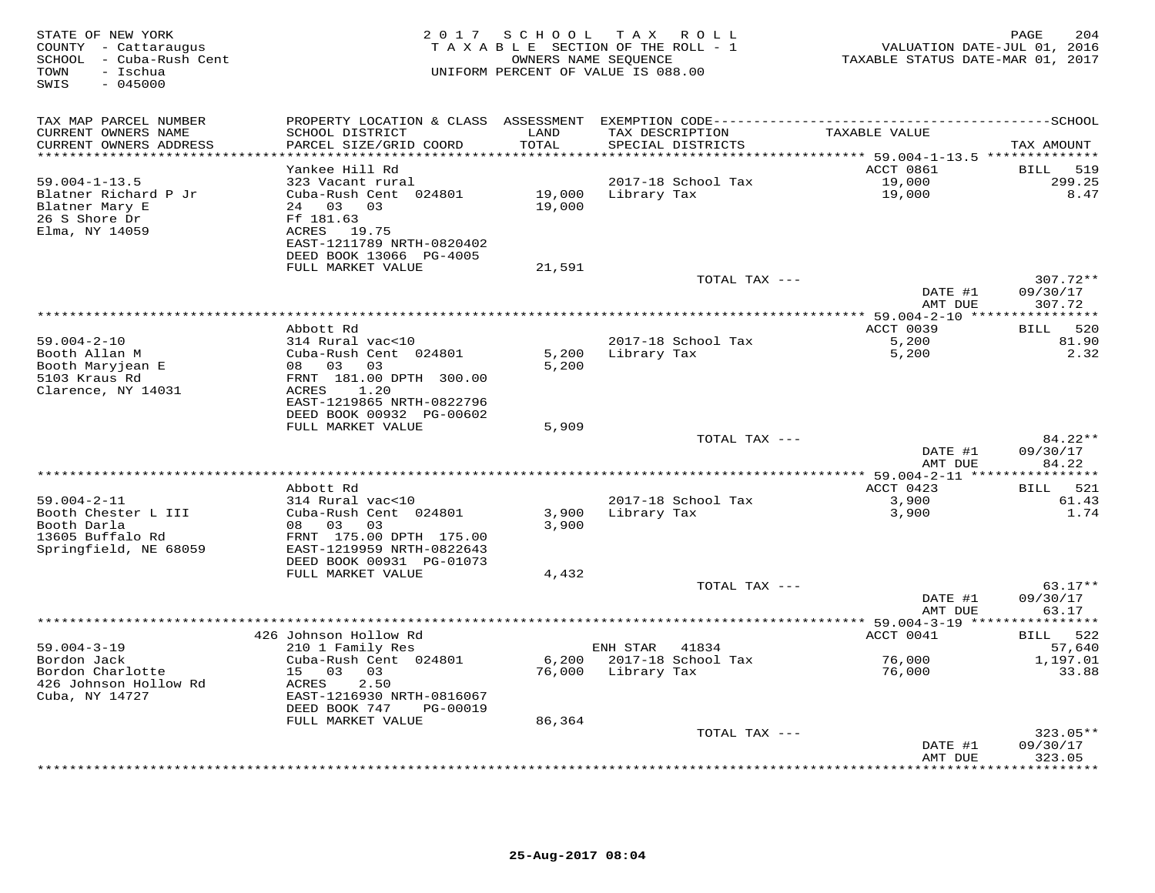| STATE OF NEW YORK<br>COUNTY - Cattaraugus<br>SCHOOL - Cuba-Rush Cent<br>TOWN<br>- Ischua<br>$-045000$<br>SWIS |                                               |                  | 2017 SCHOOL TAX ROLL<br>TAXABLE SECTION OF THE ROLL - 1<br>OWNERS NAME SEQUENCE<br>UNIFORM PERCENT OF VALUE IS 088.00 | TAXABLE STATUS DATE-MAR 01, 2017         | 204<br>PAGE<br>VALUATION DATE-JUL 01, 2016 |
|---------------------------------------------------------------------------------------------------------------|-----------------------------------------------|------------------|-----------------------------------------------------------------------------------------------------------------------|------------------------------------------|--------------------------------------------|
| TAX MAP PARCEL NUMBER                                                                                         |                                               |                  | PROPERTY LOCATION & CLASS ASSESSMENT EXEMPTION CODE----------------------------                                       |                                          | -------------SCHOOL                        |
| CURRENT OWNERS NAME<br>CURRENT OWNERS ADDRESS                                                                 | SCHOOL DISTRICT<br>PARCEL SIZE/GRID COORD     | LAND<br>TOTAL    | TAX DESCRIPTION<br>SPECIAL DISTRICTS                                                                                  | TAXABLE VALUE                            | TAX AMOUNT                                 |
| *****************************                                                                                 |                                               |                  |                                                                                                                       |                                          |                                            |
|                                                                                                               | Yankee Hill Rd                                |                  |                                                                                                                       | ACCT 0861                                | 519<br><b>BILL</b>                         |
| $59.004 - 1 - 13.5$                                                                                           | 323 Vacant rural                              |                  | 2017-18 School Tax                                                                                                    | 19,000                                   | 299.25                                     |
| Blatner Richard P Jr<br>Blatner Mary E                                                                        | Cuba-Rush Cent 024801<br>24 03<br>03          | 19,000<br>19,000 | Library Tax                                                                                                           | 19,000                                   | 8.47                                       |
| 26 S Shore Dr                                                                                                 | Ff 181.63                                     |                  |                                                                                                                       |                                          |                                            |
| Elma, NY 14059                                                                                                | ACRES 19.75                                   |                  |                                                                                                                       |                                          |                                            |
|                                                                                                               | EAST-1211789 NRTH-0820402                     |                  |                                                                                                                       |                                          |                                            |
|                                                                                                               | DEED BOOK 13066 PG-4005                       |                  |                                                                                                                       |                                          |                                            |
|                                                                                                               | FULL MARKET VALUE                             | 21,591           |                                                                                                                       |                                          |                                            |
|                                                                                                               |                                               |                  | TOTAL TAX ---                                                                                                         |                                          | $307.72**$                                 |
|                                                                                                               |                                               |                  |                                                                                                                       | DATE #1<br>AMT DUE                       | 09/30/17<br>307.72                         |
|                                                                                                               |                                               |                  |                                                                                                                       |                                          |                                            |
|                                                                                                               | Abbott Rd                                     |                  |                                                                                                                       | ACCT 0039                                | <b>BILL</b><br>520                         |
| $59.004 - 2 - 10$                                                                                             | 314 Rural vac<10                              |                  | 2017-18 School Tax                                                                                                    | 5,200                                    | 81.90                                      |
| Booth Allan M                                                                                                 | Cuba-Rush Cent 024801                         | 5,200            | Library Tax                                                                                                           | 5,200                                    | 2.32                                       |
| Booth Maryjean E                                                                                              | 08 03<br>03                                   | 5,200            |                                                                                                                       |                                          |                                            |
| 5103 Kraus Rd<br>Clarence, NY 14031                                                                           | FRNT 181.00 DPTH 300.00<br>ACRES<br>1.20      |                  |                                                                                                                       |                                          |                                            |
|                                                                                                               | EAST-1219865 NRTH-0822796                     |                  |                                                                                                                       |                                          |                                            |
|                                                                                                               | DEED BOOK 00932 PG-00602                      |                  |                                                                                                                       |                                          |                                            |
|                                                                                                               | FULL MARKET VALUE                             | 5,909            |                                                                                                                       |                                          |                                            |
|                                                                                                               |                                               |                  | TOTAL TAX ---                                                                                                         |                                          | 84.22**                                    |
|                                                                                                               |                                               |                  |                                                                                                                       | DATE #1                                  | 09/30/17                                   |
|                                                                                                               |                                               |                  |                                                                                                                       | AMT DUE<br>************ 59.004-2-11 **** | 84.22<br>*********                         |
|                                                                                                               | Abbott Rd                                     |                  |                                                                                                                       | ACCT 0423                                | 521<br>BILL                                |
| $59.004 - 2 - 11$                                                                                             | 314 Rural vac<10                              |                  | 2017-18 School Tax                                                                                                    | 3,900                                    | 61.43                                      |
| Booth Chester L III                                                                                           | Cuba-Rush Cent 024801                         | 3,900            | Library Tax                                                                                                           | 3,900                                    | 1.74                                       |
| Booth Darla                                                                                                   | 08 03<br>03                                   | 3,900            |                                                                                                                       |                                          |                                            |
| 13605 Buffalo Rd                                                                                              | FRNT 175.00 DPTH 175.00                       |                  |                                                                                                                       |                                          |                                            |
| Springfield, NE 68059                                                                                         | EAST-1219959 NRTH-0822643                     |                  |                                                                                                                       |                                          |                                            |
|                                                                                                               | DEED BOOK 00931 PG-01073<br>FULL MARKET VALUE | 4,432            |                                                                                                                       |                                          |                                            |
|                                                                                                               |                                               |                  | TOTAL TAX ---                                                                                                         |                                          | $63.17**$                                  |
|                                                                                                               |                                               |                  |                                                                                                                       | DATE #1                                  | 09/30/17                                   |
|                                                                                                               |                                               |                  |                                                                                                                       | AMT DUE                                  | 63.17                                      |
|                                                                                                               |                                               |                  |                                                                                                                       |                                          |                                            |
|                                                                                                               | 426 Johnson Hollow Rd                         |                  |                                                                                                                       | ACCT 0041                                | 522<br><b>BILL</b>                         |
| $59.004 - 3 - 19$<br>Bordon Jack                                                                              | 210 1 Family Res<br>Cuba-Rush Cent 024801     | 6,200            | ENH STAR<br>41834<br>2017-18 School Tax                                                                               | 76,000                                   | 57,640<br>1,197.01                         |
| Bordon Charlotte                                                                                              | 15 03<br>03                                   | 76,000           | Library Tax                                                                                                           | 76,000                                   | 33.88                                      |
| 426 Johnson Hollow Rd                                                                                         | ACRES<br>2.50                                 |                  |                                                                                                                       |                                          |                                            |
| Cuba, NY 14727                                                                                                | EAST-1216930 NRTH-0816067                     |                  |                                                                                                                       |                                          |                                            |
|                                                                                                               | DEED BOOK 747<br>PG-00019                     |                  |                                                                                                                       |                                          |                                            |
|                                                                                                               | FULL MARKET VALUE                             | 86,364           |                                                                                                                       |                                          |                                            |
|                                                                                                               |                                               |                  | TOTAL TAX ---                                                                                                         |                                          | $323.05**$                                 |
|                                                                                                               |                                               |                  |                                                                                                                       | DATE #1<br>AMT DUE                       | 09/30/17<br>323.05                         |
|                                                                                                               |                                               |                  |                                                                                                                       |                                          | * * * * * * * *                            |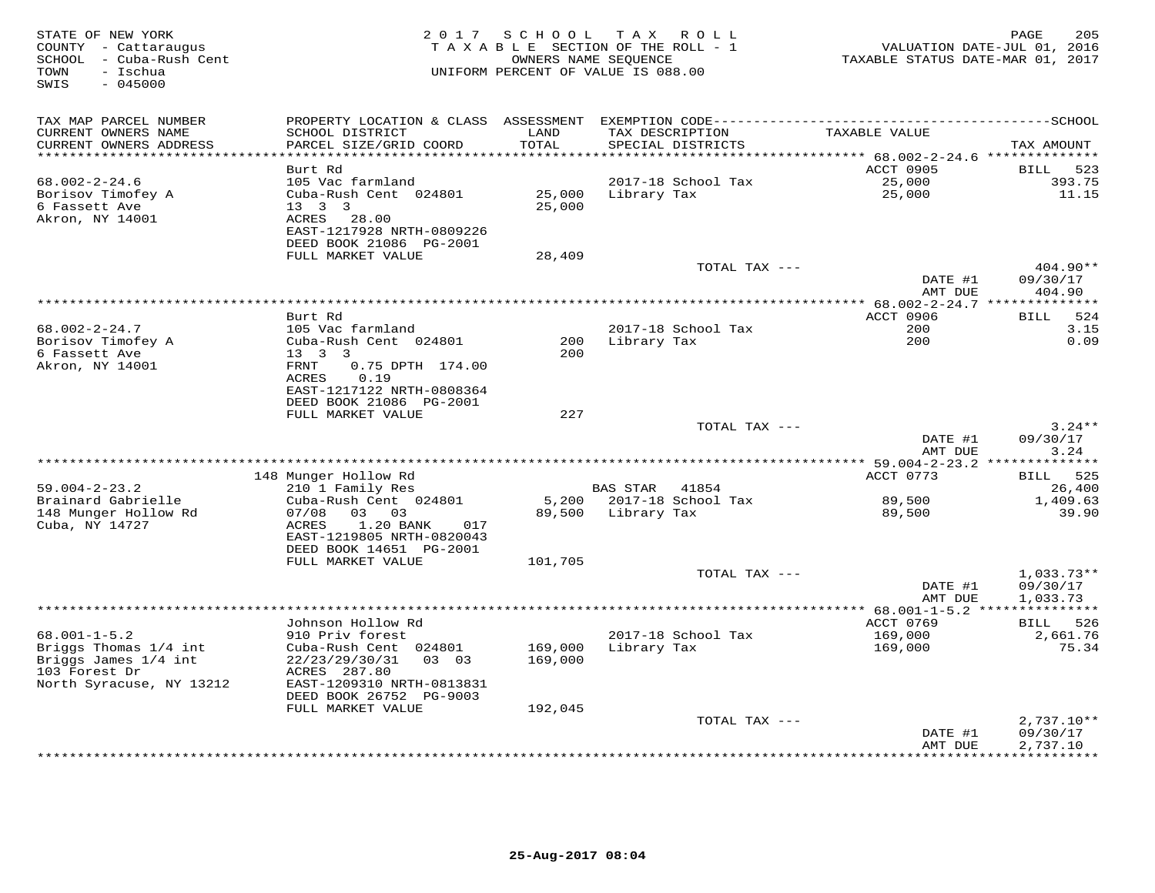| STATE OF NEW YORK<br>COUNTY - Cattaraugus<br>SCHOOL - Cuba-Rush Cent<br>- Ischua<br>TOWN<br>$-045000$<br>SWIS | 2 0 1 7                                                                                                              | SCHOOL             | TAX ROLL<br>TAXABLE SECTION OF THE ROLL - 1<br>OWNERS NAME SEQUENCE<br>UNIFORM PERCENT OF VALUE IS 088.00 | VALUATION DATE-JUL 01, 2016<br>TAXABLE STATUS DATE-MAR 01, 2017 | 205<br>PAGE          |
|---------------------------------------------------------------------------------------------------------------|----------------------------------------------------------------------------------------------------------------------|--------------------|-----------------------------------------------------------------------------------------------------------|-----------------------------------------------------------------|----------------------|
| TAX MAP PARCEL NUMBER<br>CURRENT OWNERS NAME<br>CURRENT OWNERS ADDRESS                                        | PROPERTY LOCATION & CLASS ASSESSMENT<br>SCHOOL DISTRICT<br>PARCEL SIZE/GRID COORD                                    | LAND<br>TOTAL      | TAX DESCRIPTION<br>SPECIAL DISTRICTS                                                                      | TAXABLE VALUE                                                   | TAX AMOUNT           |
|                                                                                                               |                                                                                                                      | * * * * * *        |                                                                                                           | ****** 68.002-2-24.6 *********                                  |                      |
|                                                                                                               | Burt Rd                                                                                                              |                    |                                                                                                           | ACCT 0905                                                       | 523<br>BILL          |
| $68.002 - 2 - 24.6$<br>Borisov Timofey A<br>6 Fassett Ave<br>Akron, NY 14001                                  | 105 Vac farmland<br>Cuba-Rush Cent 024801<br>$13 \quad 3 \quad 3$<br>ACRES<br>28.00<br>EAST-1217928 NRTH-0809226     | 25,000<br>25,000   | 2017-18 School Tax<br>Library Tax                                                                         | 25,000<br>25,000                                                | 393.75<br>11.15      |
|                                                                                                               | DEED BOOK 21086 PG-2001<br>FULL MARKET VALUE                                                                         |                    |                                                                                                           |                                                                 |                      |
|                                                                                                               |                                                                                                                      | 28,409             | TOTAL TAX ---                                                                                             | DATE #1                                                         | 404.90**<br>09/30/17 |
|                                                                                                               |                                                                                                                      |                    |                                                                                                           | AMT DUE                                                         | 404.90               |
|                                                                                                               |                                                                                                                      |                    |                                                                                                           | ** 68.002-2-24.7 ***************                                |                      |
|                                                                                                               | Burt Rd                                                                                                              |                    |                                                                                                           | <b>ACCT 0906</b>                                                | 524<br><b>BILL</b>   |
| $68.002 - 2 - 24.7$                                                                                           | 105 Vac farmland                                                                                                     |                    | 2017-18 School Tax                                                                                        | 200<br>200                                                      | 3.15<br>0.09         |
| Borisov Timofey A<br>6 Fassett Ave                                                                            | Cuba-Rush Cent 024801<br>$13 \quad 3 \quad 3$                                                                        | 200<br>200         | Library Tax                                                                                               |                                                                 |                      |
| Akron, NY 14001                                                                                               | FRNT<br>0.75 DPTH 174.00<br>0.19<br>ACRES<br>EAST-1217122 NRTH-0808364<br>DEED BOOK 21086 PG-2001                    |                    |                                                                                                           |                                                                 |                      |
|                                                                                                               | FULL MARKET VALUE                                                                                                    | 227                |                                                                                                           |                                                                 |                      |
|                                                                                                               |                                                                                                                      |                    | TOTAL TAX ---                                                                                             |                                                                 | $3.24**$             |
|                                                                                                               |                                                                                                                      |                    |                                                                                                           | DATE #1<br>AMT DUE                                              | 09/30/17<br>3.24     |
|                                                                                                               |                                                                                                                      |                    |                                                                                                           |                                                                 |                      |
| $59.004 - 2 - 23.2$                                                                                           | 148 Munger Hollow Rd<br>210 1 Family Res                                                                             |                    | <b>BAS STAR</b><br>41854                                                                                  | ACCT 0773                                                       | BILL 525<br>26,400   |
| Brainard Gabrielle                                                                                            | Cuba-Rush Cent 024801                                                                                                | 5,200              | 2017-18 School Tax                                                                                        | 89,500                                                          | 1,409.63             |
| 148 Munger Hollow Rd<br>Cuba, NY 14727                                                                        | 07/08<br>03 03<br>1.20 BANK<br>ACRES<br>017<br>EAST-1219805 NRTH-0820043<br>DEED BOOK 14651 PG-2001                  | 89,500             | Library Tax                                                                                               | 89,500                                                          | 39.90                |
|                                                                                                               | FULL MARKET VALUE                                                                                                    | 101,705            | TOTAL TAX ---                                                                                             |                                                                 | $1,033.73**$         |
|                                                                                                               |                                                                                                                      |                    |                                                                                                           | DATE #1<br>AMT DUE                                              | 09/30/17<br>1,033.73 |
|                                                                                                               |                                                                                                                      |                    | ***********************                                                                                   | $* 68.001 - 1 - 5.2 **$                                         |                      |
|                                                                                                               | Johnson Hollow Rd                                                                                                    |                    |                                                                                                           | ACCT 0769                                                       | BILL 526             |
| $68.001 - 1 - 5.2$<br>Briggs Thomas 1/4 int                                                                   | 910 Priv forest<br>Cuba-Rush Cent 024801                                                                             | 169,000            | 2017-18 School Tax<br>Library Tax                                                                         | 169,000<br>169,000                                              | 2,661.76<br>75.34    |
| Briggs James 1/4 int<br>103 Forest Dr<br>North Syracuse, NY 13212                                             | 22/23/29/30/31<br>03 03<br>ACRES 287.80<br>EAST-1209310 NRTH-0813831<br>DEED BOOK 26752 PG-9003<br>FULL MARKET VALUE | 169,000<br>192,045 |                                                                                                           |                                                                 |                      |
|                                                                                                               |                                                                                                                      |                    | TOTAL TAX ---                                                                                             |                                                                 | $2,737.10**$         |
|                                                                                                               |                                                                                                                      |                    |                                                                                                           | DATE #1<br>AMT DUE                                              | 09/30/17<br>2,737.10 |
|                                                                                                               |                                                                                                                      |                    |                                                                                                           |                                                                 |                      |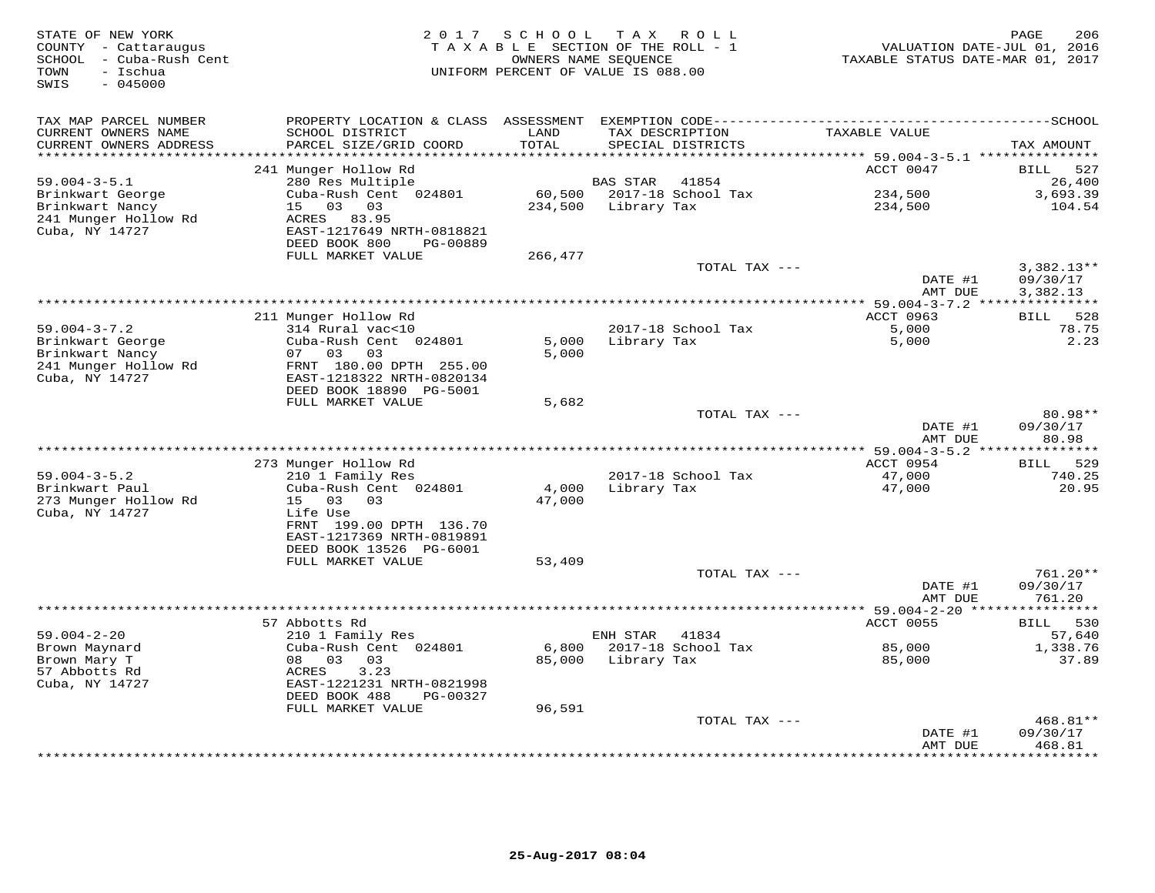| STATE OF NEW YORK<br>COUNTY - Cattaraugus<br>SCHOOL - Cuba-Rush Cent<br>TOWN<br>- Ischua<br>SWIS<br>$-045000$ | 2 0 1 7                                                | SCHOOL             | TAX ROLL<br>TAXABLE SECTION OF THE ROLL - 1<br>OWNERS NAME SEQUENCE<br>UNIFORM PERCENT OF VALUE IS 088.00 | VALUATION DATE-JUL 01, 2016<br>TAXABLE STATUS DATE-MAR 01, 2017 | 206<br>PAGE                 |
|---------------------------------------------------------------------------------------------------------------|--------------------------------------------------------|--------------------|-----------------------------------------------------------------------------------------------------------|-----------------------------------------------------------------|-----------------------------|
| TAX MAP PARCEL NUMBER                                                                                         |                                                        |                    |                                                                                                           |                                                                 |                             |
| CURRENT OWNERS NAME<br>CURRENT OWNERS ADDRESS                                                                 | SCHOOL DISTRICT<br>PARCEL SIZE/GRID COORD              | LAND<br>TOTAL      | TAX DESCRIPTION<br>SPECIAL DISTRICTS                                                                      | TAXABLE VALUE                                                   | TAX AMOUNT                  |
| *******************                                                                                           |                                                        | ****************** |                                                                                                           | **************************** 59.004-3-5.1 ***************       |                             |
|                                                                                                               | 241 Munger Hollow Rd                                   |                    |                                                                                                           | ACCT 0047                                                       | <b>BILL</b><br>527          |
| $59.004 - 3 - 5.1$                                                                                            | 280 Res Multiple                                       |                    | BAS STAR<br>41854                                                                                         |                                                                 | 26,400                      |
| Brinkwart George                                                                                              | Cuba-Rush Cent 024801                                  |                    | 60,500 2017-18 School Tax                                                                                 | 234,500                                                         | 3,693.39                    |
| Brinkwart Nancy                                                                                               | 15 03<br>03                                            | 234,500            | Library Tax                                                                                               | 234,500                                                         | 104.54                      |
| 241 Munger Hollow Rd<br>Cuba, NY 14727                                                                        | ACRES 83.95<br>EAST-1217649 NRTH-0818821               |                    |                                                                                                           |                                                                 |                             |
|                                                                                                               | DEED BOOK 800<br>PG-00889                              |                    |                                                                                                           |                                                                 |                             |
|                                                                                                               | FULL MARKET VALUE                                      | 266,477            |                                                                                                           |                                                                 |                             |
|                                                                                                               |                                                        |                    | TOTAL TAX ---                                                                                             |                                                                 | $3,382.13**$                |
|                                                                                                               |                                                        |                    |                                                                                                           | DATE #1                                                         | 09/30/17                    |
|                                                                                                               |                                                        |                    |                                                                                                           | AMT DUE                                                         | 3,382.13                    |
|                                                                                                               |                                                        |                    |                                                                                                           | **** 59.004-3-7.2 ***************                               |                             |
| $59.004 - 3 - 7.2$                                                                                            | 211 Munger Hollow Rd<br>314 Rural vac<10               |                    | 2017-18 School Tax                                                                                        | ACCT 0963<br>5,000                                              | 528<br><b>BILL</b><br>78.75 |
| Brinkwart George                                                                                              | Cuba-Rush Cent 024801                                  | 5,000              | Library Tax                                                                                               | 5,000                                                           | 2.23                        |
| Brinkwart Nancy                                                                                               | 07<br>03<br>03                                         | 5,000              |                                                                                                           |                                                                 |                             |
| 241 Munger Hollow Rd                                                                                          | FRNT 180.00 DPTH 255.00                                |                    |                                                                                                           |                                                                 |                             |
| Cuba, NY 14727                                                                                                | EAST-1218322 NRTH-0820134                              |                    |                                                                                                           |                                                                 |                             |
|                                                                                                               | DEED BOOK 18890 PG-5001                                |                    |                                                                                                           |                                                                 |                             |
|                                                                                                               | FULL MARKET VALUE                                      | 5,682              | TOTAL TAX ---                                                                                             |                                                                 | 80.98**                     |
|                                                                                                               |                                                        |                    |                                                                                                           | DATE #1                                                         | 09/30/17                    |
|                                                                                                               |                                                        |                    |                                                                                                           | AMT DUE                                                         | 80.98                       |
|                                                                                                               |                                                        |                    |                                                                                                           |                                                                 |                             |
|                                                                                                               | 273 Munger Hollow Rd                                   |                    |                                                                                                           | ACCT 0954                                                       | 529<br>BILL                 |
| $59.004 - 3 - 5.2$                                                                                            | 210 1 Family Res                                       |                    | 2017-18 School Tax                                                                                        | 47,000                                                          | 740.25                      |
| Brinkwart Paul                                                                                                | Cuba-Rush Cent 024801<br>03<br>03                      | 4,000              | Library Tax                                                                                               | 47,000                                                          | 20.95                       |
| 273 Munger Hollow Rd<br>Cuba, NY 14727                                                                        | 15<br>Life Use                                         | 47,000             |                                                                                                           |                                                                 |                             |
|                                                                                                               | FRNT 199.00 DPTH 136.70                                |                    |                                                                                                           |                                                                 |                             |
|                                                                                                               | EAST-1217369 NRTH-0819891                              |                    |                                                                                                           |                                                                 |                             |
|                                                                                                               | DEED BOOK 13526 PG-6001                                |                    |                                                                                                           |                                                                 |                             |
|                                                                                                               | FULL MARKET VALUE                                      | 53,409             |                                                                                                           |                                                                 |                             |
|                                                                                                               |                                                        |                    | TOTAL TAX ---                                                                                             |                                                                 | 761.20**                    |
|                                                                                                               |                                                        |                    |                                                                                                           | DATE #1<br>AMT DUE                                              | 09/30/17<br>761.20          |
|                                                                                                               |                                                        |                    |                                                                                                           |                                                                 |                             |
|                                                                                                               | 57 Abbotts Rd                                          |                    |                                                                                                           | ACCT 0055                                                       | 530<br><b>BILL</b>          |
| $59.004 - 2 - 20$                                                                                             | 210 1 Family Res                                       |                    | ENH STAR<br>41834                                                                                         |                                                                 | 57,640                      |
| Brown Maynard                                                                                                 | Cuba-Rush Cent 024801                                  | 6,800              | 2017-18 School Tax                                                                                        | 85,000                                                          | 1,338.76                    |
| Brown Mary T                                                                                                  | 08 03<br>03                                            | 85,000             | Library Tax                                                                                               | 85,000                                                          | 37.89                       |
| 57 Abbotts Rd                                                                                                 | 3.23<br>ACRES                                          |                    |                                                                                                           |                                                                 |                             |
| Cuba, NY 14727                                                                                                | EAST-1221231 NRTH-0821998<br>DEED BOOK 488<br>PG-00327 |                    |                                                                                                           |                                                                 |                             |
|                                                                                                               | FULL MARKET VALUE                                      | 96,591             |                                                                                                           |                                                                 |                             |
|                                                                                                               |                                                        |                    | TOTAL TAX ---                                                                                             |                                                                 | 468.81**                    |
|                                                                                                               |                                                        |                    |                                                                                                           | DATE #1                                                         | 09/30/17                    |
|                                                                                                               |                                                        |                    |                                                                                                           | AMT DUE                                                         | 468.81                      |
|                                                                                                               |                                                        |                    | ****************************                                                                              | **************                                                  | * * * * * * * *             |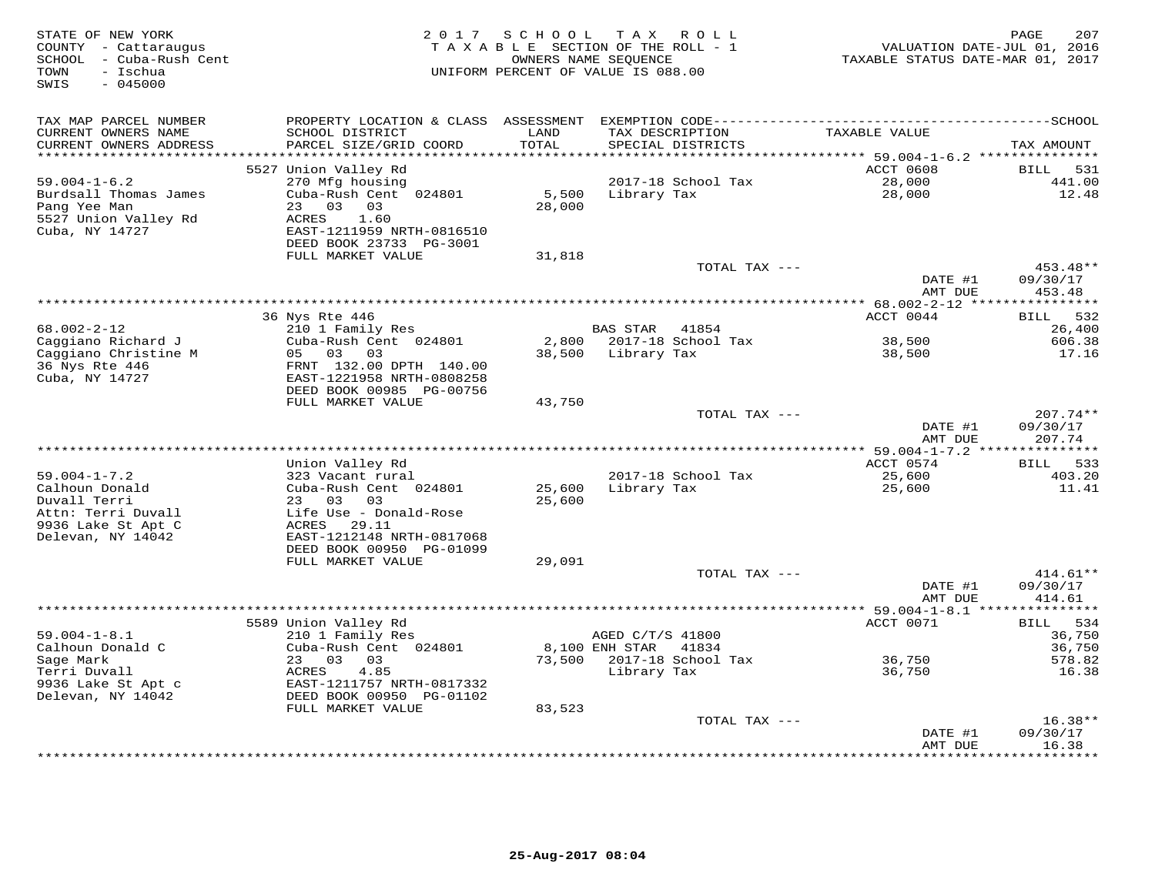| SCHOOL - Cuba-Rush Cent<br>OWNERS NAME SEQUENCE<br>TOWN<br>- Ischua<br>UNIFORM PERCENT OF VALUE IS 088.00<br>$-045000$<br>SWIS                                                                                                                                                                    | VALUATION DATE-JUL 01, 2016<br>TAXABLE STATUS DATE-MAR 01, 2017                             |
|---------------------------------------------------------------------------------------------------------------------------------------------------------------------------------------------------------------------------------------------------------------------------------------------------|---------------------------------------------------------------------------------------------|
| PROPERTY LOCATION & CLASS ASSESSMENT EXEMPTION CODE-----------------------------------SCHOOL<br>TAX MAP PARCEL NUMBER<br>TAXABLE VALUE<br>CURRENT OWNERS NAME<br>SCHOOL DISTRICT<br>LAND<br>TAX DESCRIPTION<br>CURRENT OWNERS ADDRESS<br>PARCEL SIZE/GRID COORD<br>TOTAL<br>SPECIAL DISTRICTS     | TAX AMOUNT                                                                                  |
| *******                                                                                                                                                                                                                                                                                           | ******* 59.004-1-6.2 ****************                                                       |
| 5527 Union Valley Rd<br><b>ACCT 0608</b>                                                                                                                                                                                                                                                          | <b>BILL</b><br>531                                                                          |
| $59.004 - 1 - 6.2$<br>2017-18 School Tax<br>270 Mfg housing<br>5,500<br>Burdsall Thomas James<br>Cuba-Rush Cent 024801<br>Library Tax<br>23 03<br>03<br>28,000<br>Pang Yee Man<br>5527 Union Valley Rd<br>ACRES<br>1.60<br>Cuba, NY 14727<br>EAST-1211959 NRTH-0816510<br>DEED BOOK 23733 PG-3001 | 28,000<br>441.00<br>28,000<br>12.48                                                         |
| FULL MARKET VALUE<br>31,818                                                                                                                                                                                                                                                                       |                                                                                             |
| TOTAL TAX ---                                                                                                                                                                                                                                                                                     | 453.48**<br>DATE #1<br>09/30/17<br>AMT DUE<br>453.48                                        |
|                                                                                                                                                                                                                                                                                                   |                                                                                             |
| ACCT 0044<br>36 Nys Rte 446                                                                                                                                                                                                                                                                       | 532<br><b>BILL</b>                                                                          |
| 68.002-2-12<br>BAS STAR 41854<br>210 1 Family Res                                                                                                                                                                                                                                                 | 26,400                                                                                      |
| 2,800 2017-18 School Tax<br>Caggiano Richard J<br>Cuba-Rush Cent 024801                                                                                                                                                                                                                           | 38,500<br>606.38                                                                            |
| Caggiano Christine M<br>05 03 03<br>38,500 Library Tax<br>36 Nys Rte 446<br>FRNT 132.00 DPTH 140.00<br>Cuba, NY 14727<br>EAST-1221958 NRTH-0808258<br>DEED BOOK 00985 PG-00756<br>FULL MARKET VALUE<br>43,750                                                                                     | 17.16<br>38,500                                                                             |
| TOTAL TAX ---                                                                                                                                                                                                                                                                                     | $207.74**$                                                                                  |
|                                                                                                                                                                                                                                                                                                   | DATE #1<br>09/30/17<br>AMT DUE<br>207.74                                                    |
|                                                                                                                                                                                                                                                                                                   |                                                                                             |
| Union Valley Rd<br>2017-18 School Tax                                                                                                                                                                                                                                                             | ACCT 0574<br>533<br>BILL<br>403.20                                                          |
| $59.004 - 1 - 7.2$<br>323 Vacant rural<br>Calhoun Donald<br>Cuba-Rush Cent 024801<br>25,600<br>Library Tax<br>23 03 03<br>Duvall Terri<br>25,600<br>Life Use - Donald-Rose<br>Attn: Terri Duvall<br>ACRES 29.11<br>9936 Lake St Apt C<br>Delevan, NY 14042<br>EAST-1212148 NRTH-0817068           | 25,600<br>11.41<br>25,600                                                                   |
| DEED BOOK 00950 PG-01099                                                                                                                                                                                                                                                                          |                                                                                             |
| FULL MARKET VALUE<br>29,091                                                                                                                                                                                                                                                                       |                                                                                             |
| TOTAL TAX ---                                                                                                                                                                                                                                                                                     | 414.61**<br>DATE #1<br>09/30/17<br>AMT DUE<br>414.61                                        |
|                                                                                                                                                                                                                                                                                                   |                                                                                             |
| 5589 Union Valley Rd                                                                                                                                                                                                                                                                              | ACCT 0071<br>534<br><b>BILL</b>                                                             |
| $59.004 - 1 - 8.1$<br>AGED C/T/S 41800<br>210 1 Family Res                                                                                                                                                                                                                                        | 36,750                                                                                      |
| Calhoun Donald C<br>Cuba-Rush Cent 024801<br>8,100 ENH STAR<br>41834                                                                                                                                                                                                                              | 36,750                                                                                      |
| 73,500 2017-18 School Tax<br>Sage Mark<br>23 03<br>03<br>Terri Duvall<br>ACRES<br>4.85<br>Library Tax                                                                                                                                                                                             | 578.82<br>36,750<br>36,750<br>16.38                                                         |
| 9936 Lake St Apt c<br>EAST-1211757 NRTH-0817332<br>Delevan, NY 14042<br>DEED BOOK 00950 PG-01102                                                                                                                                                                                                  |                                                                                             |
| FULL MARKET VALUE<br>83,523                                                                                                                                                                                                                                                                       |                                                                                             |
| TOTAL TAX ---                                                                                                                                                                                                                                                                                     | $16.38**$                                                                                   |
|                                                                                                                                                                                                                                                                                                   | 09/30/17<br>DATE #1<br>16.38<br>AMT DUE<br>* * * * * * * * * * * * * * *<br>* * * * * * * * |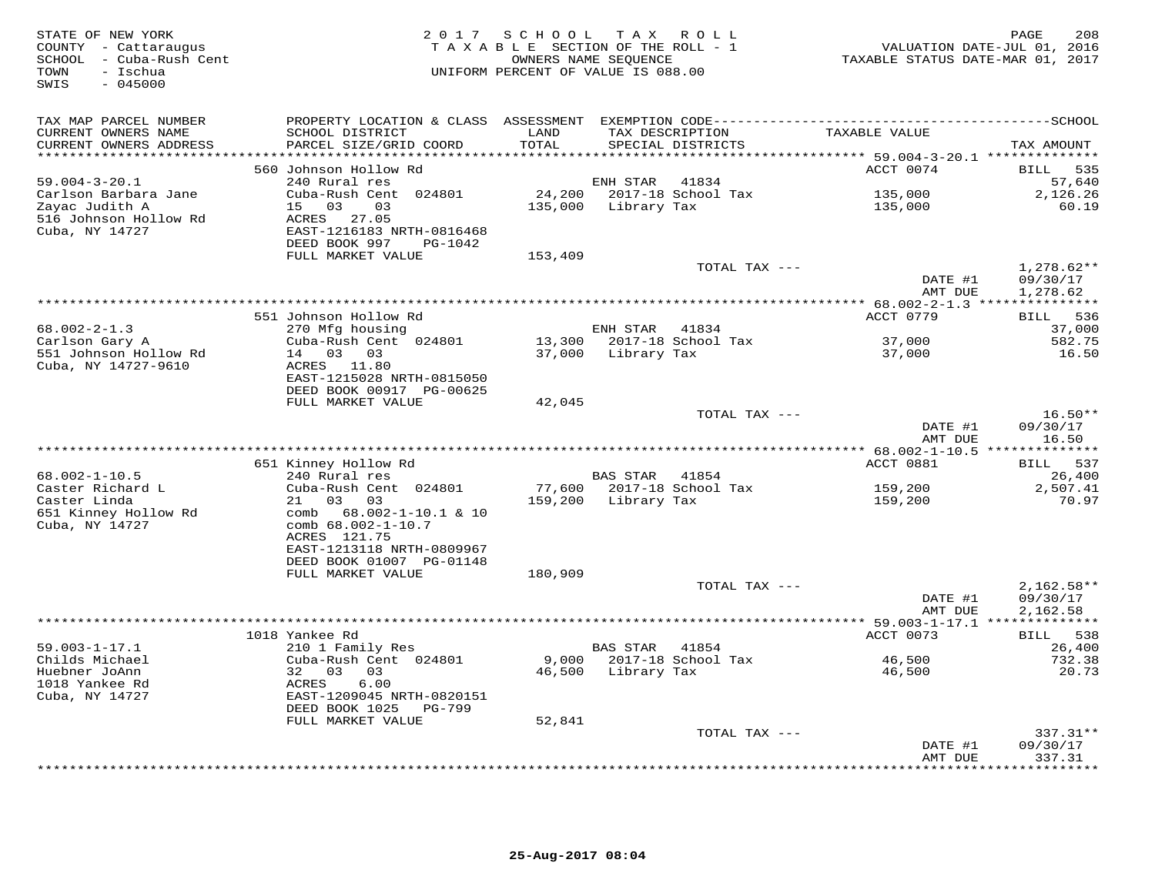| STATE OF NEW YORK<br>COUNTY - Cattaraugus<br>SCHOOL - Cuba-Rush Cent<br>- Ischua<br>TOWN<br>$-045000$<br>SWIS | 2 0 1 7                                                                                                                          | SCHOOL            | T A X<br>ROLL<br>TAXABLE SECTION OF THE ROLL - 1<br>OWNERS NAME SEQUENCE<br>UNIFORM PERCENT OF VALUE IS 088.00 | VALUATION DATE-JUL 01, 2016<br>TAXABLE STATUS DATE-MAR 01, 2017 | 208<br>PAGE                                |
|---------------------------------------------------------------------------------------------------------------|----------------------------------------------------------------------------------------------------------------------------------|-------------------|----------------------------------------------------------------------------------------------------------------|-----------------------------------------------------------------|--------------------------------------------|
| TAX MAP PARCEL NUMBER<br>CURRENT OWNERS NAME<br>CURRENT OWNERS ADDRESS                                        | SCHOOL DISTRICT<br>PARCEL SIZE/GRID COORD                                                                                        | LAND<br>TOTAL     | TAX DESCRIPTION<br>SPECIAL DISTRICTS                                                                           | TAXABLE VALUE                                                   | TAX AMOUNT                                 |
| **********************                                                                                        | ************************                                                                                                         | ************      |                                                                                                                | **************************** 59.004-3-20.1 **************       |                                            |
| $59.004 - 3 - 20.1$<br>Carlson Barbara Jane<br>Zayac Judith A<br>516 Johnson Hollow Rd<br>Cuba, NY 14727      | 560 Johnson Hollow Rd<br>240 Rural res<br>Cuba-Rush Cent 024801<br>15<br>03<br>03<br>ACRES<br>27.05<br>EAST-1216183 NRTH-0816468 | 24,200<br>135,000 | ENH STAR<br>41834<br>2017-18 School Tax<br>Library Tax                                                         | ACCT 0074<br>135,000<br>135,000                                 | BILL<br>535<br>57,640<br>2,126.26<br>60.19 |
|                                                                                                               | DEED BOOK 997<br>PG-1042<br>FULL MARKET VALUE                                                                                    | 153,409           | TOTAL TAX ---                                                                                                  |                                                                 | $1,278.62**$                               |
|                                                                                                               |                                                                                                                                  |                   |                                                                                                                | DATE #1<br>AMT DUE                                              | 09/30/17<br>1,278.62                       |
|                                                                                                               |                                                                                                                                  |                   |                                                                                                                |                                                                 |                                            |
| $68.002 - 2 - 1.3$                                                                                            | 551 Johnson Hollow Rd<br>270 Mfg housing                                                                                         |                   | ENH STAR<br>41834                                                                                              | ACCT 0779                                                       | 536<br>BILL<br>37,000                      |
| Carlson Gary A<br>551 Johnson Hollow Rd<br>Cuba, NY 14727-9610                                                | Cuba-Rush Cent 024801<br>14 03<br>03<br>ACRES<br>11.80<br>EAST-1215028 NRTH-0815050                                              | 13,300<br>37,000  | 2017-18 School Tax<br>Library Tax                                                                              | 37,000<br>37,000                                                | 582.75<br>16.50                            |
|                                                                                                               | DEED BOOK 00917 PG-00625                                                                                                         |                   |                                                                                                                |                                                                 |                                            |
|                                                                                                               | FULL MARKET VALUE                                                                                                                | 42,045            |                                                                                                                |                                                                 |                                            |
|                                                                                                               |                                                                                                                                  |                   | TOTAL TAX ---                                                                                                  | DATE #1<br>AMT DUE                                              | $16.50**$<br>09/30/17<br>16.50             |
|                                                                                                               |                                                                                                                                  |                   |                                                                                                                | *** 68.002-1-10.5 **                                            | ********                                   |
| $68.002 - 1 - 10.5$<br>Caster Richard L                                                                       | 651 Kinney Hollow Rd<br>240 Rural res<br>Cuba-Rush Cent 024801                                                                   | 77,600            | <b>BAS STAR</b><br>41854<br>2017-18 School Tax                                                                 | ACCT 0881<br>159,200                                            | 537<br>BILL<br>26,400<br>2,507.41          |
| Caster Linda<br>651 Kinney Hollow Rd<br>Cuba, NY 14727                                                        | 03<br>03<br>21<br>68.002-1-10.1 & 10<br>comb<br>comb 68.002-1-10.7<br>ACRES 121.75<br>EAST-1213118 NRTH-0809967                  | 159,200           | Library Tax                                                                                                    | 159,200                                                         | 70.97                                      |
|                                                                                                               | DEED BOOK 01007 PG-01148                                                                                                         |                   |                                                                                                                |                                                                 |                                            |
|                                                                                                               | FULL MARKET VALUE                                                                                                                | 180,909           | TOTAL TAX ---                                                                                                  | DATE #1<br>AMT DUE                                              | $2,162.58**$<br>09/30/17<br>2,162.58       |
|                                                                                                               |                                                                                                                                  |                   |                                                                                                                | *********** 59.003-1-17.1 **************                        |                                            |
|                                                                                                               | 1018 Yankee Rd                                                                                                                   |                   |                                                                                                                | ACCT 0073                                                       | BILL 538                                   |
| $59.003 - 1 - 17.1$<br>Childs Michael<br>Huebner JoAnn<br>1018 Yankee Rd<br>Cuba, NY 14727                    | 210 1 Family Res<br>Cuba-Rush Cent 024801<br>32 03<br>03<br>ACRES<br>6.00<br>EAST-1209045 NRTH-0820151                           | 9,000<br>46,500   | BAS STAR<br>41854<br>2017-18 School Tax<br>Library Tax                                                         | 46,500<br>46,500                                                | 26,400<br>732.38<br>20.73                  |
|                                                                                                               | DEED BOOK 1025<br>PG-799<br>FULL MARKET VALUE                                                                                    | 52,841            |                                                                                                                |                                                                 |                                            |
|                                                                                                               |                                                                                                                                  |                   | TOTAL TAX ---                                                                                                  | DATE #1                                                         | $337.31**$<br>09/30/17                     |
|                                                                                                               |                                                                                                                                  |                   |                                                                                                                | AMT DUE<br>* * * * * * * * ·                                    | 337.31<br>*******                          |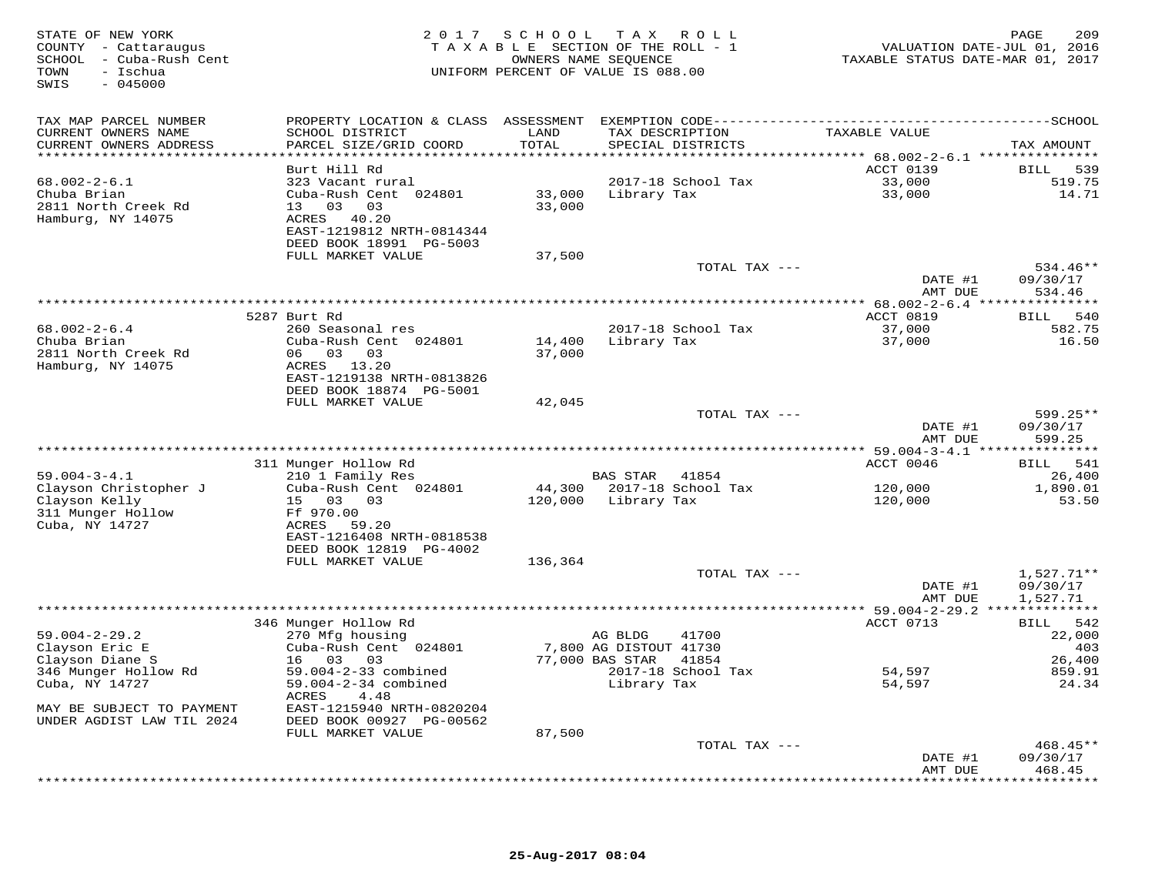| STATE OF NEW YORK<br>COUNTY - Cattaraugus<br>SCHOOL - Cuba-Rush Cent<br>- Ischua<br>TOWN<br>$-045000$<br>SWIS | 2 0 1 7                                                               | SCHOOL                       | T A X<br>ROLL<br>TAXABLE SECTION OF THE ROLL - 1<br>OWNERS NAME SEQUENCE<br>UNIFORM PERCENT OF VALUE IS 088.00 | VALUATION DATE-JUL 01, 2016<br>TAXABLE STATUS DATE-MAR 01, 2017 | 209<br>PAGE        |
|---------------------------------------------------------------------------------------------------------------|-----------------------------------------------------------------------|------------------------------|----------------------------------------------------------------------------------------------------------------|-----------------------------------------------------------------|--------------------|
| TAX MAP PARCEL NUMBER                                                                                         |                                                                       |                              |                                                                                                                |                                                                 |                    |
| CURRENT OWNERS NAME<br>CURRENT OWNERS ADDRESS<br>***********************                                      | SCHOOL DISTRICT<br>PARCEL SIZE/GRID COORD<br>************************ | LAND<br>TOTAL<br>*********** | TAX DESCRIPTION<br>SPECIAL DISTRICTS                                                                           | TAXABLE VALUE                                                   | TAX AMOUNT         |
|                                                                                                               | Burt Hill Rd                                                          |                              |                                                                                                                | ACCT 0139                                                       | 539<br>BILL        |
| $68.002 - 2 - 6.1$                                                                                            | 323 Vacant rural                                                      |                              | 2017-18 School Tax                                                                                             | 33,000                                                          | 519.75             |
| Chuba Brian                                                                                                   | Cuba-Rush Cent 024801                                                 | 33,000                       | Library Tax                                                                                                    | 33,000                                                          | 14.71              |
| 2811 North Creek Rd                                                                                           | 13 03 03                                                              | 33,000                       |                                                                                                                |                                                                 |                    |
| Hamburg, NY 14075                                                                                             | ACRES 40.20                                                           |                              |                                                                                                                |                                                                 |                    |
|                                                                                                               | EAST-1219812 NRTH-0814344                                             |                              |                                                                                                                |                                                                 |                    |
|                                                                                                               | DEED BOOK 18991 PG-5003                                               |                              |                                                                                                                |                                                                 |                    |
|                                                                                                               | FULL MARKET VALUE                                                     | 37,500                       |                                                                                                                |                                                                 |                    |
|                                                                                                               |                                                                       |                              | TOTAL TAX ---                                                                                                  |                                                                 | 534.46**           |
|                                                                                                               |                                                                       |                              |                                                                                                                | DATE #1<br>AMT DUE                                              | 09/30/17<br>534.46 |
|                                                                                                               |                                                                       |                              |                                                                                                                | ****************** 68.002-2-6.4 ****************                |                    |
|                                                                                                               | 5287 Burt Rd                                                          |                              |                                                                                                                | ACCT 0819                                                       | 540<br>BILL        |
| $68.002 - 2 - 6.4$                                                                                            | 260 Seasonal res                                                      |                              | 2017-18 School Tax                                                                                             | 37,000                                                          | 582.75             |
| Chuba Brian                                                                                                   | Cuba-Rush Cent 024801                                                 | 14,400                       | Library Tax                                                                                                    | 37,000                                                          | 16.50              |
| 2811 North Creek Rd                                                                                           | 03<br>03<br>06                                                        | 37,000                       |                                                                                                                |                                                                 |                    |
| Hamburg, NY 14075                                                                                             | ACRES<br>13.20                                                        |                              |                                                                                                                |                                                                 |                    |
|                                                                                                               | EAST-1219138 NRTH-0813826                                             |                              |                                                                                                                |                                                                 |                    |
|                                                                                                               | DEED BOOK 18874 PG-5001<br>FULL MARKET VALUE                          | 42,045                       |                                                                                                                |                                                                 |                    |
|                                                                                                               |                                                                       |                              | TOTAL TAX ---                                                                                                  |                                                                 | 599.25**           |
|                                                                                                               |                                                                       |                              |                                                                                                                | DATE #1<br>AMT DUE                                              | 09/30/17<br>599.25 |
|                                                                                                               |                                                                       |                              |                                                                                                                |                                                                 |                    |
|                                                                                                               | 311 Munger Hollow Rd                                                  |                              |                                                                                                                | ACCT 0046                                                       | 541<br>BILL        |
| $59.004 - 3 - 4.1$                                                                                            | 210 1 Family Res                                                      |                              | <b>BAS STAR</b><br>41854                                                                                       |                                                                 | 26,400             |
| Clayson Christopher J                                                                                         | Cuba-Rush Cent 024801                                                 | 44,300                       | 2017-18 School Tax                                                                                             | 120,000                                                         | 1,890.01           |
| Clayson Kelly<br>311 Munger Hollow                                                                            | 15 03<br>0.3<br>Ff 970.00                                             | 120,000                      | Library Tax                                                                                                    | 120,000                                                         | 53.50              |
| Cuba, NY 14727                                                                                                | ACRES<br>59.20                                                        |                              |                                                                                                                |                                                                 |                    |
|                                                                                                               | EAST-1216408 NRTH-0818538                                             |                              |                                                                                                                |                                                                 |                    |
|                                                                                                               | DEED BOOK 12819 PG-4002                                               |                              |                                                                                                                |                                                                 |                    |
|                                                                                                               | FULL MARKET VALUE                                                     | 136,364                      |                                                                                                                |                                                                 |                    |
|                                                                                                               |                                                                       |                              | TOTAL TAX ---                                                                                                  |                                                                 | $1,527.71**$       |
|                                                                                                               |                                                                       |                              |                                                                                                                | DATE #1                                                         | 09/30/17           |
|                                                                                                               |                                                                       |                              |                                                                                                                | AMT DUE                                                         | 1,527.71           |
|                                                                                                               |                                                                       |                              |                                                                                                                | ********** 59.004-2-29.2 ***************                        |                    |
|                                                                                                               | 346 Munger Hollow Rd                                                  |                              | AG BLDG<br>41700                                                                                               | ACCT 0713                                                       | 542<br><b>BILL</b> |
| $59.004 - 2 - 29.2$<br>Clayson Eric E                                                                         | 270 Mfg housing<br>Cuba-Rush Cent 024801                              |                              | 7,800 AG DISTOUT 41730                                                                                         |                                                                 | 22,000<br>403      |
| Clayson Diane S                                                                                               | 16 03<br>03                                                           |                              | 77,000 BAS STAR<br>41854                                                                                       |                                                                 | 26,400             |
| 346 Munger Hollow Rd                                                                                          | 59.004-2-33 combined                                                  |                              | 2017-18 School Tax                                                                                             | 54,597                                                          | 859.91             |
| Cuba, NY 14727                                                                                                | 59.004-2-34 combined                                                  |                              | Library Tax                                                                                                    | 54,597                                                          | 24.34              |
|                                                                                                               | 4.48<br>ACRES                                                         |                              |                                                                                                                |                                                                 |                    |
| MAY BE SUBJECT TO PAYMENT                                                                                     | EAST-1215940 NRTH-0820204                                             |                              |                                                                                                                |                                                                 |                    |
| UNDER AGDIST LAW TIL 2024                                                                                     | DEED BOOK 00927 PG-00562                                              |                              |                                                                                                                |                                                                 |                    |
|                                                                                                               | FULL MARKET VALUE                                                     | 87,500                       |                                                                                                                |                                                                 |                    |
|                                                                                                               |                                                                       |                              | TOTAL TAX ---                                                                                                  |                                                                 | 468.45**           |
|                                                                                                               |                                                                       |                              |                                                                                                                | DATE #1<br>AMT DUE                                              | 09/30/17<br>468.45 |
|                                                                                                               |                                                                       |                              |                                                                                                                | *********                                                       | . * * * * * * * *  |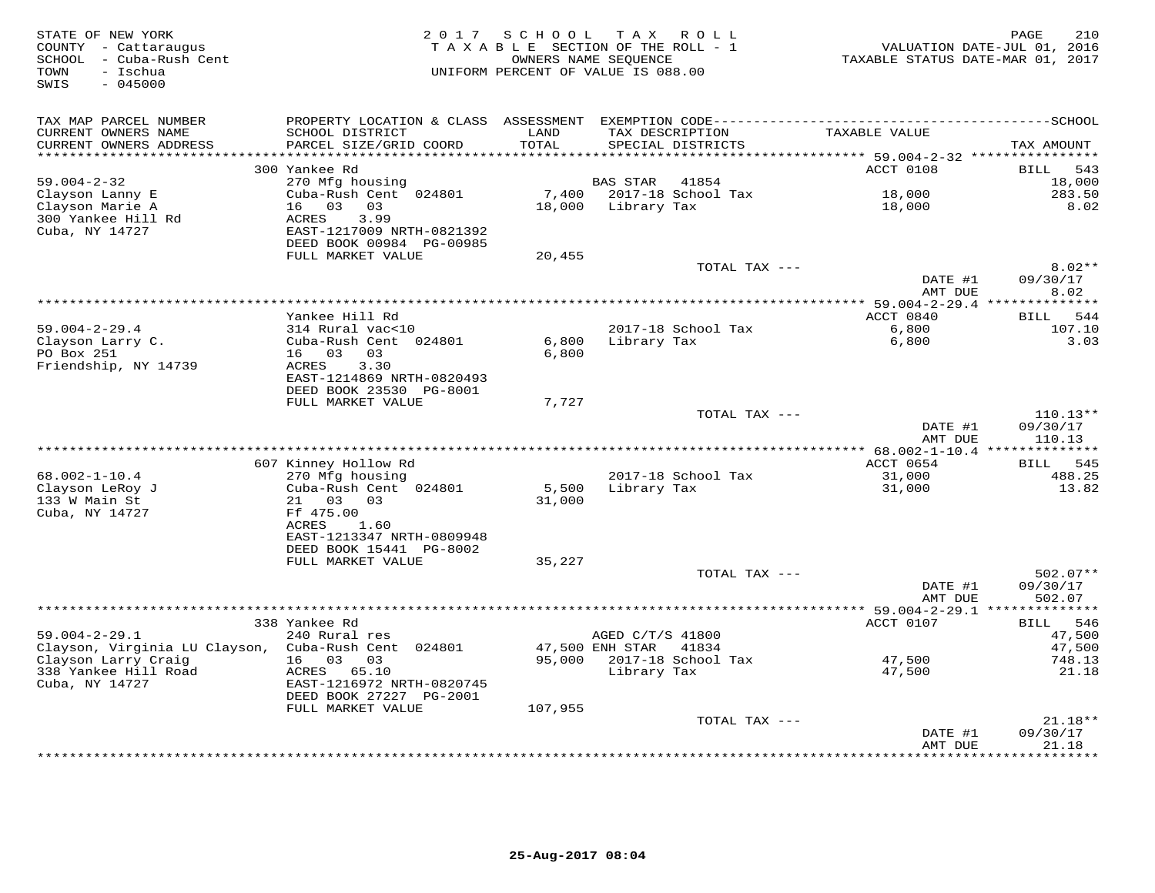| STATE OF NEW YORK<br>COUNTY - Cattaraugus<br>SCHOOL - Cuba-Rush Cent<br>- Ischua<br>TOWN<br>$-045000$<br>SWIS | 2 0 1 7                                               | SCHOOL<br>T A X A B L E SECTION OF THE ROLL - 1<br>OWNERS NAME SEQUENCE<br>UNIFORM PERCENT OF VALUE IS 088.00 | T A X            | R O L L                              | TAXABLE STATUS DATE-MAR 01, 2017 | 210<br>PAGE<br>VALUATION DATE-JUL 01, 2016 |
|---------------------------------------------------------------------------------------------------------------|-------------------------------------------------------|---------------------------------------------------------------------------------------------------------------|------------------|--------------------------------------|----------------------------------|--------------------------------------------|
| TAX MAP PARCEL NUMBER<br>CURRENT OWNERS NAME<br>CURRENT OWNERS ADDRESS                                        | SCHOOL DISTRICT<br>PARCEL SIZE/GRID COORD             | LAND<br>TOTAL                                                                                                 |                  | TAX DESCRIPTION<br>SPECIAL DISTRICTS | TAXABLE VALUE                    | TAX AMOUNT                                 |
|                                                                                                               |                                                       |                                                                                                               |                  |                                      | ***** 59.004-2-32 ***********    |                                            |
|                                                                                                               | 300 Yankee Rd                                         |                                                                                                               |                  |                                      | ACCT 0108                        | BILL<br>543                                |
| $59.004 - 2 - 32$                                                                                             | 270 Mfg housing                                       |                                                                                                               | BAS STAR         | 41854                                |                                  | 18,000                                     |
| Clayson Lanny E                                                                                               | Cuba-Rush Cent 024801                                 | 7,400                                                                                                         |                  | 2017-18 School Tax                   | 18,000                           | 283.50                                     |
| Clayson Marie A                                                                                               | 03<br>03<br>16                                        | 18,000                                                                                                        | Library Tax      |                                      | 18,000                           | 8.02                                       |
| 300 Yankee Hill Rd                                                                                            | <b>ACRES</b><br>3.99                                  |                                                                                                               |                  |                                      |                                  |                                            |
| Cuba, NY 14727                                                                                                | EAST-1217009 NRTH-0821392<br>DEED BOOK 00984 PG-00985 |                                                                                                               |                  |                                      |                                  |                                            |
|                                                                                                               | FULL MARKET VALUE                                     | 20,455                                                                                                        |                  |                                      |                                  |                                            |
|                                                                                                               |                                                       |                                                                                                               |                  | TOTAL TAX ---                        |                                  | $8.02**$                                   |
|                                                                                                               |                                                       |                                                                                                               |                  |                                      | DATE #1                          | 09/30/17                                   |
|                                                                                                               |                                                       |                                                                                                               |                  |                                      | AMT DUE                          | 8.02                                       |
|                                                                                                               |                                                       |                                                                                                               |                  |                                      | ********* 59.004-2-29.4          | **************                             |
| $59.004 - 2 - 29.4$                                                                                           | Yankee Hill Rd<br>314 Rural vac<10                    |                                                                                                               |                  |                                      | ACCT 0840<br>6,800               | 544<br><b>BILL</b><br>107.10               |
| Clayson Larry C.                                                                                              | Cuba-Rush Cent 024801                                 | 6,800                                                                                                         | Library Tax      | 2017-18 School Tax                   | 6,800                            | 3.03                                       |
| PO Box 251                                                                                                    | 16 03<br>03                                           | 6,800                                                                                                         |                  |                                      |                                  |                                            |
| Friendship, NY 14739                                                                                          | 3.30<br>ACRES                                         |                                                                                                               |                  |                                      |                                  |                                            |
|                                                                                                               | EAST-1214869 NRTH-0820493                             |                                                                                                               |                  |                                      |                                  |                                            |
|                                                                                                               | DEED BOOK 23530 PG-8001                               |                                                                                                               |                  |                                      |                                  |                                            |
|                                                                                                               | FULL MARKET VALUE                                     | 7,727                                                                                                         |                  |                                      |                                  |                                            |
|                                                                                                               |                                                       |                                                                                                               |                  | TOTAL TAX ---                        |                                  | $110.13**$                                 |
|                                                                                                               |                                                       |                                                                                                               |                  |                                      | DATE #1<br>AMT DUE               | 09/30/17<br>110.13                         |
|                                                                                                               |                                                       |                                                                                                               |                  |                                      |                                  |                                            |
|                                                                                                               | 607 Kinney Hollow Rd                                  |                                                                                                               |                  |                                      | ACCT 0654                        | BILL<br>545                                |
| $68.002 - 1 - 10.4$                                                                                           | 270 Mfg housing                                       |                                                                                                               |                  | 2017-18 School Tax                   | 31,000                           | 488.25                                     |
| Clayson LeRoy J                                                                                               | Cuba-Rush Cent 024801                                 | 5,500                                                                                                         | Library Tax      |                                      | 31,000                           | 13.82                                      |
| 133 W Main St                                                                                                 | 03 03<br>21                                           | 31,000                                                                                                        |                  |                                      |                                  |                                            |
| Cuba, NY 14727                                                                                                | Ff 475.00                                             |                                                                                                               |                  |                                      |                                  |                                            |
|                                                                                                               | ACRES<br>1.60<br>EAST-1213347 NRTH-0809948            |                                                                                                               |                  |                                      |                                  |                                            |
|                                                                                                               | DEED BOOK 15441 PG-8002                               |                                                                                                               |                  |                                      |                                  |                                            |
|                                                                                                               | FULL MARKET VALUE                                     | 35,227                                                                                                        |                  |                                      |                                  |                                            |
|                                                                                                               |                                                       |                                                                                                               |                  | TOTAL TAX ---                        |                                  | $502.07**$                                 |
|                                                                                                               |                                                       |                                                                                                               |                  |                                      | DATE #1                          | 09/30/17                                   |
|                                                                                                               |                                                       |                                                                                                               |                  |                                      | AMT DUE                          | 502.07                                     |
|                                                                                                               | ****************                                      |                                                                                                               |                  |                                      | *** 59.004-2-29.1 *              | ***********                                |
| $59.004 - 2 - 29.1$                                                                                           | 338 Yankee Rd<br>240 Rural res                        |                                                                                                               | AGED C/T/S 41800 |                                      | ACCT 0107                        | 546<br>BILL<br>47,500                      |
| Clayson, Virginia LU Clayson,                                                                                 | Cuba-Rush Cent 024801                                 |                                                                                                               | 47,500 ENH STAR  | 41834                                |                                  | 47,500                                     |
| Clayson Larry Craig                                                                                           | 16 03<br>03                                           | 95,000                                                                                                        |                  | 2017-18 School Tax                   | 47,500                           | 748.13                                     |
| 338 Yankee Hill Road                                                                                          | ACRES<br>65.10                                        |                                                                                                               | Library Tax      |                                      | 47,500                           | 21.18                                      |
| Cuba, NY 14727                                                                                                | EAST-1216972 NRTH-0820745                             |                                                                                                               |                  |                                      |                                  |                                            |
|                                                                                                               | DEED BOOK 27227 PG-2001                               |                                                                                                               |                  |                                      |                                  |                                            |
|                                                                                                               | FULL MARKET VALUE                                     | 107,955                                                                                                       |                  |                                      |                                  |                                            |
|                                                                                                               |                                                       |                                                                                                               |                  | TOTAL TAX ---                        |                                  | $21.18**$                                  |
|                                                                                                               |                                                       |                                                                                                               |                  |                                      | DATE #1<br>AMT DUE               | 09/30/17<br>21.18                          |
|                                                                                                               |                                                       |                                                                                                               |                  |                                      | * * * * * * * * * * * * *        | *******                                    |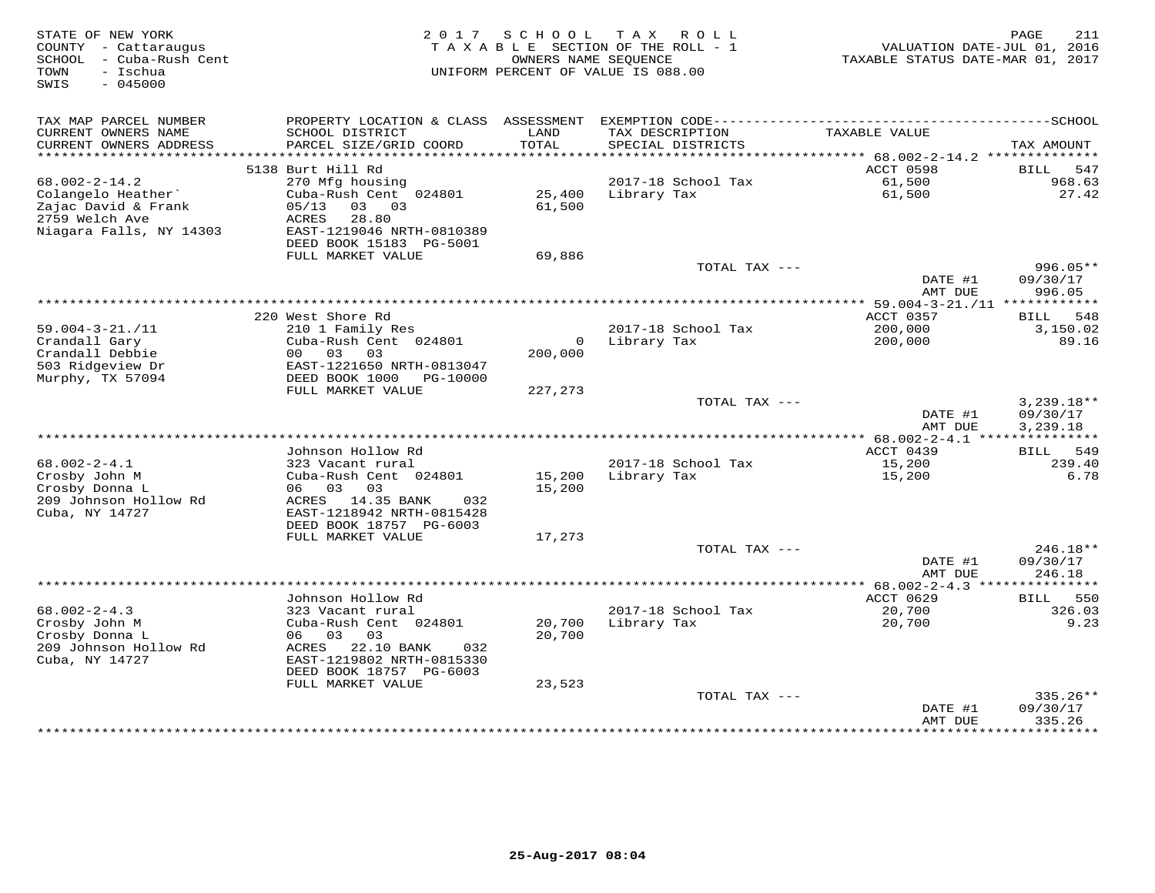| STATE OF NEW YORK<br>COUNTY - Cattaraugus<br>- Cuba-Rush Cent<br>SCHOOL<br>- Ischua<br>TOWN<br>$-045000$<br>SWIS | 2 0 1 7                                                                           | SCHOOL             | T A X<br>ROLL<br>TAXABLE SECTION OF THE ROLL - 1<br>OWNERS NAME SEQUENCE<br>UNIFORM PERCENT OF VALUE IS 088.00 | VALUATION DATE-JUL 01, 2016<br>TAXABLE STATUS DATE-MAR 01, 2017 | 211<br>PAGE                    |
|------------------------------------------------------------------------------------------------------------------|-----------------------------------------------------------------------------------|--------------------|----------------------------------------------------------------------------------------------------------------|-----------------------------------------------------------------|--------------------------------|
| TAX MAP PARCEL NUMBER<br>CURRENT OWNERS NAME<br>CURRENT OWNERS ADDRESS                                           | PROPERTY LOCATION & CLASS ASSESSMENT<br>SCHOOL DISTRICT<br>PARCEL SIZE/GRID COORD | LAND<br>TOTAL      | TAX DESCRIPTION<br>SPECIAL DISTRICTS                                                                           | TAXABLE VALUE                                                   | TAX AMOUNT                     |
| ******************************                                                                                   |                                                                                   |                    |                                                                                                                |                                                                 |                                |
|                                                                                                                  | 5138 Burt Hill Rd                                                                 |                    |                                                                                                                | ACCT 0598                                                       | 547<br>BILL                    |
| $68.002 - 2 - 14.2$<br>Colangelo Heather                                                                         | 270 Mfg housing<br>Cuba-Rush Cent 024801                                          | 25,400             | 2017-18 School Tax<br>Library Tax                                                                              | 61,500<br>61,500                                                | 968.63<br>27.42                |
| Zajac David & Frank<br>2759 Welch Ave<br>Niagara Falls, NY 14303                                                 | 03<br>03<br>05/13<br>ACRES<br>28.80<br>EAST-1219046 NRTH-0810389                  | 61,500             |                                                                                                                |                                                                 |                                |
|                                                                                                                  | DEED BOOK 15183 PG-5001<br>FULL MARKET VALUE                                      | 69,886             |                                                                                                                |                                                                 |                                |
|                                                                                                                  |                                                                                   |                    | TOTAL TAX ---                                                                                                  | DATE #1                                                         | $996.05**$<br>09/30/17         |
|                                                                                                                  |                                                                                   |                    |                                                                                                                | AMT DUE                                                         | 996.05                         |
|                                                                                                                  |                                                                                   | ****************** |                                                                                                                | ** $59.004 - 3 - 21. / 11$ ***                                  | ********                       |
| $59.004 - 3 - 21. / 11$                                                                                          | 220 West Shore Rd<br>210 1 Family Res                                             |                    | 2017-18 School Tax                                                                                             | ACCT 0357<br>200,000                                            | 548<br><b>BILL</b><br>3,150.02 |
| Crandall Gary                                                                                                    | Cuba-Rush Cent 024801                                                             | $\circ$            | Library Tax                                                                                                    | 200,000                                                         | 89.16                          |
| Crandall Debbie                                                                                                  | 03<br>03<br>00                                                                    | 200,000            |                                                                                                                |                                                                 |                                |
| 503 Ridgeview Dr                                                                                                 | EAST-1221650 NRTH-0813047                                                         |                    |                                                                                                                |                                                                 |                                |
| Murphy, TX 57094                                                                                                 | DEED BOOK 1000<br>PG-10000<br>FULL MARKET VALUE                                   | 227,273            |                                                                                                                |                                                                 |                                |
|                                                                                                                  |                                                                                   |                    | TOTAL TAX ---                                                                                                  |                                                                 | $3,239.18**$                   |
|                                                                                                                  |                                                                                   |                    |                                                                                                                | DATE #1<br>AMT DUE                                              | 09/30/17<br>3,239.18           |
| ********************                                                                                             |                                                                                   |                    |                                                                                                                | ************ 68.002-2-4.1 ****                                  |                                |
|                                                                                                                  | Johnson Hollow Rd                                                                 |                    |                                                                                                                | ACCT 0439                                                       | 549<br>BILL                    |
| $68.002 - 2 - 4.1$<br>Crosby John M                                                                              | 323 Vacant rural<br>Cuba-Rush Cent 024801                                         | 15,200             | 2017-18 School Tax<br>Library Tax                                                                              | 15,200<br>15,200                                                | 239.40<br>6.78                 |
| Crosby Donna L                                                                                                   | 06 03<br>03                                                                       | 15,200             |                                                                                                                |                                                                 |                                |
| 209 Johnson Hollow Rd<br>Cuba, NY 14727                                                                          | ACRES 14.35 BANK<br>032<br>EAST-1218942 NRTH-0815428                              |                    |                                                                                                                |                                                                 |                                |
|                                                                                                                  | DEED BOOK 18757 PG-6003<br>FULL MARKET VALUE                                      | 17,273             |                                                                                                                |                                                                 |                                |
|                                                                                                                  |                                                                                   |                    | TOTAL TAX ---                                                                                                  |                                                                 | 246.18**                       |
|                                                                                                                  |                                                                                   |                    |                                                                                                                | DATE #1<br>AMT DUE                                              | 09/30/17<br>246.18             |
| ******************************                                                                                   |                                                                                   |                    |                                                                                                                | *************** 68.002-2-4.3 ****************                   |                                |
| $68.002 - 2 - 4.3$                                                                                               | Johnson Hollow Rd<br>323 Vacant rural                                             |                    | 2017-18 School Tax                                                                                             | ACCT 0629                                                       | 550<br><b>BILL</b><br>326.03   |
| Crosby John M                                                                                                    | Cuba-Rush Cent 024801                                                             | 20,700             | Library Tax                                                                                                    | 20,700<br>20,700                                                | 9.23                           |
| Crosby Donna L<br>209 Johnson Hollow Rd<br>Cuba, NY 14727                                                        | 06 03<br>03<br>22.10 BANK<br>ACRES<br>032<br>EAST-1219802 NRTH-0815330            | 20,700             |                                                                                                                |                                                                 |                                |
|                                                                                                                  | DEED BOOK 18757 PG-6003                                                           |                    |                                                                                                                |                                                                 |                                |
|                                                                                                                  | FULL MARKET VALUE                                                                 | 23,523             | TOTAL TAX ---                                                                                                  |                                                                 | 335.26**                       |
|                                                                                                                  |                                                                                   |                    |                                                                                                                | DATE #1<br>AMT DUE                                              | 09/30/17<br>335.26             |
|                                                                                                                  |                                                                                   |                    |                                                                                                                |                                                                 |                                |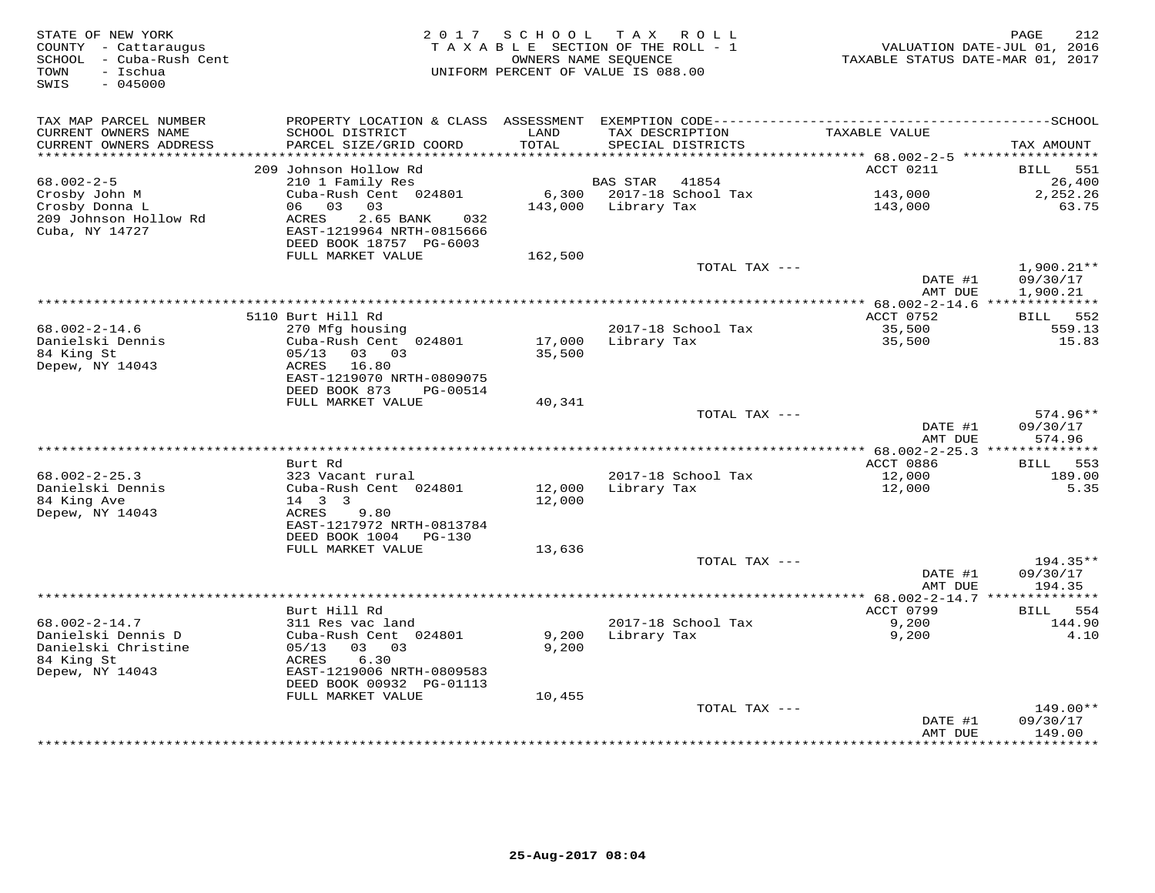| STATE OF NEW YORK<br>COUNTY - Cattaraugus<br>- Cuba-Rush Cent<br>SCHOOL<br>- Ischua<br>TOWN<br>$-045000$<br>SWIS | 2 0 1 7                                              | SCHOOL<br>OWNERS NAME SEOUENCE | T A X<br>R O L L<br>TAXABLE SECTION OF THE ROLL - 1<br>UNIFORM PERCENT OF VALUE IS 088.00 | TAXABLE STATUS DATE-MAR 01, 2017   | 212<br>PAGE<br>VALUATION DATE-JUL 01, 2016 |
|------------------------------------------------------------------------------------------------------------------|------------------------------------------------------|--------------------------------|-------------------------------------------------------------------------------------------|------------------------------------|--------------------------------------------|
| TAX MAP PARCEL NUMBER                                                                                            | PROPERTY LOCATION & CLASS                            | ASSESSMENT                     |                                                                                           |                                    |                                            |
| CURRENT OWNERS NAME<br>CURRENT OWNERS ADDRESS<br>**********************                                          | SCHOOL DISTRICT<br>PARCEL SIZE/GRID COORD            | LAND<br>TOTAL                  | TAX DESCRIPTION<br>SPECIAL DISTRICTS                                                      | TAXABLE VALUE                      | TAX AMOUNT<br>*****************            |
|                                                                                                                  | 209 Johnson Hollow Rd                                |                                |                                                                                           | ACCT 0211                          | <b>BILL</b><br>551                         |
| $68.002 - 2 - 5$                                                                                                 | 210 1 Family Res                                     |                                | 41854<br><b>BAS STAR</b>                                                                  |                                    | 26,400                                     |
| Crosby John M                                                                                                    | Cuba-Rush Cent 024801                                | 6,300                          | 2017-18 School Tax                                                                        | 143,000                            | 2,252.26                                   |
| Crosby Donna L                                                                                                   | 03<br>03<br>06                                       | 143,000                        | Library Tax                                                                               | 143,000                            | 63.75                                      |
| 209 Johnson Hollow Rd                                                                                            | ACRES<br>2.65 BANK<br>032                            |                                |                                                                                           |                                    |                                            |
| Cuba, NY 14727                                                                                                   | EAST-1219964 NRTH-0815666<br>DEED BOOK 18757 PG-6003 |                                |                                                                                           |                                    |                                            |
|                                                                                                                  | FULL MARKET VALUE                                    | 162,500                        |                                                                                           |                                    |                                            |
|                                                                                                                  |                                                      |                                | TOTAL TAX ---                                                                             |                                    | $1,900.21**$                               |
|                                                                                                                  |                                                      |                                |                                                                                           | DATE #1                            | 09/30/17                                   |
|                                                                                                                  |                                                      |                                |                                                                                           | AMT DUE                            | 1,900.21                                   |
|                                                                                                                  | 5110 Burt Hill Rd                                    |                                |                                                                                           | $* 68.002 - 2 - 14.6$<br>ACCT 0752 | 552                                        |
| $68.002 - 2 - 14.6$                                                                                              | 270 Mfg housing                                      |                                | 2017-18 School Tax                                                                        | 35,500                             | BILL<br>559.13                             |
| Danielski Dennis                                                                                                 | Cuba-Rush Cent 024801                                | 17,000                         | Library Tax                                                                               | 35,500                             | 15.83                                      |
| 84 King St                                                                                                       | 03<br>0.3<br>05/13                                   | 35,500                         |                                                                                           |                                    |                                            |
| Depew, NY 14043                                                                                                  | ACRES<br>16.80                                       |                                |                                                                                           |                                    |                                            |
|                                                                                                                  | EAST-1219070 NRTH-0809075                            |                                |                                                                                           |                                    |                                            |
|                                                                                                                  | DEED BOOK 873<br>PG-00514<br>FULL MARKET VALUE       | 40,341                         |                                                                                           |                                    |                                            |
|                                                                                                                  |                                                      |                                | TOTAL TAX ---                                                                             |                                    | 574.96**                                   |
|                                                                                                                  |                                                      |                                |                                                                                           | DATE #1                            | 09/30/17                                   |
|                                                                                                                  |                                                      |                                |                                                                                           | AMT DUE                            | 574.96                                     |
|                                                                                                                  | Burt Rd                                              |                                |                                                                                           | ACCT 0886                          | **************<br>553<br><b>BILL</b>       |
| $68.002 - 2 - 25.3$                                                                                              | 323 Vacant rural                                     |                                | 2017-18 School Tax                                                                        | 12,000                             | 189.00                                     |
| Danielski Dennis                                                                                                 | Cuba-Rush Cent 024801                                | 12,000                         | Library Tax                                                                               | 12,000                             | 5.35                                       |
| 84 King Ave                                                                                                      | 14   3   3                                           | 12,000                         |                                                                                           |                                    |                                            |
| Depew, NY 14043                                                                                                  | ACRES<br>9.80                                        |                                |                                                                                           |                                    |                                            |
|                                                                                                                  | EAST-1217972 NRTH-0813784                            |                                |                                                                                           |                                    |                                            |
|                                                                                                                  | DEED BOOK 1004<br>$PG-130$<br>FULL MARKET VALUE      | 13,636                         |                                                                                           |                                    |                                            |
|                                                                                                                  |                                                      |                                | TOTAL TAX ---                                                                             |                                    | 194.35**                                   |
|                                                                                                                  |                                                      |                                |                                                                                           | DATE #1                            | 09/30/17                                   |
|                                                                                                                  |                                                      |                                |                                                                                           | AMT DUE                            | 194.35                                     |
|                                                                                                                  |                                                      |                                |                                                                                           | ** $68.002 - 2 - 14.7$ ***         |                                            |
| $68.002 - 2 - 14.7$                                                                                              | Burt Hill Rd                                         |                                | 2017-18 School Tax                                                                        | ACCT 0799<br>9,200                 | 554<br>BILL<br>144.90                      |
| Danielski Dennis D                                                                                               | 311 Res vac land<br>Cuba-Rush Cent 024801            | 9,200                          | Library Tax                                                                               | 9,200                              | 4.10                                       |
| Danielski Christine                                                                                              | 03<br>05/13<br>03                                    | 9,200                          |                                                                                           |                                    |                                            |
| 84 King St                                                                                                       | 6.30<br>ACRES                                        |                                |                                                                                           |                                    |                                            |
| Depew, NY 14043                                                                                                  | EAST-1219006 NRTH-0809583                            |                                |                                                                                           |                                    |                                            |
|                                                                                                                  | DEED BOOK 00932 PG-01113                             |                                |                                                                                           |                                    |                                            |
|                                                                                                                  | FULL MARKET VALUE                                    | 10,455                         | TOTAL TAX ---                                                                             |                                    | 149.00**                                   |
|                                                                                                                  |                                                      |                                |                                                                                           | DATE #1                            | 09/30/17                                   |
|                                                                                                                  |                                                      |                                |                                                                                           | AMT DUE                            | 149.00                                     |
|                                                                                                                  |                                                      |                                |                                                                                           |                                    | * * * * * * * *                            |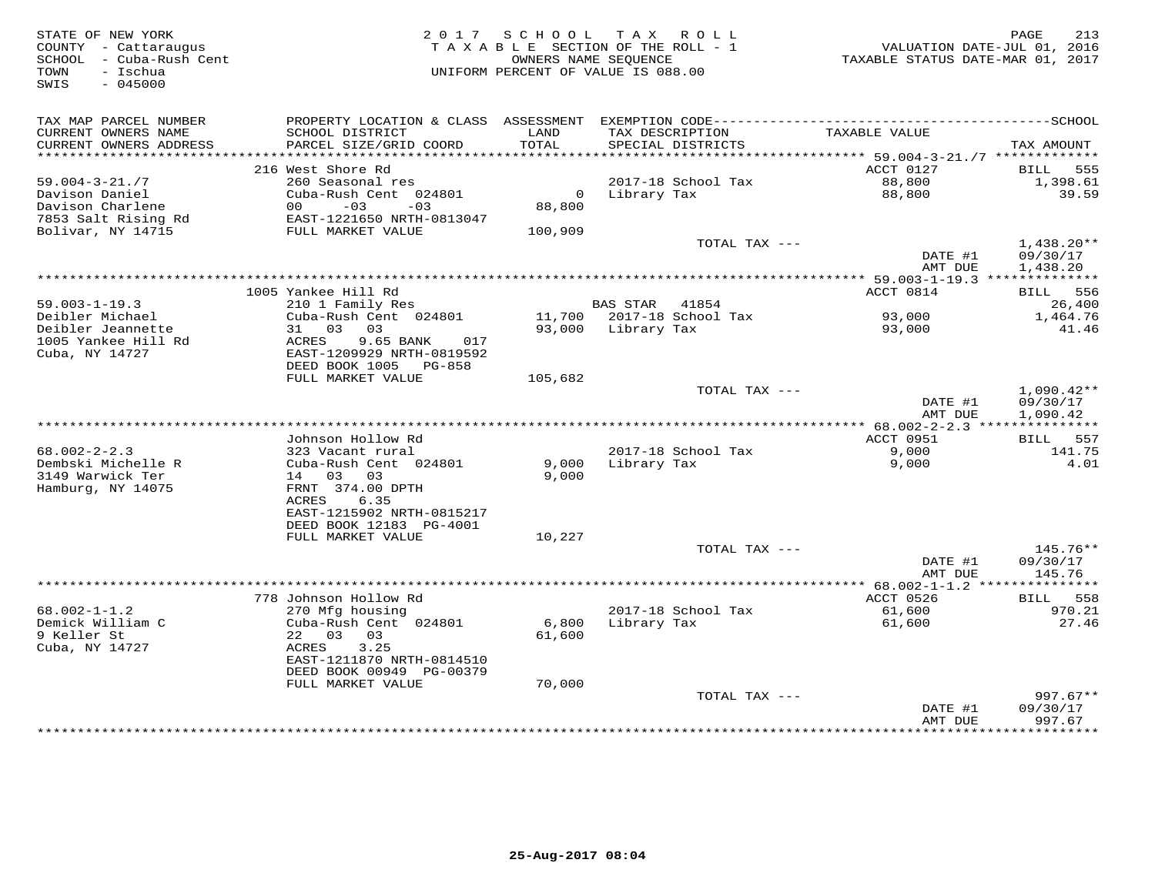| STATE OF NEW YORK<br>COUNTY - Cattaraugus<br>SCHOOL - Cuba-Rush Cent<br>- Ischua<br>TOWN<br>SWIS<br>$-045000$ | 2017 SCHOOL<br>TAX ROLL<br>TAXABLE SECTION OF THE ROLL - 1<br>OWNERS NAME SEQUENCE<br>UNIFORM PERCENT OF VALUE IS 088.00 |               |                                      | PAGE<br>213<br>VALUATION DATE-JUL 01, 2016<br>TAXABLE STATUS DATE-MAR 01, 2017 |                                      |
|---------------------------------------------------------------------------------------------------------------|--------------------------------------------------------------------------------------------------------------------------|---------------|--------------------------------------|--------------------------------------------------------------------------------|--------------------------------------|
| TAX MAP PARCEL NUMBER<br>CURRENT OWNERS NAME<br>CURRENT OWNERS ADDRESS                                        | SCHOOL DISTRICT<br>PARCEL SIZE/GRID COORD                                                                                | LAND<br>TOTAL | TAX DESCRIPTION<br>SPECIAL DISTRICTS | TAXABLE VALUE                                                                  | TAX AMOUNT                           |
| ***********************                                                                                       |                                                                                                                          |               |                                      |                                                                                |                                      |
| $59.004 - 3 - 21.77$                                                                                          | 216 West Shore Rd<br>260 Seasonal res                                                                                    |               | 2017-18 School Tax                   | ACCT 0127<br>88,800                                                            | BILL 555<br>1,398.61                 |
| Davison Daniel                                                                                                | Cuba-Rush Cent 024801                                                                                                    |               | 0 Library Tax                        | 88,800                                                                         | 39.59                                |
| Davison Charlene                                                                                              | $00 -03 -03$                                                                                                             | 88,800        |                                      |                                                                                |                                      |
| 7853 Salt Rising Rd                                                                                           | EAST-1221650 NRTH-0813047                                                                                                |               |                                      |                                                                                |                                      |
| Bolivar, NY 14715                                                                                             | FULL MARKET VALUE                                                                                                        | 100,909       |                                      |                                                                                |                                      |
|                                                                                                               |                                                                                                                          |               | TOTAL TAX ---                        | DATE #1<br>AMT DUE                                                             | $1,438.20**$<br>09/30/17<br>1,438.20 |
|                                                                                                               |                                                                                                                          |               |                                      |                                                                                |                                      |
|                                                                                                               | 1005 Yankee Hill Rd                                                                                                      |               |                                      | ACCT 0814                                                                      | BILL 556                             |
| $59.003 - 1 - 19.3$                                                                                           | 210 1 Family Res                                                                                                         |               | BAS STAR 41854                       |                                                                                | 26,400                               |
| Deibler Michael                                                                                               | Cuba-Rush Cent 024801                                                                                                    |               | 11,700 2017-18 School Tax            | 93,000                                                                         | 1,464.76                             |
| Deibler Jeannette<br>1005 Yankee Hill Rd                                                                      | 31 03 03<br>9.65 BANK<br>ACRES<br>017                                                                                    |               | 93,000 Library Tax                   | 93,000                                                                         | 41.46                                |
| Cuba, NY 14727                                                                                                | EAST-1209929 NRTH-0819592                                                                                                |               |                                      |                                                                                |                                      |
|                                                                                                               | DEED BOOK 1005 PG-858                                                                                                    |               |                                      |                                                                                |                                      |
|                                                                                                               | FULL MARKET VALUE                                                                                                        | 105,682       |                                      |                                                                                |                                      |
|                                                                                                               |                                                                                                                          |               | TOTAL TAX ---                        |                                                                                | $1,090.42**$                         |
|                                                                                                               |                                                                                                                          |               |                                      | DATE #1                                                                        | 09/30/17                             |
|                                                                                                               |                                                                                                                          |               |                                      | AMT DUE                                                                        | 1,090.42                             |
|                                                                                                               | Johnson Hollow Rd                                                                                                        |               |                                      | ACCT 0951                                                                      | BILL 557                             |
| $68.002 - 2 - 2.3$                                                                                            | 323 Vacant rural                                                                                                         |               | 2017-18 School Tax                   | 9,000                                                                          | 141.75                               |
| Dembski Michelle R                                                                                            | Cuba-Rush Cent 024801                                                                                                    | 9,000         | Library Tax                          | 9,000                                                                          | 4.01                                 |
| 3149 Warwick Ter                                                                                              | 14 03 03                                                                                                                 | 9,000         |                                      |                                                                                |                                      |
| Hamburg, NY 14075                                                                                             | FRNT 374.00 DPTH                                                                                                         |               |                                      |                                                                                |                                      |
|                                                                                                               | ACRES<br>6.35                                                                                                            |               |                                      |                                                                                |                                      |
|                                                                                                               | EAST-1215902 NRTH-0815217<br>DEED BOOK 12183 PG-4001                                                                     |               |                                      |                                                                                |                                      |
|                                                                                                               | FULL MARKET VALUE                                                                                                        | 10,227        |                                      |                                                                                |                                      |
|                                                                                                               |                                                                                                                          |               | TOTAL TAX ---                        |                                                                                | 145.76**                             |
|                                                                                                               |                                                                                                                          |               |                                      | DATE #1                                                                        | 09/30/17                             |
|                                                                                                               |                                                                                                                          |               |                                      | AMT DUE                                                                        | 145.76                               |
|                                                                                                               |                                                                                                                          |               |                                      |                                                                                |                                      |
| $68.002 - 1 - 1.2$                                                                                            | 778 Johnson Hollow Rd<br>270 Mfg housing                                                                                 |               | 2017-18 School Tax                   | ACCT 0526<br>61,600                                                            | 558<br>BILL<br>970.21                |
| Demick William C                                                                                              | Cuba-Rush Cent 024801                                                                                                    | 6,800         | Library Tax                          | 61,600                                                                         | 27.46                                |
| 9 Keller St                                                                                                   | 22 03 03                                                                                                                 | 61,600        |                                      |                                                                                |                                      |
| Cuba, NY 14727                                                                                                | 3.25<br>ACRES                                                                                                            |               |                                      |                                                                                |                                      |
|                                                                                                               | EAST-1211870 NRTH-0814510                                                                                                |               |                                      |                                                                                |                                      |
|                                                                                                               | DEED BOOK 00949 PG-00379                                                                                                 |               |                                      |                                                                                |                                      |
|                                                                                                               | FULL MARKET VALUE                                                                                                        | 70,000        | TOTAL TAX ---                        |                                                                                | $997.67**$                           |
|                                                                                                               |                                                                                                                          |               |                                      | DATE #1                                                                        | 09/30/17                             |
|                                                                                                               |                                                                                                                          |               |                                      | AMT DUE                                                                        | 997.67                               |
|                                                                                                               |                                                                                                                          |               |                                      | ****************                                                               | ***********                          |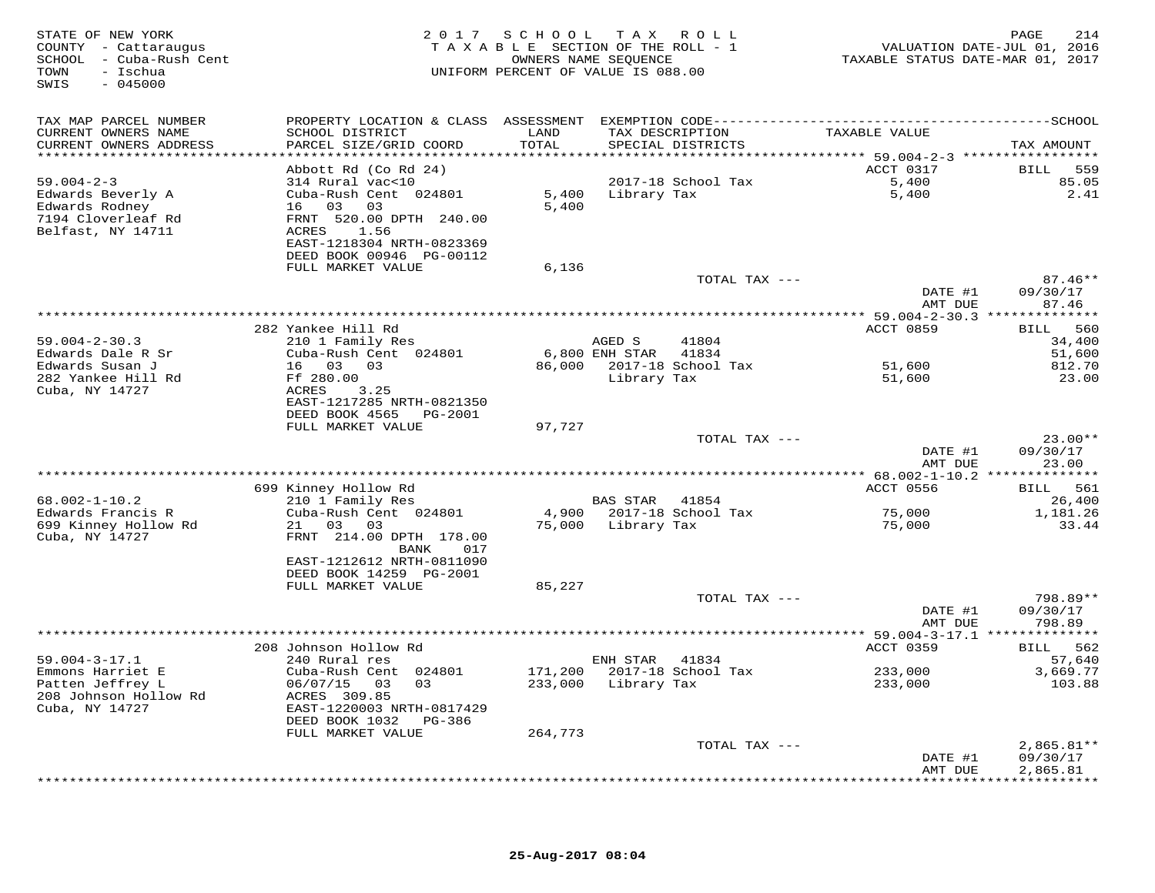| STATE OF NEW YORK<br>COUNTY - Cattaraugus<br>SCHOOL - Cuba-Rush Cent<br>- Ischua<br>TOWN<br>SWIS<br>$-045000$ |                                                       |         | 2017 SCHOOL TAX ROLL<br>TAXABLE SECTION OF THE ROLL - 1<br>OWNERS NAME SEQUENCE<br>UNIFORM PERCENT OF VALUE IS 088.00 | VALUATION DATE-JUL 01, 2016<br>TAXABLE STATUS DATE-MAR 01, 2017 | PAGE<br>214        |
|---------------------------------------------------------------------------------------------------------------|-------------------------------------------------------|---------|-----------------------------------------------------------------------------------------------------------------------|-----------------------------------------------------------------|--------------------|
| TAX MAP PARCEL NUMBER                                                                                         |                                                       |         |                                                                                                                       |                                                                 |                    |
| CURRENT OWNERS NAME                                                                                           | SCHOOL DISTRICT                                       | LAND    | TAX DESCRIPTION                                                                                                       | TAXABLE VALUE                                                   |                    |
| CURRENT OWNERS ADDRESS<br>************************                                                            | PARCEL SIZE/GRID COORD                                | TOTAL   | SPECIAL DISTRICTS                                                                                                     |                                                                 | TAX AMOUNT         |
|                                                                                                               | Abbott Rd (Co Rd 24)                                  |         |                                                                                                                       | ACCT 0317                                                       | <b>BILL</b><br>559 |
| $59.004 - 2 - 3$                                                                                              | 314 Rural vac<10                                      |         | 2017-18 School Tax                                                                                                    | 5,400                                                           | 85.05              |
| Edwards Beverly A                                                                                             | Cuba-Rush Cent 024801                                 | 5,400   | Library Tax                                                                                                           | 5,400                                                           | 2.41               |
| Edwards Rodney                                                                                                | 16 03 03                                              | 5,400   |                                                                                                                       |                                                                 |                    |
| 7194 Cloverleaf Rd                                                                                            | FRNT 520.00 DPTH 240.00                               |         |                                                                                                                       |                                                                 |                    |
| Belfast, NY 14711                                                                                             | ACRES<br>1.56                                         |         |                                                                                                                       |                                                                 |                    |
|                                                                                                               | EAST-1218304 NRTH-0823369<br>DEED BOOK 00946 PG-00112 |         |                                                                                                                       |                                                                 |                    |
|                                                                                                               | FULL MARKET VALUE                                     | 6,136   |                                                                                                                       |                                                                 |                    |
|                                                                                                               |                                                       |         | TOTAL TAX ---                                                                                                         |                                                                 | $87.46**$          |
|                                                                                                               |                                                       |         |                                                                                                                       | DATE #1                                                         | 09/30/17           |
|                                                                                                               |                                                       |         |                                                                                                                       | AMT DUE                                                         | 87.46              |
|                                                                                                               | 282 Yankee Hill Rd                                    |         |                                                                                                                       | ACCT 0859                                                       | BILL 560           |
| $59.004 - 2 - 30.3$                                                                                           | 210 1 Family Res                                      |         | 41804<br>AGED S                                                                                                       |                                                                 | 34,400             |
| Edwards Dale R Sr                                                                                             | Cuba-Rush Cent 024801                                 |         | 6,800 ENH STAR<br>41834                                                                                               |                                                                 | 51,600             |
| Edwards Susan J                                                                                               | 16 03 03                                              |         | 86,000 2017-18 School Tax                                                                                             | 51,600                                                          | 812.70             |
| 282 Yankee Hill Rd                                                                                            | Ff 280.00                                             |         | Library Tax                                                                                                           | 51,600                                                          | 23.00              |
| Cuba, NY 14727                                                                                                | ACRES<br>3.25<br>EAST-1217285 NRTH-0821350            |         |                                                                                                                       |                                                                 |                    |
|                                                                                                               | DEED BOOK 4565 PG-2001                                |         |                                                                                                                       |                                                                 |                    |
|                                                                                                               | FULL MARKET VALUE                                     | 97,727  |                                                                                                                       |                                                                 |                    |
|                                                                                                               |                                                       |         | TOTAL TAX ---                                                                                                         |                                                                 | $23.00**$          |
|                                                                                                               |                                                       |         |                                                                                                                       | DATE #1                                                         | 09/30/17           |
|                                                                                                               |                                                       |         |                                                                                                                       | AMT DUE                                                         | 23.00              |
|                                                                                                               | 699 Kinney Hollow Rd                                  |         |                                                                                                                       | ACCT 0556                                                       | BILL 561           |
| $68.002 - 1 - 10.2$                                                                                           | 210 1 Family Res                                      |         | BAS STAR<br>41854                                                                                                     |                                                                 | 26,400             |
| Edwards Francis R                                                                                             | Cuba-Rush Cent 024801                                 | 4,900   | 2017-18 School Tax                                                                                                    | 75,000                                                          | 1,181.26           |
| 699 Kinney Hollow Rd                                                                                          | 03 03<br>21                                           | 75,000  | Library Tax                                                                                                           | 75,000                                                          | 33.44              |
| Cuba, NY 14727                                                                                                | FRNT 214.00 DPTH 178.00<br>BANK<br>017                |         |                                                                                                                       |                                                                 |                    |
|                                                                                                               | EAST-1212612 NRTH-0811090                             |         |                                                                                                                       |                                                                 |                    |
|                                                                                                               | DEED BOOK 14259 PG-2001                               |         |                                                                                                                       |                                                                 |                    |
|                                                                                                               | FULL MARKET VALUE                                     | 85,227  |                                                                                                                       |                                                                 |                    |
|                                                                                                               |                                                       |         | TOTAL TAX ---                                                                                                         |                                                                 | 798.89**           |
|                                                                                                               |                                                       |         |                                                                                                                       | DATE #1<br>AMT DUE                                              | 09/30/17<br>798.89 |
|                                                                                                               |                                                       |         |                                                                                                                       |                                                                 |                    |
|                                                                                                               | 208 Johnson Hollow Rd                                 |         |                                                                                                                       | ACCT 0359                                                       | BILL 562           |
| $59.004 - 3 - 17.1$                                                                                           | 240 Rural res                                         |         | ENH STAR<br>41834                                                                                                     |                                                                 | 57,640             |
| Emmons Harriet E                                                                                              | Cuba-Rush Cent 024801                                 | 171,200 | 2017-18 School Tax                                                                                                    | 233,000                                                         | 3,669.77           |
| Patten Jeffrey L                                                                                              | 06/07/15 03<br>0.3                                    | 233,000 | Library Tax                                                                                                           | 233,000                                                         | 103.88             |
| 208 Johnson Hollow Rd<br>Cuba, NY 14727                                                                       | ACRES 309.85<br>EAST-1220003 NRTH-0817429             |         |                                                                                                                       |                                                                 |                    |
|                                                                                                               | DEED BOOK 1032<br>PG-386                              |         |                                                                                                                       |                                                                 |                    |
|                                                                                                               | FULL MARKET VALUE                                     | 264,773 |                                                                                                                       |                                                                 |                    |
|                                                                                                               |                                                       |         | TOTAL TAX ---                                                                                                         |                                                                 | $2,865.81**$       |
|                                                                                                               |                                                       |         |                                                                                                                       | DATE #1                                                         | 09/30/17           |
|                                                                                                               |                                                       |         |                                                                                                                       | AMT DUE                                                         | 2,865.81           |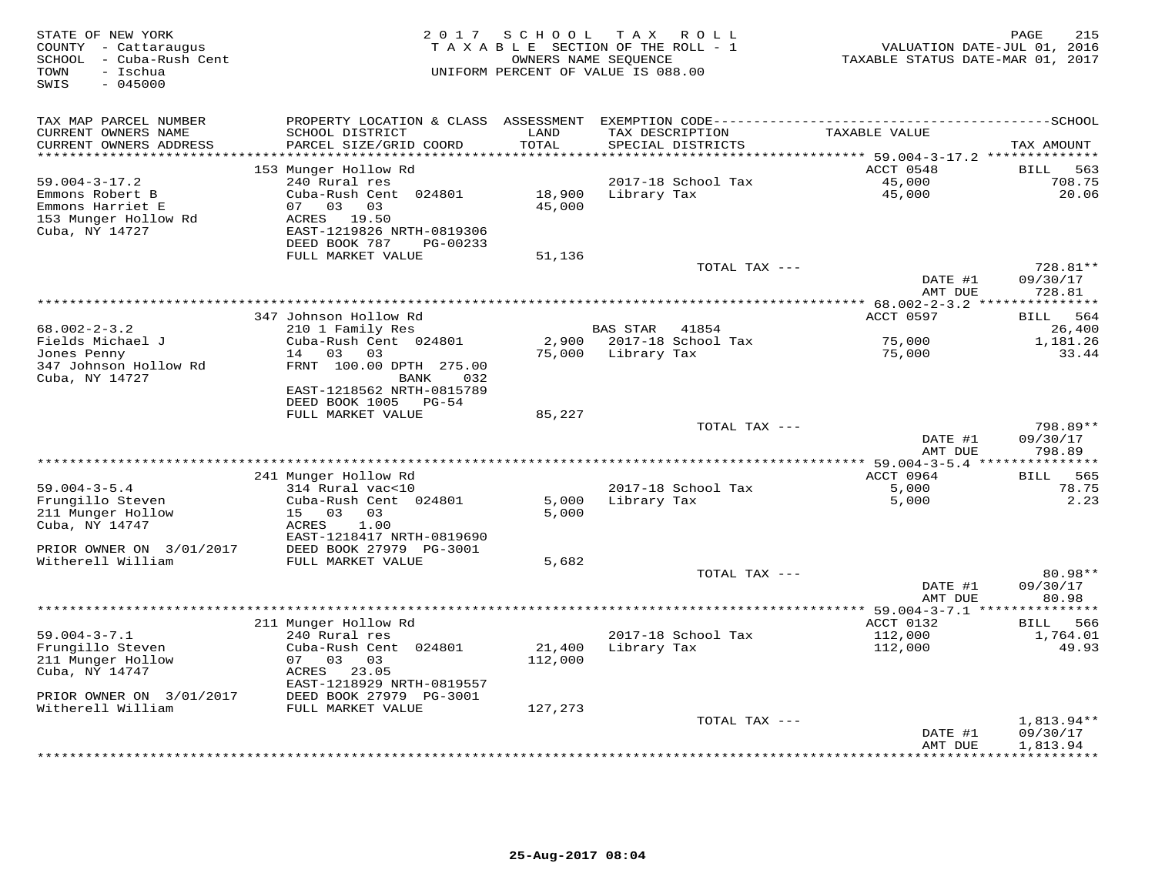| STATE OF NEW YORK<br>COUNTY - Cattaraugus<br>- Cuba-Rush Cent<br>SCHOOL<br>- Ischua<br>TOWN<br>$-045000$<br>SWIS |                                                                                                                                   | 2017 SCHOOL       | T A X<br>R O L L<br>TAXABLE SECTION OF THE ROLL - 1<br>OWNERS NAME SEQUENCE<br>UNIFORM PERCENT OF VALUE IS 088.00 | VALUATION DATE-JUL 01, 2016<br>TAXABLE STATUS DATE-MAR 01, 2017 | 215<br>PAGE                             |
|------------------------------------------------------------------------------------------------------------------|-----------------------------------------------------------------------------------------------------------------------------------|-------------------|-------------------------------------------------------------------------------------------------------------------|-----------------------------------------------------------------|-----------------------------------------|
| TAX MAP PARCEL NUMBER<br>CURRENT OWNERS NAME<br>CURRENT OWNERS ADDRESS                                           | SCHOOL DISTRICT<br>PARCEL SIZE/GRID COORD                                                                                         | LAND<br>TOTAL     | TAX DESCRIPTION<br>SPECIAL DISTRICTS                                                                              | TAXABLE VALUE                                                   | TAX AMOUNT                              |
| **********************                                                                                           | 153 Munger Hollow Rd                                                                                                              |                   |                                                                                                                   | ACCT 0548                                                       | BILL<br>563                             |
| $59.004 - 3 - 17.2$<br>Emmons Robert B<br>Emmons Harriet E<br>153 Munger Hollow Rd<br>Cuba, NY 14727             | 240 Rural res<br>Cuba-Rush Cent 024801<br>03 03<br>07<br>ACRES<br>19.50<br>EAST-1219826 NRTH-0819306<br>DEED BOOK 787<br>PG-00233 | 18,900<br>45,000  | 2017-18 School Tax<br>Library Tax                                                                                 | 45,000<br>45,000                                                | 708.75<br>20.06                         |
|                                                                                                                  | FULL MARKET VALUE                                                                                                                 | 51,136            |                                                                                                                   |                                                                 |                                         |
|                                                                                                                  |                                                                                                                                   |                   | TOTAL TAX ---                                                                                                     | DATE #1<br>AMT DUE                                              | 728.81**<br>09/30/17<br>728.81          |
|                                                                                                                  | 347 Johnson Hollow Rd                                                                                                             |                   |                                                                                                                   | ACCT 0597                                                       | <b>BILL</b><br>564                      |
| $68.002 - 2 - 3.2$<br>Fields Michael J                                                                           | 210 1 Family Res<br>Cuba-Rush Cent 024801                                                                                         | 2,900             | BAS STAR 41854<br>2017-18 School Tax                                                                              | 75,000                                                          | 26,400<br>1,181.26                      |
| Jones Penny<br>347 Johnson Hollow Rd<br>Cuba, NY 14727                                                           | 03 03<br>14<br>FRNT 100.00 DPTH 275.00<br>032<br><b>BANK</b><br>EAST-1218562 NRTH-0815789<br>DEED BOOK 1005 PG-54                 | 75,000            | Library Tax                                                                                                       | 75,000                                                          | 33.44                                   |
|                                                                                                                  | FULL MARKET VALUE                                                                                                                 | 85,227            |                                                                                                                   |                                                                 |                                         |
|                                                                                                                  |                                                                                                                                   |                   | TOTAL TAX ---                                                                                                     | DATE #1<br>AMT DUE                                              | 798.89**<br>09/30/17<br>798.89          |
|                                                                                                                  |                                                                                                                                   |                   |                                                                                                                   | ************ 59.004-3-5.4 ***                                   | ************                            |
| $59.004 - 3 - 5.4$<br>Frungillo Steven<br>211 Munger Hollow<br>Cuba, NY 14747                                    | 241 Munger Hollow Rd<br>314 Rural vac<10<br>Cuba-Rush Cent 024801<br>15 03<br>03<br>1.00<br>ACRES<br>EAST-1218417 NRTH-0819690    | 5,000<br>5,000    | 2017-18 School Tax<br>Library Tax                                                                                 | ACCT 0964<br>5,000<br>5,000                                     | 565<br>BILL<br>78.75<br>2.23            |
| PRIOR OWNER ON 3/01/2017                                                                                         | DEED BOOK 27979 PG-3001                                                                                                           |                   |                                                                                                                   |                                                                 |                                         |
| Witherell William                                                                                                | FULL MARKET VALUE                                                                                                                 | 5,682             | TOTAL TAX ---                                                                                                     | DATE #1                                                         | 80.98**<br>09/30/17                     |
|                                                                                                                  |                                                                                                                                   |                   |                                                                                                                   | AMT DUE<br>$* 59.004 - 3 - 7.1$ **                              | 80.98                                   |
| $59.004 - 3 - 7.1$<br>Frungillo Steven<br>211 Munger Hollow<br>Cuba, NY 14747                                    | 211 Munger Hollow Rd<br>240 Rural res<br>Cuba-Rush Cent 024801<br>07 03<br>03<br>ACRES 23.05                                      | 21,400<br>112,000 | 2017-18 School Tax<br>Library Tax                                                                                 | ACCT 0132<br>112,000<br>112,000                                 | 566<br><b>BILL</b><br>1,764.01<br>49.93 |
| PRIOR OWNER ON 3/01/2017<br>Witherell William                                                                    | EAST-1218929 NRTH-0819557<br>DEED BOOK 27979 PG-3001<br>FULL MARKET VALUE                                                         | 127,273           |                                                                                                                   |                                                                 |                                         |
|                                                                                                                  |                                                                                                                                   |                   | TOTAL TAX ---                                                                                                     | DATE #1                                                         | $1,813.94**$<br>09/30/17                |
|                                                                                                                  |                                                                                                                                   |                   | ***********************                                                                                           | AMT DUE                                                         | 1,813.94<br>* * * * * * * * * *         |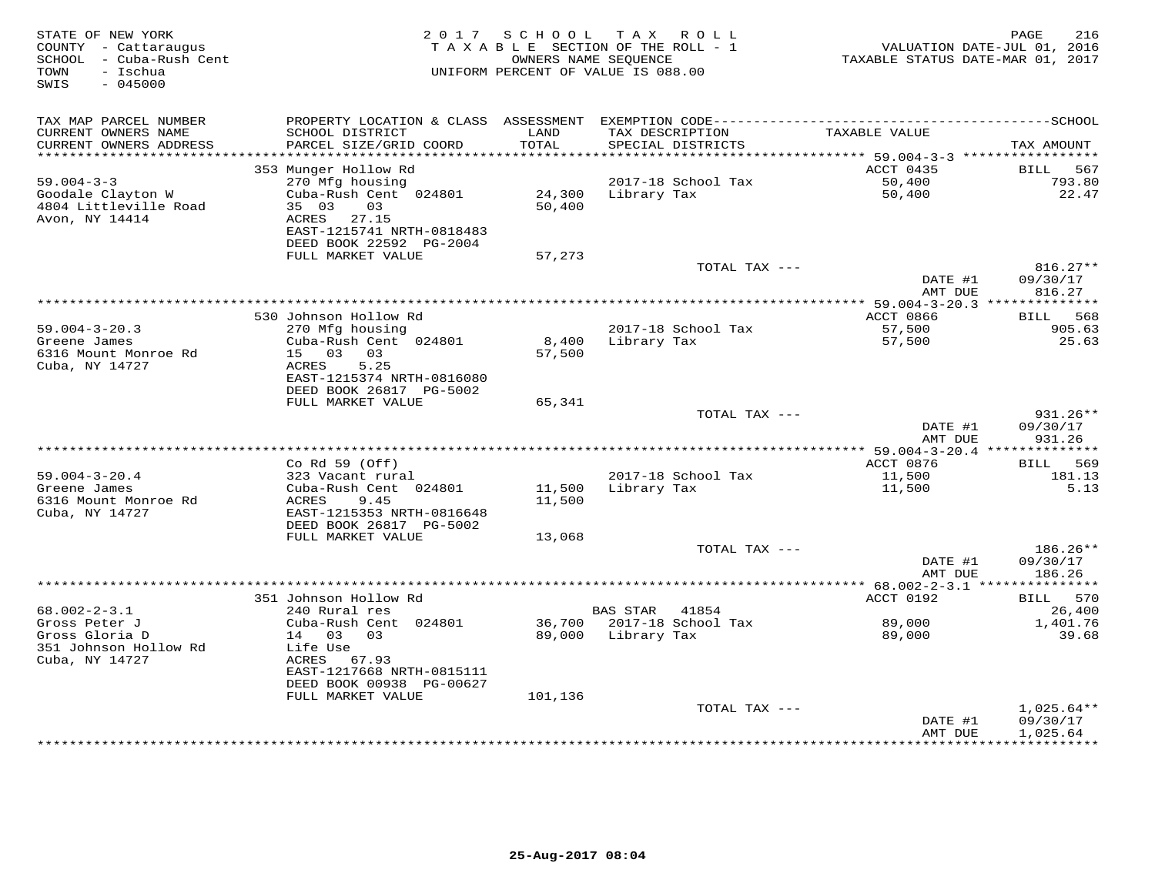| STATE OF NEW YORK<br>COUNTY - Cattaraugus<br>SCHOOL - Cuba-Rush Cent<br>- Ischua<br>TOWN<br>$-045000$<br>SWIS | 2017 SCHOOL TAX ROLL<br>TAXABLE SECTION OF THE ROLL - 1<br>OWNERS NAME SEQUENCE<br>UNIFORM PERCENT OF VALUE IS 088.00 |                  |                                      | 216<br>PAGE<br>VALUATION DATE-JUL 01, 2016<br>TAXABLE STATUS DATE-MAR 01, 2017 |                                      |
|---------------------------------------------------------------------------------------------------------------|-----------------------------------------------------------------------------------------------------------------------|------------------|--------------------------------------|--------------------------------------------------------------------------------|--------------------------------------|
| TAX MAP PARCEL NUMBER                                                                                         | PROPERTY LOCATION & CLASS                                                                                             | ASSESSMENT       |                                      |                                                                                |                                      |
| CURRENT OWNERS NAME<br>CURRENT OWNERS ADDRESS<br>**********************                                       | SCHOOL DISTRICT<br>PARCEL SIZE/GRID COORD                                                                             | LAND<br>TOTAL    | TAX DESCRIPTION<br>SPECIAL DISTRICTS | TAXABLE VALUE                                                                  | TAX AMOUNT                           |
|                                                                                                               | 353 Munger Hollow Rd                                                                                                  |                  |                                      | ACCT 0435                                                                      | BILL<br>567                          |
| $59.004 - 3 - 3$                                                                                              | 270 Mfg housing                                                                                                       |                  | 2017-18 School Tax                   | 50,400                                                                         | 793.80                               |
| Goodale Clayton W<br>4804 Littleville Road<br>Avon, NY 14414                                                  | Cuba-Rush Cent 024801<br>35 03<br>03<br>27.15<br>ACRES                                                                | 24,300<br>50,400 | Library Tax                          | 50,400                                                                         | 22.47                                |
|                                                                                                               | EAST-1215741 NRTH-0818483<br>DEED BOOK 22592 PG-2004                                                                  |                  |                                      |                                                                                |                                      |
|                                                                                                               | FULL MARKET VALUE                                                                                                     | 57,273           |                                      |                                                                                | $816.27**$                           |
|                                                                                                               |                                                                                                                       |                  | TOTAL TAX ---                        | DATE #1<br>AMT DUE                                                             | 09/30/17<br>816.27                   |
|                                                                                                               |                                                                                                                       |                  |                                      |                                                                                |                                      |
|                                                                                                               | 530 Johnson Hollow Rd                                                                                                 |                  |                                      | ACCT 0866                                                                      | 568<br><b>BILL</b>                   |
| $59.004 - 3 - 20.3$<br>Greene James<br>6316 Mount Monroe Rd                                                   | 270 Mfg housing<br>Cuba-Rush Cent 024801<br>15 03<br>03                                                               | 8,400<br>57,500  | 2017-18 School Tax<br>Library Tax    | 57,500<br>57,500                                                               | 905.63<br>25.63                      |
| Cuba, NY 14727                                                                                                | ACRES<br>5.25<br>EAST-1215374 NRTH-0816080<br>DEED BOOK 26817 PG-5002                                                 |                  |                                      |                                                                                |                                      |
|                                                                                                               | FULL MARKET VALUE                                                                                                     | 65,341           |                                      |                                                                                |                                      |
|                                                                                                               |                                                                                                                       |                  | TOTAL TAX ---                        | DATE #1<br>AMT DUE                                                             | $931.26**$<br>09/30/17<br>931.26     |
|                                                                                                               |                                                                                                                       |                  |                                      | ** $59.004 - 3 - 20.4$ **************                                          |                                      |
|                                                                                                               | Co Rd $59$ (Off)                                                                                                      |                  |                                      | ACCT 0876                                                                      | 569<br>BILL                          |
| $59.004 - 3 - 20.4$                                                                                           | 323 Vacant rural                                                                                                      |                  | 2017-18 School Tax                   | 11,500                                                                         | 181.13                               |
| Greene James<br>6316 Mount Monroe Rd<br>Cuba, NY 14727                                                        | Cuba-Rush Cent 024801<br>9.45<br>ACRES<br>EAST-1215353 NRTH-0816648                                                   | 11,500<br>11,500 | Library Tax                          | 11,500                                                                         | 5.13                                 |
|                                                                                                               | DEED BOOK 26817 PG-5002<br>FULL MARKET VALUE                                                                          | 13,068           |                                      |                                                                                |                                      |
|                                                                                                               |                                                                                                                       |                  | TOTAL TAX ---                        |                                                                                | 186.26**                             |
|                                                                                                               |                                                                                                                       |                  |                                      | DATE #1<br>AMT DUE                                                             | 09/30/17<br>186.26                   |
|                                                                                                               |                                                                                                                       |                  |                                      |                                                                                | ***********                          |
| $68.002 - 2 - 3.1$                                                                                            | 351 Johnson Hollow Rd<br>240 Rural res                                                                                |                  | <b>BAS STAR</b><br>41854             | ACCT 0192                                                                      | 570<br>BILL<br>26,400                |
| Gross Peter J                                                                                                 | Cuba-Rush Cent 024801                                                                                                 | 36,700           | 2017-18 School Tax                   | 89,000                                                                         | 1,401.76                             |
| Gross Gloria D<br>351 Johnson Hollow Rd<br>Cuba, NY 14727                                                     | 14 03<br>03<br>Life Use<br>ACRES<br>67.93<br>EAST-1217668 NRTH-0815111                                                | 89,000           | Library Tax                          | 89,000                                                                         | 39.68                                |
|                                                                                                               | DEED BOOK 00938 PG-00627                                                                                              |                  |                                      |                                                                                |                                      |
|                                                                                                               | FULL MARKET VALUE                                                                                                     | 101,136          |                                      |                                                                                |                                      |
|                                                                                                               |                                                                                                                       |                  | TOTAL TAX ---                        | DATE #1<br>AMT DUE                                                             | $1,025.64**$<br>09/30/17<br>1,025.64 |
|                                                                                                               |                                                                                                                       |                  |                                      |                                                                                |                                      |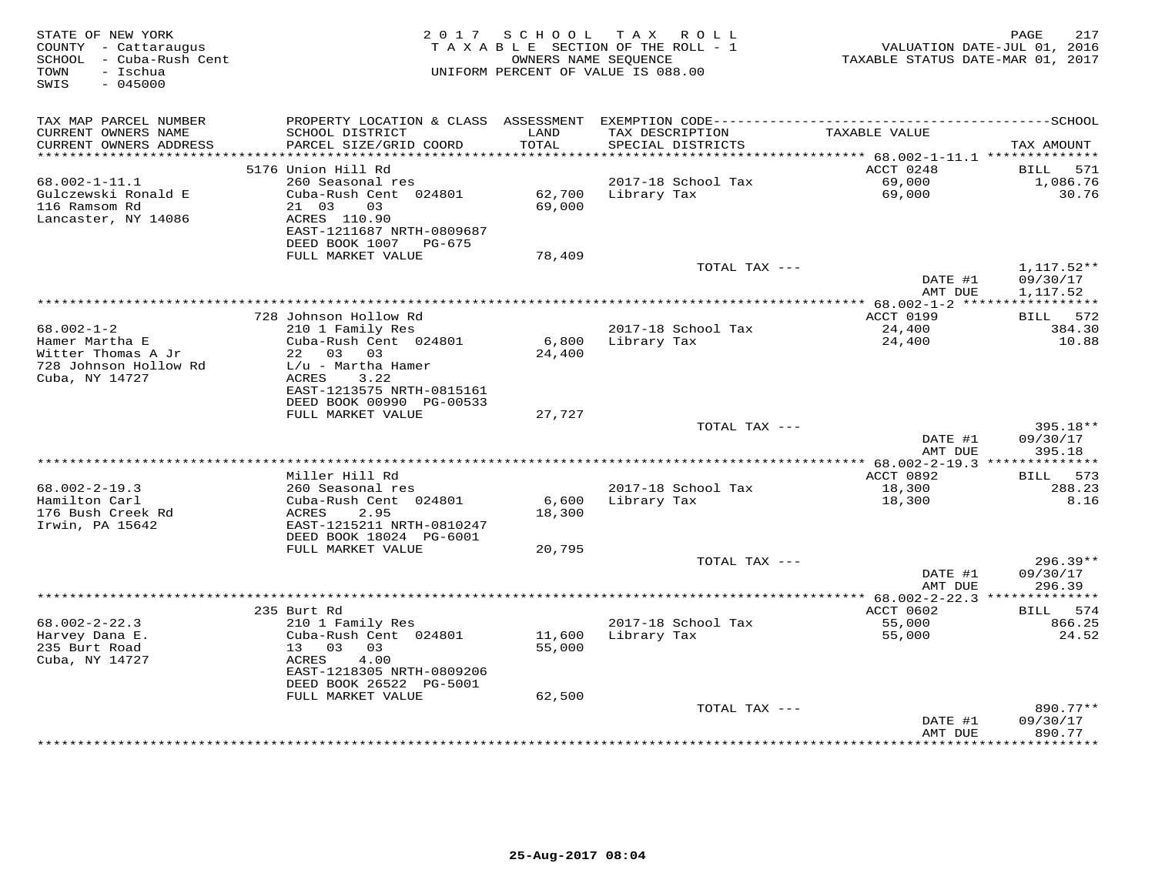| STATE OF NEW YORK<br>COUNTY - Cattaraugus<br>SCHOOL - Cuba-Rush Cent<br>- Ischua<br>TOWN<br>SWIS<br>$-045000$ | 2017 SCHOOL<br>T A X<br>ROLL<br>TAXABLE SECTION OF THE ROLL - 1<br>OWNERS NAME SEOUENCE<br>TAXABLE STATUS DATE-MAR 01, 2017<br>UNIFORM PERCENT OF VALUE IS 088.00 |                  |                                      | 217<br>PAGE<br>VALUATION DATE-JUL 01, 2016    |                          |
|---------------------------------------------------------------------------------------------------------------|-------------------------------------------------------------------------------------------------------------------------------------------------------------------|------------------|--------------------------------------|-----------------------------------------------|--------------------------|
| TAX MAP PARCEL NUMBER                                                                                         |                                                                                                                                                                   |                  |                                      |                                               |                          |
| CURRENT OWNERS NAME<br>CURRENT OWNERS ADDRESS<br>**********************                                       | SCHOOL DISTRICT<br>PARCEL SIZE/GRID COORD                                                                                                                         | LAND<br>TOTAL    | TAX DESCRIPTION<br>SPECIAL DISTRICTS | TAXABLE VALUE                                 | TAX AMOUNT               |
|                                                                                                               | 5176 Union Hill Rd                                                                                                                                                |                  |                                      | ACCT 0248                                     | 571<br>BILL              |
| 68.002-1-11.1                                                                                                 | 260 Seasonal res                                                                                                                                                  |                  | 2017-18 School Tax                   | 69,000                                        | 1,086.76                 |
| Gulczewski Ronald E<br>116 Ramsom Rd                                                                          | Cuba-Rush Cent 024801<br>21 03<br>03                                                                                                                              | 62,700<br>69,000 | Library Tax                          | 69,000                                        | 30.76                    |
| Lancaster, NY 14086                                                                                           | ACRES 110.90<br>EAST-1211687 NRTH-0809687<br>DEED BOOK 1007<br>PG-675                                                                                             |                  |                                      |                                               |                          |
|                                                                                                               | FULL MARKET VALUE                                                                                                                                                 | 78,409           |                                      |                                               |                          |
|                                                                                                               |                                                                                                                                                                   |                  | TOTAL TAX ---                        | DATE #1                                       | $1,117.52**$<br>09/30/17 |
|                                                                                                               |                                                                                                                                                                   |                  | ********************************     | AMT DUE<br>********** 68.002-1-2 *****        | 1,117.52<br>***********  |
|                                                                                                               | 728 Johnson Hollow Rd                                                                                                                                             |                  |                                      | ACCT 0199                                     | 572<br>BILL              |
| $68.002 - 1 - 2$                                                                                              | 210 1 Family Res                                                                                                                                                  |                  | 2017-18 School Tax                   | 24,400                                        | 384.30                   |
| Hamer Martha E                                                                                                | Cuba-Rush Cent 024801                                                                                                                                             | 6,800            | Library Tax                          | 24,400                                        | 10.88                    |
| Witter Thomas A Jr                                                                                            | 03<br>03<br>22                                                                                                                                                    | 24,400           |                                      |                                               |                          |
| 728 Johnson Hollow Rd<br>Cuba, NY 14727                                                                       | L/u - Martha Hamer<br><b>ACRES</b><br>3.22                                                                                                                        |                  |                                      |                                               |                          |
|                                                                                                               | EAST-1213575 NRTH-0815161<br>DEED BOOK 00990 PG-00533<br>FULL MARKET VALUE                                                                                        | 27,727           |                                      |                                               |                          |
|                                                                                                               |                                                                                                                                                                   |                  | TOTAL TAX ---                        |                                               | 395.18**                 |
|                                                                                                               |                                                                                                                                                                   |                  |                                      | DATE #1<br>AMT DUE                            | 09/30/17<br>395.18       |
|                                                                                                               |                                                                                                                                                                   |                  |                                      |                                               |                          |
|                                                                                                               | Miller Hill Rd                                                                                                                                                    |                  |                                      | ACCT 0892                                     | 573<br>BILL              |
| $68.002 - 2 - 19.3$                                                                                           | 260 Seasonal res                                                                                                                                                  |                  | 2017-18 School Tax                   | 18,300                                        | 288.23                   |
| Hamilton Carl<br>176 Bush Creek Rd<br>Irwin, PA 15642                                                         | Cuba-Rush Cent 024801<br>2.95<br>ACRES<br>EAST-1215211 NRTH-0810247<br>DEED BOOK 18024 PG-6001                                                                    | 6,600<br>18,300  | Library Tax                          | 18,300                                        | 8.16                     |
|                                                                                                               | FULL MARKET VALUE                                                                                                                                                 | 20,795           |                                      |                                               |                          |
|                                                                                                               |                                                                                                                                                                   |                  | TOTAL TAX ---                        |                                               | $296.39**$               |
|                                                                                                               |                                                                                                                                                                   |                  |                                      | DATE #1<br>AMT DUE                            | 09/30/17<br>296.39       |
|                                                                                                               | 235 Burt Rd                                                                                                                                                       |                  |                                      | ** 68.002-2-22.3 ***************<br>ACCT 0602 | 574<br>BILL              |
| $68.002 - 2 - 22.3$                                                                                           | 210 1 Family Res                                                                                                                                                  |                  | 2017-18 School Tax                   | 55,000                                        | 866.25                   |
| Harvey Dana E.                                                                                                | Cuba-Rush Cent 024801                                                                                                                                             | 11,600           | Library Tax                          | 55,000                                        | 24.52                    |
| 235 Burt Road                                                                                                 | 03<br>13<br>03                                                                                                                                                    | 55,000           |                                      |                                               |                          |
| Cuba, NY 14727                                                                                                | <b>ACRES</b><br>4.00<br>EAST-1218305 NRTH-0809206<br>DEED BOOK 26522 PG-5001                                                                                      |                  |                                      |                                               |                          |
|                                                                                                               | FULL MARKET VALUE                                                                                                                                                 | 62,500           |                                      |                                               |                          |
|                                                                                                               |                                                                                                                                                                   |                  | TOTAL TAX ---                        |                                               | 890.77**                 |
|                                                                                                               |                                                                                                                                                                   |                  |                                      | DATE #1<br>AMT DUE                            | 09/30/17<br>890.77       |
|                                                                                                               |                                                                                                                                                                   |                  |                                      | ********                                      | ********                 |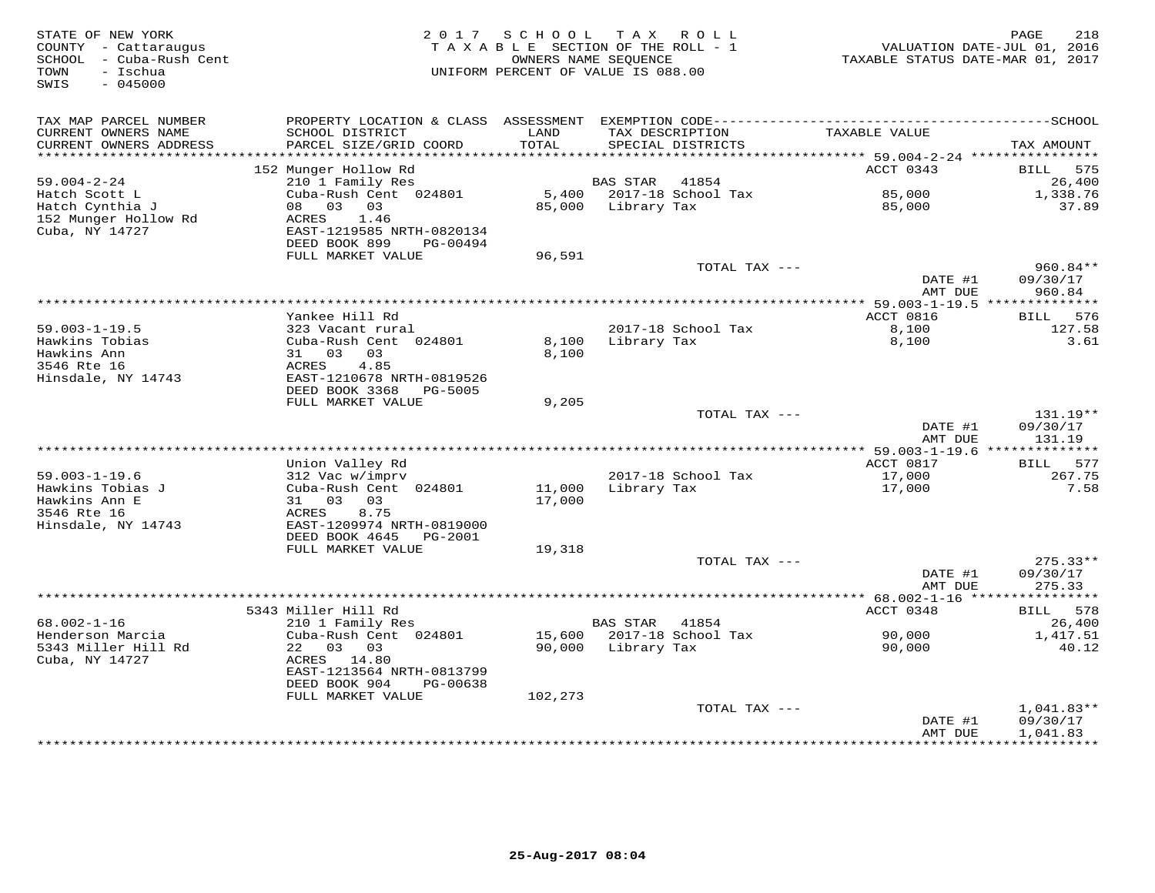| STATE OF NEW YORK<br>COUNTY - Cattaraugus<br>- Cuba-Rush Cent<br>SCHOOL<br>- Ischua<br>TOWN<br>$-045000$<br>SWIS | 2 0 1 7                                                | SCHOOL<br>OWNERS NAME SEQUENCE | TAX ROLL<br>TAXABLE SECTION OF THE ROLL - 1<br>UNIFORM PERCENT OF VALUE IS 088.00 | VALUATION DATE-JUL 01, 2016<br>TAXABLE STATUS DATE-MAR 01, 2017 | PAGE<br>218            |
|------------------------------------------------------------------------------------------------------------------|--------------------------------------------------------|--------------------------------|-----------------------------------------------------------------------------------|-----------------------------------------------------------------|------------------------|
| TAX MAP PARCEL NUMBER                                                                                            |                                                        |                                |                                                                                   |                                                                 |                        |
| CURRENT OWNERS NAME<br>CURRENT OWNERS ADDRESS<br>**********************                                          | SCHOOL DISTRICT<br>PARCEL SIZE/GRID COORD              | LAND<br>TOTAL                  | TAX DESCRIPTION<br>SPECIAL DISTRICTS                                              | TAXABLE VALUE                                                   | TAX AMOUNT             |
|                                                                                                                  | 152 Munger Hollow Rd                                   |                                |                                                                                   | ACCT 0343                                                       | <b>BILL</b><br>575     |
| $59.004 - 2 - 24$                                                                                                | 210 1 Family Res                                       |                                | <b>BAS STAR</b><br>41854                                                          |                                                                 | 26,400                 |
| Hatch Scott L                                                                                                    | Cuba-Rush Cent 024801                                  | 5,400                          | 2017-18 School Tax                                                                | 85,000                                                          | 1,338.76               |
| Hatch Cynthia J                                                                                                  | 03<br>08<br>03                                         | 85,000                         | Library Tax                                                                       | 85,000                                                          | 37.89                  |
| 152 Munger Hollow Rd                                                                                             | ACRES<br>1.46                                          |                                |                                                                                   |                                                                 |                        |
| Cuba, NY 14727                                                                                                   | EAST-1219585 NRTH-0820134                              |                                |                                                                                   |                                                                 |                        |
|                                                                                                                  | DEED BOOK 899<br>PG-00494<br>FULL MARKET VALUE         | 96,591                         |                                                                                   |                                                                 |                        |
|                                                                                                                  |                                                        |                                | TOTAL TAX ---                                                                     |                                                                 | $960.84**$             |
|                                                                                                                  |                                                        |                                |                                                                                   | DATE #1                                                         | 09/30/17               |
|                                                                                                                  |                                                        |                                |                                                                                   | AMT DUE                                                         | 960.84                 |
|                                                                                                                  |                                                        |                                | **********************                                                            | ** 59.003-1-19.5 ***************                                |                        |
|                                                                                                                  | Yankee Hill Rd                                         |                                |                                                                                   | ACCT 0816                                                       | 576<br>BILL            |
| $59.003 - 1 - 19.5$<br>Hawkins Tobias                                                                            | 323 Vacant rural<br>Cuba-Rush Cent 024801              | 8,100                          | 2017-18 School Tax<br>Library Tax                                                 | 8,100<br>8,100                                                  | 127.58<br>3.61         |
| Hawkins Ann                                                                                                      | 31 03<br>03                                            | 8,100                          |                                                                                   |                                                                 |                        |
| 3546 Rte 16                                                                                                      | ACRES<br>4.85                                          |                                |                                                                                   |                                                                 |                        |
| Hinsdale, NY 14743                                                                                               | EAST-1210678 NRTH-0819526                              |                                |                                                                                   |                                                                 |                        |
|                                                                                                                  | DEED BOOK 3368<br>PG-5005                              |                                |                                                                                   |                                                                 |                        |
|                                                                                                                  | FULL MARKET VALUE                                      | 9,205                          |                                                                                   |                                                                 |                        |
|                                                                                                                  |                                                        |                                | TOTAL TAX ---                                                                     |                                                                 | $131.19**$             |
|                                                                                                                  |                                                        |                                |                                                                                   | DATE #1<br>AMT DUE                                              | 09/30/17<br>131.19     |
|                                                                                                                  |                                                        |                                |                                                                                   |                                                                 |                        |
|                                                                                                                  | Union Valley Rd                                        |                                |                                                                                   | ACCT 0817                                                       | 577<br>BILL            |
| $59.003 - 1 - 19.6$                                                                                              | 312 Vac w/imprv                                        |                                | 2017-18 School Tax                                                                | 17,000                                                          | 267.75                 |
| Hawkins Tobias J                                                                                                 | Cuba-Rush Cent 024801                                  | 11,000                         | Library Tax                                                                       | 17,000                                                          | 7.58                   |
| Hawkins Ann E                                                                                                    | 31 03<br>03                                            | 17,000                         |                                                                                   |                                                                 |                        |
| 3546 Rte 16                                                                                                      | ACRES<br>8.75                                          |                                |                                                                                   |                                                                 |                        |
| Hinsdale, NY 14743                                                                                               | EAST-1209974 NRTH-0819000<br>DEED BOOK 4645<br>PG-2001 |                                |                                                                                   |                                                                 |                        |
|                                                                                                                  | FULL MARKET VALUE                                      | 19,318                         |                                                                                   |                                                                 |                        |
|                                                                                                                  |                                                        |                                | TOTAL TAX $---$                                                                   |                                                                 | $275.33**$             |
|                                                                                                                  |                                                        |                                |                                                                                   | DATE #1                                                         | 09/30/17               |
|                                                                                                                  |                                                        |                                |                                                                                   | AMT DUE                                                         | 275.33                 |
|                                                                                                                  |                                                        |                                | ************************                                                          | *********** 68.002-1-16 *****                                   | ***********            |
| $68.002 - 1 - 16$                                                                                                | 5343 Miller Hill Rd<br>210 1 Family Res                |                                | 41854<br><b>BAS STAR</b>                                                          | ACCT 0348                                                       | 578<br>BILL<br>26,400  |
| Henderson Marcia                                                                                                 | Cuba-Rush Cent 024801                                  | 15,600                         | 2017-18 School Tax                                                                | 90,000                                                          | 1,417.51               |
| 5343 Miller Hill Rd                                                                                              | 22<br>03 03                                            | 90,000                         | Library Tax                                                                       | 90,000                                                          | 40.12                  |
| Cuba, NY 14727                                                                                                   | ACRES 14.80                                            |                                |                                                                                   |                                                                 |                        |
|                                                                                                                  | EAST-1213564 NRTH-0813799                              |                                |                                                                                   |                                                                 |                        |
|                                                                                                                  | DEED BOOK 904<br>PG-00638                              |                                |                                                                                   |                                                                 |                        |
|                                                                                                                  | FULL MARKET VALUE                                      | 102,273                        |                                                                                   |                                                                 |                        |
|                                                                                                                  |                                                        |                                | TOTAL TAX ---                                                                     |                                                                 | 1,041.83**<br>09/30/17 |
|                                                                                                                  |                                                        |                                |                                                                                   | DATE #1<br>AMT DUE                                              | 1,041.83               |
|                                                                                                                  |                                                        |                                |                                                                                   |                                                                 | * * * * * * * * * *    |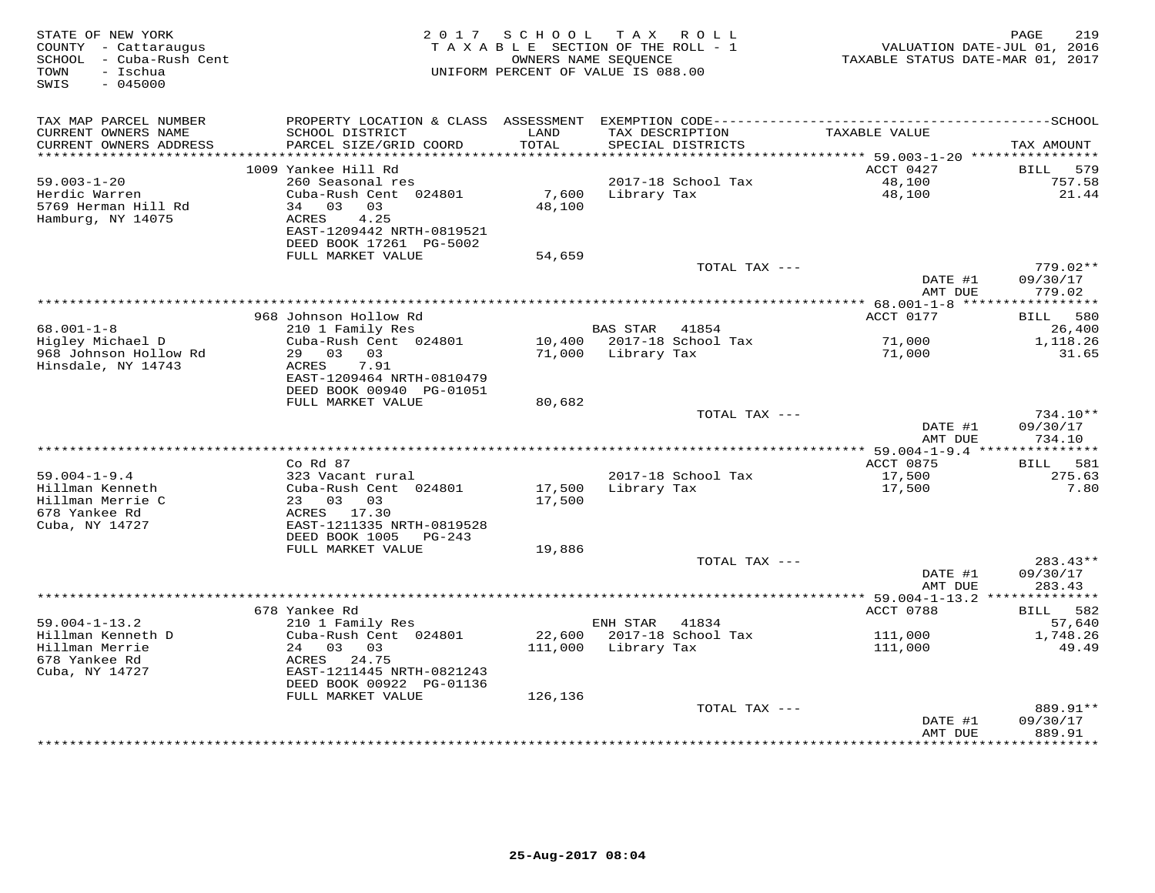| STATE OF NEW YORK<br>COUNTY - Cattaraugus<br>SCHOOL - Cuba-Rush Cent<br>- Ischua<br>TOWN<br>$-045000$<br>SWIS |                                                                                    | 2017 SCHOOL     | TAX ROLL<br>TAXABLE SECTION OF THE ROLL - 1<br>OWNERS NAME SEQUENCE<br>UNIFORM PERCENT OF VALUE IS 088.00 | VALUATION DATE-JUL 01, 2016<br>TAXABLE STATUS DATE-MAR 01, 2017 | 219<br>PAGE                      |
|---------------------------------------------------------------------------------------------------------------|------------------------------------------------------------------------------------|-----------------|-----------------------------------------------------------------------------------------------------------|-----------------------------------------------------------------|----------------------------------|
| TAX MAP PARCEL NUMBER<br>CURRENT OWNERS NAME                                                                  | SCHOOL DISTRICT                                                                    | LAND            | TAX DESCRIPTION                                                                                           | TAXABLE VALUE                                                   |                                  |
| CURRENT OWNERS ADDRESS<br>***********************                                                             | PARCEL SIZE/GRID COORD<br>*************************                                | TOTAL           | SPECIAL DISTRICTS                                                                                         |                                                                 | TAX AMOUNT                       |
|                                                                                                               | 1009 Yankee Hill Rd                                                                |                 |                                                                                                           | ACCT 0427                                                       | 579<br><b>BILL</b>               |
| $59.003 - 1 - 20$<br>Herdic Warren<br>5769 Herman Hill Rd<br>Hamburg, NY 14075                                | 260 Seasonal res<br>Cuba-Rush Cent 024801<br>34 03 03<br>ACRES<br>4.25             | 7,600<br>48,100 | 2017-18 School Tax<br>Library Tax                                                                         | 48,100<br>48,100                                                | 757.58<br>21.44                  |
|                                                                                                               | EAST-1209442 NRTH-0819521<br>DEED BOOK 17261 PG-5002                               |                 |                                                                                                           |                                                                 |                                  |
|                                                                                                               | FULL MARKET VALUE                                                                  | 54,659          |                                                                                                           |                                                                 |                                  |
|                                                                                                               |                                                                                    |                 | TOTAL TAX ---                                                                                             | DATE #1<br>AMT DUE                                              | 779.02**<br>09/30/17<br>779.02   |
|                                                                                                               |                                                                                    |                 |                                                                                                           | *** 68.001-1-8 *****                                            | * * * * * * * * * *              |
|                                                                                                               | 968 Johnson Hollow Rd                                                              |                 |                                                                                                           | ACCT 0177                                                       | 580<br>BILL                      |
| $68.001 - 1 - 8$<br>Higley Michael D                                                                          | 210 1 Family Res<br>Cuba-Rush Cent 024801                                          |                 | <b>BAS STAR</b><br>41854<br>10,400 2017-18 School Tax                                                     | 71,000                                                          | 26,400<br>1,118.26               |
| 968 Johnson Hollow Rd<br>Hinsdale, NY 14743                                                                   | 29 03 03<br>7.91<br>ACRES<br>EAST-1209464 NRTH-0810479<br>DEED BOOK 00940 PG-01051 | 71,000          | Library Tax                                                                                               | 71,000                                                          | 31.65                            |
|                                                                                                               | FULL MARKET VALUE                                                                  | 80,682          |                                                                                                           |                                                                 |                                  |
|                                                                                                               |                                                                                    |                 | TOTAL TAX ---                                                                                             | DATE #1<br>AMT DUE                                              | $734.10**$<br>09/30/17<br>734.10 |
|                                                                                                               |                                                                                    |                 |                                                                                                           |                                                                 |                                  |
| $59.004 - 1 - 9.4$                                                                                            | $Co$ $Rd$ $87$<br>323 Vacant rural                                                 |                 | 2017-18 School Tax                                                                                        | ACCT 0875<br>17,500                                             | BILL 581<br>275.63               |
| Hillman Kenneth                                                                                               | Cuba-Rush Cent 024801                                                              | 17,500          | Library Tax                                                                                               | 17,500                                                          | 7.80                             |
| Hillman Merrie C<br>678 Yankee Rd<br>Cuba, NY 14727                                                           | 23 03<br>03<br>ACRES 17.30<br>EAST-1211335 NRTH-0819528                            | 17,500          |                                                                                                           |                                                                 |                                  |
|                                                                                                               | DEED BOOK 1005<br>$PG-243$                                                         |                 |                                                                                                           |                                                                 |                                  |
|                                                                                                               | FULL MARKET VALUE                                                                  | 19,886          |                                                                                                           |                                                                 |                                  |
|                                                                                                               |                                                                                    |                 | TOTAL TAX ---                                                                                             | DATE #1<br>AMT DUE                                              | $283.43**$<br>09/30/17<br>283.43 |
|                                                                                                               |                                                                                    |                 |                                                                                                           | ****************** 59.004-1-13.2 **************                 |                                  |
|                                                                                                               | 678 Yankee Rd                                                                      |                 |                                                                                                           | ACCT 0788                                                       | 582<br>BILL                      |
| $59.004 - 1 - 13.2$<br>Hillman Kenneth D                                                                      | 210 1 Family Res<br>Cuba-Rush Cent 024801                                          | 22,600          | 41834<br>ENH STAR<br>2017-18 School Tax                                                                   | 111,000                                                         | 57,640<br>1,748.26               |
| Hillman Merrie                                                                                                | 24 03 03                                                                           | 111,000         | Library Tax                                                                                               | 111,000                                                         | 49.49                            |
| 678 Yankee Rd<br>Cuba, NY 14727                                                                               | ACRES<br>24.75<br>EAST-1211445 NRTH-0821243                                        |                 |                                                                                                           |                                                                 |                                  |
|                                                                                                               | DEED BOOK 00922 PG-01136                                                           |                 |                                                                                                           |                                                                 |                                  |
|                                                                                                               | FULL MARKET VALUE                                                                  | 126,136         | TOTAL TAX ---                                                                                             |                                                                 | 889.91**                         |
|                                                                                                               |                                                                                    |                 |                                                                                                           | DATE #1<br>AMT DUE                                              | 09/30/17<br>889.91               |
|                                                                                                               |                                                                                    |                 |                                                                                                           |                                                                 | <b>++++++++</b>                  |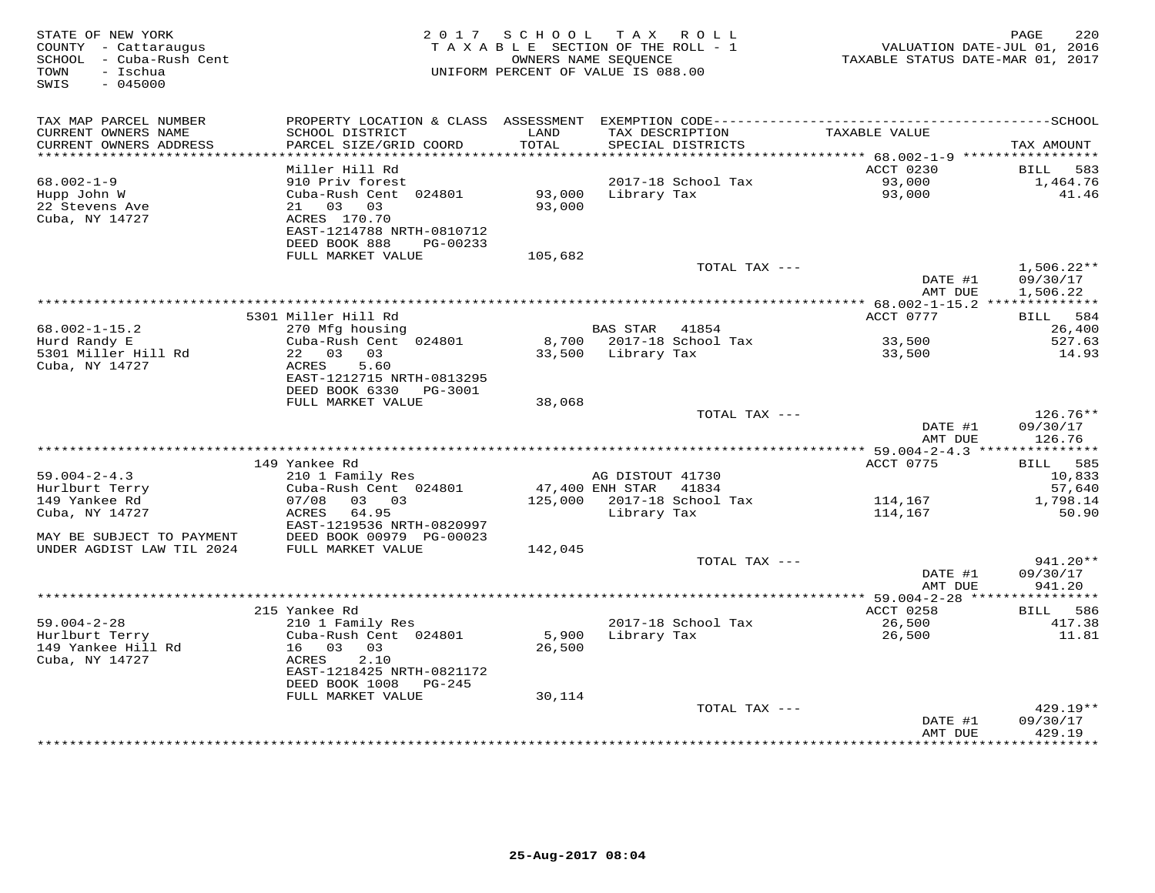| STATE OF NEW YORK<br>COUNTY - Cattaraugus<br>SCHOOL - Cuba-Rush Cent<br>TOWN<br>- Ischua<br>SWIS<br>$-045000$ |                                                                                                             |                  | 2017 SCHOOL TAX ROLL<br>TAXABLE SECTION OF THE ROLL - 1<br>OWNERS NAME SEQUENCE<br>UNIFORM PERCENT OF VALUE IS 088.00 | VALUATION DATE-JUL 01, 2016<br>TAXABLE STATUS DATE-MAR 01, 2017 | PAGE<br>220                          |
|---------------------------------------------------------------------------------------------------------------|-------------------------------------------------------------------------------------------------------------|------------------|-----------------------------------------------------------------------------------------------------------------------|-----------------------------------------------------------------|--------------------------------------|
| TAX MAP PARCEL NUMBER                                                                                         |                                                                                                             |                  | PROPERTY LOCATION & CLASS ASSESSMENT EXEMPTION CODE-----------------------------------SCHOOL                          |                                                                 |                                      |
| CURRENT OWNERS NAME<br>CURRENT OWNERS ADDRESS<br>***********************                                      | SCHOOL DISTRICT<br>PARCEL SIZE/GRID COORD<br>*************************                                      | LAND<br>TOTAL    | TAX DESCRIPTION<br>SPECIAL DISTRICTS                                                                                  | TAXABLE VALUE                                                   | TAX AMOUNT                           |
|                                                                                                               | Miller Hill Rd                                                                                              |                  |                                                                                                                       | ACCT 0230                                                       | BILL<br>583                          |
| $68.002 - 1 - 9$                                                                                              | 910 Priv forest                                                                                             |                  | 2017-18 School Tax                                                                                                    | 93,000                                                          | 1,464.76                             |
| Hupp John W<br>22 Stevens Ave<br>Cuba, NY 14727                                                               | Cuba-Rush Cent 024801<br>21 03 03<br>ACRES 170.70<br>EAST-1214788 NRTH-0810712<br>DEED BOOK 888<br>PG-00233 | 93,000<br>93,000 | Library Tax                                                                                                           | 93,000                                                          | 41.46                                |
|                                                                                                               | FULL MARKET VALUE                                                                                           | 105,682          |                                                                                                                       |                                                                 |                                      |
|                                                                                                               |                                                                                                             |                  | TOTAL TAX ---                                                                                                         | DATE #1<br>AMT DUE                                              | $1,506.22**$<br>09/30/17<br>1,506.22 |
|                                                                                                               |                                                                                                             |                  |                                                                                                                       |                                                                 |                                      |
|                                                                                                               | 5301 Miller Hill Rd                                                                                         |                  |                                                                                                                       | ACCT 0777                                                       | BILL 584                             |
| $68.002 - 1 - 15.2$                                                                                           | 270 Mfg housing                                                                                             |                  | BAS STAR 41854                                                                                                        |                                                                 | 26,400                               |
| Hurd Randy E<br>5301 Miller Hill Rd<br>Cuba, NY 14727                                                         | Cuba-Rush Cent 024801<br>22 03 03<br>ACRES<br>5.60<br>EAST-1212715 NRTH-0813295                             |                  | 8,700 2017-18 School Tax<br>33,500 Library Tax                                                                        | 33,500<br>33,500                                                | 527.63<br>14.93                      |
|                                                                                                               | DEED BOOK 6330 PG-3001                                                                                      |                  |                                                                                                                       |                                                                 |                                      |
|                                                                                                               | FULL MARKET VALUE                                                                                           | 38,068           |                                                                                                                       |                                                                 |                                      |
|                                                                                                               |                                                                                                             |                  | TOTAL TAX ---                                                                                                         | DATE #1<br>AMT DUE                                              | 126.76**<br>09/30/17<br>126.76       |
|                                                                                                               |                                                                                                             |                  |                                                                                                                       |                                                                 |                                      |
| $59.004 - 2 - 4.3$                                                                                            | 149 Yankee Rd<br>210 1 Family Res                                                                           |                  | AG DISTOUT 41730                                                                                                      | ACCT 0775                                                       | BILL 585<br>10,833                   |
| Hurlburt Terry                                                                                                | Cuba-Rush Cent 024801                                                                                       |                  | 47,400 ENH STAR<br>41834                                                                                              |                                                                 | 57,640                               |
| 149 Yankee Rd                                                                                                 | 07/08<br>03 03                                                                                              |                  | 125,000 2017-18 School Tax                                                                                            | 114,167                                                         | 1,798.14                             |
| Cuba, NY 14727<br>MAY BE SUBJECT TO PAYMENT                                                                   | 64.95<br>ACRES<br>EAST-1219536 NRTH-0820997<br>DEED BOOK 00979 PG-00023                                     |                  | Library Tax                                                                                                           | 114,167                                                         | 50.90                                |
| UNDER AGDIST LAW TIL 2024                                                                                     | FULL MARKET VALUE                                                                                           | 142,045          |                                                                                                                       |                                                                 |                                      |
|                                                                                                               |                                                                                                             |                  | TOTAL TAX ---                                                                                                         | DATE #1<br>AMT DUE                                              | $941.20**$<br>09/30/17<br>941.20     |
|                                                                                                               |                                                                                                             |                  |                                                                                                                       |                                                                 | ***********                          |
|                                                                                                               | 215 Yankee Rd                                                                                               |                  |                                                                                                                       | ACCT 0258                                                       | 586<br>BILL                          |
| $59.004 - 2 - 28$<br>Hurlburt Terry<br>149 Yankee Hill Rd<br>Cuba, NY 14727                                   | 210 1 Family Res<br>Cuba-Rush Cent 024801<br>16 03<br>03<br>ACRES<br>2.10<br>EAST-1218425 NRTH-0821172      | 5,900<br>26,500  | 2017-18 School Tax<br>Library Tax                                                                                     | 26,500<br>26,500                                                | 417.38<br>11.81                      |
|                                                                                                               | DEED BOOK 1008<br>PG-245                                                                                    |                  |                                                                                                                       |                                                                 |                                      |
|                                                                                                               | FULL MARKET VALUE                                                                                           | 30,114           | TOTAL TAX ---                                                                                                         |                                                                 | $429.19**$                           |
|                                                                                                               |                                                                                                             |                  |                                                                                                                       | DATE #1<br>AMT DUE                                              | 09/30/17<br>429.19                   |
|                                                                                                               |                                                                                                             |                  |                                                                                                                       |                                                                 | * * * * * * * *                      |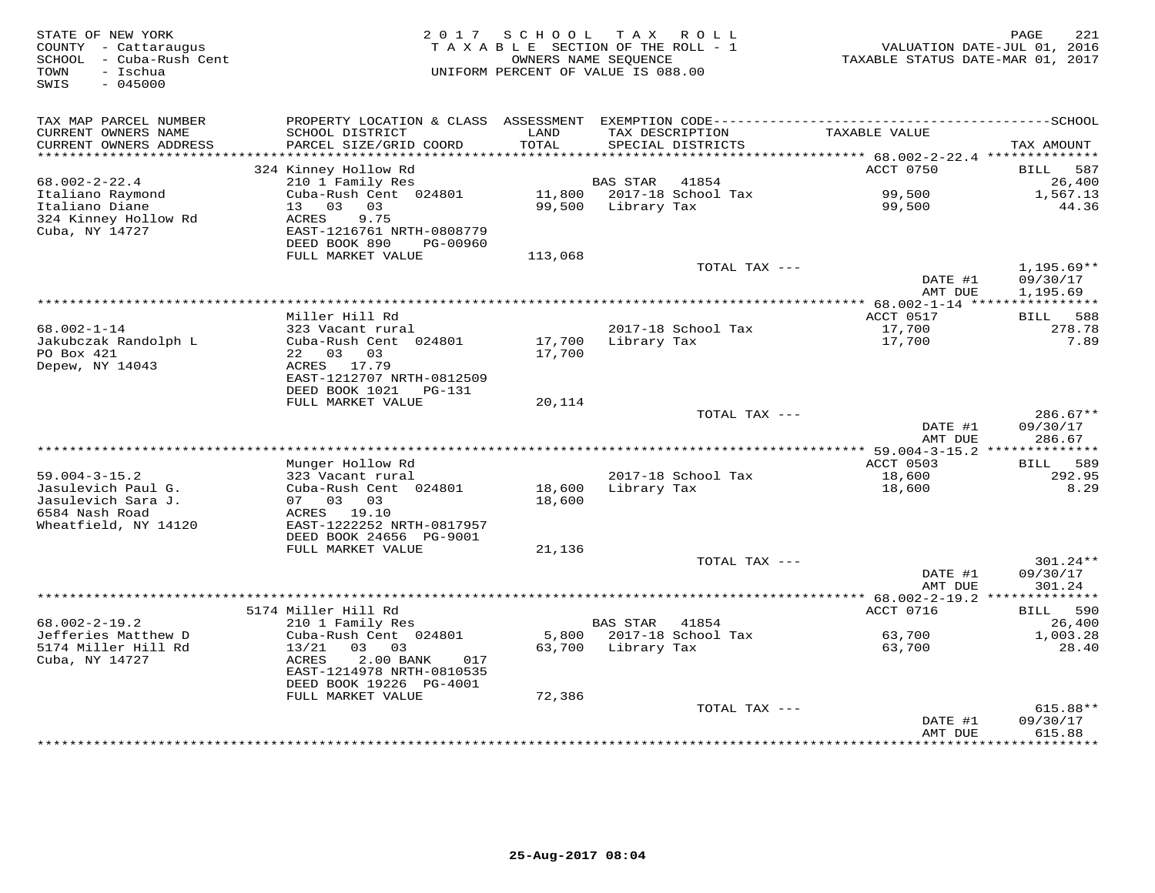| STATE OF NEW YORK<br>COUNTY - Cattaraugus<br>SCHOOL - Cuba-Rush Cent<br>- Ischua<br>TOWN<br>SWIS<br>$-045000$ | 2 0 1 7                                                                                      | SCHOOL                     | TAX ROLL<br>TAXABLE SECTION OF THE ROLL - 1<br>OWNERS NAME SEOUENCE<br>UNIFORM PERCENT OF VALUE IS 088.00 | TAXABLE STATUS DATE-MAR 01, 2017                           | 221<br>PAGE<br>VALUATION DATE-JUL 01, 2016 |
|---------------------------------------------------------------------------------------------------------------|----------------------------------------------------------------------------------------------|----------------------------|-----------------------------------------------------------------------------------------------------------|------------------------------------------------------------|--------------------------------------------|
| TAX MAP PARCEL NUMBER                                                                                         | PROPERTY LOCATION & CLASS ASSESSMENT EXEMPTION CODE-----------------------------------SCHOOL |                            |                                                                                                           |                                                            |                                            |
| CURRENT OWNERS NAME<br>CURRENT OWNERS ADDRESS<br>*******************                                          | SCHOOL DISTRICT<br>PARCEL SIZE/GRID COORD                                                    | LAND<br>TOTAL<br>********* | TAX DESCRIPTION<br>SPECIAL DISTRICTS                                                                      | TAXABLE VALUE<br>*********** 68.002-2-22.4 *************** | TAX AMOUNT                                 |
|                                                                                                               | 324 Kinney Hollow Rd                                                                         |                            |                                                                                                           | ACCT 0750                                                  | 587<br>BILL                                |
| $68.002 - 2 - 22.4$                                                                                           | 210 1 Family Res                                                                             |                            | <b>BAS STAR</b><br>41854                                                                                  |                                                            | 26,400                                     |
| Italiano Raymond                                                                                              | Cuba-Rush Cent 024801                                                                        | 11,800                     | 2017-18 School Tax                                                                                        | 99,500                                                     | 1,567.13                                   |
| Italiano Diane                                                                                                | 13 03<br>03                                                                                  | 99,500                     | Library Tax                                                                                               | 99,500                                                     | 44.36                                      |
| 324 Kinney Hollow Rd                                                                                          | ACRES<br>9.75                                                                                |                            |                                                                                                           |                                                            |                                            |
| Cuba, NY 14727                                                                                                | EAST-1216761 NRTH-0808779                                                                    |                            |                                                                                                           |                                                            |                                            |
|                                                                                                               | DEED BOOK 890<br>PG-00960<br>FULL MARKET VALUE                                               | 113,068                    |                                                                                                           |                                                            |                                            |
|                                                                                                               |                                                                                              |                            | TOTAL TAX ---                                                                                             |                                                            | $1,195.69**$                               |
|                                                                                                               |                                                                                              |                            |                                                                                                           | DATE #1                                                    | 09/30/17                                   |
|                                                                                                               |                                                                                              |                            |                                                                                                           | AMT DUE                                                    | 1,195.69                                   |
|                                                                                                               |                                                                                              |                            |                                                                                                           |                                                            |                                            |
|                                                                                                               | Miller Hill Rd                                                                               |                            |                                                                                                           | ACCT 0517                                                  | BILL 588                                   |
| $68.002 - 1 - 14$<br>Jakubczak Randolph L                                                                     | 323 Vacant rural<br>Cuba-Rush Cent 024801                                                    | 17,700                     | 2017-18 School Tax<br>Library Tax                                                                         | 17,700<br>17,700                                           | 278.78<br>7.89                             |
| PO Box 421                                                                                                    | 22 03 03                                                                                     | 17,700                     |                                                                                                           |                                                            |                                            |
| Depew, NY 14043                                                                                               | ACRES 17.79                                                                                  |                            |                                                                                                           |                                                            |                                            |
|                                                                                                               | EAST-1212707 NRTH-0812509                                                                    |                            |                                                                                                           |                                                            |                                            |
|                                                                                                               | DEED BOOK 1021<br>PG-131                                                                     |                            |                                                                                                           |                                                            |                                            |
|                                                                                                               | FULL MARKET VALUE                                                                            | 20,114                     |                                                                                                           |                                                            |                                            |
|                                                                                                               |                                                                                              |                            | TOTAL TAX ---                                                                                             |                                                            | 286.67**                                   |
|                                                                                                               |                                                                                              |                            |                                                                                                           | DATE #1<br>AMT DUE                                         | 09/30/17<br>286.67                         |
|                                                                                                               |                                                                                              |                            |                                                                                                           |                                                            |                                            |
|                                                                                                               | Munger Hollow Rd                                                                             |                            |                                                                                                           | ACCT 0503                                                  | 589<br>BILL                                |
| $59.004 - 3 - 15.2$                                                                                           | 323 Vacant rural                                                                             |                            | 2017-18 School Tax                                                                                        | 18,600                                                     | 292.95                                     |
| Jasulevich Paul G.                                                                                            | Cuba-Rush Cent 024801                                                                        | 18,600                     | Library Tax                                                                                               | 18,600                                                     | 8.29                                       |
| Jasulevich Sara J.                                                                                            | 07 03 03                                                                                     | 18,600                     |                                                                                                           |                                                            |                                            |
| 6584 Nash Road<br>Wheatfield, NY 14120                                                                        | ACRES 19.10<br>EAST-1222252 NRTH-0817957                                                     |                            |                                                                                                           |                                                            |                                            |
|                                                                                                               | DEED BOOK 24656 PG-9001                                                                      |                            |                                                                                                           |                                                            |                                            |
|                                                                                                               | FULL MARKET VALUE                                                                            | 21,136                     |                                                                                                           |                                                            |                                            |
|                                                                                                               |                                                                                              |                            | TOTAL TAX ---                                                                                             |                                                            | 301.24**                                   |
|                                                                                                               |                                                                                              |                            |                                                                                                           | DATE #1                                                    | 09/30/17                                   |
|                                                                                                               |                                                                                              |                            |                                                                                                           | AMT DUE                                                    | 301.24                                     |
|                                                                                                               | 5174 Miller Hill Rd                                                                          |                            |                                                                                                           | ACCT 0716                                                  |                                            |
| $68.002 - 2 - 19.2$                                                                                           | 210 1 Family Res                                                                             |                            | <b>BAS STAR</b><br>41854                                                                                  |                                                            | 590<br>BILL<br>26,400                      |
| Jefferies Matthew D                                                                                           | Cuba-Rush Cent 024801                                                                        | 5,800                      | 2017-18 School Tax                                                                                        | 63,700                                                     | 1,003.28                                   |
| 5174 Miller Hill Rd                                                                                           | 13/21<br>03<br>03                                                                            | 63,700                     | Library Tax                                                                                               | 63,700                                                     | 28.40                                      |
| Cuba, NY 14727                                                                                                | ACRES<br>2.00 BANK<br>017                                                                    |                            |                                                                                                           |                                                            |                                            |
|                                                                                                               | EAST-1214978 NRTH-0810535                                                                    |                            |                                                                                                           |                                                            |                                            |
|                                                                                                               | DEED BOOK 19226 PG-4001                                                                      |                            |                                                                                                           |                                                            |                                            |
|                                                                                                               | FULL MARKET VALUE                                                                            | 72,386                     | TOTAL TAX ---                                                                                             |                                                            | 615.88**                                   |
|                                                                                                               |                                                                                              |                            |                                                                                                           | DATE #1                                                    | 09/30/17                                   |
|                                                                                                               |                                                                                              |                            |                                                                                                           | AMT DUE                                                    | 615.88                                     |
|                                                                                                               |                                                                                              |                            |                                                                                                           | **************                                             | * * * * * * * * * *                        |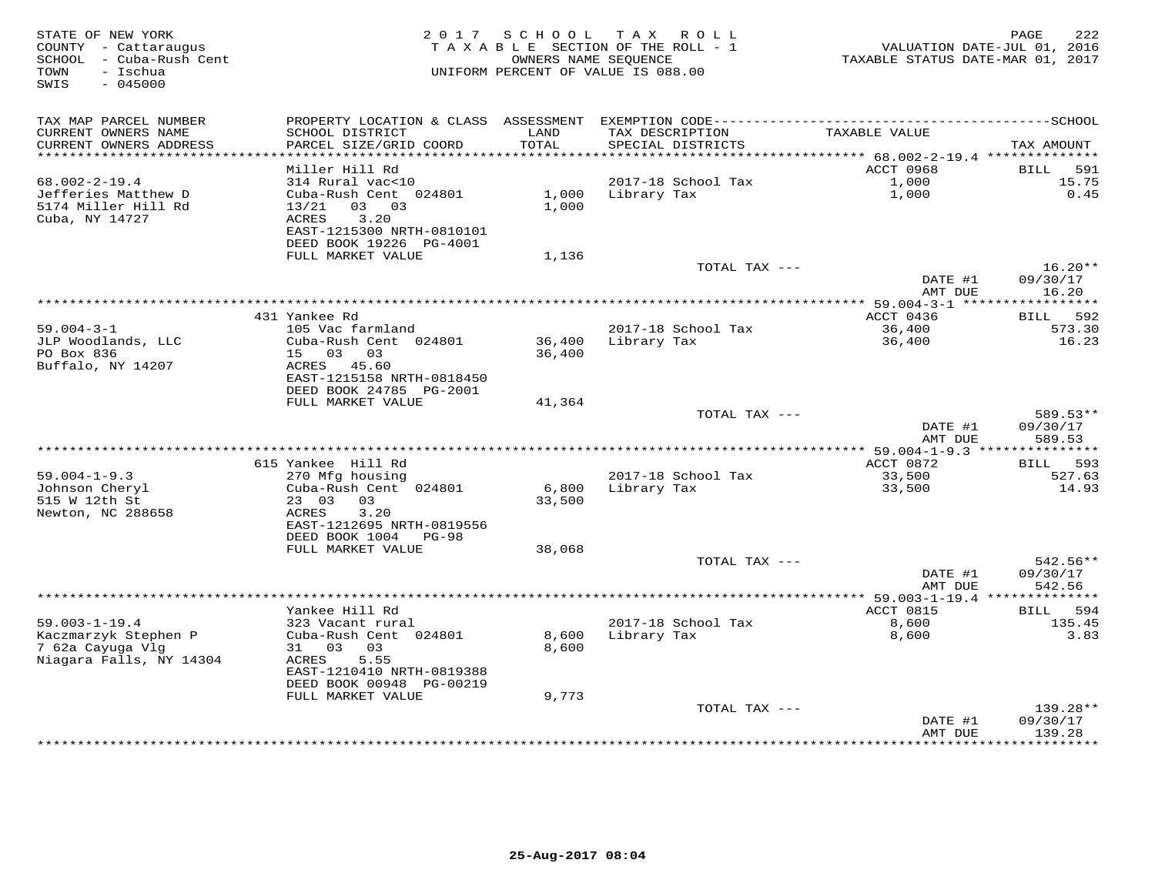| STATE OF NEW YORK<br>COUNTY - Cattaraugus<br>SCHOOL - Cuba-Rush Cent<br>- Ischua<br>TOWN<br>SWIS<br>$-045000$ | 2 0 1 7<br>TAXABLE SECTION OF THE ROLL - 1<br>UNIFORM PERCENT OF VALUE IS 088.00 | TAXABLE STATUS DATE-MAR 01, 2017 | 222<br>PAGE<br>VALUATION DATE-JUL 01, 2016 |                                              |                                       |
|---------------------------------------------------------------------------------------------------------------|----------------------------------------------------------------------------------|----------------------------------|--------------------------------------------|----------------------------------------------|---------------------------------------|
| TAX MAP PARCEL NUMBER                                                                                         |                                                                                  |                                  |                                            |                                              |                                       |
| CURRENT OWNERS NAME<br>CURRENT OWNERS ADDRESS<br>***********************                                      | SCHOOL DISTRICT<br>PARCEL SIZE/GRID COORD<br>************************            | LAND<br>TOTAL                    | TAX DESCRIPTION<br>SPECIAL DISTRICTS       | TAXABLE VALUE                                | TAX AMOUNT                            |
|                                                                                                               | Miller Hill Rd                                                                   |                                  |                                            | ACCT 0968                                    | 591<br>BILL                           |
| $68.002 - 2 - 19.4$                                                                                           | 314 Rural vac<10                                                                 |                                  | 2017-18 School Tax                         | 1,000                                        | 15.75                                 |
| Jefferies Matthew D<br>5174 Miller Hill Rd                                                                    | Cuba-Rush Cent 024801<br>13/21<br>03 03                                          | 1,000<br>1,000                   | Library Tax                                | 1,000                                        | 0.45                                  |
| Cuba, NY 14727                                                                                                | 3.20<br><b>ACRES</b><br>EAST-1215300 NRTH-0810101<br>DEED BOOK 19226 PG-4001     |                                  |                                            |                                              |                                       |
|                                                                                                               | FULL MARKET VALUE                                                                | 1,136                            |                                            |                                              |                                       |
|                                                                                                               |                                                                                  |                                  | TOTAL TAX ---                              | DATE #1<br>AMT DUE                           | $16.20**$<br>09/30/17<br>16.20        |
|                                                                                                               |                                                                                  |                                  | *********************************          | ************ 59.004-3-1 ******************   |                                       |
|                                                                                                               | 431 Yankee Rd                                                                    |                                  |                                            | ACCT 0436                                    | 592<br>BILL                           |
| $59.004 - 3 - 1$                                                                                              | 105 Vac farmland                                                                 |                                  | 2017-18 School Tax                         | 36,400                                       | 573.30                                |
| JLP Woodlands, LLC                                                                                            | Cuba-Rush Cent 024801                                                            | 36,400                           | Library Tax                                | 36,400                                       | 16.23                                 |
| PO Box 836<br>Buffalo, NY 14207                                                                               | 15 03<br>0.3<br>ACRES 45.60                                                      | 36,400                           |                                            |                                              |                                       |
|                                                                                                               | EAST-1215158 NRTH-0818450<br>DEED BOOK 24785 PG-2001                             |                                  |                                            |                                              |                                       |
|                                                                                                               | FULL MARKET VALUE                                                                | 41,364                           |                                            |                                              |                                       |
|                                                                                                               |                                                                                  |                                  | TOTAL TAX ---                              |                                              | 589.53**                              |
|                                                                                                               |                                                                                  |                                  |                                            | DATE #1                                      | 09/30/17                              |
|                                                                                                               | ***********                                                                      |                                  |                                            | AMT DUE                                      | 589.53                                |
|                                                                                                               | 615 Yankee Hill Rd                                                               |                                  |                                            | ** 59.004-1-9.3 ***************<br>ACCT 0872 | BILL<br>593                           |
| $59.004 - 1 - 9.3$                                                                                            | 270 Mfg housing                                                                  |                                  | 2017-18 School Tax                         | 33,500                                       | 527.63                                |
| Johnson Cheryl                                                                                                | Cuba-Rush Cent 024801                                                            | 6,800                            | Library Tax                                | 33,500                                       | 14.93                                 |
| 515 W 12th St                                                                                                 | 23 03<br>03                                                                      | 33,500                           |                                            |                                              |                                       |
| Newton, NC 288658                                                                                             | 3.20<br>ACRES                                                                    |                                  |                                            |                                              |                                       |
|                                                                                                               | EAST-1212695 NRTH-0819556                                                        |                                  |                                            |                                              |                                       |
|                                                                                                               | DEED BOOK 1004<br>$PG-98$<br>FULL MARKET VALUE                                   |                                  |                                            |                                              |                                       |
|                                                                                                               |                                                                                  | 38,068                           | TOTAL TAX ---                              |                                              | 542.56**                              |
|                                                                                                               |                                                                                  |                                  |                                            | DATE #1<br>AMT DUE                           | 09/30/17<br>542.56                    |
|                                                                                                               |                                                                                  |                                  |                                            |                                              |                                       |
|                                                                                                               | Yankee Hill Rd                                                                   |                                  |                                            | ACCT 0815                                    | BILL<br>594                           |
| $59.003 - 1 - 19.4$                                                                                           | 323 Vacant rural                                                                 |                                  | 2017-18 School Tax                         | 8,600                                        | 135.45                                |
| Kaczmarzyk Stephen P<br>7 62a Cayuga Vlg                                                                      | Cuba-Rush Cent 024801<br>03<br>03<br>31                                          | 8,600<br>8,600                   | Library Tax                                | 8,600                                        | 3.83                                  |
| Niagara Falls, NY 14304                                                                                       | 5.55<br>ACRES                                                                    |                                  |                                            |                                              |                                       |
|                                                                                                               | EAST-1210410 NRTH-0819388<br>DEED BOOK 00948 PG-00219                            |                                  |                                            |                                              |                                       |
|                                                                                                               | FULL MARKET VALUE                                                                | 9,773                            |                                            |                                              |                                       |
|                                                                                                               |                                                                                  |                                  | TOTAL TAX ---                              |                                              | 139.28**                              |
|                                                                                                               |                                                                                  |                                  |                                            | DATE #1<br>AMT DUE                           | 09/30/17<br>139.28<br>* * * * * * * * |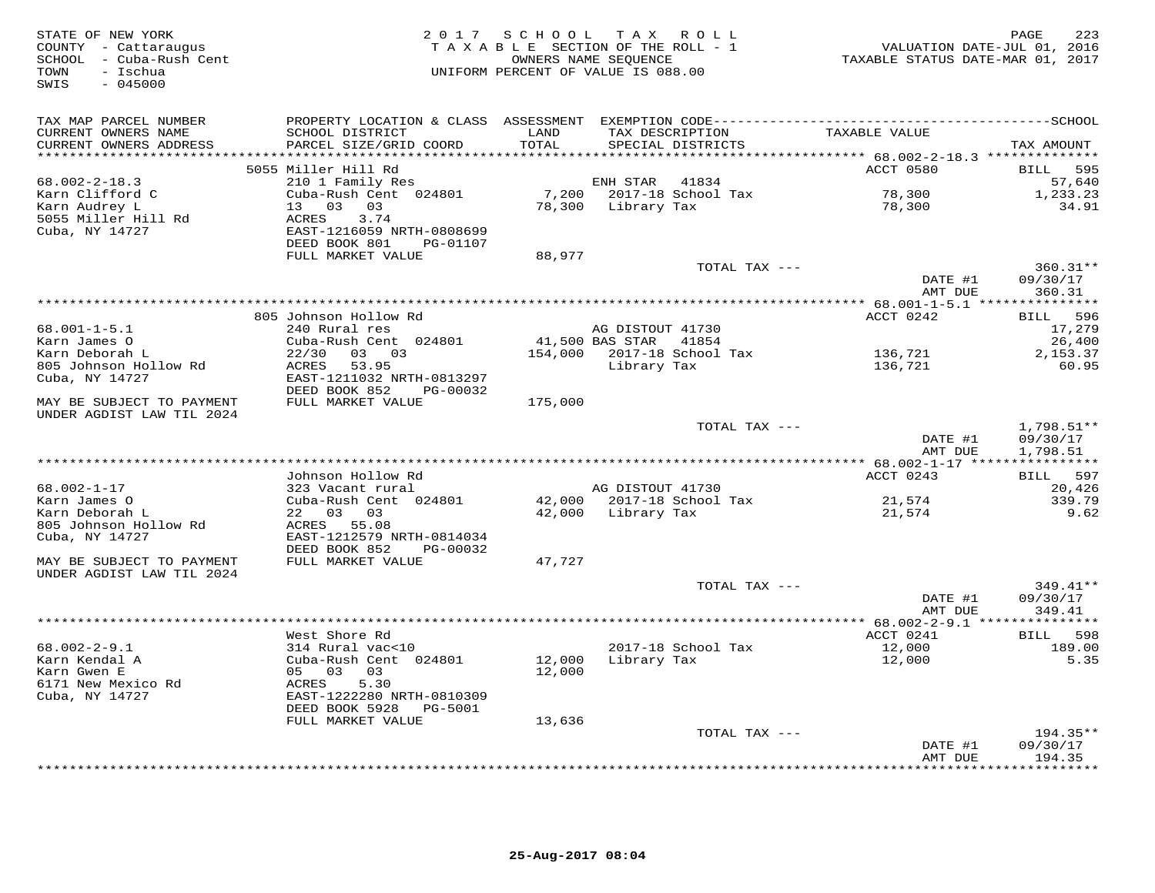| STATE OF NEW YORK<br>COUNTY - Cattaraugus<br>SCHOOL - Cuba-Rush Cent<br>TOWN<br>- Ischua<br>SWIS<br>$-045000$ |                                                        |         | 2017 SCHOOL TAX ROLL<br>TAXABLE SECTION OF THE ROLL - 1<br>OWNERS NAME SEQUENCE<br>UNIFORM PERCENT OF VALUE IS 088.00 | VALUATION DATE-JUL 01, 2016<br>TAXABLE STATUS DATE-MAR 01, 2017 | 223<br>PAGE                  |
|---------------------------------------------------------------------------------------------------------------|--------------------------------------------------------|---------|-----------------------------------------------------------------------------------------------------------------------|-----------------------------------------------------------------|------------------------------|
| TAX MAP PARCEL NUMBER                                                                                         |                                                        |         |                                                                                                                       |                                                                 |                              |
| CURRENT OWNERS NAME                                                                                           | SCHOOL DISTRICT                                        | LAND    | TAX DESCRIPTION                                                                                                       | TAXABLE VALUE                                                   |                              |
| CURRENT OWNERS ADDRESS<br>***********************                                                             | PARCEL SIZE/GRID COORD                                 | TOTAL   | SPECIAL DISTRICTS                                                                                                     |                                                                 | TAX AMOUNT                   |
|                                                                                                               | 5055 Miller Hill Rd                                    |         |                                                                                                                       | ACCT 0580                                                       | 595<br><b>BILL</b>           |
| $68.002 - 2 - 18.3$                                                                                           | 210 1 Family Res                                       |         | ENH STAR<br>41834                                                                                                     |                                                                 | 57,640                       |
| Karn Clifford C                                                                                               | Cuba-Rush Cent 024801                                  | 7,200   | 2017-18 School Tax                                                                                                    | 78,300                                                          | 1,233.23                     |
| Karn Audrey L                                                                                                 | 13 03 03                                               | 78,300  | Library Tax                                                                                                           | 78,300                                                          | 34.91                        |
| 5055 Miller Hill Rd                                                                                           | ACRES<br>3.74                                          |         |                                                                                                                       |                                                                 |                              |
| Cuba, NY 14727                                                                                                | EAST-1216059 NRTH-0808699<br>DEED BOOK 801<br>PG-01107 |         |                                                                                                                       |                                                                 |                              |
|                                                                                                               | FULL MARKET VALUE                                      | 88,977  |                                                                                                                       |                                                                 |                              |
|                                                                                                               |                                                        |         | TOTAL TAX ---                                                                                                         |                                                                 | $360.31**$                   |
|                                                                                                               |                                                        |         |                                                                                                                       | DATE #1                                                         | 09/30/17                     |
|                                                                                                               |                                                        |         |                                                                                                                       | AMT DUE                                                         | 360.31                       |
|                                                                                                               |                                                        |         |                                                                                                                       |                                                                 |                              |
| $68.001 - 1 - 5.1$                                                                                            | 805 Johnson Hollow Rd<br>240 Rural res                 |         | AG DISTOUT 41730                                                                                                      | ACCT 0242                                                       | 596<br><b>BILL</b><br>17,279 |
| Karn James O                                                                                                  | Cuba-Rush Cent 024801                                  |         | 41,500 BAS STAR 41854                                                                                                 |                                                                 | 26,400                       |
| Karn Deborah L                                                                                                | 03 03<br>22/30                                         | 154,000 | 2017-18 School Tax                                                                                                    | 136,721                                                         | 2,153.37                     |
| 805 Johnson Hollow Rd                                                                                         | ACRES<br>53.95                                         |         | Library Tax                                                                                                           | 136,721                                                         | 60.95                        |
| Cuba, NY 14727                                                                                                | EAST-1211032 NRTH-0813297                              |         |                                                                                                                       |                                                                 |                              |
| MAY BE SUBJECT TO PAYMENT                                                                                     | DEED BOOK 852<br>PG-00032<br>FULL MARKET VALUE         | 175,000 |                                                                                                                       |                                                                 |                              |
| UNDER AGDIST LAW TIL 2024                                                                                     |                                                        |         |                                                                                                                       |                                                                 |                              |
|                                                                                                               |                                                        |         | TOTAL TAX ---                                                                                                         |                                                                 | $1,798.51**$                 |
|                                                                                                               |                                                        |         |                                                                                                                       | DATE #1<br>AMT DUE                                              | 09/30/17<br>1,798.51         |
|                                                                                                               |                                                        |         |                                                                                                                       |                                                                 |                              |
| 68.002-1-17                                                                                                   | Johnson Hollow Rd<br>323 Vacant rural                  |         | AG DISTOUT 41730                                                                                                      | ACCT 0243                                                       | 597<br><b>BILL</b><br>20,426 |
| Karn James O                                                                                                  | Cuba-Rush Cent 024801                                  | 42,000  | 2017-18 School Tax                                                                                                    | 21,574                                                          | 339.79                       |
| Karn Deborah L                                                                                                | 22 03 03                                               | 42,000  | Library Tax                                                                                                           | 21,574                                                          | 9.62                         |
| 805 Johnson Hollow Rd                                                                                         | ACRES 55.08                                            |         |                                                                                                                       |                                                                 |                              |
| Cuba, NY 14727                                                                                                | EAST-1212579 NRTH-0814034                              |         |                                                                                                                       |                                                                 |                              |
|                                                                                                               | DEED BOOK 852<br>PG-00032                              |         |                                                                                                                       |                                                                 |                              |
| MAY BE SUBJECT TO PAYMENT<br>UNDER AGDIST LAW TIL 2024                                                        | FULL MARKET VALUE                                      | 47,727  |                                                                                                                       |                                                                 |                              |
|                                                                                                               |                                                        |         | TOTAL TAX ---                                                                                                         |                                                                 | 349.41**                     |
|                                                                                                               |                                                        |         |                                                                                                                       | DATE #1                                                         | 09/30/17                     |
|                                                                                                               |                                                        |         |                                                                                                                       | AMT DUE                                                         | 349.41                       |
|                                                                                                               |                                                        |         |                                                                                                                       | ** 68.002-2-9.1 ****************                                |                              |
| $68.002 - 2 - 9.1$                                                                                            | West Shore Rd<br>314 Rural vac<10                      |         | 2017-18 School Tax                                                                                                    | ACCT 0241<br>12,000                                             | 598<br>BILL<br>189.00        |
| Karn Kendal A                                                                                                 | Cuba-Rush Cent 024801                                  | 12,000  | Library Tax                                                                                                           | 12,000                                                          | 5.35                         |
| Karn Gwen E                                                                                                   | 05 03<br>03                                            | 12,000  |                                                                                                                       |                                                                 |                              |
| 6171 New Mexico Rd                                                                                            | ACRES<br>5.30                                          |         |                                                                                                                       |                                                                 |                              |
| Cuba, NY 14727                                                                                                | EAST-1222280 NRTH-0810309                              |         |                                                                                                                       |                                                                 |                              |
|                                                                                                               | DEED BOOK 5928<br>PG-5001                              |         |                                                                                                                       |                                                                 |                              |
|                                                                                                               | FULL MARKET VALUE                                      | 13,636  | TOTAL TAX ---                                                                                                         |                                                                 | $194.35**$                   |
|                                                                                                               |                                                        |         |                                                                                                                       | DATE #1                                                         | 09/30/17                     |
|                                                                                                               |                                                        |         |                                                                                                                       | AMT DUE                                                         | 194.35                       |
|                                                                                                               |                                                        |         |                                                                                                                       | ************                                                    | * * * * * * * *              |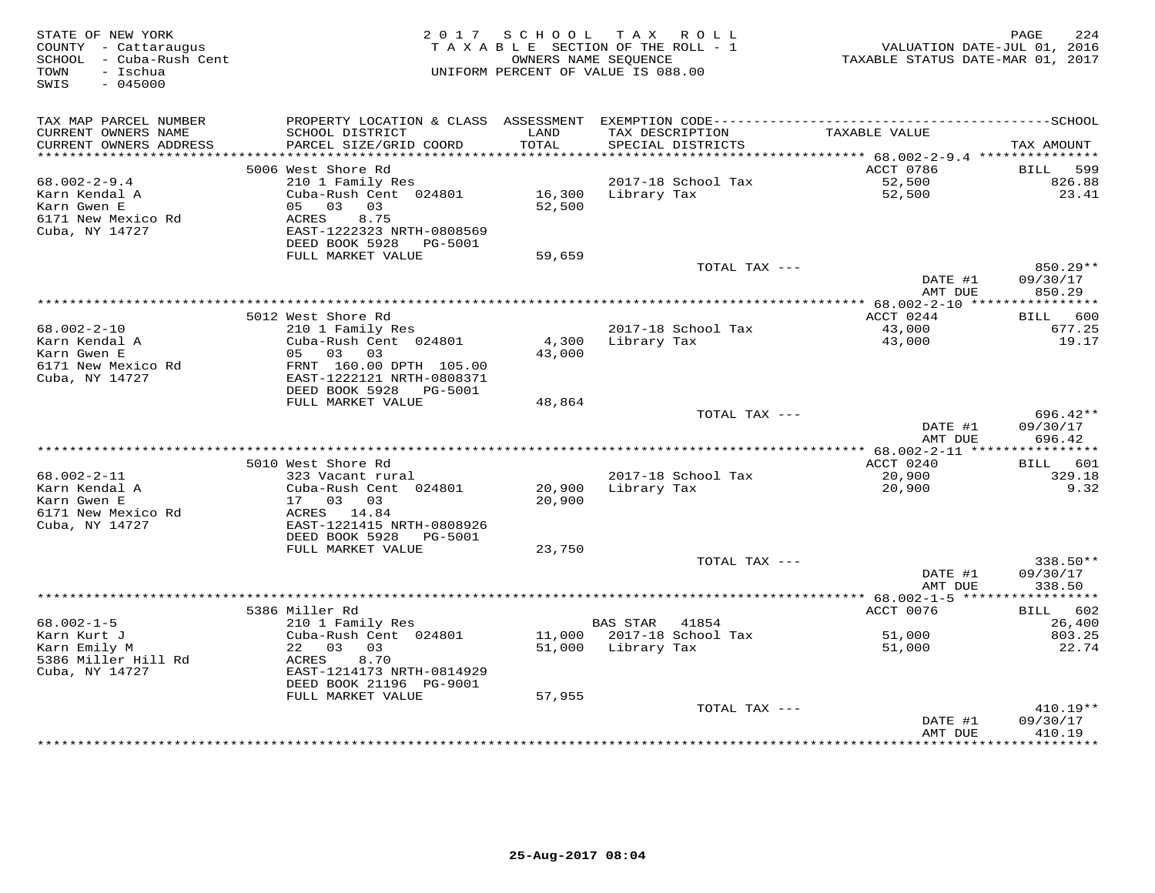| STATE OF NEW YORK<br>COUNTY - Cattaraugus<br>SCHOOL - Cuba-Rush Cent<br>- Ischua<br>TOWN<br>SWIS<br>$-045000$ |                                                      |               | 2017 SCHOOL TAX ROLL<br>TAXABLE SECTION OF THE ROLL - 1<br>OWNERS NAME SEQUENCE<br>UNIFORM PERCENT OF VALUE IS 088.00 | VALUATION DATE-JUL 01, 2016<br>TAXABLE STATUS DATE-MAR 01, 2017 | 224<br>PAGE           |
|---------------------------------------------------------------------------------------------------------------|------------------------------------------------------|---------------|-----------------------------------------------------------------------------------------------------------------------|-----------------------------------------------------------------|-----------------------|
| TAX MAP PARCEL NUMBER                                                                                         |                                                      |               |                                                                                                                       |                                                                 |                       |
| CURRENT OWNERS NAME<br>CURRENT OWNERS ADDRESS<br>***********************                                      | SCHOOL DISTRICT<br>PARCEL SIZE/GRID COORD            | LAND<br>TOTAL | TAX DESCRIPTION<br>SPECIAL DISTRICTS                                                                                  | TAXABLE VALUE                                                   | TAX AMOUNT            |
|                                                                                                               | 5006 West Shore Rd                                   |               |                                                                                                                       | ACCT 0786                                                       | BILL<br>599           |
| $68.002 - 2 - 9.4$                                                                                            | 210 1 Family Res                                     |               | 2017-18 School Tax                                                                                                    | 52,500                                                          | 826.88                |
| Karn Kendal A                                                                                                 | Cuba-Rush Cent 024801                                | 16,300        | Library Tax                                                                                                           | 52,500                                                          | 23.41                 |
| Karn Gwen E                                                                                                   | 05 03 03                                             | 52,500        |                                                                                                                       |                                                                 |                       |
| 6171 New Mexico Rd                                                                                            | ACRES<br>8.75                                        |               |                                                                                                                       |                                                                 |                       |
| Cuba, NY 14727                                                                                                | EAST-1222323 NRTH-0808569                            |               |                                                                                                                       |                                                                 |                       |
|                                                                                                               | DEED BOOK 5928<br>PG-5001                            |               |                                                                                                                       |                                                                 |                       |
|                                                                                                               | FULL MARKET VALUE                                    | 59,659        |                                                                                                                       |                                                                 |                       |
|                                                                                                               |                                                      |               | TOTAL TAX ---                                                                                                         |                                                                 | 850.29**              |
|                                                                                                               |                                                      |               |                                                                                                                       | DATE #1                                                         | 09/30/17              |
|                                                                                                               |                                                      |               |                                                                                                                       | AMT DUE<br>********** 68.002-2-10 ****                          | 850.29<br>*********** |
|                                                                                                               | 5012 West Shore Rd                                   |               |                                                                                                                       | ACCT 0244                                                       | BILL 600              |
| $68.002 - 2 - 10$                                                                                             | 210 1 Family Res                                     |               | 2017-18 School Tax                                                                                                    | 43,000                                                          | 677.25                |
| Karn Kendal A                                                                                                 | Cuba-Rush Cent 024801                                | 4,300         | Library Tax                                                                                                           | 43,000                                                          | 19.17                 |
| Karn Gwen E                                                                                                   | 05 03 03                                             | 43,000        |                                                                                                                       |                                                                 |                       |
| 6171 New Mexico Rd                                                                                            | FRNT 160.00 DPTH 105.00                              |               |                                                                                                                       |                                                                 |                       |
| Cuba, NY 14727                                                                                                | EAST-1222121 NRTH-0808371                            |               |                                                                                                                       |                                                                 |                       |
|                                                                                                               | DEED BOOK 5928 PG-5001                               |               |                                                                                                                       |                                                                 |                       |
|                                                                                                               | FULL MARKET VALUE                                    | 48,864        | TOTAL TAX ---                                                                                                         |                                                                 | 696.42**              |
|                                                                                                               |                                                      |               |                                                                                                                       | DATE #1                                                         | 09/30/17              |
|                                                                                                               |                                                      |               |                                                                                                                       | AMT DUE                                                         | 696.42                |
|                                                                                                               |                                                      |               |                                                                                                                       |                                                                 |                       |
|                                                                                                               | 5010 West Shore Rd                                   |               |                                                                                                                       | ACCT 0240                                                       | BILL 601              |
| $68.002 - 2 - 11$                                                                                             | 323 Vacant rural                                     |               | 2017-18 School Tax                                                                                                    | 20,900                                                          | 329.18                |
| Karn Kendal A                                                                                                 | Cuba-Rush Cent 024801                                | 20,900        | Library Tax                                                                                                           | 20,900                                                          | 9.32                  |
| Karn Gwen E                                                                                                   | 17 03 03                                             | 20,900        |                                                                                                                       |                                                                 |                       |
| 6171 New Mexico Rd                                                                                            | ACRES 14.84                                          |               |                                                                                                                       |                                                                 |                       |
| Cuba, NY 14727                                                                                                | EAST-1221415 NRTH-0808926                            |               |                                                                                                                       |                                                                 |                       |
|                                                                                                               | DEED BOOK 5928<br>PG-5001<br>FULL MARKET VALUE       | 23,750        |                                                                                                                       |                                                                 |                       |
|                                                                                                               |                                                      |               | TOTAL TAX ---                                                                                                         |                                                                 | 338.50**              |
|                                                                                                               |                                                      |               |                                                                                                                       | DATE #1                                                         | 09/30/17              |
|                                                                                                               |                                                      |               |                                                                                                                       | AMT DUE                                                         | 338.50                |
|                                                                                                               |                                                      |               |                                                                                                                       |                                                                 |                       |
|                                                                                                               | 5386 Miller Rd                                       |               |                                                                                                                       | ACCT 0076                                                       | 602<br>BILL           |
| $68.002 - 1 - 5$                                                                                              | 210 1 Family Res                                     |               | <b>BAS STAR</b><br>41854                                                                                              |                                                                 | 26,400                |
| Karn Kurt J                                                                                                   | Cuba-Rush Cent 024801                                | 11,000        | 2017-18 School Tax                                                                                                    | 51,000                                                          | 803.25                |
| Karn Emily M                                                                                                  | 22 03 03                                             | 51,000        | Library Tax                                                                                                           | 51,000                                                          | 22.74                 |
| 5386 Miller Hill Rd                                                                                           | ACRES<br>8.70                                        |               |                                                                                                                       |                                                                 |                       |
| Cuba, NY 14727                                                                                                | EAST-1214173 NRTH-0814929<br>DEED BOOK 21196 PG-9001 |               |                                                                                                                       |                                                                 |                       |
|                                                                                                               | FULL MARKET VALUE                                    | 57,955        |                                                                                                                       |                                                                 |                       |
|                                                                                                               |                                                      |               | TOTAL TAX ---                                                                                                         |                                                                 | $410.19**$            |
|                                                                                                               |                                                      |               |                                                                                                                       | DATE #1                                                         | 09/30/17              |
|                                                                                                               |                                                      |               |                                                                                                                       | AMT DUE                                                         | 410.19                |
|                                                                                                               |                                                      |               |                                                                                                                       | ***************                                                 | **********            |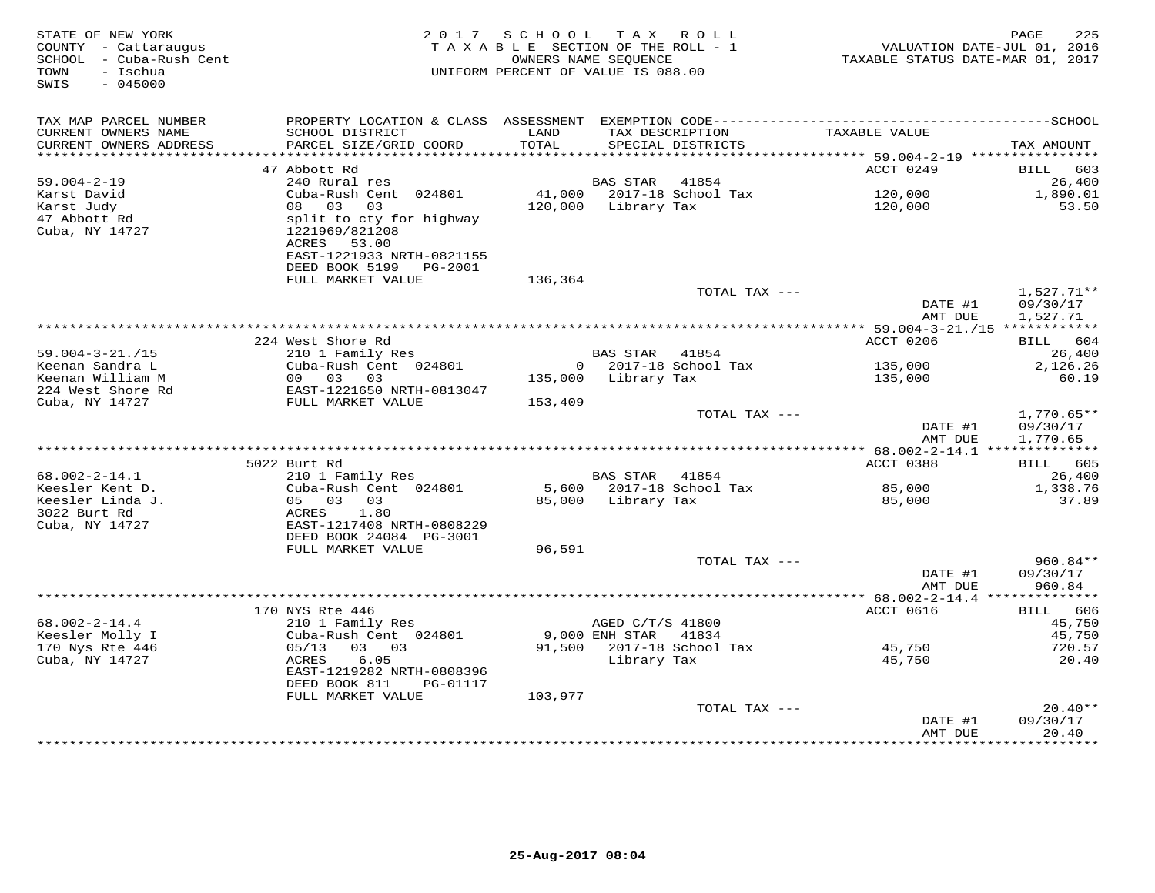| STATE OF NEW YORK<br>COUNTY - Cattaraugus<br>SCHOOL - Cuba-Rush Cent<br>- Ischua<br>TOWN<br>$-045000$<br>SWIS | 2 0 1 7                                                                                   | SCHOOL<br>TAXABLE SECTION OF THE ROLL - 1<br>OWNERS NAME SEQUENCE<br>UNIFORM PERCENT OF VALUE IS 088.00 |                                      | TAX ROLL                             | TAXABLE STATUS DATE-MAR 01, 2017 | 225<br>PAGE<br>VALUATION DATE-JUL 01, 2016 |
|---------------------------------------------------------------------------------------------------------------|-------------------------------------------------------------------------------------------|---------------------------------------------------------------------------------------------------------|--------------------------------------|--------------------------------------|----------------------------------|--------------------------------------------|
| TAX MAP PARCEL NUMBER                                                                                         |                                                                                           |                                                                                                         |                                      |                                      |                                  |                                            |
| CURRENT OWNERS NAME<br>CURRENT OWNERS ADDRESS<br>***********************                                      | SCHOOL DISTRICT<br>PARCEL SIZE/GRID COORD                                                 | LAND<br>TOTAL                                                                                           |                                      | TAX DESCRIPTION<br>SPECIAL DISTRICTS | TAXABLE VALUE                    | TAX AMOUNT                                 |
|                                                                                                               | 47 Abbott Rd                                                                              |                                                                                                         |                                      |                                      | ACCT 0249                        | 603<br>BILL                                |
| $59.004 - 2 - 19$                                                                                             | 240 Rural res                                                                             |                                                                                                         | <b>BAS STAR</b>                      | 41854                                |                                  | 26,400                                     |
| Karst David                                                                                                   | Cuba-Rush Cent 024801                                                                     | 41,000                                                                                                  |                                      | 2017-18 School Tax                   | 120,000                          | 1,890.01                                   |
| Karst Judy                                                                                                    | 08 03<br>03                                                                               | 120,000                                                                                                 | Library Tax                          |                                      | 120,000                          | 53.50                                      |
| 47 Abbott Rd<br>Cuba, NY 14727                                                                                | split to cty for highway<br>1221969/821208<br>ACRES<br>53.00<br>EAST-1221933 NRTH-0821155 |                                                                                                         |                                      |                                      |                                  |                                            |
|                                                                                                               | DEED BOOK 5199<br>PG-2001<br>FULL MARKET VALUE                                            | 136,364                                                                                                 |                                      |                                      |                                  |                                            |
|                                                                                                               |                                                                                           |                                                                                                         |                                      | TOTAL TAX ---                        |                                  | $1,527.71**$                               |
|                                                                                                               |                                                                                           |                                                                                                         |                                      |                                      | DATE #1<br>AMT DUE               | 09/30/17<br>1,527.71                       |
|                                                                                                               |                                                                                           |                                                                                                         |                                      |                                      |                                  |                                            |
|                                                                                                               | 224 West Shore Rd                                                                         |                                                                                                         |                                      |                                      | <b>ACCT 0206</b>                 | 604<br>BILL                                |
| $59.004 - 3 - 21. / 15$<br>Keenan Sandra L                                                                    | 210 1 Family Res<br>Cuba-Rush Cent 024801                                                 | $\Omega$                                                                                                | <b>BAS STAR</b>                      | 41854<br>2017-18 School Tax          | 135,000                          | 26,400<br>2,126.26                         |
| Keenan William M                                                                                              | 00 03<br>03                                                                               | 135,000                                                                                                 | Library Tax                          |                                      | 135,000                          | 60.19                                      |
| 224 West Shore Rd                                                                                             | EAST-1221650 NRTH-0813047                                                                 |                                                                                                         |                                      |                                      |                                  |                                            |
| Cuba, NY 14727                                                                                                | FULL MARKET VALUE                                                                         | 153,409                                                                                                 |                                      |                                      |                                  |                                            |
|                                                                                                               |                                                                                           |                                                                                                         |                                      | TOTAL TAX ---                        | DATE #1<br>AMT DUE               | $1,770.65**$<br>09/30/17<br>1,770.65       |
|                                                                                                               |                                                                                           |                                                                                                         |                                      |                                      |                                  |                                            |
| $68.002 - 2 - 14.1$                                                                                           | 5022 Burt Rd<br>210 1 Family Res                                                          |                                                                                                         | BAS STAR 41854                       |                                      | ACCT 0388                        | BILL 605<br>26,400                         |
| Keesler Kent D.                                                                                               | Cuba-Rush Cent 024801                                                                     |                                                                                                         |                                      | 5,600 2017-18 School Tax             | 85,000                           | 1,338.76                                   |
| Keesler Linda J.                                                                                              | 05 03<br>03                                                                               | 85,000                                                                                                  | Library Tax                          |                                      | 85,000                           | 37.89                                      |
| 3022 Burt Rd                                                                                                  | 1.80<br>ACRES                                                                             |                                                                                                         |                                      |                                      |                                  |                                            |
| Cuba, NY 14727                                                                                                | EAST-1217408 NRTH-0808229                                                                 |                                                                                                         |                                      |                                      |                                  |                                            |
|                                                                                                               | DEED BOOK 24084 PG-3001                                                                   |                                                                                                         |                                      |                                      |                                  |                                            |
|                                                                                                               | FULL MARKET VALUE                                                                         | 96,591                                                                                                  |                                      | TOTAL TAX ---                        |                                  | 960.84**                                   |
|                                                                                                               |                                                                                           |                                                                                                         |                                      |                                      | DATE #1                          | 09/30/17                                   |
|                                                                                                               |                                                                                           |                                                                                                         |                                      |                                      | AMT DUE                          | 960.84                                     |
|                                                                                                               |                                                                                           |                                                                                                         |                                      |                                      |                                  |                                            |
|                                                                                                               | 170 NYS Rte 446                                                                           |                                                                                                         |                                      |                                      | ACCT 0616                        | 606<br>BILL                                |
| $68.002 - 2 - 14.4$<br>Keesler Molly I                                                                        | 210 1 Family Res<br>Cuba-Rush Cent 024801                                                 |                                                                                                         | AGED C/T/S 41800<br>$9,000$ ENH STAR | 41834                                |                                  | 45,750<br>45,750                           |
| 170 Nys Rte 446                                                                                               | 05/13<br>03 03                                                                            | 91,500                                                                                                  |                                      | 2017-18 School Tax                   | 45,750                           | 720.57                                     |
| Cuba, NY 14727                                                                                                | 6.05<br>ACRES                                                                             |                                                                                                         | Library Tax                          |                                      | 45,750                           | 20.40                                      |
|                                                                                                               | EAST-1219282 NRTH-0808396<br>DEED BOOK 811<br>PG-01117                                    |                                                                                                         |                                      |                                      |                                  |                                            |
|                                                                                                               | FULL MARKET VALUE                                                                         | 103,977                                                                                                 |                                      |                                      |                                  |                                            |
|                                                                                                               |                                                                                           |                                                                                                         |                                      | TOTAL TAX ---                        |                                  | $20.40**$                                  |
|                                                                                                               |                                                                                           |                                                                                                         |                                      | ++++++++++++++++++++++               | DATE #1<br>AMT DUE               | 09/30/17<br>20.40<br>.                     |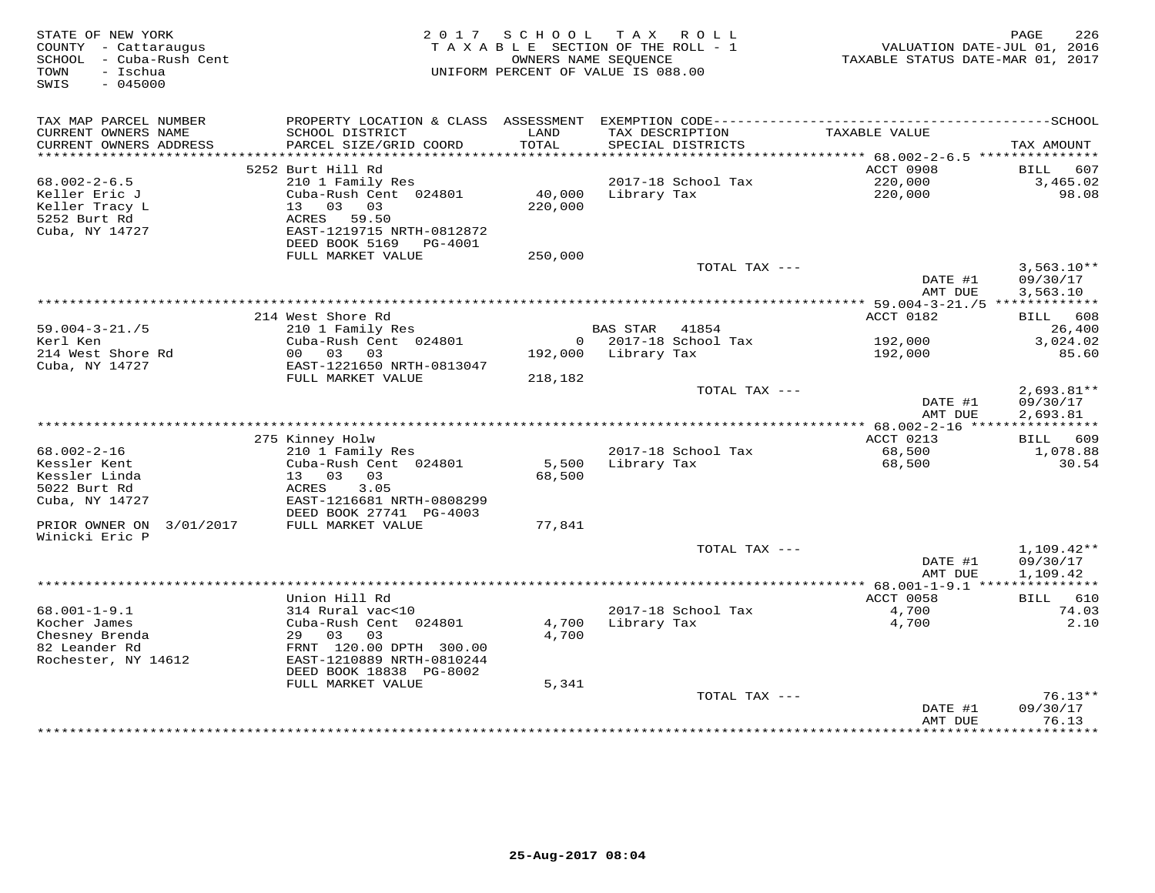| STATE OF NEW YORK<br>COUNTY - Cattaraugus<br>- Cuba-Rush Cent<br>SCHOOL<br>TOWN<br>- Ischua<br>$-045000$<br>SWIS |                                                                                                         | 2017 SCHOOL<br>TAXABLE SECTION OF THE ROLL - 1<br>OWNERS NAME SEQUENCE<br>UNIFORM PERCENT OF VALUE IS 088.00 |                 | TAX ROLL                             | TAXABLE STATUS DATE-MAR 01, 2017            | 226<br>PAGE<br>VALUATION DATE-JUL 01, 2016 |
|------------------------------------------------------------------------------------------------------------------|---------------------------------------------------------------------------------------------------------|--------------------------------------------------------------------------------------------------------------|-----------------|--------------------------------------|---------------------------------------------|--------------------------------------------|
| TAX MAP PARCEL NUMBER<br>CURRENT OWNERS NAME<br>CURRENT OWNERS ADDRESS                                           | SCHOOL DISTRICT<br>PARCEL SIZE/GRID COORD                                                               | LAND<br>TOTAL                                                                                                |                 | TAX DESCRIPTION<br>SPECIAL DISTRICTS | TAXABLE VALUE                               | TAX AMOUNT                                 |
| *******************                                                                                              |                                                                                                         |                                                                                                              |                 |                                      | ********* 68.002-2-6.5 ****************     |                                            |
|                                                                                                                  | 5252 Burt Hill Rd                                                                                       |                                                                                                              |                 |                                      | ACCT 0908                                   | 607<br>BILL                                |
| $68.002 - 2 - 6.5$                                                                                               | 210 1 Family Res                                                                                        |                                                                                                              |                 | 2017-18 School Tax                   | 220,000                                     | 3,465.02                                   |
| Keller Eric J<br>Keller Tracy L<br>5252 Burt Rd<br>Cuba, NY 14727                                                | Cuba-Rush Cent 024801<br>13 03 03<br>ACRES 59.50<br>EAST-1219715 NRTH-0812872<br>DEED BOOK 5169 PG-4001 | 40,000<br>220,000                                                                                            | Library Tax     |                                      | 220,000                                     | 98.08                                      |
|                                                                                                                  | FULL MARKET VALUE                                                                                       | 250,000                                                                                                      |                 |                                      |                                             |                                            |
|                                                                                                                  |                                                                                                         |                                                                                                              |                 | TOTAL TAX ---                        | DATE #1                                     | $3,563.10**$<br>09/30/17                   |
|                                                                                                                  |                                                                                                         |                                                                                                              |                 |                                      | AMT DUE                                     | 3,563.10                                   |
|                                                                                                                  | 214 West Shore Rd                                                                                       |                                                                                                              |                 |                                      | ACCT 0182                                   | 608<br>BILL                                |
| $59.004 - 3 - 21. / 5$                                                                                           | 210 1 Family Res                                                                                        |                                                                                                              | <b>BAS STAR</b> | 41854                                |                                             | 26,400                                     |
| Kerl Ken                                                                                                         | Cuba-Rush Cent 024801                                                                                   | $\overline{0}$                                                                                               |                 | 2017-18 School Tax                   | 192,000                                     | 3,024.02                                   |
| 214 West Shore Rd                                                                                                | 00 03 03                                                                                                | 192,000                                                                                                      | Library Tax     |                                      | 192,000                                     | 85.60                                      |
| Cuba, NY 14727                                                                                                   | EAST-1221650 NRTH-0813047                                                                               |                                                                                                              |                 |                                      |                                             |                                            |
|                                                                                                                  | FULL MARKET VALUE                                                                                       | 218,182                                                                                                      |                 |                                      |                                             |                                            |
|                                                                                                                  |                                                                                                         |                                                                                                              |                 | TOTAL TAX ---                        | DATE #1<br>AMT DUE                          | $2,693.81**$<br>09/30/17<br>2,693.81       |
|                                                                                                                  |                                                                                                         |                                                                                                              |                 |                                      | ************* 68.002-2-16 ***************** |                                            |
|                                                                                                                  | 275 Kinney Holw                                                                                         |                                                                                                              |                 |                                      | ACCT 0213                                   | BILL 609                                   |
| $68.002 - 2 - 16$                                                                                                | 210 1 Family Res                                                                                        |                                                                                                              |                 | 2017-18 School Tax                   | 68,500                                      | 1,078.88                                   |
| Kessler Kent                                                                                                     | Cuba-Rush Cent 024801                                                                                   | 5,500                                                                                                        | Library Tax     |                                      | 68,500                                      | 30.54                                      |
| Kessler Linda<br>5022 Burt Rd                                                                                    | 13 03 03<br>ACRES<br>3.05                                                                               | 68,500                                                                                                       |                 |                                      |                                             |                                            |
| Cuba, NY 14727                                                                                                   | EAST-1216681 NRTH-0808299                                                                               |                                                                                                              |                 |                                      |                                             |                                            |
|                                                                                                                  | DEED BOOK 27741 PG-4003                                                                                 |                                                                                                              |                 |                                      |                                             |                                            |
| PRIOR OWNER ON<br>3/01/2017<br>Winicki Eric P                                                                    | FULL MARKET VALUE                                                                                       | 77,841                                                                                                       |                 |                                      |                                             |                                            |
|                                                                                                                  |                                                                                                         |                                                                                                              |                 | TOTAL TAX ---                        |                                             | $1,109.42**$                               |
|                                                                                                                  |                                                                                                         |                                                                                                              |                 |                                      | DATE #1<br>AMT DUE                          | 09/30/17<br>1,109.42                       |
|                                                                                                                  |                                                                                                         |                                                                                                              |                 |                                      | ********** 68.001-1-9.1 ****                | ***********                                |
|                                                                                                                  | Union Hill Rd                                                                                           |                                                                                                              |                 |                                      | ACCT 0058                                   | BILL<br>610                                |
| $68.001 - 1 - 9.1$                                                                                               | 314 Rural vac<10                                                                                        |                                                                                                              |                 | 2017-18 School Tax                   | 4,700<br>4,700                              | 74.03<br>2.10                              |
| Kocher James<br>Chesney Brenda                                                                                   | Cuba-Rush Cent 024801<br>29 03<br>03                                                                    | 4,700<br>4,700                                                                                               | Library Tax     |                                      |                                             |                                            |
| 82 Leander Rd                                                                                                    | FRNT 120.00 DPTH 300.00                                                                                 |                                                                                                              |                 |                                      |                                             |                                            |
| Rochester, NY 14612                                                                                              | EAST-1210889 NRTH-0810244<br>DEED BOOK 18838 PG-8002                                                    |                                                                                                              |                 |                                      |                                             |                                            |
|                                                                                                                  | FULL MARKET VALUE                                                                                       | 5,341                                                                                                        |                 |                                      |                                             |                                            |
|                                                                                                                  |                                                                                                         |                                                                                                              |                 | TOTAL TAX ---                        |                                             | $76.13**$                                  |
|                                                                                                                  |                                                                                                         |                                                                                                              |                 |                                      | DATE #1                                     | 09/30/17                                   |
|                                                                                                                  |                                                                                                         |                                                                                                              |                 |                                      | AMT DUE<br>* * * * * * * * * * * * *        | 76.13<br>* * * * * * * * *                 |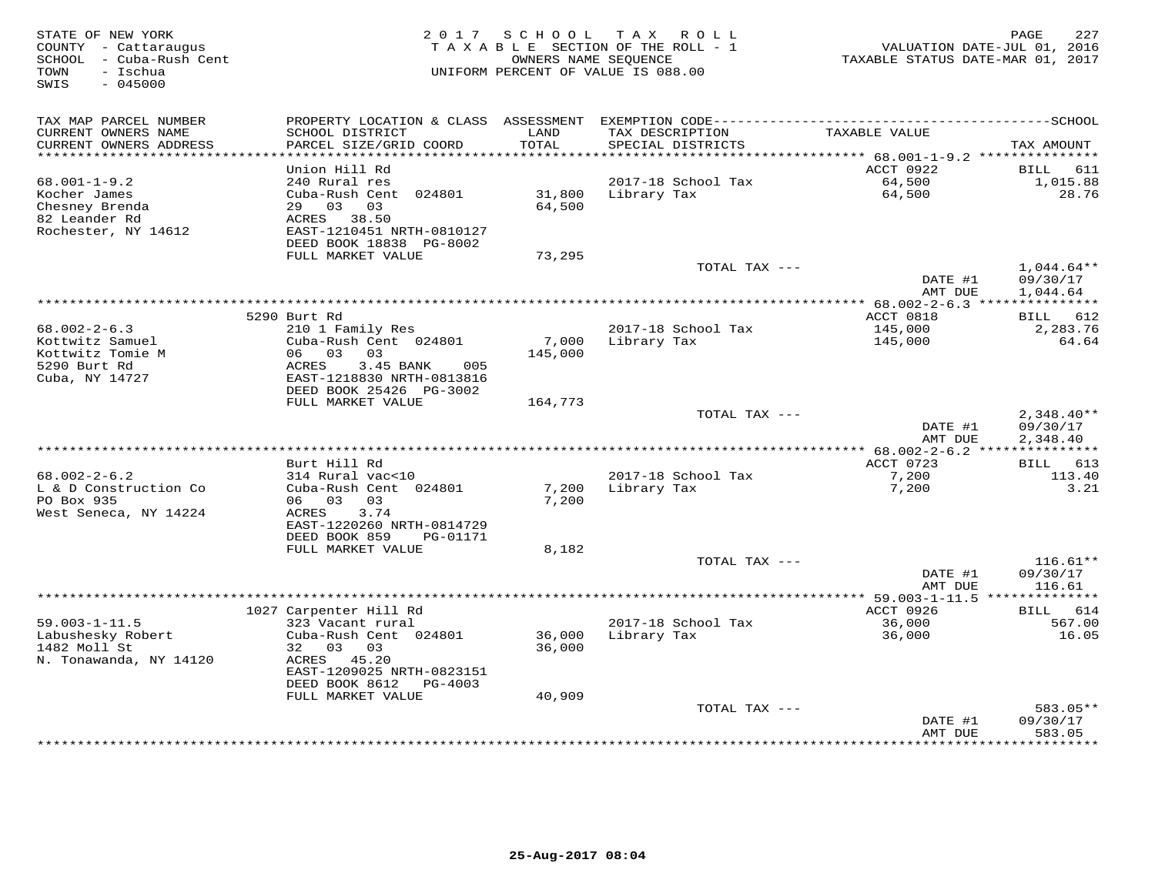| STATE OF NEW YORK<br>COUNTY - Cattaraugus<br>SCHOOL - Cuba-Rush Cent<br>- Ischua<br>TOWN<br>SWIS<br>$-045000$ | 2 0 1 7                                                                | SCHOOL           | T A X<br>ROLL<br>TAXABLE SECTION OF THE ROLL - 1<br>OWNERS NAME SEOUENCE<br>UNIFORM PERCENT OF VALUE IS 088.00 | VALUATION DATE-JUL 01, 2016<br>TAXABLE STATUS DATE-MAR 01, 2017 | 227<br>PAGE              |
|---------------------------------------------------------------------------------------------------------------|------------------------------------------------------------------------|------------------|----------------------------------------------------------------------------------------------------------------|-----------------------------------------------------------------|--------------------------|
| TAX MAP PARCEL NUMBER                                                                                         |                                                                        |                  |                                                                                                                |                                                                 |                          |
| CURRENT OWNERS NAME<br>CURRENT OWNERS ADDRESS<br>**********************                                       | SCHOOL DISTRICT<br>PARCEL SIZE/GRID COORD<br>************************* | LAND<br>TOTAL    | TAX DESCRIPTION<br>SPECIAL DISTRICTS<br>********************************                                       | TAXABLE VALUE                                                   | TAX AMOUNT               |
|                                                                                                               | Union Hill Rd                                                          |                  |                                                                                                                | ********** 68.001-1-9.2 ****************<br>ACCT 0922           | 611<br>BILL              |
| $68.001 - 1 - 9.2$                                                                                            | 240 Rural res                                                          |                  | 2017-18 School Tax                                                                                             | 64,500                                                          | 1,015.88                 |
| Kocher James<br>Chesney Brenda                                                                                | Cuba-Rush Cent 024801<br>03<br>29<br>03                                | 31,800<br>64,500 | Library Tax                                                                                                    | 64,500                                                          | 28.76                    |
| 82 Leander Rd<br>Rochester, NY 14612                                                                          | ACRES 38.50<br>EAST-1210451 NRTH-0810127                               |                  |                                                                                                                |                                                                 |                          |
|                                                                                                               | DEED BOOK 18838 PG-8002<br>FULL MARKET VALUE                           | 73,295           |                                                                                                                |                                                                 |                          |
|                                                                                                               |                                                                        |                  | TOTAL TAX ---                                                                                                  | DATE #1                                                         | $1,044.64**$<br>09/30/17 |
|                                                                                                               |                                                                        |                  |                                                                                                                | AMT DUE                                                         | 1,044.64                 |
|                                                                                                               | 5290 Burt Rd                                                           |                  |                                                                                                                | *** 68.002-2-6.3 ****************<br>ACCT 0818                  |                          |
| $68.002 - 2 - 6.3$                                                                                            | 210 1 Family Res                                                       |                  | 2017-18 School Tax                                                                                             | 145,000                                                         | 612<br>BILL<br>2,283.76  |
| Kottwitz Samuel                                                                                               | Cuba-Rush Cent 024801                                                  | 7,000            | Library Tax                                                                                                    | 145,000                                                         | 64.64                    |
| Kottwitz Tomie M                                                                                              | 06 03<br>03                                                            | 145,000          |                                                                                                                |                                                                 |                          |
| 5290 Burt Rd<br>Cuba, NY 14727                                                                                | ACRES<br>3.45 BANK<br>005<br>EAST-1218830 NRTH-0813816                 |                  |                                                                                                                |                                                                 |                          |
|                                                                                                               | DEED BOOK 25426 PG-3002<br>FULL MARKET VALUE                           | 164,773          |                                                                                                                |                                                                 |                          |
|                                                                                                               |                                                                        |                  | TOTAL TAX ---                                                                                                  |                                                                 | $2,348.40**$             |
|                                                                                                               |                                                                        |                  |                                                                                                                | DATE #1                                                         | 09/30/17                 |
|                                                                                                               |                                                                        |                  |                                                                                                                | AMT DUE                                                         | 2,348.40                 |
|                                                                                                               | Burt Hill Rd                                                           |                  |                                                                                                                | ACCT 0723                                                       | BILL 613                 |
| $68.002 - 2 - 6.2$                                                                                            | 314 Rural vac<10                                                       |                  | 2017-18 School Tax                                                                                             | 7,200                                                           | 113.40                   |
| L & D Construction Co                                                                                         | Cuba-Rush Cent 024801                                                  | 7,200            | Library Tax                                                                                                    | 7,200                                                           | 3.21                     |
| PO Box 935                                                                                                    | 06 03<br>03                                                            | 7,200            |                                                                                                                |                                                                 |                          |
| West Seneca, NY 14224                                                                                         | ACRES<br>3.74                                                          |                  |                                                                                                                |                                                                 |                          |
|                                                                                                               | EAST-1220260 NRTH-0814729<br>DEED BOOK 859<br>PG-01171                 |                  |                                                                                                                |                                                                 |                          |
|                                                                                                               | FULL MARKET VALUE                                                      | 8,182            |                                                                                                                |                                                                 |                          |
|                                                                                                               |                                                                        |                  | TOTAL TAX ---                                                                                                  |                                                                 | $116.61**$               |
|                                                                                                               |                                                                        |                  |                                                                                                                | DATE #1                                                         | 09/30/17                 |
|                                                                                                               |                                                                        |                  |                                                                                                                | AMT DUE                                                         | 116.61<br>*******        |
|                                                                                                               | 1027 Carpenter Hill Rd                                                 |                  |                                                                                                                | ********** 59.003-1-11.5 *****<br>ACCT 0926                     | 614<br>BILL              |
| $59.003 - 1 - 11.5$                                                                                           | 323 Vacant rural                                                       |                  | 2017-18 School Tax                                                                                             | 36,000                                                          | 567.00                   |
| Labushesky Robert                                                                                             | Cuba-Rush Cent 024801                                                  | 36,000           | Library Tax                                                                                                    | 36,000                                                          | 16.05                    |
| 1482 Moll St                                                                                                  | 32 03<br>03                                                            | 36,000           |                                                                                                                |                                                                 |                          |
| N. Tonawanda, NY 14120                                                                                        | 45.20<br>ACRES                                                         |                  |                                                                                                                |                                                                 |                          |
|                                                                                                               | EAST-1209025 NRTH-0823151<br>DEED BOOK 8612<br>PG-4003                 |                  |                                                                                                                |                                                                 |                          |
|                                                                                                               | FULL MARKET VALUE                                                      | 40,909           |                                                                                                                |                                                                 |                          |
|                                                                                                               |                                                                        |                  | TOTAL TAX ---                                                                                                  |                                                                 | 583.05**                 |
|                                                                                                               |                                                                        |                  |                                                                                                                | DATE #1<br>AMT DUE                                              | 09/30/17<br>583.05       |
|                                                                                                               |                                                                        |                  |                                                                                                                | * * * * * * * * * ·                                             | * * * * * * * *          |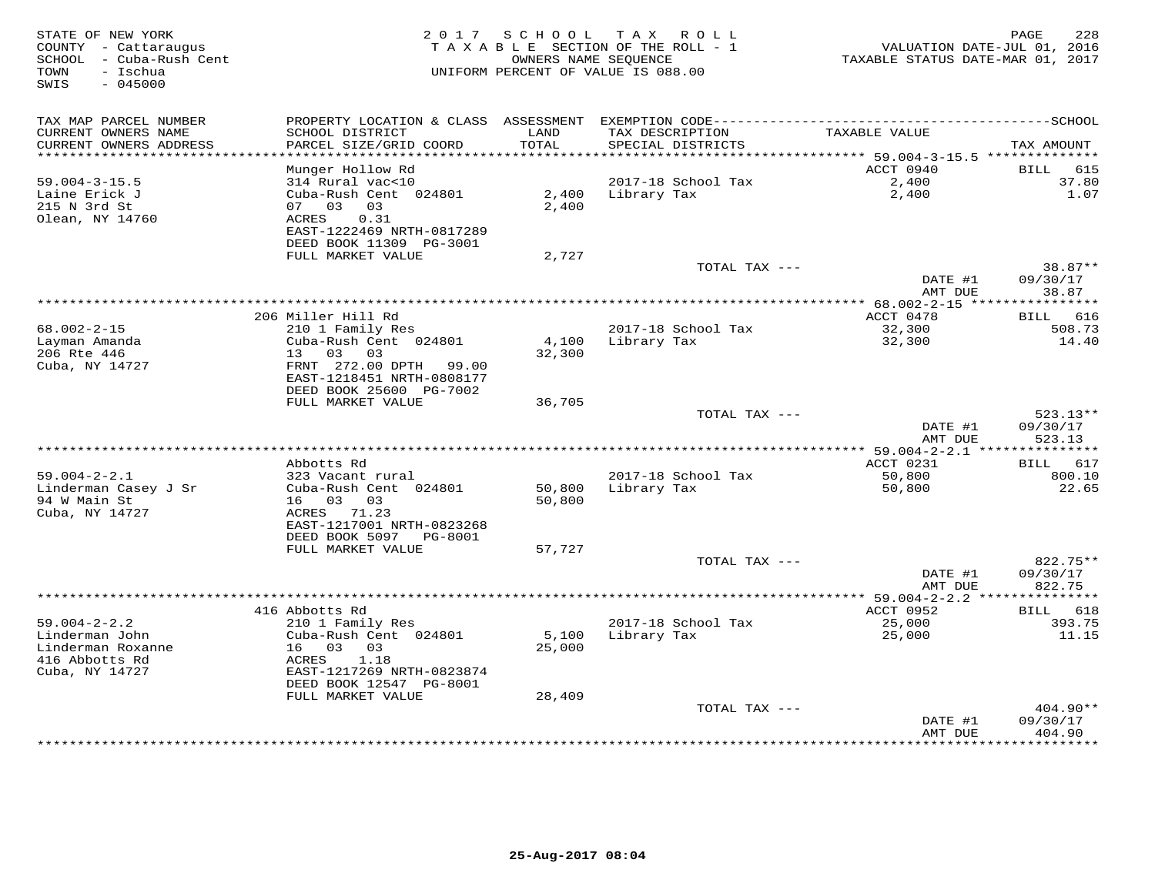| STATE OF NEW YORK<br>COUNTY - Cattaraugus<br>SCHOOL - Cuba-Rush Cent<br>- Ischua<br>TOWN<br>SWIS<br>$-045000$ | 2 0 1 7                                                                                          |                 | SCHOOL TAX ROLL<br>TAXABLE SECTION OF THE ROLL - 1<br>OWNERS NAME SEQUENCE<br>UNIFORM PERCENT OF VALUE IS 088.00 | VALUATION DATE-JUL 01, 2016<br>TAXABLE STATUS DATE-MAR 01, 2017 | PAGE<br>228                      |
|---------------------------------------------------------------------------------------------------------------|--------------------------------------------------------------------------------------------------|-----------------|------------------------------------------------------------------------------------------------------------------|-----------------------------------------------------------------|----------------------------------|
|                                                                                                               |                                                                                                  |                 |                                                                                                                  |                                                                 |                                  |
| TAX MAP PARCEL NUMBER<br>CURRENT OWNERS NAME<br>CURRENT OWNERS ADDRESS                                        | SCHOOL DISTRICT<br>PARCEL SIZE/GRID COORD                                                        | LAND<br>TOTAL   | TAX DESCRIPTION<br>SPECIAL DISTRICTS                                                                             | TAXABLE VALUE                                                   | TAX AMOUNT                       |
| **********************                                                                                        |                                                                                                  |                 |                                                                                                                  |                                                                 |                                  |
|                                                                                                               | Munger Hollow Rd                                                                                 |                 |                                                                                                                  | ACCT 0940                                                       | 615<br>BILL                      |
| $59.004 - 3 - 15.5$<br>Laine Erick J<br>215 N 3rd St<br>Olean, NY 14760                                       | 314 Rural vac<10<br>Cuba-Rush Cent 024801<br>07 03<br>03<br>0.31<br>ACRES                        | 2,400<br>2,400  | 2017-18 School Tax<br>Library Tax                                                                                | 2,400<br>2,400                                                  | 37.80<br>1.07                    |
|                                                                                                               | EAST-1222469 NRTH-0817289<br>DEED BOOK 11309 PG-3001                                             |                 |                                                                                                                  |                                                                 |                                  |
|                                                                                                               | FULL MARKET VALUE                                                                                | 2,727           |                                                                                                                  |                                                                 |                                  |
|                                                                                                               |                                                                                                  |                 | TOTAL TAX ---                                                                                                    | DATE #1<br>AMT DUE                                              | 38.87**<br>09/30/17<br>38.87     |
|                                                                                                               |                                                                                                  |                 | *******************************                                                                                  | *** $68.002 - 2 - 15$ ****                                      | *********                        |
|                                                                                                               | 206 Miller Hill Rd                                                                               |                 |                                                                                                                  | ACCT 0478                                                       | BILL 616                         |
| $68.002 - 2 - 15$<br>Layman Amanda                                                                            | 210 1 Family Res<br>Cuba-Rush Cent 024801                                                        | 4,100           | 2017-18 School Tax<br>Library Tax                                                                                | 32,300<br>32,300                                                | 508.73<br>14.40                  |
| 206 Rte 446<br>Cuba, NY 14727                                                                                 | 13 03<br>03<br>FRNT 272.00 DPTH<br>99.00<br>EAST-1218451 NRTH-0808177<br>DEED BOOK 25600 PG-7002 | 32,300          |                                                                                                                  |                                                                 |                                  |
|                                                                                                               | FULL MARKET VALUE                                                                                | 36,705          |                                                                                                                  |                                                                 |                                  |
|                                                                                                               |                                                                                                  |                 | TOTAL TAX ---                                                                                                    | DATE #1<br>AMT DUE                                              | $523.13**$<br>09/30/17<br>523.13 |
|                                                                                                               |                                                                                                  |                 |                                                                                                                  |                                                                 |                                  |
|                                                                                                               | Abbotts Rd                                                                                       |                 |                                                                                                                  | ACCT 0231                                                       | BILL 617                         |
| $59.004 - 2 - 2.1$                                                                                            | 323 Vacant rural                                                                                 |                 | 2017-18 School Tax                                                                                               | 50,800                                                          | 800.10                           |
| Linderman Casey J Sr<br>94 W Main St                                                                          | Cuba-Rush Cent 024801<br>16 03<br>03                                                             | 50,800          | Library Tax                                                                                                      | 50,800                                                          | 22.65                            |
| Cuba, NY 14727                                                                                                | ACRES 71.23<br>EAST-1217001 NRTH-0823268                                                         | 50,800          |                                                                                                                  |                                                                 |                                  |
|                                                                                                               | DEED BOOK 5097<br><b>PG-8001</b>                                                                 |                 |                                                                                                                  |                                                                 |                                  |
|                                                                                                               | FULL MARKET VALUE                                                                                | 57,727          |                                                                                                                  |                                                                 |                                  |
|                                                                                                               |                                                                                                  |                 | TOTAL TAX ---                                                                                                    | DATE #1<br>AMT DUE                                              | 822.75**<br>09/30/17<br>822.75   |
|                                                                                                               |                                                                                                  |                 | *************************************                                                                            | ************ 59.004-2-2.2 ***                                   | ********                         |
|                                                                                                               | 416 Abbotts Rd                                                                                   |                 |                                                                                                                  | ACCT 0952                                                       | BILL<br>618                      |
| $59.004 - 2 - 2.2$                                                                                            | 210 1 Family Res                                                                                 |                 | 2017-18 School Tax                                                                                               | 25,000                                                          | 393.75                           |
| Linderman John<br>Linderman Roxanne<br>416 Abbotts Rd                                                         | Cuba-Rush Cent 024801<br>16 03<br>03<br>ACRES<br>1.18                                            | 5,100<br>25,000 | Library Tax                                                                                                      | 25,000                                                          | 11.15                            |
| Cuba, NY 14727                                                                                                | EAST-1217269 NRTH-0823874<br>DEED BOOK 12547 PG-8001                                             |                 |                                                                                                                  |                                                                 |                                  |
|                                                                                                               | FULL MARKET VALUE                                                                                | 28,409          |                                                                                                                  |                                                                 |                                  |
|                                                                                                               |                                                                                                  |                 | TOTAL TAX ---                                                                                                    | DATE #1                                                         | $404.90**$<br>09/30/17           |
|                                                                                                               |                                                                                                  |                 |                                                                                                                  | AMT DUE<br>**********                                           | 404.90<br>* * * * * * * *        |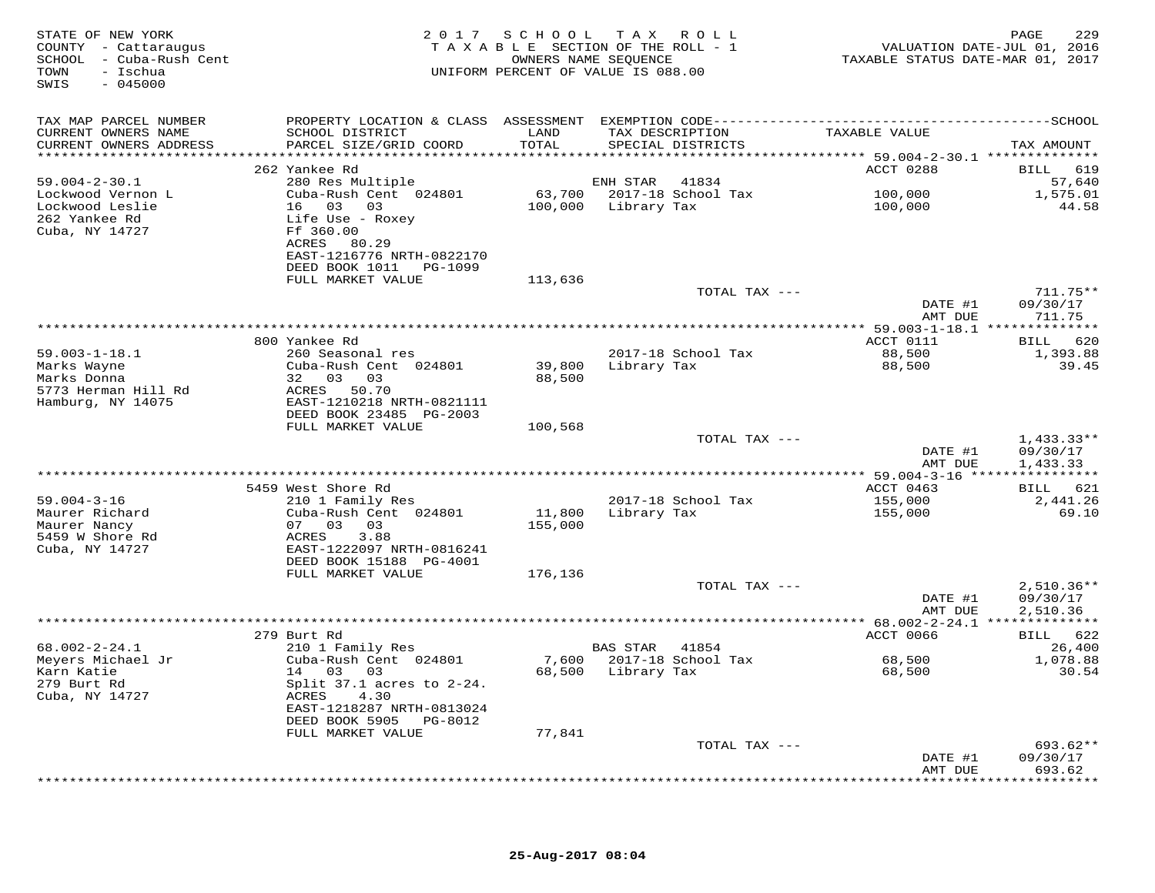| STATE OF NEW YORK<br>COUNTY - Cattaraugus<br>SCHOOL - Cuba-Rush Cent<br>TOWN<br>– Ischua<br>SWIS<br>$-045000$ |                                                                                                        |                   | 2017 SCHOOL TAX ROLL<br>TAXABLE SECTION OF THE ROLL - 1<br>OWNERS NAME SEQUENCE<br>UNIFORM PERCENT OF VALUE IS 088.00 | TAXABLE STATUS DATE-MAR 01, 2017 | PAGE<br>229<br>VALUATION DATE-JUL 01, 2016 |
|---------------------------------------------------------------------------------------------------------------|--------------------------------------------------------------------------------------------------------|-------------------|-----------------------------------------------------------------------------------------------------------------------|----------------------------------|--------------------------------------------|
| TAX MAP PARCEL NUMBER                                                                                         |                                                                                                        |                   |                                                                                                                       |                                  |                                            |
| CURRENT OWNERS NAME<br>CURRENT OWNERS ADDRESS                                                                 | SCHOOL DISTRICT<br>PARCEL SIZE/GRID COORD                                                              | LAND<br>TOTAL     | TAX DESCRIPTION<br>SPECIAL DISTRICTS                                                                                  | TAXABLE VALUE                    | TAX AMOUNT                                 |
|                                                                                                               |                                                                                                        |                   |                                                                                                                       |                                  |                                            |
| $59.004 - 2 - 30.1$                                                                                           | 262 Yankee Rd<br>280 Res Multiple                                                                      |                   | ENH STAR<br>41834                                                                                                     | ACCT 0288                        | BILL 619<br>57,640                         |
| Lockwood Vernon L                                                                                             | Cuba-Rush Cent 024801                                                                                  |                   | 63,700    2017-18    School Tax                                                                                       | 100,000                          | 1,575.01                                   |
| Lockwood Leslie                                                                                               | 16  03  03                                                                                             |                   | 100,000 Library Tax                                                                                                   | 100,000                          | 44.58                                      |
| 262 Yankee Rd<br>Cuba, NY 14727                                                                               | Life Use - Roxey<br>Ff 360.00<br>ACRES 80.29<br>EAST-1216776 NRTH-0822170<br>DEED BOOK 1011    PG-1099 |                   |                                                                                                                       |                                  |                                            |
|                                                                                                               | FULL MARKET VALUE                                                                                      | 113,636           |                                                                                                                       |                                  |                                            |
|                                                                                                               |                                                                                                        |                   | TOTAL TAX ---                                                                                                         | DATE #1                          | $711.75**$<br>09/30/17                     |
|                                                                                                               |                                                                                                        |                   |                                                                                                                       | AMT DUE                          | 711.75                                     |
|                                                                                                               |                                                                                                        |                   |                                                                                                                       |                                  |                                            |
|                                                                                                               | 800 Yankee Rd                                                                                          |                   |                                                                                                                       | ACCT 0111                        | BILL 620                                   |
| $59.003 - 1 - 18.1$<br>Marks Wayne                                                                            | 260 Seasonal res<br>Cuba-Rush Cent 024801                                                              | 39,800            | 2017-18 School Tax<br>Library Tax                                                                                     | 88,500<br>88,500                 | 1,393.88<br>39.45                          |
| Marks Donna<br>5773 Herman Hill Rd<br>Hamburg, NY 14075                                                       | 32 03 03<br>ACRES 50.70<br>EAST-1210218 NRTH-0821111<br>DEED BOOK 23485 PG-2003                        | 88,500            |                                                                                                                       |                                  |                                            |
|                                                                                                               | FULL MARKET VALUE                                                                                      | 100,568           |                                                                                                                       |                                  |                                            |
|                                                                                                               |                                                                                                        |                   | TOTAL TAX ---                                                                                                         | DATE #1                          | $1,433.33**$<br>09/30/17                   |
|                                                                                                               |                                                                                                        |                   |                                                                                                                       | AMT DUE                          | 1,433.33                                   |
|                                                                                                               | 5459 West Shore Rd                                                                                     |                   |                                                                                                                       | ACCT 0463                        | BILL 621                                   |
| $59.004 - 3 - 16$<br>Maurer Richard<br>Maurer Nancy<br>5459 W Shore Rd<br>Cuba, NY 14727                      | 210 1 Family Res<br>Cuba-Rush Cent 024801<br>07 03 03<br>ACRES<br>3.88<br>EAST-1222097 NRTH-0816241    | 11,800<br>155,000 | 2017-18 School Tax<br>Library Tax                                                                                     | 155,000<br>155,000               | 2,441.26<br>69.10                          |
|                                                                                                               | DEED BOOK 15188 PG-4001                                                                                |                   |                                                                                                                       |                                  |                                            |
|                                                                                                               | FULL MARKET VALUE                                                                                      | 176,136           |                                                                                                                       |                                  |                                            |
|                                                                                                               |                                                                                                        |                   | TOTAL TAX ---                                                                                                         |                                  | $2,510.36**$                               |
|                                                                                                               |                                                                                                        |                   |                                                                                                                       | DATE #1<br>AMT DUE               | 09/30/17<br>2,510.36                       |
|                                                                                                               | 279 Burt Rd                                                                                            |                   |                                                                                                                       | ACCT 0066                        | BILL 622                                   |
| $68.002 - 2 - 24.1$                                                                                           | 210 1 Family Res                                                                                       |                   | BAS STAR<br>41854                                                                                                     |                                  | 26,400                                     |
| Meyers Michael Jr                                                                                             | Cuba-Rush Cent 024801                                                                                  |                   | 7,600 2017-18 School Tax                                                                                              | 68,500                           | 1,078.88                                   |
| Karn Katie                                                                                                    | 14 03 03                                                                                               |                   | 68,500 Library Tax                                                                                                    | 68,500                           | 30.54                                      |
| 279 Burt Rd                                                                                                   | Split $37.1$ acres to $2-24$ .                                                                         |                   |                                                                                                                       |                                  |                                            |
| Cuba, NY 14727                                                                                                | ACRES<br>4.30<br>EAST-1218287 NRTH-0813024                                                             |                   |                                                                                                                       |                                  |                                            |
|                                                                                                               | DEED BOOK 5905 PG-8012                                                                                 |                   |                                                                                                                       |                                  |                                            |
|                                                                                                               | FULL MARKET VALUE                                                                                      | 77,841            |                                                                                                                       |                                  |                                            |
|                                                                                                               |                                                                                                        |                   | TOTAL TAX ---                                                                                                         |                                  | 693.62**                                   |
|                                                                                                               |                                                                                                        |                   |                                                                                                                       | DATE #1<br>AMT DUE               | 09/30/17<br>693.62<br>***********          |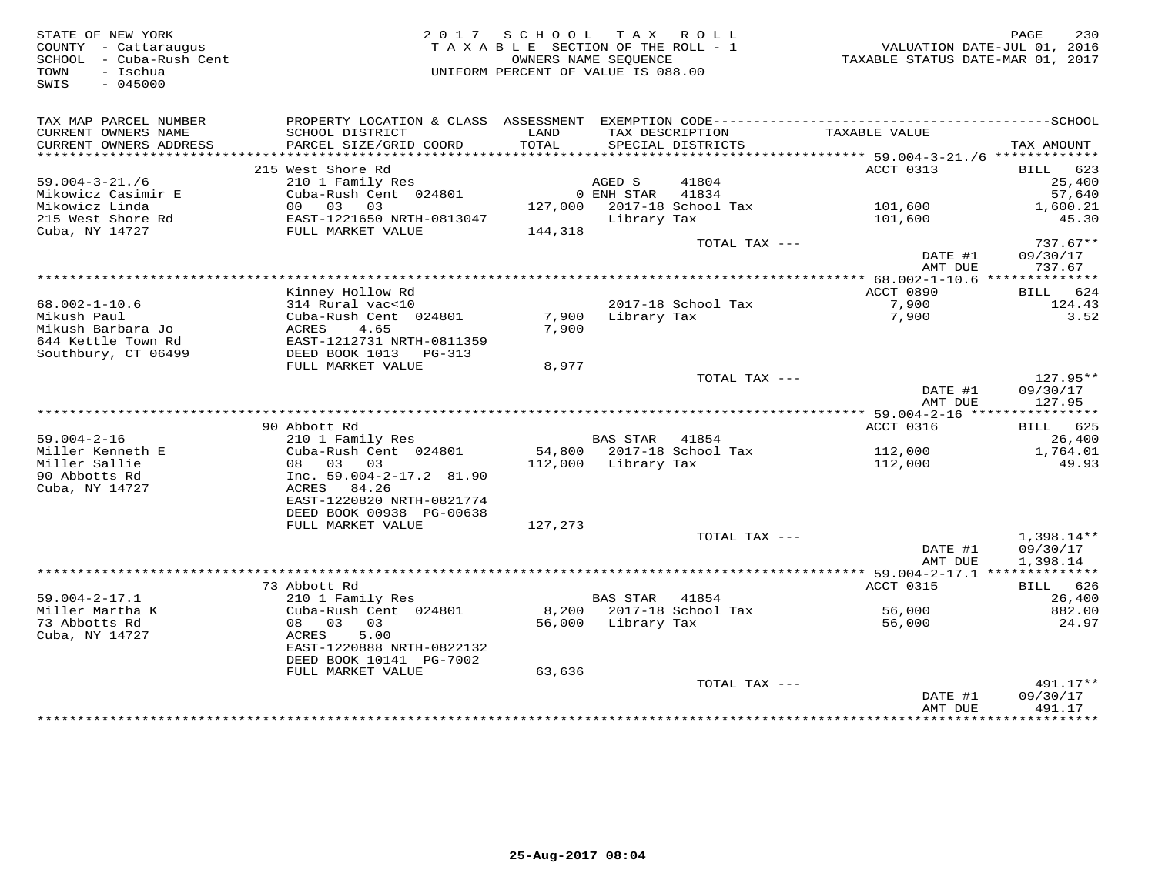| TAX MAP PARCEL NUMBER<br>TAX DESCRIPTION<br>CURRENT OWNERS NAME<br>SCHOOL DISTRICT<br>LAND<br>TAXABLE VALUE<br>TOTAL<br>CURRENT OWNERS ADDRESS<br>PARCEL SIZE/GRID COORD<br>SPECIAL DISTRICTS<br>TAX AMOUNT<br>***********************<br>ACCT 0313<br>215 West Shore Rd<br>BILL 623<br>$59.004 - 3 - 21.76$<br>210 1 Family Res<br>AGED S<br>41804<br>25,400<br>Cuba-Rush Cent 024801<br>Mikowicz Casimir E<br>0 ENH STAR<br>41834<br>57,640<br>Mikowicz Linda<br>127,000 2017-18 School Tax<br>00 03 03<br>101,600<br>1,600.21<br>215 West Shore Rd<br>EAST-1221650 NRTH-0813047<br>Library Tax<br>101,600<br>45.30<br>Cuba, NY 14727<br>FULL MARKET VALUE<br>144,318<br>$737.67**$<br>TOTAL TAX ---<br>DATE #1<br>09/30/17<br>AMT DUE<br>737.67<br>Kinney Hollow Rd<br>ACCT 0890<br>624<br>BILL<br>$68.002 - 1 - 10.6$<br>2017-18 School Tax<br>314 Rural vac<10<br>7,900<br>124.43<br>Library Tax<br>3.52<br>Mikush Paul<br>Cuba-Rush Cent 024801<br>7,900<br>7,900<br>4.65<br>7,900<br>Mikush Barbara Jo<br>ACRES<br>644 Kettle Town Rd<br>EAST-1212731 NRTH-0811359<br>Southbury, CT 06499<br>DEED BOOK 1013 PG-313<br>FULL MARKET VALUE<br>8,977<br>TOTAL TAX ---<br>$127.95**$<br>DATE #1<br>09/30/17<br>AMT DUE<br>127.95<br>90 Abbott Rd<br><b>ACCT 0316</b><br>BILL 625<br>$59.004 - 2 - 16$<br><b>BAS STAR</b><br>26,400<br>210 1 Family Res<br>41854<br>Miller Kenneth E<br>Cuba-Rush Cent 024801<br>54,800 2017-18 School Tax<br>112,000<br>1,764.01<br>Miller Sallie<br>08 03<br>03<br>112,000<br>Library Tax<br>112,000<br>49.93<br>90 Abbotts Rd<br>Inc. $59.004 - 2 - 17.2$ 81.90<br>Cuba, NY 14727<br>ACRES 84.26<br>EAST-1220820 NRTH-0821774<br>DEED BOOK 00938 PG-00638<br>FULL MARKET VALUE<br>127,273<br>TOTAL TAX ---<br>$1,398.14**$<br>DATE #1<br>09/30/17<br>AMT DUE<br>1,398.14<br>ACCT 0315<br>73 Abbott Rd<br>BILL 626<br>$59.004 - 2 - 17.1$<br>210 1 Family Res<br>BAS STAR<br>41854<br>26,400<br>Miller Martha K<br>Cuba-Rush Cent 024801<br>8,200 2017-18 School Tax<br>56,000<br>882.00<br>08 03<br>73 Abbotts Rd<br>03<br>56,000 Library Tax<br>56,000<br>24.97<br>5.00<br>Cuba, NY 14727<br>ACRES<br>EAST-1220888 NRTH-0822132<br>DEED BOOK 10141 PG-7002<br>FULL MARKET VALUE<br>63,636<br>TOTAL TAX ---<br>$491.17**$<br>DATE #1<br>09/30/17<br>AMT DUE<br>491.17<br>***********************************<br>* * * * * * * * * | STATE OF NEW YORK<br>COUNTY - Cattaraugus<br>- Cuba-Rush Cent<br>SCHOOL<br>- Ischua<br>TOWN<br>SWIS<br>$-045000$ | 2017 SCHOOL TAX ROLL<br>TAXABLE SECTION OF THE ROLL - 1<br>UNIFORM PERCENT OF VALUE IS 088.00 | OWNERS NAME SEOUENCE | TAXABLE STATUS DATE-MAR 01, 2017 | 230<br>PAGE<br>VALUATION DATE-JUL 01, 2016 |
|-----------------------------------------------------------------------------------------------------------------------------------------------------------------------------------------------------------------------------------------------------------------------------------------------------------------------------------------------------------------------------------------------------------------------------------------------------------------------------------------------------------------------------------------------------------------------------------------------------------------------------------------------------------------------------------------------------------------------------------------------------------------------------------------------------------------------------------------------------------------------------------------------------------------------------------------------------------------------------------------------------------------------------------------------------------------------------------------------------------------------------------------------------------------------------------------------------------------------------------------------------------------------------------------------------------------------------------------------------------------------------------------------------------------------------------------------------------------------------------------------------------------------------------------------------------------------------------------------------------------------------------------------------------------------------------------------------------------------------------------------------------------------------------------------------------------------------------------------------------------------------------------------------------------------------------------------------------------------------------------------------------------------------------------------------------------------------------------------------------------------------------------------------------------------------------------------------------------------------------------------------------------------------------------------------------------------------------------------------------------------|------------------------------------------------------------------------------------------------------------------|-----------------------------------------------------------------------------------------------|----------------------|----------------------------------|--------------------------------------------|
|                                                                                                                                                                                                                                                                                                                                                                                                                                                                                                                                                                                                                                                                                                                                                                                                                                                                                                                                                                                                                                                                                                                                                                                                                                                                                                                                                                                                                                                                                                                                                                                                                                                                                                                                                                                                                                                                                                                                                                                                                                                                                                                                                                                                                                                                                                                                                                       |                                                                                                                  |                                                                                               |                      |                                  |                                            |
|                                                                                                                                                                                                                                                                                                                                                                                                                                                                                                                                                                                                                                                                                                                                                                                                                                                                                                                                                                                                                                                                                                                                                                                                                                                                                                                                                                                                                                                                                                                                                                                                                                                                                                                                                                                                                                                                                                                                                                                                                                                                                                                                                                                                                                                                                                                                                                       |                                                                                                                  |                                                                                               |                      |                                  |                                            |
|                                                                                                                                                                                                                                                                                                                                                                                                                                                                                                                                                                                                                                                                                                                                                                                                                                                                                                                                                                                                                                                                                                                                                                                                                                                                                                                                                                                                                                                                                                                                                                                                                                                                                                                                                                                                                                                                                                                                                                                                                                                                                                                                                                                                                                                                                                                                                                       |                                                                                                                  |                                                                                               |                      |                                  |                                            |
|                                                                                                                                                                                                                                                                                                                                                                                                                                                                                                                                                                                                                                                                                                                                                                                                                                                                                                                                                                                                                                                                                                                                                                                                                                                                                                                                                                                                                                                                                                                                                                                                                                                                                                                                                                                                                                                                                                                                                                                                                                                                                                                                                                                                                                                                                                                                                                       |                                                                                                                  |                                                                                               |                      |                                  |                                            |
|                                                                                                                                                                                                                                                                                                                                                                                                                                                                                                                                                                                                                                                                                                                                                                                                                                                                                                                                                                                                                                                                                                                                                                                                                                                                                                                                                                                                                                                                                                                                                                                                                                                                                                                                                                                                                                                                                                                                                                                                                                                                                                                                                                                                                                                                                                                                                                       |                                                                                                                  |                                                                                               |                      |                                  |                                            |
|                                                                                                                                                                                                                                                                                                                                                                                                                                                                                                                                                                                                                                                                                                                                                                                                                                                                                                                                                                                                                                                                                                                                                                                                                                                                                                                                                                                                                                                                                                                                                                                                                                                                                                                                                                                                                                                                                                                                                                                                                                                                                                                                                                                                                                                                                                                                                                       |                                                                                                                  |                                                                                               |                      |                                  |                                            |
|                                                                                                                                                                                                                                                                                                                                                                                                                                                                                                                                                                                                                                                                                                                                                                                                                                                                                                                                                                                                                                                                                                                                                                                                                                                                                                                                                                                                                                                                                                                                                                                                                                                                                                                                                                                                                                                                                                                                                                                                                                                                                                                                                                                                                                                                                                                                                                       |                                                                                                                  |                                                                                               |                      |                                  |                                            |
|                                                                                                                                                                                                                                                                                                                                                                                                                                                                                                                                                                                                                                                                                                                                                                                                                                                                                                                                                                                                                                                                                                                                                                                                                                                                                                                                                                                                                                                                                                                                                                                                                                                                                                                                                                                                                                                                                                                                                                                                                                                                                                                                                                                                                                                                                                                                                                       |                                                                                                                  |                                                                                               |                      |                                  |                                            |
|                                                                                                                                                                                                                                                                                                                                                                                                                                                                                                                                                                                                                                                                                                                                                                                                                                                                                                                                                                                                                                                                                                                                                                                                                                                                                                                                                                                                                                                                                                                                                                                                                                                                                                                                                                                                                                                                                                                                                                                                                                                                                                                                                                                                                                                                                                                                                                       |                                                                                                                  |                                                                                               |                      |                                  |                                            |
|                                                                                                                                                                                                                                                                                                                                                                                                                                                                                                                                                                                                                                                                                                                                                                                                                                                                                                                                                                                                                                                                                                                                                                                                                                                                                                                                                                                                                                                                                                                                                                                                                                                                                                                                                                                                                                                                                                                                                                                                                                                                                                                                                                                                                                                                                                                                                                       |                                                                                                                  |                                                                                               |                      |                                  |                                            |
|                                                                                                                                                                                                                                                                                                                                                                                                                                                                                                                                                                                                                                                                                                                                                                                                                                                                                                                                                                                                                                                                                                                                                                                                                                                                                                                                                                                                                                                                                                                                                                                                                                                                                                                                                                                                                                                                                                                                                                                                                                                                                                                                                                                                                                                                                                                                                                       |                                                                                                                  |                                                                                               |                      |                                  |                                            |
|                                                                                                                                                                                                                                                                                                                                                                                                                                                                                                                                                                                                                                                                                                                                                                                                                                                                                                                                                                                                                                                                                                                                                                                                                                                                                                                                                                                                                                                                                                                                                                                                                                                                                                                                                                                                                                                                                                                                                                                                                                                                                                                                                                                                                                                                                                                                                                       |                                                                                                                  |                                                                                               |                      |                                  |                                            |
|                                                                                                                                                                                                                                                                                                                                                                                                                                                                                                                                                                                                                                                                                                                                                                                                                                                                                                                                                                                                                                                                                                                                                                                                                                                                                                                                                                                                                                                                                                                                                                                                                                                                                                                                                                                                                                                                                                                                                                                                                                                                                                                                                                                                                                                                                                                                                                       |                                                                                                                  |                                                                                               |                      |                                  |                                            |
|                                                                                                                                                                                                                                                                                                                                                                                                                                                                                                                                                                                                                                                                                                                                                                                                                                                                                                                                                                                                                                                                                                                                                                                                                                                                                                                                                                                                                                                                                                                                                                                                                                                                                                                                                                                                                                                                                                                                                                                                                                                                                                                                                                                                                                                                                                                                                                       |                                                                                                                  |                                                                                               |                      |                                  |                                            |
|                                                                                                                                                                                                                                                                                                                                                                                                                                                                                                                                                                                                                                                                                                                                                                                                                                                                                                                                                                                                                                                                                                                                                                                                                                                                                                                                                                                                                                                                                                                                                                                                                                                                                                                                                                                                                                                                                                                                                                                                                                                                                                                                                                                                                                                                                                                                                                       |                                                                                                                  |                                                                                               |                      |                                  |                                            |
|                                                                                                                                                                                                                                                                                                                                                                                                                                                                                                                                                                                                                                                                                                                                                                                                                                                                                                                                                                                                                                                                                                                                                                                                                                                                                                                                                                                                                                                                                                                                                                                                                                                                                                                                                                                                                                                                                                                                                                                                                                                                                                                                                                                                                                                                                                                                                                       |                                                                                                                  |                                                                                               |                      |                                  |                                            |
|                                                                                                                                                                                                                                                                                                                                                                                                                                                                                                                                                                                                                                                                                                                                                                                                                                                                                                                                                                                                                                                                                                                                                                                                                                                                                                                                                                                                                                                                                                                                                                                                                                                                                                                                                                                                                                                                                                                                                                                                                                                                                                                                                                                                                                                                                                                                                                       |                                                                                                                  |                                                                                               |                      |                                  |                                            |
|                                                                                                                                                                                                                                                                                                                                                                                                                                                                                                                                                                                                                                                                                                                                                                                                                                                                                                                                                                                                                                                                                                                                                                                                                                                                                                                                                                                                                                                                                                                                                                                                                                                                                                                                                                                                                                                                                                                                                                                                                                                                                                                                                                                                                                                                                                                                                                       |                                                                                                                  |                                                                                               |                      |                                  |                                            |
|                                                                                                                                                                                                                                                                                                                                                                                                                                                                                                                                                                                                                                                                                                                                                                                                                                                                                                                                                                                                                                                                                                                                                                                                                                                                                                                                                                                                                                                                                                                                                                                                                                                                                                                                                                                                                                                                                                                                                                                                                                                                                                                                                                                                                                                                                                                                                                       |                                                                                                                  |                                                                                               |                      |                                  |                                            |
|                                                                                                                                                                                                                                                                                                                                                                                                                                                                                                                                                                                                                                                                                                                                                                                                                                                                                                                                                                                                                                                                                                                                                                                                                                                                                                                                                                                                                                                                                                                                                                                                                                                                                                                                                                                                                                                                                                                                                                                                                                                                                                                                                                                                                                                                                                                                                                       |                                                                                                                  |                                                                                               |                      |                                  |                                            |
|                                                                                                                                                                                                                                                                                                                                                                                                                                                                                                                                                                                                                                                                                                                                                                                                                                                                                                                                                                                                                                                                                                                                                                                                                                                                                                                                                                                                                                                                                                                                                                                                                                                                                                                                                                                                                                                                                                                                                                                                                                                                                                                                                                                                                                                                                                                                                                       |                                                                                                                  |                                                                                               |                      |                                  |                                            |
|                                                                                                                                                                                                                                                                                                                                                                                                                                                                                                                                                                                                                                                                                                                                                                                                                                                                                                                                                                                                                                                                                                                                                                                                                                                                                                                                                                                                                                                                                                                                                                                                                                                                                                                                                                                                                                                                                                                                                                                                                                                                                                                                                                                                                                                                                                                                                                       |                                                                                                                  |                                                                                               |                      |                                  |                                            |
|                                                                                                                                                                                                                                                                                                                                                                                                                                                                                                                                                                                                                                                                                                                                                                                                                                                                                                                                                                                                                                                                                                                                                                                                                                                                                                                                                                                                                                                                                                                                                                                                                                                                                                                                                                                                                                                                                                                                                                                                                                                                                                                                                                                                                                                                                                                                                                       |                                                                                                                  |                                                                                               |                      |                                  |                                            |
|                                                                                                                                                                                                                                                                                                                                                                                                                                                                                                                                                                                                                                                                                                                                                                                                                                                                                                                                                                                                                                                                                                                                                                                                                                                                                                                                                                                                                                                                                                                                                                                                                                                                                                                                                                                                                                                                                                                                                                                                                                                                                                                                                                                                                                                                                                                                                                       |                                                                                                                  |                                                                                               |                      |                                  |                                            |
|                                                                                                                                                                                                                                                                                                                                                                                                                                                                                                                                                                                                                                                                                                                                                                                                                                                                                                                                                                                                                                                                                                                                                                                                                                                                                                                                                                                                                                                                                                                                                                                                                                                                                                                                                                                                                                                                                                                                                                                                                                                                                                                                                                                                                                                                                                                                                                       |                                                                                                                  |                                                                                               |                      |                                  |                                            |
|                                                                                                                                                                                                                                                                                                                                                                                                                                                                                                                                                                                                                                                                                                                                                                                                                                                                                                                                                                                                                                                                                                                                                                                                                                                                                                                                                                                                                                                                                                                                                                                                                                                                                                                                                                                                                                                                                                                                                                                                                                                                                                                                                                                                                                                                                                                                                                       |                                                                                                                  |                                                                                               |                      |                                  |                                            |
|                                                                                                                                                                                                                                                                                                                                                                                                                                                                                                                                                                                                                                                                                                                                                                                                                                                                                                                                                                                                                                                                                                                                                                                                                                                                                                                                                                                                                                                                                                                                                                                                                                                                                                                                                                                                                                                                                                                                                                                                                                                                                                                                                                                                                                                                                                                                                                       |                                                                                                                  |                                                                                               |                      |                                  |                                            |
|                                                                                                                                                                                                                                                                                                                                                                                                                                                                                                                                                                                                                                                                                                                                                                                                                                                                                                                                                                                                                                                                                                                                                                                                                                                                                                                                                                                                                                                                                                                                                                                                                                                                                                                                                                                                                                                                                                                                                                                                                                                                                                                                                                                                                                                                                                                                                                       |                                                                                                                  |                                                                                               |                      |                                  |                                            |
|                                                                                                                                                                                                                                                                                                                                                                                                                                                                                                                                                                                                                                                                                                                                                                                                                                                                                                                                                                                                                                                                                                                                                                                                                                                                                                                                                                                                                                                                                                                                                                                                                                                                                                                                                                                                                                                                                                                                                                                                                                                                                                                                                                                                                                                                                                                                                                       |                                                                                                                  |                                                                                               |                      |                                  |                                            |
|                                                                                                                                                                                                                                                                                                                                                                                                                                                                                                                                                                                                                                                                                                                                                                                                                                                                                                                                                                                                                                                                                                                                                                                                                                                                                                                                                                                                                                                                                                                                                                                                                                                                                                                                                                                                                                                                                                                                                                                                                                                                                                                                                                                                                                                                                                                                                                       |                                                                                                                  |                                                                                               |                      |                                  |                                            |
|                                                                                                                                                                                                                                                                                                                                                                                                                                                                                                                                                                                                                                                                                                                                                                                                                                                                                                                                                                                                                                                                                                                                                                                                                                                                                                                                                                                                                                                                                                                                                                                                                                                                                                                                                                                                                                                                                                                                                                                                                                                                                                                                                                                                                                                                                                                                                                       |                                                                                                                  |                                                                                               |                      |                                  |                                            |
|                                                                                                                                                                                                                                                                                                                                                                                                                                                                                                                                                                                                                                                                                                                                                                                                                                                                                                                                                                                                                                                                                                                                                                                                                                                                                                                                                                                                                                                                                                                                                                                                                                                                                                                                                                                                                                                                                                                                                                                                                                                                                                                                                                                                                                                                                                                                                                       |                                                                                                                  |                                                                                               |                      |                                  |                                            |
|                                                                                                                                                                                                                                                                                                                                                                                                                                                                                                                                                                                                                                                                                                                                                                                                                                                                                                                                                                                                                                                                                                                                                                                                                                                                                                                                                                                                                                                                                                                                                                                                                                                                                                                                                                                                                                                                                                                                                                                                                                                                                                                                                                                                                                                                                                                                                                       |                                                                                                                  |                                                                                               |                      |                                  |                                            |
|                                                                                                                                                                                                                                                                                                                                                                                                                                                                                                                                                                                                                                                                                                                                                                                                                                                                                                                                                                                                                                                                                                                                                                                                                                                                                                                                                                                                                                                                                                                                                                                                                                                                                                                                                                                                                                                                                                                                                                                                                                                                                                                                                                                                                                                                                                                                                                       |                                                                                                                  |                                                                                               |                      |                                  |                                            |
|                                                                                                                                                                                                                                                                                                                                                                                                                                                                                                                                                                                                                                                                                                                                                                                                                                                                                                                                                                                                                                                                                                                                                                                                                                                                                                                                                                                                                                                                                                                                                                                                                                                                                                                                                                                                                                                                                                                                                                                                                                                                                                                                                                                                                                                                                                                                                                       |                                                                                                                  |                                                                                               |                      |                                  |                                            |
|                                                                                                                                                                                                                                                                                                                                                                                                                                                                                                                                                                                                                                                                                                                                                                                                                                                                                                                                                                                                                                                                                                                                                                                                                                                                                                                                                                                                                                                                                                                                                                                                                                                                                                                                                                                                                                                                                                                                                                                                                                                                                                                                                                                                                                                                                                                                                                       |                                                                                                                  |                                                                                               |                      |                                  |                                            |
|                                                                                                                                                                                                                                                                                                                                                                                                                                                                                                                                                                                                                                                                                                                                                                                                                                                                                                                                                                                                                                                                                                                                                                                                                                                                                                                                                                                                                                                                                                                                                                                                                                                                                                                                                                                                                                                                                                                                                                                                                                                                                                                                                                                                                                                                                                                                                                       |                                                                                                                  |                                                                                               |                      |                                  |                                            |
|                                                                                                                                                                                                                                                                                                                                                                                                                                                                                                                                                                                                                                                                                                                                                                                                                                                                                                                                                                                                                                                                                                                                                                                                                                                                                                                                                                                                                                                                                                                                                                                                                                                                                                                                                                                                                                                                                                                                                                                                                                                                                                                                                                                                                                                                                                                                                                       |                                                                                                                  |                                                                                               |                      |                                  |                                            |
|                                                                                                                                                                                                                                                                                                                                                                                                                                                                                                                                                                                                                                                                                                                                                                                                                                                                                                                                                                                                                                                                                                                                                                                                                                                                                                                                                                                                                                                                                                                                                                                                                                                                                                                                                                                                                                                                                                                                                                                                                                                                                                                                                                                                                                                                                                                                                                       |                                                                                                                  |                                                                                               |                      |                                  |                                            |
|                                                                                                                                                                                                                                                                                                                                                                                                                                                                                                                                                                                                                                                                                                                                                                                                                                                                                                                                                                                                                                                                                                                                                                                                                                                                                                                                                                                                                                                                                                                                                                                                                                                                                                                                                                                                                                                                                                                                                                                                                                                                                                                                                                                                                                                                                                                                                                       |                                                                                                                  |                                                                                               |                      |                                  |                                            |
|                                                                                                                                                                                                                                                                                                                                                                                                                                                                                                                                                                                                                                                                                                                                                                                                                                                                                                                                                                                                                                                                                                                                                                                                                                                                                                                                                                                                                                                                                                                                                                                                                                                                                                                                                                                                                                                                                                                                                                                                                                                                                                                                                                                                                                                                                                                                                                       |                                                                                                                  |                                                                                               |                      |                                  |                                            |
|                                                                                                                                                                                                                                                                                                                                                                                                                                                                                                                                                                                                                                                                                                                                                                                                                                                                                                                                                                                                                                                                                                                                                                                                                                                                                                                                                                                                                                                                                                                                                                                                                                                                                                                                                                                                                                                                                                                                                                                                                                                                                                                                                                                                                                                                                                                                                                       |                                                                                                                  |                                                                                               |                      |                                  |                                            |
|                                                                                                                                                                                                                                                                                                                                                                                                                                                                                                                                                                                                                                                                                                                                                                                                                                                                                                                                                                                                                                                                                                                                                                                                                                                                                                                                                                                                                                                                                                                                                                                                                                                                                                                                                                                                                                                                                                                                                                                                                                                                                                                                                                                                                                                                                                                                                                       |                                                                                                                  |                                                                                               |                      |                                  |                                            |
|                                                                                                                                                                                                                                                                                                                                                                                                                                                                                                                                                                                                                                                                                                                                                                                                                                                                                                                                                                                                                                                                                                                                                                                                                                                                                                                                                                                                                                                                                                                                                                                                                                                                                                                                                                                                                                                                                                                                                                                                                                                                                                                                                                                                                                                                                                                                                                       |                                                                                                                  |                                                                                               |                      |                                  |                                            |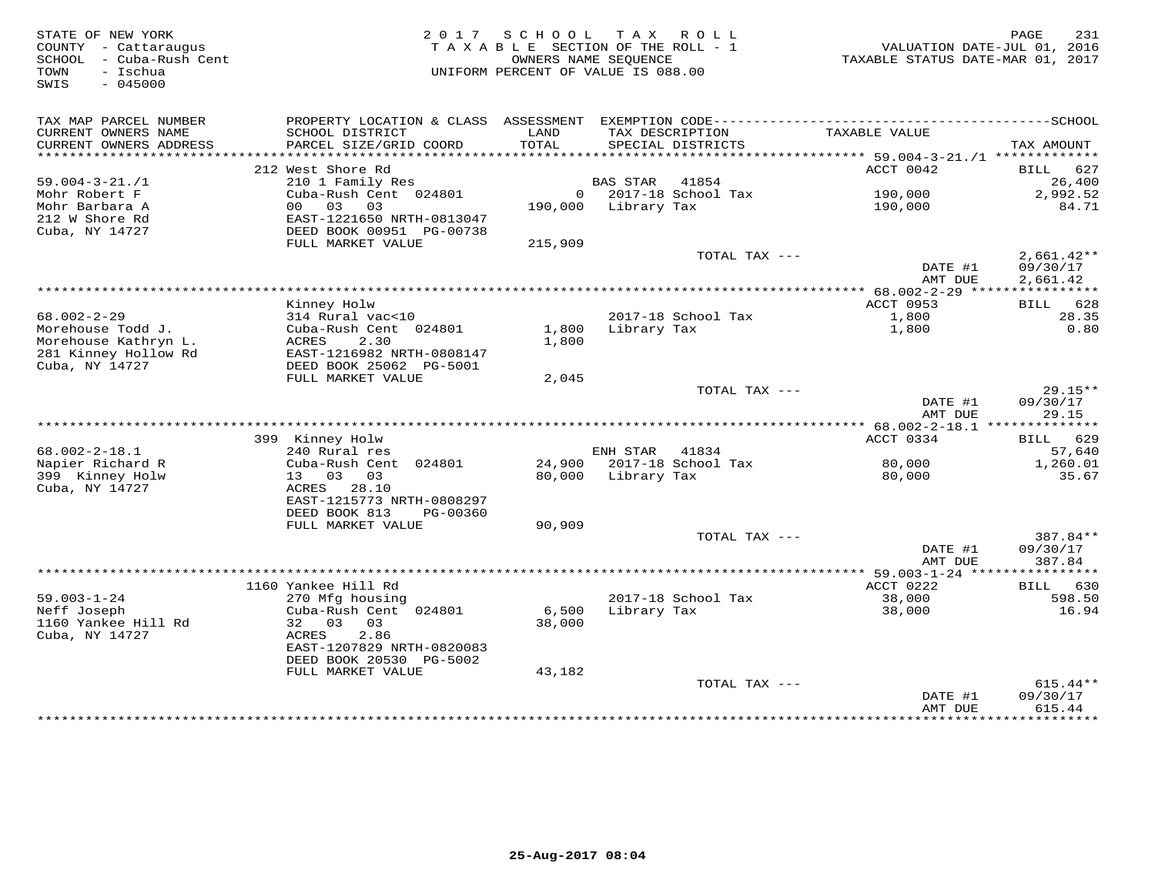| STATE OF NEW YORK<br>COUNTY - Cattaraugus<br>SCHOOL - Cuba-Rush Cent<br>- Ischua<br>TOWN<br>SWIS<br>$-045000$ | 2017                                                                                                                                                         | S C H O O L<br>TAXABLE SECTION OF THE ROLL - 1<br>OWNERS NAME SEQUENCE<br>UNIFORM PERCENT OF VALUE IS 088.00 | TAX ROLL           |                                 | VALUATION DATE-JUL 01, 2016<br>TAXABLE STATUS DATE-MAR 01, 2017 | 231<br>PAGE                    |
|---------------------------------------------------------------------------------------------------------------|--------------------------------------------------------------------------------------------------------------------------------------------------------------|--------------------------------------------------------------------------------------------------------------|--------------------|---------------------------------|-----------------------------------------------------------------|--------------------------------|
| TAX MAP PARCEL NUMBER<br>CURRENT OWNERS NAME<br>CURRENT OWNERS ADDRESS                                        | SCHOOL DISTRICT<br>PARCEL SIZE/GRID COORD                                                                                                                    | LAND<br>TOTAL                                                                                                | TAX DESCRIPTION    | SPECIAL DISTRICTS               | TAXABLE VALUE                                                   | TAX AMOUNT                     |
| *******************                                                                                           |                                                                                                                                                              |                                                                                                              |                    |                                 |                                                                 |                                |
|                                                                                                               | 212 West Shore Rd                                                                                                                                            |                                                                                                              |                    |                                 | ACCT 0042                                                       | 627<br>BILL                    |
| $59.004 - 3 - 21. / 1$<br>Mohr Robert F                                                                       | 210 1 Family Res<br>Cuba-Rush Cent 024801                                                                                                                    |                                                                                                              | <b>BAS STAR</b>    | 41854<br>$0$ 2017-18 School Tax | 190,000                                                         | 26,400<br>2,992.52             |
| Mohr Barbara A<br>212 W Shore Rd<br>Cuba, NY 14727                                                            | 03<br>03<br>00 <sup>1</sup><br>EAST-1221650 NRTH-0813047<br>DEED BOOK 00951 PG-00738                                                                         | 190,000                                                                                                      | Library Tax        |                                 | 190,000                                                         | 84.71                          |
|                                                                                                               | FULL MARKET VALUE                                                                                                                                            | 215,909                                                                                                      |                    | TOTAL TAX ---                   |                                                                 | $2,661.42**$                   |
|                                                                                                               |                                                                                                                                                              |                                                                                                              |                    |                                 | DATE #1<br>AMT DUE                                              | 09/30/17<br>2,661.42           |
|                                                                                                               |                                                                                                                                                              |                                                                                                              |                    |                                 |                                                                 |                                |
|                                                                                                               | Kinney Holw                                                                                                                                                  |                                                                                                              |                    |                                 | ACCT 0953                                                       | BILL 628                       |
| $68.002 - 2 - 29$<br>Morehouse Todd J.<br>Morehouse Kathryn L.<br>281 Kinney Hollow Rd<br>Cuba, NY 14727      | 314 Rural vac<10<br>Cuba-Rush Cent 024801<br>2.30<br>ACRES<br>EAST-1216982 NRTH-0808147<br>DEED BOOK 25062 PG-5001                                           | 1,800<br>1,800                                                                                               | Library Tax        | 2017-18 School Tax              | 1,800<br>1,800                                                  | 28.35<br>0.80                  |
|                                                                                                               | FULL MARKET VALUE                                                                                                                                            | 2,045                                                                                                        |                    |                                 |                                                                 |                                |
|                                                                                                               |                                                                                                                                                              |                                                                                                              |                    | TOTAL TAX ---                   | DATE #1<br>AMT DUE                                              | $29.15**$<br>09/30/17<br>29.15 |
|                                                                                                               |                                                                                                                                                              |                                                                                                              |                    |                                 |                                                                 |                                |
|                                                                                                               | 399 Kinney Holw                                                                                                                                              |                                                                                                              |                    |                                 | ACCT 0334                                                       | BILL 629                       |
| $68.002 - 2 - 18.1$                                                                                           | 240 Rural res                                                                                                                                                |                                                                                                              | ENH STAR           | 41834                           |                                                                 | 57,640                         |
| Napier Richard R<br>399 Kinney Holw<br>Cuba, NY 14727                                                         | Cuba-Rush Cent 024801<br>13 03 03<br>ACRES<br>28.10<br>EAST-1215773 NRTH-0808297                                                                             |                                                                                                              | 80,000 Library Tax | 24,900 2017-18 School Tax       | 80,000<br>80,000                                                | 1,260.01<br>35.67              |
|                                                                                                               | DEED BOOK 813<br>PG-00360                                                                                                                                    |                                                                                                              |                    |                                 |                                                                 |                                |
|                                                                                                               | FULL MARKET VALUE                                                                                                                                            | 90,909                                                                                                       |                    | TOTAL TAX ---                   |                                                                 | 387.84**                       |
|                                                                                                               |                                                                                                                                                              |                                                                                                              |                    |                                 | DATE #1<br>AMT DUE                                              | 09/30/17<br>387.84             |
|                                                                                                               |                                                                                                                                                              |                                                                                                              |                    |                                 |                                                                 |                                |
|                                                                                                               | 1160 Yankee Hill Rd                                                                                                                                          |                                                                                                              |                    |                                 | ACCT 0222                                                       | BILL 630                       |
| $59.003 - 1 - 24$<br>Neff Joseph<br>1160 Yankee Hill Rd<br>Cuba, NY 14727                                     | 270 Mfg housing<br>Cuba-Rush Cent 024801<br>32 03<br>03<br>2.86<br><b>ACRES</b><br>EAST-1207829 NRTH-0820083<br>DEED BOOK 20530 PG-5002<br>FULL MARKET VALUE | 6,500<br>38,000<br>43,182                                                                                    | Library Tax        | 2017-18 School Tax              | 38,000<br>38,000                                                | 598.50<br>16.94                |
|                                                                                                               |                                                                                                                                                              |                                                                                                              |                    | TOTAL TAX ---                   |                                                                 | $615.44**$                     |
|                                                                                                               |                                                                                                                                                              |                                                                                                              |                    |                                 | DATE #1<br>AMT DUE                                              | 09/30/17<br>615.44             |
|                                                                                                               |                                                                                                                                                              |                                                                                                              |                    |                                 |                                                                 | <b>+++++++++</b>               |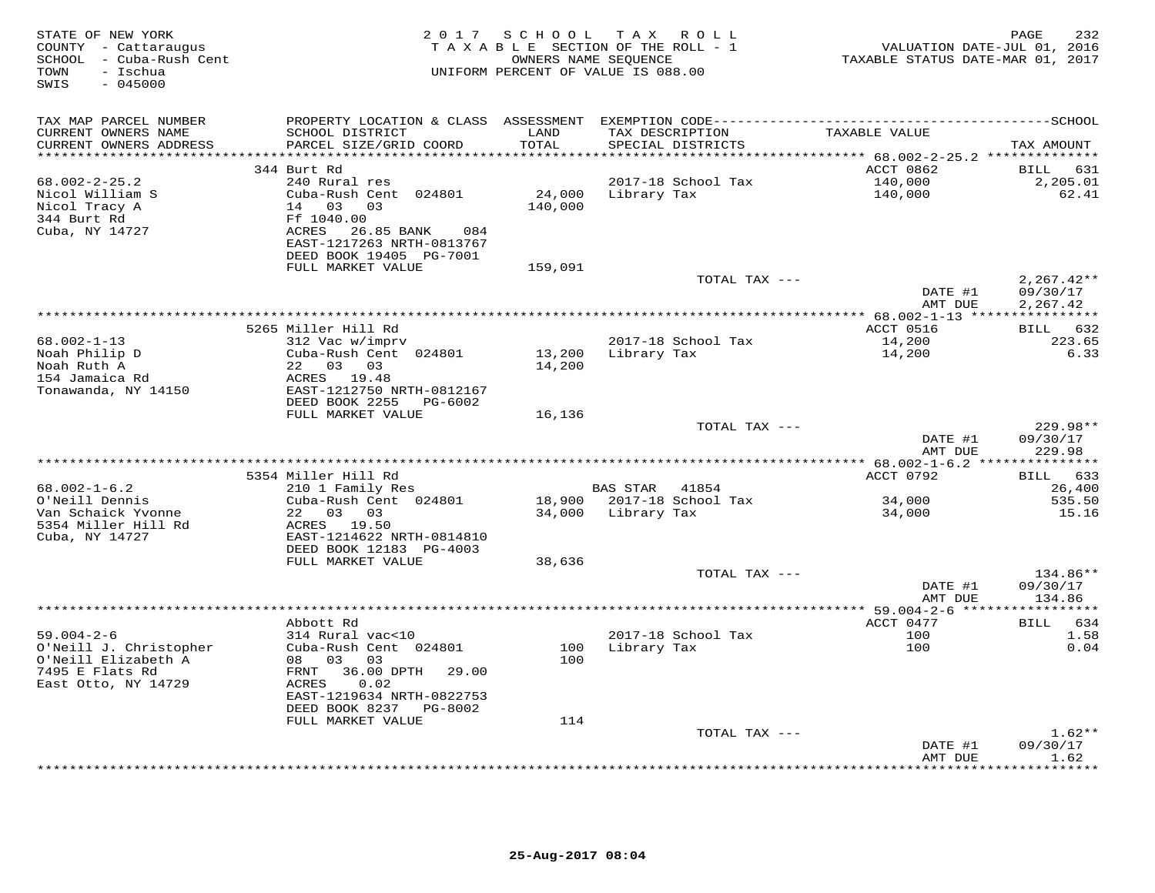| STATE OF NEW YORK<br>COUNTY - Cattaraugus<br>SCHOOL - Cuba-Rush Cent<br>- Ischua<br>TOWN<br>$-045000$<br>SWIS | 2 0 1 7                                      | SCHOOL        | TAX ROLL<br>TAXABLE SECTION OF THE ROLL - 1<br>OWNERS NAME SEQUENCE<br>UNIFORM PERCENT OF VALUE IS 088.00 | VALUATION DATE-JUL 01, 2016<br>TAXABLE STATUS DATE-MAR 01, 2017 | PAGE<br>232             |
|---------------------------------------------------------------------------------------------------------------|----------------------------------------------|---------------|-----------------------------------------------------------------------------------------------------------|-----------------------------------------------------------------|-------------------------|
| TAX MAP PARCEL NUMBER                                                                                         |                                              |               |                                                                                                           |                                                                 |                         |
| CURRENT OWNERS NAME<br>CURRENT OWNERS ADDRESS                                                                 | SCHOOL DISTRICT<br>PARCEL SIZE/GRID COORD    | LAND<br>TOTAL | TAX DESCRIPTION<br>SPECIAL DISTRICTS                                                                      | TAXABLE VALUE                                                   | TAX AMOUNT              |
| ***********************                                                                                       |                                              |               |                                                                                                           |                                                                 |                         |
| $68.002 - 2 - 25.2$                                                                                           | 344 Burt Rd<br>240 Rural res                 |               | 2017-18 School Tax                                                                                        | ACCT 0862<br>140,000                                            | 631<br>BILL<br>2,205.01 |
| Nicol William S                                                                                               | Cuba-Rush Cent 024801                        | 24,000        | Library Tax                                                                                               | 140,000                                                         | 62.41                   |
| Nicol Tracy A                                                                                                 | 14 03 03                                     | 140,000       |                                                                                                           |                                                                 |                         |
| 344 Burt Rd                                                                                                   | Ff 1040.00                                   |               |                                                                                                           |                                                                 |                         |
| Cuba, NY 14727                                                                                                | ACRES 26.85 BANK<br>084                      |               |                                                                                                           |                                                                 |                         |
|                                                                                                               | EAST-1217263 NRTH-0813767                    |               |                                                                                                           |                                                                 |                         |
|                                                                                                               | DEED BOOK 19405 PG-7001<br>FULL MARKET VALUE |               |                                                                                                           |                                                                 |                         |
|                                                                                                               |                                              | 159,091       | TOTAL TAX ---                                                                                             |                                                                 | $2,267.42**$            |
|                                                                                                               |                                              |               |                                                                                                           | DATE #1                                                         | 09/30/17                |
|                                                                                                               |                                              |               |                                                                                                           | AMT DUE                                                         | 2,267.42                |
|                                                                                                               |                                              |               |                                                                                                           |                                                                 |                         |
|                                                                                                               | 5265 Miller Hill Rd                          |               |                                                                                                           | ACCT 0516                                                       | BILL<br>632             |
| $68.002 - 1 - 13$<br>Noah Philip D                                                                            | 312 Vac w/imprv<br>Cuba-Rush Cent 024801     | 13,200        | 2017-18 School Tax<br>Library Tax                                                                         | 14,200<br>14,200                                                | 223.65<br>6.33          |
| Noah Ruth A                                                                                                   | 22 03 03                                     | 14,200        |                                                                                                           |                                                                 |                         |
| 154 Jamaica Rd                                                                                                | ACRES 19.48                                  |               |                                                                                                           |                                                                 |                         |
| Tonawanda, NY 14150                                                                                           | EAST-1212750 NRTH-0812167                    |               |                                                                                                           |                                                                 |                         |
|                                                                                                               | DEED BOOK 2255 PG-6002                       |               |                                                                                                           |                                                                 |                         |
|                                                                                                               | FULL MARKET VALUE                            | 16,136        |                                                                                                           |                                                                 |                         |
|                                                                                                               |                                              |               | TOTAL TAX ---                                                                                             | DATE #1                                                         | $229.98**$<br>09/30/17  |
|                                                                                                               |                                              |               |                                                                                                           | AMT DUE                                                         | 229.98                  |
|                                                                                                               |                                              |               |                                                                                                           |                                                                 |                         |
|                                                                                                               | 5354 Miller Hill Rd                          |               |                                                                                                           | ACCT 0792                                                       | BILL 633                |
| $68.002 - 1 - 6.2$                                                                                            | 210 1 Family Res                             |               | BAS STAR 41854                                                                                            |                                                                 | 26,400                  |
| O'Neill Dennis                                                                                                | Cuba-Rush Cent 024801                        |               | 18,900 2017-18 School Tax                                                                                 | 34,000                                                          | 535.50                  |
| Van Schaick Yvonne<br>5354 Miller Hill Rd                                                                     | 22 03 03<br>ACRES 19.50                      |               | 34,000 Library Tax                                                                                        | 34,000                                                          | 15.16                   |
| Cuba, NY 14727                                                                                                | EAST-1214622 NRTH-0814810                    |               |                                                                                                           |                                                                 |                         |
|                                                                                                               | DEED BOOK 12183 PG-4003                      |               |                                                                                                           |                                                                 |                         |
|                                                                                                               | FULL MARKET VALUE                            | 38,636        |                                                                                                           |                                                                 |                         |
|                                                                                                               |                                              |               | TOTAL TAX ---                                                                                             |                                                                 | 134.86**                |
|                                                                                                               |                                              |               |                                                                                                           | DATE #1                                                         | 09/30/17                |
|                                                                                                               |                                              |               |                                                                                                           | AMT DUE                                                         | 134.86                  |
|                                                                                                               | Abbott Rd                                    |               |                                                                                                           | ACCT 0477                                                       | 634<br><b>BILL</b>      |
| $59.004 - 2 - 6$                                                                                              | 314 Rural vac<10                             |               | 2017-18 School Tax                                                                                        | 100                                                             | 1.58                    |
| O'Neill J. Christopher                                                                                        | Cuba-Rush Cent 024801                        |               | 100 Library Tax                                                                                           | 100                                                             | 0.04                    |
| O'Neill Elizabeth A                                                                                           | 08 03<br>03                                  | 100           |                                                                                                           |                                                                 |                         |
| 7495 E Flats Rd                                                                                               | FRNT 36.00 DPTH<br>29.00                     |               |                                                                                                           |                                                                 |                         |
| East Otto, NY 14729                                                                                           | 0.02<br>ACRES<br>EAST-1219634 NRTH-0822753   |               |                                                                                                           |                                                                 |                         |
|                                                                                                               | DEED BOOK 8237 PG-8002                       |               |                                                                                                           |                                                                 |                         |
|                                                                                                               | FULL MARKET VALUE                            | 114           |                                                                                                           |                                                                 |                         |
|                                                                                                               |                                              |               | TOTAL TAX ---                                                                                             |                                                                 | $1.62**$                |
|                                                                                                               |                                              |               |                                                                                                           | DATE #1                                                         | 09/30/17                |
|                                                                                                               |                                              |               |                                                                                                           | AMT DUE<br>* * * * * * * * * * * *                              | 1.62<br>*******         |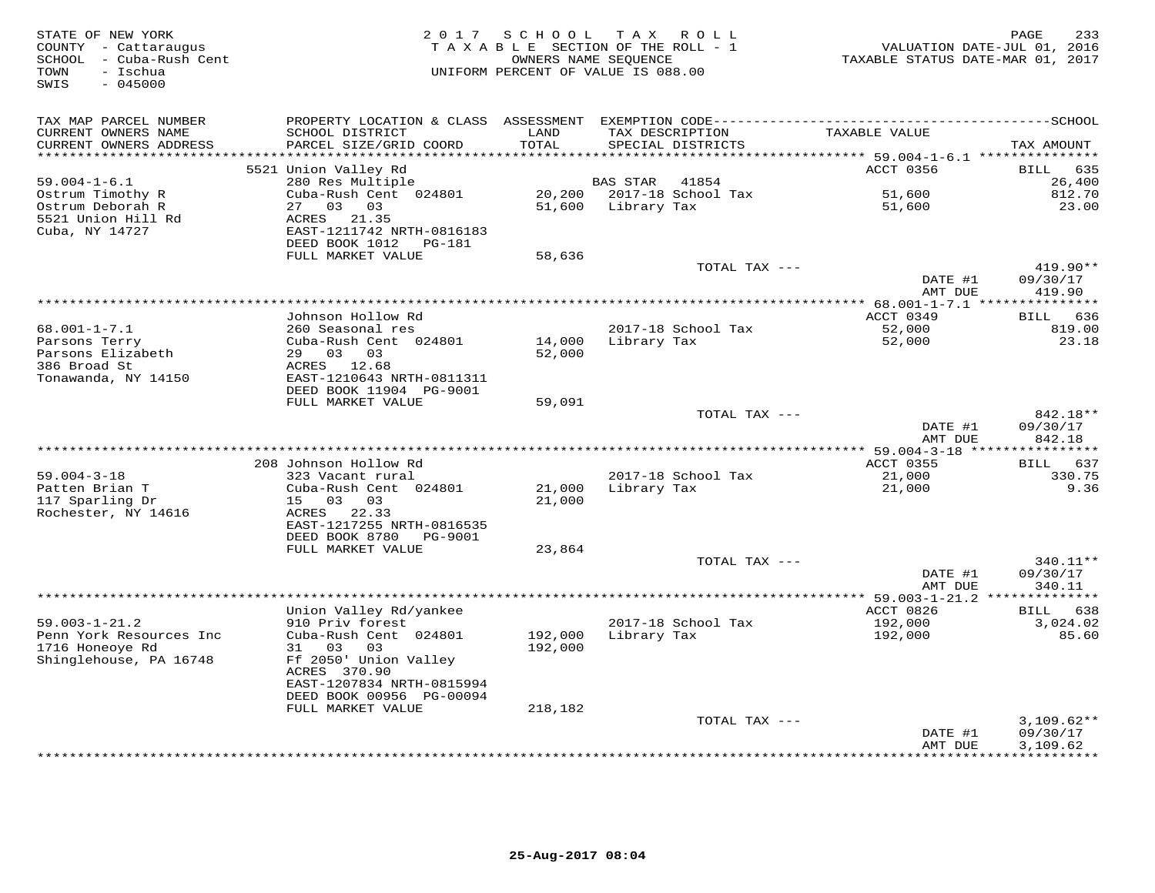| STATE OF NEW YORK<br>COUNTY - Cattaraugus<br>SCHOOL - Cuba-Rush Cent<br>- Ischua<br>TOWN<br>$-045000$<br>SWIS | 2017                                                  | SCHOOL<br>OWNERS NAME SEOUENCE | TAX ROLL<br>TAXABLE SECTION OF THE ROLL - 1<br>UNIFORM PERCENT OF VALUE IS 088.00 | VALUATION DATE-JUL 01, 2016<br>TAXABLE STATUS DATE-MAR 01, 2017 | 233<br>PAGE                     |
|---------------------------------------------------------------------------------------------------------------|-------------------------------------------------------|--------------------------------|-----------------------------------------------------------------------------------|-----------------------------------------------------------------|---------------------------------|
| TAX MAP PARCEL NUMBER<br>CURRENT OWNERS NAME                                                                  | SCHOOL DISTRICT                                       | LAND                           | TAX DESCRIPTION                                                                   | TAXABLE VALUE                                                   |                                 |
| CURRENT OWNERS ADDRESS                                                                                        | PARCEL SIZE/GRID COORD                                | TOTAL                          | SPECIAL DISTRICTS                                                                 |                                                                 | TAX AMOUNT                      |
| **********************                                                                                        | 5521 Union Valley Rd                                  |                                |                                                                                   | ACCT 0356                                                       | 635<br><b>BILL</b>              |
| $59.004 - 1 - 6.1$                                                                                            | 280 Res Multiple                                      |                                | <b>BAS STAR</b><br>41854                                                          |                                                                 | 26,400                          |
| Ostrum Timothy R                                                                                              | Cuba-Rush Cent 024801                                 |                                | 20,200 2017-18 School Tax                                                         | 51,600                                                          | 812.70                          |
| Ostrum Deborah R                                                                                              | 27 03<br>03                                           | 51,600                         | Library Tax                                                                       | 51,600                                                          | 23.00                           |
| 5521 Union Hill Rd                                                                                            | ACRES 21.35<br>EAST-1211742 NRTH-0816183              |                                |                                                                                   |                                                                 |                                 |
| Cuba, NY 14727                                                                                                | DEED BOOK 1012    PG-181                              |                                |                                                                                   |                                                                 |                                 |
|                                                                                                               | FULL MARKET VALUE                                     | 58,636                         |                                                                                   |                                                                 |                                 |
|                                                                                                               |                                                       |                                | TOTAL TAX ---                                                                     |                                                                 | 419.90**                        |
|                                                                                                               |                                                       |                                |                                                                                   | DATE #1                                                         | 09/30/17                        |
|                                                                                                               |                                                       |                                | ***************                                                                   | AMT DUE<br>* $68.001 - 1 - 7.1$ ***                             | 419.90<br>************          |
|                                                                                                               | Johnson Hollow Rd                                     |                                |                                                                                   | ACCT 0349                                                       | 636<br>BILL                     |
| $68.001 - 1 - 7.1$                                                                                            | 260 Seasonal res                                      |                                | 2017-18 School Tax                                                                | 52,000                                                          | 819.00                          |
| Parsons Terry                                                                                                 | Cuba-Rush Cent 024801                                 | 14,000                         | Library Tax                                                                       | 52,000                                                          | 23.18                           |
| Parsons Elizabeth<br>386 Broad St                                                                             | 29 03 03<br>ACRES 12.68                               | 52,000                         |                                                                                   |                                                                 |                                 |
| Tonawanda, NY 14150                                                                                           | EAST-1210643 NRTH-0811311                             |                                |                                                                                   |                                                                 |                                 |
|                                                                                                               | DEED BOOK 11904 PG-9001                               |                                |                                                                                   |                                                                 |                                 |
|                                                                                                               | FULL MARKET VALUE                                     | 59,091                         |                                                                                   |                                                                 |                                 |
|                                                                                                               |                                                       |                                | TOTAL TAX ---                                                                     | DATE #1                                                         | 842.18**                        |
|                                                                                                               |                                                       |                                |                                                                                   | AMT DUE                                                         | 09/30/17<br>842.18              |
|                                                                                                               |                                                       |                                |                                                                                   |                                                                 |                                 |
|                                                                                                               | 208 Johnson Hollow Rd                                 |                                |                                                                                   | <b>ACCT 0355</b>                                                | BILL<br>637                     |
| $59.004 - 3 - 18$                                                                                             | 323 Vacant rural                                      |                                | 2017-18 School Tax                                                                | 21,000                                                          | 330.75                          |
| Patten Brian T<br>117 Sparling Dr                                                                             | Cuba-Rush Cent 024801<br>0.3<br>03<br>15              | 21,000<br>21,000               | Library Tax                                                                       | 21,000                                                          | 9.36                            |
| Rochester, NY 14616                                                                                           | 22.33<br>ACRES                                        |                                |                                                                                   |                                                                 |                                 |
|                                                                                                               | EAST-1217255 NRTH-0816535                             |                                |                                                                                   |                                                                 |                                 |
|                                                                                                               | DEED BOOK 8780<br>PG-9001                             |                                |                                                                                   |                                                                 |                                 |
|                                                                                                               | FULL MARKET VALUE                                     | 23,864                         | TOTAL TAX ---                                                                     |                                                                 | 340.11**                        |
|                                                                                                               |                                                       |                                |                                                                                   | DATE #1                                                         | 09/30/17                        |
|                                                                                                               |                                                       |                                |                                                                                   | AMT DUE                                                         | 340.11                          |
|                                                                                                               |                                                       |                                | *************************************                                             | $***$ 59.003-1-21.2 **************                              |                                 |
| $59.003 - 1 - 21.2$                                                                                           | Union Valley Rd/yankee<br>910 Priv forest             |                                | 2017-18 School Tax                                                                | ACCT 0826                                                       | 638<br><b>BILL</b><br>3,024.02  |
| Penn York Resources Inc                                                                                       | Cuba-Rush Cent 024801                                 | 192,000                        | Library Tax                                                                       | 192,000<br>192,000                                              | 85.60                           |
| 1716 Honeoye Rd                                                                                               | 31 03<br>03                                           | 192,000                        |                                                                                   |                                                                 |                                 |
| Shinglehouse, PA 16748                                                                                        | Ff 2050' Union Valley                                 |                                |                                                                                   |                                                                 |                                 |
|                                                                                                               | ACRES 370.90                                          |                                |                                                                                   |                                                                 |                                 |
|                                                                                                               | EAST-1207834 NRTH-0815994<br>DEED BOOK 00956 PG-00094 |                                |                                                                                   |                                                                 |                                 |
|                                                                                                               | FULL MARKET VALUE                                     | 218,182                        |                                                                                   |                                                                 |                                 |
|                                                                                                               |                                                       |                                | TOTAL TAX ---                                                                     |                                                                 | $3,109.62**$                    |
|                                                                                                               |                                                       |                                |                                                                                   | DATE #1                                                         | 09/30/17                        |
|                                                                                                               |                                                       |                                |                                                                                   | AMT DUE                                                         | 3,109.62<br>* * * * * * * * * * |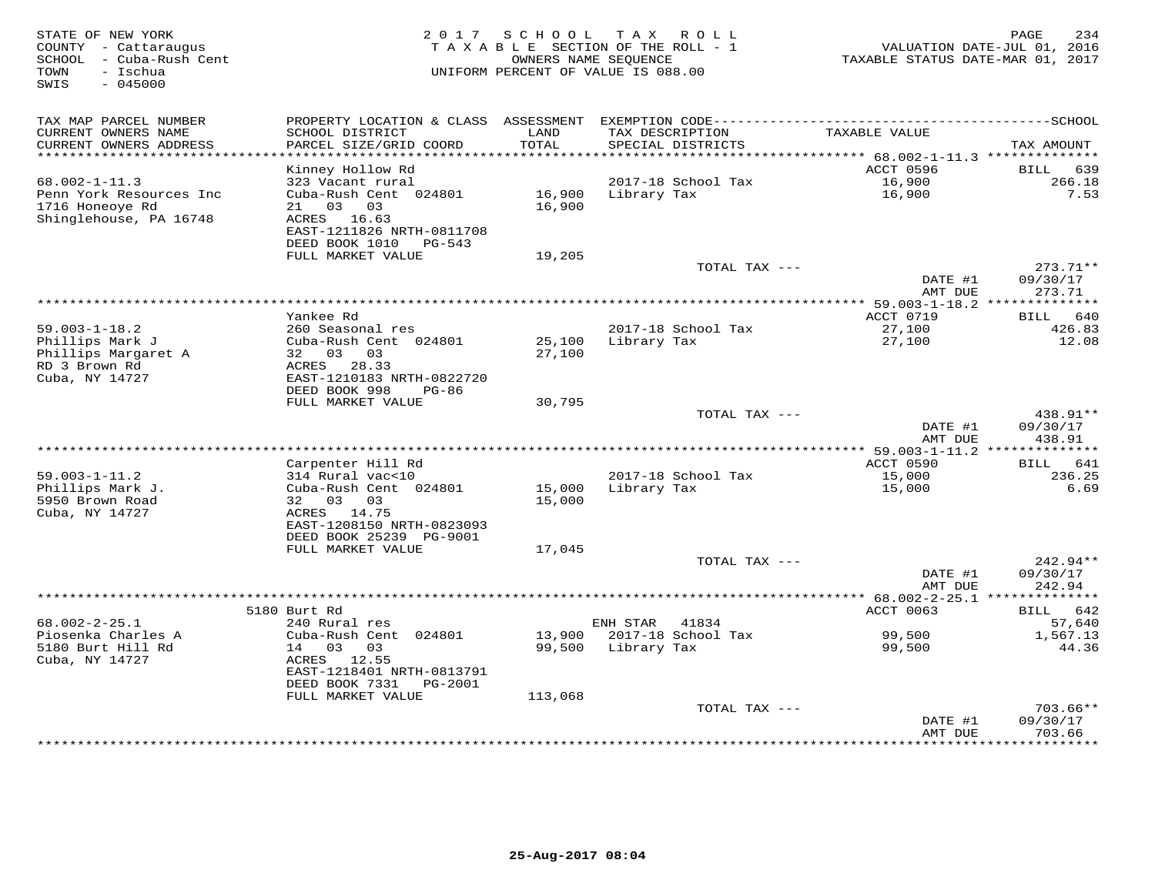| STATE OF NEW YORK<br>COUNTY - Cattaraugus<br>- Cuba-Rush Cent<br>SCHOOL<br>- Ischua<br>TOWN<br>SWIS<br>$-045000$ | 2 0 1 7                                       | SCHOOL            | T A X<br>R O L L<br>T A X A B L E SECTION OF THE ROLL - 1<br>OWNERS NAME SEQUENCE<br>UNIFORM PERCENT OF VALUE IS 088.00 | TAXABLE STATUS DATE-MAR 01, 2017                                         | 234<br>PAGE<br>VALUATION DATE-JUL 01, 2016 |
|------------------------------------------------------------------------------------------------------------------|-----------------------------------------------|-------------------|-------------------------------------------------------------------------------------------------------------------------|--------------------------------------------------------------------------|--------------------------------------------|
| TAX MAP PARCEL NUMBER                                                                                            |                                               |                   |                                                                                                                         |                                                                          |                                            |
| CURRENT OWNERS NAME                                                                                              | SCHOOL DISTRICT                               | LAND              | TAX DESCRIPTION                                                                                                         | TAXABLE VALUE                                                            |                                            |
| CURRENT OWNERS ADDRESS<br>********************                                                                   | PARCEL SIZE/GRID COORD                        | TOTAL<br>******** | SPECIAL DISTRICTS                                                                                                       |                                                                          | TAX AMOUNT                                 |
|                                                                                                                  | Kinney Hollow Rd                              |                   |                                                                                                                         | **************************** 68.002-1-11.3 *********<br><b>ACCT 0596</b> | <b>BILL</b><br>639                         |
| $68.002 - 1 - 11.3$                                                                                              | 323 Vacant rural                              |                   | 2017-18 School Tax                                                                                                      | 16,900                                                                   | 266.18                                     |
| Penn York Resources Inc                                                                                          | Cuba-Rush Cent 024801                         | 16,900            | Library Tax                                                                                                             | 16,900                                                                   | 7.53                                       |
| 1716 Honeoye Rd                                                                                                  | 03<br>03<br>21                                | 16,900            |                                                                                                                         |                                                                          |                                            |
| Shinglehouse, PA 16748                                                                                           | ACRES<br>16.63                                |                   |                                                                                                                         |                                                                          |                                            |
|                                                                                                                  | EAST-1211826 NRTH-0811708                     |                   |                                                                                                                         |                                                                          |                                            |
|                                                                                                                  | DEED BOOK 1010<br>PG-543<br>FULL MARKET VALUE | 19,205            |                                                                                                                         |                                                                          |                                            |
|                                                                                                                  |                                               |                   | TOTAL TAX ---                                                                                                           |                                                                          | $273.71**$                                 |
|                                                                                                                  |                                               |                   |                                                                                                                         | DATE #1                                                                  | 09/30/17                                   |
|                                                                                                                  |                                               |                   |                                                                                                                         | AMT DUE                                                                  | 273.71                                     |
|                                                                                                                  |                                               |                   | ********************                                                                                                    | $*$ 59.003-1-18.2                                                        | ***********                                |
|                                                                                                                  | Yankee Rd                                     |                   |                                                                                                                         | ACCT 0719                                                                | 640<br>BILL                                |
| $59.003 - 1 - 18.2$<br>Phillips Mark J                                                                           | 260 Seasonal res<br>Cuba-Rush Cent 024801     | 25,100            | 2017-18 School Tax<br>Library Tax                                                                                       | 27,100<br>27,100                                                         | 426.83<br>12.08                            |
| Phillips Margaret A                                                                                              | 32 03<br>03                                   | 27,100            |                                                                                                                         |                                                                          |                                            |
| RD 3 Brown Rd                                                                                                    | 28.33<br>ACRES                                |                   |                                                                                                                         |                                                                          |                                            |
| Cuba, NY 14727                                                                                                   | EAST-1210183 NRTH-0822720                     |                   |                                                                                                                         |                                                                          |                                            |
|                                                                                                                  | DEED BOOK 998<br>$PG-86$                      |                   |                                                                                                                         |                                                                          |                                            |
|                                                                                                                  | FULL MARKET VALUE                             | 30,795            | TOTAL TAX ---                                                                                                           |                                                                          | 438.91**                                   |
|                                                                                                                  |                                               |                   |                                                                                                                         | DATE #1                                                                  | 09/30/17                                   |
|                                                                                                                  |                                               |                   |                                                                                                                         | AMT DUE                                                                  | 438.91                                     |
|                                                                                                                  |                                               |                   |                                                                                                                         |                                                                          |                                            |
|                                                                                                                  | Carpenter Hill Rd                             |                   |                                                                                                                         | ACCT 0590                                                                | BILL<br>641                                |
| $59.003 - 1 - 11.2$                                                                                              | 314 Rural vac<10<br>Cuba-Rush Cent 024801     |                   | 2017-18 School Tax<br>Library Tax                                                                                       | 15,000                                                                   | 236.25<br>6.69                             |
| Phillips Mark J.<br>5950 Brown Road                                                                              | 32 03<br>03                                   | 15,000<br>15,000  |                                                                                                                         | 15,000                                                                   |                                            |
| Cuba, NY 14727                                                                                                   | ACRES 14.75                                   |                   |                                                                                                                         |                                                                          |                                            |
|                                                                                                                  | EAST-1208150 NRTH-0823093                     |                   |                                                                                                                         |                                                                          |                                            |
|                                                                                                                  | DEED BOOK 25239 PG-9001                       |                   |                                                                                                                         |                                                                          |                                            |
|                                                                                                                  | FULL MARKET VALUE                             | 17,045            |                                                                                                                         |                                                                          |                                            |
|                                                                                                                  |                                               |                   | TOTAL TAX ---                                                                                                           | DATE #1                                                                  | 242.94**<br>09/30/17                       |
|                                                                                                                  |                                               |                   |                                                                                                                         | AMT DUE                                                                  | 242.94                                     |
|                                                                                                                  |                                               |                   |                                                                                                                         |                                                                          |                                            |
|                                                                                                                  | 5180 Burt Rd                                  |                   |                                                                                                                         | ACCT 0063                                                                | 642<br>BILL                                |
| $68.002 - 2 - 25.1$                                                                                              | 240 Rural res                                 |                   | ENH STAR<br>41834                                                                                                       |                                                                          | 57,640                                     |
| Piosenka Charles A<br>5180 Burt Hill Rd                                                                          | Cuba-Rush Cent 024801                         | 13,900            | 2017-18 School Tax                                                                                                      | 99,500                                                                   | 1,567.13<br>44.36                          |
| Cuba, NY 14727                                                                                                   | 14<br>03<br>03<br>ACRES<br>12.55              | 99,500            | Library Tax                                                                                                             | 99,500                                                                   |                                            |
|                                                                                                                  | EAST-1218401 NRTH-0813791                     |                   |                                                                                                                         |                                                                          |                                            |
|                                                                                                                  | DEED BOOK 7331<br>PG-2001                     |                   |                                                                                                                         |                                                                          |                                            |
|                                                                                                                  | FULL MARKET VALUE                             | 113,068           |                                                                                                                         |                                                                          |                                            |
|                                                                                                                  |                                               |                   | TOTAL TAX ---                                                                                                           |                                                                          | $703.66**$                                 |
|                                                                                                                  |                                               |                   |                                                                                                                         | DATE #1<br>AMT DUE                                                       | 09/30/17<br>703.66                         |
|                                                                                                                  |                                               |                   |                                                                                                                         |                                                                          | * * * * * * * *                            |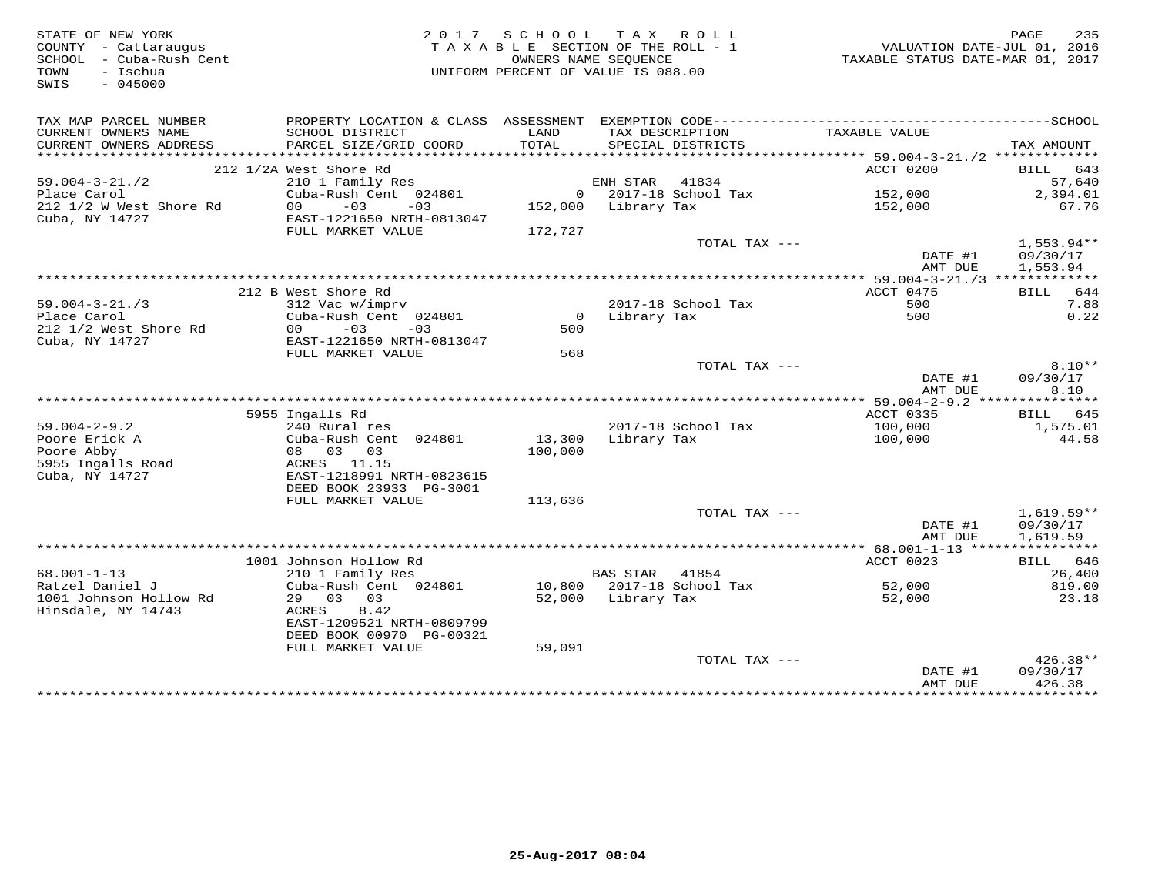| STATE OF NEW YORK<br>COUNTY - Cattaraugus<br>SCHOOL - Cuba-Rush Cent<br>TOWN<br>- Ischua<br>SWIS<br>$-045000$ |                                                   |                   | 2017 SCHOOL TAX ROLL<br>TAXABLE SECTION OF THE ROLL - 1<br>OWNERS NAME SEOUENCE<br>UNIFORM PERCENT OF VALUE IS 088.00 | VALUATION DATE-JUL 01, 2016<br>TAXABLE STATUS DATE-MAR 01, 2017 | PAGE<br>235              |
|---------------------------------------------------------------------------------------------------------------|---------------------------------------------------|-------------------|-----------------------------------------------------------------------------------------------------------------------|-----------------------------------------------------------------|--------------------------|
| TAX MAP PARCEL NUMBER                                                                                         |                                                   |                   |                                                                                                                       |                                                                 |                          |
| CURRENT OWNERS NAME<br>CURRENT OWNERS ADDRESS                                                                 | SCHOOL DISTRICT<br>PARCEL SIZE/GRID COORD         | LAND<br>TOTAL     | TAX DESCRIPTION<br>SPECIAL DISTRICTS                                                                                  | TAXABLE VALUE                                                   | TAX AMOUNT               |
|                                                                                                               |                                                   |                   |                                                                                                                       |                                                                 |                          |
|                                                                                                               | 212 1/2A West Shore Rd                            |                   |                                                                                                                       | ACCT 0200                                                       | BILL 643                 |
| $59.004 - 3 - 21.72$                                                                                          | 210 1 Family Res                                  |                   | ENH STAR 41834                                                                                                        |                                                                 | 57,640                   |
| Place Carol                                                                                                   | Cuba-Rush Cent 024801                             |                   | 0 2017-18 School Tax                                                                                                  | 152,000                                                         | 2,394.01                 |
| 212 1/2 W West Shore Rd<br>Cuba, NY 14727                                                                     | $-03$<br>00<br>$-03$<br>EAST-1221650 NRTH-0813047 |                   | 152,000 Library Tax                                                                                                   | 152,000                                                         | 67.76                    |
|                                                                                                               | FULL MARKET VALUE                                 | 172,727           |                                                                                                                       |                                                                 |                          |
|                                                                                                               |                                                   |                   | TOTAL TAX ---                                                                                                         |                                                                 | $1,553.94**$             |
|                                                                                                               |                                                   |                   |                                                                                                                       | DATE #1                                                         | 09/30/17                 |
|                                                                                                               |                                                   |                   |                                                                                                                       | AMT DUE                                                         | 1,553.94                 |
|                                                                                                               | 212 B West Shore Rd                               |                   |                                                                                                                       | ACCT 0475                                                       | BILL 644                 |
| $59.004 - 3 - 21.73$                                                                                          | 312 Vac w/imprv                                   |                   | 2017-18 School Tax                                                                                                    | 500                                                             | 7.88                     |
| Place Carol                                                                                                   | Cuba-Rush Cent 024801                             |                   | 0 Library Tax                                                                                                         | 500                                                             | 0.22                     |
| 212 1/2 West Shore Rd                                                                                         | $00 - 03$<br>$-03$                                | 500               |                                                                                                                       |                                                                 |                          |
| Cuba, NY 14727                                                                                                | EAST-1221650 NRTH-0813047                         |                   |                                                                                                                       |                                                                 |                          |
|                                                                                                               | FULL MARKET VALUE                                 | 568               | TOTAL TAX ---                                                                                                         |                                                                 | $8.10**$                 |
|                                                                                                               |                                                   |                   |                                                                                                                       | DATE #1                                                         | 09/30/17                 |
|                                                                                                               |                                                   |                   |                                                                                                                       | AMT DUE                                                         | 8.10                     |
|                                                                                                               |                                                   |                   |                                                                                                                       |                                                                 |                          |
|                                                                                                               | 5955 Ingalls Rd                                   |                   |                                                                                                                       | ACCT 0335                                                       | BILL 645                 |
| $59.004 - 2 - 9.2$                                                                                            | 240 Rural res                                     |                   | 2017-18 School Tax                                                                                                    | 100,000                                                         | 1,575.01                 |
| Poore Erick A<br>Poore Abby                                                                                   | Cuba-Rush Cent 024801<br>08 03 03                 | 13,300<br>100,000 | Library Tax                                                                                                           | 100,000                                                         | 44.58                    |
| 5955 Ingalls Road                                                                                             | ACRES 11.15                                       |                   |                                                                                                                       |                                                                 |                          |
| Cuba, NY 14727                                                                                                | EAST-1218991 NRTH-0823615                         |                   |                                                                                                                       |                                                                 |                          |
|                                                                                                               | DEED BOOK 23933 PG-3001                           |                   |                                                                                                                       |                                                                 |                          |
|                                                                                                               | FULL MARKET VALUE                                 | 113,636           |                                                                                                                       |                                                                 |                          |
|                                                                                                               |                                                   |                   | TOTAL TAX ---                                                                                                         | DATE #1                                                         | $1,619.59**$<br>09/30/17 |
|                                                                                                               |                                                   |                   |                                                                                                                       | AMT DUE                                                         | 1,619.59                 |
|                                                                                                               |                                                   |                   |                                                                                                                       |                                                                 |                          |
|                                                                                                               | 1001 Johnson Hollow Rd                            |                   |                                                                                                                       | ACCT 0023                                                       | BILL 646                 |
| $68.001 - 1 - 13$                                                                                             | 210 1 Family Res                                  |                   | BAS STAR 41854                                                                                                        |                                                                 | 26,400                   |
| Ratzel Daniel J<br>1001 Johnson Hollow Rd                                                                     | Cuba-Rush Cent 024801<br>29 03 03                 |                   | 10,800 2017-18 School Tax<br>52,000 Library Tax                                                                       | 52,000<br>52,000                                                | 819.00<br>23.18          |
| Hinsdale, NY 14743                                                                                            | 8.42<br>ACRES                                     |                   |                                                                                                                       |                                                                 |                          |
|                                                                                                               | EAST-1209521 NRTH-0809799                         |                   |                                                                                                                       |                                                                 |                          |
|                                                                                                               | DEED BOOK 00970 PG-00321                          |                   |                                                                                                                       |                                                                 |                          |
|                                                                                                               | FULL MARKET VALUE                                 | 59,091            |                                                                                                                       |                                                                 |                          |
|                                                                                                               |                                                   |                   | TOTAL TAX ---                                                                                                         |                                                                 | 426.38**                 |
|                                                                                                               |                                                   |                   |                                                                                                                       | DATE #1<br>AMT DUE                                              | 09/30/17<br>426.38       |
|                                                                                                               |                                                   |                   |                                                                                                                       |                                                                 | ************             |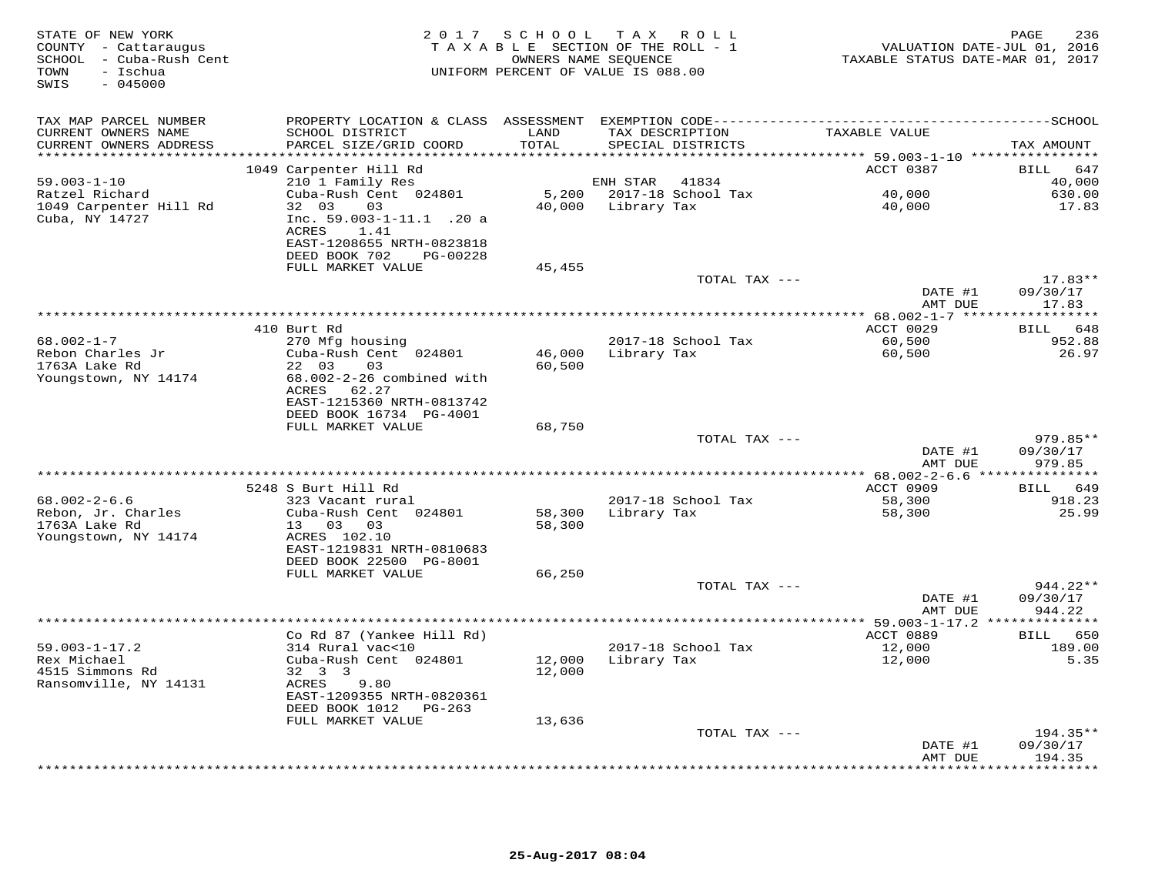| STATE OF NEW YORK<br>COUNTY - Cattaraugus<br>SCHOOL - Cuba-Rush Cent<br>TOWN<br>- Ischua<br>SWIS<br>$-045000$ |                                                                                                                                 |                  | 2017 SCHOOL TAX ROLL<br>TAXABLE SECTION OF THE ROLL - 1<br>OWNERS NAME SEQUENCE<br>UNIFORM PERCENT OF VALUE IS 088.00 | TAXABLE STATUS DATE-MAR 01, 2017           | 236<br>PAGE<br>VALUATION DATE-JUL 01, 2016 |
|---------------------------------------------------------------------------------------------------------------|---------------------------------------------------------------------------------------------------------------------------------|------------------|-----------------------------------------------------------------------------------------------------------------------|--------------------------------------------|--------------------------------------------|
| TAX MAP PARCEL NUMBER                                                                                         |                                                                                                                                 |                  |                                                                                                                       |                                            |                                            |
| CURRENT OWNERS NAME<br>CURRENT OWNERS ADDRESS                                                                 | SCHOOL DISTRICT<br>PARCEL SIZE/GRID COORD                                                                                       | LAND<br>TOTAL    | TAX DESCRIPTION<br>SPECIAL DISTRICTS                                                                                  | TAXABLE VALUE                              | TAX AMOUNT                                 |
|                                                                                                               |                                                                                                                                 |                  |                                                                                                                       | ACCT 0387                                  | 647<br>BILL                                |
| $59.003 - 1 - 10$                                                                                             | 1049 Carpenter Hill Rd<br>210 1 Family Res                                                                                      |                  | ENH STAR<br>41834                                                                                                     |                                            | 40,000                                     |
| Ratzel Richard                                                                                                | Cuba-Rush Cent 024801                                                                                                           |                  | 5,200 2017-18 School Tax                                                                                              | 40,000                                     | 630.00                                     |
| 1049 Carpenter Hill Rd<br>Cuba, NY 14727                                                                      | 32 03<br>$03 \sim 10^{-10}$<br>Inc. 59.003-1-11.1 .20 a<br>ACRES<br>1.41<br>EAST-1208655 NRTH-0823818<br>DEED BOOK 702 PG-00228 |                  | 40,000 Library Tax                                                                                                    | 40,000                                     | 17.83                                      |
|                                                                                                               | FULL MARKET VALUE                                                                                                               | 45,455           |                                                                                                                       |                                            |                                            |
|                                                                                                               |                                                                                                                                 |                  | TOTAL TAX ---                                                                                                         |                                            | $17.83**$                                  |
|                                                                                                               |                                                                                                                                 |                  |                                                                                                                       | DATE #1                                    | 09/30/17                                   |
|                                                                                                               |                                                                                                                                 |                  |                                                                                                                       | AMT DUE                                    | 17.83                                      |
|                                                                                                               | 410 Burt Rd                                                                                                                     |                  |                                                                                                                       | ACCT 0029                                  | BILL 648                                   |
| $68.002 - 1 - 7$                                                                                              | 270 Mfg housing                                                                                                                 |                  | 2017-18 School Tax                                                                                                    | 60,500                                     | 952.88                                     |
| Rebon Charles Jr<br>1763A Lake Rd<br>Youngstown, NY 14174                                                     | Cuba-Rush Cent 024801<br>22 03<br>03<br>68.002-2-26 combined with                                                               | 46,000<br>60,500 | Library Tax                                                                                                           | 60,500                                     | 26.97                                      |
|                                                                                                               | ACRES 62.27<br>EAST-1215360 NRTH-0813742<br>DEED BOOK 16734 PG-4001<br>FULL MARKET VALUE                                        | 68,750           |                                                                                                                       |                                            |                                            |
|                                                                                                               |                                                                                                                                 |                  | TOTAL TAX ---                                                                                                         |                                            | 979.85**                                   |
|                                                                                                               |                                                                                                                                 |                  |                                                                                                                       | DATE #1<br>AMT DUE                         | 09/30/17<br>979.85                         |
|                                                                                                               |                                                                                                                                 |                  |                                                                                                                       | ************ 68.002-2-6.6 **************** |                                            |
|                                                                                                               | 5248 S Burt Hill Rd                                                                                                             |                  |                                                                                                                       | ACCT 0909                                  | <b>BILL</b><br>649                         |
| $68.002 - 2 - 6.6$<br>Rebon, Jr. Charles<br>1763A Lake Rd<br>Youngstown, NY 14174                             | 323 Vacant rural<br>Cuba-Rush Cent 024801<br>13 03 03<br>ACRES 102.10                                                           | 58,300<br>58,300 | 2017-18 School Tax<br>Library Tax                                                                                     | 58,300<br>58,300                           | 918.23<br>25.99                            |
|                                                                                                               | EAST-1219831 NRTH-0810683<br>DEED BOOK 22500 PG-8001                                                                            |                  |                                                                                                                       |                                            |                                            |
|                                                                                                               | FULL MARKET VALUE                                                                                                               | 66,250           | TOTAL TAX ---                                                                                                         |                                            | 944.22**                                   |
|                                                                                                               |                                                                                                                                 |                  |                                                                                                                       | DATE #1<br>AMT DUE                         | 09/30/17<br>944.22                         |
|                                                                                                               | Co Rd 87 (Yankee Hill Rd)                                                                                                       |                  |                                                                                                                       | ACCT 0889                                  | BILL 650                                   |
| $59.003 - 1 - 17.2$<br>Rex Michael<br>4515 Simmons Rd<br>Ransomville, NY 14131                                | 314 Rural vac<10<br>Cuba-Rush Cent 024801<br>32 3 3<br>ACRES<br>9.80                                                            | 12,000<br>12,000 | 2017-18 School Tax<br>Library Tax                                                                                     | 12,000<br>12,000                           | 189.00<br>5.35                             |
|                                                                                                               | EAST-1209355 NRTH-0820361<br>DEED BOOK 1012 PG-263                                                                              |                  |                                                                                                                       |                                            |                                            |
|                                                                                                               | FULL MARKET VALUE                                                                                                               | 13,636           |                                                                                                                       |                                            |                                            |
|                                                                                                               |                                                                                                                                 |                  | TOTAL TAX ---                                                                                                         |                                            | $194.35**$                                 |
|                                                                                                               |                                                                                                                                 |                  |                                                                                                                       | DATE #1<br>AMT DUE                         | 09/30/17<br>194.35                         |
|                                                                                                               |                                                                                                                                 |                  |                                                                                                                       | ****************                           | ********                                   |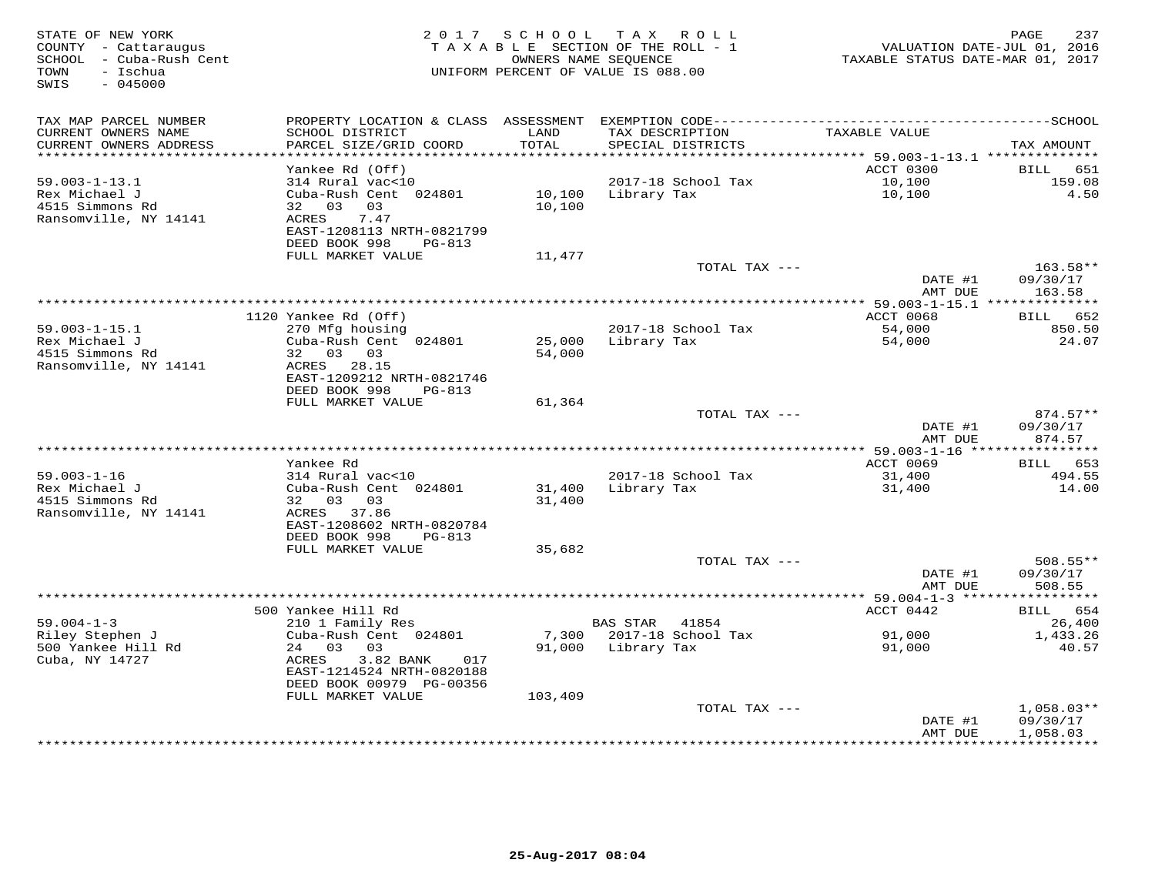| STATE OF NEW YORK<br>COUNTY - Cattaraugus<br>SCHOOL - Cuba-Rush Cent<br>- Ischua<br>TOWN<br>SWIS<br>$-045000$ | 2 0 1 7                                                                                           |                  | SCHOOL TAX ROLL<br>TAXABLE SECTION OF THE ROLL - 1<br>OWNERS NAME SEQUENCE<br>UNIFORM PERCENT OF VALUE IS 088.00 | VALUATION DATE-JUL 01, 2016<br>TAXABLE STATUS DATE-MAR 01, 2017 | PAGE<br>237                    |
|---------------------------------------------------------------------------------------------------------------|---------------------------------------------------------------------------------------------------|------------------|------------------------------------------------------------------------------------------------------------------|-----------------------------------------------------------------|--------------------------------|
|                                                                                                               |                                                                                                   |                  |                                                                                                                  |                                                                 |                                |
| TAX MAP PARCEL NUMBER                                                                                         |                                                                                                   |                  |                                                                                                                  |                                                                 |                                |
| CURRENT OWNERS NAME<br>CURRENT OWNERS ADDRESS<br>**********************                                       | SCHOOL DISTRICT<br>PARCEL SIZE/GRID COORD<br>************************                             | LAND<br>TOTAL    | TAX DESCRIPTION<br>SPECIAL DISTRICTS                                                                             | TAXABLE VALUE                                                   | TAX AMOUNT                     |
|                                                                                                               | Yankee Rd (Off)                                                                                   |                  |                                                                                                                  | ACCT 0300                                                       | BILL<br>651                    |
| $59.003 - 1 - 13.1$                                                                                           | 314 Rural vac<10                                                                                  |                  | 2017-18 School Tax                                                                                               | 10,100                                                          | 159.08                         |
| Rex Michael J<br>4515 Simmons Rd<br>Ransomville, NY 14141                                                     | Cuba-Rush Cent 024801<br>32 03<br>03<br>ACRES<br>7.47                                             | 10,100<br>10,100 | Library Tax                                                                                                      | 10,100                                                          | 4.50                           |
|                                                                                                               | EAST-1208113 NRTH-0821799<br>DEED BOOK 998<br>PG-813                                              |                  |                                                                                                                  |                                                                 |                                |
|                                                                                                               | FULL MARKET VALUE                                                                                 | 11,477           |                                                                                                                  |                                                                 | 163.58**                       |
|                                                                                                               |                                                                                                   |                  | TOTAL TAX ---                                                                                                    | DATE #1                                                         | 09/30/17<br>163.58             |
|                                                                                                               |                                                                                                   |                  | *******************************                                                                                  | AMT DUE<br>*** 59.003-1-15.1 ***************                    |                                |
|                                                                                                               | 1120 Yankee Rd (Off)                                                                              |                  |                                                                                                                  | <b>ACCT 0068</b>                                                | 652<br>BILL                    |
| $59.003 - 1 - 15.1$<br>Rex Michael J                                                                          | 270 Mfg housing<br>Cuba-Rush Cent 024801                                                          | 25,000           | 2017-18 School Tax<br>Library Tax                                                                                | 54,000<br>54,000                                                | 850.50<br>24.07                |
| 4515 Simmons Rd<br>Ransomville, NY 14141                                                                      | 32 03 03<br>ACRES 28.15<br>EAST-1209212 NRTH-0821746<br>DEED BOOK 998<br>PG-813                   | 54,000           |                                                                                                                  |                                                                 |                                |
|                                                                                                               | FULL MARKET VALUE                                                                                 | 61,364           |                                                                                                                  |                                                                 |                                |
|                                                                                                               |                                                                                                   |                  | TOTAL TAX ---                                                                                                    | DATE #1                                                         | $874.57**$<br>09/30/17         |
|                                                                                                               |                                                                                                   |                  |                                                                                                                  | AMT DUE                                                         | 874.57                         |
|                                                                                                               | Yankee Rd                                                                                         |                  |                                                                                                                  | ACCT 0069                                                       | 653<br>BILL                    |
| $59.003 - 1 - 16$                                                                                             | 314 Rural vac<10                                                                                  |                  | 2017-18 School Tax                                                                                               | 31,400                                                          | 494.55                         |
| Rex Michael J                                                                                                 | Cuba-Rush Cent 024801                                                                             | 31,400           | Library Tax                                                                                                      | 31,400                                                          | 14.00                          |
| 4515 Simmons Rd<br>Ransomville, NY 14141                                                                      | 32 03<br>03<br>ACRES 37.86<br>EAST-1208602 NRTH-0820784                                           | 31,400           |                                                                                                                  |                                                                 |                                |
|                                                                                                               | DEED BOOK 998<br><b>PG-813</b>                                                                    |                  |                                                                                                                  |                                                                 |                                |
|                                                                                                               | FULL MARKET VALUE                                                                                 | 35,682           |                                                                                                                  |                                                                 |                                |
|                                                                                                               |                                                                                                   |                  | TOTAL TAX ---                                                                                                    | DATE #1<br>AMT DUE                                              | 508.55**<br>09/30/17<br>508.55 |
|                                                                                                               |                                                                                                   |                  |                                                                                                                  | ********** 59.004-1-3 *****                                     | ***********                    |
|                                                                                                               | 500 Yankee Hill Rd                                                                                |                  |                                                                                                                  | ACCT 0442                                                       | 654<br><b>BILL</b>             |
| $59.004 - 1 - 3$                                                                                              | 210 1 Family Res                                                                                  |                  | <b>BAS STAR</b><br>41854                                                                                         |                                                                 | 26,400                         |
| Riley Stephen J                                                                                               | Cuba-Rush Cent 024801                                                                             | 7,300            | 2017-18 School Tax                                                                                               | 91,000                                                          | 1,433.26                       |
| 500 Yankee Hill Rd<br>Cuba, NY 14727                                                                          | 24 03<br>03<br>ACRES<br>3.82 BANK<br>017<br>EAST-1214524 NRTH-0820188<br>DEED BOOK 00979 PG-00356 | 91,000           | Library Tax                                                                                                      | 91,000                                                          | 40.57                          |
|                                                                                                               | FULL MARKET VALUE                                                                                 | 103,409          |                                                                                                                  |                                                                 |                                |
|                                                                                                               |                                                                                                   |                  | TOTAL TAX ---                                                                                                    | DATE #1                                                         | $1,058.03**$<br>09/30/17       |
|                                                                                                               |                                                                                                   |                  |                                                                                                                  | AMT DUE<br>· * * * * * * * * * * *                              | 1,058.03<br>**********         |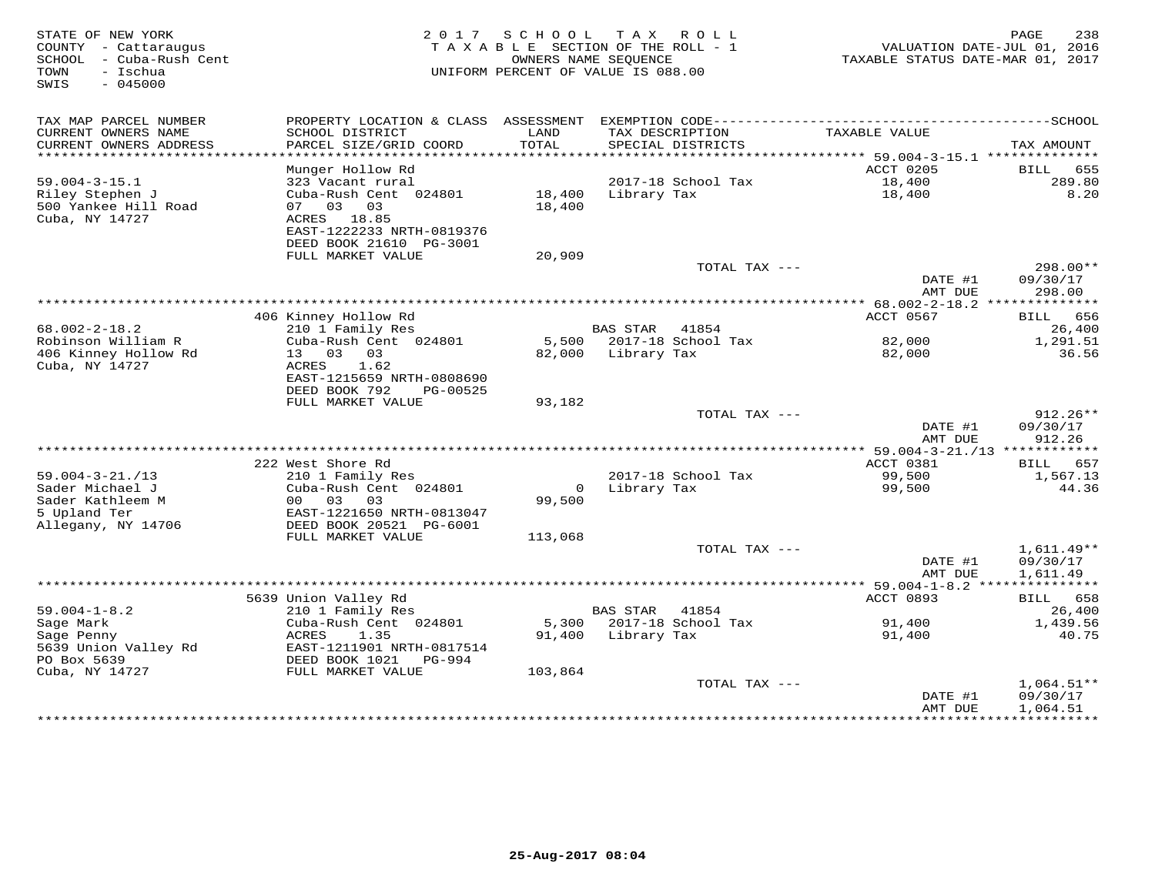| STATE OF NEW YORK<br>COUNTY - Cattaraugus<br>SCHOOL<br>- Cuba-Rush Cent<br>- Ischua<br>TOWN<br>$-045000$<br>SWIS | 2 0 1 7                                                                                  | SCHOOL<br>OWNERS NAME SEOUENCE | TAX ROLL<br>TAXABLE SECTION OF THE ROLL - 1<br>UNIFORM PERCENT OF VALUE IS 088.00 | VALUATION DATE-JUL 01, 2016<br>TAXABLE STATUS DATE-MAR 01, 2017 | 238<br>PAGE                        |
|------------------------------------------------------------------------------------------------------------------|------------------------------------------------------------------------------------------|--------------------------------|-----------------------------------------------------------------------------------|-----------------------------------------------------------------|------------------------------------|
| TAX MAP PARCEL NUMBER<br>CURRENT OWNERS NAME<br>CURRENT OWNERS ADDRESS                                           | SCHOOL DISTRICT<br>PARCEL SIZE/GRID COORD                                                | LAND<br>TOTAL                  | TAX DESCRIPTION<br>SPECIAL DISTRICTS                                              | TAXABLE VALUE                                                   | TAX AMOUNT                         |
| **********************                                                                                           |                                                                                          |                                |                                                                                   |                                                                 |                                    |
| $59.004 - 3 - 15.1$                                                                                              | Munger Hollow Rd<br>323 Vacant rural                                                     |                                | 2017-18 School Tax                                                                | ACCT 0205<br>18,400                                             | BILL<br>655<br>289.80              |
| Riley Stephen J                                                                                                  | Cuba-Rush Cent 024801                                                                    | 18,400                         | Library Tax                                                                       | 18,400                                                          | 8.20                               |
| 500 Yankee Hill Road<br>Cuba, NY 14727                                                                           | 07<br>03<br>03<br>18.85<br>ACRES<br>EAST-1222233 NRTH-0819376<br>DEED BOOK 21610 PG-3001 | 18,400                         |                                                                                   |                                                                 |                                    |
|                                                                                                                  | FULL MARKET VALUE                                                                        | 20,909                         |                                                                                   |                                                                 |                                    |
|                                                                                                                  |                                                                                          |                                | TOTAL TAX ---                                                                     | DATE #1<br>AMT DUE                                              | $298.00**$<br>09/30/17<br>298.00   |
|                                                                                                                  |                                                                                          |                                |                                                                                   | ********** 68.002-2-18.2 **                                     |                                    |
|                                                                                                                  | 406 Kinney Hollow Rd                                                                     |                                |                                                                                   | ACCT 0567                                                       | 656<br>BILL                        |
| $68.002 - 2 - 18.2$<br>Robinson William R                                                                        | 210 1 Family Res<br>Cuba-Rush Cent 024801                                                | 5,500                          | <b>BAS STAR</b><br>41854<br>2017-18 School Tax                                    | 82,000                                                          | 26,400<br>1,291.51                 |
| 406 Kinney Hollow Rd                                                                                             | 03<br>13<br>03                                                                           | 82,000                         | Library Tax                                                                       | 82,000                                                          | 36.56                              |
| Cuba, NY 14727                                                                                                   | ACRES<br>1.62<br>EAST-1215659 NRTH-0808690<br>DEED BOOK 792<br>PG-00525                  |                                |                                                                                   |                                                                 |                                    |
|                                                                                                                  | FULL MARKET VALUE                                                                        | 93,182                         | TOTAL TAX ---                                                                     |                                                                 | $912.26**$                         |
|                                                                                                                  |                                                                                          |                                |                                                                                   | DATE #1<br>AMT DUE                                              | 09/30/17<br>912.26                 |
|                                                                                                                  | 222 West Shore Rd                                                                        |                                |                                                                                   | *** 59.004-3-21./13 ************<br>ACCT 0381                   | 657<br>BILL                        |
| $59.004 - 3 - 21. / 13$                                                                                          | 210 1 Family Res                                                                         |                                | 2017-18 School Tax                                                                | 99,500                                                          | 1,567.13                           |
| Sader Michael J                                                                                                  | Cuba-Rush Cent 024801                                                                    | $\circ$                        | Library Tax                                                                       | 99,500                                                          | 44.36                              |
| Sader Kathleem M                                                                                                 | 03<br>03<br>0 <sub>0</sub>                                                               | 99,500                         |                                                                                   |                                                                 |                                    |
| 5 Upland Ter<br>Allegany, NY 14706                                                                               | EAST-1221650 NRTH-0813047<br>DEED BOOK 20521 PG-6001                                     |                                |                                                                                   |                                                                 |                                    |
|                                                                                                                  | FULL MARKET VALUE                                                                        | 113,068                        |                                                                                   |                                                                 |                                    |
|                                                                                                                  |                                                                                          |                                | TOTAL TAX ---                                                                     | DATE #1<br>AMT DUE                                              | 1,611.49**<br>09/30/17<br>1,611.49 |
|                                                                                                                  | *******************                                                                      |                                | *************************                                                         | $*$ 59.004-1-8.2                                                | ***********                        |
|                                                                                                                  | 5639 Union Valley Rd                                                                     |                                |                                                                                   | ACCT 0893                                                       | BILL 658                           |
| $59.004 - 1 - 8.2$                                                                                               | 210 1 Family Res                                                                         |                                | <b>BAS STAR</b><br>41854                                                          |                                                                 | 26,400                             |
| Sage Mark<br>Sage Penny<br>5639 Union Valley Rd                                                                  | Cuba-Rush Cent 024801<br>1.35<br>ACRES<br>EAST-1211901 NRTH-0817514                      | 5,300<br>91,400                | 2017-18 School Tax<br>Library Tax                                                 | 91,400<br>91,400                                                | 1,439.56<br>40.75                  |
| PO Box 5639                                                                                                      | DEED BOOK 1021<br>PG-994                                                                 |                                |                                                                                   |                                                                 |                                    |
| Cuba, NY 14727                                                                                                   | FULL MARKET VALUE                                                                        | 103,864                        |                                                                                   |                                                                 |                                    |
|                                                                                                                  |                                                                                          |                                | TOTAL TAX ---                                                                     | DATE #1                                                         | $1,064.51**$<br>09/30/17           |
|                                                                                                                  |                                                                                          |                                |                                                                                   | AMT DUE                                                         | 1,064.51<br><b>+++++++++++</b>     |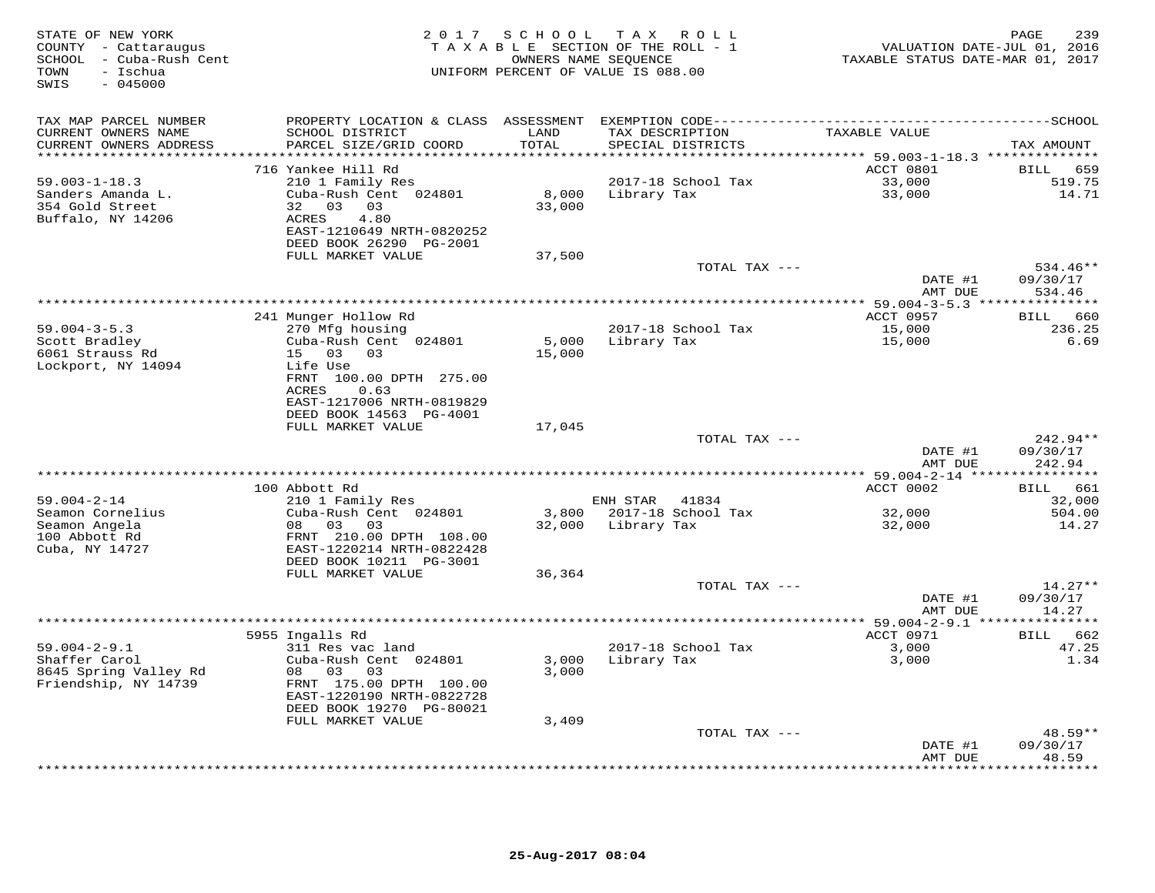| STATE OF NEW YORK<br>COUNTY - Cattaraugus<br>SCHOOL - Cuba-Rush Cent<br>TOWN<br>- Ischua<br>$-045000$<br>SWIS | 2 0 1 7                                                                                                                                                            | SCHOOL<br>TAXABLE SECTION OF THE ROLL - 1<br>OWNERS NAME SEOUENCE<br>UNIFORM PERCENT OF VALUE IS 088.00 | T A X       | R O L L                              | VALUATION DATE-JUL 01, 2016<br>TAXABLE STATUS DATE-MAR 01, 2017 | 239<br>PAGE                               |
|---------------------------------------------------------------------------------------------------------------|--------------------------------------------------------------------------------------------------------------------------------------------------------------------|---------------------------------------------------------------------------------------------------------|-------------|--------------------------------------|-----------------------------------------------------------------|-------------------------------------------|
| TAX MAP PARCEL NUMBER<br>CURRENT OWNERS NAME<br>CURRENT OWNERS ADDRESS                                        | PROPERTY LOCATION & CLASS ASSESSMENT<br>SCHOOL DISTRICT<br>PARCEL SIZE/GRID COORD                                                                                  | LAND<br>TOTAL                                                                                           |             | TAX DESCRIPTION<br>SPECIAL DISTRICTS | TAXABLE VALUE                                                   | TAX AMOUNT                                |
|                                                                                                               |                                                                                                                                                                    | ******                                                                                                  |             |                                      | ******* 59.003-1-18.3 **************                            |                                           |
| $59.003 - 1 - 18.3$<br>Sanders Amanda L.<br>354 Gold Street<br>Buffalo, NY 14206                              | 716 Yankee Hill Rd<br>210 1 Family Res<br>Cuba-Rush Cent 024801<br>32 03<br>03<br>4.80<br>ACRES<br>EAST-1210649 NRTH-0820252<br>DEED BOOK 26290 PG-2001            | 8,000<br>33,000                                                                                         | Library Tax | 2017-18 School Tax                   | ACCT 0801<br>33,000<br>33,000                                   | 659<br>BILL<br>519.75<br>14.71            |
|                                                                                                               | FULL MARKET VALUE                                                                                                                                                  | 37,500                                                                                                  |             |                                      |                                                                 |                                           |
|                                                                                                               |                                                                                                                                                                    |                                                                                                         |             | TOTAL TAX ---                        | DATE #1<br>AMT DUE                                              | 534.46**<br>09/30/17<br>534.46            |
|                                                                                                               |                                                                                                                                                                    |                                                                                                         |             |                                      |                                                                 |                                           |
| $59.004 - 3 - 5.3$<br>Scott Bradley                                                                           | 241 Munger Hollow Rd<br>270 Mfg housing<br>Cuba-Rush Cent 024801                                                                                                   | 5,000                                                                                                   | Library Tax | 2017-18 School Tax                   | ACCT 0957<br>15,000<br>15,000                                   | 660<br>BILL<br>236.25<br>6.69             |
| 6061 Strauss Rd<br>Lockport, NY 14094                                                                         | 15 03<br>03<br>Life Use<br>FRNT 100.00 DPTH 275.00<br><b>ACRES</b><br>0.63<br>EAST-1217006 NRTH-0819829<br>DEED BOOK 14563 PG-4001                                 | 15,000                                                                                                  |             |                                      |                                                                 |                                           |
|                                                                                                               | FULL MARKET VALUE                                                                                                                                                  | 17,045                                                                                                  |             |                                      |                                                                 |                                           |
|                                                                                                               |                                                                                                                                                                    |                                                                                                         |             | TOTAL TAX ---                        | DATE #1<br>AMT DUE                                              | 242.94**<br>09/30/17<br>242.94            |
|                                                                                                               |                                                                                                                                                                    |                                                                                                         |             |                                      | ***** 59.004-2-14 ***                                           | ********                                  |
| $59.004 - 2 - 14$                                                                                             | 100 Abbott Rd<br>210 1 Family Res                                                                                                                                  |                                                                                                         | ENH STAR    | 41834                                | ACCT 0002                                                       | 661<br><b>BILL</b><br>32,000              |
| Seamon Cornelius<br>Seamon Angela<br>100 Abbott Rd<br>Cuba, NY 14727                                          | Cuba-Rush Cent 024801<br>08 03<br>03<br>FRNT 210.00 DPTH 108.00<br>EAST-1220214 NRTH-0822428                                                                       | 3,800<br>32,000                                                                                         | Library Tax | 2017-18 School Tax                   | 32,000<br>32,000                                                | 504.00<br>14.27                           |
|                                                                                                               | DEED BOOK 10211 PG-3001<br>FULL MARKET VALUE                                                                                                                       | 36,364                                                                                                  |             |                                      |                                                                 |                                           |
|                                                                                                               |                                                                                                                                                                    |                                                                                                         |             | TOTAL TAX ---                        | DATE #1<br>AMT DUE                                              | $14.27**$<br>09/30/17<br>14.27            |
|                                                                                                               |                                                                                                                                                                    |                                                                                                         |             |                                      |                                                                 |                                           |
| $59.004 - 2 - 9.1$<br>Shaffer Carol<br>8645 Spring Valley Rd<br>Friendship, NY 14739                          | 5955 Ingalls Rd<br>311 Res vac land<br>Cuba-Rush Cent 024801<br>08<br>03<br>03<br>FRNT 175.00 DPTH 100.00<br>EAST-1220190 NRTH-0822728<br>DEED BOOK 19270 PG-80021 | 3,000<br>3,000                                                                                          | Library Tax | 2017-18 School Tax                   | ACCT 0971<br>3,000<br>3,000                                     | BILL 662<br>47.25<br>1.34                 |
|                                                                                                               | FULL MARKET VALUE                                                                                                                                                  | 3,409                                                                                                   |             |                                      |                                                                 |                                           |
|                                                                                                               |                                                                                                                                                                    |                                                                                                         |             | TOTAL TAX ---                        | DATE #1<br>AMT DUE                                              | $48.59**$<br>09/30/17<br>48.59<br>******* |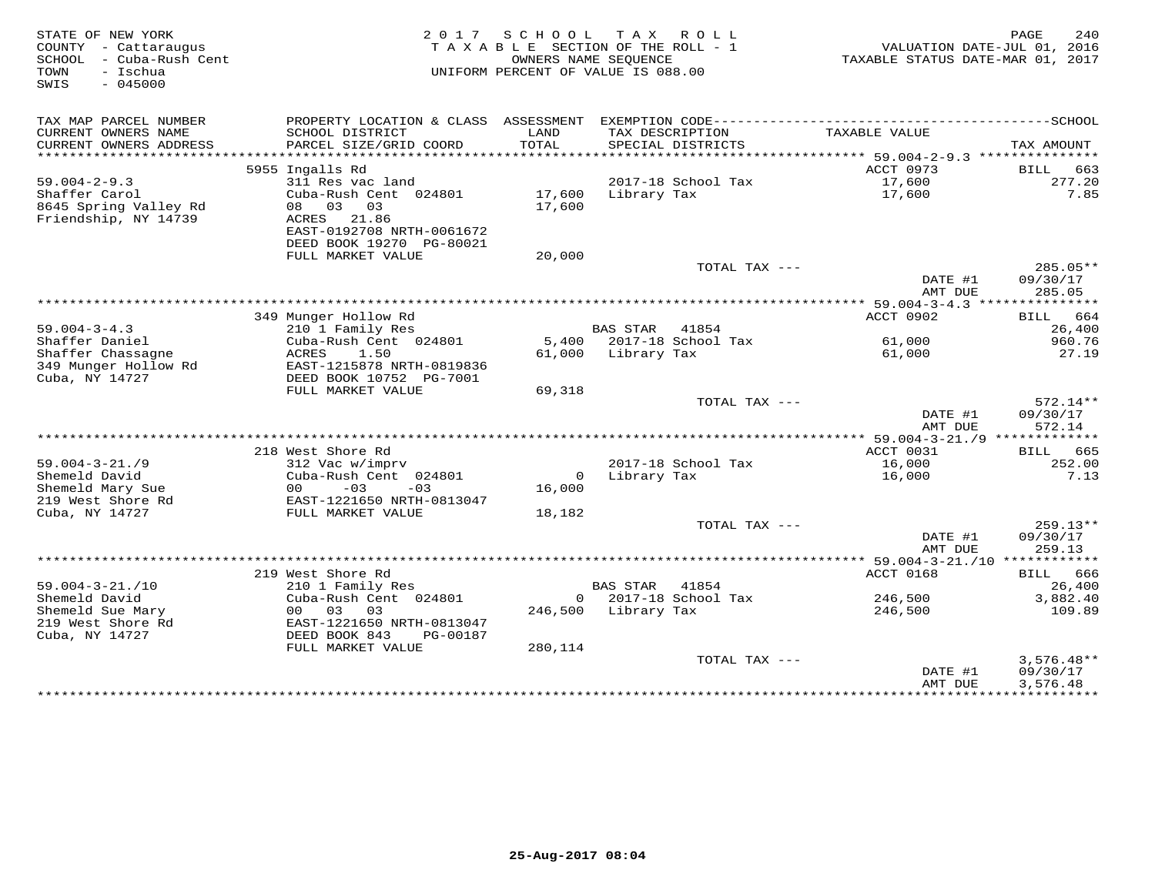| STATE OF NEW YORK<br>COUNTY - Cattaraugus<br>- Cuba-Rush Cent<br>SCHOOL<br>TOWN<br>- Ischua<br>$-045000$<br>SWIS |                                                                                                                               | 2017 SCHOOL TAX ROLL<br>TAXABLE SECTION OF THE ROLL - 1<br>OWNERS NAME SEOUENCE<br>UNIFORM PERCENT OF VALUE IS 088.00 |                     |                          | VALUATION DATE-JUL 01, 2016<br>TAXABLE STATUS DATE-MAR 01, 2017 | 240<br>PAGE                      |
|------------------------------------------------------------------------------------------------------------------|-------------------------------------------------------------------------------------------------------------------------------|-----------------------------------------------------------------------------------------------------------------------|---------------------|--------------------------|-----------------------------------------------------------------|----------------------------------|
| TAX MAP PARCEL NUMBER<br>CURRENT OWNERS NAME                                                                     | PROPERTY LOCATION & CLASS ASSESSMENT EXEMPTION CODE---------------------<br>SCHOOL DISTRICT                                   | LAND                                                                                                                  | TAX DESCRIPTION     |                          | TAXABLE VALUE                                                   | ---------------SCHOOL            |
| CURRENT OWNERS ADDRESS<br>******************                                                                     | PARCEL SIZE/GRID COORD                                                                                                        | TOTAL<br>* * * * * * * * * * * * * *                                                                                  |                     | SPECIAL DISTRICTS        | ********** 59.004-2-9.3 **********                              | TAX AMOUNT                       |
|                                                                                                                  | 5955 Ingalls Rd                                                                                                               |                                                                                                                       |                     |                          | ACCT 0973                                                       | BILL<br>663                      |
| $59.004 - 2 - 9.3$<br>Shaffer Carol<br>8645 Spring Valley Rd<br>Friendship, NY 14739                             | 311 Res vac land<br>Cuba-Rush Cent 024801<br>08 03 03<br>ACRES 21.86<br>EAST-0192708 NRTH-0061672<br>DEED BOOK 19270 PG-80021 | 17,600<br>17,600                                                                                                      | Library Tax         | 2017-18 School Tax       | 17,600<br>17,600                                                | 277.20<br>7.85                   |
|                                                                                                                  | FULL MARKET VALUE                                                                                                             | 20,000                                                                                                                |                     |                          |                                                                 |                                  |
|                                                                                                                  |                                                                                                                               |                                                                                                                       |                     | TOTAL TAX ---            | DATE #1<br>AMT DUE                                              | $285.05**$<br>09/30/17<br>285.05 |
|                                                                                                                  |                                                                                                                               |                                                                                                                       |                     |                          | ************** 59.004-3-4.3 ****************                    |                                  |
|                                                                                                                  | 349 Munger Hollow Rd                                                                                                          |                                                                                                                       |                     |                          | ACCT 0902                                                       | BILL 664                         |
| $59.004 - 3 - 4.3$                                                                                               | 210 1 Family Res                                                                                                              |                                                                                                                       | <b>BAS STAR</b>     | 41854                    |                                                                 | 26,400                           |
| Shaffer Daniel<br>Shaffer Chassagne                                                                              | Cuba-Rush Cent 024801<br>ACRES<br>1.50                                                                                        |                                                                                                                       | 61,000 Library Tax  | 5,400 2017-18 School Tax | 61,000<br>61,000                                                | 960.76<br>27.19                  |
| 349 Munger Hollow Rd<br>Cuba, NY 14727                                                                           | EAST-1215878 NRTH-0819836<br>DEED BOOK 10752 PG-7001<br>FULL MARKET VALUE                                                     | 69,318                                                                                                                |                     |                          |                                                                 |                                  |
|                                                                                                                  |                                                                                                                               |                                                                                                                       |                     | TOTAL TAX ---            |                                                                 | 572.14**                         |
|                                                                                                                  |                                                                                                                               |                                                                                                                       |                     |                          | DATE #1<br>AMT DUE                                              | 09/30/17<br>572.14               |
|                                                                                                                  |                                                                                                                               |                                                                                                                       |                     |                          | ACCT 0031                                                       |                                  |
| $59.004 - 3 - 21.79$                                                                                             | 218 West Shore Rd<br>312 Vac w/imprv                                                                                          |                                                                                                                       |                     | 2017-18 School Tax       | 16,000                                                          | BILL 665<br>252.00               |
| Shemeld David                                                                                                    | Cuba-Rush Cent 024801                                                                                                         | $\circ$                                                                                                               | Library Tax         |                          | 16,000                                                          | 7.13                             |
| Shemeld Mary Sue<br>219 West Shore Rd                                                                            | $-03$<br>00 <sup>1</sup><br>$-03$<br>EAST-1221650 NRTH-0813047                                                                | 16,000                                                                                                                |                     |                          |                                                                 |                                  |
| Cuba, NY 14727                                                                                                   | FULL MARKET VALUE                                                                                                             | 18,182                                                                                                                |                     |                          |                                                                 |                                  |
|                                                                                                                  |                                                                                                                               |                                                                                                                       |                     | TOTAL TAX ---            | DATE #1<br>AMT DUE                                              | 259.13**<br>09/30/17<br>259.13   |
|                                                                                                                  |                                                                                                                               |                                                                                                                       |                     |                          |                                                                 |                                  |
|                                                                                                                  | 219 West Shore Rd                                                                                                             |                                                                                                                       |                     |                          | ACCT 0168                                                       | BILL 666                         |
| $59.004 - 3 - 21. / 10$                                                                                          | 210 1 Family Res                                                                                                              |                                                                                                                       | BAS STAR            | 41854                    |                                                                 | 26,400                           |
| Shemeld David                                                                                                    | Cuba-Rush Cent 024801                                                                                                         |                                                                                                                       |                     | $0$ 2017-18 School Tax   | 246,500                                                         | 3,882.40                         |
| Shemeld Sue Mary                                                                                                 | 00 03<br>03                                                                                                                   |                                                                                                                       | 246,500 Library Tax |                          | 246,500                                                         | 109.89                           |
| 219 West Shore Rd<br>Cuba, NY 14727                                                                              | EAST-1221650 NRTH-0813047<br>DEED BOOK 843<br>PG-00187<br>FULL MARKET VALUE                                                   | 280,114                                                                                                               |                     |                          |                                                                 |                                  |
|                                                                                                                  |                                                                                                                               |                                                                                                                       |                     | TOTAL TAX ---            |                                                                 | $3,576.48**$                     |
|                                                                                                                  |                                                                                                                               |                                                                                                                       |                     |                          | DATE #1<br>AMT DUE                                              | 09/30/17<br>3,576.48             |
|                                                                                                                  |                                                                                                                               |                                                                                                                       |                     |                          |                                                                 |                                  |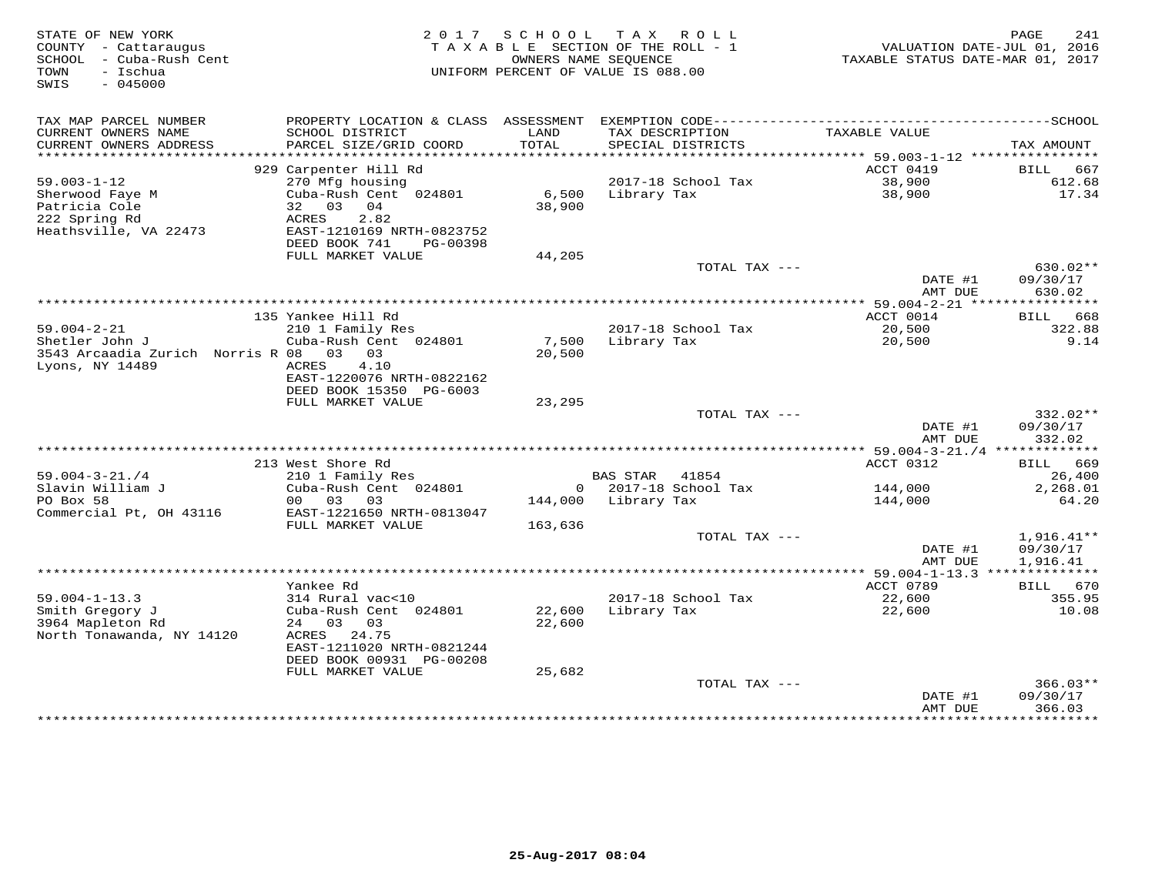| STATE OF NEW YORK<br>COUNTY - Cattaraugus<br>- Cuba-Rush Cent<br>SCHOOL<br>- Ischua<br>TOWN |                                           |                 | 2017 SCHOOL TAX ROLL<br>TAXABLE SECTION OF THE ROLL - 1<br>OWNERS NAME SEOUENCE<br>UNIFORM PERCENT OF VALUE IS 088.00 | VALUATION DATE-JUL 01, 2016<br>TAXABLE STATUS DATE-MAR 01, 2017 | PAGE<br>241                |
|---------------------------------------------------------------------------------------------|-------------------------------------------|-----------------|-----------------------------------------------------------------------------------------------------------------------|-----------------------------------------------------------------|----------------------------|
| $-045000$<br>SWIS                                                                           |                                           |                 |                                                                                                                       |                                                                 |                            |
| TAX MAP PARCEL NUMBER                                                                       |                                           |                 |                                                                                                                       |                                                                 |                            |
| CURRENT OWNERS NAME<br>CURRENT OWNERS ADDRESS                                               | SCHOOL DISTRICT<br>PARCEL SIZE/GRID COORD | LAND<br>TOTAL   | TAX DESCRIPTION<br>SPECIAL DISTRICTS                                                                                  | TAXABLE VALUE                                                   | TAX AMOUNT                 |
|                                                                                             | 929 Carpenter Hill Rd                     |                 |                                                                                                                       | ACCT 0419                                                       | BILL 667                   |
| $59.003 - 1 - 12$                                                                           | 270 Mfg housing                           |                 | 2017-18 School Tax                                                                                                    | 38,900                                                          | 612.68                     |
| Sherwood Faye M                                                                             | Cuba-Rush Cent 024801                     | 6,500           | Library Tax                                                                                                           | 38,900                                                          | 17.34                      |
| Patricia Cole                                                                               | 32<br>03<br>04                            | 38,900          |                                                                                                                       |                                                                 |                            |
| 222 Spring Rd                                                                               | 2.82<br>ACRES                             |                 |                                                                                                                       |                                                                 |                            |
| Heathsville, VA 22473                                                                       | EAST-1210169 NRTH-0823752                 |                 |                                                                                                                       |                                                                 |                            |
|                                                                                             | DEED BOOK 741<br>PG-00398                 |                 |                                                                                                                       |                                                                 |                            |
|                                                                                             | FULL MARKET VALUE                         | 44,205          | TOTAL TAX ---                                                                                                         |                                                                 | 630.02**                   |
|                                                                                             |                                           |                 |                                                                                                                       | DATE #1                                                         | 09/30/17                   |
|                                                                                             |                                           |                 |                                                                                                                       | AMT DUE                                                         | 630.02                     |
|                                                                                             |                                           |                 |                                                                                                                       |                                                                 |                            |
|                                                                                             | 135 Yankee Hill Rd                        |                 |                                                                                                                       | ACCT 0014                                                       | 668<br>BILL                |
| $59.004 - 2 - 21$                                                                           | 210 1 Family Res                          |                 | 2017-18 School Tax                                                                                                    | 20,500                                                          | 322.88                     |
| Shetler John J<br>3543 Arcaadia Zurich Norris R 08                                          | Cuba-Rush Cent 024801<br>$0.3$ 0.3        | 7,500<br>20,500 | Library Tax                                                                                                           | 20,500                                                          | 9.14                       |
| Lyons, NY 14489                                                                             | 4.10<br>ACRES                             |                 |                                                                                                                       |                                                                 |                            |
|                                                                                             | EAST-1220076 NRTH-0822162                 |                 |                                                                                                                       |                                                                 |                            |
|                                                                                             | DEED BOOK 15350 PG-6003                   |                 |                                                                                                                       |                                                                 |                            |
|                                                                                             | FULL MARKET VALUE                         | 23,295          |                                                                                                                       |                                                                 |                            |
|                                                                                             |                                           |                 | TOTAL TAX $---$                                                                                                       |                                                                 | 332.02**                   |
|                                                                                             |                                           |                 |                                                                                                                       | DATE #1                                                         | 09/30/17                   |
|                                                                                             |                                           |                 |                                                                                                                       | AMT DUE                                                         | 332.02                     |
|                                                                                             | 213 West Shore Rd                         |                 |                                                                                                                       | ACCT 0312                                                       | 669<br>BILL                |
| $59.004 - 3 - 21.74$                                                                        | 210 1 Family Res                          |                 | <b>BAS STAR</b><br>41854                                                                                              |                                                                 | 26,400                     |
| Slavin William J                                                                            | Cuba-Rush Cent 024801                     |                 | $0$ 2017-18 School Tax                                                                                                | 144,000                                                         | 2,268.01                   |
| PO Box 58                                                                                   | 00 03<br>03                               | 144,000         | Library Tax                                                                                                           | 144,000                                                         | 64.20                      |
| Commercial Pt, OH 43116                                                                     | EAST-1221650 NRTH-0813047                 |                 |                                                                                                                       |                                                                 |                            |
|                                                                                             | FULL MARKET VALUE                         | 163,636         | TOTAL TAX ---                                                                                                         |                                                                 | $1,916.41**$               |
|                                                                                             |                                           |                 |                                                                                                                       | DATE #1                                                         | 09/30/17                   |
|                                                                                             |                                           |                 |                                                                                                                       | AMT DUE                                                         | 1,916.41                   |
|                                                                                             |                                           |                 |                                                                                                                       |                                                                 |                            |
|                                                                                             | Yankee Rd                                 |                 |                                                                                                                       | ACCT 0789                                                       | BILL 670                   |
| $59.004 - 1 - 13.3$                                                                         | 314 Rural vac<10                          |                 | 2017-18 School Tax                                                                                                    | 22,600                                                          | 355.95                     |
| Smith Gregory J                                                                             | Cuba-Rush Cent 024801                     | 22,600          | Library Tax                                                                                                           | 22,600                                                          | 10.08                      |
| 3964 Mapleton Rd                                                                            | 24 03<br>03<br>24.75<br>ACRES             | 22,600          |                                                                                                                       |                                                                 |                            |
| North Tonawanda, NY 14120                                                                   | EAST-1211020 NRTH-0821244                 |                 |                                                                                                                       |                                                                 |                            |
|                                                                                             | DEED BOOK 00931 PG-00208                  |                 |                                                                                                                       |                                                                 |                            |
|                                                                                             | FULL MARKET VALUE                         | 25,682          |                                                                                                                       |                                                                 |                            |
|                                                                                             |                                           |                 | TOTAL TAX ---                                                                                                         |                                                                 | $366.03**$                 |
|                                                                                             |                                           |                 |                                                                                                                       | DATE #1                                                         | 09/30/17                   |
|                                                                                             |                                           |                 |                                                                                                                       | AMT DUE<br>+ + + + + + + + + + + + +                            | 366.03<br><b>+++++++++</b> |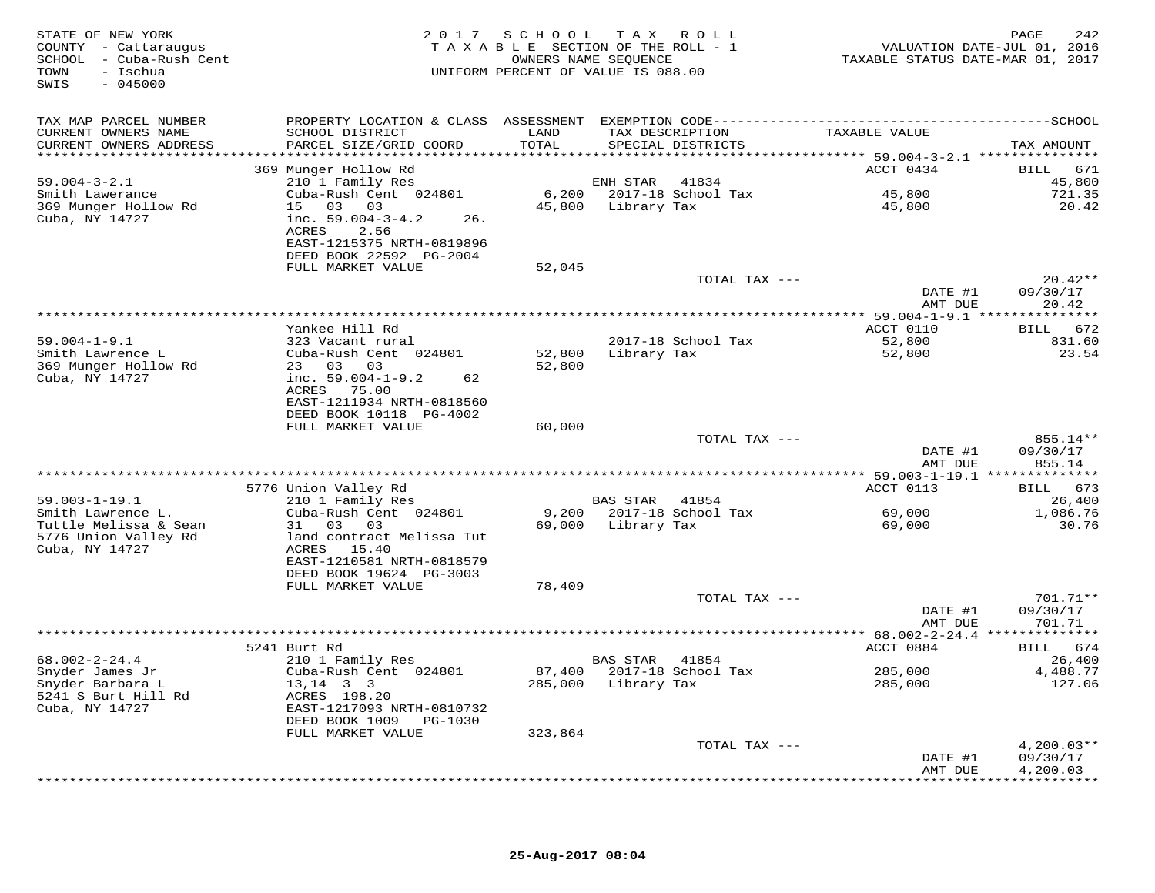| STATE OF NEW YORK<br>COUNTY - Cattaraugus<br>SCHOOL - Cuba-Rush Cent<br>- Ischua<br>TOWN<br>$-045000$<br>SWIS |                                                 |              | 2017 SCHOOL TAX ROLL<br>TAXABLE SECTION OF THE ROLL - 1<br>OWNERS NAME SEQUENCE<br>UNIFORM PERCENT OF VALUE IS 088.00 | VALUATION DATE-JUL 01, 2016<br>TAXABLE STATUS DATE-MAR 01, 2017 | 242<br>PAGE          |
|---------------------------------------------------------------------------------------------------------------|-------------------------------------------------|--------------|-----------------------------------------------------------------------------------------------------------------------|-----------------------------------------------------------------|----------------------|
| TAX MAP PARCEL NUMBER                                                                                         |                                                 |              |                                                                                                                       |                                                                 |                      |
| CURRENT OWNERS NAME                                                                                           | SCHOOL DISTRICT                                 | LAND         | TAX DESCRIPTION                                                                                                       | TAXABLE VALUE                                                   |                      |
| CURRENT OWNERS ADDRESS                                                                                        | PARCEL SIZE/GRID COORD                          | <b>TOTAL</b> | SPECIAL DISTRICTS                                                                                                     |                                                                 | TAX AMOUNT           |
|                                                                                                               | 369 Munger Hollow Rd                            |              |                                                                                                                       | ACCT 0434                                                       | BILL 671             |
| $59.004 - 3 - 2.1$                                                                                            | 210 1 Family Res                                |              | ENH STAR<br>41834                                                                                                     |                                                                 | 45,800               |
| Smith Lawerance                                                                                               | Cuba-Rush Cent 024801                           |              |                                                                                                                       | 45,800                                                          | 721.35               |
| 369 Munger Hollow Rd                                                                                          | 15 03 03                                        |              | 45,800 Library Tax                                                                                                    | 45,800                                                          | 20.42                |
| Cuba, NY 14727                                                                                                | inc. $59.004 - 3 - 4.2$<br>26.<br>ACRES<br>2.56 |              |                                                                                                                       |                                                                 |                      |
|                                                                                                               | EAST-1215375 NRTH-0819896                       |              |                                                                                                                       |                                                                 |                      |
|                                                                                                               | DEED BOOK 22592 PG-2004                         |              |                                                                                                                       |                                                                 |                      |
|                                                                                                               | FULL MARKET VALUE                               | 52,045       |                                                                                                                       |                                                                 | $20.42**$            |
|                                                                                                               |                                                 |              | TOTAL TAX ---                                                                                                         | DATE #1                                                         | 09/30/17             |
|                                                                                                               |                                                 |              |                                                                                                                       | AMT DUE                                                         | 20.42                |
|                                                                                                               |                                                 |              |                                                                                                                       |                                                                 |                      |
|                                                                                                               | Yankee Hill Rd                                  |              |                                                                                                                       | ACCT 0110                                                       | BILL 672             |
| $59.004 - 1 - 9.1$<br>Smith Lawrence L                                                                        | 323 Vacant rural<br>Cuba-Rush Cent 024801       | 52,800       | 2017-18 School Tax<br>Library Tax                                                                                     | 52,800<br>52,800                                                | 831.60<br>23.54      |
| 369 Munger Hollow Rd                                                                                          | 23 03 03                                        | 52,800       |                                                                                                                       |                                                                 |                      |
| Cuba, NY 14727                                                                                                | inc. $59.004 - 1 - 9.2$<br>62                   |              |                                                                                                                       |                                                                 |                      |
|                                                                                                               | ACRES 75.00<br>EAST-1211934 NRTH-0818560        |              |                                                                                                                       |                                                                 |                      |
|                                                                                                               | DEED BOOK 10118 PG-4002                         |              |                                                                                                                       |                                                                 |                      |
|                                                                                                               | FULL MARKET VALUE                               | 60,000       |                                                                                                                       |                                                                 |                      |
|                                                                                                               |                                                 |              | TOTAL TAX ---                                                                                                         |                                                                 | 855.14**             |
|                                                                                                               |                                                 |              |                                                                                                                       | DATE #1<br>AMT DUE                                              | 09/30/17<br>855.14   |
|                                                                                                               |                                                 |              |                                                                                                                       |                                                                 |                      |
|                                                                                                               | 5776 Union Valley Rd                            |              |                                                                                                                       | ACCT 0113                                                       | BILL 673             |
| $59.003 - 1 - 19.1$                                                                                           | 210 1 Family Res                                |              | BAS STAR 41854                                                                                                        |                                                                 | 26,400               |
| Smith Lawrence L.<br>Tuttle Melissa & Sean                                                                    | Cuba-Rush Cent 024801<br>31 03 03               |              | 9,200 2017-18 School Tax<br>69,000 Library Tax                                                                        | 69,000<br>69,000                                                | 1,086.76<br>30.76    |
| 5776 Union Valley Rd                                                                                          | land contract Melissa Tut                       |              |                                                                                                                       |                                                                 |                      |
| Cuba, NY 14727                                                                                                | ACRES 15.40                                     |              |                                                                                                                       |                                                                 |                      |
|                                                                                                               | EAST-1210581 NRTH-0818579                       |              |                                                                                                                       |                                                                 |                      |
|                                                                                                               | DEED BOOK 19624 PG-3003<br>FULL MARKET VALUE    | 78,409       |                                                                                                                       |                                                                 |                      |
|                                                                                                               |                                                 |              | TOTAL TAX ---                                                                                                         |                                                                 | 701.71**             |
|                                                                                                               |                                                 |              |                                                                                                                       | DATE #1                                                         | 09/30/17             |
|                                                                                                               |                                                 |              |                                                                                                                       | AMT DUE                                                         | 701.71               |
|                                                                                                               | 5241 Burt Rd                                    |              |                                                                                                                       | ** 68.002-2-24.4 ***************<br>ACCT 0884                   | BILL 674             |
| $68.002 - 2 - 24.4$                                                                                           | 210 1 Family Res                                |              | BAS STAR<br>41854                                                                                                     |                                                                 | 26,400               |
| Snyder James Jr                                                                                               | Cuba-Rush Cent 024801                           |              | 87,400 2017-18 School Tax                                                                                             | 285,000                                                         | 4,488.77             |
| Snyder Barbara L                                                                                              | $13, 14$ 3 3                                    | 285,000      | Library Tax                                                                                                           | 285,000                                                         | 127.06               |
| 5241 S Burt Hill Rd<br>Cuba, NY 14727                                                                         | ACRES 198.20<br>EAST-1217093 NRTH-0810732       |              |                                                                                                                       |                                                                 |                      |
|                                                                                                               | DEED BOOK 1009 PG-1030                          |              |                                                                                                                       |                                                                 |                      |
|                                                                                                               | FULL MARKET VALUE                               | 323,864      |                                                                                                                       |                                                                 |                      |
|                                                                                                               |                                                 |              | TOTAL TAX ---                                                                                                         |                                                                 | $4,200.03**$         |
|                                                                                                               |                                                 |              |                                                                                                                       | DATE #1<br>AMT DUE                                              | 09/30/17<br>4,200.03 |
|                                                                                                               |                                                 |              |                                                                                                                       |                                                                 | ***********          |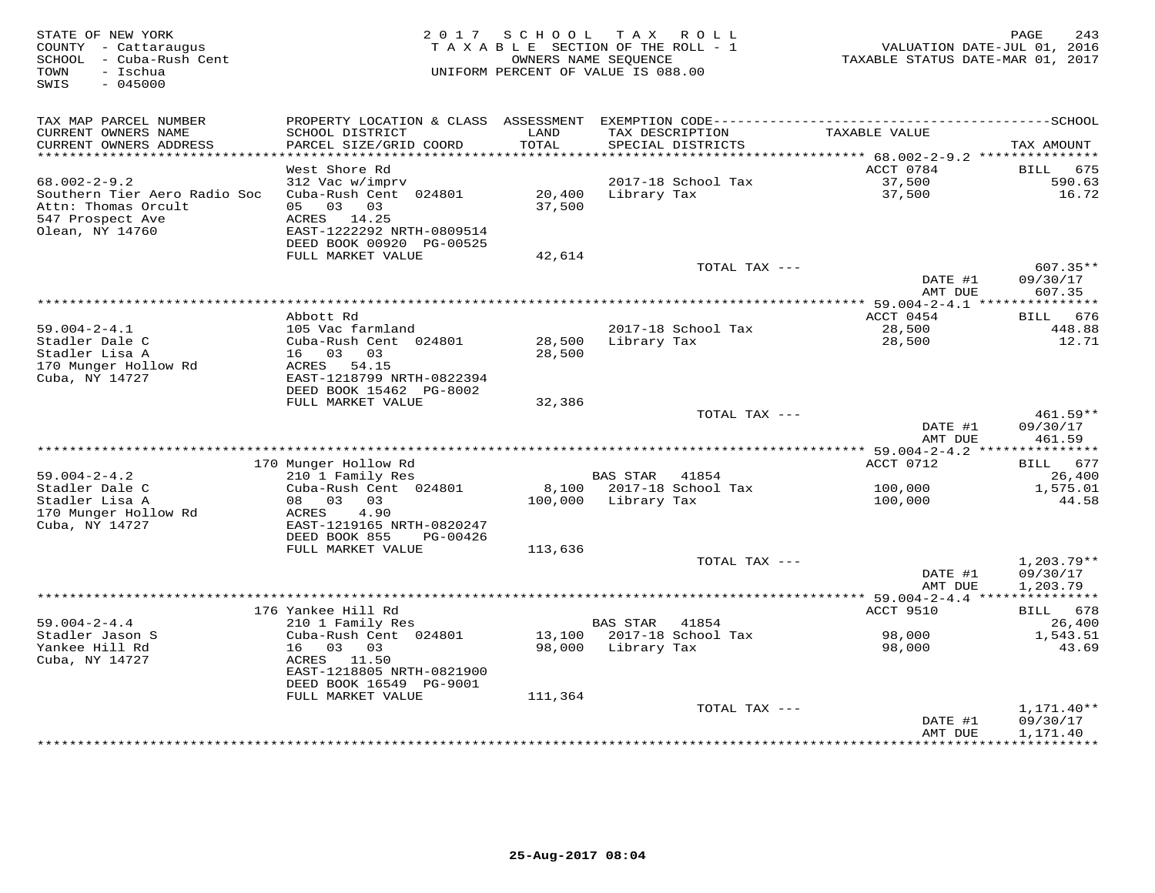| STATE OF NEW YORK<br>COUNTY - Cattaraugus<br>SCHOOL - Cuba-Rush Cent<br>- Ischua<br>TOWN<br>SWIS<br>$-045000$ | 2 0 1 7                                              | SCHOOL  | TAX ROLL<br>TAXABLE SECTION OF THE ROLL - 1<br>OWNERS NAME SEQUENCE<br>UNIFORM PERCENT OF VALUE IS 088.00 | VALUATION DATE-JUL 01, 2016<br>TAXABLE STATUS DATE-MAR 01, 2017 | 243<br>PAGE                  |
|---------------------------------------------------------------------------------------------------------------|------------------------------------------------------|---------|-----------------------------------------------------------------------------------------------------------|-----------------------------------------------------------------|------------------------------|
| TAX MAP PARCEL NUMBER<br>CURRENT OWNERS NAME                                                                  | SCHOOL DISTRICT                                      | LAND    | TAX DESCRIPTION                                                                                           | TAXABLE VALUE                                                   |                              |
| CURRENT OWNERS ADDRESS                                                                                        | PARCEL SIZE/GRID COORD                               | TOTAL   | SPECIAL DISTRICTS                                                                                         |                                                                 | TAX AMOUNT                   |
|                                                                                                               |                                                      | ******  |                                                                                                           | ******* 68.002-2-9.2 *********                                  |                              |
| $68.002 - 2 - 9.2$                                                                                            | West Shore Rd<br>312 Vac w/imprv                     |         | 2017-18 School Tax                                                                                        | ACCT 0784<br>37,500                                             | <b>BILL</b><br>675<br>590.63 |
| Southern Tier Aero Radio Soc                                                                                  | Cuba-Rush Cent 024801                                | 20,400  | Library Tax                                                                                               | 37,500                                                          | 16.72                        |
| Attn: Thomas Orcult                                                                                           | 05<br>03<br>03                                       | 37,500  |                                                                                                           |                                                                 |                              |
| 547 Prospect Ave                                                                                              | ACRES<br>14.25                                       |         |                                                                                                           |                                                                 |                              |
| Olean, NY 14760                                                                                               | EAST-1222292 NRTH-0809514                            |         |                                                                                                           |                                                                 |                              |
|                                                                                                               | DEED BOOK 00920 PG-00525                             |         |                                                                                                           |                                                                 |                              |
|                                                                                                               | FULL MARKET VALUE                                    | 42,614  |                                                                                                           |                                                                 |                              |
|                                                                                                               |                                                      |         | TOTAL TAX ---                                                                                             |                                                                 | $607.35**$                   |
|                                                                                                               |                                                      |         |                                                                                                           | DATE #1<br>AMT DUE                                              | 09/30/17<br>607.35           |
|                                                                                                               |                                                      |         | *********************************                                                                         | **** 59.004-2-4.1 ****************                              |                              |
|                                                                                                               | Abbott Rd                                            |         |                                                                                                           | ACCT 0454                                                       | 676<br>BILL                  |
| $59.004 - 2 - 4.1$                                                                                            | 105 Vac farmland                                     |         | 2017-18 School Tax                                                                                        | 28,500                                                          | 448.88                       |
| Stadler Dale C                                                                                                | Cuba-Rush Cent 024801                                | 28,500  | Library Tax                                                                                               | 28,500                                                          | 12.71                        |
| Stadler Lisa A                                                                                                | 16 03<br>03                                          | 28,500  |                                                                                                           |                                                                 |                              |
| 170 Munger Hollow Rd                                                                                          | ACRES<br>54.15                                       |         |                                                                                                           |                                                                 |                              |
| Cuba, NY 14727                                                                                                | EAST-1218799 NRTH-0822394<br>DEED BOOK 15462 PG-8002 |         |                                                                                                           |                                                                 |                              |
|                                                                                                               | FULL MARKET VALUE                                    | 32,386  |                                                                                                           |                                                                 |                              |
|                                                                                                               |                                                      |         | TOTAL TAX ---                                                                                             |                                                                 | 461.59**                     |
|                                                                                                               |                                                      |         |                                                                                                           | DATE #1                                                         | 09/30/17                     |
|                                                                                                               |                                                      |         |                                                                                                           | AMT DUE                                                         | 461.59                       |
|                                                                                                               |                                                      |         |                                                                                                           |                                                                 |                              |
| $59.004 - 2 - 4.2$                                                                                            | 170 Munger Hollow Rd<br>210 1 Family Res             |         | BAS STAR<br>41854                                                                                         | ACCT 0712                                                       | BILL 677<br>26,400           |
| Stadler Dale C                                                                                                | Cuba-Rush Cent 024801                                | 8,100   | 2017-18 School Tax                                                                                        | 100,000                                                         | 1,575.01                     |
| Stadler Lisa A                                                                                                | 08 03<br>03                                          | 100,000 | Library Tax                                                                                               | 100,000                                                         | 44.58                        |
| 170 Munger Hollow Rd                                                                                          | ACRES<br>4.90                                        |         |                                                                                                           |                                                                 |                              |
| Cuba, NY 14727                                                                                                | EAST-1219165 NRTH-0820247                            |         |                                                                                                           |                                                                 |                              |
|                                                                                                               | DEED BOOK 855<br>PG-00426                            |         |                                                                                                           |                                                                 |                              |
|                                                                                                               | FULL MARKET VALUE                                    | 113,636 |                                                                                                           |                                                                 |                              |
|                                                                                                               |                                                      |         | TOTAL TAX ---                                                                                             | DATE #1                                                         | 1,203.79**                   |
|                                                                                                               |                                                      |         |                                                                                                           | AMT DUE                                                         | 09/30/17<br>1,203.79         |
|                                                                                                               |                                                      |         |                                                                                                           |                                                                 |                              |
|                                                                                                               | 176 Yankee Hill Rd                                   |         |                                                                                                           | ACCT 9510                                                       | BILL<br>678                  |
| $59.004 - 2 - 4.4$                                                                                            | 210 1 Family Res                                     |         | <b>BAS STAR</b><br>41854                                                                                  |                                                                 | 26,400                       |
| Stadler Jason S                                                                                               | Cuba-Rush Cent 024801                                | 13,100  | 2017-18 School Tax                                                                                        | 98,000                                                          | 1,543.51                     |
| Yankee Hill Rd                                                                                                | 16<br>03<br>03                                       | 98,000  | Library Tax                                                                                               | 98,000                                                          | 43.69                        |
| Cuba, NY 14727                                                                                                | ACRES<br>11.50<br>EAST-1218805 NRTH-0821900          |         |                                                                                                           |                                                                 |                              |
|                                                                                                               | DEED BOOK 16549 PG-9001                              |         |                                                                                                           |                                                                 |                              |
|                                                                                                               | FULL MARKET VALUE                                    | 111,364 |                                                                                                           |                                                                 |                              |
|                                                                                                               |                                                      |         | TOTAL TAX ---                                                                                             |                                                                 | $1,171.40**$                 |
|                                                                                                               |                                                      |         |                                                                                                           | DATE #1                                                         | 09/30/17                     |
|                                                                                                               |                                                      |         |                                                                                                           | AMT DUE                                                         | 1,171.40                     |
|                                                                                                               |                                                      |         |                                                                                                           |                                                                 | <b>++++++++++</b>            |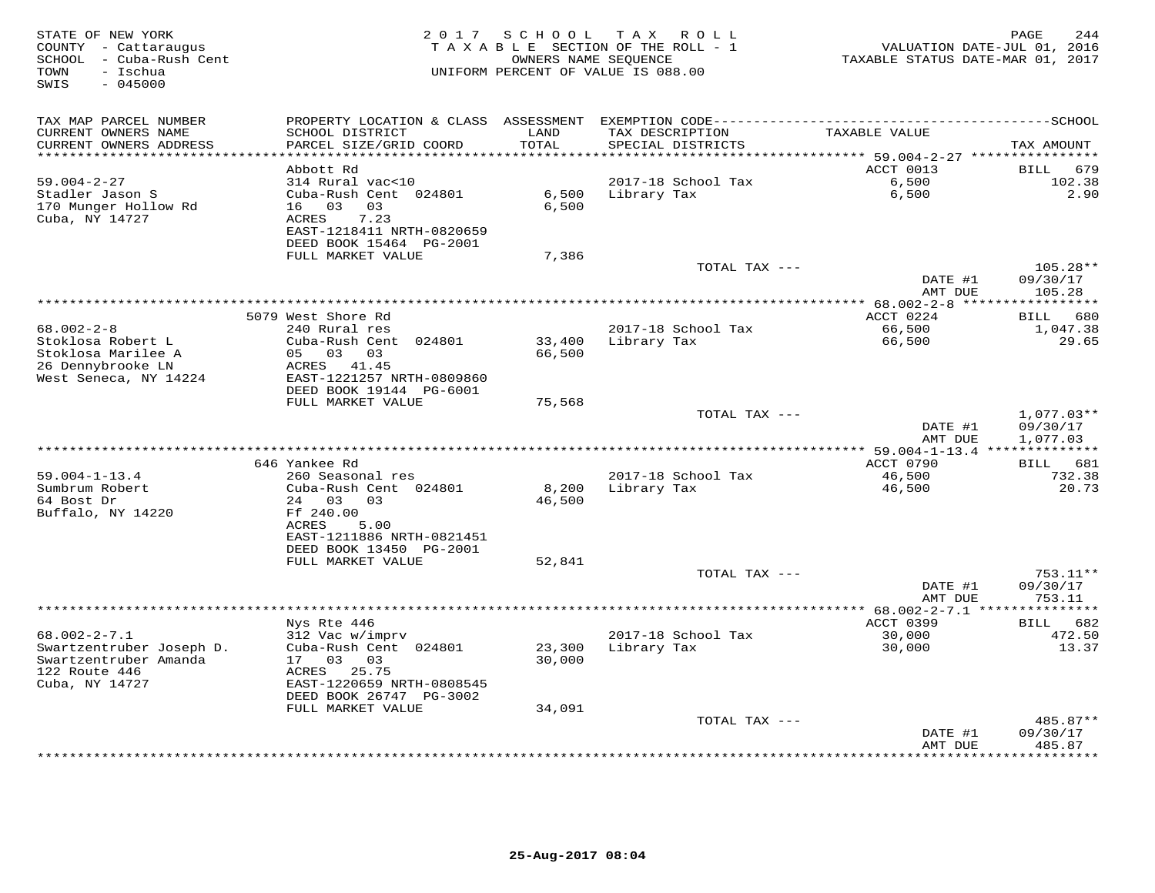| PROPERTY LOCATION & CLASS<br>TAX MAP PARCEL NUMBER<br>ASSESSMENT<br>LAND<br>CURRENT OWNERS NAME<br>SCHOOL DISTRICT<br>TAX DESCRIPTION<br>TAXABLE VALUE<br>TOTAL<br>CURRENT OWNERS ADDRESS<br>PARCEL SIZE/GRID COORD<br>SPECIAL DISTRICTS<br>TAX AMOUNT<br>*****<br>******* 59.004-2-27 **********<br>ACCT 0013<br>679<br>Abbott Rd<br><b>BILL</b><br>$59.004 - 2 - 27$<br>314 Rural vac<10<br>2017-18 School Tax<br>6,500<br>102.38<br>Stadler Jason S<br>Cuba-Rush Cent 024801<br>6,500<br>2.90<br>6,500<br>Library Tax<br>170 Munger Hollow Rd<br>16 03<br>03<br>6,500<br>Cuba, NY 14727<br>7.23<br><b>ACRES</b><br>EAST-1218411 NRTH-0820659<br>DEED BOOK 15464 PG-2001<br>FULL MARKET VALUE<br>7,386<br>105.28**<br>TOTAL TAX ---<br>DATE #1<br>09/30/17<br>AMT DUE<br>105.28<br>************ 68.002-2-8 *****<br>**********<br>5079 West Shore Rd<br>ACCT 0224<br>680<br>BILL<br>$68.002 - 2 - 8$<br>66,500<br>240 Rural res<br>2017-18 School Tax<br>1,047.38<br>Stoklosa Robert L<br>66,500<br>Cuba-Rush Cent 024801<br>33,400<br>Library Tax<br>29.65<br>Stoklosa Marilee A<br>$0.3\qquad 0.3$<br>05<br>66,500<br>26 Dennybrooke LN<br>41.45<br>ACRES<br>West Seneca, NY 14224<br>EAST-1221257 NRTH-0809860<br>DEED BOOK 19144 PG-6001<br>FULL MARKET VALUE<br>75,568<br>TOTAL TAX ---<br>$1,077.03**$<br>DATE #1<br>09/30/17<br>AMT DUE<br>1,077.03<br>********* 59.004-1-13.4 **************<br>646 Yankee Rd<br>ACCT 0790<br>681<br>BILL<br>$59.004 - 1 - 13.4$<br>260 Seasonal res<br>2017-18 School Tax<br>46,500<br>732.38<br>Sumbrum Robert<br>Cuba-Rush Cent 024801<br>8,200<br>Library Tax<br>46,500<br>20.73<br>64 Bost Dr<br>$24^{2}$<br>03<br>0.3<br>46,500<br>Buffalo, NY 14220<br>Ff 240.00<br>ACRES<br>5.00<br>EAST-1211886 NRTH-0821451<br>DEED BOOK 13450 PG-2001<br>FULL MARKET VALUE<br>52,841<br>TOTAL TAX ---<br>753.11**<br>09/30/17<br>DATE #1<br>753.11<br>AMT DUE<br>*************<br>* 68.002-2-7.1<br>ACCT 0399<br>Nys Rte 446<br>682<br>BILL<br>$68.002 - 2 - 7.1$<br>2017-18 School Tax<br>312 Vac w/imprv<br>30,000<br>472.50<br>23,300<br>30,000<br>Swartzentruber Joseph D.<br>Cuba-Rush Cent 024801<br>Library Tax<br>13.37<br>Swartzentruber Amanda<br>17 03<br>03<br>30,000<br>122 Route 446<br>25.75<br>ACRES<br>Cuba, NY 14727<br>EAST-1220659 NRTH-0808545<br>DEED BOOK 26747 PG-3002<br>FULL MARKET VALUE<br>34,091<br>485.87**<br>TOTAL TAX ---<br>09/30/17<br>DATE #1<br>485.87<br>AMT DUE<br>******* | STATE OF NEW YORK<br>COUNTY - Cattaraugus<br>SCHOOL - Cuba-Rush Cent<br>- Ischua<br>TOWN<br>$-045000$<br>SWIS | 2 0 1 7 | SCHOOL | TAX ROLL<br>TAXABLE SECTION OF THE ROLL - 1<br>OWNERS NAME SEQUENCE<br>UNIFORM PERCENT OF VALUE IS 088.00 | VALUATION DATE-JUL 01, 2016<br>TAXABLE STATUS DATE-MAR 01, 2017 | 244<br>PAGE |
|--------------------------------------------------------------------------------------------------------------------------------------------------------------------------------------------------------------------------------------------------------------------------------------------------------------------------------------------------------------------------------------------------------------------------------------------------------------------------------------------------------------------------------------------------------------------------------------------------------------------------------------------------------------------------------------------------------------------------------------------------------------------------------------------------------------------------------------------------------------------------------------------------------------------------------------------------------------------------------------------------------------------------------------------------------------------------------------------------------------------------------------------------------------------------------------------------------------------------------------------------------------------------------------------------------------------------------------------------------------------------------------------------------------------------------------------------------------------------------------------------------------------------------------------------------------------------------------------------------------------------------------------------------------------------------------------------------------------------------------------------------------------------------------------------------------------------------------------------------------------------------------------------------------------------------------------------------------------------------------------------------------------------------------------------------------------------------------------------------------------------------------------------------------------------------------------------------------------------------------------------------------------------------------------------------------------------------------------------------------------------------------------------------------------------------------------------------|---------------------------------------------------------------------------------------------------------------|---------|--------|-----------------------------------------------------------------------------------------------------------|-----------------------------------------------------------------|-------------|
|                                                                                                                                                                                                                                                                                                                                                                                                                                                                                                                                                                                                                                                                                                                                                                                                                                                                                                                                                                                                                                                                                                                                                                                                                                                                                                                                                                                                                                                                                                                                                                                                                                                                                                                                                                                                                                                                                                                                                                                                                                                                                                                                                                                                                                                                                                                                                                                                                                                        |                                                                                                               |         |        |                                                                                                           |                                                                 |             |
|                                                                                                                                                                                                                                                                                                                                                                                                                                                                                                                                                                                                                                                                                                                                                                                                                                                                                                                                                                                                                                                                                                                                                                                                                                                                                                                                                                                                                                                                                                                                                                                                                                                                                                                                                                                                                                                                                                                                                                                                                                                                                                                                                                                                                                                                                                                                                                                                                                                        |                                                                                                               |         |        |                                                                                                           |                                                                 |             |
|                                                                                                                                                                                                                                                                                                                                                                                                                                                                                                                                                                                                                                                                                                                                                                                                                                                                                                                                                                                                                                                                                                                                                                                                                                                                                                                                                                                                                                                                                                                                                                                                                                                                                                                                                                                                                                                                                                                                                                                                                                                                                                                                                                                                                                                                                                                                                                                                                                                        |                                                                                                               |         |        |                                                                                                           |                                                                 |             |
|                                                                                                                                                                                                                                                                                                                                                                                                                                                                                                                                                                                                                                                                                                                                                                                                                                                                                                                                                                                                                                                                                                                                                                                                                                                                                                                                                                                                                                                                                                                                                                                                                                                                                                                                                                                                                                                                                                                                                                                                                                                                                                                                                                                                                                                                                                                                                                                                                                                        |                                                                                                               |         |        |                                                                                                           |                                                                 |             |
|                                                                                                                                                                                                                                                                                                                                                                                                                                                                                                                                                                                                                                                                                                                                                                                                                                                                                                                                                                                                                                                                                                                                                                                                                                                                                                                                                                                                                                                                                                                                                                                                                                                                                                                                                                                                                                                                                                                                                                                                                                                                                                                                                                                                                                                                                                                                                                                                                                                        |                                                                                                               |         |        |                                                                                                           |                                                                 |             |
|                                                                                                                                                                                                                                                                                                                                                                                                                                                                                                                                                                                                                                                                                                                                                                                                                                                                                                                                                                                                                                                                                                                                                                                                                                                                                                                                                                                                                                                                                                                                                                                                                                                                                                                                                                                                                                                                                                                                                                                                                                                                                                                                                                                                                                                                                                                                                                                                                                                        |                                                                                                               |         |        |                                                                                                           |                                                                 |             |
|                                                                                                                                                                                                                                                                                                                                                                                                                                                                                                                                                                                                                                                                                                                                                                                                                                                                                                                                                                                                                                                                                                                                                                                                                                                                                                                                                                                                                                                                                                                                                                                                                                                                                                                                                                                                                                                                                                                                                                                                                                                                                                                                                                                                                                                                                                                                                                                                                                                        |                                                                                                               |         |        |                                                                                                           |                                                                 |             |
|                                                                                                                                                                                                                                                                                                                                                                                                                                                                                                                                                                                                                                                                                                                                                                                                                                                                                                                                                                                                                                                                                                                                                                                                                                                                                                                                                                                                                                                                                                                                                                                                                                                                                                                                                                                                                                                                                                                                                                                                                                                                                                                                                                                                                                                                                                                                                                                                                                                        |                                                                                                               |         |        |                                                                                                           |                                                                 |             |
|                                                                                                                                                                                                                                                                                                                                                                                                                                                                                                                                                                                                                                                                                                                                                                                                                                                                                                                                                                                                                                                                                                                                                                                                                                                                                                                                                                                                                                                                                                                                                                                                                                                                                                                                                                                                                                                                                                                                                                                                                                                                                                                                                                                                                                                                                                                                                                                                                                                        |                                                                                                               |         |        |                                                                                                           |                                                                 |             |
|                                                                                                                                                                                                                                                                                                                                                                                                                                                                                                                                                                                                                                                                                                                                                                                                                                                                                                                                                                                                                                                                                                                                                                                                                                                                                                                                                                                                                                                                                                                                                                                                                                                                                                                                                                                                                                                                                                                                                                                                                                                                                                                                                                                                                                                                                                                                                                                                                                                        |                                                                                                               |         |        |                                                                                                           |                                                                 |             |
|                                                                                                                                                                                                                                                                                                                                                                                                                                                                                                                                                                                                                                                                                                                                                                                                                                                                                                                                                                                                                                                                                                                                                                                                                                                                                                                                                                                                                                                                                                                                                                                                                                                                                                                                                                                                                                                                                                                                                                                                                                                                                                                                                                                                                                                                                                                                                                                                                                                        |                                                                                                               |         |        |                                                                                                           |                                                                 |             |
|                                                                                                                                                                                                                                                                                                                                                                                                                                                                                                                                                                                                                                                                                                                                                                                                                                                                                                                                                                                                                                                                                                                                                                                                                                                                                                                                                                                                                                                                                                                                                                                                                                                                                                                                                                                                                                                                                                                                                                                                                                                                                                                                                                                                                                                                                                                                                                                                                                                        |                                                                                                               |         |        |                                                                                                           |                                                                 |             |
|                                                                                                                                                                                                                                                                                                                                                                                                                                                                                                                                                                                                                                                                                                                                                                                                                                                                                                                                                                                                                                                                                                                                                                                                                                                                                                                                                                                                                                                                                                                                                                                                                                                                                                                                                                                                                                                                                                                                                                                                                                                                                                                                                                                                                                                                                                                                                                                                                                                        |                                                                                                               |         |        |                                                                                                           |                                                                 |             |
|                                                                                                                                                                                                                                                                                                                                                                                                                                                                                                                                                                                                                                                                                                                                                                                                                                                                                                                                                                                                                                                                                                                                                                                                                                                                                                                                                                                                                                                                                                                                                                                                                                                                                                                                                                                                                                                                                                                                                                                                                                                                                                                                                                                                                                                                                                                                                                                                                                                        |                                                                                                               |         |        |                                                                                                           |                                                                 |             |
|                                                                                                                                                                                                                                                                                                                                                                                                                                                                                                                                                                                                                                                                                                                                                                                                                                                                                                                                                                                                                                                                                                                                                                                                                                                                                                                                                                                                                                                                                                                                                                                                                                                                                                                                                                                                                                                                                                                                                                                                                                                                                                                                                                                                                                                                                                                                                                                                                                                        |                                                                                                               |         |        |                                                                                                           |                                                                 |             |
|                                                                                                                                                                                                                                                                                                                                                                                                                                                                                                                                                                                                                                                                                                                                                                                                                                                                                                                                                                                                                                                                                                                                                                                                                                                                                                                                                                                                                                                                                                                                                                                                                                                                                                                                                                                                                                                                                                                                                                                                                                                                                                                                                                                                                                                                                                                                                                                                                                                        |                                                                                                               |         |        |                                                                                                           |                                                                 |             |
|                                                                                                                                                                                                                                                                                                                                                                                                                                                                                                                                                                                                                                                                                                                                                                                                                                                                                                                                                                                                                                                                                                                                                                                                                                                                                                                                                                                                                                                                                                                                                                                                                                                                                                                                                                                                                                                                                                                                                                                                                                                                                                                                                                                                                                                                                                                                                                                                                                                        |                                                                                                               |         |        |                                                                                                           |                                                                 |             |
|                                                                                                                                                                                                                                                                                                                                                                                                                                                                                                                                                                                                                                                                                                                                                                                                                                                                                                                                                                                                                                                                                                                                                                                                                                                                                                                                                                                                                                                                                                                                                                                                                                                                                                                                                                                                                                                                                                                                                                                                                                                                                                                                                                                                                                                                                                                                                                                                                                                        |                                                                                                               |         |        |                                                                                                           |                                                                 |             |
|                                                                                                                                                                                                                                                                                                                                                                                                                                                                                                                                                                                                                                                                                                                                                                                                                                                                                                                                                                                                                                                                                                                                                                                                                                                                                                                                                                                                                                                                                                                                                                                                                                                                                                                                                                                                                                                                                                                                                                                                                                                                                                                                                                                                                                                                                                                                                                                                                                                        |                                                                                                               |         |        |                                                                                                           |                                                                 |             |
|                                                                                                                                                                                                                                                                                                                                                                                                                                                                                                                                                                                                                                                                                                                                                                                                                                                                                                                                                                                                                                                                                                                                                                                                                                                                                                                                                                                                                                                                                                                                                                                                                                                                                                                                                                                                                                                                                                                                                                                                                                                                                                                                                                                                                                                                                                                                                                                                                                                        |                                                                                                               |         |        |                                                                                                           |                                                                 |             |
|                                                                                                                                                                                                                                                                                                                                                                                                                                                                                                                                                                                                                                                                                                                                                                                                                                                                                                                                                                                                                                                                                                                                                                                                                                                                                                                                                                                                                                                                                                                                                                                                                                                                                                                                                                                                                                                                                                                                                                                                                                                                                                                                                                                                                                                                                                                                                                                                                                                        |                                                                                                               |         |        |                                                                                                           |                                                                 |             |
|                                                                                                                                                                                                                                                                                                                                                                                                                                                                                                                                                                                                                                                                                                                                                                                                                                                                                                                                                                                                                                                                                                                                                                                                                                                                                                                                                                                                                                                                                                                                                                                                                                                                                                                                                                                                                                                                                                                                                                                                                                                                                                                                                                                                                                                                                                                                                                                                                                                        |                                                                                                               |         |        |                                                                                                           |                                                                 |             |
|                                                                                                                                                                                                                                                                                                                                                                                                                                                                                                                                                                                                                                                                                                                                                                                                                                                                                                                                                                                                                                                                                                                                                                                                                                                                                                                                                                                                                                                                                                                                                                                                                                                                                                                                                                                                                                                                                                                                                                                                                                                                                                                                                                                                                                                                                                                                                                                                                                                        |                                                                                                               |         |        |                                                                                                           |                                                                 |             |
|                                                                                                                                                                                                                                                                                                                                                                                                                                                                                                                                                                                                                                                                                                                                                                                                                                                                                                                                                                                                                                                                                                                                                                                                                                                                                                                                                                                                                                                                                                                                                                                                                                                                                                                                                                                                                                                                                                                                                                                                                                                                                                                                                                                                                                                                                                                                                                                                                                                        |                                                                                                               |         |        |                                                                                                           |                                                                 |             |
|                                                                                                                                                                                                                                                                                                                                                                                                                                                                                                                                                                                                                                                                                                                                                                                                                                                                                                                                                                                                                                                                                                                                                                                                                                                                                                                                                                                                                                                                                                                                                                                                                                                                                                                                                                                                                                                                                                                                                                                                                                                                                                                                                                                                                                                                                                                                                                                                                                                        |                                                                                                               |         |        |                                                                                                           |                                                                 |             |
|                                                                                                                                                                                                                                                                                                                                                                                                                                                                                                                                                                                                                                                                                                                                                                                                                                                                                                                                                                                                                                                                                                                                                                                                                                                                                                                                                                                                                                                                                                                                                                                                                                                                                                                                                                                                                                                                                                                                                                                                                                                                                                                                                                                                                                                                                                                                                                                                                                                        |                                                                                                               |         |        |                                                                                                           |                                                                 |             |
|                                                                                                                                                                                                                                                                                                                                                                                                                                                                                                                                                                                                                                                                                                                                                                                                                                                                                                                                                                                                                                                                                                                                                                                                                                                                                                                                                                                                                                                                                                                                                                                                                                                                                                                                                                                                                                                                                                                                                                                                                                                                                                                                                                                                                                                                                                                                                                                                                                                        |                                                                                                               |         |        |                                                                                                           |                                                                 |             |
|                                                                                                                                                                                                                                                                                                                                                                                                                                                                                                                                                                                                                                                                                                                                                                                                                                                                                                                                                                                                                                                                                                                                                                                                                                                                                                                                                                                                                                                                                                                                                                                                                                                                                                                                                                                                                                                                                                                                                                                                                                                                                                                                                                                                                                                                                                                                                                                                                                                        |                                                                                                               |         |        |                                                                                                           |                                                                 |             |
|                                                                                                                                                                                                                                                                                                                                                                                                                                                                                                                                                                                                                                                                                                                                                                                                                                                                                                                                                                                                                                                                                                                                                                                                                                                                                                                                                                                                                                                                                                                                                                                                                                                                                                                                                                                                                                                                                                                                                                                                                                                                                                                                                                                                                                                                                                                                                                                                                                                        |                                                                                                               |         |        |                                                                                                           |                                                                 |             |
|                                                                                                                                                                                                                                                                                                                                                                                                                                                                                                                                                                                                                                                                                                                                                                                                                                                                                                                                                                                                                                                                                                                                                                                                                                                                                                                                                                                                                                                                                                                                                                                                                                                                                                                                                                                                                                                                                                                                                                                                                                                                                                                                                                                                                                                                                                                                                                                                                                                        |                                                                                                               |         |        |                                                                                                           |                                                                 |             |
|                                                                                                                                                                                                                                                                                                                                                                                                                                                                                                                                                                                                                                                                                                                                                                                                                                                                                                                                                                                                                                                                                                                                                                                                                                                                                                                                                                                                                                                                                                                                                                                                                                                                                                                                                                                                                                                                                                                                                                                                                                                                                                                                                                                                                                                                                                                                                                                                                                                        |                                                                                                               |         |        |                                                                                                           |                                                                 |             |
|                                                                                                                                                                                                                                                                                                                                                                                                                                                                                                                                                                                                                                                                                                                                                                                                                                                                                                                                                                                                                                                                                                                                                                                                                                                                                                                                                                                                                                                                                                                                                                                                                                                                                                                                                                                                                                                                                                                                                                                                                                                                                                                                                                                                                                                                                                                                                                                                                                                        |                                                                                                               |         |        |                                                                                                           |                                                                 |             |
|                                                                                                                                                                                                                                                                                                                                                                                                                                                                                                                                                                                                                                                                                                                                                                                                                                                                                                                                                                                                                                                                                                                                                                                                                                                                                                                                                                                                                                                                                                                                                                                                                                                                                                                                                                                                                                                                                                                                                                                                                                                                                                                                                                                                                                                                                                                                                                                                                                                        |                                                                                                               |         |        |                                                                                                           |                                                                 |             |
|                                                                                                                                                                                                                                                                                                                                                                                                                                                                                                                                                                                                                                                                                                                                                                                                                                                                                                                                                                                                                                                                                                                                                                                                                                                                                                                                                                                                                                                                                                                                                                                                                                                                                                                                                                                                                                                                                                                                                                                                                                                                                                                                                                                                                                                                                                                                                                                                                                                        |                                                                                                               |         |        |                                                                                                           |                                                                 |             |
|                                                                                                                                                                                                                                                                                                                                                                                                                                                                                                                                                                                                                                                                                                                                                                                                                                                                                                                                                                                                                                                                                                                                                                                                                                                                                                                                                                                                                                                                                                                                                                                                                                                                                                                                                                                                                                                                                                                                                                                                                                                                                                                                                                                                                                                                                                                                                                                                                                                        |                                                                                                               |         |        |                                                                                                           |                                                                 |             |
|                                                                                                                                                                                                                                                                                                                                                                                                                                                                                                                                                                                                                                                                                                                                                                                                                                                                                                                                                                                                                                                                                                                                                                                                                                                                                                                                                                                                                                                                                                                                                                                                                                                                                                                                                                                                                                                                                                                                                                                                                                                                                                                                                                                                                                                                                                                                                                                                                                                        |                                                                                                               |         |        |                                                                                                           |                                                                 |             |
|                                                                                                                                                                                                                                                                                                                                                                                                                                                                                                                                                                                                                                                                                                                                                                                                                                                                                                                                                                                                                                                                                                                                                                                                                                                                                                                                                                                                                                                                                                                                                                                                                                                                                                                                                                                                                                                                                                                                                                                                                                                                                                                                                                                                                                                                                                                                                                                                                                                        |                                                                                                               |         |        |                                                                                                           |                                                                 |             |
|                                                                                                                                                                                                                                                                                                                                                                                                                                                                                                                                                                                                                                                                                                                                                                                                                                                                                                                                                                                                                                                                                                                                                                                                                                                                                                                                                                                                                                                                                                                                                                                                                                                                                                                                                                                                                                                                                                                                                                                                                                                                                                                                                                                                                                                                                                                                                                                                                                                        |                                                                                                               |         |        |                                                                                                           |                                                                 |             |
|                                                                                                                                                                                                                                                                                                                                                                                                                                                                                                                                                                                                                                                                                                                                                                                                                                                                                                                                                                                                                                                                                                                                                                                                                                                                                                                                                                                                                                                                                                                                                                                                                                                                                                                                                                                                                                                                                                                                                                                                                                                                                                                                                                                                                                                                                                                                                                                                                                                        |                                                                                                               |         |        |                                                                                                           |                                                                 |             |
|                                                                                                                                                                                                                                                                                                                                                                                                                                                                                                                                                                                                                                                                                                                                                                                                                                                                                                                                                                                                                                                                                                                                                                                                                                                                                                                                                                                                                                                                                                                                                                                                                                                                                                                                                                                                                                                                                                                                                                                                                                                                                                                                                                                                                                                                                                                                                                                                                                                        |                                                                                                               |         |        |                                                                                                           |                                                                 |             |
|                                                                                                                                                                                                                                                                                                                                                                                                                                                                                                                                                                                                                                                                                                                                                                                                                                                                                                                                                                                                                                                                                                                                                                                                                                                                                                                                                                                                                                                                                                                                                                                                                                                                                                                                                                                                                                                                                                                                                                                                                                                                                                                                                                                                                                                                                                                                                                                                                                                        |                                                                                                               |         |        |                                                                                                           |                                                                 |             |
|                                                                                                                                                                                                                                                                                                                                                                                                                                                                                                                                                                                                                                                                                                                                                                                                                                                                                                                                                                                                                                                                                                                                                                                                                                                                                                                                                                                                                                                                                                                                                                                                                                                                                                                                                                                                                                                                                                                                                                                                                                                                                                                                                                                                                                                                                                                                                                                                                                                        |                                                                                                               |         |        |                                                                                                           |                                                                 |             |
|                                                                                                                                                                                                                                                                                                                                                                                                                                                                                                                                                                                                                                                                                                                                                                                                                                                                                                                                                                                                                                                                                                                                                                                                                                                                                                                                                                                                                                                                                                                                                                                                                                                                                                                                                                                                                                                                                                                                                                                                                                                                                                                                                                                                                                                                                                                                                                                                                                                        |                                                                                                               |         |        |                                                                                                           |                                                                 |             |
|                                                                                                                                                                                                                                                                                                                                                                                                                                                                                                                                                                                                                                                                                                                                                                                                                                                                                                                                                                                                                                                                                                                                                                                                                                                                                                                                                                                                                                                                                                                                                                                                                                                                                                                                                                                                                                                                                                                                                                                                                                                                                                                                                                                                                                                                                                                                                                                                                                                        |                                                                                                               |         |        |                                                                                                           |                                                                 |             |
|                                                                                                                                                                                                                                                                                                                                                                                                                                                                                                                                                                                                                                                                                                                                                                                                                                                                                                                                                                                                                                                                                                                                                                                                                                                                                                                                                                                                                                                                                                                                                                                                                                                                                                                                                                                                                                                                                                                                                                                                                                                                                                                                                                                                                                                                                                                                                                                                                                                        |                                                                                                               |         |        |                                                                                                           |                                                                 |             |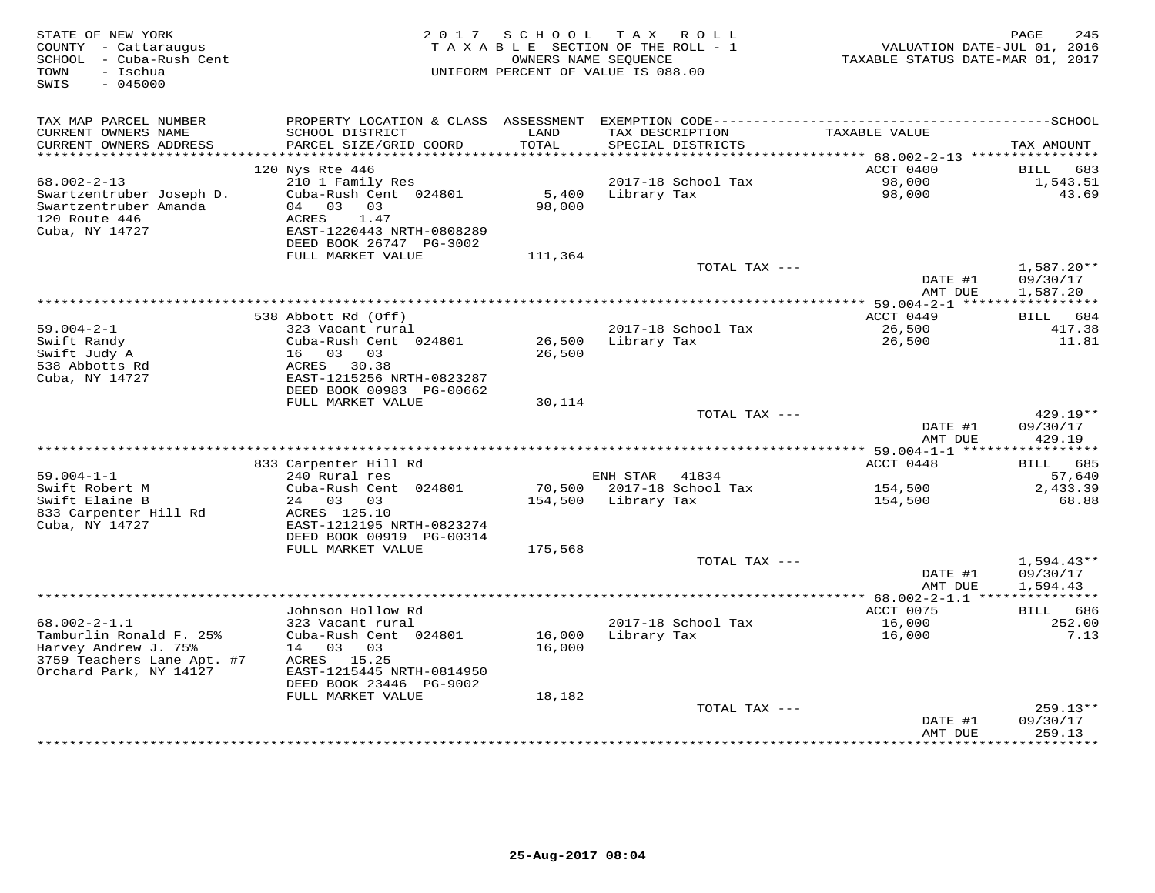| STATE OF NEW YORK<br>COUNTY - Cattaraugus<br>SCHOOL - Cuba-Rush Cent<br>- Ischua<br>TOWN<br>SWIS<br>$-045000$ |                                                      | 2017 SCHOOL      | TAX ROLL<br>TAXABLE SECTION OF THE ROLL - 1<br>OWNERS NAME SEQUENCE<br>UNIFORM PERCENT OF VALUE IS 088.00 | VALUATION DATE-JUL 01, 2016<br>TAXABLE STATUS DATE-MAR 01, 2017 | 245<br>PAGE           |
|---------------------------------------------------------------------------------------------------------------|------------------------------------------------------|------------------|-----------------------------------------------------------------------------------------------------------|-----------------------------------------------------------------|-----------------------|
| TAX MAP PARCEL NUMBER                                                                                         | PROPERTY LOCATION & CLASS ASSESSMENT                 |                  |                                                                                                           |                                                                 |                       |
| CURRENT OWNERS NAME<br>CURRENT OWNERS ADDRESS<br>***********************                                      | SCHOOL DISTRICT<br>PARCEL SIZE/GRID COORD            | LAND<br>TOTAL    | TAX DESCRIPTION<br>SPECIAL DISTRICTS                                                                      | TAXABLE VALUE                                                   | TAX AMOUNT            |
|                                                                                                               | 120 Nys Rte 446                                      |                  |                                                                                                           | ACCT 0400                                                       | BILL<br>683           |
| $68.002 - 2 - 13$                                                                                             | 210 1 Family Res                                     |                  | 2017-18 School Tax                                                                                        | 98,000                                                          | 1,543.51              |
| Swartzentruber Joseph D.<br>Swartzentruber Amanda<br>120 Route 446                                            | Cuba-Rush Cent 024801<br>04 03 03<br>ACRES<br>1.47   | 5,400<br>98,000  | Library Tax                                                                                               | 98,000                                                          | 43.69                 |
| Cuba, NY 14727                                                                                                | EAST-1220443 NRTH-0808289<br>DEED BOOK 26747 PG-3002 |                  |                                                                                                           |                                                                 |                       |
|                                                                                                               | FULL MARKET VALUE                                    | 111,364          | TOTAL TAX ---                                                                                             |                                                                 | $1,587.20**$          |
|                                                                                                               |                                                      |                  |                                                                                                           | DATE #1<br>AMT DUE                                              | 09/30/17<br>1,587.20  |
|                                                                                                               |                                                      |                  |                                                                                                           | ** 59.004-2-1 ***                                               | * * * * * * * * * * * |
|                                                                                                               | 538 Abbott Rd (Off)                                  |                  |                                                                                                           | ACCT 0449                                                       | BILL 684              |
| $59.004 - 2 - 1$                                                                                              | 323 Vacant rural                                     |                  | 2017-18 School Tax                                                                                        | 26,500                                                          | 417.38                |
| Swift Randy                                                                                                   | Cuba-Rush Cent 024801                                | 26,500           | Library Tax                                                                                               | 26,500                                                          | 11.81                 |
| Swift Judy A<br>538 Abbotts Rd                                                                                | 16 03 03<br>ACRES 30.38                              | 26,500           |                                                                                                           |                                                                 |                       |
| Cuba, NY 14727                                                                                                | EAST-1215256 NRTH-0823287                            |                  |                                                                                                           |                                                                 |                       |
|                                                                                                               | DEED BOOK 00983 PG-00662                             |                  |                                                                                                           |                                                                 |                       |
|                                                                                                               | FULL MARKET VALUE                                    | 30,114           |                                                                                                           |                                                                 |                       |
|                                                                                                               |                                                      |                  | TOTAL TAX ---                                                                                             |                                                                 | $429.19**$            |
|                                                                                                               |                                                      |                  |                                                                                                           | DATE #1<br>AMT DUE                                              | 09/30/17<br>429.19    |
|                                                                                                               |                                                      |                  |                                                                                                           |                                                                 |                       |
|                                                                                                               | 833 Carpenter Hill Rd                                |                  |                                                                                                           | ACCT 0448                                                       | BILL 685              |
| $59.004 - 1 - 1$                                                                                              | 240 Rural res                                        |                  | ENH STAR 41834                                                                                            |                                                                 | 57,640                |
| Swift Robert M<br>Swift Elaine B                                                                              | Cuba-Rush Cent 024801<br>24 03 03                    |                  | 70,500 2017-18 School Tax                                                                                 | 154,500                                                         | 2,433.39              |
| 833 Carpenter Hill Rd                                                                                         | ACRES 125.10                                         | 154,500          | Library Tax                                                                                               | 154,500                                                         | 68.88                 |
| Cuba, NY 14727                                                                                                | EAST-1212195 NRTH-0823274                            |                  |                                                                                                           |                                                                 |                       |
|                                                                                                               | DEED BOOK 00919 PG-00314                             |                  |                                                                                                           |                                                                 |                       |
|                                                                                                               | FULL MARKET VALUE                                    | 175,568          |                                                                                                           |                                                                 |                       |
|                                                                                                               |                                                      |                  | TOTAL TAX ---                                                                                             |                                                                 | $1,594.43**$          |
|                                                                                                               |                                                      |                  |                                                                                                           | DATE #1<br>AMT DUE                                              | 09/30/17<br>1,594.43  |
|                                                                                                               |                                                      |                  |                                                                                                           | ************** 68.002-2-1.1 ****************                    |                       |
|                                                                                                               | Johnson Hollow Rd                                    |                  |                                                                                                           | ACCT 0075                                                       | BILL<br>686           |
| $68.002 - 2 - 1.1$                                                                                            | 323 Vacant rural                                     |                  | 2017-18 School Tax                                                                                        | 16,000                                                          | 252.00                |
| Tamburlin Ronald F. 25%<br>Harvey Andrew J. 75%                                                               | Cuba-Rush Cent 024801<br>14 03 03                    | 16,000<br>16,000 | Library Tax                                                                                               | 16,000                                                          | 7.13                  |
| 3759 Teachers Lane Apt. #7<br>Orchard Park, NY 14127                                                          | ACRES 15.25<br>EAST-1215445 NRTH-0814950             |                  |                                                                                                           |                                                                 |                       |
|                                                                                                               | DEED BOOK 23446 PG-9002                              |                  |                                                                                                           |                                                                 |                       |
|                                                                                                               | FULL MARKET VALUE                                    | 18,182           | TOTAL TAX ---                                                                                             |                                                                 | $259.13**$            |
|                                                                                                               |                                                      |                  |                                                                                                           | DATE #1                                                         | 09/30/17              |
|                                                                                                               |                                                      |                  |                                                                                                           | AMT DUE                                                         | 259.13<br>*********   |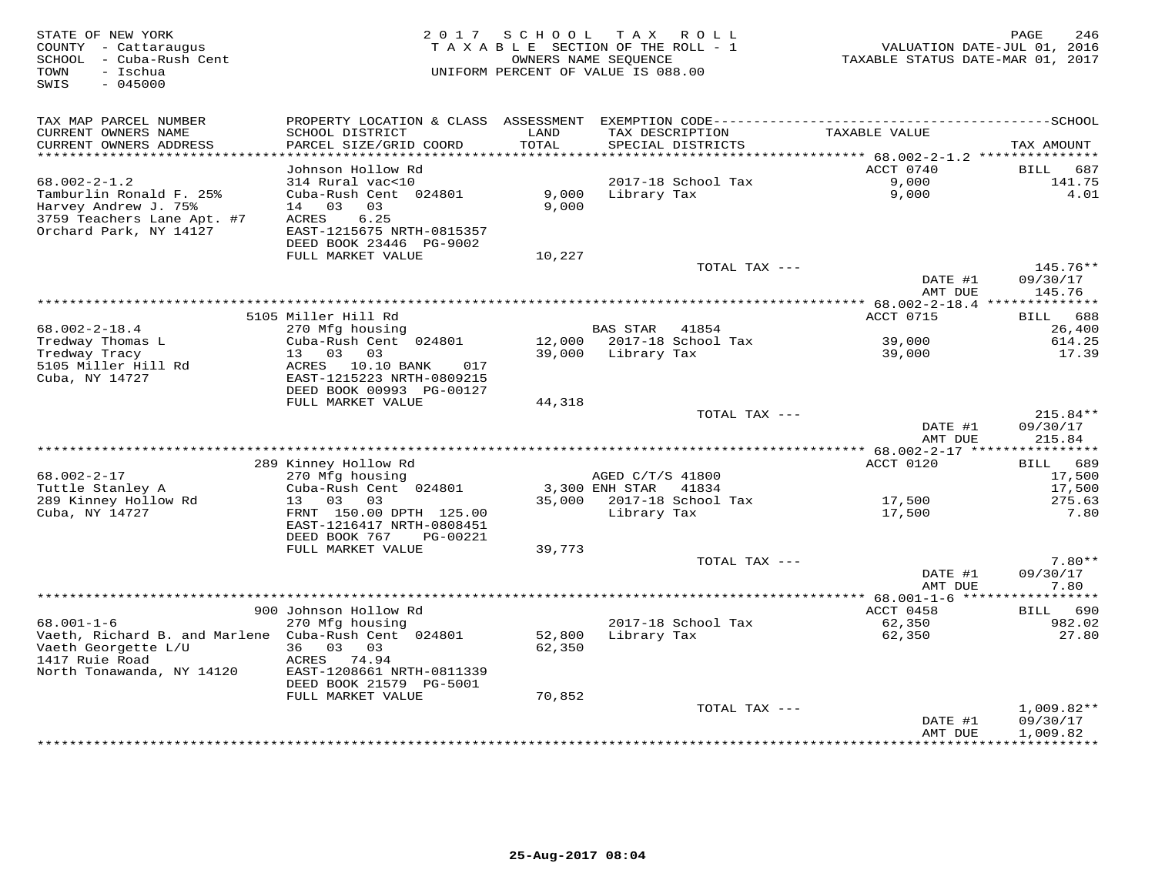| STATE OF NEW YORK<br>COUNTY - Cattaraugus<br>SCHOOL - Cuba-Rush Cent<br>- Ischua<br>TOWN<br>SWIS<br>$-045000$ | 2 0 1 7                                                                | SCHOOL                      | TAX ROLL<br>TAXABLE SECTION OF THE ROLL - 1<br>OWNERS NAME SEQUENCE<br>UNIFORM PERCENT OF VALUE IS 088.00 | VALUATION DATE-JUL 01, 2016<br>TAXABLE STATUS DATE-MAR 01, 2017 | PAGE<br>246                          |
|---------------------------------------------------------------------------------------------------------------|------------------------------------------------------------------------|-----------------------------|-----------------------------------------------------------------------------------------------------------|-----------------------------------------------------------------|--------------------------------------|
| TAX MAP PARCEL NUMBER                                                                                         |                                                                        |                             |                                                                                                           |                                                                 |                                      |
| CURRENT OWNERS NAME<br>CURRENT OWNERS ADDRESS<br>***********************                                      | SCHOOL DISTRICT<br>PARCEL SIZE/GRID COORD<br>***********               | LAND<br>TOTAL<br>********** | TAX DESCRIPTION<br>SPECIAL DISTRICTS<br>*********************                                             | TAXABLE VALUE                                                   | TAX AMOUNT                           |
|                                                                                                               | Johnson Hollow Rd                                                      |                             |                                                                                                           | ************ 68.002-2-1.2 ********<br>ACCT 0740                 | <b>BILL</b><br>687                   |
| $68.002 - 2 - 1.2$                                                                                            | 314 Rural vac<10                                                       |                             | 2017-18 School Tax                                                                                        | 9,000                                                           | 141.75                               |
| Tamburlin Ronald F. 25%<br>Harvey Andrew J. 75%<br>3759 Teachers Lane Apt. #7                                 | Cuba-Rush Cent 024801<br>14 03<br>03<br>6.25<br>ACRES                  | 9,000<br>9,000              | Library Tax                                                                                               | 9,000                                                           | 4.01                                 |
| Orchard Park, NY 14127                                                                                        | EAST-1215675 NRTH-0815357<br>DEED BOOK 23446 PG-9002                   |                             |                                                                                                           |                                                                 |                                      |
|                                                                                                               | FULL MARKET VALUE                                                      | 10,227                      |                                                                                                           |                                                                 |                                      |
|                                                                                                               |                                                                        |                             | TOTAL TAX ---                                                                                             | DATE #1<br>AMT DUE                                              | 145.76**<br>09/30/17<br>145.76       |
|                                                                                                               |                                                                        |                             |                                                                                                           | *** 68.002-2-18.4 **************                                |                                      |
|                                                                                                               | 5105 Miller Hill Rd                                                    |                             |                                                                                                           | ACCT 0715                                                       | 688<br>BILL                          |
| $68.002 - 2 - 18.4$<br>Tredway Thomas L                                                                       | 270 Mfg housing<br>Cuba-Rush Cent 024801                               | 12,000                      | <b>BAS STAR</b><br>41854<br>2017-18 School Tax                                                            | 39,000                                                          | 26,400<br>614.25                     |
| Tredway Tracy<br>5105 Miller Hill Rd<br>Cuba, NY 14727                                                        | 13 03<br>03<br>ACRES 10.10 BANK<br>017<br>EAST-1215223 NRTH-0809215    | 39,000                      | Library Tax                                                                                               | 39,000                                                          | 17.39                                |
|                                                                                                               | DEED BOOK 00993 PG-00127                                               |                             |                                                                                                           |                                                                 |                                      |
|                                                                                                               | FULL MARKET VALUE                                                      | 44,318                      |                                                                                                           |                                                                 |                                      |
|                                                                                                               |                                                                        |                             | TOTAL TAX ---                                                                                             | DATE #1                                                         | 215.84**<br>09/30/17                 |
|                                                                                                               |                                                                        |                             |                                                                                                           | AMT DUE                                                         | 215.84                               |
|                                                                                                               | 289 Kinney Hollow Rd                                                   |                             |                                                                                                           | ACCT 0120                                                       | BILL 689                             |
| $68.002 - 2 - 17$                                                                                             | 270 Mfg housing                                                        |                             | AGED C/T/S 41800                                                                                          |                                                                 | 17,500                               |
| Tuttle Stanley A<br>289 Kinney Hollow Rd                                                                      | Cuba-Rush Cent 024801<br>03<br>03<br>13                                | 35,000                      | 3,300 ENH STAR<br>41834<br>2017-18 School Tax                                                             | 17,500                                                          | 17,500<br>275.63                     |
| Cuba, NY 14727                                                                                                | FRNT 150.00 DPTH 125.00<br>EAST-1216417 NRTH-0808451                   |                             | Library Tax                                                                                               | 17,500                                                          | 7.80                                 |
|                                                                                                               | DEED BOOK 767<br>PG-00221                                              |                             |                                                                                                           |                                                                 |                                      |
|                                                                                                               | FULL MARKET VALUE                                                      | 39,773                      | TOTAL TAX ---                                                                                             |                                                                 | $7.80**$                             |
|                                                                                                               |                                                                        |                             |                                                                                                           | DATE #1<br>AMT DUE                                              | 09/30/17<br>7.80                     |
|                                                                                                               |                                                                        |                             |                                                                                                           | *********** 68.001-1-6 *****                                    | * * * * *                            |
| $68.001 - 1 - 6$                                                                                              | 900 Johnson Hollow Rd<br>270 Mfg housing                               |                             | 2017-18 School Tax                                                                                        | ACCT 0458<br>62,350                                             | 690<br>BILL<br>982.02                |
| Vaeth, Richard B. and Marlene Cuba-Rush Cent 024801<br>Vaeth Georgette L/U                                    | 36<br>03<br>03                                                         | 52,800<br>62,350            | Library Tax                                                                                               | 62,350                                                          | 27.80                                |
| 1417 Ruie Road<br>North Tonawanda, NY 14120                                                                   | ACRES<br>74.94<br>EAST-1208661 NRTH-0811339<br>DEED BOOK 21579 PG-5001 |                             |                                                                                                           |                                                                 |                                      |
|                                                                                                               | FULL MARKET VALUE                                                      | 70,852                      |                                                                                                           |                                                                 |                                      |
|                                                                                                               |                                                                        |                             | TOTAL TAX ---                                                                                             | DATE #1<br>AMT DUE                                              | $1,009.82**$<br>09/30/17<br>1,009.82 |
|                                                                                                               |                                                                        |                             |                                                                                                           |                                                                 | * * * * * * * * * *                  |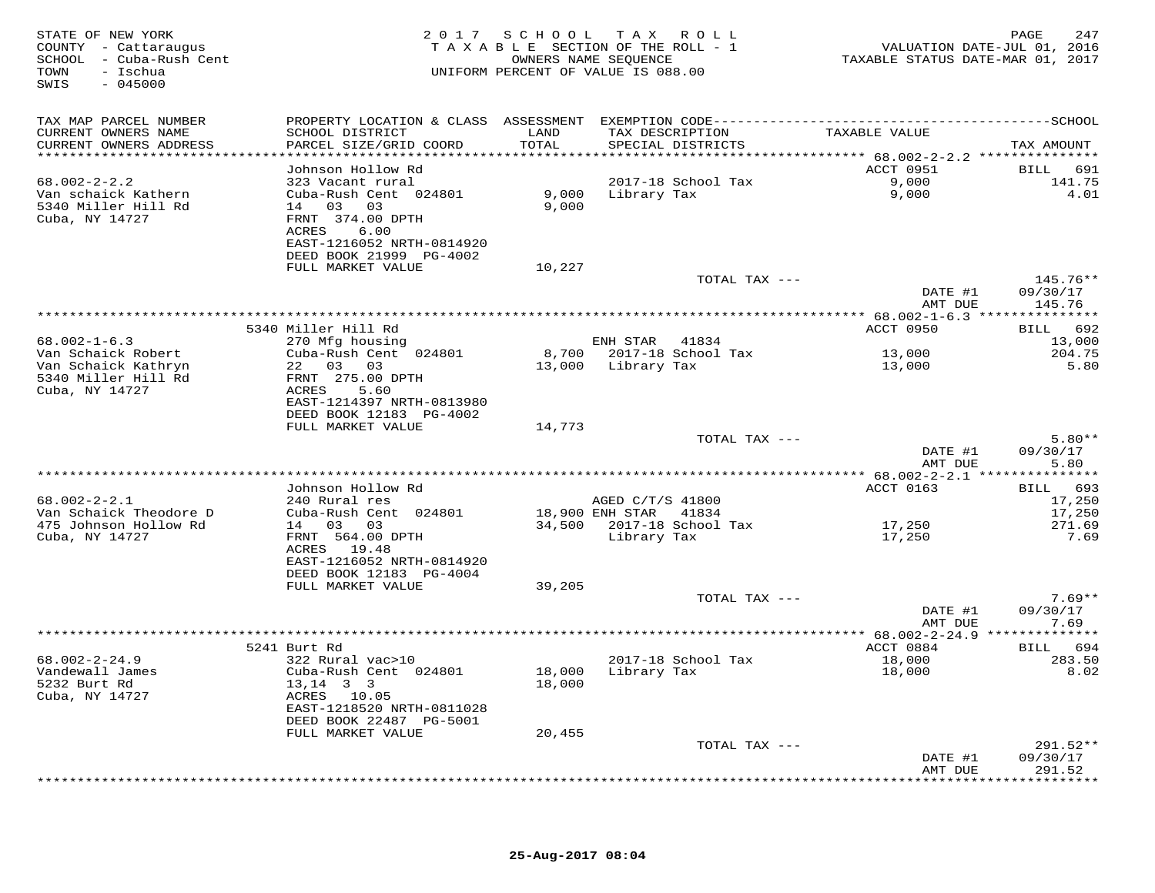| STATE OF NEW YORK<br>COUNTY - Cattaraugus<br>SCHOOL - Cuba-Rush Cent<br>- Ischua<br>TOWN<br>$-045000$<br>SWIS |                                                                         |                                | 2017 SCHOOL TAX ROLL<br>TAXABLE SECTION OF THE ROLL - 1<br>OWNERS NAME SEQUENCE<br>UNIFORM PERCENT OF VALUE IS 088.00 | VALUATION DATE-JUL 01, 2016<br>TAXABLE STATUS DATE-MAR 01, 2017 | PAGE<br>247          |
|---------------------------------------------------------------------------------------------------------------|-------------------------------------------------------------------------|--------------------------------|-----------------------------------------------------------------------------------------------------------------------|-----------------------------------------------------------------|----------------------|
| TAX MAP PARCEL NUMBER                                                                                         |                                                                         |                                |                                                                                                                       |                                                                 |                      |
| CURRENT OWNERS NAME<br>CURRENT OWNERS ADDRESS<br>************************                                     | SCHOOL DISTRICT<br>PARCEL SIZE/GRID COORD<br>************************** | LAND<br>TOTAL<br>************* | TAX DESCRIPTION<br>SPECIAL DISTRICTS<br>************************************* 68.002-2-2.2 ****************           | TAXABLE VALUE                                                   | TAX AMOUNT           |
|                                                                                                               | Johnson Hollow Rd                                                       |                                |                                                                                                                       | ACCT 0951                                                       | BILL<br>691          |
| $68.002 - 2 - 2.2$                                                                                            | 323 Vacant rural                                                        |                                | 2017-18 School Tax                                                                                                    | 9,000                                                           | 141.75               |
| Van schaick Kathern                                                                                           | Cuba-Rush Cent 024801                                                   |                                | 9,000 Library Tax                                                                                                     | 9,000                                                           | 4.01                 |
| 5340 Miller Hill Rd                                                                                           | 14 03 03<br>FRNT 374.00 DPTH                                            | 9,000                          |                                                                                                                       |                                                                 |                      |
| Cuba, NY 14727                                                                                                | 6.00<br>ACRES                                                           |                                |                                                                                                                       |                                                                 |                      |
|                                                                                                               | EAST-1216052 NRTH-0814920                                               |                                |                                                                                                                       |                                                                 |                      |
|                                                                                                               | DEED BOOK 21999 PG-4002                                                 |                                |                                                                                                                       |                                                                 |                      |
|                                                                                                               | FULL MARKET VALUE                                                       | 10,227                         |                                                                                                                       |                                                                 |                      |
|                                                                                                               |                                                                         |                                | TOTAL TAX ---                                                                                                         | DATE #1                                                         | 145.76**<br>09/30/17 |
|                                                                                                               |                                                                         |                                |                                                                                                                       | AMT DUE                                                         | 145.76               |
|                                                                                                               |                                                                         |                                |                                                                                                                       |                                                                 |                      |
|                                                                                                               | 5340 Miller Hill Rd                                                     |                                |                                                                                                                       | ACCT 0950                                                       | BILL 692             |
| $68.002 - 1 - 6.3$<br>Van Schaick Robert                                                                      | 270 Mfg housing<br>Cuba-Rush Cent 024801                                |                                | ENH STAR<br>41834<br>8,700 2017-18 School Tax                                                                         | 13,000                                                          | 13,000<br>204.75     |
| Van Schaick Kathryn                                                                                           | 22 03 03                                                                | 13,000                         | Library Tax                                                                                                           | 13,000                                                          | 5.80                 |
| 5340 Miller Hill Rd                                                                                           | FRNT 275.00 DPTH                                                        |                                |                                                                                                                       |                                                                 |                      |
| Cuba, NY 14727                                                                                                | ACRES<br>5.60                                                           |                                |                                                                                                                       |                                                                 |                      |
|                                                                                                               | EAST-1214397 NRTH-0813980<br>DEED BOOK 12183 PG-4002                    |                                |                                                                                                                       |                                                                 |                      |
|                                                                                                               | FULL MARKET VALUE                                                       | 14,773                         |                                                                                                                       |                                                                 |                      |
|                                                                                                               |                                                                         |                                | TOTAL TAX ---                                                                                                         |                                                                 | $5.80**$             |
|                                                                                                               |                                                                         |                                |                                                                                                                       | DATE #1<br>AMT DUE                                              | 09/30/17<br>5.80     |
|                                                                                                               |                                                                         |                                |                                                                                                                       |                                                                 |                      |
| $68.002 - 2 - 2.1$                                                                                            | Johnson Hollow Rd<br>240 Rural res                                      |                                | AGED C/T/S 41800                                                                                                      | ACCT 0163                                                       | BILL 693<br>17,250   |
| Van Schaick Theodore D                                                                                        | Cuba-Rush Cent 024801                                                   |                                | 18,900 ENH STAR 41834                                                                                                 |                                                                 | 17,250               |
| 475 Johnson Hollow Rd                                                                                         | 14 03 03                                                                |                                | 34,500 2017-18 School Tax                                                                                             | 17,250                                                          | 271.69               |
| Cuba, NY 14727                                                                                                | FRNT 564.00 DPTH                                                        |                                | Library Tax                                                                                                           | 17,250                                                          | 7.69                 |
|                                                                                                               | ACRES 19.48<br>EAST-1216052 NRTH-0814920                                |                                |                                                                                                                       |                                                                 |                      |
|                                                                                                               | DEED BOOK 12183 PG-4004                                                 |                                |                                                                                                                       |                                                                 |                      |
|                                                                                                               | FULL MARKET VALUE                                                       | 39,205                         |                                                                                                                       |                                                                 |                      |
|                                                                                                               |                                                                         |                                | TOTAL TAX ---                                                                                                         |                                                                 | $7.69**$             |
|                                                                                                               |                                                                         |                                |                                                                                                                       | DATE #1                                                         | 09/30/17             |
|                                                                                                               |                                                                         |                                |                                                                                                                       | AMT DUE                                                         | 7.69                 |
|                                                                                                               | 5241 Burt Rd                                                            |                                |                                                                                                                       | ACCT 0884                                                       | BILL 694             |
| $68.002 - 2 - 24.9$                                                                                           | 322 Rural vac>10                                                        |                                | 2017-18 School Tax                                                                                                    | 18,000                                                          | 283.50               |
| Vandewall James                                                                                               | Cuba-Rush Cent 024801                                                   | 18,000                         | Library Tax                                                                                                           | 18,000                                                          | 8.02                 |
| 5232 Burt Rd<br>Cuba, NY 14727                                                                                | $13, 14$ 3 3<br>ACRES 10.05                                             | 18,000                         |                                                                                                                       |                                                                 |                      |
|                                                                                                               | EAST-1218520 NRTH-0811028                                               |                                |                                                                                                                       |                                                                 |                      |
|                                                                                                               | DEED BOOK 22487 PG-5001                                                 |                                |                                                                                                                       |                                                                 |                      |
|                                                                                                               | FULL MARKET VALUE                                                       | 20,455                         |                                                                                                                       |                                                                 |                      |
|                                                                                                               |                                                                         |                                | TOTAL TAX ---                                                                                                         |                                                                 | 291.52**             |
|                                                                                                               |                                                                         |                                |                                                                                                                       | DATE #1<br>AMT DUE                                              | 09/30/17<br>291.52   |
|                                                                                                               |                                                                         |                                |                                                                                                                       |                                                                 | **********           |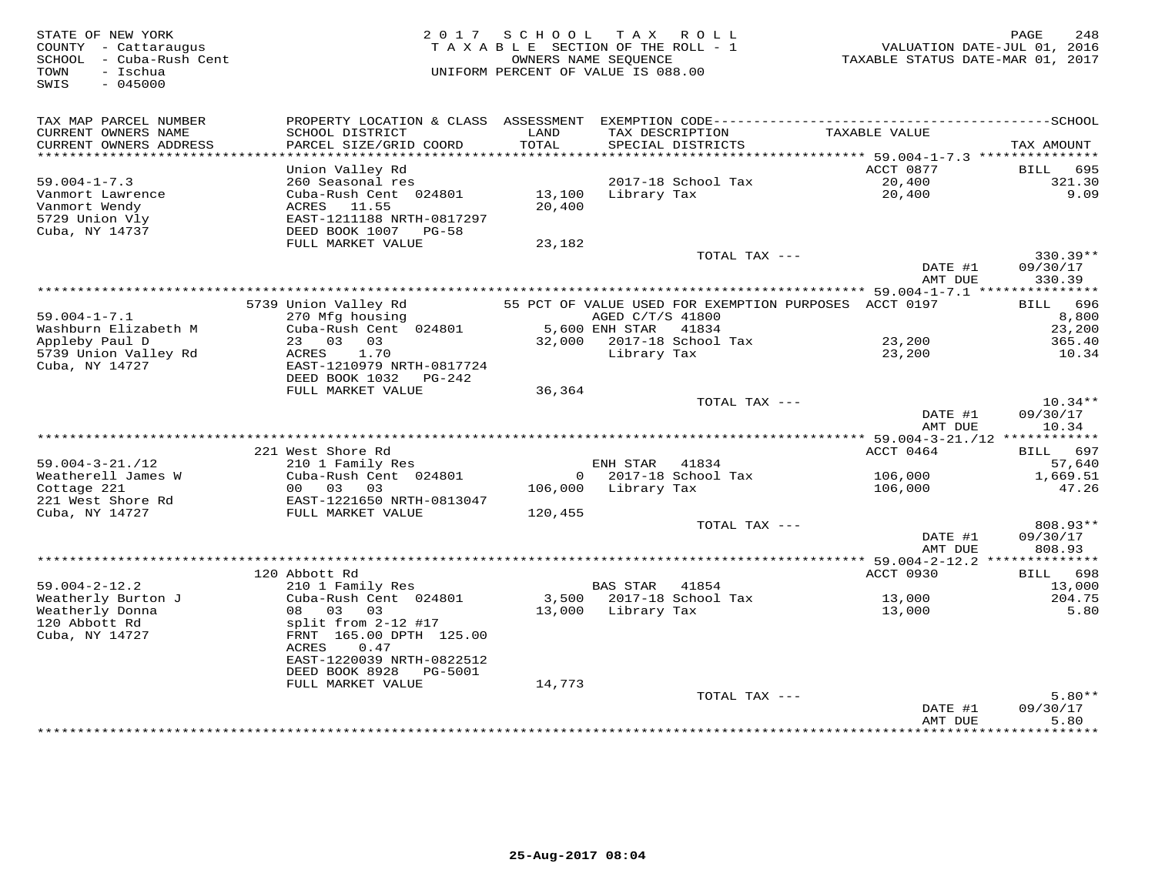| STATE OF NEW YORK<br>COUNTY - Cattaraugus<br>SCHOOL - Cuba-Rush Cent<br>TOWN<br>- Ischua<br>$-045000$<br>SWIS |                                                                                                |                      | 2017 SCHOOL TAX ROLL<br>TAXABLE SECTION OF THE ROLL - 1<br>OWNERS NAME SEQUENCE<br>UNIFORM PERCENT OF VALUE IS 088.00 | VALUATION DATE-JUL 01, 2016<br>TAXABLE STATUS DATE-MAR 01, 2017 | PAGE<br>248                    |
|---------------------------------------------------------------------------------------------------------------|------------------------------------------------------------------------------------------------|----------------------|-----------------------------------------------------------------------------------------------------------------------|-----------------------------------------------------------------|--------------------------------|
| TAX MAP PARCEL NUMBER<br>CURRENT OWNERS NAME<br>CURRENT OWNERS ADDRESS                                        | SCHOOL DISTRICT<br>PARCEL SIZE/GRID COORD                                                      | LAND<br><b>TOTAL</b> | TAX DESCRIPTION<br>SPECIAL DISTRICTS                                                                                  | TAXABLE VALUE                                                   | TAX AMOUNT                     |
| ******************************                                                                                |                                                                                                |                      |                                                                                                                       |                                                                 |                                |
|                                                                                                               | Union Valley Rd                                                                                |                      |                                                                                                                       | ACCT 0877                                                       | BILL 695                       |
| $59.004 - 1 - 7.3$<br>Vanmort Lawrence                                                                        | 260 Seasonal res                                                                               | 13,100               | 2017-18 School Tax<br>Library Tax                                                                                     | 20,400<br>20,400                                                | 321.30<br>9.09                 |
| Vanmort Wendy<br>5729 Union Vly<br>Cuba, NY 14737                                                             | Cuba-Rush Cent 024801<br>ACRES 11.55<br>EAST-1211188 NRTH-0817297<br>DEED BOOK 1007 PG-58      | 20,400               |                                                                                                                       |                                                                 |                                |
|                                                                                                               | FULL MARKET VALUE                                                                              | 23,182               | TOTAL TAX ---                                                                                                         |                                                                 | 330.39**                       |
|                                                                                                               |                                                                                                |                      |                                                                                                                       | DATE #1<br>AMT DUE                                              | 09/30/17<br>330.39             |
|                                                                                                               |                                                                                                |                      |                                                                                                                       |                                                                 |                                |
|                                                                                                               | 5739 Union Valley Rd                                                                           |                      | 55 PCT OF VALUE USED FOR EXEMPTION PURPOSES ACCT 0197                                                                 |                                                                 | BILL 696                       |
| $59.004 - 1 - 7.1$                                                                                            | 270 Mfg housing                                                                                |                      | AGED C/T/S 41800                                                                                                      |                                                                 | 8,800                          |
| Washburn Elizabeth M                                                                                          | Cuba-Rush Cent 024801<br>23 03 03                                                              |                      | 5,600 ENH STAR 41834                                                                                                  |                                                                 | 23,200                         |
| Appleby Paul D<br>5739 Union Valley Rd                                                                        | 1.70<br>ACRES                                                                                  |                      | 32,000 2017-18 School Tax<br>Library Tax                                                                              | 23,200<br>23,200                                                | 365.40<br>10.34                |
| Cuba, NY 14727                                                                                                | EAST-1210979 NRTH-0817724<br>DEED BOOK 1032    PG-242                                          |                      |                                                                                                                       |                                                                 |                                |
|                                                                                                               | FULL MARKET VALUE                                                                              | 36,364               |                                                                                                                       |                                                                 |                                |
|                                                                                                               |                                                                                                |                      | TOTAL TAX ---                                                                                                         | DATE #1<br>AMT DUE                                              | $10.34**$<br>09/30/17<br>10.34 |
|                                                                                                               |                                                                                                |                      |                                                                                                                       |                                                                 |                                |
|                                                                                                               | 221 West Shore Rd                                                                              |                      |                                                                                                                       | ACCT 0464                                                       | BILL 697                       |
| $59.004 - 3 - 21. / 12$                                                                                       | 210 1 Family Res                                                                               |                      | ENH STAR 41834                                                                                                        |                                                                 | 57,640                         |
| Weatherell James W                                                                                            | Cuba-Rush Cent 024801                                                                          |                      | 0 2017-18 School Tax                                                                                                  | 106,000                                                         | 1,669.51                       |
| Cottage 221<br>221 West Shore Rd<br>Cuba, NY 14727                                                            | 00 03 03<br>EAST-1221650 NRTH-0813047<br>FULL MARKET VALUE                                     |                      | 106,000 Library Tax                                                                                                   | 106,000                                                         | 47.26                          |
|                                                                                                               |                                                                                                | 120,455              | TOTAL TAX ---                                                                                                         |                                                                 | 808.93**                       |
|                                                                                                               |                                                                                                |                      |                                                                                                                       | DATE #1<br>AMT DUE                                              | 09/30/17<br>808.93             |
|                                                                                                               |                                                                                                |                      |                                                                                                                       |                                                                 |                                |
|                                                                                                               | 120 Abbott Rd                                                                                  |                      |                                                                                                                       | ACCT 0930                                                       | BILL 698                       |
| $59.004 - 2 - 12.2$                                                                                           | 210 1 Family Res                                                                               |                      | BAS STAR 41854                                                                                                        |                                                                 | 13,000                         |
| Weatherly Burton J<br>Weatherly Donna                                                                         | Cuba-Rush Cent 024801<br>08 03 03                                                              |                      | 3,500 2017-18 School Tax<br>13,000 Library Tax                                                                        | 13,000<br>13,000                                                | 204.75<br>5.80                 |
| 120 Abbott Rd<br>Cuba, NY 14727                                                                               | split from $2-12$ #17<br>FRNT 165.00 DPTH 125.00<br>ACRES<br>0.47<br>EAST-1220039 NRTH-0822512 |                      |                                                                                                                       |                                                                 |                                |
|                                                                                                               | DEED BOOK 8928 PG-5001                                                                         |                      |                                                                                                                       |                                                                 |                                |
|                                                                                                               | FULL MARKET VALUE                                                                              | 14,773               |                                                                                                                       |                                                                 |                                |
|                                                                                                               |                                                                                                |                      | TOTAL TAX ---                                                                                                         | DATE #1                                                         | $5.80**$<br>09/30/17           |
|                                                                                                               |                                                                                                |                      |                                                                                                                       | AMT DUE<br>*************                                        | 5.80<br>******                 |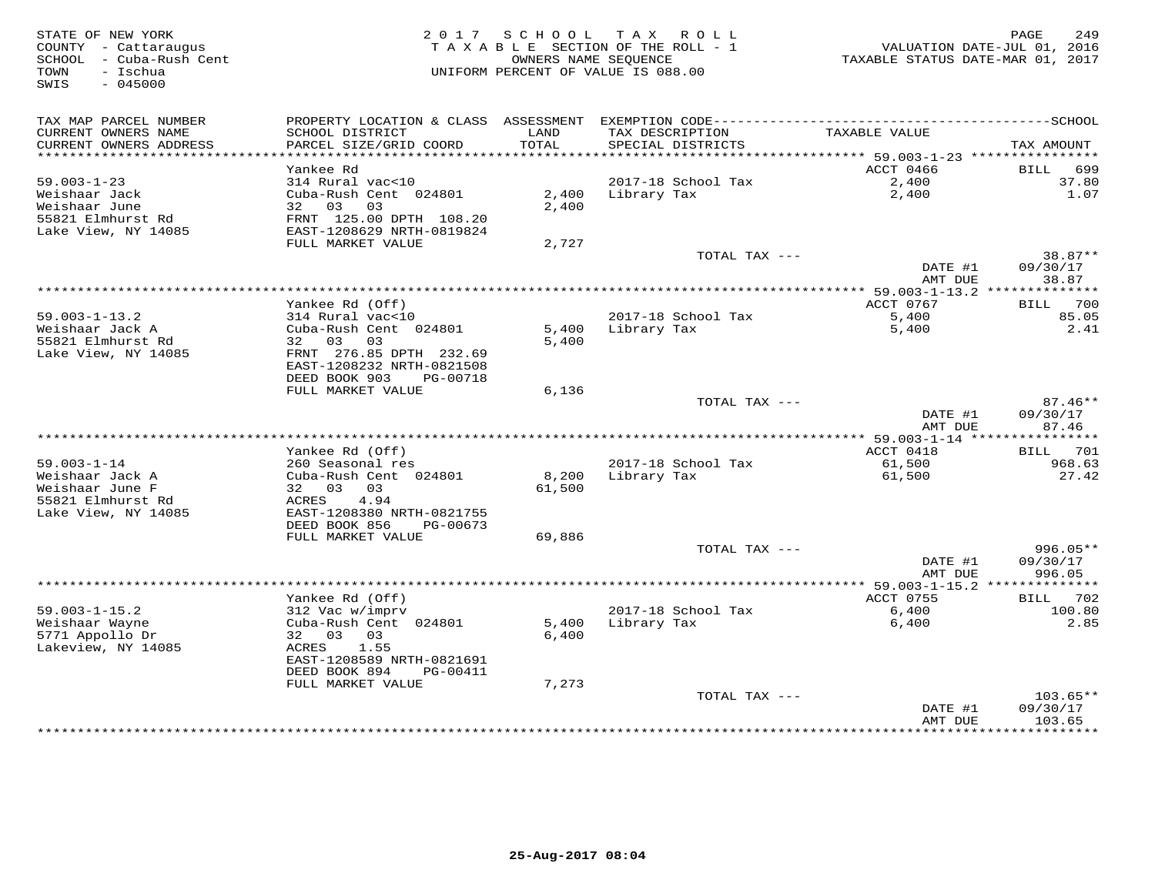| STATE OF NEW YORK<br>COUNTY - Cattaraugus<br>SCHOOL - Cuba-Rush Cent<br>- Ischua<br>TOWN<br>SWIS<br>$-045000$ | 2 0 1 7                                                                                                                            |                 | SCHOOL TAX ROLL<br>TAXABLE SECTION OF THE ROLL - 1<br>OWNERS NAME SEOUENCE<br>UNIFORM PERCENT OF VALUE IS 088.00 | TAXABLE STATUS DATE-MAR 01, 2017 | 249<br>PAGE<br>VALUATION DATE-JUL 01, 2016 |
|---------------------------------------------------------------------------------------------------------------|------------------------------------------------------------------------------------------------------------------------------------|-----------------|------------------------------------------------------------------------------------------------------------------|----------------------------------|--------------------------------------------|
| TAX MAP PARCEL NUMBER<br>CURRENT OWNERS NAME<br>CURRENT OWNERS ADDRESS                                        | PROPERTY LOCATION & CLASS ASSESSMENT<br>SCHOOL DISTRICT<br>PARCEL SIZE/GRID COORD                                                  | LAND<br>TOTAL   | TAX DESCRIPTION<br>SPECIAL DISTRICTS                                                                             | TAXABLE VALUE                    | TAX AMOUNT                                 |
| **************************                                                                                    | Yankee Rd                                                                                                                          |                 |                                                                                                                  | ACCT 0466                        | 699                                        |
| $59.003 - 1 - 23$                                                                                             | 314 Rural vac<10                                                                                                                   |                 | 2017-18 School Tax                                                                                               | 2,400                            | BILL<br>37.80                              |
| Weishaar Jack<br>Weishaar June<br>55821 Elmhurst Rd<br>Lake View, NY 14085                                    | Cuba-Rush Cent 024801<br>32 03<br>03<br>FRNT 125.00 DPTH 108.20<br>EAST-1208629 NRTH-0819824                                       | 2,400<br>2,400  | Library Tax                                                                                                      | 2,400                            | 1.07                                       |
|                                                                                                               | FULL MARKET VALUE                                                                                                                  | 2,727           |                                                                                                                  |                                  |                                            |
|                                                                                                               |                                                                                                                                    |                 | TOTAL TAX ---                                                                                                    | DATE #1<br>AMT DUE               | $38.87**$<br>09/30/17<br>38.87             |
|                                                                                                               |                                                                                                                                    |                 |                                                                                                                  |                                  |                                            |
|                                                                                                               | Yankee Rd (Off)                                                                                                                    |                 |                                                                                                                  | ACCT 0767                        | 700<br>BILL                                |
| $59.003 - 1 - 13.2$<br>Weishaar Jack A                                                                        | 314 Rural vac<10<br>Cuba-Rush Cent 024801                                                                                          | 5,400           | 2017-18 School Tax                                                                                               | 5,400                            | 85.05<br>2.41                              |
| 55821 Elmhurst Rd<br>Lake View, NY 14085                                                                      | 32<br>03<br>03<br>FRNT 276.85 DPTH 232.69<br>EAST-1208232 NRTH-0821508                                                             | 5,400           | Library Tax                                                                                                      | 5,400                            |                                            |
|                                                                                                               | DEED BOOK 903<br>PG-00718                                                                                                          |                 |                                                                                                                  |                                  |                                            |
|                                                                                                               | FULL MARKET VALUE                                                                                                                  | 6,136           |                                                                                                                  |                                  |                                            |
|                                                                                                               |                                                                                                                                    |                 | TOTAL TAX ---                                                                                                    |                                  | $87.46**$                                  |
|                                                                                                               |                                                                                                                                    |                 |                                                                                                                  | DATE #1<br>AMT DUE               | 09/30/17<br>87.46<br>* * * * * * * *       |
|                                                                                                               | Yankee Rd (Off)                                                                                                                    |                 |                                                                                                                  | ACCT 0418                        | 701<br>BILL                                |
| $59.003 - 1 - 14$                                                                                             | 260 Seasonal res                                                                                                                   |                 | 2017-18 School Tax                                                                                               | 61,500                           | 968.63                                     |
| Weishaar Jack A<br>Weishaar June F<br>55821 Elmhurst Rd                                                       | Cuba-Rush Cent 024801<br>32 03<br>03<br>4.94<br>ACRES                                                                              | 8,200<br>61,500 | Library Tax                                                                                                      | 61,500                           | 27.42                                      |
| Lake View, NY 14085                                                                                           | EAST-1208380 NRTH-0821755<br>DEED BOOK 856<br>PG-00673                                                                             |                 |                                                                                                                  |                                  |                                            |
|                                                                                                               | FULL MARKET VALUE                                                                                                                  | 69,886          |                                                                                                                  |                                  |                                            |
|                                                                                                               |                                                                                                                                    |                 | TOTAL TAX ---                                                                                                    | DATE #1<br>AMT DUE               | $996.05**$<br>09/30/17<br>996.05           |
|                                                                                                               |                                                                                                                                    |                 |                                                                                                                  |                                  |                                            |
|                                                                                                               | Yankee Rd (Off)                                                                                                                    |                 |                                                                                                                  | ACCT 0755                        | <b>BILL</b><br>702                         |
| $59.003 - 1 - 15.2$<br>Weishaar Wayne<br>5771 Appollo Dr<br>Lakeview, NY 14085                                | 312 Vac w/imprv<br>Cuba-Rush Cent 024801<br>32 03<br>03<br>ACRES<br>1.55<br>EAST-1208589 NRTH-0821691<br>DEED BOOK 894<br>PG-00411 | 5,400<br>6,400  | 2017-18 School Tax<br>Library Tax                                                                                | 6,400<br>6,400                   | 100.80<br>2.85                             |
|                                                                                                               | FULL MARKET VALUE                                                                                                                  | 7,273           |                                                                                                                  |                                  |                                            |
|                                                                                                               |                                                                                                                                    |                 | TOTAL TAX ---                                                                                                    | DATE #1<br>AMT DUE               | $103.65**$<br>09/30/17<br>103.65           |
|                                                                                                               |                                                                                                                                    |                 |                                                                                                                  |                                  | *********                                  |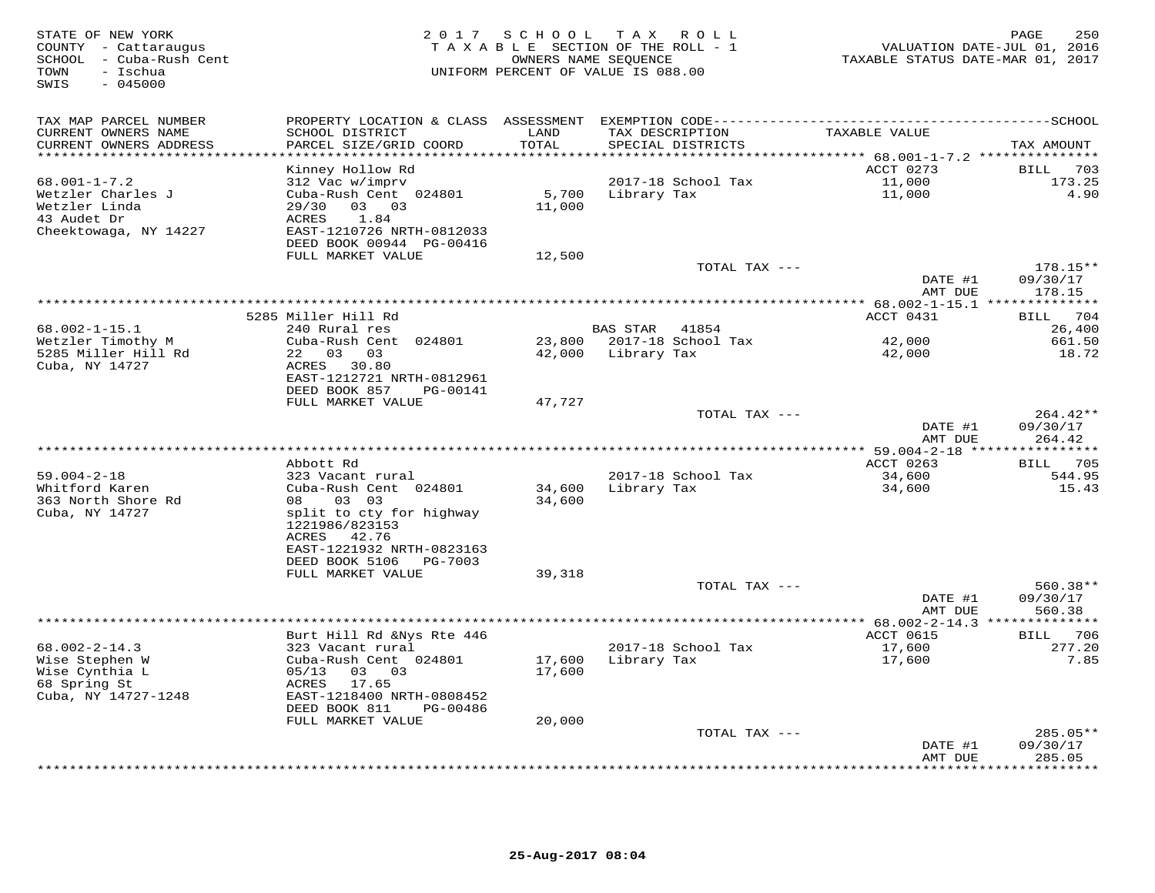| STATE OF NEW YORK<br>COUNTY - Cattaraugus<br>SCHOOL - Cuba-Rush Cent<br>- Ischua<br>TOWN<br>$-045000$<br>SWIS | 2 0 1 7                                                                                                                                                              |                  | SCHOOL TAX ROLL<br>TAXABLE SECTION OF THE ROLL - 1<br>OWNERS NAME SEQUENCE<br>UNIFORM PERCENT OF VALUE IS 088.00 | VALUATION DATE-JUL 01, 2016<br>TAXABLE STATUS DATE-MAR 01, 2017 | 250<br>PAGE                      |
|---------------------------------------------------------------------------------------------------------------|----------------------------------------------------------------------------------------------------------------------------------------------------------------------|------------------|------------------------------------------------------------------------------------------------------------------|-----------------------------------------------------------------|----------------------------------|
| TAX MAP PARCEL NUMBER<br>CURRENT OWNERS NAME<br>CURRENT OWNERS ADDRESS                                        | SCHOOL DISTRICT<br>PARCEL SIZE/GRID COORD                                                                                                                            | LAND<br>TOTAL    | TAX DESCRIPTION<br>SPECIAL DISTRICTS                                                                             | TAXABLE VALUE                                                   | TAX AMOUNT                       |
| **********************                                                                                        | **********************                                                                                                                                               | *************    |                                                                                                                  |                                                                 |                                  |
| $68.001 - 1 - 7.2$<br>Wetzler Charles J<br>Wetzler Linda<br>43 Audet Dr<br>Cheektowaga, NY 14227              | Kinney Hollow Rd<br>312 Vac w/imprv<br>Cuba-Rush Cent 024801<br>29/30<br>03 03<br>1.84<br>ACRES<br>EAST-1210726 NRTH-0812033<br>DEED BOOK 00944 PG-00416             | 5,700<br>11,000  | 2017-18 School Tax<br>Library Tax                                                                                | ACCT 0273<br>11,000<br>11,000                                   | BILL<br>703<br>173.25<br>4.90    |
|                                                                                                               | FULL MARKET VALUE                                                                                                                                                    | 12,500           |                                                                                                                  |                                                                 |                                  |
|                                                                                                               |                                                                                                                                                                      |                  | TOTAL TAX ---                                                                                                    | DATE #1<br>AMT DUE                                              | $178.15**$<br>09/30/17           |
|                                                                                                               |                                                                                                                                                                      |                  |                                                                                                                  |                                                                 | 178.15                           |
|                                                                                                               | 5285 Miller Hill Rd                                                                                                                                                  |                  |                                                                                                                  | ACCT 0431                                                       | 704<br>BILL                      |
| $68.002 - 1 - 15.1$                                                                                           | 240 Rural res                                                                                                                                                        |                  | BAS STAR<br>41854                                                                                                |                                                                 | 26,400                           |
| Wetzler Timothy M<br>5285 Miller Hill Rd<br>Cuba, NY 14727                                                    | Cuba-Rush Cent 024801<br>22 03 03<br>ACRES<br>30.80<br>EAST-1212721 NRTH-0812961                                                                                     | 23,800<br>42,000 | 2017-18 School Tax<br>Library Tax                                                                                | 42,000<br>42,000                                                | 661.50<br>18.72                  |
|                                                                                                               | DEED BOOK 857<br>PG-00141                                                                                                                                            |                  |                                                                                                                  |                                                                 |                                  |
|                                                                                                               | FULL MARKET VALUE                                                                                                                                                    | 47,727           |                                                                                                                  |                                                                 |                                  |
|                                                                                                               |                                                                                                                                                                      |                  | TOTAL TAX ---                                                                                                    | DATE #1<br>AMT DUE                                              | $264.42**$<br>09/30/17<br>264.42 |
|                                                                                                               |                                                                                                                                                                      |                  | **************                                                                                                   | *** 59.004-2-18 ****                                            | *********                        |
| $59.004 - 2 - 18$<br>Whitford Karen<br>363 North Shore Rd<br>Cuba, NY 14727                                   | Abbott Rd<br>323 Vacant rural<br>Cuba-Rush Cent 024801<br>03 03<br>08<br>split to cty for highway<br>1221986/823153<br>ACRES<br>42.76                                | 34,600<br>34,600 | 2017-18 School Tax<br>Library Tax                                                                                | ACCT 0263<br>34,600<br>34,600                                   | BILL 705<br>544.95<br>15.43      |
|                                                                                                               | EAST-1221932 NRTH-0823163<br>DEED BOOK 5106<br>PG-7003                                                                                                               |                  |                                                                                                                  |                                                                 |                                  |
|                                                                                                               | FULL MARKET VALUE                                                                                                                                                    | 39,318           | TOTAL TAX ---                                                                                                    | DATE #1<br>AMT DUE                                              | 560.38**<br>09/30/17<br>560.38   |
|                                                                                                               |                                                                                                                                                                      |                  |                                                                                                                  | **** 68.002-2-14.3 **************                               |                                  |
| $68.002 - 2 - 14.3$<br>Wise Stephen W<br>Wise Cynthia L<br>68 Spring St<br>Cuba, NY 14727-1248                | Burt Hill Rd &Nys Rte 446<br>323 Vacant rural<br>Cuba-Rush Cent 024801<br>05/13<br>03 03<br>ACRES<br>17.65<br>EAST-1218400 NRTH-0808452<br>DEED BOOK 811<br>PG-00486 | 17,600<br>17,600 | 2017-18 School Tax<br>Library Tax                                                                                | ACCT 0615<br>17,600<br>17,600                                   | 706<br>BILL<br>277.20<br>7.85    |
|                                                                                                               | FULL MARKET VALUE                                                                                                                                                    | 20,000           |                                                                                                                  |                                                                 |                                  |
|                                                                                                               |                                                                                                                                                                      |                  | TOTAL TAX ---                                                                                                    | DATE #1                                                         | $285.05**$<br>09/30/17           |
|                                                                                                               |                                                                                                                                                                      |                  |                                                                                                                  | AMT DUE<br>* * * * * * * *                                      | 285.05<br>* * * * * * * * *      |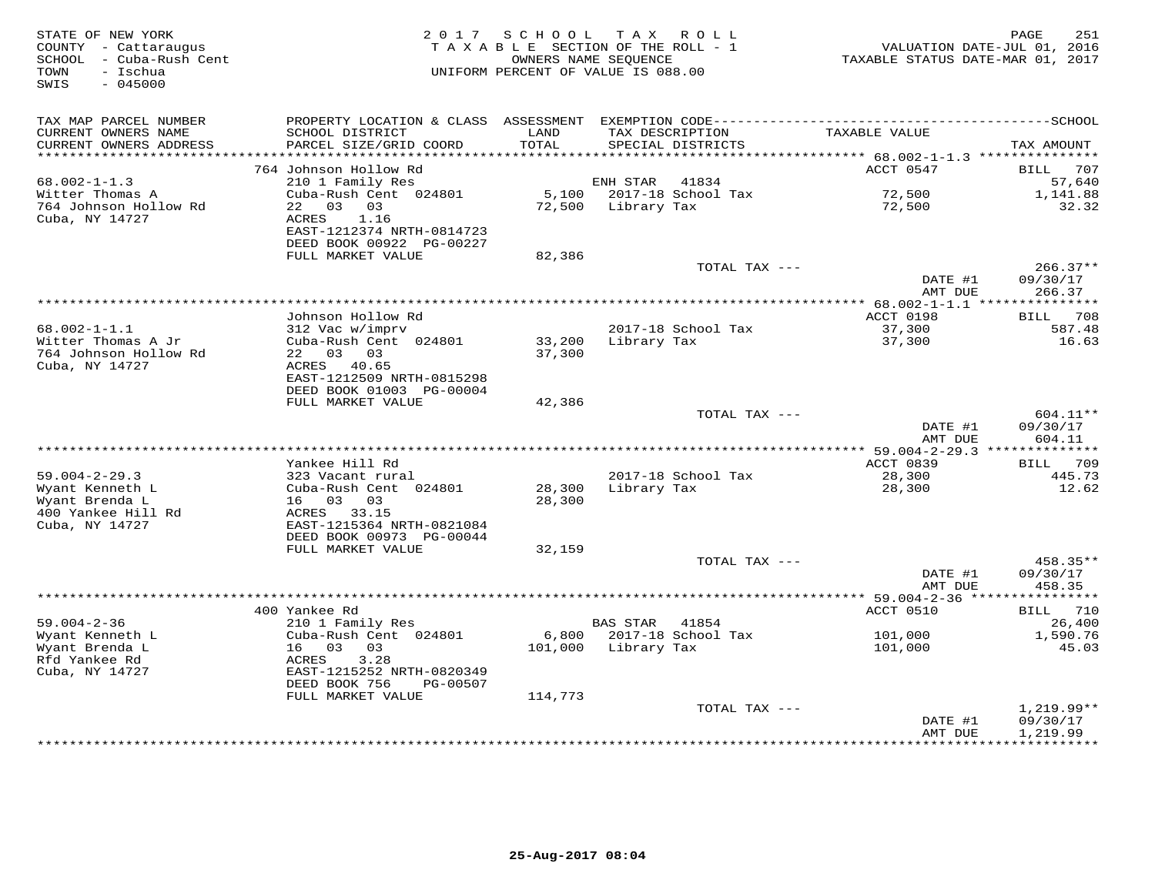| STATE OF NEW YORK<br>COUNTY - Cattaraugus<br>SCHOOL - Cuba-Rush Cent<br>- Ischua<br>TOWN<br>SWIS<br>$-045000$ |                                                                                              | 2017 SCHOOL<br>OWNERS NAME SEQUENCE | TAX ROLL<br>TAXABLE SECTION OF THE ROLL - 1<br>UNIFORM PERCENT OF VALUE IS 088.00 | VALUATION DATE-JUL 01, 2016<br>TAXABLE STATUS DATE-MAR 01, 2017 | 251<br>PAGE           |
|---------------------------------------------------------------------------------------------------------------|----------------------------------------------------------------------------------------------|-------------------------------------|-----------------------------------------------------------------------------------|-----------------------------------------------------------------|-----------------------|
| TAX MAP PARCEL NUMBER                                                                                         | PROPERTY LOCATION & CLASS ASSESSMENT EXEMPTION CODE-----------------------------------SCHOOL |                                     |                                                                                   |                                                                 |                       |
| CURRENT OWNERS NAME                                                                                           | SCHOOL DISTRICT                                                                              | LAND                                | TAX DESCRIPTION                                                                   | TAXABLE VALUE                                                   |                       |
| CURRENT OWNERS ADDRESS                                                                                        | PARCEL SIZE/GRID COORD                                                                       | TOTAL                               | SPECIAL DISTRICTS                                                                 |                                                                 | TAX AMOUNT            |
|                                                                                                               |                                                                                              | ********                            |                                                                                   | ****** 68.002-1-1.3 ****************                            |                       |
|                                                                                                               | 764 Johnson Hollow Rd                                                                        |                                     |                                                                                   | ACCT 0547                                                       | <b>BILL</b><br>707    |
| $68.002 - 1 - 1.3$<br>Witter Thomas A                                                                         | 210 1 Family Res<br>Cuba-Rush Cent 024801                                                    | 5,100                               | 41834<br>ENH STAR<br>2017-18 School Tax                                           | 72,500                                                          | 57,640<br>1,141.88    |
| 764 Johnson Hollow Rd                                                                                         | 22 03 03                                                                                     | 72,500                              | Library Tax                                                                       | 72,500                                                          | 32.32                 |
| Cuba, NY 14727                                                                                                | 1.16<br>ACRES                                                                                |                                     |                                                                                   |                                                                 |                       |
|                                                                                                               | EAST-1212374 NRTH-0814723                                                                    |                                     |                                                                                   |                                                                 |                       |
|                                                                                                               | DEED BOOK 00922 PG-00227                                                                     |                                     |                                                                                   |                                                                 |                       |
|                                                                                                               | FULL MARKET VALUE                                                                            | 82,386                              |                                                                                   |                                                                 |                       |
|                                                                                                               |                                                                                              |                                     | TOTAL TAX ---                                                                     |                                                                 | $266.37**$            |
|                                                                                                               |                                                                                              |                                     |                                                                                   | DATE #1<br>AMT DUE                                              | 09/30/17<br>266.37    |
|                                                                                                               |                                                                                              |                                     |                                                                                   |                                                                 |                       |
|                                                                                                               | Johnson Hollow Rd                                                                            |                                     |                                                                                   | ACCT 0198                                                       | 708<br>BILL           |
| $68.002 - 1 - 1.1$                                                                                            | 312 Vac w/imprv                                                                              |                                     | 2017-18 School Tax                                                                | 37,300                                                          | 587.48                |
| Witter Thomas A Jr                                                                                            | Cuba-Rush Cent 024801                                                                        | 33,200                              | Library Tax                                                                       | 37,300                                                          | 16.63                 |
| 764 Johnson Hollow Rd                                                                                         | 22 03 03                                                                                     | 37,300                              |                                                                                   |                                                                 |                       |
| Cuba, NY 14727                                                                                                | ACRES 40.65                                                                                  |                                     |                                                                                   |                                                                 |                       |
|                                                                                                               | EAST-1212509 NRTH-0815298<br>DEED BOOK 01003 PG-00004                                        |                                     |                                                                                   |                                                                 |                       |
|                                                                                                               | FULL MARKET VALUE                                                                            | 42,386                              |                                                                                   |                                                                 |                       |
|                                                                                                               |                                                                                              |                                     | TOTAL TAX ---                                                                     |                                                                 | $604.11**$            |
|                                                                                                               |                                                                                              |                                     |                                                                                   | DATE #1                                                         | 09/30/17              |
|                                                                                                               |                                                                                              |                                     |                                                                                   | AMT DUE                                                         | 604.11                |
|                                                                                                               |                                                                                              |                                     |                                                                                   | *** 59.004-2-29.3 **************                                |                       |
| $59.004 - 2 - 29.3$                                                                                           | Yankee Hill Rd<br>323 Vacant rural                                                           |                                     | 2017-18 School Tax                                                                | ACCT 0839<br>28,300                                             | 709<br>BILL<br>445.73 |
| Wyant Kenneth L                                                                                               | Cuba-Rush Cent 024801                                                                        | 28,300                              | Library Tax                                                                       | 28,300                                                          | 12.62                 |
| Wyant Brenda L                                                                                                | 16 03 03                                                                                     | 28,300                              |                                                                                   |                                                                 |                       |
| 400 Yankee Hill Rd                                                                                            | ACRES 33.15                                                                                  |                                     |                                                                                   |                                                                 |                       |
| Cuba, NY 14727                                                                                                | EAST-1215364 NRTH-0821084                                                                    |                                     |                                                                                   |                                                                 |                       |
|                                                                                                               | DEED BOOK 00973 PG-00044                                                                     |                                     |                                                                                   |                                                                 |                       |
|                                                                                                               | FULL MARKET VALUE                                                                            | 32,159                              |                                                                                   |                                                                 |                       |
|                                                                                                               |                                                                                              |                                     | TOTAL TAX ---                                                                     | DATE #1                                                         | 458.35**<br>09/30/17  |
|                                                                                                               |                                                                                              |                                     |                                                                                   | AMT DUE                                                         | 458.35                |
|                                                                                                               |                                                                                              |                                     |                                                                                   | *********** 59.004-2-36 *****                                   | ***********           |
|                                                                                                               | 400 Yankee Rd                                                                                |                                     |                                                                                   | ACCT 0510                                                       | 710<br><b>BILL</b>    |
| $59.004 - 2 - 36$                                                                                             | 210 1 Family Res                                                                             |                                     | <b>BAS STAR</b><br>41854                                                          |                                                                 | 26,400                |
| Wyant Kenneth L                                                                                               | Cuba-Rush Cent 024801                                                                        | 6,800                               | 2017-18 School Tax                                                                | 101,000                                                         | 1,590.76              |
| Wyant Brenda L                                                                                                | 16 03 03                                                                                     | 101,000                             | Library Tax                                                                       | 101,000                                                         | 45.03                 |
| Rfd Yankee Rd                                                                                                 | 3.28<br>ACRES                                                                                |                                     |                                                                                   |                                                                 |                       |
| Cuba, NY 14727                                                                                                | EAST-1215252 NRTH-0820349<br>DEED BOOK 756<br>PG-00507                                       |                                     |                                                                                   |                                                                 |                       |
|                                                                                                               | FULL MARKET VALUE                                                                            | 114,773                             |                                                                                   |                                                                 |                       |
|                                                                                                               |                                                                                              |                                     | TOTAL TAX ---                                                                     |                                                                 | $1,219.99**$          |
|                                                                                                               |                                                                                              |                                     |                                                                                   | DATE #1                                                         | 09/30/17              |
|                                                                                                               |                                                                                              |                                     |                                                                                   | AMT DUE                                                         | 1,219.99              |
|                                                                                                               |                                                                                              |                                     |                                                                                   |                                                                 | <b>+++++++++</b>      |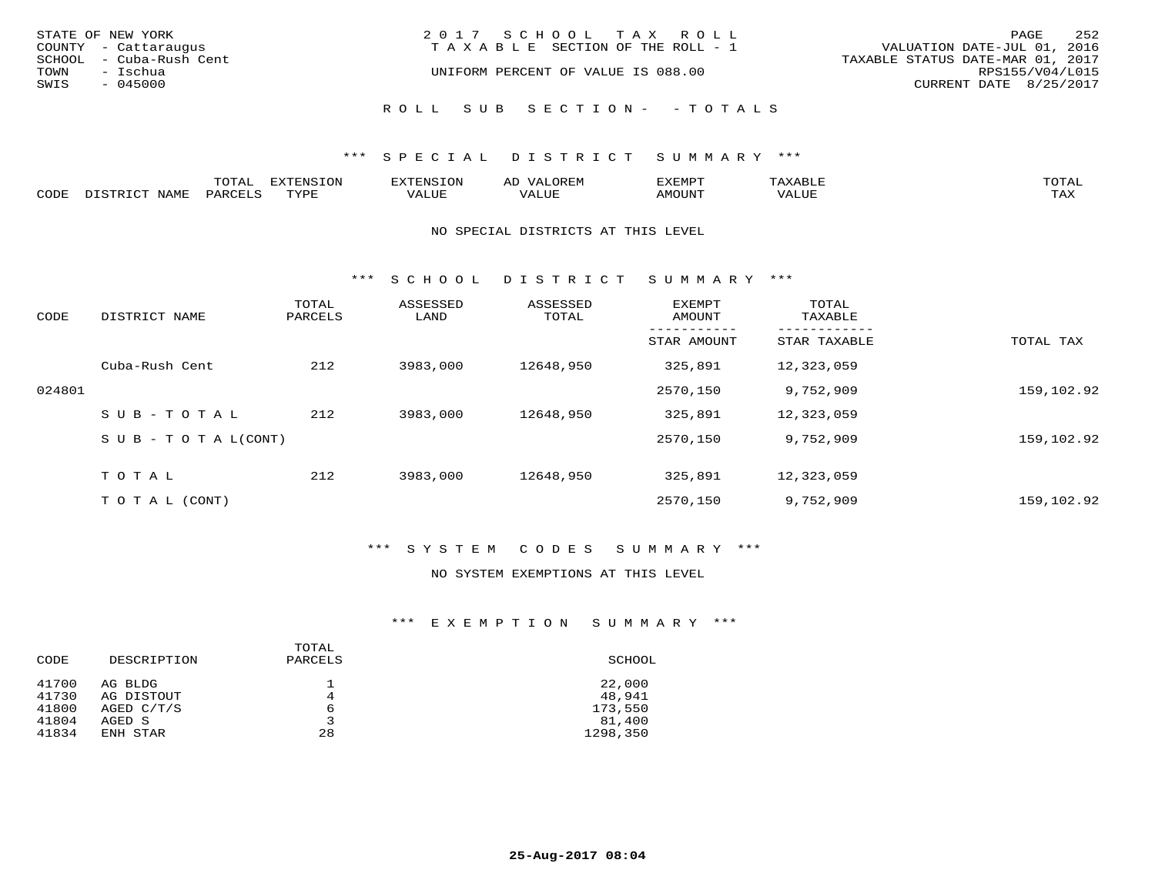| STATE OF NEW YORK<br>COUNTY - Cattaraugus | 2017 SCHOOL TAX ROLL<br>T A X A B L E SECTION OF THE ROLL - 1 | 252<br>PAGE<br>VALUATION DATE-JUL 01, 2016 |
|-------------------------------------------|---------------------------------------------------------------|--------------------------------------------|
| SCHOOL - Cuba-Rush Cent                   |                                                               | TAXABLE STATUS DATE-MAR 01, 2017           |
| TOWN - Ischua<br>SWIS<br>- 045000         | UNIFORM PERCENT OF VALUE IS 088.00                            | RPS155/V04/L015<br>CURRENT DATE 8/25/2017  |
|                                           | ROLL SUB SECTION- - TOTALS                                    |                                            |

### \*\*\* S P E C I A L D I S T R I C T S U M M A R Y \*\*\*

|      |      | momn:<br>LUIAI | $\pi$ |       | ΑL | ית הרדעי |               | $T$ $\cap$ $T$ $\Delta$ |
|------|------|----------------|-------|-------|----|----------|---------------|-------------------------|
| CODE | NAME | יחר ה          | mvnt  | VALUE |    | AMOUNT   | , , , , , , , | TAY.<br>- - - - -       |

#### NO SPECIAL DISTRICTS AT THIS LEVEL

\*\*\* S C H O O L D I S T R I C T S U M M A R Y \*\*\*

| CODE   | DISTRICT NAME                    | TOTAL<br>PARCELS | ASSESSED<br>LAND | ASSESSED<br>TOTAL | <b>EXEMPT</b><br>AMOUNT | TOTAL<br>TAXABLE |            |
|--------|----------------------------------|------------------|------------------|-------------------|-------------------------|------------------|------------|
|        |                                  |                  |                  |                   | STAR AMOUNT             | STAR TAXABLE     | TOTAL TAX  |
|        | Cuba-Rush Cent                   | 212              | 3983,000         | 12648,950         | 325,891                 | 12,323,059       |            |
| 024801 |                                  |                  |                  |                   | 2570,150                | 9,752,909        | 159,102.92 |
|        | SUB-TOTAL                        | 212              | 3983,000         | 12648,950         | 325,891                 | 12,323,059       |            |
|        | $S \cup B - T \cup T A L (CONT)$ |                  |                  |                   | 2570,150                | 9,752,909        | 159,102.92 |
|        | TOTAL                            | 212              | 3983,000         | 12648,950         | 325,891                 | 12,323,059       |            |
|        | T O T A L (CONT)                 |                  |                  |                   | 2570,150                | 9,752,909        | 159,102.92 |

# \*\*\* S Y S T E M C O D E S S U M M A R Y \*\*\*

### NO SYSTEM EXEMPTIONS AT THIS LEVEL

## \*\*\* E X E M P T I O N S U M M A R Y \*\*\*

| SCHOOL             |
|--------------------|
| 22,000<br>48,941   |
| 173,550            |
| 81,400<br>1298,350 |
|                    |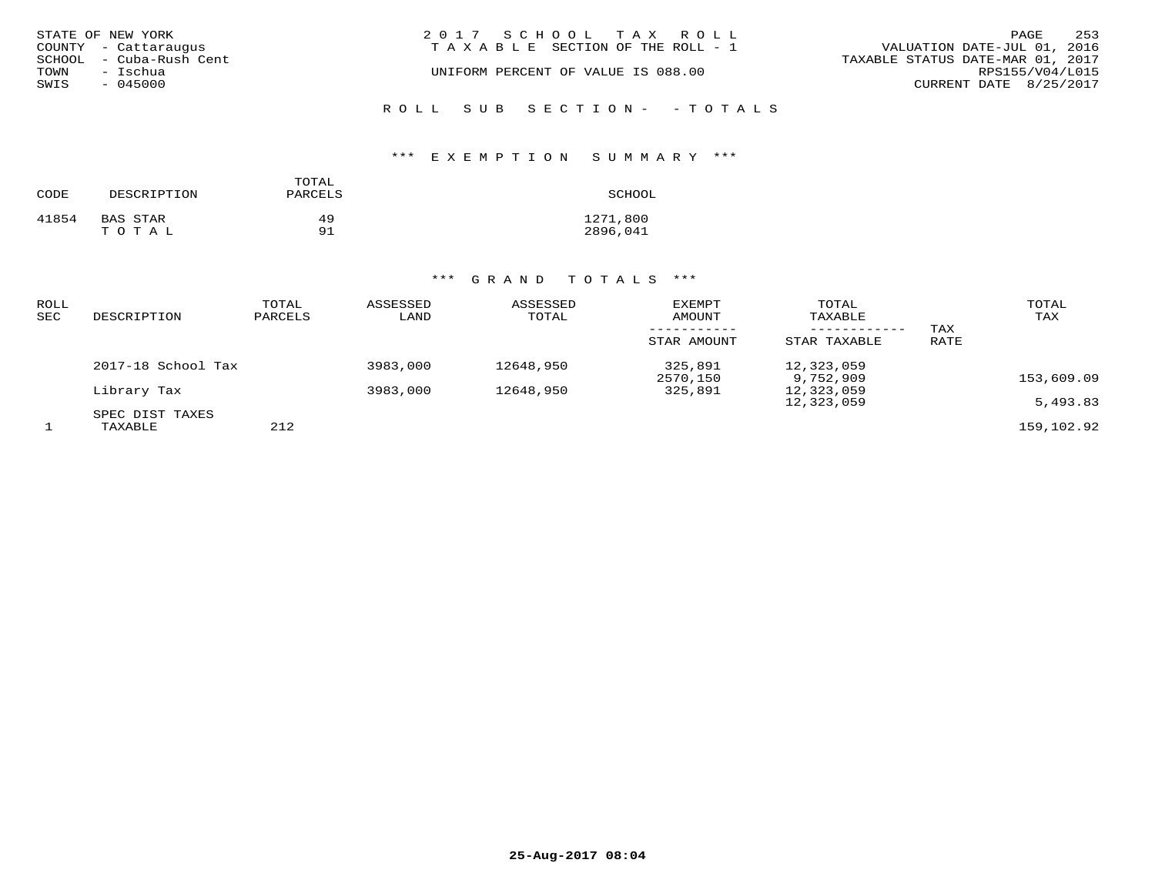|      | STATE OF NEW YORK       | 2017 SCHOOL TAX ROLL                  | PAGE                             | 253 |
|------|-------------------------|---------------------------------------|----------------------------------|-----|
|      | COUNTY - Cattaraugus    | T A X A B L E SECTION OF THE ROLL - 1 | VALUATION DATE-JUL 01, 2016      |     |
|      | SCHOOL - Cuba-Rush Cent |                                       | TAXABLE STATUS DATE-MAR 01, 2017 |     |
| TOWN | – Ischua                | UNIFORM PERCENT OF VALUE IS 088.00    | RPS155/V04/L015                  |     |
| SWIS | $-045000$               |                                       | CURRENT DATE 8/25/2017           |     |
|      |                         |                                       |                                  |     |

ROLL SUB SECTION- - TOTALS

#### \*\*\* E X E M P T I O N S U M M A R Y \*\*\*

| CODE  | DESCRIPTION | TOTAL<br>PARCELS | SCHOOL   |
|-------|-------------|------------------|----------|
| 41854 | BAS STAR    | 49               | 1271,800 |
|       | TOTAL       | 91               | 2896,041 |

| ROLL<br>SEC | DESCRIPTION                | TOTAL<br>PARCELS | ASSESSED<br>LAND | ASSESSED<br>TOTAL | EXEMPT<br>AMOUNT    | TOTAL<br>TAXABLE        | TAX  | TOTAL<br>TAX |
|-------------|----------------------------|------------------|------------------|-------------------|---------------------|-------------------------|------|--------------|
|             |                            |                  |                  |                   | STAR AMOUNT         | STAR TAXABLE            | RATE |              |
|             | 2017-18 School Tax         |                  | 3983,000         | 12648,950         | 325,891<br>2570,150 | 12,323,059<br>9,752,909 |      | 153,609.09   |
|             | Library Tax                |                  | 3983,000         | 12648,950         | 325,891             | 12,323,059              |      |              |
|             |                            |                  |                  |                   |                     | 12,323,059              |      | 5,493.83     |
|             | SPEC DIST TAXES<br>TAXABLE | 212              |                  |                   |                     |                         |      | 159,102.92   |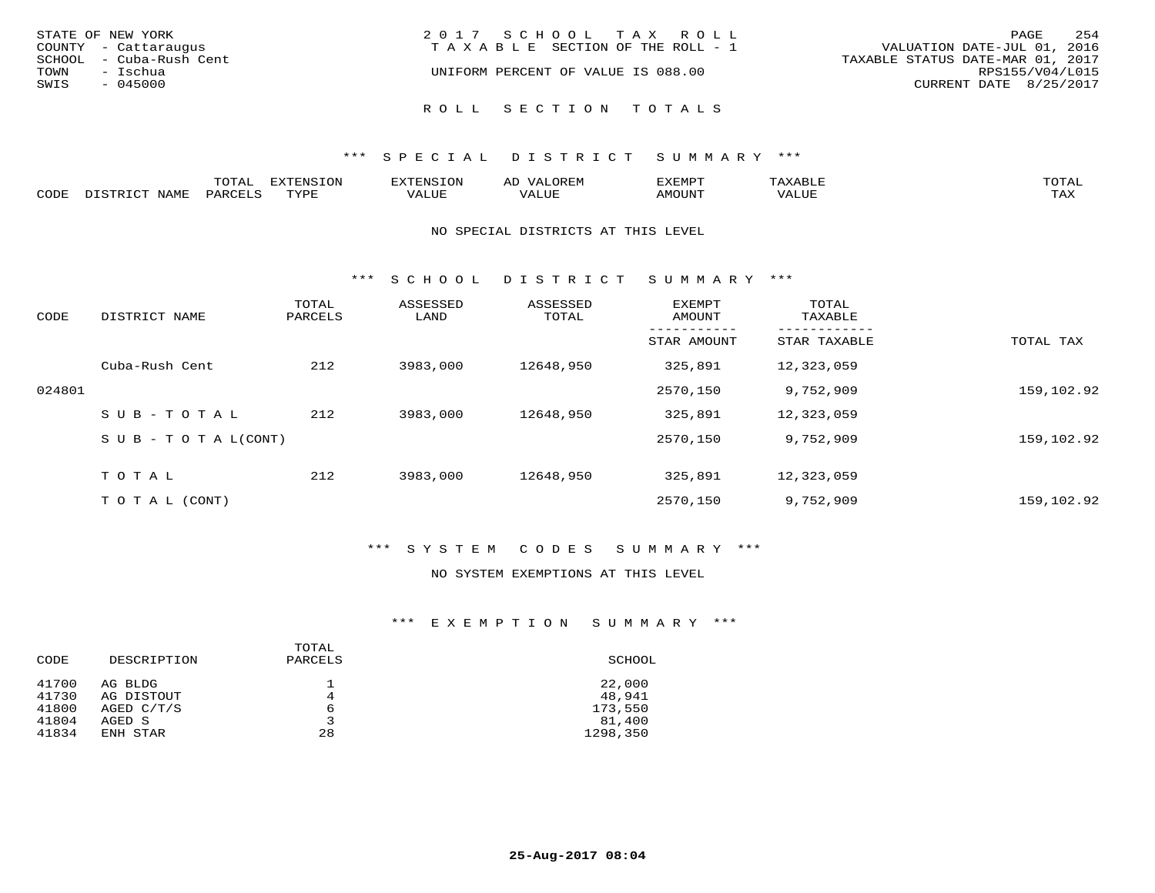| STATE OF NEW YORK<br>COUNTY - Cattaraugus                        | 2017 SCHOOL TAX ROLL<br>TAXABLE SECTION OF THE ROLL - 1 | 254<br>PAGE<br>VALUATION DATE-JUL 01, 2016                                    |
|------------------------------------------------------------------|---------------------------------------------------------|-------------------------------------------------------------------------------|
| SCHOOL - Cuba-Rush Cent<br>TOWN<br>– Ischua<br>SWIS<br>$-045000$ | UNIFORM PERCENT OF VALUE IS 088.00                      | TAXABLE STATUS DATE-MAR 01, 2017<br>RPS155/V04/L015<br>CURRENT DATE 8/25/2017 |
|                                                                  | ROLL SECTION TOTALS                                     |                                                                               |

|      | $\pi$ $\sim$ $\pi$ $\pi$<br>---- | EXTENSION |          | ----         | .XEMP"      |       | $m \wedge m \wedge n$ |
|------|----------------------------------|-----------|----------|--------------|-------------|-------|-----------------------|
| CODE | $\ldots \cap \cap \blacksquare$  | $\pi$     | $\Delta$ | <b>+ +++</b> | 10T<br>WHIN | VALUE | $m \times r$<br>- ⊷∡  |

#### NO SPECIAL DISTRICTS AT THIS LEVEL

\*\*\* S C H O O L D I S T R I C T S U M M A R Y \*\*\*

| CODE   | DISTRICT NAME              | TOTAL<br>PARCELS | ASSESSED<br>LAND | ASSESSED<br>TOTAL | EXEMPT<br>AMOUNT | TOTAL<br>TAXABLE |            |
|--------|----------------------------|------------------|------------------|-------------------|------------------|------------------|------------|
|        |                            |                  |                  |                   | STAR AMOUNT      | STAR TAXABLE     | TOTAL TAX  |
|        | Cuba-Rush Cent             | 212              | 3983,000         | 12648,950         | 325,891          | 12,323,059       |            |
| 024801 |                            |                  |                  |                   | 2570,150         | 9,752,909        | 159,102.92 |
|        | $SUB - TO T AL$            | 212              | 3983,000         | 12648,950         | 325,891          | 12,323,059       |            |
|        | S U B - T O T A $L$ (CONT) |                  |                  |                   | 2570,150         | 9,752,909        | 159,102.92 |
|        | TOTAL                      | 212              | 3983,000         | 12648,950         | 325,891          | 12,323,059       |            |
|        | T O T A L (CONT)           |                  |                  |                   | 2570,150         | 9,752,909        | 159,102.92 |

#### \*\*\* S Y S T E M C O D E S S U M M A R Y \*\*\*

#### NO SYSTEM EXEMPTIONS AT THIS LEVEL

| CODE           | DESCRIPTION           | TOTAL<br>PARCELS | SCHOOL             |
|----------------|-----------------------|------------------|--------------------|
| 41700<br>41730 | AG BLDG<br>AG DISTOUT | 4                | 22,000<br>48,941   |
| 41800          | AGED $C/T/S$          | 6                | 173,550            |
| 41804<br>41834 | AGED S<br>ENH STAR    | 3<br>28          | 81,400<br>1298,350 |
|                |                       |                  |                    |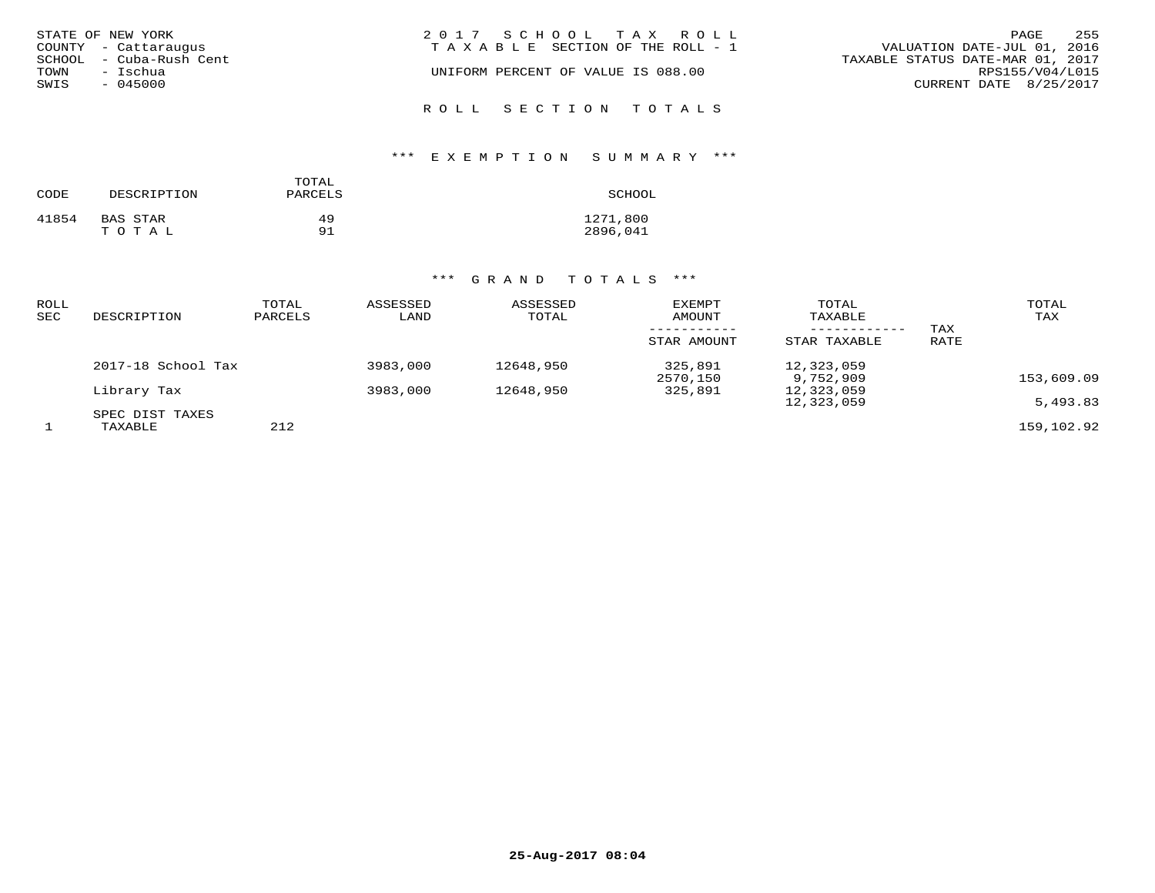| STATE OF NEW YORK<br>COUNTY - Cattaraugus<br>SCHOOL - Cuba-Rush Cent<br>TOWN<br>– Ischua<br>SWIS<br>$-045000$ | 2017 SCHOOL TAX ROLL<br>TAXABLE SECTION OF THE ROLL - 1<br>UNIFORM PERCENT OF VALUE IS 088.00 | 255<br>PAGE<br>VALUATION DATE-JUL 01, 2016<br>TAXABLE STATUS DATE-MAR 01, 2017<br>RPS155/V04/L015<br>CURRENT DATE 8/25/2017 |
|---------------------------------------------------------------------------------------------------------------|-----------------------------------------------------------------------------------------------|-----------------------------------------------------------------------------------------------------------------------------|
|                                                                                                               | ROLL SECTION TOTALS                                                                           |                                                                                                                             |

# \*\*\* E X E M P T I O N S U M M A R Y \*\*\*

| CODE  | DESCRIPTION | TOTAL<br>PARCELS | SCHOOL   |
|-------|-------------|------------------|----------|
| 41854 | BAS STAR    | 49               | 1271,800 |
|       | TOTAL       | 91               | 2896,041 |

| ROLL<br>SEC | DESCRIPTION                | TOTAL<br>PARCELS | ASSESSED<br>LAND | ASSESSED<br>TOTAL | EXEMPT<br>AMOUNT    | TOTAL<br>TAXABLE        | TAX  | TOTAL<br>TAX |
|-------------|----------------------------|------------------|------------------|-------------------|---------------------|-------------------------|------|--------------|
|             |                            |                  |                  |                   | STAR AMOUNT         | STAR TAXABLE            | RATE |              |
|             | 2017-18 School Tax         |                  | 3983,000         | 12648,950         | 325,891<br>2570,150 | 12,323,059<br>9,752,909 |      | 153,609.09   |
|             | Library Tax                |                  | 3983,000         | 12648,950         | 325,891             | 12,323,059              |      |              |
|             |                            |                  |                  |                   |                     | 12,323,059              |      | 5,493.83     |
|             | SPEC DIST TAXES<br>TAXABLE | 212              |                  |                   |                     |                         |      | 159,102.92   |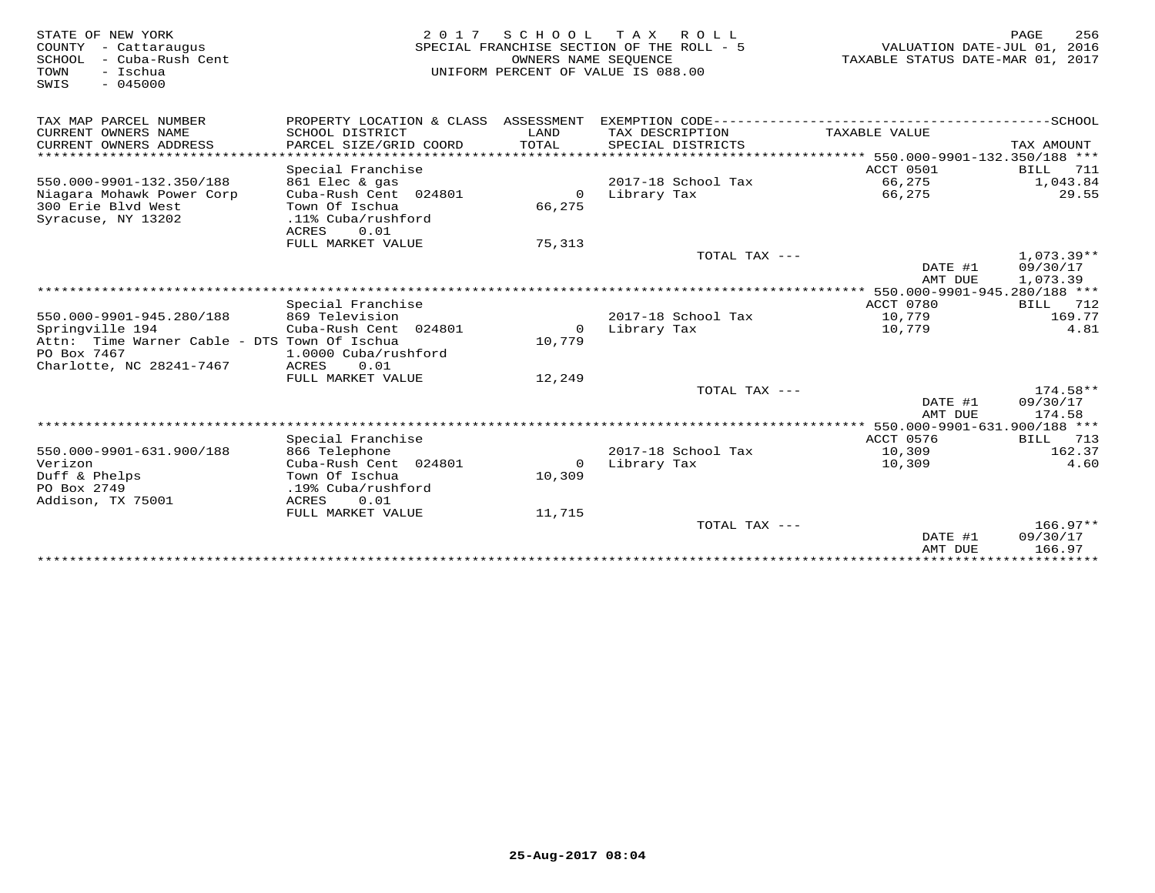| STATE OF NEW YORK<br>- Cattaraugus<br>COUNTY<br>SCHOOL<br>- Cuba-Rush Cent<br>TOWN<br>- Ischua<br>$-045000$<br>SWIS | 2 0 1 7                                               | SCHOOL<br>OWNERS NAME SEOUENCE | ROLL<br>T A X<br>SPECIAL FRANCHISE SECTION OF THE ROLL - 5<br>UNIFORM PERCENT OF VALUE IS 088.00 | VALUATION DATE-JUL 01, 2016<br>TAXABLE STATUS DATE-MAR 01, 2017 | PAGE                   | 256  |
|---------------------------------------------------------------------------------------------------------------------|-------------------------------------------------------|--------------------------------|--------------------------------------------------------------------------------------------------|-----------------------------------------------------------------|------------------------|------|
| TAX MAP PARCEL NUMBER                                                                                               | PROPERTY LOCATION & CLASS ASSESSMENT                  |                                |                                                                                                  |                                                                 |                        |      |
| CURRENT OWNERS NAME<br>CURRENT OWNERS ADDRESS<br>************************                                           | SCHOOL DISTRICT<br>PARCEL SIZE/GRID COORD             | LAND<br>TOTAL                  | TAX DESCRIPTION<br>SPECIAL DISTRICTS                                                             | TAXABLE VALUE                                                   | TAX AMOUNT             |      |
|                                                                                                                     |                                                       |                                |                                                                                                  |                                                                 |                        |      |
| 550.000-9901-132.350/188                                                                                            | Special Franchise<br>861 Elec & gas                   |                                | 2017-18 School Tax                                                                               | ACCT 0501<br>66,275                                             | BILL<br>1,043.84       | 711  |
| Niagara Mohawk Power Corp                                                                                           | Cuba-Rush Cent 024801                                 | $\circ$                        | Library Tax                                                                                      | 66,275                                                          | 29.55                  |      |
| 300 Erie Blvd West<br>Syracuse, NY 13202                                                                            | Town Of Ischua<br>.11% Cuba/rushford<br>0.01<br>ACRES | 66,275                         |                                                                                                  |                                                                 |                        |      |
|                                                                                                                     | FULL MARKET VALUE                                     | 75,313                         |                                                                                                  |                                                                 |                        |      |
|                                                                                                                     |                                                       |                                | TOTAL TAX $---$                                                                                  |                                                                 | $1,073.39**$           |      |
|                                                                                                                     |                                                       |                                |                                                                                                  | DATE #1                                                         | 09/30/17               |      |
|                                                                                                                     |                                                       |                                |                                                                                                  | AMT DUE                                                         | 1,073.39               |      |
|                                                                                                                     |                                                       |                                |                                                                                                  | ****************** 550.000-9901-945.280/188 ***                 |                        |      |
|                                                                                                                     | Special Franchise                                     |                                |                                                                                                  | ACCT 0780                                                       | BILL                   | 712  |
| 550.000-9901-945.280/188                                                                                            | 869 Television                                        |                                | 2017-18 School Tax                                                                               | 10,779                                                          | 169.77                 |      |
| Springville 194                                                                                                     | Cuba-Rush Cent 024801                                 | 0                              | Library Tax                                                                                      | 10,779                                                          |                        | 4.81 |
| Attn: Time Warner Cable - DTS Town Of Ischua                                                                        |                                                       | 10,779                         |                                                                                                  |                                                                 |                        |      |
| PO Box 7467<br>Charlotte, NC 28241-7467                                                                             | 1.0000 Cuba/rushford<br>ACRES<br>0.01                 |                                |                                                                                                  |                                                                 |                        |      |
|                                                                                                                     | FULL MARKET VALUE                                     | 12,249                         |                                                                                                  |                                                                 |                        |      |
|                                                                                                                     |                                                       |                                | TOTAL TAX $---$                                                                                  |                                                                 | $174.58**$             |      |
|                                                                                                                     |                                                       |                                |                                                                                                  | DATE #1                                                         | 09/30/17               |      |
|                                                                                                                     |                                                       |                                |                                                                                                  | AMT DUE                                                         | 174.58                 |      |
|                                                                                                                     |                                                       |                                |                                                                                                  |                                                                 |                        |      |
|                                                                                                                     | Special Franchise                                     |                                |                                                                                                  | ACCT 0576                                                       | BILL                   | 713  |
| 550.000-9901-631.900/188                                                                                            | 866 Telephone                                         |                                | 2017-18 School Tax                                                                               | 10,309                                                          | 162.37                 |      |
| Verizon                                                                                                             | Cuba-Rush Cent 024801                                 | $\mathbf{0}$                   | Library Tax                                                                                      | 10,309                                                          |                        | 4.60 |
| Duff & Phelps                                                                                                       | Town Of Ischua                                        | 10,309                         |                                                                                                  |                                                                 |                        |      |
| PO Box 2749                                                                                                         | .19% Cuba/rushford                                    |                                |                                                                                                  |                                                                 |                        |      |
| Addison, TX 75001                                                                                                   | ACRES<br>0.01                                         |                                |                                                                                                  |                                                                 |                        |      |
|                                                                                                                     | FULL MARKET VALUE                                     | 11,715                         |                                                                                                  |                                                                 |                        |      |
|                                                                                                                     |                                                       |                                | TOTAL TAX ---                                                                                    |                                                                 | $166.97**$<br>09/30/17 |      |
|                                                                                                                     |                                                       |                                |                                                                                                  | DATE #1<br>AMT DUE                                              | 166.97                 |      |
|                                                                                                                     |                                                       |                                |                                                                                                  |                                                                 |                        |      |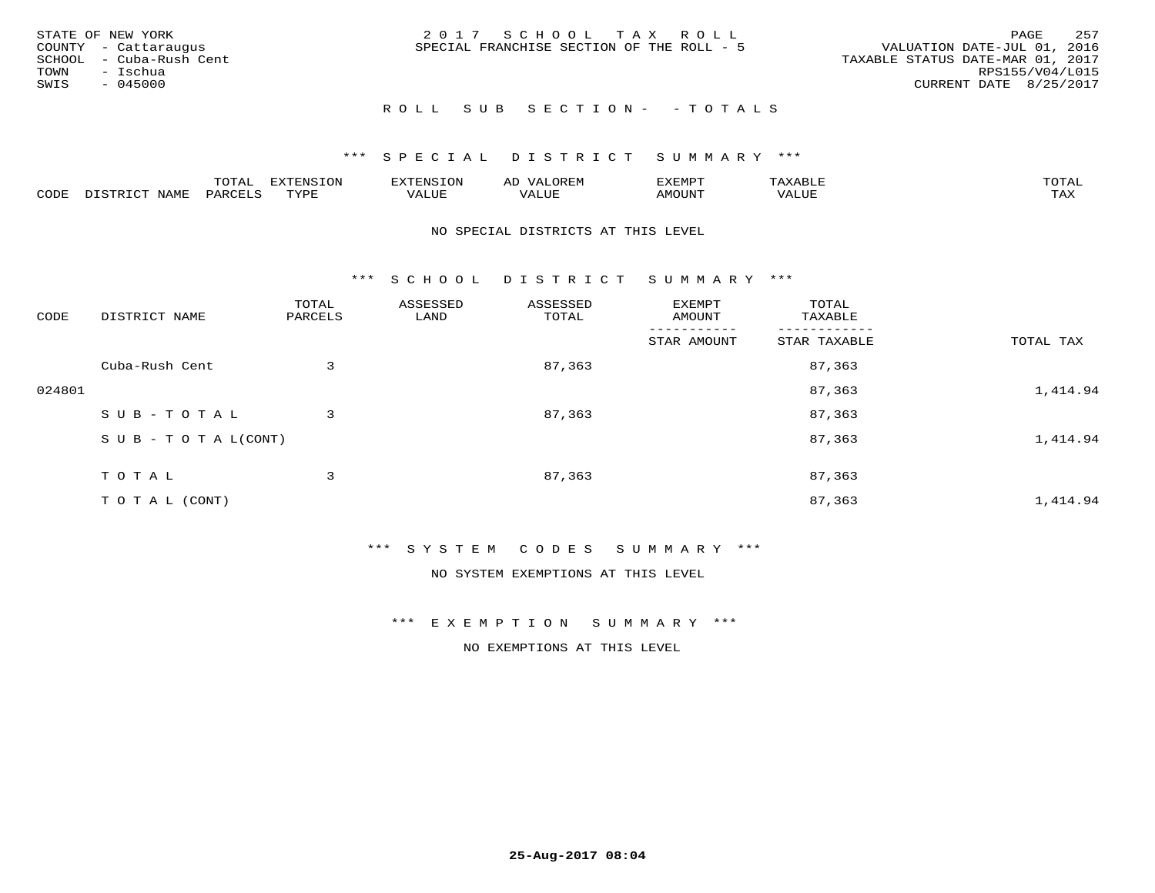|      | STATE OF NEW YORK       | 2017 SCHOOL TAX ROLL                      | PAGE                             | 257 |
|------|-------------------------|-------------------------------------------|----------------------------------|-----|
|      | COUNTY - Cattaraugus    | SPECIAL FRANCHISE SECTION OF THE ROLL - 5 | VALUATION DATE-JUL 01, 2016      |     |
|      | SCHOOL - Cuba-Rush Cent |                                           | TAXABLE STATUS DATE-MAR 01, 2017 |     |
| TOWN | – Ischua                |                                           | RPS155/V04/L015                  |     |
| SWIS | - 045000                |                                           | CURRENT DATE 8/25/2017           |     |
|      |                         |                                           |                                  |     |

#### R O L L S U B S E C T I O N - - T O T A L S

#### \*\*\* S P E C I A L D I S T R I C T S U M M A R Y \*\*\*

|      |             | m^m <u>a</u> | <b>DVERMOTOM</b><br>. U L' | .              | ΑL    | ם הוא הדעי<br>-∧EMP" |                 | $m \wedge m$<br>$\overline{\phantom{a}}$ |
|------|-------------|--------------|----------------------------|----------------|-------|----------------------|-----------------|------------------------------------------|
| CODE | <b>NTAM</b> | PARO         | TVDF                       | T T T<br>ALUF. | 'Alue | <b>MOUNT</b>         | ALUE<br>77 D. 1 | .<br>∸∽∸                                 |

#### NO SPECIAL DISTRICTS AT THIS LEVEL

\*\*\* S C H O O L D I S T R I C T S U M M A R Y \*\*\*

| CODE   | DISTRICT NAME                    | TOTAL<br>PARCELS | ASSESSED<br>LAND | ASSESSED<br>TOTAL | EXEMPT<br>AMOUNT | TOTAL<br>TAXABLE |           |
|--------|----------------------------------|------------------|------------------|-------------------|------------------|------------------|-----------|
|        |                                  |                  |                  |                   | STAR AMOUNT      | STAR TAXABLE     | TOTAL TAX |
|        | Cuba-Rush Cent                   | 3                |                  | 87,363            |                  | 87,363           |           |
| 024801 |                                  |                  |                  |                   |                  | 87,363           | 1,414.94  |
|        | SUB-TOTAL                        | 3                |                  | 87,363            |                  | 87,363           |           |
|        | $S \cup B - T \cup T A L (CONT)$ |                  |                  |                   |                  | 87,363           | 1,414.94  |
|        | T O T A L                        | 3                |                  | 87,363            |                  | 87,363           |           |
|        | T O T A L (CONT)                 |                  |                  |                   |                  | 87,363           | 1,414.94  |

#### \*\*\* S Y S T E M C O D E S S U M M A R Y \*\*\*

NO SYSTEM EXEMPTIONS AT THIS LEVEL

#### \*\*\* E X E M P T I O N S U M M A R Y \*\*\*

NO EXEMPTIONS AT THIS LEVEL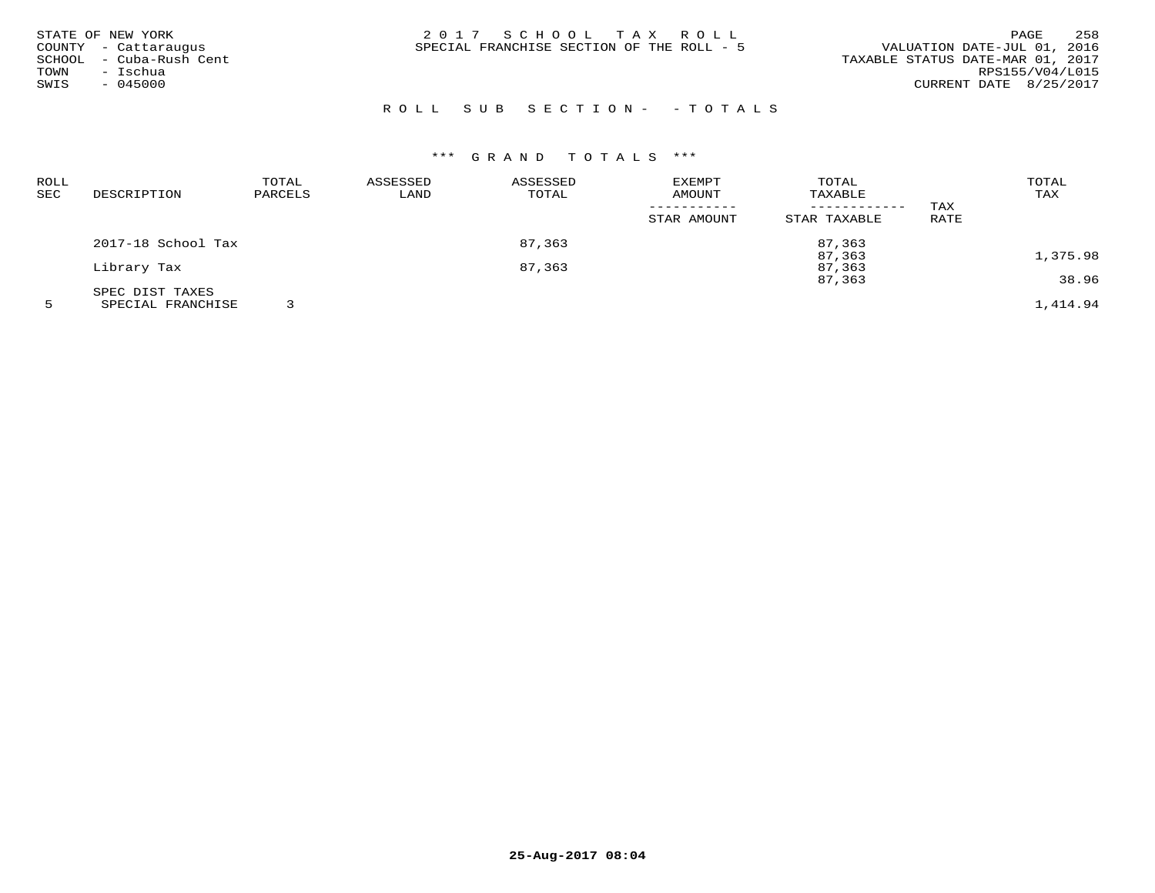| STATE OF NEW YORK       | 2017 SCHOOL TAX ROLL                      | 258<br>PAGE                      |
|-------------------------|-------------------------------------------|----------------------------------|
| COUNTY - Cattaraugus    | SPECIAL FRANCHISE SECTION OF THE ROLL - 5 | VALUATION DATE-JUL 01, 2016      |
| SCHOOL - Cuba-Rush Cent |                                           | TAXABLE STATUS DATE-MAR 01, 2017 |
| - Ischua<br>TOWN        |                                           | RPS155/V04/L015                  |
| $-045000$<br>SWIS       |                                           | CURRENT DATE 8/25/2017           |
|                         |                                           |                                  |

# R O L L S U B S E C T I O N - - T O T A L S

# \*\*\* G R A N D T O T A L S \*\*\*

| ROLL |                    | TOTAL            | ASSESSED | ASSESSED | <b>EXEMPT</b> | TOTAL        |      | TOTAL    |
|------|--------------------|------------------|----------|----------|---------------|--------------|------|----------|
| SEC  | DESCRIPTION        | PARCELS          | LAND     | TOTAL    | AMOUNT        | TAXABLE      |      | TAX      |
|      |                    |                  |          |          |               |              | TAX  |          |
|      |                    |                  |          |          | STAR AMOUNT   | STAR TAXABLE | RATE |          |
|      | 2017-18 School Tax |                  |          | 87,363   |               | 87,363       |      |          |
|      |                    |                  |          |          |               | 87,363       |      | 1,375.98 |
|      | Library Tax        | 87,363<br>87,363 |          |          |               |              |      |          |
|      |                    |                  |          |          |               | 87,363       |      | 38.96    |
|      | SPEC DIST TAXES    |                  |          |          |               |              |      |          |
|      | SPECIAL FRANCHISE  |                  |          |          |               |              |      | 1,414.94 |

**25-Aug-2017 08:04**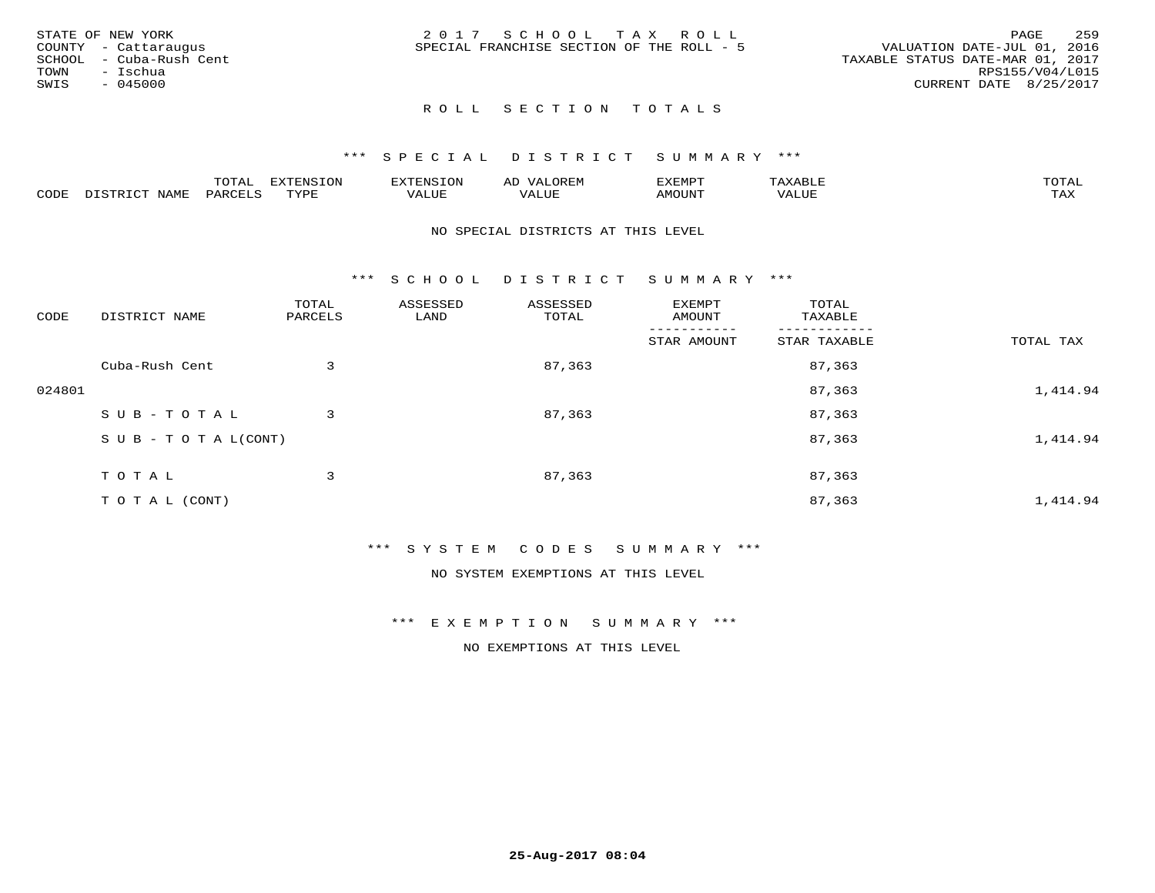| STATE OF NEW YORK       | 2017 SCHOOL TAX ROLL                      | 259<br>PAGE                      |
|-------------------------|-------------------------------------------|----------------------------------|
| COUNTY - Cattaraugus    | SPECIAL FRANCHISE SECTION OF THE ROLL - 5 | VALUATION DATE-JUL 01, 2016      |
| SCHOOL - Cuba-Rush Cent |                                           | TAXABLE STATUS DATE-MAR 01, 2017 |
| TOWN<br>– Ischua        |                                           | RPS155/V04/L015                  |
| SWIS<br>$-045000$       |                                           | CURRENT DATE 8/25/2017           |
|                         |                                           |                                  |

#### \*\*\* S P E C I A L D I S T R I C T S U M M A R Y \*\*\*

|      |                   | mom n | <b>DIZPOIATO TOM</b><br>.UP |      | AL   | ,,, <del>,</del> ,,, <del>,</del> ,<br>. ب |               |                     |
|------|-------------------|-------|-----------------------------|------|------|--------------------------------------------|---------------|---------------------|
| CODE | NTAM <sup>7</sup> | PARO  | TVDF                        | ALUI | ALUL | IMOUNT                                     | ----<br>'ALUL | $m \times r$<br>∸∽∽ |

#### NO SPECIAL DISTRICTS AT THIS LEVEL

\*\*\* S C H O O L D I S T R I C T S U M M A R Y \*\*\*

| CODE   | DISTRICT NAME                    | TOTAL<br>PARCELS | ASSESSED<br>LAND | ASSESSED<br>TOTAL | EXEMPT<br>AMOUNT | TOTAL<br>TAXABLE |           |
|--------|----------------------------------|------------------|------------------|-------------------|------------------|------------------|-----------|
|        |                                  |                  |                  |                   | STAR AMOUNT      | STAR TAXABLE     | TOTAL TAX |
|        | Cuba-Rush Cent                   | 3                |                  | 87,363            |                  | 87,363           |           |
| 024801 |                                  |                  |                  |                   |                  | 87,363           | 1,414.94  |
|        | SUB-TOTAL                        | 3                |                  | 87,363            |                  | 87,363           |           |
|        | $S \cup B - T \cup T A L (CONT)$ |                  |                  |                   |                  | 87,363           | 1,414.94  |
|        | TOTAL                            | 3                |                  | 87,363            |                  | 87,363           |           |
|        | T O T A L (CONT)                 |                  |                  |                   |                  | 87,363           | 1,414.94  |

#### \*\*\* S Y S T E M C O D E S S U M M A R Y \*\*\*

NO SYSTEM EXEMPTIONS AT THIS LEVEL

#### \*\*\* E X E M P T I O N S U M M A R Y \*\*\*

NO EXEMPTIONS AT THIS LEVEL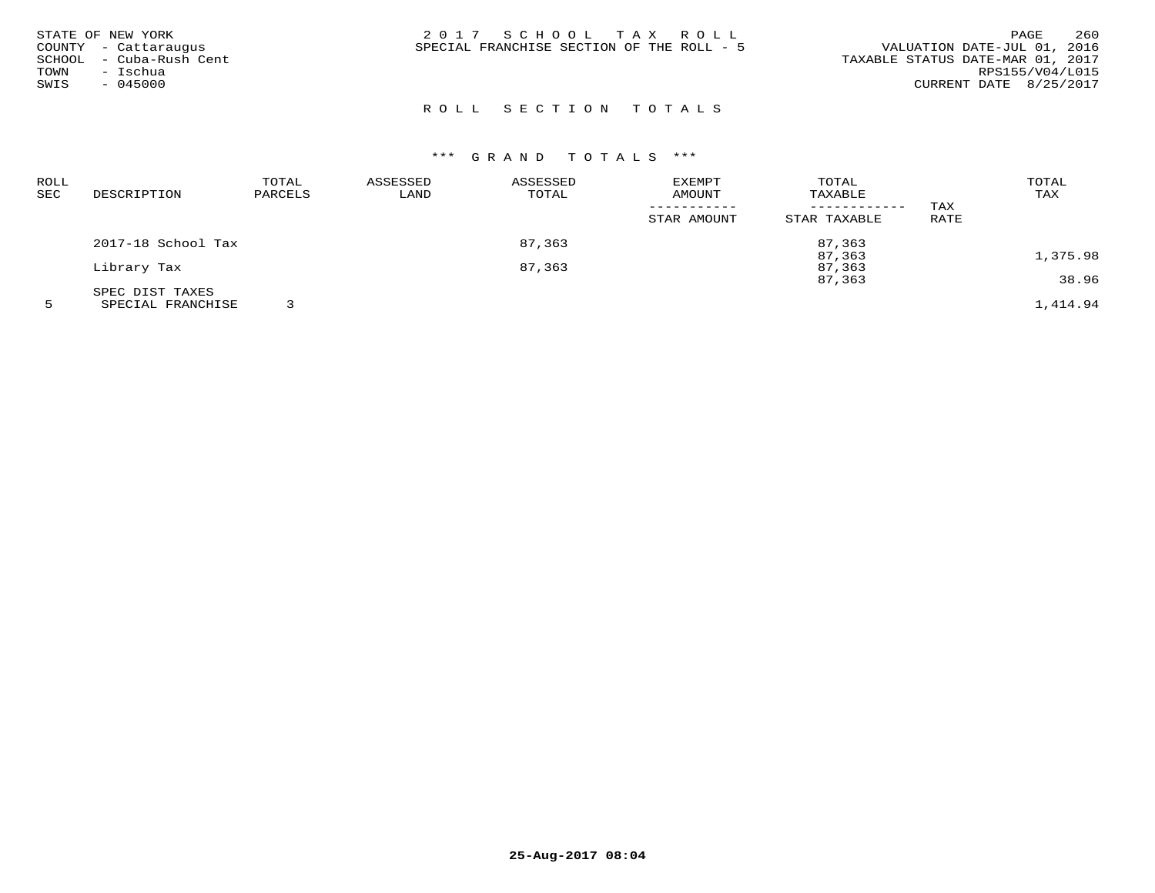| STATE OF NEW YORK<br>COUNTY - Cattaraugus<br>SCHOOL - Cuba-Rush Cent<br>- Ischua<br>TOWN<br>$-045000$<br>SWIS | 2017 SCHOOL TAX ROLL<br>SPECIAL FRANCHISE SECTION OF THE ROLL - 5 | 260<br><b>PAGE</b><br>VALUATION DATE-JUL 01, 2016<br>TAXABLE STATUS DATE-MAR 01, 2017<br>RPS155/V04/L015<br>CURRENT DATE 8/25/2017 |
|---------------------------------------------------------------------------------------------------------------|-------------------------------------------------------------------|------------------------------------------------------------------------------------------------------------------------------------|
|                                                                                                               |                                                                   |                                                                                                                                    |

| <b>ROLL</b> |                    | TOTAL   | ASSESSED | ASSESSED | <b>EXEMPT</b> | TOTAL        |      | TOTAL    |
|-------------|--------------------|---------|----------|----------|---------------|--------------|------|----------|
| SEC         | DESCRIPTION        | PARCELS | LAND     | TOTAL    | AMOUNT        | TAXABLE      |      | TAX      |
|             |                    |         |          |          |               |              | TAX  |          |
|             |                    |         |          |          | STAR AMOUNT   | STAR TAXABLE | RATE |          |
|             | 2017-18 School Tax |         |          | 87,363   |               | 87,363       |      |          |
|             |                    |         |          |          |               | 87,363       |      | 1,375.98 |
|             | Library Tax        |         | 87,363   |          |               | 87,363       |      |          |
|             |                    |         |          |          |               | 87,363       |      | 38.96    |
|             | SPEC DIST TAXES    |         |          |          |               |              |      |          |
|             | SPECIAL FRANCHISE  |         |          |          |               |              |      | 1,414.94 |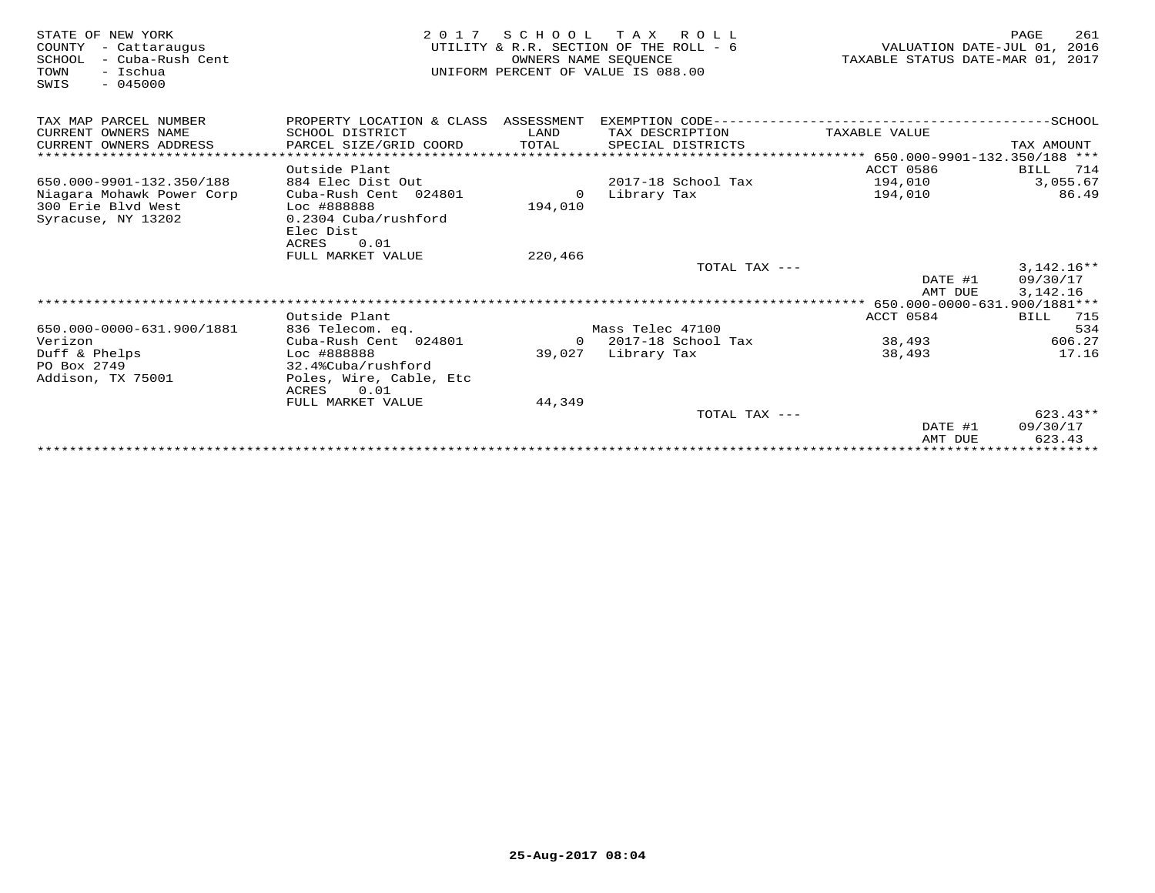| STATE OF NEW YORK<br>COUNTY<br>- Cattaraugus<br>- Cuba-Rush Cent<br>SCHOOL<br>TOWN<br>- Ischua<br>$-045000$<br>SWIS | 2 0 1 7                                   | S C H O O L<br>OWNERS NAME SEOUENCE | T A X<br>R O L L<br>UTILITY & R.R. SECTION OF THE ROLL - 6<br>UNIFORM PERCENT OF VALUE IS 088.00 | VALUATION DATE-JUL 01,<br>TAXABLE STATUS DATE-MAR 01, 2017 | PAGE<br>261<br>2016 |
|---------------------------------------------------------------------------------------------------------------------|-------------------------------------------|-------------------------------------|--------------------------------------------------------------------------------------------------|------------------------------------------------------------|---------------------|
| TAX MAP PARCEL NUMBER                                                                                               | PROPERTY LOCATION & CLASS ASSESSMENT      |                                     |                                                                                                  |                                                            |                     |
| CURRENT OWNERS NAME                                                                                                 | SCHOOL DISTRICT                           | LAND                                | TAX DESCRIPTION                                                                                  | TAXABLE VALUE                                              |                     |
| CURRENT OWNERS ADDRESS                                                                                              | PARCEL SIZE/GRID COORD                    | TOTAL                               | SPECIAL DISTRICTS                                                                                |                                                            | TAX AMOUNT          |
|                                                                                                                     |                                           |                                     |                                                                                                  | ***************** 650.000-9901-132.350/188 ***             |                     |
|                                                                                                                     | Outside Plant                             |                                     |                                                                                                  | ACCT 0586                                                  | BILL<br>714         |
| 650.000-9901-132.350/188                                                                                            | 884 Elec Dist Out                         |                                     | 2017-18 School Tax                                                                               | 194,010                                                    | 3,055.67            |
| Niagara Mohawk Power Corp                                                                                           | Cuba-Rush Cent 024801                     | $\Omega$                            | Library Tax                                                                                      | 194,010                                                    | 86.49               |
| 300 Erie Blyd West<br>Syracuse, NY 13202                                                                            | Loc #888888<br>0.2304 Cuba/rushford       | 194,010                             |                                                                                                  |                                                            |                     |
|                                                                                                                     | Elec Dist                                 |                                     |                                                                                                  |                                                            |                     |
|                                                                                                                     | <b>ACRES</b><br>0.01                      |                                     |                                                                                                  |                                                            |                     |
|                                                                                                                     | FULL MARKET VALUE                         | 220,466                             |                                                                                                  |                                                            |                     |
|                                                                                                                     |                                           |                                     | TOTAL TAX ---                                                                                    |                                                            | $3,142.16**$        |
|                                                                                                                     |                                           |                                     |                                                                                                  | DATE #1                                                    | 09/30/17            |
|                                                                                                                     |                                           |                                     |                                                                                                  | AMT DUE                                                    | 3,142.16            |
|                                                                                                                     |                                           |                                     |                                                                                                  |                                                            |                     |
|                                                                                                                     | Outside Plant                             |                                     |                                                                                                  | ACCT 0584                                                  | BILL<br>715         |
| 650.000-0000-631.900/1881                                                                                           | 836 Telecom. eq.                          |                                     | Mass Telec 47100                                                                                 |                                                            | 534                 |
| Verizon                                                                                                             | Cuba-Rush Cent 024801                     | $\Omega$                            | 2017-18 School Tax                                                                               | 38,493                                                     | 606.27              |
| Duff & Phelps                                                                                                       | Loc #888888                               | 39,027                              | Library Tax                                                                                      | 38,493                                                     | 17.16               |
| PO Box 2749                                                                                                         | 32.4%Cuba/rushford                        |                                     |                                                                                                  |                                                            |                     |
| Addison, TX 75001                                                                                                   | Poles, Wire, Cable, Etc                   |                                     |                                                                                                  |                                                            |                     |
|                                                                                                                     | <b>ACRES</b><br>0.01<br>FULL MARKET VALUE | 44,349                              |                                                                                                  |                                                            |                     |
|                                                                                                                     |                                           |                                     | TOTAL TAX ---                                                                                    |                                                            | $623.43**$          |
|                                                                                                                     |                                           |                                     |                                                                                                  | DATE #1                                                    | 09/30/17            |
|                                                                                                                     |                                           |                                     |                                                                                                  | AMT DUE                                                    | 623.43              |
|                                                                                                                     |                                           |                                     |                                                                                                  |                                                            |                     |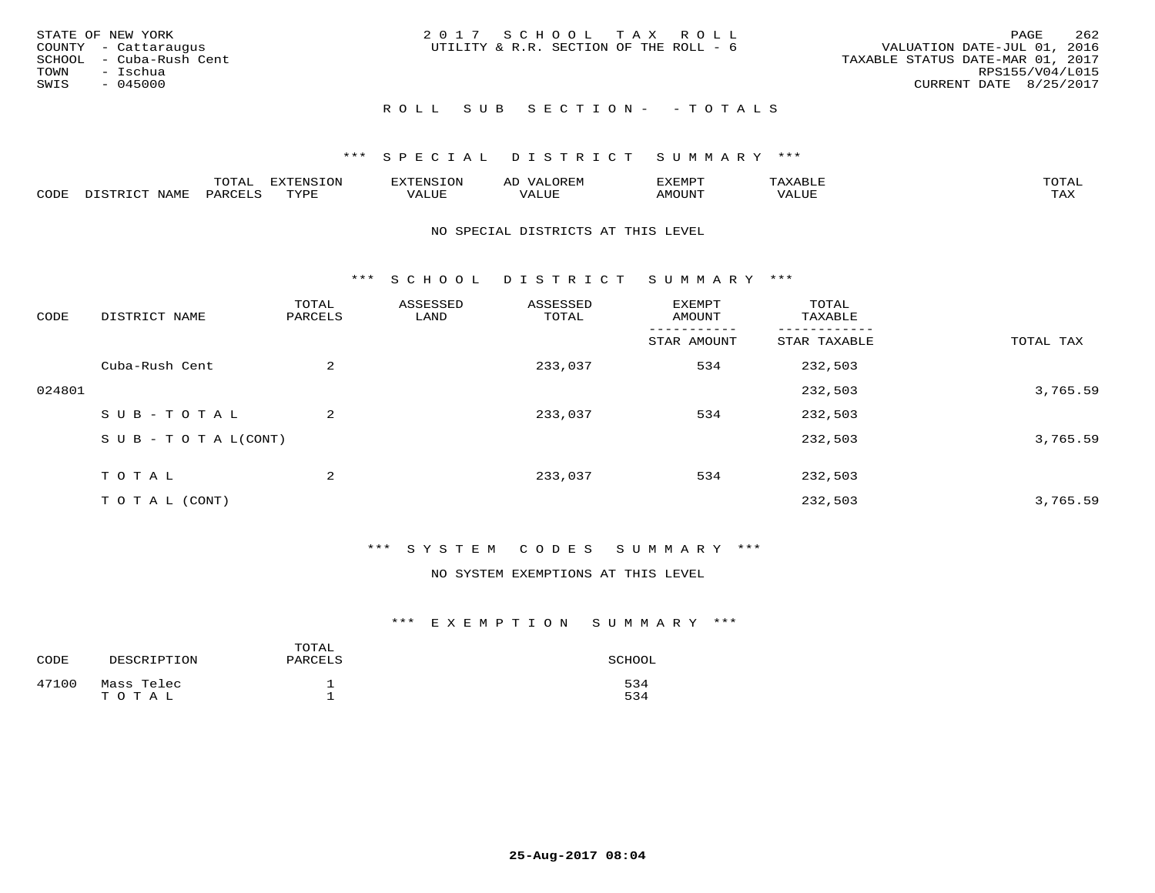| STATE OF NEW YORK<br>COUNTY - Cattaraugus<br>SCHOOL - Cuba-Rush Cent<br>TOWN<br>- Ischua | 2017 SCHOOL TAX ROLL<br>UTILITY & R.R. SECTION OF THE ROLL - 6 | 262<br>PAGE<br>VALUATION DATE-JUL 01, 2016<br>TAXABLE STATUS DATE-MAR 01, 2017<br>RPS155/V04/L015 |
|------------------------------------------------------------------------------------------|----------------------------------------------------------------|---------------------------------------------------------------------------------------------------|
| SWIS<br>$-045000$                                                                        |                                                                | CURRENT DATE 8/25/2017                                                                            |
|                                                                                          | ROLL SUB SECTION- - TOTALS                                     |                                                                                                   |

|      |      | $\overline{\phantom{a}}$<br>10111 |           | $\sim$ | <b>YFMD</b> h | mom <sub>n</sub> |
|------|------|-----------------------------------|-----------|--------|---------------|------------------|
| CODE | í∆MT |                                   | TVDL<br>. | 77T    |               | TAX              |

#### NO SPECIAL DISTRICTS AT THIS LEVEL

\*\*\* S C H O O L D I S T R I C T S U M M A R Y \*\*\*

| CODE   | DISTRICT NAME                    | TOTAL<br>PARCELS | ASSESSED<br>LAND | ASSESSED<br>TOTAL | EXEMPT<br>AMOUNT | TOTAL<br>TAXABLE |           |
|--------|----------------------------------|------------------|------------------|-------------------|------------------|------------------|-----------|
|        |                                  |                  |                  |                   | STAR AMOUNT      | STAR TAXABLE     | TOTAL TAX |
|        | Cuba-Rush Cent                   | 2                |                  | 233,037           | 534              | 232,503          |           |
| 024801 |                                  |                  |                  |                   |                  | 232,503          | 3,765.59  |
|        | SUB-TOTAL                        | $\overline{a}$   |                  | 233,037           | 534              | 232,503          |           |
|        | $S \cup B - T \cup T A L (CONT)$ |                  |                  |                   |                  | 232,503          | 3,765.59  |
|        | TOTAL                            | 2                |                  | 233,037           | 534              | 232,503          |           |
|        | T O T A L (CONT)                 |                  |                  |                   |                  | 232,503          | 3,765.59  |

#### \*\*\* S Y S T E M C O D E S S U M M A R Y \*\*\*

NO SYSTEM EXEMPTIONS AT THIS LEVEL

| CODE  | DESCRIPTION         | TOTAL<br>PARCELS | SCHOOL     |
|-------|---------------------|------------------|------------|
| 47100 | Mass Telec<br>TOTAL | ᅩ                | 534<br>534 |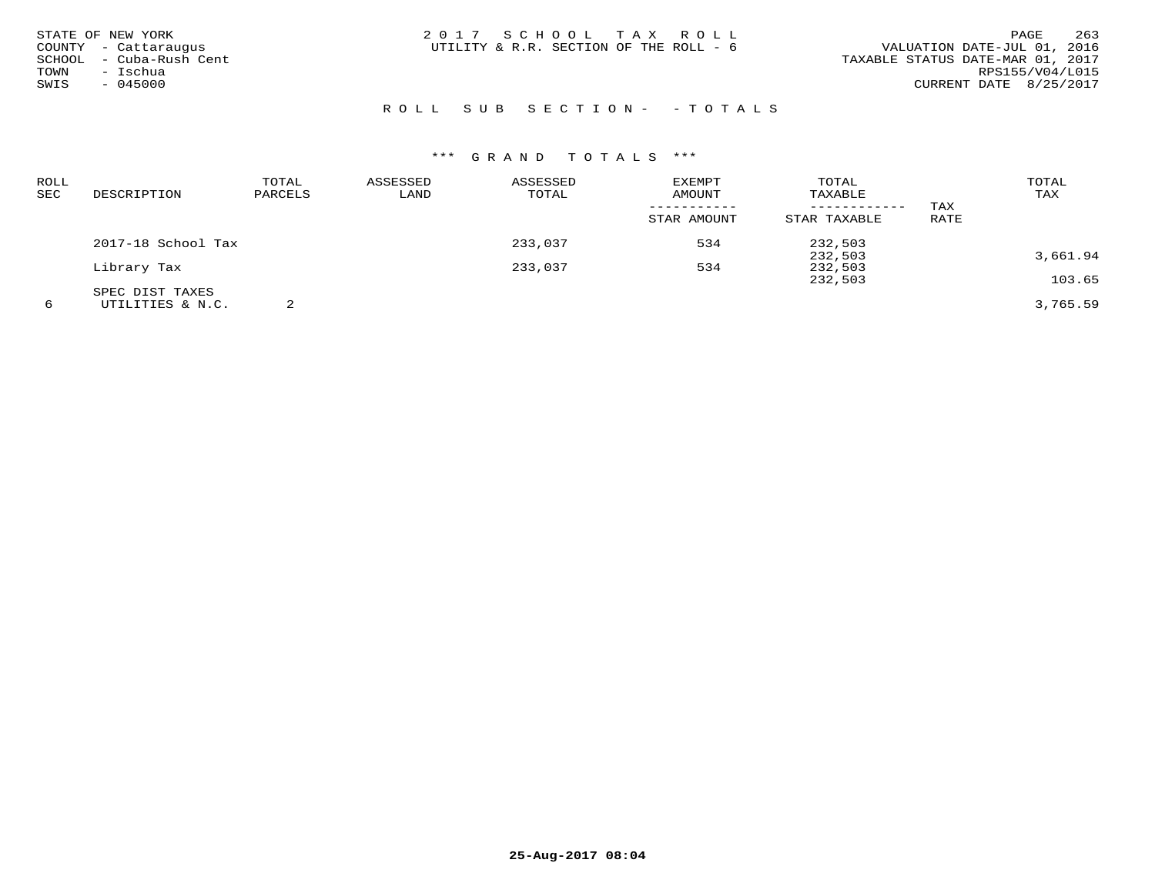| STATE OF NEW YORK       | 2017 SCHOOL TAX ROLL                   | 263<br>PAGE                      |
|-------------------------|----------------------------------------|----------------------------------|
| COUNTY - Cattaraugus    | UTILITY & R.R. SECTION OF THE ROLL - 6 | VALUATION DATE-JUL 01, 2016      |
| SCHOOL - Cuba-Rush Cent |                                        | TAXABLE STATUS DATE-MAR 01, 2017 |
| - Ischua<br>TOWN        |                                        | RPS155/V04/L015                  |
| 045000<br>SWIS          |                                        | CURRENT DATE 8/25/2017           |
|                         |                                        |                                  |

# ROLL SUB SECTION- - TOTALS

| ROLL |                    | TOTAL   | ASSESSED | ASSESSED | EXEMPT      | TOTAL        |      | TOTAL    |
|------|--------------------|---------|----------|----------|-------------|--------------|------|----------|
| SEC  | DESCRIPTION        | PARCELS | LAND     | TOTAL    | AMOUNT      | TAXABLE      |      | TAX      |
|      |                    |         |          |          |             |              | TAX  |          |
|      |                    |         |          |          | STAR AMOUNT | STAR TAXABLE | RATE |          |
|      | 2017-18 School Tax |         |          | 233,037  | 534         | 232,503      |      |          |
|      |                    |         |          |          |             | 232,503      |      | 3,661.94 |
|      | Library Tax        |         |          | 233,037  | 534         | 232,503      |      |          |
|      |                    |         |          |          |             | 232,503      |      | 103.65   |
|      | SPEC DIST TAXES    |         |          |          |             |              |      |          |
| 6    | UTILITIES & N.C.   |         |          |          |             |              |      | 3,765.59 |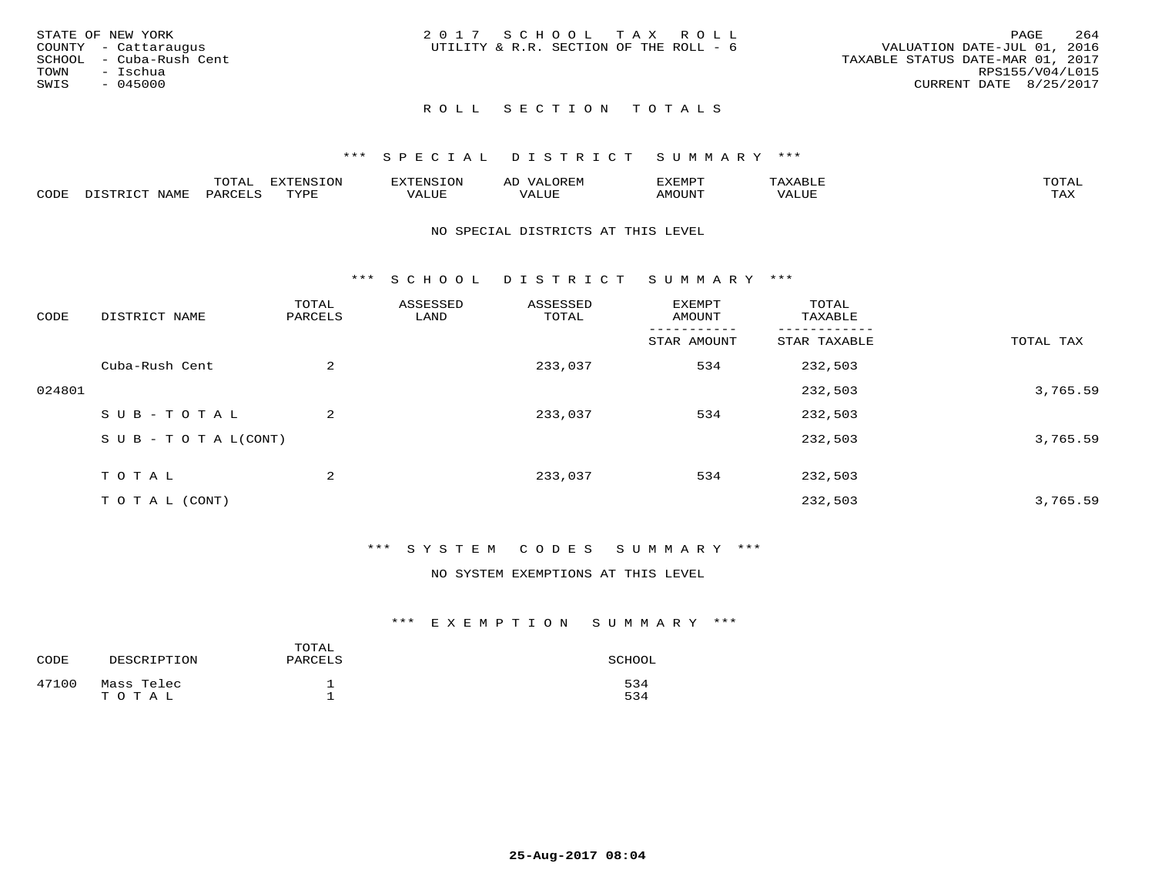| STATE OF NEW YORK       | 2017 SCHOOL TAX ROLL                   | 264<br>PAGE                      |
|-------------------------|----------------------------------------|----------------------------------|
| COUNTY - Cattaraugus    | UTILITY & R.R. SECTION OF THE ROLL - 6 | VALUATION DATE-JUL 01, 2016      |
| SCHOOL - Cuba-Rush Cent |                                        | TAXABLE STATUS DATE-MAR 01, 2017 |
| TOWN<br>- Ischua        |                                        | RPS155/V04/L015                  |
| SWIS<br>- 045000        |                                        | CURRENT DATE 8/25/2017           |
|                         |                                        |                                  |

#### \*\*\* S P E C I A L D I S T R I C T S U M M A R Y \*\*\*

|      |                  | momm <sup>.</sup><br>TOTAT | <b>ELIMENT OF ONT</b><br>⊥∪lv | <b>FINS</b> | OREM                     | CXEMPT        | $max$ is $max$ $n$       | $m \wedge m \wedge n$ |
|------|------------------|----------------------------|-------------------------------|-------------|--------------------------|---------------|--------------------------|-----------------------|
| CODE | NAME<br>DISTRICT | PARCELS                    | TVDF<br>.                     | 7ALUE.      | . <del>.</del><br>. ALUF | <b>AMOUNT</b> | * * * * * * * *<br>'ALUL | <b>TAY</b><br>⊥⇔∆     |

#### NO SPECIAL DISTRICTS AT THIS LEVEL

\*\*\* S C H O O L D I S T R I C T S U M M A R Y \*\*\*

| CODE   | DISTRICT NAME                    | TOTAL<br>PARCELS | ASSESSED<br>LAND | ASSESSED<br>TOTAL | EXEMPT<br>AMOUNT | TOTAL<br>TAXABLE |           |
|--------|----------------------------------|------------------|------------------|-------------------|------------------|------------------|-----------|
|        |                                  |                  |                  |                   | STAR AMOUNT      | STAR TAXABLE     | TOTAL TAX |
|        | Cuba-Rush Cent                   | $\overline{2}$   |                  | 233,037           | 534              | 232,503          |           |
| 024801 |                                  |                  |                  |                   |                  | 232,503          | 3,765.59  |
|        | SUB-TOTAL                        | $\overline{2}$   |                  | 233,037           | 534              | 232,503          |           |
|        | $S \cup B - T \cup T A L (CONT)$ |                  |                  |                   |                  | 232,503          | 3,765.59  |
|        | TOTAL                            | 2                |                  | 233,037           | 534              | 232,503          |           |
|        | T O T A L (CONT)                 |                  |                  |                   |                  | 232,503          | 3,765.59  |

#### \*\*\* S Y S T E M C O D E S S U M M A R Y \*\*\*

NO SYSTEM EXEMPTIONS AT THIS LEVEL

| CODE  | DESCRIPTION         | TOTAL<br>PARCELS | SCHOOL     |
|-------|---------------------|------------------|------------|
| 47100 | Mass Telec<br>TOTAL | ᅩ                | 534<br>534 |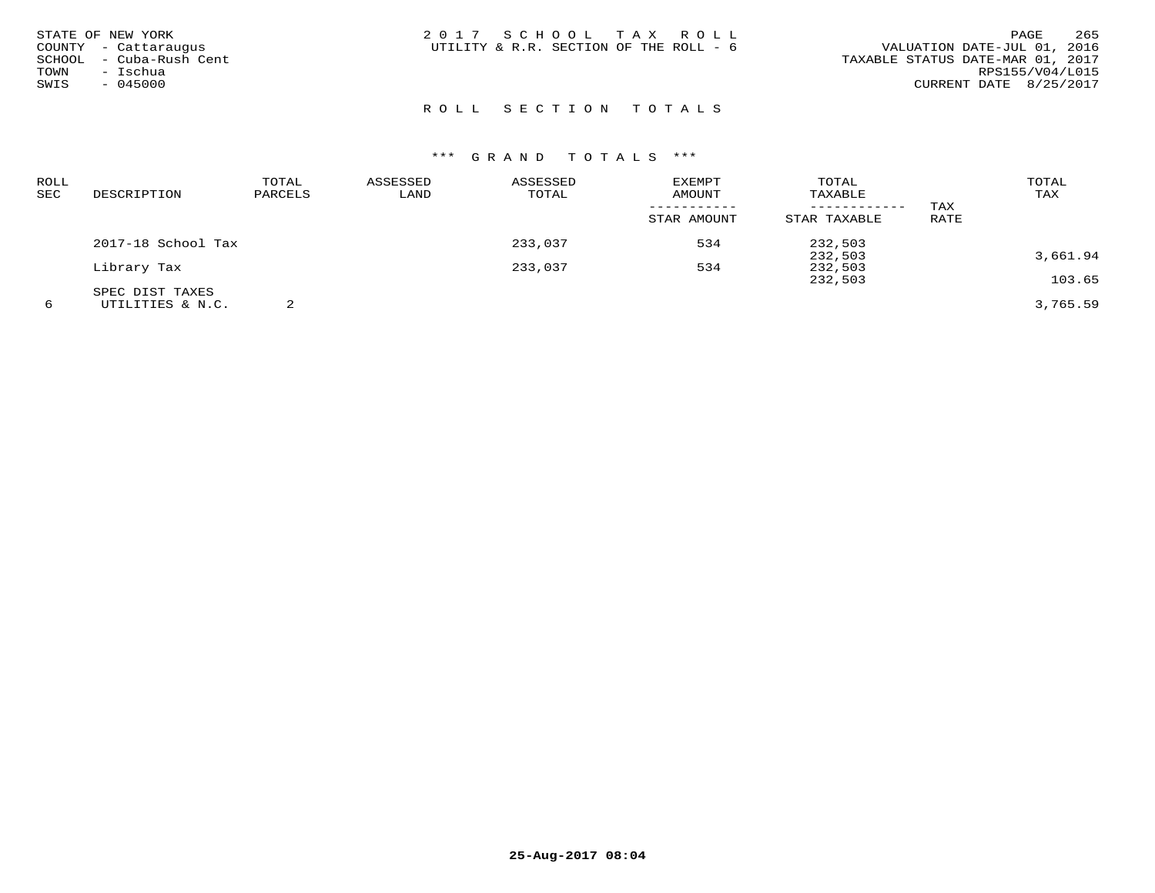| ROLL<br>SEC | DESCRIPTION        | TOTAL<br>PARCELS | ASSESSED<br>LAND | ASSESSED<br>TOTAL | <b>EXEMPT</b><br><b>AMOUNT</b> | TOTAL<br>TAXABLE |      | TOTAL<br>TAX |
|-------------|--------------------|------------------|------------------|-------------------|--------------------------------|------------------|------|--------------|
|             |                    |                  |                  |                   | -----------                    | ------------     | TAX  |              |
|             |                    |                  |                  |                   | STAR AMOUNT                    | STAR TAXABLE     | RATE |              |
|             | 2017-18 School Tax |                  |                  | 233,037           | 534                            | 232,503          |      |              |
|             |                    |                  |                  |                   |                                | 232,503          |      | 3,661.94     |
|             | Library Tax        |                  |                  | 233,037           | 534                            | 232,503          |      |              |
|             |                    |                  |                  |                   |                                | 232,503          |      | 103.65       |
|             | SPEC DIST TAXES    |                  |                  |                   |                                |                  |      |              |
| 6           | UTILITIES & N.C.   |                  |                  |                   |                                |                  |      | 3,765.59     |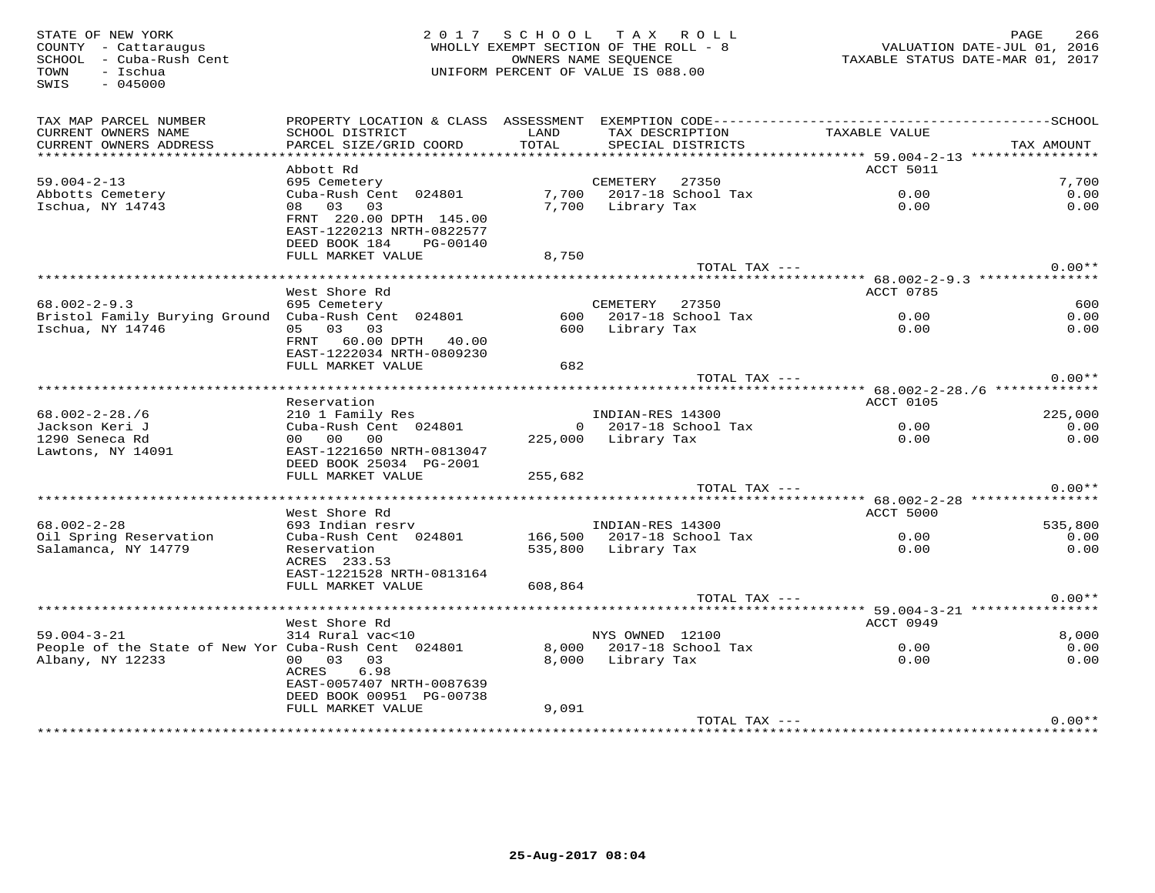TOWN - Ischua<br>SWIS - 045000

# STATE OF NEW YORK 2 0 1 7 S C H O O L T A X R O L L PAGE 266 COUNTY - Cattaraugus WHOLLY EXEMPT SECTION OF THE ROLL - 8 VALUATION DATE-JUL 01, 2016 SCHOOL - Cuba-Rush Cent OWNERS NAME SEQUENCE TAXABLE STATUS DATE-MAR 01, 2017UNIFORM PERCENT OF VALUE IS 088.00

| TAX MAP PARCEL NUMBER                                | PROPERTY LOCATION & CLASS ASSESSMENT      |                    | EXEMPTION CODE--------------------------- |                                     | $------SCH00L$ |
|------------------------------------------------------|-------------------------------------------|--------------------|-------------------------------------------|-------------------------------------|----------------|
| CURRENT OWNERS NAME                                  | SCHOOL DISTRICT                           | LAND               | TAX DESCRIPTION                           | TAXABLE VALUE                       |                |
| CURRENT OWNERS ADDRESS<br>*********************      | PARCEL SIZE/GRID COORD                    | TOTAL              | SPECIAL DISTRICTS                         |                                     | TAX AMOUNT     |
|                                                      | Abbott Rd                                 |                    |                                           | ACCT 5011                           |                |
| $59.004 - 2 - 13$                                    | 695 Cemetery                              |                    | CEMETERY<br>27350                         |                                     | 7,700          |
| Abbotts Cemetery                                     | Cuba-Rush Cent 024801                     | 7,700              | 2017-18 School Tax                        | 0.00                                | 0.00           |
| Ischua, NY 14743                                     | 03<br>03<br>08                            | 7,700              | Library Tax                               | 0.00                                | 0.00           |
|                                                      | FRNT 220.00 DPTH 145.00                   |                    |                                           |                                     |                |
|                                                      | EAST-1220213 NRTH-0822577                 |                    |                                           |                                     |                |
|                                                      | DEED BOOK 184<br>PG-00140                 |                    |                                           |                                     |                |
|                                                      | FULL MARKET VALUE                         | 8,750              |                                           |                                     | $0.00**$       |
|                                                      |                                           |                    | TOTAL TAX ---                             |                                     |                |
|                                                      | West Shore Rd                             |                    |                                           | ACCT 0785                           |                |
| $68.002 - 2 - 9.3$                                   | 695 Cemetery                              |                    | CEMETERY<br>27350                         |                                     | 600            |
| Bristol Family Burying Ground                        | Cuba-Rush Cent 024801                     | 600                | 2017-18 School Tax                        | 0.00                                | 0.00           |
| Ischua, NY 14746                                     | 05 03 03                                  | 600                | Library Tax                               | 0.00                                | 0.00           |
|                                                      | 60.00 DPTH<br>FRNT<br>40.00               |                    |                                           |                                     |                |
|                                                      | EAST-1222034 NRTH-0809230                 |                    |                                           |                                     |                |
|                                                      | FULL MARKET VALUE                         | 682                |                                           |                                     |                |
|                                                      |                                           |                    | TOTAL TAX ---                             |                                     | $0.00**$       |
|                                                      |                                           |                    |                                           |                                     |                |
| $68.002 - 2 - 28.76$                                 | Reservation                               |                    | INDIAN-RES 14300                          | ACCT 0105                           | 225,000        |
| Jackson Keri J                                       | 210 1 Family Res<br>Cuba-Rush Cent 024801 |                    | 2017-18 School Tax<br>$\Omega$            | 0.00                                | 0.00           |
| 1290 Seneca Rd                                       | 00<br>00<br>00 <sub>o</sub>               |                    | 225,000 Library Tax                       | 0.00                                | 0.00           |
| Lawtons, NY 14091                                    | EAST-1221650 NRTH-0813047                 |                    |                                           |                                     |                |
|                                                      | DEED BOOK 25034 PG-2001                   |                    |                                           |                                     |                |
|                                                      | FULL MARKET VALUE                         | 255,682            |                                           |                                     |                |
|                                                      |                                           |                    | TOTAL TAX ---                             |                                     | $0.00**$       |
|                                                      |                                           |                    |                                           | ****** 68.002-2-28 **************** |                |
|                                                      | West Shore Rd                             |                    |                                           | ACCT 5000                           |                |
| $68.002 - 2 - 28$                                    | 693 Indian resrv                          |                    | INDIAN-RES 14300                          |                                     | 535,800        |
| Oil Spring Reservation<br>Salamanca, NY 14779        | Cuba-Rush Cent 024801<br>Reservation      | 166,500<br>535,800 | 2017-18 School Tax<br>Library Tax         | 0.00<br>0.00                        | 0.00<br>0.00   |
|                                                      | ACRES 233.53                              |                    |                                           |                                     |                |
|                                                      | EAST-1221528 NRTH-0813164                 |                    |                                           |                                     |                |
|                                                      | FULL MARKET VALUE                         | 608,864            |                                           |                                     |                |
|                                                      |                                           |                    | TOTAL TAX ---                             |                                     | $0.00**$       |
|                                                      | ******************************            |                    |                                           |                                     |                |
|                                                      | West Shore Rd                             |                    |                                           | ACCT 0949                           |                |
| $59.004 - 3 - 21$                                    | 314 Rural vac<10                          |                    | NYS OWNED 12100                           |                                     | 8,000          |
| People of the State of New Yor Cuba-Rush Cent 024801 |                                           | 8,000              | 2017-18 School Tax                        | 0.00                                | 0.00           |
| Albany, NY 12233                                     | 00 03 03<br>6.98<br>ACRES                 | 8,000              | Library Tax                               | 0.00                                | 0.00           |
|                                                      | EAST-0057407 NRTH-0087639                 |                    |                                           |                                     |                |
|                                                      | DEED BOOK 00951 PG-00738                  |                    |                                           |                                     |                |
|                                                      | FULL MARKET VALUE                         | 9,091              |                                           |                                     |                |
|                                                      |                                           |                    | TOTAL TAX ---                             |                                     | $0.00**$       |
|                                                      |                                           |                    |                                           |                                     |                |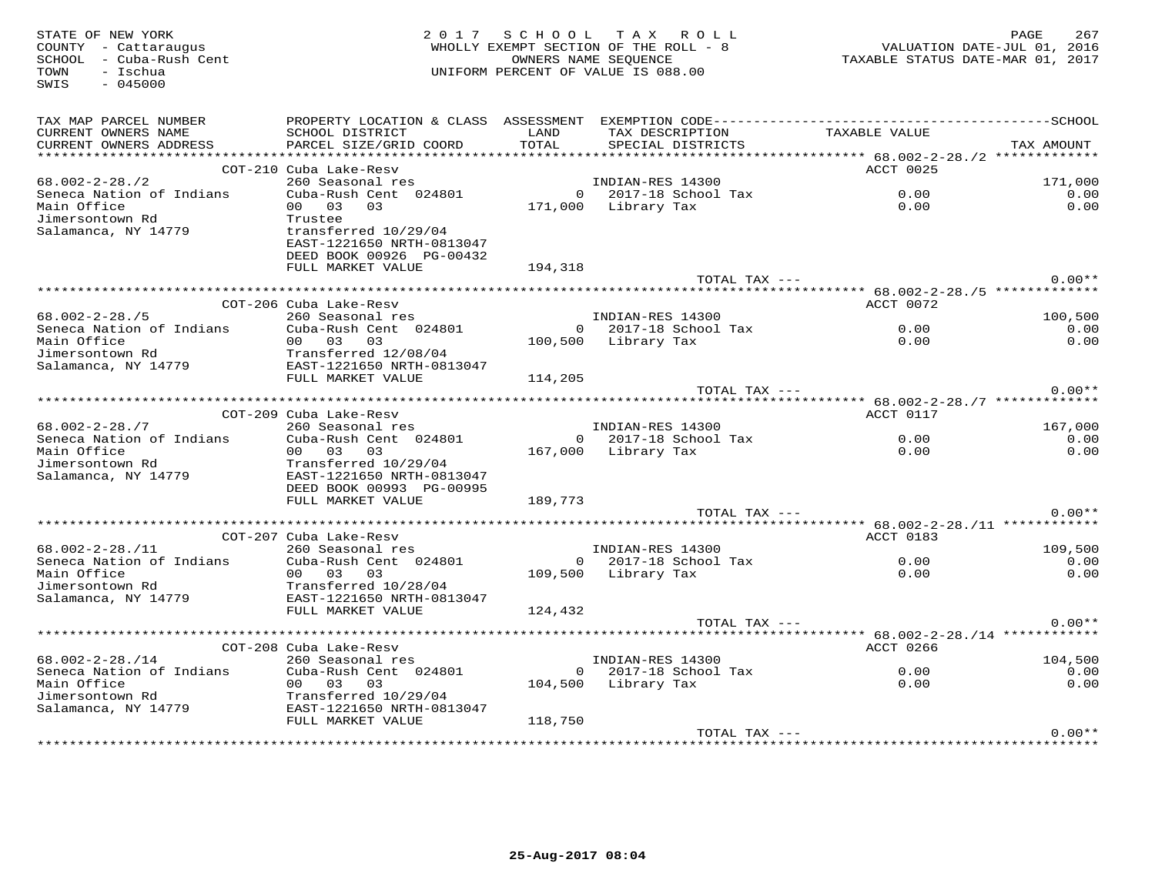| STATE OF NEW YORK<br>COUNTY - Cattaraugus<br>SCHOOL - Cuba-Rush Cent<br>TOWN<br>- Ischua<br>SWIS<br>$-045000$ |                                                                                              |               | 2017 SCHOOL TAX ROLL<br>WHOLLY EXEMPT SECTION OF THE ROLL - 8<br>OWNERS NAME SEQUENCE<br>UNIFORM PERCENT OF VALUE IS 088.00 | 267<br>PAGE<br>VALUATION DATE-JUL 01, 2016<br>TAXABLE STATUS DATE-MAR 01, 2017 |            |  |
|---------------------------------------------------------------------------------------------------------------|----------------------------------------------------------------------------------------------|---------------|-----------------------------------------------------------------------------------------------------------------------------|--------------------------------------------------------------------------------|------------|--|
| TAX MAP PARCEL NUMBER                                                                                         | PROPERTY LOCATION & CLASS ASSESSMENT EXEMPTION CODE-----------------------------------SCHOOL |               |                                                                                                                             |                                                                                |            |  |
| CURRENT OWNERS NAME<br>CURRENT OWNERS ADDRESS                                                                 | SCHOOL DISTRICT<br>PARCEL SIZE/GRID COORD                                                    | LAND<br>TOTAL | TAX DESCRIPTION TAXABLE VALUE<br>SPECIAL DISTRICTS                                                                          |                                                                                | TAX AMOUNT |  |
|                                                                                                               |                                                                                              |               |                                                                                                                             |                                                                                |            |  |
|                                                                                                               | COT-210 Cuba Lake-Resv                                                                       |               |                                                                                                                             | ACCT 0025                                                                      |            |  |
| $68.002 - 2 - 28.72$                                                                                          | 260 Seasonal res                                                                             |               | INDIAN-RES 14300                                                                                                            |                                                                                | 171,000    |  |
| Seneca Nation of Indians                                                                                      | Cuba-Rush Cent 024801                                                                        |               | $0$ 2017-18 School Tax                                                                                                      | 0.00                                                                           | 0.00       |  |
| Main Office                                                                                                   | 00 03<br>0.3                                                                                 |               | 171,000 Library Tax                                                                                                         | 0.00                                                                           | 0.00       |  |
| Jimersontown Rd                                                                                               | Trustee                                                                                      |               |                                                                                                                             |                                                                                |            |  |
| Salamanca, NY 14779                                                                                           | transferred 10/29/04<br>EAST-1221650 NRTH-0813047                                            |               |                                                                                                                             |                                                                                |            |  |
|                                                                                                               | DEED BOOK 00926 PG-00432                                                                     |               |                                                                                                                             |                                                                                |            |  |
|                                                                                                               | FULL MARKET VALUE                                                                            | 194,318       |                                                                                                                             |                                                                                |            |  |
|                                                                                                               |                                                                                              |               | TOTAL TAX ---                                                                                                               |                                                                                | $0.00**$   |  |
|                                                                                                               |                                                                                              |               |                                                                                                                             |                                                                                |            |  |
|                                                                                                               | COT-206 Cuba Lake-Resv                                                                       |               |                                                                                                                             | ACCT 0072                                                                      |            |  |
| $68.002 - 2 - 28.75$                                                                                          | 260 Seasonal res                                                                             |               | INDIAN-RES 14300                                                                                                            |                                                                                | 100,500    |  |
| Seneca Nation of Indians                                                                                      | Cuba-Rush Cent 024801                                                                        |               | $0$ 2017-18 School Tax                                                                                                      | 0.00                                                                           | 0.00       |  |
| Main Office<br>Jimersontown Rd                                                                                | 00 03 03<br>Transferred 12/08/04                                                             |               | 100,500 Library Tax                                                                                                         | 0.00                                                                           | 0.00       |  |
| Salamanca, NY 14779                                                                                           | EAST-1221650 NRTH-0813047                                                                    |               |                                                                                                                             |                                                                                |            |  |
|                                                                                                               | FULL MARKET VALUE                                                                            | 114,205       |                                                                                                                             |                                                                                |            |  |
|                                                                                                               |                                                                                              |               | TOTAL TAX ---                                                                                                               |                                                                                | $0.00**$   |  |
|                                                                                                               |                                                                                              |               |                                                                                                                             |                                                                                |            |  |
|                                                                                                               | COT-209 Cuba Lake-Resv                                                                       |               |                                                                                                                             | ACCT 0117                                                                      |            |  |
| $68.002 - 2 - 28.77$                                                                                          | 260 Seasonal res                                                                             |               | INDIAN-RES 14300                                                                                                            |                                                                                | 167,000    |  |
| Seneca Nation of Indians                                                                                      | Cuba-Rush Cent 024801                                                                        |               | $0$ 2017-18 School Tax                                                                                                      | 0.00                                                                           | 0.00       |  |
| Main Office                                                                                                   | 00 03 03                                                                                     |               | 167,000 Library Tax                                                                                                         | 0.00                                                                           | 0.00       |  |
| Jimersontown Rd<br>Salamanca, NY 14779                                                                        | Transferred 10/29/04<br>EAST-1221650 NRTH-0813047                                            |               |                                                                                                                             |                                                                                |            |  |
|                                                                                                               | DEED BOOK 00993 PG-00995                                                                     |               |                                                                                                                             |                                                                                |            |  |
|                                                                                                               | FULL MARKET VALUE                                                                            | 189,773       |                                                                                                                             |                                                                                |            |  |
|                                                                                                               |                                                                                              |               | TOTAL TAX ---                                                                                                               |                                                                                | $0.00**$   |  |
|                                                                                                               |                                                                                              |               |                                                                                                                             |                                                                                |            |  |
|                                                                                                               | COT-207 Cuba Lake-Resv                                                                       |               |                                                                                                                             | ACCT 0183                                                                      |            |  |
| $68.002 - 2 - 28.711$                                                                                         | 260 Seasonal res                                                                             |               | INDIAN-RES 14300                                                                                                            |                                                                                | 109,500    |  |
| Seneca Nation of Indians                                                                                      | Cuba-Rush Cent 024801                                                                        |               | 0 2017-18 School Tax                                                                                                        | 0.00                                                                           | 0.00       |  |
| Main Office<br>Jimersontown Rd                                                                                | 00 03 03<br>Transferred 10/28/04                                                             |               | 109,500 Library Tax                                                                                                         | 0.00                                                                           | 0.00       |  |
| Salamanca, NY 14779                                                                                           | EAST-1221650 NRTH-0813047                                                                    |               |                                                                                                                             |                                                                                |            |  |
|                                                                                                               | FULL MARKET VALUE                                                                            | 124,432       |                                                                                                                             |                                                                                |            |  |
|                                                                                                               |                                                                                              |               | TOTAL TAX ---                                                                                                               |                                                                                | $0.00**$   |  |
|                                                                                                               |                                                                                              |               |                                                                                                                             |                                                                                |            |  |
|                                                                                                               | COT-208 Cuba Lake-Resv                                                                       |               |                                                                                                                             | ACCT 0266                                                                      |            |  |
| $68.002 - 2 - 28.714$                                                                                         | 260 Seasonal res                                                                             |               | INDIAN-RES 14300                                                                                                            |                                                                                | 104,500    |  |
| Seneca Nation of Indians                                                                                      | Cuba-Rush Cent 024801                                                                        |               | $0$ 2017-18 School Tax                                                                                                      | 0.00                                                                           | 0.00       |  |
| Main Office<br>Jimersontown Rd                                                                                | 00 03 03                                                                                     |               | 104,500 Library Tax                                                                                                         | 0.00                                                                           | 0.00       |  |
| Salamanca, NY 14779                                                                                           | Transferred 10/29/04<br>EAST-1221650 NRTH-0813047                                            |               |                                                                                                                             |                                                                                |            |  |
|                                                                                                               | FULL MARKET VALUE                                                                            | 118,750       |                                                                                                                             |                                                                                |            |  |
|                                                                                                               |                                                                                              |               | TOTAL TAX ---                                                                                                               |                                                                                | $0.00**$   |  |
|                                                                                                               |                                                                                              |               |                                                                                                                             |                                                                                |            |  |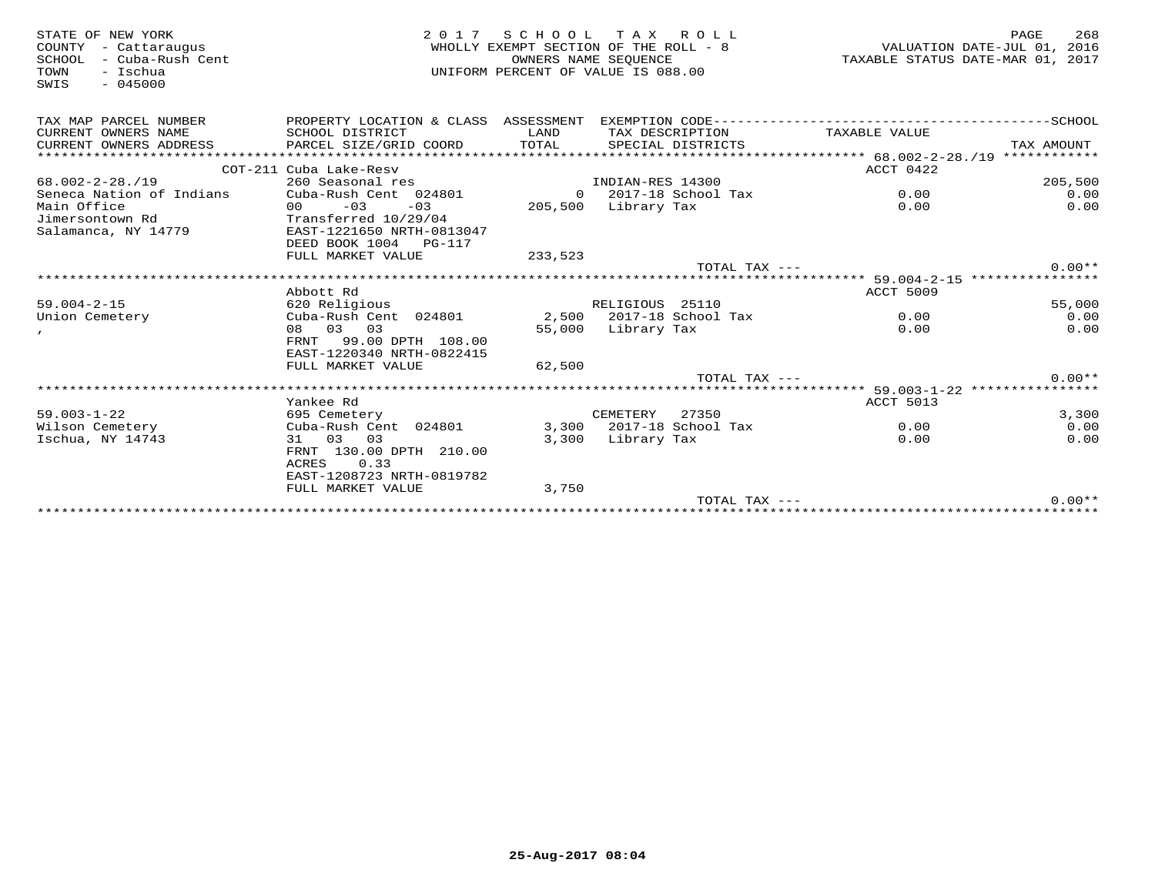| STATE OF NEW YORK<br>- Cattaraugus<br>COUNTY<br>- Cuba-Rush Cent<br>SCHOOL<br>- Ischua<br>TOWN<br>$-045000$<br>SWIS | 2017                                                         | SCHOOL        | T A X<br>ROLL<br>WHOLLY EXEMPT SECTION OF THE ROLL - 8<br>OWNERS NAME SEOUENCE<br>UNIFORM PERCENT OF VALUE IS 088.00 |                                                                | PAGE<br>268<br>VALUATION DATE-JUL 01, 2016<br>TAXABLE STATUS DATE-MAR 01, 2017 |
|---------------------------------------------------------------------------------------------------------------------|--------------------------------------------------------------|---------------|----------------------------------------------------------------------------------------------------------------------|----------------------------------------------------------------|--------------------------------------------------------------------------------|
| TAX MAP PARCEL NUMBER                                                                                               | PROPERTY LOCATION & CLASS ASSESSMENT                         |               |                                                                                                                      |                                                                |                                                                                |
| CURRENT OWNERS NAME<br>CURRENT OWNERS ADDRESS                                                                       | SCHOOL DISTRICT<br>PARCEL SIZE/GRID COORD                    | LAND<br>TOTAL | TAX DESCRIPTION<br>SPECIAL DISTRICTS                                                                                 | TAXABLE VALUE                                                  | TAX AMOUNT                                                                     |
|                                                                                                                     | COT-211 Cuba Lake-Resv                                       |               |                                                                                                                      | ACCT 0422                                                      |                                                                                |
| $68.002 - 2 - 28.719$                                                                                               | 260 Seasonal res                                             |               | INDIAN-RES 14300                                                                                                     |                                                                | 205,500                                                                        |
| Seneca Nation of Indians                                                                                            | Cuba-Rush Cent 024801                                        |               | $0$ 2017-18 School Tax                                                                                               | 0.00                                                           | 0.00                                                                           |
| Main Office                                                                                                         | $-03$<br>$-03$<br>00                                         | 205,500       | Library Tax                                                                                                          | 0.00                                                           | 0.00                                                                           |
| Jimersontown Rd                                                                                                     | Transferred 10/29/04                                         |               |                                                                                                                      |                                                                |                                                                                |
| Salamanca, NY 14779                                                                                                 | EAST-1221650 NRTH-0813047<br>DEED BOOK 1004<br><b>PG-117</b> |               |                                                                                                                      |                                                                |                                                                                |
|                                                                                                                     | FULL MARKET VALUE                                            | 233,523       |                                                                                                                      |                                                                |                                                                                |
|                                                                                                                     |                                                              |               | TOTAL TAX $---$                                                                                                      |                                                                | $0.00**$                                                                       |
|                                                                                                                     |                                                              |               |                                                                                                                      | ********************************* 59.004-2-15 **************** |                                                                                |
|                                                                                                                     | Abbott Rd                                                    |               |                                                                                                                      | ACCT 5009                                                      |                                                                                |
| $59.004 - 2 - 15$                                                                                                   | 620 Religious                                                |               | RELIGIOUS 25110                                                                                                      |                                                                | 55,000                                                                         |
| Union Cemetery                                                                                                      | Cuba-Rush Cent 024801                                        |               | 2,500 2017-18 School Tax                                                                                             | 0.00                                                           | 0.00                                                                           |
|                                                                                                                     | 08 03 03                                                     | 55,000        | Library Tax                                                                                                          | 0.00                                                           | 0.00                                                                           |
|                                                                                                                     | 99.00 DPTH 108.00<br>FRNT                                    |               |                                                                                                                      |                                                                |                                                                                |
|                                                                                                                     | EAST-1220340 NRTH-0822415<br>FULL MARKET VALUE               | 62,500        |                                                                                                                      |                                                                |                                                                                |
|                                                                                                                     |                                                              |               | TOTAL TAX ---                                                                                                        |                                                                | $0.00**$                                                                       |
|                                                                                                                     |                                                              |               |                                                                                                                      |                                                                | ***** 59.003-1-22 ****************                                             |
|                                                                                                                     | Yankee Rd                                                    |               |                                                                                                                      | ACCT 5013                                                      |                                                                                |
| $59.003 - 1 - 22$                                                                                                   | 695 Cemetery                                                 |               | CEMETERY<br>27350                                                                                                    |                                                                | 3,300                                                                          |
| Wilson Cemetery                                                                                                     | Cuba-Rush Cent 024801                                        |               | 3,300 2017-18 School Tax                                                                                             | 0.00                                                           | 0.00                                                                           |
| Ischua, NY 14743                                                                                                    | 03 03<br>31                                                  | 3,300         | Library Tax                                                                                                          | 0.00                                                           | 0.00                                                                           |
|                                                                                                                     | FRNT 130.00 DPTH 210.00<br><b>ACRES</b><br>0.33              |               |                                                                                                                      |                                                                |                                                                                |
|                                                                                                                     | EAST-1208723 NRTH-0819782                                    |               |                                                                                                                      |                                                                |                                                                                |
|                                                                                                                     | FULL MARKET VALUE                                            | 3,750         |                                                                                                                      |                                                                |                                                                                |
|                                                                                                                     |                                                              |               | TOTAL TAX ---                                                                                                        |                                                                | $0.00**$                                                                       |
|                                                                                                                     |                                                              |               |                                                                                                                      |                                                                |                                                                                |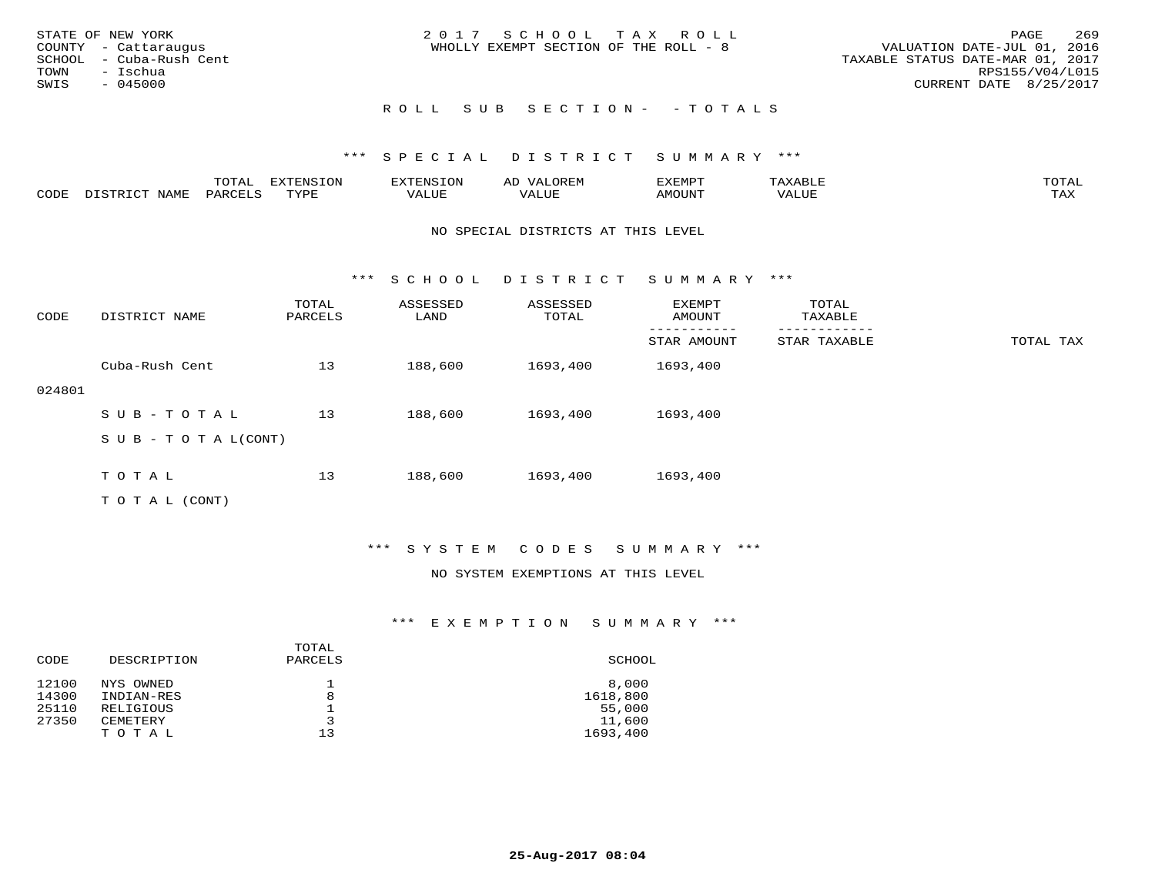| STATE OF NEW YORK<br>COUNTY - Cattaraugus<br>SCHOOL - Cuba-Rush Cent<br>TOWN<br>– Ischua | 2017 SCHOOL TAX ROLL<br>WHOLLY EXEMPT SECTION OF THE ROLL - 8 | 269<br>PAGE<br>VALUATION DATE-JUL 01, 2016<br>TAXABLE STATUS DATE-MAR 01, 2017<br>RPS155/V04/L015 |
|------------------------------------------------------------------------------------------|---------------------------------------------------------------|---------------------------------------------------------------------------------------------------|
| SWIS<br>$-045000$                                                                        | ROLL SUB SECTION- - TOTALS                                    | CURRENT DATE 8/25/2017                                                                            |

|      |              | momn.<br>.UIAL | <b>TYTTNCTON</b><br>. <i>.</i> . | <b>YTFNCTON</b> | . JR EIM | 'XEMP' | ABL.<br>∸ | TOTAI         |
|------|--------------|----------------|----------------------------------|-----------------|----------|--------|-----------|---------------|
| CODE | <b>NTAME</b> | <b>DARCET</b>  | TUVT.                            | ALUI            | VALUE    | MOUNT  | VALUE     | TA Y<br>⊥ ∠ער |

#### NO SPECIAL DISTRICTS AT THIS LEVEL

\*\*\* S C H O O L D I S T R I C T S U M M A R Y \*\*\*

| CODE   | DISTRICT NAME              | TOTAL<br>PARCELS | ASSESSED<br>LAND | ASSESSED<br>TOTAL | EXEMPT<br>AMOUNT | TOTAL<br>TAXABLE |           |
|--------|----------------------------|------------------|------------------|-------------------|------------------|------------------|-----------|
|        |                            |                  |                  |                   | STAR AMOUNT      | STAR TAXABLE     | TOTAL TAX |
|        | Cuba-Rush Cent             | 13               | 188,600          | 1693,400          | 1693,400         |                  |           |
| 024801 |                            |                  |                  |                   |                  |                  |           |
|        | SUB-TOTAL                  | 13               | 188,600          | 1693,400          | 1693,400         |                  |           |
|        | S U B - T O T A $L$ (CONT) |                  |                  |                   |                  |                  |           |
|        |                            |                  |                  |                   |                  |                  |           |
|        | TOTAL                      | 13               | 188,600          | 1693,400          | 1693,400         |                  |           |

T O T A L (CONT)

## \*\*\* S Y S T E M C O D E S S U M M A R Y \*\*\*

#### NO SYSTEM EXEMPTIONS AT THIS LEVEL

| DESCRIPTION | TOTAL<br>PARCELS | SCHOOL   |
|-------------|------------------|----------|
| NYS OWNED   |                  | 8,000    |
| INDIAN-RES  | 8                | 1618,800 |
| RELIGIOUS   |                  | 55,000   |
| CEMETERY    | 3                | 11,600   |
| TOTAL       | 13               | 1693,400 |
|             |                  |          |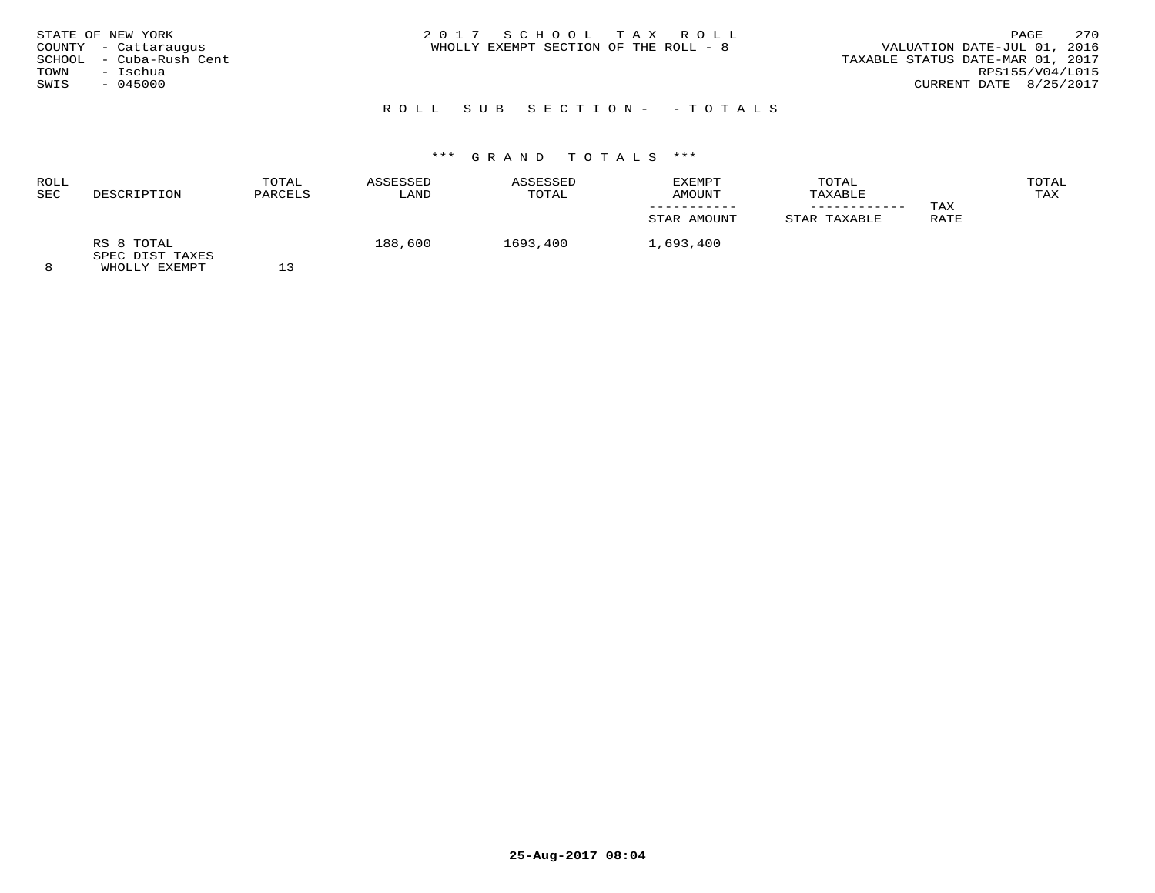| STATE OF NEW YORK       | 2017 SCHOOL TAX ROLL                  | 270<br>PAGE                      |
|-------------------------|---------------------------------------|----------------------------------|
| COUNTY - Cattaraugus    | WHOLLY EXEMPT SECTION OF THE ROLL - 8 | VALUATION DATE-JUL 01, 2016      |
| SCHOOL - Cuba-Rush Cent |                                       | TAXABLE STATUS DATE-MAR 01, 2017 |
| TOWN<br>– Ischua        |                                       | RPS155/V04/L015                  |
| $-045000$<br>SWIS       |                                       | CURRENT DATE 8/25/2017           |
|                         |                                       |                                  |

# R O L L S U B S E C T I O N - - T O T A L S

| ROLL       |                               | TOTAL   | ASSESSED | ASSESSED | EXEMPT      | TOTAL        |      | TOTAL |
|------------|-------------------------------|---------|----------|----------|-------------|--------------|------|-------|
| <b>SEC</b> | DESCRIPTION                   | PARCELS | LAND     | TOTAL    | AMOUNT      | TAXABLE      |      | TAX   |
|            |                               |         |          |          |             |              | TAX  |       |
|            |                               |         |          |          | STAR AMOUNT | STAR TAXABLE | RATE |       |
|            | RS 8 TOTAL<br>SPEC DIST TAXES |         | 188,600  | 1693,400 | 1,693,400   |              |      |       |
|            | WHOLLY EXEMPT                 |         |          |          |             |              |      |       |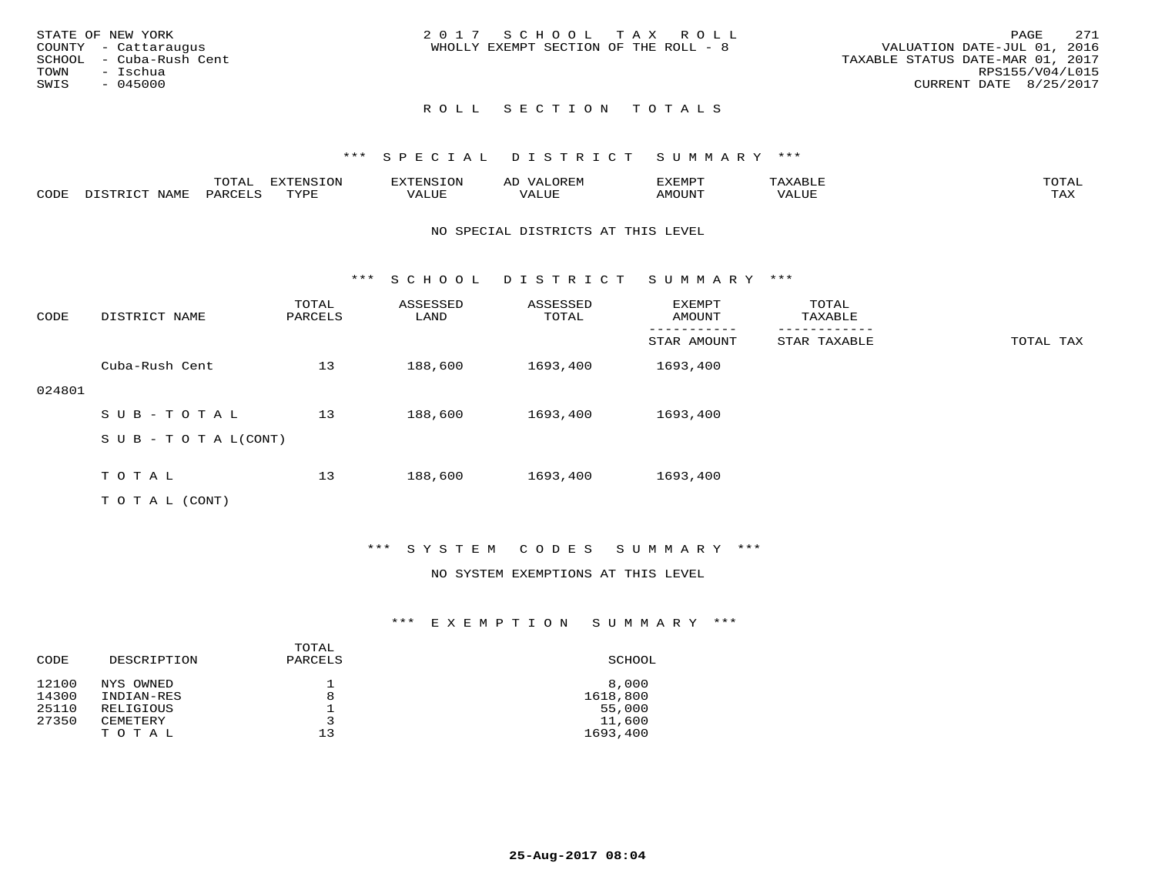|      | STATE OF NEW YORK       | 2017 SCHOOL TAX ROLL                                                 | PAGE            | 271 |
|------|-------------------------|----------------------------------------------------------------------|-----------------|-----|
|      | COUNTY - Cattaraugus    | VALUATION DATE-JUL 01, 2016<br>WHOLLY EXEMPT SECTION OF THE ROLL - 8 |                 |     |
|      | SCHOOL - Cuba-Rush Cent | TAXABLE STATUS DATE-MAR 01, 2017                                     |                 |     |
| TOWN | – Ischua                |                                                                      | RPS155/V04/L015 |     |
| SWIS | - 045000                | CURRENT DATE 8/25/2017                                               |                 |     |
|      |                         |                                                                      |                 |     |

#### \*\*\* S P E C I A L D I S T R I C T S U M M A R Y \*\*\*

|      |      | ----<br>---- | <b>EXTENSION</b> | :NS      |           | ∠XEMP™       |       | $m \wedge m \wedge n$      |
|------|------|--------------|------------------|----------|-----------|--------------|-------|----------------------------|
| CODE | - 11 |              | $m \tau \tau n$  | $\Delta$ | $+ + + +$ | <b>MOUNT</b> | VALUE | $m \times r$<br>. <i>.</i> |

#### NO SPECIAL DISTRICTS AT THIS LEVEL

\*\*\* S C H O O L D I S T R I C T S U M M A R Y \*\*\*

| CODE   | DISTRICT NAME              | TOTAL<br>PARCELS | ASSESSED<br>LAND | ASSESSED<br>TOTAL | <b>EXEMPT</b><br>AMOUNT | TOTAL<br>TAXABLE |           |
|--------|----------------------------|------------------|------------------|-------------------|-------------------------|------------------|-----------|
|        |                            |                  |                  |                   | STAR AMOUNT             | STAR TAXABLE     | TOTAL TAX |
|        | Cuba-Rush Cent             | 13               | 188,600          | 1693,400          | 1693,400                |                  |           |
| 024801 |                            |                  |                  |                   |                         |                  |           |
|        | SUB-TOTAL                  | 13               | 188,600          | 1693,400          | 1693,400                |                  |           |
|        | S U B - T O T A $L$ (CONT) |                  |                  |                   |                         |                  |           |
|        | TOTAL                      | 13               | 188,600          | 1693,400          | 1693,400                |                  |           |

T O T A L (CONT)

#### \*\*\* S Y S T E M C O D E S S U M M A R Y \*\*\*

#### NO SYSTEM EXEMPTIONS AT THIS LEVEL

| CODE  | DESCRIPTION | TOTAL<br>PARCELS | SCHOOL   |
|-------|-------------|------------------|----------|
| 12100 | NYS OWNED   |                  | 8,000    |
| 14300 | INDIAN-RES  | 8                | 1618,800 |
| 25110 | RELIGIOUS   |                  | 55,000   |
| 27350 | CEMETERY    | 3                | 11,600   |
|       | TOTAL       | 13               | 1693,400 |
|       |             |                  |          |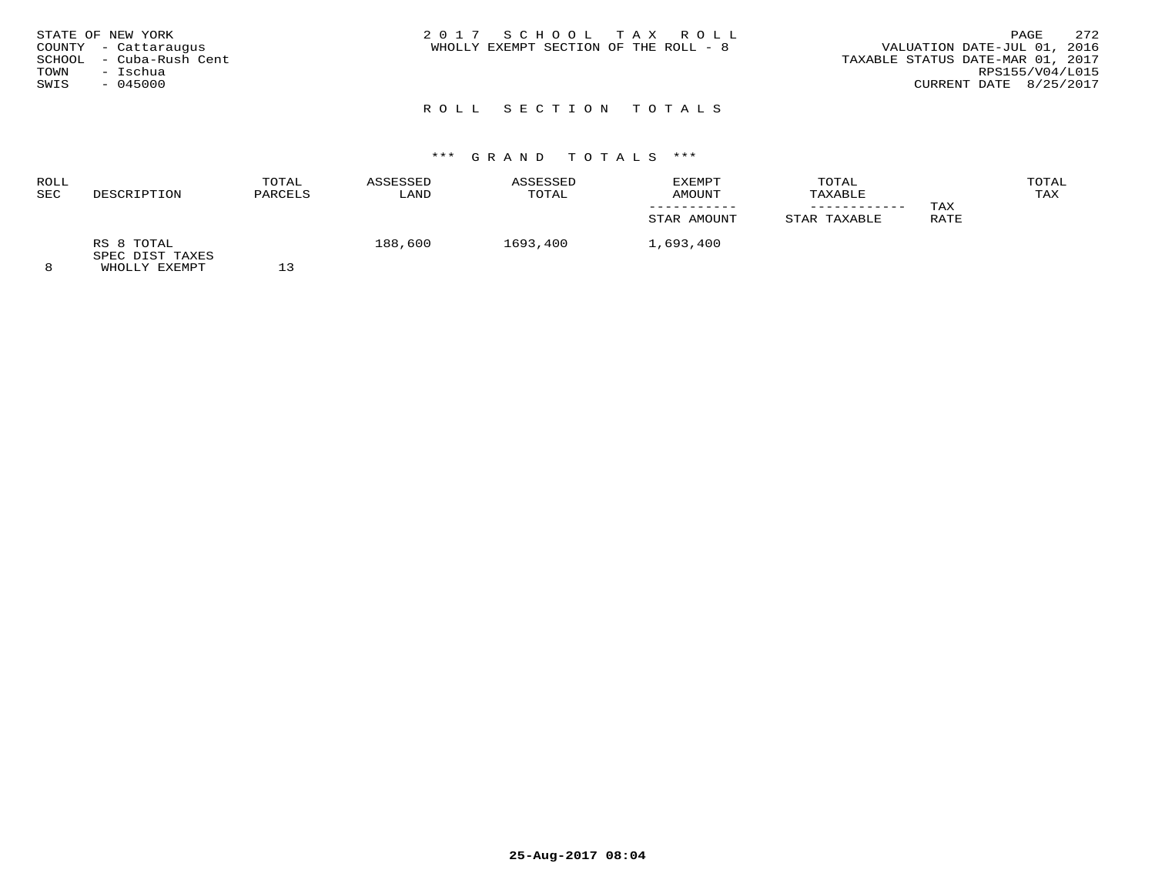| STATE OF NEW YORK          | 2017 SCHOOL TAX ROLL                  | 272<br>PAGE                      |
|----------------------------|---------------------------------------|----------------------------------|
| COUNTY - Cattaraugus       | WHOLLY EXEMPT SECTION OF THE ROLL - 8 | VALUATION DATE-JUL 01, 2016      |
| - Cuba-Rush Cent<br>SCHOOL |                                       | TAXABLE STATUS DATE-MAR 01, 2017 |
| - Ischua<br>TOWN           |                                       | RPS155/V04/L015                  |
| $-045000$<br>SWIS          |                                       | CURRENT DATE 8/25/2017           |
|                            |                                       |                                  |

| ROLL       |                               | TOTAL   | ASSESSED | ASSESSED | EXEMPT      | TOTAL        |      | TOTAL |
|------------|-------------------------------|---------|----------|----------|-------------|--------------|------|-------|
| <b>SEC</b> | DESCRIPTION                   | PARCELS | LAND     | TOTAL    | AMOUNT      | TAXABLE      |      | TAX   |
|            |                               |         |          |          |             |              | TAX  |       |
|            |                               |         |          |          | STAR AMOUNT | STAR TAXABLE | RATE |       |
|            | RS 8 TOTAL<br>SPEC DIST TAXES |         | 188,600  | 1693,400 | 1,693,400   |              |      |       |
|            | WHOLLY EXEMPT                 |         |          |          |             |              |      |       |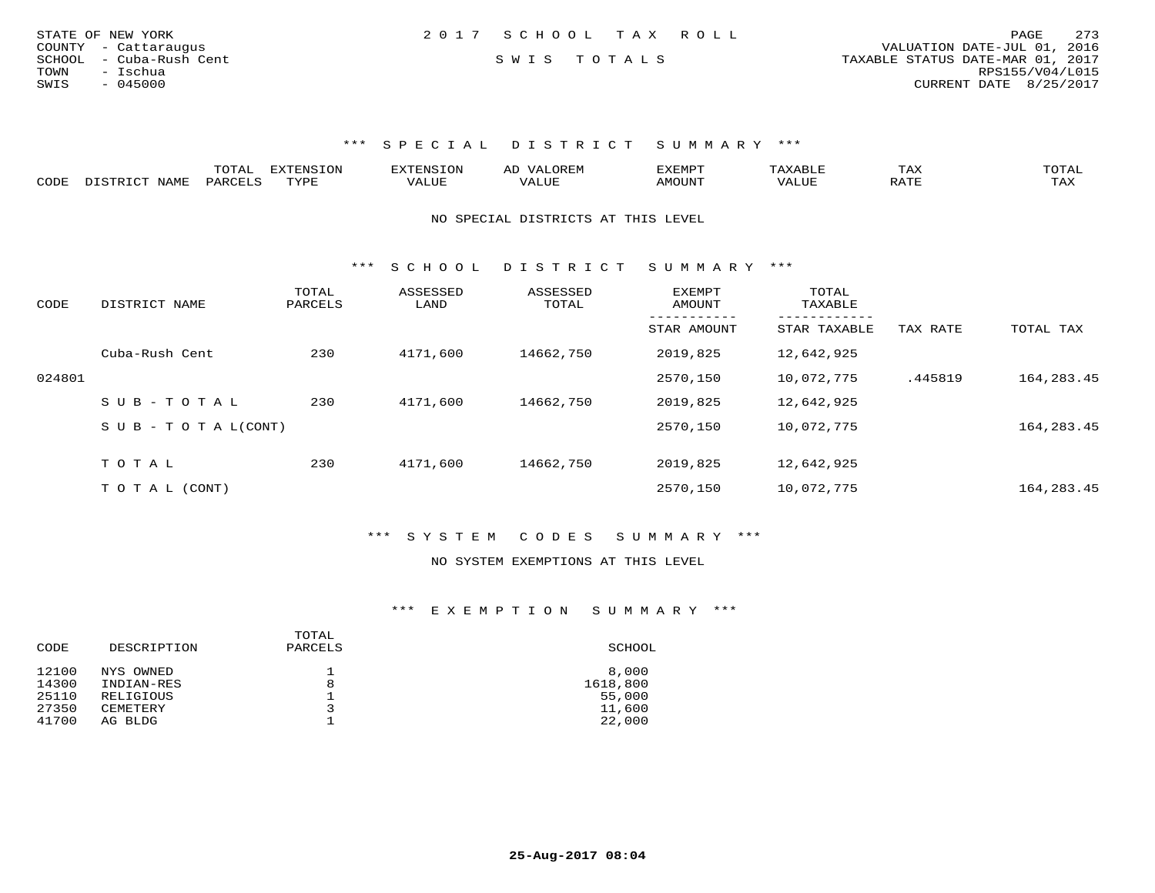| STATE OF NEW YORK       | 2017 SCHOOL TAX ROLL |  | 273<br>PAGE                      |
|-------------------------|----------------------|--|----------------------------------|
| COUNTY - Cattaraugus    |                      |  | VALUATION DATE-JUL 01, 2016      |
| SCHOOL - Cuba-Rush Cent | SWIS TOTALS          |  | TAXABLE STATUS DATE-MAR 01, 2017 |
| TOWN<br>– Ischua        |                      |  | RPS155/V04/L015                  |
| $-045000$<br>SWIS       |                      |  | CURRENT DATE 8/25/2017           |
|                         |                      |  |                                  |

|      |             | m^m*`         | <b>FYTFNSTON</b><br>◡◡ |  | $\mathbf{r}$<br>'YFMF | TAX              | ົບ⊥⊏⊾ |
|------|-------------|---------------|------------------------|--|-----------------------|------------------|-------|
| CODE | <b>NAME</b> | <b>DARCET</b> | TVDF                   |  | OUN.                  | .7mm<br>$\cdots$ | L'AX  |

NO SPECIAL DISTRICTS AT THIS LEVEL

\*\*\* S C H O O L D I S T R I C T S U M M A R Y \*\*\*

| CODE   | DISTRICT NAME                    | TOTAL<br>PARCELS | ASSESSED<br>LAND | ASSESSED<br>TOTAL | EXEMPT<br>AMOUNT | TOTAL<br>TAXABLE<br>--------- |          |            |
|--------|----------------------------------|------------------|------------------|-------------------|------------------|-------------------------------|----------|------------|
|        |                                  |                  |                  |                   | STAR AMOUNT      | STAR TAXABLE                  | TAX RATE | TOTAL TAX  |
|        | Cuba-Rush Cent                   | 230              | 4171,600         | 14662,750         | 2019,825         | 12,642,925                    |          |            |
| 024801 |                                  |                  |                  |                   | 2570,150         | 10,072,775                    | .445819  | 164,283.45 |
|        | SUB-TOTAL                        | 230              | 4171,600         | 14662,750         | 2019,825         | 12,642,925                    |          |            |
|        | $S \cup B - T \cup T A L (CONT)$ |                  |                  |                   | 2570,150         | 10,072,775                    |          | 164,283.45 |
|        |                                  |                  |                  |                   |                  |                               |          |            |
|        | TOTAL                            | 230              | 4171,600         | 14662,750         | 2019,825         | 12,642,925                    |          |            |
|        | T O T A L (CONT)                 |                  |                  |                   | 2570,150         | 10,072,775                    |          | 164,283.45 |

\*\*\* S Y S T E M C O D E S S U M M A R Y \*\*\*

#### NO SYSTEM EXEMPTIONS AT THIS LEVEL

| CODE  | DESCRIPTION | TOTAL<br>PARCELS | SCHOOL   |
|-------|-------------|------------------|----------|
| 12100 | NYS OWNED   |                  | 8,000    |
| 14300 | INDIAN-RES  | 8                | 1618,800 |
| 25110 | RELIGIOUS   |                  | 55,000   |
| 27350 | CEMETERY    |                  | 11,600   |
| 41700 | AG BLDG     |                  | 22,000   |
|       |             |                  |          |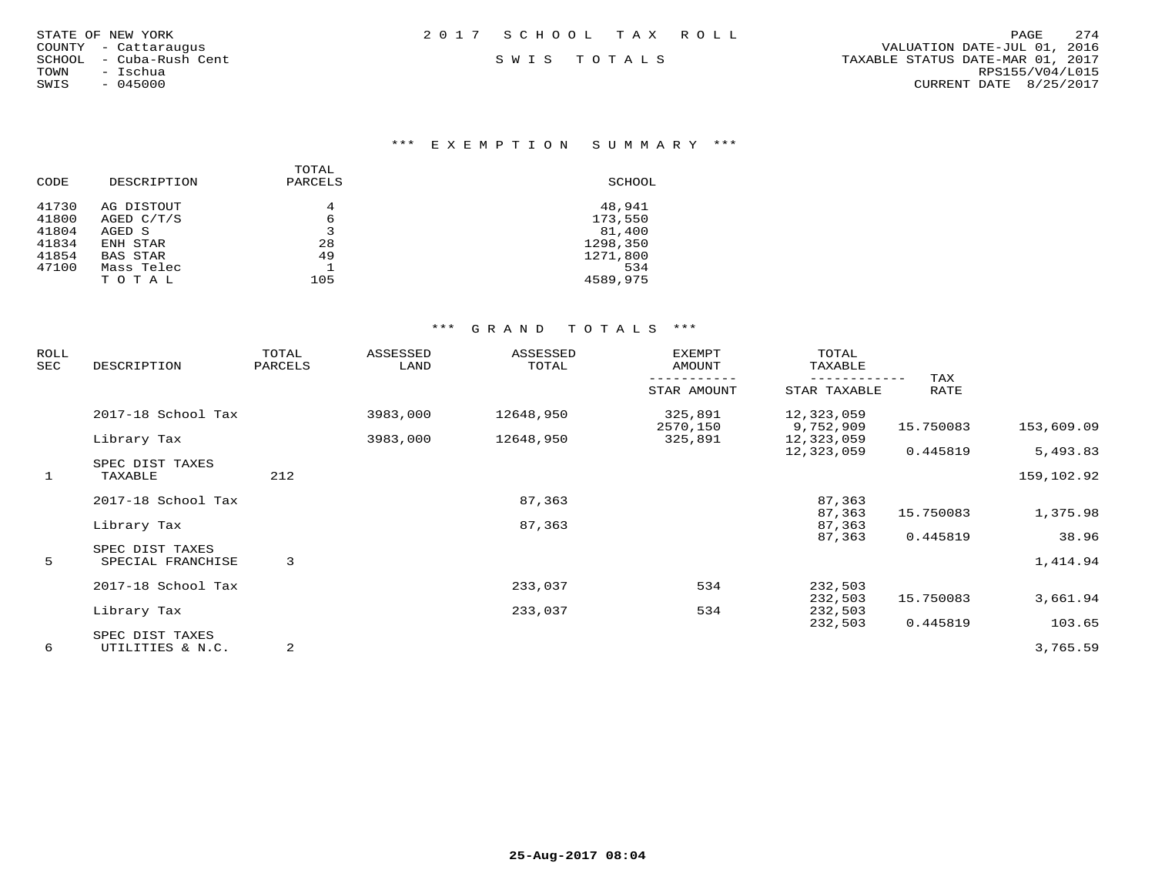| STATE OF NEW YORK    |           |                  |  |
|----------------------|-----------|------------------|--|
| COUNTY - Cattaraugus |           |                  |  |
| SCHOOL               |           | - Cuba-Rush Cent |  |
| TOWN                 | - Ischua  |                  |  |
| SWIS                 | $-045000$ |                  |  |

## \*\*\* E X E M P T I O N S U M M A R Y \*\*\*

|       |                 | TOTAL   |          |
|-------|-----------------|---------|----------|
| CODE  | DESCRIPTION     | PARCELS | SCHOOL   |
| 41730 | AG DISTOUT      | 4       | 48,941   |
| 41800 | AGED C/T/S      | 6       | 173,550  |
| 41804 | AGED S          | 3       | 81,400   |
| 41834 | ENH STAR        | 28      | 1298,350 |
| 41854 | <b>BAS STAR</b> | 49      | 1271,800 |
| 47100 | Mass Telec      |         | 534      |
|       | TOTAL           | 105     | 4589,975 |
|       |                 |         |          |

| ROLL<br>SEC  | DESCRIPTION                         | TOTAL<br>PARCELS | ASSESSED<br>LAND | ASSESSED<br>TOTAL | <b>EXEMPT</b><br>AMOUNT | TOTAL<br>TAXABLE        |             |            |
|--------------|-------------------------------------|------------------|------------------|-------------------|-------------------------|-------------------------|-------------|------------|
|              |                                     |                  |                  |                   | STAR AMOUNT             | STAR TAXABLE            | TAX<br>RATE |            |
|              | 2017-18 School Tax                  |                  | 3983,000         | 12648,950         | 325,891<br>2570,150     | 12,323,059<br>9,752,909 | 15.750083   | 153,609.09 |
|              | Library Tax                         |                  | 3983,000         | 12648,950         | 325,891                 | 12,323,059              |             |            |
|              | SPEC DIST TAXES                     |                  |                  |                   |                         | 12,323,059              | 0.445819    | 5,493.83   |
| $\mathbf{1}$ | TAXABLE                             | 212              |                  |                   |                         |                         |             | 159,102.92 |
|              | 2017-18 School Tax                  |                  |                  | 87,363            |                         | 87,363                  |             |            |
|              | Library Tax                         |                  |                  | 87,363            |                         | 87,363<br>87,363        | 15.750083   | 1,375.98   |
|              | SPEC DIST TAXES                     |                  |                  |                   |                         | 87,363                  | 0.445819    | 38.96      |
| 5            | SPECIAL FRANCHISE                   | 3                |                  |                   |                         |                         |             | 1,414.94   |
|              | 2017-18 School Tax                  |                  |                  | 233,037           | 534                     | 232,503                 |             |            |
|              | Library Tax                         |                  |                  | 233,037           | 534                     | 232,503<br>232,503      | 15.750083   | 3,661.94   |
|              |                                     |                  |                  |                   |                         | 232,503                 | 0.445819    | 103.65     |
| 6            | SPEC DIST TAXES<br>UTILITIES & N.C. | 2                |                  |                   |                         |                         |             | 3,765.59   |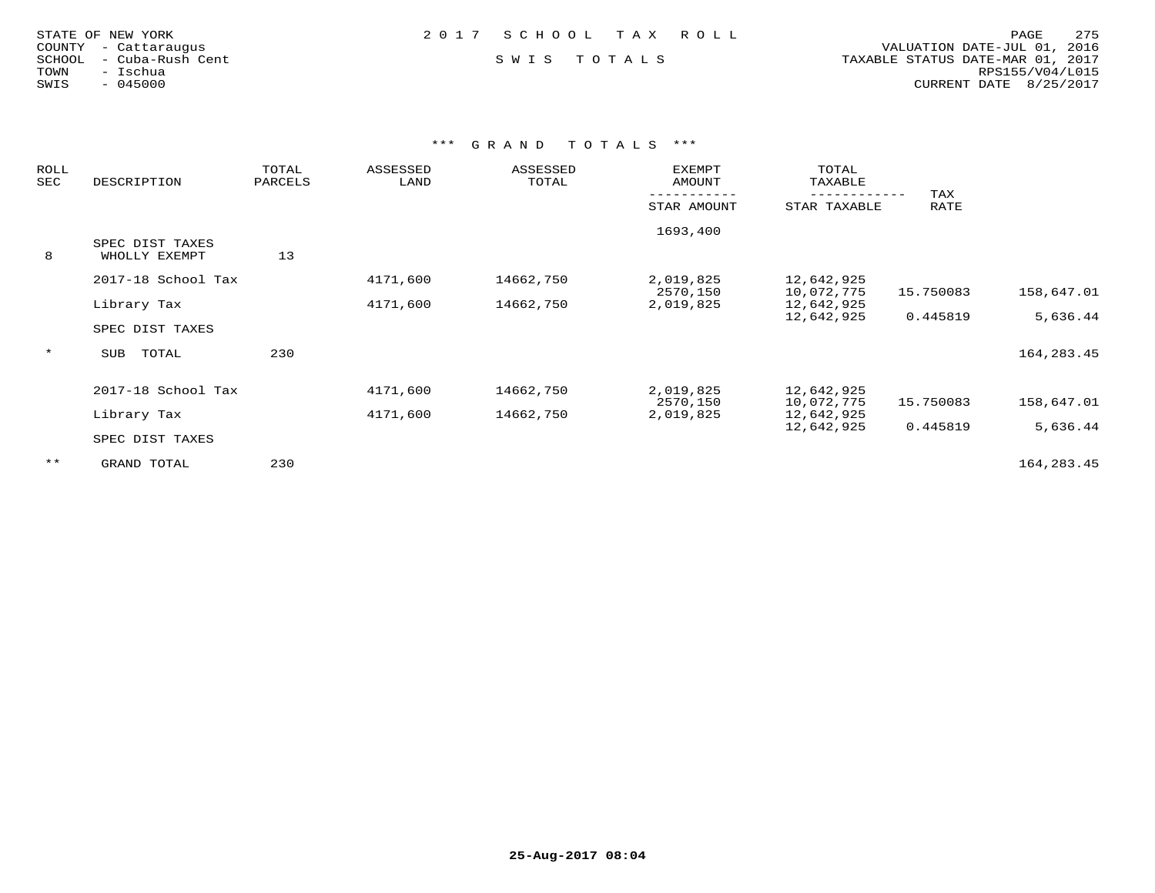| STATE OF NEW YORK |  |                  |  |
|-------------------|--|------------------|--|
| COUNTY            |  | - Cattaraugus    |  |
| SCHOOL            |  | - Cuba-Rush Cent |  |
| TOWN              |  | - Ischua         |  |
| SWIS              |  | $-045000$        |  |

 COUNTY - Cattaraugus VALUATION DATE-JUL 01, 2016 SCHOOL - Cuba-Rush Cent S W I S T O T A L S TAXABLE STATUS DATE-MAR 01, 2017 TOWN - Ischua RPS155/V04/L015SWIS - 045000 CURRENT DATE 8/25/2017

| <b>ROLL</b><br>SEC | DESCRIPTION        | TOTAL<br>PARCELS | ASSESSED<br>LAND | ASSESSED<br>TOTAL | <b>EXEMPT</b><br>AMOUNT | TOTAL<br>TAXABLE |           |              |
|--------------------|--------------------|------------------|------------------|-------------------|-------------------------|------------------|-----------|--------------|
|                    |                    |                  |                  |                   |                         |                  | TAX       |              |
|                    |                    |                  |                  |                   | STAR AMOUNT             | STAR TAXABLE     | RATE      |              |
|                    |                    |                  |                  |                   | 1693,400                |                  |           |              |
|                    | SPEC DIST TAXES    |                  |                  |                   |                         |                  |           |              |
| 8                  | WHOLLY EXEMPT      | 13               |                  |                   |                         |                  |           |              |
|                    | 2017-18 School Tax |                  | 4171,600         | 14662,750         | 2,019,825               | 12,642,925       |           |              |
|                    |                    |                  |                  |                   | 2570,150                | 10,072,775       | 15.750083 | 158,647.01   |
|                    | Library Tax        |                  | 4171,600         | 14662,750         | 2,019,825               | 12,642,925       |           |              |
|                    |                    |                  |                  |                   |                         | 12,642,925       | 0.445819  | 5,636.44     |
|                    | SPEC DIST TAXES    |                  |                  |                   |                         |                  |           |              |
| $\star$            | TOTAL<br>SUB       | 230              |                  |                   |                         |                  |           | 164, 283. 45 |
|                    |                    |                  |                  |                   |                         |                  |           |              |
|                    | 2017-18 School Tax |                  | 4171,600         | 14662,750         | 2,019,825               | 12,642,925       |           |              |
|                    |                    |                  |                  |                   | 2570,150                | 10,072,775       | 15.750083 | 158,647.01   |
|                    | Library Tax        |                  | 4171,600         | 14662,750         | 2,019,825               | 12,642,925       |           |              |
|                    |                    |                  |                  |                   |                         | 12,642,925       | 0.445819  | 5,636.44     |
|                    | SPEC DIST TAXES    |                  |                  |                   |                         |                  |           |              |
| $***$              | GRAND TOTAL        | 230              |                  |                   |                         |                  |           | 164,283.45   |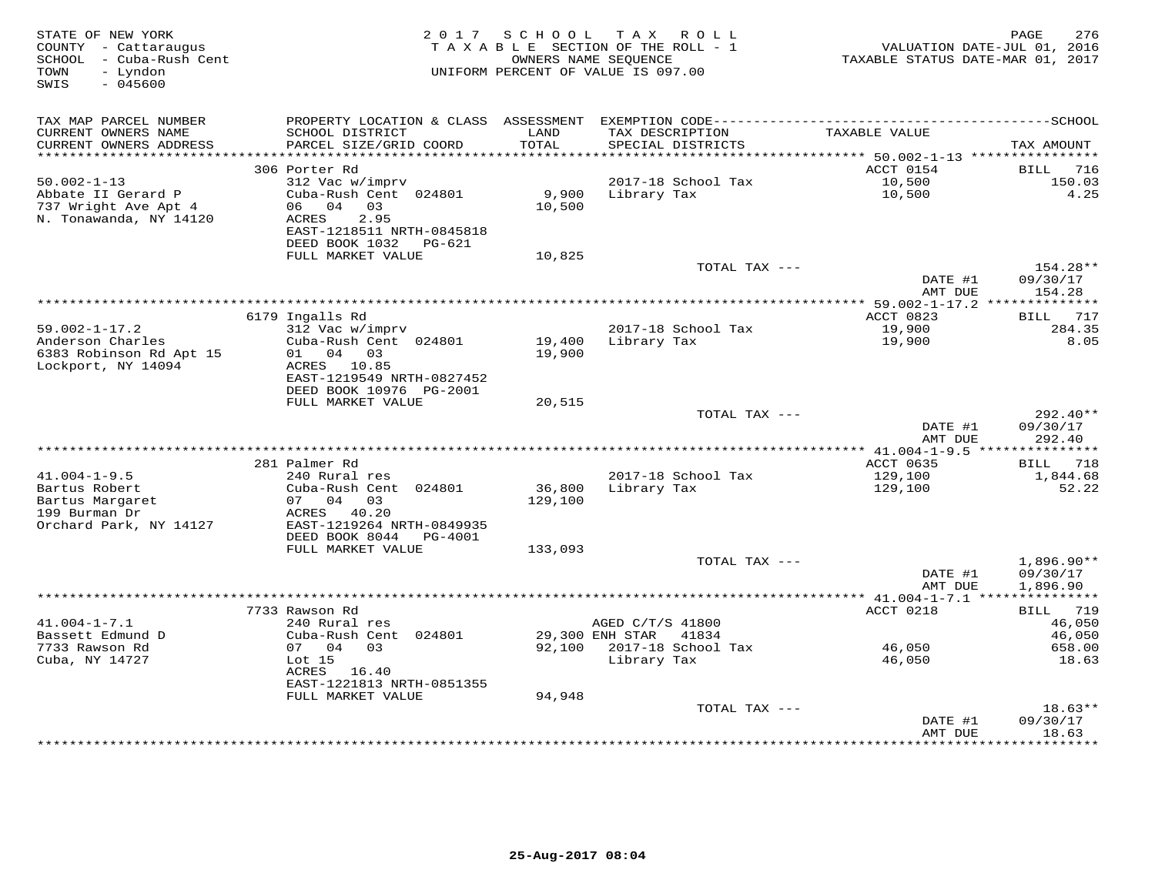| STATE OF NEW YORK<br>COUNTY - Cattaraugus<br>SCHOOL - Cuba-Rush Cent<br>- Lyndon<br>TOWN<br>$-045600$<br>SWIS |                                                | 2017 SCHOOL | TAX ROLL<br>TAXABLE SECTION OF THE ROLL - 1<br>OWNERS NAME SEOUENCE<br>UNIFORM PERCENT OF VALUE IS 097.00 | VALUATION DATE-JUL 01, 2016<br>TAXABLE STATUS DATE-MAR 01, 2017 | 276<br>PAGE        |
|---------------------------------------------------------------------------------------------------------------|------------------------------------------------|-------------|-----------------------------------------------------------------------------------------------------------|-----------------------------------------------------------------|--------------------|
| TAX MAP PARCEL NUMBER                                                                                         |                                                |             |                                                                                                           |                                                                 |                    |
| CURRENT OWNERS NAME                                                                                           | SCHOOL DISTRICT                                | LAND        | TAX DESCRIPTION                                                                                           | TAXABLE VALUE                                                   |                    |
| CURRENT OWNERS ADDRESS                                                                                        | PARCEL SIZE/GRID COORD                         | TOTAL       | SPECIAL DISTRICTS                                                                                         |                                                                 | TAX AMOUNT         |
| ***********************                                                                                       |                                                |             |                                                                                                           |                                                                 |                    |
|                                                                                                               | 306 Porter Rd                                  |             |                                                                                                           | ACCT 0154                                                       | BILL<br>716        |
| $50.002 - 1 - 13$                                                                                             | 312 Vac w/imprv                                |             | 2017-18 School Tax                                                                                        | 10,500                                                          | 150.03             |
| Abbate II Gerard P                                                                                            | Cuba-Rush Cent 024801                          | 9,900       | Library Tax                                                                                               | 10,500                                                          | 4.25               |
| 737 Wright Ave Apt 4<br>N. Tonawanda, NY 14120                                                                | 06 04 03<br>2.95<br>ACRES                      | 10,500      |                                                                                                           |                                                                 |                    |
|                                                                                                               | EAST-1218511 NRTH-0845818                      |             |                                                                                                           |                                                                 |                    |
|                                                                                                               | DEED BOOK 1032 PG-621                          |             |                                                                                                           |                                                                 |                    |
|                                                                                                               | FULL MARKET VALUE                              | 10,825      |                                                                                                           |                                                                 |                    |
|                                                                                                               |                                                |             | TOTAL TAX ---                                                                                             |                                                                 | 154.28**           |
|                                                                                                               |                                                |             |                                                                                                           | DATE #1<br>AMT DUE                                              | 09/30/17           |
|                                                                                                               |                                                |             |                                                                                                           |                                                                 | 154.28             |
|                                                                                                               | 6179 Ingalls Rd                                |             |                                                                                                           | ACCT 0823                                                       | 717<br>BILL        |
| $59.002 - 1 - 17.2$                                                                                           | 312 Vac w/imprv                                |             | 2017-18 School Tax                                                                                        | 19,900                                                          | 284.35             |
| Anderson Charles                                                                                              | Cuba-Rush Cent 024801                          | 19,400      | Library Tax                                                                                               | 19,900                                                          | 8.05               |
| 6383 Robinson Rd Apt 15                                                                                       | 01 04 03                                       | 19,900      |                                                                                                           |                                                                 |                    |
| Lockport, NY 14094                                                                                            | ACRES 10.85<br>EAST-1219549 NRTH-0827452       |             |                                                                                                           |                                                                 |                    |
|                                                                                                               | DEED BOOK 10976 PG-2001                        |             |                                                                                                           |                                                                 |                    |
|                                                                                                               | FULL MARKET VALUE                              | 20,515      |                                                                                                           |                                                                 |                    |
|                                                                                                               |                                                |             | TOTAL TAX ---                                                                                             |                                                                 | $292.40**$         |
|                                                                                                               |                                                |             |                                                                                                           | DATE #1                                                         | 09/30/17           |
|                                                                                                               |                                                |             |                                                                                                           | AMT DUE                                                         | 292.40             |
|                                                                                                               | 281 Palmer Rd                                  |             |                                                                                                           | ACCT 0635                                                       | 718<br>BILL        |
| $41.004 - 1 - 9.5$                                                                                            | 240 Rural res                                  |             | 2017-18 School Tax                                                                                        | 129,100                                                         | 1,844.68           |
| Bartus Robert                                                                                                 | Cuba-Rush Cent 024801                          | 36,800      | Library Tax                                                                                               | 129,100                                                         | 52.22              |
| Bartus Margaret                                                                                               | 07 04 03                                       | 129,100     |                                                                                                           |                                                                 |                    |
| 199 Burman Dr                                                                                                 | ACRES 40.20                                    |             |                                                                                                           |                                                                 |                    |
| Orchard Park, NY 14127                                                                                        | EAST-1219264 NRTH-0849935                      |             |                                                                                                           |                                                                 |                    |
|                                                                                                               | DEED BOOK 8044<br>PG-4001<br>FULL MARKET VALUE | 133,093     |                                                                                                           |                                                                 |                    |
|                                                                                                               |                                                |             | TOTAL TAX ---                                                                                             |                                                                 | $1,896.90**$       |
|                                                                                                               |                                                |             |                                                                                                           | DATE #1                                                         | 09/30/17           |
|                                                                                                               |                                                |             |                                                                                                           | AMT DUE                                                         | 1,896.90           |
|                                                                                                               |                                                |             |                                                                                                           | ******************************** 41.004-1-7.1 ****              | ***********        |
| $41.004 - 1 - 7.1$                                                                                            | 7733 Rawson Rd                                 |             |                                                                                                           | ACCT 0218                                                       | 719<br><b>BILL</b> |
| Bassett Edmund D                                                                                              | 240 Rural res<br>Cuba-Rush Cent 024801         |             | AGED C/T/S 41800<br>29,300 ENH STAR 41834                                                                 |                                                                 | 46,050<br>46,050   |
| 7733 Rawson Rd                                                                                                | 07 04 03                                       | 92,100      | 2017-18 School Tax                                                                                        | 46,050                                                          | 658.00             |
| Cuba, NY 14727                                                                                                | Lot <sub>15</sub>                              |             | Library Tax                                                                                               | 46,050                                                          | 18.63              |
|                                                                                                               | ACRES 16.40                                    |             |                                                                                                           |                                                                 |                    |
|                                                                                                               | EAST-1221813 NRTH-0851355                      |             |                                                                                                           |                                                                 |                    |
|                                                                                                               | FULL MARKET VALUE                              | 94,948      | TOTAL TAX ---                                                                                             |                                                                 | $18.63**$          |
|                                                                                                               |                                                |             |                                                                                                           | DATE #1                                                         | 09/30/17           |
|                                                                                                               |                                                |             |                                                                                                           | AMT DUE                                                         | 18.63              |
|                                                                                                               |                                                |             |                                                                                                           | *******************                                             | ***********        |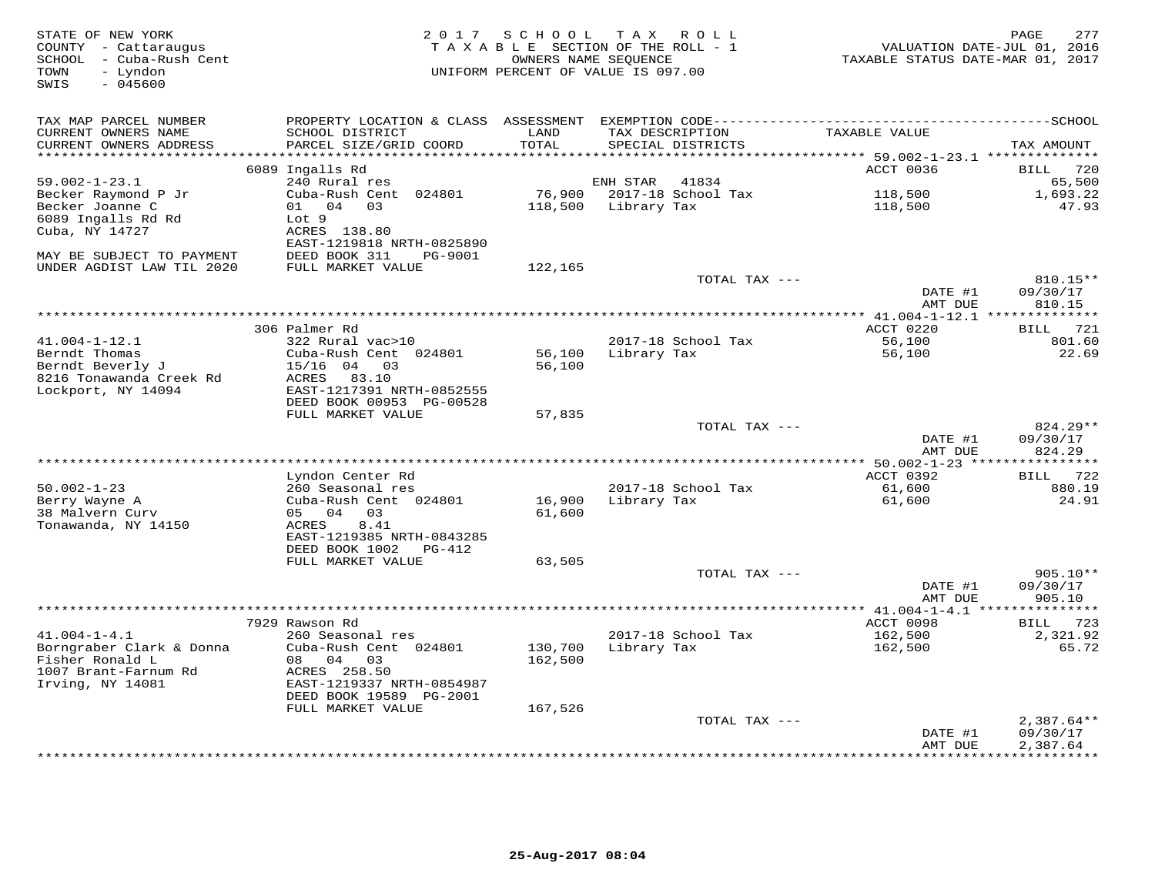| STATE OF NEW YORK<br>COUNTY - Cattaraugus<br>SCHOOL - Cuba-Rush Cent<br>- Lyndon<br>TOWN<br>$-045600$<br>SWIS | 2 0 1 7                                               | SCHOOL            | TAX ROLL<br>TAXABLE SECTION OF THE ROLL - 1<br>OWNERS NAME SEOUENCE<br>UNIFORM PERCENT OF VALUE IS 097.00 | VALUATION DATE-JUL 01, 2016<br>TAXABLE STATUS DATE-MAR 01, 2017 | 277<br>PAGE              |
|---------------------------------------------------------------------------------------------------------------|-------------------------------------------------------|-------------------|-----------------------------------------------------------------------------------------------------------|-----------------------------------------------------------------|--------------------------|
| TAX MAP PARCEL NUMBER<br>CURRENT OWNERS NAME<br>CURRENT OWNERS ADDRESS                                        | SCHOOL DISTRICT<br>PARCEL SIZE/GRID COORD             | LAND<br>TOTAL     | TAX DESCRIPTION<br>SPECIAL DISTRICTS                                                                      | TAXABLE VALUE                                                   | TAX AMOUNT               |
| **********************                                                                                        |                                                       |                   |                                                                                                           |                                                                 |                          |
|                                                                                                               | 6089 Ingalls Rd                                       |                   |                                                                                                           | ACCT 0036                                                       | 720<br>BILL              |
| $59.002 - 1 - 23.1$                                                                                           | 240 Rural res                                         |                   | ENH STAR<br>41834                                                                                         |                                                                 | 65,500                   |
| Becker Raymond P Jr<br>Becker Joanne C                                                                        | Cuba-Rush Cent 024801<br>04<br>01<br>03               | 76,900<br>118,500 | 2017-18 School Tax<br>Library Tax                                                                         | 118,500<br>118,500                                              | 1,693.22<br>47.93        |
| 6089 Ingalls Rd Rd                                                                                            | Lot 9                                                 |                   |                                                                                                           |                                                                 |                          |
| Cuba, NY 14727                                                                                                | ACRES 138.80                                          |                   |                                                                                                           |                                                                 |                          |
| MAY BE SUBJECT TO PAYMENT                                                                                     | EAST-1219818 NRTH-0825890<br>DEED BOOK 311<br>PG-9001 |                   |                                                                                                           |                                                                 |                          |
| UNDER AGDIST LAW TIL 2020                                                                                     | FULL MARKET VALUE                                     | 122,165           |                                                                                                           |                                                                 |                          |
|                                                                                                               |                                                       |                   | TOTAL TAX ---                                                                                             |                                                                 | 810.15**                 |
|                                                                                                               |                                                       |                   |                                                                                                           | DATE #1<br>AMT DUE                                              | 09/30/17<br>810.15       |
|                                                                                                               |                                                       |                   |                                                                                                           |                                                                 |                          |
|                                                                                                               | 306 Palmer Rd                                         |                   |                                                                                                           | ACCT 0220                                                       | 721<br><b>BILL</b>       |
| $41.004 - 1 - 12.1$<br>Berndt Thomas                                                                          | 322 Rural vac>10<br>Cuba-Rush Cent 024801             | 56,100            | 2017-18 School Tax<br>Library Tax                                                                         | 56,100<br>56,100                                                | 801.60<br>22.69          |
| Berndt Beverly J                                                                                              | $15/16$ 04<br>03                                      | 56,100            |                                                                                                           |                                                                 |                          |
| 8216 Tonawanda Creek Rd                                                                                       | ACRES<br>83.10                                        |                   |                                                                                                           |                                                                 |                          |
| Lockport, NY 14094                                                                                            | EAST-1217391 NRTH-0852555                             |                   |                                                                                                           |                                                                 |                          |
|                                                                                                               | DEED BOOK 00953 PG-00528<br>FULL MARKET VALUE         | 57,835            |                                                                                                           |                                                                 |                          |
|                                                                                                               |                                                       |                   | TOTAL TAX ---                                                                                             |                                                                 | 824.29**                 |
|                                                                                                               |                                                       |                   |                                                                                                           | DATE #1<br>AMT DUE                                              | 09/30/17<br>824.29       |
|                                                                                                               |                                                       |                   |                                                                                                           |                                                                 |                          |
|                                                                                                               | Lyndon Center Rd                                      |                   |                                                                                                           | ACCT 0392                                                       | 722<br>BILL              |
| $50.002 - 1 - 23$<br>Berry Wayne A                                                                            | 260 Seasonal res<br>Cuba-Rush Cent 024801             | 16,900            | 2017-18 School Tax<br>Library Tax                                                                         | 61,600<br>61,600                                                | 880.19<br>24.91          |
| 38 Malvern Curv                                                                                               | 05 04<br>03                                           | 61,600            |                                                                                                           |                                                                 |                          |
| Tonawanda, NY 14150                                                                                           | 8.41<br>ACRES                                         |                   |                                                                                                           |                                                                 |                          |
|                                                                                                               | EAST-1219385 NRTH-0843285<br>DEED BOOK 1002<br>PG-412 |                   |                                                                                                           |                                                                 |                          |
|                                                                                                               | FULL MARKET VALUE                                     | 63,505            |                                                                                                           |                                                                 |                          |
|                                                                                                               |                                                       |                   | TOTAL TAX ---                                                                                             |                                                                 | 905.10**                 |
|                                                                                                               |                                                       |                   |                                                                                                           | DATE #1                                                         | 09/30/17                 |
|                                                                                                               |                                                       |                   |                                                                                                           | AMT DUE<br>************ 41.004-1-4.1                            | 905.10                   |
|                                                                                                               | 7929 Rawson Rd                                        |                   |                                                                                                           | ACCT 0098                                                       | 723<br>BILL              |
| $41.004 - 1 - 4.1$                                                                                            | 260 Seasonal res                                      |                   | 2017-18 School Tax                                                                                        | 162,500                                                         | 2,321.92                 |
| Borngraber Clark & Donna                                                                                      | Cuba-Rush Cent 024801                                 | 130,700           | Library Tax                                                                                               | 162,500                                                         | 65.72                    |
| Fisher Ronald L<br>1007 Brant-Farnum Rd                                                                       | 08 04<br>03<br>ACRES 258.50                           | 162,500           |                                                                                                           |                                                                 |                          |
| Irving, NY 14081                                                                                              | EAST-1219337 NRTH-0854987                             |                   |                                                                                                           |                                                                 |                          |
|                                                                                                               | DEED BOOK 19589 PG-2001                               |                   |                                                                                                           |                                                                 |                          |
|                                                                                                               | FULL MARKET VALUE                                     | 167,526           |                                                                                                           |                                                                 |                          |
|                                                                                                               |                                                       |                   | TOTAL TAX ---                                                                                             | DATE #1                                                         | $2,387.64**$<br>09/30/17 |
|                                                                                                               |                                                       |                   |                                                                                                           | AMT DUE                                                         | 2,387.64                 |
|                                                                                                               |                                                       |                   |                                                                                                           | * * * * * * * * *                                               | * * * * * * * * * *      |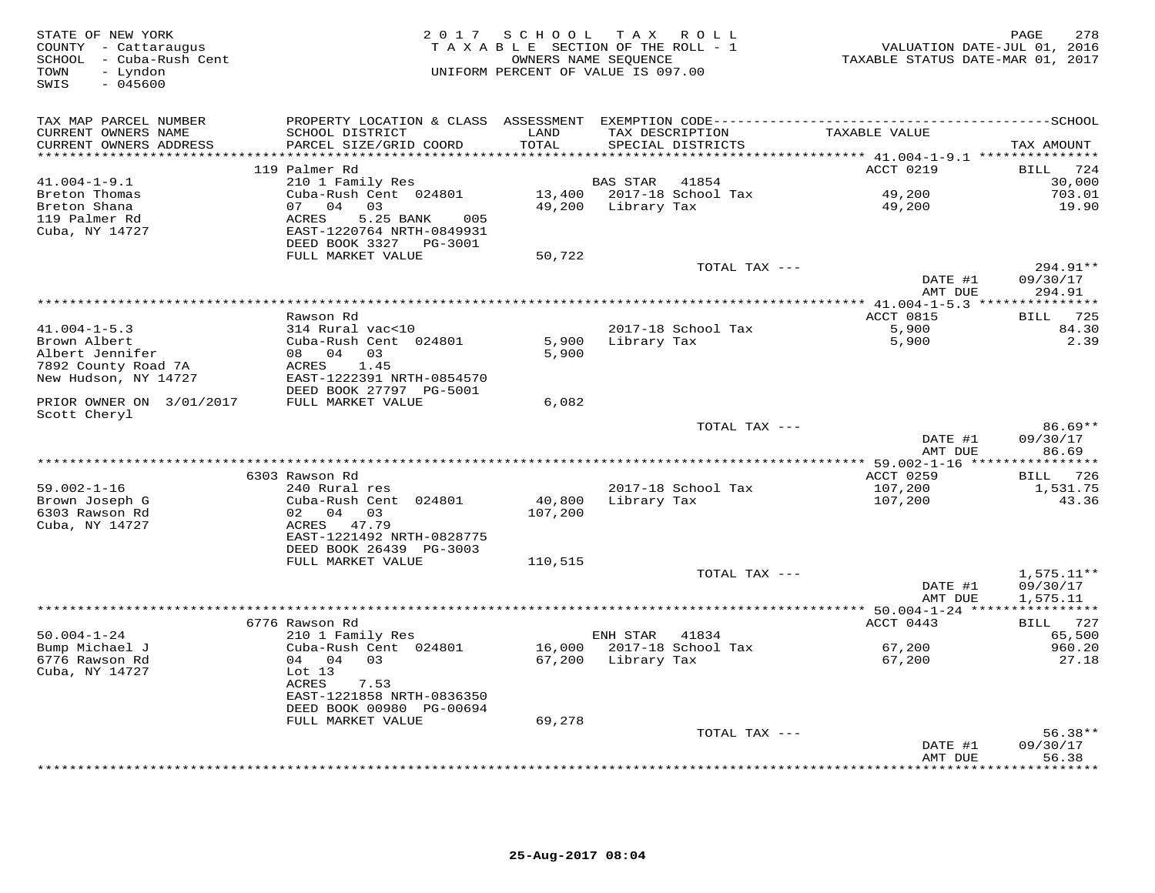| STATE OF NEW YORK<br>COUNTY - Cattaraugus<br>SCHOOL - Cuba-Rush Cent<br>- Lyndon<br>TOWN<br>SWIS<br>$-045600$ |                                                                                                                                                                         |                   | 2017 SCHOOL TAX ROLL<br>TAXABLE SECTION OF THE ROLL - 1<br>OWNERS NAME SEQUENCE<br>UNIFORM PERCENT OF VALUE IS 097.00 | VALUATION DATE-JUL 01, 2016<br>TAXABLE STATUS DATE-MAR 01, 2017 | PAGE<br>278                           |
|---------------------------------------------------------------------------------------------------------------|-------------------------------------------------------------------------------------------------------------------------------------------------------------------------|-------------------|-----------------------------------------------------------------------------------------------------------------------|-----------------------------------------------------------------|---------------------------------------|
| TAX MAP PARCEL NUMBER<br>CURRENT OWNERS NAME<br>CURRENT OWNERS ADDRESS                                        | SCHOOL DISTRICT<br>PARCEL SIZE/GRID COORD                                                                                                                               | LAND<br>TOTAL     | TAX DESCRIPTION<br>SPECIAL DISTRICTS                                                                                  | TAXABLE VALUE                                                   | TAX AMOUNT                            |
|                                                                                                               |                                                                                                                                                                         |                   |                                                                                                                       |                                                                 |                                       |
| $41.004 - 1 - 9.1$<br>Breton Thomas<br>Breton Shana<br>119 Palmer Rd<br>Cuba, NY 14727                        | 119 Palmer Rd<br>210 1 Family Res<br>Cuba-Rush Cent 024801<br>04<br>03<br>07<br><b>ACRES</b><br>5.25 BANK<br>005<br>EAST-1220764 NRTH-0849931<br>DEED BOOK 3327 PG-3001 | 49,200            | <b>BAS STAR</b><br>41854<br>13,400 2017-18 School Tax<br>Library Tax                                                  | ACCT 0219<br>49,200<br>49,200                                   | BILL 724<br>30,000<br>703.01<br>19.90 |
|                                                                                                               | FULL MARKET VALUE                                                                                                                                                       | 50,722            |                                                                                                                       |                                                                 |                                       |
|                                                                                                               |                                                                                                                                                                         |                   | TOTAL TAX ---                                                                                                         | DATE #1                                                         | 294.91**<br>09/30/17                  |
|                                                                                                               |                                                                                                                                                                         |                   |                                                                                                                       | AMT DUE                                                         | 294.91                                |
|                                                                                                               | Rawson Rd                                                                                                                                                               |                   |                                                                                                                       | ACCT 0815                                                       | 725<br>BILL                           |
| $41.004 - 1 - 5.3$                                                                                            | 314 Rural vac<10                                                                                                                                                        |                   | 2017-18 School Tax                                                                                                    | 5,900                                                           | 84.30                                 |
| Brown Albert<br>Albert Jennifer<br>7892 County Road 7A<br>New Hudson, NY 14727                                | Cuba-Rush Cent 024801<br>08 04 03<br>ACRES<br>1.45<br>EAST-1222391 NRTH-0854570                                                                                         | 5,900<br>5,900    | Library Tax                                                                                                           | 5,900                                                           | 2.39                                  |
|                                                                                                               | DEED BOOK 27797 PG-5001                                                                                                                                                 |                   |                                                                                                                       |                                                                 |                                       |
| PRIOR OWNER ON 3/01/2017<br>Scott Cheryl                                                                      | FULL MARKET VALUE                                                                                                                                                       | 6,082             |                                                                                                                       |                                                                 |                                       |
|                                                                                                               |                                                                                                                                                                         |                   | TOTAL TAX ---                                                                                                         | DATE #1<br>AMT DUE                                              | $86.69**$<br>09/30/17<br>86.69        |
|                                                                                                               |                                                                                                                                                                         |                   |                                                                                                                       |                                                                 |                                       |
|                                                                                                               | 6303 Rawson Rd                                                                                                                                                          |                   |                                                                                                                       | ACCT 0259                                                       | 726<br>BILL                           |
| $59.002 - 1 - 16$<br>Brown Joseph G<br>6303 Rawson Rd<br>Cuba, NY 14727                                       | 240 Rural res<br>Cuba-Rush Cent 024801<br>02 04 03<br>ACRES 47.79<br>EAST-1221492 NRTH-0828775                                                                          | 40,800<br>107,200 | 2017-18 School Tax<br>Library Tax                                                                                     | 107,200<br>107,200                                              | 1,531.75<br>43.36                     |
|                                                                                                               | DEED BOOK 26439 PG-3003                                                                                                                                                 |                   |                                                                                                                       |                                                                 |                                       |
|                                                                                                               | FULL MARKET VALUE                                                                                                                                                       | 110,515           |                                                                                                                       |                                                                 |                                       |
|                                                                                                               |                                                                                                                                                                         |                   | TOTAL TAX ---                                                                                                         | DATE #1<br>AMT DUE                                              | $1,575.11**$<br>09/30/17<br>1,575.11  |
|                                                                                                               |                                                                                                                                                                         |                   |                                                                                                                       | *********** 50.004-1-24 ****                                    | ***********                           |
| $50.004 - 1 - 24$                                                                                             | 6776 Rawson Rd<br>210 1 Family Res                                                                                                                                      |                   | ENH STAR<br>41834                                                                                                     | ACCT 0443                                                       | BILL 727<br>65,500                    |
| Bump Michael J<br>6776 Rawson Rd<br>Cuba, NY 14727                                                            | Cuba-Rush Cent 024801<br>04 04<br>03<br>Lot 13<br>ACRES<br>7.53<br>EAST-1221858 NRTH-0836350<br>DEED BOOK 00980 PG-00694                                                | 16,000            | 2017-18 School Tax<br>67,200 Library Tax                                                                              | 67,200<br>67,200                                                | 960.20<br>27.18                       |
|                                                                                                               | FULL MARKET VALUE                                                                                                                                                       | 69,278            |                                                                                                                       |                                                                 |                                       |
|                                                                                                               |                                                                                                                                                                         |                   | TOTAL TAX ---                                                                                                         |                                                                 | $56.38**$                             |
|                                                                                                               |                                                                                                                                                                         |                   |                                                                                                                       | DATE #1<br>AMT DUE<br>***********                               | 09/30/17<br>56.38<br>* * * * * * *    |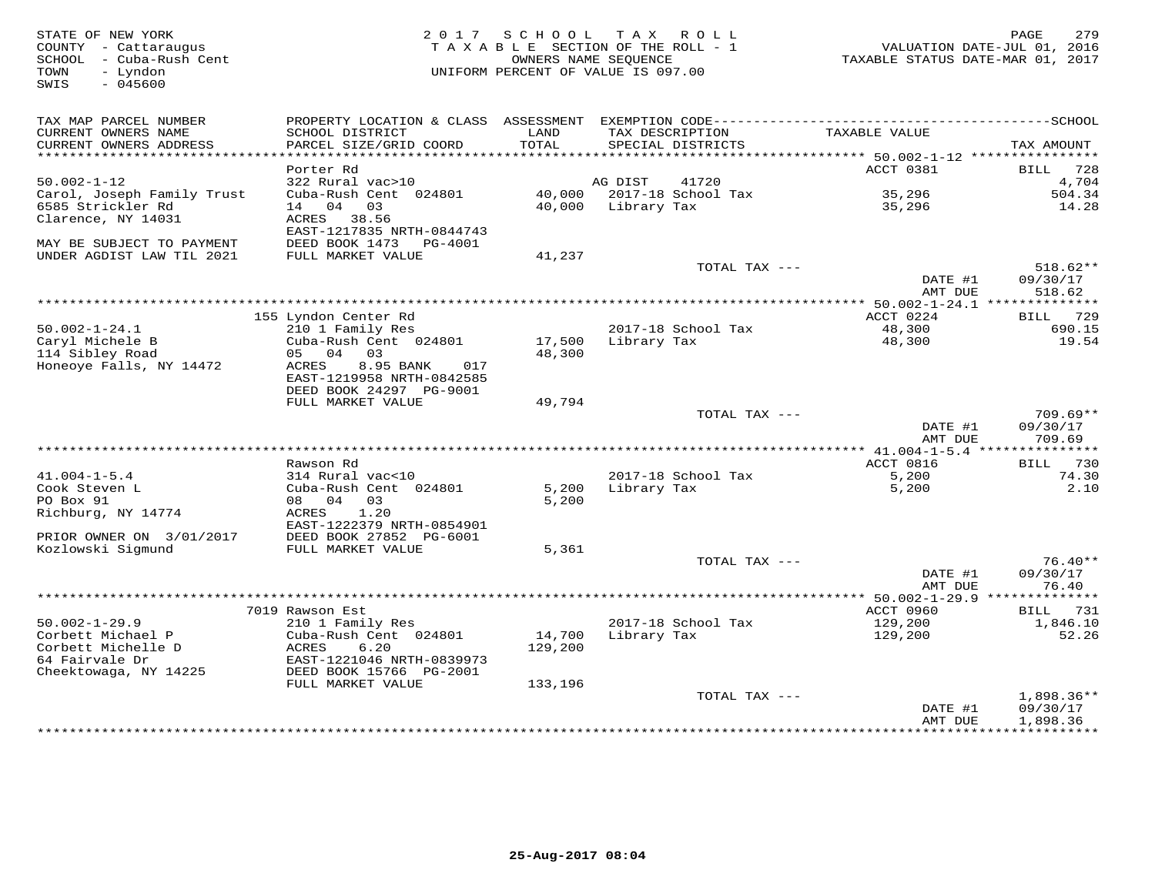| STATE OF NEW YORK<br>COUNTY - Cattaraugus<br>- Cuba-Rush Cent<br>SCHOOL<br>TOWN<br>- Lyndon<br>SWIS<br>$-045600$ | 2017                                                    | SCHOOL<br>TAXABLE SECTION OF THE ROLL - 1<br>OWNERS NAME SEQUENCE<br>UNIFORM PERCENT OF VALUE IS 097.00 | T A X       | R O L L                              | TAXABLE STATUS DATE-MAR 01, 2017      | 279<br>PAGE<br>VALUATION DATE-JUL 01, 2016 |
|------------------------------------------------------------------------------------------------------------------|---------------------------------------------------------|---------------------------------------------------------------------------------------------------------|-------------|--------------------------------------|---------------------------------------|--------------------------------------------|
| TAX MAP PARCEL NUMBER<br>CURRENT OWNERS NAME<br>CURRENT OWNERS ADDRESS                                           | SCHOOL DISTRICT<br>PARCEL SIZE/GRID COORD               | LAND<br>TOTAL                                                                                           |             | TAX DESCRIPTION<br>SPECIAL DISTRICTS | TAXABLE VALUE                         | TAX AMOUNT                                 |
| **********************                                                                                           |                                                         |                                                                                                         |             |                                      |                                       |                                            |
| $50.002 - 1 - 12$                                                                                                | Porter Rd<br>322 Rural vac>10                           |                                                                                                         | AG DIST     | 41720                                | ACCT 0381                             | 728<br>BILL<br>4,704                       |
| Carol, Joseph Family Trust                                                                                       | Cuba-Rush Cent 024801                                   | 40,000                                                                                                  |             | 2017-18 School Tax                   | 35,296                                | 504.34                                     |
| 6585 Strickler Rd<br>Clarence, NY 14031                                                                          | 14 04<br>03<br>ACRES 38.56<br>EAST-1217835 NRTH-0844743 | 40,000                                                                                                  | Library Tax |                                      | 35,296                                | 14.28                                      |
| MAY BE SUBJECT TO PAYMENT                                                                                        | DEED BOOK 1473<br>PG-4001                               |                                                                                                         |             |                                      |                                       |                                            |
| UNDER AGDIST LAW TIL 2021                                                                                        | FULL MARKET VALUE                                       | 41,237                                                                                                  |             | TOTAL TAX ---                        |                                       | $518.62**$                                 |
|                                                                                                                  |                                                         |                                                                                                         |             |                                      | DATE #1<br>AMT DUE                    | 09/30/17<br>518.62                         |
|                                                                                                                  |                                                         | ************************                                                                                |             |                                      | $***$ 50.002-1-24.1                   | **************                             |
| $50.002 - 1 - 24.1$                                                                                              | 155 Lyndon Center Rd<br>210 1 Family Res                |                                                                                                         |             | 2017-18 School Tax                   | ACCT 0224<br>48,300                   | 729<br><b>BILL</b><br>690.15               |
| Caryl Michele B                                                                                                  | Cuba-Rush Cent 024801                                   | 17,500                                                                                                  | Library Tax |                                      | 48,300                                | 19.54                                      |
| 114 Sibley Road<br>Honeoye Falls, NY 14472                                                                       | 04<br>03<br>05<br>ACRES<br>8.95 BANK<br>017             | 48,300                                                                                                  |             |                                      |                                       |                                            |
|                                                                                                                  | EAST-1219958 NRTH-0842585<br>DEED BOOK 24297 PG-9001    |                                                                                                         |             |                                      |                                       |                                            |
|                                                                                                                  | FULL MARKET VALUE                                       | 49,794                                                                                                  |             |                                      |                                       |                                            |
|                                                                                                                  |                                                         |                                                                                                         |             | TOTAL TAX ---                        | DATE #1                               | $709.69**$<br>09/30/17                     |
|                                                                                                                  |                                                         |                                                                                                         |             |                                      | AMT DUE                               | 709.69                                     |
|                                                                                                                  | Rawson Rd                                               |                                                                                                         |             |                                      |                                       |                                            |
| $41.004 - 1 - 5.4$                                                                                               | 314 Rural vac<10                                        |                                                                                                         |             | 2017-18 School Tax                   | ACCT 0816<br>5,200                    | BILL 730<br>74.30                          |
| Cook Steven L                                                                                                    | Cuba-Rush Cent 024801                                   | 5,200                                                                                                   | Library Tax |                                      | 5,200                                 | 2.10                                       |
| PO Box 91<br>Richburg, NY 14774                                                                                  | 08 04<br>03<br>ACRES<br>1.20                            | 5,200                                                                                                   |             |                                      |                                       |                                            |
|                                                                                                                  | EAST-1222379 NRTH-0854901                               |                                                                                                         |             |                                      |                                       |                                            |
| PRIOR OWNER ON 3/01/2017<br>Kozlowski Sigmund                                                                    | DEED BOOK 27852 PG-6001<br>FULL MARKET VALUE            | 5,361                                                                                                   |             |                                      |                                       |                                            |
|                                                                                                                  |                                                         |                                                                                                         |             | TOTAL TAX ---                        |                                       | $76.40**$                                  |
|                                                                                                                  |                                                         |                                                                                                         |             |                                      | DATE #1<br>AMT DUE                    | 09/30/17<br>76.40                          |
|                                                                                                                  |                                                         |                                                                                                         |             |                                      | ** $50.002 - 1 - 29.9$ ************** |                                            |
|                                                                                                                  | 7019 Rawson Est                                         |                                                                                                         |             |                                      | ACCT 0960                             | 731<br>BILL                                |
| $50.002 - 1 - 29.9$                                                                                              | 210 1 Family Res                                        |                                                                                                         |             | 2017-18 School Tax                   | 129,200                               | 1,846.10                                   |
| Corbett Michael P<br>Corbett Michelle D                                                                          | Cuba-Rush Cent 024801<br>ACRES<br>6.20                  | 14,700<br>129,200                                                                                       | Library Tax |                                      | 129,200                               | 52.26                                      |
| 64 Fairvale Dr<br>Cheektowaga, NY 14225                                                                          | EAST-1221046 NRTH-0839973<br>DEED BOOK 15766 PG-2001    |                                                                                                         |             |                                      |                                       |                                            |
|                                                                                                                  | FULL MARKET VALUE                                       | 133,196                                                                                                 |             |                                      |                                       |                                            |
|                                                                                                                  |                                                         |                                                                                                         |             | TOTAL TAX ---                        |                                       | 1,898.36**                                 |
|                                                                                                                  |                                                         |                                                                                                         |             |                                      | DATE #1<br>AMT DUE                    | 09/30/17<br>1,898.36                       |
|                                                                                                                  |                                                         |                                                                                                         |             |                                      | **************                        | * * * * * * * * * *                        |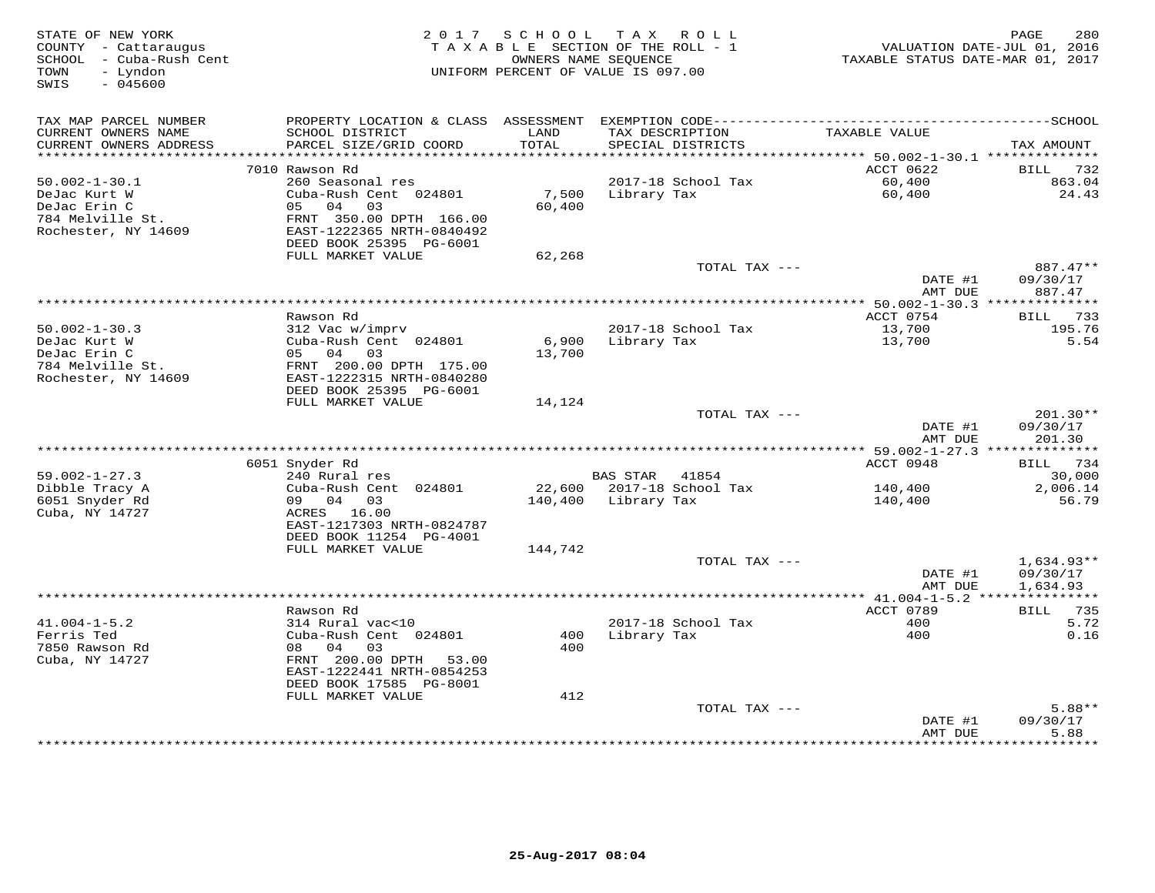| STATE OF NEW YORK<br>COUNTY - Cattaraugus<br>SCHOOL - Cuba-Rush Cent<br>- Lyndon<br>TOWN |                                                                       | 2017 SCHOOL   | TAX ROLL<br>TAXABLE SECTION OF THE ROLL - 1<br>OWNERS NAME SEOUENCE<br>UNIFORM PERCENT OF VALUE IS 097.00 | TAXABLE STATUS DATE-MAR 01, 2017 | 280<br>PAGE<br>VALUATION DATE-JUL 01, 2016 |
|------------------------------------------------------------------------------------------|-----------------------------------------------------------------------|---------------|-----------------------------------------------------------------------------------------------------------|----------------------------------|--------------------------------------------|
| SWIS<br>$-045600$                                                                        |                                                                       |               |                                                                                                           |                                  |                                            |
| TAX MAP PARCEL NUMBER                                                                    |                                                                       |               |                                                                                                           |                                  |                                            |
| CURRENT OWNERS NAME<br>CURRENT OWNERS ADDRESS<br>*********************                   | SCHOOL DISTRICT<br>PARCEL SIZE/GRID COORD<br>************************ | LAND<br>TOTAL | TAX DESCRIPTION<br>SPECIAL DISTRICTS                                                                      | TAXABLE VALUE                    | TAX AMOUNT                                 |
|                                                                                          | 7010 Rawson Rd                                                        |               |                                                                                                           | ACCT 0622                        | BILL<br>732                                |
| $50.002 - 1 - 30.1$                                                                      | 260 Seasonal res                                                      |               | 2017-18 School Tax                                                                                        | 60,400                           | 863.04                                     |
| DeJac Kurt W                                                                             | Cuba-Rush Cent 024801                                                 | 7,500         | Library Tax                                                                                               | 60,400                           | 24.43                                      |
| DeJac Erin C                                                                             | 04<br>05<br>03                                                        | 60,400        |                                                                                                           |                                  |                                            |
| 784 Melville St.                                                                         | FRNT 350.00 DPTH 166.00                                               |               |                                                                                                           |                                  |                                            |
| Rochester, NY 14609                                                                      | EAST-1222365 NRTH-0840492                                             |               |                                                                                                           |                                  |                                            |
|                                                                                          | DEED BOOK 25395 PG-6001                                               |               |                                                                                                           |                                  |                                            |
|                                                                                          | FULL MARKET VALUE                                                     | 62,268        |                                                                                                           |                                  |                                            |
|                                                                                          |                                                                       |               | TOTAL TAX ---                                                                                             | DATE #1                          | 887.47**                                   |
|                                                                                          |                                                                       |               |                                                                                                           | AMT DUE                          | 09/30/17<br>887.47                         |
|                                                                                          |                                                                       |               | ********************                                                                                      | ** $50.002 - 1 - 30.3$ **        | ***********                                |
|                                                                                          | Rawson Rd                                                             |               |                                                                                                           | ACCT 0754                        | 733<br>BILL                                |
| $50.002 - 1 - 30.3$                                                                      | 312 Vac w/imprv                                                       |               | 2017-18 School Tax                                                                                        | 13,700                           | 195.76                                     |
| DeJac Kurt W                                                                             | Cuba-Rush Cent 024801                                                 | 6,900         | Library Tax                                                                                               | 13,700                           | 5.54                                       |
| DeJac Erin C                                                                             | 05 04<br>03                                                           | 13,700        |                                                                                                           |                                  |                                            |
| 784 Melville St.                                                                         | FRNT 200.00 DPTH 175.00                                               |               |                                                                                                           |                                  |                                            |
| Rochester, NY 14609                                                                      | EAST-1222315 NRTH-0840280                                             |               |                                                                                                           |                                  |                                            |
|                                                                                          | DEED BOOK 25395 PG-6001<br>FULL MARKET VALUE                          | 14,124        |                                                                                                           |                                  |                                            |
|                                                                                          |                                                                       |               | TOTAL TAX ---                                                                                             |                                  | $201.30**$                                 |
|                                                                                          |                                                                       |               |                                                                                                           | DATE #1                          | 09/30/17                                   |
|                                                                                          |                                                                       |               |                                                                                                           | AMT DUE                          | 201.30                                     |
|                                                                                          |                                                                       |               |                                                                                                           |                                  |                                            |
|                                                                                          | 6051 Snyder Rd                                                        |               |                                                                                                           | ACCT 0948                        | BILL 734                                   |
| $59.002 - 1 - 27.3$                                                                      | 240 Rural res                                                         |               | BAS STAR 41854                                                                                            |                                  | 30,000                                     |
| Dibble Tracy A                                                                           | Cuba-Rush Cent 024801<br>09 04 03                                     |               | 22,600 2017-18 School Tax                                                                                 | 140,400                          | 2,006.14                                   |
| 6051 Snyder Rd<br>Cuba, NY 14727                                                         | ACRES 16.00                                                           | 140,400       | Library Tax                                                                                               | 140,400                          | 56.79                                      |
|                                                                                          | EAST-1217303 NRTH-0824787                                             |               |                                                                                                           |                                  |                                            |
|                                                                                          | DEED BOOK 11254 PG-4001                                               |               |                                                                                                           |                                  |                                            |
|                                                                                          | FULL MARKET VALUE                                                     | 144,742       |                                                                                                           |                                  |                                            |
|                                                                                          |                                                                       |               | TOTAL TAX ---                                                                                             |                                  | $1,634.93**$                               |
|                                                                                          |                                                                       |               |                                                                                                           | DATE #1                          | 09/30/17                                   |
|                                                                                          |                                                                       |               |                                                                                                           | AMT DUE                          | 1,634.93                                   |
|                                                                                          | Rawson Rd                                                             |               |                                                                                                           | ACCT 0789                        | 735<br>BILL                                |
| $41.004 - 1 - 5.2$                                                                       | 314 Rural vac<10                                                      |               | 2017-18 School Tax                                                                                        | 400                              | 5.72                                       |
| Ferris Ted                                                                               | Cuba-Rush Cent 024801                                                 | 400           | Library Tax                                                                                               | 400                              | 0.16                                       |
| 7850 Rawson Rd                                                                           | 04<br>08<br>03                                                        | 400           |                                                                                                           |                                  |                                            |
| Cuba, NY 14727                                                                           | FRNT 200.00 DPTH<br>53.00                                             |               |                                                                                                           |                                  |                                            |
|                                                                                          | EAST-1222441 NRTH-0854253                                             |               |                                                                                                           |                                  |                                            |
|                                                                                          | DEED BOOK 17585 PG-8001                                               |               |                                                                                                           |                                  |                                            |
|                                                                                          | FULL MARKET VALUE                                                     | 412           |                                                                                                           |                                  |                                            |
|                                                                                          |                                                                       |               | TOTAL TAX ---                                                                                             | DATE #1                          | $5.88**$<br>09/30/17                       |
|                                                                                          |                                                                       |               |                                                                                                           | AMT DUE                          | 5.88                                       |
|                                                                                          |                                                                       |               |                                                                                                           |                                  | * * * * * * * *                            |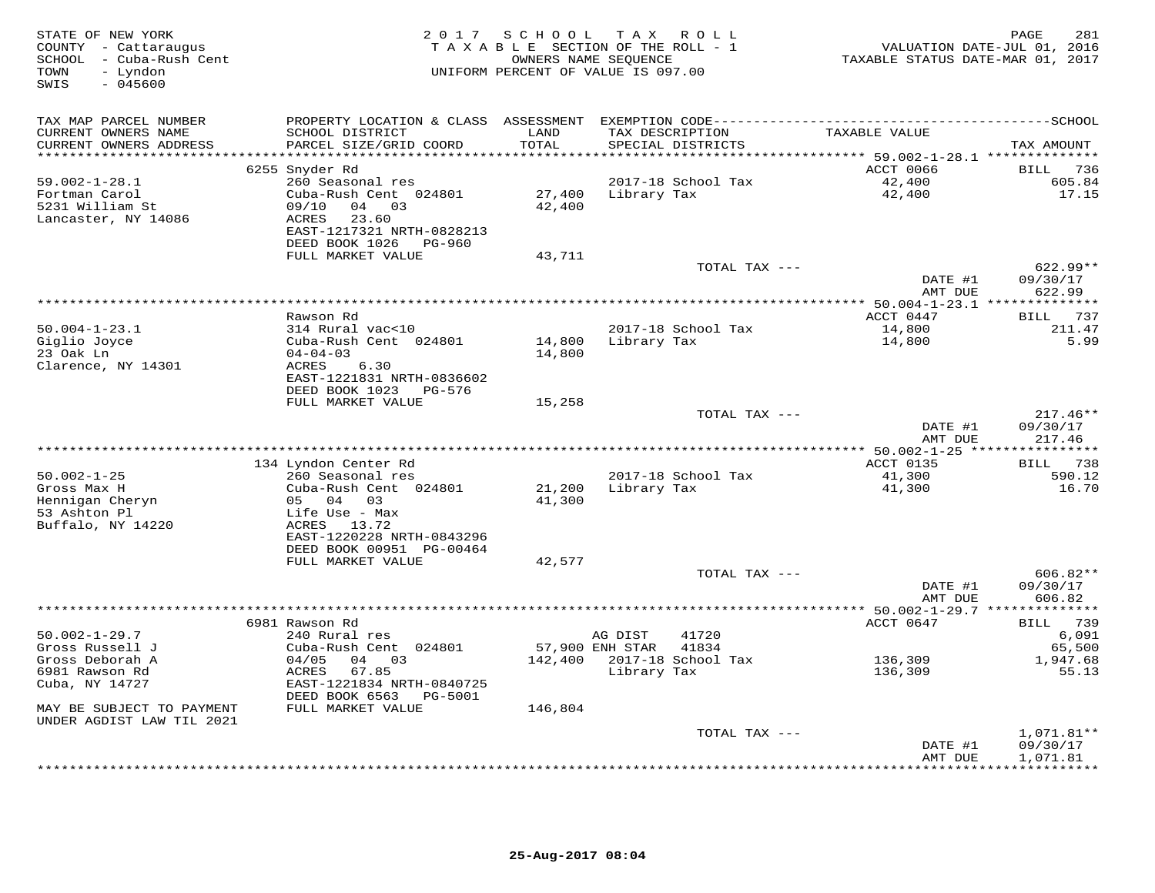| TAX MAP PARCEL NUMBER<br>CURRENT OWNERS NAME<br>SCHOOL DISTRICT<br>LAND<br>TAX DESCRIPTION<br>TAXABLE VALUE<br>PARCEL SIZE/GRID COORD<br>CURRENT OWNERS ADDRESS<br>TOTAL<br>SPECIAL DISTRICTS<br>**********************<br>****************************<br>**************<br>**************************** 59.002-1-28.1 **************<br>ACCT 0066<br>6255 Snyder Rd<br>$59.002 - 1 - 28.1$<br>260 Seasonal res<br>2017-18 School Tax<br>42,400<br>Fortman Carol<br>Cuba-Rush Cent 024801<br>27,400<br>Library Tax<br>42,400<br>5231 William St<br>09/10<br>04 03<br>42,400<br><b>ACRES</b><br>23.60<br>Lancaster, NY 14086<br>EAST-1217321 NRTH-0828213<br>DEED BOOK 1026<br>PG-960<br>FULL MARKET VALUE<br>43,711<br>TOTAL TAX ---<br>DATE #1<br>AMT DUE<br>622.99<br>Rawson Rd<br>ACCT 0447<br>BILL<br>$50.004 - 1 - 23.1$<br>2017-18 School Tax<br>14,800<br>314 Rural vac<10<br>Giglio Joyce<br>Cuba-Rush Cent 024801<br>Library Tax<br>14,800<br>14,800<br>23 Oak Ln<br>$04 - 04 - 03$<br>14,800<br>Clarence, NY 14301<br>ACRES<br>6.30<br>EAST-1221831 NRTH-0836602<br>DEED BOOK 1023<br>PG-576<br>FULL MARKET VALUE<br>15,258<br>TOTAL TAX ---<br>DATE #1<br>AMT DUE<br>217.46<br>*** 50.002-1-25 ***<br>134 Lyndon Center Rd<br>ACCT 0135<br>BILL 738<br>$50.002 - 1 - 25$<br>2017-18 School Tax<br>41,300<br>260 Seasonal res<br>Gross Max H<br>Cuba-Rush Cent 024801<br>21,200<br>Library Tax<br>41,300<br>Hennigan Cheryn<br>05 04<br>03<br>41,300<br>53 Ashton Pl<br>Life Use - Max<br>Buffalo, NY 14220<br>13.72<br>ACRES<br>EAST-1220228 NRTH-0843296<br>DEED BOOK 00951 PG-00464<br>FULL MARKET VALUE<br>42,577<br>606.82**<br>TOTAL TAX ---<br>DATE #1<br>606.82<br>AMT DUE<br>***************<br>*********************************<br>******** 50.002-1-29.7 **<br>**********<br>6981 Rawson Rd<br>ACCT 0647<br>BILL 739<br>$50.002 - 1 - 29.7$<br>240 Rural res<br>AG DIST<br>41720<br>Gross Russell J<br>Cuba-Rush Cent 024801<br>57,900 ENH STAR<br>41834<br>142,400<br>2017-18 School Tax<br>Gross Deborah A<br>04/05<br>04 03<br>136,309<br>6981 Rawson Rd<br>ACRES<br>67.85<br>Library Tax<br>136,309<br>Cuba, NY 14727<br>EAST-1221834 NRTH-0840725<br>DEED BOOK 6563<br>PG-5001<br>FULL MARKET VALUE<br>MAY BE SUBJECT TO PAYMENT<br>146,804<br>UNDER AGDIST LAW TIL 2021<br>TOTAL TAX ---<br>$1,071.81**$<br>09/30/17<br>DATE #1<br>AMT DUE<br>1,071.81 | STATE OF NEW YORK<br>COUNTY - Cattaraugus<br>SCHOOL - Cuba-Rush Cent<br>- Lyndon<br>TOWN<br>$-045600$<br>SWIS | 2 0 1 7 | SCHOOL | T A X<br>R O L L<br>TAXABLE SECTION OF THE ROLL - 1<br>OWNERS NAME SEQUENCE<br>UNIFORM PERCENT OF VALUE IS 097.00 | VALUATION DATE-JUL 01, 2016<br>TAXABLE STATUS DATE-MAR 01, 2017 | 281<br>PAGE                          |
|-------------------------------------------------------------------------------------------------------------------------------------------------------------------------------------------------------------------------------------------------------------------------------------------------------------------------------------------------------------------------------------------------------------------------------------------------------------------------------------------------------------------------------------------------------------------------------------------------------------------------------------------------------------------------------------------------------------------------------------------------------------------------------------------------------------------------------------------------------------------------------------------------------------------------------------------------------------------------------------------------------------------------------------------------------------------------------------------------------------------------------------------------------------------------------------------------------------------------------------------------------------------------------------------------------------------------------------------------------------------------------------------------------------------------------------------------------------------------------------------------------------------------------------------------------------------------------------------------------------------------------------------------------------------------------------------------------------------------------------------------------------------------------------------------------------------------------------------------------------------------------------------------------------------------------------------------------------------------------------------------------------------------------------------------------------------------------------------------------------------------------------------------------------------------------------------------------------------------------------------------------------------------------------------------------------------------------------------------------------------------------------|---------------------------------------------------------------------------------------------------------------|---------|--------|-------------------------------------------------------------------------------------------------------------------|-----------------------------------------------------------------|--------------------------------------|
|                                                                                                                                                                                                                                                                                                                                                                                                                                                                                                                                                                                                                                                                                                                                                                                                                                                                                                                                                                                                                                                                                                                                                                                                                                                                                                                                                                                                                                                                                                                                                                                                                                                                                                                                                                                                                                                                                                                                                                                                                                                                                                                                                                                                                                                                                                                                                                                     |                                                                                                               |         |        |                                                                                                                   |                                                                 | TAX AMOUNT                           |
|                                                                                                                                                                                                                                                                                                                                                                                                                                                                                                                                                                                                                                                                                                                                                                                                                                                                                                                                                                                                                                                                                                                                                                                                                                                                                                                                                                                                                                                                                                                                                                                                                                                                                                                                                                                                                                                                                                                                                                                                                                                                                                                                                                                                                                                                                                                                                                                     |                                                                                                               |         |        |                                                                                                                   |                                                                 | BILL 736<br>605.84<br>17.15          |
|                                                                                                                                                                                                                                                                                                                                                                                                                                                                                                                                                                                                                                                                                                                                                                                                                                                                                                                                                                                                                                                                                                                                                                                                                                                                                                                                                                                                                                                                                                                                                                                                                                                                                                                                                                                                                                                                                                                                                                                                                                                                                                                                                                                                                                                                                                                                                                                     |                                                                                                               |         |        |                                                                                                                   |                                                                 | 622.99**<br>09/30/17                 |
|                                                                                                                                                                                                                                                                                                                                                                                                                                                                                                                                                                                                                                                                                                                                                                                                                                                                                                                                                                                                                                                                                                                                                                                                                                                                                                                                                                                                                                                                                                                                                                                                                                                                                                                                                                                                                                                                                                                                                                                                                                                                                                                                                                                                                                                                                                                                                                                     |                                                                                                               |         |        |                                                                                                                   |                                                                 |                                      |
|                                                                                                                                                                                                                                                                                                                                                                                                                                                                                                                                                                                                                                                                                                                                                                                                                                                                                                                                                                                                                                                                                                                                                                                                                                                                                                                                                                                                                                                                                                                                                                                                                                                                                                                                                                                                                                                                                                                                                                                                                                                                                                                                                                                                                                                                                                                                                                                     |                                                                                                               |         |        |                                                                                                                   |                                                                 | 737<br>211.47<br>5.99                |
|                                                                                                                                                                                                                                                                                                                                                                                                                                                                                                                                                                                                                                                                                                                                                                                                                                                                                                                                                                                                                                                                                                                                                                                                                                                                                                                                                                                                                                                                                                                                                                                                                                                                                                                                                                                                                                                                                                                                                                                                                                                                                                                                                                                                                                                                                                                                                                                     |                                                                                                               |         |        |                                                                                                                   |                                                                 |                                      |
|                                                                                                                                                                                                                                                                                                                                                                                                                                                                                                                                                                                                                                                                                                                                                                                                                                                                                                                                                                                                                                                                                                                                                                                                                                                                                                                                                                                                                                                                                                                                                                                                                                                                                                                                                                                                                                                                                                                                                                                                                                                                                                                                                                                                                                                                                                                                                                                     |                                                                                                               |         |        |                                                                                                                   |                                                                 | $217.46**$<br>09/30/17               |
|                                                                                                                                                                                                                                                                                                                                                                                                                                                                                                                                                                                                                                                                                                                                                                                                                                                                                                                                                                                                                                                                                                                                                                                                                                                                                                                                                                                                                                                                                                                                                                                                                                                                                                                                                                                                                                                                                                                                                                                                                                                                                                                                                                                                                                                                                                                                                                                     |                                                                                                               |         |        |                                                                                                                   |                                                                 | *********                            |
|                                                                                                                                                                                                                                                                                                                                                                                                                                                                                                                                                                                                                                                                                                                                                                                                                                                                                                                                                                                                                                                                                                                                                                                                                                                                                                                                                                                                                                                                                                                                                                                                                                                                                                                                                                                                                                                                                                                                                                                                                                                                                                                                                                                                                                                                                                                                                                                     |                                                                                                               |         |        |                                                                                                                   |                                                                 | 590.12<br>16.70                      |
|                                                                                                                                                                                                                                                                                                                                                                                                                                                                                                                                                                                                                                                                                                                                                                                                                                                                                                                                                                                                                                                                                                                                                                                                                                                                                                                                                                                                                                                                                                                                                                                                                                                                                                                                                                                                                                                                                                                                                                                                                                                                                                                                                                                                                                                                                                                                                                                     |                                                                                                               |         |        |                                                                                                                   |                                                                 |                                      |
|                                                                                                                                                                                                                                                                                                                                                                                                                                                                                                                                                                                                                                                                                                                                                                                                                                                                                                                                                                                                                                                                                                                                                                                                                                                                                                                                                                                                                                                                                                                                                                                                                                                                                                                                                                                                                                                                                                                                                                                                                                                                                                                                                                                                                                                                                                                                                                                     |                                                                                                               |         |        |                                                                                                                   |                                                                 | 09/30/17                             |
|                                                                                                                                                                                                                                                                                                                                                                                                                                                                                                                                                                                                                                                                                                                                                                                                                                                                                                                                                                                                                                                                                                                                                                                                                                                                                                                                                                                                                                                                                                                                                                                                                                                                                                                                                                                                                                                                                                                                                                                                                                                                                                                                                                                                                                                                                                                                                                                     |                                                                                                               |         |        |                                                                                                                   |                                                                 |                                      |
|                                                                                                                                                                                                                                                                                                                                                                                                                                                                                                                                                                                                                                                                                                                                                                                                                                                                                                                                                                                                                                                                                                                                                                                                                                                                                                                                                                                                                                                                                                                                                                                                                                                                                                                                                                                                                                                                                                                                                                                                                                                                                                                                                                                                                                                                                                                                                                                     |                                                                                                               |         |        |                                                                                                                   |                                                                 | 6,091<br>65,500<br>1,947.68<br>55.13 |
|                                                                                                                                                                                                                                                                                                                                                                                                                                                                                                                                                                                                                                                                                                                                                                                                                                                                                                                                                                                                                                                                                                                                                                                                                                                                                                                                                                                                                                                                                                                                                                                                                                                                                                                                                                                                                                                                                                                                                                                                                                                                                                                                                                                                                                                                                                                                                                                     |                                                                                                               |         |        |                                                                                                                   |                                                                 |                                      |
|                                                                                                                                                                                                                                                                                                                                                                                                                                                                                                                                                                                                                                                                                                                                                                                                                                                                                                                                                                                                                                                                                                                                                                                                                                                                                                                                                                                                                                                                                                                                                                                                                                                                                                                                                                                                                                                                                                                                                                                                                                                                                                                                                                                                                                                                                                                                                                                     |                                                                                                               |         |        |                                                                                                                   |                                                                 | * * * * * * * * * *                  |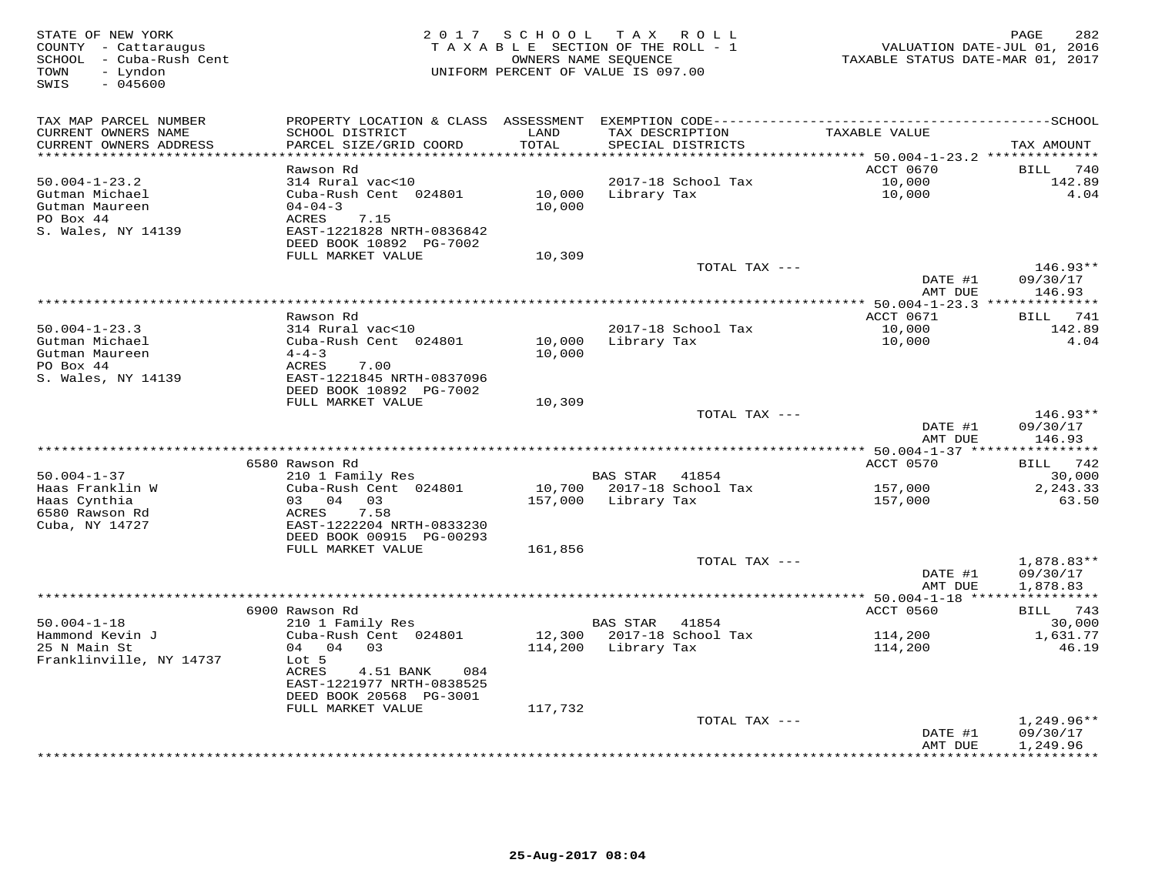| STATE OF NEW YORK<br>COUNTY - Cattaraugus<br>SCHOOL - Cuba-Rush Cent<br>TOWN<br>- Lyndon<br>$-045600$<br>SWIS | 2 0 1 7                                                                                                                                          | SCHOOL TAX ROLL<br>TAXABLE SECTION OF THE ROLL - 1<br>OWNERS NAME SEQUENCE<br>UNIFORM PERCENT OF VALUE IS 097.00 |                             |                                      | VALUATION DATE-JUL 01, 2016<br>TAXABLE STATUS DATE-MAR 01, 2017 | 282<br>PAGE                        |
|---------------------------------------------------------------------------------------------------------------|--------------------------------------------------------------------------------------------------------------------------------------------------|------------------------------------------------------------------------------------------------------------------|-----------------------------|--------------------------------------|-----------------------------------------------------------------|------------------------------------|
| TAX MAP PARCEL NUMBER<br>CURRENT OWNERS NAME<br>CURRENT OWNERS ADDRESS                                        | PROPERTY LOCATION & CLASS ASSESSMENT EXEMPTION CODE-----------------------------------SCHOOL<br>SCHOOL DISTRICT<br>PARCEL SIZE/GRID COORD        | LAND<br>TOTAL                                                                                                    |                             | TAX DESCRIPTION<br>SPECIAL DISTRICTS | TAXABLE VALUE                                                   | TAX AMOUNT                         |
|                                                                                                               |                                                                                                                                                  | ******                                                                                                           |                             |                                      | ******* 50.004-1-23.2 **************                            |                                    |
| $50.004 - 1 - 23.2$<br>Gutman Michael<br>Gutman Maureen<br>PO Box 44<br>S. Wales, NY 14139                    | Rawson Rd<br>314 Rural vac<10<br>Cuba-Rush Cent 024801<br>$04 - 04 - 3$<br>ACRES<br>7.15<br>EAST-1221828 NRTH-0836842<br>DEED BOOK 10892 PG-7002 | 10,000<br>10,000                                                                                                 | Library Tax                 | 2017-18 School Tax                   | ACCT 0670<br>10,000<br>10,000                                   | BILL<br>740<br>142.89<br>4.04      |
|                                                                                                               | FULL MARKET VALUE                                                                                                                                | 10,309                                                                                                           |                             |                                      |                                                                 |                                    |
|                                                                                                               |                                                                                                                                                  |                                                                                                                  |                             | TOTAL TAX ---                        | DATE #1<br>AMT DUE                                              | 146.93**<br>09/30/17<br>146.93     |
|                                                                                                               |                                                                                                                                                  |                                                                                                                  | *************************** |                                      | ************ 50.004-1-23.3 **************                       |                                    |
|                                                                                                               | Rawson Rd                                                                                                                                        |                                                                                                                  |                             |                                      | ACCT 0671                                                       | <b>BILL</b><br>741                 |
| $50.004 - 1 - 23.3$<br>Gutman Michael<br>Gutman Maureen                                                       | 314 Rural vac<10<br>Cuba-Rush Cent 024801<br>$4 - 4 - 3$                                                                                         | 10,000<br>10,000                                                                                                 | Library Tax                 | 2017-18 School Tax                   | 10,000<br>10,000                                                | 142.89<br>4.04                     |
| PO Box 44<br>S. Wales, NY 14139                                                                               | ACRES<br>7.00<br>EAST-1221845 NRTH-0837096<br>DEED BOOK 10892 PG-7002                                                                            |                                                                                                                  |                             |                                      |                                                                 |                                    |
|                                                                                                               | FULL MARKET VALUE                                                                                                                                | 10,309                                                                                                           |                             |                                      |                                                                 |                                    |
|                                                                                                               |                                                                                                                                                  |                                                                                                                  |                             | TOTAL TAX ---                        | DATE #1<br>AMT DUE                                              | $146.93**$<br>09/30/17<br>146.93   |
|                                                                                                               |                                                                                                                                                  |                                                                                                                  |                             |                                      |                                                                 |                                    |
|                                                                                                               | 6580 Rawson Rd                                                                                                                                   |                                                                                                                  |                             |                                      | ACCT 0570                                                       | BILL 742                           |
| $50.004 - 1 - 37$<br>Haas Franklin W                                                                          | 210 1 Family Res<br>Cuba-Rush Cent 024801                                                                                                        | 10,700                                                                                                           | <b>BAS STAR</b>             | 41854<br>2017-18 School Tax          | 157,000                                                         | 30,000<br>2,243.33                 |
| Haas Cynthia<br>6580 Rawson Rd<br>Cuba, NY 14727                                                              | 03 04 03<br>ACRES<br>7.58<br>EAST-1222204 NRTH-0833230                                                                                           | 157,000                                                                                                          | Library Tax                 |                                      | 157,000                                                         | 63.50                              |
|                                                                                                               | DEED BOOK 00915 PG-00293                                                                                                                         |                                                                                                                  |                             |                                      |                                                                 |                                    |
|                                                                                                               | FULL MARKET VALUE                                                                                                                                | 161,856                                                                                                          |                             |                                      |                                                                 |                                    |
|                                                                                                               |                                                                                                                                                  |                                                                                                                  |                             | TOTAL TAX ---                        | DATE #1<br>AMT DUE                                              | 1,878.83**<br>09/30/17<br>1,878.83 |
|                                                                                                               |                                                                                                                                                  |                                                                                                                  |                             |                                      |                                                                 |                                    |
| $50.004 - 1 - 18$                                                                                             | 6900 Rawson Rd<br>210 1 Family Res                                                                                                               |                                                                                                                  | BAS STAR                    | 41854                                | ACCT 0560                                                       | BILL 743<br>30,000                 |
| Hammond Kevin J<br>25 N Main St<br>Franklinville, NY 14737                                                    | Cuba-Rush Cent 024801<br>04 04 03<br>Lot 5<br>ACRES<br>4.51 BANK<br>084                                                                          | 12,300<br>114,200                                                                                                | Library Tax                 | 2017-18 School Tax                   | 114,200<br>114,200                                              | 1,631.77<br>46.19                  |
|                                                                                                               | EAST-1221977 NRTH-0838525                                                                                                                        |                                                                                                                  |                             |                                      |                                                                 |                                    |
|                                                                                                               | DEED BOOK 20568 PG-3001<br>FULL MARKET VALUE                                                                                                     | 117,732                                                                                                          |                             |                                      |                                                                 |                                    |
|                                                                                                               |                                                                                                                                                  |                                                                                                                  |                             | TOTAL TAX ---                        | DATE #1                                                         | 1,249.96**<br>09/30/17             |
|                                                                                                               |                                                                                                                                                  |                                                                                                                  |                             |                                      | AMT DUE                                                         | 1,249.96<br>**********             |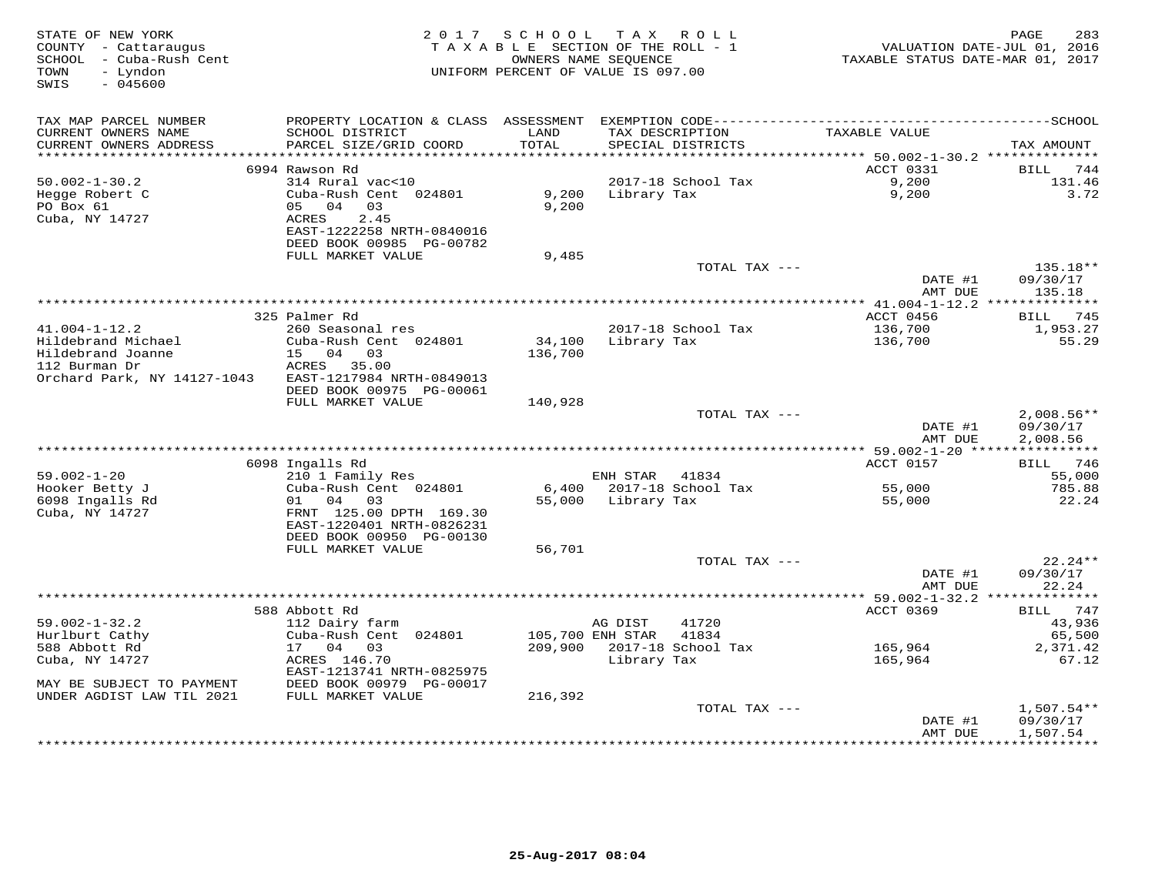| STATE OF NEW YORK<br>COUNTY - Cattaraugus<br>SCHOOL - Cuba-Rush Cent<br>- Lyndon<br>TOWN<br>$-045600$<br>SWIS |                                           |                | 2017 SCHOOL TAX ROLL<br>TAXABLE SECTION OF THE ROLL - 1<br>OWNERS NAME SEOUENCE<br>UNIFORM PERCENT OF VALUE IS 097.00 | VALUATION DATE-JUL 01, 2016<br>TAXABLE STATUS DATE-MAR 01, 2017 | 283<br>PAGE            |
|---------------------------------------------------------------------------------------------------------------|-------------------------------------------|----------------|-----------------------------------------------------------------------------------------------------------------------|-----------------------------------------------------------------|------------------------|
| TAX MAP PARCEL NUMBER                                                                                         |                                           |                |                                                                                                                       |                                                                 |                        |
| CURRENT OWNERS NAME<br>CURRENT OWNERS ADDRESS                                                                 | SCHOOL DISTRICT<br>PARCEL SIZE/GRID COORD | LAND<br>TOTAL  | TAX DESCRIPTION<br>SPECIAL DISTRICTS                                                                                  | TAXABLE VALUE                                                   | TAX AMOUNT             |
|                                                                                                               |                                           | *************  |                                                                                                                       | *********** 50.002-1-30.2 **************                        |                        |
|                                                                                                               | 6994 Rawson Rd                            |                |                                                                                                                       | ACCT 0331                                                       | BILL<br>744            |
| $50.002 - 1 - 30.2$                                                                                           | 314 Rural vac<10<br>Cuba-Rush Cent 024801 |                | 2017-18 School Tax                                                                                                    | 9,200<br>9,200                                                  | 131.46<br>3.72         |
| Hegge Robert C<br>PO Box 61                                                                                   | 05 04 03                                  | 9,200<br>9,200 | Library Tax                                                                                                           |                                                                 |                        |
| Cuba, NY 14727                                                                                                | ACRES<br>2.45                             |                |                                                                                                                       |                                                                 |                        |
|                                                                                                               | EAST-1222258 NRTH-0840016                 |                |                                                                                                                       |                                                                 |                        |
|                                                                                                               | DEED BOOK 00985 PG-00782                  |                |                                                                                                                       |                                                                 |                        |
|                                                                                                               | FULL MARKET VALUE                         | 9,485          |                                                                                                                       |                                                                 |                        |
|                                                                                                               |                                           |                | TOTAL TAX ---                                                                                                         |                                                                 | 135.18**               |
|                                                                                                               |                                           |                |                                                                                                                       | DATE #1                                                         | 09/30/17               |
|                                                                                                               |                                           |                |                                                                                                                       | AMT DUE                                                         | 135.18                 |
|                                                                                                               | 325 Palmer Rd                             |                |                                                                                                                       | ACCT 0456                                                       | BILL 745               |
| $41.004 - 1 - 12.2$                                                                                           | 260 Seasonal res                          |                | 2017-18 School Tax                                                                                                    | 136,700                                                         | 1,953.27               |
| Hildebrand Michael                                                                                            | Cuba-Rush Cent 024801                     | 34,100         | Library Tax                                                                                                           | 136,700                                                         | 55.29                  |
| Hildebrand Joanne                                                                                             | 15 04 03                                  | 136,700        |                                                                                                                       |                                                                 |                        |
| 112 Burman Dr                                                                                                 | ACRES 35.00                               |                |                                                                                                                       |                                                                 |                        |
| Orchard Park, NY 14127-1043                                                                                   | EAST-1217984 NRTH-0849013                 |                |                                                                                                                       |                                                                 |                        |
|                                                                                                               | DEED BOOK 00975 PG-00061                  |                |                                                                                                                       |                                                                 |                        |
|                                                                                                               | FULL MARKET VALUE                         | 140,928        |                                                                                                                       |                                                                 |                        |
|                                                                                                               |                                           |                | TOTAL TAX ---                                                                                                         |                                                                 | $2,008.56**$           |
|                                                                                                               |                                           |                |                                                                                                                       | DATE #1<br>AMT DUE                                              | 09/30/17<br>2,008.56   |
|                                                                                                               |                                           |                |                                                                                                                       |                                                                 |                        |
|                                                                                                               | 6098 Ingalls Rd                           |                |                                                                                                                       | <b>ACCT 0157</b>                                                | BILL 746               |
| $59.002 - 1 - 20$                                                                                             | 210 1 Family Res                          |                | ENH STAR 41834                                                                                                        |                                                                 | 55,000                 |
| Hooker Betty J                                                                                                | Cuba-Rush Cent 024801                     |                | 6,400 2017-18 School Tax                                                                                              | 55,000                                                          | 785.88                 |
| 6098 Ingalls Rd                                                                                               | 01 04 03                                  |                | 55,000 Library Tax                                                                                                    | 55,000                                                          | 22.24                  |
| Cuba, NY 14727                                                                                                | FRNT 125.00 DPTH 169.30                   |                |                                                                                                                       |                                                                 |                        |
|                                                                                                               | EAST-1220401 NRTH-0826231                 |                |                                                                                                                       |                                                                 |                        |
|                                                                                                               | DEED BOOK 00950 PG-00130                  |                |                                                                                                                       |                                                                 |                        |
|                                                                                                               | FULL MARKET VALUE                         | 56,701         | TOTAL TAX ---                                                                                                         |                                                                 | $22.24**$              |
|                                                                                                               |                                           |                |                                                                                                                       | DATE #1                                                         | 09/30/17               |
|                                                                                                               |                                           |                |                                                                                                                       | AMT DUE                                                         | 22.24                  |
|                                                                                                               |                                           |                |                                                                                                                       | ********** 59.002-1-32.2 **************                         |                        |
|                                                                                                               | 588 Abbott Rd                             |                |                                                                                                                       | ACCT 0369                                                       | 747<br>BILL            |
| $59.002 - 1 - 32.2$                                                                                           | 112 Dairy farm                            |                | AG DIST<br>41720                                                                                                      |                                                                 | 43,936                 |
| Hurlburt Cathy                                                                                                | Cuba-Rush Cent 024801                     |                | 105,700 ENH STAR<br>41834                                                                                             |                                                                 | 65,500                 |
| 588 Abbott Rd                                                                                                 | 17 04 03                                  |                | 209,900 2017-18 School Tax                                                                                            | 165,964                                                         | 2,371.42               |
| Cuba, NY 14727                                                                                                | ACRES 146.70<br>EAST-1213741 NRTH-0825975 |                | Library Tax                                                                                                           | 165,964                                                         | 67.12                  |
| MAY BE SUBJECT TO PAYMENT                                                                                     | DEED BOOK 00979 PG-00017                  |                |                                                                                                                       |                                                                 |                        |
| UNDER AGDIST LAW TIL 2021                                                                                     | FULL MARKET VALUE                         | 216,392        |                                                                                                                       |                                                                 |                        |
|                                                                                                               |                                           |                | TOTAL TAX ---                                                                                                         |                                                                 | $1,507.54**$           |
|                                                                                                               |                                           |                |                                                                                                                       | DATE #1                                                         | 09/30/17               |
|                                                                                                               |                                           |                | ***********************************                                                                                   | AMT DUE                                                         | 1,507.54<br>********** |
|                                                                                                               |                                           |                |                                                                                                                       |                                                                 |                        |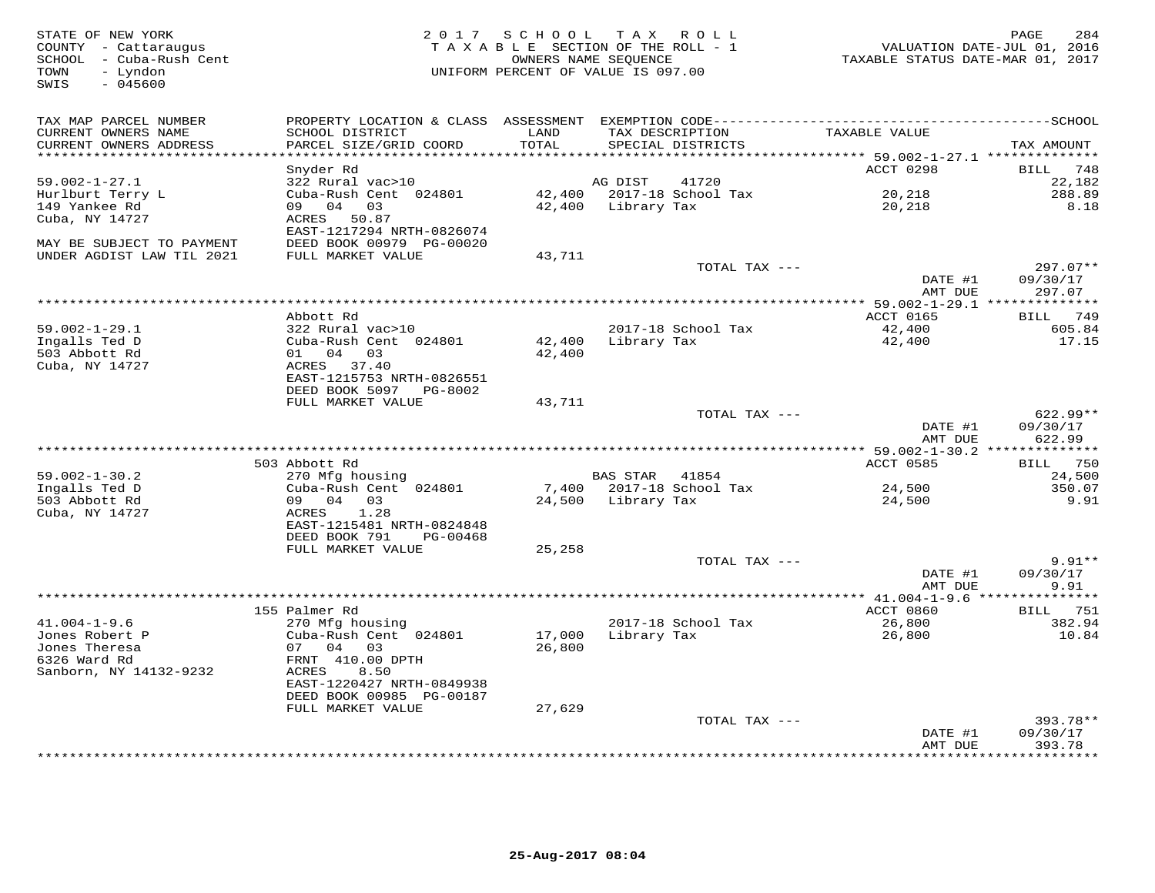| STATE OF NEW YORK<br>COUNTY - Cattaraugus<br>SCHOOL - Cuba-Rush Cent<br>TOWN<br>- Lyndon<br>$-045600$<br>SWIS |                                                       |                             | 2017 SCHOOL TAX ROLL<br>TAXABLE SECTION OF THE ROLL - 1<br>OWNERS NAME SEQUENCE<br>UNIFORM PERCENT OF VALUE IS 097.00 | VALUATION DATE-JUL 01, 2016<br>TAXABLE STATUS DATE-MAR 01, 2017 | 284<br>PAGE            |
|---------------------------------------------------------------------------------------------------------------|-------------------------------------------------------|-----------------------------|-----------------------------------------------------------------------------------------------------------------------|-----------------------------------------------------------------|------------------------|
| TAX MAP PARCEL NUMBER                                                                                         |                                                       |                             |                                                                                                                       |                                                                 |                        |
| CURRENT OWNERS NAME                                                                                           | SCHOOL DISTRICT                                       | LAND                        | TAX DESCRIPTION                                                                                                       | TAXABLE VALUE                                                   |                        |
| CURRENT OWNERS ADDRESS                                                                                        | PARCEL SIZE/GRID COORD                                | TOTAL<br>****************** | SPECIAL DISTRICTS                                                                                                     |                                                                 | TAX AMOUNT             |
|                                                                                                               | Snyder Rd                                             |                             |                                                                                                                       | ******* 59.002-1-27.1 **************<br>ACCT 0298               | BILL 748               |
| $59.002 - 1 - 27.1$                                                                                           | 322 Rural vac>10                                      |                             | AG DIST<br>41720                                                                                                      |                                                                 | 22,182                 |
| Hurlburt Terry L                                                                                              | Cuba-Rush Cent 024801                                 |                             | 42,400 2017-18 School Tax                                                                                             | 20,218                                                          | 288.89                 |
| 149 Yankee Rd                                                                                                 | 09 04 03                                              |                             | 42,400 Library Tax                                                                                                    | 20,218                                                          | 8.18                   |
| Cuba, NY 14727                                                                                                | ACRES 50.87                                           |                             |                                                                                                                       |                                                                 |                        |
|                                                                                                               | EAST-1217294 NRTH-0826074                             |                             |                                                                                                                       |                                                                 |                        |
| MAY BE SUBJECT TO PAYMENT                                                                                     | DEED BOOK 00979 PG-00020                              |                             |                                                                                                                       |                                                                 |                        |
| UNDER AGDIST LAW TIL 2021                                                                                     | FULL MARKET VALUE                                     | 43,711                      |                                                                                                                       |                                                                 |                        |
|                                                                                                               |                                                       |                             | TOTAL TAX ---                                                                                                         | DATE #1                                                         | $297.07**$<br>09/30/17 |
|                                                                                                               |                                                       |                             |                                                                                                                       | AMT DUE                                                         | 297.07                 |
|                                                                                                               |                                                       |                             |                                                                                                                       | *** 59.002-1-29.1 **************                                |                        |
|                                                                                                               | Abbott Rd                                             |                             |                                                                                                                       | ACCT 0165                                                       | BILL 749               |
| $59.002 - 1 - 29.1$                                                                                           | 322 Rural vac>10                                      |                             | 2017-18 School Tax                                                                                                    | 42,400                                                          | 605.84                 |
| Ingalls Ted D                                                                                                 | Cuba-Rush Cent 024801                                 | 42,400                      | Library Tax                                                                                                           | 42,400                                                          | 17.15                  |
| 503 Abbott Rd                                                                                                 | 01 04 03                                              | 42,400                      |                                                                                                                       |                                                                 |                        |
| Cuba, NY 14727                                                                                                | ACRES 37.40<br>EAST-1215753 NRTH-0826551              |                             |                                                                                                                       |                                                                 |                        |
|                                                                                                               | DEED BOOK 5097 PG-8002                                |                             |                                                                                                                       |                                                                 |                        |
|                                                                                                               | FULL MARKET VALUE                                     | 43,711                      |                                                                                                                       |                                                                 |                        |
|                                                                                                               |                                                       |                             | TOTAL TAX ---                                                                                                         |                                                                 | 622.99**               |
|                                                                                                               |                                                       |                             |                                                                                                                       | DATE #1                                                         | 09/30/17               |
|                                                                                                               |                                                       |                             |                                                                                                                       | AMT DUE                                                         | 622.99                 |
|                                                                                                               |                                                       |                             |                                                                                                                       |                                                                 |                        |
|                                                                                                               | 503 Abbott Rd                                         |                             | BAS STAR 41854                                                                                                        | ACCT 0585                                                       | BILL 750<br>24,500     |
| $59.002 - 1 - 30.2$<br>Ingalls Ted D                                                                          | 270 Mfg housing<br>Cuba-Rush Cent 024801              |                             | 7,400 2017-18 School Tax                                                                                              | 24,500                                                          | 350.07                 |
| 503 Abbott Rd                                                                                                 | 09 04 03                                              |                             | 24,500 Library Tax                                                                                                    | 24,500                                                          | 9.91                   |
| Cuba, NY 14727                                                                                                | 1.28<br>ACRES                                         |                             |                                                                                                                       |                                                                 |                        |
|                                                                                                               | EAST-1215481 NRTH-0824848                             |                             |                                                                                                                       |                                                                 |                        |
|                                                                                                               | DEED BOOK 791<br>PG-00468                             |                             |                                                                                                                       |                                                                 |                        |
|                                                                                                               | FULL MARKET VALUE                                     | 25,258                      |                                                                                                                       |                                                                 |                        |
|                                                                                                               |                                                       |                             | TOTAL TAX ---                                                                                                         |                                                                 | $9.91**$               |
|                                                                                                               |                                                       |                             |                                                                                                                       | DATE #1<br>AMT DUE                                              | 09/30/17<br>9.91       |
|                                                                                                               |                                                       |                             |                                                                                                                       |                                                                 |                        |
|                                                                                                               | 155 Palmer Rd                                         |                             |                                                                                                                       | ACCT 0860                                                       | BILL 751               |
| $41.004 - 1 - 9.6$                                                                                            | 270 Mfg housing                                       |                             | 2017-18 School Tax                                                                                                    | 26,800                                                          | 382.94                 |
| Jones Robert P                                                                                                | Cuba-Rush Cent 024801                                 | 17,000                      | Library Tax                                                                                                           | 26,800                                                          | 10.84                  |
| Jones Theresa                                                                                                 | 07 04 03                                              | 26,800                      |                                                                                                                       |                                                                 |                        |
| 6326 Ward Rd                                                                                                  | FRNT 410.00 DPTH                                      |                             |                                                                                                                       |                                                                 |                        |
| Sanborn, NY 14132-9232                                                                                        | ACRES<br>8.50                                         |                             |                                                                                                                       |                                                                 |                        |
|                                                                                                               | EAST-1220427 NRTH-0849938<br>DEED BOOK 00985 PG-00187 |                             |                                                                                                                       |                                                                 |                        |
|                                                                                                               | FULL MARKET VALUE                                     | 27,629                      |                                                                                                                       |                                                                 |                        |
|                                                                                                               |                                                       |                             | TOTAL TAX ---                                                                                                         |                                                                 | 393.78**               |
|                                                                                                               |                                                       |                             |                                                                                                                       | DATE #1                                                         | 09/30/17               |
|                                                                                                               |                                                       |                             |                                                                                                                       | AMT DUE                                                         | 393.78                 |
|                                                                                                               |                                                       |                             |                                                                                                                       |                                                                 | ********               |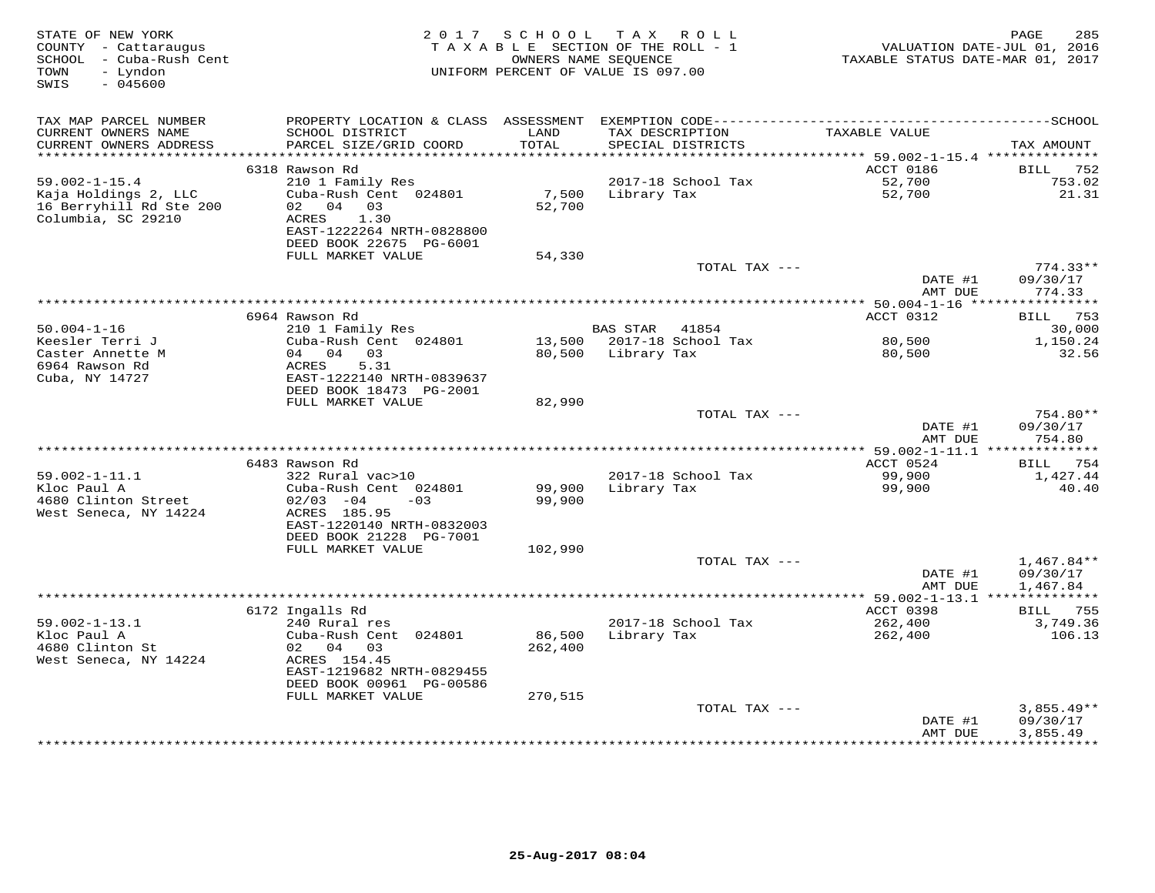| STATE OF NEW YORK<br>COUNTY - Cattaraugus<br>SCHOOL - Cuba-Rush Cent<br>- Lyndon<br>TOWN<br>SWIS<br>$-045600$ |                                                                                    |                 | 2017 SCHOOL TAX ROLL<br>TAXABLE SECTION OF THE ROLL - 1<br>OWNERS NAME SEQUENCE<br>UNIFORM PERCENT OF VALUE IS 097.00 | TAXABLE STATUS DATE-MAR 01, 2017 | 285<br>PAGE<br>VALUATION DATE-JUL 01, 2016 |
|---------------------------------------------------------------------------------------------------------------|------------------------------------------------------------------------------------|-----------------|-----------------------------------------------------------------------------------------------------------------------|----------------------------------|--------------------------------------------|
| TAX MAP PARCEL NUMBER                                                                                         |                                                                                    |                 |                                                                                                                       |                                  |                                            |
| CURRENT OWNERS NAME<br>CURRENT OWNERS ADDRESS                                                                 | SCHOOL DISTRICT<br>PARCEL SIZE/GRID COORD                                          | LAND<br>TOTAL   | TAX DESCRIPTION<br>SPECIAL DISTRICTS                                                                                  | TAXABLE VALUE                    | TAX AMOUNT                                 |
| ***********************                                                                                       | 6318 Rawson Rd                                                                     |                 |                                                                                                                       | ACCT 0186                        | BILL<br>752                                |
| $59.002 - 1 - 15.4$                                                                                           | 210 1 Family Res                                                                   |                 | 2017-18 School Tax                                                                                                    | 52,700                           | 753.02                                     |
| Kaja Holdings 2, LLC<br>16 Berryhill Rd Ste 200<br>Columbia, SC 29210                                         | Cuba-Rush Cent 024801<br>04 03<br>02<br>ACRES<br>1.30<br>EAST-1222264 NRTH-0828800 | 7,500<br>52,700 | Library Tax                                                                                                           | 52,700                           | 21.31                                      |
|                                                                                                               | DEED BOOK 22675 PG-6001                                                            |                 |                                                                                                                       |                                  |                                            |
|                                                                                                               | FULL MARKET VALUE                                                                  | 54,330          | TOTAL TAX ---                                                                                                         |                                  | $774.33**$                                 |
|                                                                                                               |                                                                                    |                 |                                                                                                                       | DATE #1<br>AMT DUE               | 09/30/17<br>774.33                         |
|                                                                                                               |                                                                                    |                 | *************************************                                                                                 | ** $50.004 - 1 - 16$ ****        | * * * * * * * * * *                        |
|                                                                                                               | 6964 Rawson Rd                                                                     |                 |                                                                                                                       | ACCT 0312                        | 753<br>BILL                                |
| $50.004 - 1 - 16$<br>Keesler Terri J                                                                          | 210 1 Family Res<br>Cuba-Rush Cent 024801                                          |                 | <b>BAS STAR</b><br>41854<br>13,500 2017-18 School Tax                                                                 | 80,500                           | 30,000<br>1,150.24                         |
| Caster Annette M                                                                                              | 04 04 03                                                                           | 80,500          | Library Tax                                                                                                           | 80,500                           | 32.56                                      |
| 6964 Rawson Rd<br>Cuba, NY 14727                                                                              | 5.31<br>ACRES<br>EAST-1222140 NRTH-0839637<br>DEED BOOK 18473 PG-2001              |                 |                                                                                                                       |                                  |                                            |
|                                                                                                               | FULL MARKET VALUE                                                                  | 82,990          |                                                                                                                       |                                  |                                            |
|                                                                                                               |                                                                                    |                 | TOTAL TAX ---                                                                                                         | DATE #1<br>AMT DUE               | 754.80**<br>09/30/17<br>754.80             |
|                                                                                                               |                                                                                    |                 |                                                                                                                       |                                  |                                            |
|                                                                                                               | 6483 Rawson Rd                                                                     |                 |                                                                                                                       | ACCT 0524                        | <b>BILL</b> 754                            |
| $59.002 - 1 - 11.1$                                                                                           | 322 Rural vac>10                                                                   |                 | 2017-18 School Tax                                                                                                    | 99,900                           | 1,427.44                                   |
| Kloc Paul A                                                                                                   | Cuba-Rush Cent 024801                                                              | 99,900          | Library Tax                                                                                                           | 99,900                           | 40.40                                      |
| 4680 Clinton Street<br>West Seneca, NY 14224                                                                  | $02/03 -04$<br>$-0.3$<br>ACRES 185.95<br>EAST-1220140 NRTH-0832003                 | 99,900          |                                                                                                                       |                                  |                                            |
|                                                                                                               | DEED BOOK 21228 PG-7001                                                            |                 |                                                                                                                       |                                  |                                            |
|                                                                                                               | FULL MARKET VALUE                                                                  | 102,990         |                                                                                                                       |                                  |                                            |
|                                                                                                               |                                                                                    |                 | TOTAL TAX ---                                                                                                         |                                  | $1,467.84**$                               |
|                                                                                                               |                                                                                    |                 |                                                                                                                       | DATE #1<br>AMT DUE               | 09/30/17<br>1,467.84                       |
|                                                                                                               |                                                                                    |                 |                                                                                                                       |                                  |                                            |
|                                                                                                               | 6172 Ingalls Rd                                                                    |                 |                                                                                                                       | ACCT 0398                        | BILL<br>755                                |
| $59.002 - 1 - 13.1$<br>Kloc Paul A                                                                            | 240 Rural res<br>Cuba-Rush Cent 024801                                             | 86,500          | 2017-18 School Tax<br>Library Tax                                                                                     | 262,400<br>262,400               | 3,749.36<br>106.13                         |
| 4680 Clinton St                                                                                               | 02 04 03                                                                           | 262,400         |                                                                                                                       |                                  |                                            |
| West Seneca, NY 14224                                                                                         | ACRES 154.45<br>EAST-1219682 NRTH-0829455                                          |                 |                                                                                                                       |                                  |                                            |
|                                                                                                               | DEED BOOK 00961 PG-00586<br>FULL MARKET VALUE                                      | 270,515         |                                                                                                                       |                                  |                                            |
|                                                                                                               |                                                                                    |                 | TOTAL TAX ---                                                                                                         |                                  | $3,855.49**$                               |
|                                                                                                               |                                                                                    |                 |                                                                                                                       | DATE #1<br>AMT DUE               | 09/30/17<br>3,855.49                       |
|                                                                                                               |                                                                                    |                 |                                                                                                                       | ***********                      | **********                                 |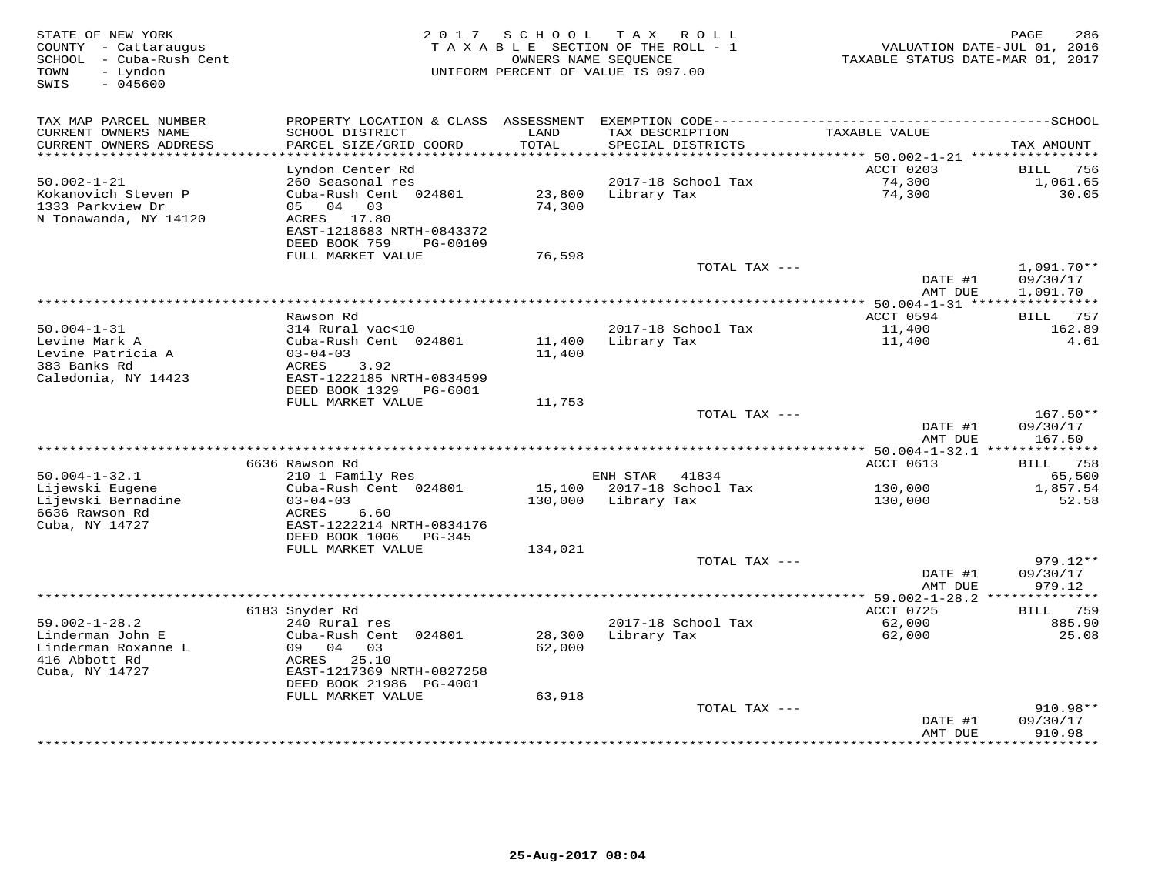| STATE OF NEW YORK<br>COUNTY - Cattaraugus<br>- Cuba-Rush Cent<br>SCHOOL<br>- Lyndon<br>TOWN<br>SWIS<br>$-045600$ | 2 0 1 7                                        | SCHOOL            | T A X<br>R O L L<br>T A X A B L E SECTION OF THE ROLL - 1<br>OWNERS NAME SEQUENCE<br>UNIFORM PERCENT OF VALUE IS 097.00 | TAXABLE STATUS DATE-MAR 01, 2017                   | PAGE<br>286<br>VALUATION DATE-JUL 01, 2016 |
|------------------------------------------------------------------------------------------------------------------|------------------------------------------------|-------------------|-------------------------------------------------------------------------------------------------------------------------|----------------------------------------------------|--------------------------------------------|
| TAX MAP PARCEL NUMBER                                                                                            | PROPERTY LOCATION & CLASS ASSESSMENT           |                   |                                                                                                                         |                                                    |                                            |
| CURRENT OWNERS NAME                                                                                              | SCHOOL DISTRICT                                | LAND              | TAX DESCRIPTION                                                                                                         | TAXABLE VALUE                                      |                                            |
| CURRENT OWNERS ADDRESS                                                                                           | PARCEL SIZE/GRID COORD                         | TOTAL             | SPECIAL DISTRICTS                                                                                                       |                                                    | TAX AMOUNT                                 |
| *******************                                                                                              |                                                | ******            |                                                                                                                         | *************************** 50.002-1-21 ********** |                                            |
|                                                                                                                  | Lyndon Center Rd                               |                   |                                                                                                                         | <b>ACCT 0203</b>                                   | 756<br><b>BILL</b>                         |
| $50.002 - 1 - 21$<br>Kokanovich Steven P                                                                         | 260 Seasonal res<br>Cuba-Rush Cent 024801      | 23,800            | 2017-18 School Tax                                                                                                      | 74,300<br>74,300                                   | 1,061.65<br>30.05                          |
| 1333 Parkview Dr                                                                                                 | 04<br>03<br>05                                 | 74,300            | Library Tax                                                                                                             |                                                    |                                            |
| N Tonawanda, NY 14120                                                                                            | ACRES<br>17.80                                 |                   |                                                                                                                         |                                                    |                                            |
|                                                                                                                  | EAST-1218683 NRTH-0843372                      |                   |                                                                                                                         |                                                    |                                            |
|                                                                                                                  | DEED BOOK 759<br>PG-00109                      |                   |                                                                                                                         |                                                    |                                            |
|                                                                                                                  | FULL MARKET VALUE                              | 76,598            |                                                                                                                         |                                                    |                                            |
|                                                                                                                  |                                                |                   | TOTAL TAX ---                                                                                                           |                                                    | 1,091.70**                                 |
|                                                                                                                  |                                                |                   |                                                                                                                         | DATE #1                                            | 09/30/17                                   |
|                                                                                                                  |                                                |                   | ***********                                                                                                             | AMT DUE<br>$* 50.004 - 1 - 31$ ***                 | 1,091.70                                   |
|                                                                                                                  | Rawson Rd                                      |                   |                                                                                                                         | ACCT 0594                                          | 757<br>BILL                                |
| $50.004 - 1 - 31$                                                                                                | 314 Rural vac<10                               |                   | 2017-18 School Tax                                                                                                      | 11,400                                             | 162.89                                     |
| Levine Mark A                                                                                                    | Cuba-Rush Cent 024801                          | 11,400            | Library Tax                                                                                                             | 11,400                                             | 4.61                                       |
| Levine Patricia A                                                                                                | $03 - 04 - 03$                                 | 11,400            |                                                                                                                         |                                                    |                                            |
| 383 Banks Rd                                                                                                     | ACRES<br>3.92                                  |                   |                                                                                                                         |                                                    |                                            |
| Caledonia, NY 14423                                                                                              | EAST-1222185 NRTH-0834599                      |                   |                                                                                                                         |                                                    |                                            |
|                                                                                                                  | DEED BOOK 1329<br>PG-6001<br>FULL MARKET VALUE | 11,753            |                                                                                                                         |                                                    |                                            |
|                                                                                                                  |                                                |                   | TOTAL TAX ---                                                                                                           |                                                    | 167.50**                                   |
|                                                                                                                  |                                                |                   |                                                                                                                         | DATE #1                                            | 09/30/17                                   |
|                                                                                                                  |                                                |                   |                                                                                                                         | AMT DUE                                            | 167.50                                     |
|                                                                                                                  |                                                |                   |                                                                                                                         |                                                    | **************                             |
|                                                                                                                  | 6636 Rawson Rd                                 |                   |                                                                                                                         | ACCT 0613                                          | 758<br>BILL                                |
| $50.004 - 1 - 32.1$                                                                                              | 210 1 Family Res                               |                   | ENH STAR<br>41834                                                                                                       |                                                    | 65,500                                     |
| Lijewski Eugene<br>Lijewski Bernadine                                                                            | Cuba-Rush Cent 024801<br>$03 - 04 - 03$        | 15,100<br>130,000 | 2017-18 School Tax<br>Library Tax                                                                                       | 130,000<br>130,000                                 | 1,857.54<br>52.58                          |
| 6636 Rawson Rd                                                                                                   | <b>ACRES</b><br>6.60                           |                   |                                                                                                                         |                                                    |                                            |
| Cuba, NY 14727                                                                                                   | EAST-1222214 NRTH-0834176                      |                   |                                                                                                                         |                                                    |                                            |
|                                                                                                                  | DEED BOOK 1006<br>PG-345                       |                   |                                                                                                                         |                                                    |                                            |
|                                                                                                                  | FULL MARKET VALUE                              | 134,021           |                                                                                                                         |                                                    |                                            |
|                                                                                                                  |                                                |                   | TOTAL TAX ---                                                                                                           |                                                    | 979.12**                                   |
|                                                                                                                  |                                                |                   |                                                                                                                         | DATE #1                                            | 09/30/17                                   |
|                                                                                                                  |                                                |                   |                                                                                                                         | AMT DUE<br>************ 59.002-1-28.2 ***          | 979.12<br>*******                          |
|                                                                                                                  | 6183 Snyder Rd                                 |                   |                                                                                                                         | ACCT 0725                                          | BILL<br>759                                |
| $59.002 - 1 - 28.2$                                                                                              | 240 Rural res                                  |                   | 2017-18 School Tax                                                                                                      | 62,000                                             | 885.90                                     |
| Linderman John E                                                                                                 | Cuba-Rush Cent 024801                          | 28,300            | Library Tax                                                                                                             | 62,000                                             | 25.08                                      |
| Linderman Roxanne L                                                                                              | 09<br>04<br>03                                 | 62,000            |                                                                                                                         |                                                    |                                            |
| 416 Abbott Rd                                                                                                    | ACRES<br>25.10                                 |                   |                                                                                                                         |                                                    |                                            |
| Cuba, NY 14727                                                                                                   | EAST-1217369 NRTH-0827258                      |                   |                                                                                                                         |                                                    |                                            |
|                                                                                                                  | DEED BOOK 21986 PG-4001                        |                   |                                                                                                                         |                                                    |                                            |
|                                                                                                                  | FULL MARKET VALUE                              | 63,918            | TOTAL TAX ---                                                                                                           |                                                    | 910.98**                                   |
|                                                                                                                  |                                                |                   |                                                                                                                         | DATE #1                                            | 09/30/17                                   |
|                                                                                                                  |                                                |                   |                                                                                                                         | AMT DUE                                            | 910.98                                     |
|                                                                                                                  |                                                |                   |                                                                                                                         |                                                    | .                                          |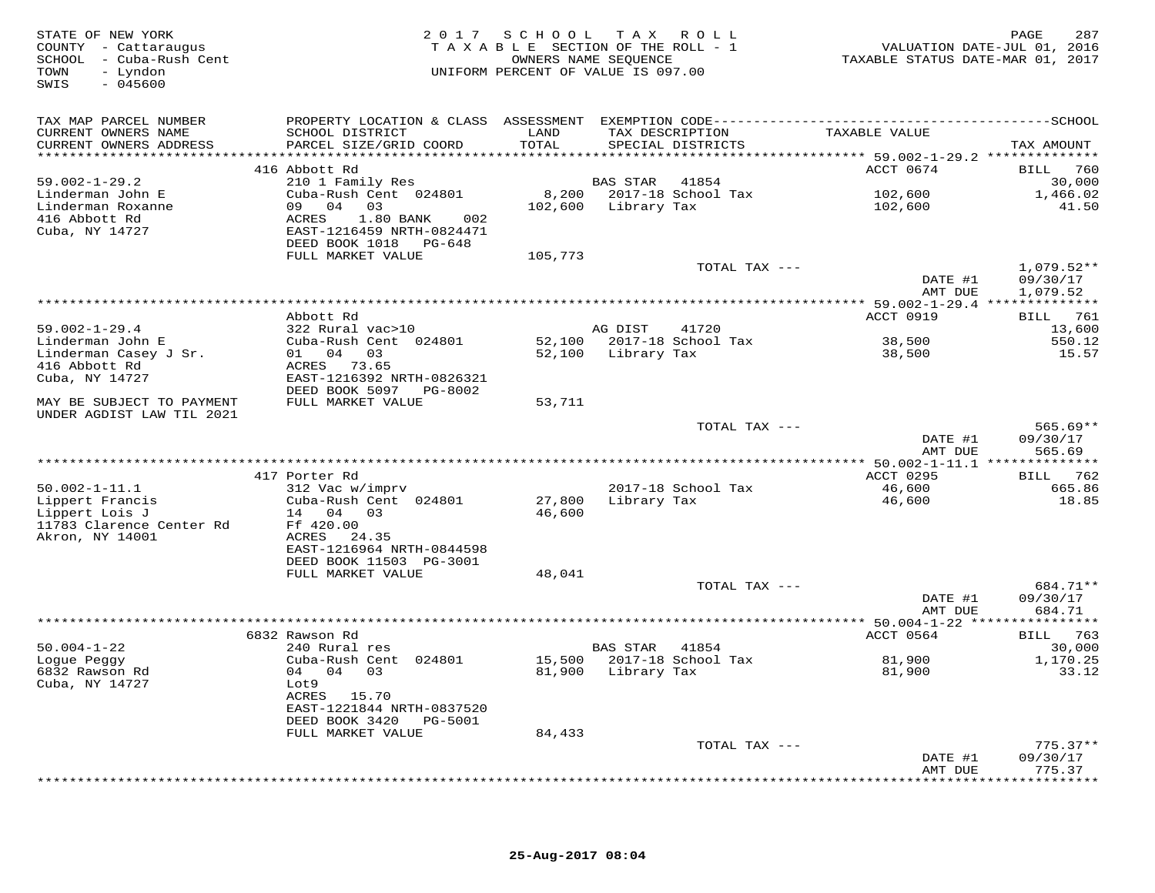| STATE OF NEW YORK<br>COUNTY - Cattaraugus<br>SCHOOL - Cuba-Rush Cent<br>- Lyndon<br>TOWN<br>$-045600$<br>SWIS |                                           | 2017 SCHOOL   | TAX ROLL<br>TAXABLE SECTION OF THE ROLL - 1<br>OWNERS NAME SEQUENCE<br>UNIFORM PERCENT OF VALUE IS 097.00 | TAXABLE STATUS DATE-MAR 01, 2017    | PAGE<br>287<br>VALUATION DATE-JUL 01, 2016 |
|---------------------------------------------------------------------------------------------------------------|-------------------------------------------|---------------|-----------------------------------------------------------------------------------------------------------|-------------------------------------|--------------------------------------------|
| TAX MAP PARCEL NUMBER                                                                                         |                                           |               |                                                                                                           |                                     |                                            |
| CURRENT OWNERS NAME<br>CURRENT OWNERS ADDRESS                                                                 | SCHOOL DISTRICT<br>PARCEL SIZE/GRID COORD | LAND<br>TOTAL | TAX DESCRIPTION<br>SPECIAL DISTRICTS                                                                      | TAXABLE VALUE                       | TAX AMOUNT                                 |
| ***********************                                                                                       |                                           |               |                                                                                                           |                                     |                                            |
| $59.002 - 1 - 29.2$                                                                                           | 416 Abbott Rd<br>210 1 Family Res         |               | BAS STAR<br>41854                                                                                         | ACCT 0674                           | 760<br>BILL<br>30,000                      |
| Linderman John E                                                                                              | Cuba-Rush Cent 024801                     |               | 8,200 2017-18 School Tax                                                                                  | 102,600                             | 1,466.02                                   |
| Linderman Roxanne                                                                                             | 09 04 03                                  |               | 102,600 Library Tax                                                                                       | 102,600                             | 41.50                                      |
| 416 Abbott Rd                                                                                                 | 0 <sub>0.2</sub><br>ACRES<br>1.80 BANK    |               |                                                                                                           |                                     |                                            |
| Cuba, NY 14727                                                                                                | EAST-1216459 NRTH-0824471                 |               |                                                                                                           |                                     |                                            |
|                                                                                                               | DEED BOOK 1018<br>PG-648                  |               |                                                                                                           |                                     |                                            |
|                                                                                                               | FULL MARKET VALUE                         | 105,773       |                                                                                                           |                                     |                                            |
|                                                                                                               |                                           |               | TOTAL TAX ---                                                                                             |                                     | $1,079.52**$                               |
|                                                                                                               |                                           |               |                                                                                                           | DATE #1                             | 09/30/17                                   |
|                                                                                                               |                                           |               |                                                                                                           | AMT DUE                             | 1,079.52                                   |
|                                                                                                               |                                           |               |                                                                                                           |                                     |                                            |
| $59.002 - 1 - 29.4$                                                                                           | Abbott Rd<br>322 Rural vac>10             |               |                                                                                                           | ACCT 0919                           | BILL 761                                   |
| Linderman John E                                                                                              | Cuba-Rush Cent 024801                     |               | AG DIST<br>41720<br>52,100 2017-18 School Tax                                                             | 38,500                              | 13,600<br>550.12                           |
| Linderman Casey J Sr.                                                                                         | 04 03<br>01                               |               | 52,100 Library Tax                                                                                        | 38,500                              | 15.57                                      |
| 416 Abbott Rd                                                                                                 | ACRES<br>73.65                            |               |                                                                                                           |                                     |                                            |
| Cuba, NY 14727                                                                                                | EAST-1216392 NRTH-0826321                 |               |                                                                                                           |                                     |                                            |
|                                                                                                               | DEED BOOK 5097 PG-8002                    |               |                                                                                                           |                                     |                                            |
| MAY BE SUBJECT TO PAYMENT                                                                                     | FULL MARKET VALUE                         | 53,711        |                                                                                                           |                                     |                                            |
| UNDER AGDIST LAW TIL 2021                                                                                     |                                           |               |                                                                                                           |                                     |                                            |
|                                                                                                               |                                           |               | TOTAL TAX ---                                                                                             |                                     | $565.69**$                                 |
|                                                                                                               |                                           |               |                                                                                                           | DATE #1                             | 09/30/17                                   |
|                                                                                                               |                                           |               |                                                                                                           | AMT DUE<br>********** 50.002-1-11.1 | 565.69<br>* * * * * * * * * * *            |
|                                                                                                               | 417 Porter Rd                             |               |                                                                                                           | <b>ACCT 0295</b>                    | <b>BILL</b><br>762                         |
| $50.002 - 1 - 11.1$                                                                                           | 312 Vac w/imprv                           |               | 2017-18 School Tax                                                                                        | 46,600                              | 665.86                                     |
| Lippert Francis                                                                                               | Cuba-Rush Cent 024801                     | 27,800        | Library Tax                                                                                               | 46,600                              | 18.85                                      |
| Lippert Lois J                                                                                                | 14 04 03                                  | 46,600        |                                                                                                           |                                     |                                            |
| 11783 Clarence Center Rd                                                                                      | Ff 420.00                                 |               |                                                                                                           |                                     |                                            |
| Akron, NY 14001                                                                                               | ACRES 24.35                               |               |                                                                                                           |                                     |                                            |
|                                                                                                               | EAST-1216964 NRTH-0844598                 |               |                                                                                                           |                                     |                                            |
|                                                                                                               | DEED BOOK 11503 PG-3001                   |               |                                                                                                           |                                     |                                            |
|                                                                                                               | FULL MARKET VALUE                         | 48,041        |                                                                                                           |                                     |                                            |
|                                                                                                               |                                           |               | TOTAL TAX ---                                                                                             |                                     | 684.71**                                   |
|                                                                                                               |                                           |               |                                                                                                           | DATE #1                             | 09/30/17                                   |
|                                                                                                               |                                           |               |                                                                                                           | AMT DUE                             | 684.71                                     |
|                                                                                                               | 6832 Rawson Rd                            |               |                                                                                                           | ACCT 0564                           | BILL 763                                   |
| $50.004 - 1 - 22$                                                                                             | 240 Rural res                             |               | <b>BAS STAR</b><br>41854                                                                                  |                                     | 30,000                                     |
| Logue Peggy                                                                                                   | Cuba-Rush Cent 024801                     |               | 15,500 2017-18 School Tax                                                                                 | 81,900                              | 1,170.25                                   |
| 6832 Rawson Rd                                                                                                | 04 04 03                                  |               | 81,900 Library Tax                                                                                        | 81,900                              | 33.12                                      |
| Cuba, NY 14727                                                                                                | Lot9                                      |               |                                                                                                           |                                     |                                            |
|                                                                                                               | ACRES 15.70                               |               |                                                                                                           |                                     |                                            |
|                                                                                                               | EAST-1221844 NRTH-0837520                 |               |                                                                                                           |                                     |                                            |
|                                                                                                               | DEED BOOK 3420<br>PG-5001                 |               |                                                                                                           |                                     |                                            |
|                                                                                                               | FULL MARKET VALUE                         | 84,433        |                                                                                                           |                                     |                                            |
|                                                                                                               |                                           |               | TOTAL TAX ---                                                                                             |                                     | $775.37**$                                 |
|                                                                                                               |                                           |               |                                                                                                           | DATE #1<br>AMT DUE                  | 09/30/17<br>775.37                         |
|                                                                                                               |                                           |               |                                                                                                           |                                     | * * * * * * * * *                          |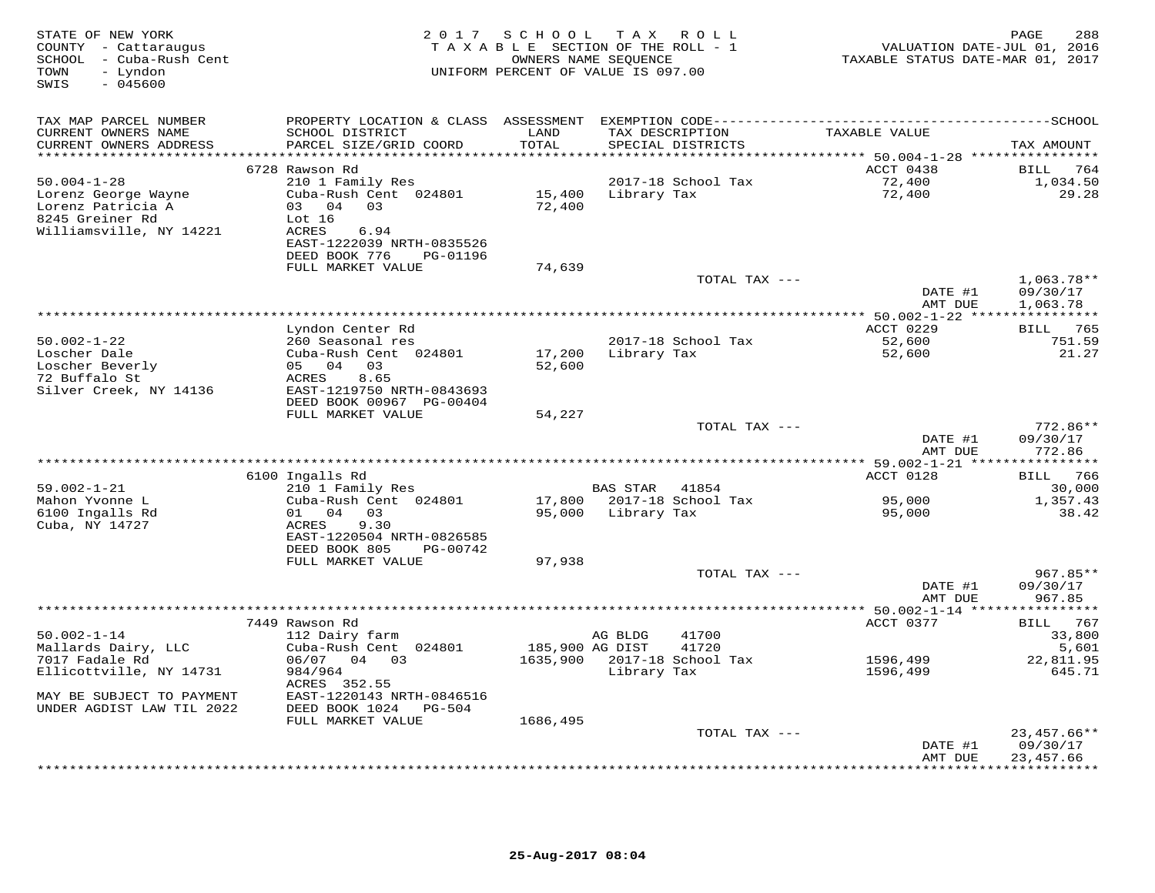| STATE OF NEW YORK<br>COUNTY - Cattaraugus<br>SCHOOL - Cuba-Rush Cent<br>- Lyndon<br>TOWN<br>$-045600$<br>SWIS |                                                                                                                  |                              | 2017 SCHOOL TAX ROLL<br>TAXABLE SECTION OF THE ROLL - 1<br>OWNERS NAME SEQUENCE<br>UNIFORM PERCENT OF VALUE IS 097.00 | VALUATION DATE-JUL 01, 2016<br>TAXABLE STATUS DATE-MAR 01, 2017         | PAGE<br>288                    |
|---------------------------------------------------------------------------------------------------------------|------------------------------------------------------------------------------------------------------------------|------------------------------|-----------------------------------------------------------------------------------------------------------------------|-------------------------------------------------------------------------|--------------------------------|
| TAX MAP PARCEL NUMBER<br>CURRENT OWNERS NAME                                                                  | SCHOOL DISTRICT                                                                                                  | LAND                         | TAX DESCRIPTION                                                                                                       | TAXABLE VALUE                                                           |                                |
| CURRENT OWNERS ADDRESS<br>***********************                                                             | PARCEL SIZE/GRID COORD<br>********************************                                                       | TOTAL<br>******************* | SPECIAL DISTRICTS                                                                                                     |                                                                         | TAX AMOUNT                     |
|                                                                                                               | 6728 Rawson Rd                                                                                                   |                              |                                                                                                                       | ***************************** 50.004-1-28 ****************<br>ACCT 0438 | BILL 764                       |
| $50.004 - 1 - 28$<br>Lorenz George Wayne<br>Lorenz Patricia A<br>8245 Greiner Rd<br>Williamsville, NY 14221   | 210 1 Family Res<br>Cuba-Rush Cent 024801<br>03 04<br>03<br>Lot 16<br>6.94<br>ACRES<br>EAST-1222039 NRTH-0835526 | 15,400<br>72,400             | 2017-18 School Tax<br>Library Tax                                                                                     | 72,400<br>72,400                                                        | 1,034.50<br>29.28              |
|                                                                                                               | DEED BOOK 776<br>PG-01196<br>FULL MARKET VALUE                                                                   | 74,639                       |                                                                                                                       |                                                                         |                                |
|                                                                                                               |                                                                                                                  |                              | TOTAL TAX ---                                                                                                         | DATE #1                                                                 | $1,063.78**$<br>09/30/17       |
|                                                                                                               |                                                                                                                  |                              |                                                                                                                       | AMT DUE                                                                 | 1,063.78                       |
|                                                                                                               |                                                                                                                  |                              | ******************************                                                                                        | ************** 50.002-1-22 *****************                            |                                |
| $50.002 - 1 - 22$                                                                                             | Lyndon Center Rd<br>260 Seasonal res                                                                             |                              | 2017-18 School Tax                                                                                                    | ACCT 0229<br>52,600                                                     | BILL 765<br>751.59             |
| Loscher Dale<br>Loscher Beverly<br>72 Buffalo St<br>Silver Creek, NY 14136                                    | Cuba-Rush Cent 024801<br>05 04 03<br>8.65<br>ACRES<br>EAST-1219750 NRTH-0843693                                  | 17,200<br>52,600             | Library Tax                                                                                                           | 52,600                                                                  | 21.27                          |
|                                                                                                               | DEED BOOK 00967 PG-00404<br>FULL MARKET VALUE                                                                    | 54,227                       |                                                                                                                       |                                                                         |                                |
|                                                                                                               |                                                                                                                  |                              | TOTAL TAX ---                                                                                                         | DATE #1                                                                 | $772.86**$                     |
|                                                                                                               |                                                                                                                  |                              |                                                                                                                       | AMT DUE                                                                 | 09/30/17<br>772.86             |
|                                                                                                               | 6100 Ingalls Rd                                                                                                  |                              |                                                                                                                       | ACCT 0128                                                               | BILL 766                       |
| $59.002 - 1 - 21$                                                                                             | 210 1 Family Res                                                                                                 |                              | BAS STAR 41854                                                                                                        |                                                                         | 30,000                         |
| Mahon Yvonne L<br>6100 Ingalls Rd                                                                             | Cuba-Rush Cent 024801<br>$01 \t 04 \t 03$                                                                        | 17,800<br>95,000             | 2017-18 School Tax<br>Library Tax                                                                                     | 95,000<br>95,000                                                        | 1,357.43<br>38.42              |
| Cuba, NY 14727                                                                                                | 9.30<br>ACRES<br>EAST-1220504 NRTH-0826585<br>DEED BOOK 805<br>PG-00742                                          |                              |                                                                                                                       |                                                                         |                                |
|                                                                                                               | FULL MARKET VALUE                                                                                                | 97,938                       |                                                                                                                       |                                                                         |                                |
|                                                                                                               |                                                                                                                  |                              | TOTAL TAX ---                                                                                                         | DATE #1<br>AMT DUE                                                      | 967.85**<br>09/30/17<br>967.85 |
|                                                                                                               |                                                                                                                  |                              |                                                                                                                       |                                                                         | * * * * * * * * * * *          |
| $50.002 - 1 - 14$                                                                                             | 7449 Rawson Rd<br>112 Dairy farm                                                                                 |                              | AG BLDG<br>41700                                                                                                      | ACCT 0377                                                               | BILL 767<br>33,800             |
| Mallards Dairy, LLC<br>7017 Fadale Rd<br>Ellicottville, NY 14731                                              | Cuba-Rush Cent 024801<br>06/07 04 03<br>984/964                                                                  | 185,900 AG DIST              | 41720<br>1635,900 2017-18 School Tax<br>Library Tax                                                                   | 1596,499<br>1596,499                                                    | 5,601<br>22,811.95<br>645.71   |
| MAY BE SUBJECT TO PAYMENT<br>UNDER AGDIST LAW TIL 2022                                                        | ACRES 352.55<br>EAST-1220143 NRTH-0846516<br>DEED BOOK 1024<br>PG-504                                            |                              |                                                                                                                       |                                                                         |                                |
|                                                                                                               | FULL MARKET VALUE                                                                                                | 1686,495                     |                                                                                                                       |                                                                         |                                |
|                                                                                                               |                                                                                                                  |                              | TOTAL TAX ---                                                                                                         | DATE #1                                                                 | $23,457.66**$<br>09/30/17      |
|                                                                                                               |                                                                                                                  |                              |                                                                                                                       | AMT DUE<br>**************************                                   | 23,457.66                      |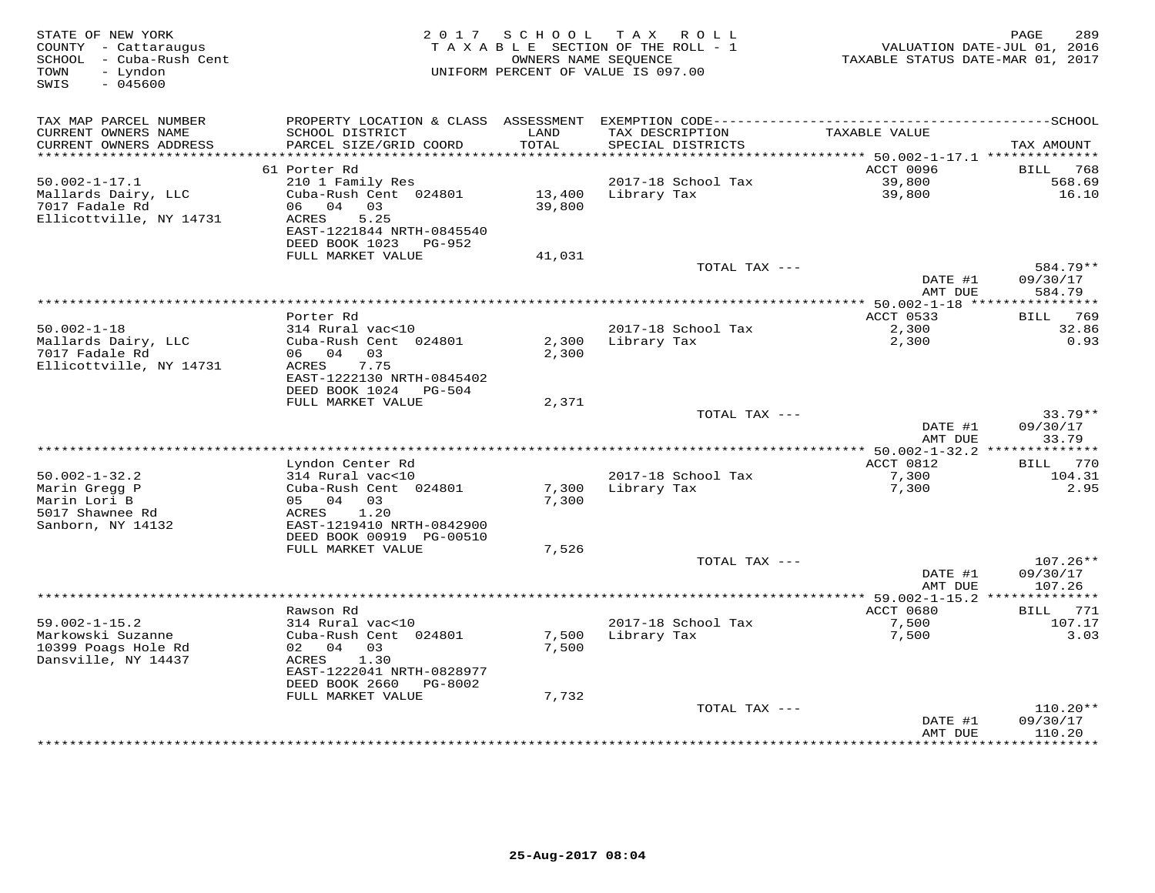| STATE OF NEW YORK<br>COUNTY - Cattaraugus<br>SCHOOL - Cuba-Rush Cent<br>- Lyndon<br>TOWN<br>$-045600$<br>SWIS | 2017 SCHOOL<br>TAXABLE SECTION OF THE ROLL - 1<br>UNIFORM PERCENT OF VALUE IS 097.00                           | 289<br>PAGE<br>VALUATION DATE-JUL 01, 2016<br>TAXABLE STATUS DATE-MAR 01, 2017 |                                      |                                              |                                  |
|---------------------------------------------------------------------------------------------------------------|----------------------------------------------------------------------------------------------------------------|--------------------------------------------------------------------------------|--------------------------------------|----------------------------------------------|----------------------------------|
| TAX MAP PARCEL NUMBER                                                                                         |                                                                                                                |                                                                                |                                      |                                              |                                  |
| CURRENT OWNERS NAME<br>CURRENT OWNERS ADDRESS<br>**********************                                       | SCHOOL DISTRICT<br>PARCEL SIZE/GRID COORD                                                                      | LAND<br>TOTAL                                                                  | TAX DESCRIPTION<br>SPECIAL DISTRICTS | TAXABLE VALUE                                | TAX AMOUNT                       |
|                                                                                                               | 61 Porter Rd                                                                                                   |                                                                                |                                      | ACCT 0096                                    | 768<br>BILL                      |
| $50.002 - 1 - 17.1$                                                                                           | 210 1 Family Res                                                                                               |                                                                                | 2017-18 School Tax                   | 39,800                                       | 568.69                           |
| Mallards Dairy, LLC<br>7017 Fadale Rd<br>Ellicottville, NY 14731                                              | Cuba-Rush Cent 024801<br>04 03<br>06<br>ACRES<br>5.25<br>EAST-1221844 NRTH-0845540<br>DEED BOOK 1023<br>PG-952 | 13,400<br>39,800                                                               | Library Tax                          | 39,800                                       | 16.10                            |
|                                                                                                               | FULL MARKET VALUE                                                                                              | 41,031                                                                         |                                      |                                              |                                  |
|                                                                                                               |                                                                                                                |                                                                                | TOTAL TAX ---                        |                                              | 584.79**                         |
|                                                                                                               |                                                                                                                |                                                                                |                                      | DATE #1<br>AMT DUE                           | 09/30/17<br>584.79               |
|                                                                                                               |                                                                                                                |                                                                                | ***********                          | ** 50.002-1-18 **<br>ACCT 0533               | *********                        |
| $50.002 - 1 - 18$                                                                                             | Porter Rd<br>314 Rural vac<10                                                                                  |                                                                                | 2017-18 School Tax                   | 2,300                                        | BILL 769<br>32.86                |
| Mallards Dairy, LLC<br>7017 Fadale Rd<br>Ellicottville, NY 14731                                              | Cuba-Rush Cent 024801<br>06 04<br>0.3<br>7.75<br>ACRES<br>EAST-1222130 NRTH-0845402                            | 2,300<br>2,300                                                                 | Library Tax                          | 2,300                                        | 0.93                             |
|                                                                                                               | DEED BOOK 1024<br>PG-504<br>FULL MARKET VALUE                                                                  | 2,371                                                                          |                                      |                                              |                                  |
|                                                                                                               |                                                                                                                |                                                                                | TOTAL TAX ---                        |                                              | $33.79**$                        |
|                                                                                                               |                                                                                                                |                                                                                |                                      | DATE #1<br>AMT DUE                           | 09/30/17<br>33.79                |
|                                                                                                               |                                                                                                                |                                                                                |                                      | *** 50.002-1-32.2 **************             |                                  |
| $50.002 - 1 - 32.2$                                                                                           | Lyndon Center Rd<br>314 Rural vac<10                                                                           |                                                                                | 2017-18 School Tax                   | ACCT 0812<br>7,300                           | 770<br>BILL<br>104.31            |
| Marin Gregg P                                                                                                 | Cuba-Rush Cent 024801                                                                                          | 7,300                                                                          | Library Tax                          | 7,300                                        | 2.95                             |
| Marin Lori B<br>5017 Shawnee Rd<br>Sanborn, NY 14132                                                          | 05 04 03<br>1.20<br>ACRES<br>EAST-1219410 NRTH-0842900<br>DEED BOOK 00919 PG-00510                             | 7,300                                                                          |                                      |                                              |                                  |
|                                                                                                               | FULL MARKET VALUE                                                                                              | 7,526                                                                          |                                      |                                              |                                  |
|                                                                                                               |                                                                                                                |                                                                                | TOTAL TAX ---                        | DATE #1<br>AMT DUE                           | $107.26**$<br>09/30/17<br>107.26 |
|                                                                                                               | Rawson Rd                                                                                                      |                                                                                |                                      | ********** 59.002-1-15.2 ******<br>ACCT 0680 | *******<br>771<br>BILL           |
| $59.002 - 1 - 15.2$                                                                                           | 314 Rural vac<10                                                                                               |                                                                                | 2017-18 School Tax                   | 7,500                                        | 107.17                           |
| Markowski Suzanne<br>10399 Poags Hole Rd                                                                      | Cuba-Rush Cent 024801<br>02 04<br>03                                                                           | 7,500<br>7,500                                                                 | Library Tax                          | 7,500                                        | 3.03                             |
| Dansville, NY 14437                                                                                           | ACRES<br>1.30<br>EAST-1222041 NRTH-0828977<br>DEED BOOK 2660<br>PG-8002                                        |                                                                                |                                      |                                              |                                  |
|                                                                                                               | FULL MARKET VALUE                                                                                              | 7,732                                                                          |                                      |                                              |                                  |
|                                                                                                               |                                                                                                                |                                                                                | TOTAL TAX ---                        | DATE #1                                      | $110.20**$<br>09/30/17           |
|                                                                                                               |                                                                                                                |                                                                                |                                      | AMT DUE                                      | 110.20<br>* * * * * * * *        |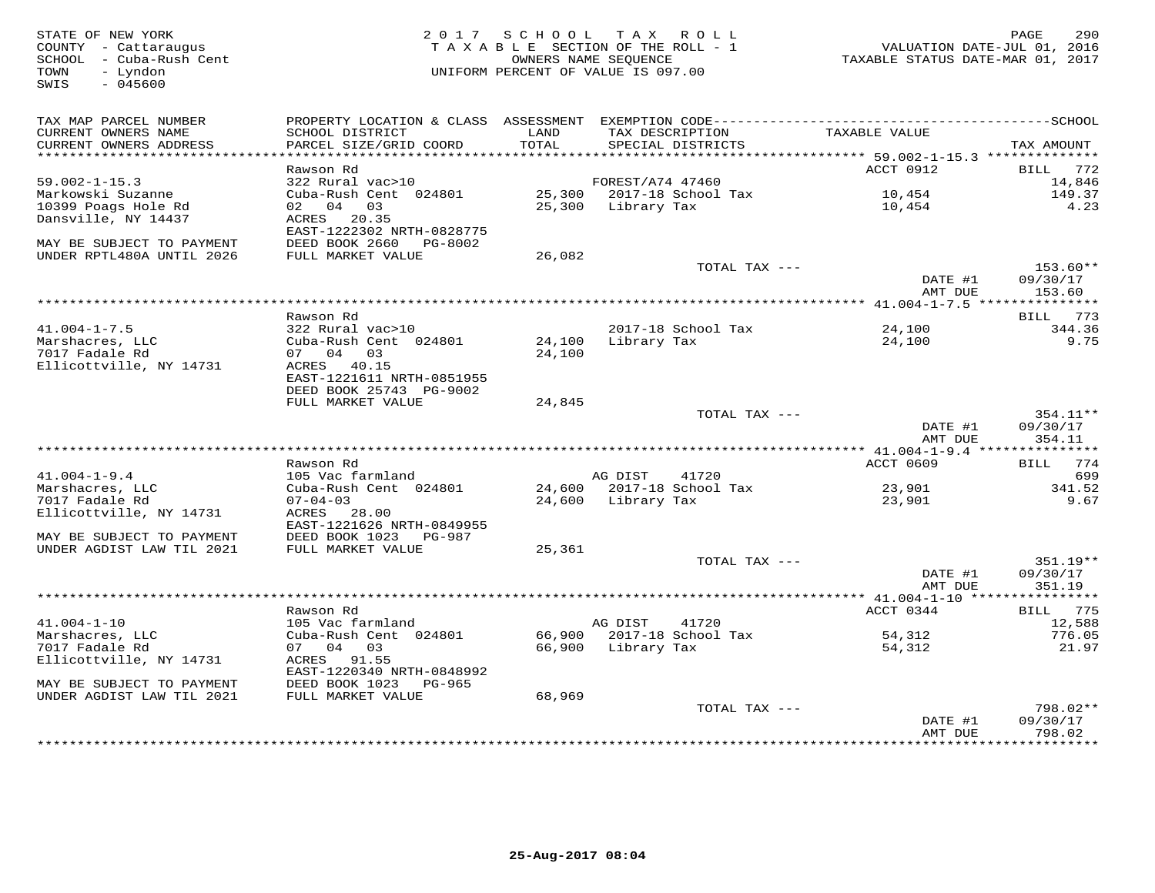STATE OF NEW YORK MEST ARGE 290<br>COUNTY - Cattaraugus Macket COUNTY - Cattaraugus (COUNTY - Cattaraugus and the Same of Taxable Taxable Taxable<br>SCHOOL - Cuba-Rush Cent (2016) (Taxable ownERS NAME SEQUENCE PARABLE STATUS DAT  $SWIS = 045600$ TAX MAP PARCEL NUMBER PROPERTY LOCATION & CLASS ASSESSMENT EXEMPTION CODE------------------------------------------SCHOOL CURRENT OWNERS NAME SCHOOL DISTRICT LAND TAX DESCRIPTION TAXABLE VALUE CURRENT OWNERS ADDRESS PARCEL SIZE/GRID COORD TOTAL SPECIAL DISTRICTS TAX AMOUNT \*\*\*\*\*\*\*\*\*\*\*\*\*\*\*\*\*\*\*\*\*\*\*\*\*\*\*\*\*\*\*\*\*\*\*\*\*\*\*\*\*\*\*\*\*\*\*\*\*\*\*\*\*\*\*\*\*\*\*\*\*\*\*\*\*\*\*\*\*\*\*\*\*\*\*\*\*\*\*\*\*\*\*\*\*\*\*\*\*\*\*\*\*\*\*\*\*\*\*\*\*\*\* 59.002-1-15.3 \*\*\*\*\*\*\*\*\*\*\*\*\*\*ACCT 0912 BILL 772 Rawson Rd ACCT 0912 BILL 77214,846 59.002-1-15.3 322 Rural vac>10 FOREST/A74 47460 14,846149.37 Markowski Suzanne Cuba-Rush Cent 024801 25,300 2017-18 School Tax 10,454 149.37 $4.23$ 10399 Poags Hole Rd 02 04 03 25,300 Library Tax 10,454 4.23Dansville, NY 14437 ACRES 20.35 EAST-1222302 NRTH-0828775 MAY BE SUBJECT TO PAYMENT DEED BOOK 2660 PG-8002 UNDER RPTL480A UNTIL 2026 FULL MARKET VALUE 26,082 TOTAL TAX --- 153.60\*\* DATE #1 09/30/17 AMT DUE 153.60 \*\*\*\*\*\*\*\*\*\*\*\*\*\*\*\*\*\*\*\*\*\*\*\*\*\*\*\*\*\*\*\*\*\*\*\*\*\*\*\*\*\*\*\*\*\*\*\*\*\*\*\*\*\*\*\*\*\*\*\*\*\*\*\*\*\*\*\*\*\*\*\*\*\*\*\*\*\*\*\*\*\*\*\*\*\*\*\*\*\*\*\*\*\*\*\*\*\*\*\*\*\*\* 41.004-1-7.5 \*\*\*\*\*\*\*\*\*\*\*\*\*\*\***BILL** 773 Rawson Rd BILL 773344.36 41.004-1-7.5 322 Rural vac>10 2017-18 School Tax 24,100 344.369.75 Marshacres, LLC Cuba-Rush Cent 024801 24,100 Library Tax 24,100 9.757017 Fadale Rd 07 04 03 24,100 Ellicottville, NY 14731 ACRES 40.15 EAST-1221611 NRTH-0851955 DEED BOOK 25743 PG-9002 FULL MARKET VALUE 24,845TOTAL TAX --- 354.11\*\* DATE #1 09/30/17<br>2010 - 254, 11 AMT DUE 354.11 \*\*\*\*\*\*\*\*\*\*\*\*\*\*\*\*\*\*\*\*\*\*\*\*\*\*\*\*\*\*\*\*\*\*\*\*\*\*\*\*\*\*\*\*\*\*\*\*\*\*\*\*\*\*\*\*\*\*\*\*\*\*\*\*\*\*\*\*\*\*\*\*\*\*\*\*\*\*\*\*\*\*\*\*\*\*\*\*\*\*\*\*\*\*\*\*\*\*\*\*\*\*\* 41.004-1-9.4 \*\*\*\*\*\*\*\*\*\*\*\*\*\*\* Rawson Rd ACCT 0609 BILL 774 41.004-1-9.4 105 Vac farmland AG DIST 41720 699 Marshacres, LLC Cuba-Rush Cent 024801 24,600 2017-18 School Tax 23,901 341.52 7017 Fadale Rd 07-04-03 24,600 Library Tax 23,901 9.67 Ellicottville, NY 14731 ACRES 28.00 EAST-1221626 NRTH-0849955 MAY BE SUBJECT TO PAYMENT DEED BOOK 1023 PG-987 UNDER AGDIST LAW TIL 2021 FULL MARKET VALUE 25,361 TOTAL TAX --- 351.19\*\*DATE #1 09/30/17 DATE #1 09/30/17 AMT DUE 351.19AMT DUE 351.19 \*\*\*\*\*\*\*\*\*\*\*\*\*\*\*\*\*\*\*\*\*\*\*\*\*\*\*\*\*\*\*\*\*\*\*\*\*\*\*\*\*\*\*\*\*\*\*\*\*\*\*\*\*\*\*\*\*\*\*\*\*\*\*\*\*\*\*\*\*\*\*\*\*\*\*\*\*\*\*\*\*\*\*\*\*\*\*\*\*\*\*\*\*\*\*\*\*\*\*\*\*\*\* 41.004-1-10 \*\*\*\*\*\*\*\*\*\*\*\*\*\*\*\*ACCT 0344 BILL 775 Rawson Rd ACCT 0344 BILL 77512.588 41.004-1-10 105 Vac farmland AG DIST 41720 12,588776.05 Marshacres, LLC Cuba-Rush Cent 024801 66,900 2017-18 School Tax 54,312 776.0521.97 7017 Fadale Rd 07 04 03 66,900 Library Tax 54,312 21.97Ellicottville, NY 14731 ACRES 91.55 EAST-1220340 NRTH-0848992 MAY BE SUBJECT TO PAYMENT DEED BOOK 1023 PG-965 UNDER AGDIST LAW TIL 2021 FULL MARKET VALUE 68,969 TOTAL TAX --- 798.02\*\*DATE #1 09/30/17 AMT DUE 798.02

\*\*\*\*\*\*\*\*\*\*\*\*\*\*\*\*\*\*\*\*\*\*\*\*\*\*\*\*\*\*\*\*\*\*\*\*\*\*\*\*\*\*\*\*\*\*\*\*\*\*\*\*\*\*\*\*\*\*\*\*\*\*\*\*\*\*\*\*\*\*\*\*\*\*\*\*\*\*\*\*\*\*\*\*\*\*\*\*\*\*\*\*\*\*\*\*\*\*\*\*\*\*\*\*\*\*\*\*\*\*\*\*\*\*\*\*\*\*\*\*\*\*\*\*\*\*\*\*\*\*\*\*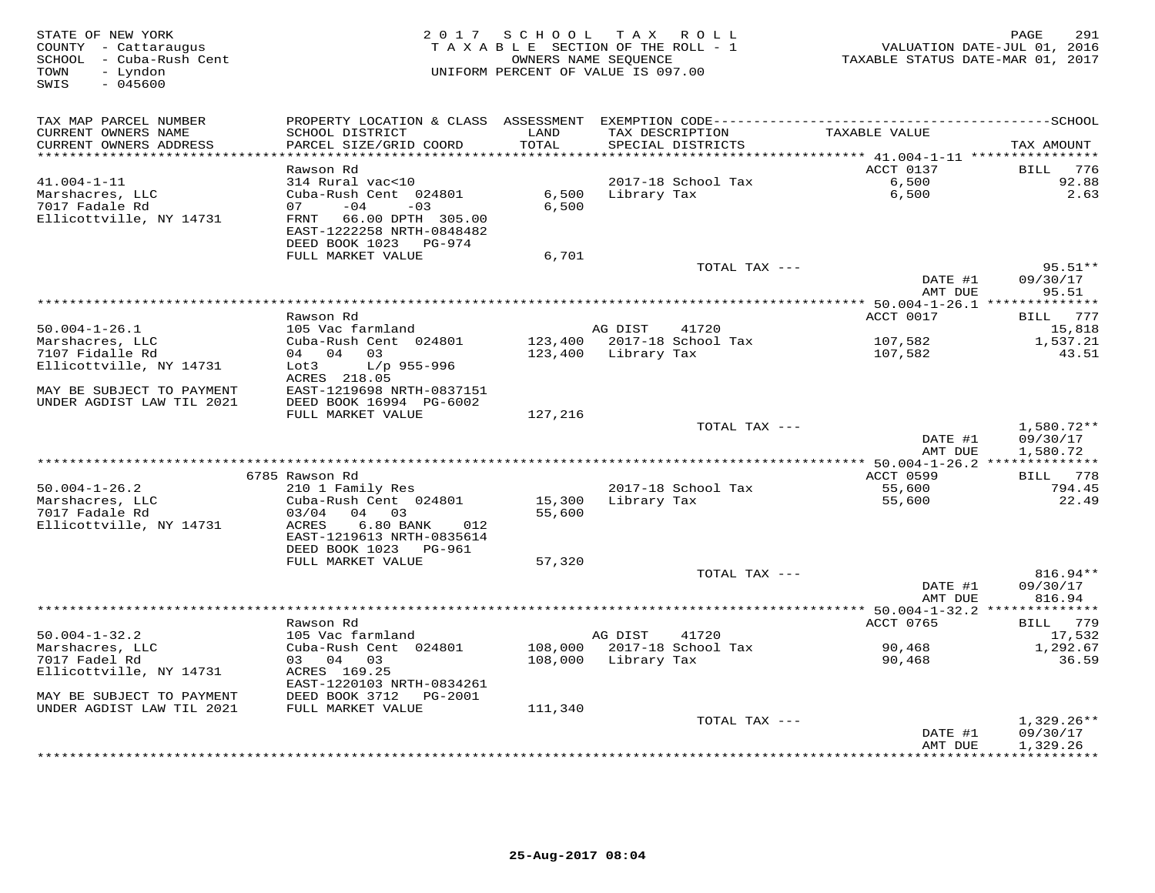| STATE OF NEW YORK<br>COUNTY - Cattaraugus<br>SCHOOL - Cuba-Rush Cent<br>- Lyndon<br>TOWN<br>SWIS<br>$-045600$ |                                                                                                                                                                      |                  | 2017 SCHOOL TAX ROLL<br>TAXABLE SECTION OF THE ROLL - 1<br>OWNERS NAME SEQUENCE<br>UNIFORM PERCENT OF VALUE IS 097.00 | TAXABLE STATUS DATE-MAR 01, 2017           | 291<br>PAGE<br>VALUATION DATE-JUL 01, 2016 |
|---------------------------------------------------------------------------------------------------------------|----------------------------------------------------------------------------------------------------------------------------------------------------------------------|------------------|-----------------------------------------------------------------------------------------------------------------------|--------------------------------------------|--------------------------------------------|
| TAX MAP PARCEL NUMBER<br>CURRENT OWNERS NAME<br>CURRENT OWNERS ADDRESS                                        | SCHOOL DISTRICT<br>PARCEL SIZE/GRID COORD                                                                                                                            | LAND<br>TOTAL    | TAX DESCRIPTION<br>SPECIAL DISTRICTS                                                                                  | TAXABLE VALUE                              | TAX AMOUNT                                 |
| **********************                                                                                        |                                                                                                                                                                      | ***********      |                                                                                                                       | ACCT 0137                                  | 776                                        |
| $41.004 - 1 - 11$<br>Marshacres, LLC<br>7017 Fadale Rd<br>Ellicottville, NY 14731                             | Rawson Rd<br>314 Rural vac<10<br>Cuba-Rush Cent 024801<br>07<br>$-04$<br>$-03$<br>66.00 DPTH 305.00<br>FRNT<br>EAST-1222258 NRTH-0848482<br>DEED BOOK 1023<br>PG-974 | 6,500<br>6,500   | 2017-18 School Tax<br>Library Tax                                                                                     | 6,500<br>6,500                             | BILL<br>92.88<br>2.63                      |
|                                                                                                               | FULL MARKET VALUE                                                                                                                                                    | 6,701            |                                                                                                                       |                                            |                                            |
|                                                                                                               |                                                                                                                                                                      |                  | TOTAL TAX ---                                                                                                         | DATE #1<br>AMT DUE                         | $95.51**$<br>09/30/17<br>95.51             |
|                                                                                                               |                                                                                                                                                                      |                  |                                                                                                                       | ************ 50.004-1-26.1 *************** |                                            |
| $50.004 - 1 - 26.1$                                                                                           | Rawson Rd<br>105 Vac farmland                                                                                                                                        |                  | AG DIST<br>41720                                                                                                      | ACCT 0017                                  | BILL 777<br>15,818                         |
| Marshacres, LLC                                                                                               | Cuba-Rush Cent 024801                                                                                                                                                | 123,400          | 2017-18 School Tax                                                                                                    | 107,582                                    | 1,537.21                                   |
| 7107 Fidalle Rd                                                                                               | 04 04 03                                                                                                                                                             | 123,400          | Library Tax                                                                                                           | 107,582                                    | 43.51                                      |
| Ellicottville, NY 14731<br>MAY BE SUBJECT TO PAYMENT                                                          | $L/p$ 955-996<br>Lot3<br>ACRES 218.05<br>EAST-1219698 NRTH-0837151                                                                                                   |                  |                                                                                                                       |                                            |                                            |
| UNDER AGDIST LAW TIL 2021                                                                                     | DEED BOOK 16994 PG-6002                                                                                                                                              |                  |                                                                                                                       |                                            |                                            |
|                                                                                                               | FULL MARKET VALUE                                                                                                                                                    | 127,216          |                                                                                                                       |                                            |                                            |
|                                                                                                               |                                                                                                                                                                      |                  | TOTAL TAX ---                                                                                                         | DATE #1<br>AMT DUE                         | $1,580.72**$<br>09/30/17<br>1,580.72       |
|                                                                                                               |                                                                                                                                                                      |                  |                                                                                                                       | ** 50.004-1-26.2 **************            |                                            |
| $50.004 - 1 - 26.2$                                                                                           | 6785 Rawson Rd<br>210 1 Family Res                                                                                                                                   |                  | 2017-18 School Tax                                                                                                    | ACCT 0599<br>55,600                        | BILL 778<br>794.45                         |
| Marshacres, LLC<br>7017 Fadale Rd<br>Ellicottville, NY 14731                                                  | Cuba-Rush Cent 024801<br>03/04<br>04 03<br>ACRES<br>6.80 BANK<br>012<br>EAST-1219613 NRTH-0835614<br>DEED BOOK 1023<br>PG-961                                        | 15,300<br>55,600 | Library Tax                                                                                                           | 55,600                                     | 22.49                                      |
|                                                                                                               | FULL MARKET VALUE                                                                                                                                                    | 57,320           |                                                                                                                       |                                            |                                            |
|                                                                                                               |                                                                                                                                                                      |                  | TOTAL TAX ---                                                                                                         | DATE #1<br>AMT DUE                         | 816.94**<br>09/30/17<br>816.94             |
|                                                                                                               |                                                                                                                                                                      |                  | *************************                                                                                             | ** $50.004 - 1 - 32.2$ **                  | **********                                 |
|                                                                                                               | Rawson Rd                                                                                                                                                            |                  |                                                                                                                       | ACCT 0765                                  | BILL 779                                   |
| $50.004 - 1 - 32.2$<br>Marshacres, LLC                                                                        | 105 Vac farmland<br>Cuba-Rush Cent 024801                                                                                                                            | 108,000          | AG DIST<br>41720<br>2017-18 School Tax                                                                                | 90,468                                     | 17,532<br>1,292.67                         |
| 7017 Fadel Rd                                                                                                 | 03 04<br>03                                                                                                                                                          | 108,000          | Library Tax                                                                                                           | 90,468                                     | 36.59                                      |
| Ellicottville, NY 14731                                                                                       | ACRES 169.25<br>EAST-1220103 NRTH-0834261                                                                                                                            |                  |                                                                                                                       |                                            |                                            |
| MAY BE SUBJECT TO PAYMENT                                                                                     | DEED BOOK 3712<br>PG-2001                                                                                                                                            |                  |                                                                                                                       |                                            |                                            |
| UNDER AGDIST LAW TIL 2021                                                                                     | FULL MARKET VALUE                                                                                                                                                    | 111,340          | TOTAL TAX ---                                                                                                         |                                            | $1,329.26**$                               |
|                                                                                                               |                                                                                                                                                                      |                  |                                                                                                                       | DATE #1<br>AMT DUE                         | 09/30/17<br>1,329.26                       |
|                                                                                                               |                                                                                                                                                                      |                  | ****************************                                                                                          |                                            | * * * * * * * * * *                        |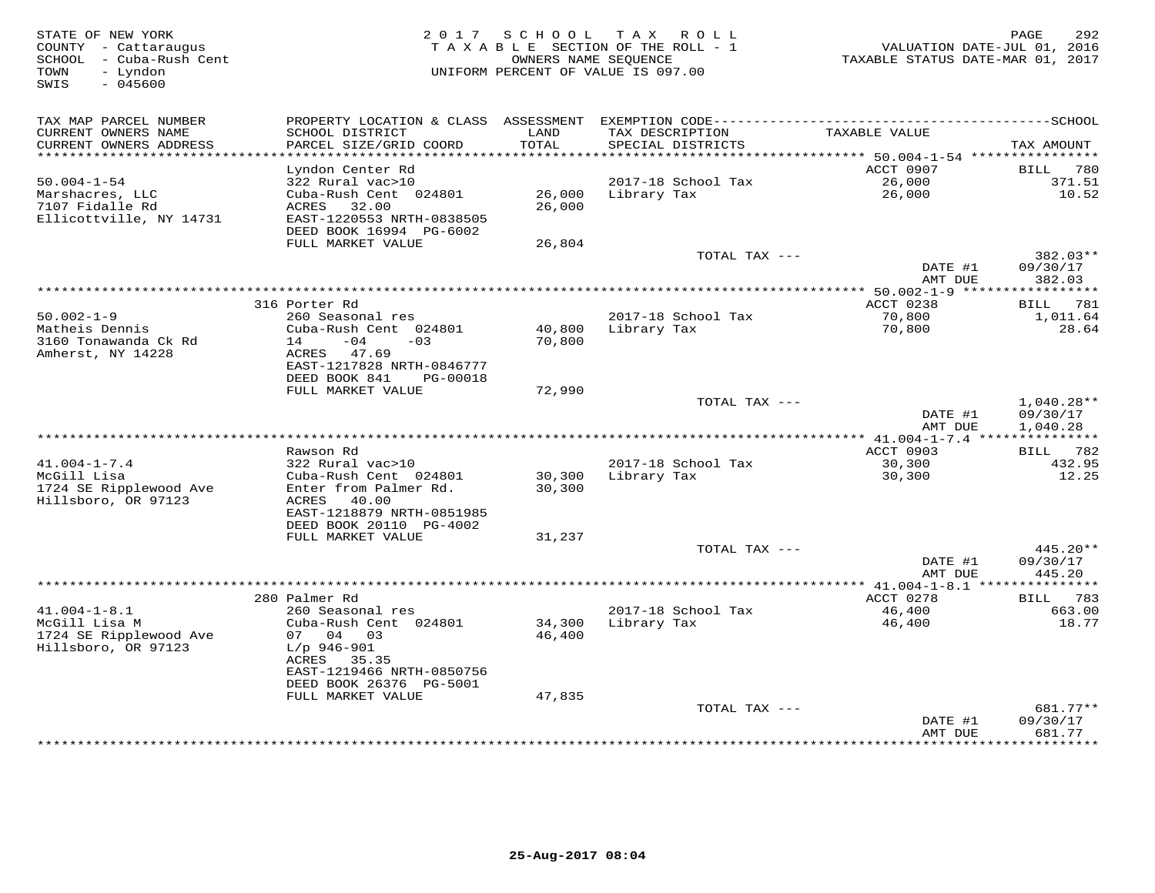| STATE OF NEW YORK<br>COUNTY - Cattaraugus<br>SCHOOL - Cuba-Rush Cent<br>- Lyndon<br>TOWN<br>$-045600$<br>SWIS |                                                                                                   |                  | 2017 SCHOOL TAX ROLL<br>TAXABLE SECTION OF THE ROLL - 1<br>OWNERS NAME SEQUENCE<br>UNIFORM PERCENT OF VALUE IS 097.00 | VALUATION DATE-JUL 01, 2016<br>TAXABLE STATUS DATE-MAR 01, 2017 | 292<br>PAGE          |
|---------------------------------------------------------------------------------------------------------------|---------------------------------------------------------------------------------------------------|------------------|-----------------------------------------------------------------------------------------------------------------------|-----------------------------------------------------------------|----------------------|
| TAX MAP PARCEL NUMBER<br>CURRENT OWNERS NAME                                                                  | PROPERTY LOCATION & CLASS ASSESSMENT<br>SCHOOL DISTRICT                                           | LAND             | TAX DESCRIPTION                                                                                                       | TAXABLE VALUE                                                   |                      |
| CURRENT OWNERS ADDRESS<br>**********************                                                              | PARCEL SIZE/GRID COORD                                                                            | TOTAL            | SPECIAL DISTRICTS                                                                                                     |                                                                 | TAX AMOUNT           |
|                                                                                                               | Lyndon Center Rd                                                                                  |                  |                                                                                                                       | ACCT 0907                                                       | 780<br>BILL          |
| $50.004 - 1 - 54$                                                                                             | 322 Rural vac>10                                                                                  |                  | 2017-18 School Tax                                                                                                    | 26,000                                                          | 371.51               |
| Marshacres, LLC<br>7107 Fidalle Rd<br>Ellicottville, NY 14731                                                 | Cuba-Rush Cent 024801<br>ACRES<br>32.00<br>EAST-1220553 NRTH-0838505<br>DEED BOOK 16994 PG-6002   | 26,000<br>26,000 | Library Tax                                                                                                           | 26,000                                                          | 10.52                |
|                                                                                                               | FULL MARKET VALUE                                                                                 | 26,804           |                                                                                                                       |                                                                 |                      |
|                                                                                                               |                                                                                                   |                  | TOTAL TAX ---                                                                                                         |                                                                 | 382.03**             |
|                                                                                                               |                                                                                                   |                  |                                                                                                                       | DATE #1<br>AMT DUE                                              | 09/30/17<br>382.03   |
|                                                                                                               |                                                                                                   |                  |                                                                                                                       | *************** 50.002-1-9 *****                                | *********            |
|                                                                                                               | 316 Porter Rd                                                                                     |                  |                                                                                                                       | ACCT 0238                                                       | 781<br>BILL          |
| $50.002 - 1 - 9$<br>Matheis Dennis                                                                            | 260 Seasonal res<br>Cuba-Rush Cent 024801                                                         | 40,800           | 2017-18 School Tax<br>Library Tax                                                                                     | 70,800                                                          | 1,011.64<br>28.64    |
| 3160 Tonawanda Ck Rd<br>Amherst, NY 14228                                                                     | $-04$<br>14<br>$-0.3$<br>ACRES<br>47.69<br>EAST-1217828 NRTH-0846777                              | 70,800           |                                                                                                                       | 70,800                                                          |                      |
|                                                                                                               | DEED BOOK 841<br>PG-00018                                                                         |                  |                                                                                                                       |                                                                 |                      |
|                                                                                                               | FULL MARKET VALUE                                                                                 | 72,990           |                                                                                                                       |                                                                 | $1,040.28**$         |
|                                                                                                               |                                                                                                   |                  | TOTAL TAX ---                                                                                                         | DATE #1<br>AMT DUE                                              | 09/30/17<br>1,040.28 |
|                                                                                                               |                                                                                                   |                  |                                                                                                                       |                                                                 |                      |
|                                                                                                               | Rawson Rd                                                                                         |                  |                                                                                                                       | ACCT 0903                                                       | BILL 782             |
| $41.004 - 1 - 7.4$                                                                                            | 322 Rural vac>10                                                                                  |                  | 2017-18 School Tax                                                                                                    | 30,300                                                          | 432.95               |
| McGill Lisa<br>1724 SE Ripplewood Ave<br>Hillsboro, OR 97123                                                  | Cuba-Rush Cent 024801<br>Enter from Palmer Rd.<br>40.00<br>ACRES<br>EAST-1218879 NRTH-0851985     | 30,300<br>30,300 | Library Tax                                                                                                           | 30,300                                                          | 12.25                |
|                                                                                                               | DEED BOOK 20110 PG-4002<br>FULL MARKET VALUE                                                      | 31,237           |                                                                                                                       |                                                                 |                      |
|                                                                                                               |                                                                                                   |                  | TOTAL TAX ---                                                                                                         |                                                                 | 445.20**             |
|                                                                                                               |                                                                                                   |                  |                                                                                                                       | DATE #1<br>AMT DUE                                              | 09/30/17<br>445.20   |
|                                                                                                               |                                                                                                   |                  |                                                                                                                       | ** 41.004-1-8.1 ****************                                |                      |
|                                                                                                               | 280 Palmer Rd                                                                                     |                  |                                                                                                                       | ACCT 0278                                                       | BILL 783             |
| $41.004 - 1 - 8.1$                                                                                            | 260 Seasonal res                                                                                  |                  | 2017-18 School Tax                                                                                                    | 46,400                                                          | 663.00               |
| McGill Lisa M<br>1724 SE Ripplewood Ave<br>Hillsboro, OR 97123                                                | Cuba-Rush Cent 024801<br>07 04 03<br>$L/p$ 946-901<br>ACRES<br>35.35<br>EAST-1219466 NRTH-0850756 | 34,300<br>46,400 | Library Tax                                                                                                           | 46,400                                                          | 18.77                |
|                                                                                                               | DEED BOOK 26376 PG-5001                                                                           |                  |                                                                                                                       |                                                                 |                      |
|                                                                                                               | FULL MARKET VALUE                                                                                 | 47,835           |                                                                                                                       |                                                                 |                      |
|                                                                                                               |                                                                                                   |                  | TOTAL TAX ---                                                                                                         |                                                                 | 681.77**             |
|                                                                                                               |                                                                                                   |                  |                                                                                                                       | DATE #1<br>AMT DUE                                              | 09/30/17<br>681.77   |
|                                                                                                               |                                                                                                   |                  |                                                                                                                       | ***********                                                     | * * * * * * * *      |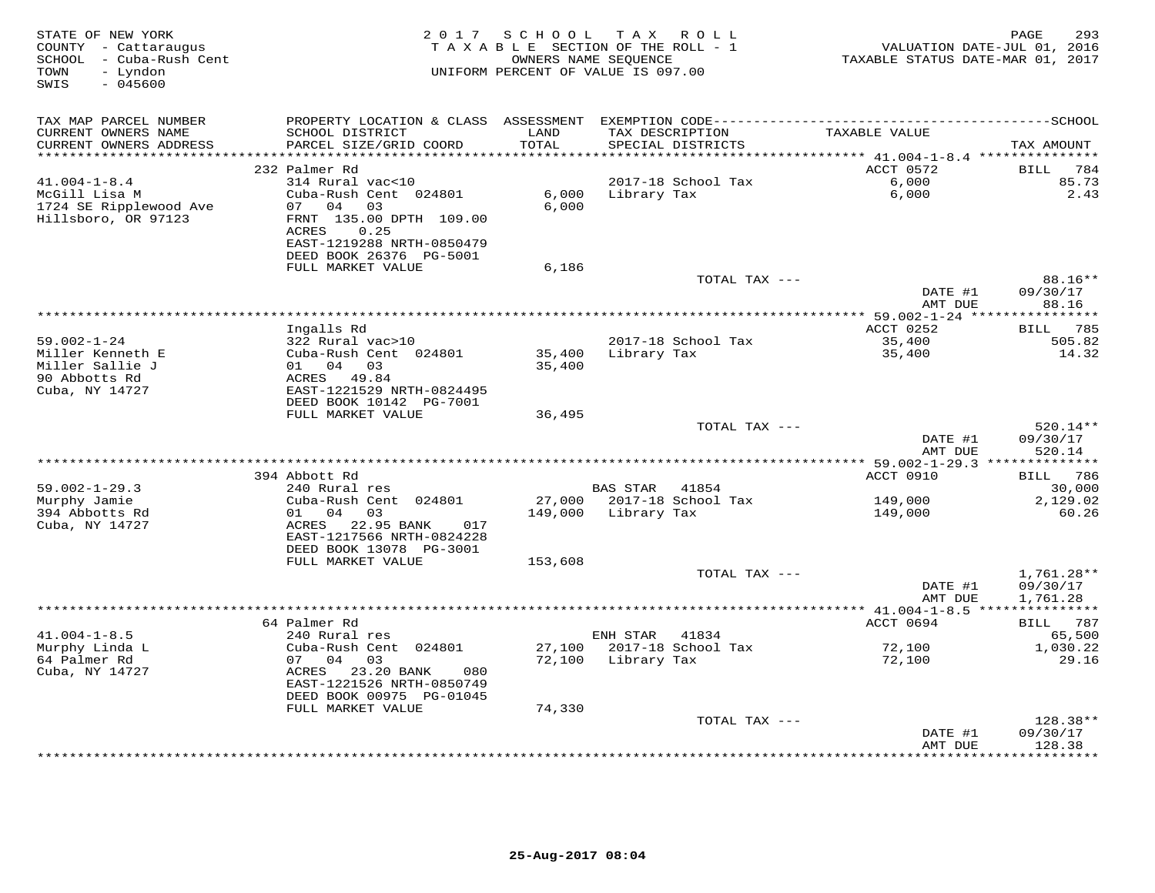| STATE OF NEW YORK<br>COUNTY - Cattaraugus<br>SCHOOL - Cuba-Rush Cent<br>- Lyndon<br>TOWN<br>SWIS<br>$-045600$ |                                                                                                                   |                  | 2017 SCHOOL TAX ROLL<br>TAXABLE SECTION OF THE ROLL - 1<br>OWNERS NAME SEQUENCE<br>UNIFORM PERCENT OF VALUE IS 097.00 | VALUATION DATE-JUL 01, 2016<br>TAXABLE STATUS DATE-MAR 01, 2017 | 293<br>PAGE          |
|---------------------------------------------------------------------------------------------------------------|-------------------------------------------------------------------------------------------------------------------|------------------|-----------------------------------------------------------------------------------------------------------------------|-----------------------------------------------------------------|----------------------|
| TAX MAP PARCEL NUMBER                                                                                         | PROPERTY LOCATION & CLASS ASSESSMENT                                                                              |                  |                                                                                                                       |                                                                 |                      |
| CURRENT OWNERS NAME<br>CURRENT OWNERS ADDRESS                                                                 | SCHOOL DISTRICT<br>PARCEL SIZE/GRID COORD                                                                         | LAND<br>TOTAL    | TAX DESCRIPTION<br>SPECIAL DISTRICTS                                                                                  | TAXABLE VALUE                                                   | TAX AMOUNT           |
|                                                                                                               | 232 Palmer Rd                                                                                                     | * * * * * * *    |                                                                                                                       | *********** 41.004-1-8.4 ****************<br>ACCT 0572          | 784<br>BILL          |
| $41.004 - 1 - 8.4$                                                                                            | 314 Rural vac<10                                                                                                  |                  | 2017-18 School Tax                                                                                                    | 6,000                                                           | 85.73                |
| McGill Lisa M<br>1724 SE Ripplewood Ave<br>Hillsboro, OR 97123                                                | Cuba-Rush Cent 024801<br>07 04 03<br>FRNT 135.00 DPTH 109.00<br><b>ACRES</b><br>0.25<br>EAST-1219288 NRTH-0850479 | 6,000<br>6.000   | Library Tax                                                                                                           | 6,000                                                           | 2.43                 |
|                                                                                                               | DEED BOOK 26376 PG-5001<br>FULL MARKET VALUE                                                                      | 6,186            |                                                                                                                       |                                                                 |                      |
|                                                                                                               |                                                                                                                   |                  | TOTAL TAX ---                                                                                                         |                                                                 | 88.16**              |
|                                                                                                               |                                                                                                                   |                  |                                                                                                                       | DATE #1<br>AMT DUE                                              | 09/30/17<br>88.16    |
|                                                                                                               |                                                                                                                   |                  |                                                                                                                       |                                                                 |                      |
|                                                                                                               | Ingalls Rd                                                                                                        |                  |                                                                                                                       | ACCT 0252                                                       | 785<br>BILL          |
| $59.002 - 1 - 24$<br>Miller Kenneth E                                                                         | 322 Rural vac>10<br>Cuba-Rush Cent 024801                                                                         |                  | 2017-18 School Tax                                                                                                    | 35,400                                                          | 505.82               |
| Miller Sallie J                                                                                               | 01 04 03                                                                                                          | 35,400<br>35,400 | Library Tax                                                                                                           | 35,400                                                          | 14.32                |
| 90 Abbotts Rd                                                                                                 | ACRES 49.84                                                                                                       |                  |                                                                                                                       |                                                                 |                      |
| Cuba, NY 14727                                                                                                | EAST-1221529 NRTH-0824495<br>DEED BOOK 10142 PG-7001                                                              |                  |                                                                                                                       |                                                                 |                      |
|                                                                                                               | FULL MARKET VALUE                                                                                                 | 36,495           |                                                                                                                       |                                                                 |                      |
|                                                                                                               |                                                                                                                   |                  | TOTAL TAX ---                                                                                                         |                                                                 | $520.14**$           |
|                                                                                                               |                                                                                                                   |                  |                                                                                                                       | DATE #1<br>AMT DUE                                              | 09/30/17<br>520.14   |
|                                                                                                               | 394 Abbott Rd                                                                                                     |                  |                                                                                                                       | ACCT 0910                                                       | BILL 786             |
| $59.002 - 1 - 29.3$                                                                                           | 240 Rural res                                                                                                     |                  | <b>BAS STAR</b><br>41854                                                                                              |                                                                 | 30,000               |
| Murphy Jamie                                                                                                  | Cuba-Rush Cent 024801                                                                                             |                  | 27,000 2017-18 School Tax                                                                                             | 149,000                                                         | 2,129.02             |
| 394 Abbotts Rd<br>Cuba, NY 14727                                                                              | 01 04 03<br>ACRES 22.95 BANK<br>017<br>EAST-1217566 NRTH-0824228<br>DEED BOOK 13078 PG-3001                       | 149,000          | Library Tax                                                                                                           | 149,000                                                         | 60.26                |
|                                                                                                               | FULL MARKET VALUE                                                                                                 | 153,608          | TOTAL TAX ---                                                                                                         |                                                                 | 1,761.28**           |
|                                                                                                               |                                                                                                                   |                  |                                                                                                                       | DATE #1<br>AMT DUE                                              | 09/30/17<br>1,761.28 |
|                                                                                                               | ******************                                                                                                |                  | *************************************                                                                                 | *********** 41.004-1-8.5 ***                                    | ************         |
|                                                                                                               | 64 Palmer Rd                                                                                                      |                  |                                                                                                                       | ACCT 0694                                                       | BILL 787             |
| $41.004 - 1 - 8.5$                                                                                            | 240 Rural res                                                                                                     |                  | ENH STAR<br>41834                                                                                                     |                                                                 | 65,500               |
| Murphy Linda L                                                                                                | Cuba-Rush Cent 024801                                                                                             | 27,100           | 2017-18 School Tax                                                                                                    | 72,100                                                          | 1,030.22             |
| 64 Palmer Rd<br>Cuba, NY 14727                                                                                | 07 04 03<br>ACRES 23.20 BANK<br>080<br>EAST-1221526 NRTH-0850749<br>DEED BOOK 00975 PG-01045<br>FULL MARKET VALUE | 74,330           | 72,100 Library Tax                                                                                                    | 72,100                                                          | 29.16                |
|                                                                                                               |                                                                                                                   |                  | TOTAL TAX ---                                                                                                         |                                                                 | 128.38**             |
|                                                                                                               |                                                                                                                   |                  |                                                                                                                       | DATE #1<br>AMT DUE                                              | 09/30/17<br>128.38   |
|                                                                                                               |                                                                                                                   |                  |                                                                                                                       |                                                                 | *********            |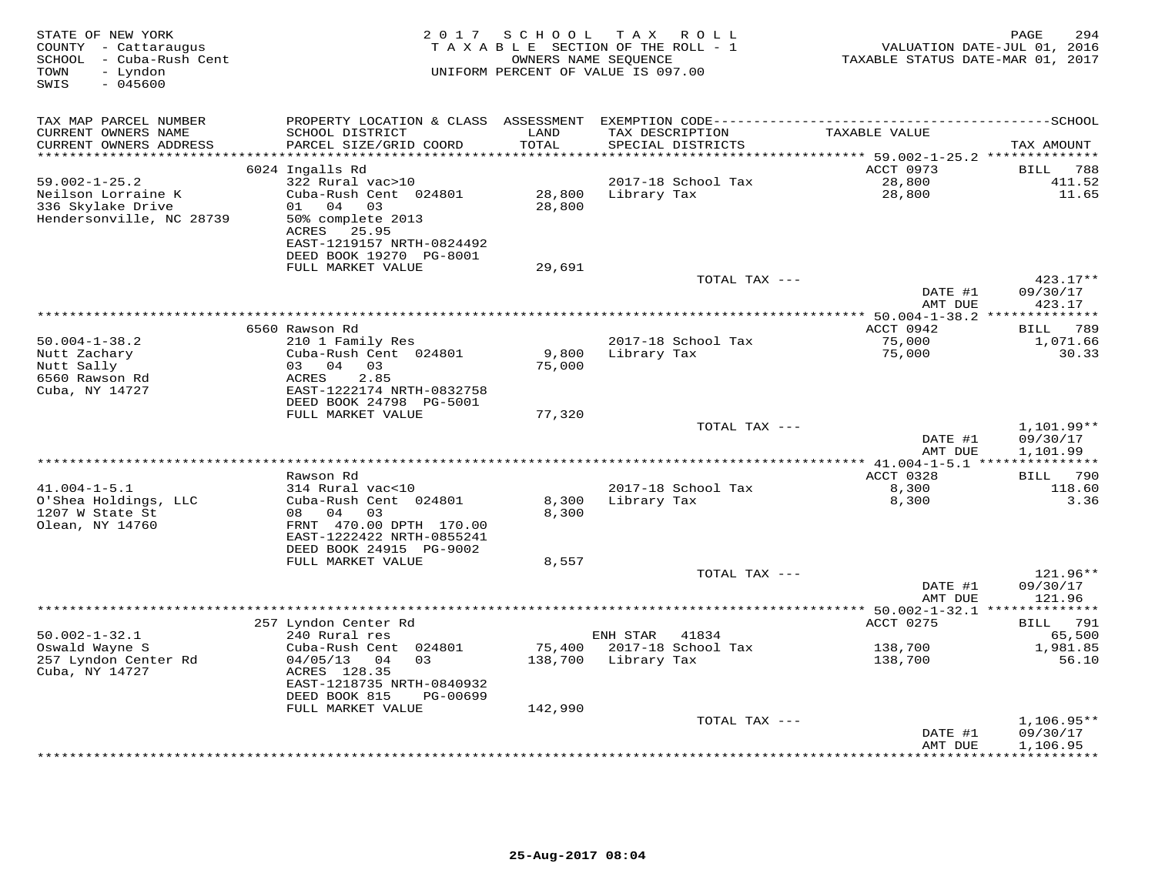| STATE OF NEW YORK<br>COUNTY - Cattaraugus<br>- Cuba-Rush Cent<br>SCHOOL<br>- Lyndon<br>TOWN<br>SWIS<br>$-045600$ | 2 0 1 7                                                                                                       | S C H O O L   | T A X<br>R O L L<br>T A X A B L E SECTION OF THE ROLL - 1<br>OWNERS NAME SEQUENCE<br>UNIFORM PERCENT OF VALUE IS 097.00 | TAXABLE STATUS DATE-MAR 01, 2017   | 294<br>PAGE<br>VALUATION DATE-JUL 01, 2016 |
|------------------------------------------------------------------------------------------------------------------|---------------------------------------------------------------------------------------------------------------|---------------|-------------------------------------------------------------------------------------------------------------------------|------------------------------------|--------------------------------------------|
| TAX MAP PARCEL NUMBER                                                                                            | PROPERTY LOCATION & CLASS ASSESSMENT                                                                          |               |                                                                                                                         |                                    |                                            |
| CURRENT OWNERS NAME<br>CURRENT OWNERS ADDRESS                                                                    | SCHOOL DISTRICT<br>PARCEL SIZE/GRID COORD                                                                     | LAND<br>TOTAL | TAX DESCRIPTION<br>SPECIAL DISTRICTS                                                                                    | TAXABLE VALUE                      | TAX AMOUNT                                 |
| ***********************                                                                                          | ************************                                                                                      |               |                                                                                                                         | ACCT 0973                          |                                            |
| $59.002 - 1 - 25.2$                                                                                              | 6024 Ingalls Rd<br>322 Rural vac>10                                                                           |               | 2017-18 School Tax                                                                                                      | 28,800                             | 788<br><b>BILL</b><br>411.52               |
| Neilson Lorraine K                                                                                               | Cuba-Rush Cent 024801                                                                                         | 28,800        | Library Tax                                                                                                             | 28,800                             | 11.65                                      |
| 336 Skylake Drive<br>Hendersonville, NC 28739                                                                    | 04<br>03<br>01<br>50% complete 2013<br>25.95<br>ACRES<br>EAST-1219157 NRTH-0824492<br>DEED BOOK 19270 PG-8001 | 28,800        |                                                                                                                         |                                    |                                            |
|                                                                                                                  | FULL MARKET VALUE                                                                                             | 29,691        |                                                                                                                         |                                    |                                            |
|                                                                                                                  |                                                                                                               |               | TOTAL TAX ---                                                                                                           |                                    | $423.17**$                                 |
|                                                                                                                  |                                                                                                               |               |                                                                                                                         | DATE #1<br>AMT DUE                 | 09/30/17<br>423.17                         |
|                                                                                                                  |                                                                                                               |               | *********************                                                                                                   | ** 50.004-1-38.2                   |                                            |
| $50.004 - 1 - 38.2$                                                                                              | 6560 Rawson Rd<br>210 1 Family Res                                                                            |               | 2017-18 School Tax                                                                                                      | ACCT 0942<br>75,000                | 789<br>BILL<br>1,071.66                    |
| Nutt Zachary                                                                                                     | Cuba-Rush Cent 024801                                                                                         | 9,800         | Library Tax                                                                                                             | 75,000                             | 30.33                                      |
| Nutt Sally                                                                                                       | 03<br>04<br>03                                                                                                | 75,000        |                                                                                                                         |                                    |                                            |
| 6560 Rawson Rd                                                                                                   | 2.85<br>ACRES                                                                                                 |               |                                                                                                                         |                                    |                                            |
| Cuba, NY 14727                                                                                                   | EAST-1222174 NRTH-0832758                                                                                     |               |                                                                                                                         |                                    |                                            |
|                                                                                                                  | DEED BOOK 24798 PG-5001                                                                                       |               |                                                                                                                         |                                    |                                            |
|                                                                                                                  | FULL MARKET VALUE                                                                                             | 77,320        |                                                                                                                         |                                    |                                            |
|                                                                                                                  |                                                                                                               |               | TOTAL TAX ---                                                                                                           | DATE #1                            | 1,101.99**<br>09/30/17                     |
|                                                                                                                  |                                                                                                               |               |                                                                                                                         | AMT DUE                            | 1,101.99                                   |
|                                                                                                                  |                                                                                                               |               | **********************************                                                                                      | ************ 41.004-1-5.1          | ***************                            |
|                                                                                                                  | Rawson Rd                                                                                                     |               |                                                                                                                         | ACCT 0328                          | 790<br>BILL                                |
| $41.004 - 1 - 5.1$                                                                                               | 314 Rural vac<10                                                                                              |               | 2017-18 School Tax                                                                                                      | 8,300                              | 118.60                                     |
| O'Shea Holdings, LLC                                                                                             | Cuba-Rush Cent 024801                                                                                         | 8,300         | Library Tax                                                                                                             | 8,300                              | 3.36                                       |
| 1207 W State St<br>Olean, NY 14760                                                                               | 08 04<br>03<br>FRNT 470.00 DPTH 170.00                                                                        | 8,300         |                                                                                                                         |                                    |                                            |
|                                                                                                                  | EAST-1222422 NRTH-0855241                                                                                     |               |                                                                                                                         |                                    |                                            |
|                                                                                                                  | DEED BOOK 24915 PG-9002                                                                                       |               |                                                                                                                         |                                    |                                            |
|                                                                                                                  | FULL MARKET VALUE                                                                                             | 8,557         |                                                                                                                         |                                    |                                            |
|                                                                                                                  |                                                                                                               |               | TOTAL TAX ---                                                                                                           |                                    | 121.96**                                   |
|                                                                                                                  |                                                                                                               |               |                                                                                                                         | DATE #1                            | 09/30/17                                   |
|                                                                                                                  |                                                                                                               |               |                                                                                                                         | AMT DUE                            | 121.96<br>* * * * * * * * * * *            |
|                                                                                                                  | 257 Lyndon Center Rd                                                                                          |               |                                                                                                                         | $* 50.002 - 1 - 32.1$<br>ACCT 0275 | 791<br>BILL                                |
| $50.002 - 1 - 32.1$                                                                                              | 240 Rural res                                                                                                 |               | 41834<br>ENH STAR                                                                                                       |                                    | 65,500                                     |
| Oswald Wayne S                                                                                                   | Cuba-Rush Cent 024801                                                                                         | 75,400        | 2017-18 School Tax                                                                                                      | 138,700                            | 1,981.85                                   |
| 257 Lyndon Center Rd                                                                                             | 04/05/13<br>04<br>03                                                                                          | 138,700       | Library Tax                                                                                                             | 138,700                            | 56.10                                      |
| Cuba, NY 14727                                                                                                   | ACRES 128.35<br>EAST-1218735 NRTH-0840932                                                                     |               |                                                                                                                         |                                    |                                            |
|                                                                                                                  | DEED BOOK 815<br>PG-00699                                                                                     |               |                                                                                                                         |                                    |                                            |
|                                                                                                                  | FULL MARKET VALUE                                                                                             | 142,990       |                                                                                                                         |                                    |                                            |
|                                                                                                                  |                                                                                                               |               | TOTAL TAX ---                                                                                                           |                                    | $1,106.95**$                               |
|                                                                                                                  |                                                                                                               |               |                                                                                                                         | DATE #1                            | 09/30/17                                   |
|                                                                                                                  |                                                                                                               |               | *************************                                                                                               | AMT DUE<br>*************           | 1,106.95<br>**********                     |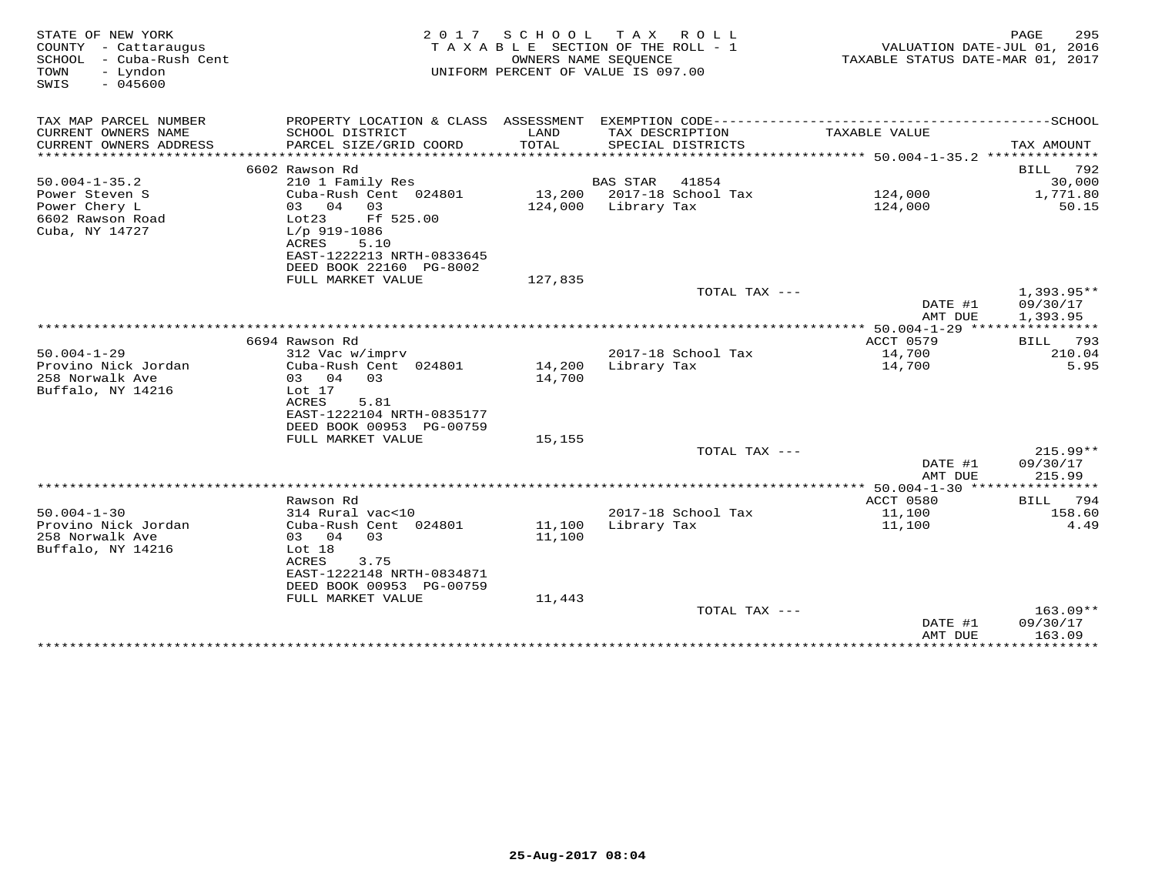| STATE OF NEW YORK                                  | 2 0 1 7                                               | SCHOOL                           | T A X<br>R O L L<br>SECTION OF THE ROLL - 1 |                              | PAGE<br>295           |
|----------------------------------------------------|-------------------------------------------------------|----------------------------------|---------------------------------------------|------------------------------|-----------------------|
| COUNTY - Cattaraugus<br>SCHOOL<br>- Cuba-Rush Cent | TAXABLE                                               | TAXABLE STATUS DATE-MAR 01, 2017 | VALUATION DATE-JUL 01, 2016                 |                              |                       |
| TOWN<br>- Lyndon<br>$-045600$<br>SWIS              |                                                       |                                  | UNIFORM PERCENT OF VALUE IS 097.00          |                              |                       |
| TAX MAP PARCEL NUMBER                              |                                                       |                                  |                                             |                              |                       |
| CURRENT OWNERS NAME<br>CURRENT OWNERS ADDRESS      | SCHOOL DISTRICT<br>PARCEL SIZE/GRID COORD             | LAND<br>TOTAL                    | TAX DESCRIPTION<br>SPECIAL DISTRICTS        | TAXABLE VALUE                | TAX AMOUNT            |
|                                                    |                                                       |                                  |                                             |                              |                       |
| $50.004 - 1 - 35.2$                                | 6602 Rawson Rd<br>210 1 Family Res                    |                                  | BAS STAR<br>41854                           |                              | 792<br>BILL<br>30,000 |
| Power Steven S                                     | Cuba-Rush Cent 024801                                 |                                  | 13,200 2017-18 School Tax                   | 124,000                      | 1,771.80              |
| Power Chery L                                      | 04<br>03<br>03                                        | 124,000                          | Library Tax                                 | 124,000                      | 50.15                 |
| 6602 Rawson Road                                   | Ff 525.00<br>Lot23                                    |                                  |                                             |                              |                       |
| Cuba, NY 14727                                     | $L/p$ 919-1086<br>ACRES<br>5.10                       |                                  |                                             |                              |                       |
|                                                    | EAST-1222213 NRTH-0833645                             |                                  |                                             |                              |                       |
|                                                    | DEED BOOK 22160 PG-8002                               |                                  |                                             |                              |                       |
|                                                    | FULL MARKET VALUE                                     | 127,835                          |                                             |                              |                       |
|                                                    |                                                       |                                  | TOTAL TAX ---                               |                              | 1,393.95**            |
|                                                    |                                                       |                                  |                                             | DATE #1<br>AMT DUE           | 09/30/17<br>1,393.95  |
|                                                    |                                                       |                                  |                                             |                              |                       |
|                                                    | 6694 Rawson Rd                                        |                                  |                                             | ACCT 0579                    | 793<br><b>BILL</b>    |
| $50.004 - 1 - 29$                                  | 312 Vac w/imprv                                       |                                  | 2017-18 School Tax                          | 14,700                       | 210.04                |
| Provino Nick Jordan<br>258 Norwalk Ave             | Cuba-Rush Cent 024801<br>03 04<br>03                  | 14,200                           | Library Tax                                 | 14,700                       | 5.95                  |
| Buffalo, NY 14216                                  | Lot 17                                                | 14,700                           |                                             |                              |                       |
|                                                    | <b>ACRES</b><br>5.81                                  |                                  |                                             |                              |                       |
|                                                    | EAST-1222104 NRTH-0835177                             |                                  |                                             |                              |                       |
|                                                    | DEED BOOK 00953 PG-00759                              |                                  |                                             |                              |                       |
|                                                    | FULL MARKET VALUE                                     | 15,155                           | TOTAL TAX ---                               |                              | $215.99**$            |
|                                                    |                                                       |                                  |                                             | DATE #1                      | 09/30/17              |
|                                                    |                                                       |                                  |                                             | AMT DUE                      | 215.99                |
|                                                    |                                                       |                                  |                                             |                              |                       |
|                                                    | Rawson Rd                                             |                                  |                                             | ACCT 0580                    | 794<br>BILL           |
| $50.004 - 1 - 30$<br>Provino Nick Jordan           | 314 Rural vac<10<br>Cuba-Rush Cent 024801             | 11,100                           | 2017-18 School Tax<br>Library Tax           | 11,100<br>11,100             | 158.60<br>4.49        |
| 258 Norwalk Ave                                    | 03 04<br>03                                           | 11,100                           |                                             |                              |                       |
| Buffalo, NY 14216                                  | Lot 18                                                |                                  |                                             |                              |                       |
|                                                    | <b>ACRES</b><br>3.75                                  |                                  |                                             |                              |                       |
|                                                    | EAST-1222148 NRTH-0834871<br>DEED BOOK 00953 PG-00759 |                                  |                                             |                              |                       |
|                                                    | FULL MARKET VALUE                                     | 11,443                           |                                             |                              |                       |
|                                                    |                                                       |                                  | TOTAL TAX ---                               |                              | $163.09**$            |
|                                                    |                                                       |                                  |                                             | DATE #1                      | 09/30/17              |
|                                                    |                                                       |                                  |                                             | AMT DUE<br>***************** | 163.09<br>*********** |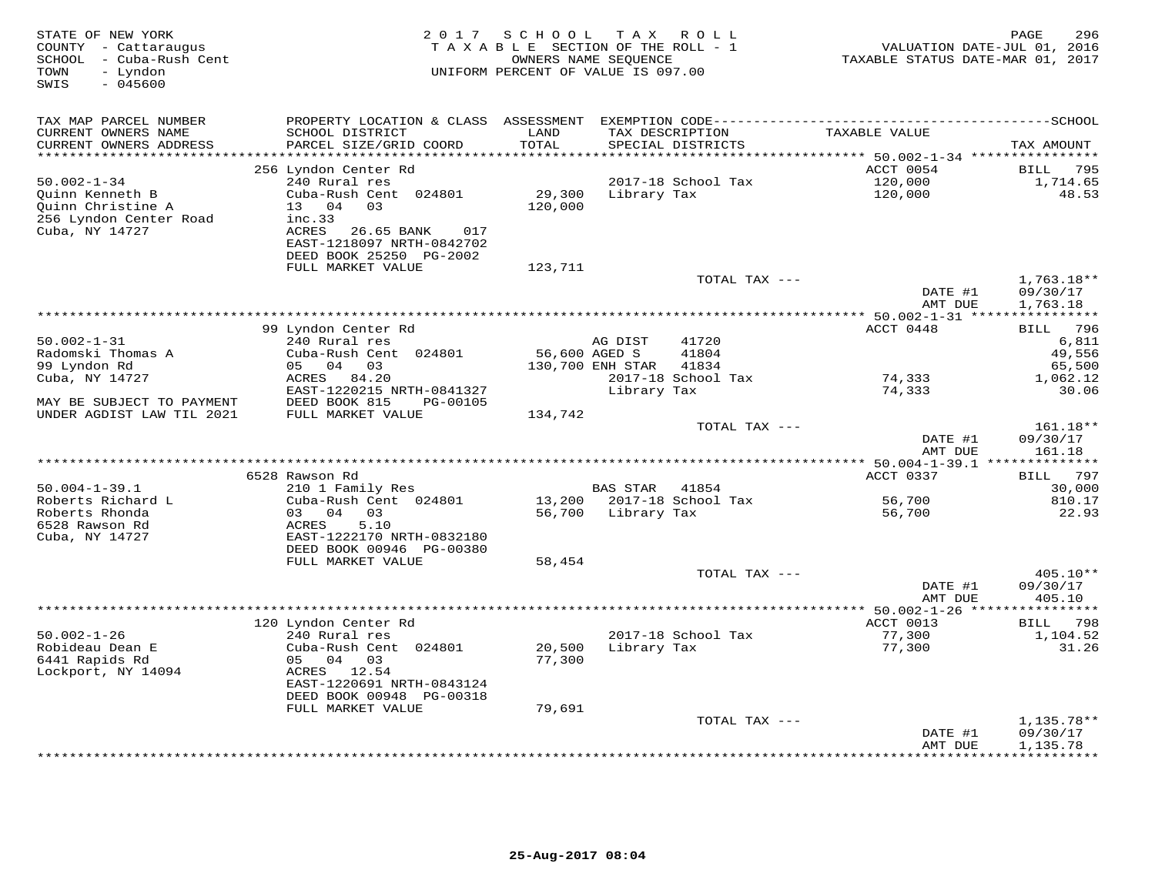| STATE OF NEW YORK<br>COUNTY - Cattaraugus<br>- Cuba-Rush Cent<br>SCHOOL<br>- Lyndon<br>TOWN<br>$-045600$<br>SWIS | 2 0 1 7                                                                                                                                                                 | SCHOOL<br>TAXABLE SECTION OF THE ROLL - 1<br>OWNERS NAME SEQUENCE<br>UNIFORM PERCENT OF VALUE IS 097.00 | T A X                                      | R O L L                                       | VALUATION DATE-JUL 01, 2016<br>TAXABLE STATUS DATE-MAR 01, 2017 | PAGE<br>296                                                          |
|------------------------------------------------------------------------------------------------------------------|-------------------------------------------------------------------------------------------------------------------------------------------------------------------------|---------------------------------------------------------------------------------------------------------|--------------------------------------------|-----------------------------------------------|-----------------------------------------------------------------|----------------------------------------------------------------------|
| TAX MAP PARCEL NUMBER<br>CURRENT OWNERS NAME<br>CURRENT OWNERS ADDRESS                                           | PROPERTY LOCATION & CLASS ASSESSMENT<br>SCHOOL DISTRICT<br>PARCEL SIZE/GRID COORD                                                                                       | LAND<br>TOTAL                                                                                           |                                            | TAX DESCRIPTION<br>SPECIAL DISTRICTS          | TAXABLE VALUE                                                   | TAX AMOUNT                                                           |
| ******************                                                                                               | 256 Lyndon Center Rd                                                                                                                                                    | ******                                                                                                  |                                            |                                               | *********** 50.002-1-34 *****************<br>ACCT 0054          | 795<br>BILL                                                          |
| $50.002 - 1 - 34$<br>Quinn Kenneth B<br>Quinn Christine A<br>256 Lyndon Center Road<br>Cuba, NY 14727            | 240 Rural res<br>Cuba-Rush Cent 024801<br>13 04<br>03<br>inc.33<br>ACRES<br>26.65 BANK<br>017<br>EAST-1218097 NRTH-0842702                                              | 29,300<br>120,000                                                                                       | Library Tax                                | 2017-18 School Tax                            | 120,000<br>120,000                                              | 1,714.65<br>48.53                                                    |
|                                                                                                                  | DEED BOOK 25250 PG-2002<br>FULL MARKET VALUE                                                                                                                            | 123,711                                                                                                 |                                            |                                               |                                                                 |                                                                      |
|                                                                                                                  |                                                                                                                                                                         |                                                                                                         |                                            | TOTAL TAX ---                                 | DATE #1<br>AMT DUE                                              | $1,763.18**$<br>09/30/17<br>1,763.18                                 |
|                                                                                                                  |                                                                                                                                                                         |                                                                                                         |                                            |                                               |                                                                 |                                                                      |
| $50.002 - 1 - 31$<br>Radomski Thomas A<br>99 Lyndon Rd<br>Cuba, NY 14727                                         | 99 Lyndon Center Rd<br>240 Rural res<br>Cuba-Rush Cent 024801<br>05 04<br>03<br>ACRES<br>84.20<br>EAST-1220215 NRTH-0841327                                             | 56,600 AGED S                                                                                           | AG DIST<br>130,700 ENH STAR<br>Library Tax | 41720<br>41804<br>41834<br>2017-18 School Tax | ACCT 0448<br>74,333<br>74,333                                   | 796<br><b>BILL</b><br>6,811<br>49,556<br>65,500<br>1,062.12<br>30.06 |
| MAY BE SUBJECT TO PAYMENT                                                                                        | DEED BOOK 815<br>PG-00105                                                                                                                                               |                                                                                                         |                                            |                                               |                                                                 |                                                                      |
| UNDER AGDIST LAW TIL 2021                                                                                        | FULL MARKET VALUE                                                                                                                                                       | 134,742                                                                                                 |                                            | TOTAL TAX ---                                 | DATE #1<br>AMT DUE                                              | 161.18**<br>09/30/17<br>161.18                                       |
|                                                                                                                  | 6528 Rawson Rd                                                                                                                                                          |                                                                                                         |                                            |                                               | ********* 50.004-1-39.1 **************<br>ACCT 0337             | 797<br>BILL                                                          |
| $50.004 - 1 - 39.1$                                                                                              | 210 1 Family Res                                                                                                                                                        |                                                                                                         | <b>BAS STAR</b>                            | 41854                                         |                                                                 | 30,000                                                               |
| Roberts Richard L<br>Roberts Rhonda<br>6528 Rawson Rd<br>Cuba, NY 14727                                          | Cuba-Rush Cent 024801<br>03 04<br>03<br>5.10<br>ACRES<br>EAST-1222170 NRTH-0832180<br>DEED BOOK 00946 PG-00380                                                          | 13,200<br>56,700                                                                                        | Library Tax                                | 2017-18 School Tax                            | 56,700<br>56,700                                                | 810.17<br>22.93                                                      |
|                                                                                                                  | FULL MARKET VALUE                                                                                                                                                       | 58,454                                                                                                  |                                            | TOTAL TAX ---                                 |                                                                 | 405.10**                                                             |
|                                                                                                                  |                                                                                                                                                                         |                                                                                                         |                                            |                                               | DATE #1<br>AMT DUE                                              | 09/30/17<br>405.10                                                   |
|                                                                                                                  | **************                                                                                                                                                          |                                                                                                         | **********************                     |                                               | $* 50.002 - 1 - 26 **$                                          | 798                                                                  |
| $50.002 - 1 - 26$<br>Robideau Dean E<br>6441 Rapids Rd<br>Lockport, NY 14094                                     | 120 Lyndon Center Rd<br>240 Rural res<br>Cuba-Rush Cent 024801<br>05 04 03<br>ACRES 12.54<br>EAST-1220691 NRTH-0843124<br>DEED BOOK 00948 PG-00318<br>FULL MARKET VALUE | 20,500<br>77,300<br>79,691                                                                              | Library Tax                                | 2017-18 School Tax                            | ACCT 0013<br>77,300<br>77,300                                   | BILL<br>1,104.52<br>31.26                                            |
|                                                                                                                  |                                                                                                                                                                         |                                                                                                         |                                            | TOTAL TAX ---                                 |                                                                 | $1,135.78**$                                                         |
|                                                                                                                  |                                                                                                                                                                         |                                                                                                         |                                            |                                               | DATE #1<br>AMT DUE                                              | 09/30/17<br>1,135.78<br>* * * * * * * *                              |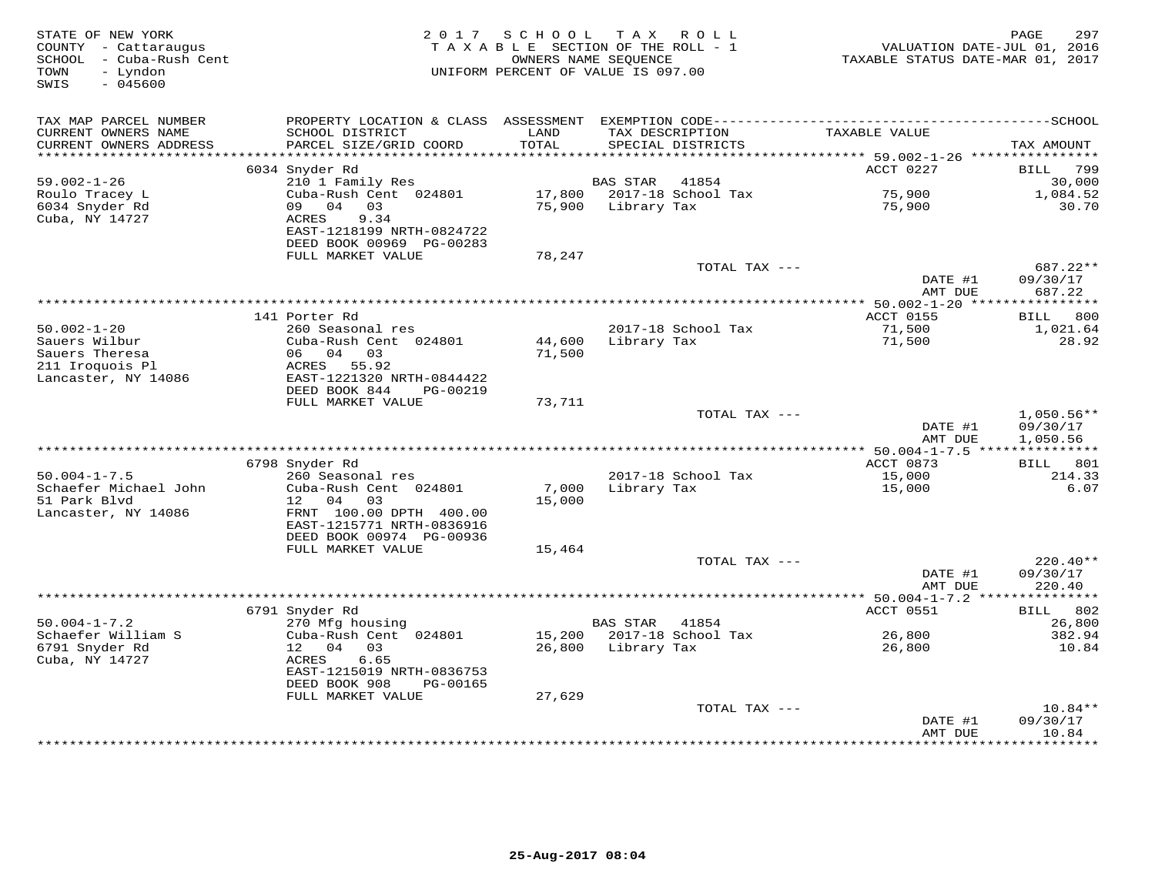| STATE OF NEW YORK<br>COUNTY - Cattaraugus<br>- Cuba-Rush Cent<br>SCHOOL<br>TOWN<br>- Lyndon<br>SWIS<br>$-045600$ | 2 0 1 7                                                                                | SCHOOL           | TAX ROLL<br>TAXABLE SECTION OF THE ROLL - 1<br>OWNERS NAME SEQUENCE<br>UNIFORM PERCENT OF VALUE IS 097.00 | VALUATION DATE-JUL 01, 2016<br>TAXABLE STATUS DATE-MAR 01, 2017 | 297<br>PAGE                          |
|------------------------------------------------------------------------------------------------------------------|----------------------------------------------------------------------------------------|------------------|-----------------------------------------------------------------------------------------------------------|-----------------------------------------------------------------|--------------------------------------|
| TAX MAP PARCEL NUMBER                                                                                            |                                                                                        |                  |                                                                                                           |                                                                 |                                      |
| CURRENT OWNERS NAME<br>CURRENT OWNERS ADDRESS<br>*******************                                             | SCHOOL DISTRICT<br>PARCEL SIZE/GRID COORD                                              | LAND<br>TOTAL    | TAX DESCRIPTION<br>SPECIAL DISTRICTS                                                                      | TAXABLE VALUE                                                   | TAX AMOUNT                           |
|                                                                                                                  | 6034 Snyder Rd                                                                         |                  |                                                                                                           | ACCT 0227                                                       | 799<br>BILL                          |
| $59.002 - 1 - 26$                                                                                                | 210 1 Family Res                                                                       |                  | BAS STAR<br>41854                                                                                         |                                                                 | 30,000                               |
| Roulo Tracey L<br>6034 Snyder Rd<br>Cuba, NY 14727                                                               | Cuba-Rush Cent 024801<br>04 03<br>09<br>ACRES<br>9.34                                  | 17,800<br>75,900 | 2017-18 School Tax<br>Library Tax                                                                         | 75,900<br>75,900                                                | 1,084.52<br>30.70                    |
|                                                                                                                  | EAST-1218199 NRTH-0824722<br>DEED BOOK 00969 PG-00283                                  |                  |                                                                                                           |                                                                 |                                      |
|                                                                                                                  | FULL MARKET VALUE                                                                      | 78,247           | TOTAL TAX ---                                                                                             |                                                                 | 687.22**                             |
|                                                                                                                  |                                                                                        |                  |                                                                                                           | DATE #1<br>AMT DUE                                              | 09/30/17<br>687.22                   |
|                                                                                                                  |                                                                                        |                  | **********************************                                                                        | $* 50.002 - 1 - 20$ ****                                        | * * * * * * * * * * *                |
|                                                                                                                  | 141 Porter Rd                                                                          |                  |                                                                                                           | ACCT 0155                                                       | 800<br>BILL                          |
| $50.002 - 1 - 20$<br>Sauers Wilbur<br>Sauers Theresa                                                             | 260 Seasonal res<br>Cuba-Rush Cent 024801<br>06 04 03<br>ACRES 55.92                   | 44,600<br>71,500 | 2017-18 School Tax<br>Library Tax                                                                         | 71,500<br>71,500                                                | 1,021.64<br>28.92                    |
| 211 Iroquois Pl<br>Lancaster, NY 14086                                                                           | EAST-1221320 NRTH-0844422<br>DEED BOOK 844<br>PG-00219                                 |                  |                                                                                                           |                                                                 |                                      |
|                                                                                                                  | FULL MARKET VALUE                                                                      | 73,711           | TOTAL TAX ---                                                                                             |                                                                 |                                      |
|                                                                                                                  |                                                                                        |                  |                                                                                                           | DATE #1<br>AMT DUE                                              | $1,050.56**$<br>09/30/17<br>1,050.56 |
|                                                                                                                  |                                                                                        |                  |                                                                                                           |                                                                 |                                      |
|                                                                                                                  | 6798 Snyder Rd                                                                         |                  |                                                                                                           | ACCT 0873                                                       | BILL 801                             |
| $50.004 - 1 - 7.5$                                                                                               | 260 Seasonal res                                                                       |                  | 2017-18 School Tax                                                                                        | 15,000                                                          | 214.33                               |
| Schaefer Michael John<br>51 Park Blvd<br>Lancaster, NY 14086                                                     | Cuba-Rush Cent 024801<br>12<br>04<br>03<br>FRNT 100.00 DPTH 400.00                     | 7,000<br>15,000  | Library Tax                                                                                               | 15,000                                                          | 6.07                                 |
|                                                                                                                  | EAST-1215771 NRTH-0836916<br>DEED BOOK 00974 PG-00936                                  |                  |                                                                                                           |                                                                 |                                      |
|                                                                                                                  | FULL MARKET VALUE                                                                      | 15,464           |                                                                                                           |                                                                 |                                      |
|                                                                                                                  |                                                                                        |                  | TOTAL TAX ---                                                                                             | DATE #1                                                         | $220.40**$<br>09/30/17               |
|                                                                                                                  |                                                                                        |                  |                                                                                                           | AMT DUE<br>****************** 50.004-1-7.2 ****************     | 220.40                               |
|                                                                                                                  | 6791 Snyder Rd                                                                         |                  |                                                                                                           | ACCT 0551                                                       | 802<br>BILL                          |
| $50.004 - 1 - 7.2$                                                                                               | 270 Mfg housing                                                                        |                  | <b>BAS STAR</b><br>41854                                                                                  |                                                                 | 26,800                               |
| Schaefer William S                                                                                               | Cuba-Rush Cent 024801                                                                  | 15,200           | 2017-18 School Tax                                                                                        | 26,800                                                          | 382.94                               |
| 6791 Snyder Rd<br>Cuba, NY 14727                                                                                 | 12 04<br>03<br>ACRES<br>6.65<br>EAST-1215019 NRTH-0836753<br>DEED BOOK 908<br>PG-00165 | 26,800           | Library Tax                                                                                               | 26,800                                                          | 10.84                                |
|                                                                                                                  | FULL MARKET VALUE                                                                      | 27,629           |                                                                                                           |                                                                 |                                      |
|                                                                                                                  |                                                                                        |                  | TOTAL TAX ---                                                                                             | DATE #1                                                         | $10.84**$<br>09/30/17                |
|                                                                                                                  |                                                                                        |                  |                                                                                                           | AMT DUE<br>* * * * * * * *                                      | 10.84<br>********                    |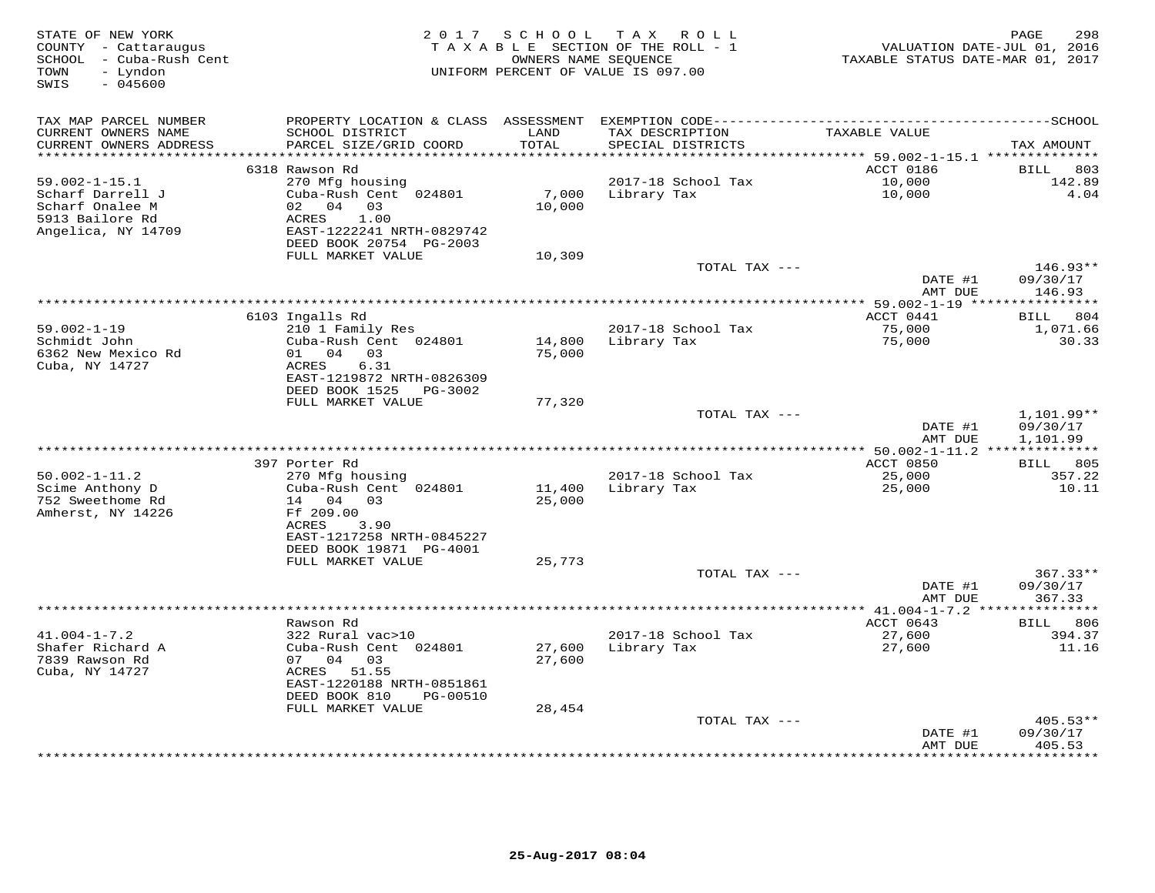| STATE OF NEW YORK<br>COUNTY - Cattaraugus<br>- Cuba-Rush Cent<br>SCHOOL<br>- Lyndon<br>TOWN<br>$-045600$<br>SWIS | 2 0 1 7                                                                                                                              | SCHOOL           | T A X<br>R O L L<br>TAXABLE SECTION OF THE ROLL - 1<br>OWNERS NAME SEQUENCE<br>UNIFORM PERCENT OF VALUE IS 097.00 | VALUATION DATE-JUL 01, 2016<br>TAXABLE STATUS DATE-MAR 01, 2017 | PAGE<br>298                      |
|------------------------------------------------------------------------------------------------------------------|--------------------------------------------------------------------------------------------------------------------------------------|------------------|-------------------------------------------------------------------------------------------------------------------|-----------------------------------------------------------------|----------------------------------|
| TAX MAP PARCEL NUMBER<br>CURRENT OWNERS NAME<br>CURRENT OWNERS ADDRESS                                           | PROPERTY LOCATION & CLASS ASSESSMENT<br>SCHOOL DISTRICT<br>PARCEL SIZE/GRID COORD                                                    | LAND<br>TOTAL    | TAX DESCRIPTION<br>SPECIAL DISTRICTS                                                                              | TAXABLE VALUE                                                   | TAX AMOUNT                       |
| ******************                                                                                               |                                                                                                                                      | ******           |                                                                                                                   | ********* 59.002-1-15.1 **************                          |                                  |
|                                                                                                                  | 6318 Rawson Rd                                                                                                                       |                  |                                                                                                                   | ACCT 0186<br>10,000                                             | 803<br>BILL<br>142.89            |
| $59.002 - 1 - 15.1$<br>Scharf Darrell J<br>Scharf Onalee M<br>5913 Bailore Rd<br>Angelica, NY 14709              | 270 Mfg housing<br>Cuba-Rush Cent 024801<br>02 04<br>03<br>1.00<br>ACRES<br>EAST-1222241 NRTH-0829742<br>DEED BOOK 20754 PG-2003     | 7,000<br>10,000  | 2017-18 School Tax<br>Library Tax                                                                                 | 10,000                                                          | 4.04                             |
|                                                                                                                  | FULL MARKET VALUE                                                                                                                    | 10,309           |                                                                                                                   |                                                                 |                                  |
|                                                                                                                  |                                                                                                                                      |                  | TOTAL TAX ---                                                                                                     | DATE #1<br>AMT DUE                                              | $146.93**$<br>09/30/17<br>146.93 |
|                                                                                                                  |                                                                                                                                      |                  |                                                                                                                   |                                                                 |                                  |
| $59.002 - 1 - 19$                                                                                                | 6103 Ingalls Rd<br>210 1 Family Res                                                                                                  |                  | 2017-18 School Tax                                                                                                | ACCT 0441<br>75,000                                             | 804<br>BILL<br>1,071.66          |
| Schmidt John<br>6362 New Mexico Rd<br>Cuba, NY 14727                                                             | Cuba-Rush Cent 024801<br>03<br>01<br>04<br>ACRES<br>6.31<br>EAST-1219872 NRTH-0826309                                                | 14,800<br>75,000 | Library Tax                                                                                                       | 75,000                                                          | 30.33                            |
|                                                                                                                  | DEED BOOK 1525<br>PG-3002<br>FULL MARKET VALUE                                                                                       | 77,320           |                                                                                                                   |                                                                 |                                  |
|                                                                                                                  |                                                                                                                                      |                  | TOTAL TAX ---                                                                                                     | DATE #1                                                         | 1,101.99**<br>09/30/17           |
|                                                                                                                  |                                                                                                                                      |                  |                                                                                                                   | AMT DUE<br>*********** 50.002-1-11.2                            | 1,101.99                         |
|                                                                                                                  | 397 Porter Rd                                                                                                                        |                  |                                                                                                                   | ACCT 0850                                                       | 805<br>BILL                      |
| $50.002 - 1 - 11.2$                                                                                              | 270 Mfg housing                                                                                                                      |                  | 2017-18 School Tax                                                                                                | 25,000                                                          | 357.22                           |
| Scime Anthony D<br>752 Sweethome Rd<br>Amherst, NY 14226                                                         | Cuba-Rush Cent 024801<br>14 04 03<br>Ff 209.00<br>ACRES<br>3.90<br>EAST-1217258 NRTH-0845227<br>DEED BOOK 19871 PG-4001              | 11,400<br>25,000 | Library Tax                                                                                                       | 25,000                                                          | 10.11                            |
|                                                                                                                  | FULL MARKET VALUE                                                                                                                    | 25,773           |                                                                                                                   |                                                                 |                                  |
|                                                                                                                  |                                                                                                                                      |                  | TOTAL TAX ---                                                                                                     | DATE #1<br>AMT DUE                                              | $367.33**$<br>09/30/17<br>367.33 |
|                                                                                                                  |                                                                                                                                      |                  |                                                                                                                   | $*$ 41.004-1-7.2                                                |                                  |
|                                                                                                                  | Rawson Rd                                                                                                                            |                  |                                                                                                                   | ACCT 0643                                                       | BILL 806                         |
| $41.004 - 1 - 7.2$<br>Shafer Richard A<br>7839 Rawson Rd<br>Cuba, NY 14727                                       | 322 Rural vac>10<br>Cuba-Rush Cent 024801<br>07 04<br>03<br>ACRES<br>51.55<br>EAST-1220188 NRTH-0851861<br>DEED BOOK 810<br>PG-00510 | 27,600<br>27,600 | 2017-18 School Tax<br>Library Tax                                                                                 | 27,600<br>27,600                                                | 394.37<br>11.16                  |
|                                                                                                                  | FULL MARKET VALUE                                                                                                                    | 28,454           |                                                                                                                   |                                                                 |                                  |
|                                                                                                                  |                                                                                                                                      |                  | TOTAL TAX ---                                                                                                     | DATE #1<br>AMT DUE                                              | $405.53**$<br>09/30/17<br>405.53 |
|                                                                                                                  |                                                                                                                                      |                  |                                                                                                                   |                                                                 | *******                          |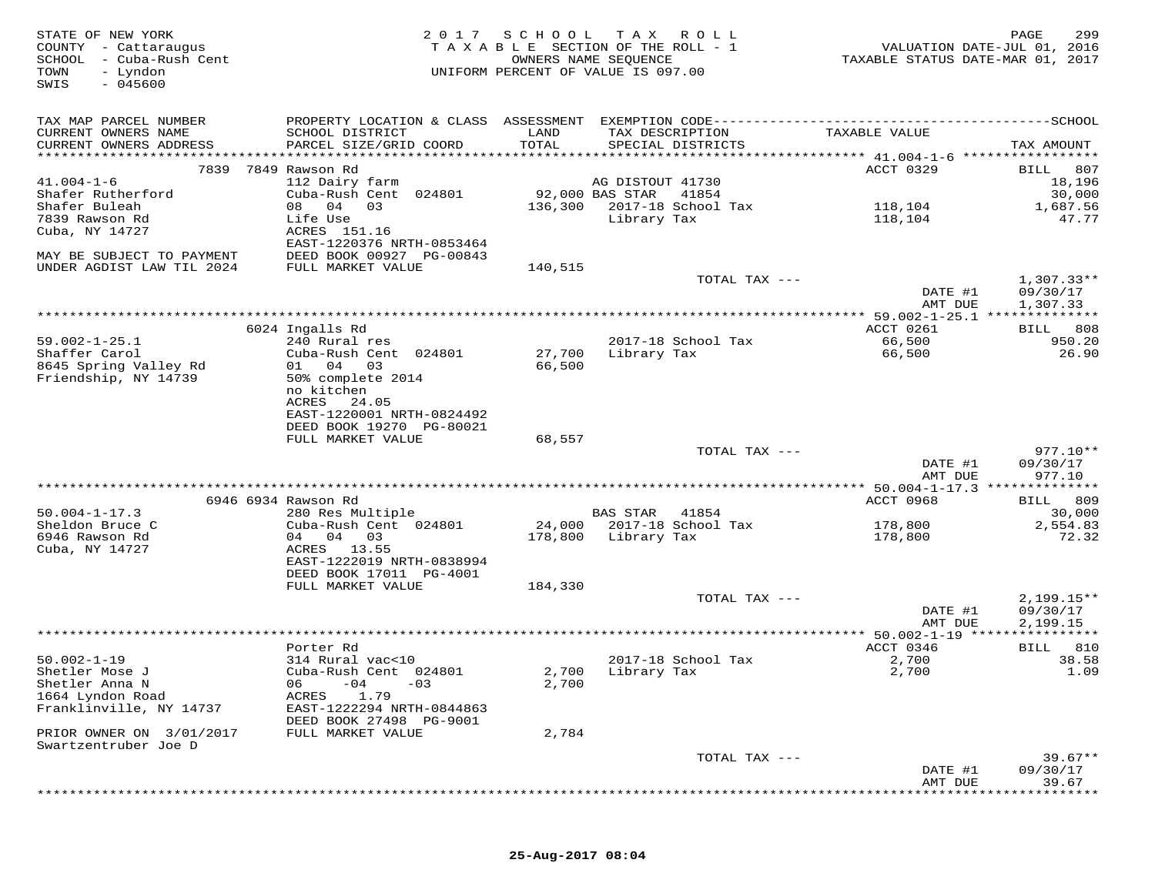| STATE OF NEW YORK<br>COUNTY - Cattaraugus<br>SCHOOL - Cuba-Rush Cent<br>TOWN<br>- Lyndon<br>$-045600$<br>SWIS |                                                      | 2017 SCHOOL<br>TAXABLE SECTION OF THE ROLL - 1<br>UNIFORM PERCENT OF VALUE IS 097.00 | TAX ROLL<br>OWNERS NAME SEQUENCE |                    | VALUATION DATE-JUL 01, 2016<br>TAXABLE STATUS DATE-MAR 01, 2017 | PAGE<br>299           |
|---------------------------------------------------------------------------------------------------------------|------------------------------------------------------|--------------------------------------------------------------------------------------|----------------------------------|--------------------|-----------------------------------------------------------------|-----------------------|
| TAX MAP PARCEL NUMBER                                                                                         |                                                      |                                                                                      |                                  |                    |                                                                 |                       |
| CURRENT OWNERS NAME<br>CURRENT OWNERS ADDRESS                                                                 | SCHOOL DISTRICT<br>PARCEL SIZE/GRID COORD            | LAND<br>TOTAL                                                                        | TAX DESCRIPTION                  | SPECIAL DISTRICTS  | TAXABLE VALUE                                                   | TAX AMOUNT            |
|                                                                                                               |                                                      |                                                                                      |                                  |                    | ACCT 0329                                                       |                       |
| $41.004 - 1 - 6$                                                                                              | 7839 7849 Rawson Rd<br>112 Dairy farm                |                                                                                      | AG DISTOUT 41730                 |                    |                                                                 | 807<br>BILL<br>18,196 |
| Shafer Rutherford                                                                                             | Cuba-Rush Cent 024801                                |                                                                                      | 92,000 BAS STAR                  | 41854              |                                                                 | 30,000                |
| Shafer Buleah                                                                                                 | 08 04 03                                             | 136,300                                                                              |                                  | 2017-18 School Tax | 118,104                                                         | 1,687.56              |
| 7839 Rawson Rd                                                                                                | Life Use                                             |                                                                                      | Library Tax                      |                    | 118,104                                                         | 47.77                 |
| Cuba, NY 14727                                                                                                | ACRES 151.16                                         |                                                                                      |                                  |                    |                                                                 |                       |
|                                                                                                               | EAST-1220376 NRTH-0853464                            |                                                                                      |                                  |                    |                                                                 |                       |
| MAY BE SUBJECT TO PAYMENT                                                                                     | DEED BOOK 00927 PG-00843                             |                                                                                      |                                  |                    |                                                                 |                       |
| UNDER AGDIST LAW TIL 2024                                                                                     | FULL MARKET VALUE                                    | 140,515                                                                              |                                  | TOTAL TAX ---      |                                                                 | $1,307.33**$          |
|                                                                                                               |                                                      |                                                                                      |                                  |                    | DATE #1<br>AMT DUE                                              | 09/30/17<br>1,307.33  |
|                                                                                                               |                                                      |                                                                                      |                                  |                    |                                                                 |                       |
|                                                                                                               | 6024 Ingalls Rd                                      |                                                                                      |                                  |                    | ACCT 0261                                                       | BILL 808              |
| $59.002 - 1 - 25.1$                                                                                           | 240 Rural res                                        |                                                                                      |                                  | 2017-18 School Tax | 66,500                                                          | 950.20                |
| Shaffer Carol                                                                                                 | Cuba-Rush Cent 024801                                | 27,700                                                                               | Library Tax                      |                    | 66,500                                                          | 26.90                 |
| 8645 Spring Valley Rd                                                                                         | 01 04<br>03                                          | 66,500                                                                               |                                  |                    |                                                                 |                       |
| Friendship, NY 14739                                                                                          | 50% complete 2014                                    |                                                                                      |                                  |                    |                                                                 |                       |
|                                                                                                               | no kitchen<br>ACRES<br>24.05                         |                                                                                      |                                  |                    |                                                                 |                       |
|                                                                                                               | EAST-1220001 NRTH-0824492                            |                                                                                      |                                  |                    |                                                                 |                       |
|                                                                                                               | DEED BOOK 19270 PG-80021                             |                                                                                      |                                  |                    |                                                                 |                       |
|                                                                                                               | FULL MARKET VALUE                                    | 68,557                                                                               |                                  |                    |                                                                 |                       |
|                                                                                                               |                                                      |                                                                                      |                                  | TOTAL TAX ---      |                                                                 | $977.10**$            |
|                                                                                                               |                                                      |                                                                                      |                                  |                    | DATE #1                                                         | 09/30/17              |
|                                                                                                               |                                                      |                                                                                      |                                  |                    | AMT DUE                                                         | 977.10                |
|                                                                                                               |                                                      |                                                                                      |                                  |                    |                                                                 |                       |
| $50.004 - 1 - 17.3$                                                                                           | 6946 6934 Rawson Rd<br>280 Res Multiple              |                                                                                      | <b>BAS STAR</b>                  | 41854              | ACCT 0968                                                       | BILL 809<br>30,000    |
| Sheldon Bruce C                                                                                               | Cuba-Rush Cent 024801                                |                                                                                      | 24,000 2017-18 School Tax        |                    | 178,800                                                         | 2,554.83              |
| 6946 Rawson Rd                                                                                                | 04 04 03                                             |                                                                                      | 178,800 Library Tax              |                    | 178,800                                                         | 72.32                 |
| Cuba, NY 14727                                                                                                | ACRES 13.55                                          |                                                                                      |                                  |                    |                                                                 |                       |
|                                                                                                               | EAST-1222019 NRTH-0838994                            |                                                                                      |                                  |                    |                                                                 |                       |
|                                                                                                               | DEED BOOK 17011 PG-4001                              |                                                                                      |                                  |                    |                                                                 |                       |
|                                                                                                               | FULL MARKET VALUE                                    | 184,330                                                                              |                                  |                    |                                                                 |                       |
|                                                                                                               |                                                      |                                                                                      |                                  | TOTAL TAX ---      |                                                                 | $2,199.15**$          |
|                                                                                                               |                                                      |                                                                                      |                                  |                    | DATE #1<br>AMT DUE                                              | 09/30/17<br>2,199.15  |
|                                                                                                               |                                                      |                                                                                      |                                  |                    |                                                                 |                       |
|                                                                                                               | Porter Rd                                            |                                                                                      |                                  |                    | ACCT 0346                                                       | BILL 810              |
| $50.002 - 1 - 19$                                                                                             | 314 Rural vac<10                                     |                                                                                      |                                  | 2017-18 School Tax | 2,700                                                           | 38.58                 |
| Shetler Mose J                                                                                                | Cuba-Rush Cent 024801                                |                                                                                      | 2,700 Library Tax                |                    | 2,700                                                           | 1.09                  |
| Shetler Anna N                                                                                                | 06<br>$-04$<br>$-03$                                 | 2,700                                                                                |                                  |                    |                                                                 |                       |
| 1664 Lyndon Road                                                                                              | ACRES<br>1.79                                        |                                                                                      |                                  |                    |                                                                 |                       |
| Franklinville, NY 14737                                                                                       | EAST-1222294 NRTH-0844863<br>DEED BOOK 27498 PG-9001 |                                                                                      |                                  |                    |                                                                 |                       |
| PRIOR OWNER ON 3/01/2017                                                                                      | FULL MARKET VALUE                                    | 2,784                                                                                |                                  |                    |                                                                 |                       |
| Swartzentruber Joe D                                                                                          |                                                      |                                                                                      |                                  |                    |                                                                 |                       |
|                                                                                                               |                                                      |                                                                                      |                                  | TOTAL TAX ---      |                                                                 | $39.67**$             |
|                                                                                                               |                                                      |                                                                                      |                                  |                    | DATE #1                                                         | 09/30/17              |
|                                                                                                               |                                                      |                                                                                      |                                  |                    | AMT DUE                                                         | 39.67                 |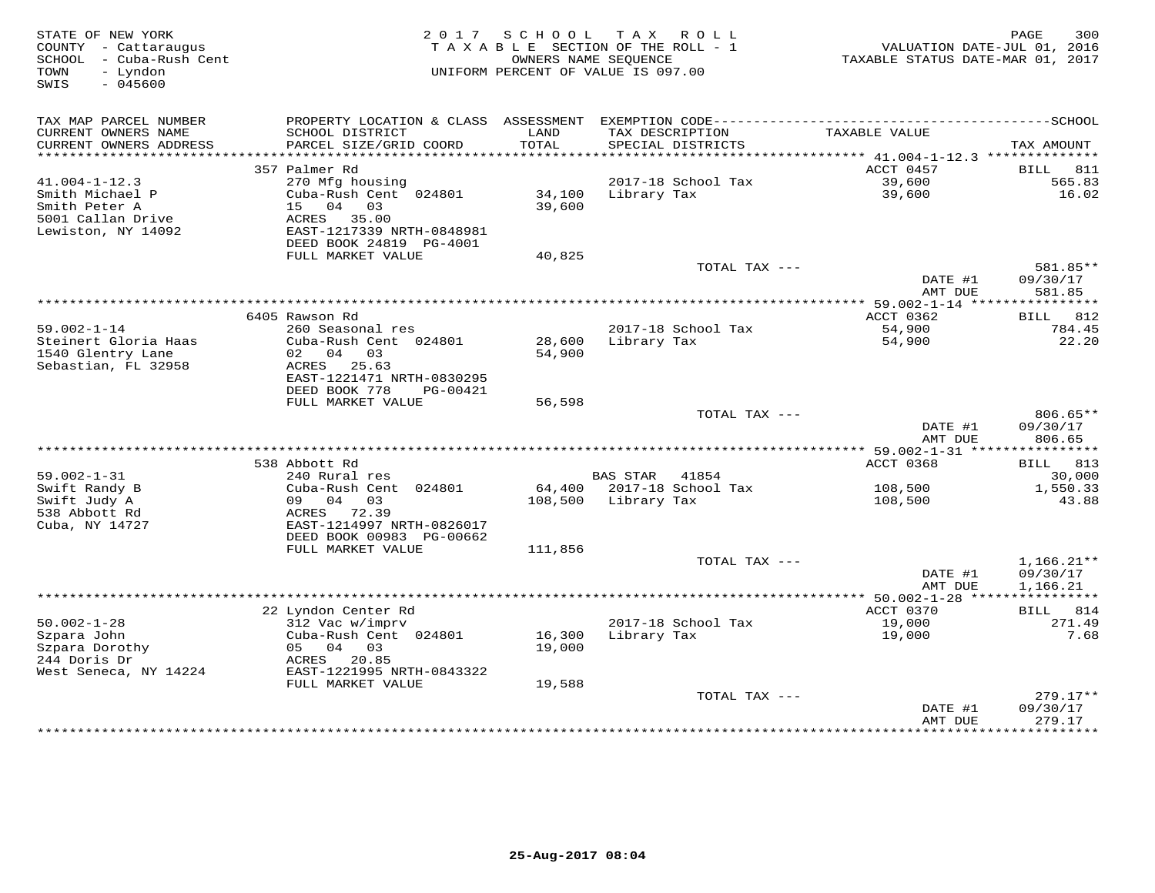| STATE OF NEW YORK<br>COUNTY - Cattaraugus<br>SCHOOL - Cuba-Rush Cent<br>- Lyndon<br>TOWN<br>SWIS<br>$-045600$ |                                                                                                            | 2017 SCHOOL TAX ROLL<br>TAXABLE SECTION OF THE ROLL - 1<br>UNIFORM PERCENT OF VALUE IS 097.00 | OWNERS NAME SEOUENCE |                                      | TAXABLE STATUS DATE-MAR 01, 2017 | 300<br>PAGE<br>VALUATION DATE-JUL 01, 2016 |
|---------------------------------------------------------------------------------------------------------------|------------------------------------------------------------------------------------------------------------|-----------------------------------------------------------------------------------------------|----------------------|--------------------------------------|----------------------------------|--------------------------------------------|
| TAX MAP PARCEL NUMBER<br>CURRENT OWNERS NAME<br>CURRENT OWNERS ADDRESS                                        | SCHOOL DISTRICT<br>PARCEL SIZE/GRID COORD                                                                  | LAND<br>TOTAL                                                                                 |                      | TAX DESCRIPTION<br>SPECIAL DISTRICTS | TAXABLE VALUE                    | TAX AMOUNT                                 |
| ********************                                                                                          |                                                                                                            |                                                                                               |                      |                                      |                                  |                                            |
| $41.004 - 1 - 12.3$                                                                                           | 357 Palmer Rd<br>270 Mfg housing                                                                           |                                                                                               |                      | 2017-18 School Tax                   | ACCT 0457<br>39,600              | 811<br>BILL<br>565.83                      |
| Smith Michael P<br>Smith Peter A<br>5001 Callan Drive<br>Lewiston, NY 14092                                   | Cuba-Rush Cent 024801<br>15 04 03<br>ACRES 35.00<br>EAST-1217339 NRTH-0848981<br>DEED BOOK 24819 PG-4001   | 34,100<br>39,600                                                                              | Library Tax          |                                      | 39,600                           | 16.02                                      |
|                                                                                                               | FULL MARKET VALUE                                                                                          | 40,825                                                                                        |                      |                                      |                                  |                                            |
|                                                                                                               |                                                                                                            |                                                                                               |                      | TOTAL TAX ---                        | DATE #1<br>AMT DUE               | 581.85**<br>09/30/17<br>581.85             |
|                                                                                                               |                                                                                                            |                                                                                               |                      |                                      |                                  |                                            |
| $59.002 - 1 - 14$                                                                                             | 6405 Rawson Rd<br>260 Seasonal res                                                                         |                                                                                               |                      | 2017-18 School Tax                   | ACCT 0362<br>54,900              | 812<br>BILL<br>784.45                      |
| Steinert Gloria Haas<br>1540 Glentry Lane<br>Sebastian, FL 32958                                              | Cuba-Rush Cent 024801<br>02 04 03<br>ACRES 25.63<br>EAST-1221471 NRTH-0830295<br>DEED BOOK 778<br>PG-00421 | 54,900                                                                                        | 28,600 Library Tax   |                                      | 54,900                           | 22.20                                      |
|                                                                                                               | FULL MARKET VALUE                                                                                          | 56,598                                                                                        |                      |                                      |                                  |                                            |
|                                                                                                               |                                                                                                            |                                                                                               |                      | TOTAL TAX ---                        | DATE #1<br>AMT DUE               | 806.65**<br>09/30/17<br>806.65             |
|                                                                                                               |                                                                                                            |                                                                                               |                      |                                      |                                  |                                            |
| $59.002 - 1 - 31$                                                                                             | 538 Abbott Rd<br>240 Rural res                                                                             |                                                                                               | BAS STAR 41854       |                                      | ACCT 0368                        | BILL 813<br>30,000                         |
| Swift Randy B                                                                                                 | Cuba-Rush Cent 024801                                                                                      |                                                                                               |                      | 64,400 2017-18 School Tax            | 108,500                          | 1,550.33                                   |
| Swift Judy A<br>538 Abbott Rd<br>Cuba, NY 14727                                                               | 09 04 03<br>ACRES 72.39<br>EAST-1214997 NRTH-0826017<br>DEED BOOK 00983 PG-00662                           |                                                                                               | 108,500 Library Tax  |                                      | 108,500                          | 43.88                                      |
|                                                                                                               | FULL MARKET VALUE                                                                                          | 111,856                                                                                       |                      |                                      |                                  |                                            |
|                                                                                                               |                                                                                                            |                                                                                               |                      | TOTAL TAX ---                        | DATE #1<br>AMT DUE               | $1,166.21**$<br>09/30/17<br>1,166.21       |
|                                                                                                               |                                                                                                            |                                                                                               |                      |                                      |                                  |                                            |
|                                                                                                               | 22 Lyndon Center Rd                                                                                        |                                                                                               |                      |                                      | ACCT 0370                        | <b>BILL</b> 814                            |
| $50.002 - 1 - 28$<br>Szpara John<br>Szpara Dorothy<br>244 Doris Dr<br>West Seneca, NY 14224                   | 312 Vac w/impry<br>Cuba-Rush Cent 024801<br>05 04 03<br>ACRES 20.85<br>EAST-1221995 NRTH-0843322           | 16,300<br>19,000                                                                              | Library Tax          | 2017-18 School Tax                   | 19,000<br>19,000                 | 271.49<br>7.68                             |
|                                                                                                               | FULL MARKET VALUE                                                                                          | 19,588                                                                                        |                      | TOTAL TAX ---                        |                                  | $279.17**$                                 |
|                                                                                                               |                                                                                                            |                                                                                               |                      |                                      | DATE #1<br>AMT DUE               | 09/30/17<br>279.17                         |
|                                                                                                               |                                                                                                            |                                                                                               |                      |                                      | **************                   | **********                                 |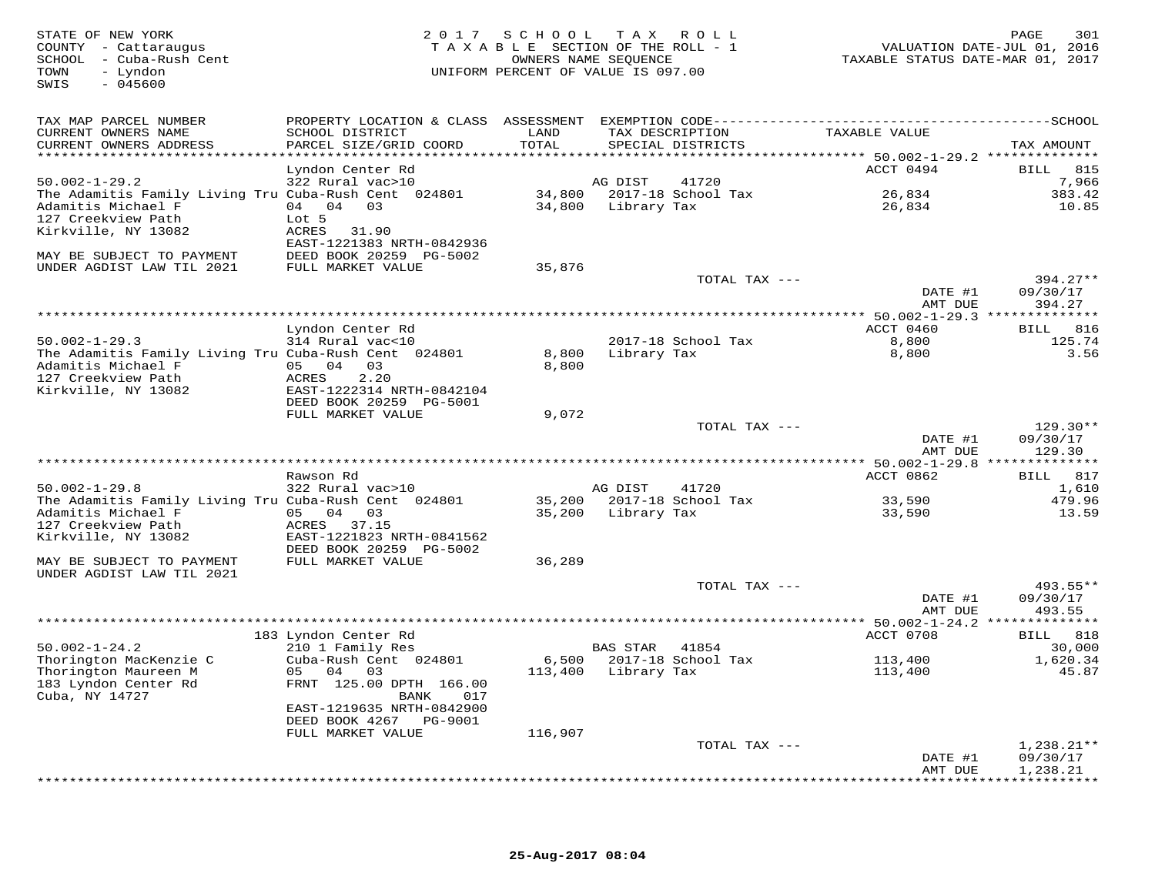| STATE OF NEW YORK<br>COUNTY - Cattaraugus<br>SCHOOL - Cuba-Rush Cent<br>- Lyndon<br>TOWN<br>$-045600$<br>SWIS |                                                     |         | 2017 SCHOOL TAX ROLL<br>TAXABLE SECTION OF THE ROLL - 1<br>OWNERS NAME SEQUENCE<br>UNIFORM PERCENT OF VALUE IS 097.00 | TAXABLE STATUS DATE-MAR 01, 2017 | 301<br>PAGE<br>VALUATION DATE-JUL 01, 2016 |
|---------------------------------------------------------------------------------------------------------------|-----------------------------------------------------|---------|-----------------------------------------------------------------------------------------------------------------------|----------------------------------|--------------------------------------------|
| TAX MAP PARCEL NUMBER                                                                                         |                                                     |         |                                                                                                                       |                                  |                                            |
| CURRENT OWNERS NAME                                                                                           | SCHOOL DISTRICT                                     | LAND    | TAX DESCRIPTION                                                                                                       | TAXABLE VALUE                    |                                            |
| CURRENT OWNERS ADDRESS<br>**********************                                                              | PARCEL SIZE/GRID COORD                              | TOTAL   | SPECIAL DISTRICTS                                                                                                     |                                  | TAX AMOUNT                                 |
|                                                                                                               | Lyndon Center Rd                                    |         |                                                                                                                       | ACCT 0494                        | <b>BILL</b> 815                            |
| $50.002 - 1 - 29.2$                                                                                           | 322 Rural vac>10                                    |         | AG DIST<br>41720                                                                                                      |                                  | 7,966                                      |
| The Adamitis Family Living Tru Cuba-Rush Cent 024801                                                          |                                                     |         | 34,800 2017-18 School Tax                                                                                             | 26,834                           | 383.42                                     |
| Adamitis Michael F                                                                                            | 04 04 03                                            |         | 34,800 Library Tax                                                                                                    | 26,834                           | 10.85                                      |
| 127 Creekview Path                                                                                            | Lot 5                                               |         |                                                                                                                       |                                  |                                            |
| Kirkville, NY 13082                                                                                           | ACRES<br>31.90<br>EAST-1221383 NRTH-0842936         |         |                                                                                                                       |                                  |                                            |
| MAY BE SUBJECT TO PAYMENT                                                                                     | DEED BOOK 20259 PG-5002                             |         |                                                                                                                       |                                  |                                            |
| UNDER AGDIST LAW TIL 2021                                                                                     | FULL MARKET VALUE                                   | 35,876  |                                                                                                                       |                                  |                                            |
|                                                                                                               |                                                     |         | TOTAL TAX ---                                                                                                         |                                  | $394.27**$                                 |
|                                                                                                               |                                                     |         |                                                                                                                       | DATE #1                          | 09/30/17                                   |
|                                                                                                               |                                                     |         |                                                                                                                       | AMT DUE                          | 394.27                                     |
|                                                                                                               | Lyndon Center Rd                                    |         |                                                                                                                       | ACCT 0460                        | <b>BILL</b> 816                            |
| $50.002 - 1 - 29.3$                                                                                           | 314 Rural vac<10                                    |         | 2017-18 School Tax                                                                                                    | 8,800                            | 125.74                                     |
| The Adamitis Family Living Tru Cuba-Rush Cent 024801                                                          |                                                     | 8,800   | Library Tax                                                                                                           | 8,800                            | 3.56                                       |
| Adamitis Michael F                                                                                            | 05 04 03                                            | 8,800   |                                                                                                                       |                                  |                                            |
| 127 Creekview Path                                                                                            | ACRES<br>2.20                                       |         |                                                                                                                       |                                  |                                            |
| Kirkville, NY 13082                                                                                           | EAST-1222314 NRTH-0842104                           |         |                                                                                                                       |                                  |                                            |
|                                                                                                               | DEED BOOK 20259 PG-5001<br>FULL MARKET VALUE        | 9,072   |                                                                                                                       |                                  |                                            |
|                                                                                                               |                                                     |         | TOTAL TAX ---                                                                                                         |                                  | $129.30**$                                 |
|                                                                                                               |                                                     |         |                                                                                                                       | DATE #1                          | 09/30/17                                   |
|                                                                                                               |                                                     |         |                                                                                                                       | AMT DUE                          | 129.30                                     |
|                                                                                                               | *******************                                 |         |                                                                                                                       |                                  |                                            |
| $50.002 - 1 - 29.8$                                                                                           | Rawson Rd<br>322 Rural vac>10                       |         | AG DIST<br>41720                                                                                                      | ACCT 0862                        | BILL 817<br>1,610                          |
| The Adamitis Family Living Tru Cuba-Rush Cent 024801                                                          |                                                     |         | 35,200 2017-18 School Tax                                                                                             | 33,590                           | 479.96                                     |
| Adamitis Michael F                                                                                            | 05 04 03                                            |         | 35,200 Library Tax                                                                                                    | 33,590                           | 13.59                                      |
| 127 Creekview Path                                                                                            | ACRES 37.15                                         |         |                                                                                                                       |                                  |                                            |
| Kirkville, NY 13082                                                                                           | EAST-1221823 NRTH-0841562                           |         |                                                                                                                       |                                  |                                            |
| MAY BE SUBJECT TO PAYMENT                                                                                     | DEED BOOK 20259 PG-5002<br>FULL MARKET VALUE        | 36,289  |                                                                                                                       |                                  |                                            |
| UNDER AGDIST LAW TIL 2021                                                                                     |                                                     |         |                                                                                                                       |                                  |                                            |
|                                                                                                               |                                                     |         | TOTAL TAX ---                                                                                                         |                                  | 493.55**                                   |
|                                                                                                               |                                                     |         |                                                                                                                       | DATE #1                          | 09/30/17                                   |
|                                                                                                               |                                                     |         |                                                                                                                       | AMT DUE                          | 493.55                                     |
|                                                                                                               |                                                     |         |                                                                                                                       |                                  |                                            |
| $50.002 - 1 - 24.2$                                                                                           | 183 Lyndon Center Rd<br>210 1 Family Res            |         | <b>BAS STAR</b><br>41854                                                                                              | ACCT 0708                        | BILL 818<br>30,000                         |
| Thorington MacKenzie C                                                                                        | Cuba-Rush Cent 024801                               |         | 6,500 2017-18 School Tax                                                                                              | 113,400                          | 1,620.34                                   |
| Thorington Maureen M                                                                                          | 05 04<br>03                                         |         | 113,400 Library Tax                                                                                                   | 113,400                          | 45.87                                      |
| 183 Lyndon Center Rd                                                                                          | FRNT 125.00 DPTH 166.00                             |         |                                                                                                                       |                                  |                                            |
| Cuba, NY 14727                                                                                                | BANK<br>017                                         |         |                                                                                                                       |                                  |                                            |
|                                                                                                               | EAST-1219635 NRTH-0842900<br>DEED BOOK 4267 PG-9001 |         |                                                                                                                       |                                  |                                            |
|                                                                                                               | FULL MARKET VALUE                                   | 116,907 |                                                                                                                       |                                  |                                            |
|                                                                                                               |                                                     |         | TOTAL TAX ---                                                                                                         |                                  | $1,238.21**$                               |
|                                                                                                               |                                                     |         |                                                                                                                       | DATE #1                          | 09/30/17                                   |
|                                                                                                               |                                                     |         |                                                                                                                       | AMT DUE                          | 1,238.21<br>* * * * * * * * * * * *        |
|                                                                                                               |                                                     |         |                                                                                                                       |                                  |                                            |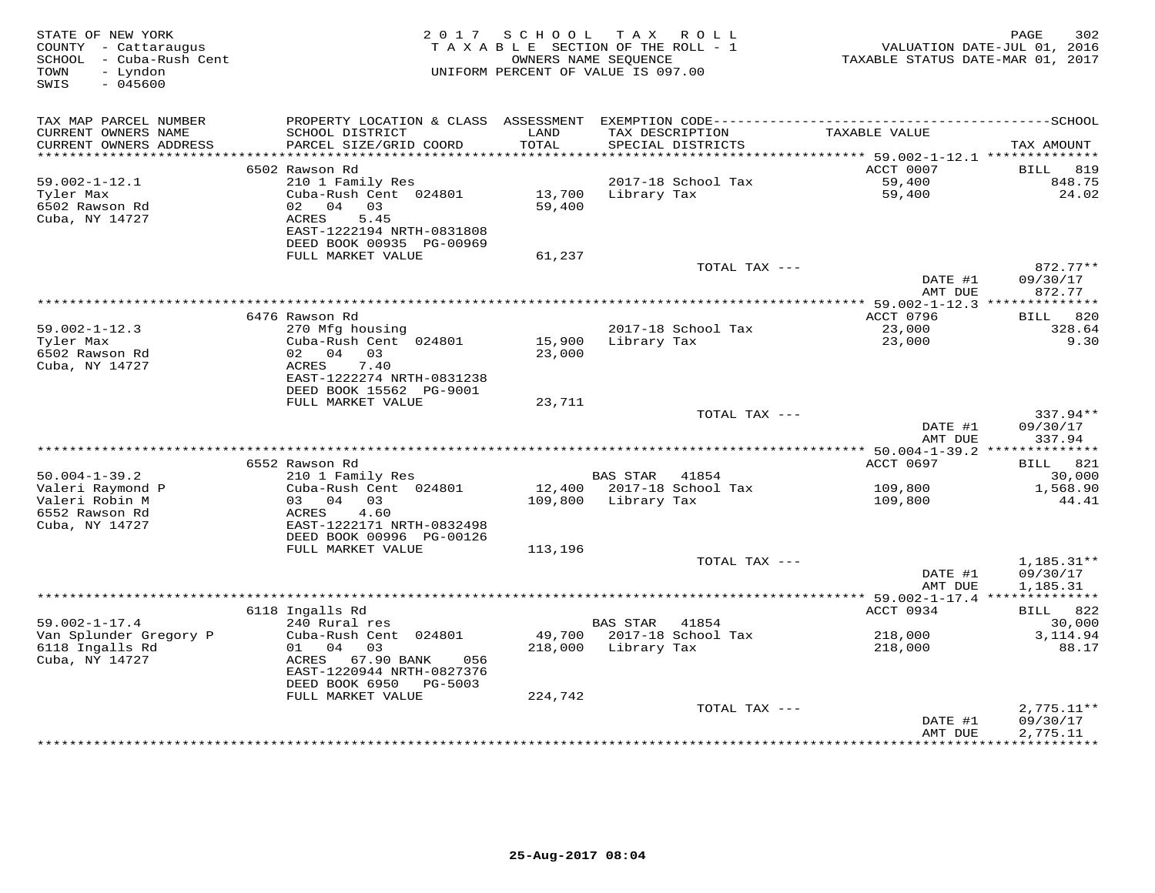| STATE OF NEW YORK<br>COUNTY - Cattaraugus<br>SCHOOL - Cuba-Rush Cent<br>- Lyndon<br>TOWN<br>SWIS<br>$-045600$ |                                                                        | 2017 SCHOOL      | TAX ROLL<br>TAXABLE SECTION OF THE ROLL - 1<br>OWNERS NAME SEQUENCE<br>UNIFORM PERCENT OF VALUE IS 097.00 | TAXABLE STATUS DATE-MAR 01, 2017           | 302<br>PAGE<br>VALUATION DATE-JUL 01, 2016 |
|---------------------------------------------------------------------------------------------------------------|------------------------------------------------------------------------|------------------|-----------------------------------------------------------------------------------------------------------|--------------------------------------------|--------------------------------------------|
| TAX MAP PARCEL NUMBER                                                                                         |                                                                        |                  |                                                                                                           |                                            |                                            |
| CURRENT OWNERS NAME<br>CURRENT OWNERS ADDRESS                                                                 | SCHOOL DISTRICT<br>PARCEL SIZE/GRID COORD<br>************************* | LAND<br>TOTAL    | TAX DESCRIPTION<br>SPECIAL DISTRICTS                                                                      | TAXABLE VALUE                              | TAX AMOUNT                                 |
| **********************                                                                                        |                                                                        |                  |                                                                                                           |                                            |                                            |
| 59.002-1-12.1                                                                                                 | 6502 Rawson Rd<br>210 1 Family Res                                     |                  | 2017-18 School Tax                                                                                        | ACCT 0007<br>59,400                        | BILL<br>819<br>848.75                      |
| Tyler Max<br>6502 Rawson Rd                                                                                   | Cuba-Rush Cent 024801<br>04<br>02<br>03                                | 13,700<br>59,400 | Library Tax                                                                                               | 59,400                                     | 24.02                                      |
| Cuba, NY 14727                                                                                                | ACRES<br>5.45<br>EAST-1222194 NRTH-0831808<br>DEED BOOK 00935 PG-00969 |                  |                                                                                                           |                                            |                                            |
|                                                                                                               | FULL MARKET VALUE                                                      | 61,237           |                                                                                                           |                                            |                                            |
|                                                                                                               |                                                                        |                  | TOTAL TAX ---                                                                                             | DATE #1                                    | 872.77**<br>09/30/17                       |
|                                                                                                               |                                                                        |                  | ***********************                                                                                   | AMT DUE<br>** 59.002-1-12.3 ************** | 872.77                                     |
|                                                                                                               | 6476 Rawson Rd                                                         |                  |                                                                                                           | ACCT 0796                                  | 820<br>BILL                                |
| $59.002 - 1 - 12.3$                                                                                           | 270 Mfg housing                                                        |                  | 2017-18 School Tax                                                                                        | 23,000                                     | 328.64                                     |
| Tyler Max                                                                                                     | Cuba-Rush Cent 024801                                                  | 15,900           | Library Tax                                                                                               | 23,000                                     | 9.30                                       |
| 6502 Rawson Rd                                                                                                | 02 04<br>03                                                            | 23,000           |                                                                                                           |                                            |                                            |
| Cuba, NY 14727                                                                                                | 7.40<br>ACRES                                                          |                  |                                                                                                           |                                            |                                            |
|                                                                                                               | EAST-1222274 NRTH-0831238                                              |                  |                                                                                                           |                                            |                                            |
|                                                                                                               | DEED BOOK 15562 PG-9001<br>FULL MARKET VALUE                           | 23,711           |                                                                                                           |                                            |                                            |
|                                                                                                               |                                                                        |                  | TOTAL TAX ---                                                                                             |                                            | 337.94**                                   |
|                                                                                                               |                                                                        |                  |                                                                                                           | DATE #1                                    | 09/30/17                                   |
|                                                                                                               |                                                                        |                  |                                                                                                           | AMT DUE                                    | 337.94                                     |
|                                                                                                               |                                                                        |                  |                                                                                                           |                                            |                                            |
|                                                                                                               | 6552 Rawson Rd                                                         |                  |                                                                                                           | ACCT 0697                                  | BILL 821                                   |
| $50.004 - 1 - 39.2$                                                                                           | 210 1 Family Res<br>Cuba-Rush Cent 024801                              |                  | BAS STAR<br>41854<br>12,400 2017-18 School Tax                                                            | 109,800                                    | 30,000<br>1,568.90                         |
| Valeri Raymond P<br>Valeri Robin M                                                                            | 03 04<br>03                                                            |                  | 109,800 Library Tax                                                                                       | 109,800                                    | 44.41                                      |
| 6552 Rawson Rd                                                                                                | ACRES<br>4.60                                                          |                  |                                                                                                           |                                            |                                            |
| Cuba, NY 14727                                                                                                | EAST-1222171 NRTH-0832498                                              |                  |                                                                                                           |                                            |                                            |
|                                                                                                               | DEED BOOK 00996 PG-00126                                               |                  |                                                                                                           |                                            |                                            |
|                                                                                                               | FULL MARKET VALUE                                                      | 113,196          |                                                                                                           |                                            |                                            |
|                                                                                                               |                                                                        |                  | TOTAL TAX ---                                                                                             |                                            | $1,185.31**$                               |
|                                                                                                               |                                                                        |                  |                                                                                                           | DATE #1<br>AMT DUE                         | 09/30/17<br>1,185.31                       |
|                                                                                                               |                                                                        |                  |                                                                                                           |                                            |                                            |
|                                                                                                               | 6118 Ingalls Rd                                                        |                  |                                                                                                           | ACCT 0934                                  | 822<br>BILL                                |
| $59.002 - 1 - 17.4$                                                                                           | 240 Rural res                                                          |                  | <b>BAS STAR</b><br>41854                                                                                  |                                            | 30,000                                     |
| Van Splunder Gregory P                                                                                        | Cuba-Rush Cent 024801                                                  | 49,700           | 2017-18 School Tax                                                                                        | 218,000                                    | 3, 114.94                                  |
| 6118 Ingalls Rd                                                                                               | 04<br>03<br>01                                                         | 218,000          | Library Tax                                                                                               | 218,000                                    | 88.17                                      |
| Cuba, NY 14727                                                                                                | ACRES<br>67.90 BANK<br>056<br>EAST-1220944 NRTH-0827376                |                  |                                                                                                           |                                            |                                            |
|                                                                                                               | DEED BOOK 6950<br>PG-5003<br>FULL MARKET VALUE                         | 224,742          |                                                                                                           |                                            |                                            |
|                                                                                                               |                                                                        |                  | TOTAL TAX ---                                                                                             |                                            | $2,775.11**$                               |
|                                                                                                               |                                                                        |                  |                                                                                                           | DATE #1                                    | 09/30/17                                   |
|                                                                                                               |                                                                        |                  |                                                                                                           | AMT DUE<br>***********                     | 2,775.11<br>***********                    |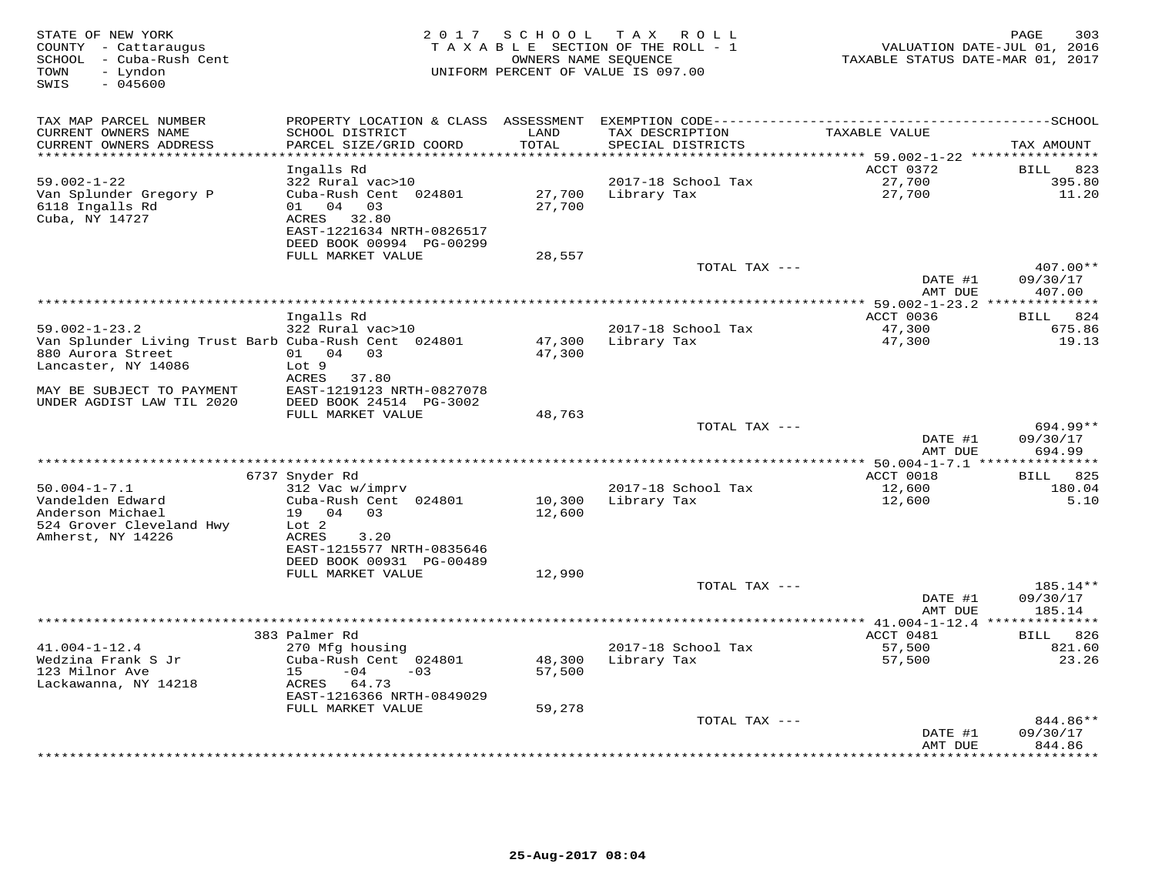| STATE OF NEW YORK<br>COUNTY - Cattaraugus<br>SCHOOL - Cuba-Rush Cent<br>- Lyndon<br>TOWN<br>SWIS<br>$-045600$ |                                                |                          | 2017 SCHOOL TAX ROLL<br>TAXABLE SECTION OF THE ROLL - 1<br>OWNERS NAME SEQUENCE<br>UNIFORM PERCENT OF VALUE IS 097.00 | VALUATION DATE-JUL 01, 2016<br>TAXABLE STATUS DATE-MAR 01, 2017 | 303<br>PAGE         |
|---------------------------------------------------------------------------------------------------------------|------------------------------------------------|--------------------------|-----------------------------------------------------------------------------------------------------------------------|-----------------------------------------------------------------|---------------------|
| TAX MAP PARCEL NUMBER                                                                                         | PROPERTY LOCATION & CLASS ASSESSMENT           |                          |                                                                                                                       |                                                                 |                     |
| CURRENT OWNERS NAME<br>CURRENT OWNERS ADDRESS                                                                 | SCHOOL DISTRICT<br>PARCEL SIZE/GRID COORD      | LAND<br>TOTAL<br>******* | TAX DESCRIPTION<br>SPECIAL DISTRICTS                                                                                  | TAXABLE VALUE                                                   | TAX AMOUNT          |
|                                                                                                               | Ingalls Rd                                     |                          |                                                                                                                       | ******** 59.002-1-22 **********<br>ACCT 0372                    | 823<br>BILL         |
| $59.002 - 1 - 22$                                                                                             | 322 Rural vac>10                               |                          | 2017-18 School Tax                                                                                                    | 27,700                                                          | 395.80              |
| Van Splunder Gregory P                                                                                        | Cuba-Rush Cent 024801                          | 27,700                   | Library Tax                                                                                                           | 27,700                                                          | 11.20               |
| 6118 Ingalls Rd                                                                                               | 01 04 03                                       | 27,700                   |                                                                                                                       |                                                                 |                     |
| Cuba, NY 14727                                                                                                | 32.80<br>ACRES                                 |                          |                                                                                                                       |                                                                 |                     |
|                                                                                                               | EAST-1221634 NRTH-0826517                      |                          |                                                                                                                       |                                                                 |                     |
|                                                                                                               | DEED BOOK 00994 PG-00299                       |                          |                                                                                                                       |                                                                 |                     |
|                                                                                                               | FULL MARKET VALUE                              | 28,557                   | TOTAL TAX ---                                                                                                         |                                                                 | 407.00**            |
|                                                                                                               |                                                |                          |                                                                                                                       | DATE #1                                                         | 09/30/17            |
|                                                                                                               |                                                |                          |                                                                                                                       | AMT DUE                                                         | 407.00              |
|                                                                                                               |                                                |                          |                                                                                                                       | ********* 59.002-1-23.2 **************                          |                     |
|                                                                                                               | Ingalls Rd                                     |                          |                                                                                                                       | ACCT 0036                                                       | BILL 824            |
| $59.002 - 1 - 23.2$                                                                                           | 322 Rural vac>10                               |                          | 2017-18 School Tax                                                                                                    | 47,300                                                          | 675.86              |
| Van Splunder Living Trust Barb Cuba-Rush Cent 024801                                                          |                                                | 47,300                   | Library Tax                                                                                                           | 47,300                                                          | 19.13               |
| 880 Aurora Street<br>Lancaster, NY 14086                                                                      | 01 04 03<br>Lot 9                              | 47,300                   |                                                                                                                       |                                                                 |                     |
|                                                                                                               | ACRES 37.80                                    |                          |                                                                                                                       |                                                                 |                     |
| MAY BE SUBJECT TO PAYMENT                                                                                     | EAST-1219123 NRTH-0827078                      |                          |                                                                                                                       |                                                                 |                     |
| UNDER AGDIST LAW TIL 2020                                                                                     | DEED BOOK 24514 PG-3002                        |                          |                                                                                                                       |                                                                 |                     |
|                                                                                                               | FULL MARKET VALUE                              | 48,763                   |                                                                                                                       |                                                                 |                     |
|                                                                                                               |                                                |                          | TOTAL TAX ---                                                                                                         |                                                                 | $694.99**$          |
|                                                                                                               |                                                |                          |                                                                                                                       | DATE #1<br>AMT DUE                                              | 09/30/17<br>694.99  |
|                                                                                                               |                                                |                          |                                                                                                                       |                                                                 |                     |
| $50.004 - 1 - 7.1$                                                                                            | 6737 Snyder Rd<br>312 Vac w/imprv              |                          | 2017-18 School Tax                                                                                                    | ACCT 0018<br>12,600                                             | BILL 825<br>180.04  |
| Vandelden Edward                                                                                              | Cuba-Rush Cent 024801                          | 10,300                   | Library Tax                                                                                                           | 12,600                                                          | 5.10                |
| Anderson Michael                                                                                              | 19 04 03                                       | 12,600                   |                                                                                                                       |                                                                 |                     |
| 524 Grover Cleveland Hwy                                                                                      | Lot 2                                          |                          |                                                                                                                       |                                                                 |                     |
| Amherst, NY 14226                                                                                             | ACRES<br>3.20                                  |                          |                                                                                                                       |                                                                 |                     |
|                                                                                                               | EAST-1215577 NRTH-0835646                      |                          |                                                                                                                       |                                                                 |                     |
|                                                                                                               | DEED BOOK 00931 PG-00489<br>FULL MARKET VALUE  |                          |                                                                                                                       |                                                                 |                     |
|                                                                                                               |                                                | 12,990                   | TOTAL TAX ---                                                                                                         |                                                                 | 185.14**            |
|                                                                                                               |                                                |                          |                                                                                                                       | DATE #1                                                         | 09/30/17            |
|                                                                                                               |                                                |                          |                                                                                                                       | AMT DUE                                                         | 185.14              |
|                                                                                                               |                                                |                          |                                                                                                                       |                                                                 |                     |
|                                                                                                               | 383 Palmer Rd                                  |                          |                                                                                                                       | ACCT 0481                                                       | BILL 826            |
| $41.004 - 1 - 12.4$                                                                                           | 270 Mfg housing                                |                          | 2017-18 School Tax                                                                                                    | 57,500                                                          | 821.60              |
| Wedzina Frank S Jr<br>123 Milnor Ave                                                                          | Cuba-Rush Cent 024801<br>15<br>$-04$<br>$-0.3$ | 48,300                   | Library Tax                                                                                                           | 57,500                                                          | 23.26               |
| Lackawanna, NY 14218                                                                                          | ACRES 64.73                                    | 57,500                   |                                                                                                                       |                                                                 |                     |
|                                                                                                               | EAST-1216366 NRTH-0849029                      |                          |                                                                                                                       |                                                                 |                     |
|                                                                                                               | FULL MARKET VALUE                              | 59,278                   |                                                                                                                       |                                                                 |                     |
|                                                                                                               |                                                |                          | TOTAL TAX ---                                                                                                         |                                                                 | 844.86**            |
|                                                                                                               |                                                |                          |                                                                                                                       | DATE #1                                                         | 09/30/17            |
|                                                                                                               |                                                |                          |                                                                                                                       | AMT DUE                                                         | 844.86<br>********* |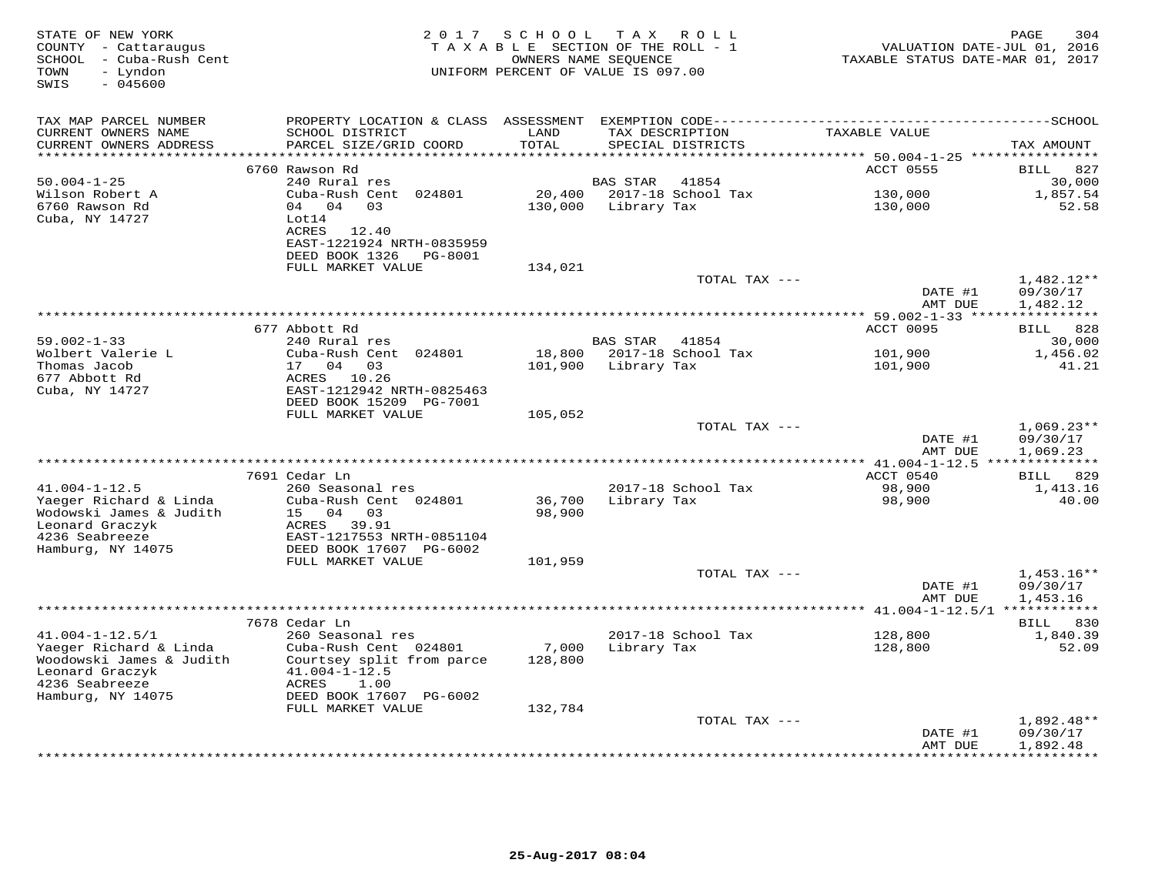| TAX MAP PARCEL NUMBER<br>PROPERTY LOCATION & CLASS ASSESSMENT<br>SCHOOL DISTRICT<br>LAND<br>TAXABLE VALUE<br>CURRENT OWNERS NAME<br>TAX DESCRIPTION<br>TOTAL<br>CURRENT OWNERS ADDRESS<br>PARCEL SIZE/GRID COORD<br>SPECIAL DISTRICTS<br>*******<br>********* 50.004-1-25 *****************<br>ACCT 0555<br>6760 Rawson Rd<br>$50.004 - 1 - 25$<br>240 Rural res<br><b>BAS STAR</b><br>41854<br>2017-18 School Tax<br>Wilson Robert A<br>Cuba-Rush Cent 024801<br>20,400<br>130,000<br>6760 Rawson Rd<br>04 04 03<br>130,000<br>Library Tax<br>130,000<br>Cuba, NY 14727<br>Lot14<br>ACRES 12.40<br>EAST-1221924 NRTH-0835959<br>DEED BOOK 1326<br>PG-8001<br>FULL MARKET VALUE<br>134,021<br>TOTAL TAX ---<br>DATE #1<br>AMT DUE<br>677 Abbott Rd<br>ACCT 0095<br>$59.002 - 1 - 33$<br>240 Rural res<br><b>BAS STAR</b><br>41854 | VALUATION DATE-JUL 01, 2016<br>TAXABLE STATUS DATE-MAR 01, 2017 |
|-----------------------------------------------------------------------------------------------------------------------------------------------------------------------------------------------------------------------------------------------------------------------------------------------------------------------------------------------------------------------------------------------------------------------------------------------------------------------------------------------------------------------------------------------------------------------------------------------------------------------------------------------------------------------------------------------------------------------------------------------------------------------------------------------------------------------------------|-----------------------------------------------------------------|
|                                                                                                                                                                                                                                                                                                                                                                                                                                                                                                                                                                                                                                                                                                                                                                                                                                   |                                                                 |
|                                                                                                                                                                                                                                                                                                                                                                                                                                                                                                                                                                                                                                                                                                                                                                                                                                   | TAX AMOUNT                                                      |
|                                                                                                                                                                                                                                                                                                                                                                                                                                                                                                                                                                                                                                                                                                                                                                                                                                   | 827<br>BILL                                                     |
|                                                                                                                                                                                                                                                                                                                                                                                                                                                                                                                                                                                                                                                                                                                                                                                                                                   | 30,000                                                          |
|                                                                                                                                                                                                                                                                                                                                                                                                                                                                                                                                                                                                                                                                                                                                                                                                                                   | 1,857.54                                                        |
|                                                                                                                                                                                                                                                                                                                                                                                                                                                                                                                                                                                                                                                                                                                                                                                                                                   | 52.58                                                           |
|                                                                                                                                                                                                                                                                                                                                                                                                                                                                                                                                                                                                                                                                                                                                                                                                                                   |                                                                 |
|                                                                                                                                                                                                                                                                                                                                                                                                                                                                                                                                                                                                                                                                                                                                                                                                                                   |                                                                 |
|                                                                                                                                                                                                                                                                                                                                                                                                                                                                                                                                                                                                                                                                                                                                                                                                                                   | $1,482.12**$<br>09/30/17<br>1,482.12                            |
|                                                                                                                                                                                                                                                                                                                                                                                                                                                                                                                                                                                                                                                                                                                                                                                                                                   |                                                                 |
|                                                                                                                                                                                                                                                                                                                                                                                                                                                                                                                                                                                                                                                                                                                                                                                                                                   | 828<br>BILL                                                     |
| Wolbert Valerie L<br>Cuba-Rush Cent 024801                                                                                                                                                                                                                                                                                                                                                                                                                                                                                                                                                                                                                                                                                                                                                                                        | 30,000                                                          |
| 18,800<br>2017-18 School Tax<br>101,900<br>Thomas Jacob<br>17 04<br>101,900<br>Library Tax<br>101,900<br>03<br>677 Abbott Rd<br>ACRES 10.26                                                                                                                                                                                                                                                                                                                                                                                                                                                                                                                                                                                                                                                                                       | 1,456.02<br>41.21                                               |
| Cuba, NY 14727<br>EAST-1212942 NRTH-0825463<br>DEED BOOK 15209 PG-7001                                                                                                                                                                                                                                                                                                                                                                                                                                                                                                                                                                                                                                                                                                                                                            |                                                                 |
| FULL MARKET VALUE<br>105,052                                                                                                                                                                                                                                                                                                                                                                                                                                                                                                                                                                                                                                                                                                                                                                                                      |                                                                 |
| TOTAL TAX ---<br>DATE #1<br>AMT DUE                                                                                                                                                                                                                                                                                                                                                                                                                                                                                                                                                                                                                                                                                                                                                                                               | $1,069.23**$<br>09/30/17<br>1,069.23                            |
|                                                                                                                                                                                                                                                                                                                                                                                                                                                                                                                                                                                                                                                                                                                                                                                                                                   |                                                                 |
| 7691 Cedar Ln<br>ACCT 0540                                                                                                                                                                                                                                                                                                                                                                                                                                                                                                                                                                                                                                                                                                                                                                                                        | BILL 829                                                        |
| $41.004 - 1 - 12.5$<br>260 Seasonal res<br>2017-18 School Tax<br>98,900                                                                                                                                                                                                                                                                                                                                                                                                                                                                                                                                                                                                                                                                                                                                                           | 1,413.16                                                        |
| Yaeger Richard & Linda<br>Cuba-Rush Cent 024801<br>36,700<br>Library Tax<br>98,900<br>Wodowski James & Judith<br>15 04 03<br>98,900<br>Leonard Graczyk<br>ACRES 39.91                                                                                                                                                                                                                                                                                                                                                                                                                                                                                                                                                                                                                                                             | 40.00                                                           |
| 4236 Seabreeze<br>EAST-1217553 NRTH-0851104                                                                                                                                                                                                                                                                                                                                                                                                                                                                                                                                                                                                                                                                                                                                                                                       |                                                                 |
| Hamburg, NY 14075<br>DEED BOOK 17607 PG-6002<br>FULL MARKET VALUE<br>101,959                                                                                                                                                                                                                                                                                                                                                                                                                                                                                                                                                                                                                                                                                                                                                      |                                                                 |
| TOTAL TAX ---                                                                                                                                                                                                                                                                                                                                                                                                                                                                                                                                                                                                                                                                                                                                                                                                                     | $1,453.16**$                                                    |
| DATE #1<br>AMT DUE                                                                                                                                                                                                                                                                                                                                                                                                                                                                                                                                                                                                                                                                                                                                                                                                                | 09/30/17<br>1,453.16                                            |
| *********** $41.004 - 1 - 12.5/1$                                                                                                                                                                                                                                                                                                                                                                                                                                                                                                                                                                                                                                                                                                                                                                                                 |                                                                 |
| 7678 Cedar Ln                                                                                                                                                                                                                                                                                                                                                                                                                                                                                                                                                                                                                                                                                                                                                                                                                     | BILL 830                                                        |
| $41.004 - 1 - 12.5/1$<br>2017-18 School Tax<br>128,800<br>260 Seasonal res<br>Yaeger Richard & Linda<br>7,000<br>Library Tax<br>128,800<br>Cuba-Rush Cent 024801<br>Woodowski James & Judith<br>Courtsey split from parce<br>128,800                                                                                                                                                                                                                                                                                                                                                                                                                                                                                                                                                                                              | 1,840.39<br>52.09                                               |
| Leonard Graczyk<br>$41.004 - 1 - 12.5$<br>4236 Seabreeze<br>ACRES<br>1.00<br>Hamburg, NY 14075<br>DEED BOOK 17607 PG-6002                                                                                                                                                                                                                                                                                                                                                                                                                                                                                                                                                                                                                                                                                                         |                                                                 |
| FULL MARKET VALUE<br>132,784                                                                                                                                                                                                                                                                                                                                                                                                                                                                                                                                                                                                                                                                                                                                                                                                      |                                                                 |
| TOTAL TAX ---                                                                                                                                                                                                                                                                                                                                                                                                                                                                                                                                                                                                                                                                                                                                                                                                                     | 1,892.48**                                                      |
| DATE #1<br>AMT DUE                                                                                                                                                                                                                                                                                                                                                                                                                                                                                                                                                                                                                                                                                                                                                                                                                | 09/30/17<br>1,892.48                                            |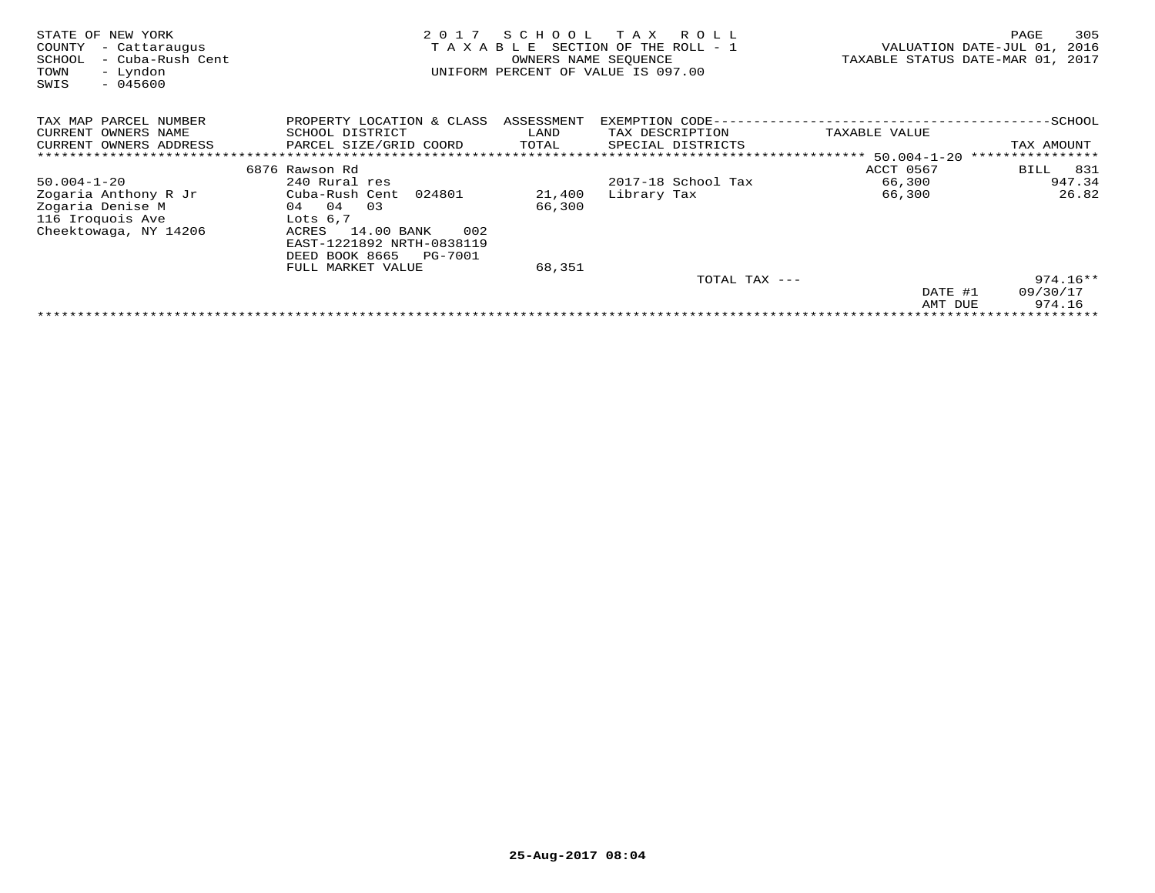| STATE OF NEW YORK<br>COUNTY<br>- Cattaraugus<br>SCHOOL<br>- Cuba-Rush Cent<br>- Lyndon<br>TOWN<br>$-045600$<br>SWIS | 2 0 1 7<br>TAXABLE             | SCHOOL<br>OWNERS NAME SEOUENCE | T A X<br>R O L L<br>SECTION OF THE ROLL - 1<br>UNIFORM PERCENT OF VALUE IS 097.00 | TAXABLE STATUS DATE-MAR 01, | 305<br>PAGE<br>VALUATION DATE-JUL 01,<br>2016<br>2017 |
|---------------------------------------------------------------------------------------------------------------------|--------------------------------|--------------------------------|-----------------------------------------------------------------------------------|-----------------------------|-------------------------------------------------------|
| TAX MAP PARCEL NUMBER                                                                                               | PROPERTY LOCATION & CLASS      | ASSESSMENT                     | EXEMPTION CODE-                                                                   |                             | $-$ SCHOOL                                            |
| CURRENT OWNERS NAME                                                                                                 | SCHOOL DISTRICT                | LAND                           | TAX DESCRIPTION                                                                   | TAXABLE VALUE               |                                                       |
| CURRENT OWNERS ADDRESS                                                                                              | PARCEL SIZE/GRID COORD         | TOTAL                          | SPECIAL DISTRICTS                                                                 |                             | TAX AMOUNT                                            |
|                                                                                                                     |                                |                                |                                                                                   |                             | * * * * * * * * * * * * * * * *                       |
|                                                                                                                     | 6876 Rawson Rd                 |                                |                                                                                   | ACCT 0567                   | 831<br>BILL                                           |
| $50.004 - 1 - 20$                                                                                                   | 240 Rural res                  |                                | 2017-18 School Tax                                                                | 66,300                      | 947.34                                                |
| Zogaria Anthony R Jr                                                                                                | Cuba-Rush Cent 024801          | 21,400                         | Library Tax                                                                       | 66,300                      | 26.82                                                 |
| Zogaria Denise M                                                                                                    | 04<br>03<br>04                 | 66,300                         |                                                                                   |                             |                                                       |
| 116 Iroquois Ave                                                                                                    | Lots $6,7$                     |                                |                                                                                   |                             |                                                       |
| Cheektowaga, NY 14206                                                                                               | 14.00 BANK<br>002<br>ACRES     |                                |                                                                                   |                             |                                                       |
|                                                                                                                     | EAST-1221892 NRTH-0838119      |                                |                                                                                   |                             |                                                       |
|                                                                                                                     | DEED BOOK 8665<br>PG-7001      |                                |                                                                                   |                             |                                                       |
|                                                                                                                     | FULL MARKET VALUE              | 68,351                         |                                                                                   |                             |                                                       |
|                                                                                                                     |                                |                                | TOTAL TAX ---                                                                     |                             | $974.16**$                                            |
|                                                                                                                     |                                |                                |                                                                                   | DATE #1                     | 09/30/17                                              |
|                                                                                                                     |                                |                                |                                                                                   | AMT DUE                     | 974.16                                                |
|                                                                                                                     | ****************************** |                                |                                                                                   |                             |                                                       |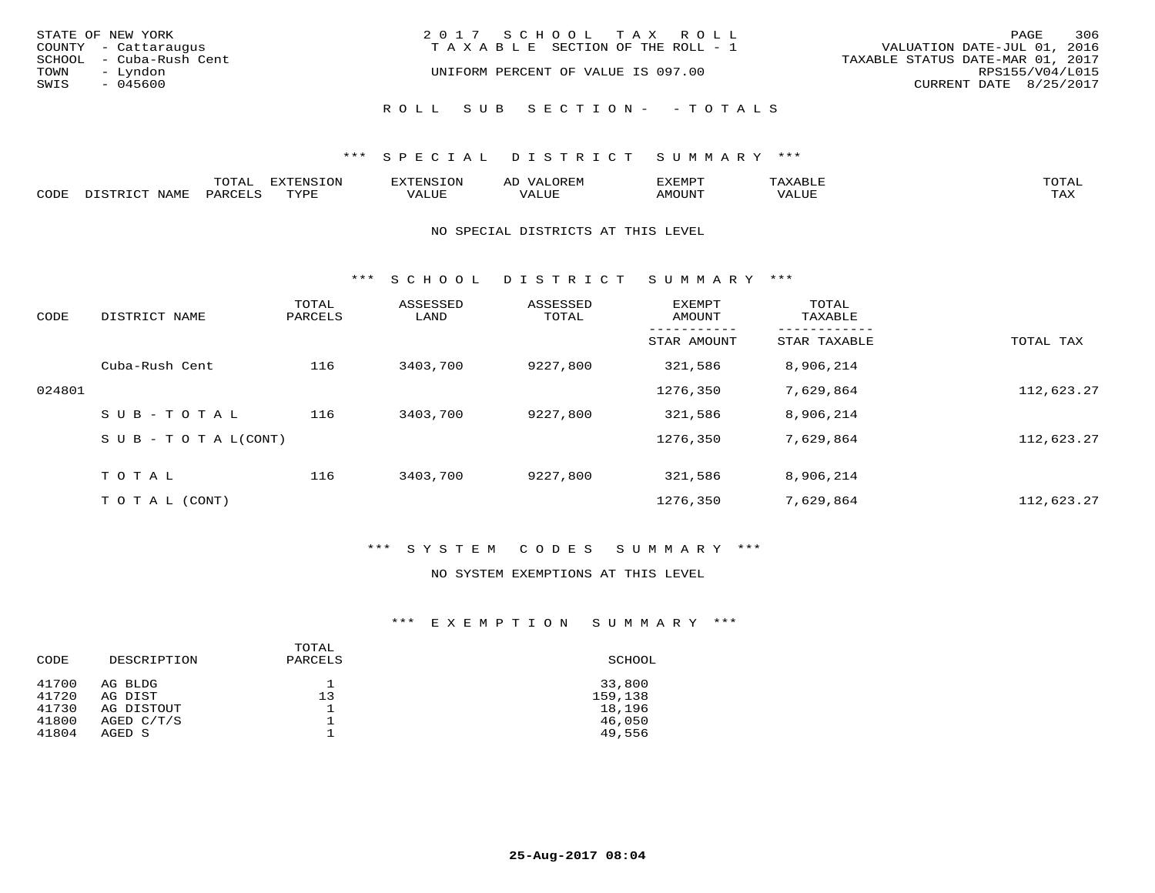|                   | STATE OF NEW YORK<br>COUNTY - Cattaraugus | 2017 SCHOOL TAX ROLL<br>T A X A B L E SECTION OF THE ROLL - 1 | PAGE<br>VALUATION DATE-JUL 01, 2016                 | 306 |
|-------------------|-------------------------------------------|---------------------------------------------------------------|-----------------------------------------------------|-----|
| TOWN              | SCHOOL - Cuba-Rush Cent<br>– Lyndon       | UNIFORM PERCENT OF VALUE IS 097.00                            | TAXABLE STATUS DATE-MAR 01, 2017<br>RPS155/V04/L015 |     |
| SWIS<br>$-045600$ |                                           |                                                               | CURRENT DATE 8/25/2017                              |     |
|                   |                                           | ROLL SUB SECTION- - TOTALS                                    |                                                     |     |

|      |                   | ՠሰ   | <b>EXTENSION</b> | AD   | ″ –          |       |              |
|------|-------------------|------|------------------|------|--------------|-------|--------------|
| CODE | NTAM <sup>7</sup> | PARO | TVDF             | ALUE | <b>NOUNT</b> | "ALUL | max x<br>∸∽∽ |

### NO SPECIAL DISTRICTS AT THIS LEVEL

\*\*\* S C H O O L D I S T R I C T S U M M A R Y \*\*\*

| CODE   | DISTRICT NAME                    | TOTAL<br>PARCELS | ASSESSED<br>LAND | ASSESSED<br>TOTAL | <b>EXEMPT</b><br>AMOUNT | TOTAL<br>TAXABLE |            |
|--------|----------------------------------|------------------|------------------|-------------------|-------------------------|------------------|------------|
|        |                                  |                  |                  |                   | STAR AMOUNT             | STAR TAXABLE     | TOTAL TAX  |
|        | Cuba-Rush Cent                   | 116              | 3403,700         | 9227,800          | 321,586                 | 8,906,214        |            |
| 024801 |                                  |                  |                  |                   | 1276,350                | 7,629,864        | 112,623.27 |
|        | SUB-TOTAL                        | 116              | 3403,700         | 9227,800          | 321,586                 | 8,906,214        |            |
|        | $S \cup B - T \cup T A L (CONT)$ |                  |                  |                   | 1276,350                | 7,629,864        | 112,623.27 |
|        | TOTAL                            | 116              | 3403,700         | 9227,800          | 321,586                 | 8,906,214        |            |
|        | T O T A L (CONT)                 |                  |                  |                   | 1276,350                | 7,629,864        | 112,623.27 |

## \*\*\* S Y S T E M C O D E S S U M M A R Y \*\*\*

#### NO SYSTEM EXEMPTIONS AT THIS LEVEL

## \*\*\* E X E M P T I O N S U M M A R Y \*\*\*

| CODE           | DESCRIPTION          | TOTAL<br>PARCELS | SCHOOL            |
|----------------|----------------------|------------------|-------------------|
| 41700<br>41720 | AG BLDG<br>AG DIST   | 13               | 33,800<br>159,138 |
| 41730          | AG DISTOUT           |                  | 18,196            |
| 41800<br>41804 | AGED C/T/S<br>AGED S |                  | 46,050<br>49,556  |
|                |                      |                  |                   |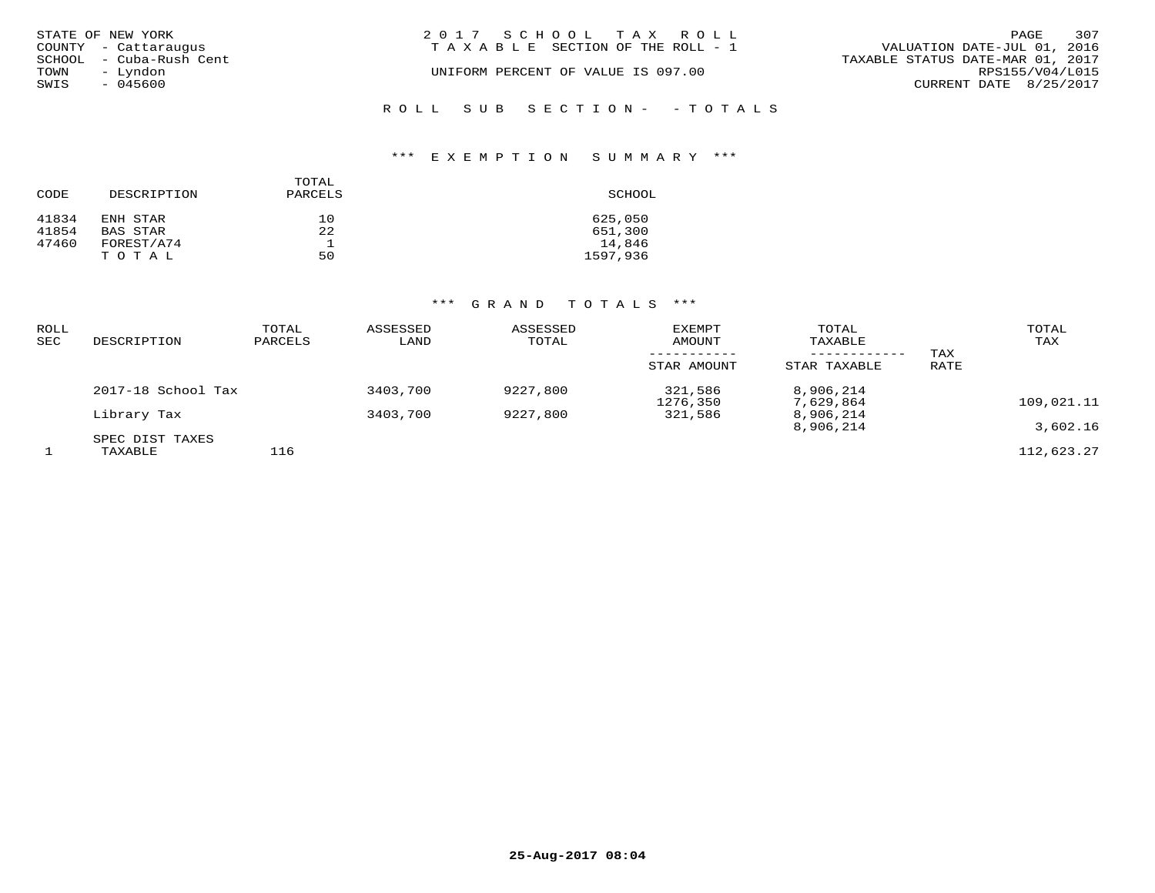| STATE OF NEW YORK<br>COUNTY - Cattaraugus | 2017 SCHOOL TAX ROLL<br>T A X A B L E SECTION OF THE ROLL - 1 |  | VALUATION DATE-JUL 01, 2016      | PAGE            | 307 |
|-------------------------------------------|---------------------------------------------------------------|--|----------------------------------|-----------------|-----|
| SCHOOL - Cuba-Rush Cent                   | UNIFORM PERCENT OF VALUE IS 097.00                            |  | TAXABLE STATUS DATE-MAR 01, 2017 | RPS155/V04/L015 |     |
| TOWN<br>- Lyndon<br>SWIS<br>$-045600$     |                                                               |  | CURRENT DATE 8/25/2017           |                 |     |
|                                           | ROLL SUB SECTION- - TOTALS                                    |  |                                  |                 |     |

## \*\*\* E X E M P T I O N S U M M A R Y \*\*\*

| CODE  | DESCRIPTION | TOTAL<br>PARCELS | SCHOOL   |
|-------|-------------|------------------|----------|
| 41834 | ENH STAR    | 10               | 625,050  |
| 41854 | BAS STAR    | 22               | 651,300  |
| 47460 | FOREST/A74  |                  | 14,846   |
|       | TOTAL       | 50               | 1597,936 |

| <b>ROLL</b><br><b>SEC</b> | DESCRIPTION                | TOTAL<br>PARCELS | ASSESSED<br>LAND | ASSESSED<br>TOTAL | <b>EXEMPT</b><br>AMOUNT | TOTAL<br>TAXABLE       | TAX  | TOTAL<br>TAX |
|---------------------------|----------------------------|------------------|------------------|-------------------|-------------------------|------------------------|------|--------------|
|                           |                            |                  |                  |                   | STAR AMOUNT             | STAR TAXABLE           | RATE |              |
|                           | 2017-18 School Tax         |                  | 3403,700         | 9227,800          | 321,586<br>1276,350     | 8,906,214<br>7,629,864 |      | 109,021.11   |
|                           | Library Tax                |                  | 3403,700         | 9227,800          | 321,586                 | 8,906,214<br>8,906,214 |      | 3,602.16     |
|                           | SPEC DIST TAXES<br>TAXABLE | 116              |                  |                   |                         |                        |      | 112,623.27   |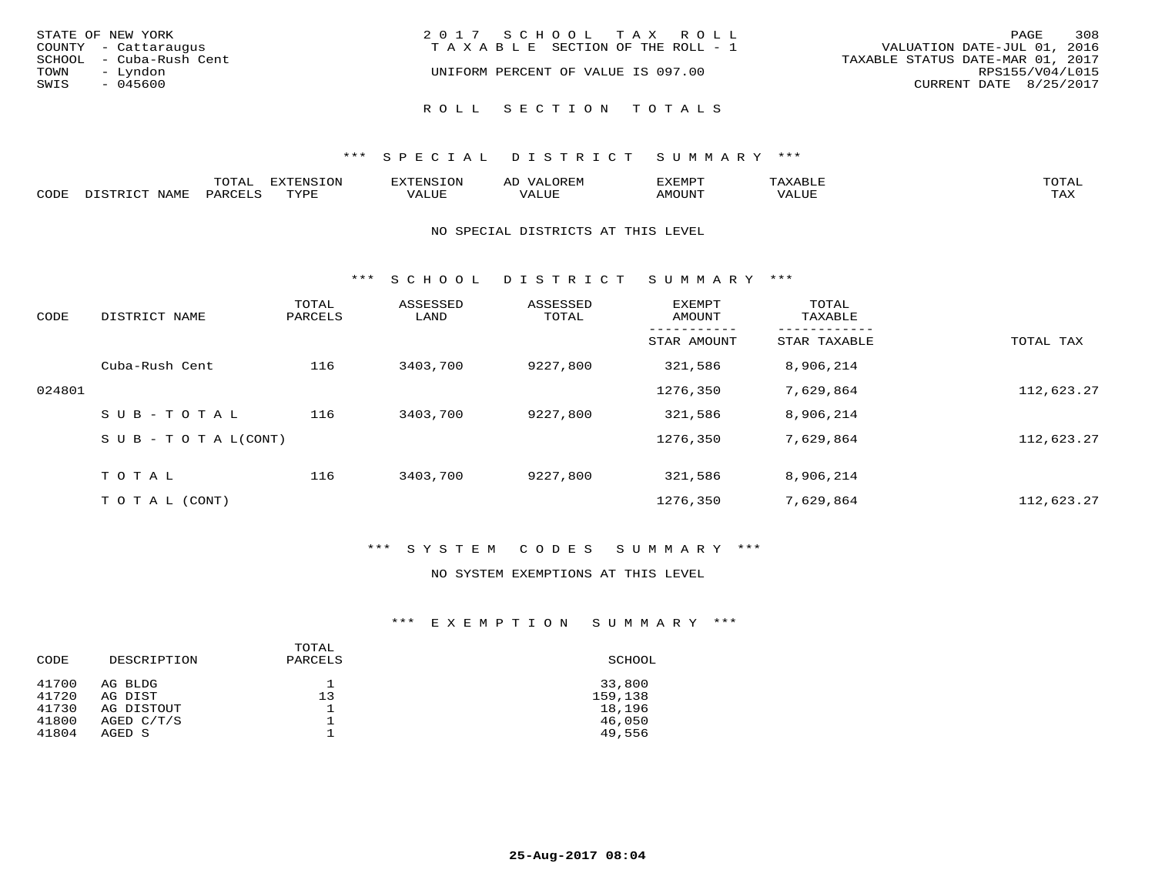| STATE OF NEW YORK<br>COUNTY - Cattaraugus<br>SCHOOL - Cuba-Rush Cent<br>TOWN<br>– Lyndon<br>SWIS<br>- 045600 | 2017 SCHOOL TAX ROLL<br>TAXABLE SECTION OF THE ROLL - 1<br>UNIFORM PERCENT OF VALUE IS 097.00 | 308<br>PAGE<br>VALUATION DATE-JUL 01, 2016<br>TAXABLE STATUS DATE-MAR 01, 2017<br>RPS155/V04/L015<br>CURRENT DATE 8/25/2017 |
|--------------------------------------------------------------------------------------------------------------|-----------------------------------------------------------------------------------------------|-----------------------------------------------------------------------------------------------------------------------------|
|                                                                                                              | ROLL SECTION TOTALS                                                                           |                                                                                                                             |

|      |                | m^m*<br>LUIAI | $T \cap N$<br>---- | .         | ىت        | YFMDT<br><u> 221 11</u> 11 |        | $m \wedge m \wedge n$<br>$\overline{a}$ |
|------|----------------|---------------|--------------------|-----------|-----------|----------------------------|--------|-----------------------------------------|
| CODE | √∐∆M™<br>AP 11 |               | $m \tau \tau \tau$ | --- - --- | $+ + + +$ | 57077377                   | . U B. | $m \times r$<br>- ∠∡∡                   |

#### NO SPECIAL DISTRICTS AT THIS LEVEL

\*\*\* S C H O O L D I S T R I C T S U M M A R Y \*\*\*

| CODE   | DISTRICT NAME                    | TOTAL<br>PARCELS | ASSESSED<br>LAND | ASSESSED<br>TOTAL | <b>EXEMPT</b><br>AMOUNT | TOTAL<br>TAXABLE |            |
|--------|----------------------------------|------------------|------------------|-------------------|-------------------------|------------------|------------|
|        |                                  |                  |                  |                   | STAR AMOUNT             | STAR TAXABLE     | TOTAL TAX  |
|        | Cuba-Rush Cent                   | 116              | 3403,700         | 9227,800          | 321,586                 | 8,906,214        |            |
| 024801 |                                  |                  |                  |                   | 1276,350                | 7,629,864        | 112,623.27 |
|        | SUB-TOTAL                        | 116              | 3403,700         | 9227,800          | 321,586                 | 8,906,214        |            |
|        | $S \cup B - T \cup T A L (CONT)$ |                  |                  |                   | 1276,350                | 7,629,864        | 112,623.27 |
|        | TOTAL                            | 116              | 3403,700         | 9227,800          | 321,586                 | 8,906,214        |            |
|        | T O T A L (CONT)                 |                  |                  |                   | 1276,350                | 7,629,864        | 112,623.27 |

## \*\*\* S Y S T E M C O D E S S U M M A R Y \*\*\*

## NO SYSTEM EXEMPTIONS AT THIS LEVEL

## \*\*\* E X E M P T I O N S U M M A R Y \*\*\*

| CODE           | DESCRIPTION           | TOTAL<br>PARCELS | SCHOOL            |
|----------------|-----------------------|------------------|-------------------|
| 41700          | AG BLDG               |                  | 33,800            |
| 41720<br>41730 | AG DIST<br>AG DISTOUT | 13               | 159,138<br>18,196 |
| 41800          | AGED C/T/S            |                  | 46,050            |
| 41804          | AGED S                |                  | 49,556            |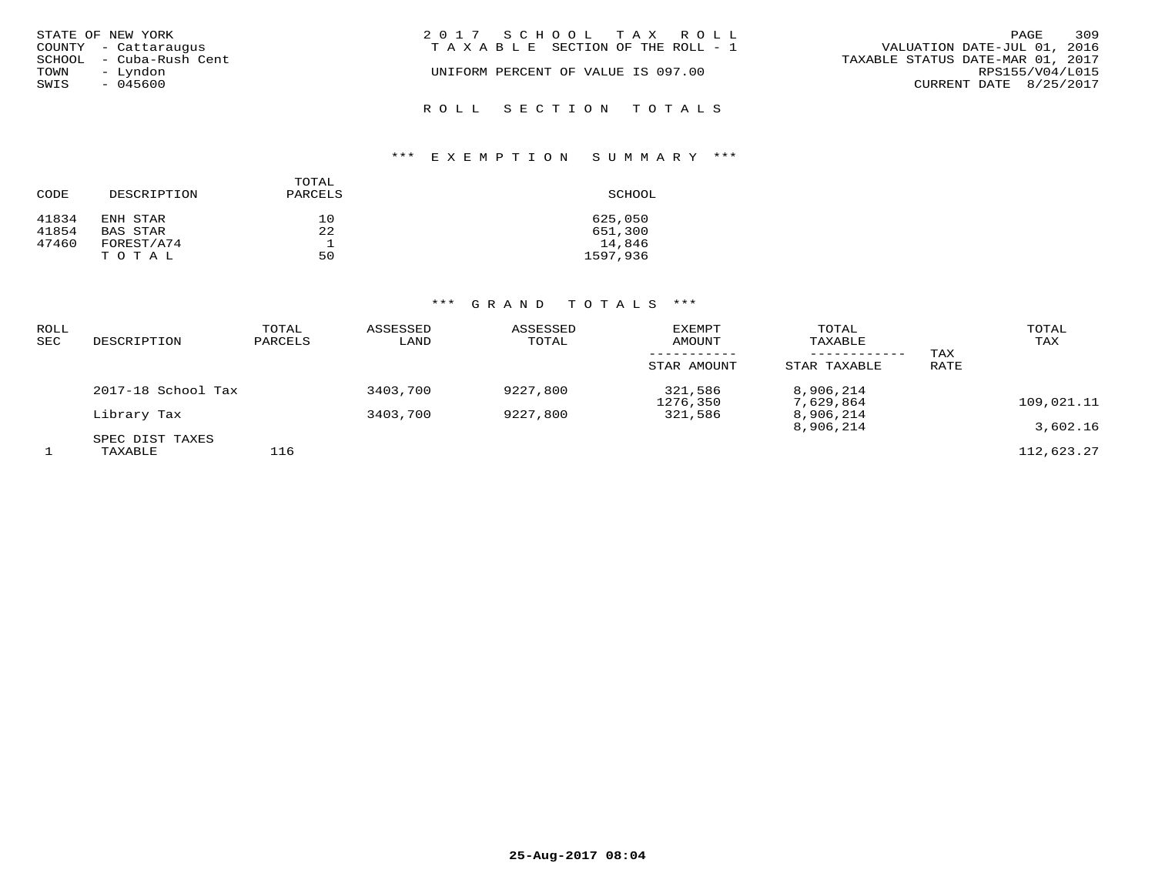| STATE OF NEW YORK<br>COUNTY - Cattaraugus   | 2017 SCHOOL TAX ROLL<br>TAXABLE SECTION OF THE ROLL - 1 | 309<br>PAGE<br>VALUATION DATE-JUL 01, 2016          |
|---------------------------------------------|---------------------------------------------------------|-----------------------------------------------------|
| SCHOOL - Cuba-Rush Cent<br>TOWN<br>– Lyndon | UNIFORM PERCENT OF VALUE IS 097.00                      | TAXABLE STATUS DATE-MAR 01, 2017<br>RPS155/V04/L015 |
| SWIS<br>- 045600                            | ROLL SECTION TOTALS                                     | CURRENT DATE 8/25/2017                              |

# \*\*\* E X E M P T I O N S U M M A R Y \*\*\*

| CODE  | DESCRIPTION | TOTAL<br>PARCELS | SCHOOL   |
|-------|-------------|------------------|----------|
| 41834 | ENH STAR    | 10               | 625,050  |
| 41854 | BAS STAR    | 22               | 651,300  |
| 47460 | FOREST/A74  |                  | 14,846   |
|       | TOTAL       | 50               | 1597,936 |

| ROLL<br><b>SEC</b> | DESCRIPTION                | TOTAL<br>PARCELS | ASSESSED<br>LAND | ASSESSED<br>TOTAL | <b>EXEMPT</b><br>AMOUNT<br>STAR AMOUNT | TOTAL<br>TAXABLE<br>------------<br>STAR TAXABLE | TAX<br>RATE | TOTAL<br>TAX |
|--------------------|----------------------------|------------------|------------------|-------------------|----------------------------------------|--------------------------------------------------|-------------|--------------|
|                    | 2017-18 School Tax         |                  | 3403,700         | 9227,800          | 321,586<br>1276,350                    | 8,906,214<br>7,629,864                           |             | 109,021.11   |
|                    | Library Tax                |                  | 3403,700         | 9227,800          | 321,586                                | 8,906,214<br>8,906,214                           |             | 3,602.16     |
|                    | SPEC DIST TAXES<br>TAXABLE | 116              |                  |                   |                                        |                                                  |             | 112,623.27   |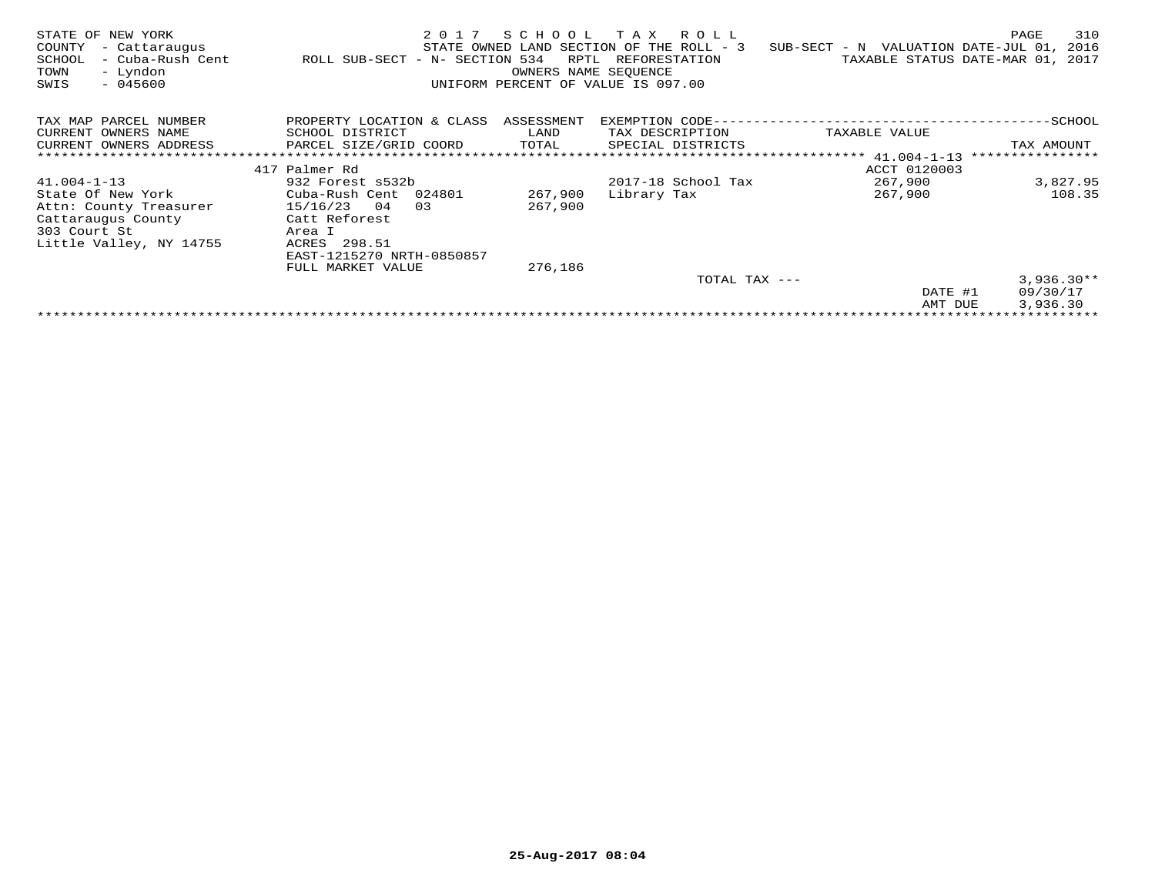| STATE OF NEW YORK<br>COUNTY<br>- Cattaraugus<br>SCHOOL<br>- Cuba-Rush Cent<br>- Lyndon<br>TOWN<br>$-045600$<br>SWIS | 2017<br>ROLL SUB-SECT - N- SECTION 534 | SCHOOL<br>RPTL<br>OWNERS NAME SEOUENCE | T A X<br>R O L L<br>STATE OWNED LAND SECTION OF THE ROLL - 3<br>REFORESTATION<br>UNIFORM PERCENT OF VALUE IS 097.00 | SUB-SECT - N VALUATION DATE-JUL 01, | 310<br>PAGE<br>2016<br>TAXABLE STATUS DATE-MAR 01, 2017 |
|---------------------------------------------------------------------------------------------------------------------|----------------------------------------|----------------------------------------|---------------------------------------------------------------------------------------------------------------------|-------------------------------------|---------------------------------------------------------|
| TAX MAP PARCEL NUMBER                                                                                               | PROPERTY LOCATION & CLASS              | ASSESSMENT                             | EXEMPTION CODE-                                                                                                     |                                     | ---------SCHOOL                                         |
| CURRENT OWNERS NAME                                                                                                 | SCHOOL DISTRICT                        | LAND                                   | TAX DESCRIPTION                                                                                                     | TAXABLE VALUE                       |                                                         |
| CURRENT OWNERS ADDRESS                                                                                              | PARCEL SIZE/GRID COORD                 | TOTAL                                  | SPECIAL DISTRICTS                                                                                                   |                                     | TAX AMOUNT                                              |
|                                                                                                                     |                                        |                                        |                                                                                                                     |                                     | ****************                                        |
|                                                                                                                     | 417 Palmer Rd                          |                                        |                                                                                                                     | ACCT 0120003                        |                                                         |
| $41.004 - 1 - 13$                                                                                                   | 932 Forest s532b                       |                                        | 2017-18 School Tax                                                                                                  | 267,900                             | 3,827.95                                                |
| State Of New York                                                                                                   | Cuba-Rush Cent 024801                  | 267,900                                | Library Tax                                                                                                         | 267,900                             | 108.35                                                  |
| Attn: County Treasurer                                                                                              | 15/16/23<br>04<br>0.3                  | 267,900                                |                                                                                                                     |                                     |                                                         |
| Cattaraugus County                                                                                                  | Catt Reforest                          |                                        |                                                                                                                     |                                     |                                                         |
| 303 Court St                                                                                                        | Area I                                 |                                        |                                                                                                                     |                                     |                                                         |
| Little Valley, NY 14755                                                                                             | 298.51<br>ACRES                        |                                        |                                                                                                                     |                                     |                                                         |
|                                                                                                                     | EAST-1215270 NRTH-0850857              |                                        |                                                                                                                     |                                     |                                                         |
|                                                                                                                     | FULL MARKET VALUE                      | 276,186                                |                                                                                                                     |                                     |                                                         |
|                                                                                                                     |                                        |                                        | TOTAL TAX ---                                                                                                       |                                     | $3,936.30**$                                            |
|                                                                                                                     |                                        |                                        |                                                                                                                     | DATE #1                             | 09/30/17                                                |
|                                                                                                                     |                                        |                                        |                                                                                                                     | AMT DUE                             | 3,936.30                                                |
|                                                                                                                     |                                        |                                        |                                                                                                                     |                                     |                                                         |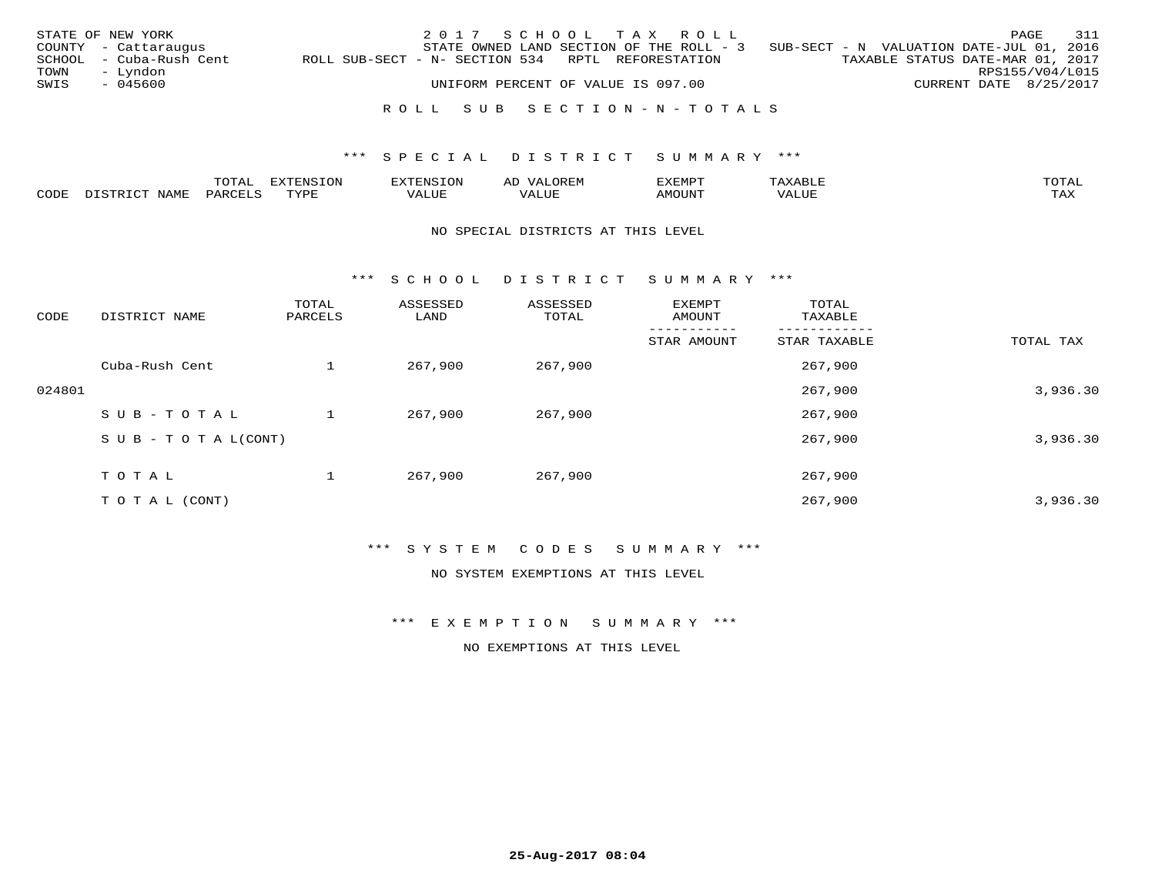|      | STATE OF NEW YORK       |                                                   |                                    |  | 2017 SCHOOL TAX ROLL      |                                                                                   |                        | PAGE | 311 |
|------|-------------------------|---------------------------------------------------|------------------------------------|--|---------------------------|-----------------------------------------------------------------------------------|------------------------|------|-----|
|      | COUNTY - Cattaraugus    |                                                   |                                    |  |                           | STATE OWNED LAND SECTION OF THE ROLL - 3 SUB-SECT - N VALUATION DATE-JUL 01, 2016 |                        |      |     |
|      | SCHOOL - Cuba-Rush Cent | ROLL SUB-SECT - N- SECTION 534 RPTL REFORESTATION |                                    |  |                           | TAXABLE STATUS DATE-MAR 01, 2017                                                  |                        |      |     |
| TOWN | – Lyndon                |                                                   |                                    |  |                           |                                                                                   | RPS155/V04/L015        |      |     |
| SWIS | - 045600                |                                                   | UNIFORM PERCENT OF VALUE IS 097.00 |  |                           |                                                                                   | CURRENT DATE 8/25/2017 |      |     |
|      |                         |                                                   |                                    |  |                           |                                                                                   |                        |      |     |
|      |                         |                                                   |                                    |  | ROLL SUB SECTION-N-TOTALS |                                                                                   |                        |      |     |

|                  | $m \wedge m \wedge n$ | -UP  |               | $\sim$ | ,, <del>,,</del> ,,,,<br>، ب |       |                                   |
|------------------|-----------------------|------|---------------|--------|------------------------------|-------|-----------------------------------|
| 70D <sub>H</sub> | PAR(                  | TVDI | - ---<br>ש∟ב. | بماللت | <b>IMOUNT</b>                | 'ALUL | $m \times r$<br><del>* ™</del> ** |

### NO SPECIAL DISTRICTS AT THIS LEVEL

\*\*\* S C H O O L D I S T R I C T S U M M A R Y \*\*\*

| CODE   | DISTRICT NAME                    | TOTAL<br>PARCELS | ASSESSED<br>LAND | ASSESSED<br>TOTAL | EXEMPT<br>AMOUNT | TOTAL<br>TAXABLE |           |
|--------|----------------------------------|------------------|------------------|-------------------|------------------|------------------|-----------|
|        |                                  |                  |                  |                   | STAR AMOUNT      | STAR TAXABLE     | TOTAL TAX |
|        | Cuba-Rush Cent                   |                  | 267,900          | 267,900           |                  | 267,900          |           |
| 024801 |                                  |                  |                  |                   |                  | 267,900          | 3,936.30  |
|        | SUB-TOTAL                        |                  | 267,900          | 267,900           |                  | 267,900          |           |
|        | $S \cup B - T \cup T A L (CONT)$ |                  |                  |                   |                  | 267,900          | 3,936.30  |
|        | T O T A L                        |                  | 267,900          | 267,900           |                  | 267,900          |           |
|        | T O T A L (CONT)                 |                  |                  |                   |                  | 267,900          | 3,936.30  |

## \*\*\* S Y S T E M C O D E S S U M M A R Y \*\*\*

NO SYSTEM EXEMPTIONS AT THIS LEVEL

\*\*\* E X E M P T I O N S U M M A R Y \*\*\*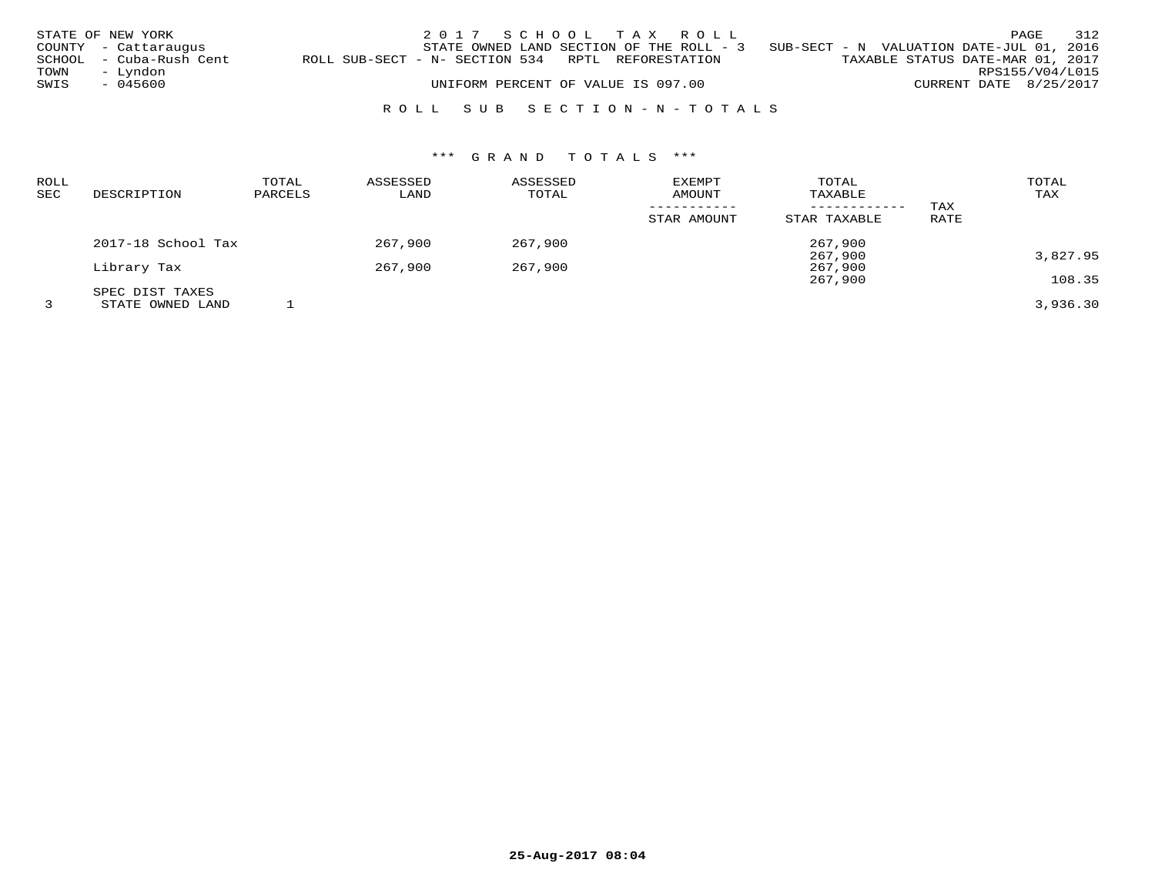|      | STATE OF NEW YORK       |                                                   | 2017 SCHOOL TAX ROLL               |  |                                                                                   |                                  |                        | PAGE | 312 |
|------|-------------------------|---------------------------------------------------|------------------------------------|--|-----------------------------------------------------------------------------------|----------------------------------|------------------------|------|-----|
|      | COUNTY - Cattaraugus    |                                                   |                                    |  | STATE OWNED LAND SECTION OF THE ROLL - 3 SUB-SECT - N VALUATION DATE-JUL 01, 2016 |                                  |                        |      |     |
|      | SCHOOL - Cuba-Rush Cent | ROLL SUB-SECT - N- SECTION 534 RPTL REFORESTATION |                                    |  |                                                                                   | TAXABLE STATUS DATE-MAR 01, 2017 |                        |      |     |
| TOWN | – Lyndon                |                                                   |                                    |  |                                                                                   |                                  | RPS155/V04/L015        |      |     |
| SWIS | - 045600                |                                                   | UNIFORM PERCENT OF VALUE IS 097.00 |  |                                                                                   |                                  | CURRENT DATE 8/25/2017 |      |     |
|      |                         |                                                   |                                    |  |                                                                                   |                                  |                        |      |     |

## R O L L S U B S E C T I O N - N - T O T A L S

| ROLL       |                    | TOTAL   | ASSESSED | ASSESSED | <b>EXEMPT</b> | TOTAL        |      | TOTAL    |
|------------|--------------------|---------|----------|----------|---------------|--------------|------|----------|
| <b>SEC</b> | DESCRIPTION        | PARCELS | LAND     | TOTAL    | AMOUNT        | TAXABLE      |      | TAX      |
|            |                    |         |          |          |               |              | TAX  |          |
|            |                    |         |          |          | STAR AMOUNT   | STAR TAXABLE | RATE |          |
|            | 2017-18 School Tax |         | 267,900  | 267,900  |               | 267,900      |      |          |
|            |                    |         |          |          |               | 267,900      |      | 3,827.95 |
|            | Library Tax        |         | 267,900  | 267,900  |               | 267,900      |      |          |
|            |                    |         |          |          |               | 267,900      |      | 108.35   |
|            | SPEC DIST TAXES    |         |          |          |               |              |      |          |
|            | STATE OWNED LAND   |         |          |          |               |              |      | 3,936.30 |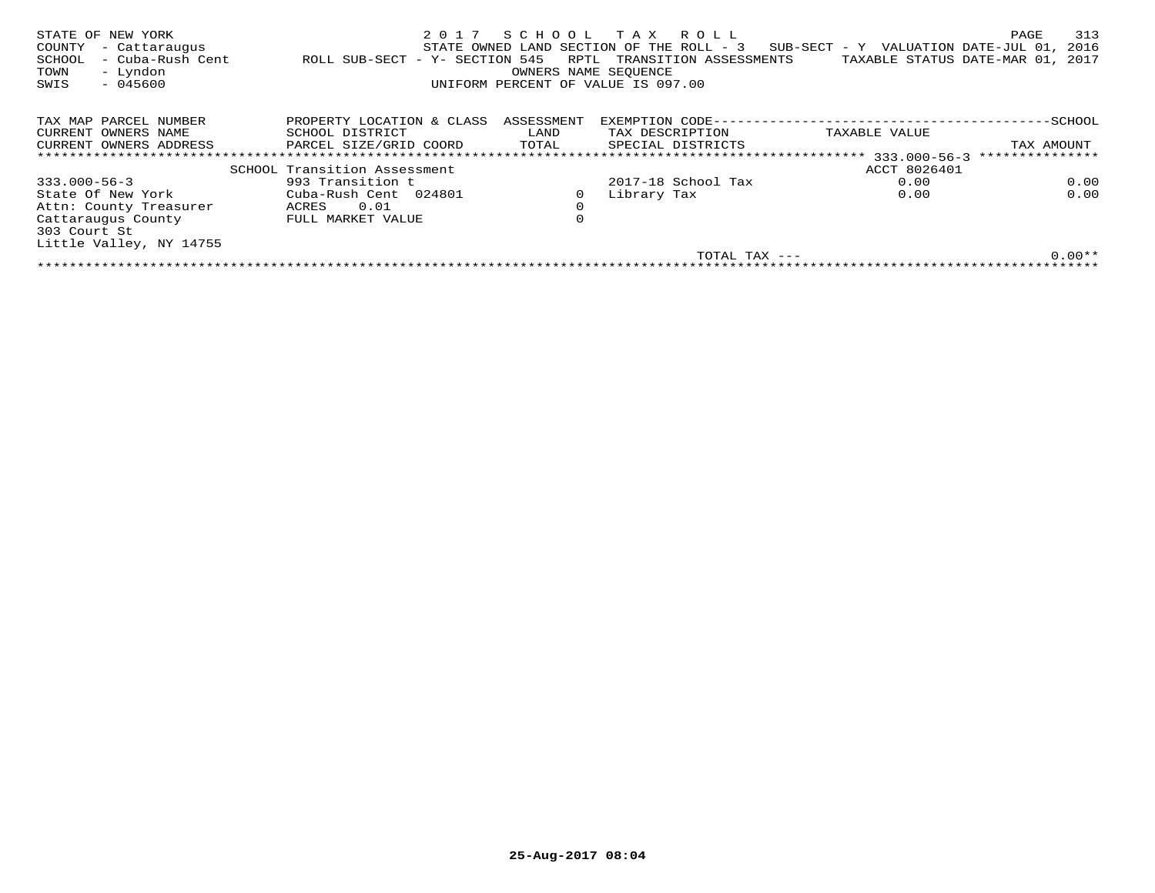| STATE OF NEW YORK<br>COUNTY<br>- Cattaraugus<br>- Cuba-Rush Cent<br>SCHOOL<br>- Lyndon<br>TOWN<br>$-045600$<br>SWIS | 2 0 1 7<br>ROLL SUB-SECT - Y- SECTION 545 | RPTL<br>OWNERS NAME SEOUENCE | SCHOOL TAX ROLL<br>STATE OWNED LAND SECTION OF THE ROLL - 3<br>TRANSITION ASSESSMENTS<br>UNIFORM PERCENT OF VALUE IS 097.00 | $SUB-SECTION - Y$ VALUATION DATE-JUL 01,<br>TAXABLE STATUS DATE-MAR 01, | 313<br>PAGE<br>2016<br>2017 |
|---------------------------------------------------------------------------------------------------------------------|-------------------------------------------|------------------------------|-----------------------------------------------------------------------------------------------------------------------------|-------------------------------------------------------------------------|-----------------------------|
| TAX MAP PARCEL NUMBER                                                                                               | PROPERTY LOCATION & CLASS                 | ASSESSMENT                   | EXEMPTION CODE---                                                                                                           |                                                                         | -SCHOOL                     |
| CURRENT OWNERS NAME                                                                                                 | SCHOOL DISTRICT                           | LAND                         | TAX DESCRIPTION                                                                                                             | TAXABLE VALUE                                                           |                             |
| CURRENT OWNERS ADDRESS                                                                                              | PARCEL SIZE/GRID COORD                    | TOTAL                        | SPECIAL DISTRICTS                                                                                                           |                                                                         | TAX AMOUNT                  |
|                                                                                                                     |                                           |                              |                                                                                                                             |                                                                         | ***************             |
|                                                                                                                     | SCHOOL Transition Assessment              |                              |                                                                                                                             | ACCT 8026401                                                            |                             |
| $333.000 - 56 - 3$                                                                                                  | 993 Transition t                          |                              | 2017-18 School Tax                                                                                                          | 0.00                                                                    | 0.00                        |
| State Of New York                                                                                                   | Cuba-Rush Cent 024801                     |                              | Library Tax                                                                                                                 | 0.00                                                                    | 0.00                        |
| Attn: County Treasurer                                                                                              | 0.01<br>ACRES                             | $\mathbf 0$                  |                                                                                                                             |                                                                         |                             |
| Cattaraugus County                                                                                                  | FULL MARKET VALUE                         | 0                            |                                                                                                                             |                                                                         |                             |
| 303 Court St                                                                                                        |                                           |                              |                                                                                                                             |                                                                         |                             |
| Little Valley, NY 14755                                                                                             |                                           |                              |                                                                                                                             |                                                                         |                             |
|                                                                                                                     |                                           |                              | TOTAL TAX $---$                                                                                                             |                                                                         | $0.00**$                    |
|                                                                                                                     |                                           |                              |                                                                                                                             |                                                                         |                             |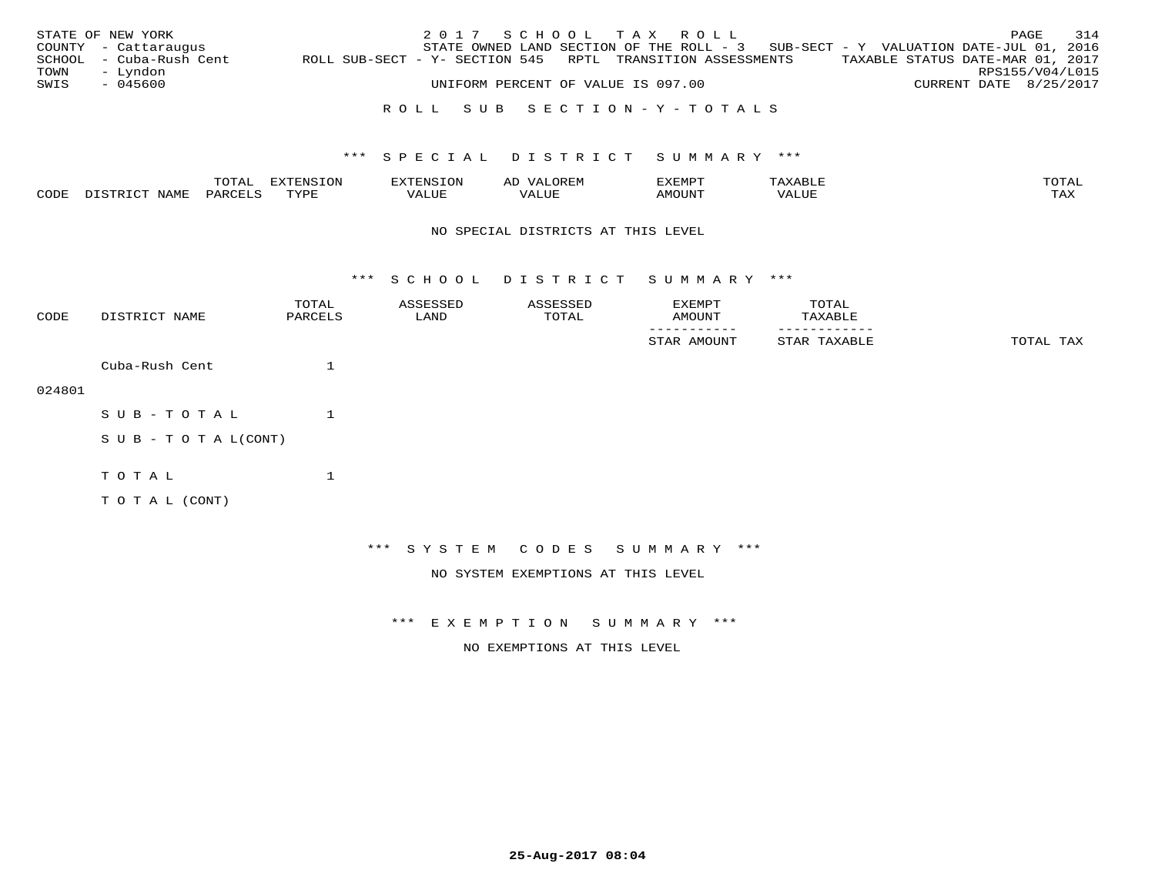|      | STATE OF NEW YORK       |                                                            | 2017 SCHOOL TAX ROLL               |  |                                                                                   |                                  |                        | PAGE | 314 |
|------|-------------------------|------------------------------------------------------------|------------------------------------|--|-----------------------------------------------------------------------------------|----------------------------------|------------------------|------|-----|
|      | COUNTY - Cattaraugus    |                                                            |                                    |  | STATE OWNED LAND SECTION OF THE ROLL - 3 SUB-SECT - Y VALUATION DATE-JUL 01, 2016 |                                  |                        |      |     |
|      | SCHOOL - Cuba-Rush Cent | ROLL SUB-SECT - Y- SECTION 545 RPTL TRANSITION ASSESSMENTS |                                    |  |                                                                                   | TAXABLE STATUS DATE-MAR 01, 2017 |                        |      |     |
| TOWN | – Lyndon                |                                                            |                                    |  |                                                                                   |                                  | RPS155/V04/L015        |      |     |
| SWIS | - 045600                |                                                            | UNIFORM PERCENT OF VALUE IS 097.00 |  |                                                                                   |                                  | CURRENT DATE 8/25/2017 |      |     |

## R O L L S U B S E C T I O N - Y - T O T A L S

## \*\*\* S P E C I A L D I S T R I C T S U M M A R Y \*\*\*

|      |      | momz.<br>.UIAL | $\pi$<br>-UP |                   |      | .XEMP'             | ▵<br><b>BU</b> | mom <sub>n</sub> |
|------|------|----------------|--------------|-------------------|------|--------------------|----------------|------------------|
| CODE | NAMF | 'AR(           | TVDI         | - --<br>الالتسلام | ALUE | AMOUN <sup>T</sup> | VALUE          | TAX              |

#### NO SPECIAL DISTRICTS AT THIS LEVEL

\*\*\* S C H O O L D I S T R I C T S U M M A R Y \*\*\*

| CODE   | DISTRICT NAME             | TOTAL<br>PARCELS | ASSESSED<br>LAND | ASSESSED<br>TOTAL | EXEMPT<br>AMOUNT                   | TOTAL<br>TAXABLE |           |
|--------|---------------------------|------------------|------------------|-------------------|------------------------------------|------------------|-----------|
|        |                           |                  |                  |                   | STAR AMOUNT                        | STAR TAXABLE     | TOTAL TAX |
|        | Cuba-Rush Cent            | 1                |                  |                   |                                    |                  |           |
| 024801 |                           |                  |                  |                   |                                    |                  |           |
|        | SUB-TOTAL                 | 1                |                  |                   |                                    |                  |           |
|        | S U B - T O T A $L(CONT)$ |                  |                  |                   |                                    |                  |           |
|        | TOTAL                     |                  |                  |                   |                                    |                  |           |
|        | TO TAL (CONT)             |                  |                  |                   |                                    |                  |           |
|        |                           |                  |                  |                   |                                    |                  |           |
|        |                           |                  |                  |                   | *** SYSTEM CODES SUMMARY ***       |                  |           |
|        |                           |                  |                  |                   | NO SYSTEM EXEMPTIONS AT THIS LEVEL |                  |           |

\*\*\* E X E M P T I O N S U M M A R Y \*\*\*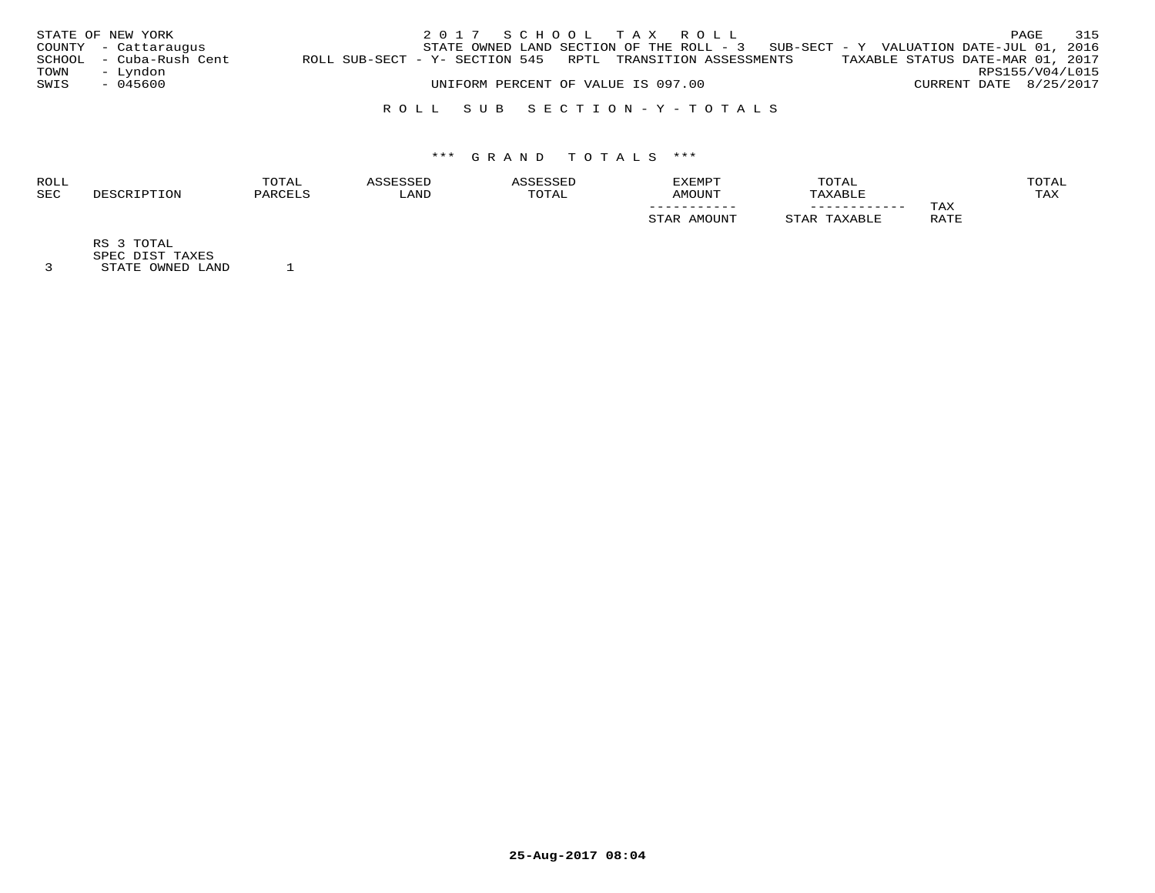|      | STATE OF NEW YORK       |                                                               |                                    |  | 2017 SCHOOL TAX ROLL |                                                                                     |                                  |                        | PAGE | 315 |
|------|-------------------------|---------------------------------------------------------------|------------------------------------|--|----------------------|-------------------------------------------------------------------------------------|----------------------------------|------------------------|------|-----|
|      | COUNTY - Cattaraugus    |                                                               |                                    |  |                      | STATE OWNED LAND SECTION OF THE ROLL - $3$ SUB-SECT - Y VALUATION DATE-JUL 01, 2016 |                                  |                        |      |     |
|      | SCHOOL - Cuba-Rush Cent | ROLL SUB-SECT - Y- SECTION 545   RPTL  TRANSITION ASSESSMENTS |                                    |  |                      |                                                                                     | TAXABLE STATUS DATE-MAR 01, 2017 |                        |      |     |
| TOWN | – Lyndon                |                                                               |                                    |  |                      |                                                                                     |                                  | RPS155/V04/L015        |      |     |
| SWIS | - 045600                |                                                               | UNIFORM PERCENT OF VALUE IS 097.00 |  |                      |                                                                                     |                                  | CURRENT DATE 8/25/2017 |      |     |
|      |                         |                                                               |                                    |  |                      |                                                                                     |                                  |                        |      |     |

R O L L S U B S E C T I O N - Y - T O T A L S

# \*\*\* G R A N D T O T A L S \*\*\*

| <b>ROLL</b> | TOTAL     |      |       | <b>EXEMPT</b>      | TOTAL   |      | TOTAL |
|-------------|-----------|------|-------|--------------------|---------|------|-------|
| <b>SEC</b>  | ז החים מכ | LAND | TOTAL | AMOUNT             | TAXABLE |      | TAX   |
|             |           |      |       | ___________        |         | TAX  |       |
|             |           |      |       | <b>A BECATTATE</b> |         | RATE |       |
|             |           |      |       |                    |         |      |       |

RS 3 TOTAL

SPEC DIST TAXES 3 STATE OWNED LAND 1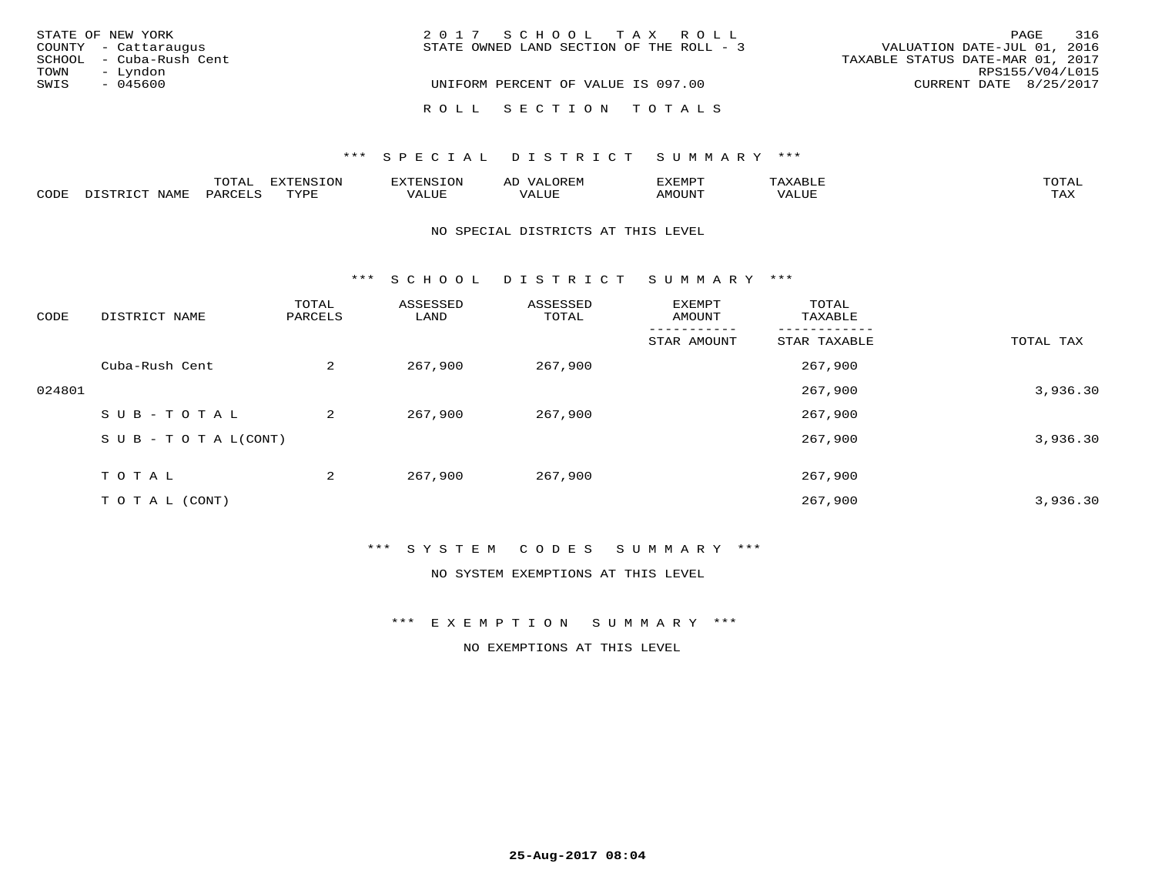| STATE OF NEW YORK       | 2017 SCHOOL TAX ROLL                     | 316<br>PAGE                      |
|-------------------------|------------------------------------------|----------------------------------|
| COUNTY - Cattaraugus    | STATE OWNED LAND SECTION OF THE ROLL - 3 | VALUATION DATE-JUL 01, 2016      |
| SCHOOL - Cuba-Rush Cent |                                          | TAXABLE STATUS DATE-MAR 01, 2017 |
| – Lyndon<br>TOWN        |                                          | RPS155/V04/L015                  |
| SWIS<br>$-045600$       | UNIFORM PERCENT OF VALUE IS 097.00       | CURRENT DATE 8/25/2017           |
|                         | ROLL SECTION TOTALS                      |                                  |

|      |                  | TOTAL   | <b>EXTENSION</b><br>∠⊥ON | -ENS  | OREM<br>AL'                  | דפוא:זא       | <b>AXABLE</b> | TOTAI |
|------|------------------|---------|--------------------------|-------|------------------------------|---------------|---------------|-------|
| CODE | NAME<br>DISTRICT | PARCELS | TVDL                     | VALUE | $- - - - -$<br>VA.<br>. ALUF | <b>AMOUNT</b> | 'ALUL         | TAX   |

## NO SPECIAL DISTRICTS AT THIS LEVEL

\*\*\* S C H O O L D I S T R I C T S U M M A R Y \*\*\*

| CODE   | DISTRICT NAME                    | TOTAL<br>PARCELS | ASSESSED<br>LAND | ASSESSED<br>TOTAL | EXEMPT<br>AMOUNT | TOTAL<br>TAXABLE |           |
|--------|----------------------------------|------------------|------------------|-------------------|------------------|------------------|-----------|
|        |                                  |                  |                  |                   | STAR AMOUNT      | STAR TAXABLE     | TOTAL TAX |
|        | Cuba-Rush Cent                   | $\overline{a}$   | 267,900          | 267,900           |                  | 267,900          |           |
| 024801 |                                  |                  |                  |                   |                  | 267,900          | 3,936.30  |
|        | SUB-TOTAL                        | 2                | 267,900          | 267,900           |                  | 267,900          |           |
|        | $S \cup B - T \cup T A L (CONT)$ |                  |                  |                   |                  | 267,900          | 3,936.30  |
|        | T O T A L                        | 2                | 267,900          | 267,900           |                  | 267,900          |           |
|        | TO TAL (CONT)                    |                  |                  |                   |                  | 267,900          | 3,936.30  |

## \*\*\* S Y S T E M C O D E S S U M M A R Y \*\*\*

NO SYSTEM EXEMPTIONS AT THIS LEVEL

\*\*\* E X E M P T I O N S U M M A R Y \*\*\*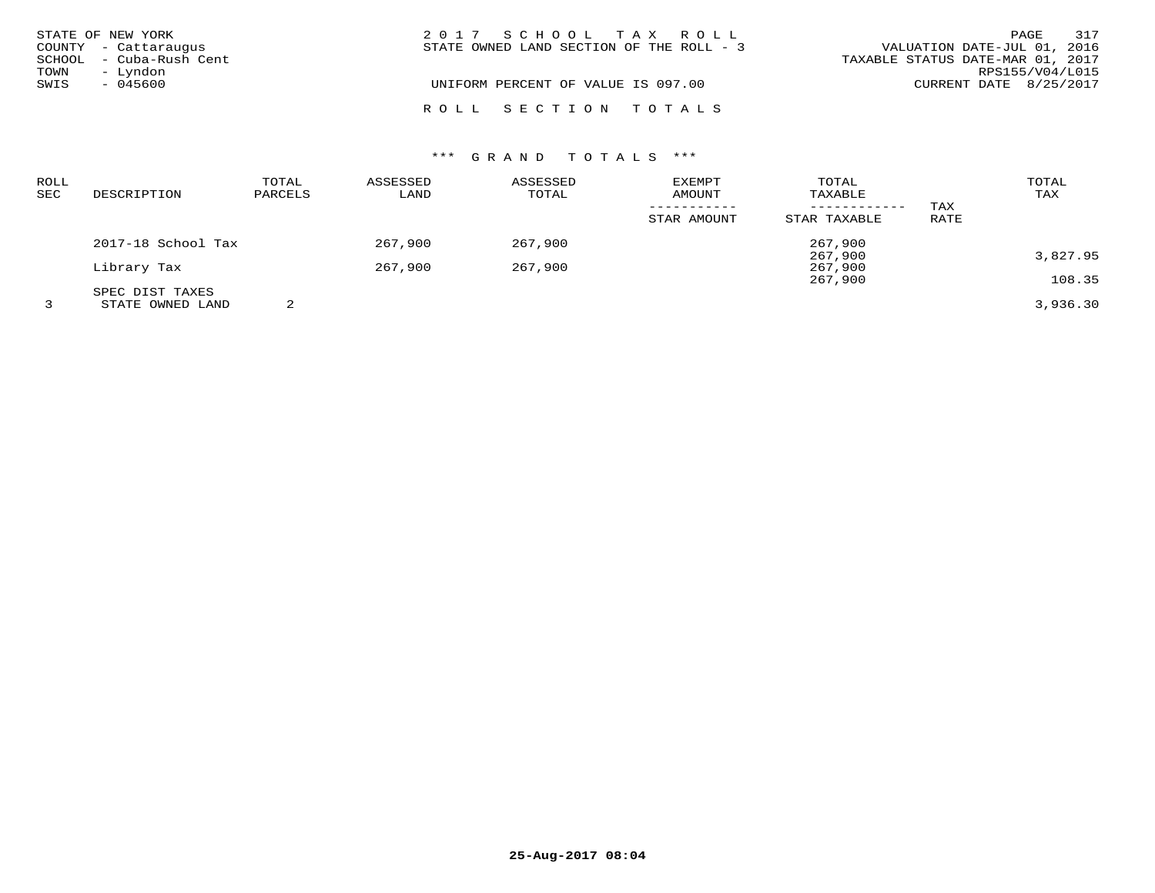|      | STATE OF NEW YORK       | 2017 SCHOOL TAX ROLL                     | 317<br>PAGE                      |
|------|-------------------------|------------------------------------------|----------------------------------|
|      | COUNTY - Cattaraugus    | STATE OWNED LAND SECTION OF THE ROLL - 3 | VALUATION DATE-JUL 01, 2016      |
|      | SCHOOL - Cuba-Rush Cent |                                          | TAXABLE STATUS DATE-MAR 01, 2017 |
| TOWN | – Lyndon                |                                          | RPS155/V04/L015                  |
| SWIS | $-045600$               | UNIFORM PERCENT OF VALUE IS 097.00       | CURRENT DATE 8/25/2017           |
|      |                         | ROLL SECTION TOTALS                      |                                  |

# \*\*\* G R A N D T O T A L S \*\*\*

| ROLL<br>SEC | DESCRIPTION        | TOTAL<br>PARCELS | ASSESSED<br>LAND | ASSESSED<br>TOTAL | <b>EXEMPT</b><br>AMOUNT | TOTAL<br>TAXABLE             |             | TOTAL<br>TAX |
|-------------|--------------------|------------------|------------------|-------------------|-------------------------|------------------------------|-------------|--------------|
|             |                    |                  |                  |                   | STAR AMOUNT             | ------------<br>STAR TAXABLE | TAX<br>RATE |              |
|             | 2017-18 School Tax |                  | 267,900          | 267,900           |                         | 267,900                      |             |              |
|             | Library Tax        |                  | 267,900          | 267,900           |                         | 267,900<br>267,900           |             | 3,827.95     |
|             | SPEC DIST TAXES    |                  |                  |                   |                         | 267,900                      |             | 108.35       |
|             | STATE OWNED LAND   |                  |                  |                   |                         |                              |             | 3,936.30     |

**25-Aug-2017 08:04**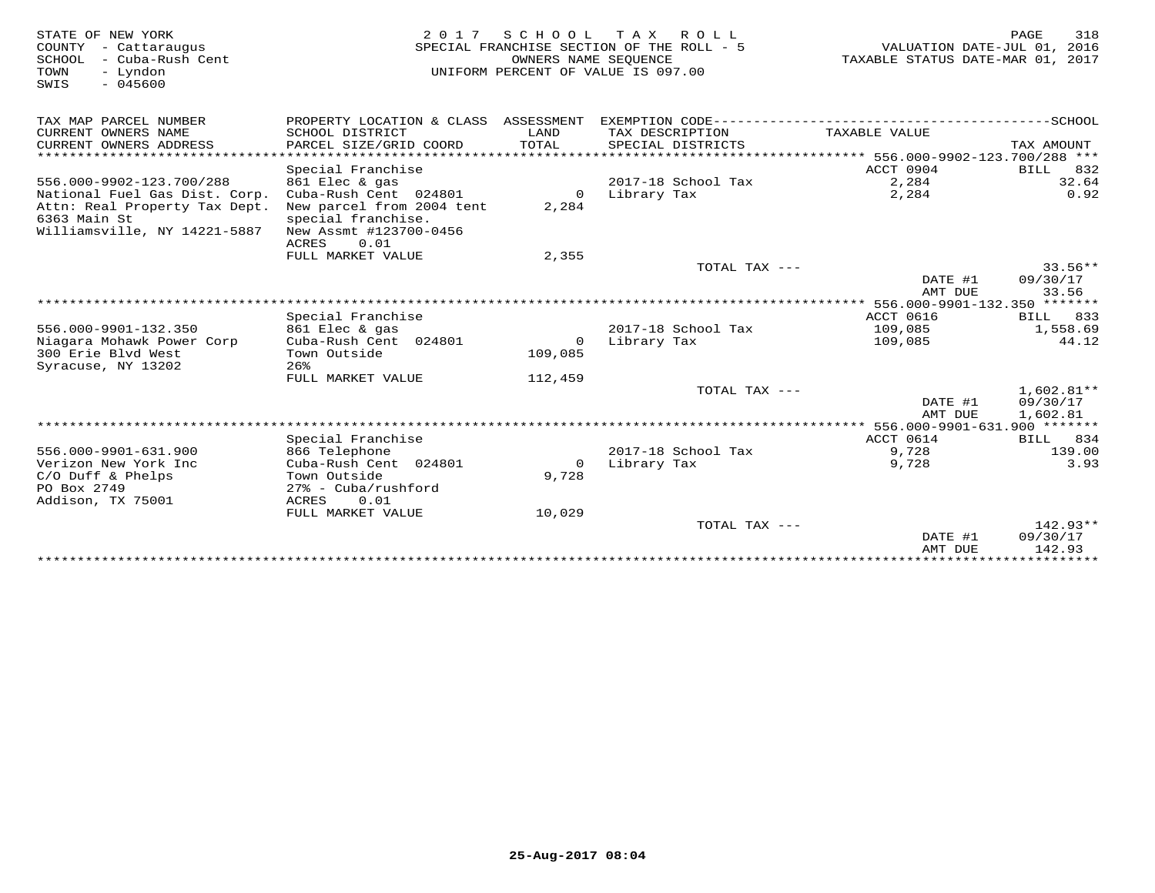| STATE OF NEW YORK<br>COUNTY<br>- Cattaraugus<br>SCHOOL<br>- Cuba-Rush Cent<br>TOWN<br>- Lyndon<br>$-045600$<br>SWIS | 2 0 1 7                                                                                                    | OWNERS NAME SEOUENCE | SCHOOL TAX ROLL<br>SPECIAL FRANCHISE SECTION OF THE ROLL - 5<br>UNIFORM PERCENT OF VALUE IS 097.00 | VALUATION DATE-JUL 01, 2016<br>TAXABLE STATUS DATE-MAR 01, 2017 | 318<br>PAGE                          |
|---------------------------------------------------------------------------------------------------------------------|------------------------------------------------------------------------------------------------------------|----------------------|----------------------------------------------------------------------------------------------------|-----------------------------------------------------------------|--------------------------------------|
| TAX MAP PARCEL NUMBER                                                                                               | PROPERTY LOCATION & CLASS ASSESSMENT                                                                       |                      |                                                                                                    |                                                                 |                                      |
| CURRENT OWNERS NAME<br>CURRENT OWNERS ADDRESS                                                                       | SCHOOL DISTRICT<br>PARCEL SIZE/GRID COORD                                                                  | LAND<br><b>TOTAL</b> | TAX DESCRIPTION<br>SPECIAL DISTRICTS                                                               | TAXABLE VALUE                                                   | TAX AMOUNT                           |
| *************************                                                                                           |                                                                                                            |                      |                                                                                                    |                                                                 |                                      |
|                                                                                                                     | Special Franchise                                                                                          |                      |                                                                                                    | ACCT 0904                                                       | BILL<br>832                          |
| 556.000-9902-123.700/288                                                                                            | 861 Elec & gas                                                                                             |                      | 2017-18 School Tax                                                                                 | 2,284                                                           | 32.64                                |
| National Fuel Gas Dist. Corp.<br>Attn: Real Property Tax Dept.<br>6363 Main St<br>Williamsville, NY 14221-5887      | Cuba-Rush Cent 024801<br>New parcel from 2004 tent<br>special franchise.<br>New Assmt #123700-0456<br>0.01 | $\Omega$<br>2,284    | Library Tax                                                                                        | 2,284                                                           | 0.92                                 |
|                                                                                                                     | ACRES<br>FULL MARKET VALUE                                                                                 | 2,355                |                                                                                                    |                                                                 |                                      |
|                                                                                                                     |                                                                                                            |                      | TOTAL TAX ---                                                                                      |                                                                 | $33.56**$                            |
|                                                                                                                     |                                                                                                            |                      |                                                                                                    | DATE #1                                                         | 09/30/17                             |
|                                                                                                                     | ********************                                                                                       |                      |                                                                                                    | AMT DUE                                                         | 33.56                                |
|                                                                                                                     | Special Franchise                                                                                          |                      |                                                                                                    | ************* 556.000-9901-132.350 *******<br><b>ACCT 0616</b>  | BILL<br>833                          |
| 556.000-9901-132.350                                                                                                | 861 Elec & gas                                                                                             |                      | 2017-18 School Tax                                                                                 | 109,085                                                         | 1,558.69                             |
| Niagara Mohawk Power Corp                                                                                           | Cuba-Rush Cent 024801                                                                                      | $\circ$              | Library Tax                                                                                        | 109,085                                                         | 44.12                                |
| 300 Erie Blyd West<br>Syracuse, NY 13202                                                                            | Town Outside<br>26%                                                                                        | 109,085              |                                                                                                    |                                                                 |                                      |
|                                                                                                                     | FULL MARKET VALUE                                                                                          | 112,459              |                                                                                                    |                                                                 |                                      |
|                                                                                                                     |                                                                                                            |                      | TOTAL TAX ---                                                                                      | DATE #1<br>AMT DUE                                              | $1,602.81**$<br>09/30/17<br>1,602.81 |
| ******************************                                                                                      |                                                                                                            |                      |                                                                                                    |                                                                 |                                      |
|                                                                                                                     | Special Franchise                                                                                          |                      |                                                                                                    | ACCT 0614                                                       | <b>BILL</b><br>834                   |
| 556.000-9901-631.900                                                                                                | 866 Telephone                                                                                              |                      | 2017-18 School Tax                                                                                 | 9,728                                                           | 139.00                               |
| Verizon New York Inc                                                                                                | Cuba-Rush Cent 024801                                                                                      | $\circ$              | Library Tax                                                                                        | 9,728                                                           | 3.93                                 |
| $C/O$ Duff & Phelps<br>PO Box 2749                                                                                  | Town Outside<br>$27$ % - Cuba/rushford                                                                     | 9,728                |                                                                                                    |                                                                 |                                      |
| Addison, TX 75001                                                                                                   | 0.01<br>ACRES<br>FULL MARKET VALUE                                                                         | 10,029               |                                                                                                    |                                                                 |                                      |
|                                                                                                                     |                                                                                                            |                      | TOTAL TAX ---                                                                                      |                                                                 | $142.93**$                           |
|                                                                                                                     |                                                                                                            |                      |                                                                                                    | DATE #1<br>AMT DUE                                              | 09/30/17<br>142.93                   |
|                                                                                                                     |                                                                                                            |                      |                                                                                                    |                                                                 |                                      |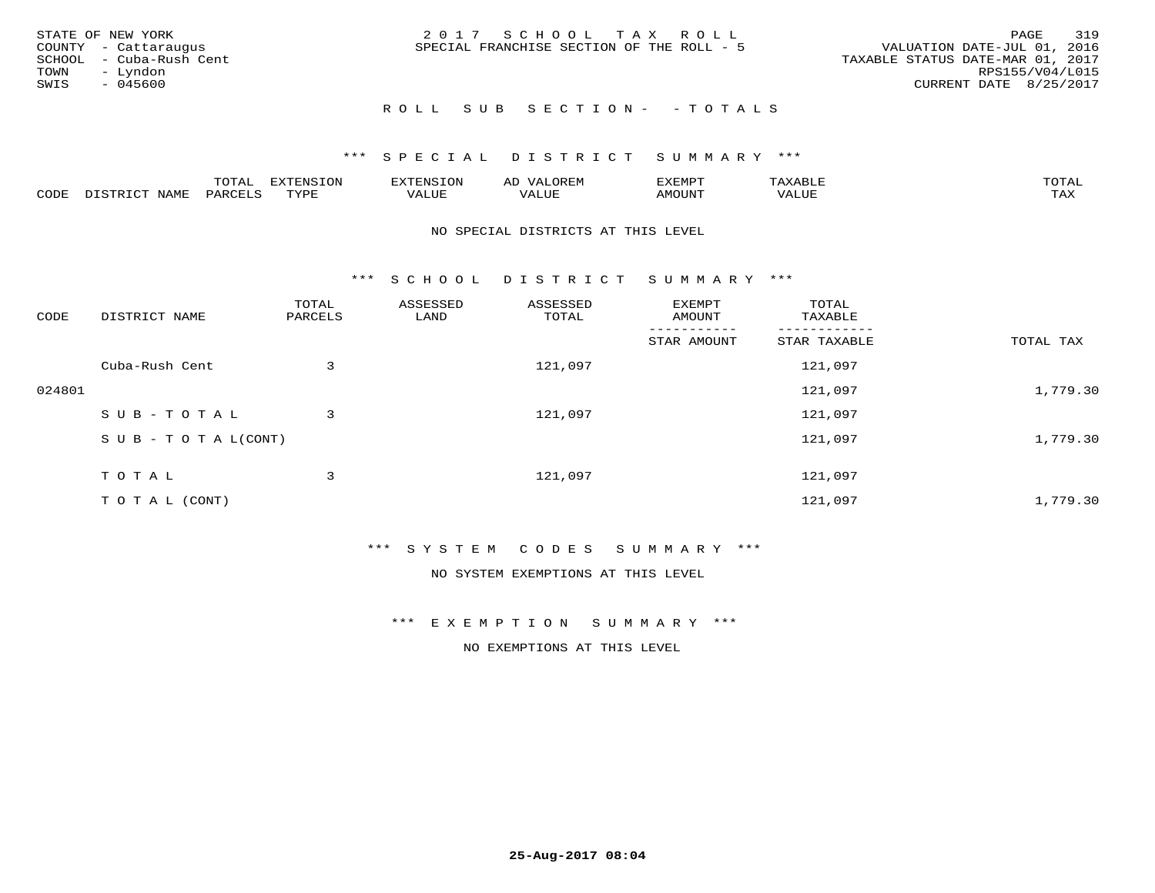|      | STATE OF NEW YORK       | 2017 SCHOOL TAX ROLL                      | PAGE                             | 319 |
|------|-------------------------|-------------------------------------------|----------------------------------|-----|
|      | COUNTY - Cattaraugus    | SPECIAL FRANCHISE SECTION OF THE ROLL - 5 | VALUATION DATE-JUL 01, 2016      |     |
|      | SCHOOL - Cuba-Rush Cent |                                           | TAXABLE STATUS DATE-MAR 01, 2017 |     |
| TOWN | - Lyndon                |                                           | RPS155/V04/L015                  |     |
| SWIS | - 045600                |                                           | CURRENT DATE 8/25/2017           |     |
|      |                         |                                           |                                  |     |

## ROLL SUB SECTION - - TOTALS

## \*\*\* S P E C I A L D I S T R I C T S U M M A R Y \*\*\*

|      |         | ----                | $\cdots$ | . FNS | ₩    | דסMדצי       |                   | $m \wedge m \wedge n$ |
|------|---------|---------------------|----------|-------|------|--------------|-------------------|-----------------------|
| CODE | ៶៲៳៲៴៲៷ | <b>ACTIVE</b><br>ΆR | TVDF     | ALUE  | ALUE | <b>NOUNT</b> | <b>TTT</b><br>⊐∪∟ | ГAX                   |

#### NO SPECIAL DISTRICTS AT THIS LEVEL

\*\*\* S C H O O L D I S T R I C T S U M M A R Y \*\*\*

| CODE   | DISTRICT NAME                    | TOTAL<br>PARCELS | ASSESSED<br>LAND | ASSESSED<br>TOTAL | EXEMPT<br>AMOUNT | TOTAL<br>TAXABLE |           |
|--------|----------------------------------|------------------|------------------|-------------------|------------------|------------------|-----------|
|        |                                  |                  |                  |                   | STAR AMOUNT      | STAR TAXABLE     | TOTAL TAX |
|        | Cuba-Rush Cent                   | 3                |                  | 121,097           |                  | 121,097          |           |
| 024801 |                                  |                  |                  |                   |                  | 121,097          | 1,779.30  |
|        | SUB-TOTAL                        | 3                |                  | 121,097           |                  | 121,097          |           |
|        | $S \cup B - T \cup T A L (CONT)$ |                  |                  |                   |                  | 121,097          | 1,779.30  |
|        | TOTAL                            | 3                |                  | 121,097           |                  | 121,097          |           |
|        | T O T A L (CONT)                 |                  |                  |                   |                  | 121,097          | 1,779.30  |

## \*\*\* S Y S T E M C O D E S S U M M A R Y \*\*\*

NO SYSTEM EXEMPTIONS AT THIS LEVEL

#### \*\*\* E X E M P T I O N S U M M A R Y \*\*\*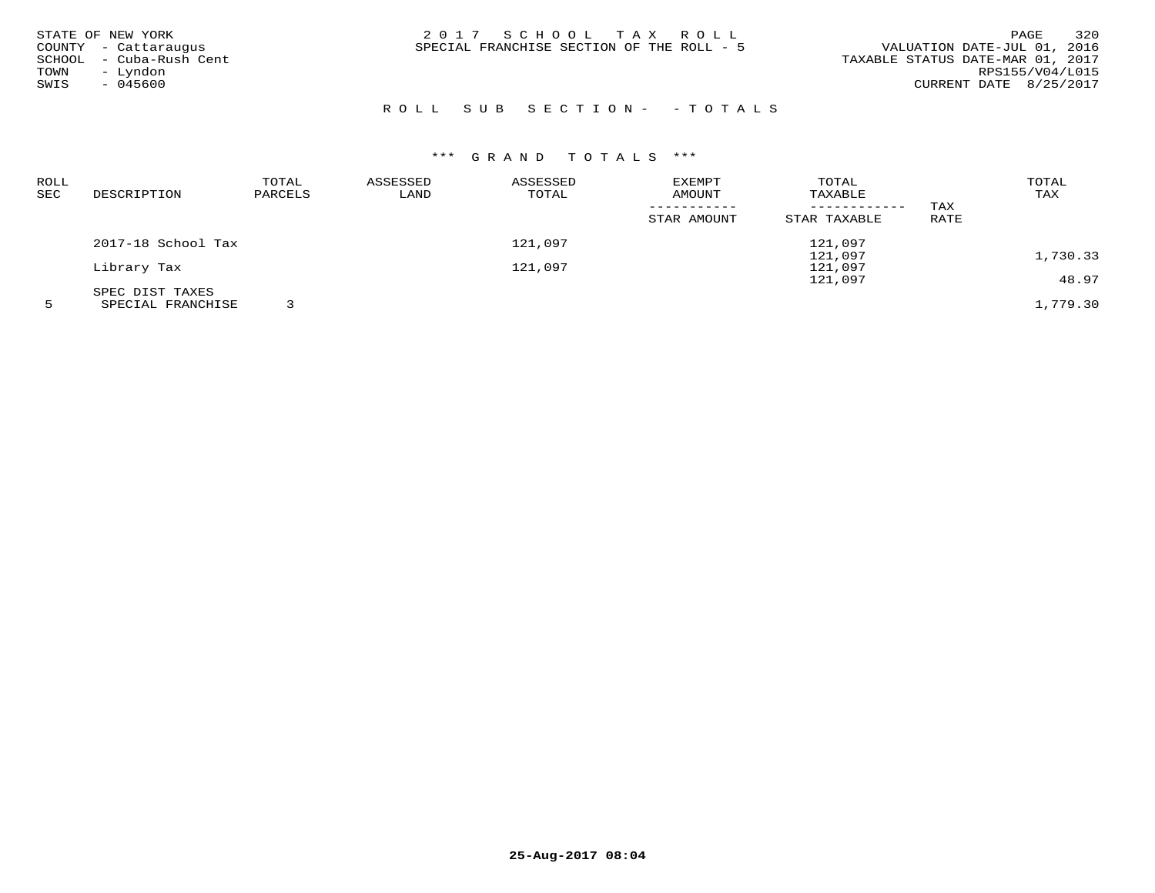| STATE OF NEW YORK       | 2017 SCHOOL TAX ROLL                      | 320<br>PAGE                      |
|-------------------------|-------------------------------------------|----------------------------------|
| COUNTY - Cattaraugus    | SPECIAL FRANCHISE SECTION OF THE ROLL - 5 | VALUATION DATE-JUL 01, 2016      |
| SCHOOL - Cuba-Rush Cent |                                           | TAXABLE STATUS DATE-MAR 01, 2017 |
| - Lyndon<br>TOWN        |                                           | RPS155/V04/L015                  |
| $-045600$<br>SWIS       |                                           | CURRENT DATE 8/25/2017           |
|                         |                                           |                                  |

# R O L L S U B S E C T I O N - - T O T A L S

| ROLL |                    | TOTAL   | ASSESSED | ASSESSED | EXEMPT      | TOTAL        |      | TOTAL    |
|------|--------------------|---------|----------|----------|-------------|--------------|------|----------|
| SEC  | DESCRIPTION        | PARCELS | LAND     | TOTAL    | AMOUNT      | TAXABLE      |      | TAX      |
|      |                    |         |          |          |             |              | TAX  |          |
|      |                    |         |          |          | STAR AMOUNT | STAR TAXABLE | RATE |          |
|      | 2017-18 School Tax |         |          | 121,097  |             | 121,097      |      |          |
|      |                    |         |          |          |             | 121,097      |      | 1,730.33 |
|      | Library Tax        |         |          | 121,097  |             | 121,097      |      |          |
|      |                    |         |          |          |             | 121,097      |      | 48.97    |
|      | SPEC DIST TAXES    |         |          |          |             |              |      |          |
|      | SPECIAL FRANCHISE  |         |          |          |             |              |      | 1,779.30 |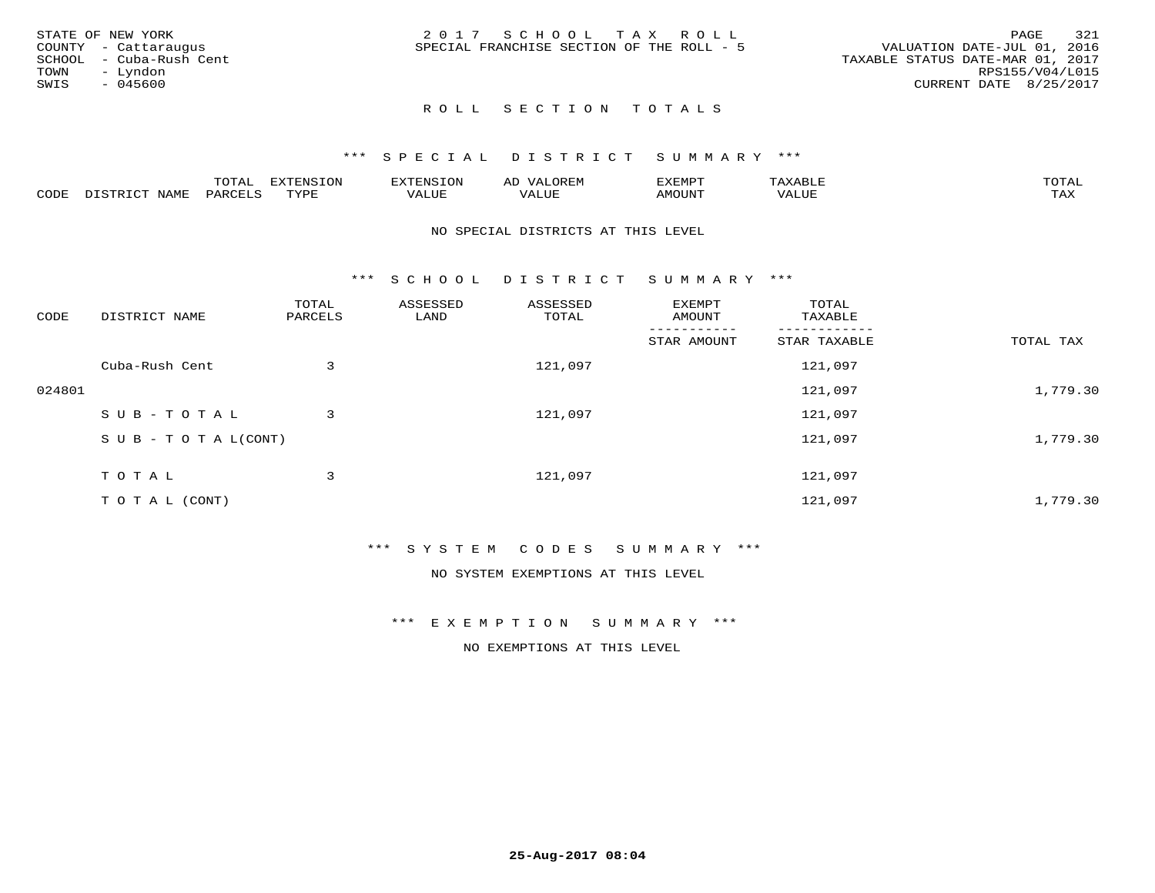|      | STATE OF NEW YORK       | 2017 SCHOOL TAX ROLL                      |  |                                  |                        | PAGE | 321 |
|------|-------------------------|-------------------------------------------|--|----------------------------------|------------------------|------|-----|
|      | COUNTY - Cattaraugus    | SPECIAL FRANCHISE SECTION OF THE ROLL - 5 |  | VALUATION DATE-JUL 01, 2016      |                        |      |     |
|      | SCHOOL - Cuba-Rush Cent |                                           |  | TAXABLE STATUS DATE-MAR 01, 2017 |                        |      |     |
| TOWN | - Lyndon                |                                           |  |                                  | RPS155/V04/L015        |      |     |
| SWIS | - 045600                |                                           |  |                                  | CURRENT DATE 8/25/2017 |      |     |
|      |                         |                                           |  |                                  |                        |      |     |

## ROLL SECTION TOTALS

## \*\*\* S P E C I A L D I S T R I C T S U M M A R Y \*\*\*

|      |                                              | mom n<br>L∪IAL   | <b>DIZPOIATO TOMT</b><br>LUN | -----------<br>י ו יו   | AD<br>URLIV  | $\ldots$<br>″ –<br>. ۱٬۱۳۰٬۰۰۰ | max                  | $m \wedge m \wedge n$ |
|------|----------------------------------------------|------------------|------------------------------|-------------------------|--------------|--------------------------------|----------------------|-----------------------|
| CODE | $ -$<br><b>NAM<sup>T</sup></b><br>- 12 - 14⊔ | PAR <sub>U</sub> | TVDF                         | $- - - -$<br>$A \cup P$ | ----<br>ALUF | IMOUNT                         | $   -$<br>$\sqrt{A}$ | $m \times r$<br>- −-  |

#### NO SPECIAL DISTRICTS AT THIS LEVEL

\*\*\* S C H O O L D I S T R I C T S U M M A R Y \*\*\*

| CODE   | DISTRICT NAME                    | TOTAL<br>PARCELS | ASSESSED<br>LAND | ASSESSED<br>TOTAL | EXEMPT<br>AMOUNT | TOTAL<br>TAXABLE |           |
|--------|----------------------------------|------------------|------------------|-------------------|------------------|------------------|-----------|
|        |                                  |                  |                  |                   | STAR AMOUNT      | STAR TAXABLE     | TOTAL TAX |
|        | Cuba-Rush Cent                   | 3                |                  | 121,097           |                  | 121,097          |           |
| 024801 |                                  |                  |                  |                   |                  | 121,097          | 1,779.30  |
|        | SUB-TOTAL                        | 3                |                  | 121,097           |                  | 121,097          |           |
|        | $S \cup B - T \cup T A L (CONT)$ |                  |                  |                   |                  | 121,097          | 1,779.30  |
|        | TOTAL                            | 3                |                  | 121,097           |                  | 121,097          |           |
|        | T O T A L (CONT)                 |                  |                  |                   |                  | 121,097          | 1,779.30  |

## \*\*\* S Y S T E M C O D E S S U M M A R Y \*\*\*

NO SYSTEM EXEMPTIONS AT THIS LEVEL

#### \*\*\* E X E M P T I O N S U M M A R Y \*\*\*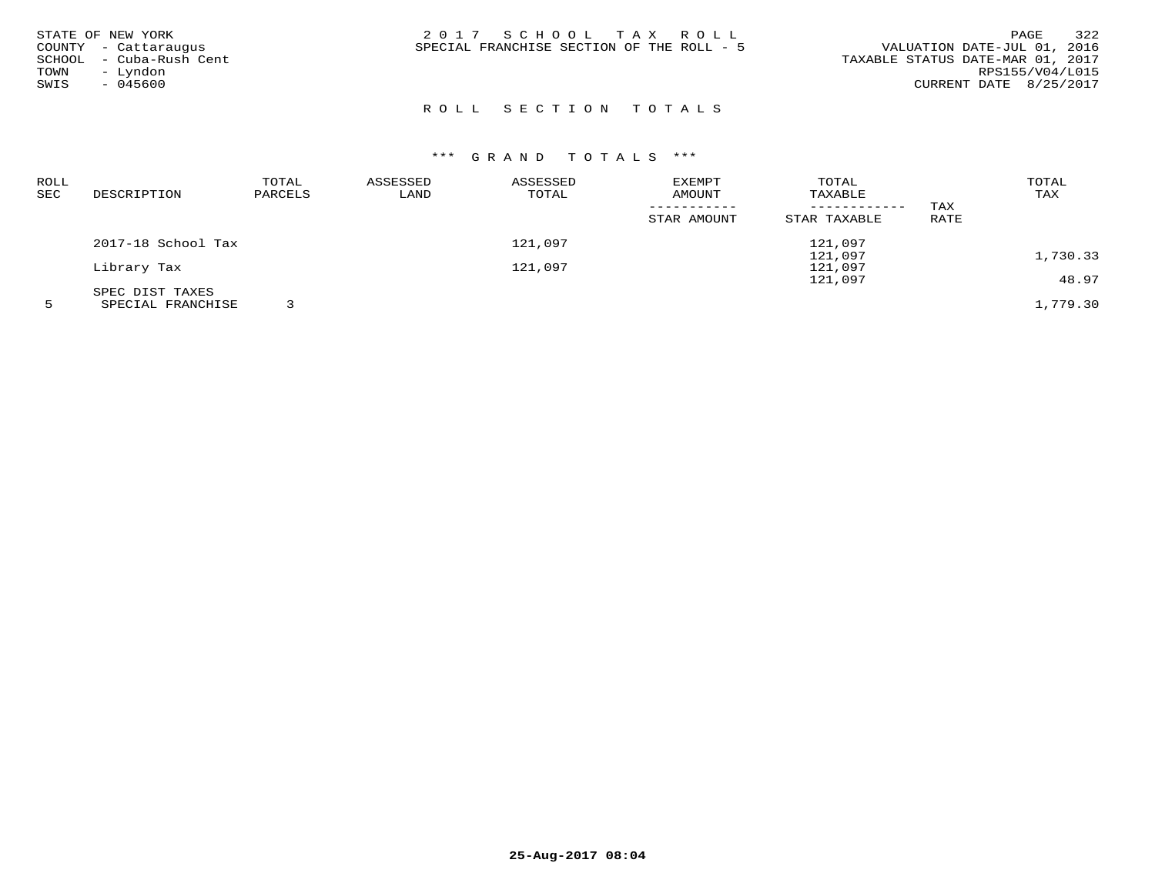| STATE OF NEW YORK<br>COUNTY - Cattaraugus<br>- Cuba-Rush Cent<br>SCHOOL<br>- Lyndon<br>TOWN<br>$-045600$<br>SWIS | 2017 SCHOOL TAX ROLL<br>SPECIAL FRANCHISE SECTION OF THE ROLL - 5 | 322<br>PAGE<br>VALUATION DATE-JUL 01, 2016<br>TAXABLE STATUS DATE-MAR 01, 2017<br>RPS155/V04/L015<br>CURRENT DATE 8/25/2017 |
|------------------------------------------------------------------------------------------------------------------|-------------------------------------------------------------------|-----------------------------------------------------------------------------------------------------------------------------|
|                                                                                                                  |                                                                   |                                                                                                                             |

# ROLL SECTION TOTALS

| <b>ROLL</b> |                    | TOTAL   | ASSESSED | ASSESSED | <b>EXEMPT</b> | TOTAL        |      | TOTAL    |
|-------------|--------------------|---------|----------|----------|---------------|--------------|------|----------|
| SEC         | DESCRIPTION        | PARCELS | LAND     | TOTAL    | AMOUNT        | TAXABLE      |      | TAX      |
|             |                    |         |          |          |               |              | TAX  |          |
|             |                    |         |          |          | STAR AMOUNT   | STAR TAXABLE | RATE |          |
|             | 2017-18 School Tax |         |          | 121,097  |               | 121,097      |      |          |
|             |                    |         |          |          |               | 121,097      |      | 1,730.33 |
|             | Library Tax        |         |          | 121,097  |               | 121,097      |      |          |
|             |                    |         |          |          |               | 121,097      |      | 48.97    |
|             | SPEC DIST TAXES    |         |          |          |               |              |      |          |
|             | SPECIAL FRANCHISE  |         |          |          |               |              |      | 1,779.30 |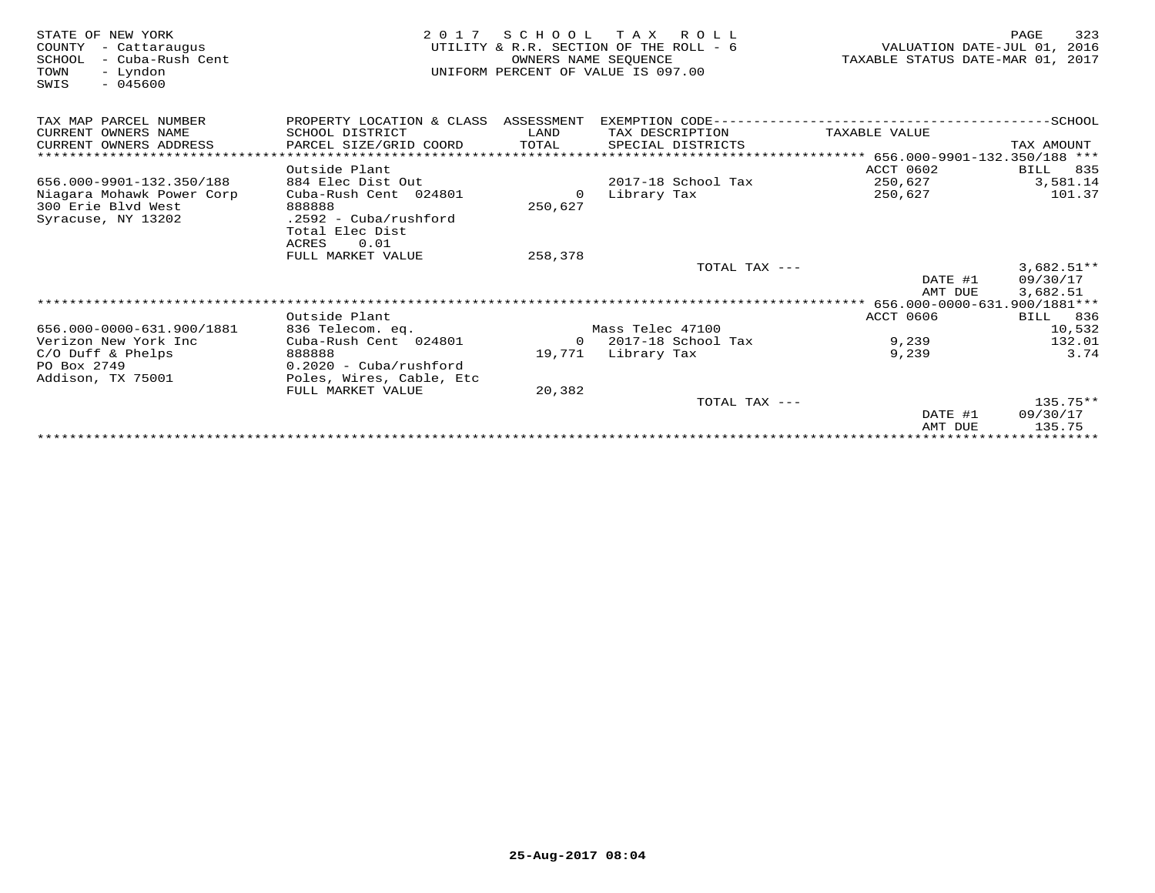| STATE OF NEW YORK<br>COUNTY<br>- Cattaraugus<br>- Cuba-Rush Cent<br>SCHOOL<br>- Lyndon<br>TOWN<br>$-045600$<br>SWIS | 2 0 1 7                              | OWNERS NAME SEOUENCE | SCHOOL TAX ROLL<br>UTILITY & R.R. SECTION OF THE ROLL - 6<br>UNIFORM PERCENT OF VALUE IS 097.00 | VALUATION DATE-JUL 01, 2016<br>TAXABLE STATUS DATE-MAR 01, 2017 | 323<br>PAGE     |
|---------------------------------------------------------------------------------------------------------------------|--------------------------------------|----------------------|-------------------------------------------------------------------------------------------------|-----------------------------------------------------------------|-----------------|
| TAX MAP PARCEL NUMBER                                                                                               | PROPERTY LOCATION & CLASS ASSESSMENT |                      |                                                                                                 |                                                                 |                 |
| CURRENT OWNERS NAME                                                                                                 | SCHOOL DISTRICT                      | LAND                 | TAX DESCRIPTION                                                                                 | TAXABLE VALUE                                                   |                 |
| CURRENT OWNERS ADDRESS                                                                                              | PARCEL SIZE/GRID COORD               | TOTAL                | SPECIAL DISTRICTS                                                                               |                                                                 | TAX AMOUNT      |
| *****************************                                                                                       |                                      |                      |                                                                                                 |                                                                 |                 |
|                                                                                                                     | Outside Plant                        |                      |                                                                                                 | ACCT 0602                                                       | BILL<br>835     |
| 656.000-9901-132.350/188                                                                                            | 884 Elec Dist Out                    |                      | 2017-18 School Tax                                                                              | 250,627                                                         | 3,581.14        |
| Niagara Mohawk Power Corp                                                                                           | Cuba-Rush Cent 024801                | 0                    | Library Tax                                                                                     | 250,627                                                         | 101.37          |
| 300 Erie Blvd West                                                                                                  | 888888                               | 250,627              |                                                                                                 |                                                                 |                 |
| Syracuse, NY 13202                                                                                                  | $.2592 - Cuba/rushford$              |                      |                                                                                                 |                                                                 |                 |
|                                                                                                                     | Total Elec Dist<br>0.01              |                      |                                                                                                 |                                                                 |                 |
|                                                                                                                     | ACRES<br>FULL MARKET VALUE           | 258,378              |                                                                                                 |                                                                 |                 |
|                                                                                                                     |                                      |                      | TOTAL TAX ---                                                                                   |                                                                 | $3,682.51**$    |
|                                                                                                                     |                                      |                      |                                                                                                 | DATE #1                                                         | 09/30/17        |
|                                                                                                                     |                                      |                      |                                                                                                 | AMT DUE                                                         | 3,682.51        |
|                                                                                                                     |                                      |                      |                                                                                                 |                                                                 |                 |
|                                                                                                                     | Outside Plant                        |                      |                                                                                                 | <b>ACCT 0606</b>                                                | <b>BILL</b> 836 |
| 656.000-0000-631.900/1881                                                                                           | 836 Telecom. eq.                     |                      | Mass Telec 47100                                                                                |                                                                 | 10,532          |
| Verizon New York Inc                                                                                                | Cuba-Rush Cent 024801                |                      | $0$ 2017-18 School Tax                                                                          | 9,239                                                           | 132.01          |
| $C/O$ Duff & Phelps                                                                                                 | 888888                               |                      | 19,771 Library Tax                                                                              | 9,239                                                           | 3.74            |
| PO Box 2749                                                                                                         | $0.2020 - Cuba/rushford$             |                      |                                                                                                 |                                                                 |                 |
| Addison, TX 75001                                                                                                   | Poles, Wires, Cable, Etc             |                      |                                                                                                 |                                                                 |                 |
|                                                                                                                     | FULL MARKET VALUE                    | 20,382               |                                                                                                 |                                                                 |                 |
|                                                                                                                     |                                      |                      | TOTAL TAX ---                                                                                   |                                                                 | $135.75**$      |
|                                                                                                                     |                                      |                      |                                                                                                 | DATE #1                                                         | 09/30/17        |
|                                                                                                                     |                                      |                      |                                                                                                 | AMT DUE                                                         | 135.75          |
|                                                                                                                     |                                      |                      |                                                                                                 | **********************************                              |                 |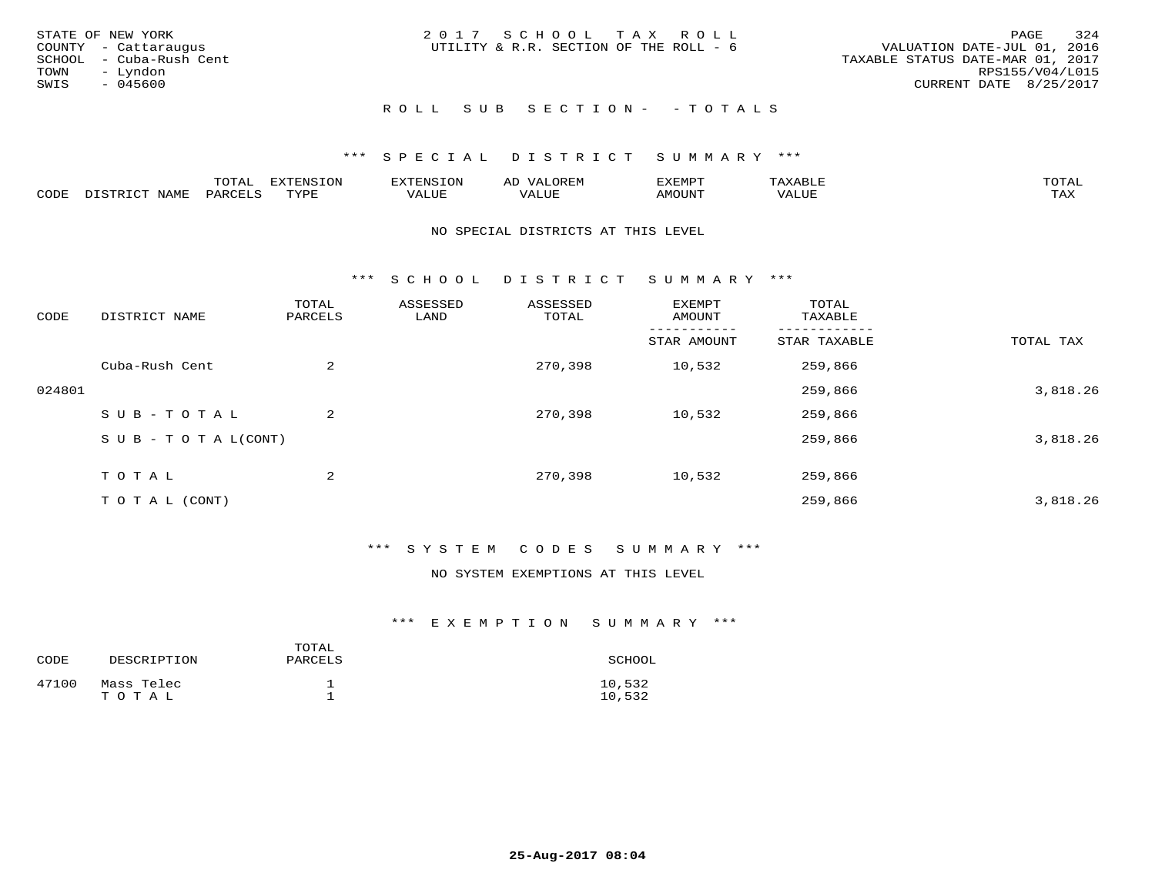| STATE OF NEW YORK<br>COUNTY - Cattaraugus<br>SCHOOL - Cuba-Rush Cent<br>TOWN<br>– Lyndon<br>SWIS<br>- 045600 | 2017 SCHOOL TAX ROLL<br>UTILITY & R.R. SECTION OF THE ROLL - 6 | 324<br>PAGE<br>VALUATION DATE-JUL 01, 2016<br>TAXABLE STATUS DATE-MAR 01, 2017<br>RPS155/V04/L015<br>CURRENT DATE 8/25/2017 |
|--------------------------------------------------------------------------------------------------------------|----------------------------------------------------------------|-----------------------------------------------------------------------------------------------------------------------------|
|                                                                                                              | ROLL SUB SECTION- - TOTALS                                     |                                                                                                                             |

|      |                              | TOTAL                     | <b>EXTENSION</b> | <b>TXTENSION</b> | $T$ $\cap$ $\cap$ $\cap$<br>ΑIJ<br>$\mathcal{L}$<br>$\sim$ JR F.IV | ᠴᢦ᠊ᠳ᠕᠊᠊᠇<br>יש ועו<br>. عەمدىك | $max$ is $n + r$<br>$\triangle$ x $\triangle$ $\triangle$ 1<br>$\overline{\phantom{a}}$ | $m \wedge m \wedge n$ |
|------|------------------------------|---------------------------|------------------|------------------|--------------------------------------------------------------------|--------------------------------|-----------------------------------------------------------------------------------------|-----------------------|
| CODE | NAME<br>$T \cap T$<br>DISTR. | <b>PARCELS</b><br>∽سل ∆ . | TVDF<br>+ + + +  | VALUE            | VALUE                                                              | TUUOMA                         | VALUE                                                                                   | TA Y<br>⊥⇔∆           |

#### NO SPECIAL DISTRICTS AT THIS LEVEL

\*\*\* S C H O O L D I S T R I C T S U M M A R Y \*\*\*

| CODE   | DISTRICT NAME                    | TOTAL<br>PARCELS | ASSESSED<br>LAND | ASSESSED<br>TOTAL | EXEMPT<br>AMOUNT | TOTAL<br>TAXABLE |           |
|--------|----------------------------------|------------------|------------------|-------------------|------------------|------------------|-----------|
|        |                                  |                  |                  |                   | STAR AMOUNT      | STAR TAXABLE     | TOTAL TAX |
|        | Cuba-Rush Cent                   | 2                |                  | 270,398           | 10,532           | 259,866          |           |
| 024801 |                                  |                  |                  |                   |                  | 259,866          | 3,818.26  |
|        | SUB-TOTAL                        | 2                |                  | 270,398           | 10,532           | 259,866          |           |
|        | $S \cup B - T \cup T A L (CONT)$ |                  |                  |                   |                  | 259,866          | 3,818.26  |
|        | TOTAL                            | 2                |                  | 270,398           | 10,532           | 259,866          |           |
|        | T O T A L (CONT)                 |                  |                  |                   |                  | 259,866          | 3,818.26  |

## \*\*\* S Y S T E M C O D E S S U M M A R Y \*\*\*

#### NO SYSTEM EXEMPTIONS AT THIS LEVEL

## \*\*\* E X E M P T I O N S U M M A R Y \*\*\*

| CODE  | DESCRIPTION         | TOTAL<br>PARCELS | SCHOOL           |
|-------|---------------------|------------------|------------------|
| 47100 | Mass Telec<br>TOTAL |                  | 10,532<br>10,532 |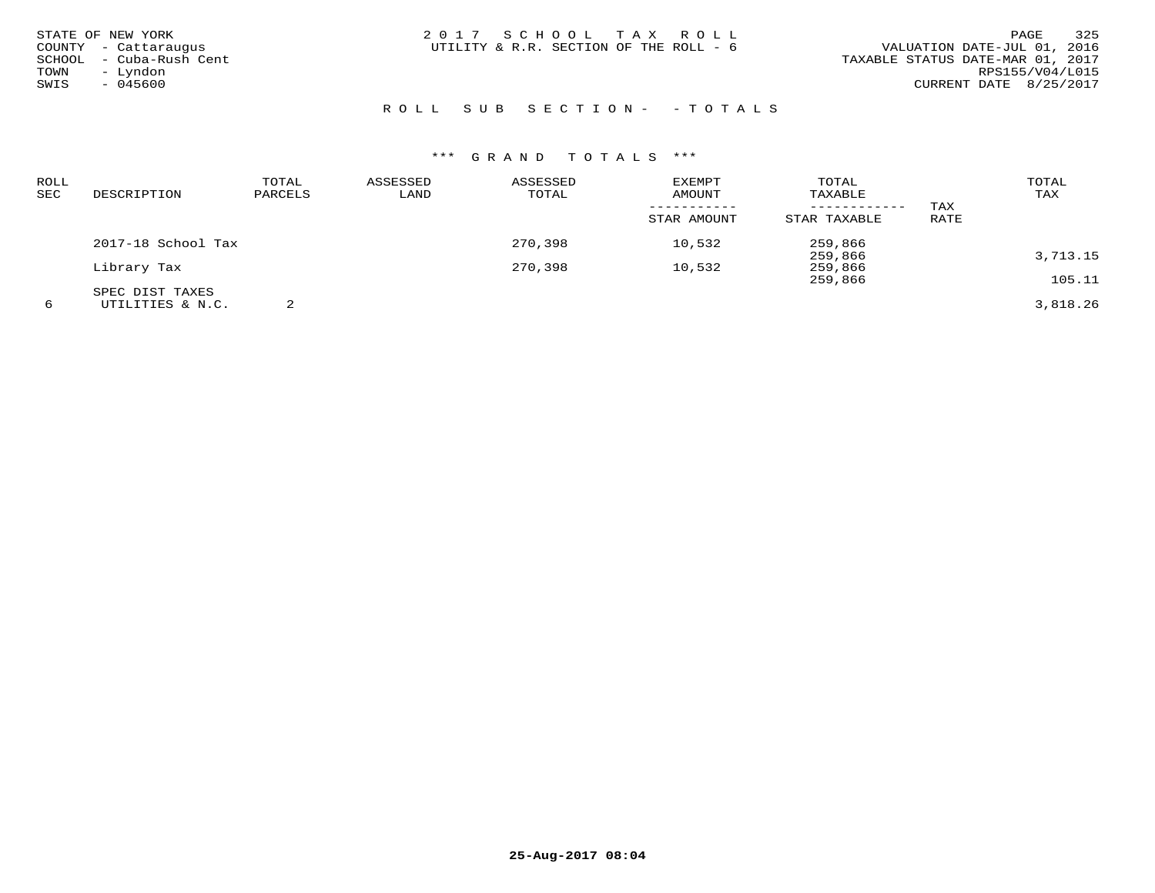| STATE OF NEW YORK       | 2017 SCHOOL TAX ROLL                   | 325<br>PAGE                      |
|-------------------------|----------------------------------------|----------------------------------|
| COUNTY - Cattaraugus    | UTILITY & R.R. SECTION OF THE ROLL - 6 | VALUATION DATE-JUL 01, 2016      |
| SCHOOL - Cuba-Rush Cent |                                        | TAXABLE STATUS DATE-MAR 01, 2017 |
| – Lyndon<br>TOWN        |                                        | RPS155/V04/L015                  |
| $-045600$<br>SWIS       |                                        | CURRENT DATE 8/25/2017           |
|                         |                                        |                                  |

# ROLL SUB SECTION- - TOTALS

| ROLL<br>SEC | DESCRIPTION        | TOTAL<br>PARCELS | ASSESSED<br>LAND | ASSESSED<br>TOTAL | <b>EXEMPT</b><br><b>AMOUNT</b> | TOTAL<br>TAXABLE |      | TOTAL<br>TAX |
|-------------|--------------------|------------------|------------------|-------------------|--------------------------------|------------------|------|--------------|
|             |                    |                  |                  |                   | -----------                    | ------------     | TAX  |              |
|             |                    |                  |                  |                   | STAR AMOUNT                    | STAR TAXABLE     | RATE |              |
|             | 2017-18 School Tax |                  |                  | 270,398           | 10,532                         | 259,866          |      |              |
|             |                    |                  |                  |                   |                                | 259,866          |      | 3,713.15     |
|             | Library Tax        |                  |                  | 270,398           | 10,532                         | 259,866          |      |              |
|             |                    |                  |                  |                   |                                | 259,866          |      | 105.11       |
|             | SPEC DIST TAXES    |                  |                  |                   |                                |                  |      |              |
| 6           | UTILITIES & N.C.   |                  |                  |                   |                                |                  |      | 3,818.26     |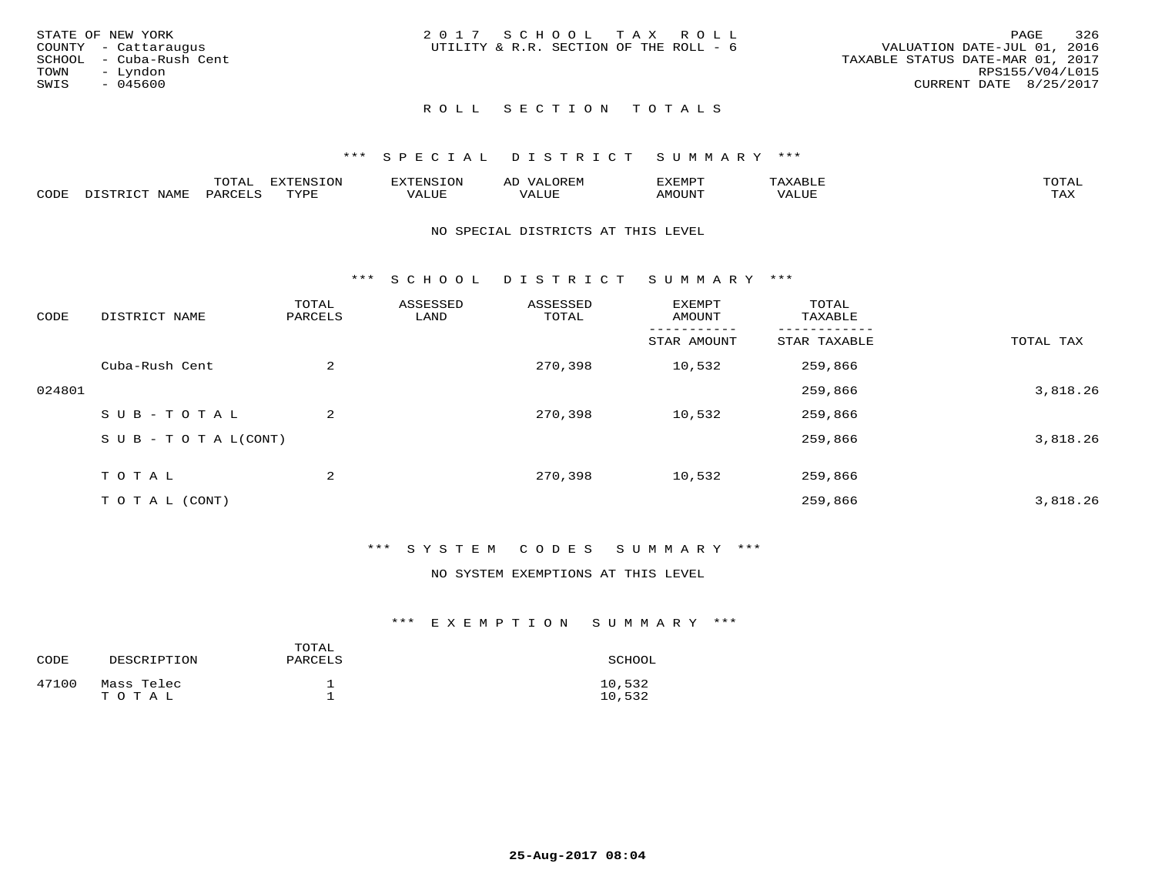|      | STATE OF NEW YORK       | 2017 SCHOOL TAX ROLL                   |  |                                  |                        | PAGE | 326 |
|------|-------------------------|----------------------------------------|--|----------------------------------|------------------------|------|-----|
|      | COUNTY - Cattaraugus    | UTILITY & R.R. SECTION OF THE ROLL - 6 |  | VALUATION DATE-JUL 01, 2016      |                        |      |     |
|      | SCHOOL - Cuba-Rush Cent |                                        |  | TAXABLE STATUS DATE-MAR 01, 2017 |                        |      |     |
| TOWN | – Lyndon                |                                        |  |                                  | RPS155/V04/L015        |      |     |
| SWIS | - 045600                |                                        |  |                                  | CURRENT DATE 8/25/2017 |      |     |
|      |                         |                                        |  |                                  |                        |      |     |

# ROLL SECTION TOTALS

#### \*\*\* S P E C I A L D I S T R I C T S U M M A R Y \*\*\*

|      |      | momm<br>LUIAL | $\blacksquare$<br>mazma<br>.UP | . N.S                | . JR P.IV     | המארד 17<br>ິ<br>⊐ויום∧נ |                |                    |
|------|------|---------------|--------------------------------|----------------------|---------------|--------------------------|----------------|--------------------|
| CODE | NAME | . DAD'        | TVDI<br>.                      | 77\TTTT<br>الالالدين | T T T<br>ALUI | AMOUNT                   | T T T T<br>′ △ | $m \times r$<br>∸⊷ |

#### NO SPECIAL DISTRICTS AT THIS LEVEL

\*\*\* S C H O O L D I S T R I C T S U M M A R Y \*\*\*

| CODE   | DISTRICT NAME                    | TOTAL<br>PARCELS | ASSESSED<br>LAND | ASSESSED<br>TOTAL | EXEMPT<br>AMOUNT | TOTAL<br>TAXABLE |           |
|--------|----------------------------------|------------------|------------------|-------------------|------------------|------------------|-----------|
|        |                                  |                  |                  |                   | STAR AMOUNT      | STAR TAXABLE     | TOTAL TAX |
|        | Cuba-Rush Cent                   | 2                |                  | 270,398           | 10,532           | 259,866          |           |
| 024801 |                                  |                  |                  |                   |                  | 259,866          | 3,818.26  |
|        | SUB-TOTAL                        | 2                |                  | 270,398           | 10,532           | 259,866          |           |
|        | $S \cup B - T \cup T A L (CONT)$ |                  |                  |                   |                  | 259,866          | 3,818.26  |
|        | TOTAL                            | 2                |                  | 270,398           | 10,532           | 259,866          |           |
|        | T O T A L (CONT)                 |                  |                  |                   |                  | 259,866          | 3,818.26  |

#### \*\*\* S Y S T E M C O D E S S U M M A R Y \*\*\*

#### NO SYSTEM EXEMPTIONS AT THIS LEVEL

#### \*\*\* E X E M P T I O N S U M M A R Y \*\*\*

| CODE  | DESCRIPTION         | TOTAL<br>PARCELS | SCHOOL           |
|-------|---------------------|------------------|------------------|
| 47100 | Mass Telec<br>TOTAL |                  | 10,532<br>10,532 |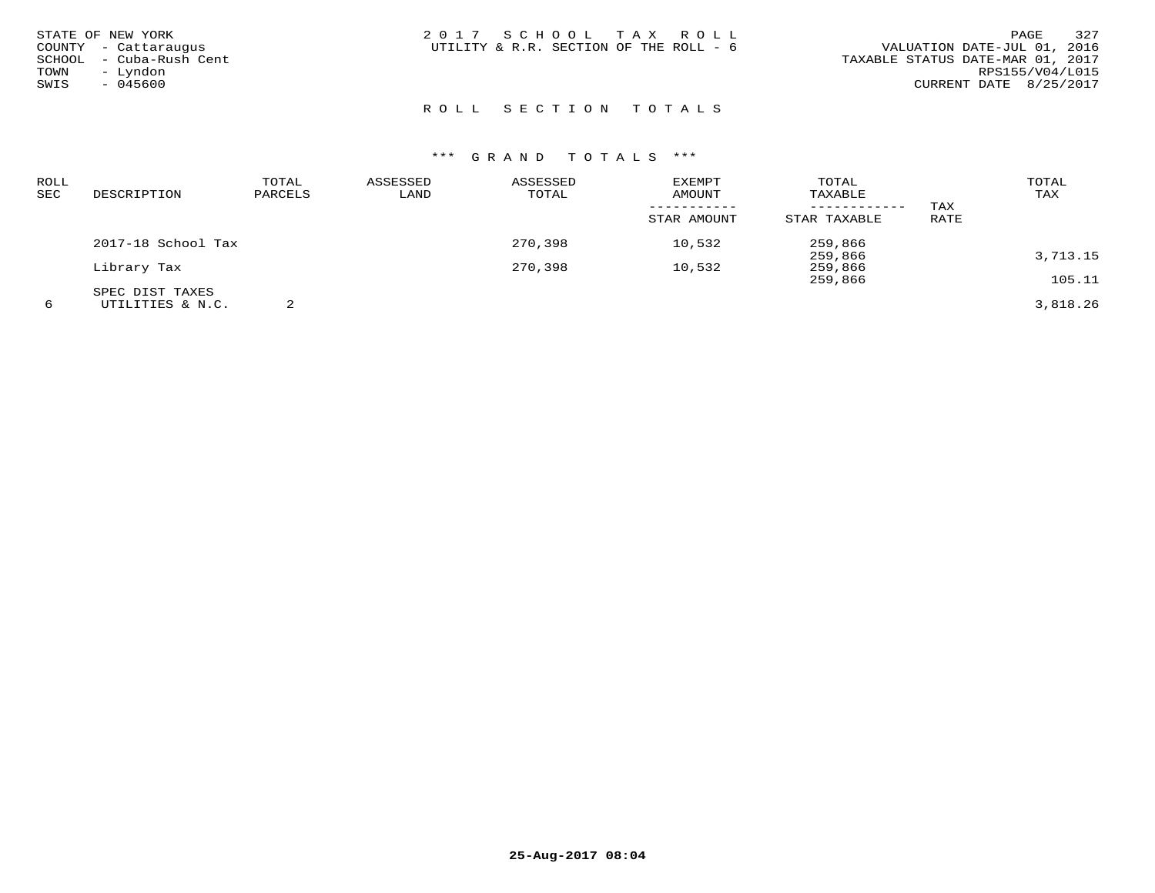| STATE OF NEW YORK<br>COUNTY - Cattaraugus<br>SCHOOL - Cuba-Rush Cent<br>- Lyndon<br>TOWN<br>SWIS<br>$-045600$ | 2017 SCHOOL TAX ROLL<br>UTILITY & R.R. SECTION OF THE ROLL - 6 | 327<br>PAGE<br>VALUATION DATE-JUL 01, 2016<br>TAXABLE STATUS DATE-MAR 01, 2017<br>RPS155/V04/L015<br>CURRENT DATE 8/25/2017 |
|---------------------------------------------------------------------------------------------------------------|----------------------------------------------------------------|-----------------------------------------------------------------------------------------------------------------------------|
|                                                                                                               |                                                                |                                                                                                                             |

# ROLL SECTION TOTALS

| <b>ROLL</b><br>SEC | DESCRIPTION        | TOTAL<br>PARCELS | ASSESSED<br>LAND | ASSESSED<br>TOTAL | EXEMPT<br>AMOUNT | TOTAL<br>TAXABLE |      | TOTAL<br>TAX |
|--------------------|--------------------|------------------|------------------|-------------------|------------------|------------------|------|--------------|
|                    |                    |                  |                  |                   |                  | ------------     | TAX  |              |
|                    |                    |                  |                  |                   | STAR AMOUNT      | STAR TAXABLE     | RATE |              |
|                    | 2017-18 School Tax |                  |                  | 270,398           | 10,532           | 259,866          |      |              |
|                    |                    |                  |                  |                   |                  | 259,866          |      | 3,713.15     |
|                    | Library Tax        |                  |                  | 270,398           | 10,532           | 259,866          |      |              |
|                    |                    |                  |                  |                   |                  | 259,866          |      | 105.11       |
|                    | SPEC DIST TAXES    |                  |                  |                   |                  |                  |      |              |
| 6                  | UTILITIES & N.C.   |                  |                  |                   |                  |                  |      | 3,818.26     |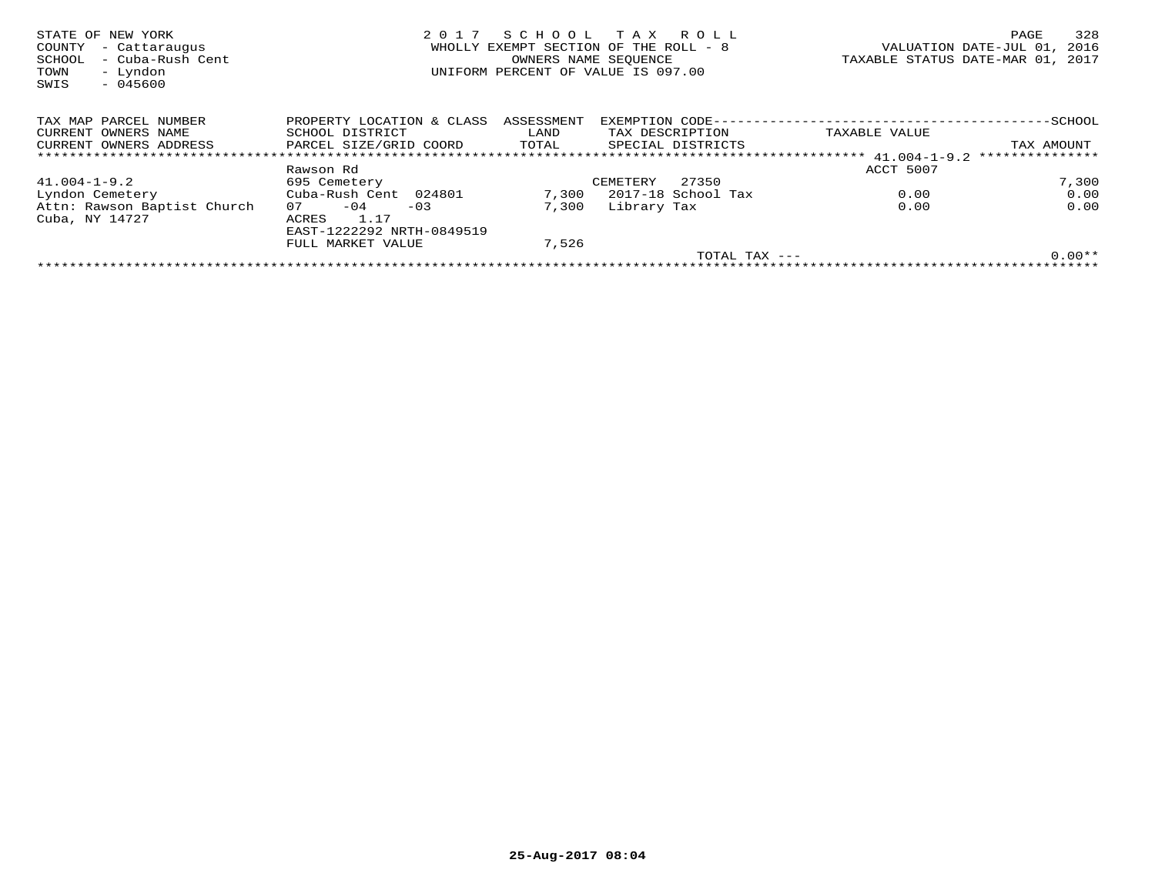| STATE OF NEW YORK           | 2 0 1 7                   | SCHOOL     | T A X<br>R O L L                      |               | 328<br>PAGE                      |
|-----------------------------|---------------------------|------------|---------------------------------------|---------------|----------------------------------|
| COUNTY<br>- Cattaraugus     |                           |            | WHOLLY EXEMPT SECTION OF THE ROLL - 8 |               | VALUATION DATE-JUL 01, 2016      |
| - Cuba-Rush Cent<br>SCHOOL  |                           |            | OWNERS NAME SEOUENCE                  |               | TAXABLE STATUS DATE-MAR 01, 2017 |
| - Lyndon<br>TOWN            |                           |            | UNIFORM PERCENT OF VALUE IS 097.00    |               |                                  |
| $-045600$<br>SWIS           |                           |            |                                       |               |                                  |
|                             |                           |            |                                       |               |                                  |
| TAX MAP PARCEL NUMBER       | PROPERTY LOCATION & CLASS | ASSESSMENT | EXEMPTION CODE--                      |               | ---------SCHOOL                  |
| CURRENT OWNERS NAME         | SCHOOL DISTRICT           | LAND       | TAX DESCRIPTION                       | TAXABLE VALUE |                                  |
| CURRENT OWNERS ADDRESS      | PARCEL SIZE/GRID COORD    | TOTAL      | SPECIAL DISTRICTS                     |               | TAX AMOUNT                       |
|                             |                           |            |                                       |               | ***************                  |
|                             | Rawson Rd                 |            |                                       | ACCT 5007     |                                  |
| $41.004 - 1 - 9.2$          | 695 Cemetery              |            | 27350<br>CEMETERY                     |               | 7,300                            |
| Lyndon Cemetery             | Cuba-Rush Cent 024801     | 7,300      | 2017-18 School Tax                    | 0.00          | 0.00                             |
| Attn: Rawson Baptist Church | $-04$<br>07<br>$-03$      | 7,300      | Library Tax                           | 0.00          | 0.00                             |
| Cuba, NY 14727              | 1.17<br>ACRES             |            |                                       |               |                                  |
|                             | EAST-1222292 NRTH-0849519 |            |                                       |               |                                  |
|                             | FULL MARKET VALUE         | 7,526      |                                       |               |                                  |
|                             |                           |            | TOTAL TAX $---$                       |               | $0.00**$                         |
|                             |                           |            |                                       |               |                                  |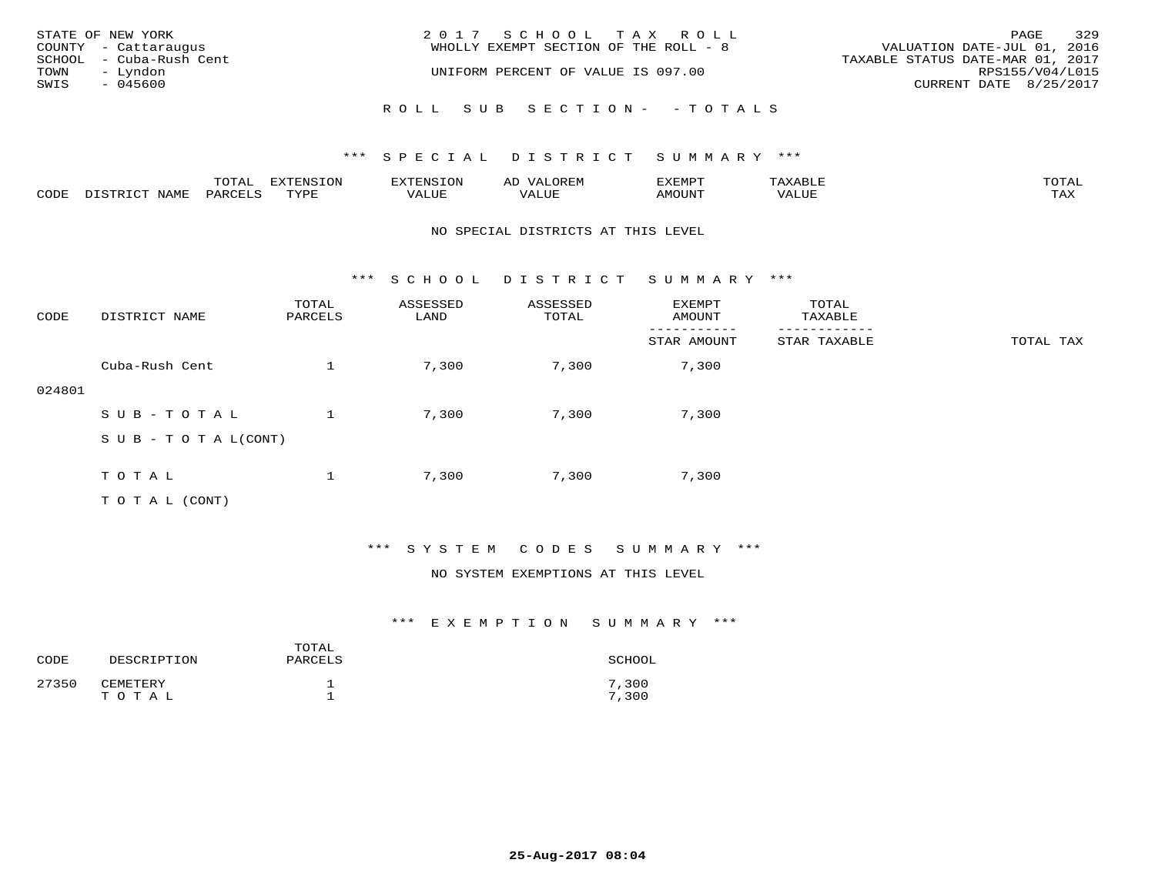|                  | STATE OF NEW YORK       | 2017 SCHOOL TAX ROLL                  |                                  | PAGE | 329 |
|------------------|-------------------------|---------------------------------------|----------------------------------|------|-----|
|                  | COUNTY - Cattaraugus    | WHOLLY EXEMPT SECTION OF THE ROLL - 8 | VALUATION DATE-JUL 01, 2016      |      |     |
|                  | SCHOOL - Cuba-Rush Cent |                                       | TAXABLE STATUS DATE-MAR 01, 2017 |      |     |
| TOWN             | – Lyndon                | UNIFORM PERCENT OF VALUE IS 097.00    | RPS155/V04/L015                  |      |     |
| SWIS<br>- 045600 |                         |                                       | CURRENT DATE 8/25/2017           |      |     |
|                  |                         | ROLL SUB SECTION- - TOTALS            |                                  |      |     |

|                  |            | $m \wedge m$ | <b>DIZED DAT</b><br>170707<br>∙∟ب. |         | ∵⊔ت⊥د⊥ر |      | $m \wedge m \wedge n$      |
|------------------|------------|--------------|------------------------------------|---------|---------|------|----------------------------|
| 20D <sub>L</sub> | ∧T∆M*<br>. |              | TVDL                               | י דדד ו |         | M∩T™ | $m \times r$<br>. <i>.</i> |

#### NO SPECIAL DISTRICTS AT THIS LEVEL

\*\*\* S C H O O L D I S T R I C T S U M M A R Y \*\*\*

| CODE   | DISTRICT NAME                    | TOTAL<br>PARCELS | ASSESSED<br>LAND | ASSESSED<br>TOTAL | EXEMPT<br>AMOUNT | TOTAL<br>TAXABLE |           |
|--------|----------------------------------|------------------|------------------|-------------------|------------------|------------------|-----------|
|        |                                  |                  |                  |                   | STAR AMOUNT      | STAR TAXABLE     | TOTAL TAX |
|        | Cuba-Rush Cent                   |                  | 7,300            | 7,300             | 7,300            |                  |           |
| 024801 |                                  |                  |                  |                   |                  |                  |           |
|        | SUB-TOTAL                        |                  | 7,300            | 7,300             | 7,300            |                  |           |
|        | $S \cup B - T \cup T A L (CONT)$ |                  |                  |                   |                  |                  |           |
|        |                                  |                  |                  |                   |                  |                  |           |
|        | TOTAL                            |                  | 7,300            | 7,300             | 7,300            |                  |           |
|        | T O T A L (CONT)                 |                  |                  |                   |                  |                  |           |

## \*\*\* S Y S T E M C O D E S S U M M A R Y \*\*\*

#### NO SYSTEM EXEMPTIONS AT THIS LEVEL

## \*\*\* E X E M P T I O N S U M M A R Y \*\*\*

| CODE  | DESCRIPTION       | TOTAL<br>PARCELS | SCHOOL         |
|-------|-------------------|------------------|----------------|
| 27350 | CEMETERY<br>TOTAL |                  | 7,300<br>7,300 |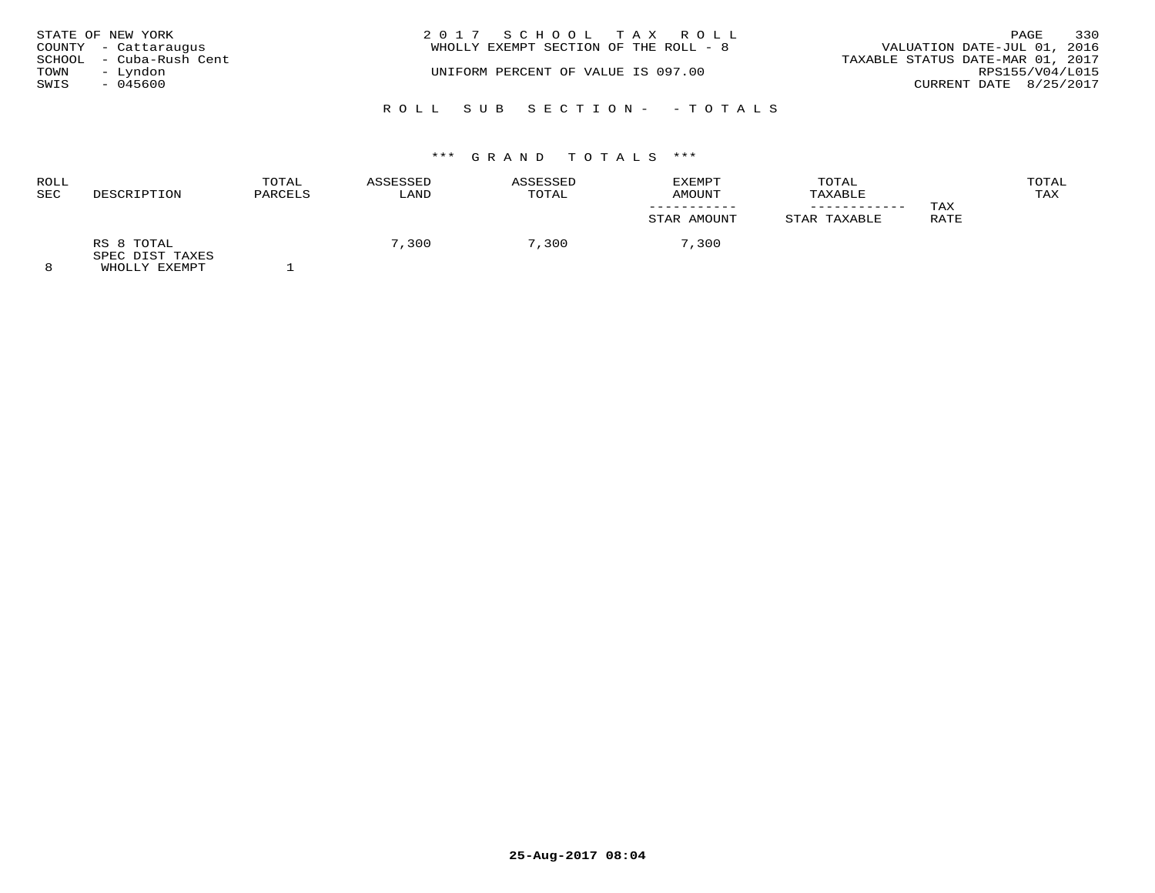| STATE OF NEW YORK | COUNTY - Cattaraugus                | 2017 SCHOOL TAX ROLL<br>WHOLLY EXEMPT SECTION OF THE ROLL - 8 | VALUATION DATE-JUL 01, 2016                         | PAGE | 330 |
|-------------------|-------------------------------------|---------------------------------------------------------------|-----------------------------------------------------|------|-----|
| TOWN              | SCHOOL - Cuba-Rush Cent<br>– Lyndon | UNIFORM PERCENT OF VALUE IS 097.00                            | TAXABLE STATUS DATE-MAR 01, 2017<br>RPS155/V04/L015 |      |     |
| SWIS              | - 045600                            |                                                               | CURRENT DATE 8/25/2017                              |      |     |
|                   |                                     | ROLL SUB SECTION- - TOTALS                                    |                                                     |      |     |

| ROLL<br>SEC | DESCRIPTION                                     | TOTAL<br>PARCELS | ASSESSED<br>LAND | ASSESSED<br>TOTAL | EXEMPT<br>AMOUNT | TOTAL<br>TAXABLE<br>------------ | TAX  | TOTAL<br>TAX |
|-------------|-------------------------------------------------|------------------|------------------|-------------------|------------------|----------------------------------|------|--------------|
|             |                                                 |                  |                  |                   | STAR AMOUNT      | STAR TAXABLE                     | RATE |              |
| $\Omega$    | RS 8 TOTAL<br>SPEC DIST TAXES<br>EULAL IV DILLE |                  | 7,300            | 7,300             | 7,300            |                                  |      |              |

8 WHOLLY EXEMPT 1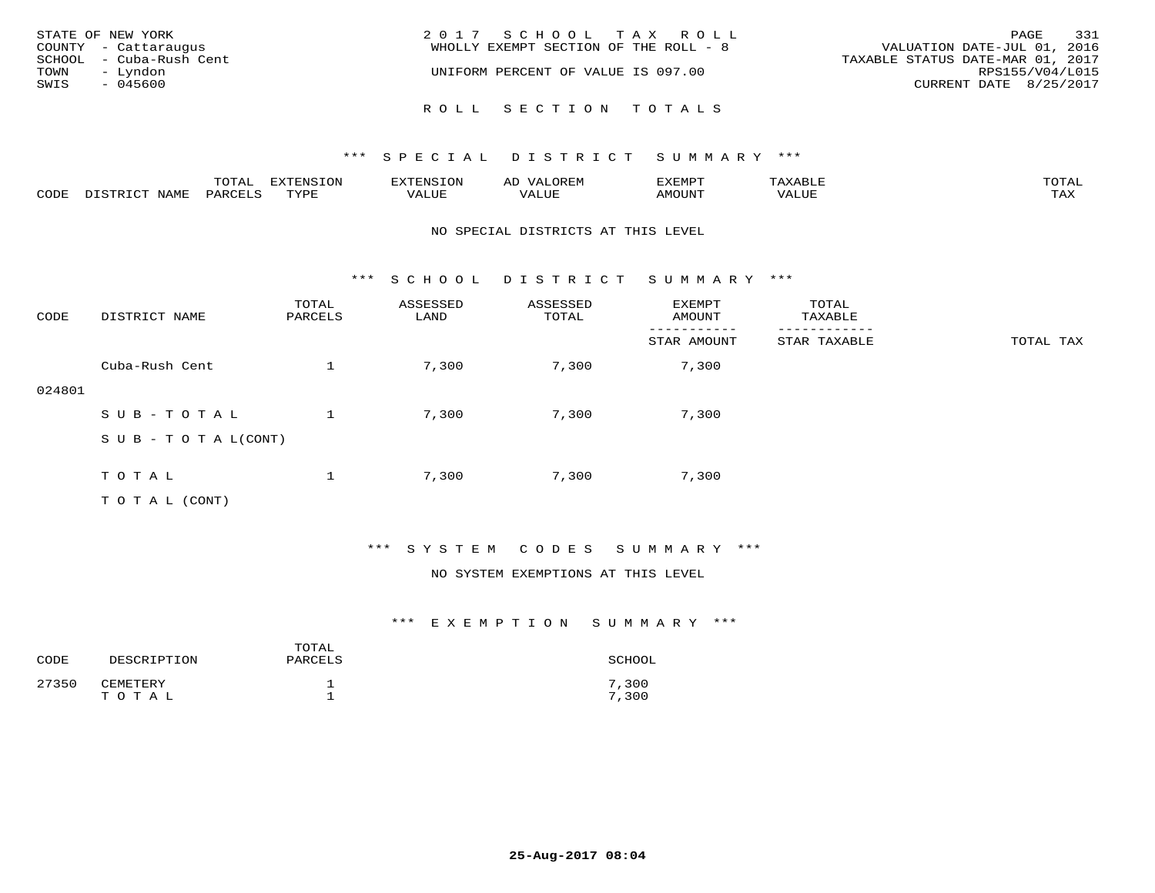| STATE OF NEW YORK<br>COUNTY - Cattaraugus<br>SCHOOL - Cuba-Rush Cent<br>TOWN<br>– Lyndon<br>SWIS<br>- 045600 | 2017 SCHOOL TAX ROLL<br>WHOLLY EXEMPT SECTION OF THE ROLL - 8<br>UNIFORM PERCENT OF VALUE IS 097.00 | 331<br>PAGE<br>VALUATION DATE-JUL 01, 2016<br>TAXABLE STATUS DATE-MAR 01, 2017<br>RPS155/V04/L015<br>CURRENT DATE 8/25/2017 |
|--------------------------------------------------------------------------------------------------------------|-----------------------------------------------------------------------------------------------------|-----------------------------------------------------------------------------------------------------------------------------|
|                                                                                                              | ROLL SECTION TOTALS                                                                                 |                                                                                                                             |

|      |      | m∧m⊼<br>.UIAL | $-$<br>----- |                      | AΡ           | 'XEMPT | ABL.  | $n \wedge m \neq n$ |
|------|------|---------------|--------------|----------------------|--------------|--------|-------|---------------------|
| CODE | NAMF | 'AR'          | TVDI<br>.    | 1771 TT <del>L</del> | <b>T TTT</b> | TUITOM | VALUE | $m \times r$<br>∸∽∽ |

#### NO SPECIAL DISTRICTS AT THIS LEVEL

\*\*\* S C H O O L D I S T R I C T S U M M A R Y \*\*\*

| CODE   | DISTRICT NAME                    | TOTAL<br>PARCELS | ASSESSED<br>LAND | ASSESSED<br>TOTAL | EXEMPT<br>AMOUNT | TOTAL<br>TAXABLE |           |
|--------|----------------------------------|------------------|------------------|-------------------|------------------|------------------|-----------|
|        |                                  |                  |                  |                   | STAR AMOUNT      | STAR TAXABLE     | TOTAL TAX |
|        | Cuba-Rush Cent                   |                  | 7,300            | 7,300             | 7,300            |                  |           |
| 024801 |                                  |                  |                  |                   |                  |                  |           |
|        | SUB-TOTAL                        |                  | 7,300            | 7,300             | 7,300            |                  |           |
|        | $S \cup B - T \cup T A L (CONT)$ |                  |                  |                   |                  |                  |           |
|        |                                  |                  |                  |                   |                  |                  |           |
|        | TOTAL                            |                  | 7,300            | 7,300             | 7,300            |                  |           |
|        | T O T A L (CONT)                 |                  |                  |                   |                  |                  |           |

## \*\*\* S Y S T E M C O D E S S U M M A R Y \*\*\*

#### NO SYSTEM EXEMPTIONS AT THIS LEVEL

## \*\*\* E X E M P T I O N S U M M A R Y \*\*\*

| CODE  | DESCRIPTION       | TOTAL<br>PARCELS | SCHOOL         |
|-------|-------------------|------------------|----------------|
| 27350 | CEMETERY<br>TOTAL | ᅩ                | 7,300<br>7,300 |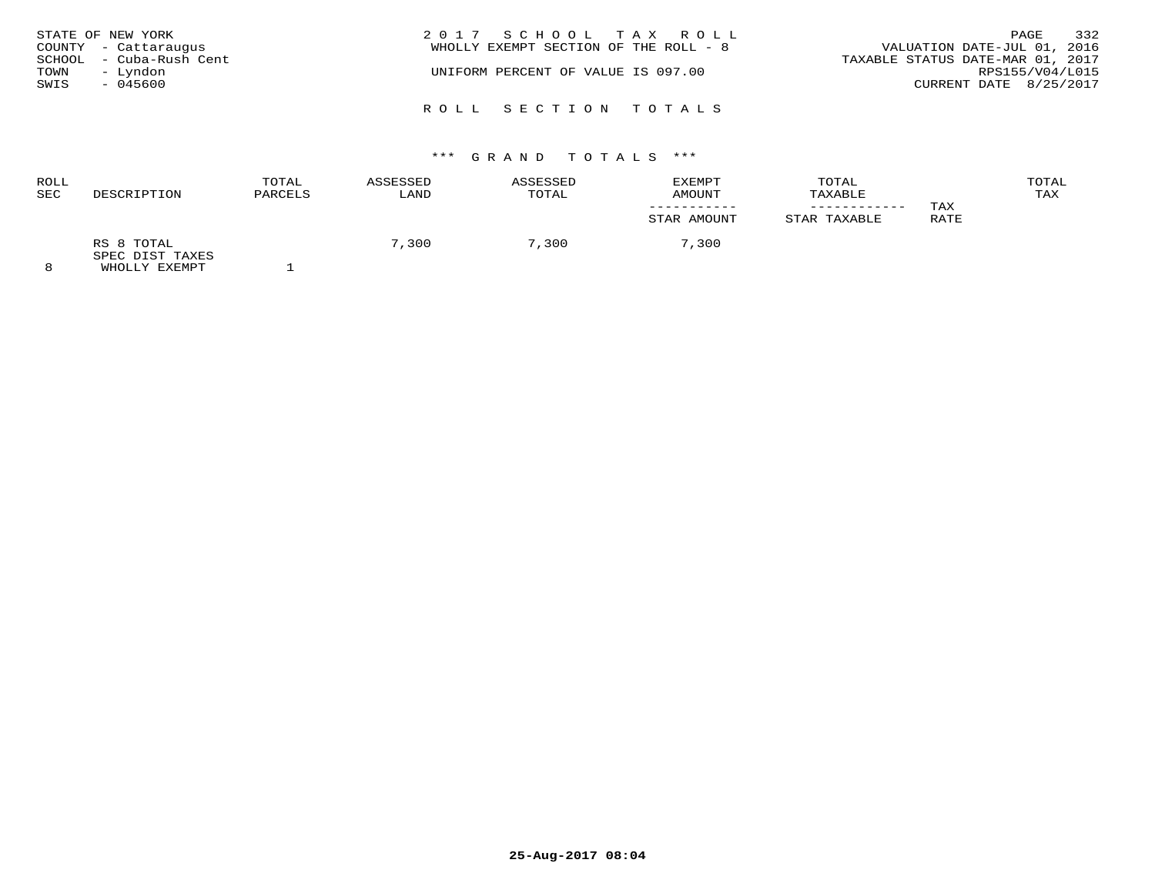|      | STATE OF NEW YORK       | 2017 SCHOOL TAX ROLL                  | PAGE                             | 332             |
|------|-------------------------|---------------------------------------|----------------------------------|-----------------|
|      | COUNTY - Cattaraugus    | WHOLLY EXEMPT SECTION OF THE ROLL - 8 | VALUATION DATE-JUL 01, 2016      |                 |
|      | SCHOOL - Cuba-Rush Cent |                                       | TAXABLE STATUS DATE-MAR 01, 2017 |                 |
| TOWN | - Lyndon                | UNIFORM PERCENT OF VALUE IS 097.00    |                                  | RPS155/V04/L015 |
| SWIS | - 045600                |                                       | CURRENT DATE 8/25/2017           |                 |
|      |                         |                                       |                                  |                 |
|      |                         | ROLL SECTION TOTALS                   |                                  |                 |

| ROLL<br><b>SEC</b> | DESCRIPTION                                        | TOTAL<br>PARCELS | ASSESSED<br>LAND | ASSESSED<br>TOTAL | <b>EXEMPT</b><br>AMOUNT | TOTAL<br>TAXABLE |             | TOTAL<br>TAX |
|--------------------|----------------------------------------------------|------------------|------------------|-------------------|-------------------------|------------------|-------------|--------------|
|                    |                                                    |                  |                  |                   | STAR AMOUNT             | STAR TAXABLE     | TAX<br>RATE |              |
| $\Omega$           | RS 8 TOTAL<br>SPEC DIST TAXES<br>EULAR TILE BILLET |                  | 7,300            | 7,300             | 7,300                   |                  |             |              |

8 WHOLLY EXEMPT 1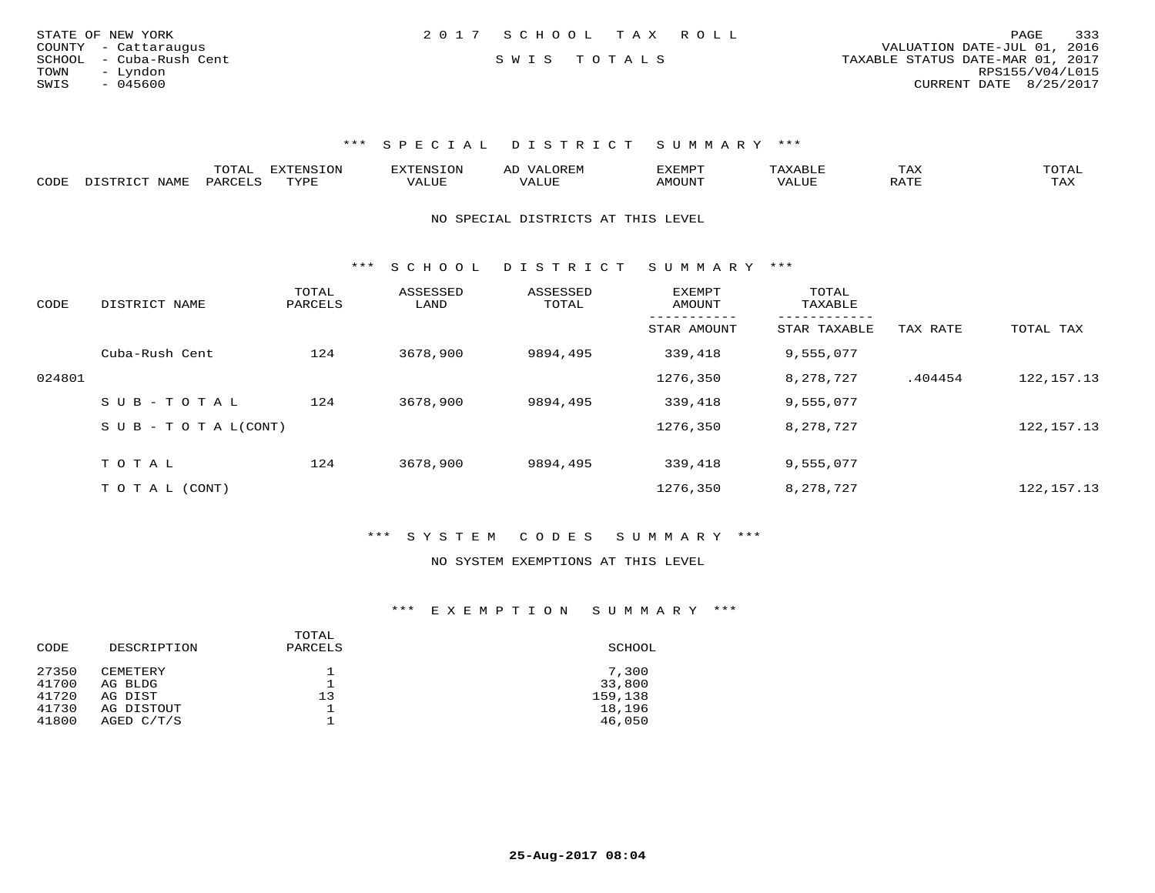| STATE OF NEW YORK       | 2017 SCHOOL TAX ROLL |  | 333<br>PAGE                      |
|-------------------------|----------------------|--|----------------------------------|
| COUNTY - Cattaraugus    |                      |  | VALUATION DATE-JUL 01, 2016      |
| SCHOOL - Cuba-Rush Cent | SWIS TOTALS          |  | TAXABLE STATUS DATE-MAR 01, 2017 |
| TOWN<br>– Lyndon        |                      |  | RPS155/V04/L015                  |
| SWIS<br>- 045600        |                      |  | CURRENT DATE 8/25/2017           |
|                         |                      |  |                                  |

|      |      | .UIAL | <b>EXTENSION</b> | 7 A<br>AL | EXEMP.      |       | IAA |     |
|------|------|-------|------------------|-----------|-------------|-------|-----|-----|
| CODE | NAME | PARC  | TYPE             |           | <b>MOUN</b> | 'ALUL | ີ   | TAX |

NO SPECIAL DISTRICTS AT THIS LEVEL

\*\*\* S C H O O L D I S T R I C T S U M M A R Y \*\*\*

| CODE   | DISTRICT NAME                    | TOTAL<br>PARCELS | ASSESSED<br>LAND | ASSESSED<br>TOTAL | <b>EXEMPT</b><br>AMOUNT | TOTAL<br>TAXABLE<br>--------- |          |              |
|--------|----------------------------------|------------------|------------------|-------------------|-------------------------|-------------------------------|----------|--------------|
|        |                                  |                  |                  |                   | STAR AMOUNT             | STAR TAXABLE                  | TAX RATE | TOTAL TAX    |
|        | Cuba-Rush Cent                   | 124              | 3678,900         | 9894,495          | 339,418                 | 9,555,077                     |          |              |
| 024801 |                                  |                  |                  |                   | 1276,350                | 8,278,727                     | .404454  | 122, 157. 13 |
|        | $SUB - TO TAL$                   | 124              | 3678,900         | 9894,495          | 339,418                 | 9,555,077                     |          |              |
|        | $S \cup B - T \cup T A L (CONT)$ |                  |                  |                   | 1276,350                | 8,278,727                     |          | 122, 157. 13 |
|        |                                  |                  |                  |                   |                         |                               |          |              |
|        | TOTAL                            | 124              | 3678,900         | 9894,495          | 339,418                 | 9,555,077                     |          |              |
|        | T O T A L (CONT)                 |                  |                  |                   | 1276,350                | 8,278,727                     |          | 122, 157. 13 |

\*\*\* S Y S T E M C O D E S S U M M A R Y \*\*\*

#### NO SYSTEM EXEMPTIONS AT THIS LEVEL

# \*\*\* E X E M P T I O N S U M M A R Y \*\*\*

| SCHOOL  |
|---------|
| 7,300   |
| 33,800  |
| 159,138 |
| 18,196  |
| 46,050  |
|         |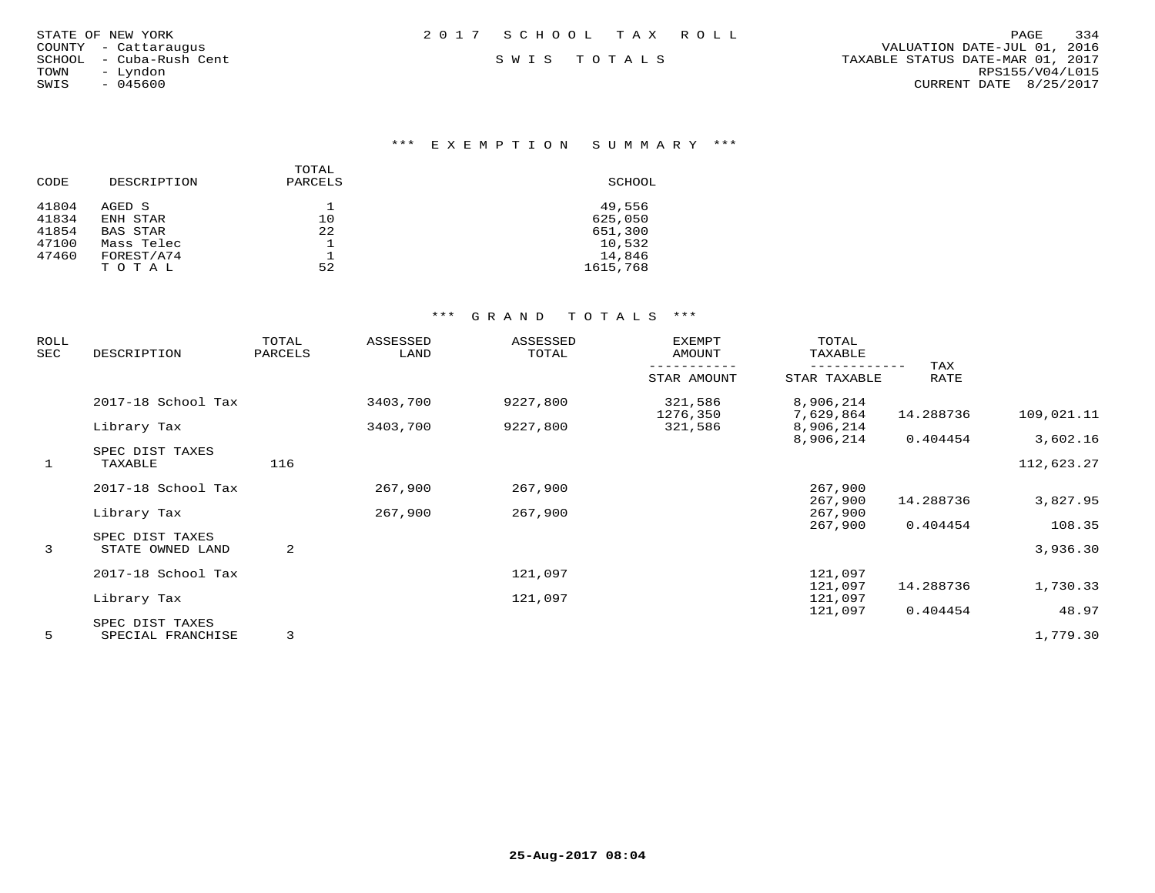| STATE OF NEW YORK |  |               |                  |
|-------------------|--|---------------|------------------|
| COUNTY            |  | - Cattaraugus |                  |
| SCHOOL            |  |               | - Cuba-Rush Cent |
| TOWN              |  | - Lyndon      |                  |
| SWIS              |  | $-045600$     |                  |

# \*\*\* E X E M P T I O N S U M M A R Y \*\*\*

|       |                 | TOTAL   |          |
|-------|-----------------|---------|----------|
| CODE  | DESCRIPTION     | PARCELS | SCHOOL   |
| 41804 | AGED S          |         | 49,556   |
| 41834 | ENH STAR        | 10      | 625,050  |
| 41854 | <b>BAS STAR</b> | 22      | 651,300  |
| 47100 | Mass Telec      |         | 10,532   |
| 47460 | FOREST/A74      |         | 14,846   |
|       | T O T A L       | 52      | 1615,768 |

| <b>ROLL</b><br>SEC | DESCRIPTION                         | TOTAL<br>PARCELS | ASSESSED<br>LAND | ASSESSED<br>TOTAL | EXEMPT<br>AMOUNT    | TOTAL<br>TAXABLE       |             |            |
|--------------------|-------------------------------------|------------------|------------------|-------------------|---------------------|------------------------|-------------|------------|
|                    |                                     |                  |                  |                   | STAR AMOUNT         | STAR TAXABLE           | TAX<br>RATE |            |
|                    | 2017-18 School Tax                  |                  | 3403,700         | 9227,800          | 321,586<br>1276,350 | 8,906,214<br>7,629,864 | 14.288736   | 109,021.11 |
|                    | Library Tax                         |                  | 3403,700         | 9227,800          | 321,586             | 8,906,214              |             |            |
|                    | SPEC DIST TAXES                     |                  |                  |                   |                     | 8,906,214              | 0.404454    | 3,602.16   |
| $\mathbf{1}$       | TAXABLE                             | 116              |                  |                   |                     |                        |             | 112,623.27 |
|                    | 2017-18 School Tax                  |                  | 267,900          | 267,900           |                     | 267,900                |             |            |
|                    | Library Tax                         |                  | 267,900          | 267,900           |                     | 267,900<br>267,900     | 14.288736   | 3,827.95   |
|                    |                                     |                  |                  |                   |                     | 267,900                | 0.404454    | 108.35     |
| $\mathbf{3}$       | SPEC DIST TAXES<br>STATE OWNED LAND | 2                |                  |                   |                     |                        |             | 3,936.30   |
|                    | 2017-18 School Tax                  |                  |                  | 121,097           |                     | 121,097                |             |            |
|                    |                                     |                  |                  |                   |                     | 121,097                | 14.288736   | 1,730.33   |
|                    | Library Tax                         |                  |                  | 121,097           |                     | 121,097<br>121,097     | 0.404454    | 48.97      |
|                    | SPEC DIST TAXES                     |                  |                  |                   |                     |                        |             |            |
| 5                  | SPECIAL FRANCHISE                   | 3                |                  |                   |                     |                        |             | 1,779.30   |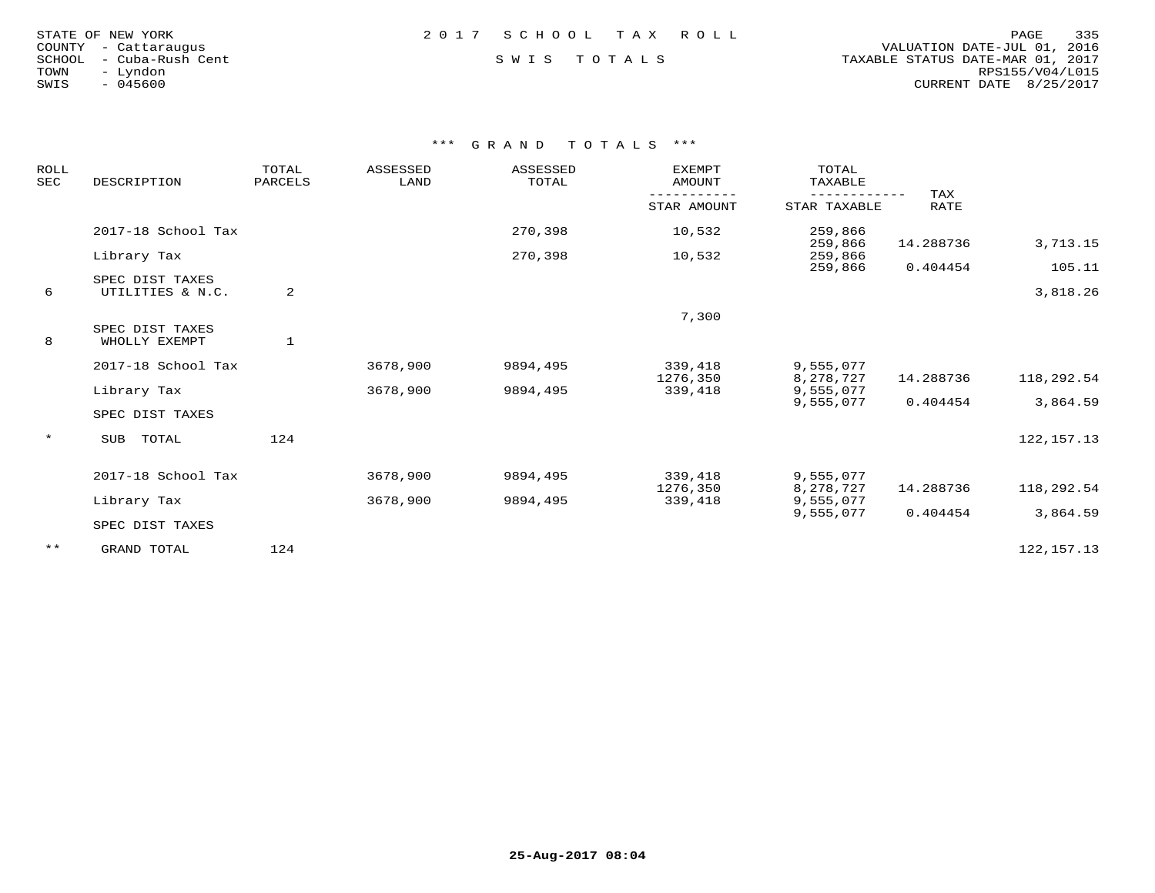| STATE OF NEW YORK |  |                  |  |
|-------------------|--|------------------|--|
| COUNTY            |  | - Cattaraugus    |  |
| SCHOOL            |  | - Cuba-Rush Cent |  |
| TOWN              |  | - Lyndon         |  |
| SWIS              |  | $-045600$        |  |

## STATE OF NEW YORK 2 0 1 7 S C H O O L T A X R O L L PAGE 335

 COUNTY - Cattaraugus VALUATION DATE-JUL 01, 2016 SCHOOL - Cuba-Rush Cent S W I S T O T A L S TAXABLE STATUS DATE-MAR 01, 2017 TOWN - Lyndon RPS155/V04/L015SWIS - 045600 CURRENT DATE 8/25/2017

| <b>ROLL</b><br><b>SEC</b> | DESCRIPTION                         | TOTAL<br>PARCELS | <b>ASSESSED</b><br>LAND | ASSESSED<br>TOTAL | <b>EXEMPT</b><br><b>AMOUNT</b> | TOTAL<br>TAXABLE       | TAX       |              |
|---------------------------|-------------------------------------|------------------|-------------------------|-------------------|--------------------------------|------------------------|-----------|--------------|
|                           |                                     |                  |                         |                   | STAR AMOUNT                    | STAR TAXABLE           | RATE      |              |
|                           | 2017-18 School Tax                  |                  |                         | 270,398           | 10,532                         | 259,866<br>259,866     | 14.288736 | 3,713.15     |
|                           | Library Tax                         |                  |                         | 270,398           | 10,532                         | 259,866<br>259,866     | 0.404454  | 105.11       |
| 6                         | SPEC DIST TAXES<br>UTILITIES & N.C. | 2                |                         |                   |                                |                        |           | 3,818.26     |
|                           |                                     |                  |                         |                   | 7,300                          |                        |           |              |
| 8                         | SPEC DIST TAXES<br>WHOLLY EXEMPT    | $\mathbf{1}$     |                         |                   |                                |                        |           |              |
|                           | 2017-18 School Tax                  |                  | 3678,900                | 9894,495          | 339,418<br>1276,350            | 9,555,077<br>8,278,727 | 14.288736 | 118,292.54   |
|                           | Library Tax                         |                  | 3678,900                | 9894,495          | 339,418                        | 9,555,077              |           |              |
|                           | SPEC DIST TAXES                     |                  |                         |                   |                                | 9,555,077              | 0.404454  | 3,864.59     |
| $\star$                   | <b>SUB</b><br>TOTAL                 | 124              |                         |                   |                                |                        |           | 122, 157. 13 |
|                           | 2017-18 School Tax                  |                  | 3678,900                | 9894,495          | 339,418                        | 9,555,077              |           |              |
|                           | Library Tax                         |                  | 3678,900                | 9894,495          | 1276,350<br>339,418            | 8,278,727<br>9,555,077 | 14.288736 | 118,292.54   |
|                           | SPEC DIST TAXES                     |                  |                         |                   |                                | 9,555,077              | 0.404454  | 3,864.59     |
| $***$                     | GRAND TOTAL                         | 124              |                         |                   |                                |                        |           | 122, 157. 13 |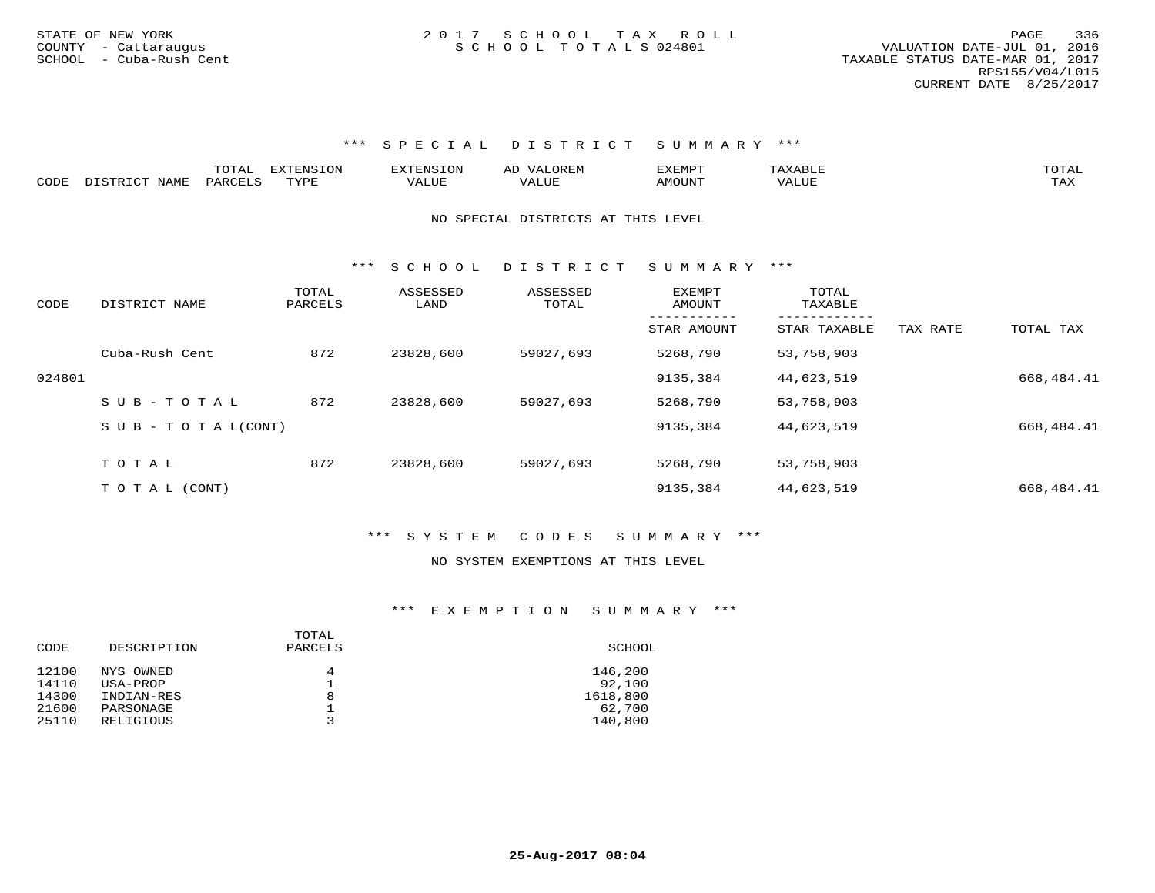|      |                          | .<br>TOTAL | EXTENSION              |           | $\sim$ | XEMP. | $\Delta A$ $\Delta L$  |                     |
|------|--------------------------|------------|------------------------|-----------|--------|-------|------------------------|---------------------|
| CODE | NAME<br>r am<br>. ו סידפ | PARCELS    | TVDI<br><u>ـ ـ ـ ـ</u> | ▵<br>ALUL | 'JUE   | MOUN' | , 7 7 T T T T<br>VALUE | $m \times r$<br>∸∽∽ |

NO SPECIAL DISTRICTS AT THIS LEVEL

\*\*\* S C H O O L D I S T R I C T S U M M A R Y \*\*\*

| CODE   | DISTRICT NAME                    | TOTAL<br>PARCELS | ASSESSED<br>LAND | ASSESSED<br>TOTAL | <b>EXEMPT</b><br>AMOUNT | TOTAL<br>TAXABLE |          |            |
|--------|----------------------------------|------------------|------------------|-------------------|-------------------------|------------------|----------|------------|
|        |                                  |                  |                  |                   | STAR AMOUNT             | STAR TAXABLE     | TAX RATE | TOTAL TAX  |
|        | Cuba-Rush Cent                   | 872              | 23828,600        | 59027,693         | 5268,790                | 53,758,903       |          |            |
| 024801 |                                  |                  |                  |                   | 9135,384                | 44,623,519       |          | 668,484.41 |
|        | SUB-TOTAL                        | 872              | 23828,600        | 59027,693         | 5268,790                | 53,758,903       |          |            |
|        | $S \cup B - T \cup T A L (CONT)$ |                  |                  |                   | 9135,384                | 44,623,519       |          | 668,484.41 |
|        |                                  |                  |                  |                   |                         |                  |          |            |
|        | TOTAL                            | 872              | 23828,600        | 59027,693         | 5268,790                | 53,758,903       |          |            |
|        | T O T A L (CONT)                 |                  |                  |                   | 9135,384                | 44,623,519       |          | 668,484.41 |

#### \*\*\* S Y S T E M C O D E S S U M M A R Y \*\*\*

#### NO SYSTEM EXEMPTIONS AT THIS LEVEL

#### \*\*\* E X E M P T I O N S U M M A R Y \*\*\*

| DESCRIPTION | TOTAL<br>PARCELS | SCHOOL   |
|-------------|------------------|----------|
| NYS OWNED   | 4                | 146,200  |
| USA-PROP    |                  | 92,100   |
| INDIAN-RES  | 8                | 1618,800 |
| PARSONAGE   |                  | 62,700   |
| RELIGIOUS   |                  | 140,800  |
|             |                  |          |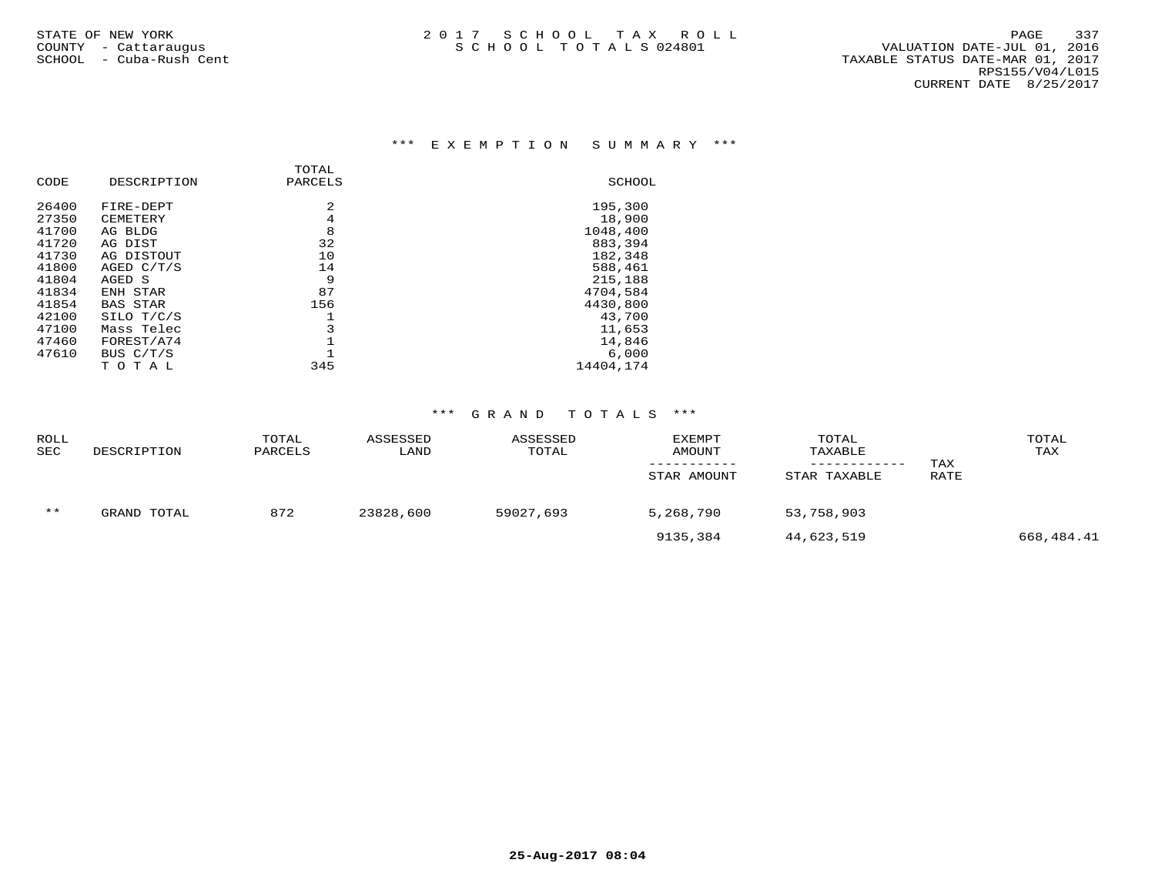## \*\*\* E X E M P T I O N S U M M A R Y \*\*\*

|       |                 | TOTAL   |           |
|-------|-----------------|---------|-----------|
| CODE  | DESCRIPTION     | PARCELS | SCHOOL    |
| 26400 | FIRE-DEPT       | 2       | 195,300   |
| 27350 | CEMETERY        | 4       | 18,900    |
| 41700 | AG BLDG         | 8       | 1048,400  |
| 41720 | AG DIST         | 32      | 883,394   |
| 41730 | AG DISTOUT      | 10      | 182,348   |
| 41800 | AGED C/T/S      | 14      | 588,461   |
| 41804 | AGED S          | 9       | 215,188   |
| 41834 | ENH STAR        | 87      | 4704,584  |
| 41854 | <b>BAS STAR</b> | 156     | 4430,800  |
| 42100 | SILO T/C/S      |         | 43,700    |
| 47100 | Mass Telec      | 3       | 11,653    |
| 47460 | FOREST/A74      |         | 14,846    |
| 47610 | BUS C/T/S       |         | 6.000     |
|       | тотаь           | 345     | 14404,174 |

| <b>ROLL</b><br><b>SEC</b> | DESCRIPTION | TOTAL<br>PARCELS | ASSESSED<br>LAND | ASSESSED<br>TOTAL | EXEMPT<br>AMOUNT | TOTAL<br>TAXABLE<br>------------ | TAX  | TOTAL<br>TAX |
|---------------------------|-------------|------------------|------------------|-------------------|------------------|----------------------------------|------|--------------|
|                           |             |                  |                  |                   | STAR AMOUNT      | STAR TAXABLE                     | RATE |              |
| $***$                     | GRAND TOTAL | 872              | 23828,600        | 59027,693         | 5,268,790        | 53,758,903                       |      |              |
|                           |             |                  |                  |                   | 9135,384         | 44,623,519                       |      | 668,484.41   |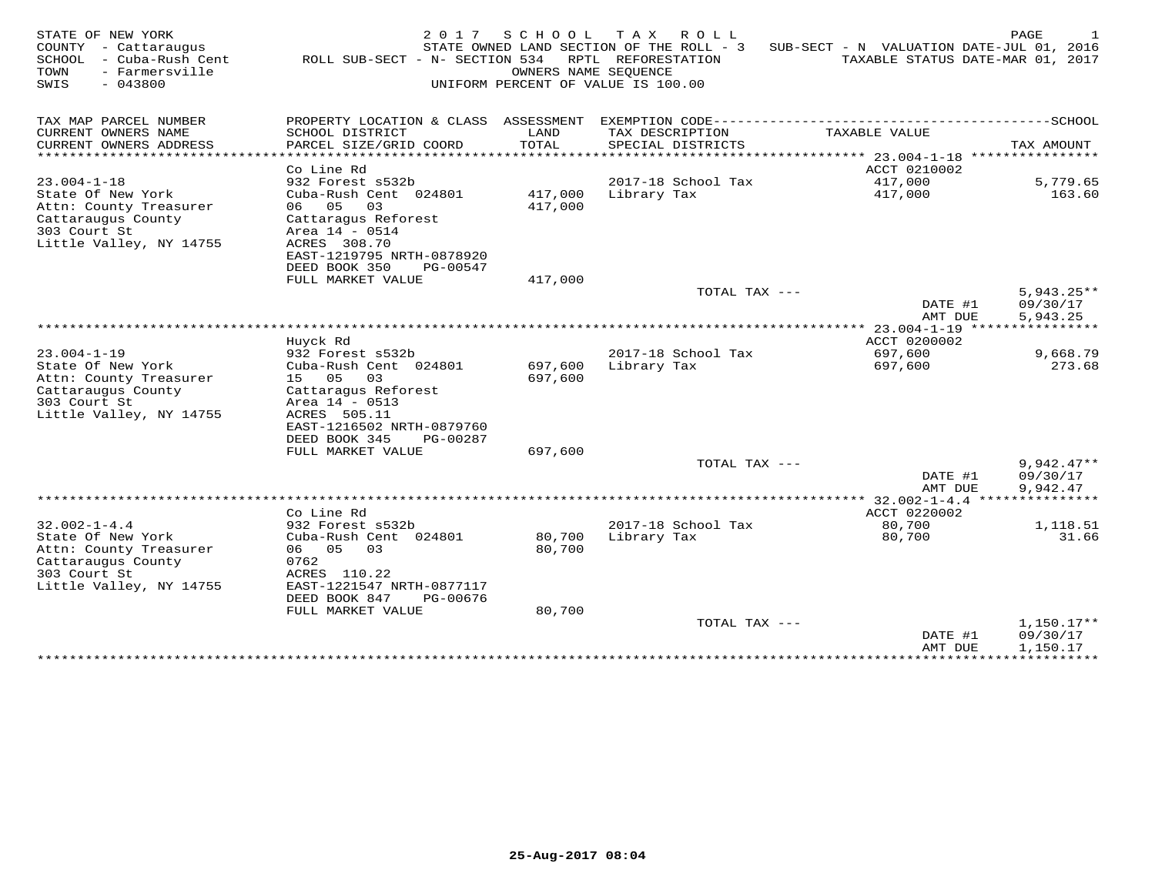| STATE OF NEW YORK<br>- Cattaraugus<br>COUNTY<br>SCHOOL<br>- Cuba-Rush Cent<br>- Farmersville<br>TOWN<br>$-043800$<br>SWIS | 2017<br>ROLL SUB-SECT - N- SECTION 534         | SCHOOL     | T A X<br>R O L L<br>STATE OWNED LAND SECTION OF THE ROLL - 3<br>RPTL REFORESTATION<br>OWNERS NAME SEQUENCE<br>UNIFORM PERCENT OF VALUE IS 100.00 | SUB-SECT - N VALUATION DATE-JUL 01, 2016    | PAGE<br>TAXABLE STATUS DATE-MAR 01, 2017 |
|---------------------------------------------------------------------------------------------------------------------------|------------------------------------------------|------------|--------------------------------------------------------------------------------------------------------------------------------------------------|---------------------------------------------|------------------------------------------|
| TAX MAP PARCEL NUMBER                                                                                                     | PROPERTY LOCATION & CLASS ASSESSMENT           |            | EXEMPTION CODE------------                                                                                                                       |                                             | ------SCHOOL                             |
| CURRENT OWNERS NAME                                                                                                       | SCHOOL DISTRICT                                | LAND       | TAX DESCRIPTION                                                                                                                                  | TAXABLE VALUE                               |                                          |
| CURRENT OWNERS ADDRESS                                                                                                    | PARCEL SIZE/GRID COORD                         | TOTAL      | SPECIAL DISTRICTS                                                                                                                                |                                             | TAX AMOUNT                               |
| ********************                                                                                                      |                                                | ********** |                                                                                                                                                  | ******************************* 23.004-1-18 | ****************                         |
|                                                                                                                           | Co Line Rd                                     |            |                                                                                                                                                  | ACCT 0210002                                |                                          |
| $23.004 - 1 - 18$<br>State Of New York                                                                                    | 932 Forest s532b<br>Cuba-Rush Cent 024801      | 417,000    | 2017-18 School Tax<br>Library Tax                                                                                                                | 417,000<br>417,000                          | 5,779.65<br>163.60                       |
| Attn: County Treasurer                                                                                                    | 06<br>05<br>03                                 | 417,000    |                                                                                                                                                  |                                             |                                          |
| Cattaraugus County                                                                                                        | Cattaragus Reforest                            |            |                                                                                                                                                  |                                             |                                          |
| 303 Court St                                                                                                              | Area 14 - 0514                                 |            |                                                                                                                                                  |                                             |                                          |
| Little Valley, NY 14755                                                                                                   | ACRES 308.70                                   |            |                                                                                                                                                  |                                             |                                          |
|                                                                                                                           | EAST-1219795 NRTH-0878920                      |            |                                                                                                                                                  |                                             |                                          |
|                                                                                                                           | DEED BOOK 350<br>PG-00547                      |            |                                                                                                                                                  |                                             |                                          |
|                                                                                                                           | FULL MARKET VALUE                              | 417,000    |                                                                                                                                                  |                                             |                                          |
|                                                                                                                           |                                                |            | TOTAL TAX ---                                                                                                                                    | DATE #1                                     | $5,943.25**$<br>09/30/17                 |
|                                                                                                                           |                                                |            |                                                                                                                                                  | AMT DUE                                     | 5,943.25                                 |
|                                                                                                                           |                                                |            |                                                                                                                                                  | $23.004 - 1 - 19$                           |                                          |
|                                                                                                                           | Huyck Rd                                       |            |                                                                                                                                                  | ACCT 0200002                                |                                          |
| $23.004 - 1 - 19$                                                                                                         | 932 Forest s532b                               |            | 2017-18 School Tax                                                                                                                               | 697,600                                     | 9,668.79                                 |
| State Of New York                                                                                                         | Cuba-Rush Cent 024801                          | 697,600    | Library Tax                                                                                                                                      | 697,600                                     | 273.68                                   |
| Attn: County Treasurer                                                                                                    | 15 05<br>03                                    | 697,600    |                                                                                                                                                  |                                             |                                          |
| Cattaraugus County<br>303 Court St                                                                                        | Cattaragus Reforest<br>Area 14 - 0513          |            |                                                                                                                                                  |                                             |                                          |
| Little Valley, NY 14755                                                                                                   | ACRES 505.11                                   |            |                                                                                                                                                  |                                             |                                          |
|                                                                                                                           | EAST-1216502 NRTH-0879760                      |            |                                                                                                                                                  |                                             |                                          |
|                                                                                                                           | DEED BOOK 345<br>PG-00287                      |            |                                                                                                                                                  |                                             |                                          |
|                                                                                                                           | FULL MARKET VALUE                              | 697,600    |                                                                                                                                                  |                                             |                                          |
|                                                                                                                           |                                                |            | TOTAL TAX ---                                                                                                                                    |                                             | $9,942.47**$                             |
|                                                                                                                           |                                                |            |                                                                                                                                                  | DATE #1                                     | 09/30/17                                 |
| ************************                                                                                                  |                                                |            |                                                                                                                                                  | AMT DUE                                     | 9,942.47                                 |
|                                                                                                                           | Co Line Rd                                     |            |                                                                                                                                                  | $32.002 - 1 - 4.4$<br>ACCT 0220002          |                                          |
| $32.002 - 1 - 4.4$                                                                                                        | 932 Forest s532b                               |            | 2017-18 School Tax                                                                                                                               | 80,700                                      | 1,118.51                                 |
| State Of New York                                                                                                         | Cuba-Rush Cent 024801                          | 80,700     | Library Tax                                                                                                                                      | 80,700                                      | 31.66                                    |
| Attn: County Treasurer                                                                                                    | 06 05<br>03                                    | 80,700     |                                                                                                                                                  |                                             |                                          |
| Cattaraugus County                                                                                                        | 0762                                           |            |                                                                                                                                                  |                                             |                                          |
| 303 Court St                                                                                                              | ACRES 110.22                                   |            |                                                                                                                                                  |                                             |                                          |
| Little Valley, NY 14755                                                                                                   | EAST-1221547 NRTH-0877117                      |            |                                                                                                                                                  |                                             |                                          |
|                                                                                                                           | DEED BOOK 847<br>PG-00676<br>FULL MARKET VALUE | 80,700     |                                                                                                                                                  |                                             |                                          |
|                                                                                                                           |                                                |            | TOTAL TAX ---                                                                                                                                    |                                             | $1,150.17**$                             |
|                                                                                                                           |                                                |            |                                                                                                                                                  | DATE #1                                     | 09/30/17                                 |
|                                                                                                                           |                                                |            |                                                                                                                                                  | AMT DUE                                     | 1,150.17                                 |
|                                                                                                                           |                                                |            |                                                                                                                                                  | * * * * * * * * * * * * * * *               | ***********                              |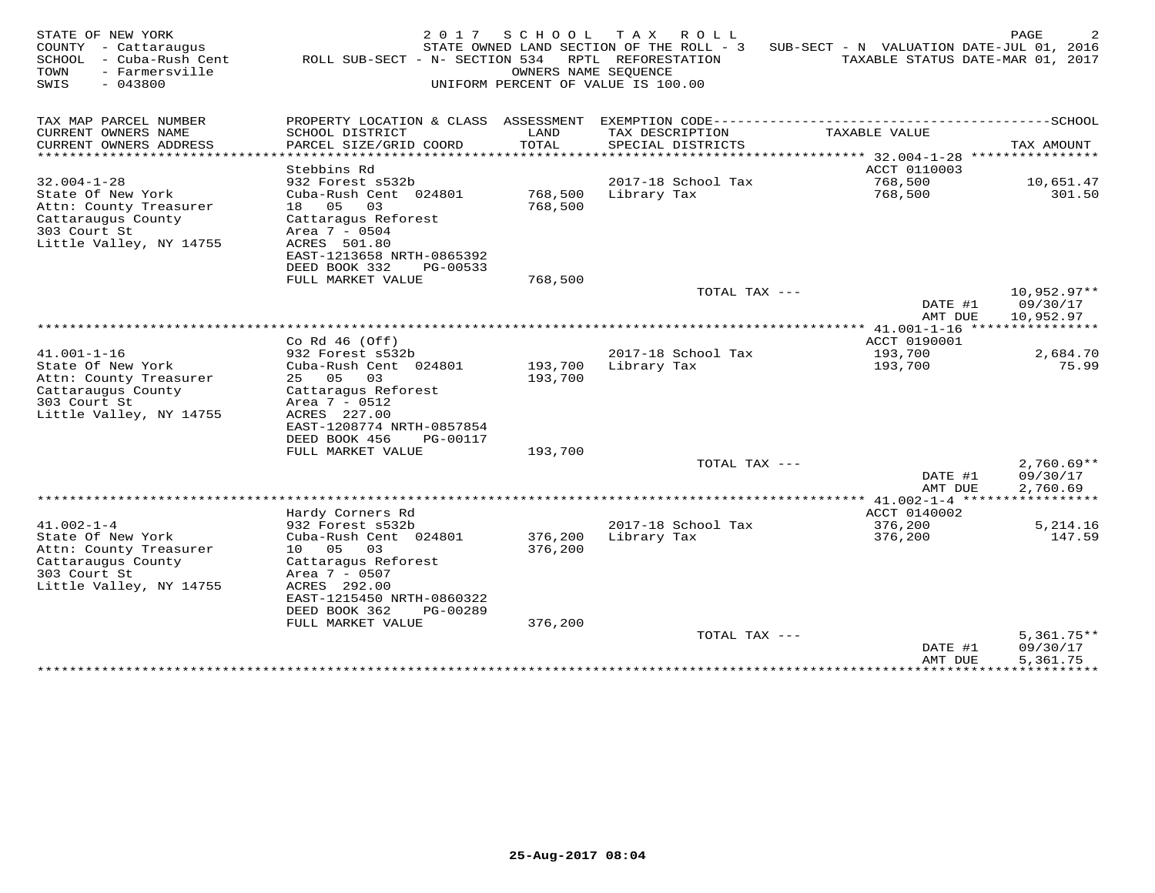| STATE OF NEW YORK<br>COUNTY<br>- Cattaraugus<br>SCHOOL<br>- Cuba-Rush Cent<br>- Farmersville<br>TOWN<br>$-043800$<br>SWIS        | 2 0 1 7<br>ROLL SUB-SECT - N- SECTION 534                                                                                                                                                          | SCHOOL<br>OWNERS NAME SEOUENCE | T A X<br>ROLL<br>STATE OWNED LAND SECTION OF THE ROLL - 3<br>RPTL REFORESTATION<br>UNIFORM PERCENT OF VALUE IS 100.00 | SUB-SECT - N VALUATION DATE-JUL 01, 2016<br>TAXABLE STATUS DATE-MAR 01, 2017 | PAGE                                   |
|----------------------------------------------------------------------------------------------------------------------------------|----------------------------------------------------------------------------------------------------------------------------------------------------------------------------------------------------|--------------------------------|-----------------------------------------------------------------------------------------------------------------------|------------------------------------------------------------------------------|----------------------------------------|
| TAX MAP PARCEL NUMBER                                                                                                            | PROPERTY LOCATION & CLASS                                                                                                                                                                          | ASSESSMENT                     |                                                                                                                       | EXEMPTION CODE---------------------------                                    | ------SCHOOL                           |
| CURRENT OWNERS NAME<br>CURRENT OWNERS ADDRESS                                                                                    | SCHOOL DISTRICT<br>PARCEL SIZE/GRID COORD                                                                                                                                                          | LAND<br>TOTAL                  | TAX DESCRIPTION<br>SPECIAL DISTRICTS                                                                                  | TAXABLE VALUE                                                                | TAX AMOUNT                             |
|                                                                                                                                  |                                                                                                                                                                                                    | <b>++++++</b>                  |                                                                                                                       | ****** 32.004-1-28                                                           | ****************                       |
| $32.004 - 1 - 28$                                                                                                                | Stebbins Rd<br>932 Forest s532b                                                                                                                                                                    |                                | 2017-18 School Tax                                                                                                    | ACCT 0110003                                                                 |                                        |
| State Of New York<br>Attn: County Treasurer<br>Cattaraugus County<br>303 Court St<br>Little Valley, NY 14755                     | Cuba-Rush Cent 024801<br>18 05<br>03<br>Cattaragus Reforest<br>Area 7 - 0504<br>ACRES 501.80<br>EAST-1213658 NRTH-0865392                                                                          | 768,500<br>768,500             | Library Tax                                                                                                           | 768,500<br>768,500                                                           | 10,651.47<br>301.50                    |
|                                                                                                                                  | DEED BOOK 332<br>PG-00533<br>FULL MARKET VALUE                                                                                                                                                     | 768,500                        |                                                                                                                       |                                                                              |                                        |
|                                                                                                                                  |                                                                                                                                                                                                    |                                | TOTAL TAX ---                                                                                                         | DATE #1<br>AMT DUE                                                           | $10,952.97**$<br>09/30/17<br>10,952.97 |
|                                                                                                                                  |                                                                                                                                                                                                    |                                |                                                                                                                       |                                                                              |                                        |
|                                                                                                                                  | Co Rd $46$ (Off)                                                                                                                                                                                   |                                |                                                                                                                       | ACCT 0190001                                                                 |                                        |
| $41.001 - 1 - 16$<br>State Of New York                                                                                           | 932 Forest s532b<br>Cuba-Rush Cent 024801                                                                                                                                                          | 193,700                        | 2017-18 School Tax<br>Library Tax                                                                                     | 193,700<br>193,700                                                           | 2,684.70<br>75.99                      |
| Attn: County Treasurer<br>Cattaraugus County<br>303 Court St<br>Little Valley, NY 14755                                          | 25 05<br>03<br>Cattaragus Reforest<br>Area 7 - 0512<br>ACRES 227.00<br>EAST-1208774 NRTH-0857854<br>DEED BOOK 456<br>PG-00117                                                                      | 193,700                        |                                                                                                                       |                                                                              |                                        |
|                                                                                                                                  | FULL MARKET VALUE                                                                                                                                                                                  | 193,700                        |                                                                                                                       |                                                                              |                                        |
|                                                                                                                                  |                                                                                                                                                                                                    |                                | TOTAL TAX ---                                                                                                         | DATE #1<br>AMT DUE                                                           | $2,760.69**$<br>09/30/17<br>2,760.69   |
|                                                                                                                                  |                                                                                                                                                                                                    |                                |                                                                                                                       |                                                                              | ***********                            |
|                                                                                                                                  | Hardy Corners Rd                                                                                                                                                                                   |                                |                                                                                                                       | ACCT 0140002                                                                 |                                        |
| $41.002 - 1 - 4$<br>State Of New York<br>Attn: County Treasurer<br>Cattaraugus County<br>303 Court St<br>Little Valley, NY 14755 | 932 Forest s532b<br>Cuba-Rush Cent 024801<br>05<br>10<br>03<br>Cattaraqus Reforest<br>Area 7 - 0507<br>ACRES 292.00<br>EAST-1215450 NRTH-0860322<br>DEED BOOK 362<br>PG-00289<br>FULL MARKET VALUE | 376,200<br>376,200<br>376,200  | 2017-18 School Tax<br>Library Tax                                                                                     | 376,200<br>376,200                                                           | 5,214.16<br>147.59                     |
|                                                                                                                                  |                                                                                                                                                                                                    |                                | TOTAL TAX ---                                                                                                         | DATE #1<br>AMT DUE                                                           | $5,361.75**$<br>09/30/17<br>5,361.75   |
|                                                                                                                                  |                                                                                                                                                                                                    |                                |                                                                                                                       | **********                                                                   | **********                             |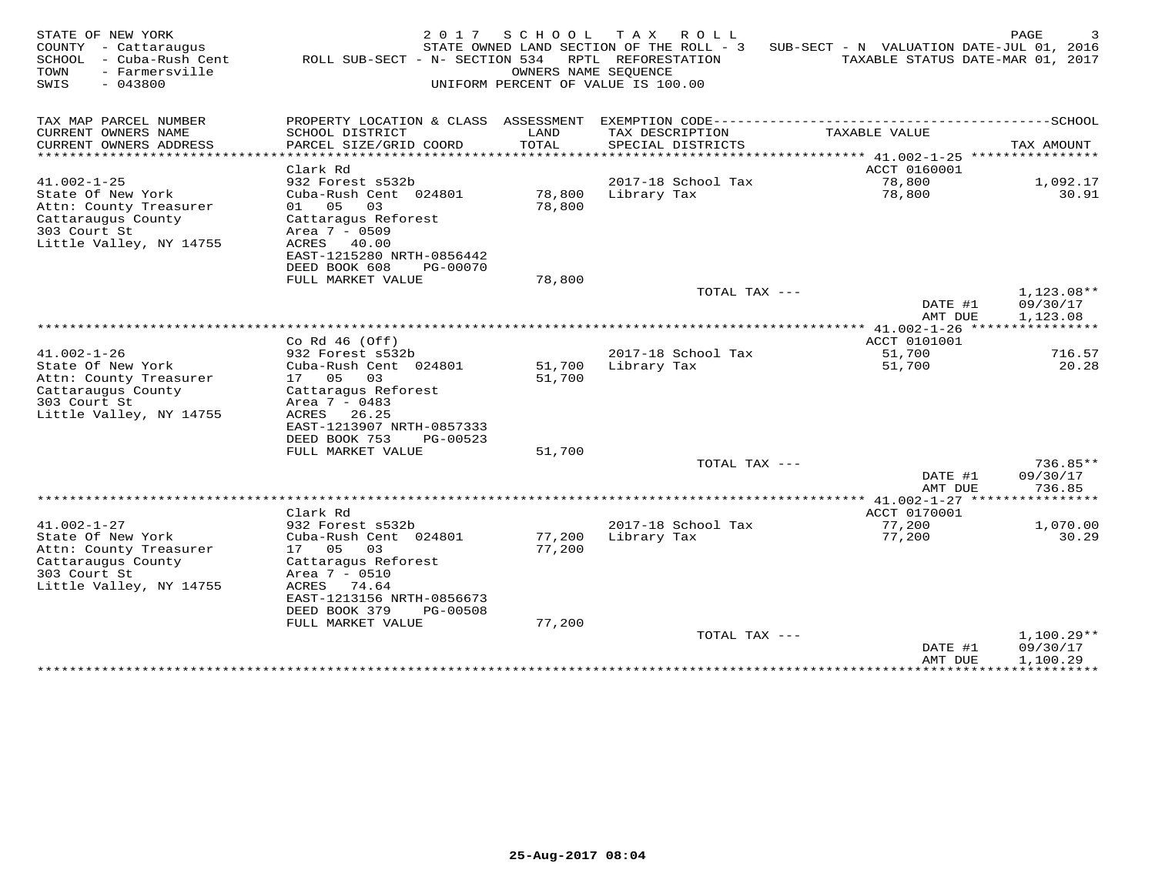| STATE OF NEW YORK<br>COUNTY - Cattaraugus<br>- Cuba-Rush Cent<br>SCHOOL<br>TOWN<br>- Farmersville<br>SWIS<br>$-043800$            | 2 0 1 7<br>ROLL SUB-SECT - N- SECTION 534                                                                                                                                                      | SCHOOL<br>OWNERS NAME SEOUENCE | T A X<br>R O L L<br>STATE OWNED LAND SECTION OF THE ROLL - 3<br>RPTL REFORESTATION<br>UNIFORM PERCENT OF VALUE IS 100.00 | SUB-SECT - N VALUATION DATE-JUL 01, 2016<br>TAXABLE STATUS DATE-MAR 01, 2017 | PAGE                               |
|-----------------------------------------------------------------------------------------------------------------------------------|------------------------------------------------------------------------------------------------------------------------------------------------------------------------------------------------|--------------------------------|--------------------------------------------------------------------------------------------------------------------------|------------------------------------------------------------------------------|------------------------------------|
| TAX MAP PARCEL NUMBER<br>CURRENT OWNERS NAME<br>CURRENT OWNERS ADDRESS                                                            | PROPERTY LOCATION & CLASS ASSESSMENT<br>SCHOOL DISTRICT<br>PARCEL SIZE/GRID COORD                                                                                                              | LAND<br>TOTAL                  | TAX DESCRIPTION<br>SPECIAL DISTRICTS                                                                                     | TAXABLE VALUE                                                                | TAX AMOUNT                         |
|                                                                                                                                   | Clark Rd                                                                                                                                                                                       | * * * * * *                    |                                                                                                                          | $*****41.002-1-25$<br>ACCT 0160001                                           |                                    |
| $41.002 - 1 - 25$                                                                                                                 | 932 Forest s532b                                                                                                                                                                               |                                | 2017-18 School Tax                                                                                                       | 78,800                                                                       | 1,092.17                           |
| State Of New York<br>Attn: County Treasurer<br>Cattaraugus County<br>303 Court St<br>Little Valley, NY 14755                      | Cuba-Rush Cent 024801<br>01 05<br>03<br>Cattaragus Reforest<br>Area 7 - 0509<br>ACRES 40.00<br>EAST-1215280 NRTH-0856442<br>DEED BOOK 608<br>PG-00070                                          | 78,800<br>78,800               | Library Tax                                                                                                              | 78,800                                                                       | 30.91                              |
|                                                                                                                                   | FULL MARKET VALUE                                                                                                                                                                              | 78,800                         |                                                                                                                          |                                                                              |                                    |
|                                                                                                                                   |                                                                                                                                                                                                |                                | TOTAL TAX ---                                                                                                            | DATE #1<br>AMT DUE                                                           | 1,123.08**<br>09/30/17<br>1,123.08 |
|                                                                                                                                   |                                                                                                                                                                                                |                                |                                                                                                                          |                                                                              |                                    |
|                                                                                                                                   | Co Rd $46$ (Off)                                                                                                                                                                               |                                |                                                                                                                          | ACCT 0101001                                                                 |                                    |
| $41.002 - 1 - 26$<br>State Of New York                                                                                            | 932 Forest s532b<br>Cuba-Rush Cent 024801                                                                                                                                                      | 51,700                         | 2017-18 School Tax<br>Library Tax                                                                                        | 51,700<br>51,700                                                             | 716.57<br>20.28                    |
| Attn: County Treasurer<br>Cattaraugus County<br>303 Court St<br>Little Valley, NY 14755                                           | 17 05<br>03<br>Cattaragus Reforest<br>Area 7 - 0483<br>ACRES 26.25<br>EAST-1213907 NRTH-0857333<br>DEED BOOK 753<br>PG-00523                                                                   | 51,700                         |                                                                                                                          |                                                                              |                                    |
|                                                                                                                                   | FULL MARKET VALUE                                                                                                                                                                              | 51,700                         |                                                                                                                          |                                                                              |                                    |
|                                                                                                                                   |                                                                                                                                                                                                |                                | TOTAL TAX ---                                                                                                            | DATE #1<br>AMT DUE                                                           | 736.85**<br>09/30/17<br>736.85     |
|                                                                                                                                   |                                                                                                                                                                                                |                                |                                                                                                                          | ************* 41.002-1-27 ******                                             | * * * * * * * * *                  |
|                                                                                                                                   | Clark Rd                                                                                                                                                                                       |                                |                                                                                                                          | ACCT 0170001                                                                 |                                    |
| $41.002 - 1 - 27$<br>State Of New York<br>Attn: County Treasurer<br>Cattaraugus County<br>303 Court St<br>Little Valley, NY 14755 | 932 Forest s532b<br>Cuba-Rush Cent 024801<br>17 05<br>03<br>Cattaragus Reforest<br>Area 7 - 0510<br>ACRES 74.64<br>EAST-1213156 NRTH-0856673<br>DEED BOOK 379<br>PG-00508<br>FULL MARKET VALUE | 77,200<br>77,200<br>77,200     | 2017-18 School Tax<br>Library Tax                                                                                        | 77,200<br>77,200                                                             | 1,070.00<br>30.29                  |
|                                                                                                                                   |                                                                                                                                                                                                |                                | TOTAL TAX ---                                                                                                            |                                                                              | $1,100.29**$                       |
|                                                                                                                                   |                                                                                                                                                                                                |                                |                                                                                                                          | DATE #1<br>AMT DUE                                                           | 09/30/17<br>1,100.29               |
|                                                                                                                                   |                                                                                                                                                                                                |                                |                                                                                                                          | **************                                                               | **********                         |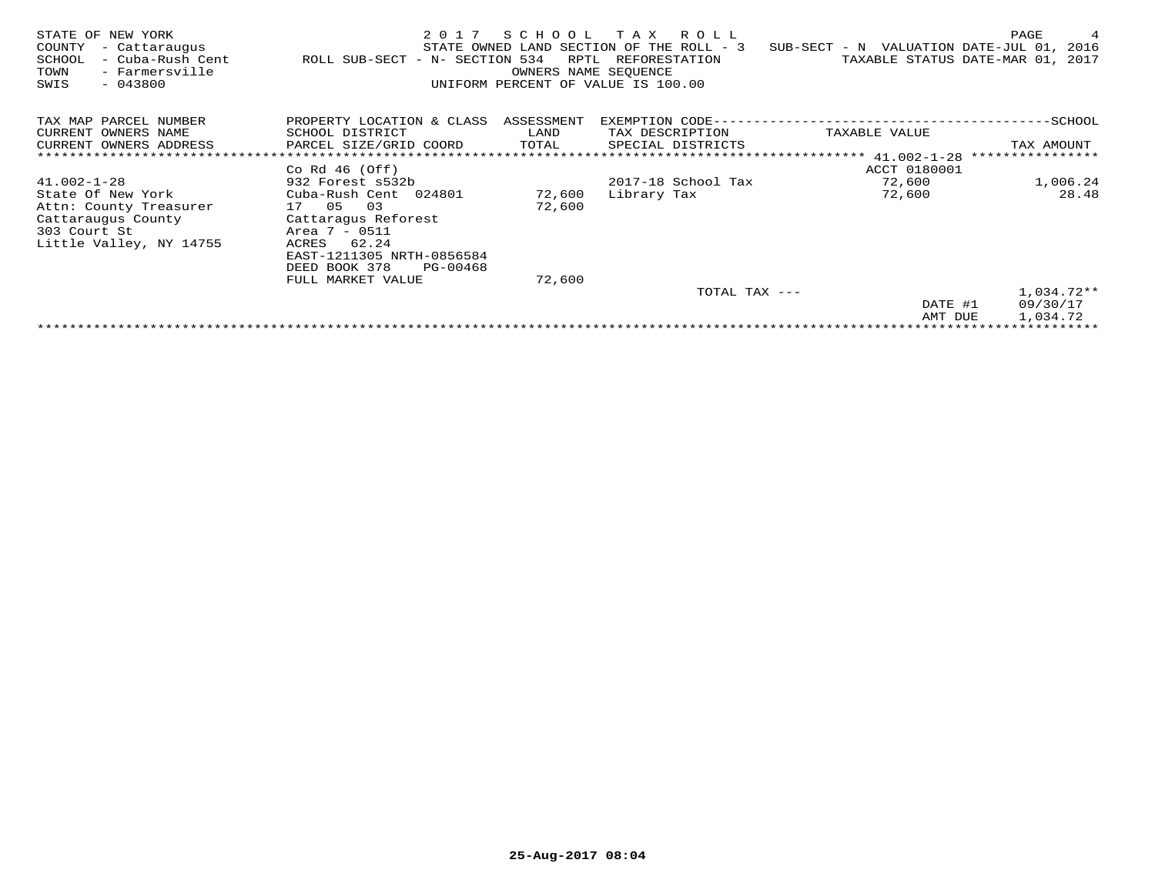| STATE OF NEW YORK<br>COUNTY<br>- Cattaraugus<br>- Cuba-Rush Cent<br>SCHOOL<br>- Farmersville<br>TOWN<br>$-043800$<br>SWIS | 2017<br>ROLL SUB-SECT - N- SECTION 534 | SCHOOL<br>RPTL<br>OWNERS NAME SEOUENCE | T A X<br>R O L L<br>STATE OWNED LAND SECTION OF THE ROLL - 3<br>REFORESTATION<br>UNIFORM PERCENT OF VALUE IS 100.00 | SUB-SECT - N VALUATION DATE-JUL 01, 2016 | PAGE<br>4<br>TAXABLE STATUS DATE-MAR 01, 2017 |
|---------------------------------------------------------------------------------------------------------------------------|----------------------------------------|----------------------------------------|---------------------------------------------------------------------------------------------------------------------|------------------------------------------|-----------------------------------------------|
| TAX MAP PARCEL NUMBER                                                                                                     | PROPERTY LOCATION & CLASS ASSESSMENT   |                                        | EXEMPTION CODE-                                                                                                     |                                          | $-$ SCHOOL                                    |
| CURRENT OWNERS NAME                                                                                                       | SCHOOL DISTRICT                        | LAND                                   | TAX DESCRIPTION                                                                                                     | TAXABLE VALUE                            |                                               |
| CURRENT OWNERS ADDRESS                                                                                                    | PARCEL SIZE/GRID COORD                 | TOTAL                                  | SPECIAL DISTRICTS                                                                                                   |                                          | TAX AMOUNT                                    |
|                                                                                                                           |                                        |                                        |                                                                                                                     | **************** 41.002-1-28             |                                               |
|                                                                                                                           | Co Rd $46$ (Off)                       |                                        |                                                                                                                     | ACCT 0180001                             |                                               |
| $41.002 - 1 - 28$                                                                                                         | 932 Forest s532b                       |                                        | 2017-18 School Tax                                                                                                  | 72,600                                   | 1,006.24                                      |
| State Of New York                                                                                                         | Cuba-Rush Cent 024801                  | 72,600                                 | Library Tax                                                                                                         | 72,600                                   | 28.48                                         |
| Attn: County Treasurer                                                                                                    | 17 05<br>03                            | 72,600                                 |                                                                                                                     |                                          |                                               |
| Cattaraugus County                                                                                                        | Cattaragus Reforest                    |                                        |                                                                                                                     |                                          |                                               |
| 303 Court St                                                                                                              | Area 7 - 0511                          |                                        |                                                                                                                     |                                          |                                               |
| Little Valley, NY 14755                                                                                                   | ACRES<br>62.24                         |                                        |                                                                                                                     |                                          |                                               |
|                                                                                                                           | EAST-1211305 NRTH-0856584              |                                        |                                                                                                                     |                                          |                                               |
|                                                                                                                           | DEED BOOK 378<br>PG-00468              |                                        |                                                                                                                     |                                          |                                               |
|                                                                                                                           | FULL MARKET VALUE                      | 72,600                                 |                                                                                                                     |                                          |                                               |
|                                                                                                                           |                                        |                                        | TOTAL TAX ---                                                                                                       |                                          | $1,034.72**$                                  |
|                                                                                                                           |                                        |                                        |                                                                                                                     | DATE #1                                  | 09/30/17                                      |
|                                                                                                                           |                                        |                                        |                                                                                                                     | AMT DUE                                  | 1,034.72                                      |
|                                                                                                                           |                                        |                                        |                                                                                                                     |                                          |                                               |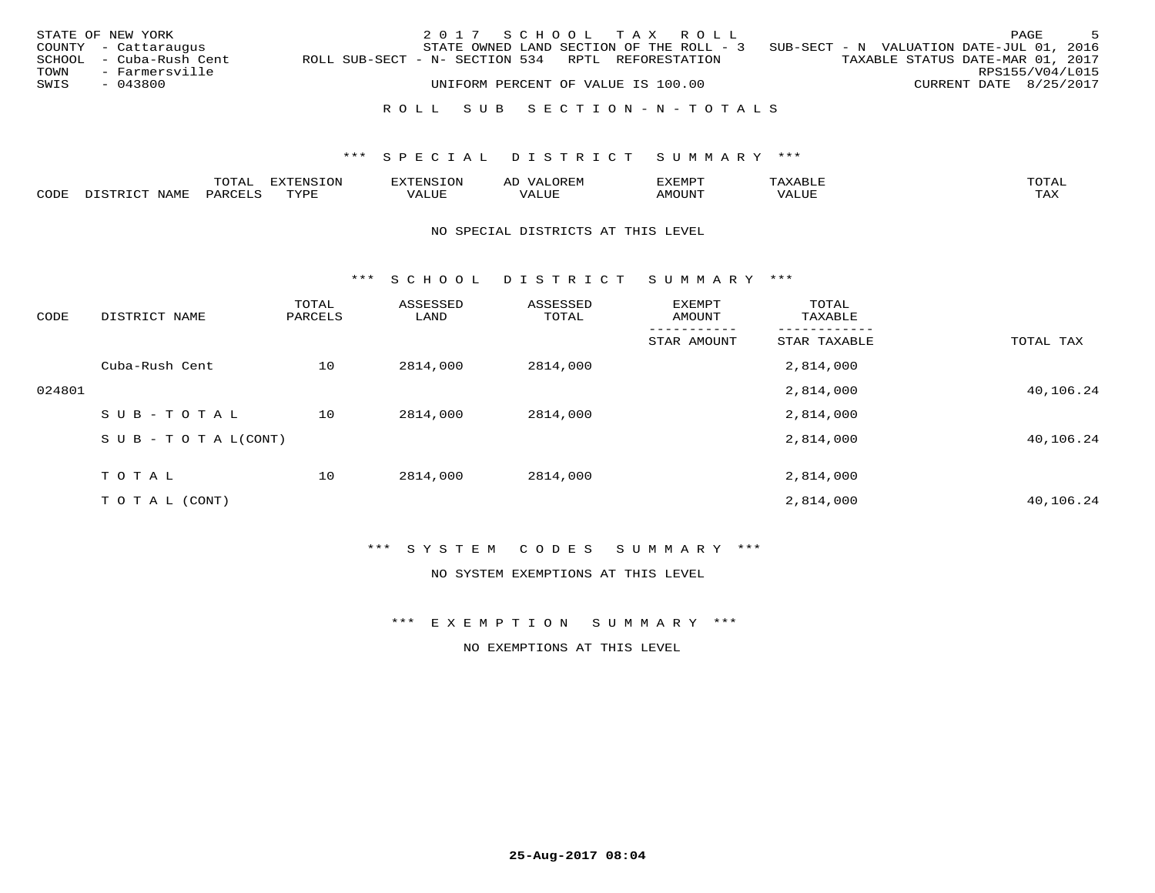|      | STATE OF NEW YORK       |                                                   | 2017 SCHOOL TAX ROLL                     |                                    |  |                                          |                                  |                        | PAGE | - 5 |
|------|-------------------------|---------------------------------------------------|------------------------------------------|------------------------------------|--|------------------------------------------|----------------------------------|------------------------|------|-----|
|      | COUNTY - Cattaraugus    |                                                   | STATE OWNED LAND SECTION OF THE ROLL - 3 |                                    |  | SUB-SECT - N VALUATION DATE-JUL 01, 2016 |                                  |                        |      |     |
|      | SCHOOL - Cuba-Rush Cent | ROLL SUB-SECT - N- SECTION 534 RPTL REFORESTATION |                                          |                                    |  |                                          | TAXABLE STATUS DATE-MAR 01, 2017 |                        |      |     |
| TOWN | - Farmersville          |                                                   |                                          |                                    |  |                                          |                                  | RPS155/V04/L015        |      |     |
| SWIS | - 043800                |                                                   |                                          | UNIFORM PERCENT OF VALUE IS 100.00 |  |                                          |                                  | CURRENT DATE 8/25/2017 |      |     |
|      |                         |                                                   |                                          |                                    |  |                                          |                                  |                        |      |     |

## R O L L S U B S E C T I O N - N - T O T A L S

## \*\*\* S P E C I A L D I S T R I C T S U M M A R Y \*\*\*

|      | $m \wedge m \wedge n$<br>Al | $1 + 0.5 +$ | 117777777727<br>EN.<br>∟∪⊥ | OREM<br>$\frac{1}{2}$<br>ΑL |      |      | $\blacksquare$          |
|------|-----------------------------|-------------|----------------------------|-----------------------------|------|------|-------------------------|
| CODE |                             | <b>TVD</b>  | ALUE                       |                             | יי ב | 17 L | $m \times r$<br>- - - - |

#### NO SPECIAL DISTRICTS AT THIS LEVEL

\*\*\* S C H O O L D I S T R I C T S U M M A R Y \*\*\*

| CODE   | DISTRICT NAME                    | TOTAL<br>PARCELS | ASSESSED<br>LAND | ASSESSED<br>TOTAL | EXEMPT<br>AMOUNT | TOTAL<br>TAXABLE |           |
|--------|----------------------------------|------------------|------------------|-------------------|------------------|------------------|-----------|
|        |                                  |                  |                  |                   | STAR AMOUNT      | STAR TAXABLE     | TOTAL TAX |
|        | Cuba-Rush Cent                   | 10               | 2814,000         | 2814,000          |                  | 2,814,000        |           |
| 024801 |                                  |                  |                  |                   |                  | 2,814,000        | 40,106.24 |
|        | SUB-TOTAL                        | 10               | 2814,000         | 2814,000          |                  | 2,814,000        |           |
|        | $S \cup B - T \cup T A L (CONT)$ |                  |                  |                   |                  | 2,814,000        | 40,106.24 |
|        | TOTAL                            | 10               | 2814,000         | 2814,000          |                  | 2,814,000        |           |
|        | T O T A L (CONT)                 |                  |                  |                   |                  | 2,814,000        | 40,106.24 |

## \*\*\* S Y S T E M C O D E S S U M M A R Y \*\*\*

NO SYSTEM EXEMPTIONS AT THIS LEVEL

\*\*\* E X E M P T I O N S U M M A R Y \*\*\*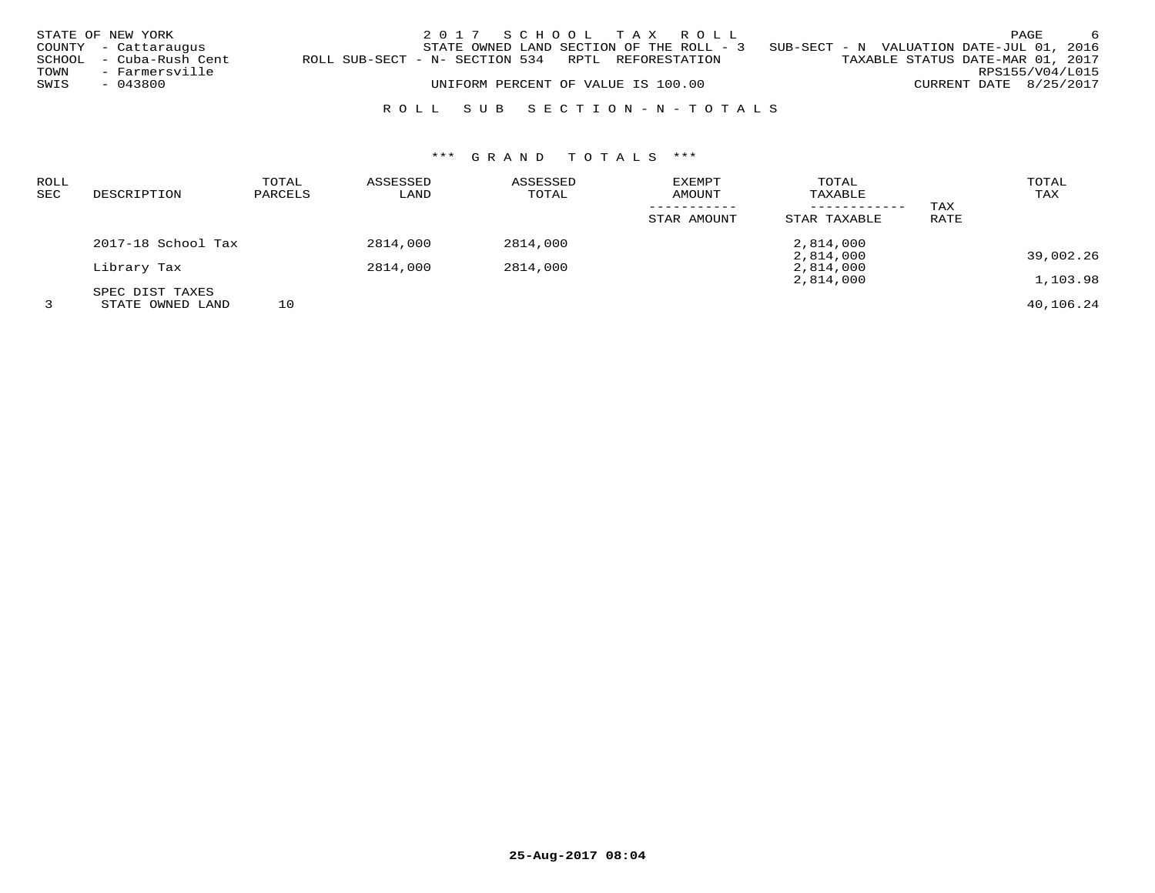|      | STATE OF NEW YORK       |                                                   | 2017 SCHOOL TAX ROLL                     |  |                                          |                                  | PAGE            | -6 |
|------|-------------------------|---------------------------------------------------|------------------------------------------|--|------------------------------------------|----------------------------------|-----------------|----|
|      | COUNTY - Cattaraugus    |                                                   | STATE OWNED LAND SECTION OF THE ROLL - 3 |  | SUB-SECT - N VALUATION DATE-JUL 01, 2016 |                                  |                 |    |
|      | SCHOOL - Cuba-Rush Cent | ROLL SUB-SECT - N- SECTION 534 RPTL REFORESTATION |                                          |  |                                          | TAXABLE STATUS DATE-MAR 01, 2017 |                 |    |
| TOWN | - Farmersville          |                                                   |                                          |  |                                          |                                  | RPS155/V04/L015 |    |
| SWIS | - 043800                |                                                   | UNIFORM PERCENT OF VALUE IS 100.00       |  |                                          | CURRENT DATE 8/25/2017           |                 |    |
|      |                         |                                                   |                                          |  |                                          |                                  |                 |    |

# R O L L S U B S E C T I O N - N - T O T A L S

| ROLL |                    | TOTAL   | ASSESSED | ASSESSED | EXEMPT      | TOTAL        |      | TOTAL     |
|------|--------------------|---------|----------|----------|-------------|--------------|------|-----------|
| SEC  | DESCRIPTION        | PARCELS | LAND     | TOTAL    | AMOUNT      | TAXABLE      |      | TAX       |
|      |                    |         |          |          |             |              | TAX  |           |
|      |                    |         |          |          | STAR AMOUNT | STAR TAXABLE | RATE |           |
|      | 2017-18 School Tax |         | 2814,000 | 2814,000 |             | 2,814,000    |      |           |
|      |                    |         |          |          |             | 2,814,000    |      | 39,002.26 |
|      | Library Tax        |         | 2814,000 | 2814,000 |             | 2,814,000    |      |           |
|      |                    |         |          |          |             | 2,814,000    |      | 1,103.98  |
|      | SPEC DIST TAXES    |         |          |          |             |              |      |           |
|      | STATE OWNED LAND   | 10      |          |          |             |              |      | 40,106.24 |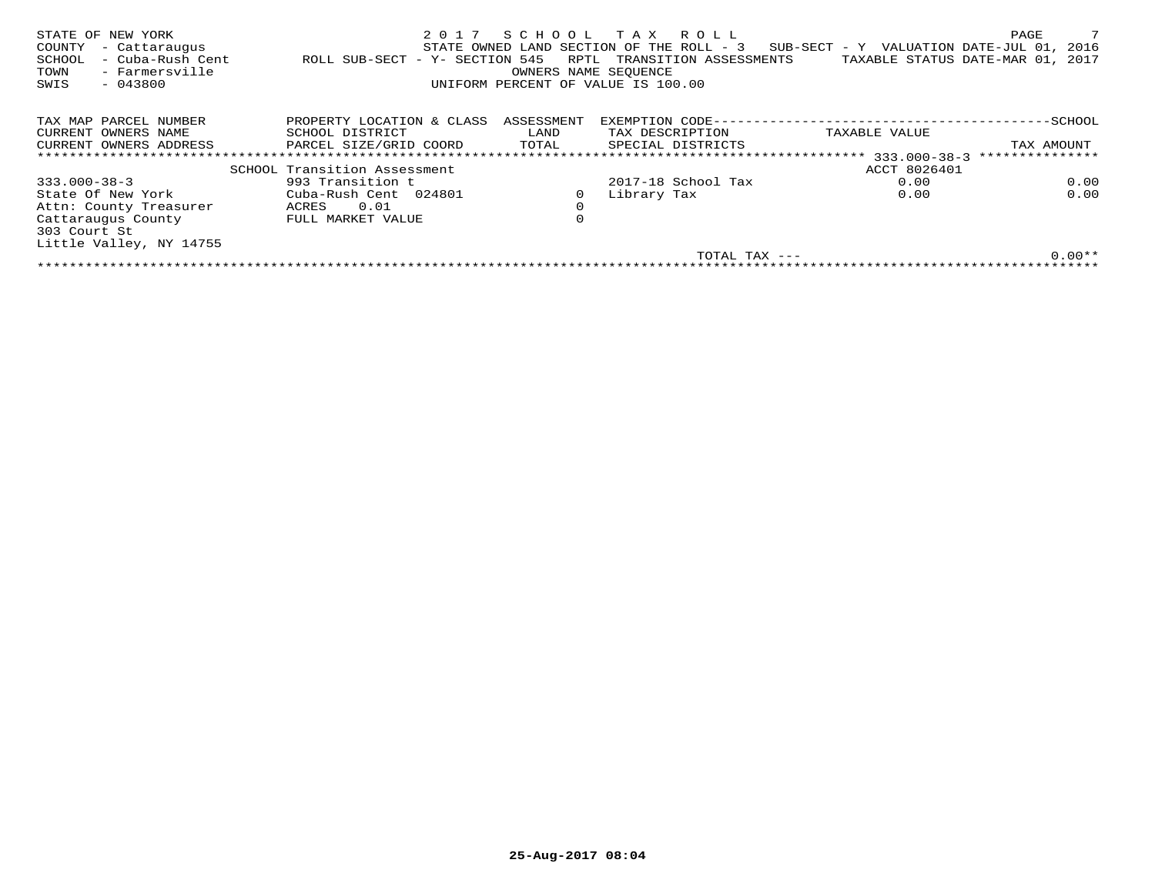| STATE OF NEW YORK<br>COUNTY<br>- Cattaraugus<br>- Cuba-Rush Cent<br>SCHOOL<br>- Farmersville<br>TOWN<br>$-043800$<br>SWIS | 2017<br>ROLL SUB-SECT - Y- SECTION 545 | RPTL<br>OWNERS NAME SEOUENCE | SCHOOL TAX ROLL<br>STATE OWNED LAND SECTION OF THE ROLL - 3<br>TRANSITION ASSESSMENTS<br>UNIFORM PERCENT OF VALUE IS 100.00 | SUB-SECT - Y VALUATION DATE-JUL 01, 2016<br>TAXABLE STATUS DATE-MAR 01, 2017 | PAGE            |
|---------------------------------------------------------------------------------------------------------------------------|----------------------------------------|------------------------------|-----------------------------------------------------------------------------------------------------------------------------|------------------------------------------------------------------------------|-----------------|
| TAX MAP PARCEL NUMBER                                                                                                     | PROPERTY LOCATION & CLASS              | ASSESSMENT                   | EXEMPTION CODE---                                                                                                           |                                                                              | -SCHOOL         |
| CURRENT OWNERS NAME                                                                                                       | SCHOOL DISTRICT                        | LAND                         | TAX DESCRIPTION                                                                                                             | TAXABLE VALUE                                                                |                 |
| CURRENT OWNERS ADDRESS                                                                                                    | PARCEL SIZE/GRID COORD                 | TOTAL                        | SPECIAL DISTRICTS                                                                                                           |                                                                              | TAX AMOUNT      |
|                                                                                                                           |                                        |                              | ************************************ 333.000-38-3                                                                           |                                                                              | *************** |
|                                                                                                                           | SCHOOL Transition Assessment           |                              |                                                                                                                             | ACCT 8026401                                                                 |                 |
| $333.000 - 38 - 3$                                                                                                        | 993 Transition t                       |                              | 2017-18 School Tax                                                                                                          | 0.00                                                                         | 0.00            |
| State Of New York                                                                                                         | Cuba-Rush Cent 024801                  |                              | Library Tax                                                                                                                 | 0.00                                                                         | 0.00            |
| Attn: County Treasurer                                                                                                    | 0.01<br>ACRES                          | $\mathbf 0$                  |                                                                                                                             |                                                                              |                 |
| Cattaraugus County                                                                                                        | FULL MARKET VALUE                      | $\Omega$                     |                                                                                                                             |                                                                              |                 |
| 303 Court St                                                                                                              |                                        |                              |                                                                                                                             |                                                                              |                 |
| Little Valley, NY 14755                                                                                                   |                                        |                              |                                                                                                                             |                                                                              |                 |
|                                                                                                                           |                                        |                              | TOTAL TAX ---                                                                                                               |                                                                              | $0.00**$        |
|                                                                                                                           |                                        |                              |                                                                                                                             |                                                                              |                 |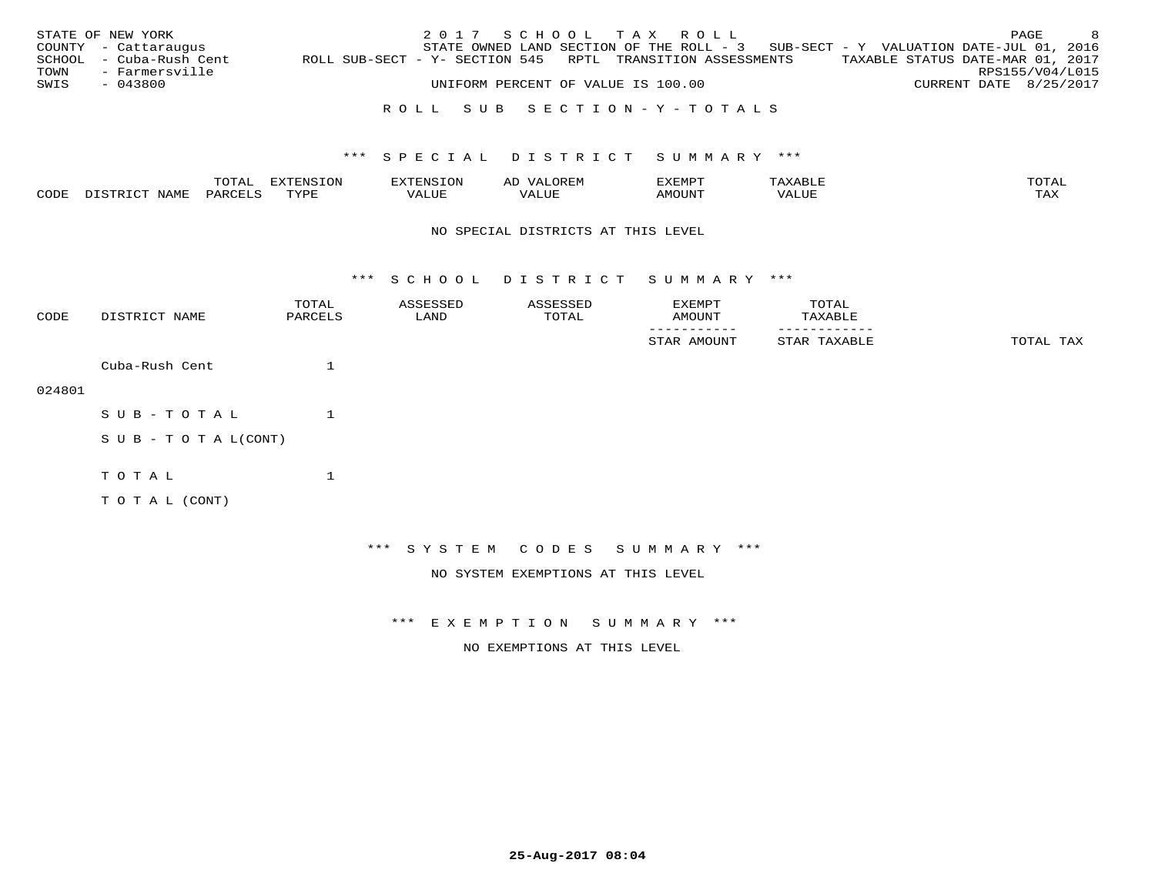|      | STATE OF NEW YORK       |                                                            |  |  |                                    | 2017 SCHOOL TAX ROLL |                                                                                   |  |                                  | PAGE | - 8 |
|------|-------------------------|------------------------------------------------------------|--|--|------------------------------------|----------------------|-----------------------------------------------------------------------------------|--|----------------------------------|------|-----|
|      | COUNTY - Cattaraugus    |                                                            |  |  |                                    |                      | STATE OWNED LAND SECTION OF THE ROLL - 3 SUB-SECT - Y VALUATION DATE-JUL 01, 2016 |  |                                  |      |     |
|      | SCHOOL - Cuba-Rush Cent | ROLL SUB-SECT - Y- SECTION 545 RPTL TRANSITION ASSESSMENTS |  |  |                                    |                      |                                                                                   |  | TAXABLE STATUS DATE-MAR 01, 2017 |      |     |
|      | TOWN - Farmersville     |                                                            |  |  |                                    |                      |                                                                                   |  | RPS155/V04/L015                  |      |     |
| SWIS | $-043800$               |                                                            |  |  | UNIFORM PERCENT OF VALUE IS 100.00 |                      |                                                                                   |  | CURRENT DATE 8/25/2017           |      |     |
|      |                         |                                                            |  |  |                                    |                      |                                                                                   |  |                                  |      |     |

# R O L L S U B S E C T I O N - Y - T O T A L S

## \*\*\* S P E C I A L D I S T R I C T S U M M A R Y \*\*\*

|      |     | $m \wedge m$ |               |       | AL   | EXEMPT |                                             | TOTAT                 |
|------|-----|--------------|---------------|-------|------|--------|---------------------------------------------|-----------------------|
| CODE | . ب |              | ᇚᅐᅎᅲ<br>ت ہے۔ | 'ALUE | םחחד | λIJΖ   | <b>FITT</b><br>$\left\langle \right\rangle$ | $m \times r$<br>⊥ ∠ער |

#### NO SPECIAL DISTRICTS AT THIS LEVEL

\*\*\* S C H O O L D I S T R I C T S U M M A R Y \*\*\*

| CODE   | DISTRICT NAME      | TOTAL<br>PARCELS | ASSESSED<br>LAND | ASSESSED<br>TOTAL | EXEMPT<br>AMOUNT                   | TOTAL<br>TAXABLE |           |
|--------|--------------------|------------------|------------------|-------------------|------------------------------------|------------------|-----------|
|        |                    |                  |                  |                   | STAR AMOUNT                        | STAR TAXABLE     | TOTAL TAX |
|        | Cuba-Rush Cent     | 1                |                  |                   |                                    |                  |           |
| 024801 |                    |                  |                  |                   |                                    |                  |           |
|        | SUB-TOTAL          | 1                |                  |                   |                                    |                  |           |
|        | SUB - TO TAL(CONT) |                  |                  |                   |                                    |                  |           |
|        | TOTAL              | 1                |                  |                   |                                    |                  |           |
|        | TO TAL (CONT)      |                  |                  |                   |                                    |                  |           |
|        |                    |                  |                  |                   |                                    |                  |           |
|        |                    |                  |                  |                   | *** SYSTEM CODES SUMMARY ***       |                  |           |
|        |                    |                  |                  |                   | NO SYSTEM EXEMPTIONS AT THIS LEVEL |                  |           |

\*\*\* E X E M P T I O N S U M M A R Y \*\*\*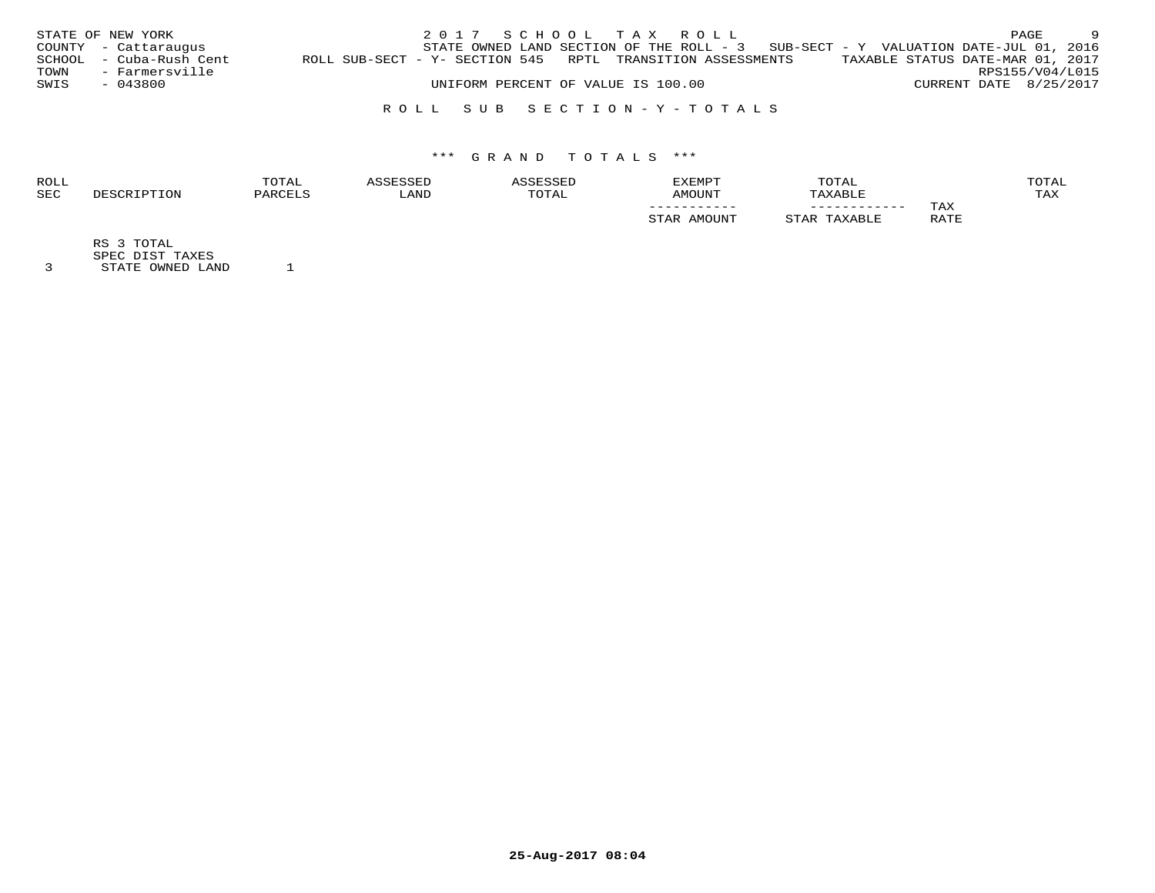|      | STATE OF NEW YORK       |                                                            |  | 2017 SCHOOL TAX ROLL               |  |                                                                                     |                                  |                        | PAGE | - 9             |
|------|-------------------------|------------------------------------------------------------|--|------------------------------------|--|-------------------------------------------------------------------------------------|----------------------------------|------------------------|------|-----------------|
|      | COUNTY - Cattaraugus    |                                                            |  |                                    |  | STATE OWNED LAND SECTION OF THE ROLL - $3$ SUB-SECT - Y VALUATION DATE-JUL 01, 2016 |                                  |                        |      |                 |
|      | SCHOOL - Cuba-Rush Cent | ROLL SUB-SECT - Y- SECTION 545 RPTL TRANSITION ASSESSMENTS |  |                                    |  |                                                                                     | TAXABLE STATUS DATE-MAR 01, 2017 |                        |      |                 |
| TOWN | - Farmersville          |                                                            |  |                                    |  |                                                                                     |                                  |                        |      | RPS155/V04/L015 |
| SWIS | - 043800                |                                                            |  | UNIFORM PERCENT OF VALUE IS 100.00 |  |                                                                                     |                                  | CURRENT DATE 8/25/2017 |      |                 |
|      |                         |                                                            |  |                                    |  |                                                                                     |                                  |                        |      |                 |

R O L L S U B S E C T I O N - Y - T O T A L S

# \*\*\* G R A N D T O T A L S \*\*\*

| <b>ROLL</b> |        | TOTAL   | CCTT |       | <b>EXEMPT</b> | TOTAL   |      | TOTAL |
|-------------|--------|---------|------|-------|---------------|---------|------|-------|
| <b>SEC</b>  | PTION. | PARCELS | LAND | TOTAL | AMOUNT        | TAXABLE |      | TAX   |
|             |        |         |      |       | ___________   |         | TAX  |       |
|             |        |         |      |       | AMOUNT        | .AXABLE | RATE |       |
|             |        |         |      |       |               |         |      |       |

RS 3 TOTAL

SPEC DIST TAXES 3 STATE OWNED LAND 1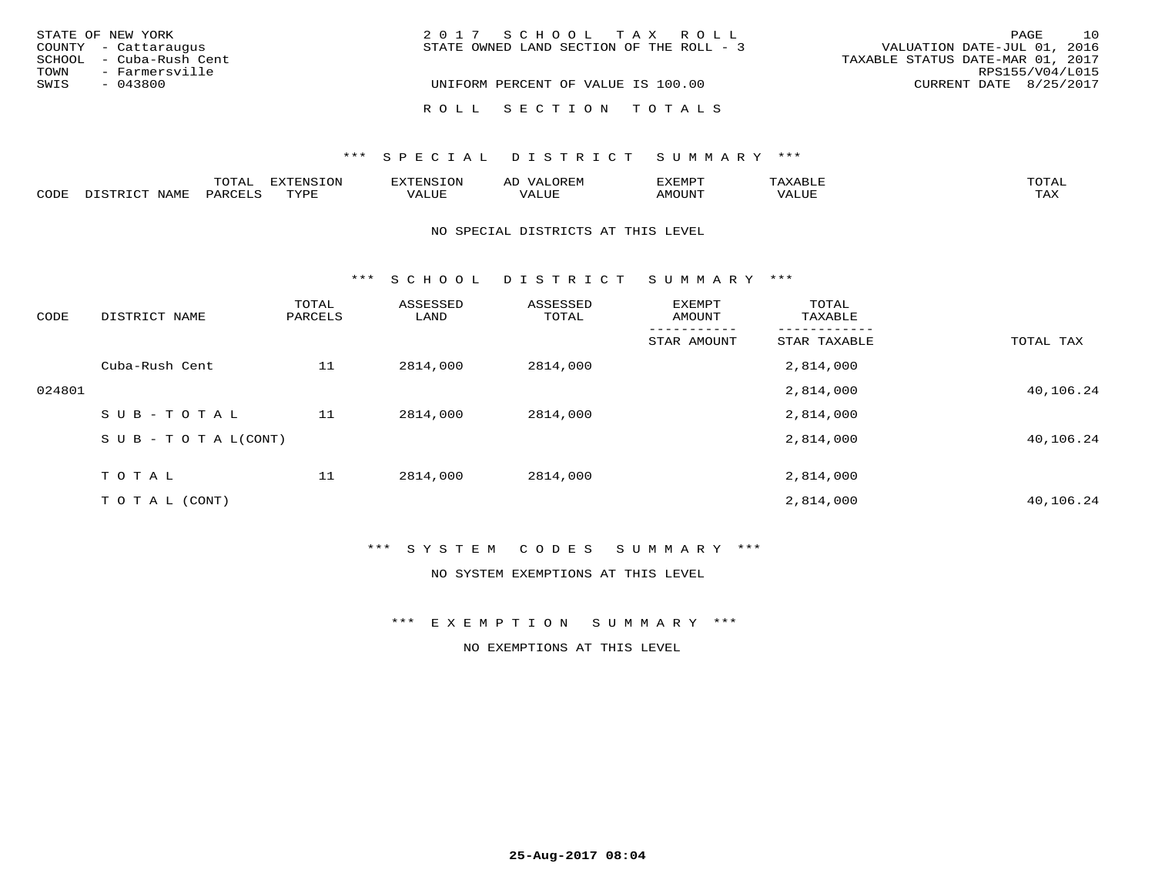|      | STATE OF NEW YORK       | 2017 SCHOOL TAX ROLL                                                    | PAGE            | 10 |
|------|-------------------------|-------------------------------------------------------------------------|-----------------|----|
|      | COUNTY - Cattaraugus    | VALUATION DATE-JUL 01, 2016<br>STATE OWNED LAND SECTION OF THE ROLL - 3 |                 |    |
|      | SCHOOL - Cuba-Rush Cent | TAXABLE STATUS DATE-MAR 01, 2017                                        |                 |    |
| TOWN | - Farmersville          |                                                                         | RPS155/V04/L015 |    |
| SWIS | - 043800                | UNIFORM PERCENT OF VALUE IS 100.00<br>CURRENT DATE 8/25/2017            |                 |    |
|      |                         | ROLL SECTION TOTALS                                                     |                 |    |

|      |                                                | $m \wedge m \wedge n$<br>TAT | ----------- |       | ΑL<br>$\cdots$ | EXEMPT |                             | ™∩™™                |
|------|------------------------------------------------|------------------------------|-------------|-------|----------------|--------|-----------------------------|---------------------|
| CODE | $T \cap T$<br><b>BTBBFF</b><br>$V$ $A$ $V$ $I$ | .                            | <b>TVDI</b> | VALUE | ALUE           | MOUNT  | . TTT<br>$\lambda$<br>ALUE) | $m \times r$<br>∸∽∽ |

#### NO SPECIAL DISTRICTS AT THIS LEVEL

\*\*\* S C H O O L D I S T R I C T S U M M A R Y \*\*\*

| CODE   | DISTRICT NAME                    | TOTAL<br>PARCELS | ASSESSED<br>LAND | ASSESSED<br>TOTAL | EXEMPT<br>AMOUNT | TOTAL<br>TAXABLE |           |
|--------|----------------------------------|------------------|------------------|-------------------|------------------|------------------|-----------|
|        |                                  |                  |                  |                   | STAR AMOUNT      | STAR TAXABLE     | TOTAL TAX |
|        | Cuba-Rush Cent                   | 11               | 2814,000         | 2814,000          |                  | 2,814,000        |           |
| 024801 |                                  |                  |                  |                   |                  | 2,814,000        | 40,106.24 |
|        | SUB-TOTAL                        | 11               | 2814,000         | 2814,000          |                  | 2,814,000        |           |
|        | $S \cup B - T \cup T A L (CONT)$ |                  |                  |                   |                  | 2,814,000        | 40,106.24 |
|        | TOTAL                            | 11               | 2814,000         | 2814,000          |                  | 2,814,000        |           |
|        | T O T A L (CONT)                 |                  |                  |                   |                  | 2,814,000        | 40,106.24 |

## \*\*\* S Y S T E M C O D E S S U M M A R Y \*\*\*

NO SYSTEM EXEMPTIONS AT THIS LEVEL

\*\*\* E X E M P T I O N S U M M A R Y \*\*\*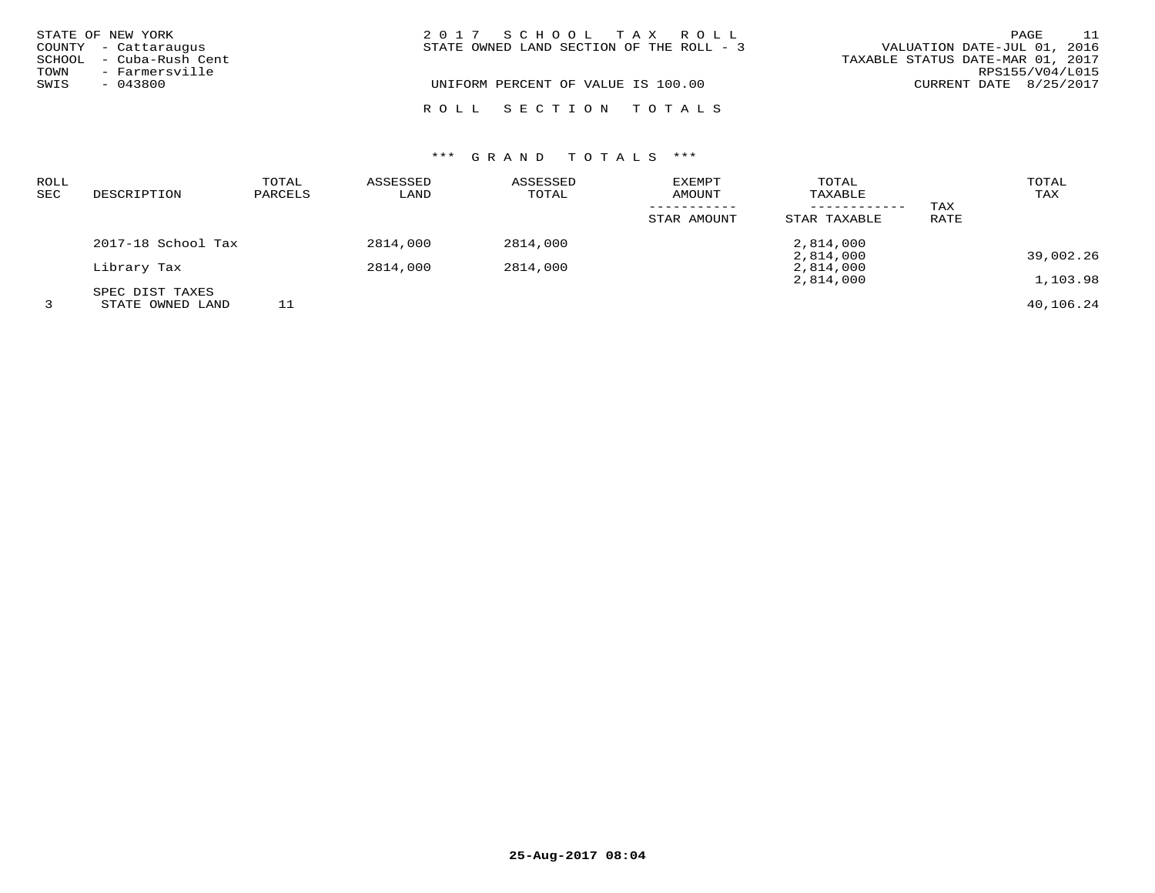|      | STATE OF NEW YORK                               | 2017 SCHOOL TAX ROLL                       | PAGE                                                            | 11 |
|------|-------------------------------------------------|--------------------------------------------|-----------------------------------------------------------------|----|
|      | COUNTY - Cattaraugus<br>SCHOOL - Cuba-Rush Cent | STATE OWNED LAND SECTION OF THE ROLL $-$ 3 | VALUATION DATE-JUL 01, 2016<br>TAXABLE STATUS DATE-MAR 01, 2017 |    |
| TOWN | - Farmersville                                  |                                            | RPS155/V04/L015                                                 |    |
| SWIS | - 043800                                        | UNIFORM PERCENT OF VALUE IS 100.00         | CURRENT DATE 8/25/2017                                          |    |
|      |                                                 | ROLL SECTION TOTALS                        |                                                                 |    |

| ROLL<br><b>SEC</b> | DESCRIPTION                         | TOTAL<br>PARCELS | ASSESSED<br>LAND | ASSESSED<br>TOTAL | EXEMPT<br>AMOUNT<br>STAR AMOUNT | TOTAL<br>TAXABLE<br>------------<br>STAR TAXABLE | TAX<br>RATE | TOTAL<br>TAX |
|--------------------|-------------------------------------|------------------|------------------|-------------------|---------------------------------|--------------------------------------------------|-------------|--------------|
|                    | 2017-18 School Tax                  |                  | 2814,000         | 2814,000          |                                 | 2,814,000                                        |             |              |
|                    | Library Tax                         |                  | 2814,000         | 2814,000          |                                 | 2,814,000<br>2,814,000                           |             | 39,002.26    |
|                    |                                     |                  |                  |                   |                                 | 2,814,000                                        |             | 1,103.98     |
| 3                  | SPEC DIST TAXES<br>STATE OWNED LAND | 11               |                  |                   |                                 |                                                  |             | 40,106.24    |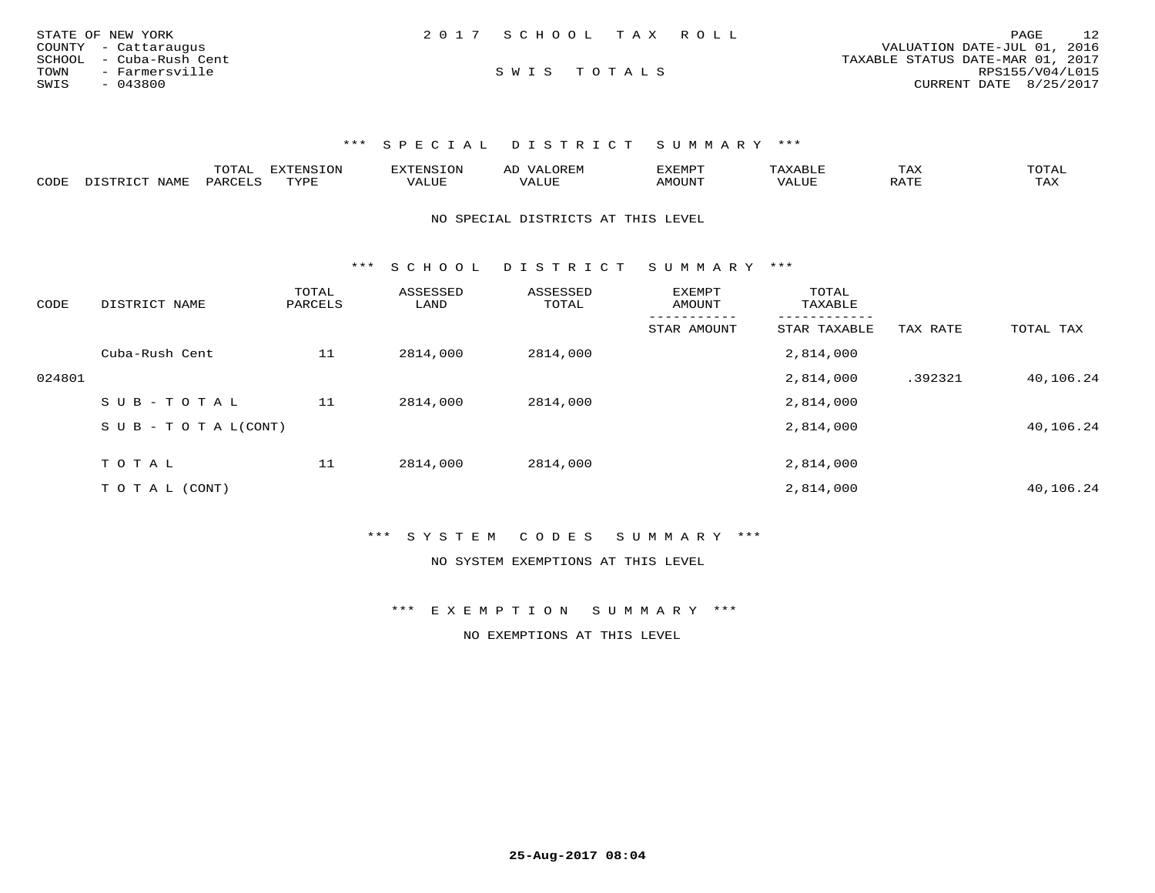| STATE OF NEW YORK       | 2017 SCHOOL TAX ROLL | 12<br>PAGE                       |
|-------------------------|----------------------|----------------------------------|
| COUNTY - Cattaraugus    |                      | VALUATION DATE-JUL 01, 2016      |
| SCHOOL - Cuba-Rush Cent |                      | TAXABLE STATUS DATE-MAR 01, 2017 |
| TOWN<br>- Farmersville  | SWIS TOTALS          | RPS155/V04/L015                  |
| SWIS<br>- 043800        |                      | CURRENT DATE 8/25/2017           |

|      |                                    | mom n<br>TOTAT. | 'ENSION   | <b>EXTENSION</b><br>⊾ON | $\cdot$ $\Delta$ .<br>₩ | EXEMPT    | ABLE  | $m \times r$<br>IAA |                     |
|------|------------------------------------|-----------------|-----------|-------------------------|-------------------------|-----------|-------|---------------------|---------------------|
| CODE | <b>NAME</b><br>$T \sim T$<br>∴ קיד | PARCELS         | TVDF<br>. | VALUE                   | VALUE                   | VILJIJIN' | 'ALU1 | זרח גם<br>----      | $m \times r$<br>TH. |

NO SPECIAL DISTRICTS AT THIS LEVEL

\*\*\* S C H O O L D I S T R I C T S U M M A R Y \*\*\*

| CODE   | DISTRICT NAME                 | TOTAL<br>PARCELS | ASSESSED<br>LAND | ASSESSED<br>TOTAL | <b>EXEMPT</b><br>AMOUNT | TOTAL<br>TAXABLE |          |           |
|--------|-------------------------------|------------------|------------------|-------------------|-------------------------|------------------|----------|-----------|
|        |                               |                  |                  |                   | STAR AMOUNT             | STAR TAXABLE     | TAX RATE | TOTAL TAX |
|        | Cuba-Rush Cent                | 11               | 2814,000         | 2814,000          |                         | 2,814,000        |          |           |
| 024801 |                               |                  |                  |                   |                         | 2,814,000        | .392321  | 40,106.24 |
|        | SUB-TOTAL                     | 11               | 2814,000         | 2814,000          |                         | 2,814,000        |          |           |
|        | $S \cup B - T O T A L (CONT)$ |                  |                  |                   |                         | 2,814,000        |          | 40,106.24 |
|        | TOTAL                         | 11               | 2814,000         | 2814,000          |                         | 2,814,000        |          |           |
|        |                               |                  |                  |                   |                         |                  |          |           |
|        | T O T A L (CONT)              |                  |                  |                   |                         | 2,814,000        |          | 40,106.24 |

\*\*\* S Y S T E M C O D E S S U M M A R Y \*\*\*

NO SYSTEM EXEMPTIONS AT THIS LEVEL

\*\*\* E X E M P T I O N S U M M A R Y \*\*\*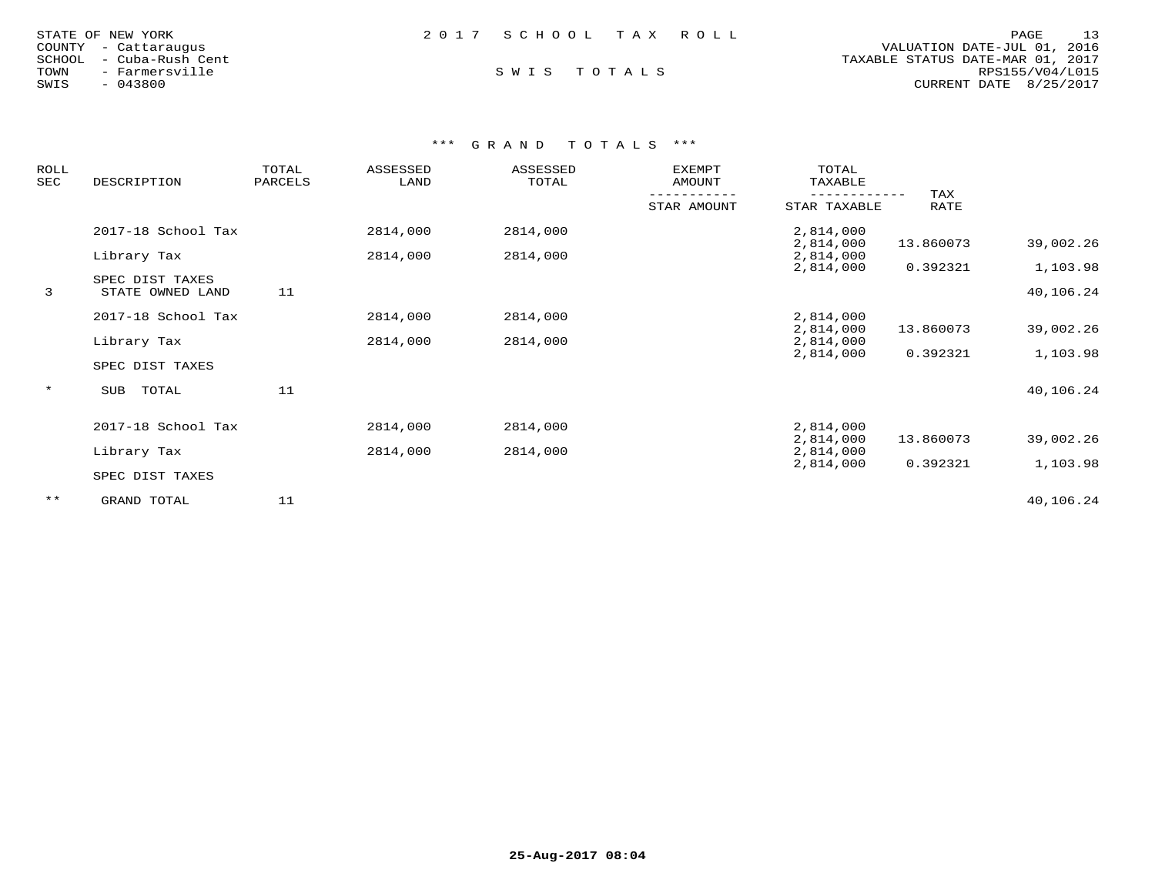| STATE OF NEW YORK       | 2017 SCHOOL TAX ROLL | 13<br>PAGE                       |
|-------------------------|----------------------|----------------------------------|
| COUNTY - Cattaraugus    |                      | VALUATION DATE-JUL 01, 2016      |
| SCHOOL - Cuba-Rush Cent |                      | TAXABLE STATUS DATE-MAR 01, 2017 |
| TOWN<br>- Farmersville  | SWIS TOTALS          | RPS155/V04/L015                  |
| $-043800$<br>SWIS       |                      | CURRENT DATE 8/25/2017           |

| <b>ROLL</b><br>SEC | DESCRIPTION                         | TOTAL<br>PARCELS | ASSESSED<br>LAND | ASSESSED<br>TOTAL | <b>EXEMPT</b><br>AMOUNT | TOTAL<br>TAXABLE       |             |                       |
|--------------------|-------------------------------------|------------------|------------------|-------------------|-------------------------|------------------------|-------------|-----------------------|
|                    |                                     |                  |                  |                   | STAR AMOUNT             | STAR TAXABLE           | TAX<br>RATE |                       |
|                    | 2017-18 School Tax                  |                  | 2814,000         | 2814,000          |                         | 2,814,000<br>2,814,000 | 13.860073   | 39,002.26             |
|                    | Library Tax                         |                  | 2814,000         | 2814,000          |                         | 2,814,000              |             |                       |
| 3                  | SPEC DIST TAXES<br>STATE OWNED LAND | 11               |                  |                   |                         | 2,814,000              | 0.392321    | 1,103.98<br>40,106.24 |
|                    | 2017-18 School Tax                  |                  | 2814,000         | 2814,000          |                         | 2,814,000<br>2,814,000 | 13.860073   | 39,002.26             |
|                    | Library Tax                         |                  | 2814,000         | 2814,000          |                         | 2,814,000              |             |                       |
|                    | SPEC DIST TAXES                     |                  |                  |                   |                         | 2,814,000              | 0.392321    | 1,103.98              |
| $\star$            | TOTAL<br>SUB                        | 11               |                  |                   |                         |                        |             | 40,106.24             |
|                    | 2017-18 School Tax                  |                  | 2814,000         | 2814,000          |                         | 2,814,000              |             |                       |
|                    | Library Tax                         |                  | 2814,000         | 2814,000          |                         | 2,814,000<br>2,814,000 | 13.860073   | 39,002.26             |
|                    | SPEC DIST TAXES                     |                  |                  |                   |                         | 2,814,000              | 0.392321    | 1,103.98              |
| $***$              | GRAND TOTAL                         | 11               |                  |                   |                         |                        |             | 40,106.24             |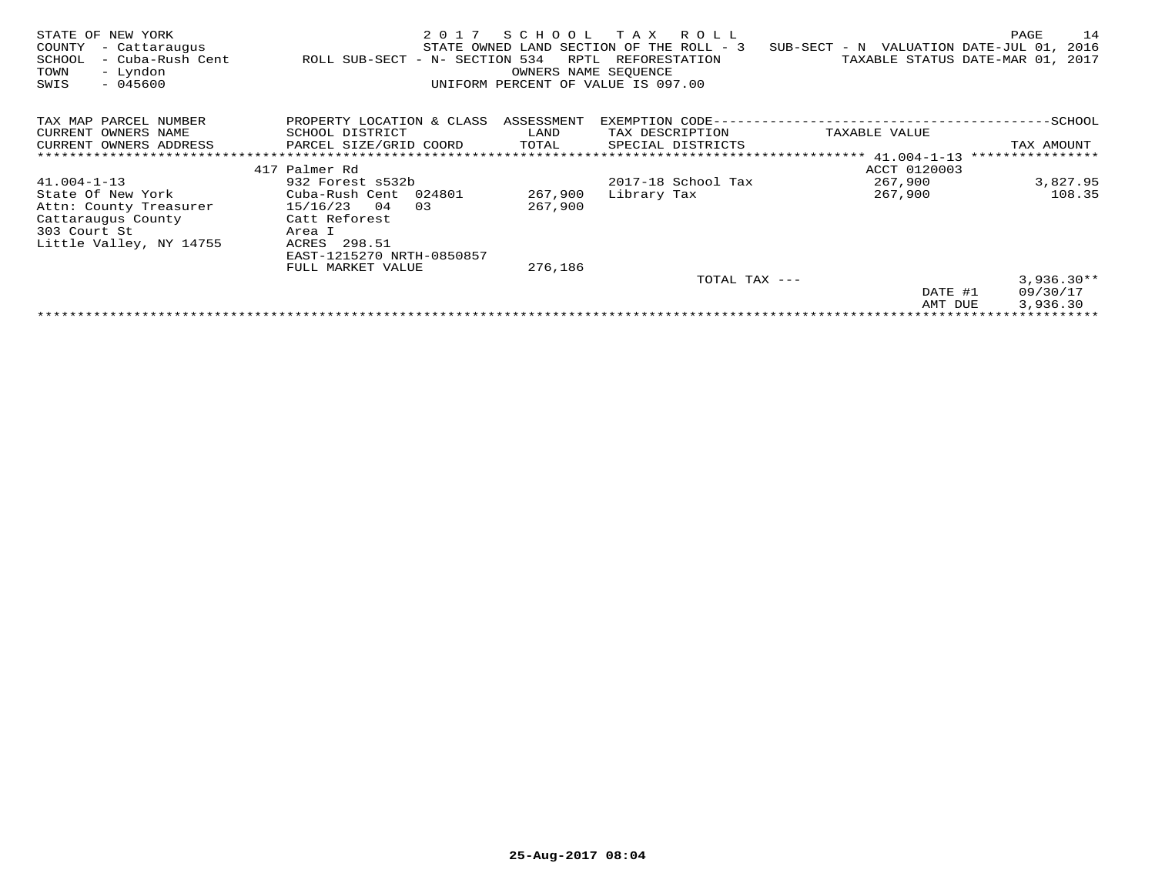| STATE OF NEW YORK<br>COUNTY<br>- Cattaraugus<br>SCHOOL<br>- Cuba-Rush Cent<br>- Lyndon<br>TOWN<br>$-045600$<br>SWIS | 2017<br>ROLL SUB-SECT - N- SECTION 534 | SCHOOL<br>RPTL<br>OWNERS NAME SEOUENCE | T A X<br>R O L L<br>STATE OWNED LAND SECTION OF THE ROLL - 3<br>REFORESTATION<br>UNIFORM PERCENT OF VALUE IS 097.00 | SUB-SECT - N VALUATION DATE-JUL 01, | PAGE<br>14<br>2016<br>TAXABLE STATUS DATE-MAR 01, 2017 |
|---------------------------------------------------------------------------------------------------------------------|----------------------------------------|----------------------------------------|---------------------------------------------------------------------------------------------------------------------|-------------------------------------|--------------------------------------------------------|
| TAX MAP PARCEL NUMBER                                                                                               | PROPERTY LOCATION & CLASS              | ASSESSMENT                             | EXEMPTION CODE-                                                                                                     |                                     | ---------SCHOOL                                        |
| CURRENT OWNERS NAME                                                                                                 | SCHOOL DISTRICT                        | LAND                                   | TAX DESCRIPTION                                                                                                     | TAXABLE VALUE                       |                                                        |
| CURRENT OWNERS ADDRESS                                                                                              | PARCEL SIZE/GRID COORD                 | TOTAL                                  | SPECIAL DISTRICTS                                                                                                   |                                     | TAX AMOUNT                                             |
|                                                                                                                     |                                        |                                        |                                                                                                                     |                                     | ****************                                       |
|                                                                                                                     | 417 Palmer Rd                          |                                        |                                                                                                                     | ACCT 0120003                        |                                                        |
| $41.004 - 1 - 13$                                                                                                   | 932 Forest s532b                       |                                        | 2017-18 School Tax                                                                                                  | 267,900                             | 3,827.95                                               |
| State Of New York                                                                                                   | Cuba-Rush Cent 024801                  | 267,900                                | Library Tax                                                                                                         | 267,900                             | 108.35                                                 |
| Attn: County Treasurer                                                                                              | 15/16/23<br>04<br>0.3                  | 267,900                                |                                                                                                                     |                                     |                                                        |
| Cattaraugus County                                                                                                  | Catt Reforest                          |                                        |                                                                                                                     |                                     |                                                        |
| 303 Court St                                                                                                        | Area I                                 |                                        |                                                                                                                     |                                     |                                                        |
| Little Valley, NY 14755                                                                                             | 298.51<br>ACRES                        |                                        |                                                                                                                     |                                     |                                                        |
|                                                                                                                     | EAST-1215270 NRTH-0850857              |                                        |                                                                                                                     |                                     |                                                        |
|                                                                                                                     | FULL MARKET VALUE                      | 276,186                                |                                                                                                                     |                                     |                                                        |
|                                                                                                                     |                                        |                                        | TOTAL TAX ---                                                                                                       |                                     | $3,936.30**$                                           |
|                                                                                                                     |                                        |                                        |                                                                                                                     | DATE #1                             | 09/30/17                                               |
|                                                                                                                     |                                        |                                        |                                                                                                                     | AMT DUE                             | 3,936.30                                               |
|                                                                                                                     |                                        |                                        |                                                                                                                     |                                     |                                                        |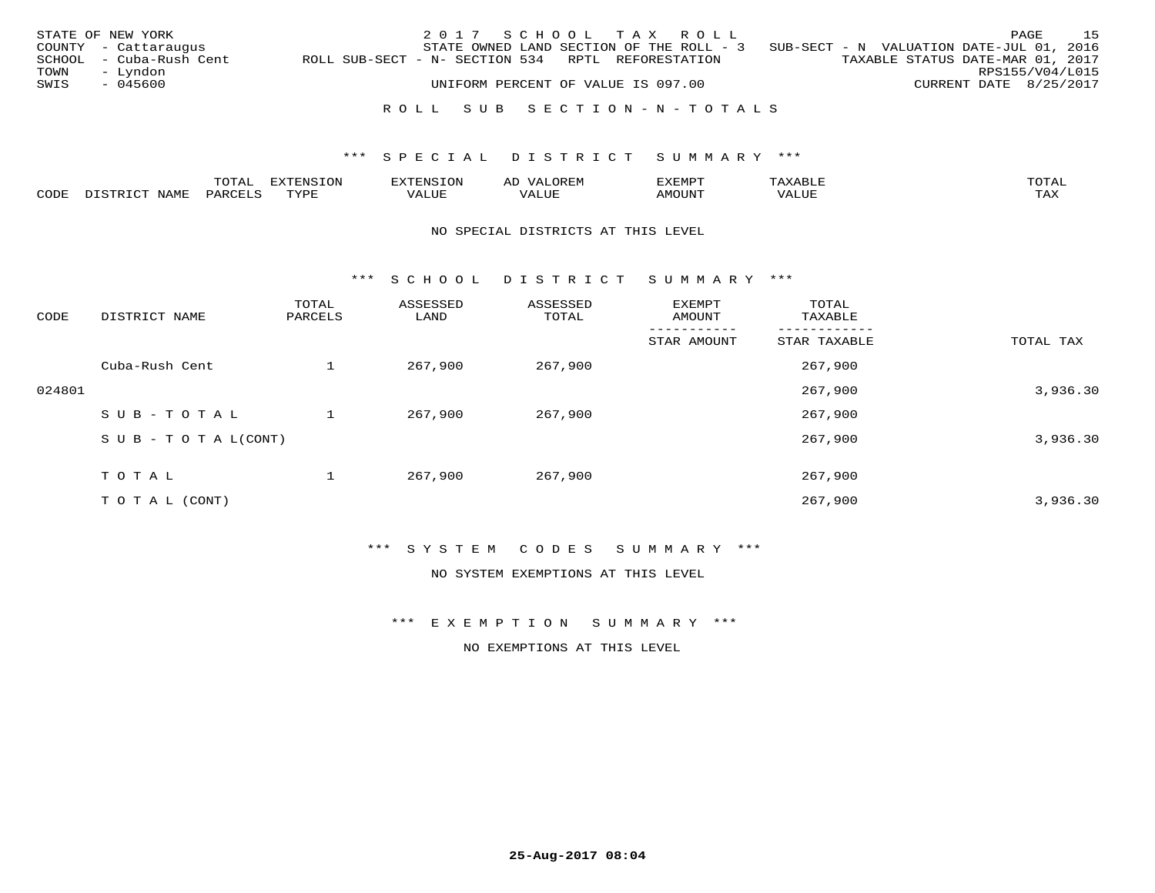|      | STATE OF NEW YORK       |                                                   |  |  | 2017 SCHOOL TAX ROLL               |                                          |  |                                          | PAGE            | 15 |
|------|-------------------------|---------------------------------------------------|--|--|------------------------------------|------------------------------------------|--|------------------------------------------|-----------------|----|
|      | COUNTY - Cattaraugus    |                                                   |  |  |                                    | STATE OWNED LAND SECTION OF THE ROLL - 3 |  | SUB-SECT - N VALUATION DATE-JUL 01, 2016 |                 |    |
|      | SCHOOL - Cuba-Rush Cent | ROLL SUB-SECT - N- SECTION 534 RPTL REFORESTATION |  |  |                                    |                                          |  | TAXABLE STATUS DATE-MAR 01, 2017         |                 |    |
| TOWN | – Lyndon                |                                                   |  |  |                                    |                                          |  |                                          | RPS155/V04/L015 |    |
| SWIS | - 045600                |                                                   |  |  | UNIFORM PERCENT OF VALUE IS 097.00 |                                          |  | CURRENT DATE 8/25/2017                   |                 |    |
|      |                         |                                                   |  |  |                                    |                                          |  |                                          |                 |    |
|      |                         |                                                   |  |  |                                    | ROLL SUB SECTION-N-TOTALS                |  |                                          |                 |    |

|      | $m \wedge m \wedge$<br>A1 | $\frac{1}{2}$ | 1177777777070<br>1. V J L | OREM<br>$\sqrt{2}$<br>ΑL | $.1$ $-$ |         | TOMN        |
|------|---------------------------|---------------|---------------------------|--------------------------|----------|---------|-------------|
| CODE |                           | mizn<br>◡∟    | ALUE                      | ו טו                     | טו ב     | $V_{A}$ | ma v<br>111 |

#### NO SPECIAL DISTRICTS AT THIS LEVEL

\*\*\* S C H O O L D I S T R I C T S U M M A R Y \*\*\*

| CODE   | DISTRICT NAME                    | TOTAL<br>PARCELS | ASSESSED<br>LAND | ASSESSED<br>TOTAL | EXEMPT<br>AMOUNT | TOTAL<br>TAXABLE |           |
|--------|----------------------------------|------------------|------------------|-------------------|------------------|------------------|-----------|
|        |                                  |                  |                  |                   | STAR AMOUNT      | STAR TAXABLE     | TOTAL TAX |
|        | Cuba-Rush Cent                   |                  | 267,900          | 267,900           |                  | 267,900          |           |
| 024801 |                                  |                  |                  |                   |                  | 267,900          | 3,936.30  |
|        | SUB-TOTAL                        |                  | 267,900          | 267,900           |                  | 267,900          |           |
|        | $S \cup B - T \cup T A L (CONT)$ |                  |                  |                   |                  | 267,900          | 3,936.30  |
|        | TOTAL                            |                  | 267,900          | 267,900           |                  | 267,900          |           |
|        | T O T A L (CONT)                 |                  |                  |                   |                  | 267,900          | 3,936.30  |

## \*\*\* S Y S T E M C O D E S S U M M A R Y \*\*\*

NO SYSTEM EXEMPTIONS AT THIS LEVEL

\*\*\* E X E M P T I O N S U M M A R Y \*\*\*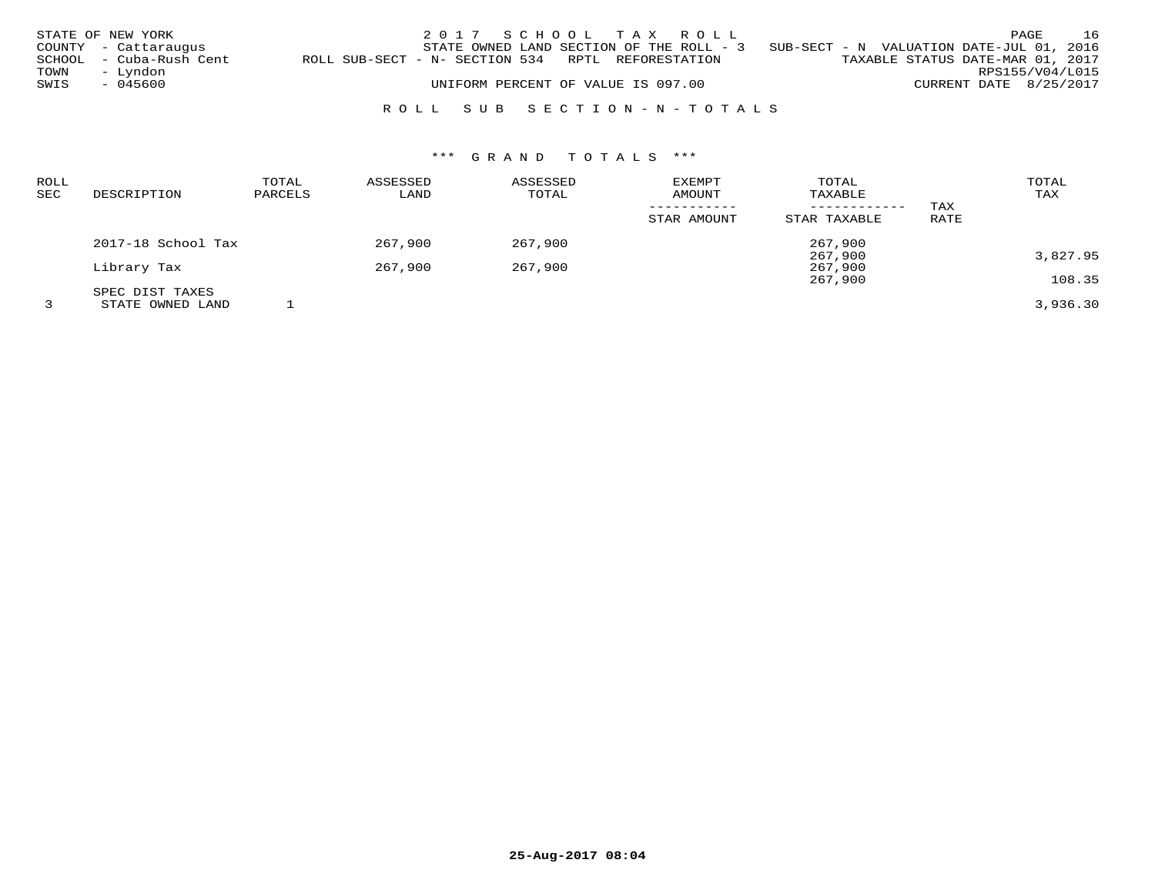|      | STATE OF NEW YORK       |                                                   | 2017 SCHOOL TAX ROLL                     |  |  |  |                                          |                        | PAGE | 16 |
|------|-------------------------|---------------------------------------------------|------------------------------------------|--|--|--|------------------------------------------|------------------------|------|----|
|      | COUNTY - Cattaraugus    |                                                   | STATE OWNED LAND SECTION OF THE ROLL - 3 |  |  |  | SUB-SECT - N VALUATION DATE-JUL 01, 2016 |                        |      |    |
|      | SCHOOL - Cuba-Rush Cent | ROLL SUB-SECT - N- SECTION 534 RPTL REFORESTATION |                                          |  |  |  | TAXABLE STATUS DATE-MAR 01, 2017         |                        |      |    |
| TOWN | – Lyndon                |                                                   |                                          |  |  |  |                                          | RPS155/V04/L015        |      |    |
| SWIS | - 045600                |                                                   | UNIFORM PERCENT OF VALUE IS 097.00       |  |  |  |                                          | CURRENT DATE 8/25/2017 |      |    |
|      |                         |                                                   |                                          |  |  |  |                                          |                        |      |    |

# R O L L S U B S E C T I O N - N - T O T A L S

| ROLL       |                    | TOTAL   | ASSESSED | ASSESSED | <b>EXEMPT</b> | TOTAL        |      | TOTAL    |
|------------|--------------------|---------|----------|----------|---------------|--------------|------|----------|
| <b>SEC</b> | DESCRIPTION        | PARCELS | LAND     | TOTAL    | AMOUNT        | TAXABLE      |      | TAX      |
|            |                    |         |          |          |               |              | TAX  |          |
|            |                    |         |          |          | STAR AMOUNT   | STAR TAXABLE | RATE |          |
|            | 2017-18 School Tax |         | 267,900  | 267,900  |               | 267,900      |      |          |
|            |                    |         |          |          |               | 267,900      |      | 3,827.95 |
|            | Library Tax        |         | 267,900  | 267,900  |               | 267,900      |      |          |
|            |                    |         |          |          |               | 267,900      |      | 108.35   |
|            | SPEC DIST TAXES    |         |          |          |               |              |      |          |
|            | STATE OWNED LAND   |         |          |          |               |              |      | 3,936.30 |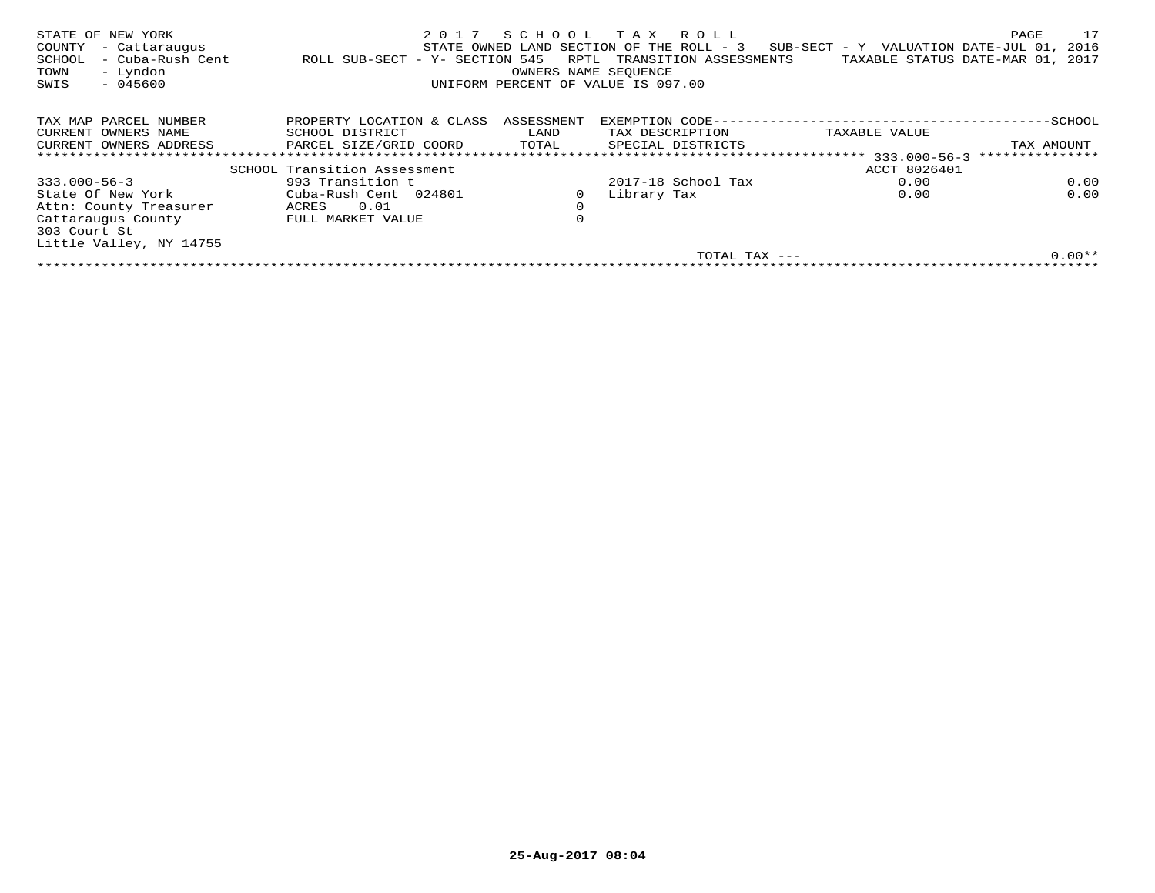| STATE OF NEW YORK<br>COUNTY<br>- Cattaraugus<br>- Cuba-Rush Cent<br>SCHOOL<br>- Lyndon<br>TOWN<br>$-045600$<br>SWIS | 2017<br>ROLL SUB-SECT - Y- SECTION 545 | RPTL<br>OWNERS NAME SEOUENCE | SCHOOL TAX ROLL<br>STATE OWNED LAND SECTION OF THE ROLL - 3<br>TRANSITION ASSESSMENTS<br>UNIFORM PERCENT OF VALUE IS 097.00 | $SUB-SECTION - Y$ VALUATION DATE-JUL 01,<br>TAXABLE STATUS DATE-MAR 01, 2017 | 17<br>PAGE<br>2016 |
|---------------------------------------------------------------------------------------------------------------------|----------------------------------------|------------------------------|-----------------------------------------------------------------------------------------------------------------------------|------------------------------------------------------------------------------|--------------------|
| TAX MAP PARCEL NUMBER                                                                                               | PROPERTY LOCATION & CLASS              | ASSESSMENT                   | EXEMPTION CODE---                                                                                                           |                                                                              | -SCHOOL            |
| CURRENT OWNERS NAME                                                                                                 | SCHOOL DISTRICT                        | LAND                         | TAX DESCRIPTION                                                                                                             | TAXABLE VALUE                                                                |                    |
| CURRENT OWNERS ADDRESS                                                                                              | PARCEL SIZE/GRID COORD                 | TOTAL                        | SPECIAL DISTRICTS                                                                                                           |                                                                              | TAX AMOUNT         |
|                                                                                                                     |                                        |                              |                                                                                                                             |                                                                              | ***************    |
|                                                                                                                     | SCHOOL Transition Assessment           |                              |                                                                                                                             | ACCT 8026401                                                                 |                    |
| $333.000 - 56 - 3$                                                                                                  | 993 Transition t                       |                              | 2017-18 School Tax                                                                                                          | 0.00                                                                         | 0.00               |
| State Of New York                                                                                                   | Cuba-Rush Cent 024801                  |                              | Library Tax                                                                                                                 | 0.00                                                                         | 0.00               |
| Attn: County Treasurer                                                                                              | 0.01<br>ACRES                          | $\mathbf 0$                  |                                                                                                                             |                                                                              |                    |
| Cattaraugus County                                                                                                  | FULL MARKET VALUE                      | 0                            |                                                                                                                             |                                                                              |                    |
| 303 Court St                                                                                                        |                                        |                              |                                                                                                                             |                                                                              |                    |
| Little Valley, NY 14755                                                                                             |                                        |                              |                                                                                                                             |                                                                              |                    |
|                                                                                                                     |                                        |                              | TOTAL TAX $---$                                                                                                             |                                                                              | $0.00**$           |
|                                                                                                                     |                                        |                              |                                                                                                                             |                                                                              |                    |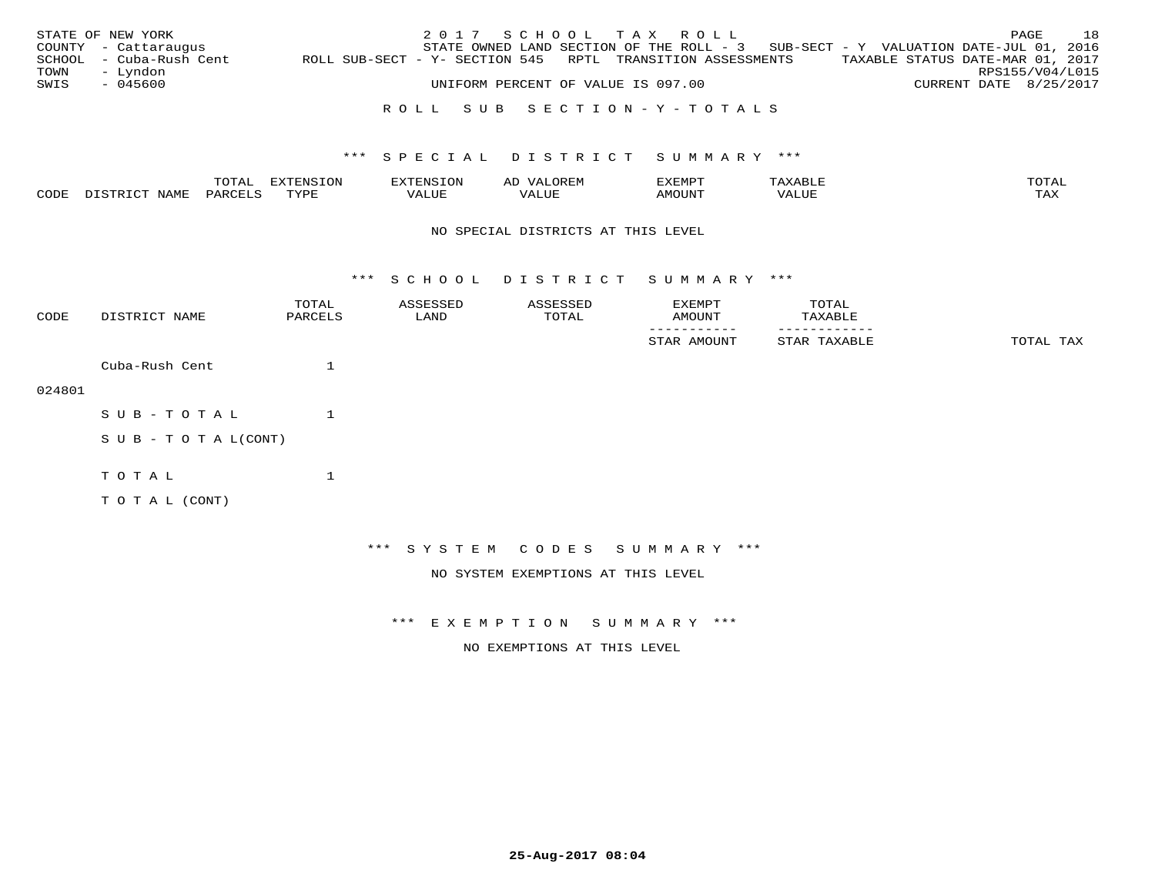|      | STATE OF NEW YORK       |                                                            |  |  |                                    | 2017 SCHOOL TAX ROLL |                                                                                   |  |                                  | PAGE | 18 |
|------|-------------------------|------------------------------------------------------------|--|--|------------------------------------|----------------------|-----------------------------------------------------------------------------------|--|----------------------------------|------|----|
|      | COUNTY - Cattaraugus    |                                                            |  |  |                                    |                      | STATE OWNED LAND SECTION OF THE ROLL - 3 SUB-SECT - Y VALUATION DATE-JUL 01, 2016 |  |                                  |      |    |
|      | SCHOOL - Cuba-Rush Cent | ROLL SUB-SECT - Y- SECTION 545 RPTL TRANSITION ASSESSMENTS |  |  |                                    |                      |                                                                                   |  | TAXABLE STATUS DATE-MAR 01, 2017 |      |    |
| TOWN | – Lyndon                |                                                            |  |  |                                    |                      |                                                                                   |  | RPS155/V04/L015                  |      |    |
| SWIS | - 045600                |                                                            |  |  | UNIFORM PERCENT OF VALUE IS 097.00 |                      |                                                                                   |  | CURRENT DATE 8/25/2017           |      |    |
|      |                         |                                                            |  |  |                                    |                      |                                                                                   |  |                                  |      |    |

# R O L L S U B S E C T I O N - Y - T O T A L S

## \*\*\* S P E C I A L D I S T R I C T S U M M A R Y \*\*\*

|      |      | momz<br>ULA1 | <b>EVTENCTON</b><br>$\sim$ | ------------<br>-OP | ΑD  | SXEMP                             |       | TOTAI |
|------|------|--------------|----------------------------|---------------------|-----|-----------------------------------|-------|-------|
| CODE | IAMF | LARCET C     | TVDL<br>د د د              | 7 ALUE              | LUE | $\triangle M$ $\cap$ TINT<br>.11V | VALUE | ىدى.  |

#### NO SPECIAL DISTRICTS AT THIS LEVEL

\*\*\* S C H O O L D I S T R I C T S U M M A R Y \*\*\*

| CODE   | DISTRICT NAME             | TOTAL<br>PARCELS | ASSESSED<br>LAND | ASSESSED<br>TOTAL | EXEMPT<br>AMOUNT                   | TOTAL<br>TAXABLE |           |
|--------|---------------------------|------------------|------------------|-------------------|------------------------------------|------------------|-----------|
|        |                           |                  |                  |                   | STAR AMOUNT                        | STAR TAXABLE     | TOTAL TAX |
|        | Cuba-Rush Cent            |                  |                  |                   |                                    |                  |           |
| 024801 |                           |                  |                  |                   |                                    |                  |           |
|        | SUB-TOTAL                 |                  |                  |                   |                                    |                  |           |
|        | S U B - T O T A $L(CONT)$ |                  |                  |                   |                                    |                  |           |
|        | TOTAL                     | $\mathbf 1$      |                  |                   |                                    |                  |           |
|        | TO TAL (CONT)             |                  |                  |                   |                                    |                  |           |
|        |                           |                  |                  |                   |                                    |                  |           |
|        |                           |                  |                  |                   | *** SYSTEM CODES SUMMARY ***       |                  |           |
|        |                           |                  |                  |                   | NO SYSTEM EXEMPTIONS AT THIS LEVEL |                  |           |

\*\*\* E X E M P T I O N S U M M A R Y \*\*\*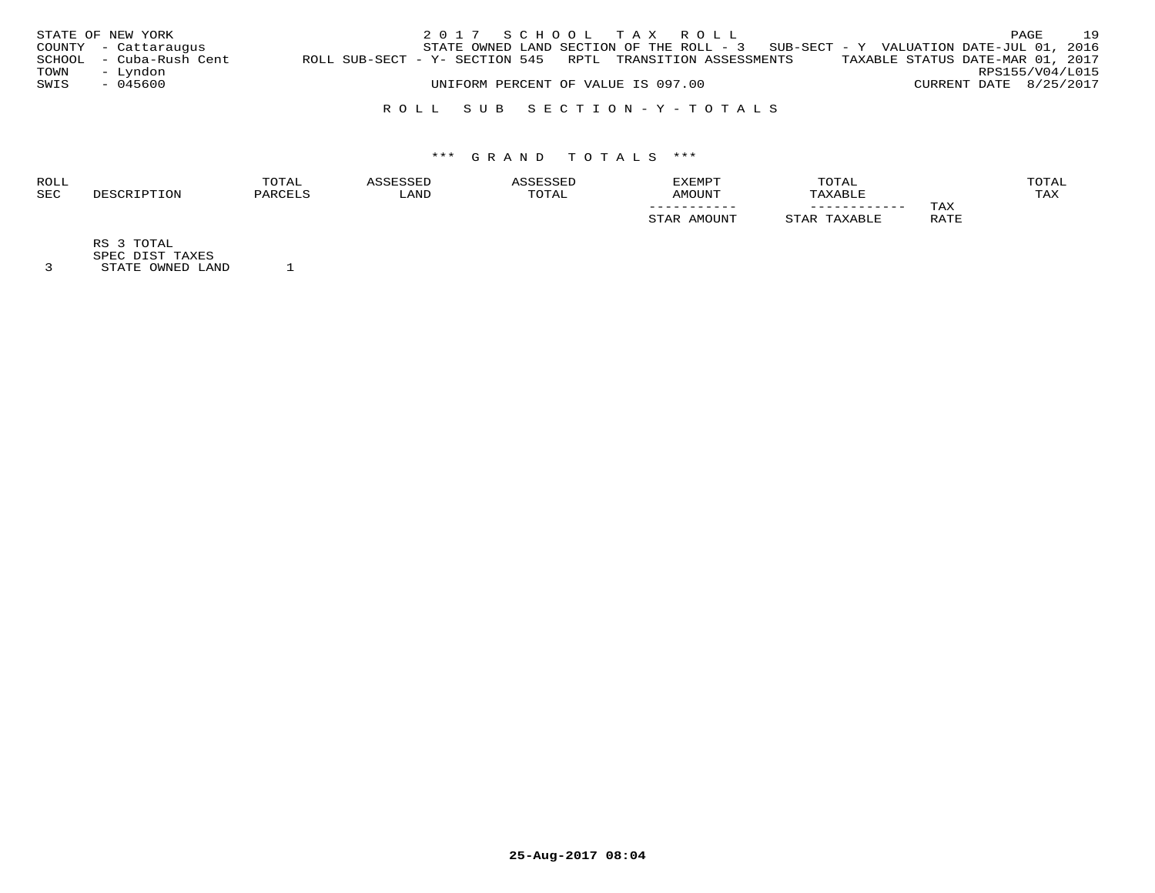|      | STATE OF NEW YORK       |                                                                |  | 2017 SCHOOL TAX ROLL               |                                                                                     |                                  |                        | PAGE | 19 |
|------|-------------------------|----------------------------------------------------------------|--|------------------------------------|-------------------------------------------------------------------------------------|----------------------------------|------------------------|------|----|
|      | COUNTY - Cattaraugus    |                                                                |  |                                    | STATE OWNED LAND SECTION OF THE ROLL - $3$ SUB-SECT - Y VALUATION DATE-JUL 01, 2016 |                                  |                        |      |    |
|      | SCHOOL - Cuba-Rush Cent | ROLL SUB-SECT - Y- SECTION 545   RPTL   TRANSITION ASSESSMENTS |  |                                    |                                                                                     | TAXABLE STATUS DATE-MAR 01, 2017 |                        |      |    |
| TOWN | – Lyndon                |                                                                |  |                                    |                                                                                     |                                  | RPS155/V04/L015        |      |    |
| SWIS | - 045600                |                                                                |  | UNIFORM PERCENT OF VALUE IS 097.00 |                                                                                     |                                  | CURRENT DATE 8/25/2017 |      |    |
|      |                         |                                                                |  |                                    |                                                                                     |                                  |                        |      |    |

# R O L L S U B S E C T I O N - Y - T O T A L S

# \*\*\* G R A N D T O T A L S \*\*\*

|            | TOTAL        |
|------------|--------------|
| <b>SEC</b> | max x<br>TAX |
|            | TAX          |
|            | RATE         |
|            |              |

RS 3 TOTAL

SPEC DIST TAXES 3 STATE OWNED LAND 1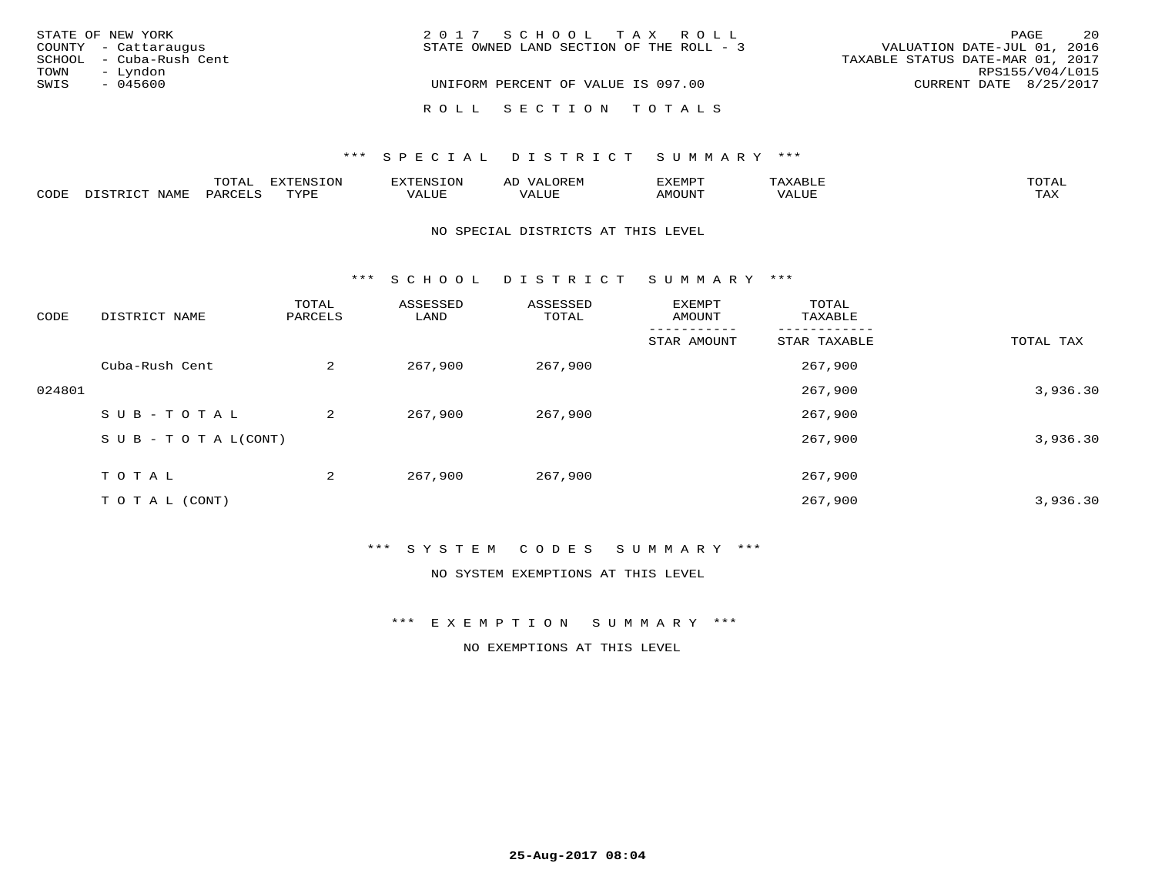| STATE OF NEW YORK       | 2017 SCHOOL TAX ROLL                     | 20<br>PAGE                       |
|-------------------------|------------------------------------------|----------------------------------|
| COUNTY - Cattaraugus    | STATE OWNED LAND SECTION OF THE ROLL - 3 | VALUATION DATE-JUL 01, 2016      |
| SCHOOL - Cuba-Rush Cent |                                          | TAXABLE STATUS DATE-MAR 01, 2017 |
| – Lyndon<br>TOWN        |                                          | RPS155/V04/L015                  |
| SWIS<br>$-045600$       | UNIFORM PERCENT OF VALUE IS 097.00       | CURRENT DATE 8/25/2017           |
|                         | ROLL SECTION TOTALS                      |                                  |

|                                      |             | <b>TOTA</b><br>ᆠᅎᅩ |      | 370a<br>4. IN .<br>∸∽ | $\sqrt{ }$<br>AD | "YEMPT |                       | $m \wedge m \wedge$<br>---- |
|--------------------------------------|-------------|--------------------|------|-----------------------|------------------|--------|-----------------------|-----------------------------|
| $\sim$ $\sim$ $\sim$ $\sim$<br>CODF. | <b>NAMF</b> | PAK                | mvn: | VALUE                 | ΩŒ               | MUUN.  | <b>- ---</b><br>/ALUI | $- - - -$<br>1712           |

#### NO SPECIAL DISTRICTS AT THIS LEVEL

\*\*\* S C H O O L D I S T R I C T S U M M A R Y \*\*\*

| CODE   | DISTRICT NAME                    | TOTAL<br>PARCELS | ASSESSED<br>LAND | ASSESSED<br>TOTAL | EXEMPT<br>AMOUNT | TOTAL<br>TAXABLE |           |
|--------|----------------------------------|------------------|------------------|-------------------|------------------|------------------|-----------|
|        |                                  |                  |                  |                   | STAR AMOUNT      | STAR TAXABLE     | TOTAL TAX |
|        | Cuba-Rush Cent                   | 2                | 267,900          | 267,900           |                  | 267,900          |           |
| 024801 |                                  |                  |                  |                   |                  | 267,900          | 3,936.30  |
|        | SUB-TOTAL                        | 2                | 267,900          | 267,900           |                  | 267,900          |           |
|        | $S \cup B - T \cup T A L (CONT)$ |                  |                  |                   |                  | 267,900          | 3,936.30  |
|        | TOTAL                            | 2                | 267,900          | 267,900           |                  | 267,900          |           |
|        | T O T A L (CONT)                 |                  |                  |                   |                  | 267,900          | 3,936.30  |

## \*\*\* S Y S T E M C O D E S S U M M A R Y \*\*\*

NO SYSTEM EXEMPTIONS AT THIS LEVEL

\*\*\* E X E M P T I O N S U M M A R Y \*\*\*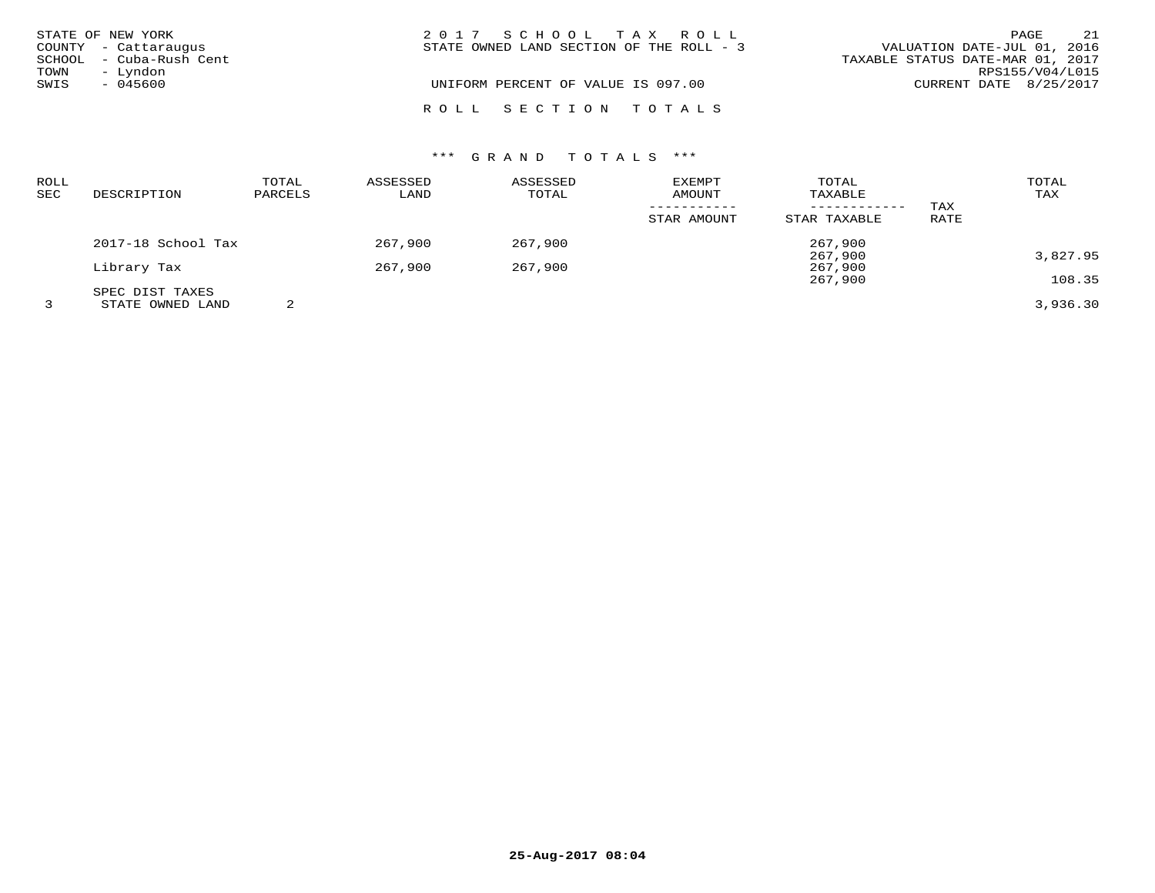|      | STATE OF NEW YORK       | 2017 SCHOOL TAX ROLL                                                    | PAGE                   | 21 |
|------|-------------------------|-------------------------------------------------------------------------|------------------------|----|
|      | COUNTY - Cattaraugus    | VALUATION DATE-JUL 01, 2016<br>STATE OWNED LAND SECTION OF THE ROLL - 3 |                        |    |
|      | SCHOOL - Cuba-Rush Cent | TAXABLE STATUS DATE-MAR 01, 2017                                        |                        |    |
| TOWN | - Lyndon                |                                                                         | RPS155/V04/L015        |    |
| SWIS | $-045600$               | UNIFORM PERCENT OF VALUE IS 097.00                                      | CURRENT DATE 8/25/2017 |    |
|      |                         | ROLL SECTION TOTALS                                                     |                        |    |

| ROLL<br>SEC | DESCRIPTION        | TOTAL<br>PARCELS | ASSESSED<br>LAND | ASSESSED<br>TOTAL | <b>EXEMPT</b><br>AMOUNT | TOTAL<br>TAXABLE             |             | TOTAL<br>TAX |
|-------------|--------------------|------------------|------------------|-------------------|-------------------------|------------------------------|-------------|--------------|
|             |                    |                  |                  |                   | STAR AMOUNT             | ------------<br>STAR TAXABLE | TAX<br>RATE |              |
|             | 2017-18 School Tax |                  | 267,900          | 267,900           |                         | 267,900                      |             |              |
|             | Library Tax        |                  | 267,900          | 267,900           |                         | 267,900<br>267,900           |             | 3,827.95     |
|             | SPEC DIST TAXES    |                  |                  |                   |                         | 267,900                      |             | 108.35       |
|             | STATE OWNED LAND   |                  |                  |                   |                         |                              |             | 3,936.30     |

**25-Aug-2017 08:04**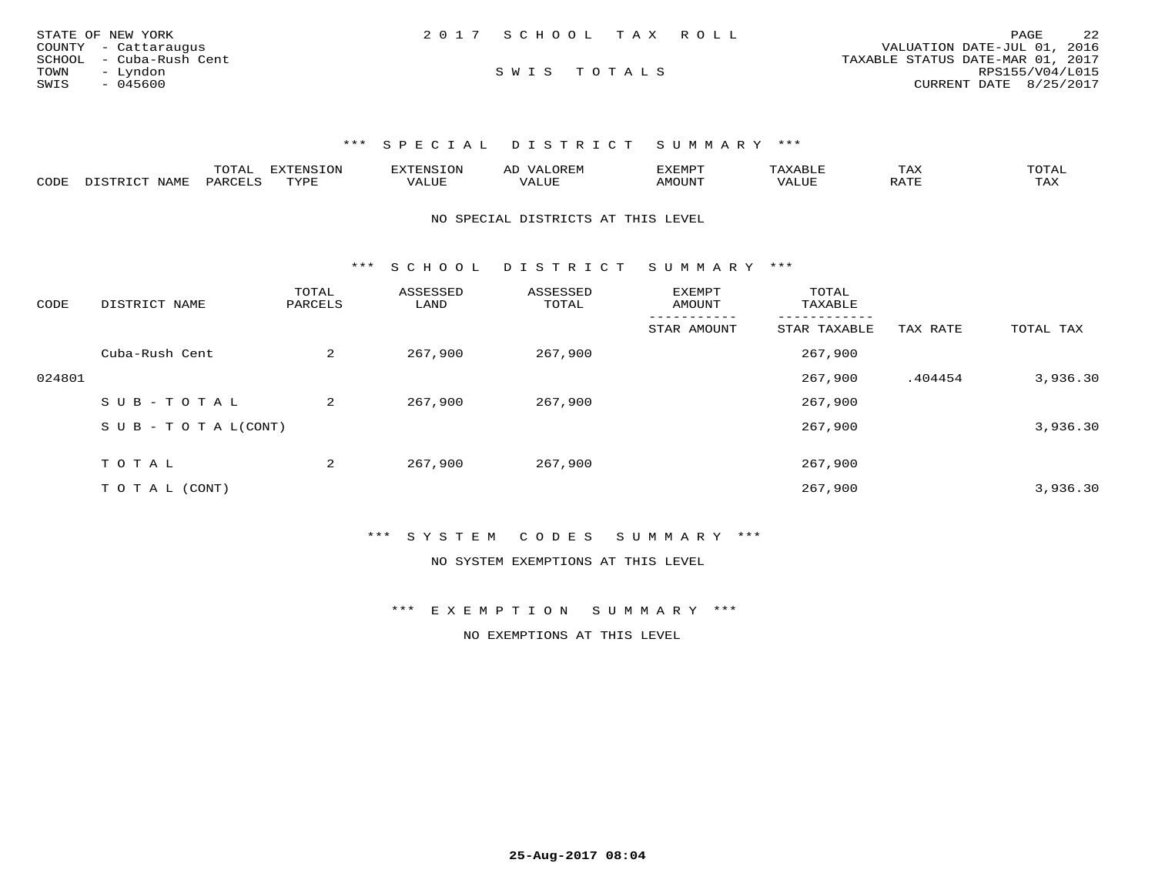| STATE OF NEW YORK       | 2017 SCHOOL TAX ROLL | 2.2<br>PAGE                      |
|-------------------------|----------------------|----------------------------------|
| COUNTY - Cattaraugus    |                      | VALUATION DATE-JUL 01, 2016      |
| SCHOOL - Cuba-Rush Cent |                      | TAXABLE STATUS DATE-MAR 01, 2017 |
| TOWN<br>- Lyndon        | SWIS TOTALS          | RPS155/V04/L015                  |
| SWIS<br>- 045600        |                      | CURRENT DATE 8/25/2017           |

|      |       | $\sqrt{2}$<br>.uial | <b>TNIC</b> | EXTENSION | ∼       | <b>03701000</b><br>FYFMP. |            | $m \times r$<br>⊥AA | m^m*<br>$\overline{A}$<br>. |
|------|-------|---------------------|-------------|-----------|---------|---------------------------|------------|---------------------|-----------------------------|
| CODE | NAMI. | D A R               | JUNE.       | ALUR      | , I J P | )UN"                      | $\Delta$ . | $n \pi \pi$         | $- - - -$<br>د مد ب         |

NO SPECIAL DISTRICTS AT THIS LEVEL

\*\*\* S C H O O L D I S T R I C T S U M M A R Y \*\*\*

| CODE   | DISTRICT NAME             | TOTAL<br>PARCELS | ASSESSED<br>LAND | ASSESSED<br>TOTAL | <b>EXEMPT</b><br>AMOUNT | TOTAL<br>TAXABLE |          |           |
|--------|---------------------------|------------------|------------------|-------------------|-------------------------|------------------|----------|-----------|
|        |                           |                  |                  |                   | STAR AMOUNT             | STAR TAXABLE     | TAX RATE | TOTAL TAX |
|        | Cuba-Rush Cent            | 2                | 267,900          | 267,900           |                         | 267,900          |          |           |
| 024801 |                           |                  |                  |                   |                         | 267,900          | .404454  | 3,936.30  |
|        | SUB-TOTAL                 | $\overline{a}$   | 267,900          | 267,900           |                         | 267,900          |          |           |
|        | S U B - T O T A $L(CONT)$ |                  |                  |                   |                         | 267,900          |          | 3,936.30  |
|        | TOTAL                     | 2                | 267,900          | 267,900           |                         | 267,900          |          |           |
|        |                           |                  |                  |                   |                         |                  |          |           |
|        | T O T A L (CONT)          |                  |                  |                   |                         | 267,900          |          | 3,936.30  |

\*\*\* S Y S T E M C O D E S S U M M A R Y \*\*\*

NO SYSTEM EXEMPTIONS AT THIS LEVEL

\*\*\* E X E M P T I O N S U M M A R Y \*\*\*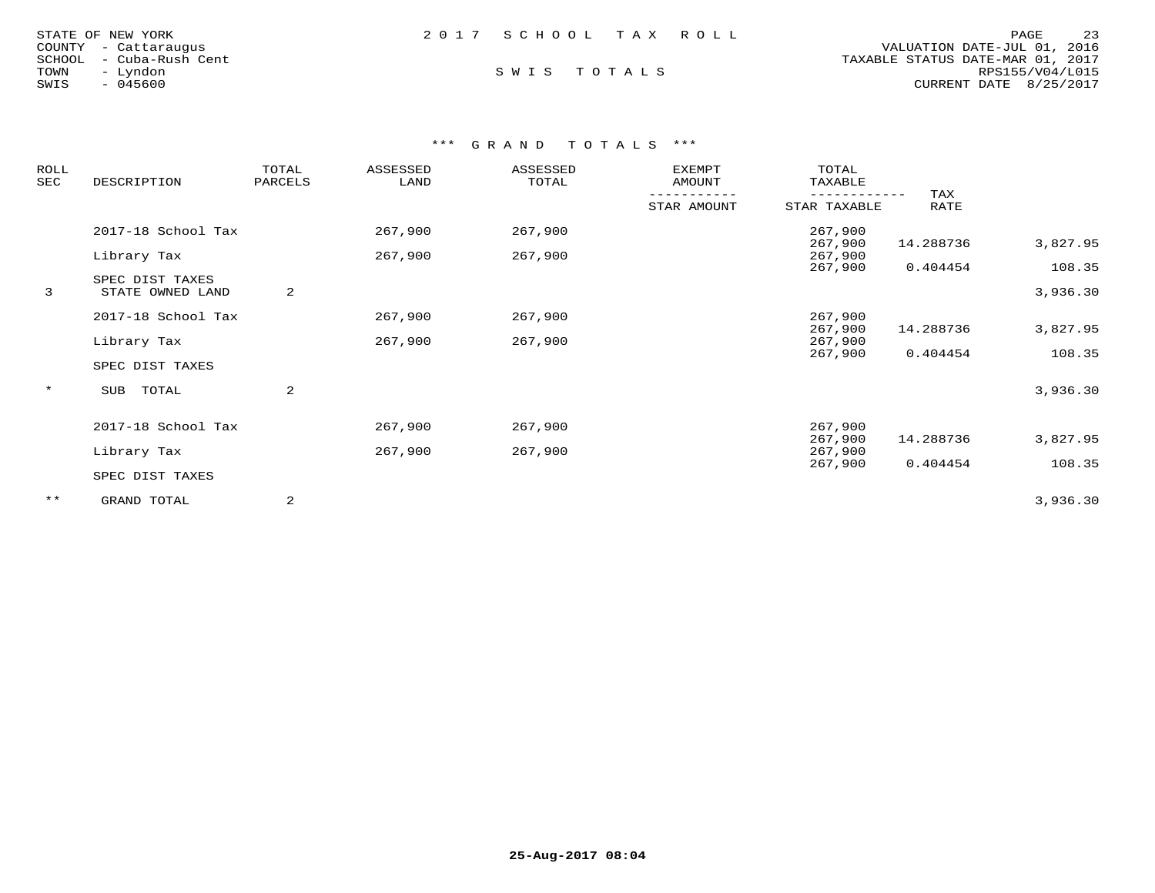| STATE OF NEW YORK       |  | 2017 SCHOOL TAX ROLL |  |                                  | PAGE                   | 23 |
|-------------------------|--|----------------------|--|----------------------------------|------------------------|----|
| COUNTY - Cattaraugus    |  |                      |  | VALUATION DATE-JUL 01, 2016      |                        |    |
| SCHOOL - Cuba-Rush Cent |  |                      |  | TAXABLE STATUS DATE-MAR 01, 2017 |                        |    |
| TOWN<br>- Lyndon        |  | SWIS TOTALS          |  |                                  | RPS155/V04/L015        |    |
| $-045600$<br>SWIS       |  |                      |  |                                  | CURRENT DATE 8/25/2017 |    |

| ROLL<br>SEC | DESCRIPTION                         | TOTAL<br>PARCELS | ASSESSED<br>LAND | ASSESSED<br>TOTAL | <b>EXEMPT</b><br>AMOUNT | TOTAL<br>TAXABLE   |             |                    |
|-------------|-------------------------------------|------------------|------------------|-------------------|-------------------------|--------------------|-------------|--------------------|
|             |                                     |                  |                  |                   | STAR AMOUNT             | STAR TAXABLE       | TAX<br>RATE |                    |
|             | 2017-18 School Tax                  |                  | 267,900          | 267,900           |                         | 267,900<br>267,900 | 14.288736   | 3,827.95           |
|             | Library Tax                         |                  | 267,900          | 267,900           |                         | 267,900            |             |                    |
| 3           | SPEC DIST TAXES<br>STATE OWNED LAND | 2                |                  |                   |                         | 267,900            | 0.404454    | 108.35<br>3,936.30 |
|             | 2017-18 School Tax                  |                  | 267,900          | 267,900           |                         | 267,900<br>267,900 | 14.288736   | 3,827.95           |
|             | Library Tax                         |                  | 267,900          | 267,900           |                         | 267,900            |             |                    |
|             | SPEC DIST TAXES                     |                  |                  |                   |                         | 267,900            | 0.404454    | 108.35             |
| $\star$     | TOTAL<br>SUB                        | 2                |                  |                   |                         |                    |             | 3,936.30           |
|             | 2017-18 School Tax                  |                  | 267,900          | 267,900           |                         | 267,900            |             |                    |
|             | Library Tax                         |                  | 267,900          | 267,900           |                         | 267,900<br>267,900 | 14.288736   | 3,827.95           |
|             | SPEC DIST TAXES                     |                  |                  |                   |                         | 267,900            | 0.404454    | 108.35             |
| $***$       | GRAND TOTAL                         | 2                |                  |                   |                         |                    |             | 3,936.30           |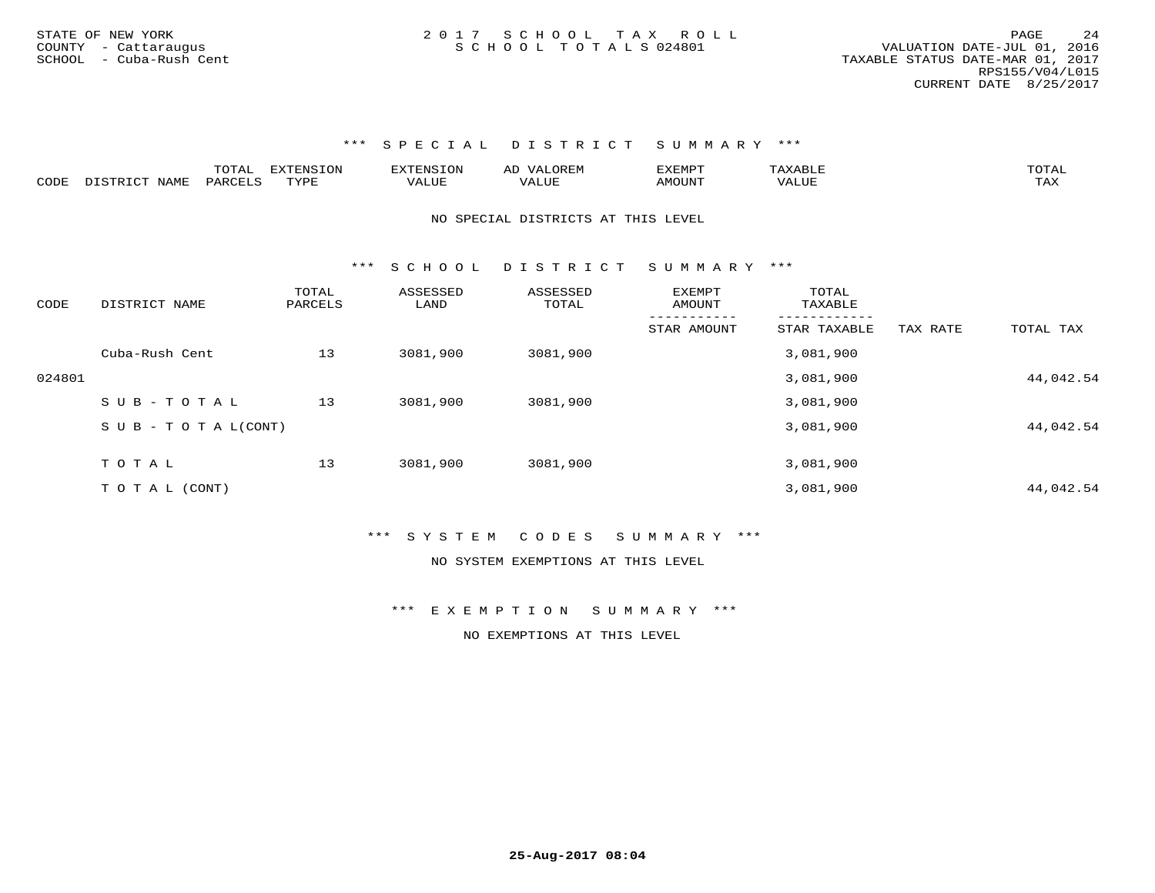\*\*\* S P E C I A L D I S T R I C T S U M M A R Y \*\*\*

|      |                      | $m \wedge m$<br>UIAL | 3 I ON<br>EN.S<br>ㅠҡァ┎ | "ENSION | $\Delta$ 1<br>سە | CXEMPT |                         | ----                   |
|------|----------------------|----------------------|------------------------|---------|------------------|--------|-------------------------|------------------------|
| CODE | NAMF.<br>ר C<br>– ~- | PAR <sup>r</sup>     | <b>TVDL</b>            | VALUE.  | VALUF            | IOUN"  | <b>TRT</b> TTT<br>'ALU. | $m \times r$<br>$\eta$ |

NO SPECIAL DISTRICTS AT THIS LEVEL

\*\*\* S C H O O L D I S T R I C T S U M M A R Y \*\*\*

| CODE   | DISTRICT NAME              | TOTAL<br>PARCELS | ASSESSED<br>LAND | ASSESSED<br>TOTAL | EXEMPT<br>AMOUNT | TOTAL<br>TAXABLE |          |           |
|--------|----------------------------|------------------|------------------|-------------------|------------------|------------------|----------|-----------|
|        |                            |                  |                  |                   | STAR AMOUNT      | STAR TAXABLE     | TAX RATE | TOTAL TAX |
|        | Cuba-Rush Cent             | 13               | 3081,900         | 3081,900          |                  | 3,081,900        |          |           |
| 024801 |                            |                  |                  |                   |                  | 3,081,900        |          | 44,042.54 |
|        | SUB-TOTAL                  | 13               | 3081,900         | 3081,900          |                  | 3,081,900        |          |           |
|        | S U B - T O T A $L$ (CONT) |                  |                  |                   |                  | 3,081,900        |          | 44,042.54 |
|        | TOTAL                      | 13               | 3081,900         | 3081,900          |                  | 3,081,900        |          |           |
|        |                            |                  |                  |                   |                  |                  |          |           |
|        | T O T A L (CONT)           |                  |                  |                   |                  | 3,081,900        |          | 44,042.54 |

\*\*\* S Y S T E M C O D E S S U M M A R Y \*\*\*

NO SYSTEM EXEMPTIONS AT THIS LEVEL

\*\*\* E X E M P T I O N S U M M A R Y \*\*\*

NO EXEMPTIONS AT THIS LEVEL